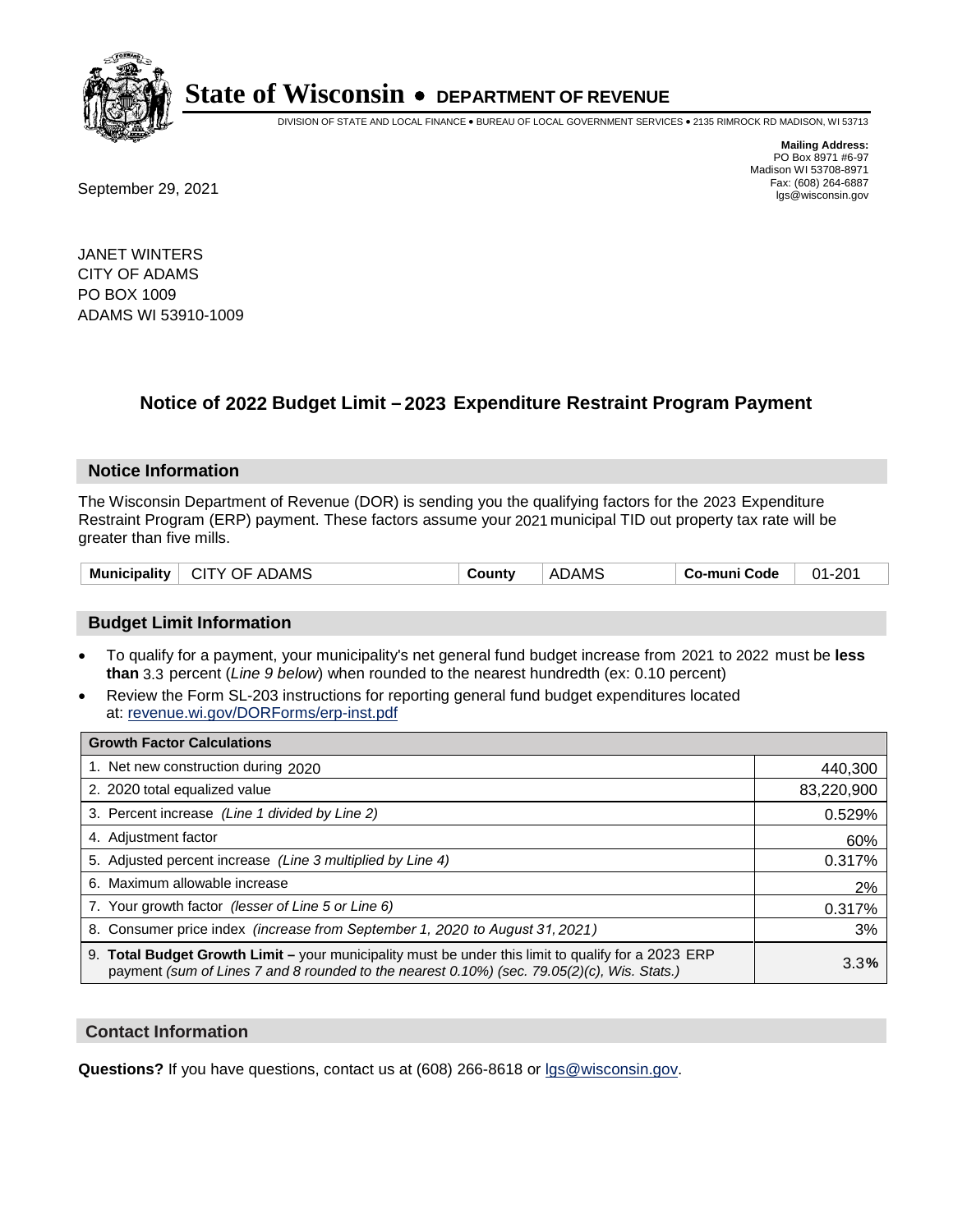

DIVISION OF STATE AND LOCAL FINANCE • BUREAU OF LOCAL GOVERNMENT SERVICES • 2135 RIMROCK RD MADISON, WI 53713

**Mailing Address:** PO Box 8971 #6-97 Madison WI 53708-8971<br>Fax: (608) 264-6887 Fax: (608) 264-6887<br>
September 29, 2021 and the state of the state of the state of the state of the state of the state of the state of the state of the state of the state of the state of the state of the state of the state

JANET WINTERS CITY OF ADAMS PO BOX 1009 ADAMS WI 53910-1009

## **Notice of 2022 Budget Limit - 2023 Expenditure Restraint Program Payment**

#### **Notice Information**

The Wisconsin Department of Revenue (DOR) is sending you the qualifying factors for the 2023 Expenditure Restraint Program (ERP) payment. These factors assume your 2021 municipal TID out property tax rate will be greater than five mills.

| <b>Municipality</b><br>CITY OF ADAMS | County | <b>ADAMS</b> | Co-muni Code | $01 - 201$ |
|--------------------------------------|--------|--------------|--------------|------------|
|--------------------------------------|--------|--------------|--------------|------------|

### **Budget Limit Information**

- To qualify for a payment, your municipality's net general fund budget increase from 2021 to 2022 must be less **than** 3.3 percent (*Line 9 below*) when rounded to the nearest hundredth (ex: 0.10 percent)
- Review the Form SL-203 instructions for reporting general fund budget expenditures located at: revenue.wi.gov/DORForms/erp-inst.pdf

| <b>Growth Factor Calculations</b>                                                                                                                                                                  |            |
|----------------------------------------------------------------------------------------------------------------------------------------------------------------------------------------------------|------------|
| 1. Net new construction during 2020                                                                                                                                                                | 440,300    |
| 2. 2020 total equalized value                                                                                                                                                                      | 83,220,900 |
| 3. Percent increase (Line 1 divided by Line 2)                                                                                                                                                     | 0.529%     |
| 4. Adjustment factor                                                                                                                                                                               | 60%        |
| 5. Adjusted percent increase (Line 3 multiplied by Line 4)                                                                                                                                         | 0.317%     |
| 6. Maximum allowable increase                                                                                                                                                                      | 2%         |
| 7. Your growth factor (lesser of Line 5 or Line 6)                                                                                                                                                 | 0.317%     |
| 8. Consumer price index (increase from September 1, 2020 to August 31, 2021)                                                                                                                       | 3%         |
| 9. Total Budget Growth Limit – your municipality must be under this limit to qualify for a 2023 ERP<br>payment (sum of Lines 7 and 8 rounded to the nearest 0.10%) (sec. 79.05(2)(c), Wis. Stats.) | 3.3%       |

#### **Contact Information**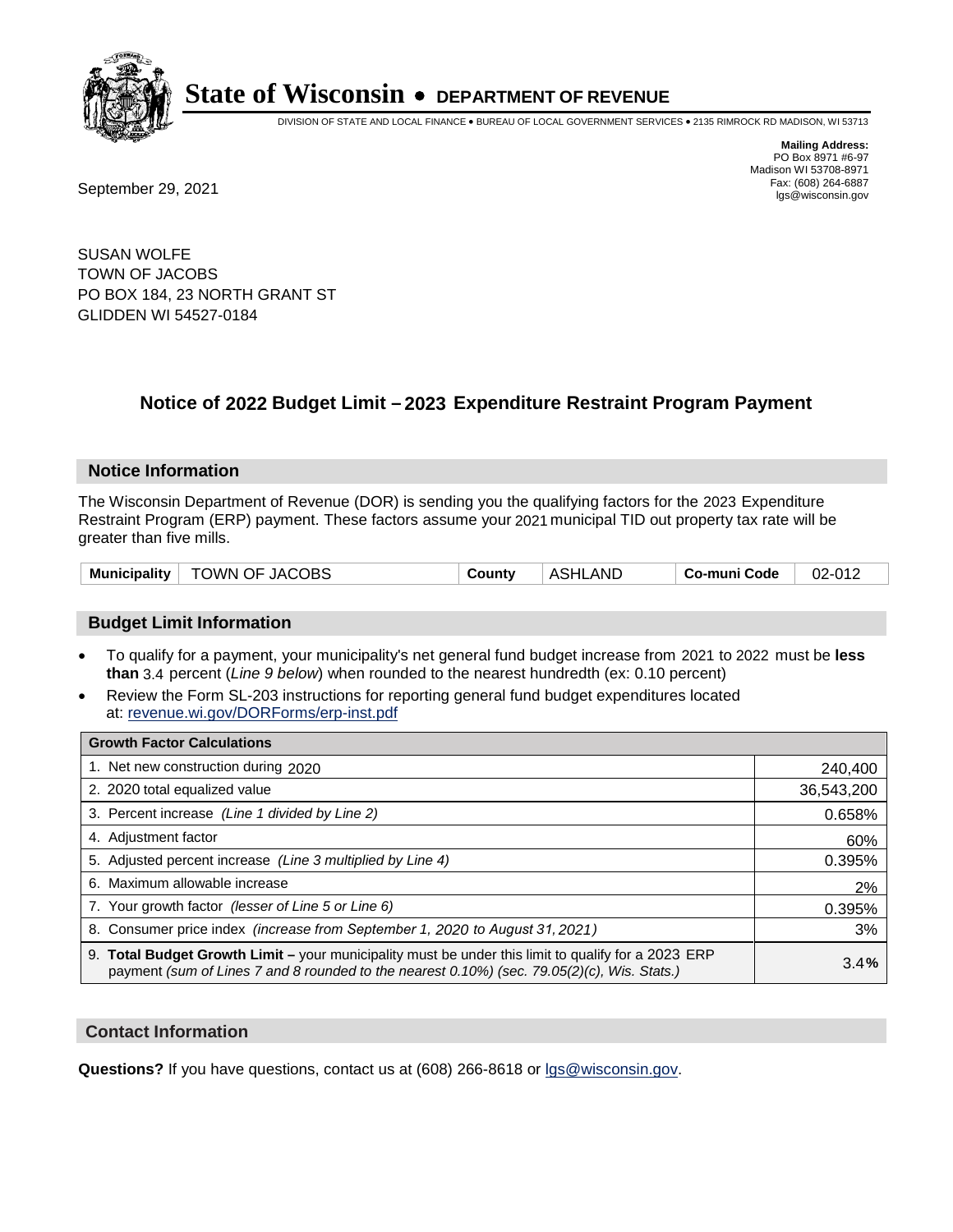

DIVISION OF STATE AND LOCAL FINANCE • BUREAU OF LOCAL GOVERNMENT SERVICES • 2135 RIMROCK RD MADISON, WI 53713

**Mailing Address:** PO Box 8971 #6-97 Madison WI 53708-8971<br>Fax: (608) 264-6887

Fax: (608) 264-6887<br>
September 29, 2021 and the state of the state of the state of the state of the state of the state of the state of the state of the state of the state of the state of the state of the state of the state

SUSAN WOLFE TOWN OF JACOBS PO BOX 184, 23 NORTH GRANT ST GLIDDEN WI 54527-0184

## **Notice of 2022 Budget Limit - 2023 Expenditure Restraint Program Payment**

#### **Notice Information**

The Wisconsin Department of Revenue (DOR) is sending you the qualifying factors for the 2023 Expenditure Restraint Program (ERP) payment. These factors assume your 2021 municipal TID out property tax rate will be greater than five mills.

#### **Budget Limit Information**

- To qualify for a payment, your municipality's net general fund budget increase from 2021 to 2022 must be less **than** 3.4 percent (*Line 9 below*) when rounded to the nearest hundredth (ex: 0.10 percent)
- Review the Form SL-203 instructions for reporting general fund budget expenditures located at: revenue.wi.gov/DORForms/erp-inst.pdf

| <b>Growth Factor Calculations</b>                                                                                                                                                                      |            |
|--------------------------------------------------------------------------------------------------------------------------------------------------------------------------------------------------------|------------|
| 1. Net new construction during 2020                                                                                                                                                                    | 240,400    |
| 2. 2020 total equalized value                                                                                                                                                                          | 36,543,200 |
| 3. Percent increase (Line 1 divided by Line 2)                                                                                                                                                         | 0.658%     |
| 4. Adjustment factor                                                                                                                                                                                   | 60%        |
| 5. Adjusted percent increase (Line 3 multiplied by Line 4)                                                                                                                                             | 0.395%     |
| 6. Maximum allowable increase                                                                                                                                                                          | 2%         |
| 7. Your growth factor (lesser of Line 5 or Line 6)                                                                                                                                                     | 0.395%     |
| 8. Consumer price index (increase from September 1, 2020 to August 31, 2021)                                                                                                                           | 3%         |
| 9. Total Budget Growth Limit - your municipality must be under this limit to qualify for a 2023 ERP<br>payment (sum of Lines 7 and 8 rounded to the nearest $0.10\%$ ) (sec. 79.05(2)(c), Wis. Stats.) | 3.4%       |

#### **Contact Information**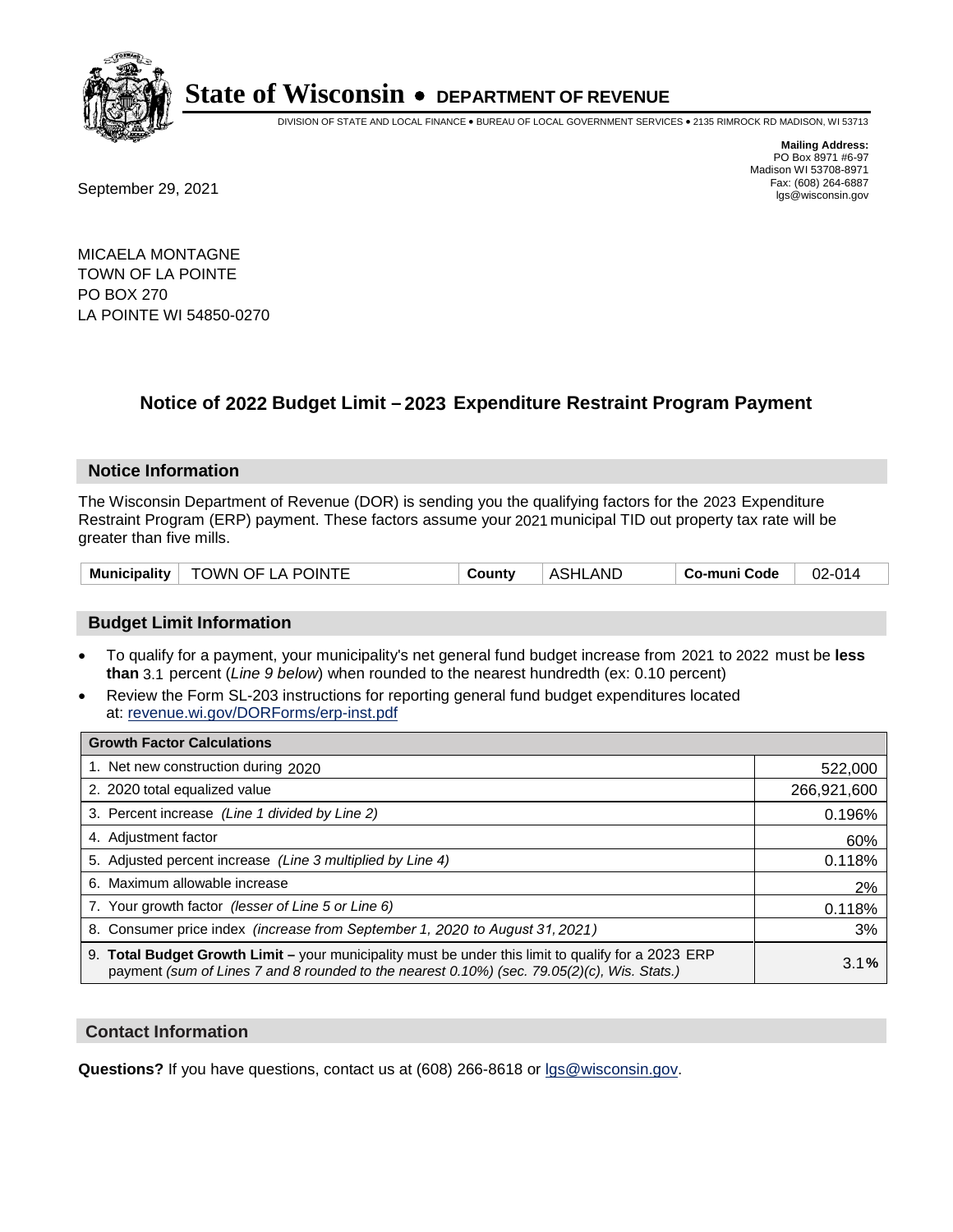

DIVISION OF STATE AND LOCAL FINANCE • BUREAU OF LOCAL GOVERNMENT SERVICES • 2135 RIMROCK RD MADISON, WI 53713

Fax: (608) 264-6887<br>
September 29, 2021 and the state of the state of the state of the state of the state of the state of the state of the state of the state of the state of the state of the state of the state of the state

**Mailing Address:** PO Box 8971 #6-97 Madison WI 53708-8971<br>Fax: (608) 264-6887

MICAELA MONTAGNE TOWN OF LA POINTE PO BOX 270 LA POINTE WI 54850-0270

## **Notice of 2022 Budget Limit - 2023 Expenditure Restraint Program Payment**

#### **Notice Information**

The Wisconsin Department of Revenue (DOR) is sending you the qualifying factors for the 2023 Expenditure Restraint Program (ERP) payment. These factors assume your 2021 municipal TID out property tax rate will be greater than five mills.

| Municipality   TOWN OF LA POINTE | County | <b>ASHLAND</b> | Co-muni Code | $02 - 014$ |
|----------------------------------|--------|----------------|--------------|------------|
|----------------------------------|--------|----------------|--------------|------------|

### **Budget Limit Information**

- To qualify for a payment, your municipality's net general fund budget increase from 2021 to 2022 must be less **than** 3.1 percent (*Line 9 below*) when rounded to the nearest hundredth (ex: 0.10 percent)
- Review the Form SL-203 instructions for reporting general fund budget expenditures located at: revenue.wi.gov/DORForms/erp-inst.pdf

| <b>Growth Factor Calculations</b>                                                                                                                                                                  |             |
|----------------------------------------------------------------------------------------------------------------------------------------------------------------------------------------------------|-------------|
| 1. Net new construction during 2020                                                                                                                                                                | 522,000     |
| 2. 2020 total equalized value                                                                                                                                                                      | 266,921,600 |
| 3. Percent increase (Line 1 divided by Line 2)                                                                                                                                                     | 0.196%      |
| 4. Adjustment factor                                                                                                                                                                               | 60%         |
| 5. Adjusted percent increase (Line 3 multiplied by Line 4)                                                                                                                                         | 0.118%      |
| 6. Maximum allowable increase                                                                                                                                                                      | 2%          |
| 7. Your growth factor (lesser of Line 5 or Line 6)                                                                                                                                                 | 0.118%      |
| 8. Consumer price index (increase from September 1, 2020 to August 31, 2021)                                                                                                                       | 3%          |
| 9. Total Budget Growth Limit – your municipality must be under this limit to qualify for a 2023 ERP<br>payment (sum of Lines 7 and 8 rounded to the nearest 0.10%) (sec. 79.05(2)(c), Wis. Stats.) | 3.1%        |

#### **Contact Information**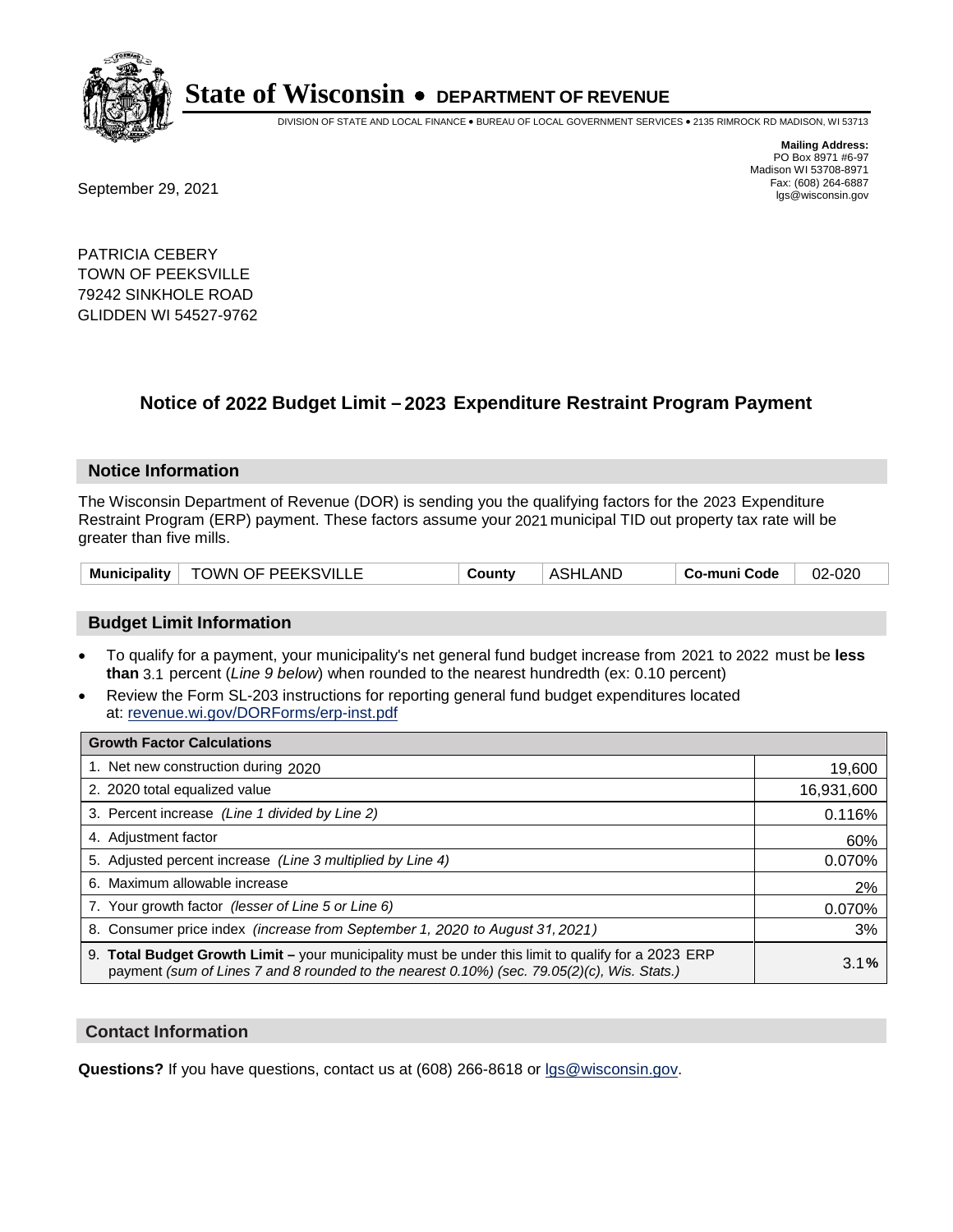

DIVISION OF STATE AND LOCAL FINANCE • BUREAU OF LOCAL GOVERNMENT SERVICES • 2135 RIMROCK RD MADISON, WI 53713

Fax: (608) 264-6887<br>
September 29, 2021 and the state of the state of the state of the state of the state of the state of the state of the state of the state of the state of the state of the state of the state of the state

**Mailing Address:** PO Box 8971 #6-97 Madison WI 53708-8971<br>Fax: (608) 264-6887

PATRICIA CEBERY TOWN OF PEEKSVILLE 79242 SINKHOLE ROAD GLIDDEN WI 54527-9762

## **Notice of 2022 Budget Limit - 2023 Expenditure Restraint Program Payment**

#### **Notice Information**

The Wisconsin Department of Revenue (DOR) is sending you the qualifying factors for the 2023 Expenditure Restraint Program (ERP) payment. These factors assume your 2021 municipal TID out property tax rate will be greater than five mills.

|  | Municipality   TOWN OF PEEKSVILLE | County | <b>ASHLAND</b> | Co-muni Code | 02-020 |
|--|-----------------------------------|--------|----------------|--------------|--------|
|--|-----------------------------------|--------|----------------|--------------|--------|

#### **Budget Limit Information**

- To qualify for a payment, your municipality's net general fund budget increase from 2021 to 2022 must be less **than** 3.1 percent (*Line 9 below*) when rounded to the nearest hundredth (ex: 0.10 percent)
- Review the Form SL-203 instructions for reporting general fund budget expenditures located at: revenue.wi.gov/DORForms/erp-inst.pdf

| <b>Growth Factor Calculations</b>                                                                                                                                                                  |            |
|----------------------------------------------------------------------------------------------------------------------------------------------------------------------------------------------------|------------|
| 1. Net new construction during 2020                                                                                                                                                                | 19,600     |
| 2. 2020 total equalized value                                                                                                                                                                      | 16,931,600 |
| 3. Percent increase (Line 1 divided by Line 2)                                                                                                                                                     | 0.116%     |
| 4. Adjustment factor                                                                                                                                                                               | 60%        |
| 5. Adjusted percent increase (Line 3 multiplied by Line 4)                                                                                                                                         | 0.070%     |
| 6. Maximum allowable increase                                                                                                                                                                      | 2%         |
| 7. Your growth factor (lesser of Line 5 or Line 6)                                                                                                                                                 | 0.070%     |
| 8. Consumer price index (increase from September 1, 2020 to August 31, 2021)                                                                                                                       | 3%         |
| 9. Total Budget Growth Limit – your municipality must be under this limit to qualify for a 2023 ERP<br>payment (sum of Lines 7 and 8 rounded to the nearest 0.10%) (sec. 79.05(2)(c), Wis. Stats.) | 3.1%       |

#### **Contact Information**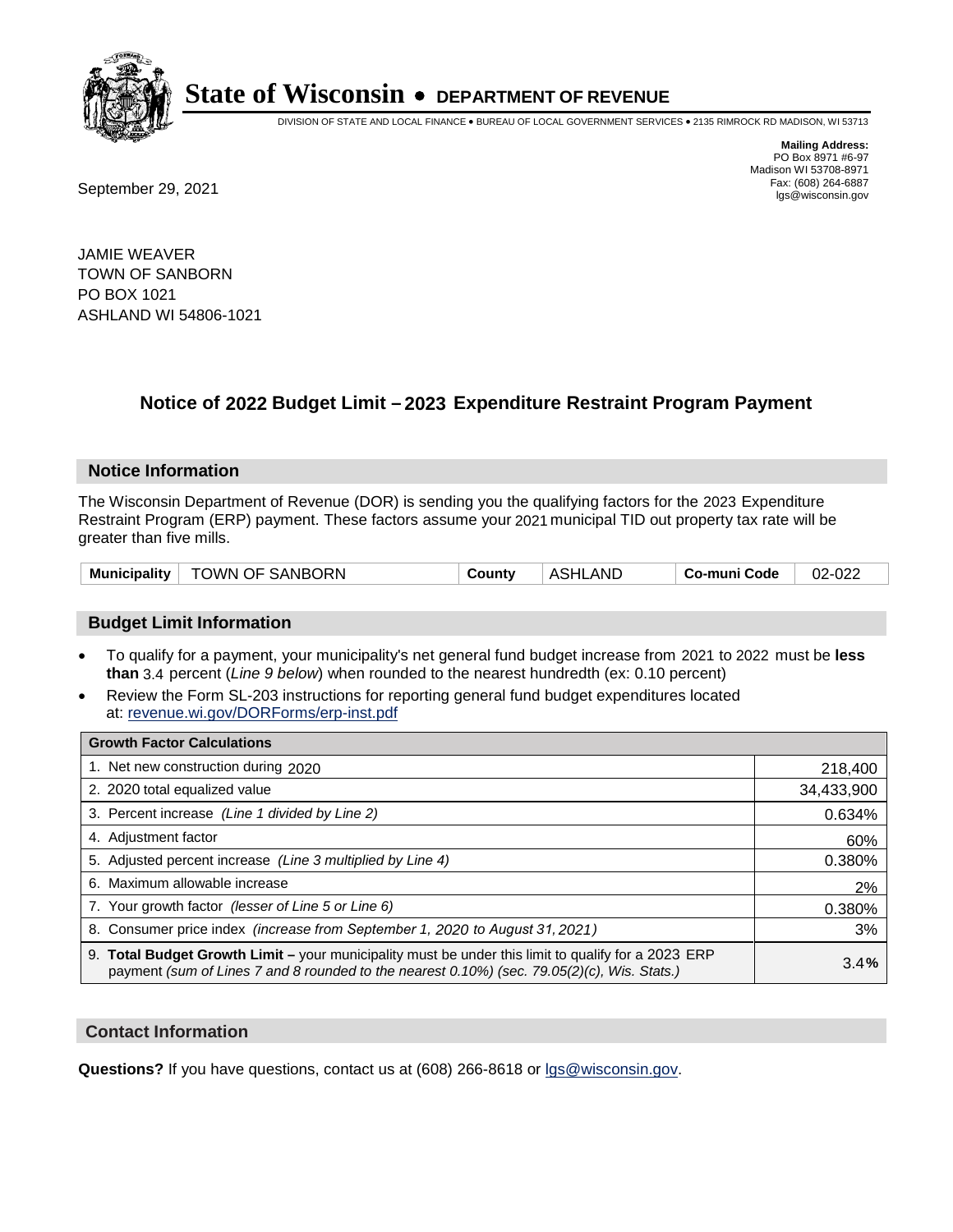

DIVISION OF STATE AND LOCAL FINANCE • BUREAU OF LOCAL GOVERNMENT SERVICES • 2135 RIMROCK RD MADISON, WI 53713

Fax: (608) 264-6887<br>
September 29, 2021 and the state of the state of the state of the state of the state of the state of the state of the state of the state of the state of the state of the state of the state of the state

**Mailing Address:** PO Box 8971 #6-97 Madison WI 53708-8971<br>Fax: (608) 264-6887

JAMIE WEAVER TOWN OF SANBORN PO BOX 1021 ASHLAND WI 54806-1021

## **Notice of 2022 Budget Limit - 2023 Expenditure Restraint Program Payment**

#### **Notice Information**

The Wisconsin Department of Revenue (DOR) is sending you the qualifying factors for the 2023 Expenditure Restraint Program (ERP) payment. These factors assume your 2021 municipal TID out property tax rate will be greater than five mills.

|  | Municipality   TOWN OF SANBORN | County | <b>ASHLAND</b> | Co-muni Code | 02-022 |
|--|--------------------------------|--------|----------------|--------------|--------|
|--|--------------------------------|--------|----------------|--------------|--------|

### **Budget Limit Information**

- To qualify for a payment, your municipality's net general fund budget increase from 2021 to 2022 must be less **than** 3.4 percent (*Line 9 below*) when rounded to the nearest hundredth (ex: 0.10 percent)
- Review the Form SL-203 instructions for reporting general fund budget expenditures located at: revenue.wi.gov/DORForms/erp-inst.pdf

| <b>Growth Factor Calculations</b>                                                                                                                                                                      |            |
|--------------------------------------------------------------------------------------------------------------------------------------------------------------------------------------------------------|------------|
| 1. Net new construction during 2020                                                                                                                                                                    | 218,400    |
| 2. 2020 total equalized value                                                                                                                                                                          | 34,433,900 |
| 3. Percent increase (Line 1 divided by Line 2)                                                                                                                                                         | 0.634%     |
| 4. Adiustment factor                                                                                                                                                                                   | 60%        |
| 5. Adjusted percent increase (Line 3 multiplied by Line 4)                                                                                                                                             | 0.380%     |
| 6. Maximum allowable increase                                                                                                                                                                          | 2%         |
| 7. Your growth factor (lesser of Line 5 or Line 6)                                                                                                                                                     | 0.380%     |
| 8. Consumer price index (increase from September 1, 2020 to August 31, 2021)                                                                                                                           | 3%         |
| 9. Total Budget Growth Limit - your municipality must be under this limit to qualify for a 2023 ERP<br>payment (sum of Lines 7 and 8 rounded to the nearest $0.10\%$ ) (sec. 79.05(2)(c), Wis. Stats.) | 3.4%       |

#### **Contact Information**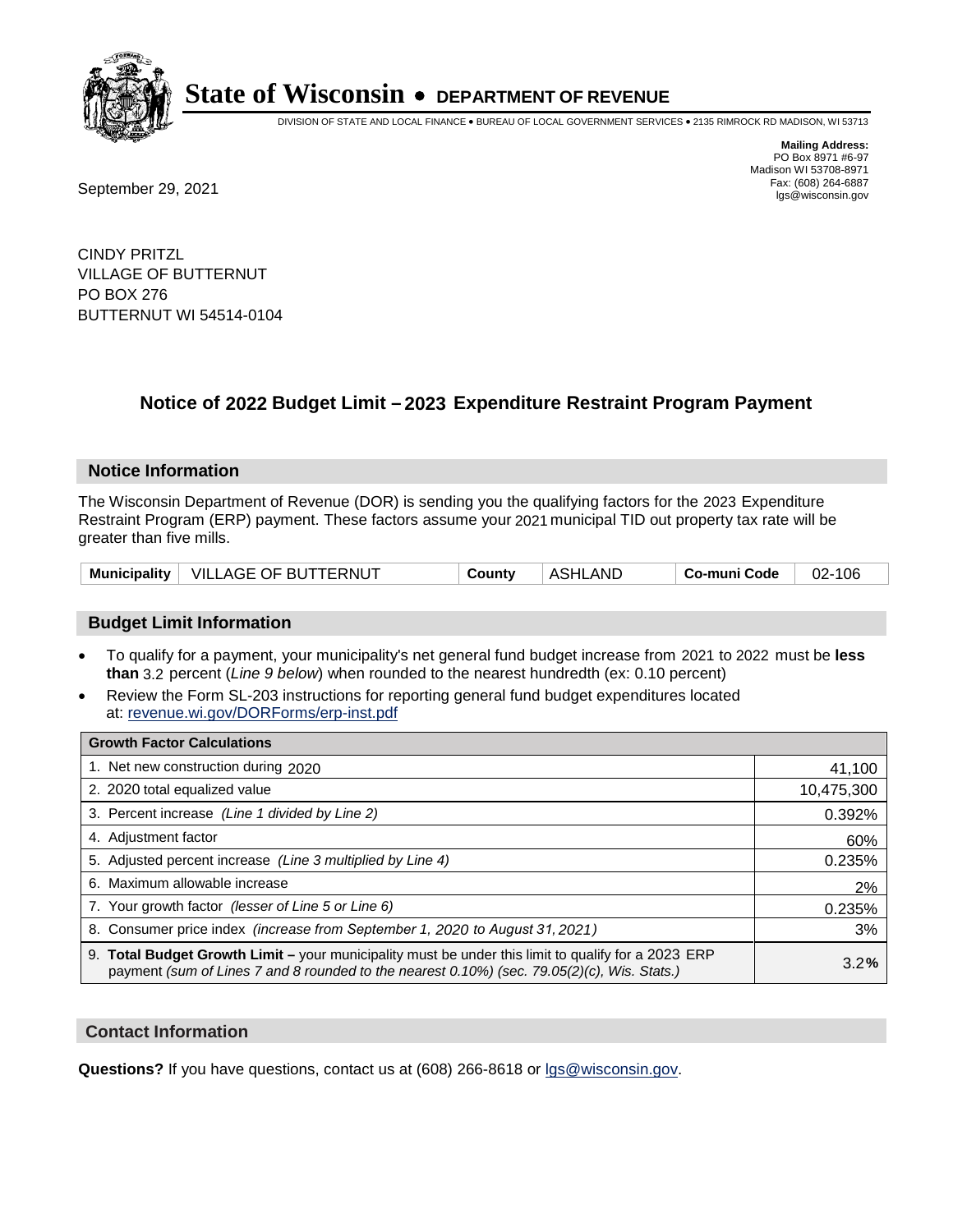

DIVISION OF STATE AND LOCAL FINANCE • BUREAU OF LOCAL GOVERNMENT SERVICES • 2135 RIMROCK RD MADISON, WI 53713

**Mailing Address:** PO Box 8971 #6-97 Madison WI 53708-8971<br>Fax: (608) 264-6887

Fax: (608) 264-6887<br>
September 29, 2021 and the state of the state of the state of the state of the state of the state of the state of the state of the state of the state of the state of the state of the state of the state

CINDY PRITZL VILLAGE OF BUTTERNUT PO BOX 276 BUTTERNUT WI 54514-0104

## **Notice of 2022 Budget Limit - 2023 Expenditure Restraint Program Payment**

#### **Notice Information**

The Wisconsin Department of Revenue (DOR) is sending you the qualifying factors for the 2023 Expenditure Restraint Program (ERP) payment. These factors assume your 2021 municipal TID out property tax rate will be greater than five mills.

|  | Municipality   VILLAGE OF BUTTERNUT | County | ASHLAND | Co-muni Code | 02-106 |
|--|-------------------------------------|--------|---------|--------------|--------|
|--|-------------------------------------|--------|---------|--------------|--------|

### **Budget Limit Information**

- To qualify for a payment, your municipality's net general fund budget increase from 2021 to 2022 must be less **than** 3.2 percent (*Line 9 below*) when rounded to the nearest hundredth (ex: 0.10 percent)
- Review the Form SL-203 instructions for reporting general fund budget expenditures located at: revenue.wi.gov/DORForms/erp-inst.pdf

| <b>Growth Factor Calculations</b>                                                                                                                                                                  |            |
|----------------------------------------------------------------------------------------------------------------------------------------------------------------------------------------------------|------------|
| 1. Net new construction during 2020                                                                                                                                                                | 41,100     |
| 2. 2020 total equalized value                                                                                                                                                                      | 10,475,300 |
| 3. Percent increase (Line 1 divided by Line 2)                                                                                                                                                     | 0.392%     |
| 4. Adjustment factor                                                                                                                                                                               | 60%        |
| 5. Adjusted percent increase (Line 3 multiplied by Line 4)                                                                                                                                         | 0.235%     |
| 6. Maximum allowable increase                                                                                                                                                                      | 2%         |
| 7. Your growth factor (lesser of Line 5 or Line 6)                                                                                                                                                 | 0.235%     |
| 8. Consumer price index (increase from September 1, 2020 to August 31, 2021)                                                                                                                       | 3%         |
| 9. Total Budget Growth Limit – your municipality must be under this limit to qualify for a 2023 ERP<br>payment (sum of Lines 7 and 8 rounded to the nearest 0.10%) (sec. 79.05(2)(c), Wis. Stats.) | 3.2%       |

#### **Contact Information**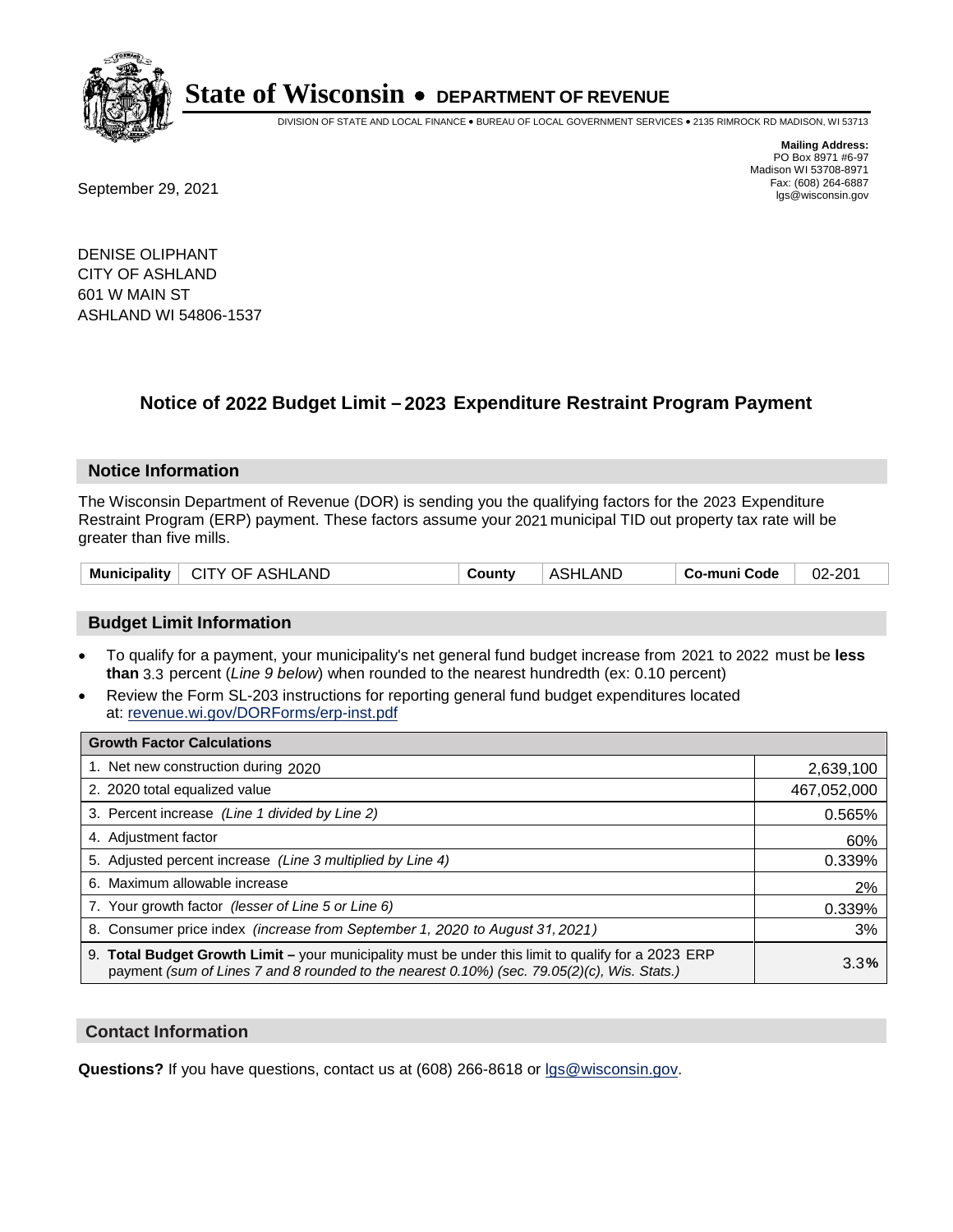

DIVISION OF STATE AND LOCAL FINANCE • BUREAU OF LOCAL GOVERNMENT SERVICES • 2135 RIMROCK RD MADISON, WI 53713

Fax: (608) 264-6887<br>
September 29, 2021 and the state of the state of the state of the state of the state of the state of the state of the state of the state of the state of the state of the state of the state of the state

**Mailing Address:** PO Box 8971 #6-97 Madison WI 53708-8971<br>Fax: (608) 264-6887

DENISE OLIPHANT CITY OF ASHLAND 601 W MAIN ST ASHLAND WI 54806-1537

## **Notice of 2022 Budget Limit - 2023 Expenditure Restraint Program Payment**

#### **Notice Information**

The Wisconsin Department of Revenue (DOR) is sending you the qualifying factors for the 2023 Expenditure Restraint Program (ERP) payment. These factors assume your 2021 municipal TID out property tax rate will be greater than five mills.

| Municipality   CITY OF ASHLAND | Countv | ASHLAND | Co-muni Code | 02-201 |
|--------------------------------|--------|---------|--------------|--------|
|--------------------------------|--------|---------|--------------|--------|

### **Budget Limit Information**

- To qualify for a payment, your municipality's net general fund budget increase from 2021 to 2022 must be less **than** 3.3 percent (*Line 9 below*) when rounded to the nearest hundredth (ex: 0.10 percent)
- Review the Form SL-203 instructions for reporting general fund budget expenditures located at: revenue.wi.gov/DORForms/erp-inst.pdf

| <b>Growth Factor Calculations</b>                                                                                                                                                                  |             |
|----------------------------------------------------------------------------------------------------------------------------------------------------------------------------------------------------|-------------|
| 1. Net new construction during 2020                                                                                                                                                                | 2,639,100   |
| 2. 2020 total equalized value                                                                                                                                                                      | 467,052,000 |
| 3. Percent increase (Line 1 divided by Line 2)                                                                                                                                                     | 0.565%      |
| 4. Adiustment factor                                                                                                                                                                               | 60%         |
| 5. Adjusted percent increase (Line 3 multiplied by Line 4)                                                                                                                                         | 0.339%      |
| 6. Maximum allowable increase                                                                                                                                                                      | 2%          |
| 7. Your growth factor (lesser of Line 5 or Line 6)                                                                                                                                                 | 0.339%      |
| 8. Consumer price index (increase from September 1, 2020 to August 31, 2021)                                                                                                                       | 3%          |
| 9. Total Budget Growth Limit - your municipality must be under this limit to qualify for a 2023 ERP<br>payment (sum of Lines 7 and 8 rounded to the nearest 0.10%) (sec. 79.05(2)(c), Wis. Stats.) | 3.3%        |

#### **Contact Information**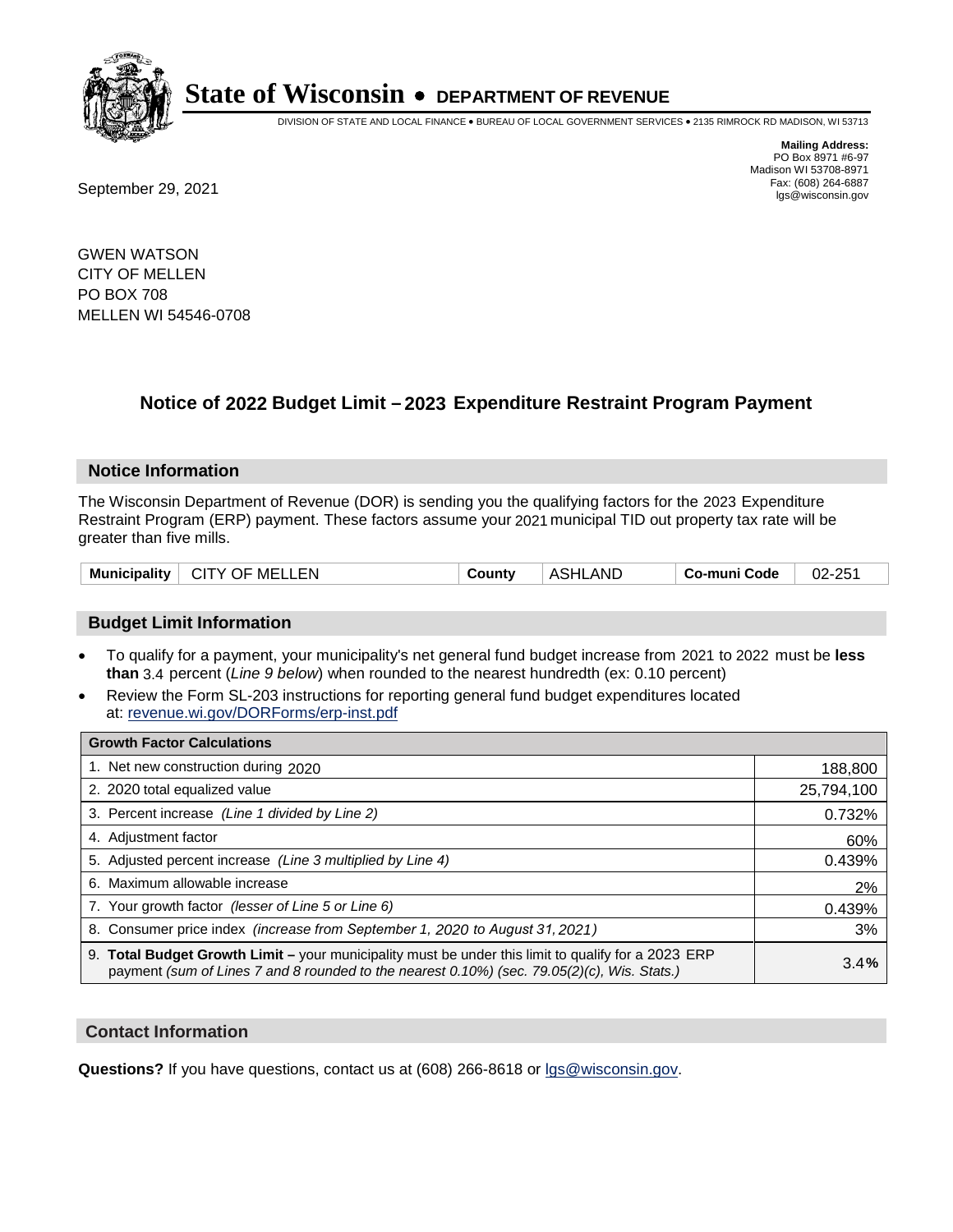

DIVISION OF STATE AND LOCAL FINANCE • BUREAU OF LOCAL GOVERNMENT SERVICES • 2135 RIMROCK RD MADISON, WI 53713

**Mailing Address:** PO Box 8971 #6-97 Madison WI 53708-8971<br>Fax: (608) 264-6887

Fax: (608) 264-6887<br>
September 29, 2021 and the state of the state of the state of the state of the state of the state of the state of the state of the state of the state of the state of the state of the state of the state

GWEN WATSON CITY OF MELLEN PO BOX 708 MELLEN WI 54546-0708

## **Notice of 2022 Budget Limit - 2023 Expenditure Restraint Program Payment**

#### **Notice Information**

The Wisconsin Department of Revenue (DOR) is sending you the qualifying factors for the 2023 Expenditure Restraint Program (ERP) payment. These factors assume your 2021 municipal TID out property tax rate will be greater than five mills.

| Municipality   CITY OF MELLEN | County | ASHLAND | Co-muni Code | 02-251 |
|-------------------------------|--------|---------|--------------|--------|
|-------------------------------|--------|---------|--------------|--------|

### **Budget Limit Information**

- To qualify for a payment, your municipality's net general fund budget increase from 2021 to 2022 must be less **than** 3.4 percent (*Line 9 below*) when rounded to the nearest hundredth (ex: 0.10 percent)
- Review the Form SL-203 instructions for reporting general fund budget expenditures located at: revenue.wi.gov/DORForms/erp-inst.pdf

| <b>Growth Factor Calculations</b>                                                                                                                                                                  |            |
|----------------------------------------------------------------------------------------------------------------------------------------------------------------------------------------------------|------------|
| 1. Net new construction during 2020                                                                                                                                                                | 188,800    |
| 2. 2020 total equalized value                                                                                                                                                                      | 25,794,100 |
| 3. Percent increase (Line 1 divided by Line 2)                                                                                                                                                     | 0.732%     |
| 4. Adjustment factor                                                                                                                                                                               | 60%        |
| 5. Adjusted percent increase (Line 3 multiplied by Line 4)                                                                                                                                         | 0.439%     |
| 6. Maximum allowable increase                                                                                                                                                                      | 2%         |
| 7. Your growth factor (lesser of Line 5 or Line 6)                                                                                                                                                 | 0.439%     |
| 8. Consumer price index (increase from September 1, 2020 to August 31, 2021)                                                                                                                       | 3%         |
| 9. Total Budget Growth Limit – your municipality must be under this limit to qualify for a 2023 ERP<br>payment (sum of Lines 7 and 8 rounded to the nearest 0.10%) (sec. 79.05(2)(c), Wis. Stats.) | 3.4%       |

#### **Contact Information**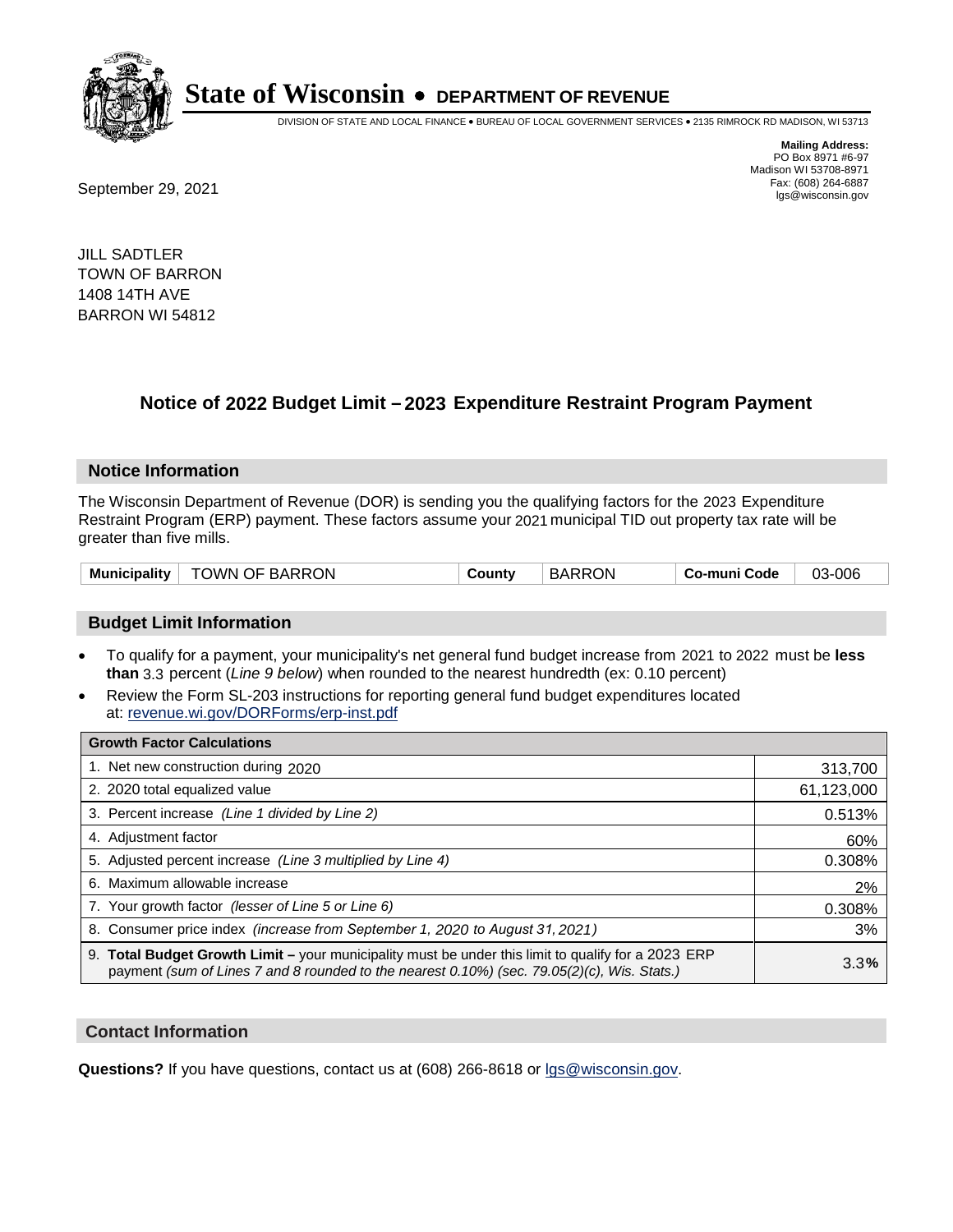

DIVISION OF STATE AND LOCAL FINANCE • BUREAU OF LOCAL GOVERNMENT SERVICES • 2135 RIMROCK RD MADISON, WI 53713

**Mailing Address:** PO Box 8971 #6-97 Madison WI 53708-8971<br>Fax: (608) 264-6887

Fax: (608) 264-6887<br>
September 29, 2021 and the state of the state of the state of the state of the state of the state of the state of the state of the state of the state of the state of the state of the state of the state

JILL SADTLER TOWN OF BARRON 1408 14TH AVE BARRON WI 54812

## **Notice of 2022 Budget Limit - 2023 Expenditure Restraint Program Payment**

#### **Notice Information**

The Wisconsin Department of Revenue (DOR) is sending you the qualifying factors for the 2023 Expenditure Restraint Program (ERP) payment. These factors assume your 2021 municipal TID out property tax rate will be greater than five mills.

#### **Budget Limit Information**

- To qualify for a payment, your municipality's net general fund budget increase from 2021 to 2022 must be less **than** 3.3 percent (*Line 9 below*) when rounded to the nearest hundredth (ex: 0.10 percent)
- Review the Form SL-203 instructions for reporting general fund budget expenditures located at: revenue.wi.gov/DORForms/erp-inst.pdf

| <b>Growth Factor Calculations</b>                                                                                                                                                                      |            |
|--------------------------------------------------------------------------------------------------------------------------------------------------------------------------------------------------------|------------|
| 1. Net new construction during 2020                                                                                                                                                                    | 313,700    |
| 2. 2020 total equalized value                                                                                                                                                                          | 61,123,000 |
| 3. Percent increase (Line 1 divided by Line 2)                                                                                                                                                         | 0.513%     |
| 4. Adjustment factor                                                                                                                                                                                   | 60%        |
| 5. Adjusted percent increase (Line 3 multiplied by Line 4)                                                                                                                                             | 0.308%     |
| 6. Maximum allowable increase                                                                                                                                                                          | 2%         |
| 7. Your growth factor (lesser of Line 5 or Line 6)                                                                                                                                                     | 0.308%     |
| 8. Consumer price index (increase from September 1, 2020 to August 31, 2021)                                                                                                                           | 3%         |
| 9. Total Budget Growth Limit - your municipality must be under this limit to qualify for a 2023 ERP<br>payment (sum of Lines 7 and 8 rounded to the nearest $0.10\%$ ) (sec. 79.05(2)(c), Wis. Stats.) | 3.3%       |

#### **Contact Information**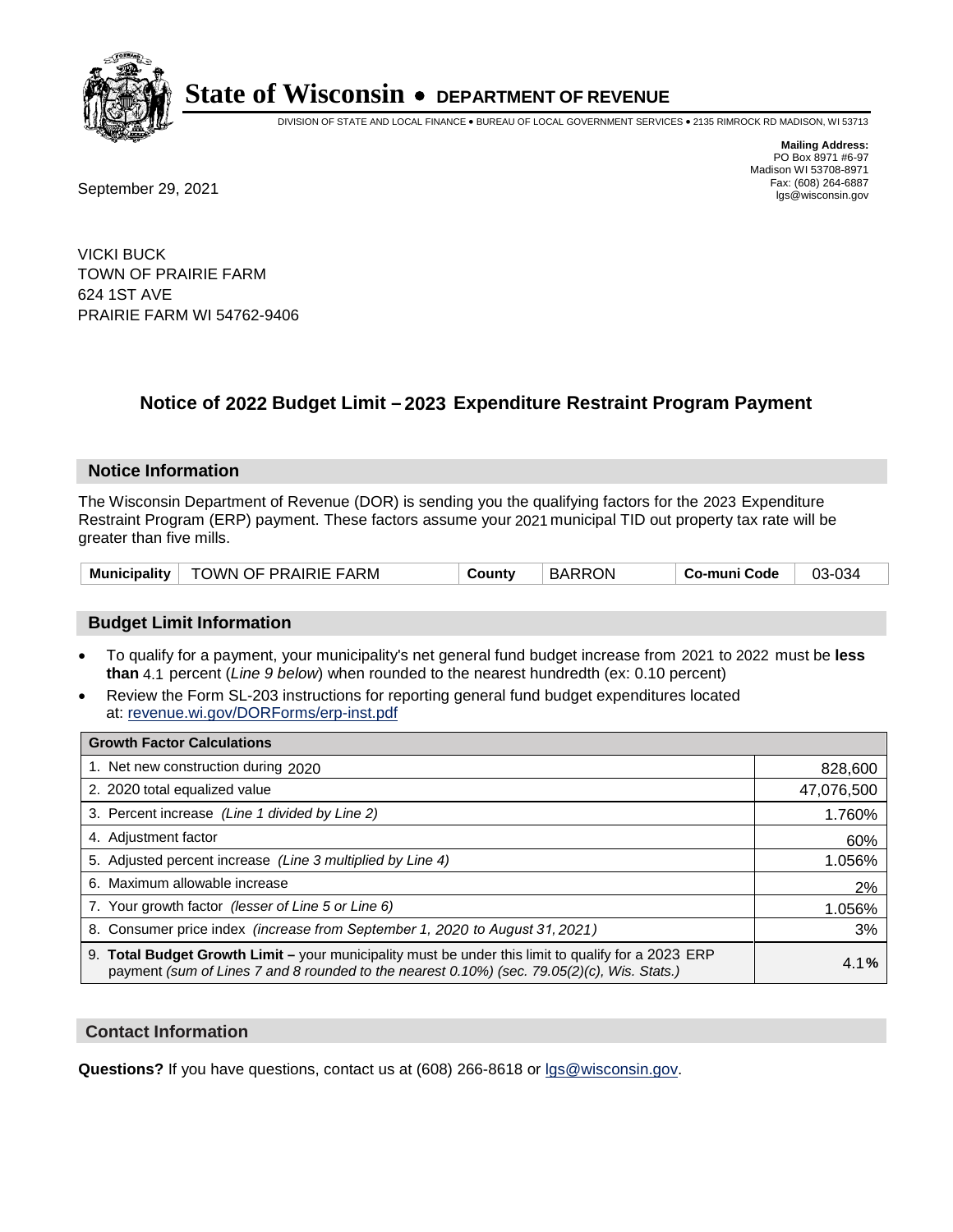

DIVISION OF STATE AND LOCAL FINANCE • BUREAU OF LOCAL GOVERNMENT SERVICES • 2135 RIMROCK RD MADISON, WI 53713

**Mailing Address:** PO Box 8971 #6-97 Madison WI 53708-8971<br>Fax: (608) 264-6887

Fax: (608) 264-6887<br>
September 29, 2021 and the state of the state of the state of the state of the state of the state of the state of the state of the state of the state of the state of the state of the state of the state

VICKI BUCK TOWN OF PRAIRIE FARM 624 1ST AVE PRAIRIE FARM WI 54762-9406

## **Notice of 2022 Budget Limit - 2023 Expenditure Restraint Program Payment**

#### **Notice Information**

The Wisconsin Department of Revenue (DOR) is sending you the qualifying factors for the 2023 Expenditure Restraint Program (ERP) payment. These factors assume your 2021 municipal TID out property tax rate will be greater than five mills.

| TOWN OF PRAIRIE FARM<br><b>Municipality</b> | County | <b>BARRON</b> | Co-muni Code | 03-034 |
|---------------------------------------------|--------|---------------|--------------|--------|
|---------------------------------------------|--------|---------------|--------------|--------|

### **Budget Limit Information**

- To qualify for a payment, your municipality's net general fund budget increase from 2021 to 2022 must be less **than** 4.1 percent (*Line 9 below*) when rounded to the nearest hundredth (ex: 0.10 percent)
- Review the Form SL-203 instructions for reporting general fund budget expenditures located at: revenue.wi.gov/DORForms/erp-inst.pdf

| <b>Growth Factor Calculations</b>                                                                                                                                                                  |            |
|----------------------------------------------------------------------------------------------------------------------------------------------------------------------------------------------------|------------|
| 1. Net new construction during 2020                                                                                                                                                                | 828,600    |
| 2. 2020 total equalized value                                                                                                                                                                      | 47,076,500 |
| 3. Percent increase (Line 1 divided by Line 2)                                                                                                                                                     | 1.760%     |
| 4. Adiustment factor                                                                                                                                                                               | 60%        |
| 5. Adjusted percent increase (Line 3 multiplied by Line 4)                                                                                                                                         | 1.056%     |
| 6. Maximum allowable increase                                                                                                                                                                      | 2%         |
| 7. Your growth factor (lesser of Line 5 or Line 6)                                                                                                                                                 | 1.056%     |
| 8. Consumer price index (increase from September 1, 2020 to August 31, 2021)                                                                                                                       | 3%         |
| 9. Total Budget Growth Limit – your municipality must be under this limit to qualify for a 2023 ERP<br>payment (sum of Lines 7 and 8 rounded to the nearest 0.10%) (sec. 79.05(2)(c), Wis. Stats.) | 4.1%       |

#### **Contact Information**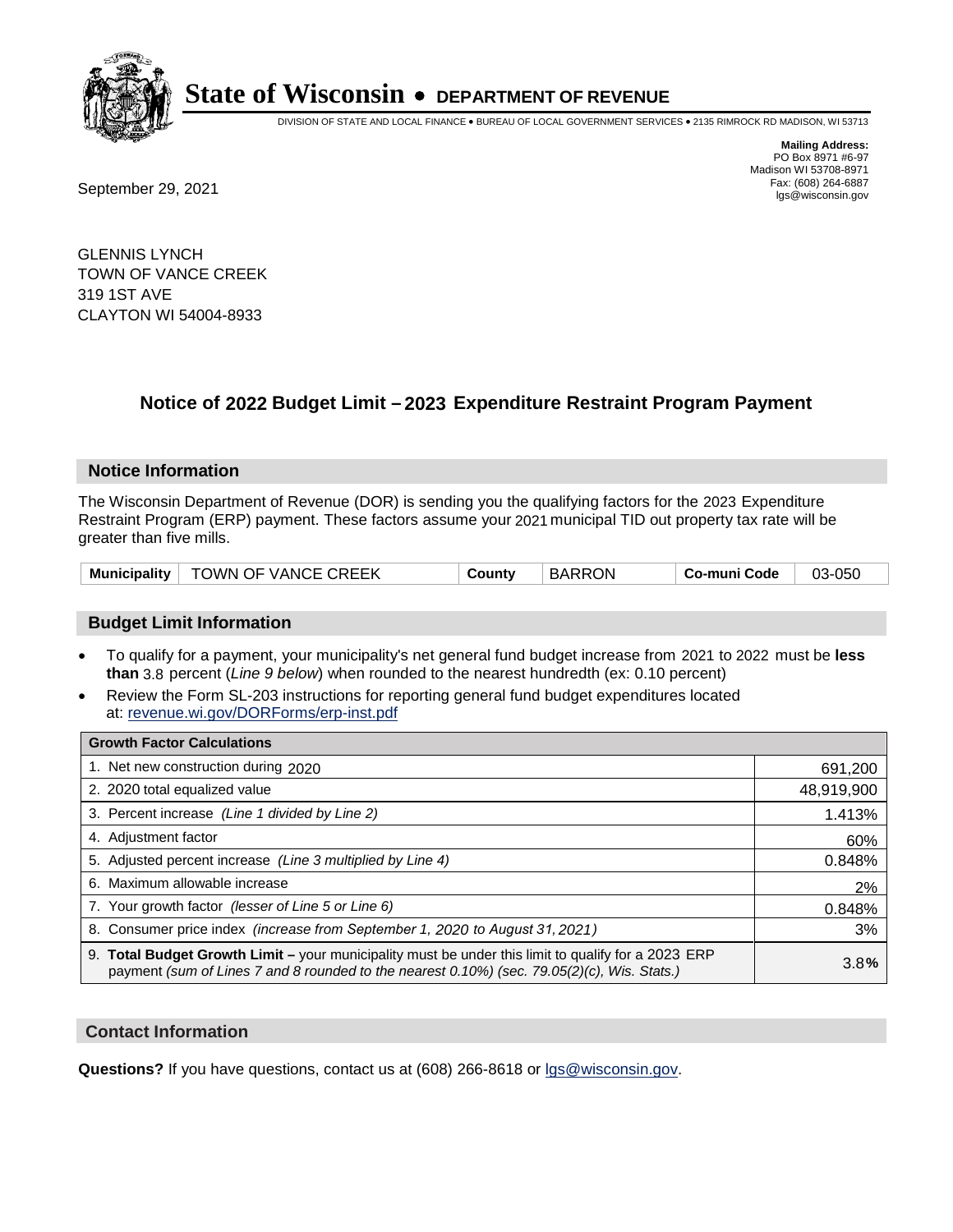

DIVISION OF STATE AND LOCAL FINANCE • BUREAU OF LOCAL GOVERNMENT SERVICES • 2135 RIMROCK RD MADISON, WI 53713

Fax: (608) 264-6887<br>
September 29, 2021 and the state of the state of the state of the state of the state of the state of the state of the state of the state of the state of the state of the state of the state of the state

**Mailing Address:** PO Box 8971 #6-97 Madison WI 53708-8971<br>Fax: (608) 264-6887

GLENNIS LYNCH TOWN OF VANCE CREEK 319 1ST AVE CLAYTON WI 54004-8933

### **Notice of 2022 Budget Limit - 2023 Expenditure Restraint Program Payment**

#### **Notice Information**

The Wisconsin Department of Revenue (DOR) is sending you the qualifying factors for the 2023 Expenditure Restraint Program (ERP) payment. These factors assume your 2021 municipal TID out property tax rate will be greater than five mills.

| Municipality   TOWN OF VANCE CREEK | County | <b>BARRON</b> | Co-muni Code | 03-050 |
|------------------------------------|--------|---------------|--------------|--------|
|------------------------------------|--------|---------------|--------------|--------|

#### **Budget Limit Information**

- To qualify for a payment, your municipality's net general fund budget increase from 2021 to 2022 must be less **than** 3.8 percent (*Line 9 below*) when rounded to the nearest hundredth (ex: 0.10 percent)
- Review the Form SL-203 instructions for reporting general fund budget expenditures located at: revenue.wi.gov/DORForms/erp-inst.pdf

| <b>Growth Factor Calculations</b>                                                                                                                                                                  |            |
|----------------------------------------------------------------------------------------------------------------------------------------------------------------------------------------------------|------------|
| 1. Net new construction during 2020                                                                                                                                                                | 691,200    |
| 2. 2020 total equalized value                                                                                                                                                                      | 48,919,900 |
| 3. Percent increase (Line 1 divided by Line 2)                                                                                                                                                     | 1.413%     |
| 4. Adjustment factor                                                                                                                                                                               | 60%        |
| 5. Adjusted percent increase (Line 3 multiplied by Line 4)                                                                                                                                         | 0.848%     |
| 6. Maximum allowable increase                                                                                                                                                                      | 2%         |
| 7. Your growth factor (lesser of Line 5 or Line 6)                                                                                                                                                 | 0.848%     |
| 8. Consumer price index (increase from September 1, 2020 to August 31, 2021)                                                                                                                       | 3%         |
| 9. Total Budget Growth Limit - your municipality must be under this limit to qualify for a 2023 ERP<br>payment (sum of Lines 7 and 8 rounded to the nearest 0.10%) (sec. 79.05(2)(c), Wis. Stats.) | 3.8%       |

#### **Contact Information**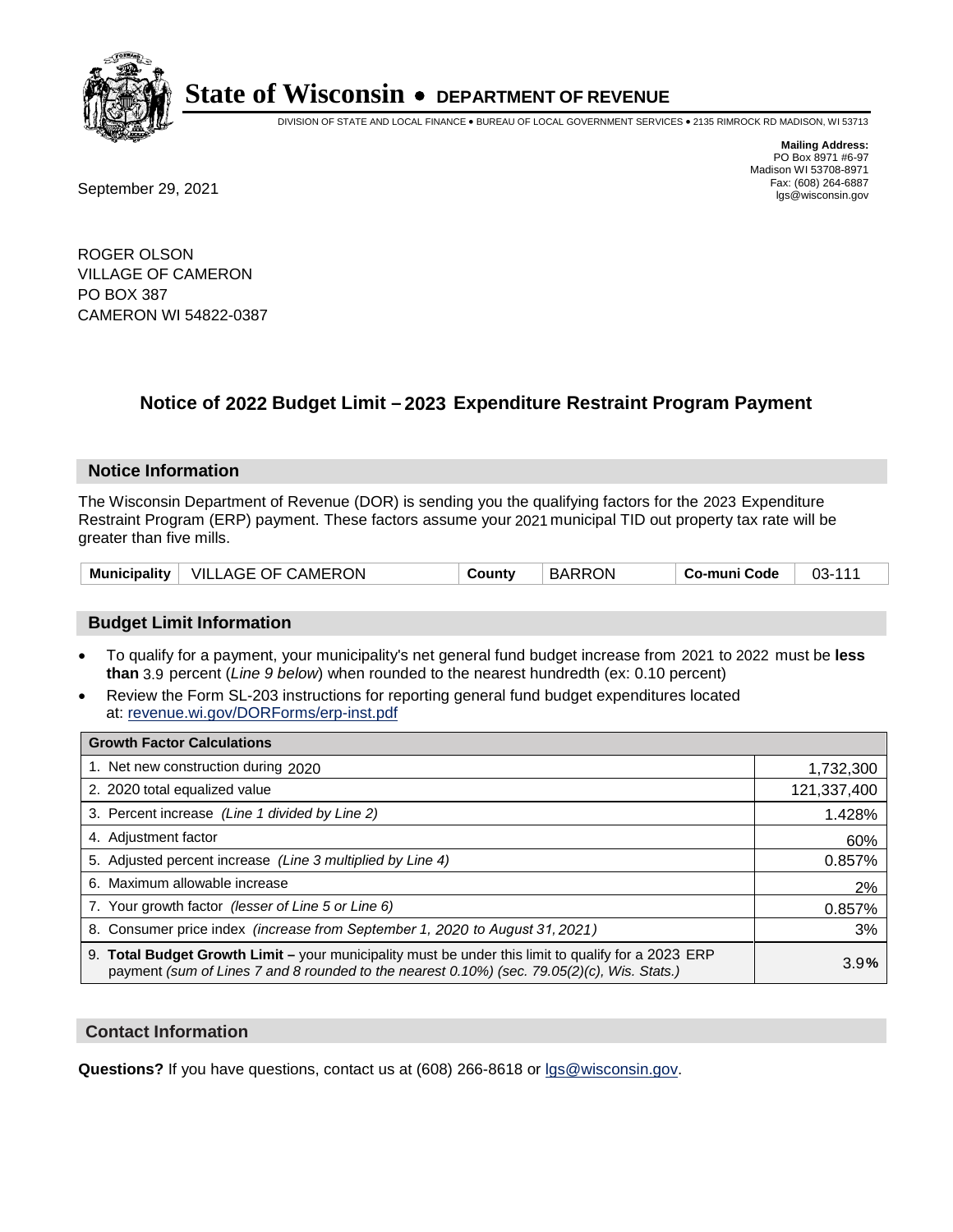

DIVISION OF STATE AND LOCAL FINANCE • BUREAU OF LOCAL GOVERNMENT SERVICES • 2135 RIMROCK RD MADISON, WI 53713

**Mailing Address:** PO Box 8971 #6-97 Madison WI 53708-8971<br>Fax: (608) 264-6887

Fax: (608) 264-6887<br>
September 29, 2021 and the state of the state of the state of the state of the state of the state of the state of the state of the state of the state of the state of the state of the state of the state

ROGER OLSON VILLAGE OF CAMERON PO BOX 387 CAMERON WI 54822-0387

## **Notice of 2022 Budget Limit - 2023 Expenditure Restraint Program Payment**

#### **Notice Information**

The Wisconsin Department of Revenue (DOR) is sending you the qualifying factors for the 2023 Expenditure Restraint Program (ERP) payment. These factors assume your 2021 municipal TID out property tax rate will be greater than five mills.

| Municipality | VILLAGE OF CAMERON | County | <b>BARRON</b> | <b>Co-muni Code</b> | 03-111 |
|--------------|--------------------|--------|---------------|---------------------|--------|
|--------------|--------------------|--------|---------------|---------------------|--------|

### **Budget Limit Information**

- To qualify for a payment, your municipality's net general fund budget increase from 2021 to 2022 must be less **than** 3.9 percent (*Line 9 below*) when rounded to the nearest hundredth (ex: 0.10 percent)
- Review the Form SL-203 instructions for reporting general fund budget expenditures located at: revenue.wi.gov/DORForms/erp-inst.pdf

| <b>Growth Factor Calculations</b>                                                                                                                                                                  |             |
|----------------------------------------------------------------------------------------------------------------------------------------------------------------------------------------------------|-------------|
| 1. Net new construction during 2020                                                                                                                                                                | 1,732,300   |
| 2. 2020 total equalized value                                                                                                                                                                      | 121,337,400 |
| 3. Percent increase (Line 1 divided by Line 2)                                                                                                                                                     | 1.428%      |
| 4. Adjustment factor                                                                                                                                                                               | 60%         |
| 5. Adjusted percent increase (Line 3 multiplied by Line 4)                                                                                                                                         | 0.857%      |
| 6. Maximum allowable increase                                                                                                                                                                      | 2%          |
| 7. Your growth factor (lesser of Line 5 or Line 6)                                                                                                                                                 | 0.857%      |
| 8. Consumer price index (increase from September 1, 2020 to August 31, 2021)                                                                                                                       | 3%          |
| 9. Total Budget Growth Limit - your municipality must be under this limit to qualify for a 2023 ERP<br>payment (sum of Lines 7 and 8 rounded to the nearest 0.10%) (sec. 79.05(2)(c), Wis. Stats.) | 3.9%        |

#### **Contact Information**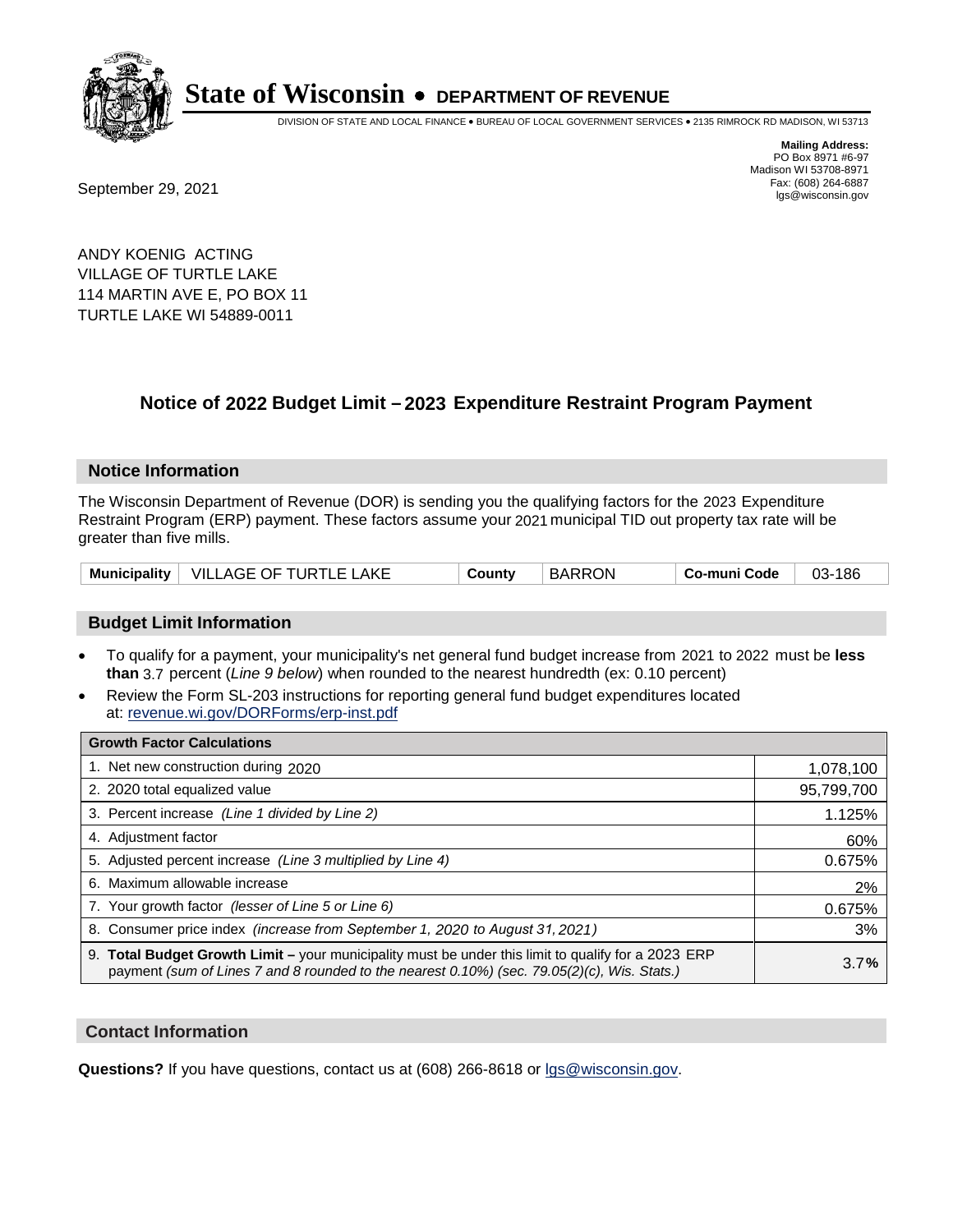

DIVISION OF STATE AND LOCAL FINANCE • BUREAU OF LOCAL GOVERNMENT SERVICES • 2135 RIMROCK RD MADISON, WI 53713

Fax: (608) 264-6887<br>
September 29, 2021 and the state of the state of the state of the state of the state of the state of the state of the state of the state of the state of the state of the state of the state of the state

**Mailing Address:** PO Box 8971 #6-97 Madison WI 53708-8971<br>Fax: (608) 264-6887

ANDY KOENIG ACTING VILLAGE OF TURTLE LAKE 114 MARTIN AVE E, PO BOX 11 TURTLE LAKE WI 54889-0011

## **Notice of 2022 Budget Limit - 2023 Expenditure Restraint Program Payment**

#### **Notice Information**

The Wisconsin Department of Revenue (DOR) is sending you the qualifying factors for the 2023 Expenditure Restraint Program (ERP) payment. These factors assume your 2021 municipal TID out property tax rate will be greater than five mills.

| Municipality   VILLAGE OF TURTLE LAKE | County | <b>BARRON</b> | Co-muni Code | 03-186 |
|---------------------------------------|--------|---------------|--------------|--------|
|---------------------------------------|--------|---------------|--------------|--------|

### **Budget Limit Information**

- To qualify for a payment, your municipality's net general fund budget increase from 2021 to 2022 must be less **than** 3.7 percent (*Line 9 below*) when rounded to the nearest hundredth (ex: 0.10 percent)
- Review the Form SL-203 instructions for reporting general fund budget expenditures located at: revenue.wi.gov/DORForms/erp-inst.pdf

| <b>Growth Factor Calculations</b>                                                                                                                                                                  |            |
|----------------------------------------------------------------------------------------------------------------------------------------------------------------------------------------------------|------------|
| 1. Net new construction during 2020                                                                                                                                                                | 1,078,100  |
| 2. 2020 total equalized value                                                                                                                                                                      | 95,799,700 |
| 3. Percent increase (Line 1 divided by Line 2)                                                                                                                                                     | 1.125%     |
| 4. Adjustment factor                                                                                                                                                                               | 60%        |
| 5. Adjusted percent increase (Line 3 multiplied by Line 4)                                                                                                                                         | 0.675%     |
| 6. Maximum allowable increase                                                                                                                                                                      | 2%         |
| 7. Your growth factor (lesser of Line 5 or Line 6)                                                                                                                                                 | 0.675%     |
| 8. Consumer price index (increase from September 1, 2020 to August 31, 2021)                                                                                                                       | 3%         |
| 9. Total Budget Growth Limit – your municipality must be under this limit to qualify for a 2023 ERP<br>payment (sum of Lines 7 and 8 rounded to the nearest 0.10%) (sec. 79.05(2)(c), Wis. Stats.) | 3.7%       |

#### **Contact Information**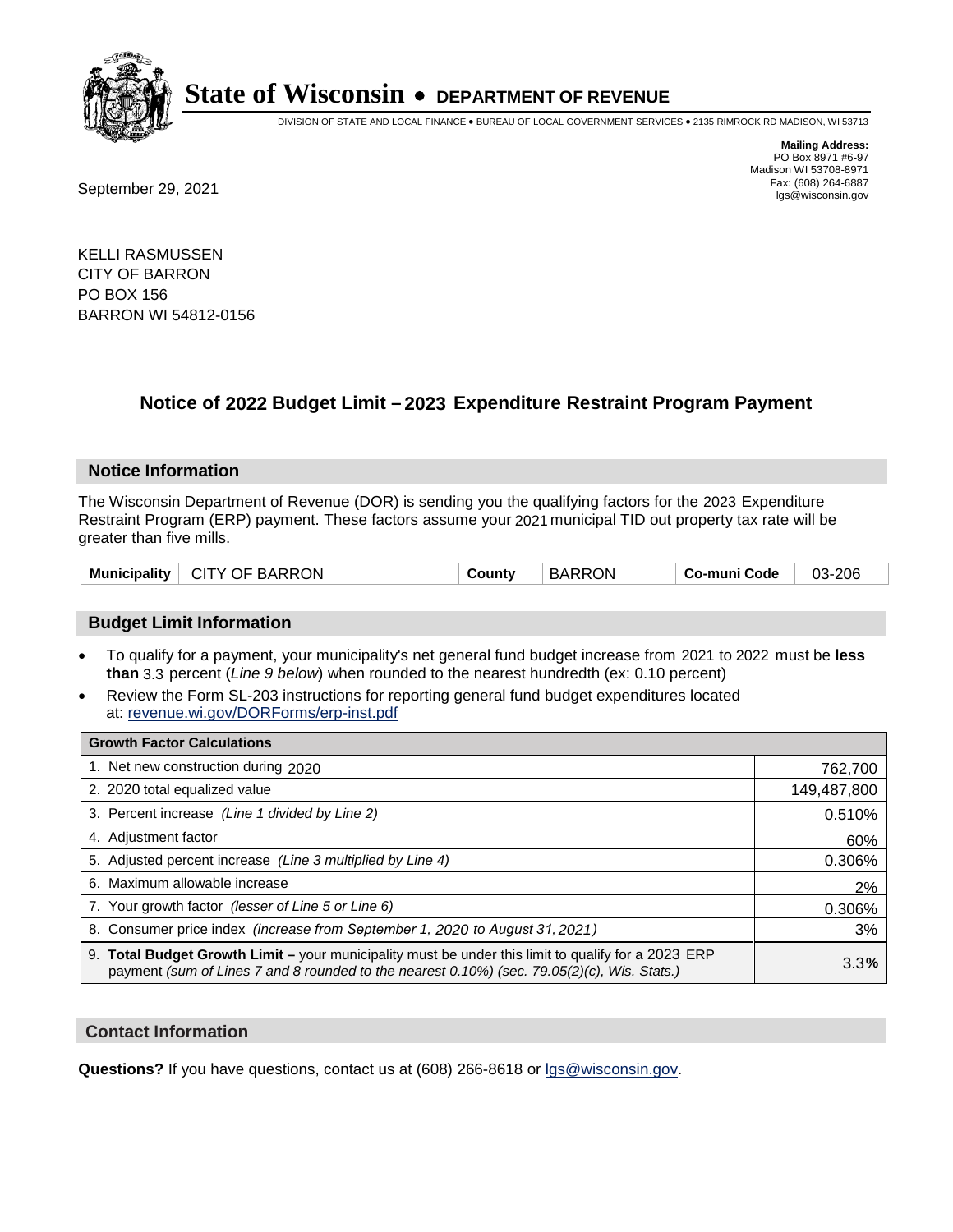

DIVISION OF STATE AND LOCAL FINANCE • BUREAU OF LOCAL GOVERNMENT SERVICES • 2135 RIMROCK RD MADISON, WI 53713

Fax: (608) 264-6887<br>
September 29, 2021 and the state of the state of the state of the state of the state of the state of the state of the state of the state of the state of the state of the state of the state of the state

**Mailing Address:** PO Box 8971 #6-97 Madison WI 53708-8971<br>Fax: (608) 264-6887

KELLI RASMUSSEN CITY OF BARRON PO BOX 156 BARRON WI 54812-0156

## **Notice of 2022 Budget Limit - 2023 Expenditure Restraint Program Payment**

#### **Notice Information**

The Wisconsin Department of Revenue (DOR) is sending you the qualifying factors for the 2023 Expenditure Restraint Program (ERP) payment. These factors assume your 2021 municipal TID out property tax rate will be greater than five mills.

| Municipality   CITY OF BARRON | County | <b>BARRON</b> | Co-muni Code | 03-206 |
|-------------------------------|--------|---------------|--------------|--------|
|-------------------------------|--------|---------------|--------------|--------|

### **Budget Limit Information**

- To qualify for a payment, your municipality's net general fund budget increase from 2021 to 2022 must be less **than** 3.3 percent (*Line 9 below*) when rounded to the nearest hundredth (ex: 0.10 percent)
- Review the Form SL-203 instructions for reporting general fund budget expenditures located at: revenue.wi.gov/DORForms/erp-inst.pdf

| <b>Growth Factor Calculations</b>                                                                                                                                                                  |             |
|----------------------------------------------------------------------------------------------------------------------------------------------------------------------------------------------------|-------------|
| 1. Net new construction during 2020                                                                                                                                                                | 762,700     |
| 2. 2020 total equalized value                                                                                                                                                                      | 149,487,800 |
| 3. Percent increase (Line 1 divided by Line 2)                                                                                                                                                     | 0.510%      |
| 4. Adjustment factor                                                                                                                                                                               | 60%         |
| 5. Adjusted percent increase (Line 3 multiplied by Line 4)                                                                                                                                         | 0.306%      |
| 6. Maximum allowable increase                                                                                                                                                                      | 2%          |
| 7. Your growth factor (lesser of Line 5 or Line 6)                                                                                                                                                 | 0.306%      |
| 8. Consumer price index (increase from September 1, 2020 to August 31, 2021)                                                                                                                       | 3%          |
| 9. Total Budget Growth Limit - your municipality must be under this limit to qualify for a 2023 ERP<br>payment (sum of Lines 7 and 8 rounded to the nearest 0.10%) (sec. 79.05(2)(c), Wis. Stats.) | 3.3%        |

#### **Contact Information**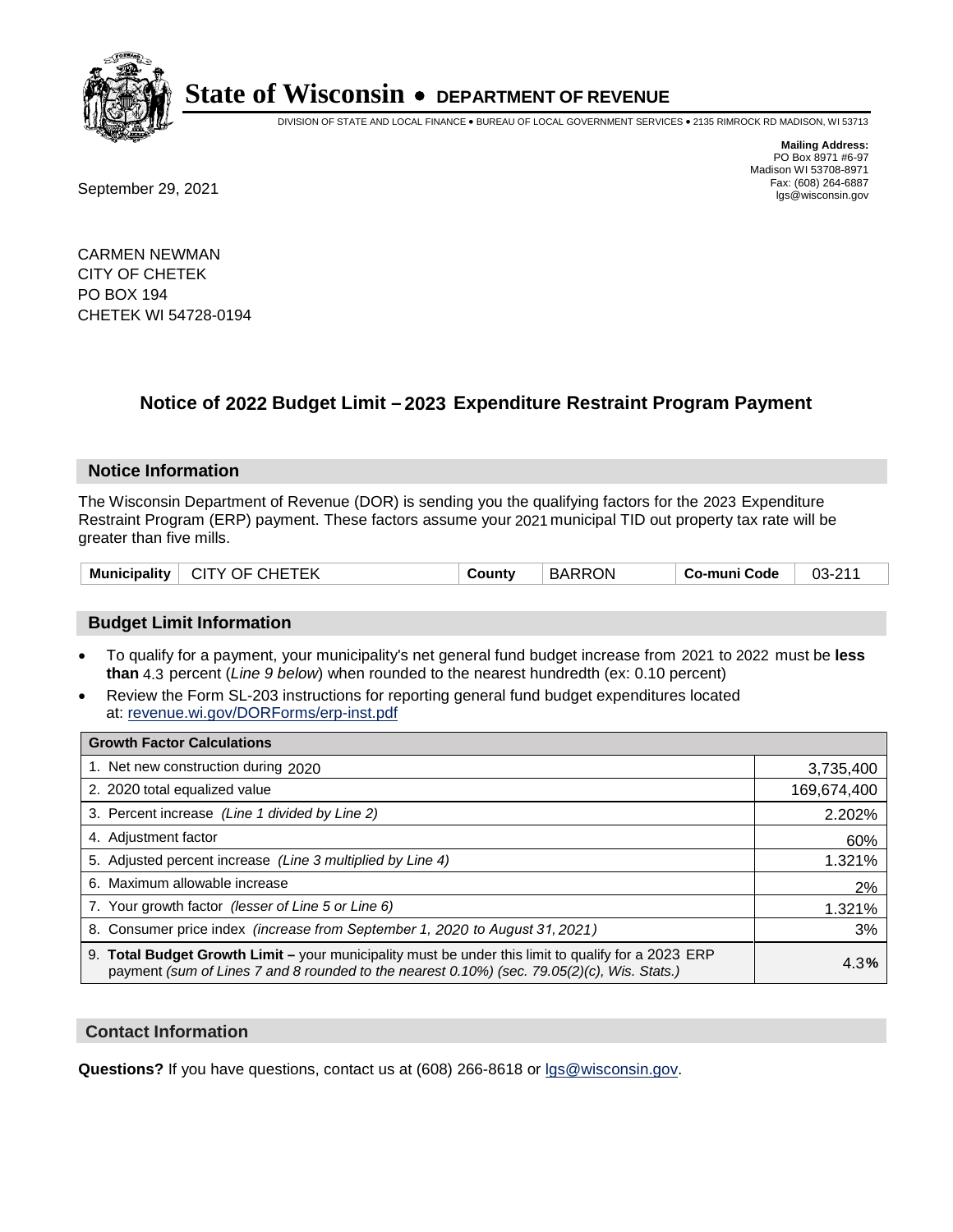

DIVISION OF STATE AND LOCAL FINANCE • BUREAU OF LOCAL GOVERNMENT SERVICES • 2135 RIMROCK RD MADISON, WI 53713

**Mailing Address:** PO Box 8971 #6-97 Madison WI 53708-8971<br>Fax: (608) 264-6887 Fax: (608) 264-6887<br>
September 29, 2021 and the state of the state of the state of the state of the state of the state of the state of the state of the state of the state of the state of the state of the state of the state

CARMEN NEWMAN CITY OF CHETEK PO BOX 194 CHETEK WI 54728-0194

## **Notice of 2022 Budget Limit - 2023 Expenditure Restraint Program Payment**

#### **Notice Information**

The Wisconsin Department of Revenue (DOR) is sending you the qualifying factors for the 2023 Expenditure Restraint Program (ERP) payment. These factors assume your 2021 municipal TID out property tax rate will be greater than five mills.

| Municipality   CITY OF CHETEK | County | <b>BARRON</b> | Co-muni Code | $03 - 211$ |
|-------------------------------|--------|---------------|--------------|------------|
|-------------------------------|--------|---------------|--------------|------------|

### **Budget Limit Information**

- To qualify for a payment, your municipality's net general fund budget increase from 2021 to 2022 must be less **than** 4.3 percent (*Line 9 below*) when rounded to the nearest hundredth (ex: 0.10 percent)
- Review the Form SL-203 instructions for reporting general fund budget expenditures located at: revenue.wi.gov/DORForms/erp-inst.pdf

| <b>Growth Factor Calculations</b>                                                                                                                                                                      |             |
|--------------------------------------------------------------------------------------------------------------------------------------------------------------------------------------------------------|-------------|
| 1. Net new construction during 2020                                                                                                                                                                    | 3,735,400   |
| 2. 2020 total equalized value                                                                                                                                                                          | 169,674,400 |
| 3. Percent increase (Line 1 divided by Line 2)                                                                                                                                                         | 2.202%      |
| 4. Adiustment factor                                                                                                                                                                                   | 60%         |
| 5. Adjusted percent increase (Line 3 multiplied by Line 4)                                                                                                                                             | 1.321%      |
| 6. Maximum allowable increase                                                                                                                                                                          | 2%          |
| 7. Your growth factor (lesser of Line 5 or Line 6)                                                                                                                                                     | 1.321%      |
| 8. Consumer price index (increase from September 1, 2020 to August 31, 2021)                                                                                                                           | 3%          |
| 9. Total Budget Growth Limit - your municipality must be under this limit to qualify for a 2023 ERP<br>payment (sum of Lines 7 and 8 rounded to the nearest $0.10\%$ ) (sec. 79.05(2)(c), Wis. Stats.) | 4.3%        |

#### **Contact Information**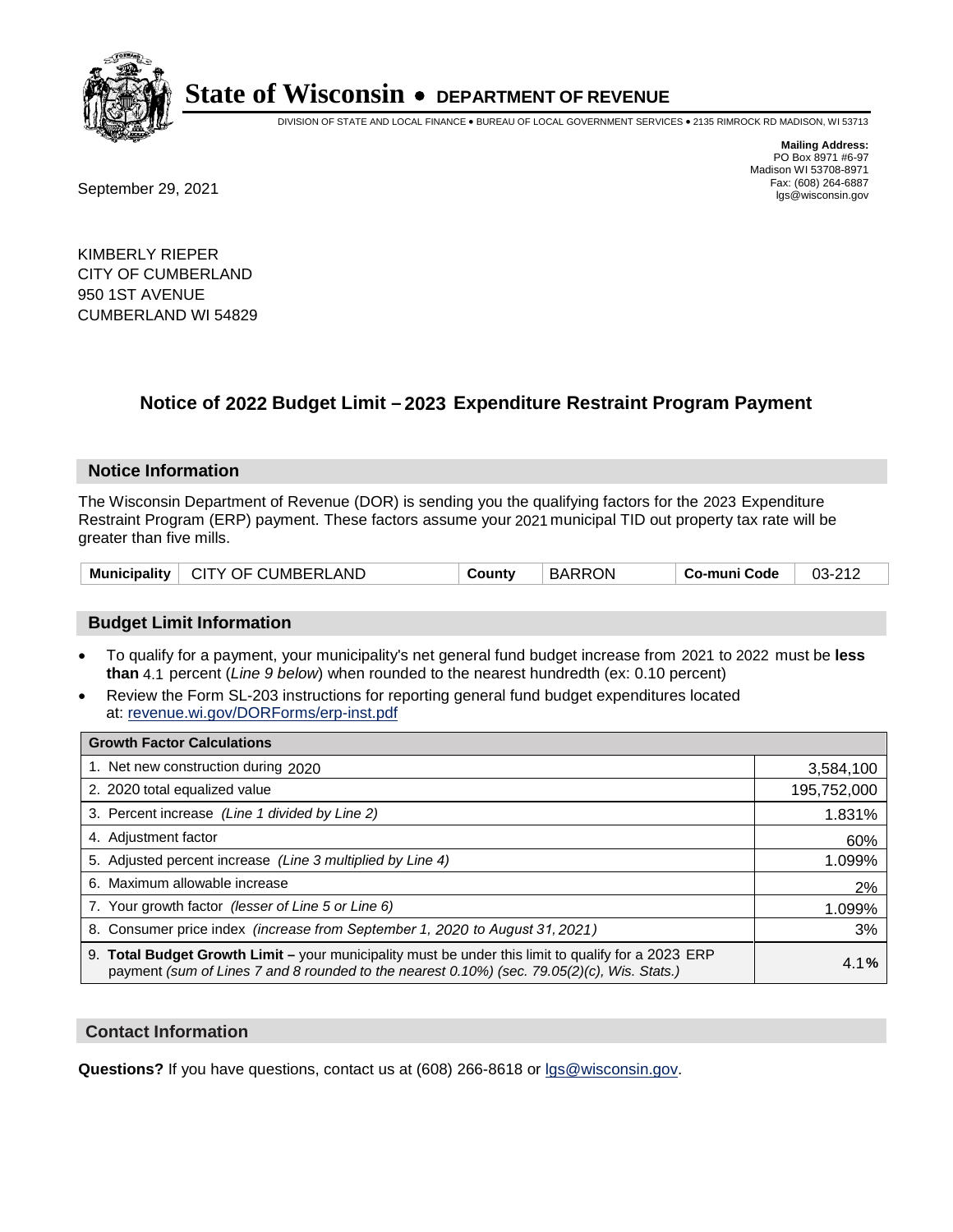

DIVISION OF STATE AND LOCAL FINANCE • BUREAU OF LOCAL GOVERNMENT SERVICES • 2135 RIMROCK RD MADISON, WI 53713

**Mailing Address:** PO Box 8971 #6-97 Madison WI 53708-8971<br>Fax: (608) 264-6887

Fax: (608) 264-6887<br>
September 29, 2021 and the state of the state of the state of the state of the state of the state of the state of the state of the state of the state of the state of the state of the state of the state

KIMBERLY RIEPER CITY OF CUMBERLAND 950 1ST AVENUE CUMBERLAND WI 54829

## **Notice of 2022 Budget Limit - 2023 Expenditure Restraint Program Payment**

#### **Notice Information**

The Wisconsin Department of Revenue (DOR) is sending you the qualifying factors for the 2023 Expenditure Restraint Program (ERP) payment. These factors assume your 2021 municipal TID out property tax rate will be greater than five mills.

| CITY OF CUMBERLAND<br><b>Municipality</b> | County | <b>BARRON</b> | . Co-muni Code | 03-212 |
|-------------------------------------------|--------|---------------|----------------|--------|
|-------------------------------------------|--------|---------------|----------------|--------|

### **Budget Limit Information**

- To qualify for a payment, your municipality's net general fund budget increase from 2021 to 2022 must be less **than** 4.1 percent (*Line 9 below*) when rounded to the nearest hundredth (ex: 0.10 percent)
- Review the Form SL-203 instructions for reporting general fund budget expenditures located at: revenue.wi.gov/DORForms/erp-inst.pdf

| <b>Growth Factor Calculations</b>                                                                                                                                                                  |             |
|----------------------------------------------------------------------------------------------------------------------------------------------------------------------------------------------------|-------------|
| 1. Net new construction during 2020                                                                                                                                                                | 3,584,100   |
| 2. 2020 total equalized value                                                                                                                                                                      | 195,752,000 |
| 3. Percent increase (Line 1 divided by Line 2)                                                                                                                                                     | 1.831%      |
| 4. Adjustment factor                                                                                                                                                                               | 60%         |
| 5. Adjusted percent increase (Line 3 multiplied by Line 4)                                                                                                                                         | 1.099%      |
| 6. Maximum allowable increase                                                                                                                                                                      | 2%          |
| 7. Your growth factor (lesser of Line 5 or Line 6)                                                                                                                                                 | 1.099%      |
| 8. Consumer price index (increase from September 1, 2020 to August 31, 2021)                                                                                                                       | 3%          |
| 9. Total Budget Growth Limit - your municipality must be under this limit to qualify for a 2023 ERP<br>payment (sum of Lines 7 and 8 rounded to the nearest 0.10%) (sec. 79.05(2)(c), Wis. Stats.) | 4.1%        |

#### **Contact Information**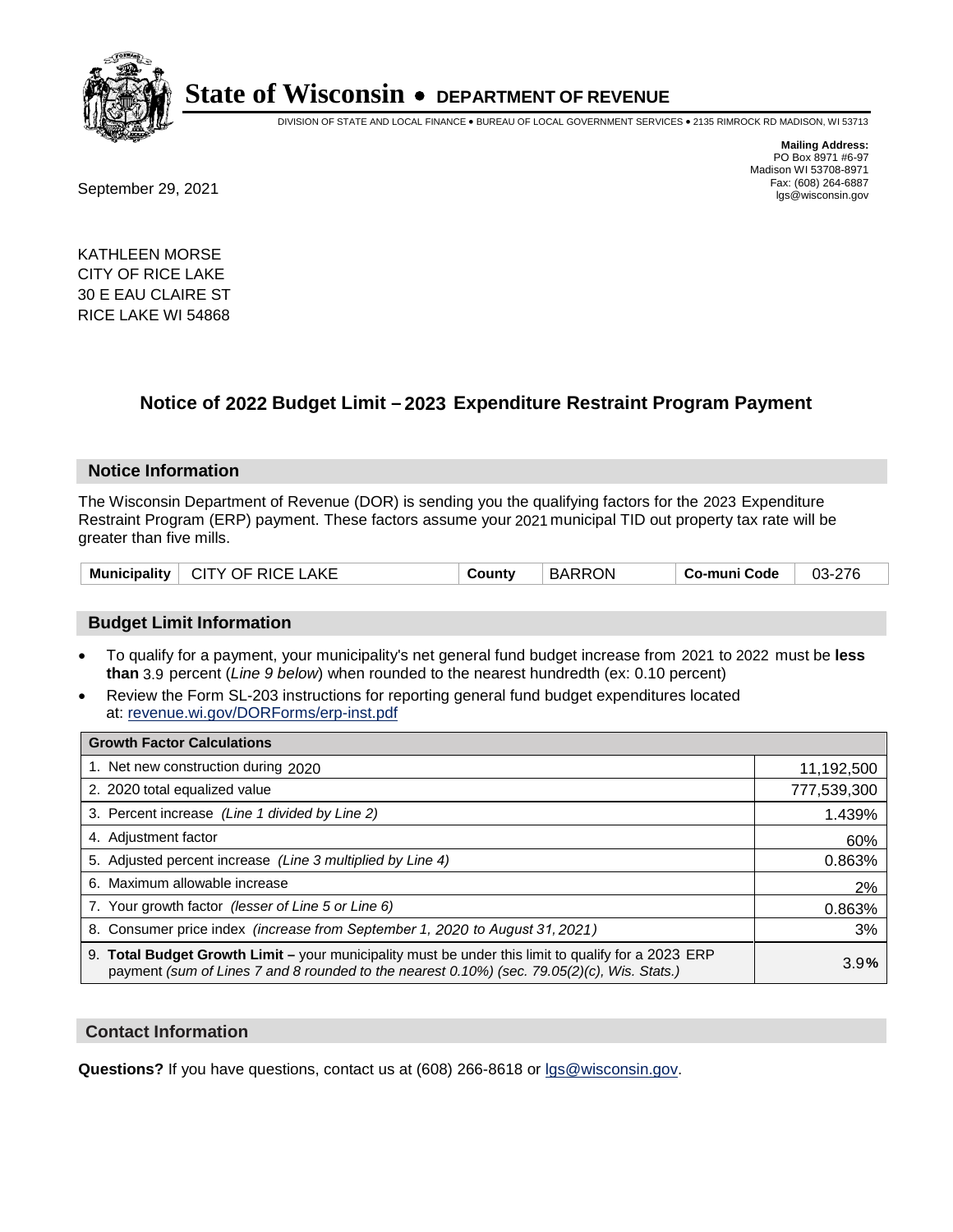

DIVISION OF STATE AND LOCAL FINANCE • BUREAU OF LOCAL GOVERNMENT SERVICES • 2135 RIMROCK RD MADISON, WI 53713

**Mailing Address:** PO Box 8971 #6-97 Madison WI 53708-8971<br>Fax: (608) 264-6887

Fax: (608) 264-6887<br>
September 29, 2021 and the state of the state of the state of the state of the state of the state of the state of the state of the state of the state of the state of the state of the state of the state

KATHLEEN MORSE CITY OF RICE LAKE 30 E EAU CLAIRE ST RICE LAKE WI 54868

## **Notice of 2022 Budget Limit - 2023 Expenditure Restraint Program Payment**

#### **Notice Information**

The Wisconsin Department of Revenue (DOR) is sending you the qualifying factors for the 2023 Expenditure Restraint Program (ERP) payment. These factors assume your 2021 municipal TID out property tax rate will be greater than five mills.

| $\perp$ CITY OF RICE LAKE<br><b>Municipality</b> | County | <b>BARRON</b> | Co-muni Code | 03-276 |
|--------------------------------------------------|--------|---------------|--------------|--------|
|--------------------------------------------------|--------|---------------|--------------|--------|

#### **Budget Limit Information**

- To qualify for a payment, your municipality's net general fund budget increase from 2021 to 2022 must be less **than** 3.9 percent (*Line 9 below*) when rounded to the nearest hundredth (ex: 0.10 percent)
- Review the Form SL-203 instructions for reporting general fund budget expenditures located at: revenue.wi.gov/DORForms/erp-inst.pdf

| <b>Growth Factor Calculations</b>                                                                                                                                                                  |             |
|----------------------------------------------------------------------------------------------------------------------------------------------------------------------------------------------------|-------------|
| 1. Net new construction during 2020                                                                                                                                                                | 11,192,500  |
| 2. 2020 total equalized value                                                                                                                                                                      | 777,539,300 |
| 3. Percent increase (Line 1 divided by Line 2)                                                                                                                                                     | 1.439%      |
| 4. Adjustment factor                                                                                                                                                                               | 60%         |
| 5. Adjusted percent increase (Line 3 multiplied by Line 4)                                                                                                                                         | 0.863%      |
| 6. Maximum allowable increase                                                                                                                                                                      | 2%          |
| 7. Your growth factor (lesser of Line 5 or Line 6)                                                                                                                                                 | 0.863%      |
| 8. Consumer price index (increase from September 1, 2020 to August 31, 2021)                                                                                                                       | 3%          |
| 9. Total Budget Growth Limit - your municipality must be under this limit to qualify for a 2023 ERP<br>payment (sum of Lines 7 and 8 rounded to the nearest 0.10%) (sec. 79.05(2)(c), Wis. Stats.) | 3.9%        |

#### **Contact Information**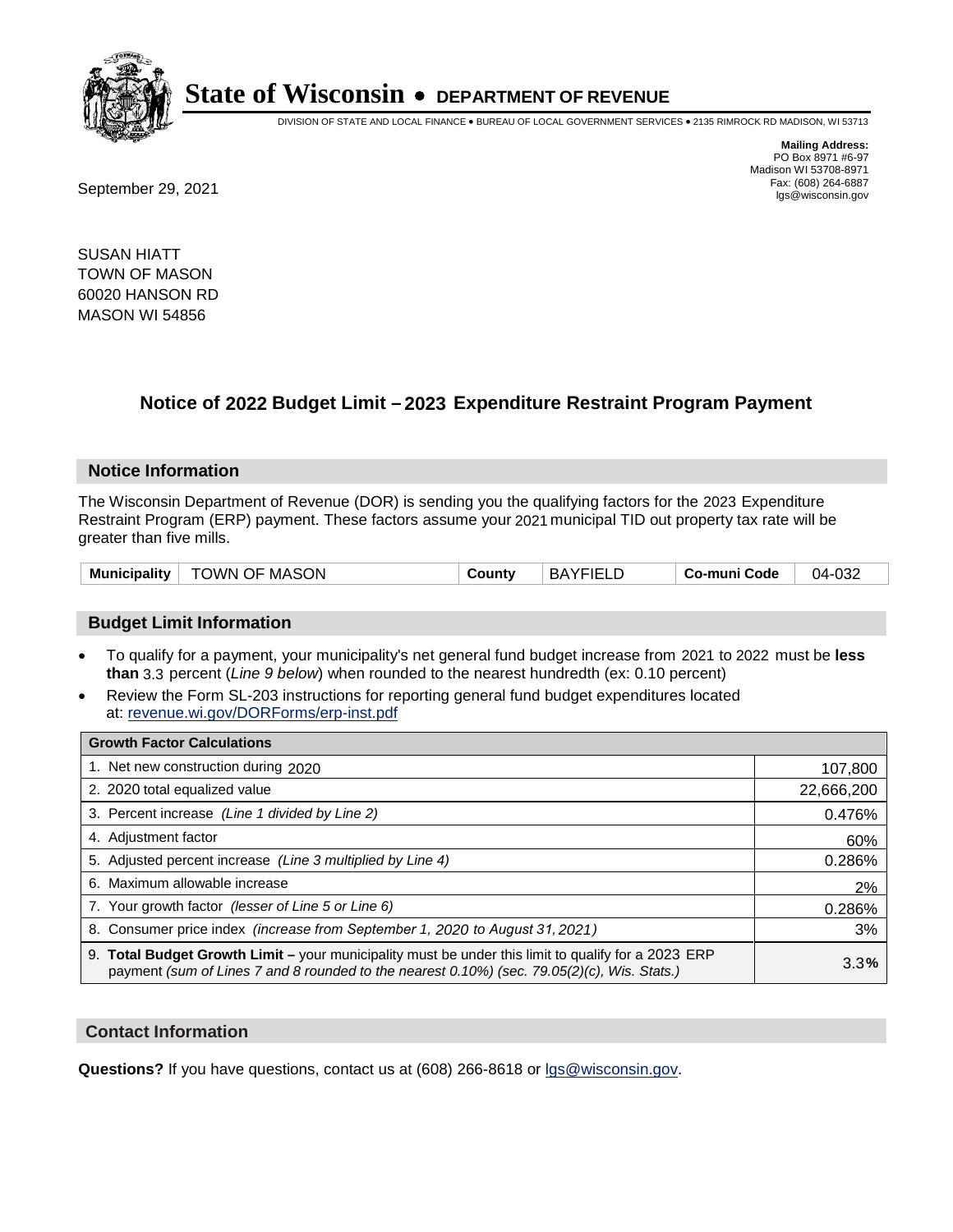

DIVISION OF STATE AND LOCAL FINANCE • BUREAU OF LOCAL GOVERNMENT SERVICES • 2135 RIMROCK RD MADISON, WI 53713

**Mailing Address:** PO Box 8971 #6-97 Madison WI 53708-8971<br>Fax: (608) 264-6887

Fax: (608) 264-6887<br>
September 29, 2021 and the state of the state of the state of the state of the state of the state of the state of the state of the state of the state of the state of the state of the state of the state

SUSAN HIATT TOWN OF MASON 60020 HANSON RD MASON WI 54856

## **Notice of 2022 Budget Limit - 2023 Expenditure Restraint Program Payment**

#### **Notice Information**

The Wisconsin Department of Revenue (DOR) is sending you the qualifying factors for the 2023 Expenditure Restraint Program (ERP) payment. These factors assume your 2021 municipal TID out property tax rate will be greater than five mills.

| <b>Municipality</b> | TOWN OF MASON | こountv | <b>BAYFIELD</b> | Co-muni Code | 04-032 |
|---------------------|---------------|--------|-----------------|--------------|--------|
|                     |               |        |                 |              |        |

#### **Budget Limit Information**

- To qualify for a payment, your municipality's net general fund budget increase from 2021 to 2022 must be less **than** 3.3 percent (*Line 9 below*) when rounded to the nearest hundredth (ex: 0.10 percent)
- Review the Form SL-203 instructions for reporting general fund budget expenditures located at: revenue.wi.gov/DORForms/erp-inst.pdf

| <b>Growth Factor Calculations</b>                                                                                                                                                                      |            |
|--------------------------------------------------------------------------------------------------------------------------------------------------------------------------------------------------------|------------|
| 1. Net new construction during 2020                                                                                                                                                                    | 107,800    |
| 2. 2020 total equalized value                                                                                                                                                                          | 22,666,200 |
| 3. Percent increase (Line 1 divided by Line 2)                                                                                                                                                         | 0.476%     |
| 4. Adjustment factor                                                                                                                                                                                   | 60%        |
| 5. Adjusted percent increase (Line 3 multiplied by Line 4)                                                                                                                                             | 0.286%     |
| 6. Maximum allowable increase                                                                                                                                                                          | 2%         |
| 7. Your growth factor (lesser of Line 5 or Line 6)                                                                                                                                                     | 0.286%     |
| 8. Consumer price index (increase from September 1, 2020 to August 31, 2021)                                                                                                                           | 3%         |
| 9. Total Budget Growth Limit - your municipality must be under this limit to qualify for a 2023 ERP<br>payment (sum of Lines 7 and 8 rounded to the nearest $0.10\%$ ) (sec. 79.05(2)(c), Wis. Stats.) | 3.3%       |

#### **Contact Information**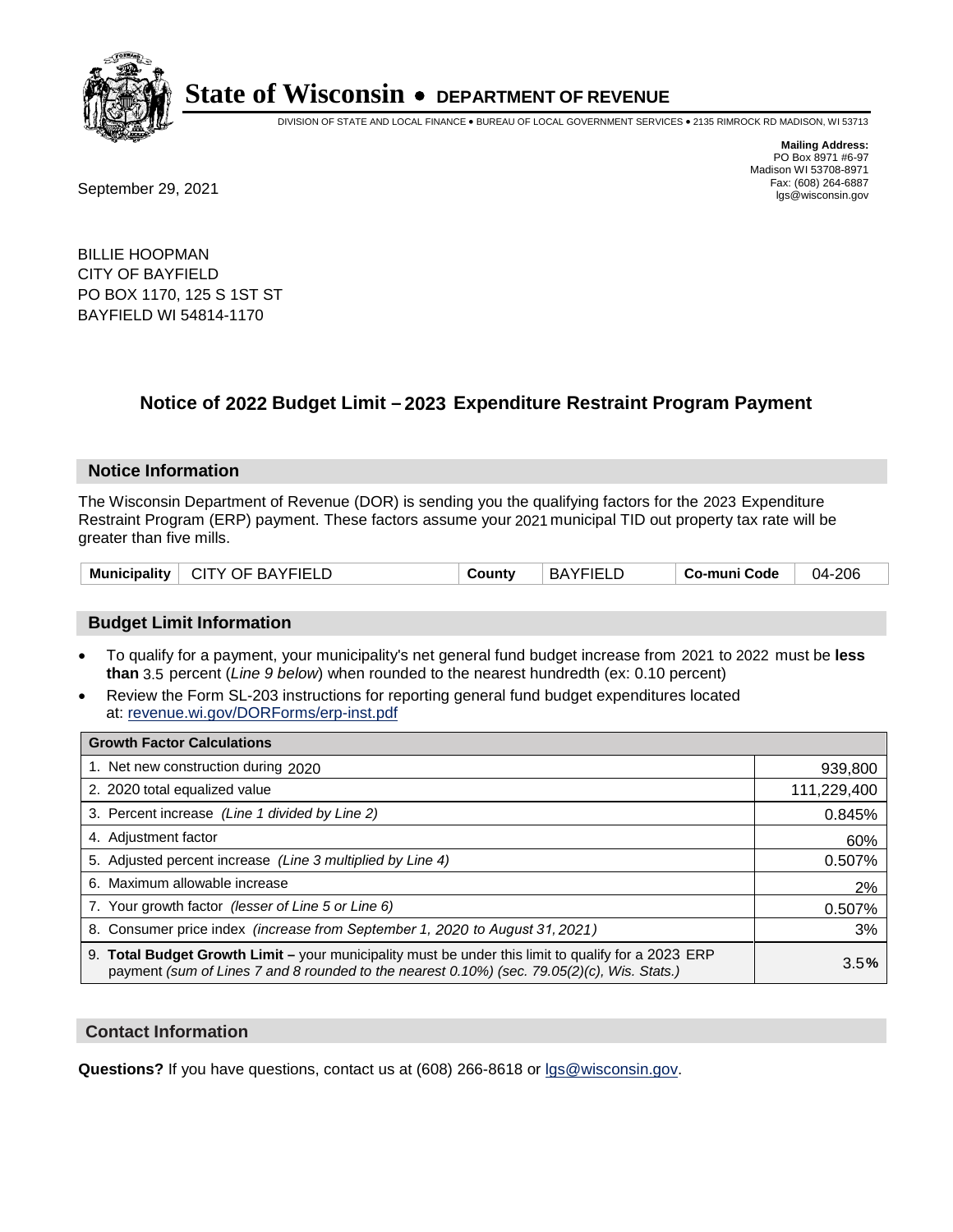

DIVISION OF STATE AND LOCAL FINANCE • BUREAU OF LOCAL GOVERNMENT SERVICES • 2135 RIMROCK RD MADISON, WI 53713

Fax: (608) 264-6887<br>
September 29, 2021 and the state of the state of the state of the state of the state of the state of the state of the state of the state of the state of the state of the state of the state of the state

**Mailing Address:** PO Box 8971 #6-97 Madison WI 53708-8971<br>Fax: (608) 264-6887

BILLIE HOOPMAN CITY OF BAYFIELD PO BOX 1170, 125 S 1ST ST BAYFIELD WI 54814-1170

## **Notice of 2022 Budget Limit - 2023 Expenditure Restraint Program Payment**

#### **Notice Information**

The Wisconsin Department of Revenue (DOR) is sending you the qualifying factors for the 2023 Expenditure Restraint Program (ERP) payment. These factors assume your 2021 municipal TID out property tax rate will be greater than five mills.

| Municipality<br><b>CITY OF BAYFIELD</b> | County | <b>BAYFIELD</b> | Co-muni Code | $-206$<br>04-i |
|-----------------------------------------|--------|-----------------|--------------|----------------|
|-----------------------------------------|--------|-----------------|--------------|----------------|

#### **Budget Limit Information**

- To qualify for a payment, your municipality's net general fund budget increase from 2021 to 2022 must be less **than** 3.5 percent (*Line 9 below*) when rounded to the nearest hundredth (ex: 0.10 percent)
- Review the Form SL-203 instructions for reporting general fund budget expenditures located at: revenue.wi.gov/DORForms/erp-inst.pdf

| <b>Growth Factor Calculations</b>                                                                                                                                                                  |             |
|----------------------------------------------------------------------------------------------------------------------------------------------------------------------------------------------------|-------------|
| 1. Net new construction during 2020                                                                                                                                                                | 939,800     |
| 2. 2020 total equalized value                                                                                                                                                                      | 111,229,400 |
| 3. Percent increase (Line 1 divided by Line 2)                                                                                                                                                     | 0.845%      |
| 4. Adjustment factor                                                                                                                                                                               | 60%         |
| 5. Adjusted percent increase (Line 3 multiplied by Line 4)                                                                                                                                         | 0.507%      |
| 6. Maximum allowable increase                                                                                                                                                                      | 2%          |
| 7. Your growth factor (lesser of Line 5 or Line 6)                                                                                                                                                 | 0.507%      |
| 8. Consumer price index (increase from September 1, 2020 to August 31, 2021)                                                                                                                       | 3%          |
| 9. Total Budget Growth Limit – your municipality must be under this limit to qualify for a 2023 ERP<br>payment (sum of Lines 7 and 8 rounded to the nearest 0.10%) (sec. 79.05(2)(c), Wis. Stats.) | 3.5%        |

#### **Contact Information**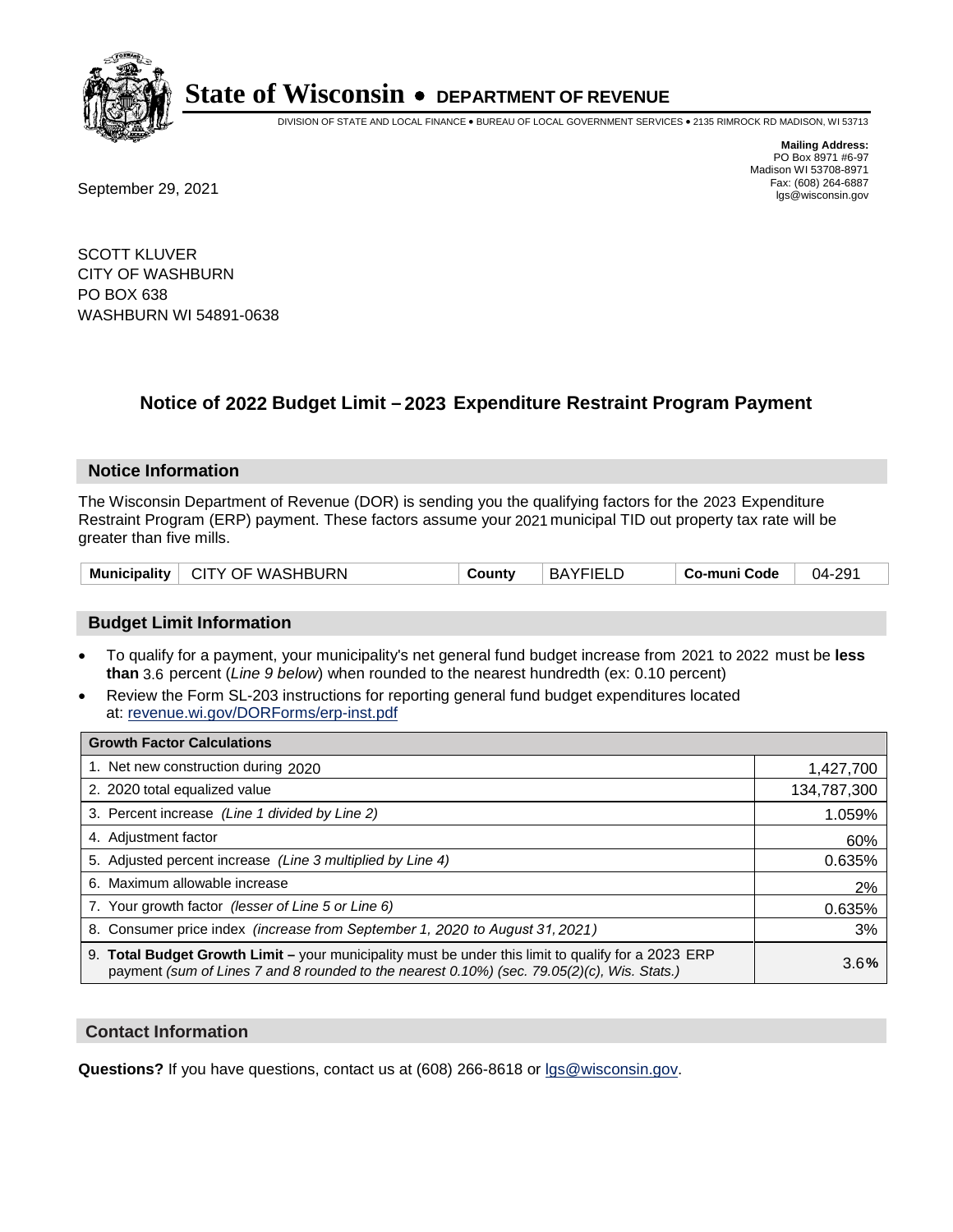

DIVISION OF STATE AND LOCAL FINANCE • BUREAU OF LOCAL GOVERNMENT SERVICES • 2135 RIMROCK RD MADISON, WI 53713

Fax: (608) 264-6887<br>
September 29, 2021 and the state of the state of the state of the state of the state of the state of the state of the state of the state of the state of the state of the state of the state of the state

**Mailing Address:** PO Box 8971 #6-97 Madison WI 53708-8971<br>Fax: (608) 264-6887

SCOTT KLUVER CITY OF WASHBURN PO BOX 638 WASHBURN WI 54891-0638

## **Notice of 2022 Budget Limit - 2023 Expenditure Restraint Program Payment**

#### **Notice Information**

The Wisconsin Department of Revenue (DOR) is sending you the qualifying factors for the 2023 Expenditure Restraint Program (ERP) payment. These factors assume your 2021 municipal TID out property tax rate will be greater than five mills.

| <b>Municipality</b> | <b>□ CITY OF WASHBURN</b> | County | <b>BAYFIELD</b> | Co-muni Code | 04-291 |
|---------------------|---------------------------|--------|-----------------|--------------|--------|
|---------------------|---------------------------|--------|-----------------|--------------|--------|

### **Budget Limit Information**

- To qualify for a payment, your municipality's net general fund budget increase from 2021 to 2022 must be less **than** 3.6 percent (*Line 9 below*) when rounded to the nearest hundredth (ex: 0.10 percent)
- Review the Form SL-203 instructions for reporting general fund budget expenditures located at: revenue.wi.gov/DORForms/erp-inst.pdf

| <b>Growth Factor Calculations</b>                                                                                                                                                                  |             |
|----------------------------------------------------------------------------------------------------------------------------------------------------------------------------------------------------|-------------|
| 1. Net new construction during 2020                                                                                                                                                                | 1,427,700   |
| 2. 2020 total equalized value                                                                                                                                                                      | 134,787,300 |
| 3. Percent increase (Line 1 divided by Line 2)                                                                                                                                                     | 1.059%      |
| 4. Adjustment factor                                                                                                                                                                               | 60%         |
| 5. Adjusted percent increase (Line 3 multiplied by Line 4)                                                                                                                                         | 0.635%      |
| 6. Maximum allowable increase                                                                                                                                                                      | 2%          |
| 7. Your growth factor (lesser of Line 5 or Line 6)                                                                                                                                                 | 0.635%      |
| 8. Consumer price index (increase from September 1, 2020 to August 31, 2021)                                                                                                                       | 3%          |
| 9. Total Budget Growth Limit - your municipality must be under this limit to qualify for a 2023 ERP<br>payment (sum of Lines 7 and 8 rounded to the nearest 0.10%) (sec. 79.05(2)(c), Wis. Stats.) | 3.6%        |

#### **Contact Information**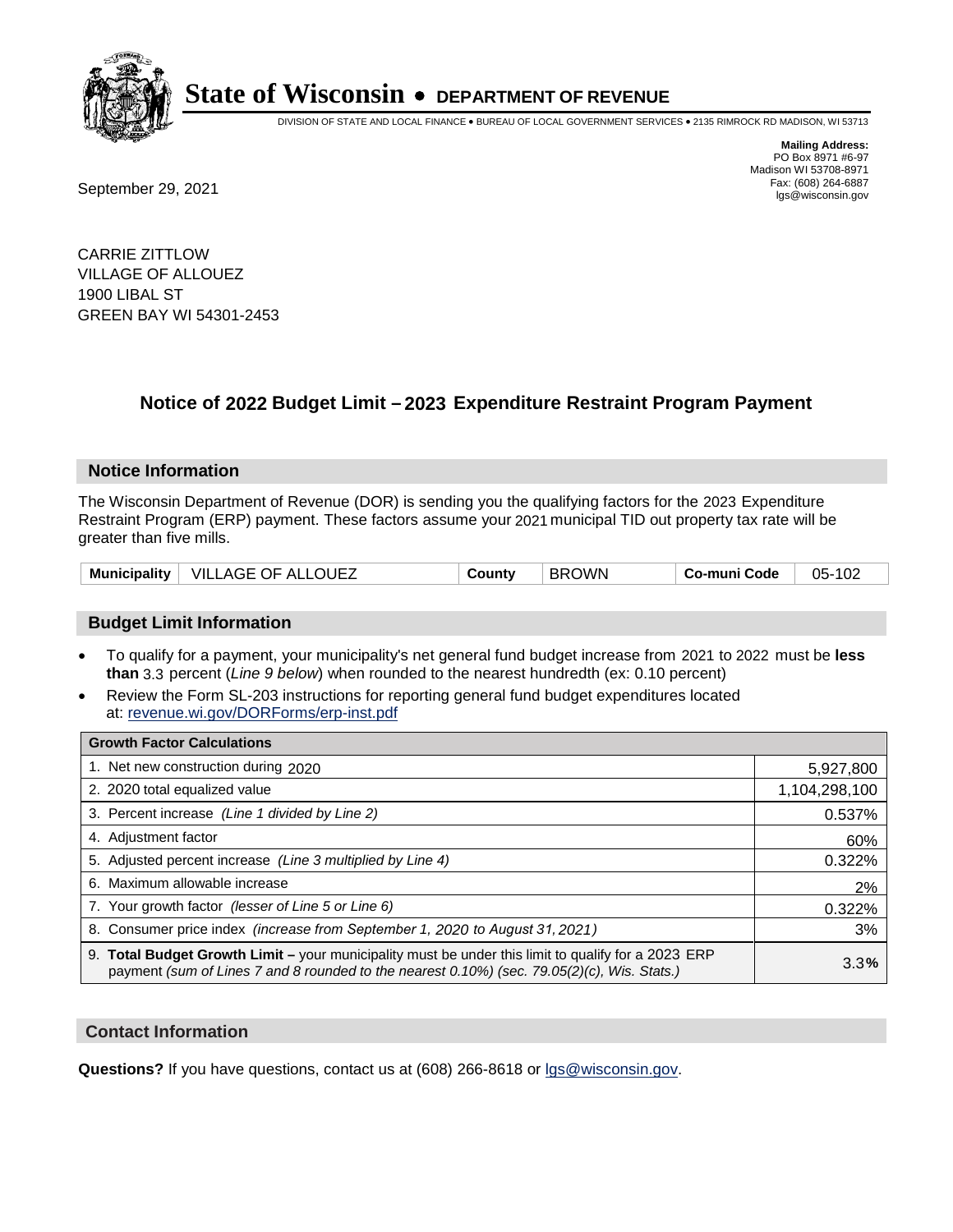

DIVISION OF STATE AND LOCAL FINANCE • BUREAU OF LOCAL GOVERNMENT SERVICES • 2135 RIMROCK RD MADISON, WI 53713

Fax: (608) 264-6887<br>
September 29, 2021 and the state of the state of the state of the state of the state of the state of the state of the state of the state of the state of the state of the state of the state of the state

**Mailing Address:** PO Box 8971 #6-97 Madison WI 53708-8971<br>Fax: (608) 264-6887

CARRIE ZITTLOW VILLAGE OF ALLOUEZ 1900 LIBAL ST GREEN BAY WI 54301-2453

## **Notice of 2022 Budget Limit - 2023 Expenditure Restraint Program Payment**

#### **Notice Information**

The Wisconsin Department of Revenue (DOR) is sending you the qualifying factors for the 2023 Expenditure Restraint Program (ERP) payment. These factors assume your 2021 municipal TID out property tax rate will be greater than five mills.

| VILLAGE OF ALLOUEZ<br><b>Municipality</b> | County | <b>BROWN</b> | Co-muni Code | 05-102 |
|-------------------------------------------|--------|--------------|--------------|--------|
|-------------------------------------------|--------|--------------|--------------|--------|

### **Budget Limit Information**

- To qualify for a payment, your municipality's net general fund budget increase from 2021 to 2022 must be less **than** 3.3 percent (*Line 9 below*) when rounded to the nearest hundredth (ex: 0.10 percent)
- Review the Form SL-203 instructions for reporting general fund budget expenditures located at: revenue.wi.gov/DORForms/erp-inst.pdf

| <b>Growth Factor Calculations</b>                                                                                                                                                                  |               |
|----------------------------------------------------------------------------------------------------------------------------------------------------------------------------------------------------|---------------|
| 1. Net new construction during 2020                                                                                                                                                                | 5,927,800     |
| 2. 2020 total equalized value                                                                                                                                                                      | 1,104,298,100 |
| 3. Percent increase (Line 1 divided by Line 2)                                                                                                                                                     | 0.537%        |
| 4. Adiustment factor                                                                                                                                                                               | 60%           |
| 5. Adjusted percent increase (Line 3 multiplied by Line 4)                                                                                                                                         | 0.322%        |
| 6. Maximum allowable increase                                                                                                                                                                      | 2%            |
| 7. Your growth factor (lesser of Line 5 or Line 6)                                                                                                                                                 | 0.322%        |
| 8. Consumer price index (increase from September 1, 2020 to August 31, 2021)                                                                                                                       | 3%            |
| 9. Total Budget Growth Limit - your municipality must be under this limit to qualify for a 2023 ERP<br>payment (sum of Lines 7 and 8 rounded to the nearest 0.10%) (sec. 79.05(2)(c), Wis. Stats.) | 3.3%          |

#### **Contact Information**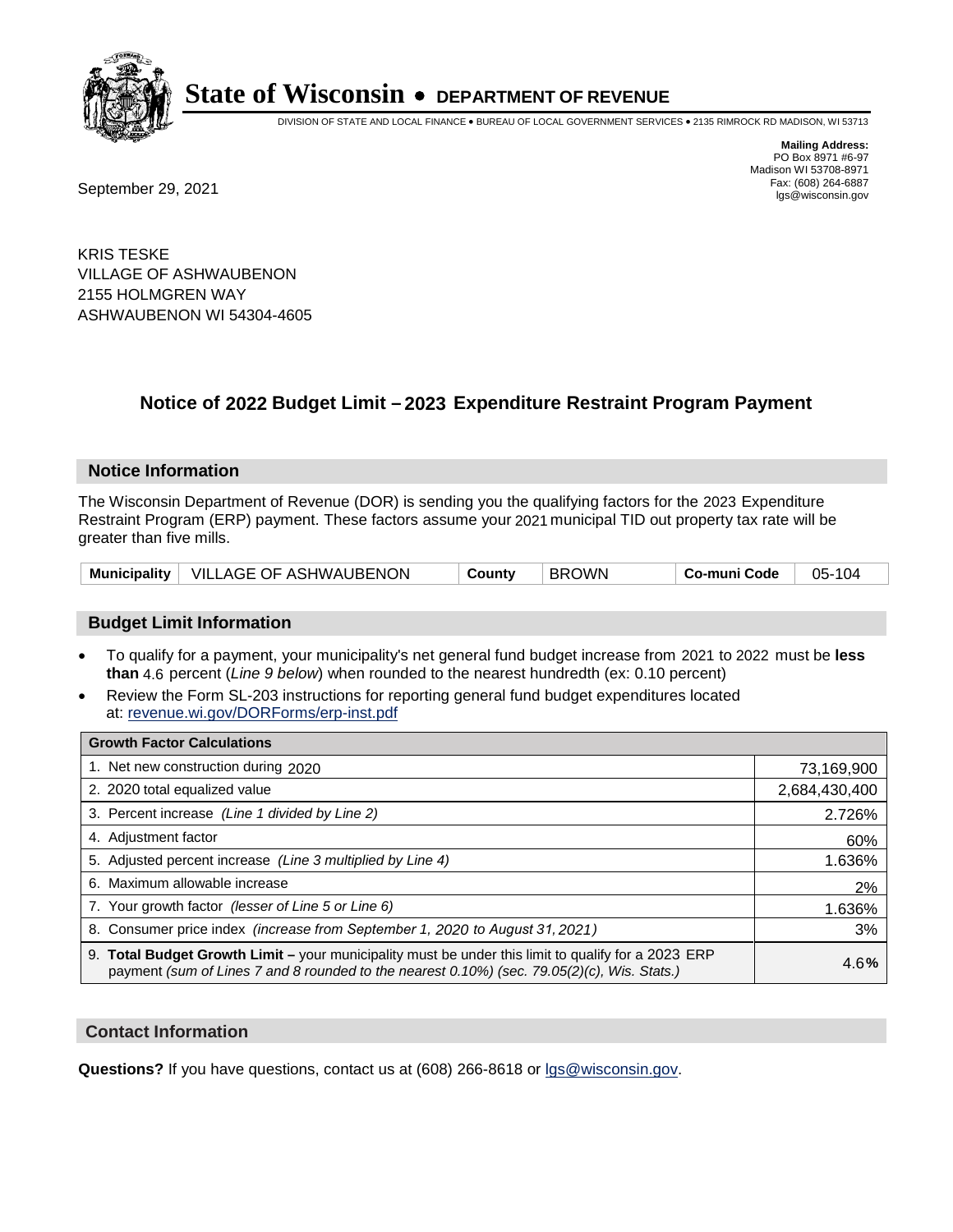

DIVISION OF STATE AND LOCAL FINANCE • BUREAU OF LOCAL GOVERNMENT SERVICES • 2135 RIMROCK RD MADISON, WI 53713

Fax: (608) 264-6887<br>
September 29, 2021 and the state of the state of the state of the state of the state of the state of the state of the state of the state of the state of the state of the state of the state of the state

**Mailing Address:** PO Box 8971 #6-97 Madison WI 53708-8971<br>Fax: (608) 264-6887

KRIS TESKE VILLAGE OF ASHWAUBENON 2155 HOLMGREN WAY ASHWAUBENON WI 54304-4605

## **Notice of 2022 Budget Limit - 2023 Expenditure Restraint Program Payment**

#### **Notice Information**

The Wisconsin Department of Revenue (DOR) is sending you the qualifying factors for the 2023 Expenditure Restraint Program (ERP) payment. These factors assume your 2021 municipal TID out property tax rate will be greater than five mills.

#### **Budget Limit Information**

- To qualify for a payment, your municipality's net general fund budget increase from 2021 to 2022 must be less **than** 4.6 percent (*Line 9 below*) when rounded to the nearest hundredth (ex: 0.10 percent)
- Review the Form SL-203 instructions for reporting general fund budget expenditures located at: revenue.wi.gov/DORForms/erp-inst.pdf

| <b>Growth Factor Calculations</b>                                                                                                                                                                  |               |
|----------------------------------------------------------------------------------------------------------------------------------------------------------------------------------------------------|---------------|
| 1. Net new construction during 2020                                                                                                                                                                | 73,169,900    |
| 2. 2020 total equalized value                                                                                                                                                                      | 2,684,430,400 |
| 3. Percent increase (Line 1 divided by Line 2)                                                                                                                                                     | 2.726%        |
| 4. Adiustment factor                                                                                                                                                                               | 60%           |
| 5. Adjusted percent increase (Line 3 multiplied by Line 4)                                                                                                                                         | 1.636%        |
| 6. Maximum allowable increase                                                                                                                                                                      | 2%            |
| 7. Your growth factor (lesser of Line 5 or Line 6)                                                                                                                                                 | 1.636%        |
| 8. Consumer price index (increase from September 1, 2020 to August 31, 2021)                                                                                                                       | 3%            |
| 9. Total Budget Growth Limit - your municipality must be under this limit to qualify for a 2023 ERP<br>payment (sum of Lines 7 and 8 rounded to the nearest 0.10%) (sec. 79.05(2)(c), Wis. Stats.) | 4.6%          |

#### **Contact Information**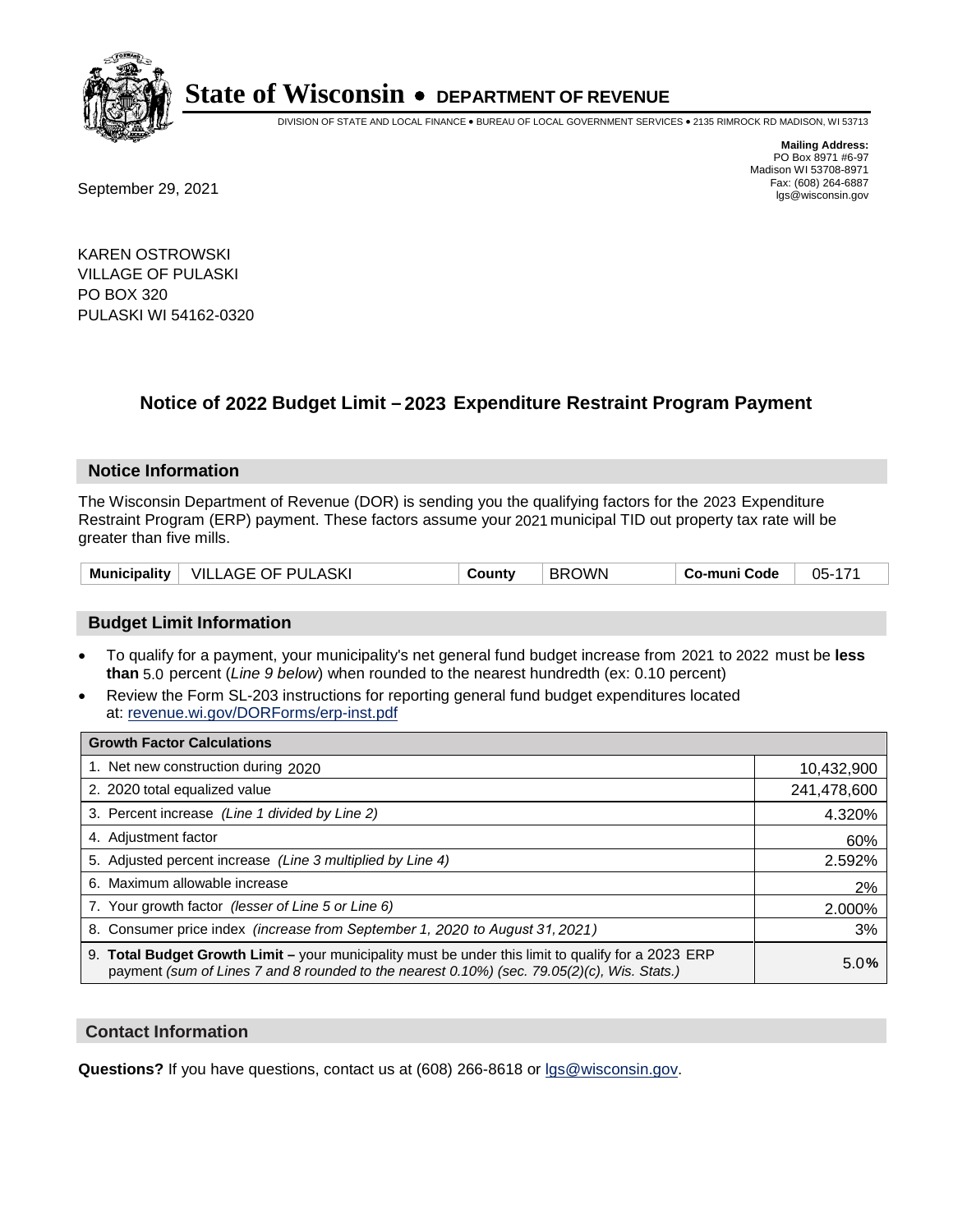

DIVISION OF STATE AND LOCAL FINANCE • BUREAU OF LOCAL GOVERNMENT SERVICES • 2135 RIMROCK RD MADISON, WI 53713

Fax: (608) 264-6887<br>
September 29, 2021 and the state of the state of the state of the state of the state of the state of the state of the state of the state of the state of the state of the state of the state of the state

**Mailing Address:** PO Box 8971 #6-97 Madison WI 53708-8971<br>Fax: (608) 264-6887

KAREN OSTROWSKI VILLAGE OF PULASKI PO BOX 320 PULASKI WI 54162-0320

## **Notice of 2022 Budget Limit - 2023 Expenditure Restraint Program Payment**

#### **Notice Information**

The Wisconsin Department of Revenue (DOR) is sending you the qualifying factors for the 2023 Expenditure Restraint Program (ERP) payment. These factors assume your 2021 municipal TID out property tax rate will be greater than five mills.

### **Budget Limit Information**

- To qualify for a payment, your municipality's net general fund budget increase from 2021 to 2022 must be less **than** 5.0 percent (*Line 9 below*) when rounded to the nearest hundredth (ex: 0.10 percent)
- Review the Form SL-203 instructions for reporting general fund budget expenditures located at: revenue.wi.gov/DORForms/erp-inst.pdf

| <b>Growth Factor Calculations</b>                                                                                                                                                                  |             |
|----------------------------------------------------------------------------------------------------------------------------------------------------------------------------------------------------|-------------|
| 1. Net new construction during 2020                                                                                                                                                                | 10,432,900  |
| 2. 2020 total equalized value                                                                                                                                                                      | 241,478,600 |
| 3. Percent increase (Line 1 divided by Line 2)                                                                                                                                                     | 4.320%      |
| 4. Adiustment factor                                                                                                                                                                               | 60%         |
| 5. Adjusted percent increase (Line 3 multiplied by Line 4)                                                                                                                                         | 2.592%      |
| 6. Maximum allowable increase                                                                                                                                                                      | 2%          |
| 7. Your growth factor (lesser of Line 5 or Line 6)                                                                                                                                                 | 2.000%      |
| 8. Consumer price index (increase from September 1, 2020 to August 31, 2021)                                                                                                                       | 3%          |
| 9. Total Budget Growth Limit - your municipality must be under this limit to qualify for a 2023 ERP<br>payment (sum of Lines 7 and 8 rounded to the nearest 0.10%) (sec. 79.05(2)(c), Wis. Stats.) | 5.0%        |

#### **Contact Information**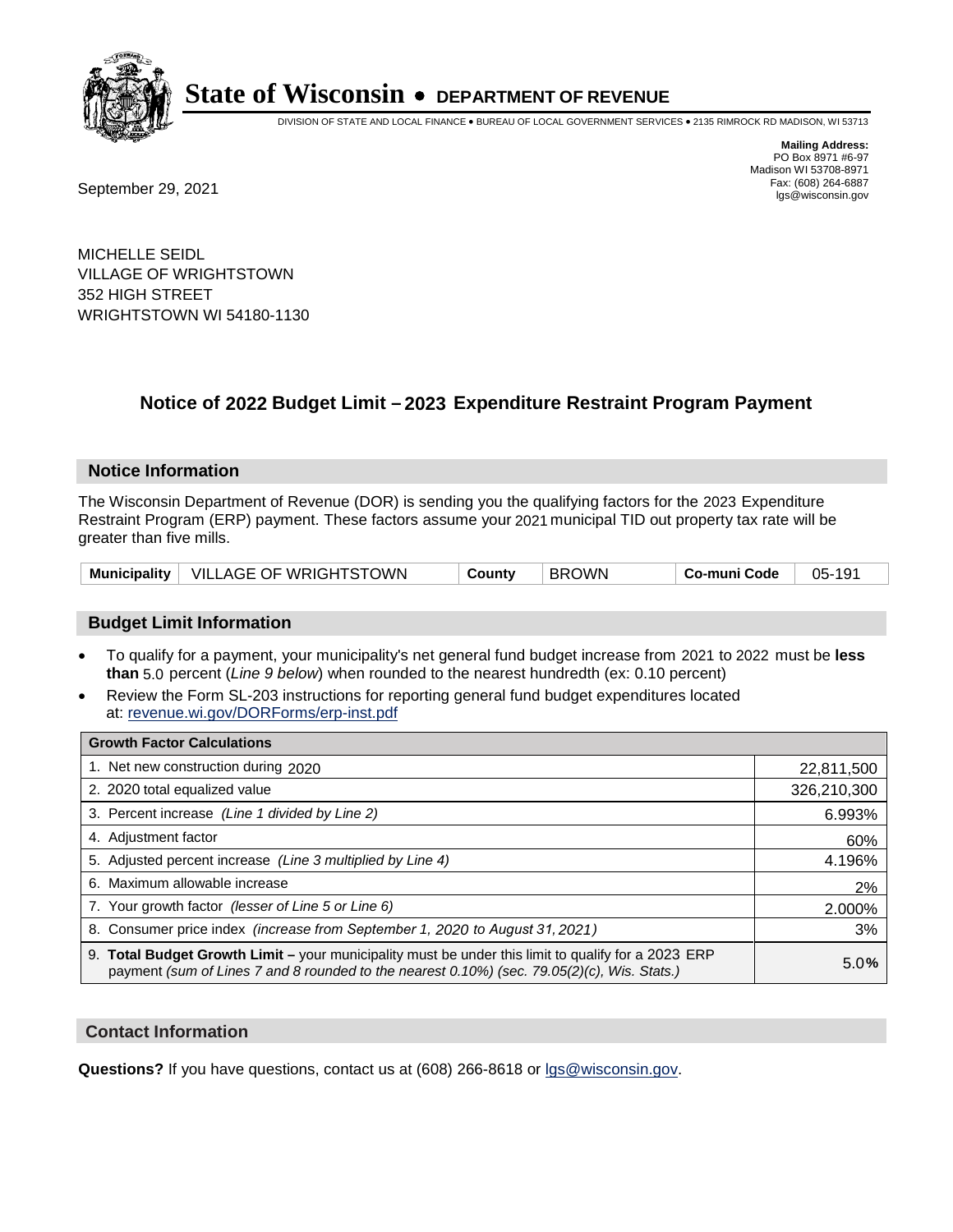

DIVISION OF STATE AND LOCAL FINANCE • BUREAU OF LOCAL GOVERNMENT SERVICES • 2135 RIMROCK RD MADISON, WI 53713

Fax: (608) 264-6887<br>
September 29, 2021 and the state of the state of the state of the state of the state of the state of the state of the state of the state of the state of the state of the state of the state of the state

**Mailing Address:** PO Box 8971 #6-97 Madison WI 53708-8971<br>Fax: (608) 264-6887

MICHELLE SEIDL VILLAGE OF WRIGHTSTOWN 352 HIGH STREET WRIGHTSTOWN WI 54180-1130

## **Notice of 2022 Budget Limit - 2023 Expenditure Restraint Program Payment**

#### **Notice Information**

The Wisconsin Department of Revenue (DOR) is sending you the qualifying factors for the 2023 Expenditure Restraint Program (ERP) payment. These factors assume your 2021 municipal TID out property tax rate will be greater than five mills.

|  | Municipality   VILLAGE OF WRIGHTSTOWN | Countv | <b>BROWN</b> | ⊺ Co-muni Code | 05-191 |
|--|---------------------------------------|--------|--------------|----------------|--------|
|--|---------------------------------------|--------|--------------|----------------|--------|

#### **Budget Limit Information**

- To qualify for a payment, your municipality's net general fund budget increase from 2021 to 2022 must be less **than** 5.0 percent (*Line 9 below*) when rounded to the nearest hundredth (ex: 0.10 percent)
- Review the Form SL-203 instructions for reporting general fund budget expenditures located at: revenue.wi.gov/DORForms/erp-inst.pdf

| <b>Growth Factor Calculations</b>                                                                                                                                                                  |             |
|----------------------------------------------------------------------------------------------------------------------------------------------------------------------------------------------------|-------------|
| 1. Net new construction during 2020                                                                                                                                                                | 22,811,500  |
| 2. 2020 total equalized value                                                                                                                                                                      | 326,210,300 |
| 3. Percent increase (Line 1 divided by Line 2)                                                                                                                                                     | 6.993%      |
| 4. Adiustment factor                                                                                                                                                                               | 60%         |
| 5. Adjusted percent increase (Line 3 multiplied by Line 4)                                                                                                                                         | 4.196%      |
| 6. Maximum allowable increase                                                                                                                                                                      | 2%          |
| 7. Your growth factor (lesser of Line 5 or Line 6)                                                                                                                                                 | 2.000%      |
| 8. Consumer price index (increase from September 1, 2020 to August 31, 2021)                                                                                                                       | 3%          |
| 9. Total Budget Growth Limit - your municipality must be under this limit to qualify for a 2023 ERP<br>payment (sum of Lines 7 and 8 rounded to the nearest 0.10%) (sec. 79.05(2)(c), Wis. Stats.) | 5.0%        |

#### **Contact Information**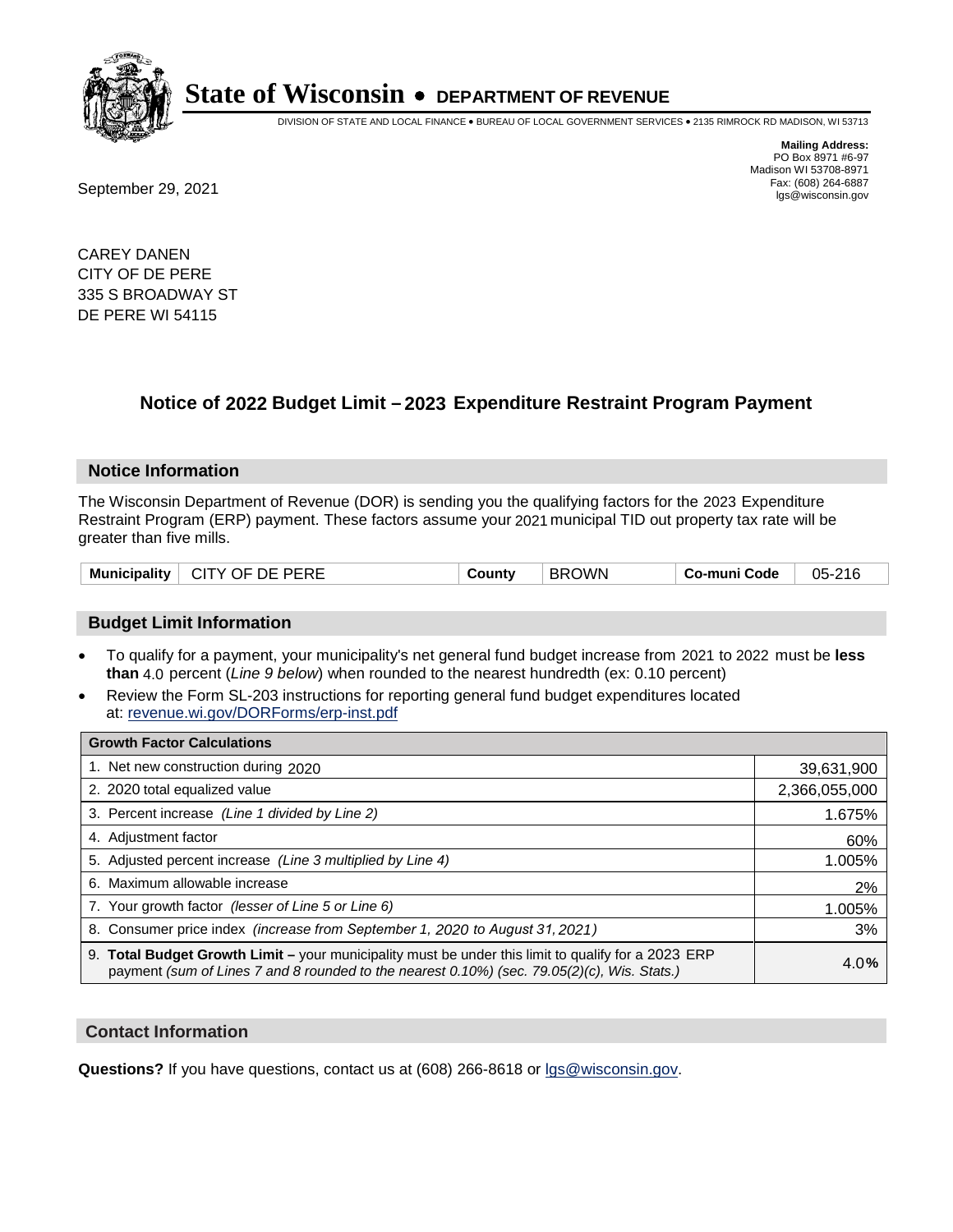

DIVISION OF STATE AND LOCAL FINANCE • BUREAU OF LOCAL GOVERNMENT SERVICES • 2135 RIMROCK RD MADISON, WI 53713

**Mailing Address:** PO Box 8971 #6-97 Madison WI 53708-8971<br>Fax: (608) 264-6887

Fax: (608) 264-6887<br>
September 29, 2021 and the state of the state of the state of the state of the state of the state of the state of the state of the state of the state of the state of the state of the state of the state

CAREY DANEN CITY OF DE PERE 335 S BROADWAY ST DE PERE WI 54115

## **Notice of 2022 Budget Limit - 2023 Expenditure Restraint Program Payment**

#### **Notice Information**

The Wisconsin Department of Revenue (DOR) is sending you the qualifying factors for the 2023 Expenditure Restraint Program (ERP) payment. These factors assume your 2021 municipal TID out property tax rate will be greater than five mills.

| Municipality | CITY OF DE PERE | County | <b>BROWN</b> | Co-muni Code | 05-216 |
|--------------|-----------------|--------|--------------|--------------|--------|
|--------------|-----------------|--------|--------------|--------------|--------|

### **Budget Limit Information**

- To qualify for a payment, your municipality's net general fund budget increase from 2021 to 2022 must be less **than** 4.0 percent (*Line 9 below*) when rounded to the nearest hundredth (ex: 0.10 percent)
- Review the Form SL-203 instructions for reporting general fund budget expenditures located at: revenue.wi.gov/DORForms/erp-inst.pdf

| <b>Growth Factor Calculations</b>                                                                                                                                                                  |               |
|----------------------------------------------------------------------------------------------------------------------------------------------------------------------------------------------------|---------------|
| 1. Net new construction during 2020                                                                                                                                                                | 39,631,900    |
| 2. 2020 total equalized value                                                                                                                                                                      | 2,366,055,000 |
| 3. Percent increase (Line 1 divided by Line 2)                                                                                                                                                     | 1.675%        |
| 4. Adjustment factor                                                                                                                                                                               | 60%           |
| 5. Adjusted percent increase (Line 3 multiplied by Line 4)                                                                                                                                         | 1.005%        |
| Maximum allowable increase<br>6.                                                                                                                                                                   | 2%            |
| 7. Your growth factor (lesser of Line 5 or Line 6)                                                                                                                                                 | 1.005%        |
| 8. Consumer price index (increase from September 1, 2020 to August 31, 2021)                                                                                                                       | 3%            |
| 9. Total Budget Growth Limit - your municipality must be under this limit to qualify for a 2023 ERP<br>payment (sum of Lines 7 and 8 rounded to the nearest 0.10%) (sec. 79.05(2)(c), Wis. Stats.) | 4.0%          |

#### **Contact Information**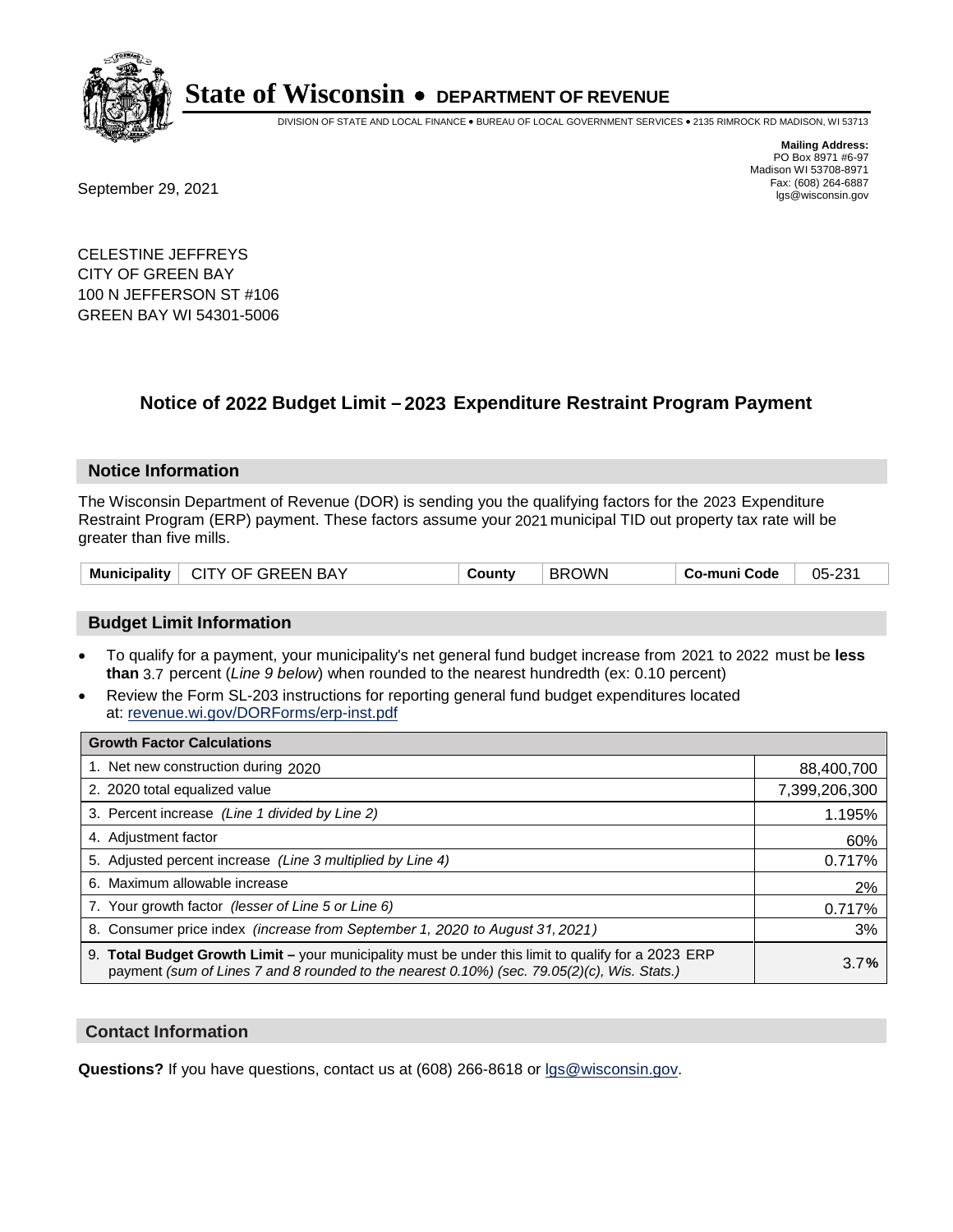

DIVISION OF STATE AND LOCAL FINANCE • BUREAU OF LOCAL GOVERNMENT SERVICES • 2135 RIMROCK RD MADISON, WI 53713

Fax: (608) 264-6887<br>
September 29, 2021 and the state of the state of the state of the state of the state of the state of the state of the state of the state of the state of the state of the state of the state of the state

**Mailing Address:** PO Box 8971 #6-97 Madison WI 53708-8971<br>Fax: (608) 264-6887

CELESTINE JEFFREYS CITY OF GREEN BAY 100 N JEFFERSON ST #106 GREEN BAY WI 54301-5006

## **Notice of 2022 Budget Limit - 2023 Expenditure Restraint Program Payment**

#### **Notice Information**

The Wisconsin Department of Revenue (DOR) is sending you the qualifying factors for the 2023 Expenditure Restraint Program (ERP) payment. These factors assume your 2021 municipal TID out property tax rate will be greater than five mills.

#### **Budget Limit Information**

- To qualify for a payment, your municipality's net general fund budget increase from 2021 to 2022 must be less **than** 3.7 percent (*Line 9 below*) when rounded to the nearest hundredth (ex: 0.10 percent)
- Review the Form SL-203 instructions for reporting general fund budget expenditures located at: revenue.wi.gov/DORForms/erp-inst.pdf

| <b>Growth Factor Calculations</b>                                                                                                                                                                  |               |
|----------------------------------------------------------------------------------------------------------------------------------------------------------------------------------------------------|---------------|
| 1. Net new construction during 2020                                                                                                                                                                | 88,400,700    |
| 2. 2020 total equalized value                                                                                                                                                                      | 7,399,206,300 |
| 3. Percent increase (Line 1 divided by Line 2)                                                                                                                                                     | 1.195%        |
| 4. Adiustment factor                                                                                                                                                                               | 60%           |
| 5. Adjusted percent increase (Line 3 multiplied by Line 4)                                                                                                                                         | 0.717%        |
| 6. Maximum allowable increase                                                                                                                                                                      | 2%            |
| 7. Your growth factor (lesser of Line 5 or Line 6)                                                                                                                                                 | 0.717%        |
| 8. Consumer price index (increase from September 1, 2020 to August 31, 2021)                                                                                                                       | 3%            |
| 9. Total Budget Growth Limit - your municipality must be under this limit to qualify for a 2023 ERP<br>payment (sum of Lines 7 and 8 rounded to the nearest 0.10%) (sec. 79.05(2)(c), Wis. Stats.) | 3.7%          |

#### **Contact Information**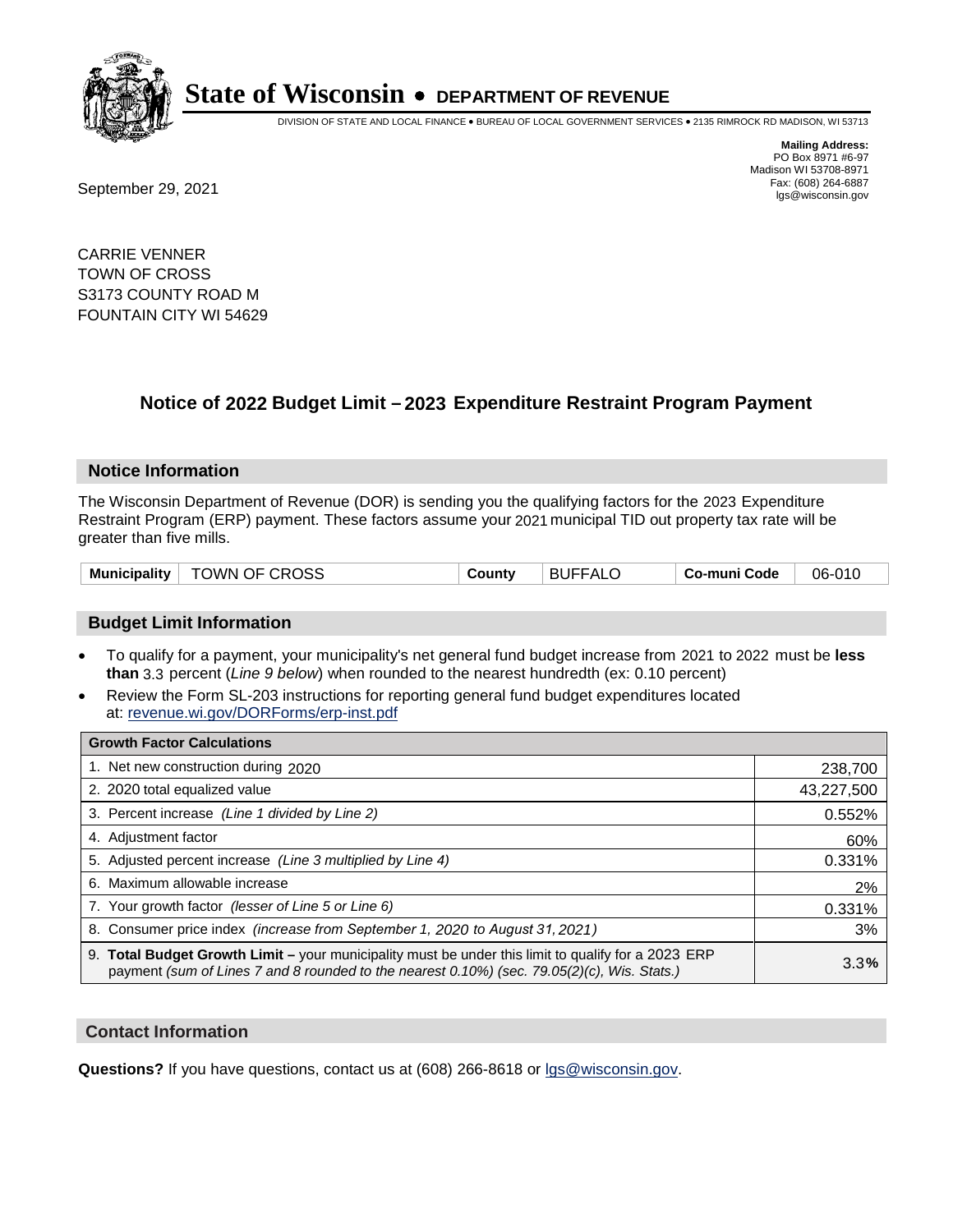

DIVISION OF STATE AND LOCAL FINANCE • BUREAU OF LOCAL GOVERNMENT SERVICES • 2135 RIMROCK RD MADISON, WI 53713

Fax: (608) 264-6887<br>
September 29, 2021 and the state of the state of the state of the state of the state of the state of the state of the state of the state of the state of the state of the state of the state of the state

**Mailing Address:** PO Box 8971 #6-97 Madison WI 53708-8971<br>Fax: (608) 264-6887

CARRIE VENNER TOWN OF CROSS S3173 COUNTY ROAD M FOUNTAIN CITY WI 54629

## **Notice of 2022 Budget Limit - 2023 Expenditure Restraint Program Payment**

#### **Notice Information**

The Wisconsin Department of Revenue (DOR) is sending you the qualifying factors for the 2023 Expenditure Restraint Program (ERP) payment. These factors assume your 2021 municipal TID out property tax rate will be greater than five mills.

|  | <b>Municipality</b> | <sup>⊦</sup> TOWN OF CROSS | County | <b>BUFFALO</b> | Co-muni Code | 06-010 |
|--|---------------------|----------------------------|--------|----------------|--------------|--------|
|--|---------------------|----------------------------|--------|----------------|--------------|--------|

#### **Budget Limit Information**

- To qualify for a payment, your municipality's net general fund budget increase from 2021 to 2022 must be less **than** 3.3 percent (*Line 9 below*) when rounded to the nearest hundredth (ex: 0.10 percent)
- Review the Form SL-203 instructions for reporting general fund budget expenditures located at: revenue.wi.gov/DORForms/erp-inst.pdf

| <b>Growth Factor Calculations</b>                                                                                                                                                                  |            |
|----------------------------------------------------------------------------------------------------------------------------------------------------------------------------------------------------|------------|
| 1. Net new construction during 2020                                                                                                                                                                | 238,700    |
| 2. 2020 total equalized value                                                                                                                                                                      | 43,227,500 |
| 3. Percent increase (Line 1 divided by Line 2)                                                                                                                                                     | 0.552%     |
| 4. Adjustment factor                                                                                                                                                                               | 60%        |
| 5. Adjusted percent increase (Line 3 multiplied by Line 4)                                                                                                                                         | 0.331%     |
| 6. Maximum allowable increase                                                                                                                                                                      | 2%         |
| 7. Your growth factor (lesser of Line 5 or Line 6)                                                                                                                                                 | 0.331%     |
| 8. Consumer price index (increase from September 1, 2020 to August 31, 2021)                                                                                                                       | 3%         |
| 9. Total Budget Growth Limit - your municipality must be under this limit to qualify for a 2023 ERP<br>payment (sum of Lines 7 and 8 rounded to the nearest 0.10%) (sec. 79.05(2)(c), Wis. Stats.) | 3.3%       |

#### **Contact Information**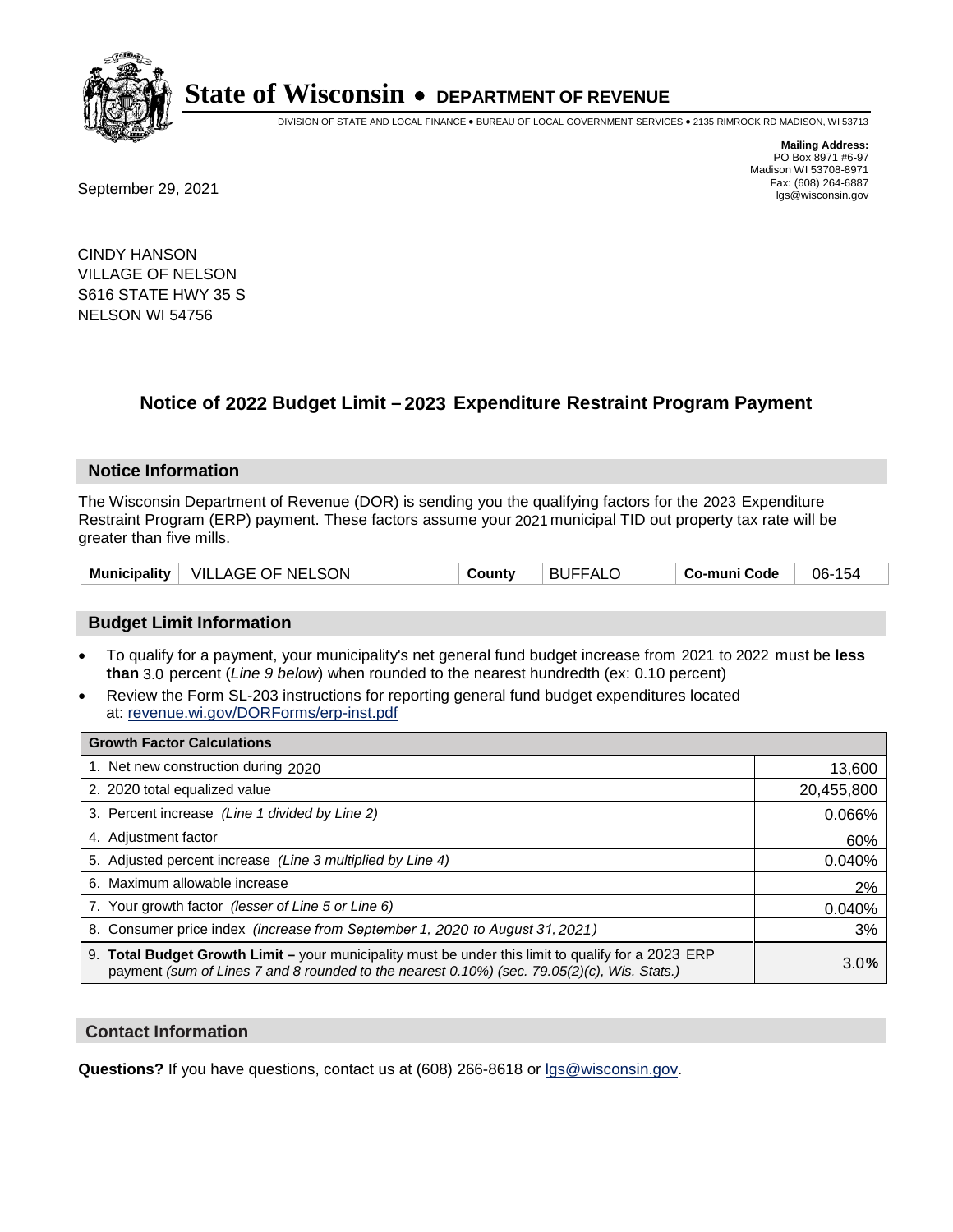

DIVISION OF STATE AND LOCAL FINANCE • BUREAU OF LOCAL GOVERNMENT SERVICES • 2135 RIMROCK RD MADISON, WI 53713

**Mailing Address:** PO Box 8971 #6-97 Madison WI 53708-8971<br>Fax: (608) 264-6887

Fax: (608) 264-6887<br>
September 29, 2021 and the state of the state of the state of the state of the state of the state of the state of the state of the state of the state of the state of the state of the state of the state

CINDY HANSON VILLAGE OF NELSON S616 STATE HWY 35 S NELSON WI 54756

## **Notice of 2022 Budget Limit - 2023 Expenditure Restraint Program Payment**

#### **Notice Information**

The Wisconsin Department of Revenue (DOR) is sending you the qualifying factors for the 2023 Expenditure Restraint Program (ERP) payment. These factors assume your 2021 municipal TID out property tax rate will be greater than five mills.

### **Budget Limit Information**

- To qualify for a payment, your municipality's net general fund budget increase from 2021 to 2022 must be less **than** 3.0 percent (*Line 9 below*) when rounded to the nearest hundredth (ex: 0.10 percent)
- Review the Form SL-203 instructions for reporting general fund budget expenditures located at: revenue.wi.gov/DORForms/erp-inst.pdf

| <b>Growth Factor Calculations</b>                                                                                                                                                                  |            |
|----------------------------------------------------------------------------------------------------------------------------------------------------------------------------------------------------|------------|
| 1. Net new construction during 2020                                                                                                                                                                | 13,600     |
| 2. 2020 total equalized value                                                                                                                                                                      | 20,455,800 |
| 3. Percent increase (Line 1 divided by Line 2)                                                                                                                                                     | 0.066%     |
| 4. Adjustment factor                                                                                                                                                                               | 60%        |
| 5. Adjusted percent increase (Line 3 multiplied by Line 4)                                                                                                                                         | 0.040%     |
| 6. Maximum allowable increase                                                                                                                                                                      | 2%         |
| 7. Your growth factor (lesser of Line 5 or Line 6)                                                                                                                                                 | 0.040%     |
| 8. Consumer price index (increase from September 1, 2020 to August 31, 2021)                                                                                                                       | 3%         |
| 9. Total Budget Growth Limit - your municipality must be under this limit to qualify for a 2023 ERP<br>payment (sum of Lines 7 and 8 rounded to the nearest 0.10%) (sec. 79.05(2)(c), Wis. Stats.) | 3.0%       |

#### **Contact Information**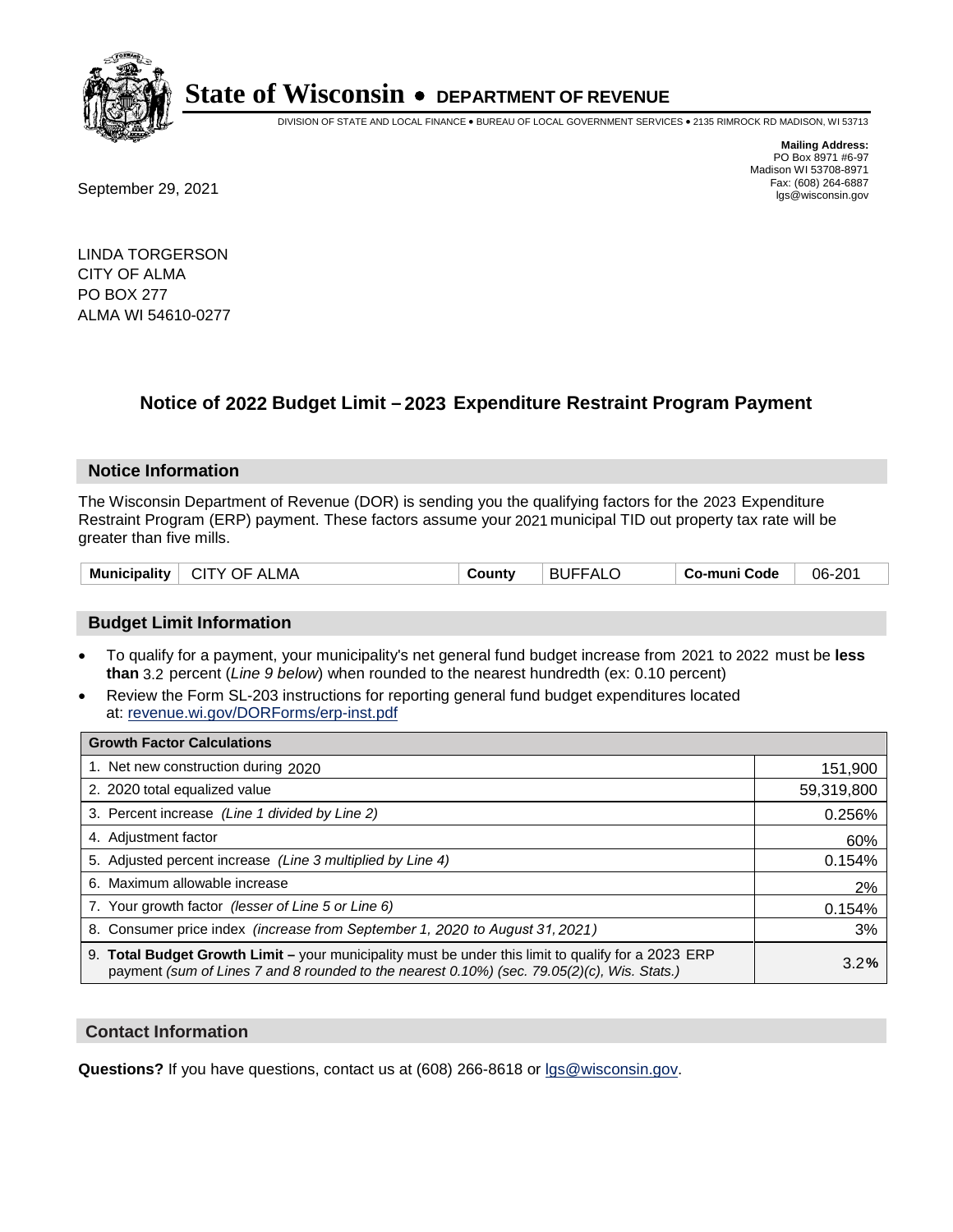

DIVISION OF STATE AND LOCAL FINANCE • BUREAU OF LOCAL GOVERNMENT SERVICES • 2135 RIMROCK RD MADISON, WI 53713

**Mailing Address:** PO Box 8971 #6-97 Madison WI 53708-8971<br>Fax: (608) 264-6887

Fax: (608) 264-6887<br>
September 29, 2021 and the state of the state of the state of the state of the state of the state of the state of the state of the state of the state of the state of the state of the state of the state

LINDA TORGERSON CITY OF ALMA PO BOX 277 ALMA WI 54610-0277

## **Notice of 2022 Budget Limit - 2023 Expenditure Restraint Program Payment**

#### **Notice Information**

The Wisconsin Department of Revenue (DOR) is sending you the qualifying factors for the 2023 Expenditure Restraint Program (ERP) payment. These factors assume your 2021 municipal TID out property tax rate will be greater than five mills.

| <b>Municipality</b><br>$\perp$ CITY OF ALMA | County | <b>BUFFALO</b> | Co-muni Code | 06-201 |
|---------------------------------------------|--------|----------------|--------------|--------|
|---------------------------------------------|--------|----------------|--------------|--------|

### **Budget Limit Information**

- To qualify for a payment, your municipality's net general fund budget increase from 2021 to 2022 must be less **than** 3.2 percent (*Line 9 below*) when rounded to the nearest hundredth (ex: 0.10 percent)
- Review the Form SL-203 instructions for reporting general fund budget expenditures located at: revenue.wi.gov/DORForms/erp-inst.pdf

| <b>Growth Factor Calculations</b>                                                                                                                                                                  |            |
|----------------------------------------------------------------------------------------------------------------------------------------------------------------------------------------------------|------------|
| 1. Net new construction during 2020                                                                                                                                                                | 151,900    |
| 2. 2020 total equalized value                                                                                                                                                                      | 59,319,800 |
| 3. Percent increase (Line 1 divided by Line 2)                                                                                                                                                     | 0.256%     |
| 4. Adjustment factor                                                                                                                                                                               | 60%        |
| 5. Adjusted percent increase (Line 3 multiplied by Line 4)                                                                                                                                         | 0.154%     |
| 6. Maximum allowable increase                                                                                                                                                                      | 2%         |
| 7. Your growth factor (lesser of Line 5 or Line 6)                                                                                                                                                 | 0.154%     |
| 8. Consumer price index (increase from September 1, 2020 to August 31, 2021)                                                                                                                       | 3%         |
| 9. Total Budget Growth Limit – your municipality must be under this limit to qualify for a 2023 ERP<br>payment (sum of Lines 7 and 8 rounded to the nearest 0.10%) (sec. 79.05(2)(c), Wis. Stats.) | 3.2%       |

#### **Contact Information**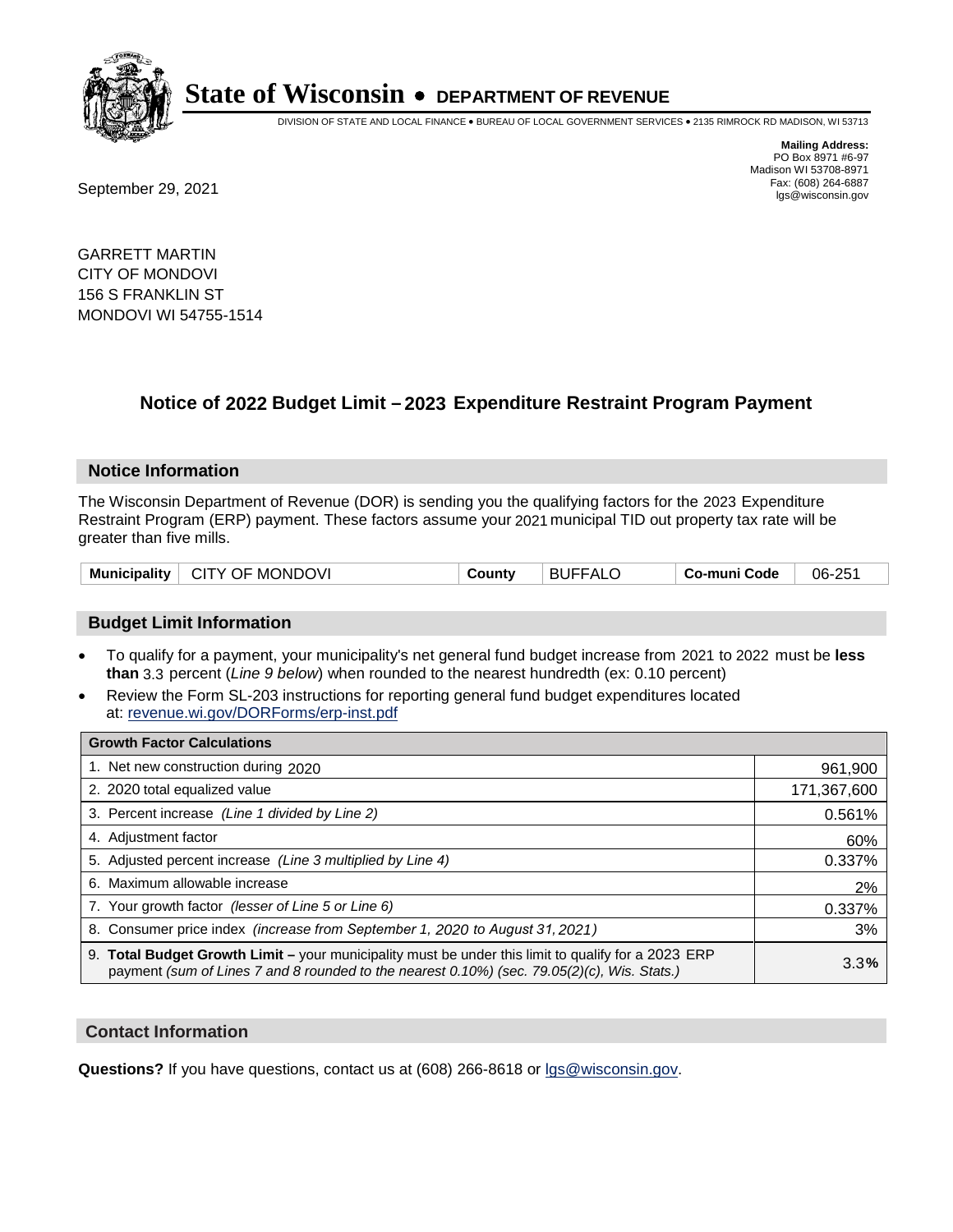

DIVISION OF STATE AND LOCAL FINANCE • BUREAU OF LOCAL GOVERNMENT SERVICES • 2135 RIMROCK RD MADISON, WI 53713

Fax: (608) 264-6887<br>
September 29, 2021 and the state of the state of the state of the state of the state of the state of the state of the state of the state of the state of the state of the state of the state of the state

**Mailing Address:** PO Box 8971 #6-97 Madison WI 53708-8971<br>Fax: (608) 264-6887

GARRETT MARTIN CITY OF MONDOVI 156 S FRANKLIN ST MONDOVI WI 54755-1514

## **Notice of 2022 Budget Limit - 2023 Expenditure Restraint Program Payment**

#### **Notice Information**

The Wisconsin Department of Revenue (DOR) is sending you the qualifying factors for the 2023 Expenditure Restraint Program (ERP) payment. These factors assume your 2021 municipal TID out property tax rate will be greater than five mills.

#### **Budget Limit Information**

- To qualify for a payment, your municipality's net general fund budget increase from 2021 to 2022 must be less **than** 3.3 percent (*Line 9 below*) when rounded to the nearest hundredth (ex: 0.10 percent)
- Review the Form SL-203 instructions for reporting general fund budget expenditures located at: revenue.wi.gov/DORForms/erp-inst.pdf

| <b>Growth Factor Calculations</b>                                                                                                                                                                  |             |
|----------------------------------------------------------------------------------------------------------------------------------------------------------------------------------------------------|-------------|
| 1. Net new construction during 2020                                                                                                                                                                | 961,900     |
| 2. 2020 total equalized value                                                                                                                                                                      | 171,367,600 |
| 3. Percent increase (Line 1 divided by Line 2)                                                                                                                                                     | 0.561%      |
| 4. Adjustment factor                                                                                                                                                                               | 60%         |
| 5. Adjusted percent increase (Line 3 multiplied by Line 4)                                                                                                                                         | 0.337%      |
| 6. Maximum allowable increase                                                                                                                                                                      | 2%          |
| 7. Your growth factor (lesser of Line 5 or Line 6)                                                                                                                                                 | 0.337%      |
| 8. Consumer price index (increase from September 1, 2020 to August 31, 2021)                                                                                                                       | 3%          |
| 9. Total Budget Growth Limit – your municipality must be under this limit to qualify for a 2023 ERP<br>payment (sum of Lines 7 and 8 rounded to the nearest 0.10%) (sec. 79.05(2)(c), Wis. Stats.) | 3.3%        |

#### **Contact Information**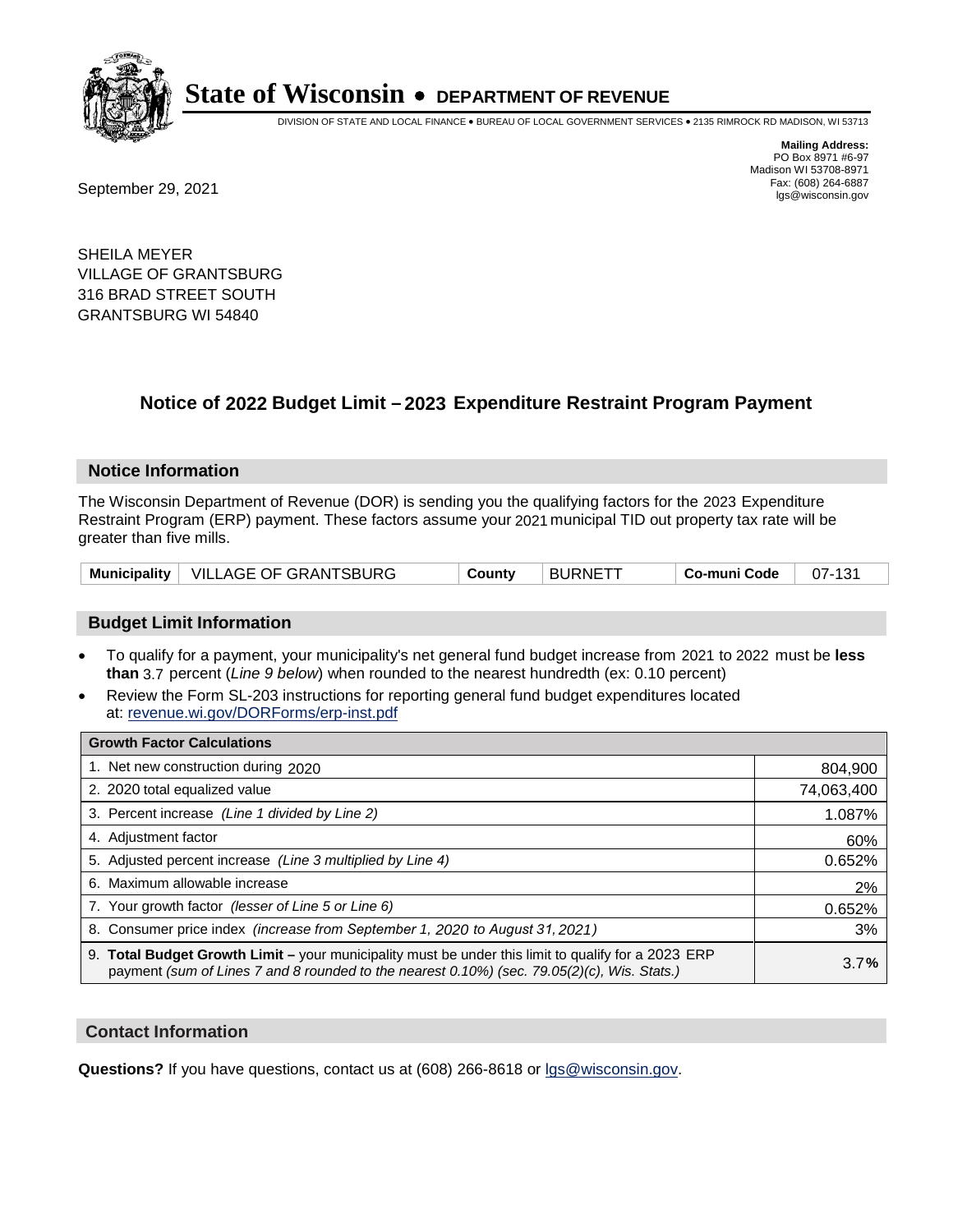

DIVISION OF STATE AND LOCAL FINANCE • BUREAU OF LOCAL GOVERNMENT SERVICES • 2135 RIMROCK RD MADISON, WI 53713

Fax: (608) 264-6887<br>
September 29, 2021 and the state of the state of the state of the state of the state of the state of the state of the state of the state of the state of the state of the state of the state of the state

**Mailing Address:** PO Box 8971 #6-97 Madison WI 53708-8971<br>Fax: (608) 264-6887

SHEILA MEYER VILLAGE OF GRANTSBURG 316 BRAD STREET SOUTH GRANTSBURG WI 54840

## **Notice of 2022 Budget Limit - 2023 Expenditure Restraint Program Payment**

#### **Notice Information**

The Wisconsin Department of Revenue (DOR) is sending you the qualifying factors for the 2023 Expenditure Restraint Program (ERP) payment. These factors assume your 2021 municipal TID out property tax rate will be greater than five mills.

|  | Municipality   VILLAGE OF GRANTSBURG | County | <b>BURNETT</b> | Co-muni Code | 07-131 |
|--|--------------------------------------|--------|----------------|--------------|--------|
|--|--------------------------------------|--------|----------------|--------------|--------|

#### **Budget Limit Information**

- To qualify for a payment, your municipality's net general fund budget increase from 2021 to 2022 must be less **than** 3.7 percent (*Line 9 below*) when rounded to the nearest hundredth (ex: 0.10 percent)
- Review the Form SL-203 instructions for reporting general fund budget expenditures located at: revenue.wi.gov/DORForms/erp-inst.pdf

| <b>Growth Factor Calculations</b>                                                                                                                                                                  |            |
|----------------------------------------------------------------------------------------------------------------------------------------------------------------------------------------------------|------------|
| 1. Net new construction during 2020                                                                                                                                                                | 804,900    |
| 2. 2020 total equalized value                                                                                                                                                                      | 74,063,400 |
| 3. Percent increase (Line 1 divided by Line 2)                                                                                                                                                     | 1.087%     |
| 4. Adiustment factor                                                                                                                                                                               | 60%        |
| 5. Adjusted percent increase (Line 3 multiplied by Line 4)                                                                                                                                         | 0.652%     |
| 6. Maximum allowable increase                                                                                                                                                                      | 2%         |
| 7. Your growth factor (lesser of Line 5 or Line 6)                                                                                                                                                 | 0.652%     |
| 8. Consumer price index (increase from September 1, 2020 to August 31, 2021)                                                                                                                       | 3%         |
| 9. Total Budget Growth Limit - your municipality must be under this limit to qualify for a 2023 ERP<br>payment (sum of Lines 7 and 8 rounded to the nearest 0.10%) (sec. 79.05(2)(c), Wis. Stats.) | 3.7%       |

#### **Contact Information**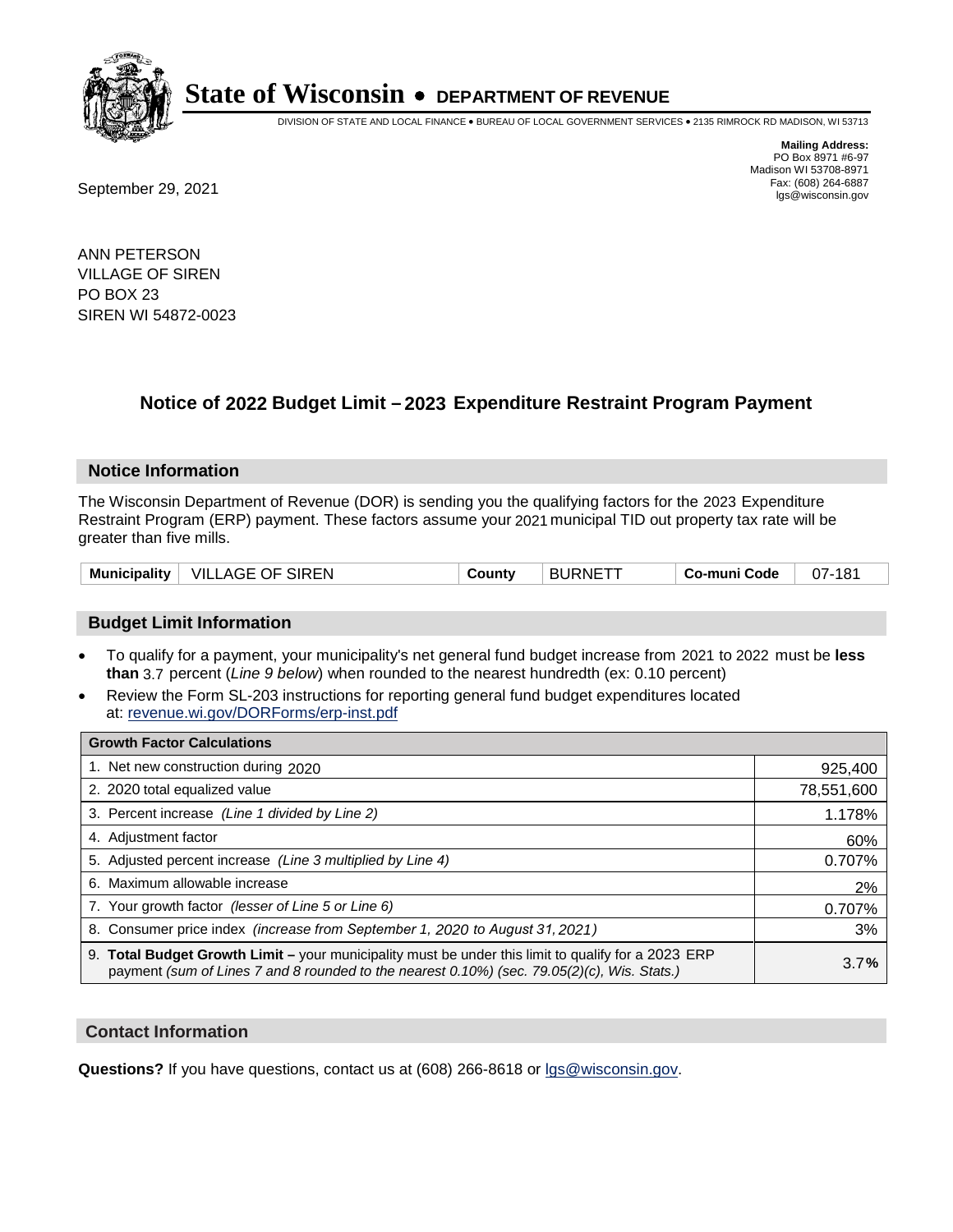

DIVISION OF STATE AND LOCAL FINANCE • BUREAU OF LOCAL GOVERNMENT SERVICES • 2135 RIMROCK RD MADISON, WI 53713

**Mailing Address:** PO Box 8971 #6-97 Madison WI 53708-8971<br>Fax: (608) 264-6887

Fax: (608) 264-6887<br>
September 29, 2021 and the state of the state of the state of the state of the state of the state of the state of the state of the state of the state of the state of the state of the state of the state

ANN PETERSON VILLAGE OF SIREN PO BOX 23 SIREN WI 54872-0023

## **Notice of 2022 Budget Limit - 2023 Expenditure Restraint Program Payment**

#### **Notice Information**

The Wisconsin Department of Revenue (DOR) is sending you the qualifying factors for the 2023 Expenditure Restraint Program (ERP) payment. These factors assume your 2021 municipal TID out property tax rate will be greater than five mills.

| <b>VILLAGE OF SIREN</b><br>Municipality $\vert$ | Countv | ⊤ BURNETT | Co-muni Code | 07-181 |
|-------------------------------------------------|--------|-----------|--------------|--------|
|-------------------------------------------------|--------|-----------|--------------|--------|

### **Budget Limit Information**

- To qualify for a payment, your municipality's net general fund budget increase from 2021 to 2022 must be less **than** 3.7 percent (*Line 9 below*) when rounded to the nearest hundredth (ex: 0.10 percent)
- Review the Form SL-203 instructions for reporting general fund budget expenditures located at: revenue.wi.gov/DORForms/erp-inst.pdf

| <b>Growth Factor Calculations</b>                                                                                                                                                                      |            |
|--------------------------------------------------------------------------------------------------------------------------------------------------------------------------------------------------------|------------|
| 1. Net new construction during 2020                                                                                                                                                                    | 925,400    |
| 2. 2020 total equalized value                                                                                                                                                                          | 78,551,600 |
| 3. Percent increase (Line 1 divided by Line 2)                                                                                                                                                         | 1.178%     |
| 4. Adjustment factor                                                                                                                                                                                   | 60%        |
| 5. Adjusted percent increase (Line 3 multiplied by Line 4)                                                                                                                                             | 0.707%     |
| 6. Maximum allowable increase                                                                                                                                                                          | 2%         |
| 7. Your growth factor (lesser of Line 5 or Line 6)                                                                                                                                                     | 0.707%     |
| 8. Consumer price index (increase from September 1, 2020 to August 31, 2021)                                                                                                                           | 3%         |
| 9. Total Budget Growth Limit - your municipality must be under this limit to qualify for a 2023 ERP<br>payment (sum of Lines 7 and 8 rounded to the nearest $0.10\%$ ) (sec. 79.05(2)(c), Wis. Stats.) | 3.7%       |

#### **Contact Information**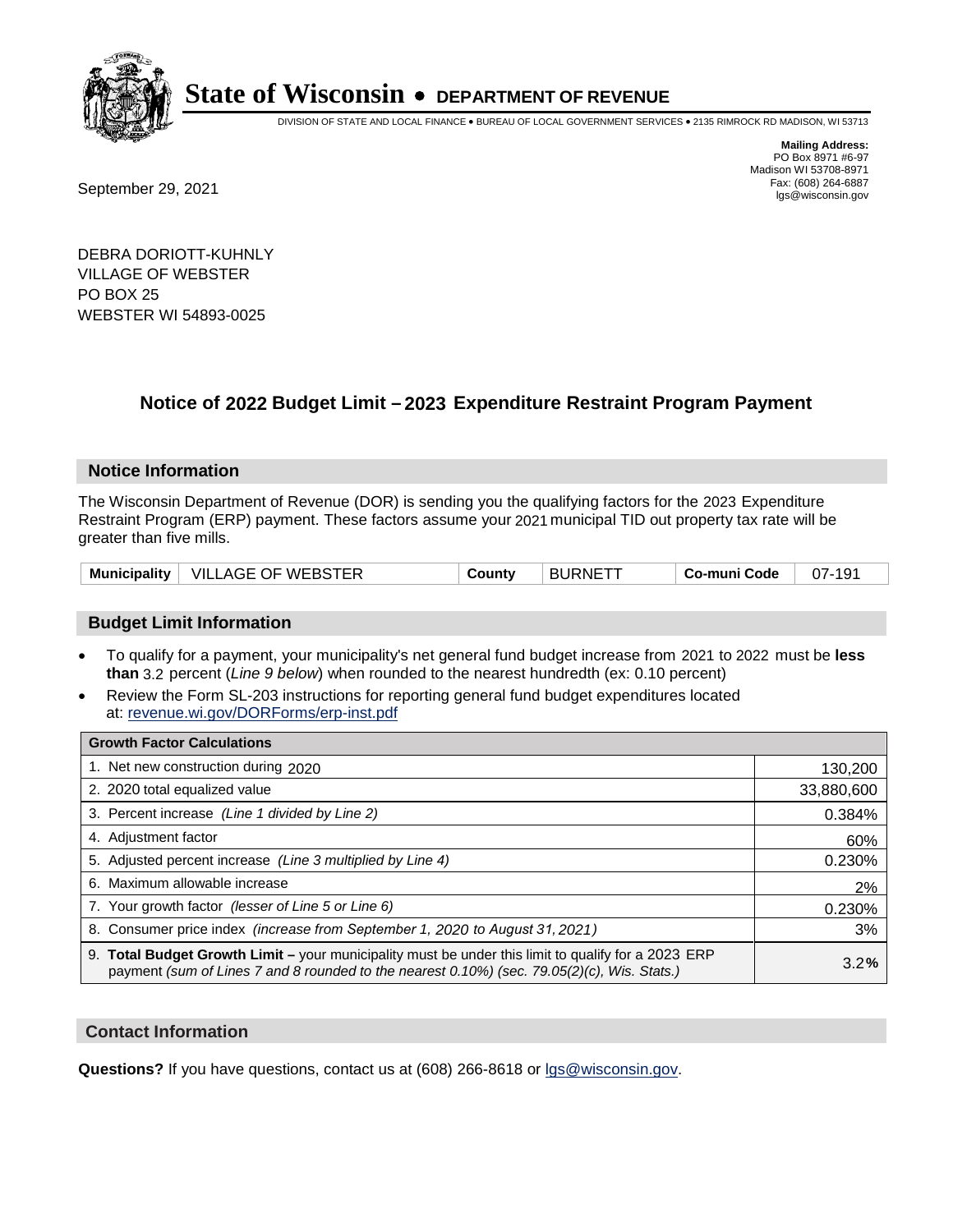

DIVISION OF STATE AND LOCAL FINANCE • BUREAU OF LOCAL GOVERNMENT SERVICES • 2135 RIMROCK RD MADISON, WI 53713

Fax: (608) 264-6887<br>
September 29, 2021 and the state of the state of the state of the state of the state of the state of the state of the state of the state of the state of the state of the state of the state of the state

**Mailing Address:** PO Box 8971 #6-97 Madison WI 53708-8971<br>Fax: (608) 264-6887

DEBRA DORIOTT-KUHNLY VILLAGE OF WEBSTER PO BOX 25 WEBSTER WI 54893-0025

### **Notice of 2022 Budget Limit - 2023 Expenditure Restraint Program Payment**

#### **Notice Information**

The Wisconsin Department of Revenue (DOR) is sending you the qualifying factors for the 2023 Expenditure Restraint Program (ERP) payment. These factors assume your 2021 municipal TID out property tax rate will be greater than five mills.

| <b>VILLAGE OF WEBSTER</b><br><b>Municipality</b> | County | ⊤ BURNETT | Co-muni Code | $07 -$ |
|--------------------------------------------------|--------|-----------|--------------|--------|
|--------------------------------------------------|--------|-----------|--------------|--------|

#### **Budget Limit Information**

- To qualify for a payment, your municipality's net general fund budget increase from 2021 to 2022 must be less **than** 3.2 percent (*Line 9 below*) when rounded to the nearest hundredth (ex: 0.10 percent)
- Review the Form SL-203 instructions for reporting general fund budget expenditures located at: revenue.wi.gov/DORForms/erp-inst.pdf

| <b>Growth Factor Calculations</b>                                                                                                                                                                  |            |
|----------------------------------------------------------------------------------------------------------------------------------------------------------------------------------------------------|------------|
| 1. Net new construction during 2020                                                                                                                                                                | 130,200    |
| 2. 2020 total equalized value                                                                                                                                                                      | 33,880,600 |
| 3. Percent increase (Line 1 divided by Line 2)                                                                                                                                                     | 0.384%     |
| 4. Adjustment factor                                                                                                                                                                               | 60%        |
| 5. Adjusted percent increase (Line 3 multiplied by Line 4)                                                                                                                                         | 0.230%     |
| 6. Maximum allowable increase                                                                                                                                                                      | 2%         |
| 7. Your growth factor (lesser of Line 5 or Line 6)                                                                                                                                                 | 0.230%     |
| 8. Consumer price index (increase from September 1, 2020 to August 31, 2021)                                                                                                                       | 3%         |
| 9. Total Budget Growth Limit - your municipality must be under this limit to qualify for a 2023 ERP<br>payment (sum of Lines 7 and 8 rounded to the nearest 0.10%) (sec. 79.05(2)(c), Wis. Stats.) | 3.2%       |

#### **Contact Information**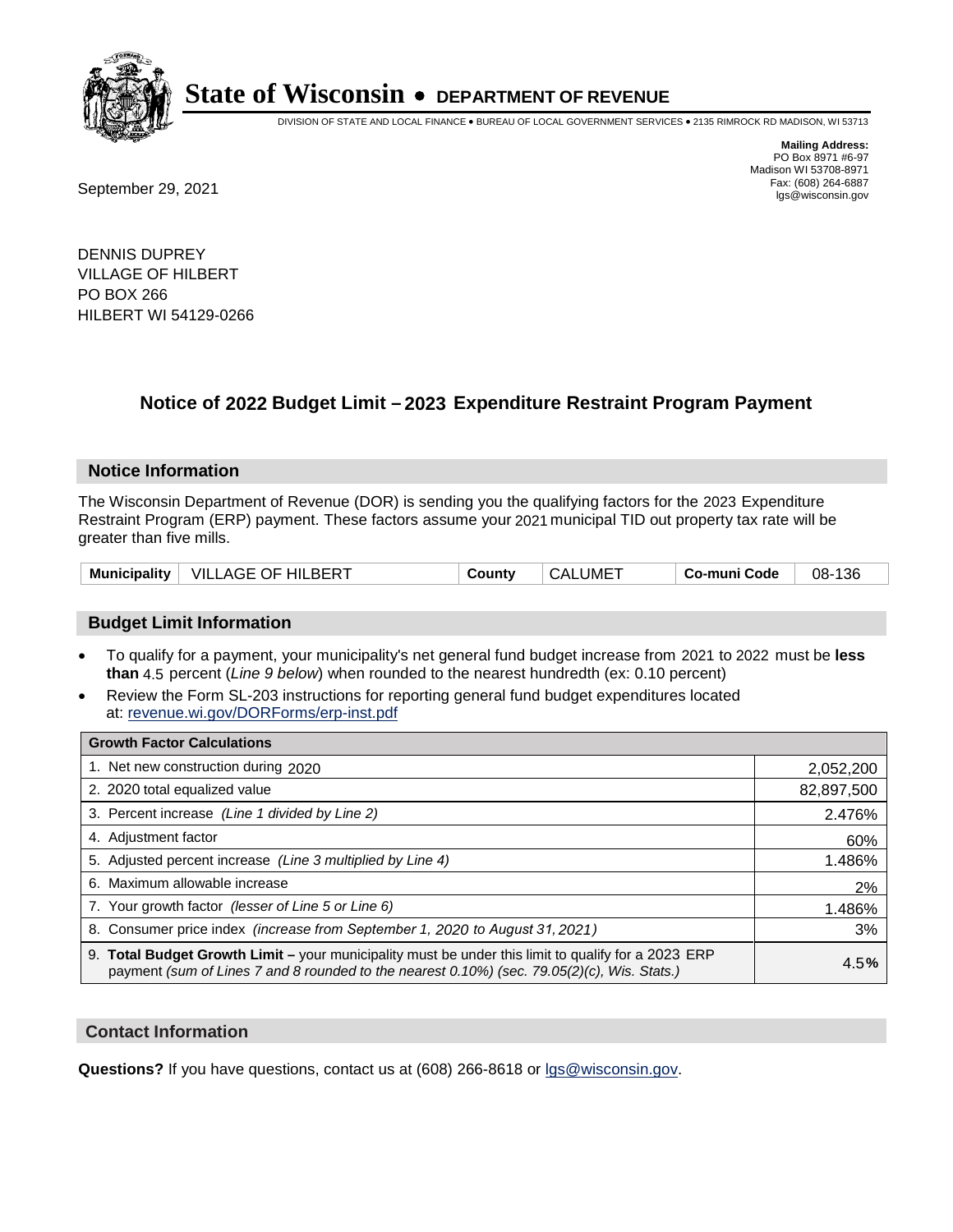

DIVISION OF STATE AND LOCAL FINANCE • BUREAU OF LOCAL GOVERNMENT SERVICES • 2135 RIMROCK RD MADISON, WI 53713

Fax: (608) 264-6887<br>
September 29, 2021 and the state of the state of the state of the state of the state of the state of the state of the state of the state of the state of the state of the state of the state of the state

**Mailing Address:** PO Box 8971 #6-97 Madison WI 53708-8971<br>Fax: (608) 264-6887

DENNIS DUPREY VILLAGE OF HILBERT PO BOX 266 HILBERT WI 54129-0266

## **Notice of 2022 Budget Limit - 2023 Expenditure Restraint Program Payment**

#### **Notice Information**

The Wisconsin Department of Revenue (DOR) is sending you the qualifying factors for the 2023 Expenditure Restraint Program (ERP) payment. These factors assume your 2021 municipal TID out property tax rate will be greater than five mills.

| Municipality | VILLAGE OF HILBERT | County | CALUME <sup>-</sup> | Co-muni Code | 136<br>08- |
|--------------|--------------------|--------|---------------------|--------------|------------|
|--------------|--------------------|--------|---------------------|--------------|------------|

### **Budget Limit Information**

- To qualify for a payment, your municipality's net general fund budget increase from 2021 to 2022 must be less **than** 4.5 percent (*Line 9 below*) when rounded to the nearest hundredth (ex: 0.10 percent)
- Review the Form SL-203 instructions for reporting general fund budget expenditures located at: revenue.wi.gov/DORForms/erp-inst.pdf

| <b>Growth Factor Calculations</b>                                                                                                                                                                  |            |
|----------------------------------------------------------------------------------------------------------------------------------------------------------------------------------------------------|------------|
| 1. Net new construction during 2020                                                                                                                                                                | 2,052,200  |
| 2. 2020 total equalized value                                                                                                                                                                      | 82,897,500 |
| 3. Percent increase (Line 1 divided by Line 2)                                                                                                                                                     | 2.476%     |
| 4. Adiustment factor                                                                                                                                                                               | 60%        |
| 5. Adjusted percent increase (Line 3 multiplied by Line 4)                                                                                                                                         | 1.486%     |
| 6. Maximum allowable increase                                                                                                                                                                      | 2%         |
| 7. Your growth factor (lesser of Line 5 or Line 6)                                                                                                                                                 | 1.486%     |
| 8. Consumer price index (increase from September 1, 2020 to August 31, 2021)                                                                                                                       | 3%         |
| 9. Total Budget Growth Limit - your municipality must be under this limit to qualify for a 2023 ERP<br>payment (sum of Lines 7 and 8 rounded to the nearest 0.10%) (sec. 79.05(2)(c), Wis. Stats.) | 4.5%       |

#### **Contact Information**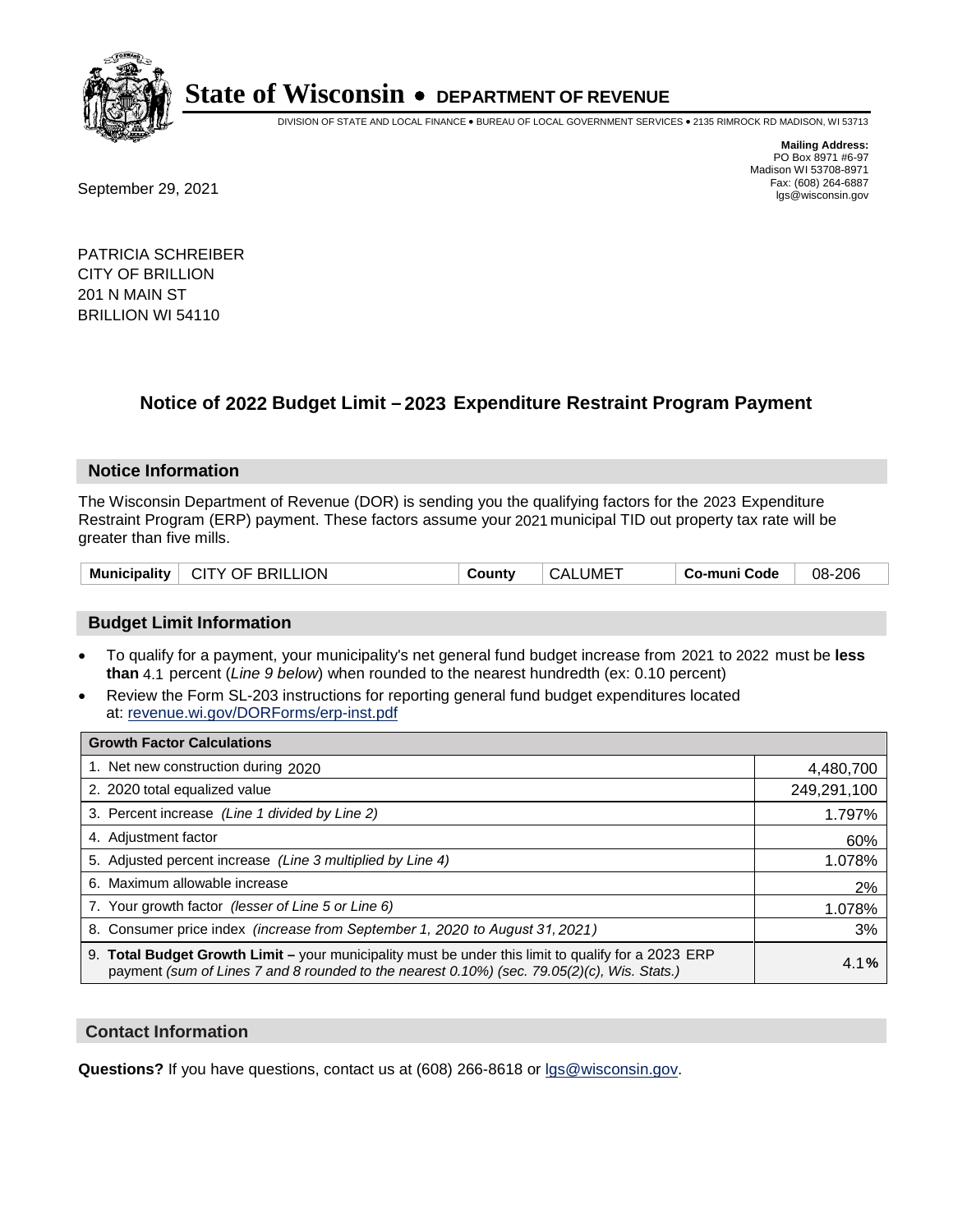

DIVISION OF STATE AND LOCAL FINANCE • BUREAU OF LOCAL GOVERNMENT SERVICES • 2135 RIMROCK RD MADISON, WI 53713

Fax: (608) 264-6887<br>
September 29, 2021 and the state of the state of the state of the state of the state of the state of the state of the state of the state of the state of the state of the state of the state of the state

**Mailing Address:** PO Box 8971 #6-97 Madison WI 53708-8971<br>Fax: (608) 264-6887

PATRICIA SCHREIBER CITY OF BRILLION 201 N MAIN ST BRILLION WI 54110

## **Notice of 2022 Budget Limit - 2023 Expenditure Restraint Program Payment**

#### **Notice Information**

The Wisconsin Department of Revenue (DOR) is sending you the qualifying factors for the 2023 Expenditure Restraint Program (ERP) payment. These factors assume your 2021 municipal TID out property tax rate will be greater than five mills.

### **Budget Limit Information**

- To qualify for a payment, your municipality's net general fund budget increase from 2021 to 2022 must be less **than** 4.1 percent (*Line 9 below*) when rounded to the nearest hundredth (ex: 0.10 percent)
- Review the Form SL-203 instructions for reporting general fund budget expenditures located at: revenue.wi.gov/DORForms/erp-inst.pdf

| <b>Growth Factor Calculations</b>                                                                                                                                                                  |             |
|----------------------------------------------------------------------------------------------------------------------------------------------------------------------------------------------------|-------------|
| 1. Net new construction during 2020                                                                                                                                                                | 4,480,700   |
| 2. 2020 total equalized value                                                                                                                                                                      | 249,291,100 |
| 3. Percent increase (Line 1 divided by Line 2)                                                                                                                                                     | 1.797%      |
| 4. Adiustment factor                                                                                                                                                                               | 60%         |
| 5. Adjusted percent increase (Line 3 multiplied by Line 4)                                                                                                                                         | 1.078%      |
| 6. Maximum allowable increase                                                                                                                                                                      | 2%          |
| 7. Your growth factor (lesser of Line 5 or Line 6)                                                                                                                                                 | 1.078%      |
| 8. Consumer price index (increase from September 1, 2020 to August 31, 2021)                                                                                                                       | 3%          |
| 9. Total Budget Growth Limit - your municipality must be under this limit to qualify for a 2023 ERP<br>payment (sum of Lines 7 and 8 rounded to the nearest 0.10%) (sec. 79.05(2)(c), Wis. Stats.) | 4.1%        |

#### **Contact Information**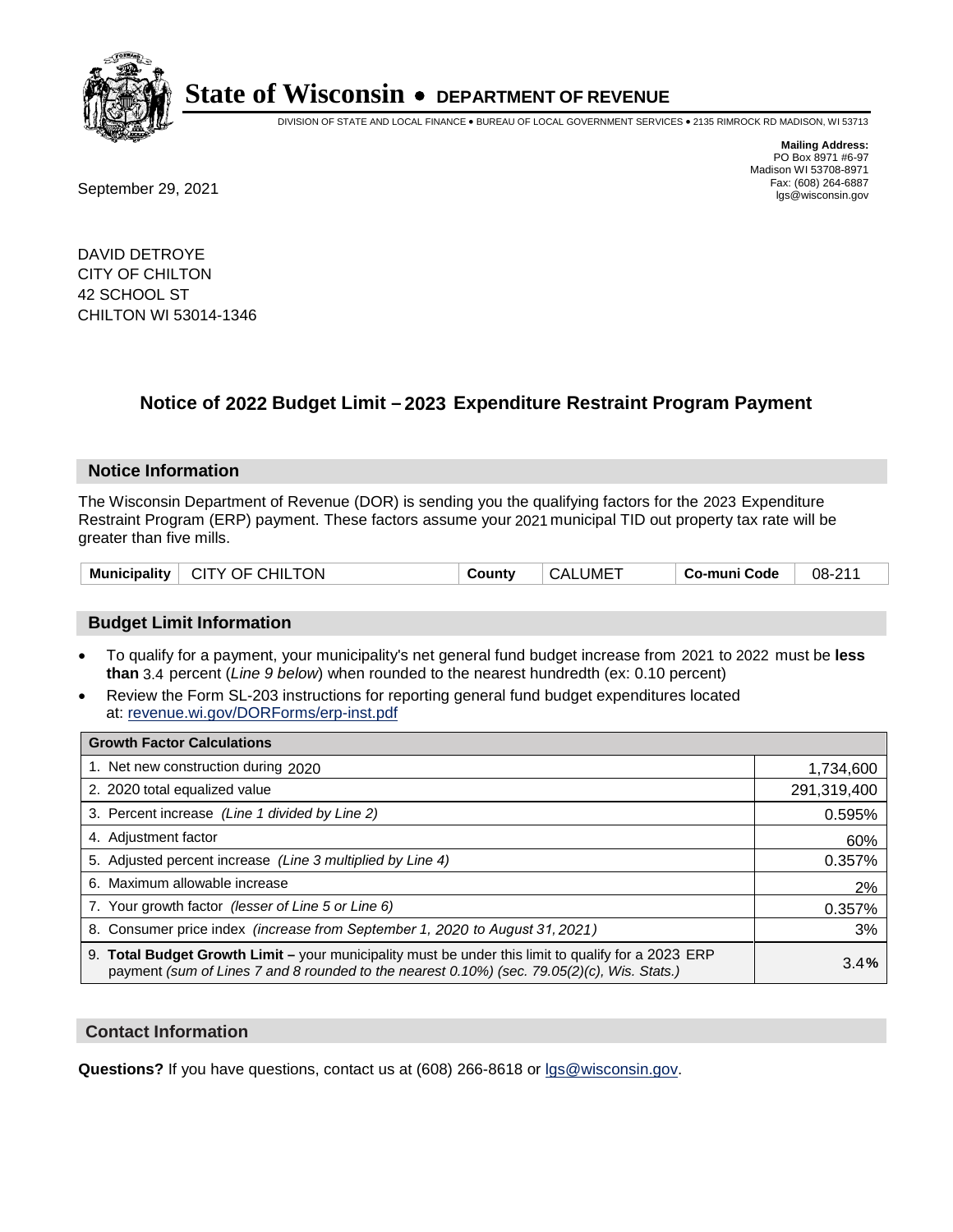

DIVISION OF STATE AND LOCAL FINANCE • BUREAU OF LOCAL GOVERNMENT SERVICES • 2135 RIMROCK RD MADISON, WI 53713

Fax: (608) 264-6887<br>
September 29, 2021 and the state of the state of the state of the state of the state of the state of the state of the state of the state of the state of the state of the state of the state of the state

**Mailing Address:** PO Box 8971 #6-97 Madison WI 53708-8971<br>Fax: (608) 264-6887

DAVID DETROYE CITY OF CHILTON 42 SCHOOL ST CHILTON WI 53014-1346

## **Notice of 2022 Budget Limit - 2023 Expenditure Restraint Program Payment**

#### **Notice Information**

The Wisconsin Department of Revenue (DOR) is sending you the qualifying factors for the 2023 Expenditure Restraint Program (ERP) payment. These factors assume your 2021 municipal TID out property tax rate will be greater than five mills.

| CITY OF CHILTON<br><b>Municipality</b> | County | ⊤ CALUME <sup>-</sup> | Co-muni Code | 08-211 |
|----------------------------------------|--------|-----------------------|--------------|--------|
|----------------------------------------|--------|-----------------------|--------------|--------|

### **Budget Limit Information**

- To qualify for a payment, your municipality's net general fund budget increase from 2021 to 2022 must be less **than** 3.4 percent (*Line 9 below*) when rounded to the nearest hundredth (ex: 0.10 percent)
- Review the Form SL-203 instructions for reporting general fund budget expenditures located at: revenue.wi.gov/DORForms/erp-inst.pdf

| <b>Growth Factor Calculations</b>                                                                                                                                                                  |             |
|----------------------------------------------------------------------------------------------------------------------------------------------------------------------------------------------------|-------------|
| 1. Net new construction during 2020                                                                                                                                                                | 1,734,600   |
| 2. 2020 total equalized value                                                                                                                                                                      | 291,319,400 |
| 3. Percent increase (Line 1 divided by Line 2)                                                                                                                                                     | 0.595%      |
| 4. Adjustment factor                                                                                                                                                                               | 60%         |
| 5. Adjusted percent increase (Line 3 multiplied by Line 4)                                                                                                                                         | 0.357%      |
| 6. Maximum allowable increase                                                                                                                                                                      | 2%          |
| 7. Your growth factor (lesser of Line 5 or Line 6)                                                                                                                                                 | 0.357%      |
| 8. Consumer price index (increase from September 1, 2020 to August 31, 2021)                                                                                                                       | 3%          |
| 9. Total Budget Growth Limit – your municipality must be under this limit to qualify for a 2023 ERP<br>payment (sum of Lines 7 and 8 rounded to the nearest 0.10%) (sec. 79.05(2)(c), Wis. Stats.) | 3.4%        |

#### **Contact Information**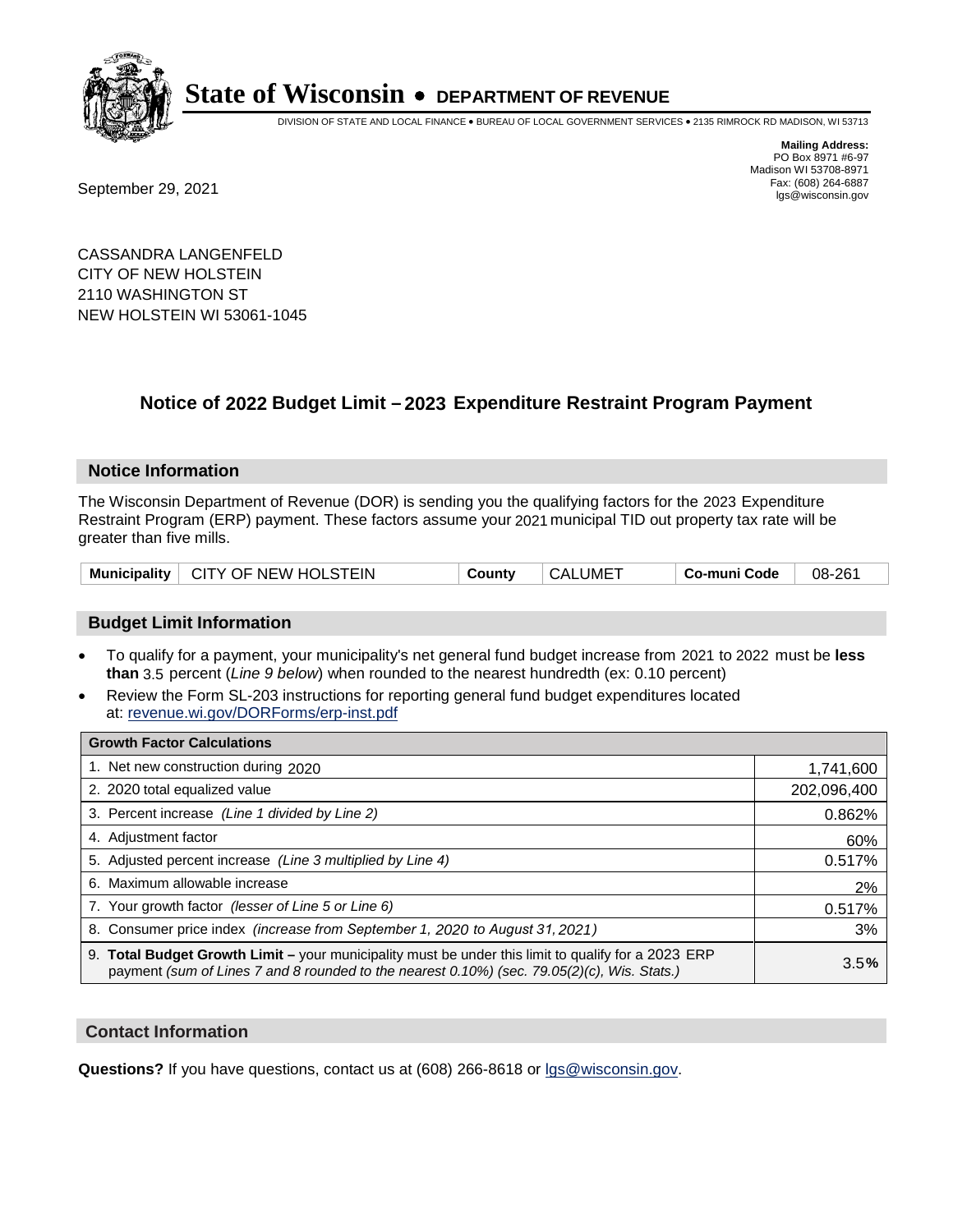

DIVISION OF STATE AND LOCAL FINANCE • BUREAU OF LOCAL GOVERNMENT SERVICES • 2135 RIMROCK RD MADISON, WI 53713

Fax: (608) 264-6887<br>
September 29, 2021 and the state of the state of the state of the state of the state of the state of the state of the state of the state of the state of the state of the state of the state of the state

**Mailing Address:** PO Box 8971 #6-97 Madison WI 53708-8971<br>Fax: (608) 264-6887

CASSANDRA LANGENFELD CITY OF NEW HOLSTEIN 2110 WASHINGTON ST NEW HOLSTEIN WI 53061-1045

### **Notice of 2022 Budget Limit - 2023 Expenditure Restraint Program Payment**

#### **Notice Information**

The Wisconsin Department of Revenue (DOR) is sending you the qualifying factors for the 2023 Expenditure Restraint Program (ERP) payment. These factors assume your 2021 municipal TID out property tax rate will be greater than five mills.

| I CITY OF NEW HOLSTEIN<br><b>Municipality</b> | County | <b>CALUME</b> | Co-muni Code | 08-261 |
|-----------------------------------------------|--------|---------------|--------------|--------|
|-----------------------------------------------|--------|---------------|--------------|--------|

#### **Budget Limit Information**

- To qualify for a payment, your municipality's net general fund budget increase from 2021 to 2022 must be less **than** 3.5 percent (*Line 9 below*) when rounded to the nearest hundredth (ex: 0.10 percent)
- Review the Form SL-203 instructions for reporting general fund budget expenditures located at: revenue.wi.gov/DORForms/erp-inst.pdf

| <b>Growth Factor Calculations</b>                                                                                                                                                                  |             |
|----------------------------------------------------------------------------------------------------------------------------------------------------------------------------------------------------|-------------|
| 1. Net new construction during 2020                                                                                                                                                                | 1,741,600   |
| 2. 2020 total equalized value                                                                                                                                                                      | 202,096,400 |
| 3. Percent increase (Line 1 divided by Line 2)                                                                                                                                                     | 0.862%      |
| 4. Adiustment factor                                                                                                                                                                               | 60%         |
| 5. Adjusted percent increase (Line 3 multiplied by Line 4)                                                                                                                                         | 0.517%      |
| 6. Maximum allowable increase                                                                                                                                                                      | 2%          |
| 7. Your growth factor (lesser of Line 5 or Line 6)                                                                                                                                                 | 0.517%      |
| 8. Consumer price index (increase from September 1, 2020 to August 31, 2021)                                                                                                                       | 3%          |
| 9. Total Budget Growth Limit - your municipality must be under this limit to qualify for a 2023 ERP<br>payment (sum of Lines 7 and 8 rounded to the nearest 0.10%) (sec. 79.05(2)(c), Wis. Stats.) | 3.5%        |

#### **Contact Information**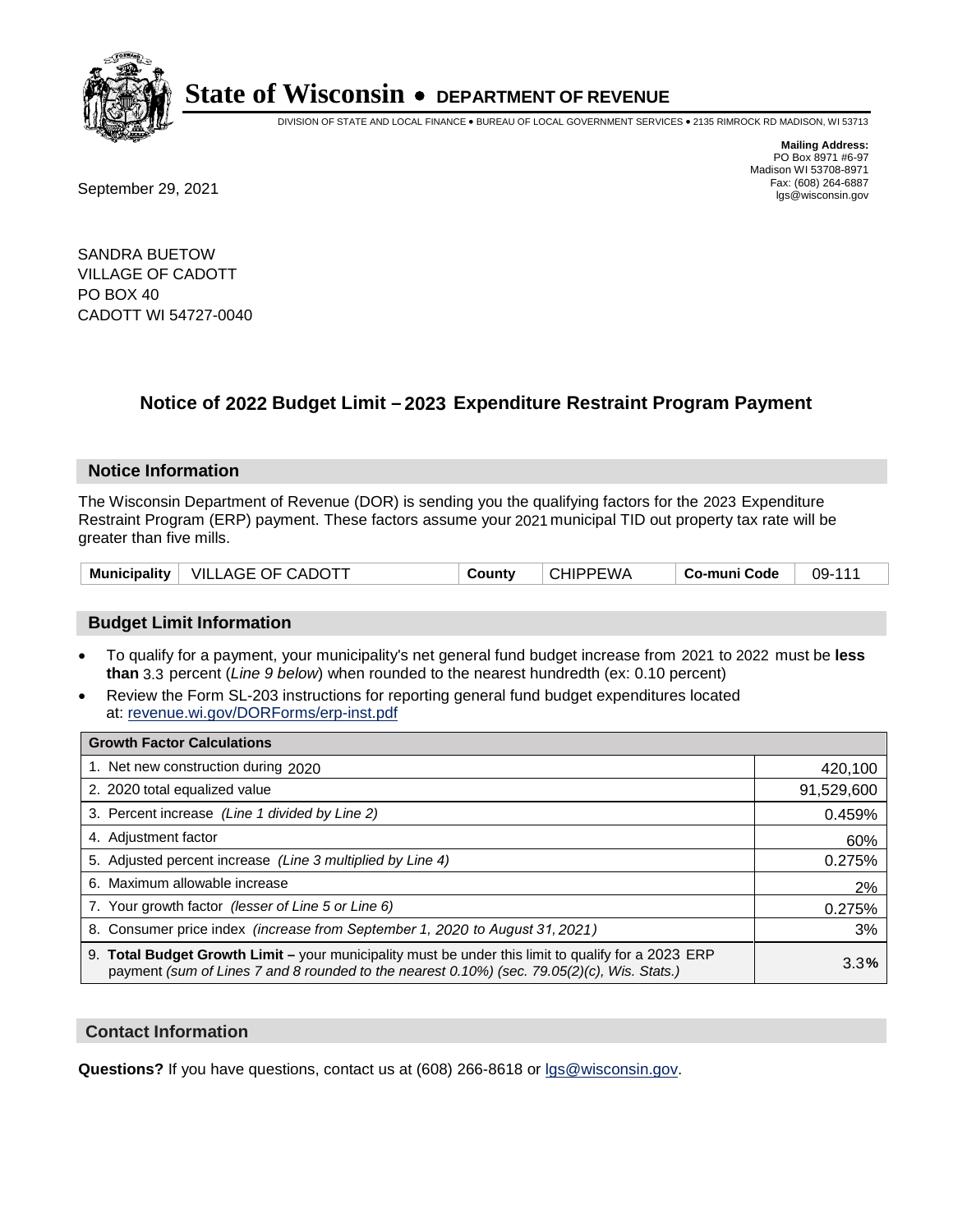

DIVISION OF STATE AND LOCAL FINANCE • BUREAU OF LOCAL GOVERNMENT SERVICES • 2135 RIMROCK RD MADISON, WI 53713

Fax: (608) 264-6887<br>
September 29, 2021 and the state of the state of the state of the state of the state of the state of the state of the state of the state of the state of the state of the state of the state of the state

**Mailing Address:** PO Box 8971 #6-97 Madison WI 53708-8971<br>Fax: (608) 264-6887

SANDRA BUETOW VILLAGE OF CADOTT PO BOX 40 CADOTT WI 54727-0040

## **Notice of 2022 Budget Limit - 2023 Expenditure Restraint Program Payment**

#### **Notice Information**

The Wisconsin Department of Revenue (DOR) is sending you the qualifying factors for the 2023 Expenditure Restraint Program (ERP) payment. These factors assume your 2021 municipal TID out property tax rate will be greater than five mills.

| Municipality   VILLAGE OF CADOTT | County | <b>CHIPPEWA</b> | Co-muni Code | 09-111 |
|----------------------------------|--------|-----------------|--------------|--------|
|----------------------------------|--------|-----------------|--------------|--------|

#### **Budget Limit Information**

- To qualify for a payment, your municipality's net general fund budget increase from 2021 to 2022 must be less **than** 3.3 percent (*Line 9 below*) when rounded to the nearest hundredth (ex: 0.10 percent)
- Review the Form SL-203 instructions for reporting general fund budget expenditures located at: revenue.wi.gov/DORForms/erp-inst.pdf

| <b>Growth Factor Calculations</b>                                                                                                                                                                  |            |
|----------------------------------------------------------------------------------------------------------------------------------------------------------------------------------------------------|------------|
| 1. Net new construction during 2020                                                                                                                                                                | 420,100    |
| 2. 2020 total equalized value                                                                                                                                                                      | 91,529,600 |
| 3. Percent increase (Line 1 divided by Line 2)                                                                                                                                                     | 0.459%     |
| 4. Adjustment factor                                                                                                                                                                               | 60%        |
| 5. Adjusted percent increase (Line 3 multiplied by Line 4)                                                                                                                                         | 0.275%     |
| 6. Maximum allowable increase                                                                                                                                                                      | 2%         |
| 7. Your growth factor (lesser of Line 5 or Line 6)                                                                                                                                                 | 0.275%     |
| 8. Consumer price index (increase from September 1, 2020 to August 31, 2021)                                                                                                                       | 3%         |
| 9. Total Budget Growth Limit – your municipality must be under this limit to qualify for a 2023 ERP<br>payment (sum of Lines 7 and 8 rounded to the nearest 0.10%) (sec. 79.05(2)(c), Wis. Stats.) | 3.3%       |

#### **Contact Information**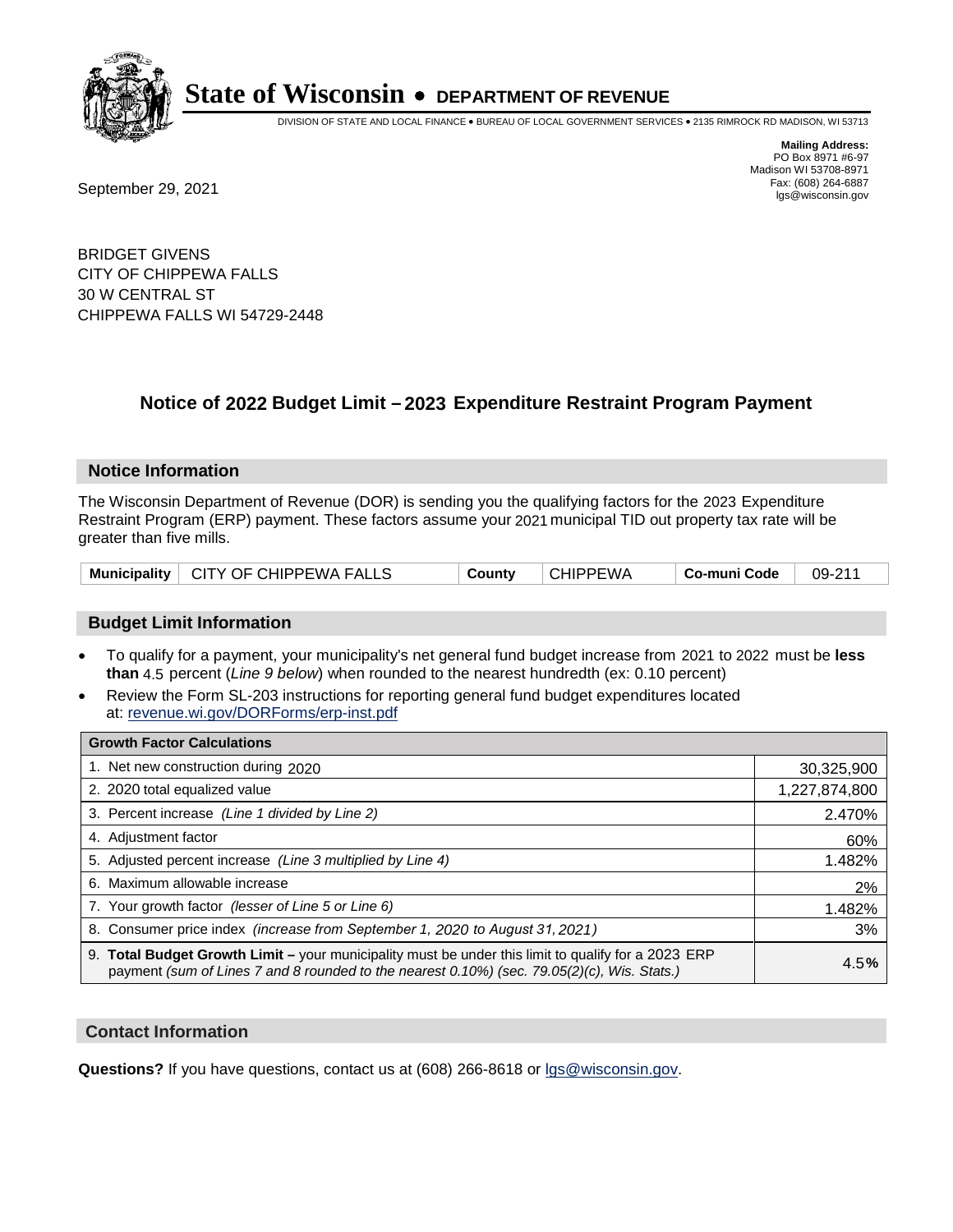

DIVISION OF STATE AND LOCAL FINANCE • BUREAU OF LOCAL GOVERNMENT SERVICES • 2135 RIMROCK RD MADISON, WI 53713

**Mailing Address:** PO Box 8971 #6-97 Madison WI 53708-8971<br>Fax: (608) 264-6887

Fax: (608) 264-6887<br>
September 29, 2021 and the state of the state of the state of the state of the state of the state of the state of the state of the state of the state of the state of the state of the state of the state

BRIDGET GIVENS CITY OF CHIPPEWA FALLS 30 W CENTRAL ST CHIPPEWA FALLS WI 54729-2448

## **Notice of 2022 Budget Limit - 2023 Expenditure Restraint Program Payment**

#### **Notice Information**

The Wisconsin Department of Revenue (DOR) is sending you the qualifying factors for the 2023 Expenditure Restraint Program (ERP) payment. These factors assume your 2021 municipal TID out property tax rate will be greater than five mills.

|  | Municipality   CITY OF CHIPPEWA FALLS | County | <b>CHIPPEWA</b> | Co-muni Code | 09-211 |
|--|---------------------------------------|--------|-----------------|--------------|--------|
|--|---------------------------------------|--------|-----------------|--------------|--------|

#### **Budget Limit Information**

- To qualify for a payment, your municipality's net general fund budget increase from 2021 to 2022 must be less **than** 4.5 percent (*Line 9 below*) when rounded to the nearest hundredth (ex: 0.10 percent)
- Review the Form SL-203 instructions for reporting general fund budget expenditures located at: revenue.wi.gov/DORForms/erp-inst.pdf

| <b>Growth Factor Calculations</b>                                                                                                                                                                  |               |
|----------------------------------------------------------------------------------------------------------------------------------------------------------------------------------------------------|---------------|
| 1. Net new construction during 2020                                                                                                                                                                | 30,325,900    |
| 2. 2020 total equalized value                                                                                                                                                                      | 1,227,874,800 |
| 3. Percent increase (Line 1 divided by Line 2)                                                                                                                                                     | 2.470%        |
| 4. Adiustment factor                                                                                                                                                                               | 60%           |
| 5. Adjusted percent increase (Line 3 multiplied by Line 4)                                                                                                                                         | 1.482%        |
| 6. Maximum allowable increase                                                                                                                                                                      | 2%            |
| 7. Your growth factor (lesser of Line 5 or Line 6)                                                                                                                                                 | 1.482%        |
| 8. Consumer price index (increase from September 1, 2020 to August 31, 2021)                                                                                                                       | 3%            |
| 9. Total Budget Growth Limit - your municipality must be under this limit to qualify for a 2023 ERP<br>payment (sum of Lines 7 and 8 rounded to the nearest 0.10%) (sec. 79.05(2)(c), Wis. Stats.) | 4.5%          |

#### **Contact Information**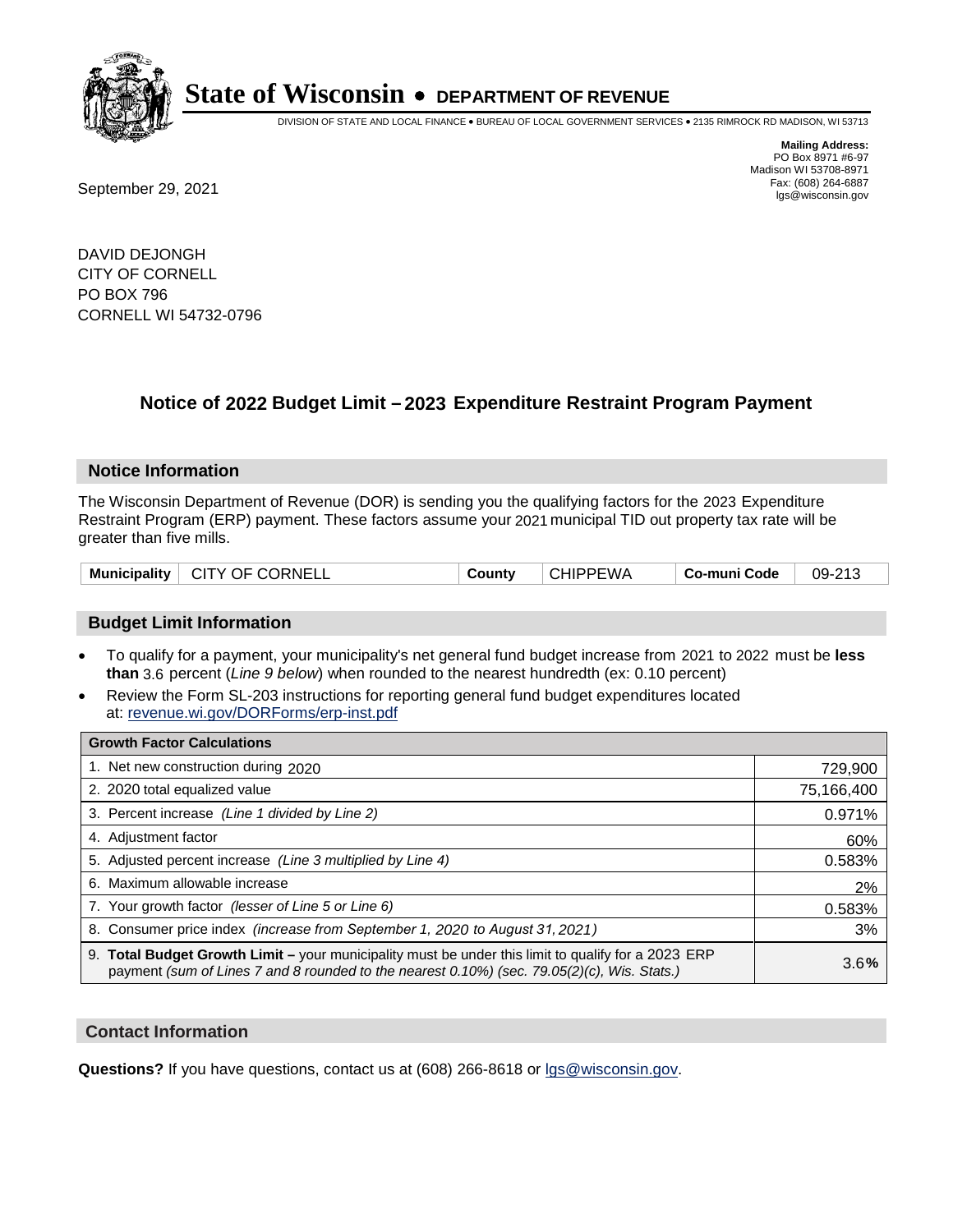

DIVISION OF STATE AND LOCAL FINANCE • BUREAU OF LOCAL GOVERNMENT SERVICES • 2135 RIMROCK RD MADISON, WI 53713

Fax: (608) 264-6887<br>
September 29, 2021 and the state of the state of the state of the state of the state of the state of the state of the state of the state of the state of the state of the state of the state of the state

**Mailing Address:** PO Box 8971 #6-97 Madison WI 53708-8971<br>Fax: (608) 264-6887

DAVID DEJONGH CITY OF CORNELL PO BOX 796 CORNELL WI 54732-0796

### **Notice of 2022 Budget Limit - 2023 Expenditure Restraint Program Payment**

#### **Notice Information**

The Wisconsin Department of Revenue (DOR) is sending you the qualifying factors for the 2023 Expenditure Restraint Program (ERP) payment. These factors assume your 2021 municipal TID out property tax rate will be greater than five mills.

| Municipality   CITY OF CORNELL | County | <b>CHIPPEWA</b> | ⊩ Co-muni Code | 09-213 |
|--------------------------------|--------|-----------------|----------------|--------|
|--------------------------------|--------|-----------------|----------------|--------|

#### **Budget Limit Information**

- To qualify for a payment, your municipality's net general fund budget increase from 2021 to 2022 must be less **than** 3.6 percent (*Line 9 below*) when rounded to the nearest hundredth (ex: 0.10 percent)
- Review the Form SL-203 instructions for reporting general fund budget expenditures located at: revenue.wi.gov/DORForms/erp-inst.pdf

| <b>Growth Factor Calculations</b>                                                                                                                                                                  |            |
|----------------------------------------------------------------------------------------------------------------------------------------------------------------------------------------------------|------------|
| 1. Net new construction during 2020                                                                                                                                                                | 729,900    |
| 2. 2020 total equalized value                                                                                                                                                                      | 75,166,400 |
| 3. Percent increase (Line 1 divided by Line 2)                                                                                                                                                     | 0.971%     |
| 4. Adjustment factor                                                                                                                                                                               | 60%        |
| 5. Adjusted percent increase (Line 3 multiplied by Line 4)                                                                                                                                         | 0.583%     |
| 6. Maximum allowable increase                                                                                                                                                                      | 2%         |
| 7. Your growth factor (lesser of Line 5 or Line 6)                                                                                                                                                 | 0.583%     |
| 8. Consumer price index (increase from September 1, 2020 to August 31, 2021)                                                                                                                       | 3%         |
| 9. Total Budget Growth Limit – your municipality must be under this limit to qualify for a 2023 ERP<br>payment (sum of Lines 7 and 8 rounded to the nearest 0.10%) (sec. 79.05(2)(c), Wis. Stats.) | 3.6%       |

#### **Contact Information**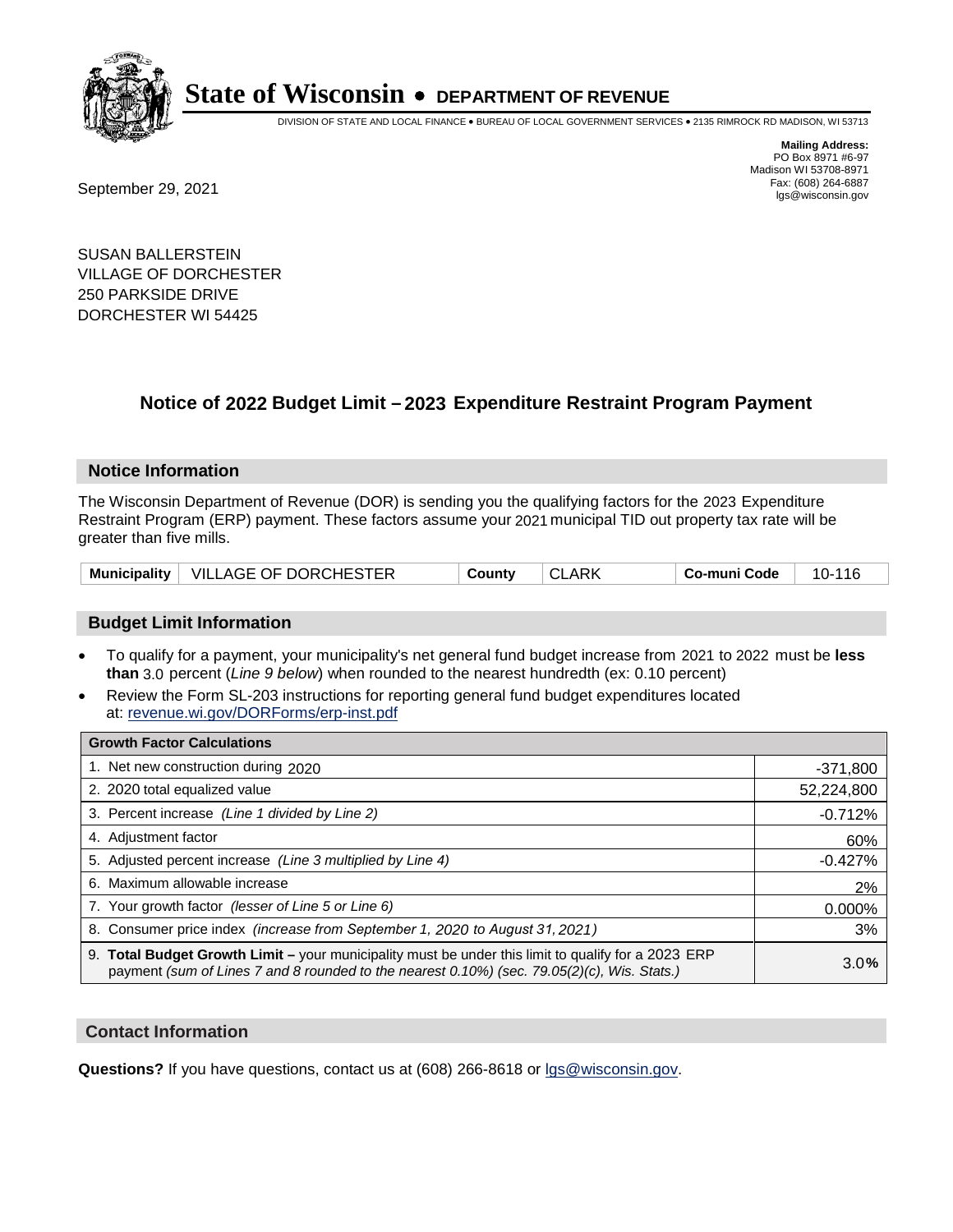

DIVISION OF STATE AND LOCAL FINANCE • BUREAU OF LOCAL GOVERNMENT SERVICES • 2135 RIMROCK RD MADISON, WI 53713

Fax: (608) 264-6887<br>
September 29, 2021 and the state of the state of the state of the state of the state of the state of the state of the state of the state of the state of the state of the state of the state of the state

**Mailing Address:** PO Box 8971 #6-97 Madison WI 53708-8971<br>Fax: (608) 264-6887

SUSAN BALLERSTEIN VILLAGE OF DORCHESTER 250 PARKSIDE DRIVE DORCHESTER WI 54425

### **Notice of 2022 Budget Limit - 2023 Expenditure Restraint Program Payment**

#### **Notice Information**

The Wisconsin Department of Revenue (DOR) is sending you the qualifying factors for the 2023 Expenditure Restraint Program (ERP) payment. These factors assume your 2021 municipal TID out property tax rate will be greater than five mills.

| Municipality   VILLAGE OF DORCHESTER | County | <b>CLARK</b> | Co-muni Code | 10-116 |
|--------------------------------------|--------|--------------|--------------|--------|
|--------------------------------------|--------|--------------|--------------|--------|

#### **Budget Limit Information**

- To qualify for a payment, your municipality's net general fund budget increase from 2021 to 2022 must be less **than** 3.0 percent (*Line 9 below*) when rounded to the nearest hundredth (ex: 0.10 percent)
- Review the Form SL-203 instructions for reporting general fund budget expenditures located at: revenue.wi.gov/DORForms/erp-inst.pdf

| <b>Growth Factor Calculations</b>                                                                                                                                                                  |            |
|----------------------------------------------------------------------------------------------------------------------------------------------------------------------------------------------------|------------|
| 1. Net new construction during 2020                                                                                                                                                                | $-371,800$ |
| 2. 2020 total equalized value                                                                                                                                                                      | 52,224,800 |
| 3. Percent increase (Line 1 divided by Line 2)                                                                                                                                                     | $-0.712%$  |
| 4. Adiustment factor                                                                                                                                                                               | 60%        |
| 5. Adjusted percent increase (Line 3 multiplied by Line 4)                                                                                                                                         | $-0.427%$  |
| 6. Maximum allowable increase                                                                                                                                                                      | 2%         |
| 7. Your growth factor (lesser of Line 5 or Line 6)                                                                                                                                                 | 0.000%     |
| 8. Consumer price index (increase from September 1, 2020 to August 31, 2021)                                                                                                                       | 3%         |
| 9. Total Budget Growth Limit - your municipality must be under this limit to qualify for a 2023 ERP<br>payment (sum of Lines 7 and 8 rounded to the nearest 0.10%) (sec. 79.05(2)(c), Wis. Stats.) | 3.0%       |

#### **Contact Information**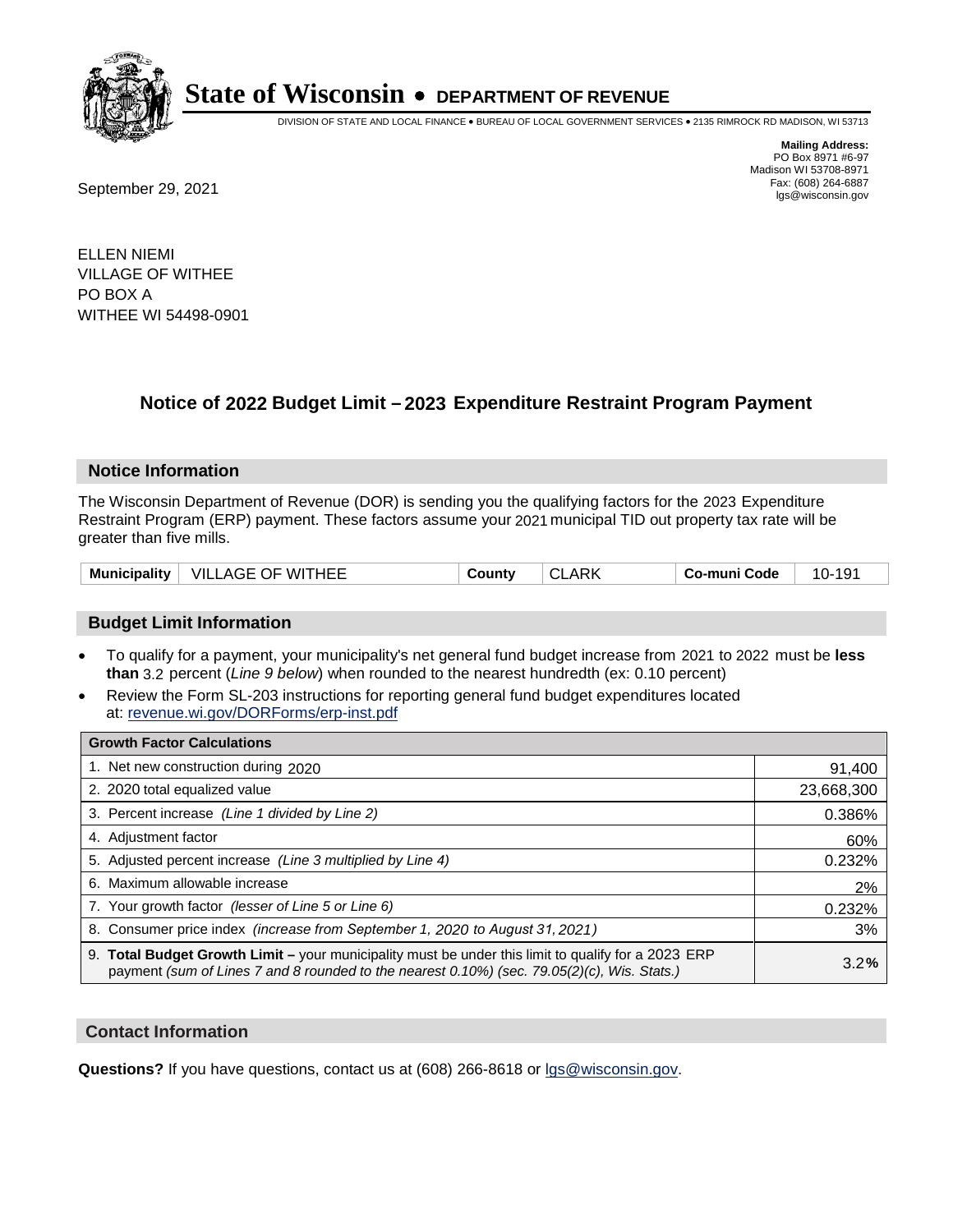

DIVISION OF STATE AND LOCAL FINANCE • BUREAU OF LOCAL GOVERNMENT SERVICES • 2135 RIMROCK RD MADISON, WI 53713

Fax: (608) 264-6887<br>
September 29, 2021 and the state of the state of the state of the state of the state of the state of the state of the state of the state of the state of the state of the state of the state of the state

**Mailing Address:** PO Box 8971 #6-97 Madison WI 53708-8971<br>Fax: (608) 264-6887

ELLEN NIEMI VILLAGE OF WITHEE PO BOX A WITHEE WI 54498-0901

### **Notice of 2022 Budget Limit - 2023 Expenditure Restraint Program Payment**

#### **Notice Information**

The Wisconsin Department of Revenue (DOR) is sending you the qualifying factors for the 2023 Expenditure Restraint Program (ERP) payment. These factors assume your 2021 municipal TID out property tax rate will be greater than five mills.

#### **Budget Limit Information**

- To qualify for a payment, your municipality's net general fund budget increase from 2021 to 2022 must be less **than** 3.2 percent (*Line 9 below*) when rounded to the nearest hundredth (ex: 0.10 percent)
- Review the Form SL-203 instructions for reporting general fund budget expenditures located at: revenue.wi.gov/DORForms/erp-inst.pdf

| <b>Growth Factor Calculations</b>                                                                                                                                                                  |            |
|----------------------------------------------------------------------------------------------------------------------------------------------------------------------------------------------------|------------|
| 1. Net new construction during 2020                                                                                                                                                                | 91,400     |
| 2. 2020 total equalized value                                                                                                                                                                      | 23,668,300 |
| 3. Percent increase (Line 1 divided by Line 2)                                                                                                                                                     | 0.386%     |
| 4. Adjustment factor                                                                                                                                                                               | 60%        |
| 5. Adjusted percent increase (Line 3 multiplied by Line 4)                                                                                                                                         | 0.232%     |
| 6. Maximum allowable increase                                                                                                                                                                      | 2%         |
| 7. Your growth factor (lesser of Line 5 or Line 6)                                                                                                                                                 | 0.232%     |
| 8. Consumer price index (increase from September 1, 2020 to August 31, 2021)                                                                                                                       | 3%         |
| 9. Total Budget Growth Limit – your municipality must be under this limit to qualify for a 2023 ERP<br>payment (sum of Lines 7 and 8 rounded to the nearest 0.10%) (sec. 79.05(2)(c), Wis. Stats.) | 3.2%       |

#### **Contact Information**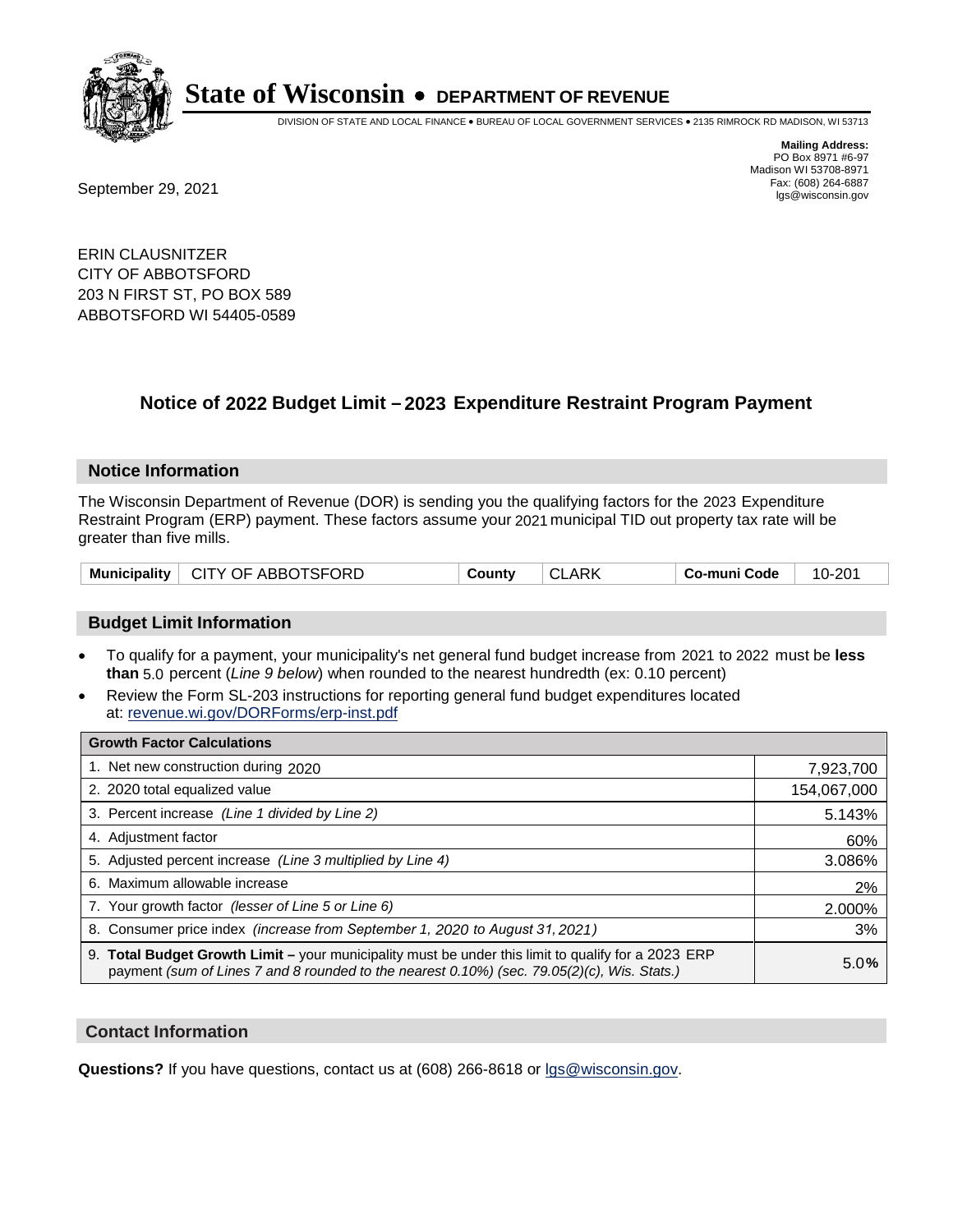

DIVISION OF STATE AND LOCAL FINANCE • BUREAU OF LOCAL GOVERNMENT SERVICES • 2135 RIMROCK RD MADISON, WI 53713

Fax: (608) 264-6887<br>
September 29, 2021 and the state of the state of the state of the state of the state of the state of the state of the state of the state of the state of the state of the state of the state of the state

**Mailing Address:** PO Box 8971 #6-97 Madison WI 53708-8971<br>Fax: (608) 264-6887

ERIN CLAUSNITZER CITY OF ABBOTSFORD 203 N FIRST ST, PO BOX 589 ABBOTSFORD WI 54405-0589

## **Notice of 2022 Budget Limit - 2023 Expenditure Restraint Program Payment**

#### **Notice Information**

The Wisconsin Department of Revenue (DOR) is sending you the qualifying factors for the 2023 Expenditure Restraint Program (ERP) payment. These factors assume your 2021 municipal TID out property tax rate will be greater than five mills.

#### **Budget Limit Information**

- To qualify for a payment, your municipality's net general fund budget increase from 2021 to 2022 must be less **than** 5.0 percent (*Line 9 below*) when rounded to the nearest hundredth (ex: 0.10 percent)
- Review the Form SL-203 instructions for reporting general fund budget expenditures located at: revenue.wi.gov/DORForms/erp-inst.pdf

| <b>Growth Factor Calculations</b>                                                                                                                                                                  |             |
|----------------------------------------------------------------------------------------------------------------------------------------------------------------------------------------------------|-------------|
| 1. Net new construction during 2020                                                                                                                                                                | 7,923,700   |
| 2. 2020 total equalized value                                                                                                                                                                      | 154,067,000 |
| 3. Percent increase (Line 1 divided by Line 2)                                                                                                                                                     | 5.143%      |
| 4. Adiustment factor                                                                                                                                                                               | 60%         |
| 5. Adjusted percent increase (Line 3 multiplied by Line 4)                                                                                                                                         | 3.086%      |
| 6. Maximum allowable increase                                                                                                                                                                      | 2%          |
| 7. Your growth factor (lesser of Line 5 or Line 6)                                                                                                                                                 | 2.000%      |
| 8. Consumer price index (increase from September 1, 2020 to August 31, 2021)                                                                                                                       | 3%          |
| 9. Total Budget Growth Limit - your municipality must be under this limit to qualify for a 2023 ERP<br>payment (sum of Lines 7 and 8 rounded to the nearest 0.10%) (sec. 79.05(2)(c), Wis. Stats.) | 5.0%        |

#### **Contact Information**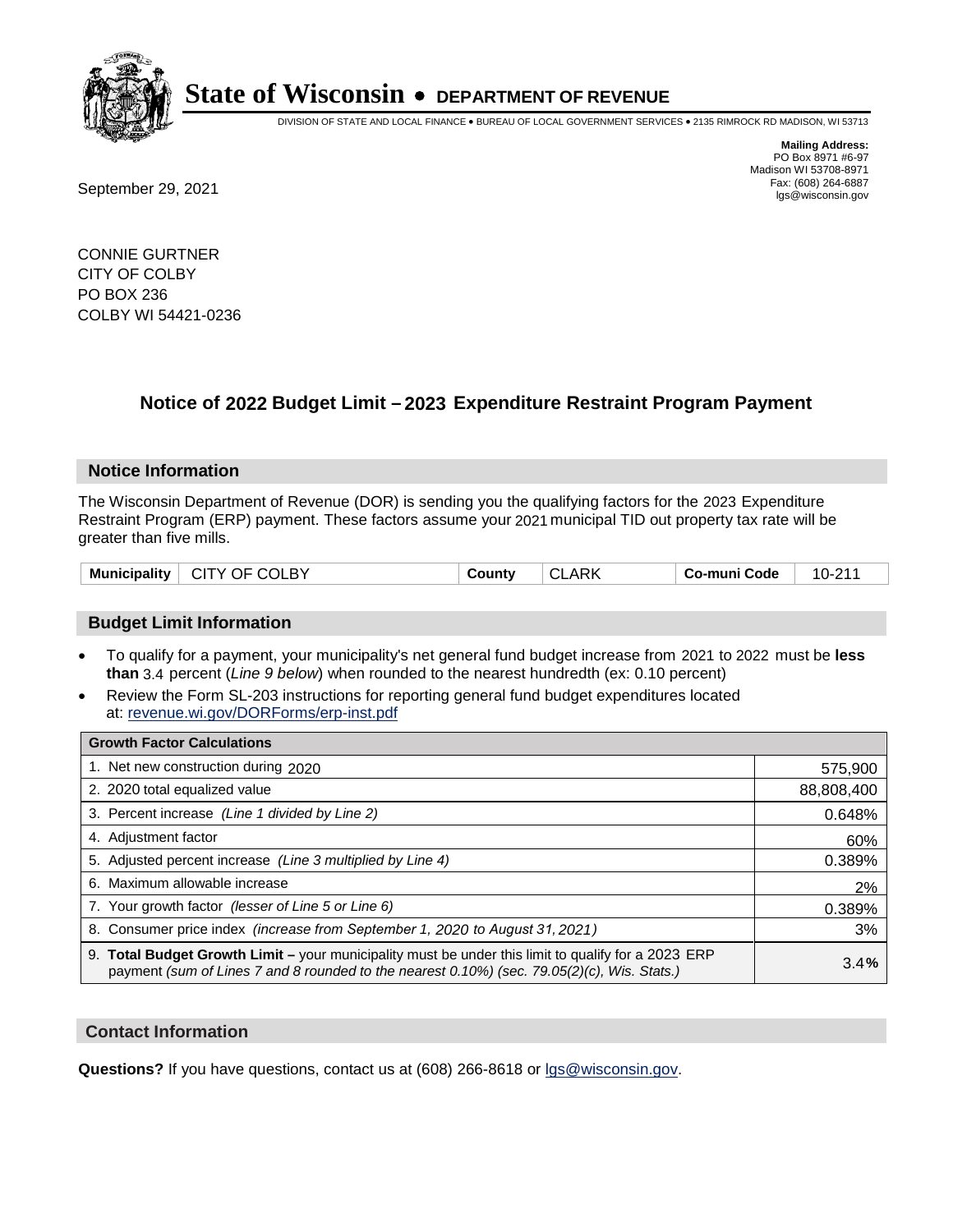

DIVISION OF STATE AND LOCAL FINANCE • BUREAU OF LOCAL GOVERNMENT SERVICES • 2135 RIMROCK RD MADISON, WI 53713

**Mailing Address:** PO Box 8971 #6-97 Madison WI 53708-8971<br>Fax: (608) 264-6887

Fax: (608) 264-6887<br>
September 29, 2021 and the state of the state of the state of the state of the state of the state of the state of the state of the state of the state of the state of the state of the state of the state

CONNIE GURTNER CITY OF COLBY PO BOX 236 COLBY WI 54421-0236

## **Notice of 2022 Budget Limit - 2023 Expenditure Restraint Program Payment**

#### **Notice Information**

The Wisconsin Department of Revenue (DOR) is sending you the qualifying factors for the 2023 Expenditure Restraint Program (ERP) payment. These factors assume your 2021 municipal TID out property tax rate will be greater than five mills.

| CITY OF COLBY<br><b>Municipality</b> | County | <b>CLARK</b> | Co-muni Code | $10 - 211$ |
|--------------------------------------|--------|--------------|--------------|------------|
|--------------------------------------|--------|--------------|--------------|------------|

#### **Budget Limit Information**

- To qualify for a payment, your municipality's net general fund budget increase from 2021 to 2022 must be less **than** 3.4 percent (*Line 9 below*) when rounded to the nearest hundredth (ex: 0.10 percent)
- Review the Form SL-203 instructions for reporting general fund budget expenditures located at: revenue.wi.gov/DORForms/erp-inst.pdf

| <b>Growth Factor Calculations</b>                                                                                                                                                                  |            |
|----------------------------------------------------------------------------------------------------------------------------------------------------------------------------------------------------|------------|
| 1. Net new construction during 2020                                                                                                                                                                | 575,900    |
| 2. 2020 total equalized value                                                                                                                                                                      | 88,808,400 |
| 3. Percent increase (Line 1 divided by Line 2)                                                                                                                                                     | 0.648%     |
| 4. Adjustment factor                                                                                                                                                                               | 60%        |
| 5. Adjusted percent increase (Line 3 multiplied by Line 4)                                                                                                                                         | 0.389%     |
| 6. Maximum allowable increase                                                                                                                                                                      | 2%         |
| 7. Your growth factor (lesser of Line 5 or Line 6)                                                                                                                                                 | 0.389%     |
| 8. Consumer price index (increase from September 1, 2020 to August 31, 2021)                                                                                                                       | 3%         |
| 9. Total Budget Growth Limit – your municipality must be under this limit to qualify for a 2023 ERP<br>payment (sum of Lines 7 and 8 rounded to the nearest 0.10%) (sec. 79.05(2)(c), Wis. Stats.) | 3.4%       |

#### **Contact Information**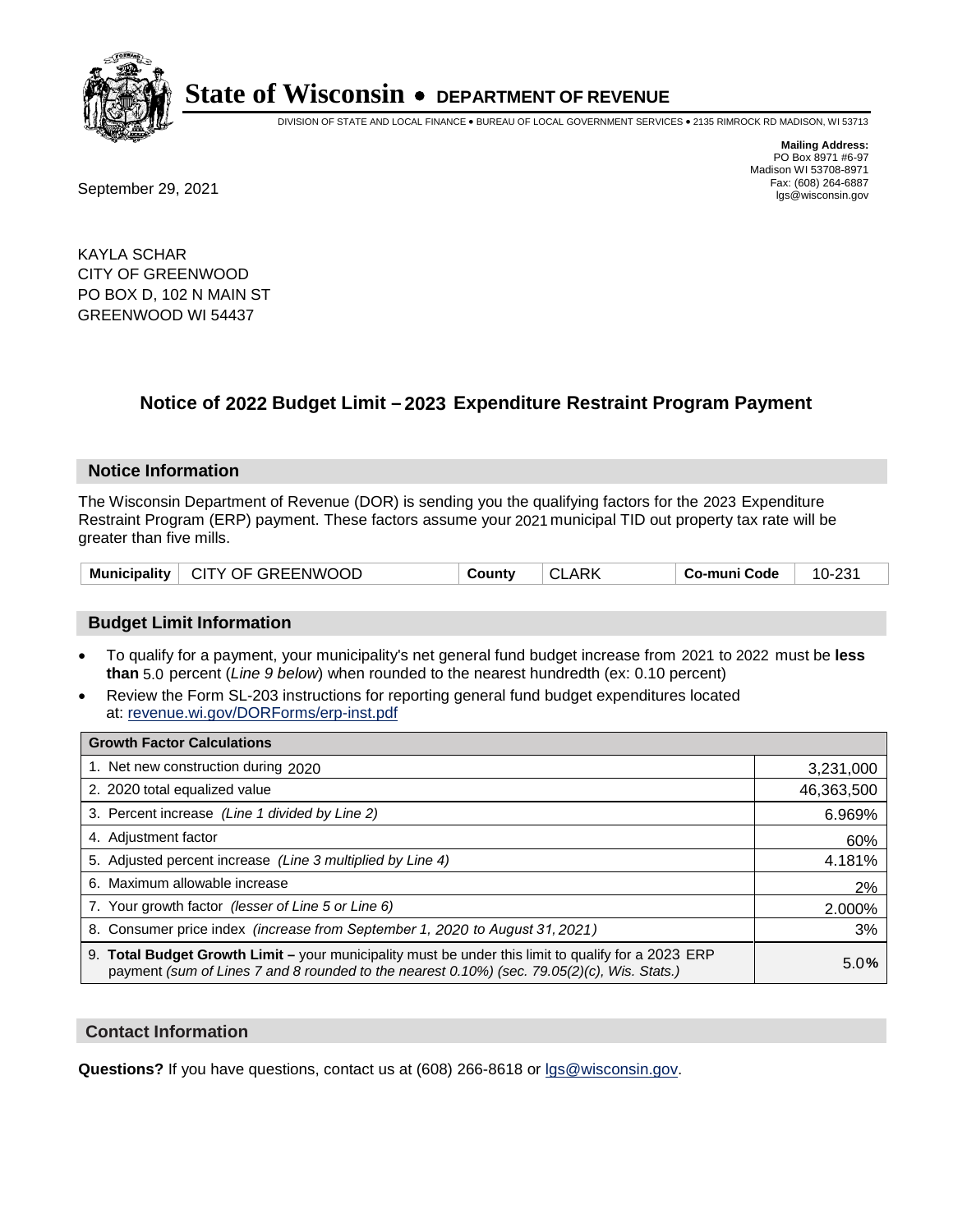

DIVISION OF STATE AND LOCAL FINANCE • BUREAU OF LOCAL GOVERNMENT SERVICES • 2135 RIMROCK RD MADISON, WI 53713

**Mailing Address:** PO Box 8971 #6-97 Madison WI 53708-8971<br>Fax: (608) 264-6887

Fax: (608) 264-6887<br>
September 29, 2021 and the state of the state of the state of the state of the state of the state of the state of the state of the state of the state of the state of the state of the state of the state

KAYLA SCHAR CITY OF GREENWOOD PO BOX D, 102 N MAIN ST GREENWOOD WI 54437

## **Notice of 2022 Budget Limit - 2023 Expenditure Restraint Program Payment**

#### **Notice Information**

The Wisconsin Department of Revenue (DOR) is sending you the qualifying factors for the 2023 Expenditure Restraint Program (ERP) payment. These factors assume your 2021 municipal TID out property tax rate will be greater than five mills.

| Municipality   CITY OF GREENWOOD | County | <b>CLARK</b> | ∣ Co-muni Code | 10-231 |
|----------------------------------|--------|--------------|----------------|--------|
|----------------------------------|--------|--------------|----------------|--------|

#### **Budget Limit Information**

- To qualify for a payment, your municipality's net general fund budget increase from 2021 to 2022 must be less **than** 5.0 percent (*Line 9 below*) when rounded to the nearest hundredth (ex: 0.10 percent)
- Review the Form SL-203 instructions for reporting general fund budget expenditures located at: revenue.wi.gov/DORForms/erp-inst.pdf

| <b>Growth Factor Calculations</b>                                                                                                                                                                  |            |
|----------------------------------------------------------------------------------------------------------------------------------------------------------------------------------------------------|------------|
| 1. Net new construction during 2020                                                                                                                                                                | 3,231,000  |
| 2. 2020 total equalized value                                                                                                                                                                      | 46,363,500 |
| 3. Percent increase (Line 1 divided by Line 2)                                                                                                                                                     | 6.969%     |
| 4. Adjustment factor                                                                                                                                                                               | 60%        |
| 5. Adjusted percent increase (Line 3 multiplied by Line 4)                                                                                                                                         | 4.181%     |
| 6. Maximum allowable increase                                                                                                                                                                      | 2%         |
| 7. Your growth factor (lesser of Line 5 or Line 6)                                                                                                                                                 | 2.000%     |
| 8. Consumer price index (increase from September 1, 2020 to August 31, 2021)                                                                                                                       | 3%         |
| 9. Total Budget Growth Limit - your municipality must be under this limit to qualify for a 2023 ERP<br>payment (sum of Lines 7 and 8 rounded to the nearest 0.10%) (sec. 79.05(2)(c), Wis. Stats.) | 5.0%       |

#### **Contact Information**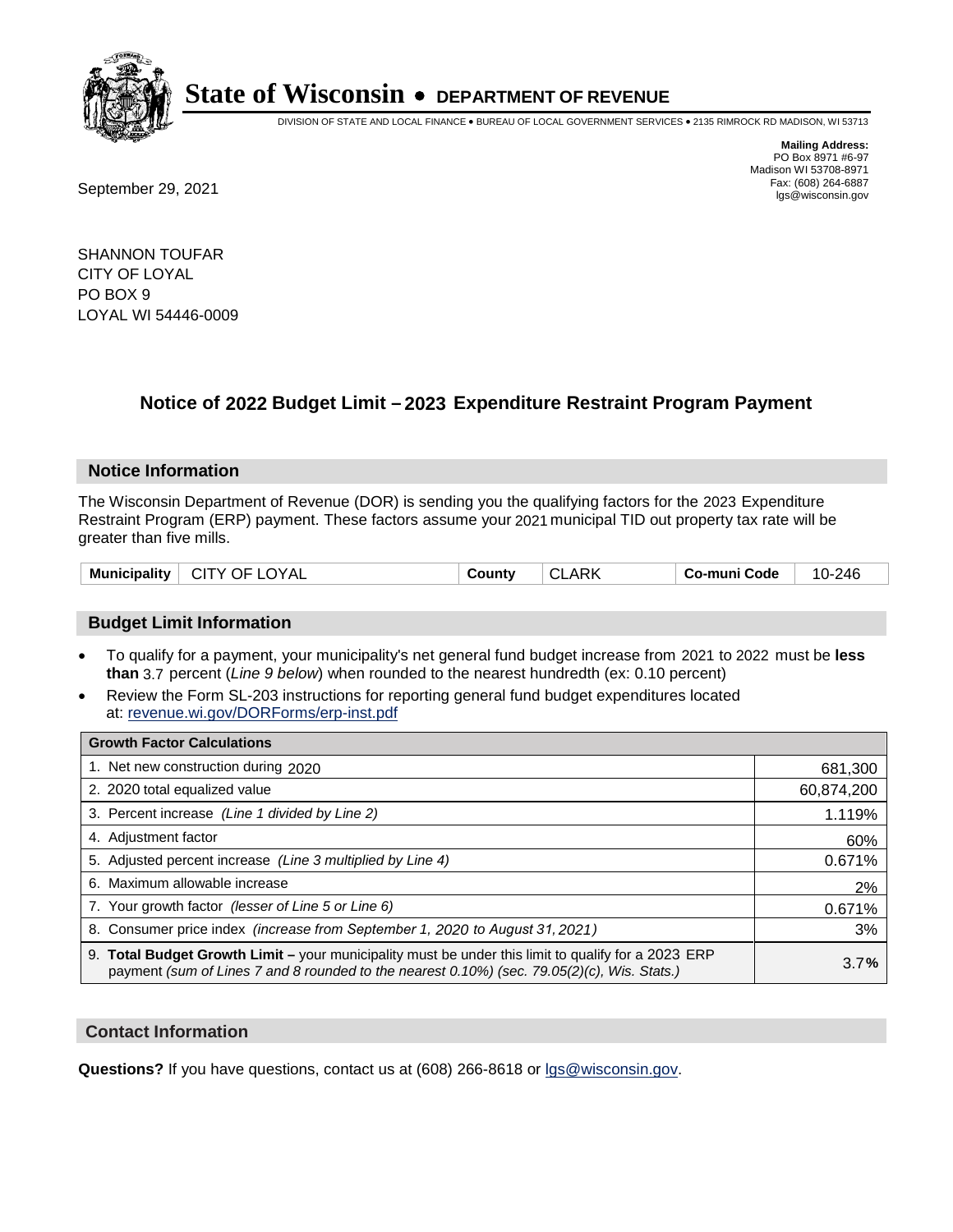

DIVISION OF STATE AND LOCAL FINANCE • BUREAU OF LOCAL GOVERNMENT SERVICES • 2135 RIMROCK RD MADISON, WI 53713

**Mailing Address:** PO Box 8971 #6-97 Madison WI 53708-8971<br>Fax: (608) 264-6887

Fax: (608) 264-6887<br>
September 29, 2021 and the state of the state of the state of the state of the state of the state of the state of the state of the state of the state of the state of the state of the state of the state

SHANNON TOUFAR CITY OF LOYAL PO BOX 9 LOYAL WI 54446-0009

### **Notice of 2022 Budget Limit - 2023 Expenditure Restraint Program Payment**

#### **Notice Information**

The Wisconsin Department of Revenue (DOR) is sending you the qualifying factors for the 2023 Expenditure Restraint Program (ERP) payment. These factors assume your 2021 municipal TID out property tax rate will be greater than five mills.

| <b>Municipality</b><br>$\vdash$ CITY OF LOYAL<br>County | <b>CLARK</b> | Co-muni Code | 10-246 |
|---------------------------------------------------------|--------------|--------------|--------|
|---------------------------------------------------------|--------------|--------------|--------|

#### **Budget Limit Information**

- To qualify for a payment, your municipality's net general fund budget increase from 2021 to 2022 must be less **than** 3.7 percent (*Line 9 below*) when rounded to the nearest hundredth (ex: 0.10 percent)
- Review the Form SL-203 instructions for reporting general fund budget expenditures located at: revenue.wi.gov/DORForms/erp-inst.pdf

| <b>Growth Factor Calculations</b>                                                                                                                                                                      |            |
|--------------------------------------------------------------------------------------------------------------------------------------------------------------------------------------------------------|------------|
| 1. Net new construction during 2020                                                                                                                                                                    | 681,300    |
| 2. 2020 total equalized value                                                                                                                                                                          | 60,874,200 |
| 3. Percent increase (Line 1 divided by Line 2)                                                                                                                                                         | 1.119%     |
| 4. Adjustment factor                                                                                                                                                                                   | 60%        |
| 5. Adjusted percent increase (Line 3 multiplied by Line 4)                                                                                                                                             | 0.671%     |
| 6. Maximum allowable increase                                                                                                                                                                          | 2%         |
| 7. Your growth factor (lesser of Line 5 or Line 6)                                                                                                                                                     | 0.671%     |
| 8. Consumer price index (increase from September 1, 2020 to August 31, 2021)                                                                                                                           | 3%         |
| 9. Total Budget Growth Limit - your municipality must be under this limit to qualify for a 2023 ERP<br>payment (sum of Lines 7 and 8 rounded to the nearest $0.10\%$ ) (sec. 79.05(2)(c), Wis. Stats.) | 3.7%       |

#### **Contact Information**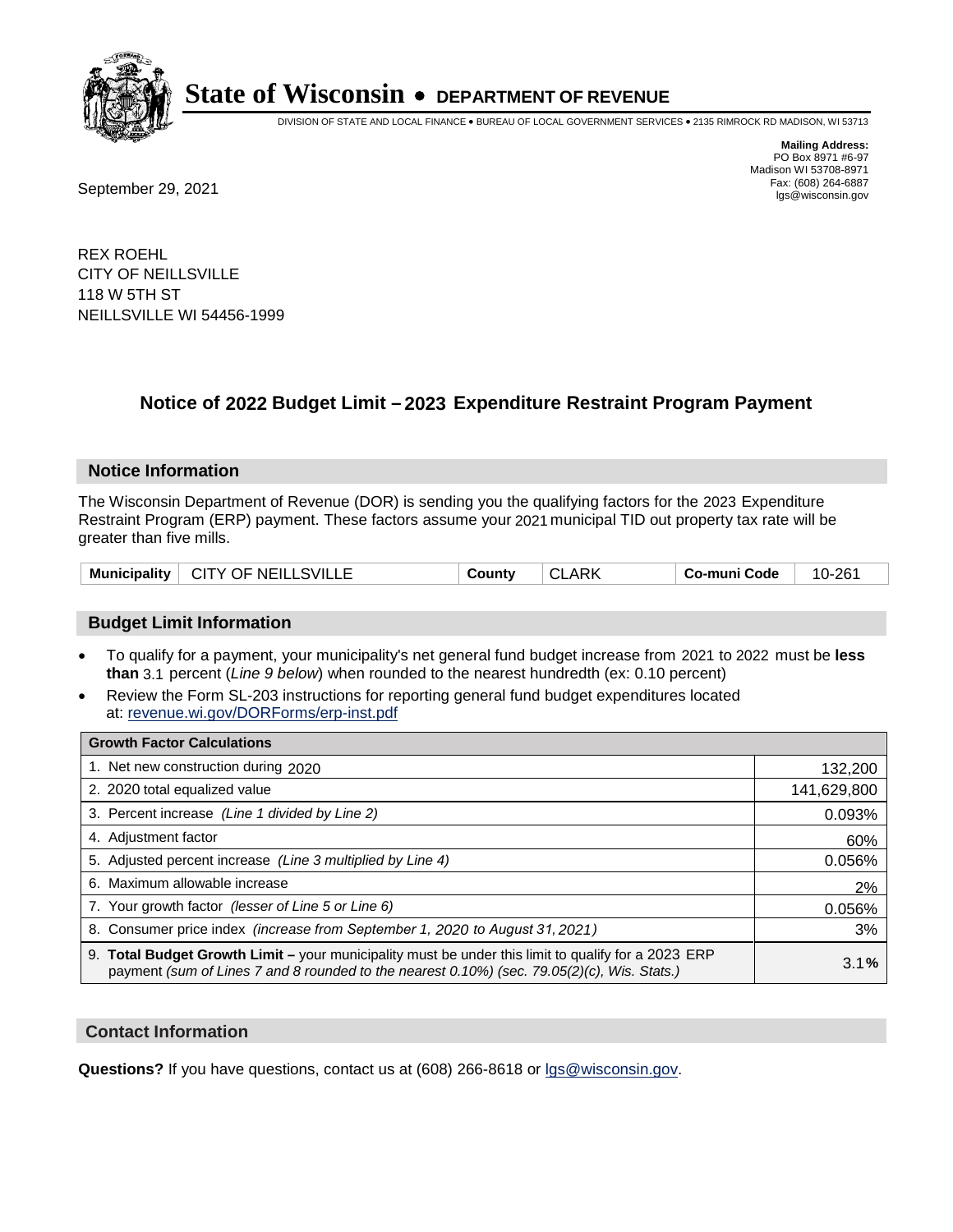

DIVISION OF STATE AND LOCAL FINANCE • BUREAU OF LOCAL GOVERNMENT SERVICES • 2135 RIMROCK RD MADISON, WI 53713

Fax: (608) 264-6887<br>
September 29, 2021 and the state of the state of the state of the state of the state of the state of the state of the state of the state of the state of the state of the state of the state of the state

**Mailing Address:** PO Box 8971 #6-97 Madison WI 53708-8971<br>Fax: (608) 264-6887

REX ROEHL CITY OF NEILLSVILLE 118 W 5TH ST NEILLSVILLE WI 54456-1999

## **Notice of 2022 Budget Limit - 2023 Expenditure Restraint Program Payment**

#### **Notice Information**

The Wisconsin Department of Revenue (DOR) is sending you the qualifying factors for the 2023 Expenditure Restraint Program (ERP) payment. These factors assume your 2021 municipal TID out property tax rate will be greater than five mills.

| Municipality   CITY OF NEILLSVILLE | County | <b>CLARK</b> | Co-muni Code | 10-261 |
|------------------------------------|--------|--------------|--------------|--------|
|------------------------------------|--------|--------------|--------------|--------|

#### **Budget Limit Information**

- To qualify for a payment, your municipality's net general fund budget increase from 2021 to 2022 must be less **than** 3.1 percent (*Line 9 below*) when rounded to the nearest hundredth (ex: 0.10 percent)
- Review the Form SL-203 instructions for reporting general fund budget expenditures located at: revenue.wi.gov/DORForms/erp-inst.pdf

| <b>Growth Factor Calculations</b>                                                                                                                                                                  |             |
|----------------------------------------------------------------------------------------------------------------------------------------------------------------------------------------------------|-------------|
| 1. Net new construction during 2020                                                                                                                                                                | 132,200     |
| 2. 2020 total equalized value                                                                                                                                                                      | 141,629,800 |
| 3. Percent increase (Line 1 divided by Line 2)                                                                                                                                                     | 0.093%      |
| 4. Adjustment factor                                                                                                                                                                               | 60%         |
| 5. Adjusted percent increase (Line 3 multiplied by Line 4)                                                                                                                                         | 0.056%      |
| 6. Maximum allowable increase                                                                                                                                                                      | 2%          |
| 7. Your growth factor (lesser of Line 5 or Line 6)                                                                                                                                                 | 0.056%      |
| 8. Consumer price index (increase from September 1, 2020 to August 31, 2021)                                                                                                                       | 3%          |
| 9. Total Budget Growth Limit - your municipality must be under this limit to qualify for a 2023 ERP<br>payment (sum of Lines 7 and 8 rounded to the nearest 0.10%) (sec. 79.05(2)(c), Wis. Stats.) | 3.1%        |

#### **Contact Information**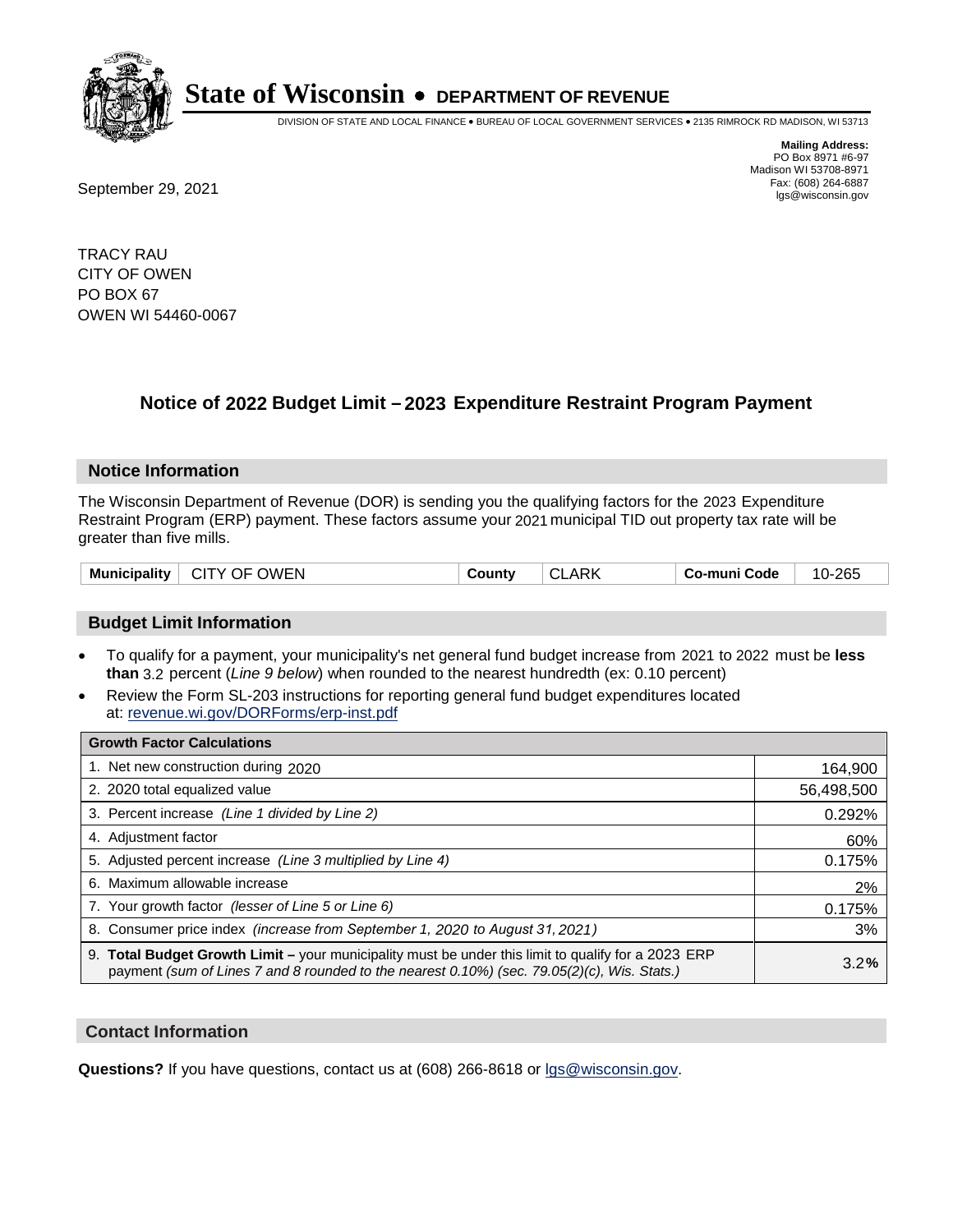

DIVISION OF STATE AND LOCAL FINANCE • BUREAU OF LOCAL GOVERNMENT SERVICES • 2135 RIMROCK RD MADISON, WI 53713

**Mailing Address:** PO Box 8971 #6-97 Madison WI 53708-8971<br>Fax: (608) 264-6887

Fax: (608) 264-6887<br>
September 29, 2021 and the state of the state of the state of the state of the state of the state of the state of the state of the state of the state of the state of the state of the state of the state

TRACY RAU CITY OF OWEN PO BOX 67 OWEN WI 54460-0067

## **Notice of 2022 Budget Limit - 2023 Expenditure Restraint Program Payment**

#### **Notice Information**

The Wisconsin Department of Revenue (DOR) is sending you the qualifying factors for the 2023 Expenditure Restraint Program (ERP) payment. These factors assume your 2021 municipal TID out property tax rate will be greater than five mills.

| $^{\circ}$ CITY OF OWEN<br><b>Municipality</b><br><b>CLARK</b><br>Co-muni Code<br>County | 10-265 |
|------------------------------------------------------------------------------------------|--------|
|------------------------------------------------------------------------------------------|--------|

#### **Budget Limit Information**

- To qualify for a payment, your municipality's net general fund budget increase from 2021 to 2022 must be less **than** 3.2 percent (*Line 9 below*) when rounded to the nearest hundredth (ex: 0.10 percent)
- Review the Form SL-203 instructions for reporting general fund budget expenditures located at: revenue.wi.gov/DORForms/erp-inst.pdf

| <b>Growth Factor Calculations</b>                                                                                                                                                                  |            |
|----------------------------------------------------------------------------------------------------------------------------------------------------------------------------------------------------|------------|
| 1. Net new construction during 2020                                                                                                                                                                | 164,900    |
| 2. 2020 total equalized value                                                                                                                                                                      | 56,498,500 |
| 3. Percent increase (Line 1 divided by Line 2)                                                                                                                                                     | 0.292%     |
| 4. Adiustment factor                                                                                                                                                                               | 60%        |
| 5. Adjusted percent increase (Line 3 multiplied by Line 4)                                                                                                                                         | 0.175%     |
| 6. Maximum allowable increase                                                                                                                                                                      | 2%         |
| 7. Your growth factor (lesser of Line 5 or Line 6)                                                                                                                                                 | 0.175%     |
| 8. Consumer price index (increase from September 1, 2020 to August 31, 2021)                                                                                                                       | 3%         |
| 9. Total Budget Growth Limit - your municipality must be under this limit to qualify for a 2023 ERP<br>payment (sum of Lines 7 and 8 rounded to the nearest 0.10%) (sec. 79.05(2)(c), Wis. Stats.) | 3.2%       |

#### **Contact Information**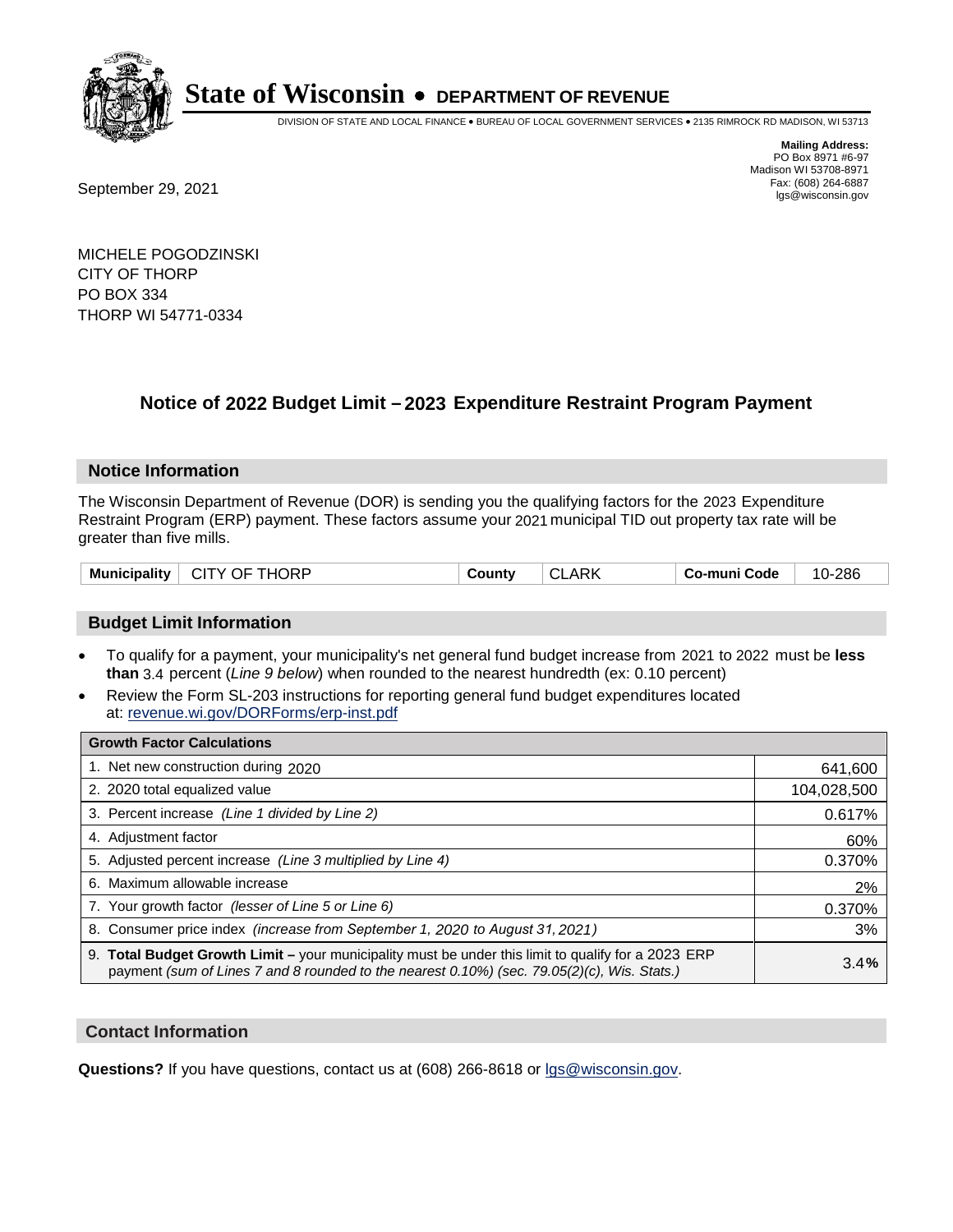

DIVISION OF STATE AND LOCAL FINANCE • BUREAU OF LOCAL GOVERNMENT SERVICES • 2135 RIMROCK RD MADISON, WI 53713

Fax: (608) 264-6887<br>
September 29, 2021 and the state of the state of the state of the state of the state of the state of the state of the state of the state of the state of the state of the state of the state of the state

**Mailing Address:** PO Box 8971 #6-97 Madison WI 53708-8971<br>Fax: (608) 264-6887

MICHELE POGODZINSKI CITY OF THORP PO BOX 334 THORP WI 54771-0334

### **Notice of 2022 Budget Limit - 2023 Expenditure Restraint Program Payment**

#### **Notice Information**

The Wisconsin Department of Revenue (DOR) is sending you the qualifying factors for the 2023 Expenditure Restraint Program (ERP) payment. These factors assume your 2021 municipal TID out property tax rate will be greater than five mills.

| <b>Municipality</b><br>CITY OF THORP | CLARK<br>County | Co-muni Code | 10-286 |
|--------------------------------------|-----------------|--------------|--------|
|--------------------------------------|-----------------|--------------|--------|

#### **Budget Limit Information**

- To qualify for a payment, your municipality's net general fund budget increase from 2021 to 2022 must be less **than** 3.4 percent (*Line 9 below*) when rounded to the nearest hundredth (ex: 0.10 percent)
- Review the Form SL-203 instructions for reporting general fund budget expenditures located at: revenue.wi.gov/DORForms/erp-inst.pdf

| <b>Growth Factor Calculations</b>                                                                                                                                                                  |             |
|----------------------------------------------------------------------------------------------------------------------------------------------------------------------------------------------------|-------------|
| 1. Net new construction during 2020                                                                                                                                                                | 641,600     |
| 2. 2020 total equalized value                                                                                                                                                                      | 104,028,500 |
| 3. Percent increase (Line 1 divided by Line 2)                                                                                                                                                     | 0.617%      |
| 4. Adjustment factor                                                                                                                                                                               | 60%         |
| 5. Adjusted percent increase (Line 3 multiplied by Line 4)                                                                                                                                         | 0.370%      |
| 6. Maximum allowable increase                                                                                                                                                                      | 2%          |
| 7. Your growth factor (lesser of Line 5 or Line 6)                                                                                                                                                 | 0.370%      |
| 8. Consumer price index (increase from September 1, 2020 to August 31, 2021)                                                                                                                       | 3%          |
| 9. Total Budget Growth Limit – your municipality must be under this limit to qualify for a 2023 ERP<br>payment (sum of Lines 7 and 8 rounded to the nearest 0.10%) (sec. 79.05(2)(c), Wis. Stats.) | 3.4%        |

#### **Contact Information**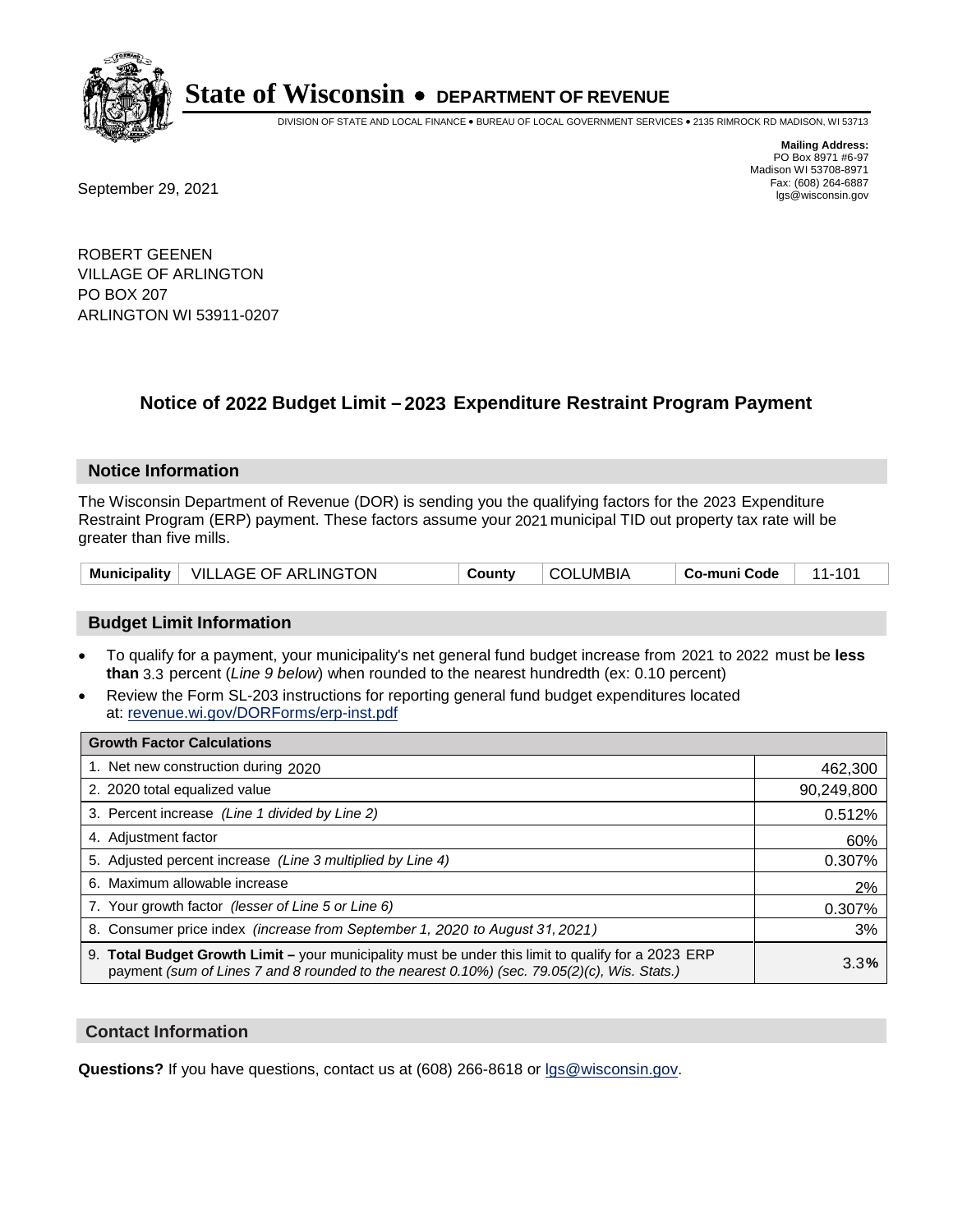

DIVISION OF STATE AND LOCAL FINANCE • BUREAU OF LOCAL GOVERNMENT SERVICES • 2135 RIMROCK RD MADISON, WI 53713

Fax: (608) 264-6887<br>
September 29, 2021 and the state of the state of the state of the state of the state of the state of the state of the state of the state of the state of the state of the state of the state of the state

**Mailing Address:** PO Box 8971 #6-97 Madison WI 53708-8971<br>Fax: (608) 264-6887

ROBERT GEENEN VILLAGE OF ARLINGTON PO BOX 207 ARLINGTON WI 53911-0207

## **Notice of 2022 Budget Limit - 2023 Expenditure Restraint Program Payment**

#### **Notice Information**

The Wisconsin Department of Revenue (DOR) is sending you the qualifying factors for the 2023 Expenditure Restraint Program (ERP) payment. These factors assume your 2021 municipal TID out property tax rate will be greater than five mills.

|  | Municipality   VILLAGE OF ARLINGTON | County | <b>COLUMBIA</b> | Co-muni Code |  |
|--|-------------------------------------|--------|-----------------|--------------|--|
|--|-------------------------------------|--------|-----------------|--------------|--|

#### **Budget Limit Information**

- To qualify for a payment, your municipality's net general fund budget increase from 2021 to 2022 must be less **than** 3.3 percent (*Line 9 below*) when rounded to the nearest hundredth (ex: 0.10 percent)
- Review the Form SL-203 instructions for reporting general fund budget expenditures located at: revenue.wi.gov/DORForms/erp-inst.pdf

| <b>Growth Factor Calculations</b>                                                                                                                                                                  |            |
|----------------------------------------------------------------------------------------------------------------------------------------------------------------------------------------------------|------------|
| 1. Net new construction during 2020                                                                                                                                                                | 462,300    |
| 2. 2020 total equalized value                                                                                                                                                                      | 90,249,800 |
| 3. Percent increase (Line 1 divided by Line 2)                                                                                                                                                     | 0.512%     |
| 4. Adjustment factor                                                                                                                                                                               | 60%        |
| 5. Adjusted percent increase (Line 3 multiplied by Line 4)                                                                                                                                         | 0.307%     |
| 6. Maximum allowable increase                                                                                                                                                                      | 2%         |
| 7. Your growth factor (lesser of Line 5 or Line 6)                                                                                                                                                 | 0.307%     |
| 8. Consumer price index (increase from September 1, 2020 to August 31, 2021)                                                                                                                       | 3%         |
| 9. Total Budget Growth Limit – your municipality must be under this limit to qualify for a 2023 ERP<br>payment (sum of Lines 7 and 8 rounded to the nearest 0.10%) (sec. 79.05(2)(c), Wis. Stats.) | 3.3%       |

#### **Contact Information**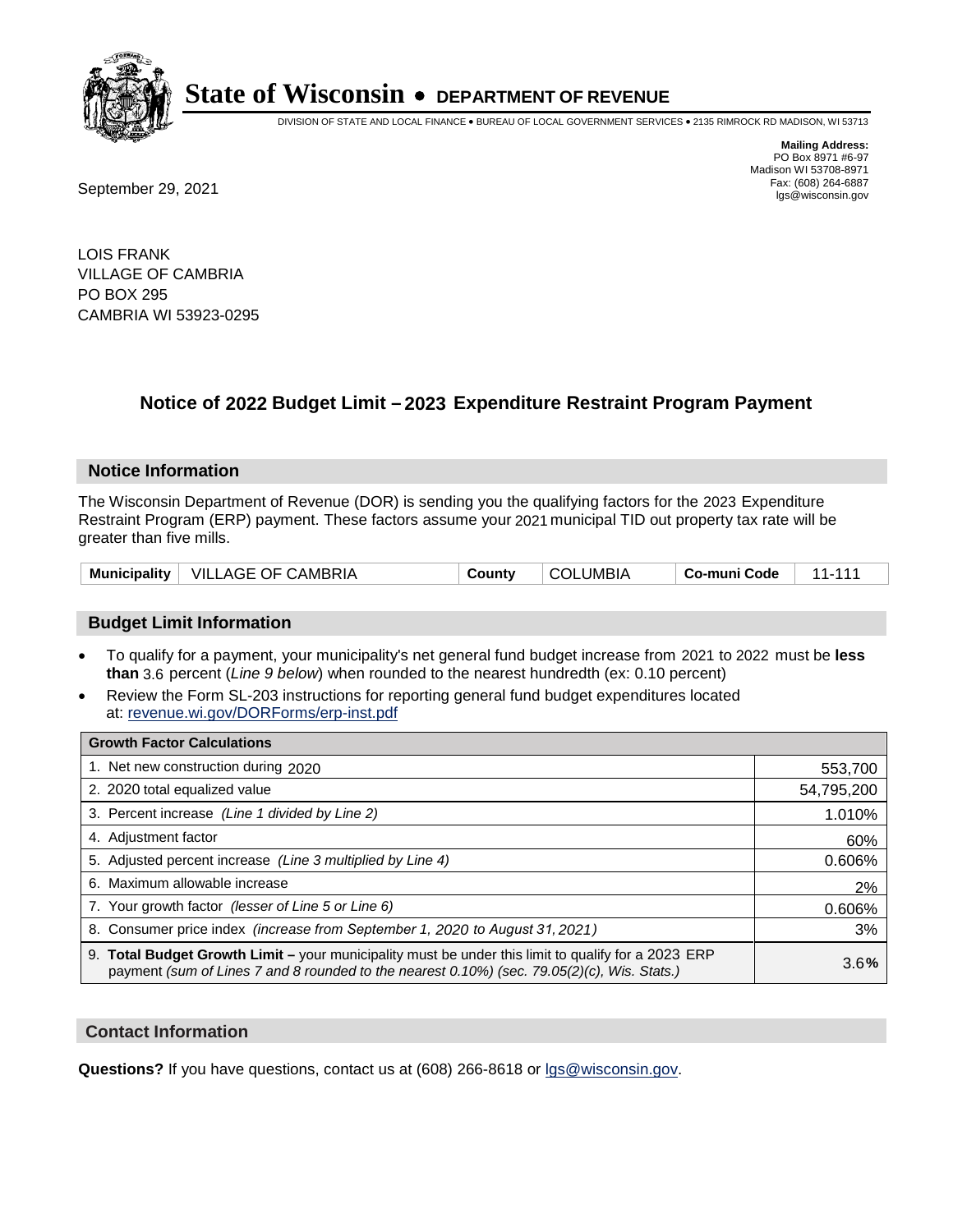

DIVISION OF STATE AND LOCAL FINANCE • BUREAU OF LOCAL GOVERNMENT SERVICES • 2135 RIMROCK RD MADISON, WI 53713

**Mailing Address:** PO Box 8971 #6-97 Madison WI 53708-8971<br>Fax: (608) 264-6887

Fax: (608) 264-6887<br>
September 29, 2021 and the state of the state of the state of the state of the state of the state of the state of the state of the state of the state of the state of the state of the state of the state

LOIS FRANK VILLAGE OF CAMBRIA PO BOX 295 CAMBRIA WI 53923-0295

## **Notice of 2022 Budget Limit - 2023 Expenditure Restraint Program Payment**

#### **Notice Information**

The Wisconsin Department of Revenue (DOR) is sending you the qualifying factors for the 2023 Expenditure Restraint Program (ERP) payment. These factors assume your 2021 municipal TID out property tax rate will be greater than five mills.

| <b>Municipality</b> | VILLAGE OF CAMBRIA | ∵ountٽ | .JMBIA.<br>⊩∩י | Co-muni Code |  |
|---------------------|--------------------|--------|----------------|--------------|--|
|---------------------|--------------------|--------|----------------|--------------|--|

#### **Budget Limit Information**

- To qualify for a payment, your municipality's net general fund budget increase from 2021 to 2022 must be less **than** 3.6 percent (*Line 9 below*) when rounded to the nearest hundredth (ex: 0.10 percent)
- Review the Form SL-203 instructions for reporting general fund budget expenditures located at: revenue.wi.gov/DORForms/erp-inst.pdf

| <b>Growth Factor Calculations</b>                                                                                                                                                                  |            |
|----------------------------------------------------------------------------------------------------------------------------------------------------------------------------------------------------|------------|
| 1. Net new construction during 2020                                                                                                                                                                | 553,700    |
| 2. 2020 total equalized value                                                                                                                                                                      | 54,795,200 |
| 3. Percent increase (Line 1 divided by Line 2)                                                                                                                                                     | 1.010%     |
| 4. Adjustment factor                                                                                                                                                                               | 60%        |
| 5. Adjusted percent increase (Line 3 multiplied by Line 4)                                                                                                                                         | 0.606%     |
| 6. Maximum allowable increase                                                                                                                                                                      | 2%         |
| 7. Your growth factor (lesser of Line 5 or Line 6)                                                                                                                                                 | 0.606%     |
| 8. Consumer price index (increase from September 1, 2020 to August 31, 2021)                                                                                                                       | 3%         |
| 9. Total Budget Growth Limit – your municipality must be under this limit to qualify for a 2023 ERP<br>payment (sum of Lines 7 and 8 rounded to the nearest 0.10%) (sec. 79.05(2)(c), Wis. Stats.) | 3.6%       |

#### **Contact Information**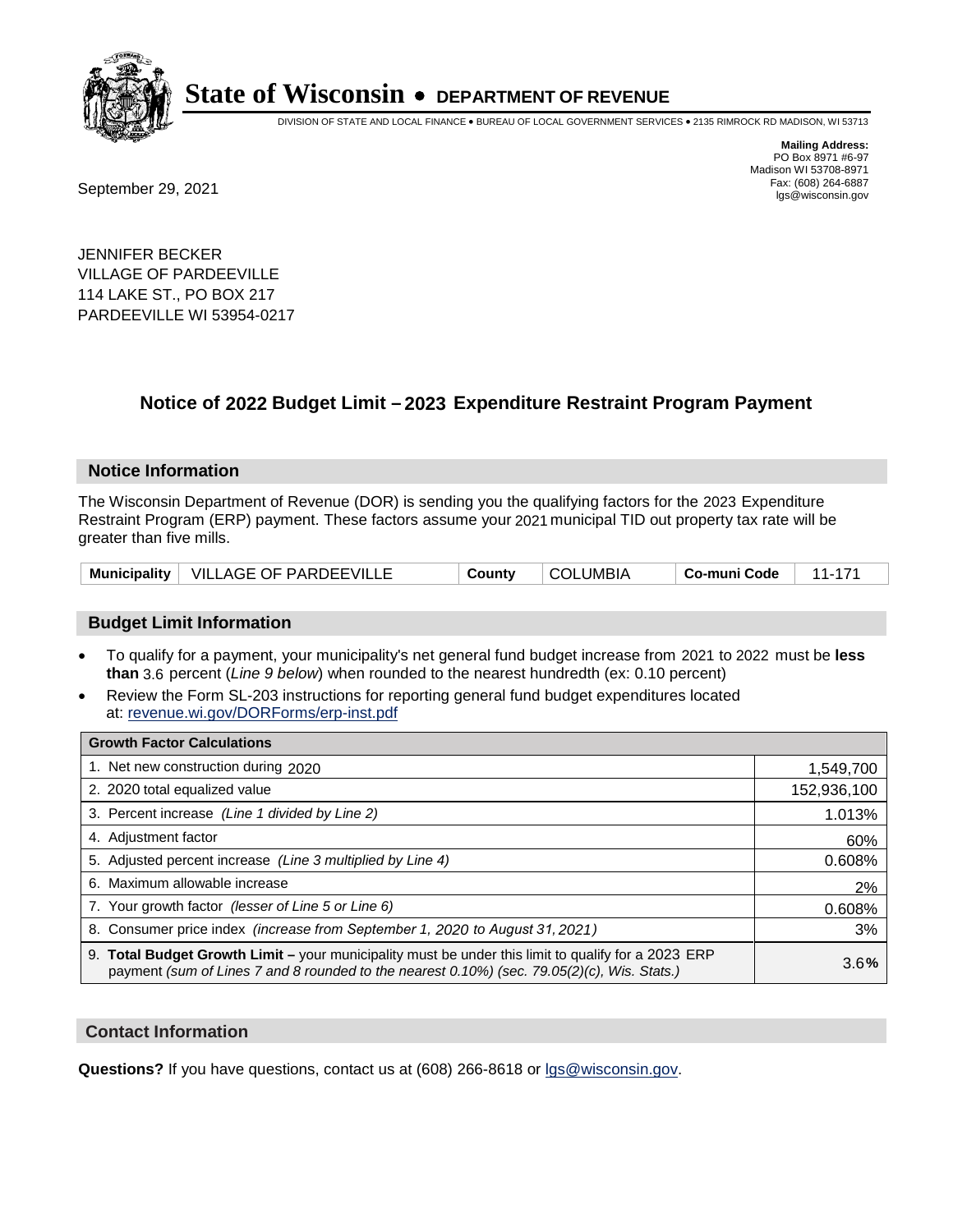

DIVISION OF STATE AND LOCAL FINANCE • BUREAU OF LOCAL GOVERNMENT SERVICES • 2135 RIMROCK RD MADISON, WI 53713

Fax: (608) 264-6887<br>
September 29, 2021 and the state of the state of the state of the state of the state of the state of the state of the state of the state of the state of the state of the state of the state of the state

**Mailing Address:** PO Box 8971 #6-97 Madison WI 53708-8971<br>Fax: (608) 264-6887

JENNIFER BECKER VILLAGE OF PARDEEVILLE 114 LAKE ST., PO BOX 217 PARDEEVILLE WI 53954-0217

## **Notice of 2022 Budget Limit - 2023 Expenditure Restraint Program Payment**

#### **Notice Information**

The Wisconsin Department of Revenue (DOR) is sending you the qualifying factors for the 2023 Expenditure Restraint Program (ERP) payment. These factors assume your 2021 municipal TID out property tax rate will be greater than five mills.

|  | Municipality   VILLAGE OF PARDEEVILLE | County | <b>COLUMBIA</b> | Co-muni Code |  |
|--|---------------------------------------|--------|-----------------|--------------|--|
|--|---------------------------------------|--------|-----------------|--------------|--|

#### **Budget Limit Information**

- To qualify for a payment, your municipality's net general fund budget increase from 2021 to 2022 must be less **than** 3.6 percent (*Line 9 below*) when rounded to the nearest hundredth (ex: 0.10 percent)
- Review the Form SL-203 instructions for reporting general fund budget expenditures located at: revenue.wi.gov/DORForms/erp-inst.pdf

| <b>Growth Factor Calculations</b>                                                                                                                                                                  |             |
|----------------------------------------------------------------------------------------------------------------------------------------------------------------------------------------------------|-------------|
| 1. Net new construction during 2020                                                                                                                                                                | 1,549,700   |
| 2. 2020 total equalized value                                                                                                                                                                      | 152,936,100 |
| 3. Percent increase (Line 1 divided by Line 2)                                                                                                                                                     | 1.013%      |
| 4. Adjustment factor                                                                                                                                                                               | 60%         |
| 5. Adjusted percent increase (Line 3 multiplied by Line 4)                                                                                                                                         | 0.608%      |
| 6. Maximum allowable increase                                                                                                                                                                      | 2%          |
| 7. Your growth factor (lesser of Line 5 or Line 6)                                                                                                                                                 | 0.608%      |
| 8. Consumer price index (increase from September 1, 2020 to August 31, 2021)                                                                                                                       | 3%          |
| 9. Total Budget Growth Limit - your municipality must be under this limit to qualify for a 2023 ERP<br>payment (sum of Lines 7 and 8 rounded to the nearest 0.10%) (sec. 79.05(2)(c), Wis. Stats.) | 3.6%        |

#### **Contact Information**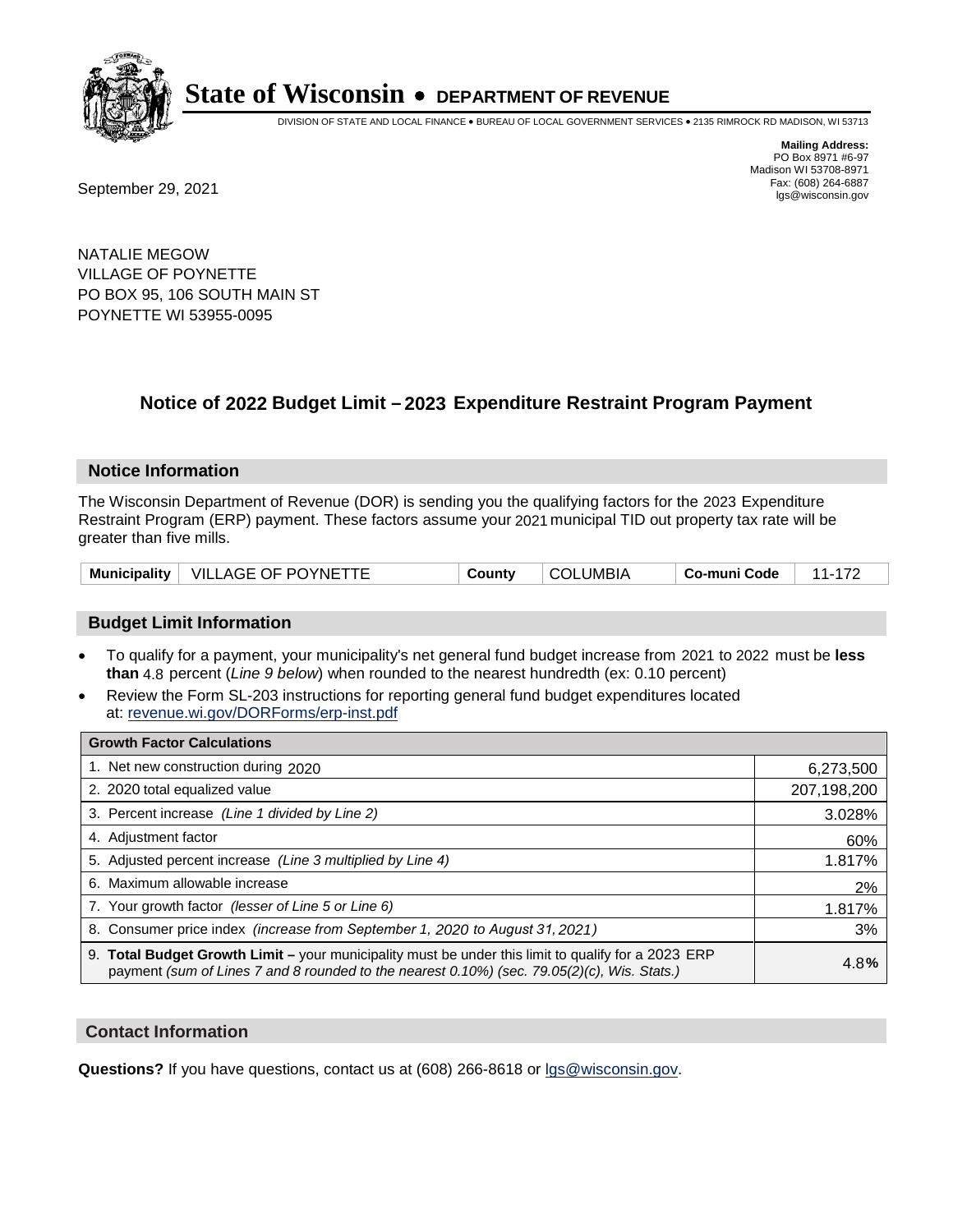

DIVISION OF STATE AND LOCAL FINANCE • BUREAU OF LOCAL GOVERNMENT SERVICES • 2135 RIMROCK RD MADISON, WI 53713

**Mailing Address:** PO Box 8971 #6-97 Madison WI 53708-8971<br>Fax: (608) 264-6887

Fax: (608) 264-6887<br>
September 29, 2021 and the state of the state of the state of the state of the state of the state of the state of the state of the state of the state of the state of the state of the state of the state

NATALIE MEGOW VILLAGE OF POYNETTE PO BOX 95, 106 SOUTH MAIN ST POYNETTE WI 53955-0095

### **Notice of 2022 Budget Limit - 2023 Expenditure Restraint Program Payment**

#### **Notice Information**

The Wisconsin Department of Revenue (DOR) is sending you the qualifying factors for the 2023 Expenditure Restraint Program (ERP) payment. These factors assume your 2021 municipal TID out property tax rate will be greater than five mills.

| VILLAGE OF POYNETTE<br><b>Municipality</b> | County | COLUMBIA | Co-muni Code |  |
|--------------------------------------------|--------|----------|--------------|--|
|--------------------------------------------|--------|----------|--------------|--|

#### **Budget Limit Information**

- To qualify for a payment, your municipality's net general fund budget increase from 2021 to 2022 must be less **than** 4.8 percent (*Line 9 below*) when rounded to the nearest hundredth (ex: 0.10 percent)
- Review the Form SL-203 instructions for reporting general fund budget expenditures located at: revenue.wi.gov/DORForms/erp-inst.pdf

| <b>Growth Factor Calculations</b>                                                                                                                                                                  |             |
|----------------------------------------------------------------------------------------------------------------------------------------------------------------------------------------------------|-------------|
| 1. Net new construction during 2020                                                                                                                                                                | 6,273,500   |
| 2. 2020 total equalized value                                                                                                                                                                      | 207,198,200 |
| 3. Percent increase (Line 1 divided by Line 2)                                                                                                                                                     | 3.028%      |
| 4. Adjustment factor                                                                                                                                                                               | 60%         |
| 5. Adjusted percent increase (Line 3 multiplied by Line 4)                                                                                                                                         | 1.817%      |
| 6. Maximum allowable increase                                                                                                                                                                      | 2%          |
| 7. Your growth factor (lesser of Line 5 or Line 6)                                                                                                                                                 | 1.817%      |
| 8. Consumer price index (increase from September 1, 2020 to August 31, 2021)                                                                                                                       | 3%          |
| 9. Total Budget Growth Limit - your municipality must be under this limit to qualify for a 2023 ERP<br>payment (sum of Lines 7 and 8 rounded to the nearest 0.10%) (sec. 79.05(2)(c), Wis. Stats.) | 4.8%        |

#### **Contact Information**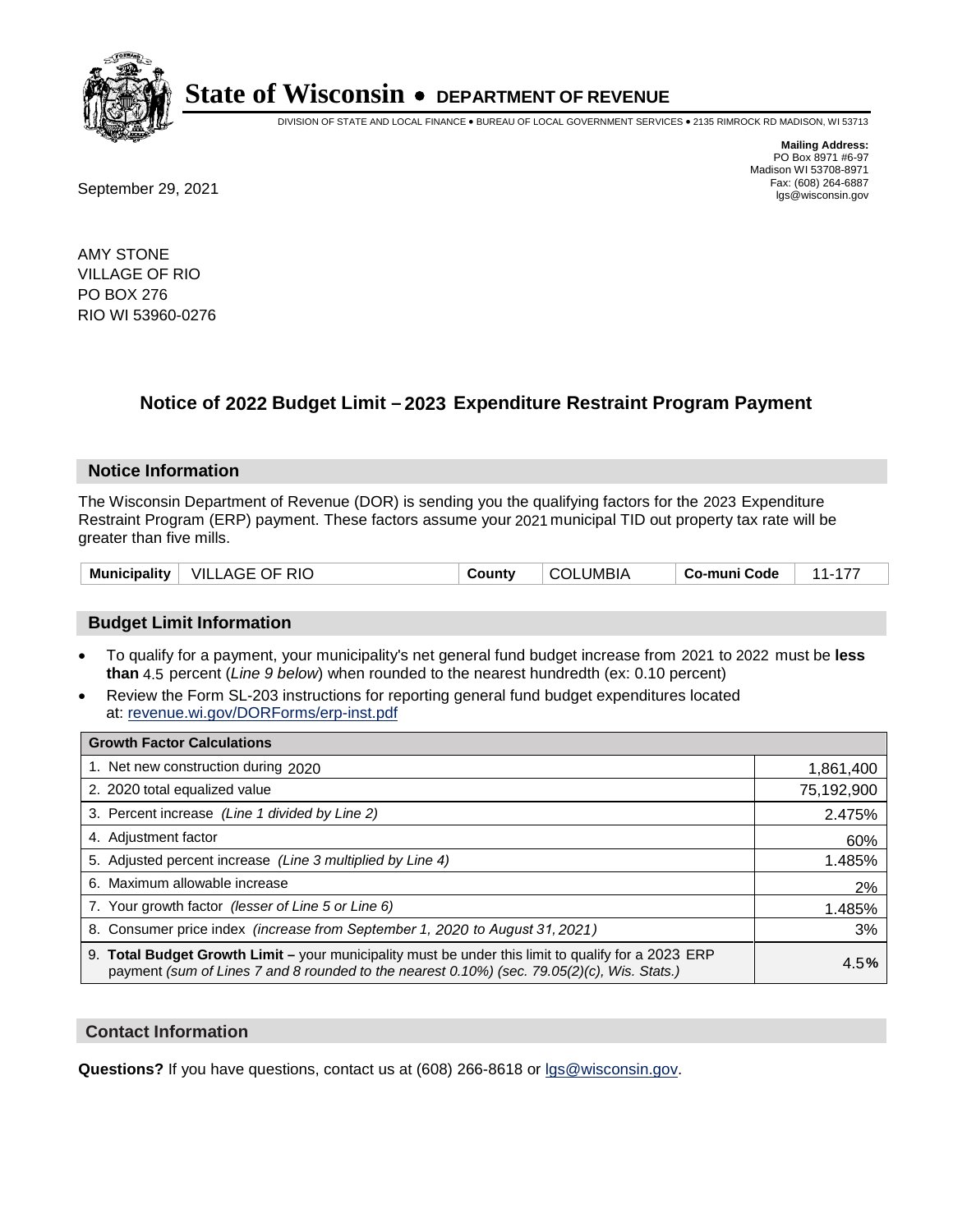

DIVISION OF STATE AND LOCAL FINANCE • BUREAU OF LOCAL GOVERNMENT SERVICES • 2135 RIMROCK RD MADISON, WI 53713

**Mailing Address:** PO Box 8971 #6-97 Madison WI 53708-8971<br>Fax: (608) 264-6887

Fax: (608) 264-6887<br>
September 29, 2021 and the state of the state of the state of the state of the state of the state of the state of the state of the state of the state of the state of the state of the state of the state

AMY STONE VILLAGE OF RIO PO BOX 276 RIO WI 53960-0276

### **Notice of 2022 Budget Limit - 2023 Expenditure Restraint Program Payment**

#### **Notice Information**

The Wisconsin Department of Revenue (DOR) is sending you the qualifying factors for the 2023 Expenditure Restraint Program (ERP) payment. These factors assume your 2021 municipal TID out property tax rate will be greater than five mills.

#### **Budget Limit Information**

- To qualify for a payment, your municipality's net general fund budget increase from 2021 to 2022 must be less **than** 4.5 percent (*Line 9 below*) when rounded to the nearest hundredth (ex: 0.10 percent)
- Review the Form SL-203 instructions for reporting general fund budget expenditures located at: revenue.wi.gov/DORForms/erp-inst.pdf

| <b>Growth Factor Calculations</b>                                                                                                                                                                  |            |
|----------------------------------------------------------------------------------------------------------------------------------------------------------------------------------------------------|------------|
| 1. Net new construction during 2020                                                                                                                                                                | 1,861,400  |
| 2. 2020 total equalized value                                                                                                                                                                      | 75,192,900 |
| 3. Percent increase (Line 1 divided by Line 2)                                                                                                                                                     | 2.475%     |
| 4. Adiustment factor                                                                                                                                                                               | 60%        |
| 5. Adjusted percent increase (Line 3 multiplied by Line 4)                                                                                                                                         | 1.485%     |
| 6. Maximum allowable increase                                                                                                                                                                      | 2%         |
| 7. Your growth factor (lesser of Line 5 or Line 6)                                                                                                                                                 | 1.485%     |
| 8. Consumer price index (increase from September 1, 2020 to August 31, 2021)                                                                                                                       | 3%         |
| 9. Total Budget Growth Limit - your municipality must be under this limit to qualify for a 2023 ERP<br>payment (sum of Lines 7 and 8 rounded to the nearest 0.10%) (sec. 79.05(2)(c), Wis. Stats.) | 4.5%       |

#### **Contact Information**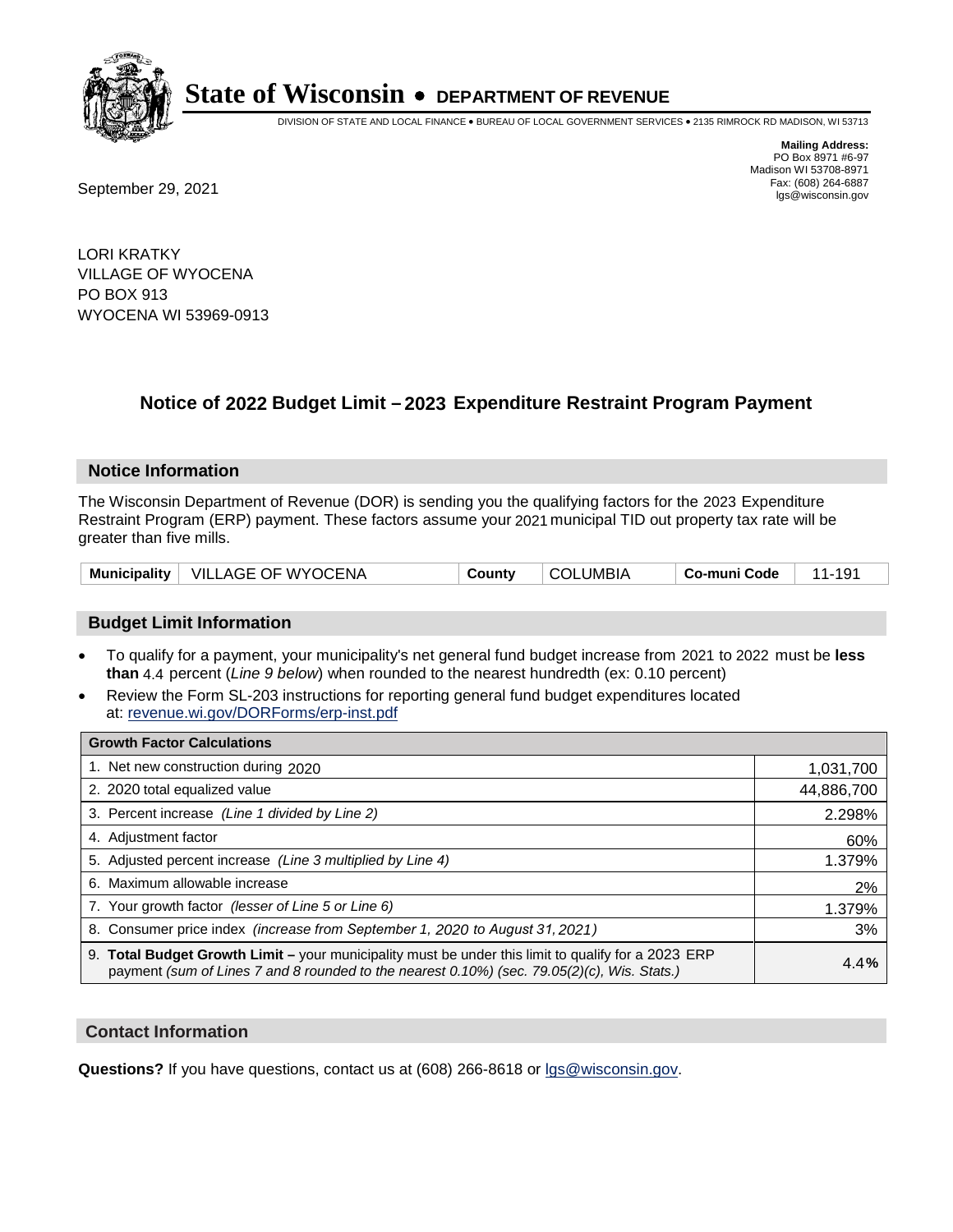

DIVISION OF STATE AND LOCAL FINANCE • BUREAU OF LOCAL GOVERNMENT SERVICES • 2135 RIMROCK RD MADISON, WI 53713

**Mailing Address:** PO Box 8971 #6-97 Madison WI 53708-8971<br>Fax: (608) 264-6887

Fax: (608) 264-6887<br>
September 29, 2021 and the state of the state of the state of the state of the state of the state of the state of the state of the state of the state of the state of the state of the state of the state

LORI KRATKY VILLAGE OF WYOCENA PO BOX 913 WYOCENA WI 53969-0913

## **Notice of 2022 Budget Limit - 2023 Expenditure Restraint Program Payment**

#### **Notice Information**

The Wisconsin Department of Revenue (DOR) is sending you the qualifying factors for the 2023 Expenditure Restraint Program (ERP) payment. These factors assume your 2021 municipal TID out property tax rate will be greater than five mills.

| <b>Municipality</b> | └ VILLAGE OF WYOCENA | County | COLUMBIA | Co-muni Code |  |
|---------------------|----------------------|--------|----------|--------------|--|
|---------------------|----------------------|--------|----------|--------------|--|

#### **Budget Limit Information**

- To qualify for a payment, your municipality's net general fund budget increase from 2021 to 2022 must be less **than** 4.4 percent (*Line 9 below*) when rounded to the nearest hundredth (ex: 0.10 percent)
- Review the Form SL-203 instructions for reporting general fund budget expenditures located at: revenue.wi.gov/DORForms/erp-inst.pdf

| <b>Growth Factor Calculations</b>                                                                                                                                                                  |            |
|----------------------------------------------------------------------------------------------------------------------------------------------------------------------------------------------------|------------|
| 1. Net new construction during 2020                                                                                                                                                                | 1,031,700  |
| 2. 2020 total equalized value                                                                                                                                                                      | 44,886,700 |
| 3. Percent increase (Line 1 divided by Line 2)                                                                                                                                                     | 2.298%     |
| 4. Adiustment factor                                                                                                                                                                               | 60%        |
| 5. Adjusted percent increase (Line 3 multiplied by Line 4)                                                                                                                                         | 1.379%     |
| 6. Maximum allowable increase                                                                                                                                                                      | 2%         |
| 7. Your growth factor (lesser of Line 5 or Line 6)                                                                                                                                                 | 1.379%     |
| 8. Consumer price index (increase from September 1, 2020 to August 31, 2021)                                                                                                                       | 3%         |
| 9. Total Budget Growth Limit - your municipality must be under this limit to qualify for a 2023 ERP<br>payment (sum of Lines 7 and 8 rounded to the nearest 0.10%) (sec. 79.05(2)(c), Wis. Stats.) | 4.4%       |

#### **Contact Information**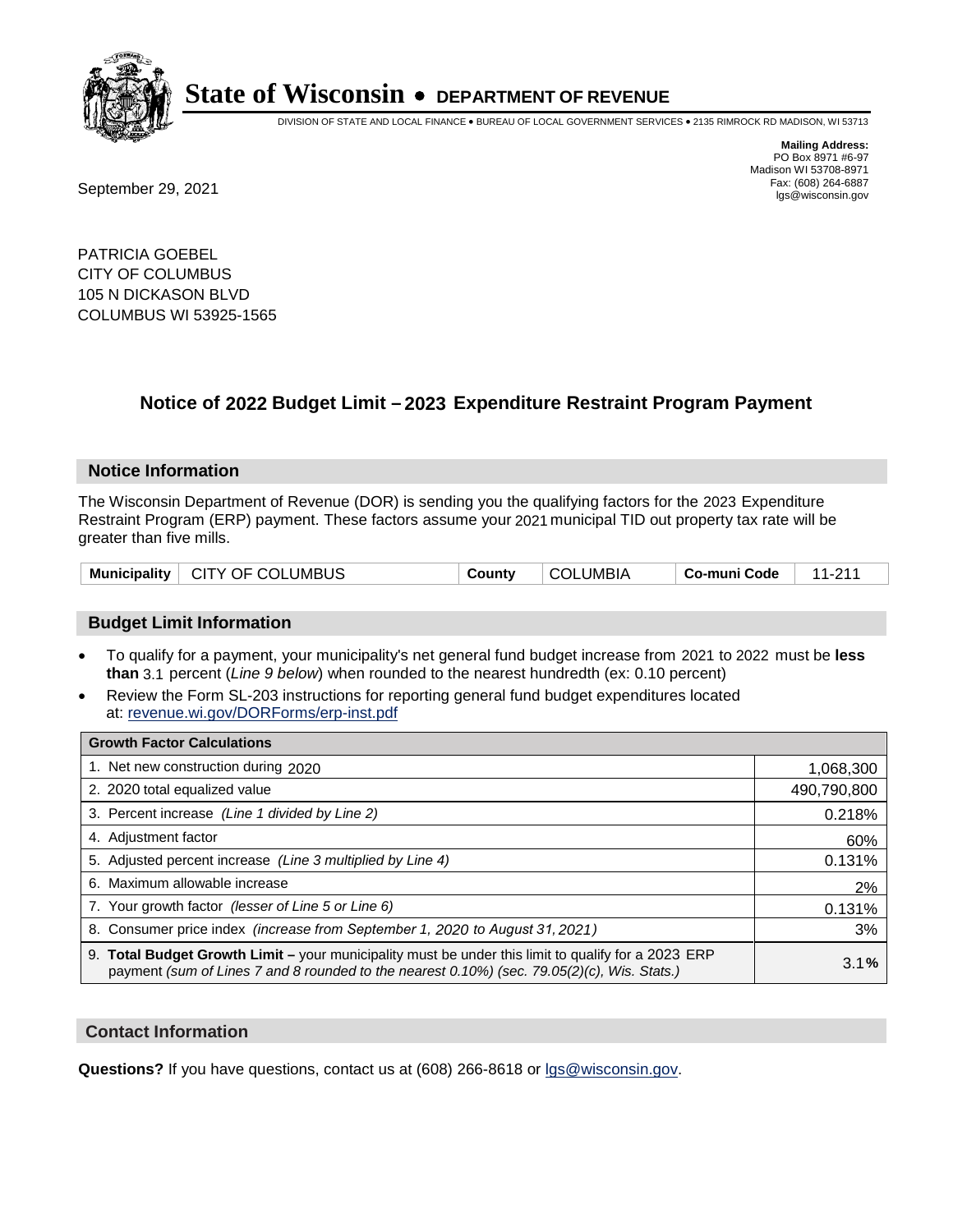

DIVISION OF STATE AND LOCAL FINANCE • BUREAU OF LOCAL GOVERNMENT SERVICES • 2135 RIMROCK RD MADISON, WI 53713

Fax: (608) 264-6887<br>
September 29, 2021 and the state of the state of the state of the state of the state of the state of the state of the state of the state of the state of the state of the state of the state of the state

**Mailing Address:** PO Box 8971 #6-97 Madison WI 53708-8971<br>Fax: (608) 264-6887

PATRICIA GOEBEL CITY OF COLUMBUS 105 N DICKASON BLVD COLUMBUS WI 53925-1565

### **Notice of 2022 Budget Limit - 2023 Expenditure Restraint Program Payment**

#### **Notice Information**

The Wisconsin Department of Revenue (DOR) is sending you the qualifying factors for the 2023 Expenditure Restraint Program (ERP) payment. These factors assume your 2021 municipal TID out property tax rate will be greater than five mills.

| Municipality   CITY OF COLUMBUS | County | <b>COLUMBIA</b> | Co-muni Code | 11.011 |
|---------------------------------|--------|-----------------|--------------|--------|
|---------------------------------|--------|-----------------|--------------|--------|

#### **Budget Limit Information**

- To qualify for a payment, your municipality's net general fund budget increase from 2021 to 2022 must be less **than** 3.1 percent (*Line 9 below*) when rounded to the nearest hundredth (ex: 0.10 percent)
- Review the Form SL-203 instructions for reporting general fund budget expenditures located at: revenue.wi.gov/DORForms/erp-inst.pdf

| <b>Growth Factor Calculations</b>                                                                                                                                                                  |             |
|----------------------------------------------------------------------------------------------------------------------------------------------------------------------------------------------------|-------------|
| 1. Net new construction during 2020                                                                                                                                                                | 1,068,300   |
| 2. 2020 total equalized value                                                                                                                                                                      | 490,790,800 |
| 3. Percent increase (Line 1 divided by Line 2)                                                                                                                                                     | 0.218%      |
| 4. Adjustment factor                                                                                                                                                                               | 60%         |
| 5. Adjusted percent increase (Line 3 multiplied by Line 4)                                                                                                                                         | 0.131%      |
| 6. Maximum allowable increase                                                                                                                                                                      | 2%          |
| 7. Your growth factor (lesser of Line 5 or Line 6)                                                                                                                                                 | 0.131%      |
| 8. Consumer price index (increase from September 1, 2020 to August 31, 2021)                                                                                                                       | 3%          |
| 9. Total Budget Growth Limit – your municipality must be under this limit to qualify for a 2023 ERP<br>payment (sum of Lines 7 and 8 rounded to the nearest 0.10%) (sec. 79.05(2)(c), Wis. Stats.) | 3.1%        |

#### **Contact Information**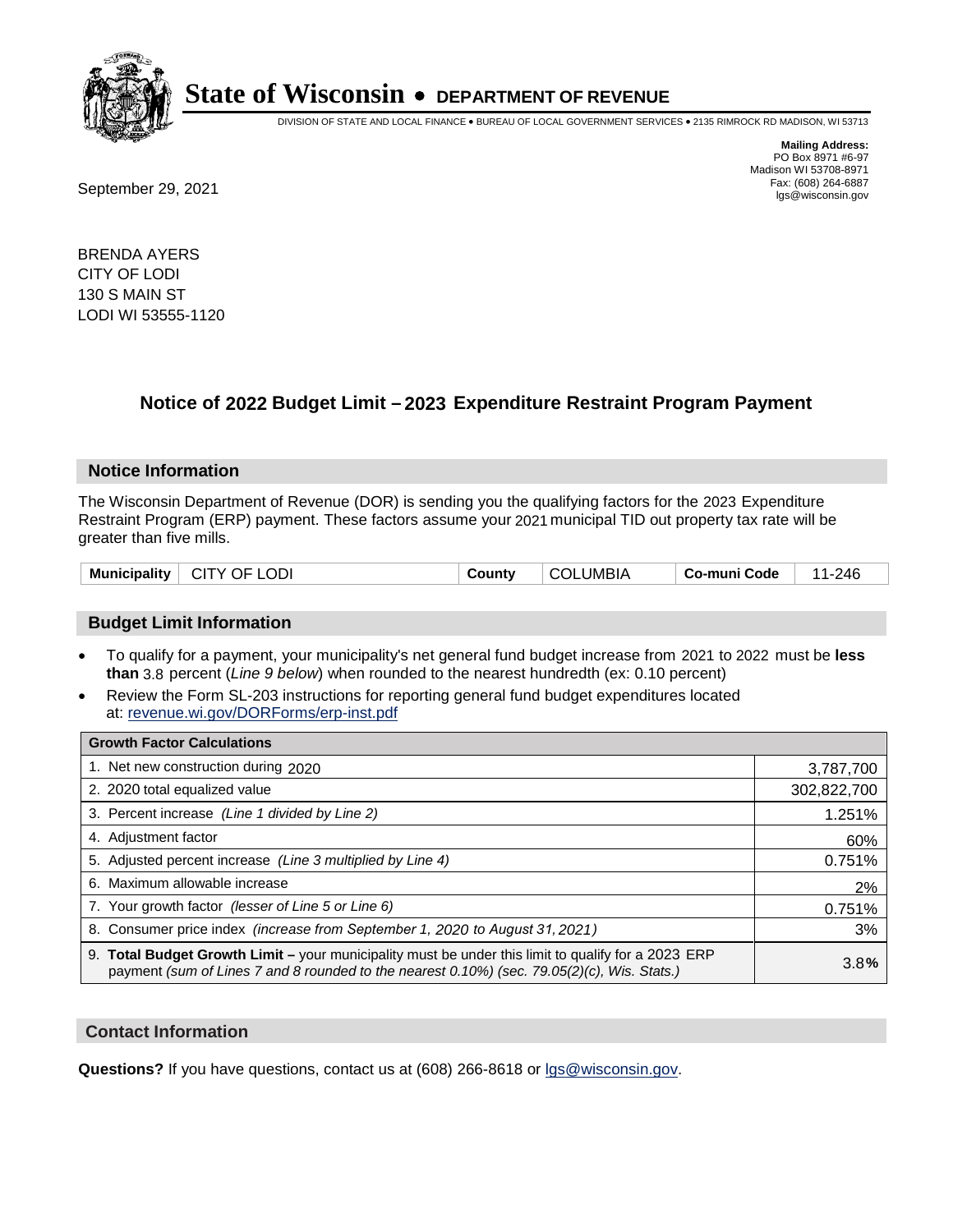

DIVISION OF STATE AND LOCAL FINANCE • BUREAU OF LOCAL GOVERNMENT SERVICES • 2135 RIMROCK RD MADISON, WI 53713

**Mailing Address:** PO Box 8971 #6-97 Madison WI 53708-8971<br>Fax: (608) 264-6887

Fax: (608) 264-6887<br>
September 29, 2021 and the state of the state of the state of the state of the state of the state of the state of the state of the state of the state of the state of the state of the state of the state

BRENDA AYERS CITY OF LODI 130 S MAIN ST LODI WI 53555-1120

### **Notice of 2022 Budget Limit - 2023 Expenditure Restraint Program Payment**

#### **Notice Information**

The Wisconsin Department of Revenue (DOR) is sending you the qualifying factors for the 2023 Expenditure Restraint Program (ERP) payment. These factors assume your 2021 municipal TID out property tax rate will be greater than five mills.

| <b>Municipality</b> | .ODI<br>CITY OF I | `ountv | LUMBIA<br>-COL | Co-muni Code | 246<br>- 1 |
|---------------------|-------------------|--------|----------------|--------------|------------|
|---------------------|-------------------|--------|----------------|--------------|------------|

#### **Budget Limit Information**

- To qualify for a payment, your municipality's net general fund budget increase from 2021 to 2022 must be less **than** 3.8 percent (*Line 9 below*) when rounded to the nearest hundredth (ex: 0.10 percent)
- Review the Form SL-203 instructions for reporting general fund budget expenditures located at: revenue.wi.gov/DORForms/erp-inst.pdf

| <b>Growth Factor Calculations</b>                                                                                                                                                                  |             |
|----------------------------------------------------------------------------------------------------------------------------------------------------------------------------------------------------|-------------|
| 1. Net new construction during 2020                                                                                                                                                                | 3,787,700   |
| 2. 2020 total equalized value                                                                                                                                                                      | 302,822,700 |
| 3. Percent increase (Line 1 divided by Line 2)                                                                                                                                                     | 1.251%      |
| 4. Adiustment factor                                                                                                                                                                               | 60%         |
| 5. Adjusted percent increase (Line 3 multiplied by Line 4)                                                                                                                                         | 0.751%      |
| 6. Maximum allowable increase                                                                                                                                                                      | 2%          |
| 7. Your growth factor (lesser of Line 5 or Line 6)                                                                                                                                                 | 0.751%      |
| 8. Consumer price index (increase from September 1, 2020 to August 31, 2021)                                                                                                                       | 3%          |
| 9. Total Budget Growth Limit - your municipality must be under this limit to qualify for a 2023 ERP<br>payment (sum of Lines 7 and 8 rounded to the nearest 0.10%) (sec. 79.05(2)(c), Wis. Stats.) | 3.8%        |

#### **Contact Information**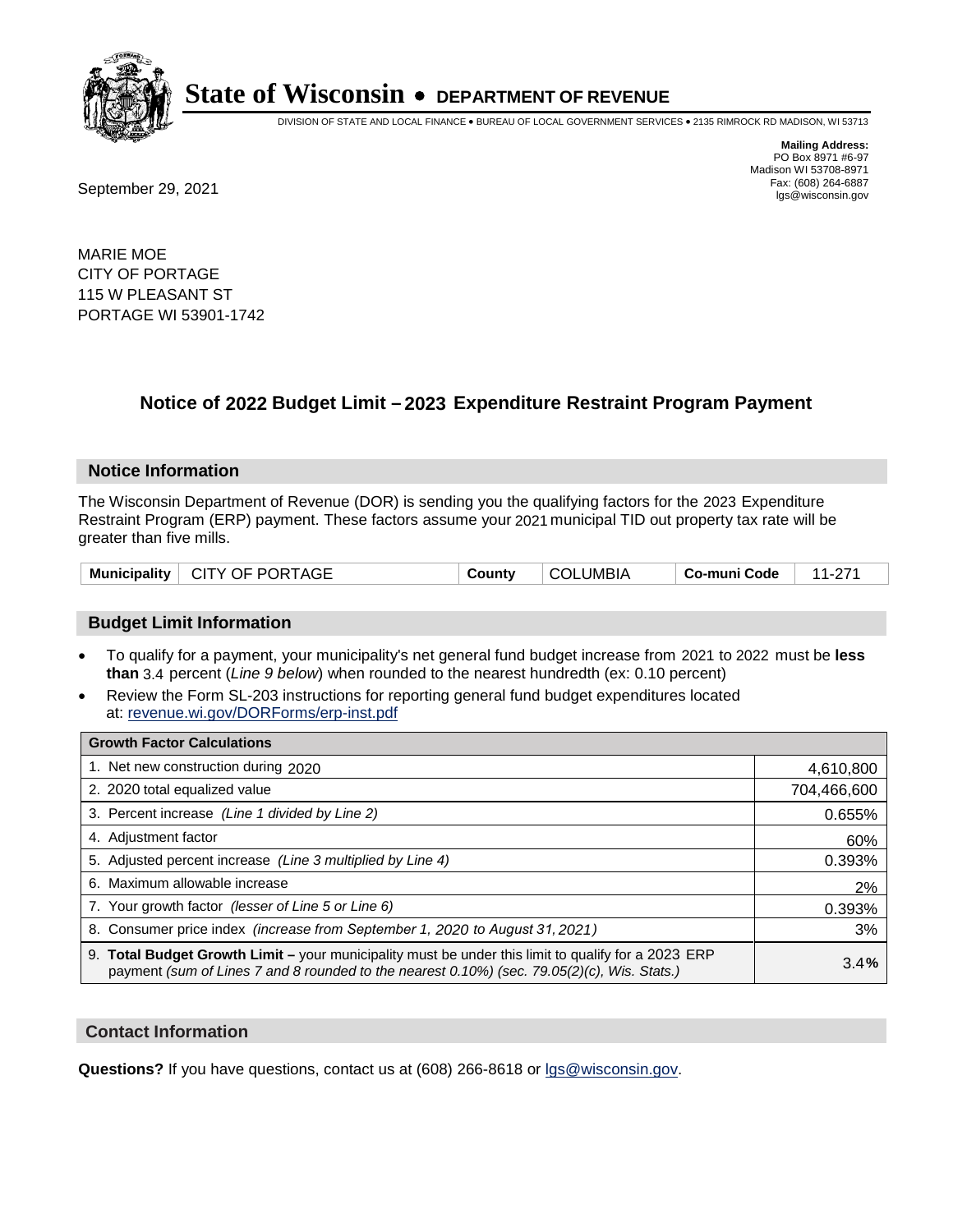

DIVISION OF STATE AND LOCAL FINANCE • BUREAU OF LOCAL GOVERNMENT SERVICES • 2135 RIMROCK RD MADISON, WI 53713

Fax: (608) 264-6887<br>
September 29, 2021 and the state of the state of the state of the state of the state of the state of the state of the state of the state of the state of the state of the state of the state of the state

**Mailing Address:** PO Box 8971 #6-97 Madison WI 53708-8971<br>Fax: (608) 264-6887

MARIE MOE CITY OF PORTAGE 115 W PLEASANT ST PORTAGE WI 53901-1742

### **Notice of 2022 Budget Limit - 2023 Expenditure Restraint Program Payment**

#### **Notice Information**

The Wisconsin Department of Revenue (DOR) is sending you the qualifying factors for the 2023 Expenditure Restraint Program (ERP) payment. These factors assume your 2021 municipal TID out property tax rate will be greater than five mills.

| Municipality   CITY OF PORTAGE | County | <b>COLUMBIA</b> | $\,$ Co-muni Code $\,$   11-271 |  |
|--------------------------------|--------|-----------------|---------------------------------|--|
|--------------------------------|--------|-----------------|---------------------------------|--|

#### **Budget Limit Information**

- To qualify for a payment, your municipality's net general fund budget increase from 2021 to 2022 must be less **than** 3.4 percent (*Line 9 below*) when rounded to the nearest hundredth (ex: 0.10 percent)
- Review the Form SL-203 instructions for reporting general fund budget expenditures located at: revenue.wi.gov/DORForms/erp-inst.pdf

| <b>Growth Factor Calculations</b>                                                                                                                                                                  |             |
|----------------------------------------------------------------------------------------------------------------------------------------------------------------------------------------------------|-------------|
| 1. Net new construction during 2020                                                                                                                                                                | 4,610,800   |
| 2. 2020 total equalized value                                                                                                                                                                      | 704,466,600 |
| 3. Percent increase (Line 1 divided by Line 2)                                                                                                                                                     | 0.655%      |
| 4. Adiustment factor                                                                                                                                                                               | 60%         |
| 5. Adjusted percent increase (Line 3 multiplied by Line 4)                                                                                                                                         | 0.393%      |
| 6. Maximum allowable increase                                                                                                                                                                      | 2%          |
| 7. Your growth factor (lesser of Line 5 or Line 6)                                                                                                                                                 | 0.393%      |
| 8. Consumer price index (increase from September 1, 2020 to August 31, 2021)                                                                                                                       | 3%          |
| 9. Total Budget Growth Limit - your municipality must be under this limit to qualify for a 2023 ERP<br>payment (sum of Lines 7 and 8 rounded to the nearest 0.10%) (sec. 79.05(2)(c), Wis. Stats.) | 3.4%        |

#### **Contact Information**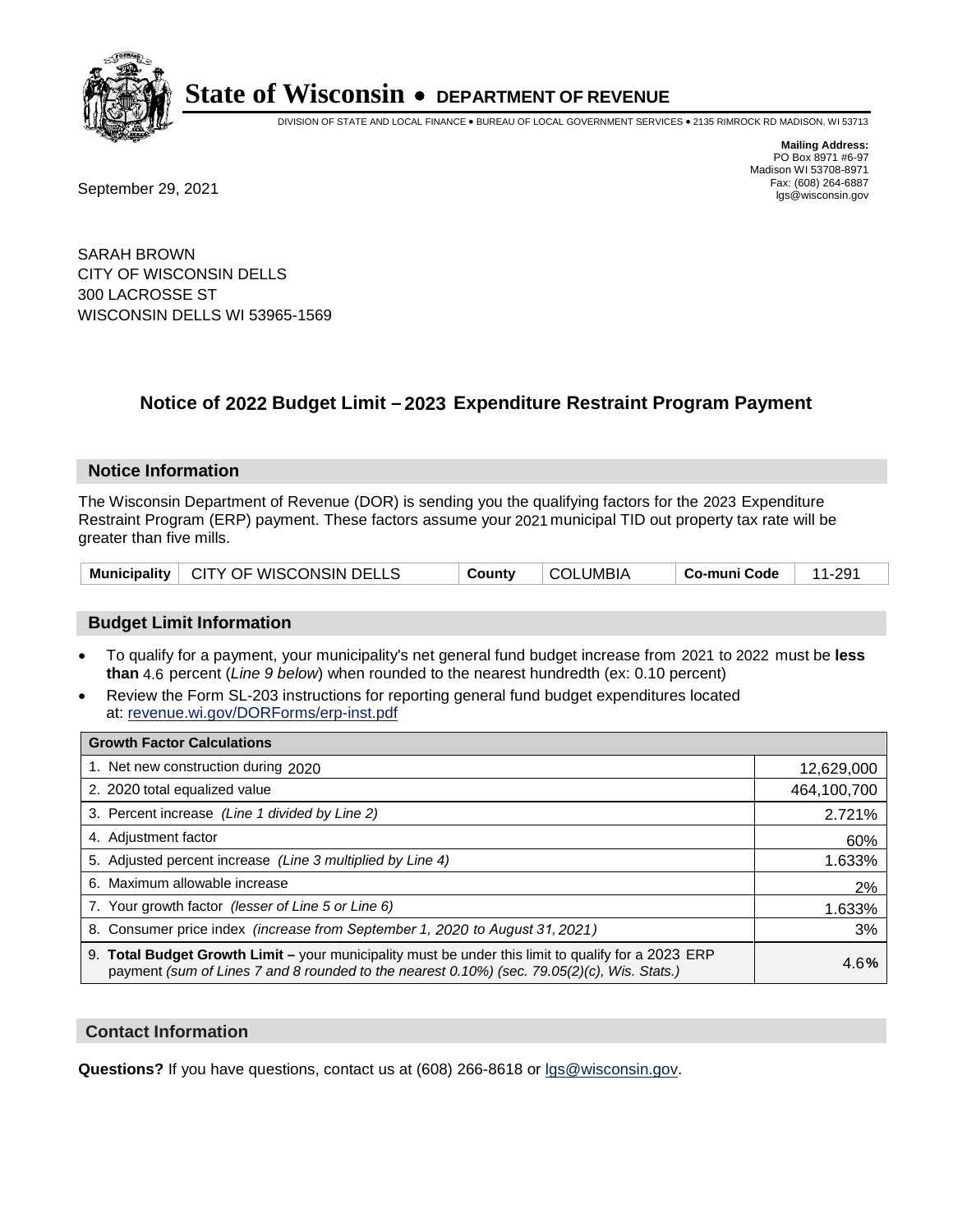

DIVISION OF STATE AND LOCAL FINANCE • BUREAU OF LOCAL GOVERNMENT SERVICES • 2135 RIMROCK RD MADISON, WI 53713

**Mailing Address:** PO Box 8971 #6-97 Madison WI 53708-8971<br>Fax: (608) 264-6887

Fax: (608) 264-6887<br>
September 29, 2021 and the state of the state of the state of the state of the state of the state of the state of the state of the state of the state of the state of the state of the state of the state

SARAH BROWN CITY OF WISCONSIN DELLS 300 LACROSSE ST WISCONSIN DELLS WI 53965-1569

## **Notice of 2022 Budget Limit - 2023 Expenditure Restraint Program Payment**

#### **Notice Information**

The Wisconsin Department of Revenue (DOR) is sending you the qualifying factors for the 2023 Expenditure Restraint Program (ERP) payment. These factors assume your 2021 municipal TID out property tax rate will be greater than five mills.

|  | Municipality   CITY OF WISCONSIN DELLS | County | COLUMBIA | ∣ Co-muni Code | 11-291 |
|--|----------------------------------------|--------|----------|----------------|--------|
|--|----------------------------------------|--------|----------|----------------|--------|

#### **Budget Limit Information**

- To qualify for a payment, your municipality's net general fund budget increase from 2021 to 2022 must be less **than** 4.6 percent (*Line 9 below*) when rounded to the nearest hundredth (ex: 0.10 percent)
- Review the Form SL-203 instructions for reporting general fund budget expenditures located at: revenue.wi.gov/DORForms/erp-inst.pdf

| <b>Growth Factor Calculations</b>                                                                                                                                                                  |             |
|----------------------------------------------------------------------------------------------------------------------------------------------------------------------------------------------------|-------------|
| 1. Net new construction during 2020                                                                                                                                                                | 12,629,000  |
| 2. 2020 total equalized value                                                                                                                                                                      | 464,100,700 |
| 3. Percent increase (Line 1 divided by Line 2)                                                                                                                                                     | 2.721%      |
| 4. Adjustment factor                                                                                                                                                                               | 60%         |
| 5. Adjusted percent increase (Line 3 multiplied by Line 4)                                                                                                                                         | 1.633%      |
| 6. Maximum allowable increase                                                                                                                                                                      | 2%          |
| 7. Your growth factor (lesser of Line 5 or Line 6)                                                                                                                                                 | 1.633%      |
| 8. Consumer price index (increase from September 1, 2020 to August 31, 2021)                                                                                                                       | 3%          |
| 9. Total Budget Growth Limit - your municipality must be under this limit to qualify for a 2023 ERP<br>payment (sum of Lines 7 and 8 rounded to the nearest 0.10%) (sec. 79.05(2)(c), Wis. Stats.) | 4.6%        |

#### **Contact Information**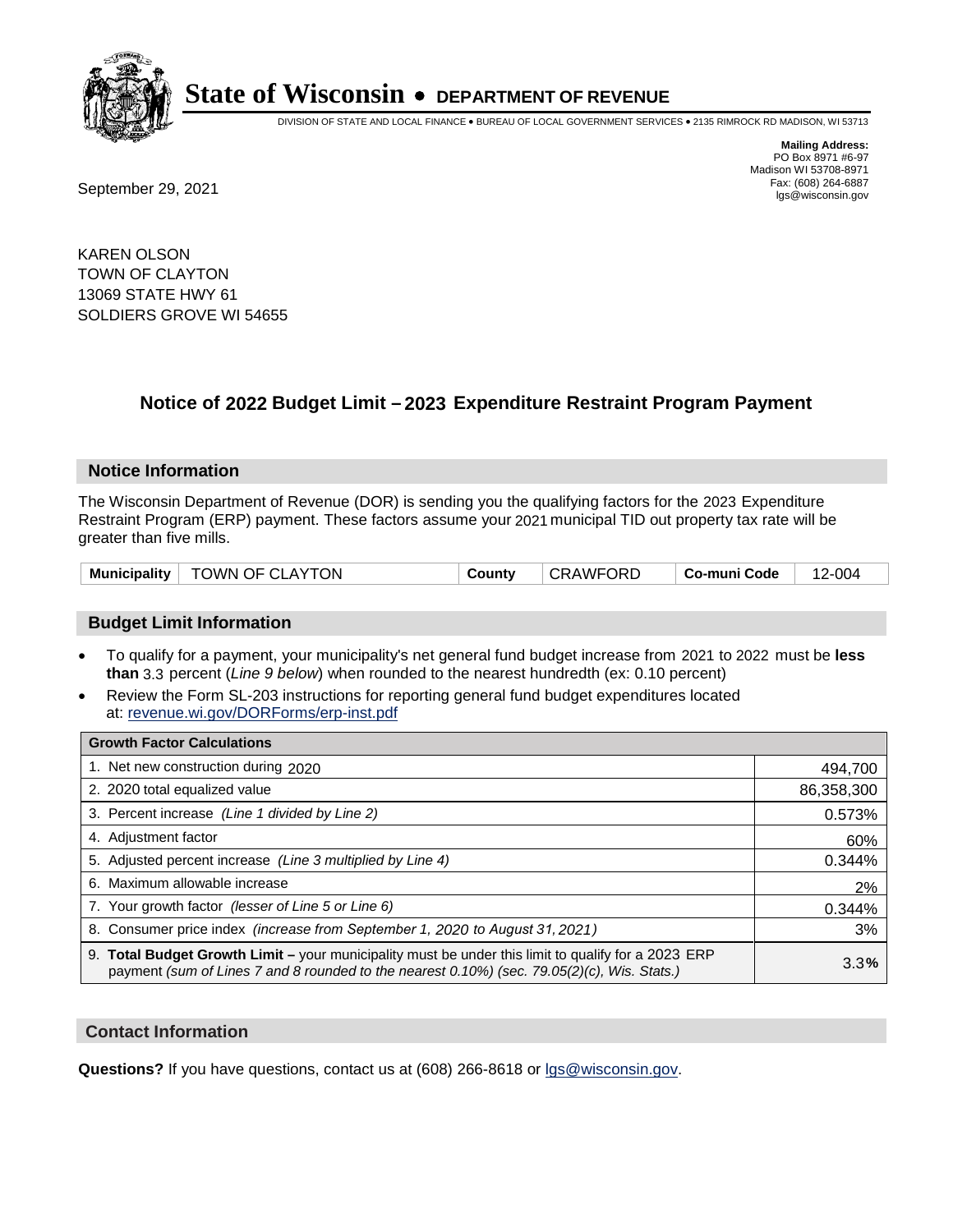

DIVISION OF STATE AND LOCAL FINANCE • BUREAU OF LOCAL GOVERNMENT SERVICES • 2135 RIMROCK RD MADISON, WI 53713

Fax: (608) 264-6887<br>
September 29, 2021 and the state of the state of the state of the state of the state of the state of the state of the state of the state of the state of the state of the state of the state of the state

**Mailing Address:** PO Box 8971 #6-97 Madison WI 53708-8971<br>Fax: (608) 264-6887

KAREN OLSON TOWN OF CLAYTON 13069 STATE HWY 61 SOLDIERS GROVE WI 54655

## **Notice of 2022 Budget Limit - 2023 Expenditure Restraint Program Payment**

#### **Notice Information**

The Wisconsin Department of Revenue (DOR) is sending you the qualifying factors for the 2023 Expenditure Restraint Program (ERP) payment. These factors assume your 2021 municipal TID out property tax rate will be greater than five mills.

| Municipality   TOWN OF CLAYTON |  | County | CRAWFORD | ∣ Co-muni Code | 12-004 |
|--------------------------------|--|--------|----------|----------------|--------|
|--------------------------------|--|--------|----------|----------------|--------|

#### **Budget Limit Information**

- To qualify for a payment, your municipality's net general fund budget increase from 2021 to 2022 must be less **than** 3.3 percent (*Line 9 below*) when rounded to the nearest hundredth (ex: 0.10 percent)
- Review the Form SL-203 instructions for reporting general fund budget expenditures located at: revenue.wi.gov/DORForms/erp-inst.pdf

| <b>Growth Factor Calculations</b>                                                                                                                                                                  |            |
|----------------------------------------------------------------------------------------------------------------------------------------------------------------------------------------------------|------------|
| 1. Net new construction during 2020                                                                                                                                                                | 494,700    |
| 2. 2020 total equalized value                                                                                                                                                                      | 86,358,300 |
| 3. Percent increase (Line 1 divided by Line 2)                                                                                                                                                     | 0.573%     |
| 4. Adjustment factor                                                                                                                                                                               | 60%        |
| 5. Adjusted percent increase (Line 3 multiplied by Line 4)                                                                                                                                         | 0.344%     |
| 6. Maximum allowable increase                                                                                                                                                                      | 2%         |
| 7. Your growth factor (lesser of Line 5 or Line 6)                                                                                                                                                 | 0.344%     |
| 8. Consumer price index (increase from September 1, 2020 to August 31, 2021)                                                                                                                       | 3%         |
| 9. Total Budget Growth Limit – your municipality must be under this limit to qualify for a 2023 ERP<br>payment (sum of Lines 7 and 8 rounded to the nearest 0.10%) (sec. 79.05(2)(c), Wis. Stats.) | 3.3%       |

#### **Contact Information**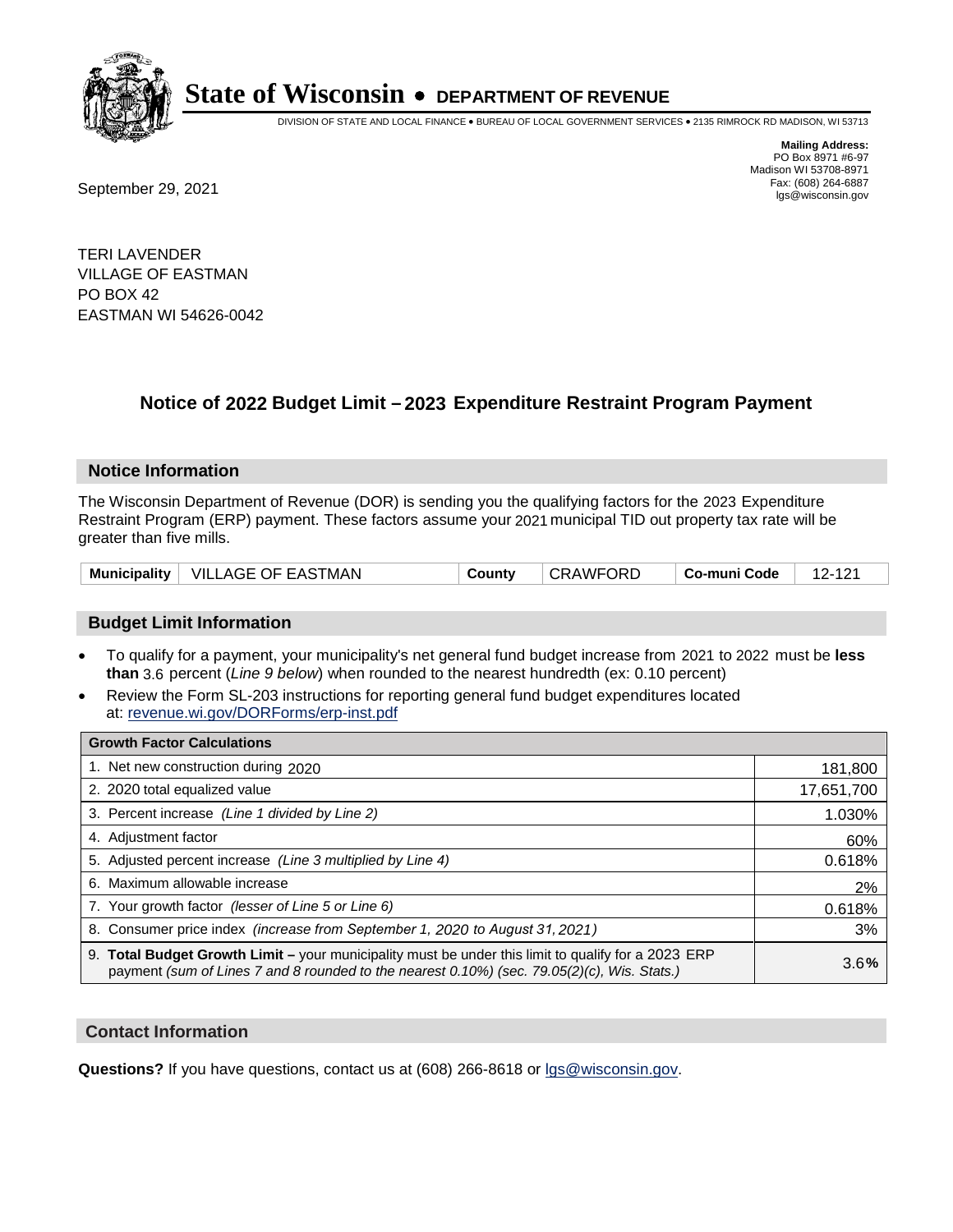

DIVISION OF STATE AND LOCAL FINANCE • BUREAU OF LOCAL GOVERNMENT SERVICES • 2135 RIMROCK RD MADISON, WI 53713

**Mailing Address:** PO Box 8971 #6-97 Madison WI 53708-8971<br>Fax: (608) 264-6887 Fax: (608) 264-6887<br>
September 29, 2021 and the state of the state of the state of the state of the state of the state of the state of the state of the state of the state of the state of the state of the state of the state

TERI LAVENDER VILLAGE OF EASTMAN PO BOX 42 EASTMAN WI 54626-0042

## **Notice of 2022 Budget Limit - 2023 Expenditure Restraint Program Payment**

#### **Notice Information**

The Wisconsin Department of Revenue (DOR) is sending you the qualifying factors for the 2023 Expenditure Restraint Program (ERP) payment. These factors assume your 2021 municipal TID out property tax rate will be greater than five mills.

|  | Municipality   VILLAGE OF EASTMAN | County | <b>CRAWFORD</b> | Co-muni Code | 12-121 |
|--|-----------------------------------|--------|-----------------|--------------|--------|
|--|-----------------------------------|--------|-----------------|--------------|--------|

#### **Budget Limit Information**

- To qualify for a payment, your municipality's net general fund budget increase from 2021 to 2022 must be less **than** 3.6 percent (*Line 9 below*) when rounded to the nearest hundredth (ex: 0.10 percent)
- Review the Form SL-203 instructions for reporting general fund budget expenditures located at: revenue.wi.gov/DORForms/erp-inst.pdf

| <b>Growth Factor Calculations</b>                                                                                                                                                                  |            |
|----------------------------------------------------------------------------------------------------------------------------------------------------------------------------------------------------|------------|
| 1. Net new construction during 2020                                                                                                                                                                | 181,800    |
| 2. 2020 total equalized value                                                                                                                                                                      | 17,651,700 |
| 3. Percent increase (Line 1 divided by Line 2)                                                                                                                                                     | 1.030%     |
| 4. Adjustment factor                                                                                                                                                                               | 60%        |
| 5. Adjusted percent increase (Line 3 multiplied by Line 4)                                                                                                                                         | 0.618%     |
| 6. Maximum allowable increase                                                                                                                                                                      | 2%         |
| 7. Your growth factor (lesser of Line 5 or Line 6)                                                                                                                                                 | 0.618%     |
| 8. Consumer price index (increase from September 1, 2020 to August 31, 2021)                                                                                                                       | 3%         |
| 9. Total Budget Growth Limit – your municipality must be under this limit to qualify for a 2023 ERP<br>payment (sum of Lines 7 and 8 rounded to the nearest 0.10%) (sec. 79.05(2)(c), Wis. Stats.) | 3.6%       |

#### **Contact Information**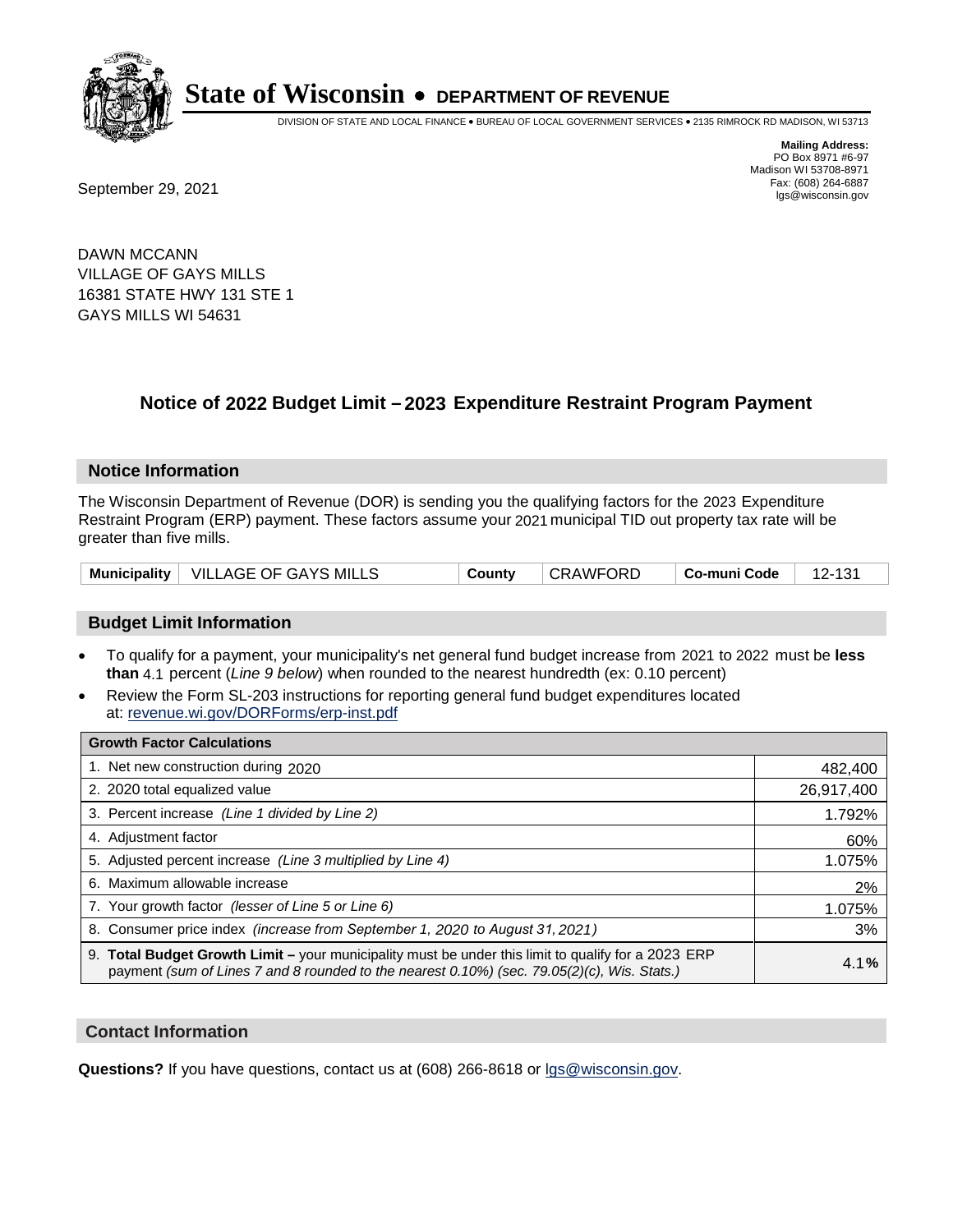

DIVISION OF STATE AND LOCAL FINANCE • BUREAU OF LOCAL GOVERNMENT SERVICES • 2135 RIMROCK RD MADISON, WI 53713

Fax: (608) 264-6887<br>
September 29, 2021 and the state of the state of the state of the state of the state of the state of the state of the state of the state of the state of the state of the state of the state of the state

**Mailing Address:** PO Box 8971 #6-97 Madison WI 53708-8971<br>Fax: (608) 264-6887

DAWN MCCANN VILLAGE OF GAYS MILLS 16381 STATE HWY 131 STE 1 GAYS MILLS WI 54631

## **Notice of 2022 Budget Limit - 2023 Expenditure Restraint Program Payment**

#### **Notice Information**

The Wisconsin Department of Revenue (DOR) is sending you the qualifying factors for the 2023 Expenditure Restraint Program (ERP) payment. These factors assume your 2021 municipal TID out property tax rate will be greater than five mills.

|  | Municipality   VILLAGE OF GAYS MILLS | County | <b>CRAWFORD</b> | Co-muni Code |  |
|--|--------------------------------------|--------|-----------------|--------------|--|
|--|--------------------------------------|--------|-----------------|--------------|--|

#### **Budget Limit Information**

- To qualify for a payment, your municipality's net general fund budget increase from 2021 to 2022 must be less **than** 4.1 percent (*Line 9 below*) when rounded to the nearest hundredth (ex: 0.10 percent)
- Review the Form SL-203 instructions for reporting general fund budget expenditures located at: revenue.wi.gov/DORForms/erp-inst.pdf

| <b>Growth Factor Calculations</b>                                                                                                                                                                  |            |
|----------------------------------------------------------------------------------------------------------------------------------------------------------------------------------------------------|------------|
| 1. Net new construction during 2020                                                                                                                                                                | 482,400    |
| 2. 2020 total equalized value                                                                                                                                                                      | 26,917,400 |
| 3. Percent increase (Line 1 divided by Line 2)                                                                                                                                                     | 1.792%     |
| 4. Adjustment factor                                                                                                                                                                               | 60%        |
| 5. Adjusted percent increase (Line 3 multiplied by Line 4)                                                                                                                                         | 1.075%     |
| 6. Maximum allowable increase                                                                                                                                                                      | 2%         |
| 7. Your growth factor (lesser of Line 5 or Line 6)                                                                                                                                                 | 1.075%     |
| 8. Consumer price index (increase from September 1, 2020 to August 31, 2021)                                                                                                                       | 3%         |
| 9. Total Budget Growth Limit - your municipality must be under this limit to qualify for a 2023 ERP<br>payment (sum of Lines 7 and 8 rounded to the nearest 0.10%) (sec. 79.05(2)(c), Wis. Stats.) | 4.1%       |

#### **Contact Information**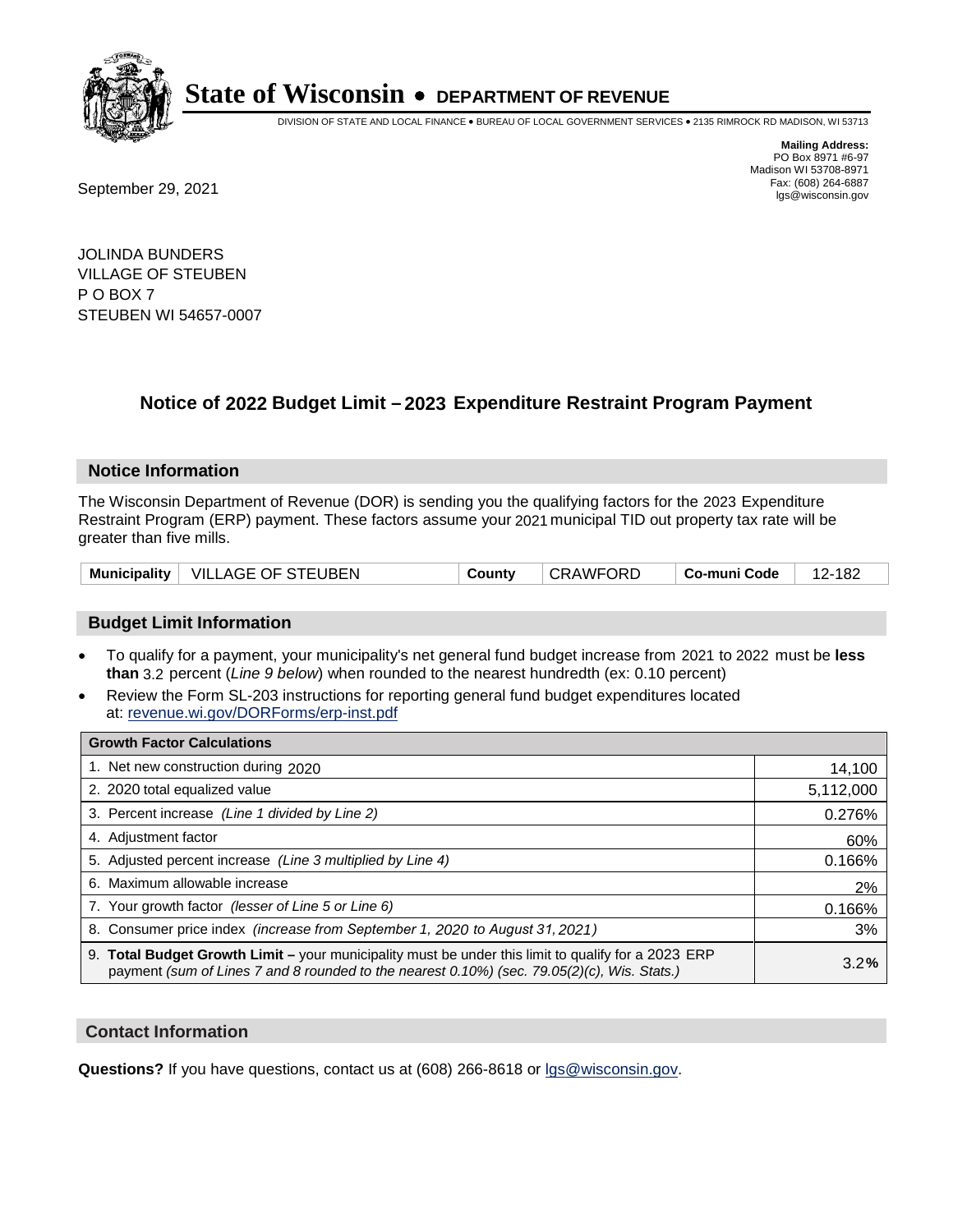

DIVISION OF STATE AND LOCAL FINANCE • BUREAU OF LOCAL GOVERNMENT SERVICES • 2135 RIMROCK RD MADISON, WI 53713

Fax: (608) 264-6887<br>
September 29, 2021 and the state of the state of the state of the state of the state of the state of the state of the state of the state of the state of the state of the state of the state of the state

**Mailing Address:** PO Box 8971 #6-97 Madison WI 53708-8971<br>Fax: (608) 264-6887

JOLINDA BUNDERS VILLAGE OF STEUBEN P O BOX 7 STEUBEN WI 54657-0007

### **Notice of 2022 Budget Limit - 2023 Expenditure Restraint Program Payment**

#### **Notice Information**

The Wisconsin Department of Revenue (DOR) is sending you the qualifying factors for the 2023 Expenditure Restraint Program (ERP) payment. These factors assume your 2021 municipal TID out property tax rate will be greater than five mills.

| Municipality   VILLAGE OF STEUBEN<br>∣ CRAWFORD<br>∣ Co-muni Code<br>County | 12-182 |
|-----------------------------------------------------------------------------|--------|
|-----------------------------------------------------------------------------|--------|

#### **Budget Limit Information**

- To qualify for a payment, your municipality's net general fund budget increase from 2021 to 2022 must be less **than** 3.2 percent (*Line 9 below*) when rounded to the nearest hundredth (ex: 0.10 percent)
- Review the Form SL-203 instructions for reporting general fund budget expenditures located at: revenue.wi.gov/DORForms/erp-inst.pdf

| <b>Growth Factor Calculations</b>                                                                                                                                                                  |           |
|----------------------------------------------------------------------------------------------------------------------------------------------------------------------------------------------------|-----------|
| 1. Net new construction during 2020                                                                                                                                                                | 14,100    |
| 2. 2020 total equalized value                                                                                                                                                                      | 5,112,000 |
| 3. Percent increase (Line 1 divided by Line 2)                                                                                                                                                     | 0.276%    |
| 4. Adjustment factor                                                                                                                                                                               | 60%       |
| 5. Adjusted percent increase (Line 3 multiplied by Line 4)                                                                                                                                         | 0.166%    |
| 6. Maximum allowable increase                                                                                                                                                                      | 2%        |
| 7. Your growth factor (lesser of Line 5 or Line 6)                                                                                                                                                 | 0.166%    |
| 8. Consumer price index (increase from September 1, 2020 to August 31, 2021)                                                                                                                       | 3%        |
| 9. Total Budget Growth Limit - your municipality must be under this limit to qualify for a 2023 ERP<br>payment (sum of Lines 7 and 8 rounded to the nearest 0.10%) (sec. 79.05(2)(c), Wis. Stats.) | 3.2%      |

#### **Contact Information**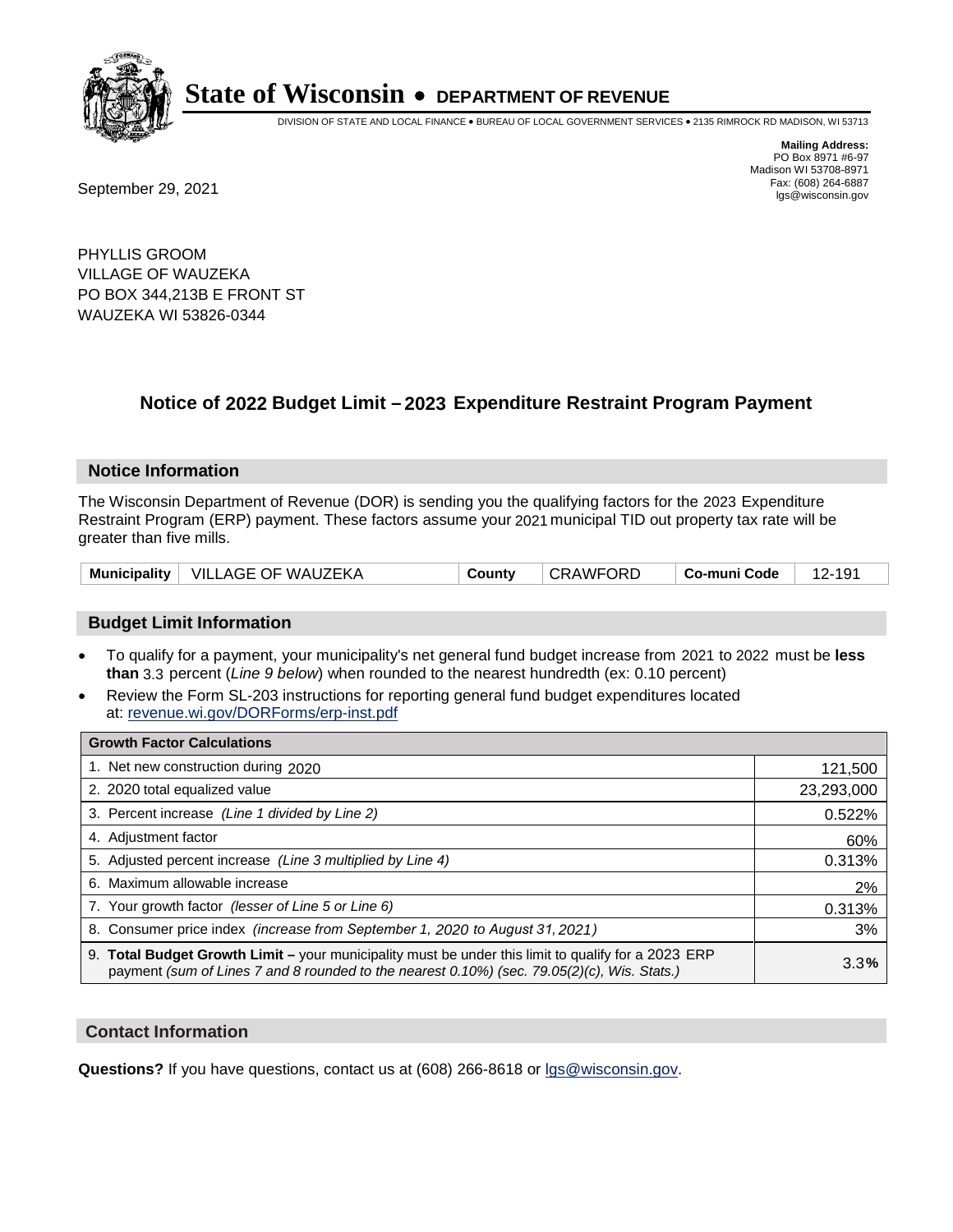

DIVISION OF STATE AND LOCAL FINANCE • BUREAU OF LOCAL GOVERNMENT SERVICES • 2135 RIMROCK RD MADISON, WI 53713

**Mailing Address:** PO Box 8971 #6-97 Madison WI 53708-8971<br>Fax: (608) 264-6887

Fax: (608) 264-6887<br>
September 29, 2021 and the state of the state of the state of the state of the state of the state of the state of the state of the state of the state of the state of the state of the state of the state

PHYLLIS GROOM VILLAGE OF WAUZEKA PO BOX 344,213B E FRONT ST WAUZEKA WI 53826-0344

## **Notice of 2022 Budget Limit - 2023 Expenditure Restraint Program Payment**

#### **Notice Information**

The Wisconsin Department of Revenue (DOR) is sending you the qualifying factors for the 2023 Expenditure Restraint Program (ERP) payment. These factors assume your 2021 municipal TID out property tax rate will be greater than five mills.

| <b>Municipality</b> | ∣ VILLAGE OF WAUZEKA | County | <b>CRAWFC</b><br>ORD. | Co-muni Code |  |
|---------------------|----------------------|--------|-----------------------|--------------|--|
|---------------------|----------------------|--------|-----------------------|--------------|--|

#### **Budget Limit Information**

- To qualify for a payment, your municipality's net general fund budget increase from 2021 to 2022 must be less **than** 3.3 percent (*Line 9 below*) when rounded to the nearest hundredth (ex: 0.10 percent)
- Review the Form SL-203 instructions for reporting general fund budget expenditures located at: revenue.wi.gov/DORForms/erp-inst.pdf

| <b>Growth Factor Calculations</b>                                                                                                                                                                  |            |
|----------------------------------------------------------------------------------------------------------------------------------------------------------------------------------------------------|------------|
| 1. Net new construction during 2020                                                                                                                                                                | 121,500    |
| 2. 2020 total equalized value                                                                                                                                                                      | 23,293,000 |
| 3. Percent increase (Line 1 divided by Line 2)                                                                                                                                                     | 0.522%     |
| 4. Adjustment factor                                                                                                                                                                               | 60%        |
| 5. Adjusted percent increase (Line 3 multiplied by Line 4)                                                                                                                                         | 0.313%     |
| 6. Maximum allowable increase                                                                                                                                                                      | 2%         |
| 7. Your growth factor (lesser of Line 5 or Line 6)                                                                                                                                                 | 0.313%     |
| 8. Consumer price index (increase from September 1, 2020 to August 31, 2021)                                                                                                                       | 3%         |
| 9. Total Budget Growth Limit - your municipality must be under this limit to qualify for a 2023 ERP<br>payment (sum of Lines 7 and 8 rounded to the nearest 0.10%) (sec. 79.05(2)(c), Wis. Stats.) | 3.3%       |

#### **Contact Information**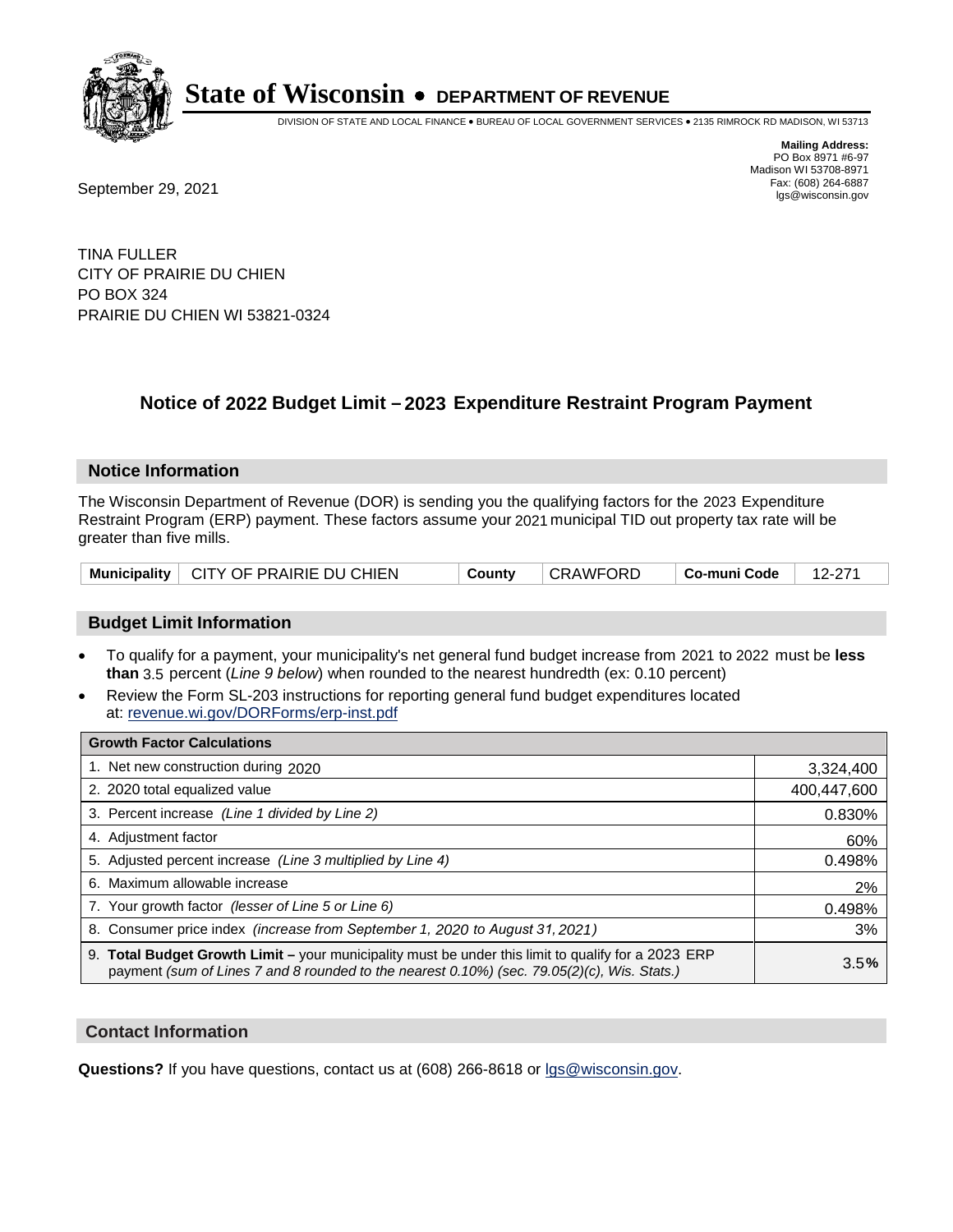

DIVISION OF STATE AND LOCAL FINANCE • BUREAU OF LOCAL GOVERNMENT SERVICES • 2135 RIMROCK RD MADISON, WI 53713

**Mailing Address:** PO Box 8971 #6-97 Madison WI 53708-8971<br>Fax: (608) 264-6887

Fax: (608) 264-6887<br>
September 29, 2021 and the state of the state of the state of the state of the state of the state of the state of the state of the state of the state of the state of the state of the state of the state

TINA FULLER CITY OF PRAIRIE DU CHIEN PO BOX 324 PRAIRIE DU CHIEN WI 53821-0324

### **Notice of 2022 Budget Limit - 2023 Expenditure Restraint Program Payment**

#### **Notice Information**

The Wisconsin Department of Revenue (DOR) is sending you the qualifying factors for the 2023 Expenditure Restraint Program (ERP) payment. These factors assume your 2021 municipal TID out property tax rate will be greater than five mills.

| Municipality   CITY OF PRAIRIE DU CHIEN | County | CRAWFORD | $\vert$ Co-muni Code $\vert$ 12-271 |  |
|-----------------------------------------|--------|----------|-------------------------------------|--|
|-----------------------------------------|--------|----------|-------------------------------------|--|

#### **Budget Limit Information**

- To qualify for a payment, your municipality's net general fund budget increase from 2021 to 2022 must be less **than** 3.5 percent (*Line 9 below*) when rounded to the nearest hundredth (ex: 0.10 percent)
- Review the Form SL-203 instructions for reporting general fund budget expenditures located at: revenue.wi.gov/DORForms/erp-inst.pdf

| <b>Growth Factor Calculations</b>                                                                                                                                                                      |             |
|--------------------------------------------------------------------------------------------------------------------------------------------------------------------------------------------------------|-------------|
| 1. Net new construction during 2020                                                                                                                                                                    | 3,324,400   |
| 2. 2020 total equalized value                                                                                                                                                                          | 400,447,600 |
| 3. Percent increase (Line 1 divided by Line 2)                                                                                                                                                         | 0.830%      |
| 4. Adjustment factor                                                                                                                                                                                   | 60%         |
| 5. Adjusted percent increase (Line 3 multiplied by Line 4)                                                                                                                                             | 0.498%      |
| 6. Maximum allowable increase                                                                                                                                                                          | 2%          |
| 7. Your growth factor (lesser of Line 5 or Line 6)                                                                                                                                                     | 0.498%      |
| 8. Consumer price index (increase from September 1, 2020 to August 31, 2021)                                                                                                                           | 3%          |
| 9. Total Budget Growth Limit - your municipality must be under this limit to qualify for a 2023 ERP<br>payment (sum of Lines 7 and 8 rounded to the nearest $0.10\%$ ) (sec. 79.05(2)(c), Wis. Stats.) | 3.5%        |

#### **Contact Information**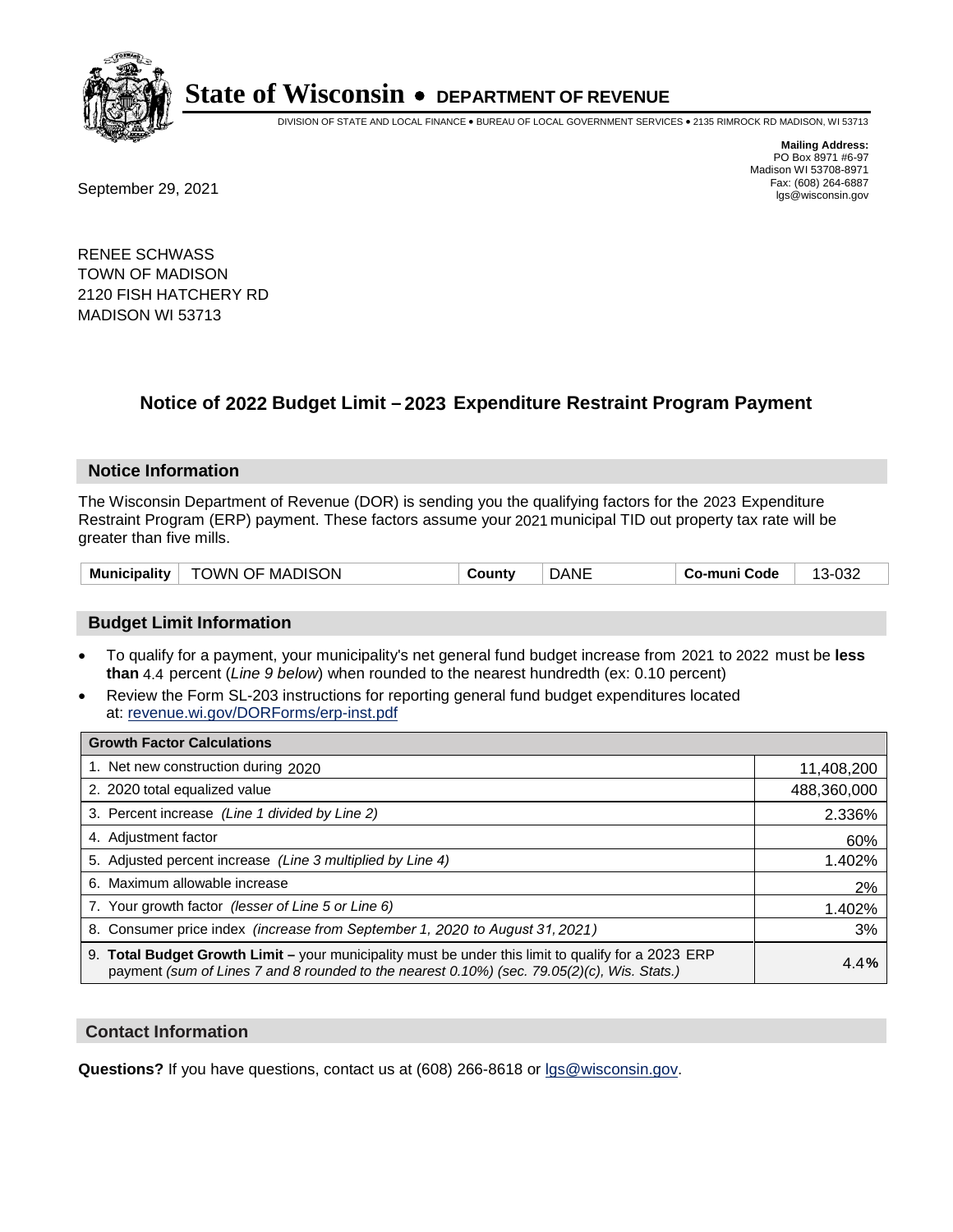

DIVISION OF STATE AND LOCAL FINANCE • BUREAU OF LOCAL GOVERNMENT SERVICES • 2135 RIMROCK RD MADISON, WI 53713

**Mailing Address:** PO Box 8971 #6-97 Madison WI 53708-8971<br>Fax: (608) 264-6887

Fax: (608) 264-6887<br>
September 29, 2021 and the state of the state of the state of the state of the state of the state of the state of the state of the state of the state of the state of the state of the state of the state

RENEE SCHWASS TOWN OF MADISON 2120 FISH HATCHERY RD MADISON WI 53713

## **Notice of 2022 Budget Limit - 2023 Expenditure Restraint Program Payment**

#### **Notice Information**

The Wisconsin Department of Revenue (DOR) is sending you the qualifying factors for the 2023 Expenditure Restraint Program (ERP) payment. These factors assume your 2021 municipal TID out property tax rate will be greater than five mills.

| <sup>⊥</sup> TOWN OF MADISON<br><b>Municipality</b> | County | <b>DANE</b> | ⊦ Co-muni Code | 13-032 |
|-----------------------------------------------------|--------|-------------|----------------|--------|
|-----------------------------------------------------|--------|-------------|----------------|--------|

#### **Budget Limit Information**

- To qualify for a payment, your municipality's net general fund budget increase from 2021 to 2022 must be less **than** 4.4 percent (*Line 9 below*) when rounded to the nearest hundredth (ex: 0.10 percent)
- Review the Form SL-203 instructions for reporting general fund budget expenditures located at: revenue.wi.gov/DORForms/erp-inst.pdf

| <b>Growth Factor Calculations</b>                                                                                                                                                                  |             |
|----------------------------------------------------------------------------------------------------------------------------------------------------------------------------------------------------|-------------|
| 1. Net new construction during 2020                                                                                                                                                                | 11,408,200  |
| 2. 2020 total equalized value                                                                                                                                                                      | 488,360,000 |
| 3. Percent increase (Line 1 divided by Line 2)                                                                                                                                                     | 2.336%      |
| 4. Adjustment factor                                                                                                                                                                               | 60%         |
| 5. Adjusted percent increase (Line 3 multiplied by Line 4)                                                                                                                                         | 1.402%      |
| 6. Maximum allowable increase                                                                                                                                                                      | 2%          |
| 7. Your growth factor (lesser of Line 5 or Line 6)                                                                                                                                                 | 1.402%      |
| 8. Consumer price index (increase from September 1, 2020 to August 31, 2021)                                                                                                                       | 3%          |
| 9. Total Budget Growth Limit - your municipality must be under this limit to qualify for a 2023 ERP<br>payment (sum of Lines 7 and 8 rounded to the nearest 0.10%) (sec. 79.05(2)(c), Wis. Stats.) | 4.4%        |

#### **Contact Information**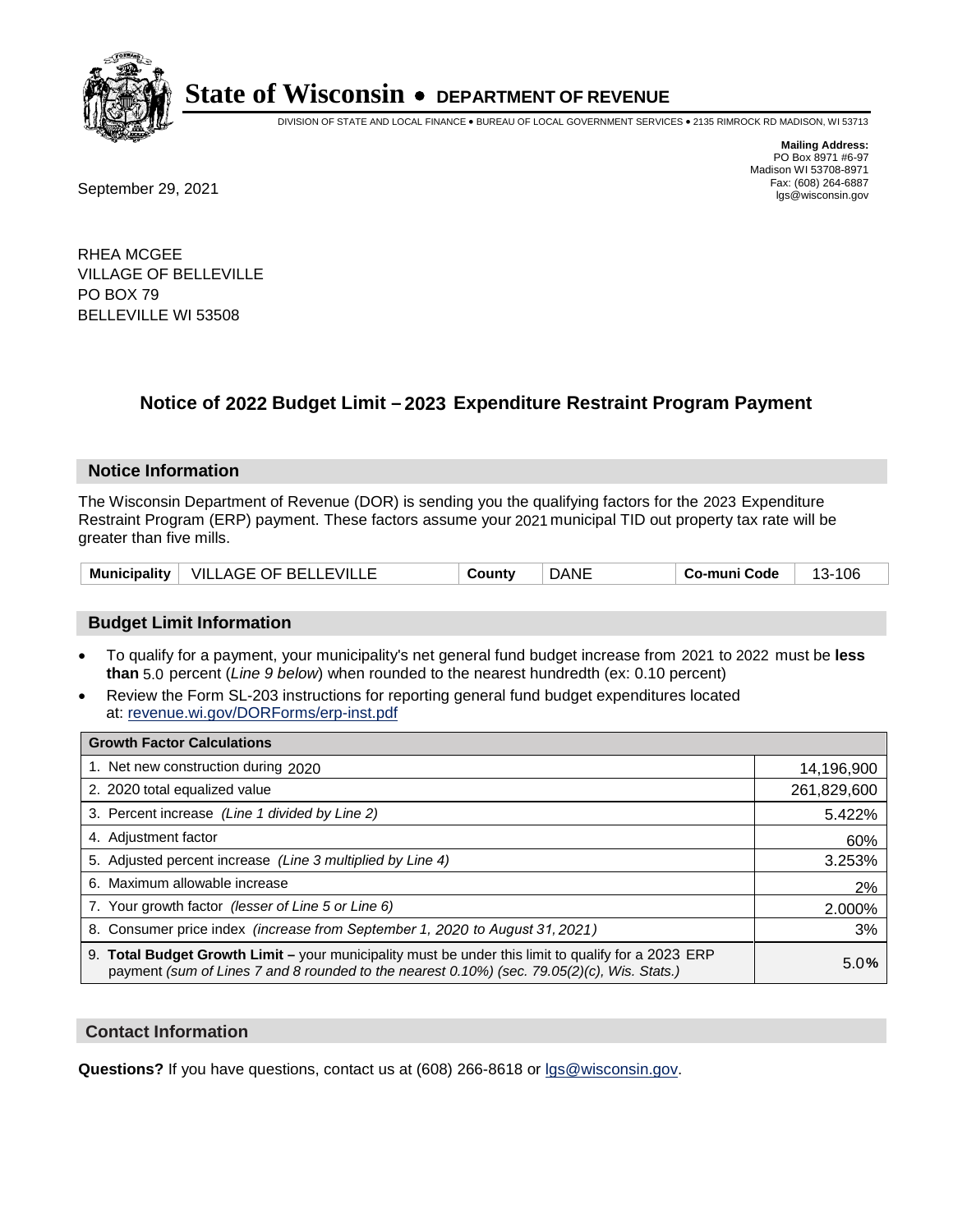

DIVISION OF STATE AND LOCAL FINANCE • BUREAU OF LOCAL GOVERNMENT SERVICES • 2135 RIMROCK RD MADISON, WI 53713

**Mailing Address:** PO Box 8971 #6-97 Madison WI 53708-8971<br>Fax: (608) 264-6887

Fax: (608) 264-6887<br>
September 29, 2021 and the state of the state of the state of the state of the state of the state of the state of the state of the state of the state of the state of the state of the state of the state

RHEA MCGEE VILLAGE OF BELLEVILLE PO BOX 79 BELLEVILLE WI 53508

## **Notice of 2022 Budget Limit - 2023 Expenditure Restraint Program Payment**

#### **Notice Information**

The Wisconsin Department of Revenue (DOR) is sending you the qualifying factors for the 2023 Expenditure Restraint Program (ERP) payment. These factors assume your 2021 municipal TID out property tax rate will be greater than five mills.

#### **Budget Limit Information**

- To qualify for a payment, your municipality's net general fund budget increase from 2021 to 2022 must be less **than** 5.0 percent (*Line 9 below*) when rounded to the nearest hundredth (ex: 0.10 percent)
- Review the Form SL-203 instructions for reporting general fund budget expenditures located at: revenue.wi.gov/DORForms/erp-inst.pdf

| <b>Growth Factor Calculations</b>                                                                                                                                                                  |             |
|----------------------------------------------------------------------------------------------------------------------------------------------------------------------------------------------------|-------------|
| 1. Net new construction during 2020                                                                                                                                                                | 14,196,900  |
| 2. 2020 total equalized value                                                                                                                                                                      | 261,829,600 |
| 3. Percent increase (Line 1 divided by Line 2)                                                                                                                                                     | 5.422%      |
| 4. Adjustment factor                                                                                                                                                                               | 60%         |
| 5. Adjusted percent increase (Line 3 multiplied by Line 4)                                                                                                                                         | 3.253%      |
| 6. Maximum allowable increase                                                                                                                                                                      | 2%          |
| 7. Your growth factor (lesser of Line 5 or Line 6)                                                                                                                                                 | 2.000%      |
| 8. Consumer price index (increase from September 1, 2020 to August 31, 2021)                                                                                                                       | 3%          |
| 9. Total Budget Growth Limit - your municipality must be under this limit to qualify for a 2023 ERP<br>payment (sum of Lines 7 and 8 rounded to the nearest 0.10%) (sec. 79.05(2)(c), Wis. Stats.) | 5.0%        |

#### **Contact Information**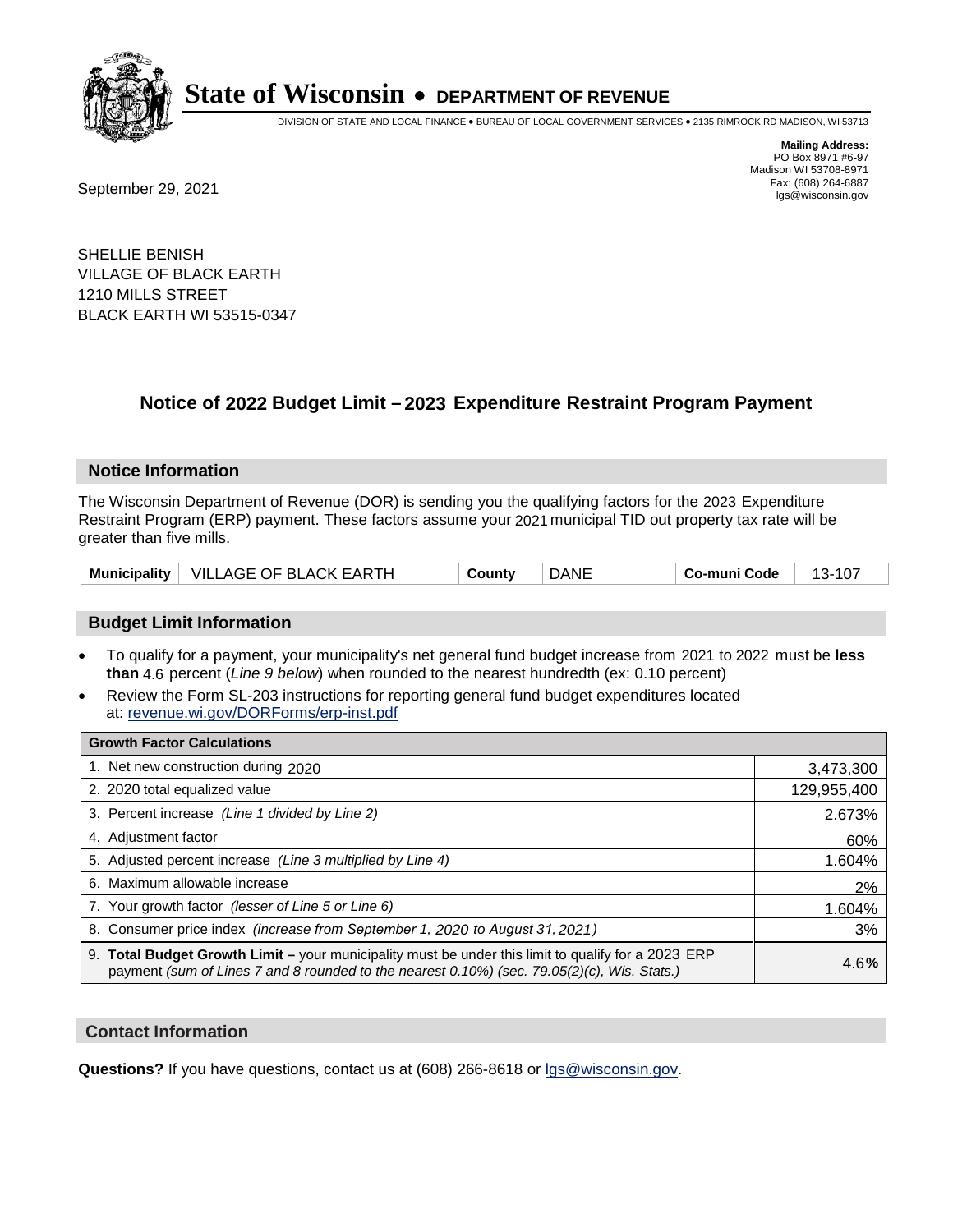

DIVISION OF STATE AND LOCAL FINANCE • BUREAU OF LOCAL GOVERNMENT SERVICES • 2135 RIMROCK RD MADISON, WI 53713

Fax: (608) 264-6887<br>
September 29, 2021 and the state of the state of the state of the state of the state of the state of the state of the state of the state of the state of the state of the state of the state of the state

**Mailing Address:** PO Box 8971 #6-97 Madison WI 53708-8971<br>Fax: (608) 264-6887

SHELLIE BENISH VILLAGE OF BLACK EARTH 1210 MILLS STREET BLACK EARTH WI 53515-0347

### **Notice of 2022 Budget Limit - 2023 Expenditure Restraint Program Payment**

#### **Notice Information**

The Wisconsin Department of Revenue (DOR) is sending you the qualifying factors for the 2023 Expenditure Restraint Program (ERP) payment. These factors assume your 2021 municipal TID out property tax rate will be greater than five mills.

|  | Municipality   VILLAGE OF BLACK EARTH | County | <b>DANE</b> | Co-muni Code | 13-107 |
|--|---------------------------------------|--------|-------------|--------------|--------|
|--|---------------------------------------|--------|-------------|--------------|--------|

#### **Budget Limit Information**

- To qualify for a payment, your municipality's net general fund budget increase from 2021 to 2022 must be less **than** 4.6 percent (*Line 9 below*) when rounded to the nearest hundredth (ex: 0.10 percent)
- Review the Form SL-203 instructions for reporting general fund budget expenditures located at: revenue.wi.gov/DORForms/erp-inst.pdf

| <b>Growth Factor Calculations</b>                                                                                                                                                                      |             |
|--------------------------------------------------------------------------------------------------------------------------------------------------------------------------------------------------------|-------------|
| 1. Net new construction during 2020                                                                                                                                                                    | 3,473,300   |
| 2. 2020 total equalized value                                                                                                                                                                          | 129,955,400 |
| 3. Percent increase (Line 1 divided by Line 2)                                                                                                                                                         | 2.673%      |
| 4. Adiustment factor                                                                                                                                                                                   | 60%         |
| 5. Adjusted percent increase (Line 3 multiplied by Line 4)                                                                                                                                             | 1.604%      |
| 6. Maximum allowable increase                                                                                                                                                                          | 2%          |
| 7. Your growth factor (lesser of Line 5 or Line 6)                                                                                                                                                     | 1.604%      |
| 8. Consumer price index (increase from September 1, 2020 to August 31, 2021)                                                                                                                           | 3%          |
| 9. Total Budget Growth Limit - your municipality must be under this limit to qualify for a 2023 ERP<br>payment (sum of Lines 7 and 8 rounded to the nearest $0.10\%$ ) (sec. 79.05(2)(c), Wis. Stats.) | 4.6%        |

#### **Contact Information**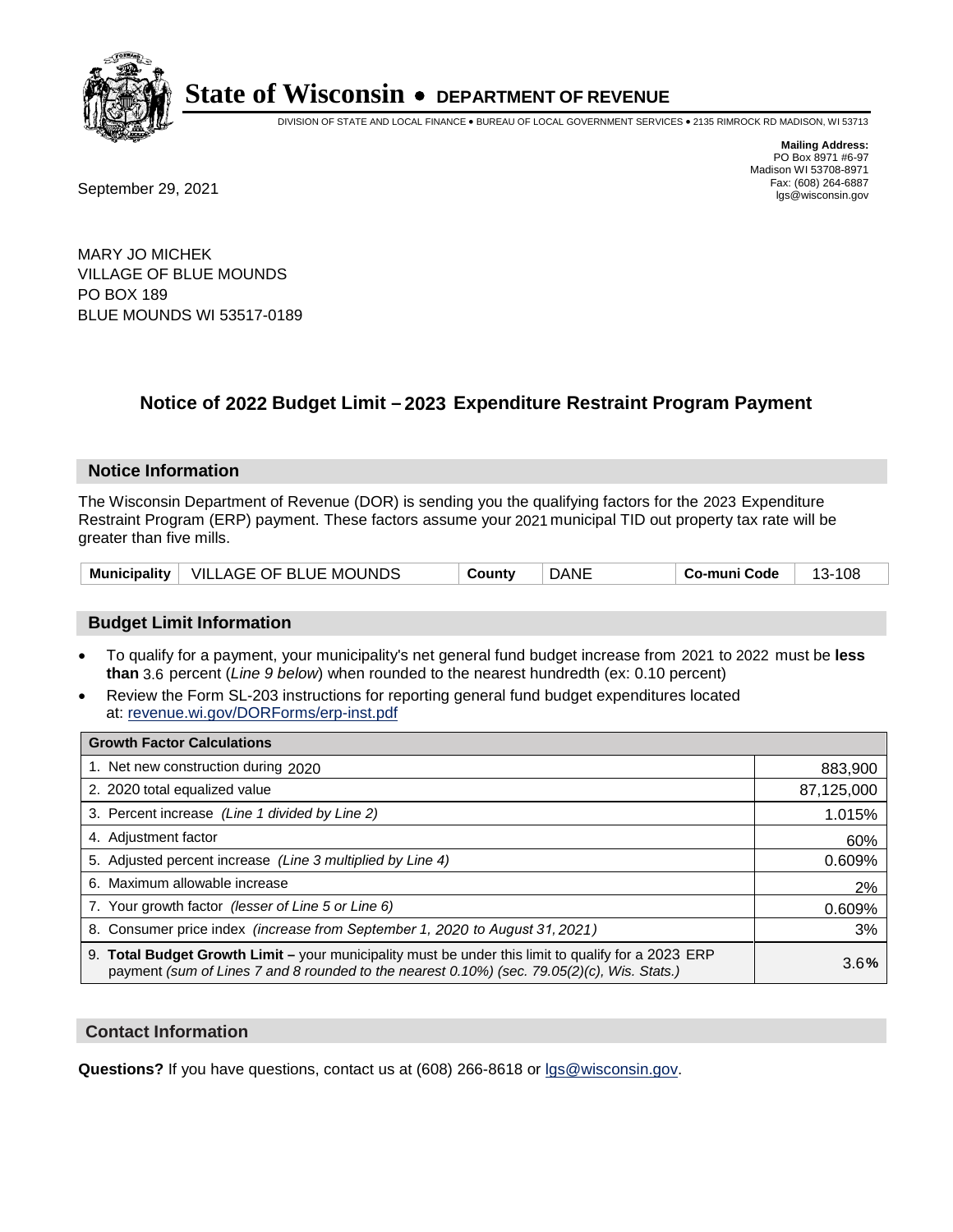

DIVISION OF STATE AND LOCAL FINANCE • BUREAU OF LOCAL GOVERNMENT SERVICES • 2135 RIMROCK RD MADISON, WI 53713

Fax: (608) 264-6887<br>
September 29, 2021 and the state of the state of the state of the state of the state of the state of the state of the state of the state of the state of the state of the state of the state of the state

**Mailing Address:** PO Box 8971 #6-97 Madison WI 53708-8971<br>Fax: (608) 264-6887

MARY JO MICHEK VILLAGE OF BLUE MOUNDS PO BOX 189 BLUE MOUNDS WI 53517-0189

### **Notice of 2022 Budget Limit - 2023 Expenditure Restraint Program Payment**

#### **Notice Information**

The Wisconsin Department of Revenue (DOR) is sending you the qualifying factors for the 2023 Expenditure Restraint Program (ERP) payment. These factors assume your 2021 municipal TID out property tax rate will be greater than five mills.

|  | Municipality   VILLAGE OF BLUE MOUNDS | County | <b>DANE</b> | Co-muni Code | 108<br>-13- . |
|--|---------------------------------------|--------|-------------|--------------|---------------|
|--|---------------------------------------|--------|-------------|--------------|---------------|

#### **Budget Limit Information**

- To qualify for a payment, your municipality's net general fund budget increase from 2021 to 2022 must be less **than** 3.6 percent (*Line 9 below*) when rounded to the nearest hundredth (ex: 0.10 percent)
- Review the Form SL-203 instructions for reporting general fund budget expenditures located at: revenue.wi.gov/DORForms/erp-inst.pdf

| <b>Growth Factor Calculations</b>                                                                                                                                                                  |            |
|----------------------------------------------------------------------------------------------------------------------------------------------------------------------------------------------------|------------|
| 1. Net new construction during 2020                                                                                                                                                                | 883,900    |
| 2. 2020 total equalized value                                                                                                                                                                      | 87,125,000 |
| 3. Percent increase (Line 1 divided by Line 2)                                                                                                                                                     | 1.015%     |
| 4. Adiustment factor                                                                                                                                                                               | 60%        |
| 5. Adjusted percent increase (Line 3 multiplied by Line 4)                                                                                                                                         | 0.609%     |
| 6. Maximum allowable increase                                                                                                                                                                      | 2%         |
| 7. Your growth factor (lesser of Line 5 or Line 6)                                                                                                                                                 | 0.609%     |
| 8. Consumer price index (increase from September 1, 2020 to August 31, 2021)                                                                                                                       | 3%         |
| 9. Total Budget Growth Limit - your municipality must be under this limit to qualify for a 2023 ERP<br>payment (sum of Lines 7 and 8 rounded to the nearest 0.10%) (sec. 79.05(2)(c), Wis. Stats.) | 3.6%       |

#### **Contact Information**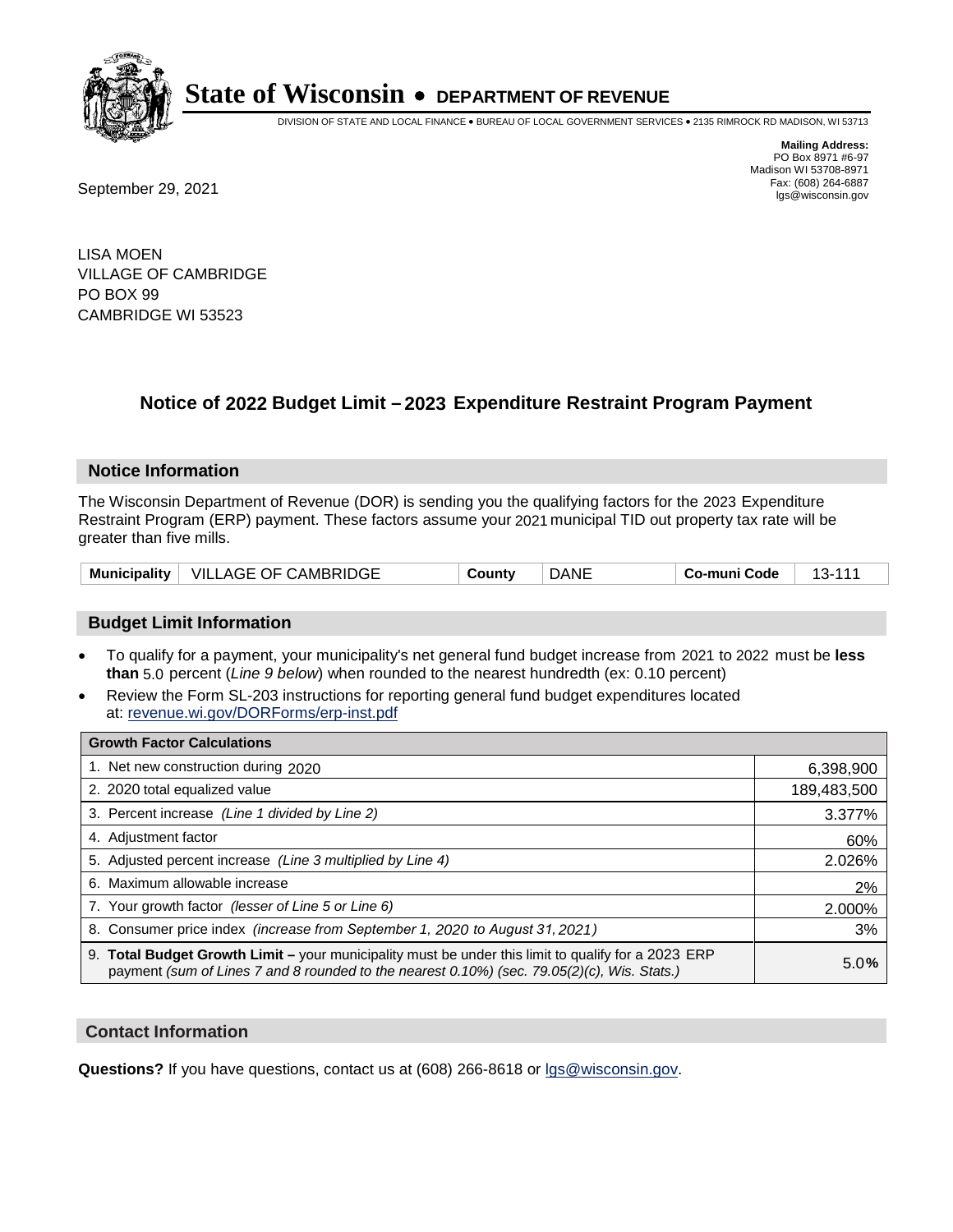

DIVISION OF STATE AND LOCAL FINANCE • BUREAU OF LOCAL GOVERNMENT SERVICES • 2135 RIMROCK RD MADISON, WI 53713

Fax: (608) 264-6887<br>
September 29, 2021 and the state of the state of the state of the state of the state of the state of the state of the state of the state of the state of the state of the state of the state of the state

**Mailing Address:** PO Box 8971 #6-97 Madison WI 53708-8971<br>Fax: (608) 264-6887

LISA MOEN VILLAGE OF CAMBRIDGE PO BOX 99 CAMBRIDGE WI 53523

### **Notice of 2022 Budget Limit - 2023 Expenditure Restraint Program Payment**

#### **Notice Information**

The Wisconsin Department of Revenue (DOR) is sending you the qualifying factors for the 2023 Expenditure Restraint Program (ERP) payment. These factors assume your 2021 municipal TID out property tax rate will be greater than five mills.

| Municipality $ $ | VILLAGE OF CAMBRIDGE | `ountv | DANE | Co-muni Code |  |
|------------------|----------------------|--------|------|--------------|--|
|------------------|----------------------|--------|------|--------------|--|

#### **Budget Limit Information**

- To qualify for a payment, your municipality's net general fund budget increase from 2021 to 2022 must be less **than** 5.0 percent (*Line 9 below*) when rounded to the nearest hundredth (ex: 0.10 percent)
- Review the Form SL-203 instructions for reporting general fund budget expenditures located at: revenue.wi.gov/DORForms/erp-inst.pdf

| <b>Growth Factor Calculations</b>                                                                                                                                                                  |             |
|----------------------------------------------------------------------------------------------------------------------------------------------------------------------------------------------------|-------------|
| 1. Net new construction during 2020                                                                                                                                                                | 6,398,900   |
| 2. 2020 total equalized value                                                                                                                                                                      | 189,483,500 |
| 3. Percent increase (Line 1 divided by Line 2)                                                                                                                                                     | 3.377%      |
| 4. Adjustment factor                                                                                                                                                                               | 60%         |
| 5. Adjusted percent increase (Line 3 multiplied by Line 4)                                                                                                                                         | 2.026%      |
| 6. Maximum allowable increase                                                                                                                                                                      | 2%          |
| 7. Your growth factor (lesser of Line 5 or Line 6)                                                                                                                                                 | 2.000%      |
| 8. Consumer price index (increase from September 1, 2020 to August 31, 2021)                                                                                                                       | 3%          |
| 9. Total Budget Growth Limit – your municipality must be under this limit to qualify for a 2023 ERP<br>payment (sum of Lines 7 and 8 rounded to the nearest 0.10%) (sec. 79.05(2)(c), Wis. Stats.) | 5.0%        |

#### **Contact Information**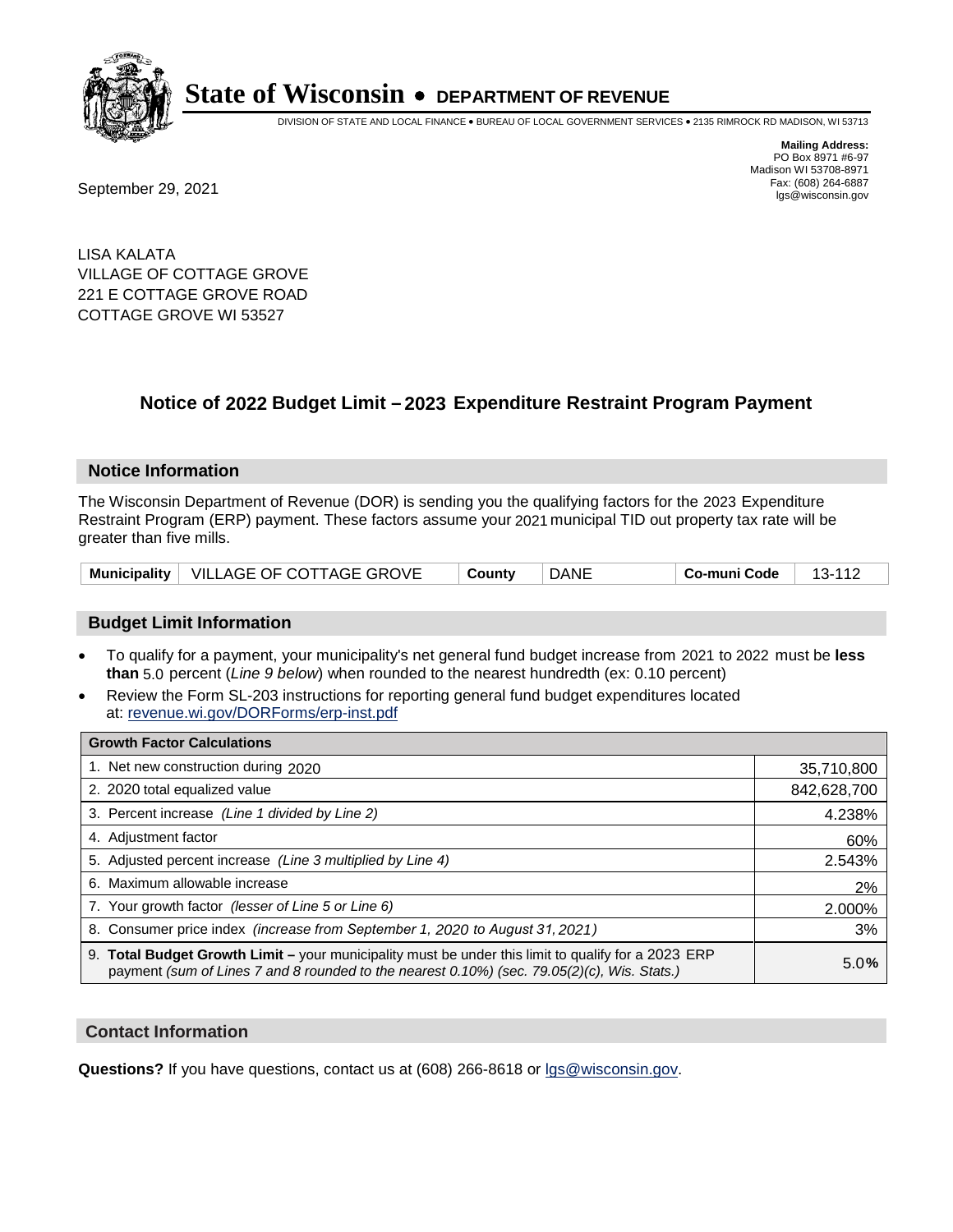

DIVISION OF STATE AND LOCAL FINANCE • BUREAU OF LOCAL GOVERNMENT SERVICES • 2135 RIMROCK RD MADISON, WI 53713

**Mailing Address:** PO Box 8971 #6-97 Madison WI 53708-8971<br>Fax: (608) 264-6887

Fax: (608) 264-6887<br>
September 29, 2021 and the state of the state of the state of the state of the state of the state of the state of the state of the state of the state of the state of the state of the state of the state

LISA KALATA VILLAGE OF COTTAGE GROVE 221 E COTTAGE GROVE ROAD COTTAGE GROVE WI 53527

### **Notice of 2022 Budget Limit - 2023 Expenditure Restraint Program Payment**

#### **Notice Information**

The Wisconsin Department of Revenue (DOR) is sending you the qualifying factors for the 2023 Expenditure Restraint Program (ERP) payment. These factors assume your 2021 municipal TID out property tax rate will be greater than five mills.

|  | Municipality   VILLAGE OF COTTAGE GROVE | Countv | <b>DANE</b> | Co-muni Code | 13-112 |
|--|-----------------------------------------|--------|-------------|--------------|--------|
|--|-----------------------------------------|--------|-------------|--------------|--------|

#### **Budget Limit Information**

- To qualify for a payment, your municipality's net general fund budget increase from 2021 to 2022 must be less **than** 5.0 percent (*Line 9 below*) when rounded to the nearest hundredth (ex: 0.10 percent)
- Review the Form SL-203 instructions for reporting general fund budget expenditures located at: revenue.wi.gov/DORForms/erp-inst.pdf

| <b>Growth Factor Calculations</b>                                                                                                                                                                  |             |
|----------------------------------------------------------------------------------------------------------------------------------------------------------------------------------------------------|-------------|
| 1. Net new construction during 2020                                                                                                                                                                | 35,710,800  |
| 2. 2020 total equalized value                                                                                                                                                                      | 842,628,700 |
| 3. Percent increase (Line 1 divided by Line 2)                                                                                                                                                     | 4.238%      |
| 4. Adjustment factor                                                                                                                                                                               | 60%         |
| 5. Adjusted percent increase (Line 3 multiplied by Line 4)                                                                                                                                         | 2.543%      |
| 6. Maximum allowable increase                                                                                                                                                                      | 2%          |
| 7. Your growth factor (lesser of Line 5 or Line 6)                                                                                                                                                 | 2.000%      |
| 8. Consumer price index (increase from September 1, 2020 to August 31, 2021)                                                                                                                       | 3%          |
| 9. Total Budget Growth Limit - your municipality must be under this limit to qualify for a 2023 ERP<br>payment (sum of Lines 7 and 8 rounded to the nearest 0.10%) (sec. 79.05(2)(c), Wis. Stats.) | 5.0%        |

#### **Contact Information**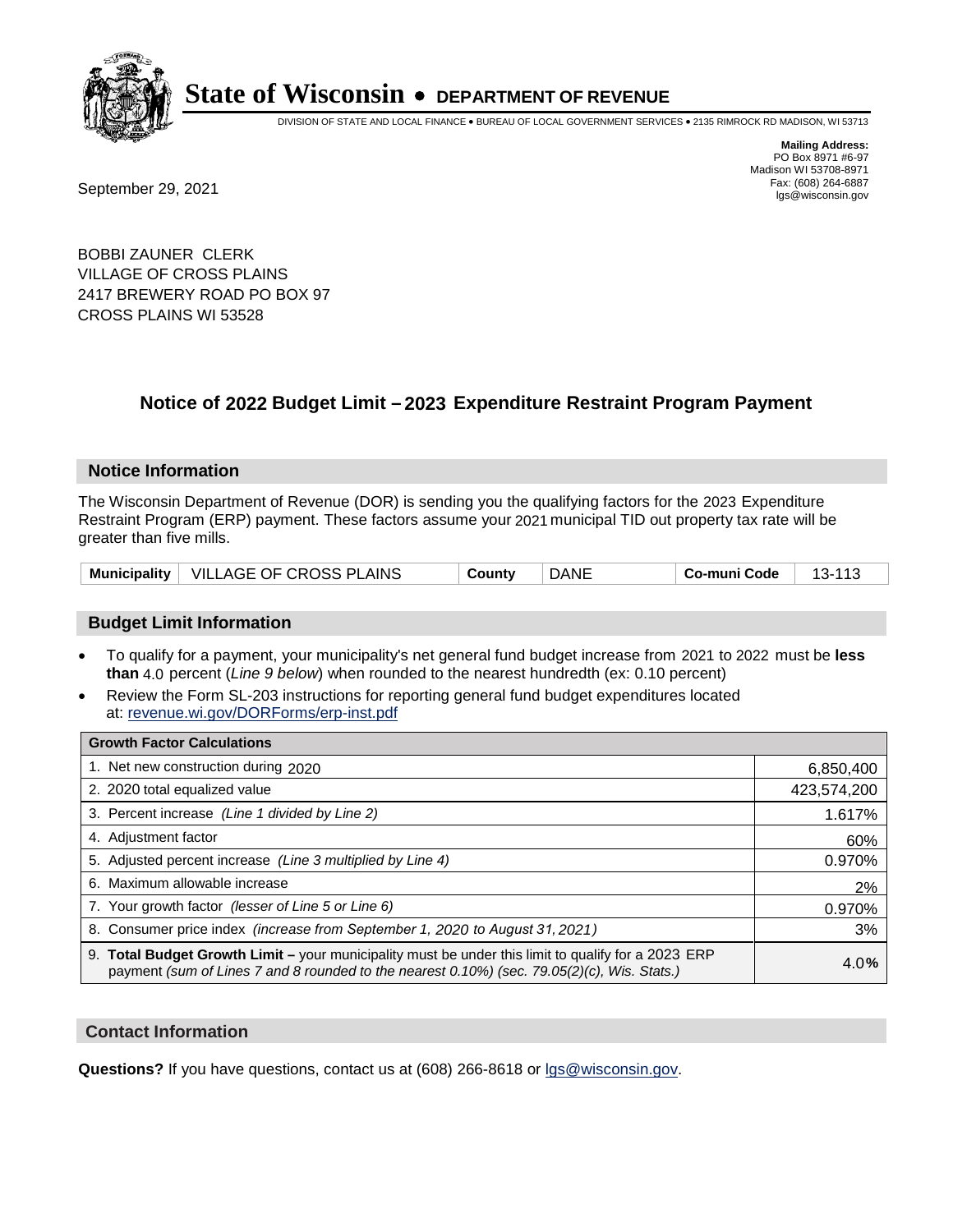

DIVISION OF STATE AND LOCAL FINANCE • BUREAU OF LOCAL GOVERNMENT SERVICES • 2135 RIMROCK RD MADISON, WI 53713

Fax: (608) 264-6887<br>
September 29, 2021 and the state of the state of the state of the state of the state of the state of the state of the state of the state of the state of the state of the state of the state of the state

**Mailing Address:** PO Box 8971 #6-97 Madison WI 53708-8971<br>Fax: (608) 264-6887

BOBBI ZAUNER CLERK VILLAGE OF CROSS PLAINS 2417 BREWERY ROAD PO BOX 97 CROSS PLAINS WI 53528

### **Notice of 2022 Budget Limit - 2023 Expenditure Restraint Program Payment**

#### **Notice Information**

The Wisconsin Department of Revenue (DOR) is sending you the qualifying factors for the 2023 Expenditure Restraint Program (ERP) payment. These factors assume your 2021 municipal TID out property tax rate will be greater than five mills.

| Municipality   VILLAGE OF CROSS PLAINS | County | <b>DANE</b> | Co-muni Code | $13 - 113$ |
|----------------------------------------|--------|-------------|--------------|------------|
|----------------------------------------|--------|-------------|--------------|------------|

#### **Budget Limit Information**

- To qualify for a payment, your municipality's net general fund budget increase from 2021 to 2022 must be less **than** 4.0 percent (*Line 9 below*) when rounded to the nearest hundredth (ex: 0.10 percent)
- Review the Form SL-203 instructions for reporting general fund budget expenditures located at: revenue.wi.gov/DORForms/erp-inst.pdf

| <b>Growth Factor Calculations</b>                                                                                                                                                                  |             |
|----------------------------------------------------------------------------------------------------------------------------------------------------------------------------------------------------|-------------|
| 1. Net new construction during 2020                                                                                                                                                                | 6,850,400   |
| 2. 2020 total equalized value                                                                                                                                                                      | 423,574,200 |
| 3. Percent increase (Line 1 divided by Line 2)                                                                                                                                                     | 1.617%      |
| 4. Adiustment factor                                                                                                                                                                               | 60%         |
| 5. Adjusted percent increase (Line 3 multiplied by Line 4)                                                                                                                                         | 0.970%      |
| 6. Maximum allowable increase                                                                                                                                                                      | 2%          |
| 7. Your growth factor (lesser of Line 5 or Line 6)                                                                                                                                                 | 0.970%      |
| 8. Consumer price index (increase from September 1, 2020 to August 31, 2021)                                                                                                                       | 3%          |
| 9. Total Budget Growth Limit - your municipality must be under this limit to qualify for a 2023 ERP<br>payment (sum of Lines 7 and 8 rounded to the nearest 0.10%) (sec. 79.05(2)(c), Wis. Stats.) | 4.0%        |

#### **Contact Information**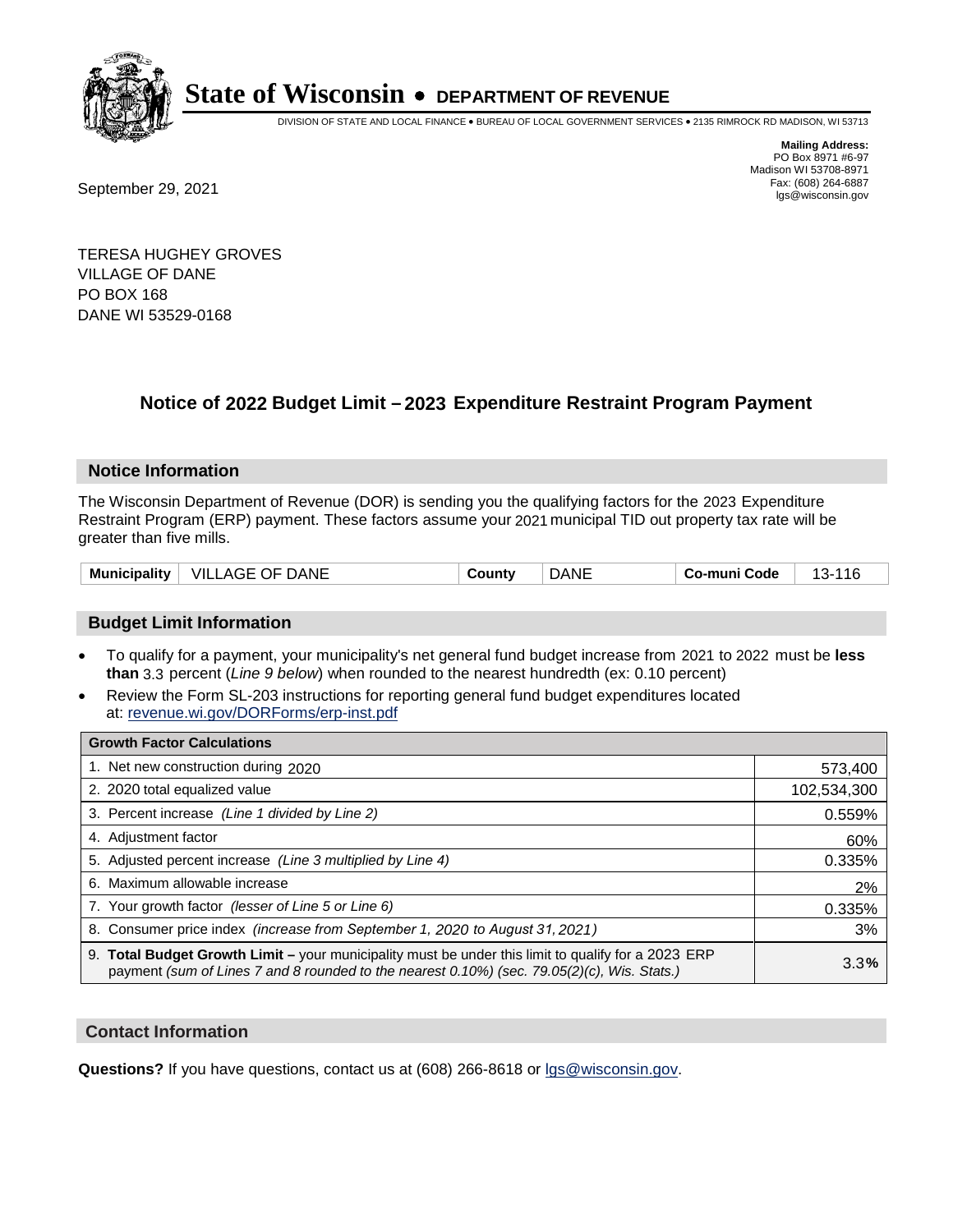

DIVISION OF STATE AND LOCAL FINANCE • BUREAU OF LOCAL GOVERNMENT SERVICES • 2135 RIMROCK RD MADISON, WI 53713

Fax: (608) 264-6887<br>
September 29, 2021 and the state of the state of the state of the state of the state of the state of the state of the state of the state of the state of the state of the state of the state of the state

**Mailing Address:** PO Box 8971 #6-97 Madison WI 53708-8971<br>Fax: (608) 264-6887

TERESA HUGHEY GROVES VILLAGE OF DANE PO BOX 168 DANE WI 53529-0168

## **Notice of 2022 Budget Limit - 2023 Expenditure Restraint Program Payment**

#### **Notice Information**

The Wisconsin Department of Revenue (DOR) is sending you the qualifying factors for the 2023 Expenditure Restraint Program (ERP) payment. These factors assume your 2021 municipal TID out property tax rate will be greater than five mills.

| Municipality | DANE<br>- VILL<br>. OF.<br>AGE | ∵ountٽ | )ANE | Code<br>-mun | 14 G<br>~-<br>. . |
|--------------|--------------------------------|--------|------|--------------|-------------------|
|--------------|--------------------------------|--------|------|--------------|-------------------|

### **Budget Limit Information**

- To qualify for a payment, your municipality's net general fund budget increase from 2021 to 2022 must be less **than** 3.3 percent (*Line 9 below*) when rounded to the nearest hundredth (ex: 0.10 percent)
- Review the Form SL-203 instructions for reporting general fund budget expenditures located at: revenue.wi.gov/DORForms/erp-inst.pdf

| <b>Growth Factor Calculations</b>                                                                                                                                                                  |             |
|----------------------------------------------------------------------------------------------------------------------------------------------------------------------------------------------------|-------------|
| 1. Net new construction during 2020                                                                                                                                                                | 573,400     |
| 2. 2020 total equalized value                                                                                                                                                                      | 102,534,300 |
| 3. Percent increase (Line 1 divided by Line 2)                                                                                                                                                     | 0.559%      |
| 4. Adjustment factor                                                                                                                                                                               | 60%         |
| 5. Adjusted percent increase (Line 3 multiplied by Line 4)                                                                                                                                         | 0.335%      |
| 6. Maximum allowable increase                                                                                                                                                                      | 2%          |
| 7. Your growth factor (lesser of Line 5 or Line 6)                                                                                                                                                 | 0.335%      |
| 8. Consumer price index (increase from September 1, 2020 to August 31, 2021)                                                                                                                       | 3%          |
| 9. Total Budget Growth Limit – your municipality must be under this limit to qualify for a 2023 ERP<br>payment (sum of Lines 7 and 8 rounded to the nearest 0.10%) (sec. 79.05(2)(c), Wis. Stats.) | 3.3%        |

#### **Contact Information**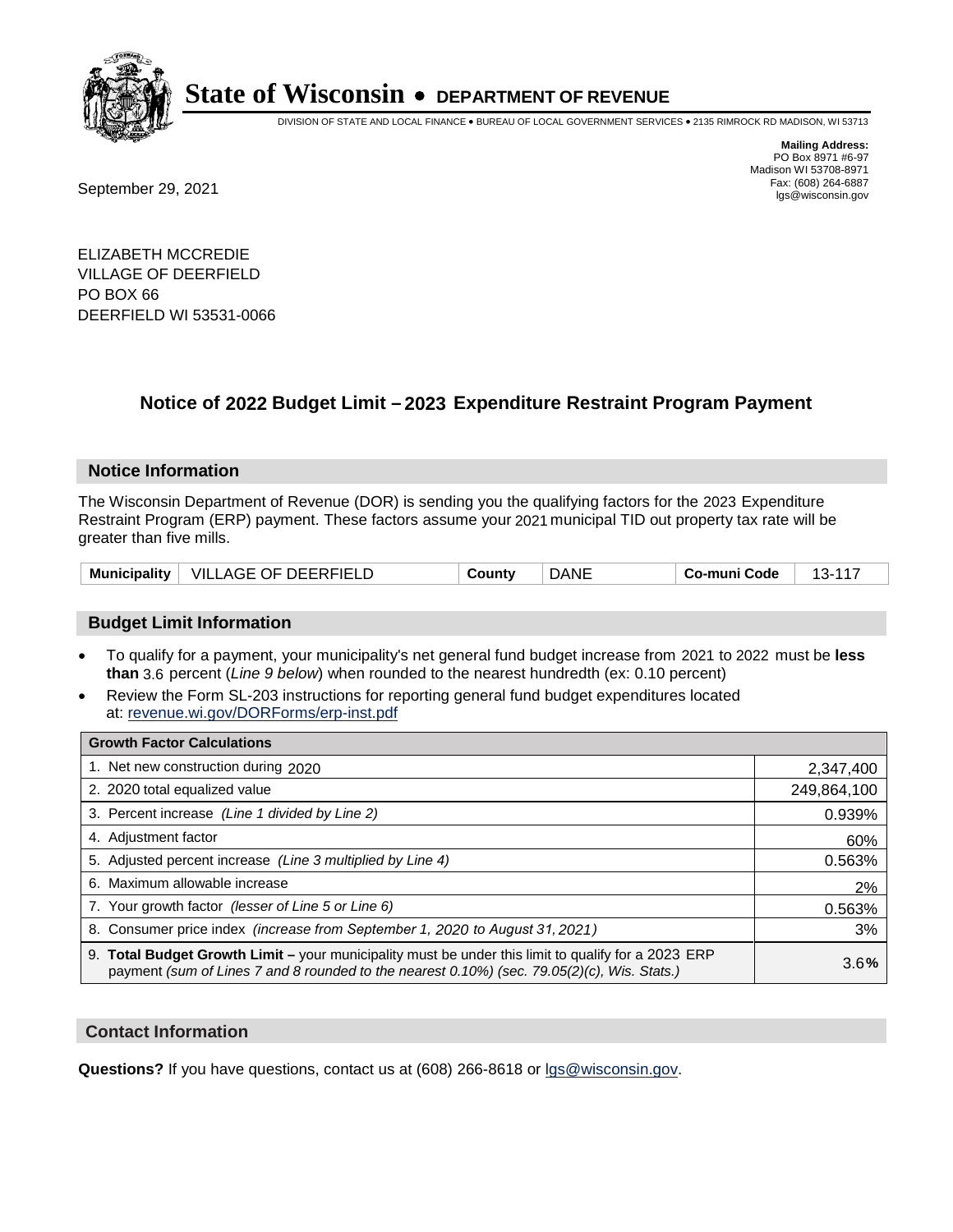

DIVISION OF STATE AND LOCAL FINANCE • BUREAU OF LOCAL GOVERNMENT SERVICES • 2135 RIMROCK RD MADISON, WI 53713

Fax: (608) 264-6887<br>
September 29, 2021 and the state of the state of the state of the state of the state of the state of the state of the state of the state of the state of the state of the state of the state of the state

**Mailing Address:** PO Box 8971 #6-97 Madison WI 53708-8971<br>Fax: (608) 264-6887

ELIZABETH MCCREDIE VILLAGE OF DEERFIELD PO BOX 66 DEERFIELD WI 53531-0066

### **Notice of 2022 Budget Limit - 2023 Expenditure Restraint Program Payment**

#### **Notice Information**

The Wisconsin Department of Revenue (DOR) is sending you the qualifying factors for the 2023 Expenditure Restraint Program (ERP) payment. These factors assume your 2021 municipal TID out property tax rate will be greater than five mills.

| Municipality | <b>VILLAGE OF DEERFIELD</b> | County | DANE | Co-muni Code |  |
|--------------|-----------------------------|--------|------|--------------|--|
|--------------|-----------------------------|--------|------|--------------|--|

### **Budget Limit Information**

- To qualify for a payment, your municipality's net general fund budget increase from 2021 to 2022 must be less **than** 3.6 percent (*Line 9 below*) when rounded to the nearest hundredth (ex: 0.10 percent)
- Review the Form SL-203 instructions for reporting general fund budget expenditures located at: revenue.wi.gov/DORForms/erp-inst.pdf

| <b>Growth Factor Calculations</b>                                                                                                                                                                  |             |
|----------------------------------------------------------------------------------------------------------------------------------------------------------------------------------------------------|-------------|
| 1. Net new construction during 2020                                                                                                                                                                | 2,347,400   |
| 2. 2020 total equalized value                                                                                                                                                                      | 249,864,100 |
| 3. Percent increase (Line 1 divided by Line 2)                                                                                                                                                     | 0.939%      |
| 4. Adjustment factor                                                                                                                                                                               | 60%         |
| 5. Adjusted percent increase (Line 3 multiplied by Line 4)                                                                                                                                         | 0.563%      |
| 6. Maximum allowable increase                                                                                                                                                                      | 2%          |
| 7. Your growth factor (lesser of Line 5 or Line 6)                                                                                                                                                 | 0.563%      |
| 8. Consumer price index (increase from September 1, 2020 to August 31, 2021)                                                                                                                       | 3%          |
| 9. Total Budget Growth Limit - your municipality must be under this limit to qualify for a 2023 ERP<br>payment (sum of Lines 7 and 8 rounded to the nearest 0.10%) (sec. 79.05(2)(c), Wis. Stats.) | 3.6%        |

#### **Contact Information**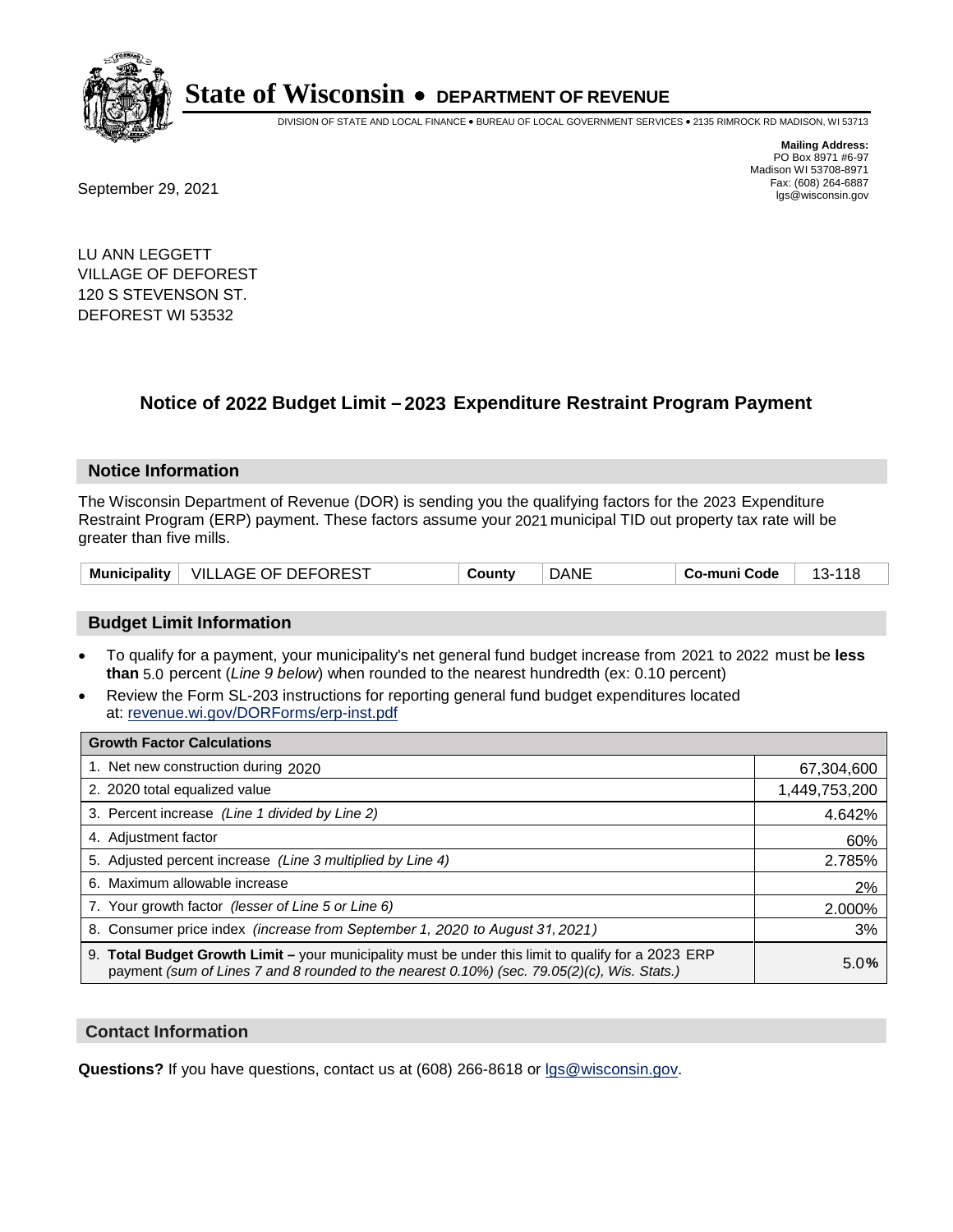

DIVISION OF STATE AND LOCAL FINANCE • BUREAU OF LOCAL GOVERNMENT SERVICES • 2135 RIMROCK RD MADISON, WI 53713

Fax: (608) 264-6887<br>
September 29, 2021 and the state of the state of the state of the state of the state of the state of the state of the state of the state of the state of the state of the state of the state of the state

**Mailing Address:** PO Box 8971 #6-97 Madison WI 53708-8971<br>Fax: (608) 264-6887

LU ANN LEGGETT VILLAGE OF DEFOREST 120 S STEVENSON ST. DEFOREST WI 53532

## **Notice of 2022 Budget Limit - 2023 Expenditure Restraint Program Payment**

#### **Notice Information**

The Wisconsin Department of Revenue (DOR) is sending you the qualifying factors for the 2023 Expenditure Restraint Program (ERP) payment. These factors assume your 2021 municipal TID out property tax rate will be greater than five mills.

| Municipality   VILLAGE OF DEFOREST | County | <b>DANE</b> | Co-muni Code | 13-118 |
|------------------------------------|--------|-------------|--------------|--------|
|------------------------------------|--------|-------------|--------------|--------|

#### **Budget Limit Information**

- To qualify for a payment, your municipality's net general fund budget increase from 2021 to 2022 must be less **than** 5.0 percent (*Line 9 below*) when rounded to the nearest hundredth (ex: 0.10 percent)
- Review the Form SL-203 instructions for reporting general fund budget expenditures located at: revenue.wi.gov/DORForms/erp-inst.pdf

| <b>Growth Factor Calculations</b>                                                                                                                                                                      |               |
|--------------------------------------------------------------------------------------------------------------------------------------------------------------------------------------------------------|---------------|
| 1. Net new construction during 2020                                                                                                                                                                    | 67,304,600    |
| 2. 2020 total equalized value                                                                                                                                                                          | 1,449,753,200 |
| 3. Percent increase (Line 1 divided by Line 2)                                                                                                                                                         | 4.642%        |
| 4. Adiustment factor                                                                                                                                                                                   | 60%           |
| 5. Adjusted percent increase (Line 3 multiplied by Line 4)                                                                                                                                             | 2.785%        |
| 6. Maximum allowable increase                                                                                                                                                                          | 2%            |
| 7. Your growth factor (lesser of Line 5 or Line 6)                                                                                                                                                     | 2.000%        |
| 8. Consumer price index (increase from September 1, 2020 to August 31, 2021)                                                                                                                           | 3%            |
| 9. Total Budget Growth Limit - your municipality must be under this limit to qualify for a 2023 ERP<br>payment (sum of Lines 7 and 8 rounded to the nearest $0.10\%$ ) (sec. 79.05(2)(c), Wis. Stats.) | 5.0%          |

#### **Contact Information**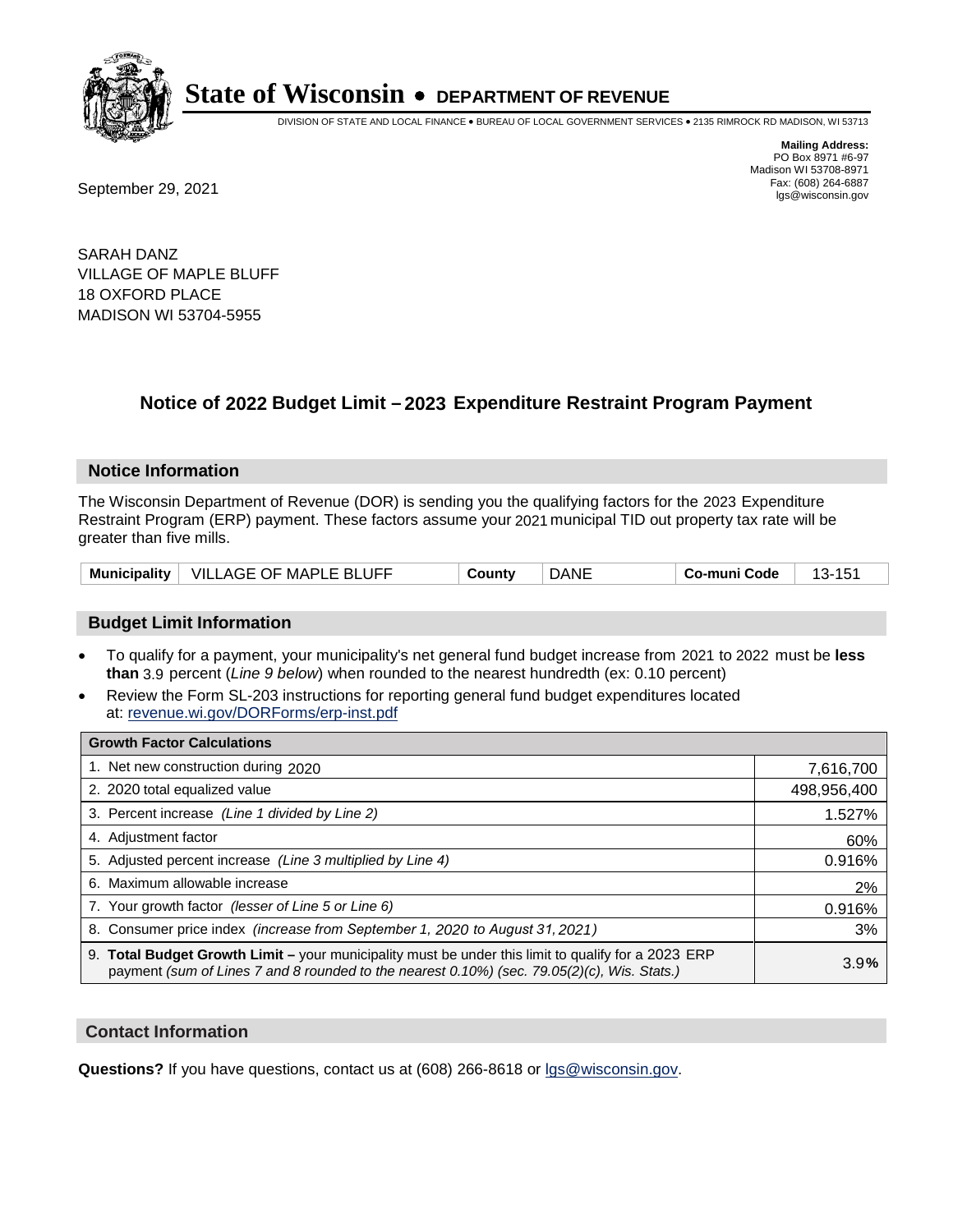

DIVISION OF STATE AND LOCAL FINANCE • BUREAU OF LOCAL GOVERNMENT SERVICES • 2135 RIMROCK RD MADISON, WI 53713

Fax: (608) 264-6887<br>
September 29, 2021 and the state of the state of the state of the state of the state of the state of the state of the state of the state of the state of the state of the state of the state of the state

**Mailing Address:** PO Box 8971 #6-97 Madison WI 53708-8971<br>Fax: (608) 264-6887

SARAH DANZ VILLAGE OF MAPLE BLUFF 18 OXFORD PLACE MADISON WI 53704-5955

## **Notice of 2022 Budget Limit - 2023 Expenditure Restraint Program Payment**

#### **Notice Information**

The Wisconsin Department of Revenue (DOR) is sending you the qualifying factors for the 2023 Expenditure Restraint Program (ERP) payment. These factors assume your 2021 municipal TID out property tax rate will be greater than five mills.

| Municipality | $^+$ VILLAGE OF MAPLE BLUFF | ان Countv | DANE | co-muni Code، | $\sim$<br>--<br>ַט<br>۰., |
|--------------|-----------------------------|-----------|------|---------------|---------------------------|
|--------------|-----------------------------|-----------|------|---------------|---------------------------|

### **Budget Limit Information**

- To qualify for a payment, your municipality's net general fund budget increase from 2021 to 2022 must be less **than** 3.9 percent (*Line 9 below*) when rounded to the nearest hundredth (ex: 0.10 percent)
- Review the Form SL-203 instructions for reporting general fund budget expenditures located at: revenue.wi.gov/DORForms/erp-inst.pdf

| <b>Growth Factor Calculations</b>                                                                                                                                                                  |             |
|----------------------------------------------------------------------------------------------------------------------------------------------------------------------------------------------------|-------------|
| 1. Net new construction during 2020                                                                                                                                                                | 7,616,700   |
| 2. 2020 total equalized value                                                                                                                                                                      | 498,956,400 |
| 3. Percent increase (Line 1 divided by Line 2)                                                                                                                                                     | 1.527%      |
| 4. Adiustment factor                                                                                                                                                                               | 60%         |
| 5. Adjusted percent increase (Line 3 multiplied by Line 4)                                                                                                                                         | 0.916%      |
| 6. Maximum allowable increase                                                                                                                                                                      | 2%          |
| 7. Your growth factor (lesser of Line 5 or Line 6)                                                                                                                                                 | 0.916%      |
| 8. Consumer price index (increase from September 1, 2020 to August 31, 2021)                                                                                                                       | 3%          |
| 9. Total Budget Growth Limit - your municipality must be under this limit to qualify for a 2023 ERP<br>payment (sum of Lines 7 and 8 rounded to the nearest 0.10%) (sec. 79.05(2)(c), Wis. Stats.) | 3.9%        |

#### **Contact Information**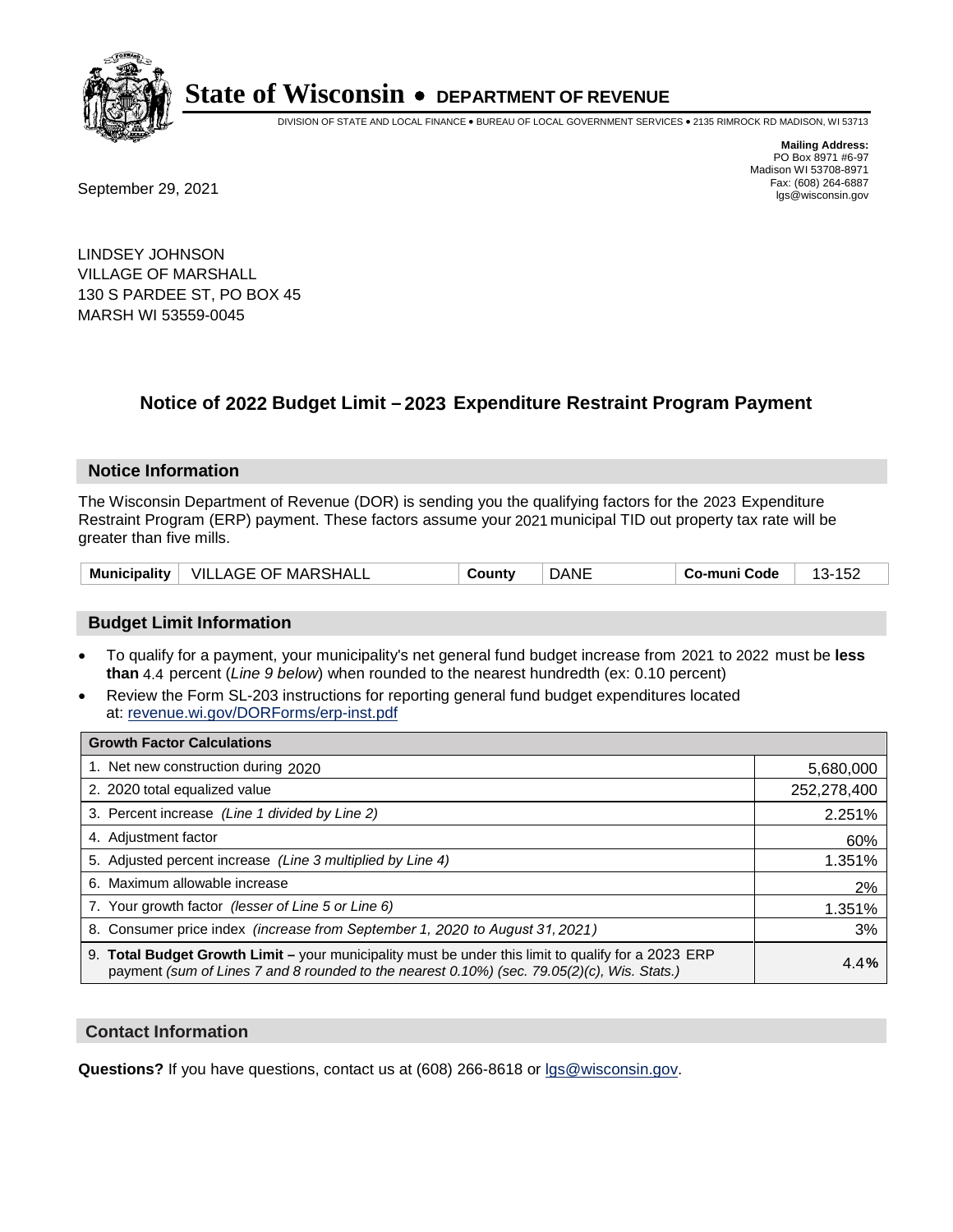

DIVISION OF STATE AND LOCAL FINANCE • BUREAU OF LOCAL GOVERNMENT SERVICES • 2135 RIMROCK RD MADISON, WI 53713

Fax: (608) 264-6887<br>
September 29, 2021 and the state of the state of the state of the state of the state of the state of the state of the state of the state of the state of the state of the state of the state of the state

**Mailing Address:** PO Box 8971 #6-97 Madison WI 53708-8971<br>Fax: (608) 264-6887

LINDSEY JOHNSON VILLAGE OF MARSHALL 130 S PARDEE ST, PO BOX 45 MARSH WI 53559-0045

## **Notice of 2022 Budget Limit - 2023 Expenditure Restraint Program Payment**

#### **Notice Information**

The Wisconsin Department of Revenue (DOR) is sending you the qualifying factors for the 2023 Expenditure Restraint Program (ERP) payment. These factors assume your 2021 municipal TID out property tax rate will be greater than five mills.

| <b>Municipality</b> | VILLAGE OF MARSHALL | County | DANE | Co-muni Code | ے ب<br>. . |
|---------------------|---------------------|--------|------|--------------|------------|
|---------------------|---------------------|--------|------|--------------|------------|

### **Budget Limit Information**

- To qualify for a payment, your municipality's net general fund budget increase from 2021 to 2022 must be less **than** 4.4 percent (*Line 9 below*) when rounded to the nearest hundredth (ex: 0.10 percent)
- Review the Form SL-203 instructions for reporting general fund budget expenditures located at: revenue.wi.gov/DORForms/erp-inst.pdf

| <b>Growth Factor Calculations</b>                                                                                                                                                                  |             |
|----------------------------------------------------------------------------------------------------------------------------------------------------------------------------------------------------|-------------|
| 1. Net new construction during 2020                                                                                                                                                                | 5,680,000   |
| 2. 2020 total equalized value                                                                                                                                                                      | 252,278,400 |
| 3. Percent increase (Line 1 divided by Line 2)                                                                                                                                                     | 2.251%      |
| 4. Adjustment factor                                                                                                                                                                               | 60%         |
| 5. Adjusted percent increase (Line 3 multiplied by Line 4)                                                                                                                                         | 1.351%      |
| 6. Maximum allowable increase                                                                                                                                                                      | 2%          |
| 7. Your growth factor (lesser of Line 5 or Line 6)                                                                                                                                                 | 1.351%      |
| 8. Consumer price index (increase from September 1, 2020 to August 31, 2021)                                                                                                                       | 3%          |
| 9. Total Budget Growth Limit - your municipality must be under this limit to qualify for a 2023 ERP<br>payment (sum of Lines 7 and 8 rounded to the nearest 0.10%) (sec. 79.05(2)(c), Wis. Stats.) | 4.4%        |

#### **Contact Information**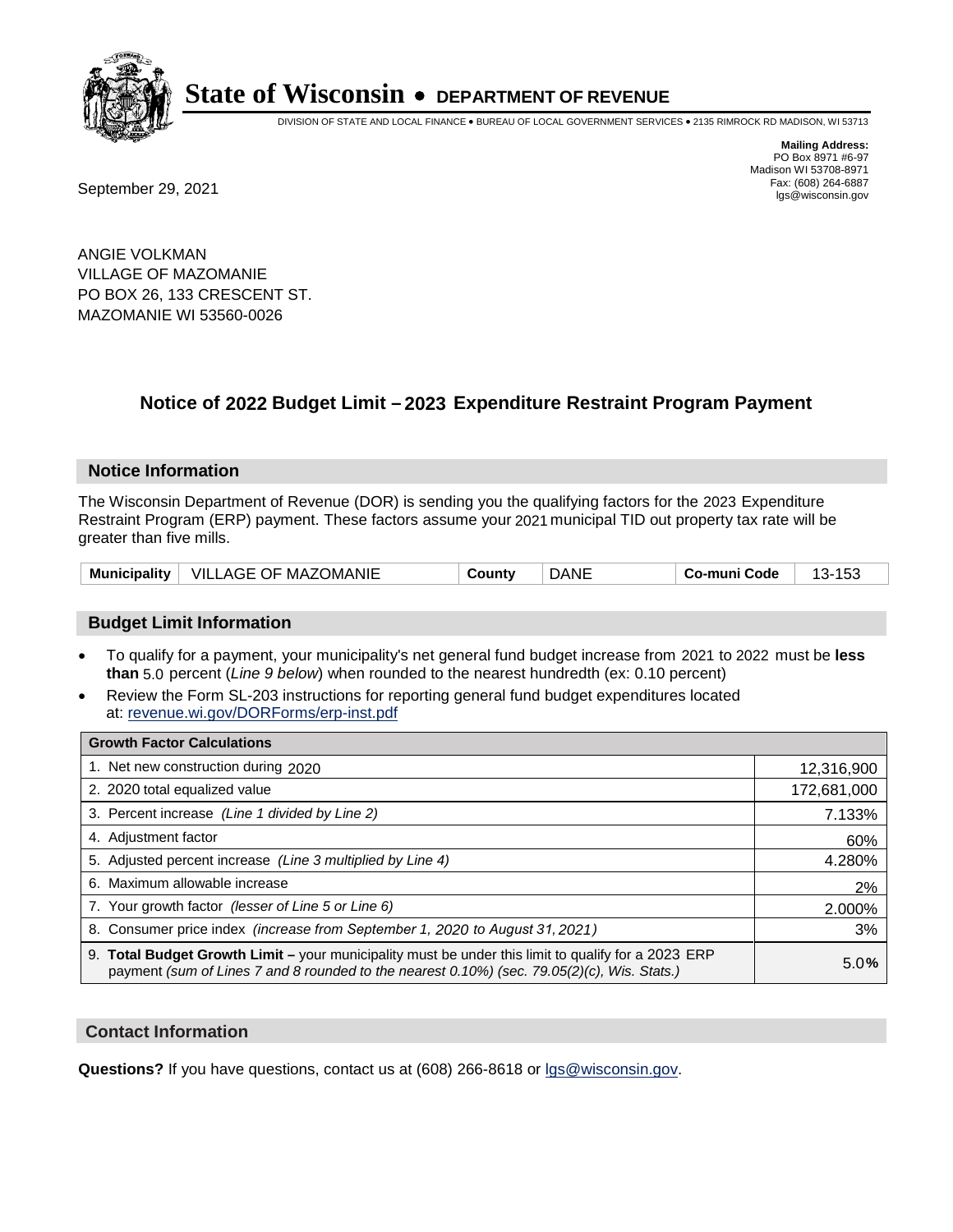

DIVISION OF STATE AND LOCAL FINANCE • BUREAU OF LOCAL GOVERNMENT SERVICES • 2135 RIMROCK RD MADISON, WI 53713

**Mailing Address:** PO Box 8971 #6-97 Madison WI 53708-8971<br>Fax: (608) 264-6887

Fax: (608) 264-6887<br>
September 29, 2021 and the state of the state of the state of the state of the state of the state of the state of the state of the state of the state of the state of the state of the state of the state

ANGIE VOLKMAN VILLAGE OF MAZOMANIE PO BOX 26, 133 CRESCENT ST. MAZOMANIE WI 53560-0026

## **Notice of 2022 Budget Limit - 2023 Expenditure Restraint Program Payment**

#### **Notice Information**

The Wisconsin Department of Revenue (DOR) is sending you the qualifying factors for the 2023 Expenditure Restraint Program (ERP) payment. These factors assume your 2021 municipal TID out property tax rate will be greater than five mills.

| Municipality | <b>VILLAGE OF MAZOMANIE</b> | ountvٽ | DANE | Co-muni Code | ט ו<br>⊶ |
|--------------|-----------------------------|--------|------|--------------|----------|
|--------------|-----------------------------|--------|------|--------------|----------|

#### **Budget Limit Information**

- To qualify for a payment, your municipality's net general fund budget increase from 2021 to 2022 must be less **than** 5.0 percent (*Line 9 below*) when rounded to the nearest hundredth (ex: 0.10 percent)
- Review the Form SL-203 instructions for reporting general fund budget expenditures located at: revenue.wi.gov/DORForms/erp-inst.pdf

| <b>Growth Factor Calculations</b>                                                                                                                                                                  |             |
|----------------------------------------------------------------------------------------------------------------------------------------------------------------------------------------------------|-------------|
| 1. Net new construction during 2020                                                                                                                                                                | 12,316,900  |
| 2. 2020 total equalized value                                                                                                                                                                      | 172,681,000 |
| 3. Percent increase (Line 1 divided by Line 2)                                                                                                                                                     | 7.133%      |
| 4. Adjustment factor                                                                                                                                                                               | 60%         |
| 5. Adjusted percent increase (Line 3 multiplied by Line 4)                                                                                                                                         | 4.280%      |
| 6. Maximum allowable increase                                                                                                                                                                      | 2%          |
| 7. Your growth factor (lesser of Line 5 or Line 6)                                                                                                                                                 | 2.000%      |
| 8. Consumer price index (increase from September 1, 2020 to August 31, 2021)                                                                                                                       | 3%          |
| 9. Total Budget Growth Limit - your municipality must be under this limit to qualify for a 2023 ERP<br>payment (sum of Lines 7 and 8 rounded to the nearest 0.10%) (sec. 79.05(2)(c), Wis. Stats.) | 5.0%        |

#### **Contact Information**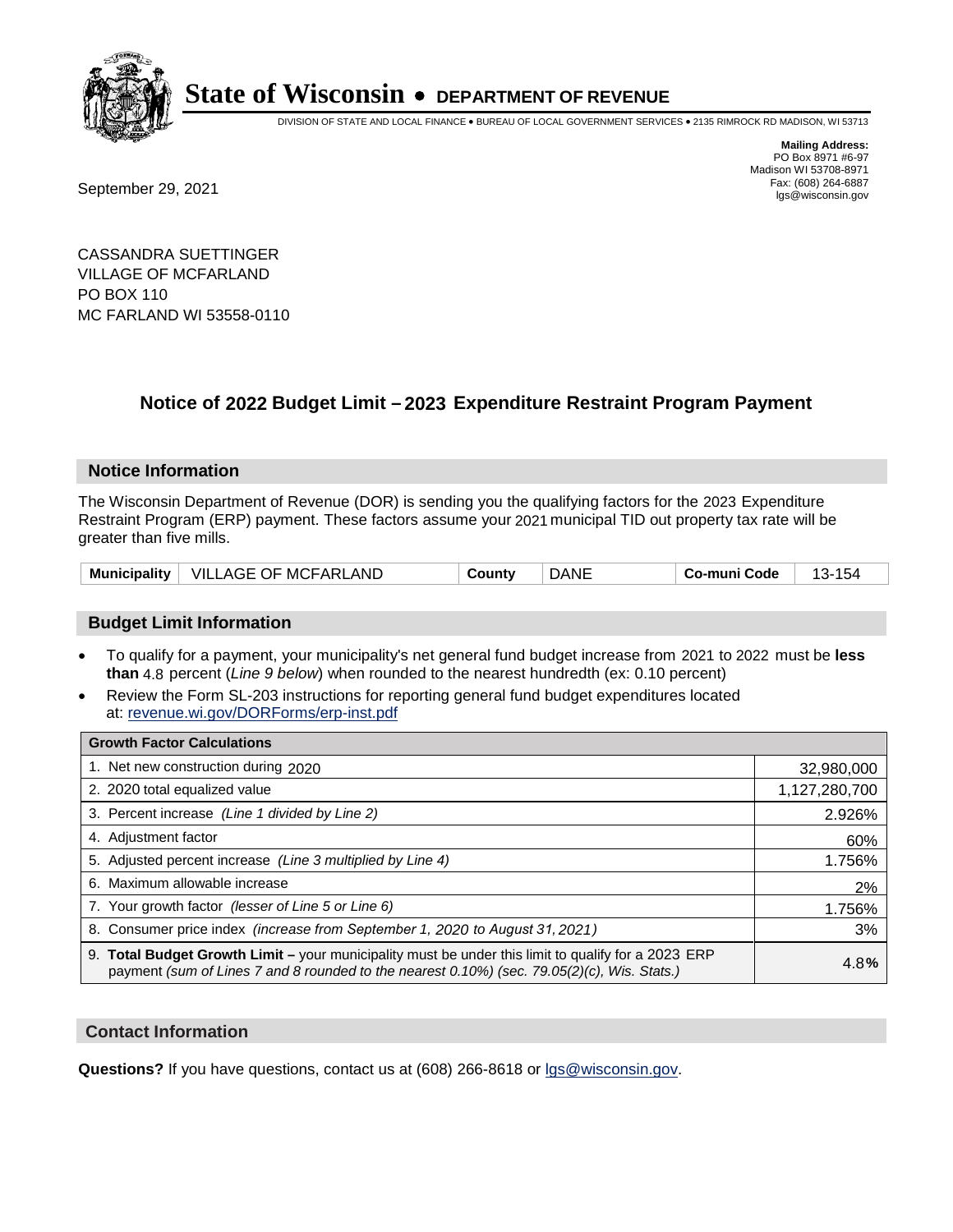

DIVISION OF STATE AND LOCAL FINANCE • BUREAU OF LOCAL GOVERNMENT SERVICES • 2135 RIMROCK RD MADISON, WI 53713

Fax: (608) 264-6887<br>
September 29, 2021 and the state of the state of the state of the state of the state of the state of the state of the state of the state of the state of the state of the state of the state of the state

**Mailing Address:** PO Box 8971 #6-97 Madison WI 53708-8971<br>Fax: (608) 264-6887

CASSANDRA SUETTINGER VILLAGE OF MCFARLAND PO BOX 110 MC FARLAND WI 53558-0110

### **Notice of 2022 Budget Limit - 2023 Expenditure Restraint Program Payment**

#### **Notice Information**

The Wisconsin Department of Revenue (DOR) is sending you the qualifying factors for the 2023 Expenditure Restraint Program (ERP) payment. These factors assume your 2021 municipal TID out property tax rate will be greater than five mills.

|  | Municipality   VILLAGE OF MCFARLAND | County | DANE | Co-muni Code | -13 |
|--|-------------------------------------|--------|------|--------------|-----|
|--|-------------------------------------|--------|------|--------------|-----|

### **Budget Limit Information**

- To qualify for a payment, your municipality's net general fund budget increase from 2021 to 2022 must be less **than** 4.8 percent (*Line 9 below*) when rounded to the nearest hundredth (ex: 0.10 percent)
- Review the Form SL-203 instructions for reporting general fund budget expenditures located at: revenue.wi.gov/DORForms/erp-inst.pdf

| <b>Growth Factor Calculations</b>                                                                                                                                                                  |               |
|----------------------------------------------------------------------------------------------------------------------------------------------------------------------------------------------------|---------------|
| 1. Net new construction during 2020                                                                                                                                                                | 32,980,000    |
| 2. 2020 total equalized value                                                                                                                                                                      | 1,127,280,700 |
| 3. Percent increase (Line 1 divided by Line 2)                                                                                                                                                     | 2.926%        |
| 4. Adiustment factor                                                                                                                                                                               | 60%           |
| 5. Adjusted percent increase (Line 3 multiplied by Line 4)                                                                                                                                         | 1.756%        |
| 6. Maximum allowable increase                                                                                                                                                                      | 2%            |
| 7. Your growth factor (lesser of Line 5 or Line 6)                                                                                                                                                 | 1.756%        |
| 8. Consumer price index (increase from September 1, 2020 to August 31, 2021)                                                                                                                       | 3%            |
| 9. Total Budget Growth Limit - your municipality must be under this limit to qualify for a 2023 ERP<br>payment (sum of Lines 7 and 8 rounded to the nearest 0.10%) (sec. 79.05(2)(c), Wis. Stats.) | 4.8%          |

#### **Contact Information**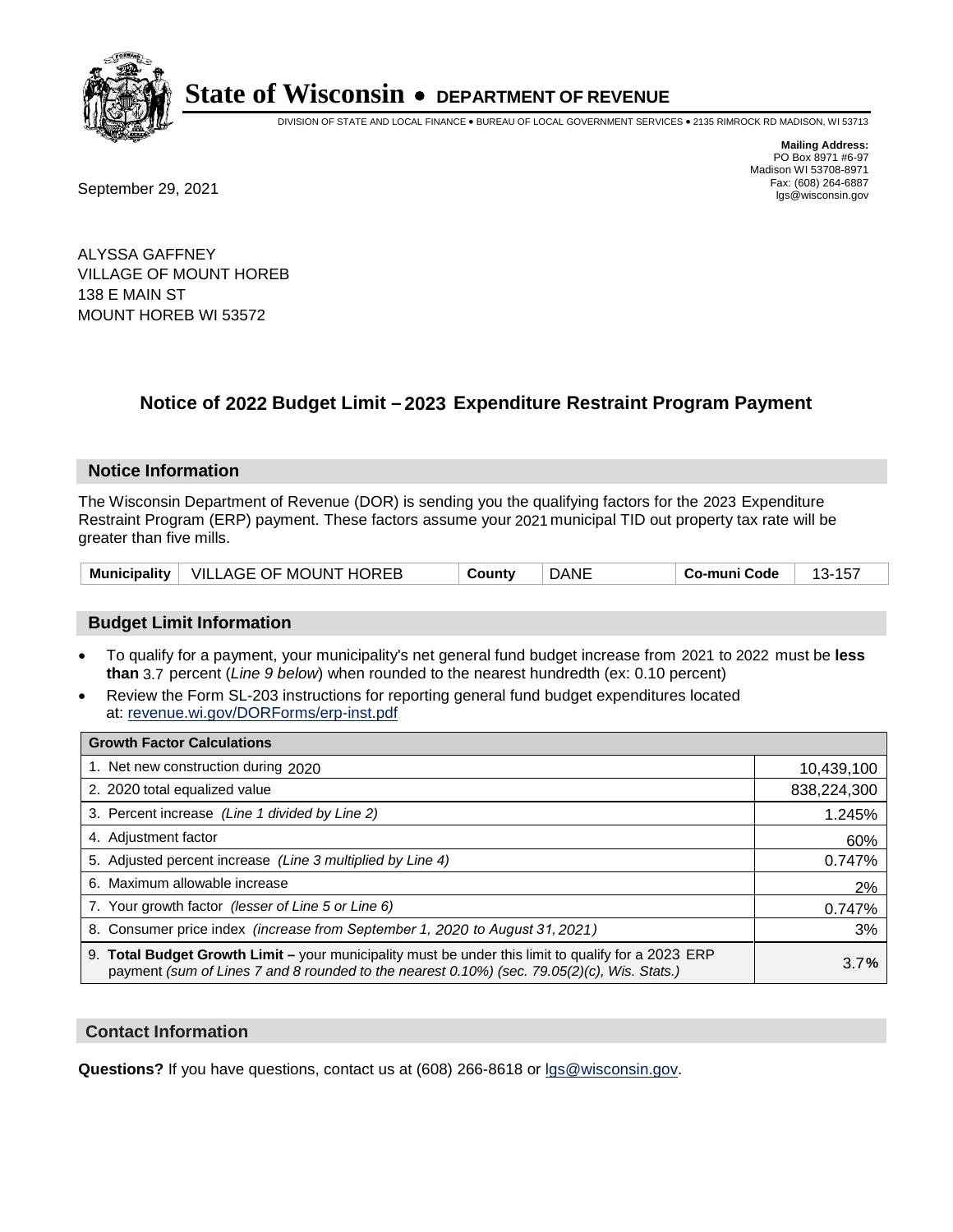

DIVISION OF STATE AND LOCAL FINANCE • BUREAU OF LOCAL GOVERNMENT SERVICES • 2135 RIMROCK RD MADISON, WI 53713

Fax: (608) 264-6887<br>
September 29, 2021 and the state of the state of the state of the state of the state of the state of the state of the state of the state of the state of the state of the state of the state of the state

**Mailing Address:** PO Box 8971 #6-97 Madison WI 53708-8971<br>Fax: (608) 264-6887

ALYSSA GAFFNEY VILLAGE OF MOUNT HOREB 138 E MAIN ST MOUNT HOREB WI 53572

## **Notice of 2022 Budget Limit - 2023 Expenditure Restraint Program Payment**

#### **Notice Information**

The Wisconsin Department of Revenue (DOR) is sending you the qualifying factors for the 2023 Expenditure Restraint Program (ERP) payment. These factors assume your 2021 municipal TID out property tax rate will be greater than five mills.

|  | Municipality   VILLAGE OF MOUNT HOREB | County | DANE | Co-muni Code |  |
|--|---------------------------------------|--------|------|--------------|--|
|--|---------------------------------------|--------|------|--------------|--|

### **Budget Limit Information**

- To qualify for a payment, your municipality's net general fund budget increase from 2021 to 2022 must be less **than** 3.7 percent (*Line 9 below*) when rounded to the nearest hundredth (ex: 0.10 percent)
- Review the Form SL-203 instructions for reporting general fund budget expenditures located at: revenue.wi.gov/DORForms/erp-inst.pdf

| <b>Growth Factor Calculations</b>                                                                                                                                                                      |             |
|--------------------------------------------------------------------------------------------------------------------------------------------------------------------------------------------------------|-------------|
| 1. Net new construction during 2020                                                                                                                                                                    | 10,439,100  |
| 2. 2020 total equalized value                                                                                                                                                                          | 838,224,300 |
| 3. Percent increase (Line 1 divided by Line 2)                                                                                                                                                         | 1.245%      |
| 4. Adiustment factor                                                                                                                                                                                   | 60%         |
| 5. Adjusted percent increase (Line 3 multiplied by Line 4)                                                                                                                                             | 0.747%      |
| 6. Maximum allowable increase                                                                                                                                                                          | 2%          |
| 7. Your growth factor (lesser of Line 5 or Line 6)                                                                                                                                                     | 0.747%      |
| 8. Consumer price index (increase from September 1, 2020 to August 31, 2021)                                                                                                                           | 3%          |
| 9. Total Budget Growth Limit - your municipality must be under this limit to qualify for a 2023 ERP<br>payment (sum of Lines 7 and 8 rounded to the nearest $0.10\%$ ) (sec. 79.05(2)(c), Wis. Stats.) | 3.7%        |

#### **Contact Information**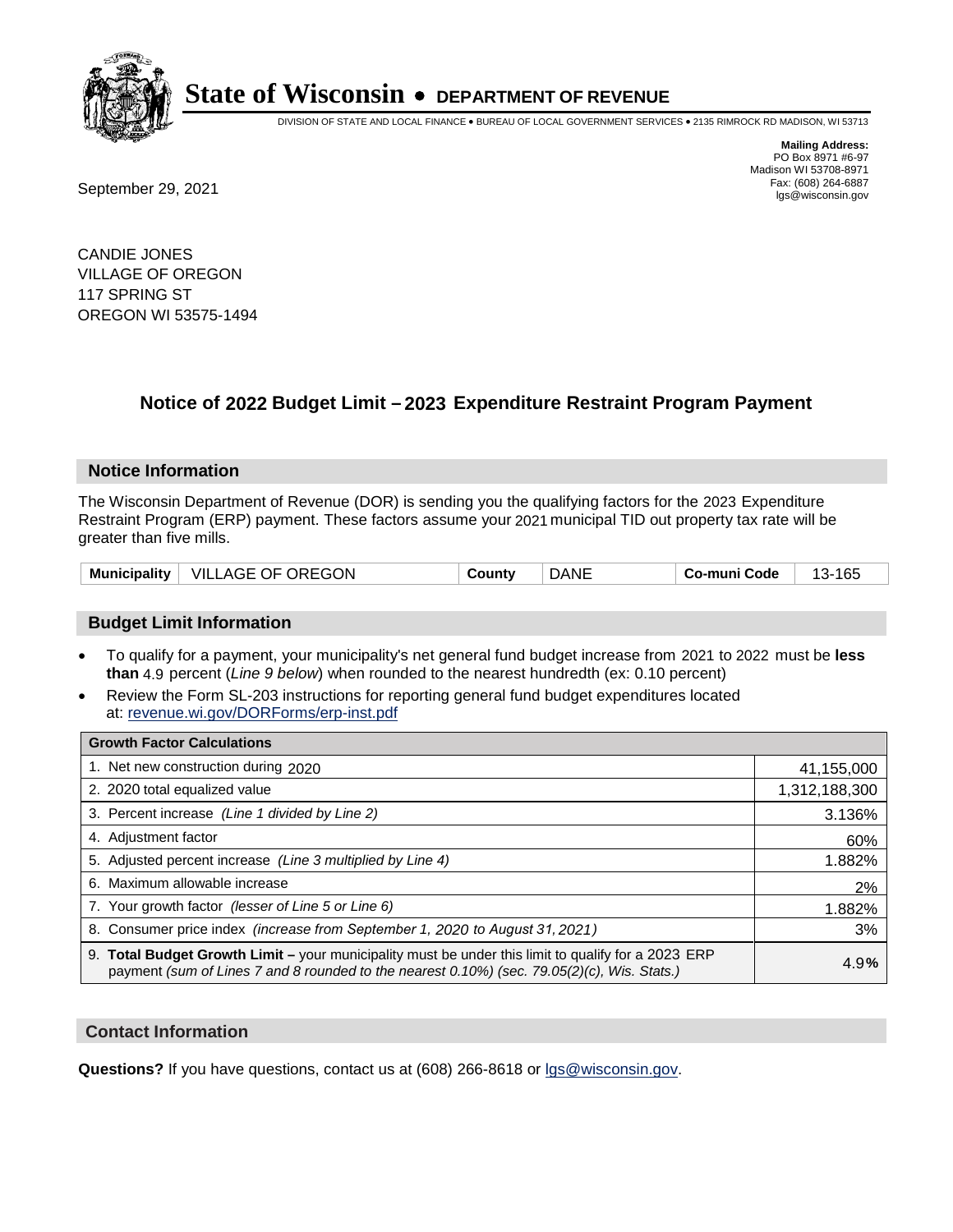

DIVISION OF STATE AND LOCAL FINANCE • BUREAU OF LOCAL GOVERNMENT SERVICES • 2135 RIMROCK RD MADISON, WI 53713

Fax: (608) 264-6887<br>
September 29, 2021 and the state of the state of the state of the state of the state of the state of the state of the state of the state of the state of the state of the state of the state of the state

**Mailing Address:** PO Box 8971 #6-97 Madison WI 53708-8971<br>Fax: (608) 264-6887

CANDIE JONES VILLAGE OF OREGON 117 SPRING ST OREGON WI 53575-1494

## **Notice of 2022 Budget Limit - 2023 Expenditure Restraint Program Payment**

#### **Notice Information**

The Wisconsin Department of Revenue (DOR) is sending you the qualifying factors for the 2023 Expenditure Restraint Program (ERP) payment. These factors assume your 2021 municipal TID out property tax rate will be greater than five mills.

| VILLAGE OF OREGON<br><b>Municipality</b> | County | <b>DANE</b> | Co-muni Code | -165<br>$13-$ |
|------------------------------------------|--------|-------------|--------------|---------------|
|------------------------------------------|--------|-------------|--------------|---------------|

### **Budget Limit Information**

- To qualify for a payment, your municipality's net general fund budget increase from 2021 to 2022 must be less **than** 4.9 percent (*Line 9 below*) when rounded to the nearest hundredth (ex: 0.10 percent)
- Review the Form SL-203 instructions for reporting general fund budget expenditures located at: revenue.wi.gov/DORForms/erp-inst.pdf

| <b>Growth Factor Calculations</b>                                                                                                                                                                      |               |
|--------------------------------------------------------------------------------------------------------------------------------------------------------------------------------------------------------|---------------|
| 1. Net new construction during 2020                                                                                                                                                                    | 41,155,000    |
| 2. 2020 total equalized value                                                                                                                                                                          | 1,312,188,300 |
| 3. Percent increase (Line 1 divided by Line 2)                                                                                                                                                         | 3.136%        |
| 4. Adjustment factor                                                                                                                                                                                   | 60%           |
| 5. Adjusted percent increase (Line 3 multiplied by Line 4)                                                                                                                                             | 1.882%        |
| 6. Maximum allowable increase                                                                                                                                                                          | 2%            |
| 7. Your growth factor (lesser of Line 5 or Line 6)                                                                                                                                                     | 1.882%        |
| 8. Consumer price index (increase from September 1, 2020 to August 31, 2021)                                                                                                                           | 3%            |
| 9. Total Budget Growth Limit - your municipality must be under this limit to qualify for a 2023 ERP<br>payment (sum of Lines 7 and 8 rounded to the nearest $0.10\%$ ) (sec. 79.05(2)(c), Wis. Stats.) | 4.9%          |

#### **Contact Information**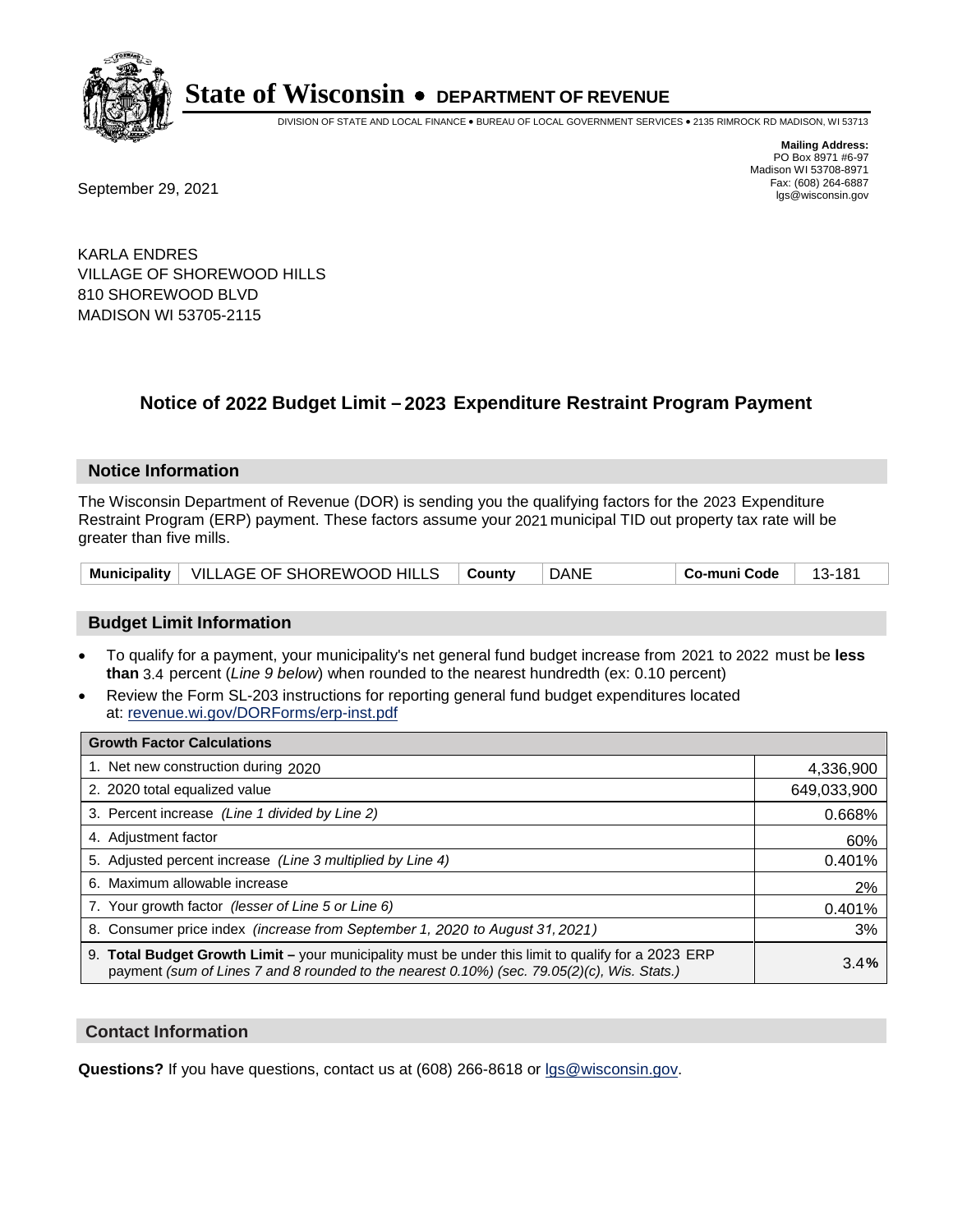

DIVISION OF STATE AND LOCAL FINANCE • BUREAU OF LOCAL GOVERNMENT SERVICES • 2135 RIMROCK RD MADISON, WI 53713

**Mailing Address:** PO Box 8971 #6-97 Madison WI 53708-8971<br>Fax: (608) 264-6887

Fax: (608) 264-6887<br>
September 29, 2021 and the state of the state of the state of the state of the state of the state of the state of the state of the state of the state of the state of the state of the state of the state

KARLA ENDRES VILLAGE OF SHOREWOOD HILLS 810 SHOREWOOD BLVD MADISON WI 53705-2115

## **Notice of 2022 Budget Limit - 2023 Expenditure Restraint Program Payment**

#### **Notice Information**

The Wisconsin Department of Revenue (DOR) is sending you the qualifying factors for the 2023 Expenditure Restraint Program (ERP) payment. These factors assume your 2021 municipal TID out property tax rate will be greater than five mills.

| Municipality   VILLAGE OF SHOREWOOD HILLS   County |  | DANE | Co-muni Code | - 13-181 |
|----------------------------------------------------|--|------|--------------|----------|
|----------------------------------------------------|--|------|--------------|----------|

### **Budget Limit Information**

- To qualify for a payment, your municipality's net general fund budget increase from 2021 to 2022 must be less **than** 3.4 percent (*Line 9 below*) when rounded to the nearest hundredth (ex: 0.10 percent)
- Review the Form SL-203 instructions for reporting general fund budget expenditures located at: revenue.wi.gov/DORForms/erp-inst.pdf

| <b>Growth Factor Calculations</b>                                                                                                                                                                  |             |
|----------------------------------------------------------------------------------------------------------------------------------------------------------------------------------------------------|-------------|
| 1. Net new construction during 2020                                                                                                                                                                | 4,336,900   |
| 2. 2020 total equalized value                                                                                                                                                                      | 649,033,900 |
| 3. Percent increase (Line 1 divided by Line 2)                                                                                                                                                     | 0.668%      |
| 4. Adjustment factor                                                                                                                                                                               | 60%         |
| 5. Adjusted percent increase (Line 3 multiplied by Line 4)                                                                                                                                         | 0.401%      |
| 6. Maximum allowable increase                                                                                                                                                                      | 2%          |
| 7. Your growth factor (lesser of Line 5 or Line 6)                                                                                                                                                 | 0.401%      |
| 8. Consumer price index (increase from September 1, 2020 to August 31, 2021)                                                                                                                       | 3%          |
| 9. Total Budget Growth Limit - your municipality must be under this limit to qualify for a 2023 ERP<br>payment (sum of Lines 7 and 8 rounded to the nearest 0.10%) (sec. 79.05(2)(c), Wis. Stats.) | 3.4%        |

#### **Contact Information**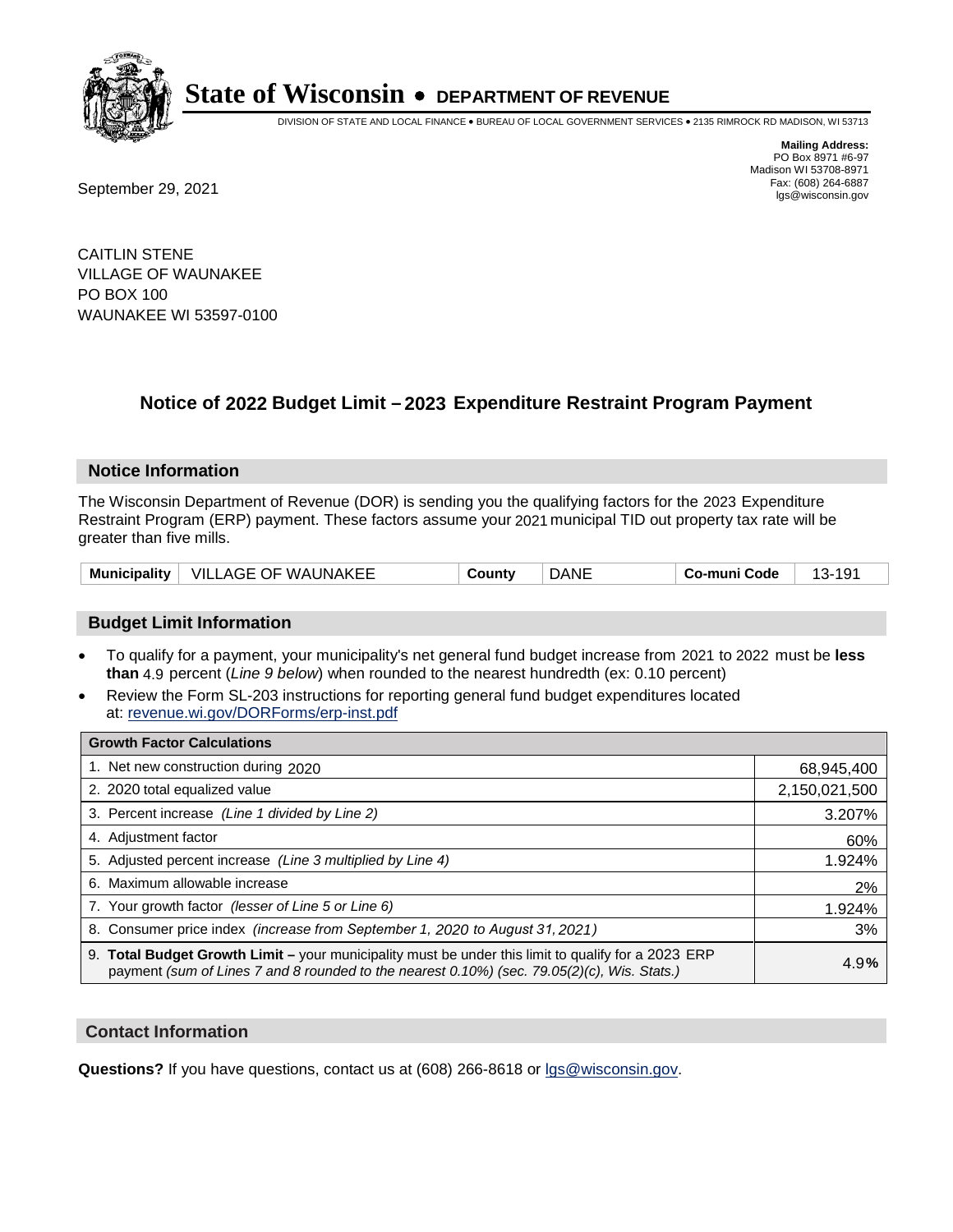

DIVISION OF STATE AND LOCAL FINANCE • BUREAU OF LOCAL GOVERNMENT SERVICES • 2135 RIMROCK RD MADISON, WI 53713

**Mailing Address:** PO Box 8971 #6-97 Madison WI 53708-8971<br>Fax: (608) 264-6887

Fax: (608) 264-6887<br>
September 29, 2021 and the state of the state of the state of the state of the state of the state of the state of the state of the state of the state of the state of the state of the state of the state

CAITLIN STENE VILLAGE OF WAUNAKEE PO BOX 100 WAUNAKEE WI 53597-0100

## **Notice of 2022 Budget Limit - 2023 Expenditure Restraint Program Payment**

#### **Notice Information**

The Wisconsin Department of Revenue (DOR) is sending you the qualifying factors for the 2023 Expenditure Restraint Program (ERP) payment. These factors assume your 2021 municipal TID out property tax rate will be greater than five mills.

| <b>Municipality</b> | VILLAGE OF WAUNAKEE | Countv | DANE | -muni Code<br>Co- | <u>`</u><br>. . |
|---------------------|---------------------|--------|------|-------------------|-----------------|
|---------------------|---------------------|--------|------|-------------------|-----------------|

### **Budget Limit Information**

- To qualify for a payment, your municipality's net general fund budget increase from 2021 to 2022 must be less **than** 4.9 percent (*Line 9 below*) when rounded to the nearest hundredth (ex: 0.10 percent)
- Review the Form SL-203 instructions for reporting general fund budget expenditures located at: revenue.wi.gov/DORForms/erp-inst.pdf

| <b>Growth Factor Calculations</b>                                                                                                                                                                  |               |
|----------------------------------------------------------------------------------------------------------------------------------------------------------------------------------------------------|---------------|
| 1. Net new construction during 2020                                                                                                                                                                | 68,945,400    |
| 2. 2020 total equalized value                                                                                                                                                                      | 2,150,021,500 |
| 3. Percent increase (Line 1 divided by Line 2)                                                                                                                                                     | 3.207%        |
| 4. Adjustment factor                                                                                                                                                                               | 60%           |
| 5. Adjusted percent increase (Line 3 multiplied by Line 4)                                                                                                                                         | 1.924%        |
| Maximum allowable increase<br>6.                                                                                                                                                                   | 2%            |
| 7. Your growth factor (lesser of Line 5 or Line 6)                                                                                                                                                 | 1.924%        |
| 8. Consumer price index (increase from September 1, 2020 to August 31, 2021)                                                                                                                       | 3%            |
| 9. Total Budget Growth Limit - your municipality must be under this limit to qualify for a 2023 ERP<br>payment (sum of Lines 7 and 8 rounded to the nearest 0.10%) (sec. 79.05(2)(c), Wis. Stats.) | 4.9%          |

#### **Contact Information**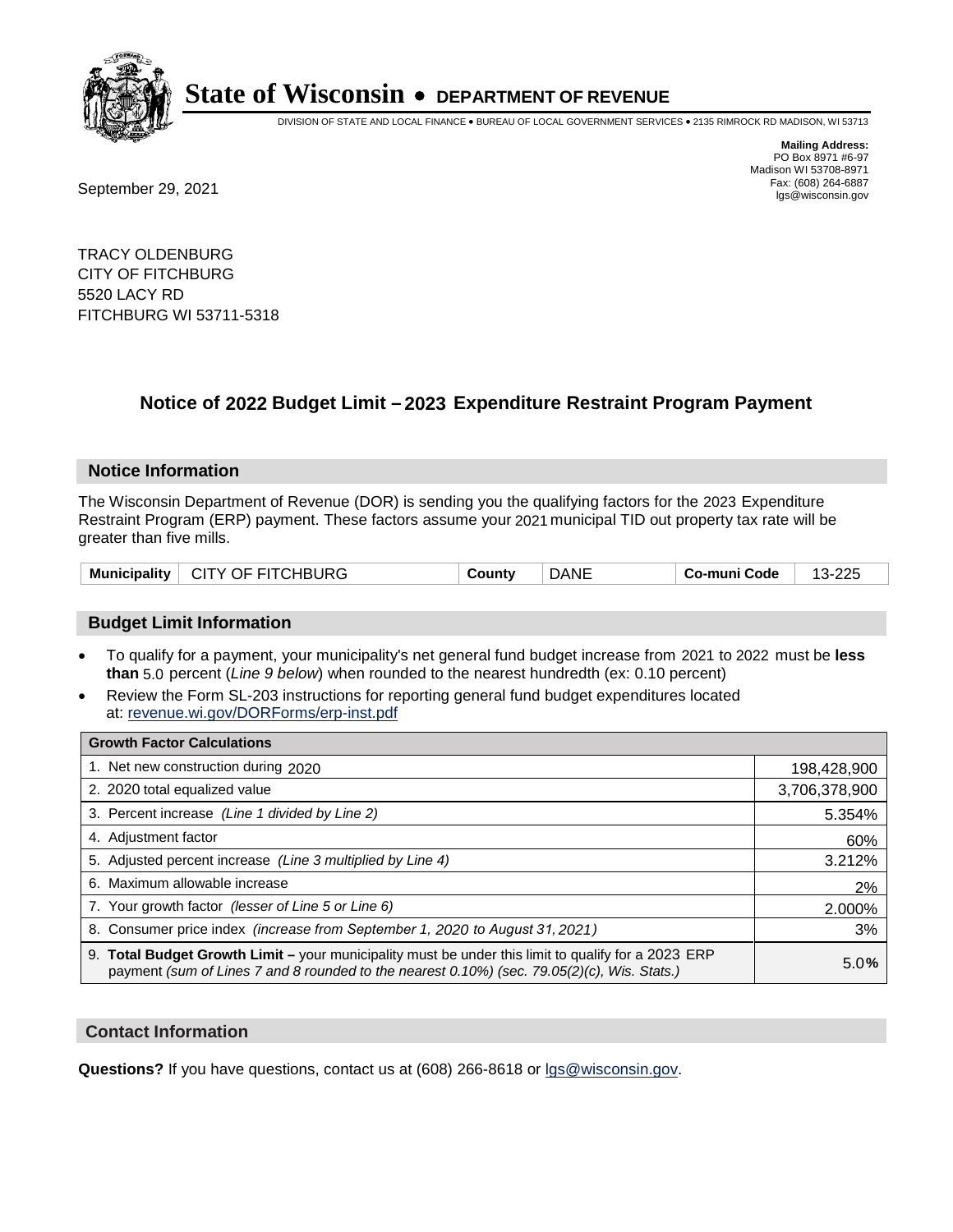

DIVISION OF STATE AND LOCAL FINANCE • BUREAU OF LOCAL GOVERNMENT SERVICES • 2135 RIMROCK RD MADISON, WI 53713

Fax: (608) 264-6887<br>
September 29, 2021 and the state of the state of the state of the state of the state of the state of the state of the state of the state of the state of the state of the state of the state of the state

**Mailing Address:** PO Box 8971 #6-97 Madison WI 53708-8971<br>Fax: (608) 264-6887

TRACY OLDENBURG CITY OF FITCHBURG 5520 LACY RD FITCHBURG WI 53711-5318

## **Notice of 2022 Budget Limit - 2023 Expenditure Restraint Program Payment**

#### **Notice Information**

The Wisconsin Department of Revenue (DOR) is sending you the qualifying factors for the 2023 Expenditure Restraint Program (ERP) payment. These factors assume your 2021 municipal TID out property tax rate will be greater than five mills.

| Municipality   CITY OF FITCHBURG | County | <b>DANE</b> | Co-muni Code | 13-225 |
|----------------------------------|--------|-------------|--------------|--------|
|----------------------------------|--------|-------------|--------------|--------|

### **Budget Limit Information**

- To qualify for a payment, your municipality's net general fund budget increase from 2021 to 2022 must be less **than** 5.0 percent (*Line 9 below*) when rounded to the nearest hundredth (ex: 0.10 percent)
- Review the Form SL-203 instructions for reporting general fund budget expenditures located at: revenue.wi.gov/DORForms/erp-inst.pdf

| <b>Growth Factor Calculations</b>                                                                                                                                                                  |               |
|----------------------------------------------------------------------------------------------------------------------------------------------------------------------------------------------------|---------------|
| 1. Net new construction during 2020                                                                                                                                                                | 198,428,900   |
| 2. 2020 total equalized value                                                                                                                                                                      | 3,706,378,900 |
| 3. Percent increase (Line 1 divided by Line 2)                                                                                                                                                     | 5.354%        |
| 4. Adjustment factor                                                                                                                                                                               | 60%           |
| 5. Adjusted percent increase (Line 3 multiplied by Line 4)                                                                                                                                         | 3.212%        |
| 6. Maximum allowable increase                                                                                                                                                                      | 2%            |
| 7. Your growth factor (lesser of Line 5 or Line 6)                                                                                                                                                 | 2.000%        |
| 8. Consumer price index (increase from September 1, 2020 to August 31, 2021)                                                                                                                       | 3%            |
| 9. Total Budget Growth Limit – your municipality must be under this limit to qualify for a 2023 ERP<br>payment (sum of Lines 7 and 8 rounded to the nearest 0.10%) (sec. 79.05(2)(c), Wis. Stats.) | 5.0%          |

#### **Contact Information**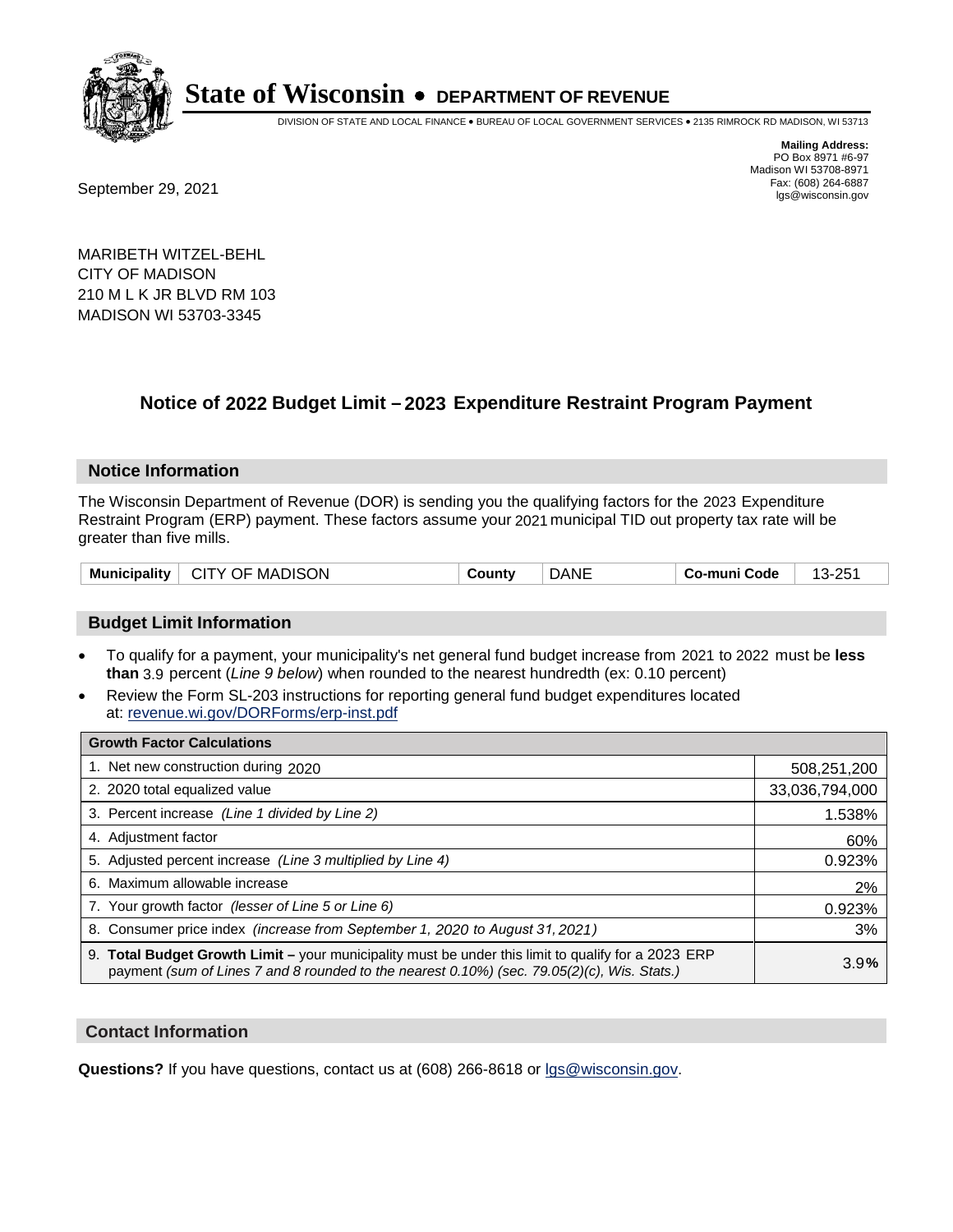

DIVISION OF STATE AND LOCAL FINANCE • BUREAU OF LOCAL GOVERNMENT SERVICES • 2135 RIMROCK RD MADISON, WI 53713

Fax: (608) 264-6887<br>
September 29, 2021 and the state of the state of the state of the state of the state of the state of the state of the state of the state of the state of the state of the state of the state of the state

**Mailing Address:** PO Box 8971 #6-97 Madison WI 53708-8971<br>Fax: (608) 264-6887

MARIBETH WITZEL-BEHL CITY OF MADISON 210 M L K JR BLVD RM 103 MADISON WI 53703-3345

### **Notice of 2022 Budget Limit - 2023 Expenditure Restraint Program Payment**

#### **Notice Information**

The Wisconsin Department of Revenue (DOR) is sending you the qualifying factors for the 2023 Expenditure Restraint Program (ERP) payment. These factors assume your 2021 municipal TID out property tax rate will be greater than five mills.

| Municipality   CITY OF MADISON | County | <b>DANE</b> | ⊦ Co-muni Code | 13-251 |
|--------------------------------|--------|-------------|----------------|--------|
|--------------------------------|--------|-------------|----------------|--------|

#### **Budget Limit Information**

- To qualify for a payment, your municipality's net general fund budget increase from 2021 to 2022 must be less **than** 3.9 percent (*Line 9 below*) when rounded to the nearest hundredth (ex: 0.10 percent)
- Review the Form SL-203 instructions for reporting general fund budget expenditures located at: revenue.wi.gov/DORForms/erp-inst.pdf

| <b>Growth Factor Calculations</b>                                                                                                                                                                      |                |
|--------------------------------------------------------------------------------------------------------------------------------------------------------------------------------------------------------|----------------|
| 1. Net new construction during 2020                                                                                                                                                                    | 508,251,200    |
| 2. 2020 total equalized value                                                                                                                                                                          | 33,036,794,000 |
| 3. Percent increase (Line 1 divided by Line 2)                                                                                                                                                         | 1.538%         |
| 4. Adjustment factor                                                                                                                                                                                   | 60%            |
| 5. Adjusted percent increase (Line 3 multiplied by Line 4)                                                                                                                                             | 0.923%         |
| 6. Maximum allowable increase                                                                                                                                                                          | 2%             |
| 7. Your growth factor (lesser of Line 5 or Line 6)                                                                                                                                                     | 0.923%         |
| 8. Consumer price index (increase from September 1, 2020 to August 31, 2021)                                                                                                                           | 3%             |
| 9. Total Budget Growth Limit - your municipality must be under this limit to qualify for a 2023 ERP<br>payment (sum of Lines 7 and 8 rounded to the nearest $0.10\%$ ) (sec. 79.05(2)(c), Wis. Stats.) | 3.9%           |

#### **Contact Information**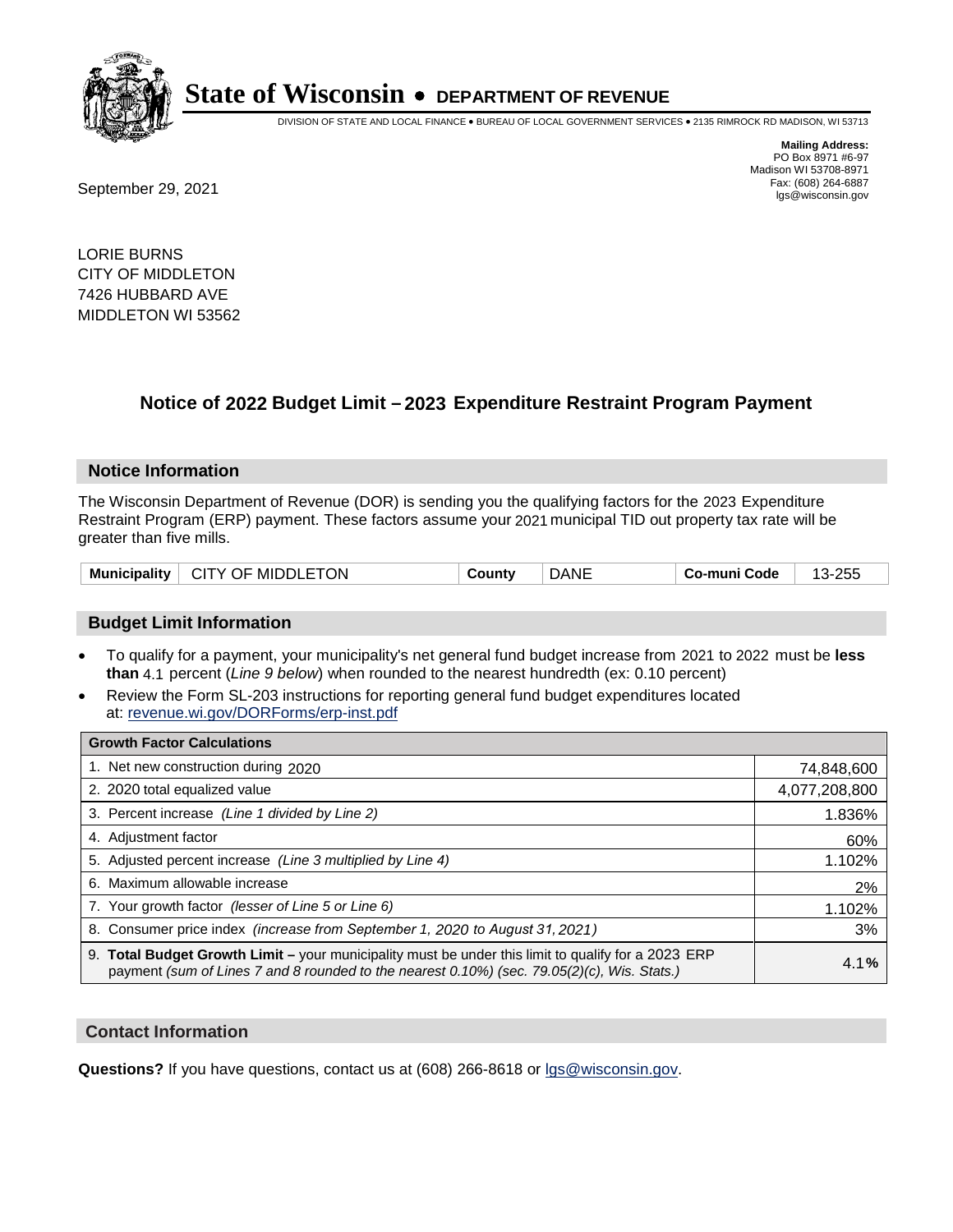

DIVISION OF STATE AND LOCAL FINANCE • BUREAU OF LOCAL GOVERNMENT SERVICES • 2135 RIMROCK RD MADISON, WI 53713

**Mailing Address:** PO Box 8971 #6-97 Madison WI 53708-8971<br>Fax: (608) 264-6887

Fax: (608) 264-6887<br>
September 29, 2021 and the state of the state of the state of the state of the state of the state of the state of the state of the state of the state of the state of the state of the state of the state

LORIE BURNS CITY OF MIDDLETON 7426 HUBBARD AVE MIDDLETON WI 53562

## **Notice of 2022 Budget Limit - 2023 Expenditure Restraint Program Payment**

#### **Notice Information**

The Wisconsin Department of Revenue (DOR) is sending you the qualifying factors for the 2023 Expenditure Restraint Program (ERP) payment. These factors assume your 2021 municipal TID out property tax rate will be greater than five mills.

| <b>Municipality</b> | <b>ETON</b><br>MIDDLE.<br>CITY OF | تount∨ | Dani | Co-muni Code | つにん<br>∠∪⊾ |
|---------------------|-----------------------------------|--------|------|--------------|------------|
|---------------------|-----------------------------------|--------|------|--------------|------------|

### **Budget Limit Information**

- To qualify for a payment, your municipality's net general fund budget increase from 2021 to 2022 must be less **than** 4.1 percent (*Line 9 below*) when rounded to the nearest hundredth (ex: 0.10 percent)
- Review the Form SL-203 instructions for reporting general fund budget expenditures located at: revenue.wi.gov/DORForms/erp-inst.pdf

| <b>Growth Factor Calculations</b>                                                                                                                                                                  |               |
|----------------------------------------------------------------------------------------------------------------------------------------------------------------------------------------------------|---------------|
| 1. Net new construction during 2020                                                                                                                                                                | 74,848,600    |
| 2. 2020 total equalized value                                                                                                                                                                      | 4,077,208,800 |
| 3. Percent increase (Line 1 divided by Line 2)                                                                                                                                                     | 1.836%        |
| 4. Adjustment factor                                                                                                                                                                               | 60%           |
| 5. Adjusted percent increase (Line 3 multiplied by Line 4)                                                                                                                                         | 1.102%        |
| 6. Maximum allowable increase                                                                                                                                                                      | 2%            |
| 7. Your growth factor (lesser of Line 5 or Line 6)                                                                                                                                                 | 1.102%        |
| 8. Consumer price index (increase from September 1, 2020 to August 31, 2021)                                                                                                                       | 3%            |
| 9. Total Budget Growth Limit - your municipality must be under this limit to qualify for a 2023 ERP<br>payment (sum of Lines 7 and 8 rounded to the nearest 0.10%) (sec. 79.05(2)(c), Wis. Stats.) | 4.1%          |

#### **Contact Information**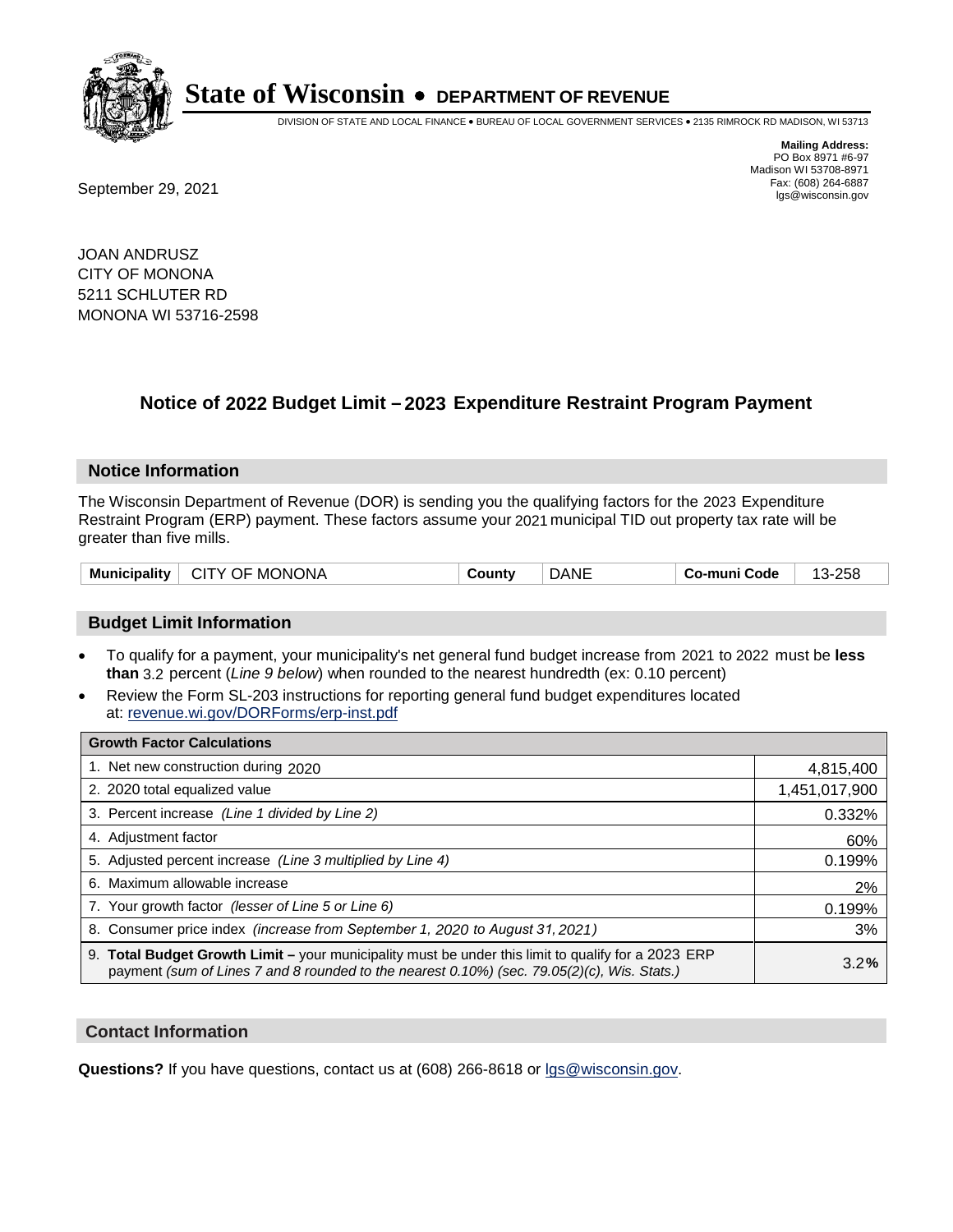

DIVISION OF STATE AND LOCAL FINANCE • BUREAU OF LOCAL GOVERNMENT SERVICES • 2135 RIMROCK RD MADISON, WI 53713

Fax: (608) 264-6887<br>
September 29, 2021 and the state of the state of the state of the state of the state of the state of the state of the state of the state of the state of the state of the state of the state of the state

**Mailing Address:** PO Box 8971 #6-97 Madison WI 53708-8971<br>Fax: (608) 264-6887

JOAN ANDRUSZ CITY OF MONONA 5211 SCHLUTER RD MONONA WI 53716-2598

## **Notice of 2022 Budget Limit - 2023 Expenditure Restraint Program Payment**

#### **Notice Information**

The Wisconsin Department of Revenue (DOR) is sending you the qualifying factors for the 2023 Expenditure Restraint Program (ERP) payment. These factors assume your 2021 municipal TID out property tax rate will be greater than five mills.

| CITY OF MONONA<br><b>Municipality</b> | County | <b>DANE</b> | Co-muni Code | 13-258 |
|---------------------------------------|--------|-------------|--------------|--------|
|---------------------------------------|--------|-------------|--------------|--------|

### **Budget Limit Information**

- To qualify for a payment, your municipality's net general fund budget increase from 2021 to 2022 must be less **than** 3.2 percent (*Line 9 below*) when rounded to the nearest hundredth (ex: 0.10 percent)
- Review the Form SL-203 instructions for reporting general fund budget expenditures located at: revenue.wi.gov/DORForms/erp-inst.pdf

| <b>Growth Factor Calculations</b>                                                                                                                                                                  |               |
|----------------------------------------------------------------------------------------------------------------------------------------------------------------------------------------------------|---------------|
| 1. Net new construction during 2020                                                                                                                                                                | 4,815,400     |
| 2. 2020 total equalized value                                                                                                                                                                      | 1,451,017,900 |
| 3. Percent increase (Line 1 divided by Line 2)                                                                                                                                                     | 0.332%        |
| 4. Adjustment factor                                                                                                                                                                               | 60%           |
| 5. Adjusted percent increase (Line 3 multiplied by Line 4)                                                                                                                                         | 0.199%        |
| 6. Maximum allowable increase                                                                                                                                                                      | 2%            |
| 7. Your growth factor (lesser of Line 5 or Line 6)                                                                                                                                                 | 0.199%        |
| 8. Consumer price index (increase from September 1, 2020 to August 31, 2021)                                                                                                                       | 3%            |
| 9. Total Budget Growth Limit – your municipality must be under this limit to qualify for a 2023 ERP<br>payment (sum of Lines 7 and 8 rounded to the nearest 0.10%) (sec. 79.05(2)(c), Wis. Stats.) | 3.2%          |

#### **Contact Information**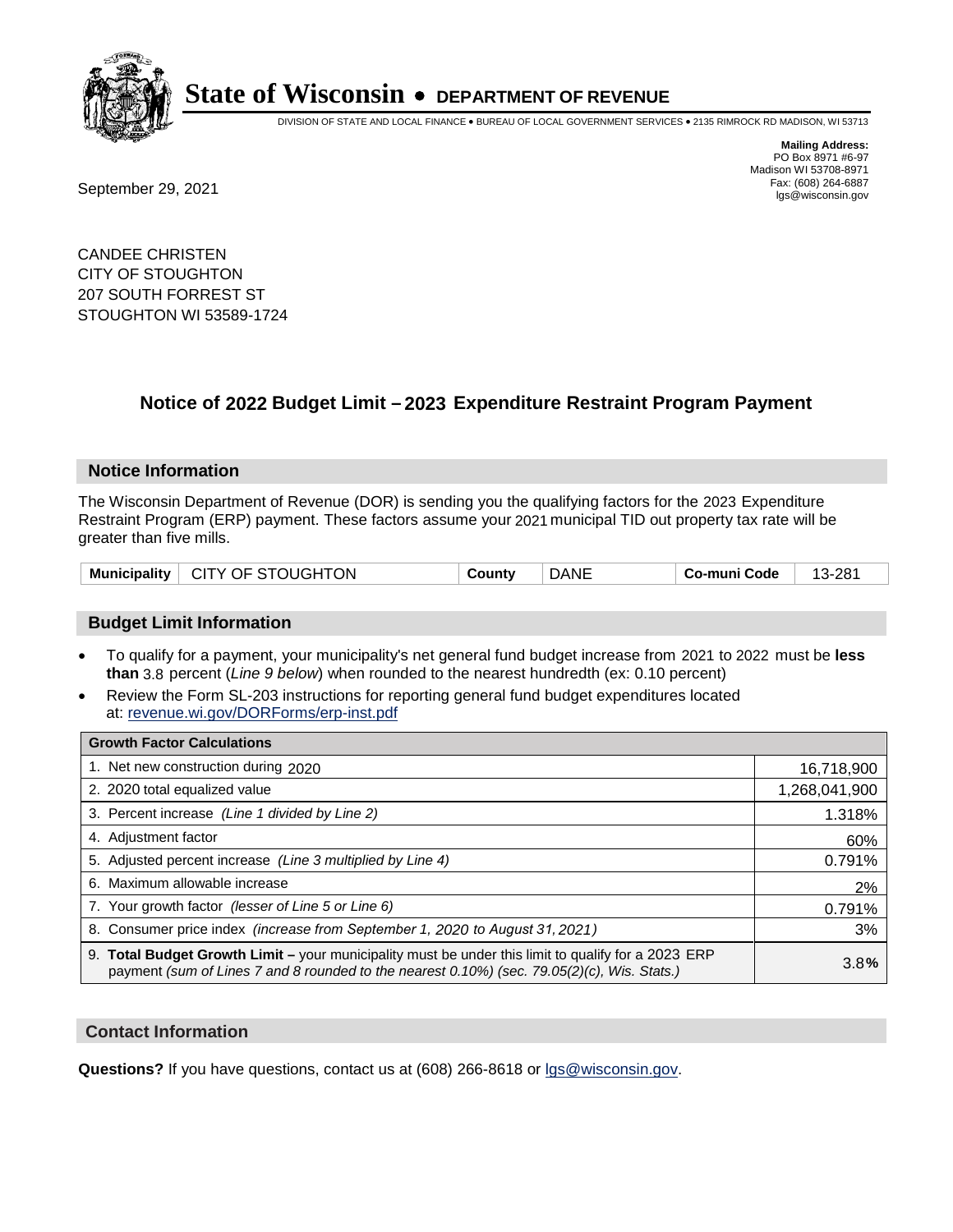

DIVISION OF STATE AND LOCAL FINANCE • BUREAU OF LOCAL GOVERNMENT SERVICES • 2135 RIMROCK RD MADISON, WI 53713

Fax: (608) 264-6887<br>
September 29, 2021 and the state of the state of the state of the state of the state of the state of the state of the state of the state of the state of the state of the state of the state of the state

**Mailing Address:** PO Box 8971 #6-97 Madison WI 53708-8971<br>Fax: (608) 264-6887

CANDEE CHRISTEN CITY OF STOUGHTON 207 SOUTH FORREST ST STOUGHTON WI 53589-1724

## **Notice of 2022 Budget Limit - 2023 Expenditure Restraint Program Payment**

#### **Notice Information**

The Wisconsin Department of Revenue (DOR) is sending you the qualifying factors for the 2023 Expenditure Restraint Program (ERP) payment. These factors assume your 2021 municipal TID out property tax rate will be greater than five mills.

| Municipality   CITY OF STOUGHTON | County | <b>DANE</b> | Co-muni Code | 13-281 |
|----------------------------------|--------|-------------|--------------|--------|
|----------------------------------|--------|-------------|--------------|--------|

#### **Budget Limit Information**

- To qualify for a payment, your municipality's net general fund budget increase from 2021 to 2022 must be less **than** 3.8 percent (*Line 9 below*) when rounded to the nearest hundredth (ex: 0.10 percent)
- Review the Form SL-203 instructions for reporting general fund budget expenditures located at: revenue.wi.gov/DORForms/erp-inst.pdf

| <b>Growth Factor Calculations</b>                                                                                                                                                                      |               |
|--------------------------------------------------------------------------------------------------------------------------------------------------------------------------------------------------------|---------------|
| 1. Net new construction during 2020                                                                                                                                                                    | 16,718,900    |
| 2. 2020 total equalized value                                                                                                                                                                          | 1,268,041,900 |
| 3. Percent increase (Line 1 divided by Line 2)                                                                                                                                                         | 1.318%        |
| 4. Adjustment factor                                                                                                                                                                                   | 60%           |
| 5. Adjusted percent increase (Line 3 multiplied by Line 4)                                                                                                                                             | 0.791%        |
| 6. Maximum allowable increase                                                                                                                                                                          | 2%            |
| 7. Your growth factor (lesser of Line 5 or Line 6)                                                                                                                                                     | 0.791%        |
| 8. Consumer price index (increase from September 1, 2020 to August 31, 2021)                                                                                                                           | 3%            |
| 9. Total Budget Growth Limit - your municipality must be under this limit to qualify for a 2023 ERP<br>payment (sum of Lines 7 and 8 rounded to the nearest $0.10\%$ ) (sec. 79.05(2)(c), Wis. Stats.) | 3.8%          |

#### **Contact Information**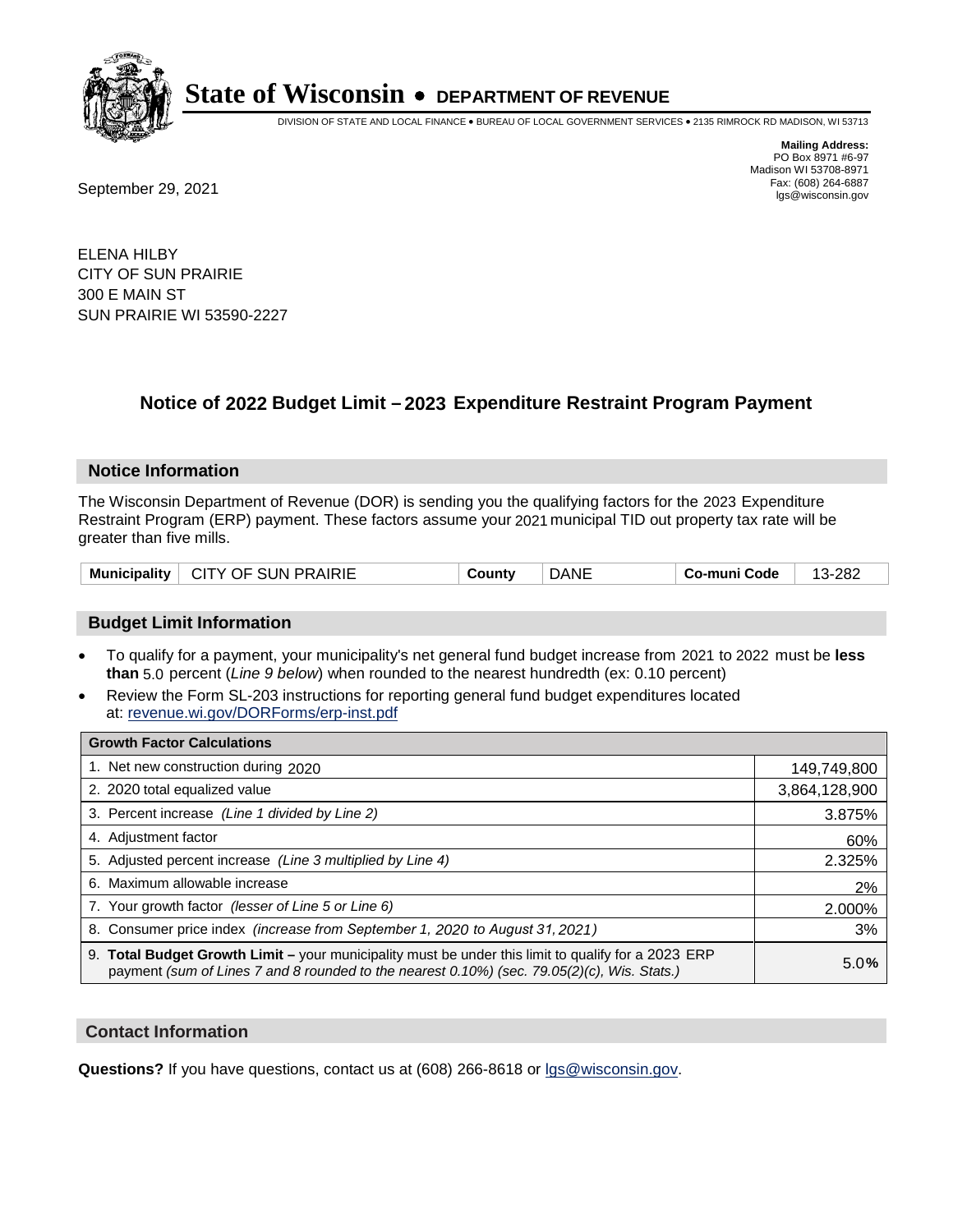

DIVISION OF STATE AND LOCAL FINANCE • BUREAU OF LOCAL GOVERNMENT SERVICES • 2135 RIMROCK RD MADISON, WI 53713

**Mailing Address:** PO Box 8971 #6-97 Madison WI 53708-8971<br>Fax: (608) 264-6887

Fax: (608) 264-6887<br>
September 29, 2021 and the state of the state of the state of the state of the state of the state of the state of the state of the state of the state of the state of the state of the state of the state

ELENA HILBY CITY OF SUN PRAIRIE 300 E MAIN ST SUN PRAIRIE WI 53590-2227

## **Notice of 2022 Budget Limit - 2023 Expenditure Restraint Program Payment**

#### **Notice Information**

The Wisconsin Department of Revenue (DOR) is sending you the qualifying factors for the 2023 Expenditure Restraint Program (ERP) payment. These factors assume your 2021 municipal TID out property tax rate will be greater than five mills.

| Municipality | CITY OF SUN PRAIRIE | County | <b>DANE</b> | Co-muni Code | -282<br>$13 -$ |
|--------------|---------------------|--------|-------------|--------------|----------------|
|--------------|---------------------|--------|-------------|--------------|----------------|

### **Budget Limit Information**

- To qualify for a payment, your municipality's net general fund budget increase from 2021 to 2022 must be less **than** 5.0 percent (*Line 9 below*) when rounded to the nearest hundredth (ex: 0.10 percent)
- Review the Form SL-203 instructions for reporting general fund budget expenditures located at: revenue.wi.gov/DORForms/erp-inst.pdf

| <b>Growth Factor Calculations</b>                                                                                                                                                                  |               |
|----------------------------------------------------------------------------------------------------------------------------------------------------------------------------------------------------|---------------|
| 1. Net new construction during 2020                                                                                                                                                                | 149,749,800   |
| 2. 2020 total equalized value                                                                                                                                                                      | 3,864,128,900 |
| 3. Percent increase (Line 1 divided by Line 2)                                                                                                                                                     | 3.875%        |
| 4. Adjustment factor                                                                                                                                                                               | 60%           |
| 5. Adjusted percent increase (Line 3 multiplied by Line 4)                                                                                                                                         | 2.325%        |
| 6. Maximum allowable increase                                                                                                                                                                      | 2%            |
| 7. Your growth factor (lesser of Line 5 or Line 6)                                                                                                                                                 | 2.000%        |
| 8. Consumer price index (increase from September 1, 2020 to August 31, 2021)                                                                                                                       | 3%            |
| 9. Total Budget Growth Limit - your municipality must be under this limit to qualify for a 2023 ERP<br>payment (sum of Lines 7 and 8 rounded to the nearest 0.10%) (sec. 79.05(2)(c), Wis. Stats.) | 5.0%          |

#### **Contact Information**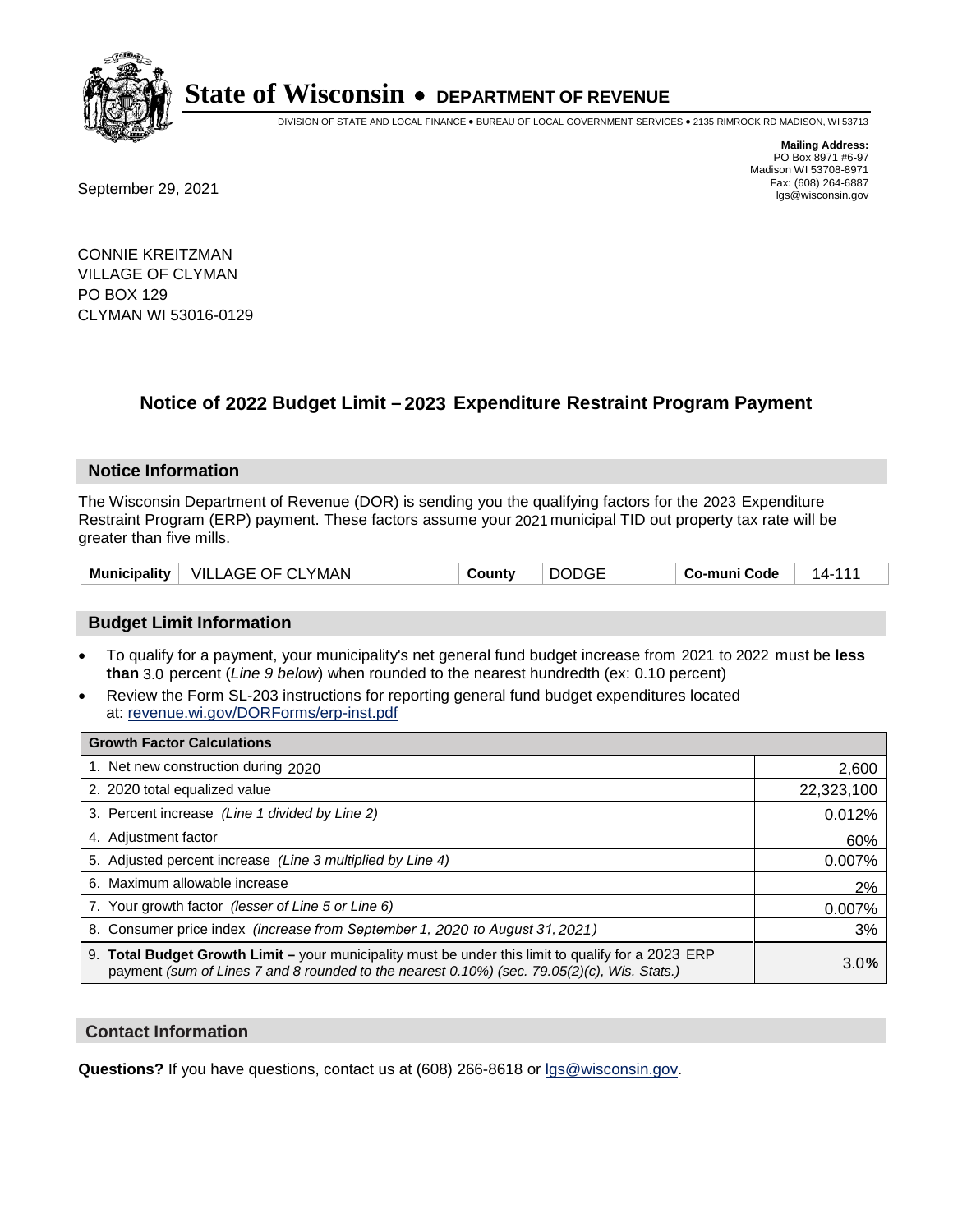

DIVISION OF STATE AND LOCAL FINANCE • BUREAU OF LOCAL GOVERNMENT SERVICES • 2135 RIMROCK RD MADISON, WI 53713

Fax: (608) 264-6887<br>
September 29, 2021 and the state of the state of the state of the state of the state of the state of the state of the state of the state of the state of the state of the state of the state of the state

**Mailing Address:** PO Box 8971 #6-97 Madison WI 53708-8971<br>Fax: (608) 264-6887

CONNIE KREITZMAN VILLAGE OF CLYMAN PO BOX 129 CLYMAN WI 53016-0129

## **Notice of 2022 Budget Limit - 2023 Expenditure Restraint Program Payment**

#### **Notice Information**

The Wisconsin Department of Revenue (DOR) is sending you the qualifying factors for the 2023 Expenditure Restraint Program (ERP) payment. These factors assume your 2021 municipal TID out property tax rate will be greater than five mills.

| <b>Municipality</b> | $\quad$ VILLAGE OF CLYMAN | County | <b>DODGE</b> | Co-muni Code | 14-111 |
|---------------------|---------------------------|--------|--------------|--------------|--------|
|---------------------|---------------------------|--------|--------------|--------------|--------|

### **Budget Limit Information**

- To qualify for a payment, your municipality's net general fund budget increase from 2021 to 2022 must be less **than** 3.0 percent (*Line 9 below*) when rounded to the nearest hundredth (ex: 0.10 percent)
- Review the Form SL-203 instructions for reporting general fund budget expenditures located at: revenue.wi.gov/DORForms/erp-inst.pdf

| <b>Growth Factor Calculations</b>                                                                                                                                                                  |            |
|----------------------------------------------------------------------------------------------------------------------------------------------------------------------------------------------------|------------|
| 1. Net new construction during 2020                                                                                                                                                                | 2,600      |
| 2. 2020 total equalized value                                                                                                                                                                      | 22,323,100 |
| 3. Percent increase (Line 1 divided by Line 2)                                                                                                                                                     | 0.012%     |
| 4. Adjustment factor                                                                                                                                                                               | 60%        |
| 5. Adjusted percent increase (Line 3 multiplied by Line 4)                                                                                                                                         | 0.007%     |
| 6. Maximum allowable increase                                                                                                                                                                      | 2%         |
| 7. Your growth factor (lesser of Line 5 or Line 6)                                                                                                                                                 | 0.007%     |
| 8. Consumer price index (increase from September 1, 2020 to August 31, 2021)                                                                                                                       | 3%         |
| 9. Total Budget Growth Limit – your municipality must be under this limit to qualify for a 2023 ERP<br>payment (sum of Lines 7 and 8 rounded to the nearest 0.10%) (sec. 79.05(2)(c), Wis. Stats.) | 3.0%       |

#### **Contact Information**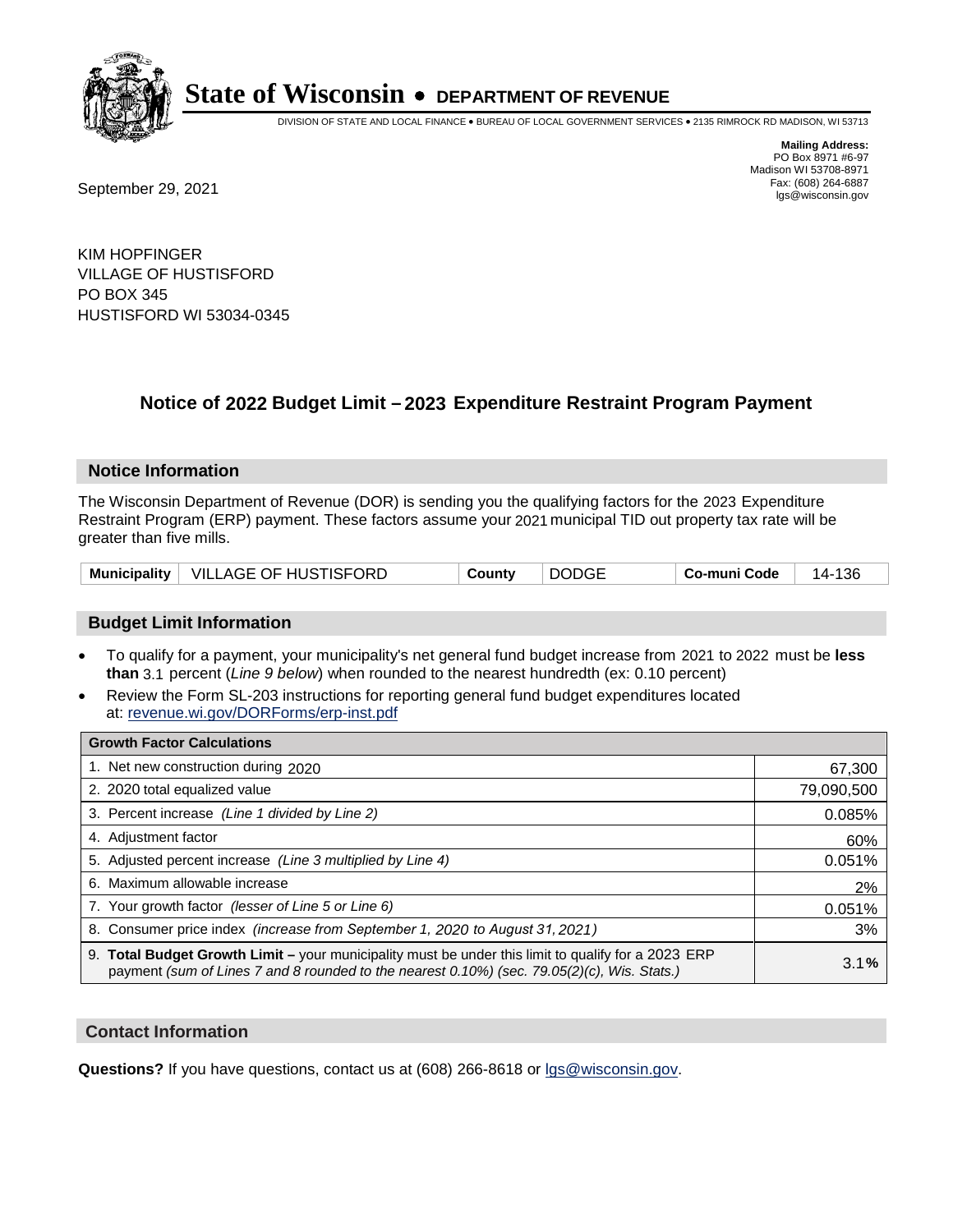

DIVISION OF STATE AND LOCAL FINANCE • BUREAU OF LOCAL GOVERNMENT SERVICES • 2135 RIMROCK RD MADISON, WI 53713

Fax: (608) 264-6887<br>
September 29, 2021 and the state of the state of the state of the state of the state of the state of the state of the state of the state of the state of the state of the state of the state of the state

**Mailing Address:** PO Box 8971 #6-97 Madison WI 53708-8971<br>Fax: (608) 264-6887

KIM HOPFINGER VILLAGE OF HUSTISFORD PO BOX 345 HUSTISFORD WI 53034-0345

## **Notice of 2022 Budget Limit - 2023 Expenditure Restraint Program Payment**

#### **Notice Information**

The Wisconsin Department of Revenue (DOR) is sending you the qualifying factors for the 2023 Expenditure Restraint Program (ERP) payment. These factors assume your 2021 municipal TID out property tax rate will be greater than five mills.

|  | Municipality   VILLAGE OF HUSTISFORD | County | <b>DODGE</b> | Co-muni Code | 14-136 |
|--|--------------------------------------|--------|--------------|--------------|--------|
|--|--------------------------------------|--------|--------------|--------------|--------|

### **Budget Limit Information**

- To qualify for a payment, your municipality's net general fund budget increase from 2021 to 2022 must be less **than** 3.1 percent (*Line 9 below*) when rounded to the nearest hundredth (ex: 0.10 percent)
- Review the Form SL-203 instructions for reporting general fund budget expenditures located at: revenue.wi.gov/DORForms/erp-inst.pdf

| <b>Growth Factor Calculations</b>                                                                                                                                                                  |            |
|----------------------------------------------------------------------------------------------------------------------------------------------------------------------------------------------------|------------|
| 1. Net new construction during 2020                                                                                                                                                                | 67,300     |
| 2. 2020 total equalized value                                                                                                                                                                      | 79,090,500 |
| 3. Percent increase (Line 1 divided by Line 2)                                                                                                                                                     | 0.085%     |
| 4. Adiustment factor                                                                                                                                                                               | 60%        |
| 5. Adjusted percent increase (Line 3 multiplied by Line 4)                                                                                                                                         | 0.051%     |
| 6. Maximum allowable increase                                                                                                                                                                      | 2%         |
| 7. Your growth factor (lesser of Line 5 or Line 6)                                                                                                                                                 | 0.051%     |
| 8. Consumer price index (increase from September 1, 2020 to August 31, 2021)                                                                                                                       | 3%         |
| 9. Total Budget Growth Limit - your municipality must be under this limit to qualify for a 2023 ERP<br>payment (sum of Lines 7 and 8 rounded to the nearest 0.10%) (sec. 79.05(2)(c), Wis. Stats.) | 3.1%       |

#### **Contact Information**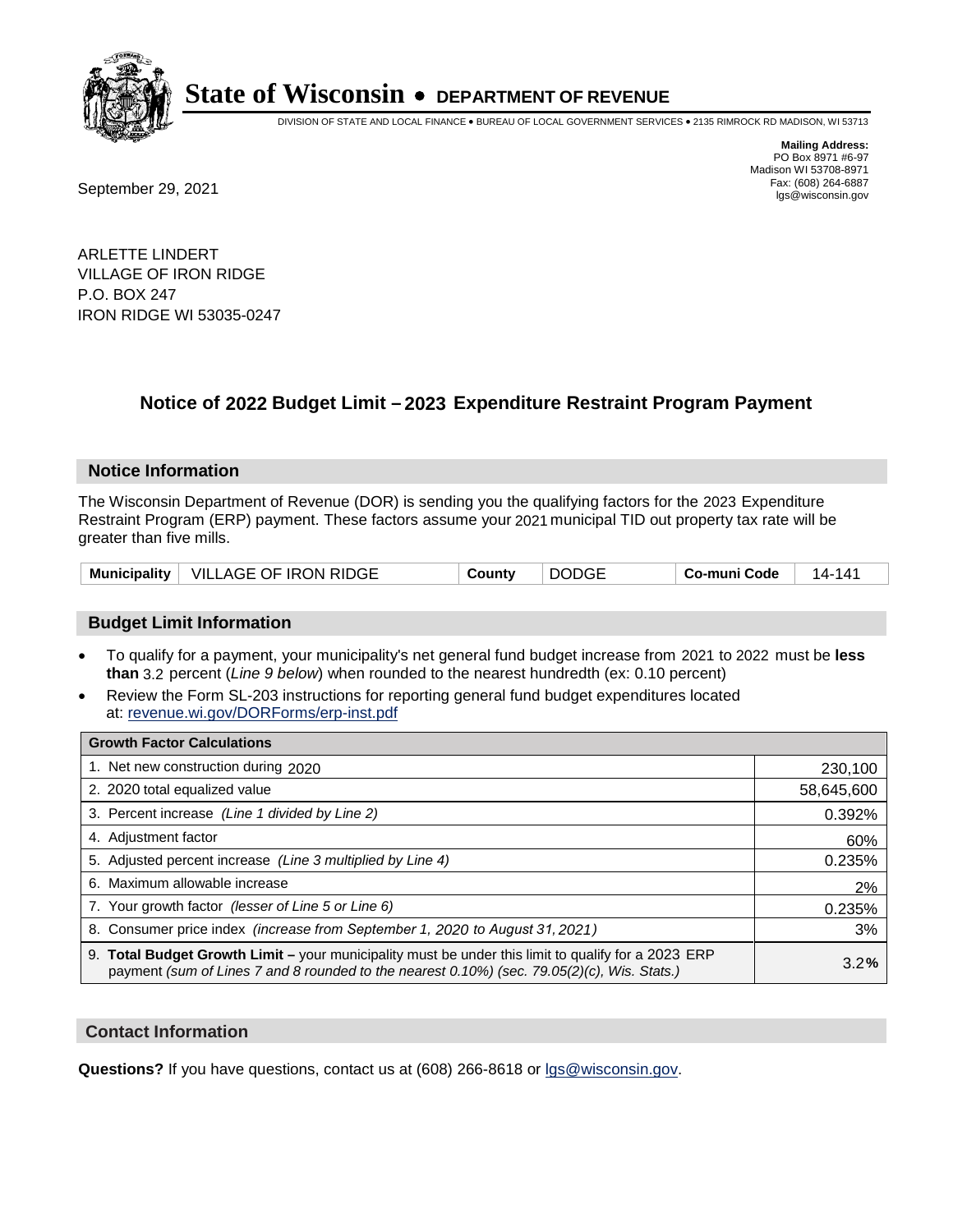

DIVISION OF STATE AND LOCAL FINANCE • BUREAU OF LOCAL GOVERNMENT SERVICES • 2135 RIMROCK RD MADISON, WI 53713

Fax: (608) 264-6887<br>
September 29, 2021 and the state of the state of the state of the state of the state of the state of the state of the state of the state of the state of the state of the state of the state of the state

**Mailing Address:** PO Box 8971 #6-97 Madison WI 53708-8971<br>Fax: (608) 264-6887

ARLETTE LINDERT VILLAGE OF IRON RIDGE P.O. BOX 247 IRON RIDGE WI 53035-0247

## **Notice of 2022 Budget Limit - 2023 Expenditure Restraint Program Payment**

#### **Notice Information**

The Wisconsin Department of Revenue (DOR) is sending you the qualifying factors for the 2023 Expenditure Restraint Program (ERP) payment. These factors assume your 2021 municipal TID out property tax rate will be greater than five mills.

|  | Municipality   VILLAGE OF IRON RIDGE | County | <b>DODGE</b> | Co-muni Code | 14- . |
|--|--------------------------------------|--------|--------------|--------------|-------|
|--|--------------------------------------|--------|--------------|--------------|-------|

### **Budget Limit Information**

- To qualify for a payment, your municipality's net general fund budget increase from 2021 to 2022 must be less **than** 3.2 percent (*Line 9 below*) when rounded to the nearest hundredth (ex: 0.10 percent)
- Review the Form SL-203 instructions for reporting general fund budget expenditures located at: revenue.wi.gov/DORForms/erp-inst.pdf

| <b>Growth Factor Calculations</b>                                                                                                                                                                  |            |
|----------------------------------------------------------------------------------------------------------------------------------------------------------------------------------------------------|------------|
| 1. Net new construction during 2020                                                                                                                                                                | 230,100    |
| 2. 2020 total equalized value                                                                                                                                                                      | 58,645,600 |
| 3. Percent increase (Line 1 divided by Line 2)                                                                                                                                                     | 0.392%     |
| 4. Adjustment factor                                                                                                                                                                               | 60%        |
| 5. Adjusted percent increase (Line 3 multiplied by Line 4)                                                                                                                                         | 0.235%     |
| 6. Maximum allowable increase                                                                                                                                                                      | 2%         |
| 7. Your growth factor (lesser of Line 5 or Line 6)                                                                                                                                                 | 0.235%     |
| 8. Consumer price index (increase from September 1, 2020 to August 31, 2021)                                                                                                                       | 3%         |
| 9. Total Budget Growth Limit – your municipality must be under this limit to qualify for a 2023 ERP<br>payment (sum of Lines 7 and 8 rounded to the nearest 0.10%) (sec. 79.05(2)(c), Wis. Stats.) | 3.2%       |

#### **Contact Information**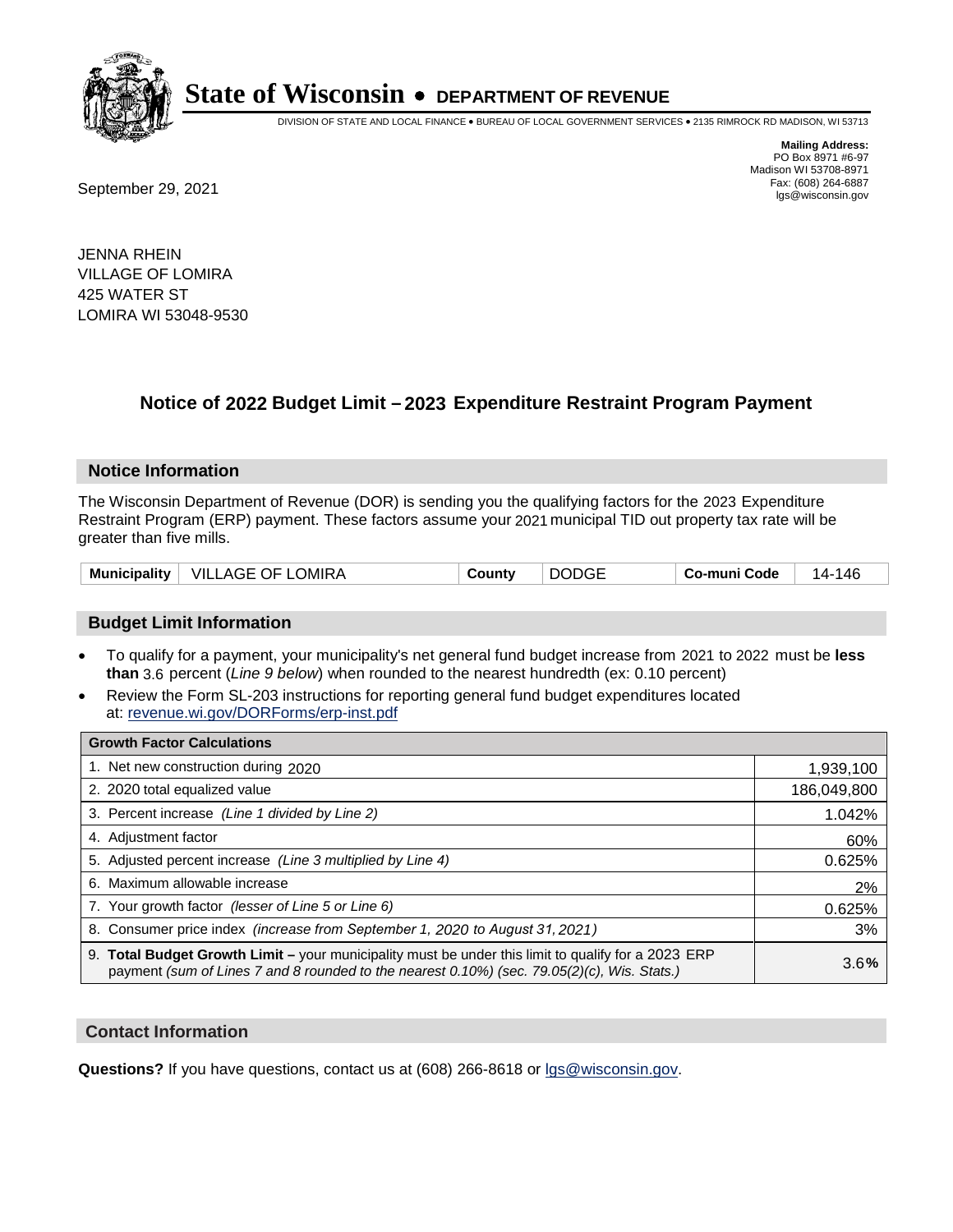

DIVISION OF STATE AND LOCAL FINANCE • BUREAU OF LOCAL GOVERNMENT SERVICES • 2135 RIMROCK RD MADISON, WI 53713

**Mailing Address:** PO Box 8971 #6-97 Madison WI 53708-8971<br>Fax: (608) 264-6887

Fax: (608) 264-6887<br>
September 29, 2021 and the state of the state of the state of the state of the state of the state of the state of the state of the state of the state of the state of the state of the state of the state

JENNA RHEIN VILLAGE OF LOMIRA 425 WATER ST LOMIRA WI 53048-9530

## **Notice of 2022 Budget Limit - 2023 Expenditure Restraint Program Payment**

#### **Notice Information**

The Wisconsin Department of Revenue (DOR) is sending you the qualifying factors for the 2023 Expenditure Restraint Program (ERP) payment. These factors assume your 2021 municipal TID out property tax rate will be greater than five mills.

| VILLAGE OF LOMIRA<br>Municipality  <br>County | <b>DODGE</b> | Co-muni Code | 146<br>14- |
|-----------------------------------------------|--------------|--------------|------------|
|-----------------------------------------------|--------------|--------------|------------|

### **Budget Limit Information**

- To qualify for a payment, your municipality's net general fund budget increase from 2021 to 2022 must be less **than** 3.6 percent (*Line 9 below*) when rounded to the nearest hundredth (ex: 0.10 percent)
- Review the Form SL-203 instructions for reporting general fund budget expenditures located at: revenue.wi.gov/DORForms/erp-inst.pdf

| <b>Growth Factor Calculations</b>                                                                                                                                                                  |             |
|----------------------------------------------------------------------------------------------------------------------------------------------------------------------------------------------------|-------------|
| 1. Net new construction during 2020                                                                                                                                                                | 1,939,100   |
| 2. 2020 total equalized value                                                                                                                                                                      | 186,049,800 |
| 3. Percent increase (Line 1 divided by Line 2)                                                                                                                                                     | 1.042%      |
| 4. Adjustment factor                                                                                                                                                                               | 60%         |
| 5. Adjusted percent increase (Line 3 multiplied by Line 4)                                                                                                                                         | 0.625%      |
| 6. Maximum allowable increase                                                                                                                                                                      | 2%          |
| 7. Your growth factor (lesser of Line 5 or Line 6)                                                                                                                                                 | 0.625%      |
| 8. Consumer price index (increase from September 1, 2020 to August 31, 2021)                                                                                                                       | 3%          |
| 9. Total Budget Growth Limit – your municipality must be under this limit to qualify for a 2023 ERP<br>payment (sum of Lines 7 and 8 rounded to the nearest 0.10%) (sec. 79.05(2)(c), Wis. Stats.) | 3.6%        |

### **Contact Information**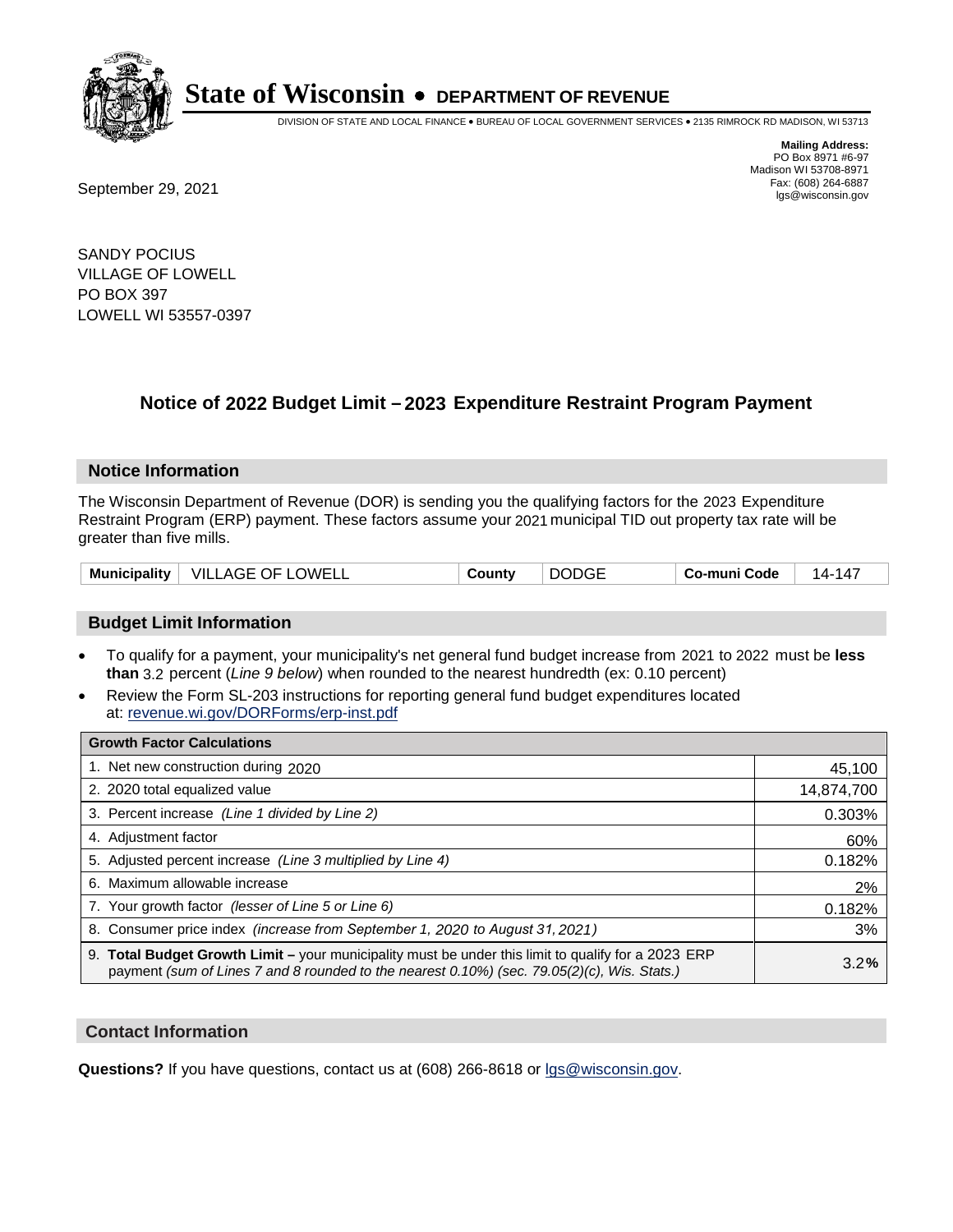

DIVISION OF STATE AND LOCAL FINANCE • BUREAU OF LOCAL GOVERNMENT SERVICES • 2135 RIMROCK RD MADISON, WI 53713

**Mailing Address:** PO Box 8971 #6-97 Madison WI 53708-8971<br>Fax: (608) 264-6887 Fax: (608) 264-6887<br>
September 29, 2021 and the state of the state of the state of the state of the state of the state of the state of the state of the state of the state of the state of the state of the state of the state

SANDY POCIUS VILLAGE OF LOWELL PO BOX 397 LOWELL WI 53557-0397

## **Notice of 2022 Budget Limit - 2023 Expenditure Restraint Program Payment**

#### **Notice Information**

The Wisconsin Department of Revenue (DOR) is sending you the qualifying factors for the 2023 Expenditure Restraint Program (ERP) payment. These factors assume your 2021 municipal TID out property tax rate will be greater than five mills.

| VILLAGE OF LOWELL<br>Municipality | County | <b>DODGE</b> | Co-muni Code | -147<br>14- |
|-----------------------------------|--------|--------------|--------------|-------------|
|-----------------------------------|--------|--------------|--------------|-------------|

### **Budget Limit Information**

- To qualify for a payment, your municipality's net general fund budget increase from 2021 to 2022 must be less **than** 3.2 percent (*Line 9 below*) when rounded to the nearest hundredth (ex: 0.10 percent)
- Review the Form SL-203 instructions for reporting general fund budget expenditures located at: revenue.wi.gov/DORForms/erp-inst.pdf

| <b>Growth Factor Calculations</b>                                                                                                                                                                  |            |
|----------------------------------------------------------------------------------------------------------------------------------------------------------------------------------------------------|------------|
| 1. Net new construction during 2020                                                                                                                                                                | 45,100     |
| 2. 2020 total equalized value                                                                                                                                                                      | 14,874,700 |
| 3. Percent increase (Line 1 divided by Line 2)                                                                                                                                                     | 0.303%     |
| 4. Adjustment factor                                                                                                                                                                               | 60%        |
| 5. Adjusted percent increase (Line 3 multiplied by Line 4)                                                                                                                                         | 0.182%     |
| 6. Maximum allowable increase                                                                                                                                                                      | 2%         |
| 7. Your growth factor (lesser of Line 5 or Line 6)                                                                                                                                                 | 0.182%     |
| 8. Consumer price index (increase from September 1, 2020 to August 31, 2021)                                                                                                                       | 3%         |
| 9. Total Budget Growth Limit – your municipality must be under this limit to qualify for a 2023 ERP<br>payment (sum of Lines 7 and 8 rounded to the nearest 0.10%) (sec. 79.05(2)(c), Wis. Stats.) | 3.2%       |

#### **Contact Information**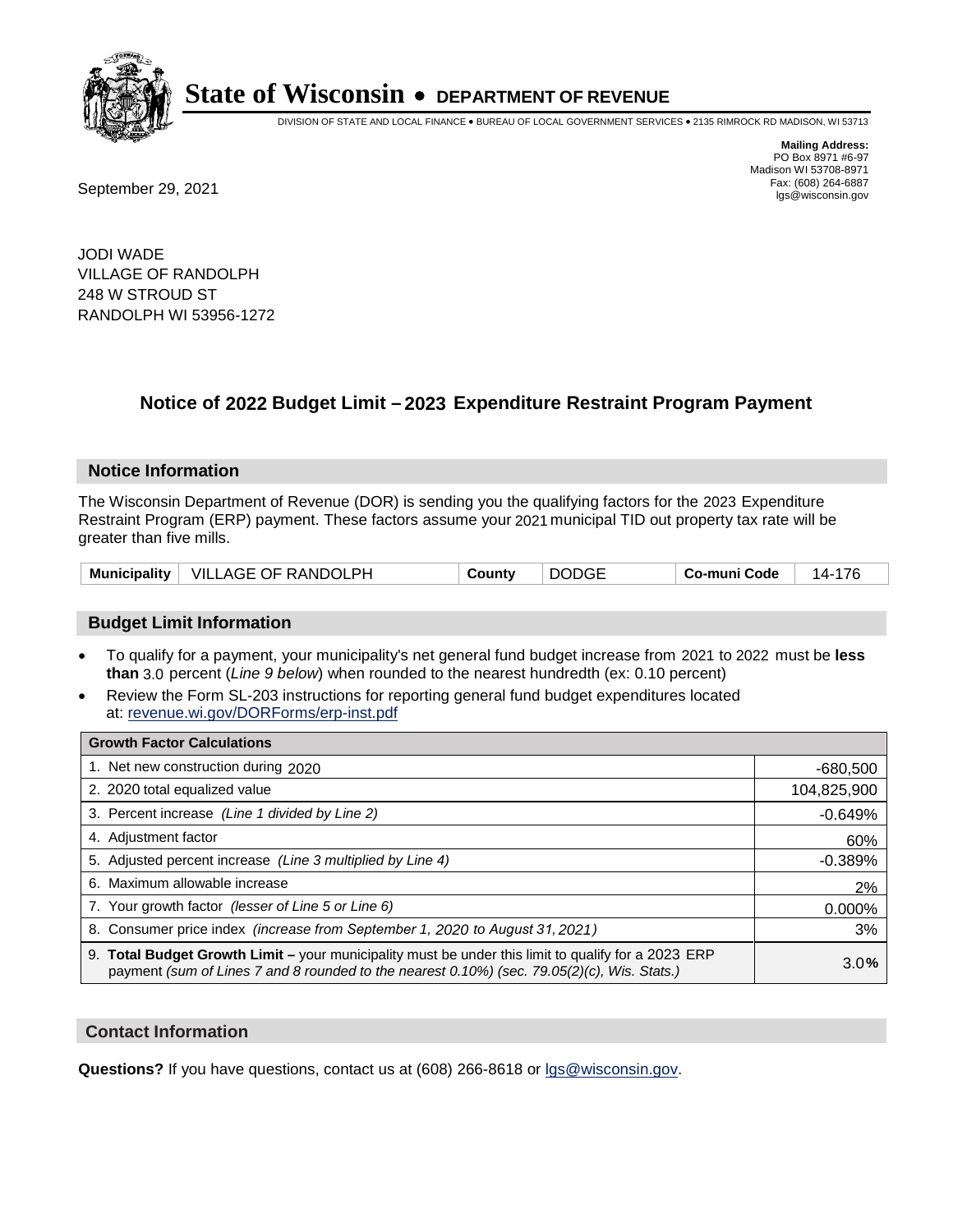

DIVISION OF STATE AND LOCAL FINANCE • BUREAU OF LOCAL GOVERNMENT SERVICES • 2135 RIMROCK RD MADISON, WI 53713

**Mailing Address:** PO Box 8971 #6-97 Madison WI 53708-8971<br>Fax: (608) 264-6887

Fax: (608) 264-6887<br>
September 29, 2021 and the state of the state of the state of the state of the state of the state of the state of the state of the state of the state of the state of the state of the state of the state

JODI WADE VILLAGE OF RANDOLPH 248 W STROUD ST RANDOLPH WI 53956-1272

## **Notice of 2022 Budget Limit - 2023 Expenditure Restraint Program Payment**

#### **Notice Information**

The Wisconsin Department of Revenue (DOR) is sending you the qualifying factors for the 2023 Expenditure Restraint Program (ERP) payment. These factors assume your 2021 municipal TID out property tax rate will be greater than five mills.

| Municipality | $^+$ VILLAGE OF RANDOLPH | County | <b>DODGE</b> | Co-muni Code | 14- |
|--------------|--------------------------|--------|--------------|--------------|-----|
|--------------|--------------------------|--------|--------------|--------------|-----|

### **Budget Limit Information**

- To qualify for a payment, your municipality's net general fund budget increase from 2021 to 2022 must be less **than** 3.0 percent (*Line 9 below*) when rounded to the nearest hundredth (ex: 0.10 percent)
- Review the Form SL-203 instructions for reporting general fund budget expenditures located at: revenue.wi.gov/DORForms/erp-inst.pdf

| <b>Growth Factor Calculations</b>                                                                                                                                                                  |             |
|----------------------------------------------------------------------------------------------------------------------------------------------------------------------------------------------------|-------------|
| 1. Net new construction during 2020                                                                                                                                                                | $-680,500$  |
| 2. 2020 total equalized value                                                                                                                                                                      | 104,825,900 |
| 3. Percent increase (Line 1 divided by Line 2)                                                                                                                                                     | $-0.649%$   |
| 4. Adjustment factor                                                                                                                                                                               | 60%         |
| 5. Adjusted percent increase (Line 3 multiplied by Line 4)                                                                                                                                         | $-0.389%$   |
| 6. Maximum allowable increase                                                                                                                                                                      | 2%          |
| 7. Your growth factor (lesser of Line 5 or Line 6)                                                                                                                                                 | 0.000%      |
| 8. Consumer price index (increase from September 1, 2020 to August 31, 2021)                                                                                                                       | 3%          |
| 9. Total Budget Growth Limit – your municipality must be under this limit to qualify for a 2023 ERP<br>payment (sum of Lines 7 and 8 rounded to the nearest 0.10%) (sec. 79.05(2)(c), Wis. Stats.) | 3.0%        |

#### **Contact Information**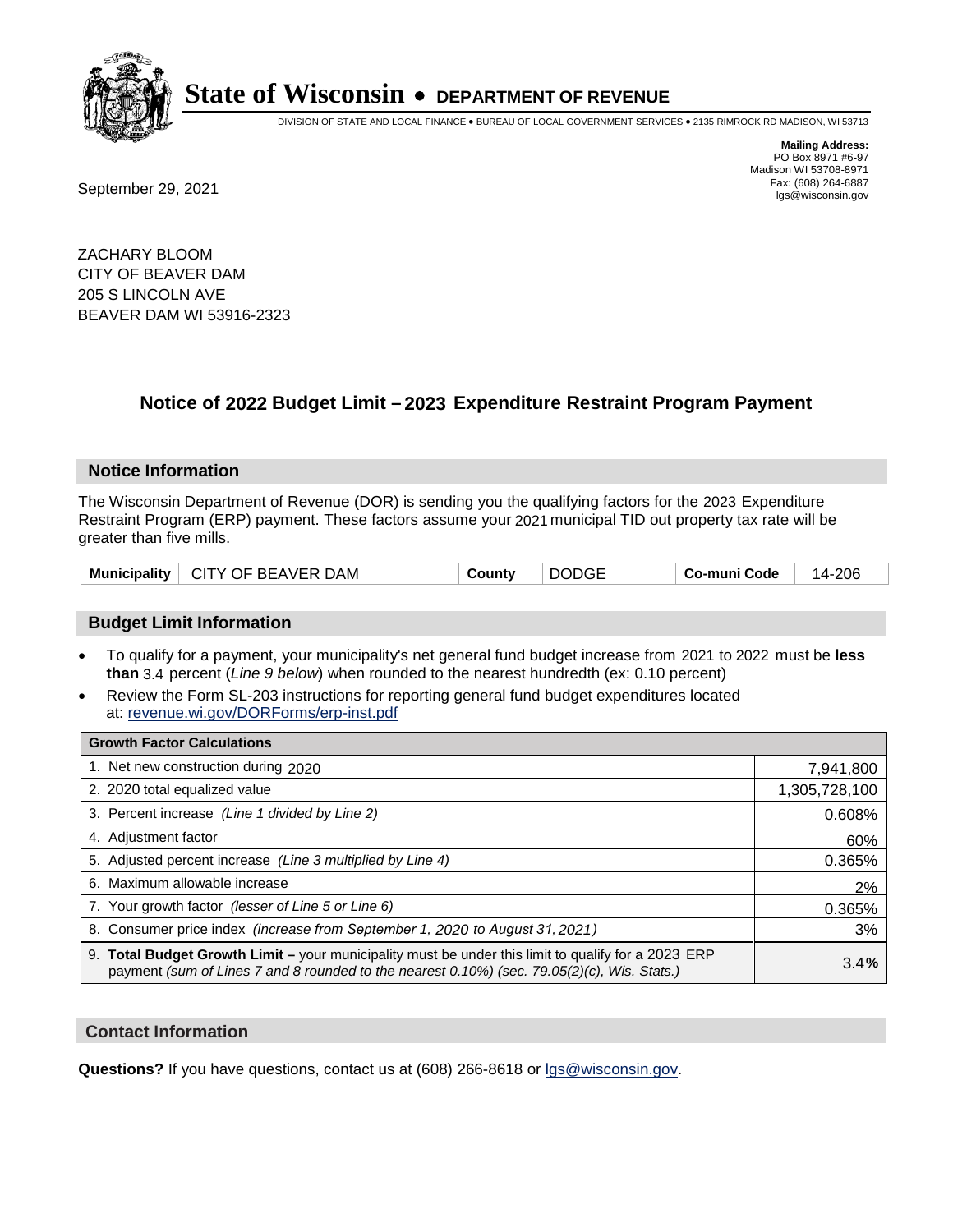

DIVISION OF STATE AND LOCAL FINANCE • BUREAU OF LOCAL GOVERNMENT SERVICES • 2135 RIMROCK RD MADISON, WI 53713

**Mailing Address:** PO Box 8971 #6-97 Madison WI 53708-8971<br>Fax: (608) 264-6887

Fax: (608) 264-6887<br>
September 29, 2021 and the state of the state of the state of the state of the state of the state of the state of the state of the state of the state of the state of the state of the state of the state

ZACHARY BLOOM CITY OF BEAVER DAM 205 S LINCOLN AVE BEAVER DAM WI 53916-2323

## **Notice of 2022 Budget Limit - 2023 Expenditure Restraint Program Payment**

#### **Notice Information**

The Wisconsin Department of Revenue (DOR) is sending you the qualifying factors for the 2023 Expenditure Restraint Program (ERP) payment. These factors assume your 2021 municipal TID out property tax rate will be greater than five mills.

### **Budget Limit Information**

- To qualify for a payment, your municipality's net general fund budget increase from 2021 to 2022 must be less **than** 3.4 percent (*Line 9 below*) when rounded to the nearest hundredth (ex: 0.10 percent)
- Review the Form SL-203 instructions for reporting general fund budget expenditures located at: revenue.wi.gov/DORForms/erp-inst.pdf

| <b>Growth Factor Calculations</b>                                                                                                                                                                  |               |
|----------------------------------------------------------------------------------------------------------------------------------------------------------------------------------------------------|---------------|
| 1. Net new construction during 2020                                                                                                                                                                | 7,941,800     |
| 2. 2020 total equalized value                                                                                                                                                                      | 1,305,728,100 |
| 3. Percent increase (Line 1 divided by Line 2)                                                                                                                                                     | 0.608%        |
| 4. Adiustment factor                                                                                                                                                                               | 60%           |
| 5. Adjusted percent increase (Line 3 multiplied by Line 4)                                                                                                                                         | 0.365%        |
| Maximum allowable increase<br>6.                                                                                                                                                                   | 2%            |
| 7. Your growth factor (lesser of Line 5 or Line 6)                                                                                                                                                 | 0.365%        |
| 8. Consumer price index (increase from September 1, 2020 to August 31, 2021)                                                                                                                       | 3%            |
| 9. Total Budget Growth Limit - your municipality must be under this limit to qualify for a 2023 ERP<br>payment (sum of Lines 7 and 8 rounded to the nearest 0.10%) (sec. 79.05(2)(c), Wis. Stats.) | 3.4%          |

#### **Contact Information**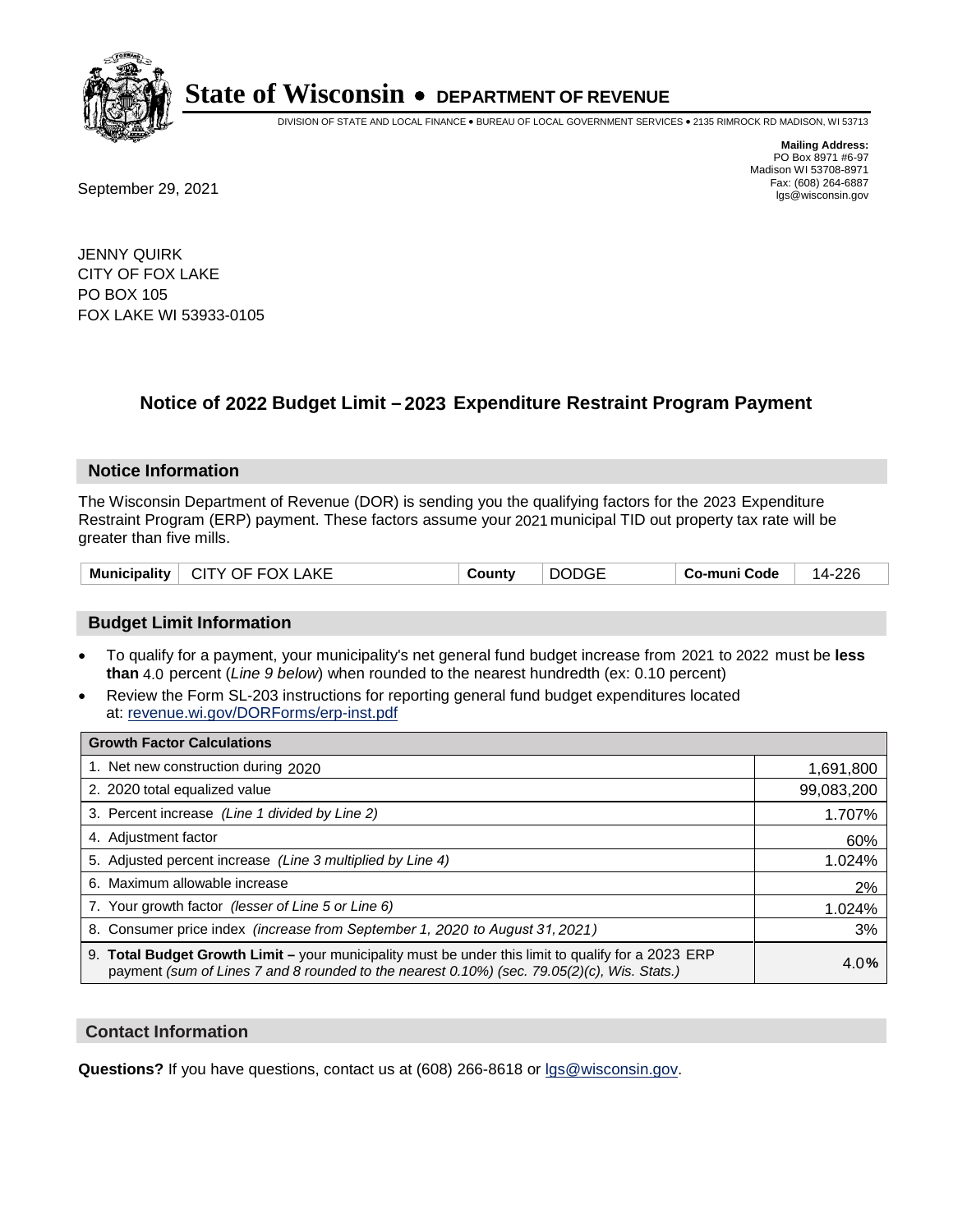

DIVISION OF STATE AND LOCAL FINANCE • BUREAU OF LOCAL GOVERNMENT SERVICES • 2135 RIMROCK RD MADISON, WI 53713

Fax: (608) 264-6887<br>
September 29, 2021 and the state of the state of the state of the state of the state of the state of the state of the state of the state of the state of the state of the state of the state of the state

**Mailing Address:** PO Box 8971 #6-97 Madison WI 53708-8971<br>Fax: (608) 264-6887

JENNY QUIRK CITY OF FOX LAKE PO BOX 105 FOX LAKE WI 53933-0105

## **Notice of 2022 Budget Limit - 2023 Expenditure Restraint Program Payment**

#### **Notice Information**

The Wisconsin Department of Revenue (DOR) is sending you the qualifying factors for the 2023 Expenditure Restraint Program (ERP) payment. These factors assume your 2021 municipal TID out property tax rate will be greater than five mills.

| <b>DODGE</b><br>Municipality   CITY OF FOX LAKE<br>⊺ Co-muni Code<br>Countv | 14-226 |
|-----------------------------------------------------------------------------|--------|
|-----------------------------------------------------------------------------|--------|

### **Budget Limit Information**

- To qualify for a payment, your municipality's net general fund budget increase from 2021 to 2022 must be less **than** 4.0 percent (*Line 9 below*) when rounded to the nearest hundredth (ex: 0.10 percent)
- Review the Form SL-203 instructions for reporting general fund budget expenditures located at: revenue.wi.gov/DORForms/erp-inst.pdf

| <b>Growth Factor Calculations</b>                                                                                                                                                                  |            |
|----------------------------------------------------------------------------------------------------------------------------------------------------------------------------------------------------|------------|
| 1. Net new construction during 2020                                                                                                                                                                | 1,691,800  |
| 2. 2020 total equalized value                                                                                                                                                                      | 99,083,200 |
| 3. Percent increase (Line 1 divided by Line 2)                                                                                                                                                     | 1.707%     |
| 4. Adiustment factor                                                                                                                                                                               | 60%        |
| 5. Adjusted percent increase (Line 3 multiplied by Line 4)                                                                                                                                         | 1.024%     |
| 6. Maximum allowable increase                                                                                                                                                                      | 2%         |
| 7. Your growth factor (lesser of Line 5 or Line 6)                                                                                                                                                 | 1.024%     |
| 8. Consumer price index (increase from September 1, 2020 to August 31, 2021)                                                                                                                       | 3%         |
| 9. Total Budget Growth Limit - your municipality must be under this limit to qualify for a 2023 ERP<br>payment (sum of Lines 7 and 8 rounded to the nearest 0.10%) (sec. 79.05(2)(c), Wis. Stats.) | 4.0%       |

#### **Contact Information**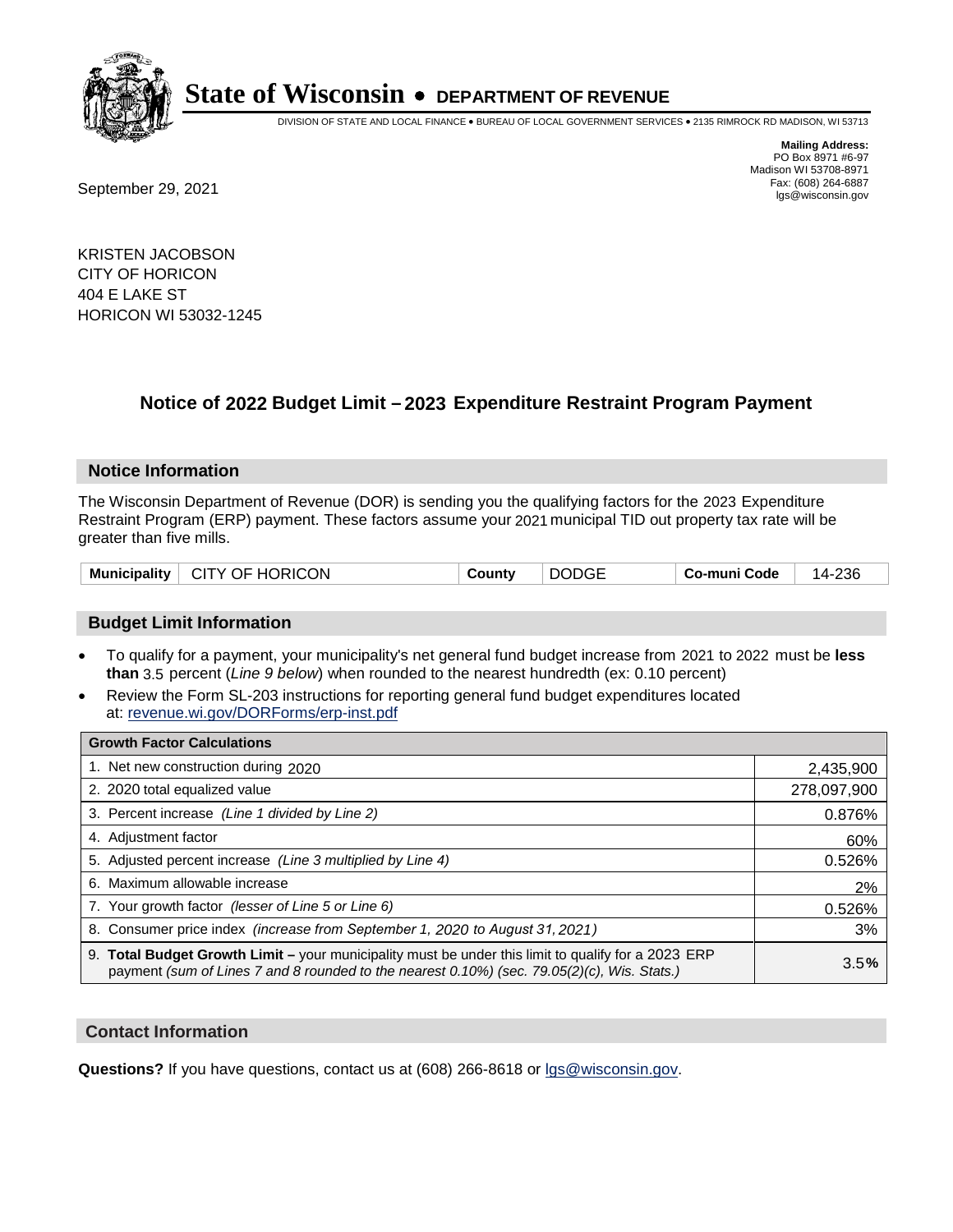

DIVISION OF STATE AND LOCAL FINANCE • BUREAU OF LOCAL GOVERNMENT SERVICES • 2135 RIMROCK RD MADISON, WI 53713

Madison WI 53708-8971<br>Fax: (608) 264-6887

**Mailing Address:** PO Box 8971 #6-97

Fax: (608) 264-6887<br>
September 29, 2021 and the state of the state of the state of the state of the state of the state of the state of the state of the state of the state of the state of the state of the state of the state

KRISTEN JACOBSON CITY OF HORICON 404 E LAKE ST HORICON WI 53032-1245

## **Notice of 2022 Budget Limit - 2023 Expenditure Restraint Program Payment**

#### **Notice Information**

The Wisconsin Department of Revenue (DOR) is sending you the qualifying factors for the 2023 Expenditure Restraint Program (ERP) payment. These factors assume your 2021 municipal TID out property tax rate will be greater than five mills.

| <b>DODGE</b><br>Municipality   CITY OF HORICON<br>Countv<br>∣ Co-muni Code |
|----------------------------------------------------------------------------|
|----------------------------------------------------------------------------|

### **Budget Limit Information**

- To qualify for a payment, your municipality's net general fund budget increase from 2021 to 2022 must be less **than** 3.5 percent (*Line 9 below*) when rounded to the nearest hundredth (ex: 0.10 percent)
- Review the Form SL-203 instructions for reporting general fund budget expenditures located at: revenue.wi.gov/DORForms/erp-inst.pdf

| <b>Growth Factor Calculations</b>                                                                                                                                                                  |             |
|----------------------------------------------------------------------------------------------------------------------------------------------------------------------------------------------------|-------------|
| 1. Net new construction during 2020                                                                                                                                                                | 2,435,900   |
| 2. 2020 total equalized value                                                                                                                                                                      | 278,097,900 |
| 3. Percent increase (Line 1 divided by Line 2)                                                                                                                                                     | 0.876%      |
| 4. Adjustment factor                                                                                                                                                                               | 60%         |
| 5. Adjusted percent increase (Line 3 multiplied by Line 4)                                                                                                                                         | 0.526%      |
| 6. Maximum allowable increase                                                                                                                                                                      | 2%          |
| 7. Your growth factor (lesser of Line 5 or Line 6)                                                                                                                                                 | 0.526%      |
| 8. Consumer price index (increase from September 1, 2020 to August 31, 2021)                                                                                                                       | 3%          |
| 9. Total Budget Growth Limit – your municipality must be under this limit to qualify for a 2023 ERP<br>payment (sum of Lines 7 and 8 rounded to the nearest 0.10%) (sec. 79.05(2)(c), Wis. Stats.) | 3.5%        |

### **Contact Information**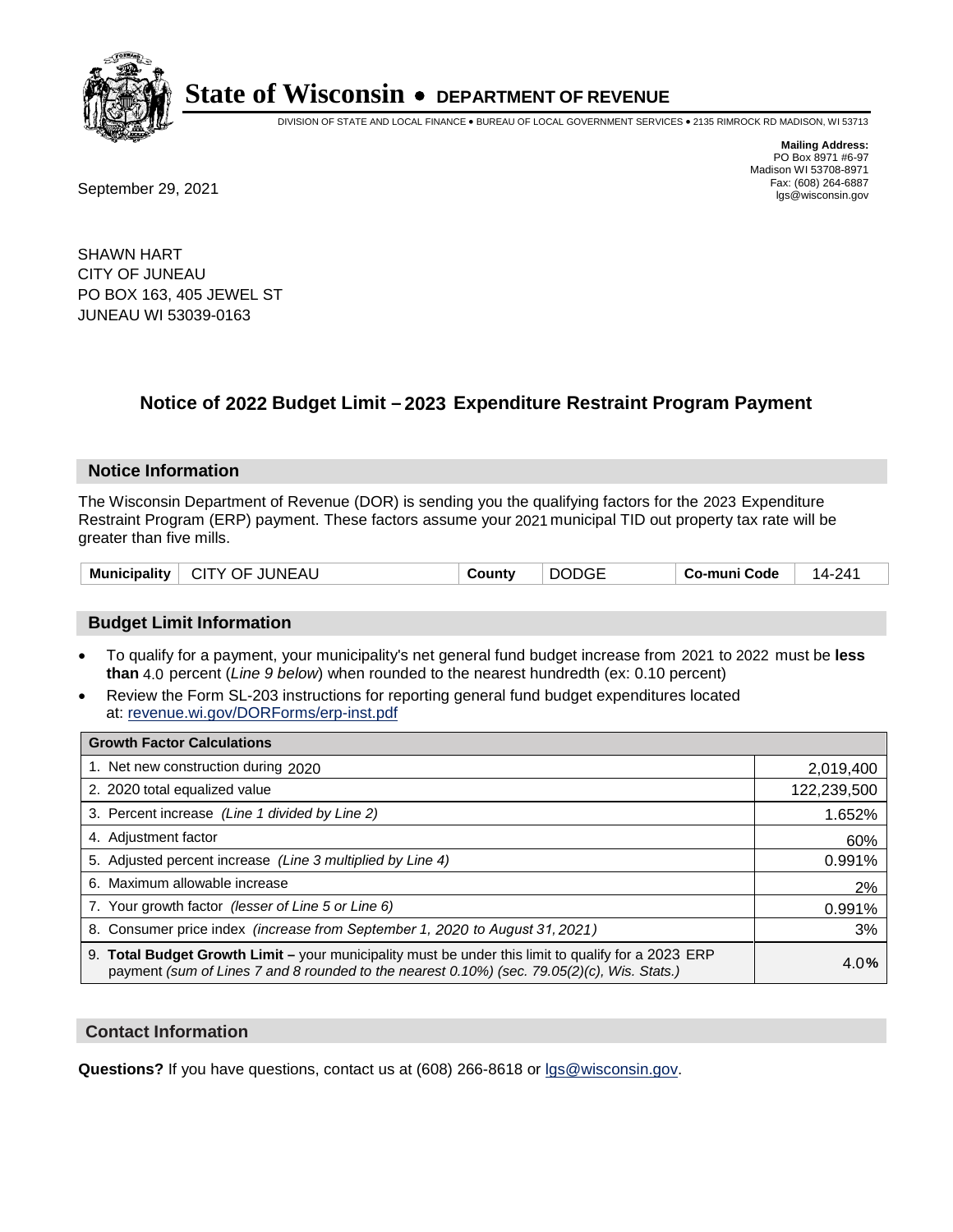

DIVISION OF STATE AND LOCAL FINANCE • BUREAU OF LOCAL GOVERNMENT SERVICES • 2135 RIMROCK RD MADISON, WI 53713

Fax: (608) 264-6887<br>
September 29, 2021 and the state of the state of the state of the state of the state of the state of the state of the state of the state of the state of the state of the state of the state of the state

**Mailing Address:** PO Box 8971 #6-97 Madison WI 53708-8971<br>Fax: (608) 264-6887

SHAWN HART CITY OF JUNEAU PO BOX 163, 405 JEWEL ST JUNEAU WI 53039-0163

## **Notice of 2022 Budget Limit - 2023 Expenditure Restraint Program Payment**

#### **Notice Information**

The Wisconsin Department of Revenue (DOR) is sending you the qualifying factors for the 2023 Expenditure Restraint Program (ERP) payment. These factors assume your 2021 municipal TID out property tax rate will be greater than five mills.

| <b>Municipality</b> | CITY OF JUNEAU | County | <b>DODGE</b> | Co-muni Code | 14-241 |
|---------------------|----------------|--------|--------------|--------------|--------|
|                     |                |        |              |              |        |

#### **Budget Limit Information**

- To qualify for a payment, your municipality's net general fund budget increase from 2021 to 2022 must be less **than** 4.0 percent (*Line 9 below*) when rounded to the nearest hundredth (ex: 0.10 percent)
- Review the Form SL-203 instructions for reporting general fund budget expenditures located at: revenue.wi.gov/DORForms/erp-inst.pdf

| <b>Growth Factor Calculations</b>                                                                                                                                                                  |             |
|----------------------------------------------------------------------------------------------------------------------------------------------------------------------------------------------------|-------------|
| 1. Net new construction during 2020                                                                                                                                                                | 2,019,400   |
| 2. 2020 total equalized value                                                                                                                                                                      | 122,239,500 |
| 3. Percent increase (Line 1 divided by Line 2)                                                                                                                                                     | 1.652%      |
| 4. Adjustment factor                                                                                                                                                                               | 60%         |
| 5. Adjusted percent increase (Line 3 multiplied by Line 4)                                                                                                                                         | 0.991%      |
| 6. Maximum allowable increase                                                                                                                                                                      | 2%          |
| 7. Your growth factor (lesser of Line 5 or Line 6)                                                                                                                                                 | 0.991%      |
| 8. Consumer price index (increase from September 1, 2020 to August 31, 2021)                                                                                                                       | 3%          |
| 9. Total Budget Growth Limit - your municipality must be under this limit to qualify for a 2023 ERP<br>payment (sum of Lines 7 and 8 rounded to the nearest 0.10%) (sec. 79.05(2)(c), Wis. Stats.) | 4.0%        |

#### **Contact Information**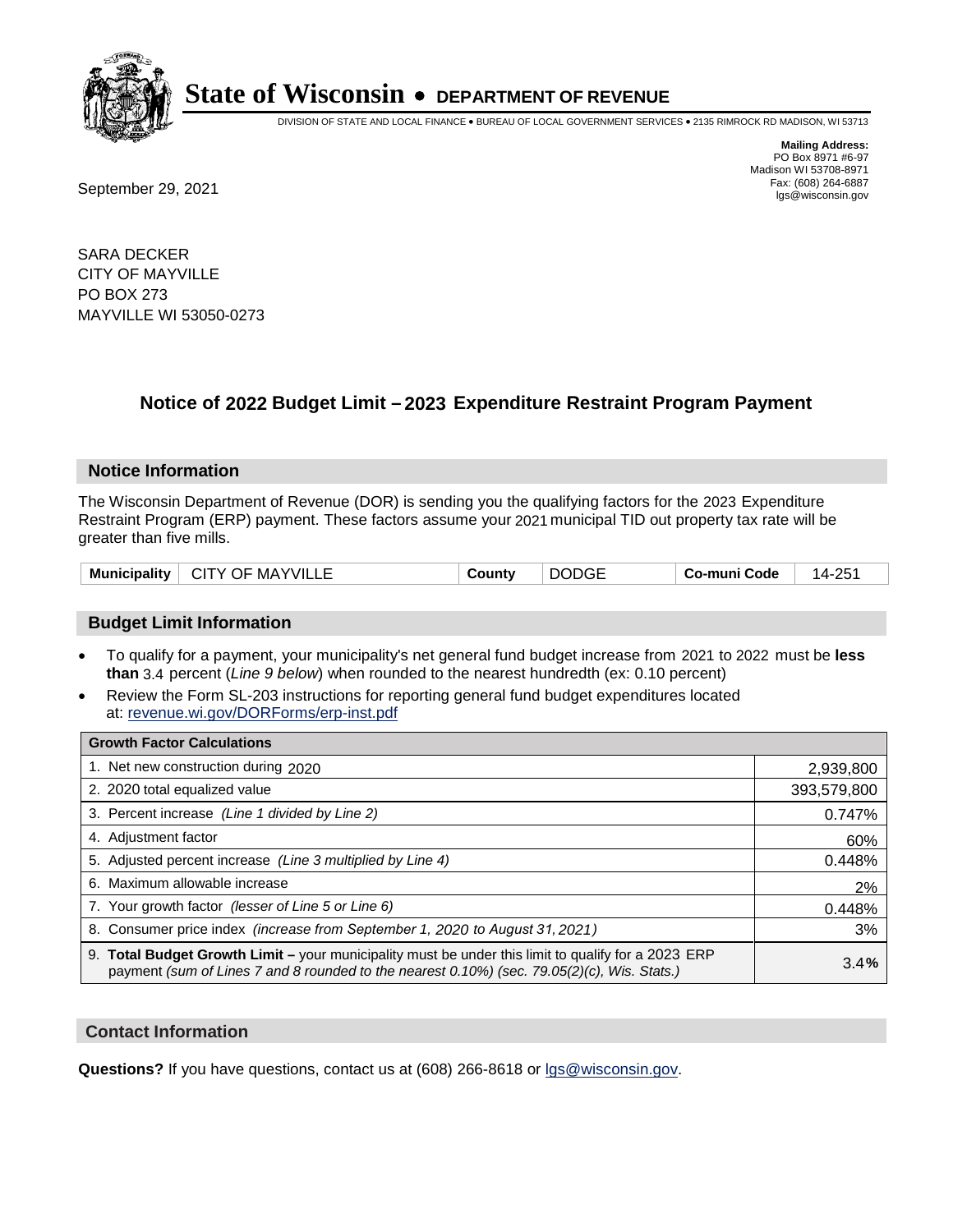

DIVISION OF STATE AND LOCAL FINANCE • BUREAU OF LOCAL GOVERNMENT SERVICES • 2135 RIMROCK RD MADISON, WI 53713

**Mailing Address:** PO Box 8971 #6-97 Madison WI 53708-8971<br>Fax: (608) 264-6887

Fax: (608) 264-6887<br>
September 29, 2021 and the state of the state of the state of the state of the state of the state of the state of the state of the state of the state of the state of the state of the state of the state

SARA DECKER CITY OF MAYVILLE PO BOX 273 MAYVILLE WI 53050-0273

## **Notice of 2022 Budget Limit - 2023 Expenditure Restraint Program Payment**

#### **Notice Information**

The Wisconsin Department of Revenue (DOR) is sending you the qualifying factors for the 2023 Expenditure Restraint Program (ERP) payment. These factors assume your 2021 municipal TID out property tax rate will be greater than five mills.

| Municipality  <br><b>CITY OF MAYVILLE</b> | Countv | <b>DODGE</b> | Co-muni Code | つらっ<br>14- |
|-------------------------------------------|--------|--------------|--------------|------------|
|-------------------------------------------|--------|--------------|--------------|------------|

### **Budget Limit Information**

- To qualify for a payment, your municipality's net general fund budget increase from 2021 to 2022 must be less **than** 3.4 percent (*Line 9 below*) when rounded to the nearest hundredth (ex: 0.10 percent)
- Review the Form SL-203 instructions for reporting general fund budget expenditures located at: revenue.wi.gov/DORForms/erp-inst.pdf

| <b>Growth Factor Calculations</b>                                                                                                                                                                      |             |
|--------------------------------------------------------------------------------------------------------------------------------------------------------------------------------------------------------|-------------|
| 1. Net new construction during 2020                                                                                                                                                                    | 2,939,800   |
| 2. 2020 total equalized value                                                                                                                                                                          | 393,579,800 |
| 3. Percent increase (Line 1 divided by Line 2)                                                                                                                                                         | 0.747%      |
| 4. Adjustment factor                                                                                                                                                                                   | 60%         |
| 5. Adjusted percent increase (Line 3 multiplied by Line 4)                                                                                                                                             | 0.448%      |
| 6. Maximum allowable increase                                                                                                                                                                          | 2%          |
| 7. Your growth factor (lesser of Line 5 or Line 6)                                                                                                                                                     | 0.448%      |
| 8. Consumer price index (increase from September 1, 2020 to August 31, 2021)                                                                                                                           | 3%          |
| 9. Total Budget Growth Limit - your municipality must be under this limit to qualify for a 2023 ERP<br>payment (sum of Lines 7 and 8 rounded to the nearest $0.10\%$ ) (sec. 79.05(2)(c), Wis. Stats.) | 3.4%        |

### **Contact Information**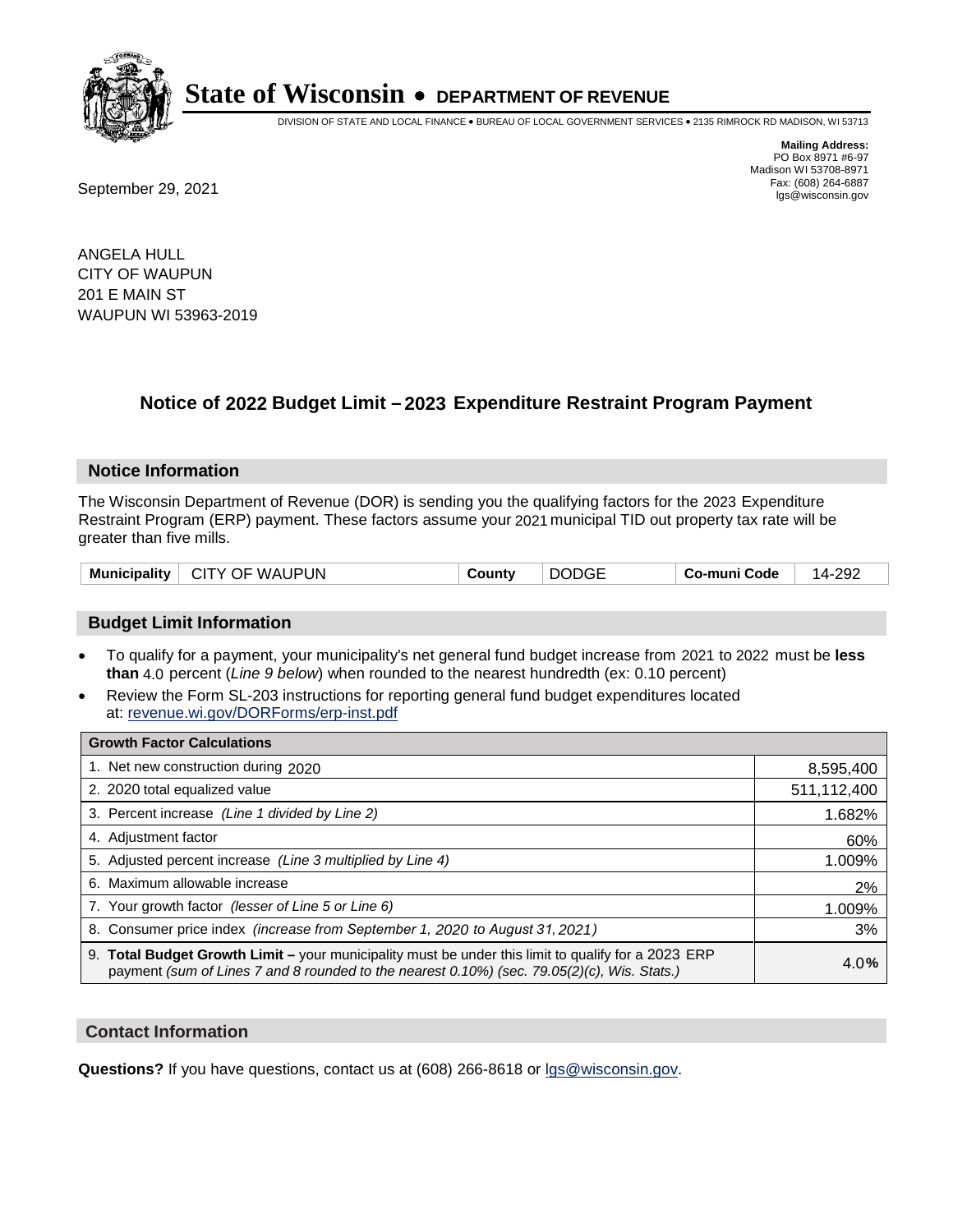

DIVISION OF STATE AND LOCAL FINANCE • BUREAU OF LOCAL GOVERNMENT SERVICES • 2135 RIMROCK RD MADISON, WI 53713

Fax: (608) 264-6887<br>
September 29, 2021 and the state of the state of the state of the state of the state of the state of the state of the state of the state of the state of the state of the state of the state of the state

**Mailing Address:** PO Box 8971 #6-97 Madison WI 53708-8971<br>Fax: (608) 264-6887

ANGELA HULL CITY OF WAUPUN 201 E MAIN ST WAUPUN WI 53963-2019

## **Notice of 2022 Budget Limit - 2023 Expenditure Restraint Program Payment**

#### **Notice Information**

The Wisconsin Department of Revenue (DOR) is sending you the qualifying factors for the 2023 Expenditure Restraint Program (ERP) payment. These factors assume your 2021 municipal TID out property tax rate will be greater than five mills.

| <b>Municipality</b><br>CITY OF WAUPUN | <b>DODGE</b><br>County | Co-muni Code | 14-292 |
|---------------------------------------|------------------------|--------------|--------|
|---------------------------------------|------------------------|--------------|--------|

### **Budget Limit Information**

- To qualify for a payment, your municipality's net general fund budget increase from 2021 to 2022 must be less **than** 4.0 percent (*Line 9 below*) when rounded to the nearest hundredth (ex: 0.10 percent)
- Review the Form SL-203 instructions for reporting general fund budget expenditures located at: revenue.wi.gov/DORForms/erp-inst.pdf

| <b>Growth Factor Calculations</b>                                                                                                                                                                  |             |
|----------------------------------------------------------------------------------------------------------------------------------------------------------------------------------------------------|-------------|
| 1. Net new construction during 2020                                                                                                                                                                | 8,595,400   |
| 2. 2020 total equalized value                                                                                                                                                                      | 511,112,400 |
| 3. Percent increase (Line 1 divided by Line 2)                                                                                                                                                     | 1.682%      |
| 4. Adjustment factor                                                                                                                                                                               | 60%         |
| 5. Adjusted percent increase (Line 3 multiplied by Line 4)                                                                                                                                         | 1.009%      |
| 6. Maximum allowable increase                                                                                                                                                                      | 2%          |
| 7. Your growth factor (lesser of Line 5 or Line 6)                                                                                                                                                 | 1.009%      |
| 8. Consumer price index (increase from September 1, 2020 to August 31, 2021)                                                                                                                       | 3%          |
| 9. Total Budget Growth Limit – your municipality must be under this limit to qualify for a 2023 ERP<br>payment (sum of Lines 7 and 8 rounded to the nearest 0.10%) (sec. 79.05(2)(c), Wis. Stats.) | 4.0%        |

#### **Contact Information**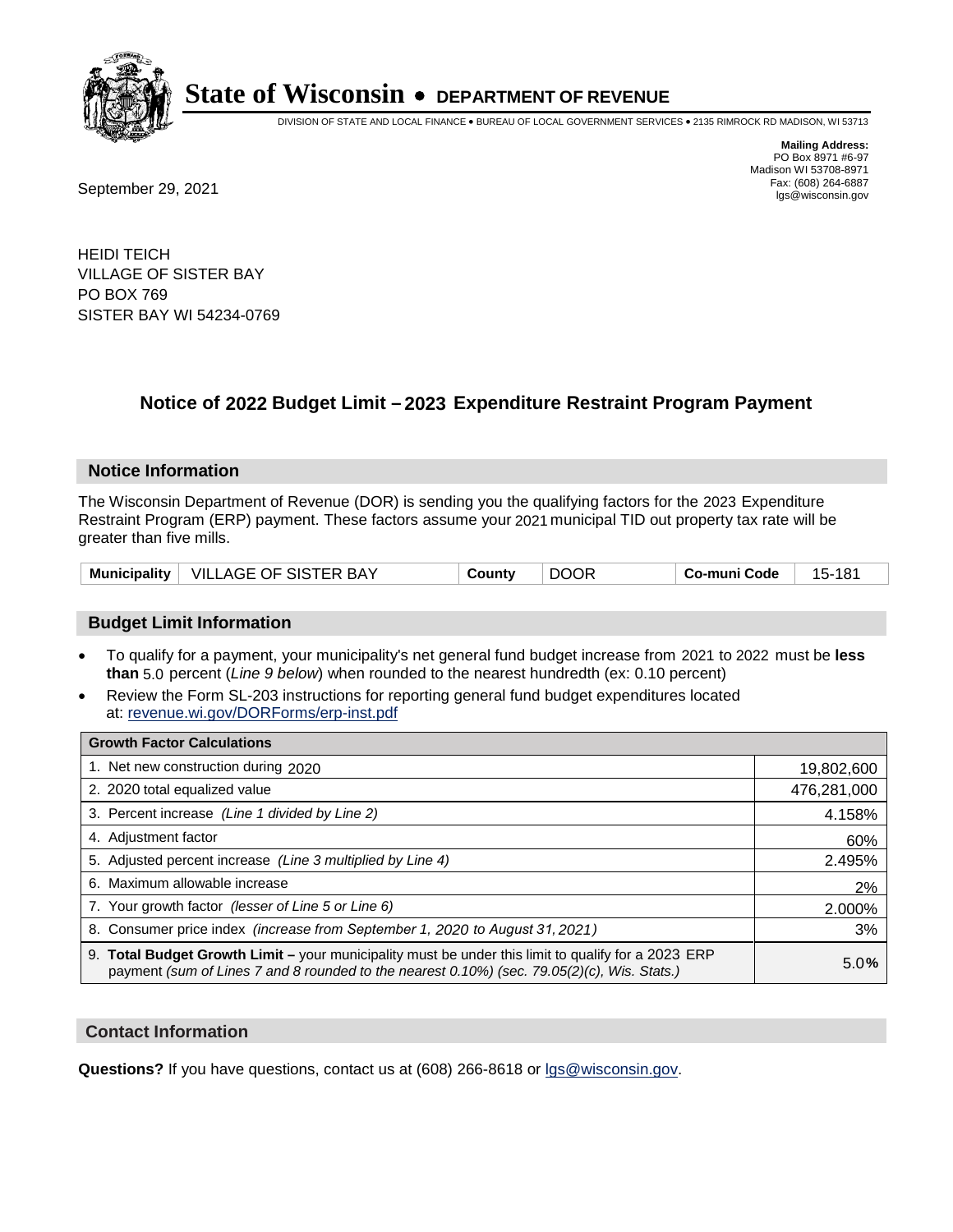

DIVISION OF STATE AND LOCAL FINANCE • BUREAU OF LOCAL GOVERNMENT SERVICES • 2135 RIMROCK RD MADISON, WI 53713

**Mailing Address:** PO Box 8971 #6-97 Madison WI 53708-8971<br>Fax: (608) 264-6887

Fax: (608) 264-6887<br>
September 29, 2021 and the state of the state of the state of the state of the state of the state of the state of the state of the state of the state of the state of the state of the state of the state

HEIDI TEICH VILLAGE OF SISTER BAY PO BOX 769 SISTER BAY WI 54234-0769

## **Notice of 2022 Budget Limit - 2023 Expenditure Restraint Program Payment**

#### **Notice Information**

The Wisconsin Department of Revenue (DOR) is sending you the qualifying factors for the 2023 Expenditure Restraint Program (ERP) payment. These factors assume your 2021 municipal TID out property tax rate will be greater than five mills.

|  | Municipality   VILLAGE OF SISTER BAY | County | <b>DOOR</b> | Co-muni Code | 15-181 |
|--|--------------------------------------|--------|-------------|--------------|--------|
|--|--------------------------------------|--------|-------------|--------------|--------|

### **Budget Limit Information**

- To qualify for a payment, your municipality's net general fund budget increase from 2021 to 2022 must be less **than** 5.0 percent (*Line 9 below*) when rounded to the nearest hundredth (ex: 0.10 percent)
- Review the Form SL-203 instructions for reporting general fund budget expenditures located at: revenue.wi.gov/DORForms/erp-inst.pdf

| <b>Growth Factor Calculations</b>                                                                                                                                                                  |             |
|----------------------------------------------------------------------------------------------------------------------------------------------------------------------------------------------------|-------------|
| 1. Net new construction during 2020                                                                                                                                                                | 19,802,600  |
| 2. 2020 total equalized value                                                                                                                                                                      | 476,281,000 |
| 3. Percent increase (Line 1 divided by Line 2)                                                                                                                                                     | 4.158%      |
| 4. Adjustment factor                                                                                                                                                                               | 60%         |
| 5. Adjusted percent increase (Line 3 multiplied by Line 4)                                                                                                                                         | 2.495%      |
| 6. Maximum allowable increase                                                                                                                                                                      | 2%          |
| 7. Your growth factor (lesser of Line 5 or Line 6)                                                                                                                                                 | 2.000%      |
| 8. Consumer price index (increase from September 1, 2020 to August 31, 2021)                                                                                                                       | 3%          |
| 9. Total Budget Growth Limit - your municipality must be under this limit to qualify for a 2023 ERP<br>payment (sum of Lines 7 and 8 rounded to the nearest 0.10%) (sec. 79.05(2)(c), Wis. Stats.) | 5.0%        |

#### **Contact Information**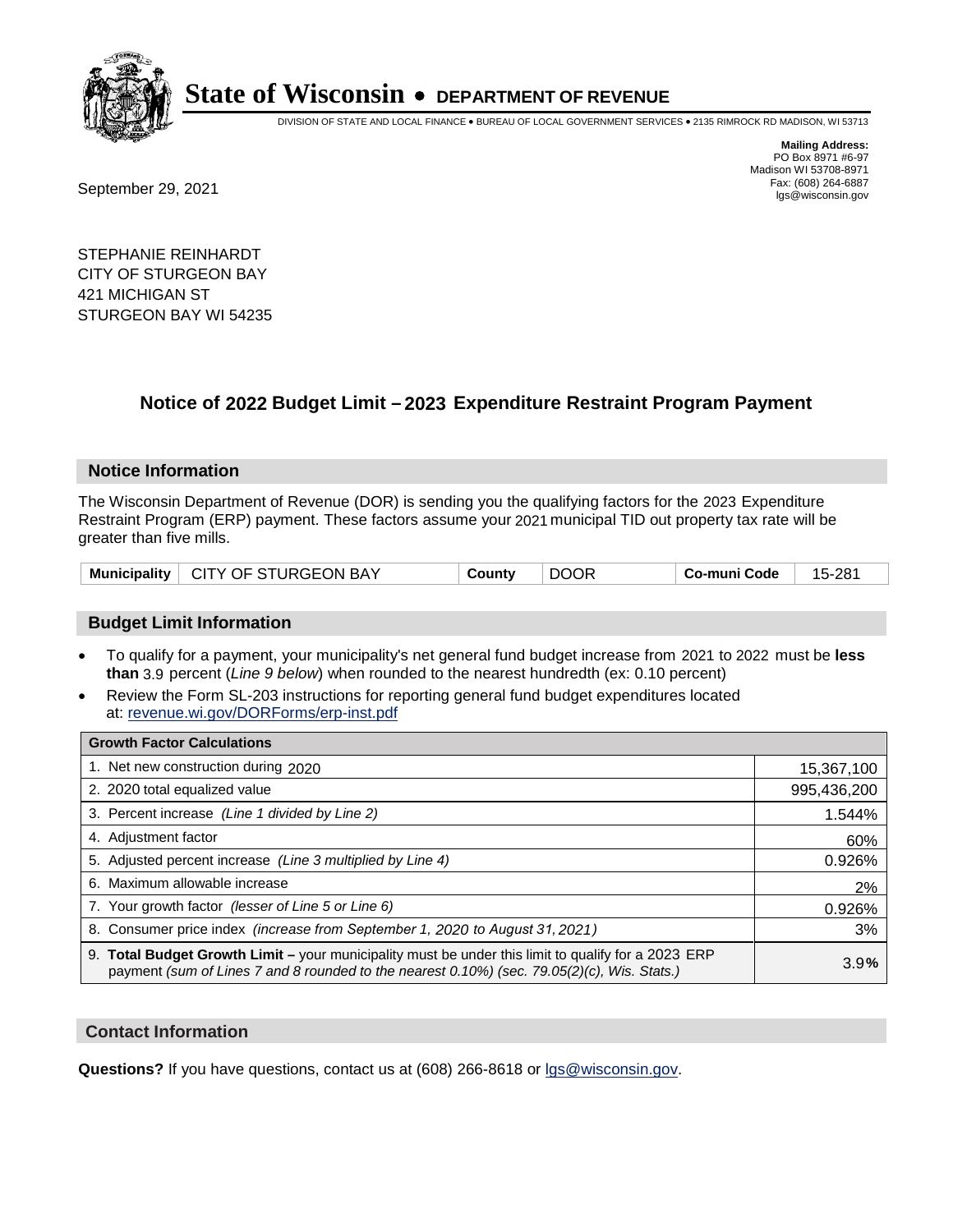

DIVISION OF STATE AND LOCAL FINANCE • BUREAU OF LOCAL GOVERNMENT SERVICES • 2135 RIMROCK RD MADISON, WI 53713

Fax: (608) 264-6887<br>
September 29, 2021 and the state of the state of the state of the state of the state of the state of the state of the state of the state of the state of the state of the state of the state of the state

**Mailing Address:** PO Box 8971 #6-97 Madison WI 53708-8971<br>Fax: (608) 264-6887

STEPHANIE REINHARDT CITY OF STURGEON BAY 421 MICHIGAN ST STURGEON BAY WI 54235

### **Notice of 2022 Budget Limit - 2023 Expenditure Restraint Program Payment**

#### **Notice Information**

The Wisconsin Department of Revenue (DOR) is sending you the qualifying factors for the 2023 Expenditure Restraint Program (ERP) payment. These factors assume your 2021 municipal TID out property tax rate will be greater than five mills.

| Municipality   CITY OF STURGEON BAY | County | <b>DOOR</b> | Co-muni Code | 15-281 |
|-------------------------------------|--------|-------------|--------------|--------|
|-------------------------------------|--------|-------------|--------------|--------|

#### **Budget Limit Information**

- To qualify for a payment, your municipality's net general fund budget increase from 2021 to 2022 must be less **than** 3.9 percent (*Line 9 below*) when rounded to the nearest hundredth (ex: 0.10 percent)
- Review the Form SL-203 instructions for reporting general fund budget expenditures located at: revenue.wi.gov/DORForms/erp-inst.pdf

| <b>Growth Factor Calculations</b>                                                                                                                                                                  |             |
|----------------------------------------------------------------------------------------------------------------------------------------------------------------------------------------------------|-------------|
| 1. Net new construction during 2020                                                                                                                                                                | 15,367,100  |
| 2. 2020 total equalized value                                                                                                                                                                      | 995,436,200 |
| 3. Percent increase (Line 1 divided by Line 2)                                                                                                                                                     | 1.544%      |
| 4. Adiustment factor                                                                                                                                                                               | 60%         |
| 5. Adjusted percent increase (Line 3 multiplied by Line 4)                                                                                                                                         | 0.926%      |
| 6. Maximum allowable increase                                                                                                                                                                      | 2%          |
| 7. Your growth factor (lesser of Line 5 or Line 6)                                                                                                                                                 | 0.926%      |
| 8. Consumer price index (increase from September 1, 2020 to August 31, 2021)                                                                                                                       | 3%          |
| 9. Total Budget Growth Limit - your municipality must be under this limit to qualify for a 2023 ERP<br>payment (sum of Lines 7 and 8 rounded to the nearest 0.10%) (sec. 79.05(2)(c), Wis. Stats.) | 3.9%        |

#### **Contact Information**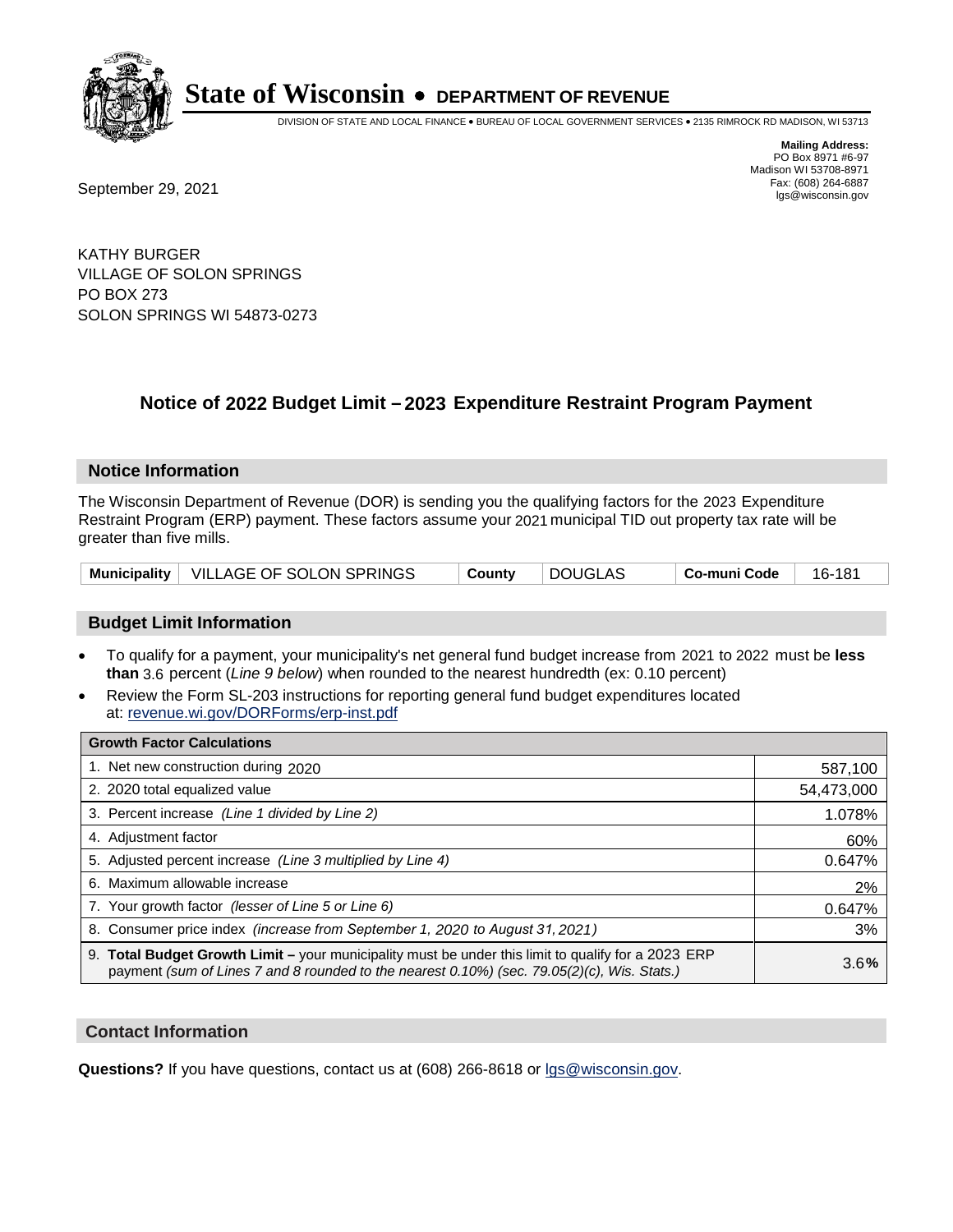

DIVISION OF STATE AND LOCAL FINANCE • BUREAU OF LOCAL GOVERNMENT SERVICES • 2135 RIMROCK RD MADISON, WI 53713

**Mailing Address:** PO Box 8971 #6-97 Madison WI 53708-8971<br>Fax: (608) 264-6887

Fax: (608) 264-6887<br>
September 29, 2021 and the state of the state of the state of the state of the state of the state of the state of the state of the state of the state of the state of the state of the state of the state

KATHY BURGER VILLAGE OF SOLON SPRINGS PO BOX 273 SOLON SPRINGS WI 54873-0273

## **Notice of 2022 Budget Limit - 2023 Expenditure Restraint Program Payment**

#### **Notice Information**

The Wisconsin Department of Revenue (DOR) is sending you the qualifying factors for the 2023 Expenditure Restraint Program (ERP) payment. These factors assume your 2021 municipal TID out property tax rate will be greater than five mills.

|  | Municipality   VILLAGE OF SOLON SPRINGS | County | DOUGLAS | Co-muni Code | 16-181 |
|--|-----------------------------------------|--------|---------|--------------|--------|
|--|-----------------------------------------|--------|---------|--------------|--------|

### **Budget Limit Information**

- To qualify for a payment, your municipality's net general fund budget increase from 2021 to 2022 must be less **than** 3.6 percent (*Line 9 below*) when rounded to the nearest hundredth (ex: 0.10 percent)
- Review the Form SL-203 instructions for reporting general fund budget expenditures located at: revenue.wi.gov/DORForms/erp-inst.pdf

| <b>Growth Factor Calculations</b>                                                                                                                                                                  |            |
|----------------------------------------------------------------------------------------------------------------------------------------------------------------------------------------------------|------------|
| 1. Net new construction during 2020                                                                                                                                                                | 587,100    |
| 2. 2020 total equalized value                                                                                                                                                                      | 54,473,000 |
| 3. Percent increase (Line 1 divided by Line 2)                                                                                                                                                     | 1.078%     |
| 4. Adjustment factor                                                                                                                                                                               | 60%        |
| 5. Adjusted percent increase (Line 3 multiplied by Line 4)                                                                                                                                         | 0.647%     |
| 6. Maximum allowable increase                                                                                                                                                                      | 2%         |
| 7. Your growth factor (lesser of Line 5 or Line 6)                                                                                                                                                 | 0.647%     |
| 8. Consumer price index (increase from September 1, 2020 to August 31, 2021)                                                                                                                       | 3%         |
| 9. Total Budget Growth Limit – your municipality must be under this limit to qualify for a 2023 ERP<br>payment (sum of Lines 7 and 8 rounded to the nearest 0.10%) (sec. 79.05(2)(c), Wis. Stats.) | 3.6%       |

### **Contact Information**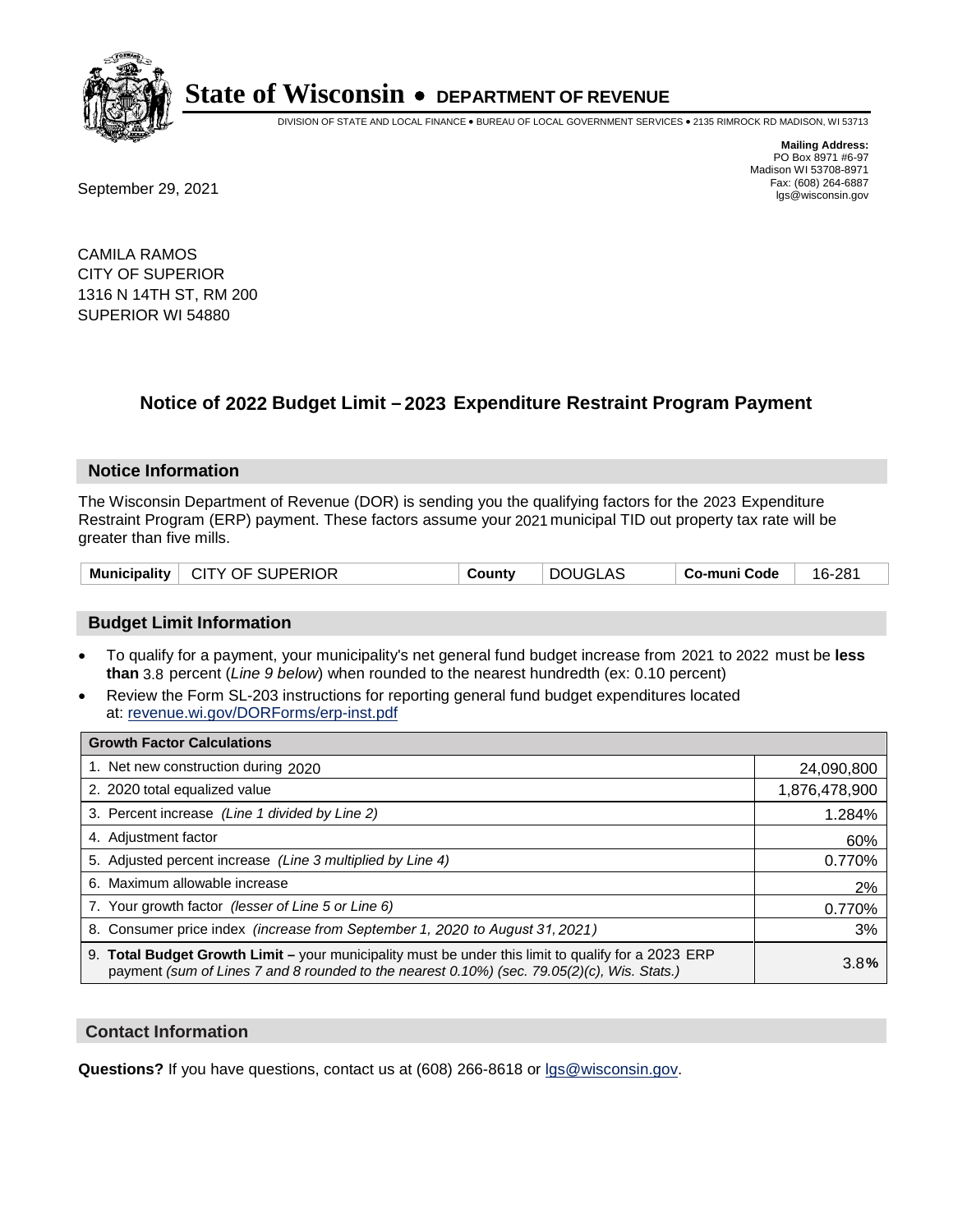

DIVISION OF STATE AND LOCAL FINANCE • BUREAU OF LOCAL GOVERNMENT SERVICES • 2135 RIMROCK RD MADISON, WI 53713

**Mailing Address:** PO Box 8971 #6-97 Madison WI 53708-8971<br>Fax: (608) 264-6887

Fax: (608) 264-6887<br>
September 29, 2021 and the state of the state of the state of the state of the state of the state of the state of the state of the state of the state of the state of the state of the state of the state

CAMILA RAMOS CITY OF SUPERIOR 1316 N 14TH ST, RM 200 SUPERIOR WI 54880

## **Notice of 2022 Budget Limit - 2023 Expenditure Restraint Program Payment**

#### **Notice Information**

The Wisconsin Department of Revenue (DOR) is sending you the qualifying factors for the 2023 Expenditure Restraint Program (ERP) payment. These factors assume your 2021 municipal TID out property tax rate will be greater than five mills.

### **Budget Limit Information**

- To qualify for a payment, your municipality's net general fund budget increase from 2021 to 2022 must be less **than** 3.8 percent (*Line 9 below*) when rounded to the nearest hundredth (ex: 0.10 percent)
- Review the Form SL-203 instructions for reporting general fund budget expenditures located at: revenue.wi.gov/DORForms/erp-inst.pdf

| <b>Growth Factor Calculations</b>                                                                                                                                                                  |               |
|----------------------------------------------------------------------------------------------------------------------------------------------------------------------------------------------------|---------------|
| 1. Net new construction during 2020                                                                                                                                                                | 24,090,800    |
| 2. 2020 total equalized value                                                                                                                                                                      | 1,876,478,900 |
| 3. Percent increase (Line 1 divided by Line 2)                                                                                                                                                     | 1.284%        |
| 4. Adjustment factor                                                                                                                                                                               | 60%           |
| 5. Adjusted percent increase (Line 3 multiplied by Line 4)                                                                                                                                         | 0.770%        |
| 6. Maximum allowable increase                                                                                                                                                                      | 2%            |
| 7. Your growth factor (lesser of Line 5 or Line 6)                                                                                                                                                 | 0.770%        |
| 8. Consumer price index (increase from September 1, 2020 to August 31, 2021)                                                                                                                       | 3%            |
| 9. Total Budget Growth Limit - your municipality must be under this limit to qualify for a 2023 ERP<br>payment (sum of Lines 7 and 8 rounded to the nearest 0.10%) (sec. 79.05(2)(c), Wis. Stats.) | 3.8%          |

#### **Contact Information**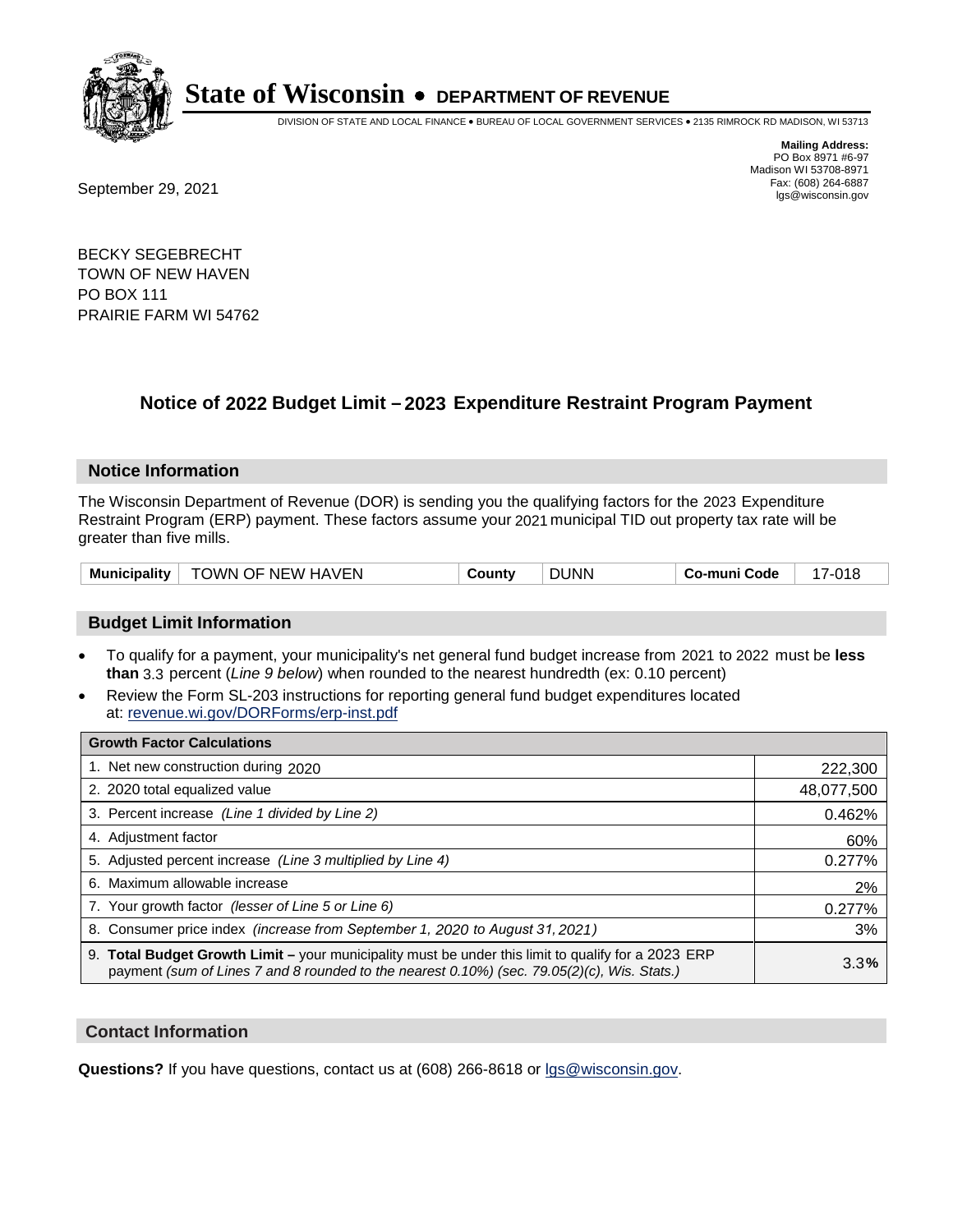

DIVISION OF STATE AND LOCAL FINANCE • BUREAU OF LOCAL GOVERNMENT SERVICES • 2135 RIMROCK RD MADISON, WI 53713

Fax: (608) 264-6887<br>
September 29, 2021 and the state of the state of the state of the state of the state of the state of the state of the state of the state of the state of the state of the state of the state of the state

**Mailing Address:** PO Box 8971 #6-97 Madison WI 53708-8971<br>Fax: (608) 264-6887

BECKY SEGEBRECHT TOWN OF NEW HAVEN PO BOX 111 PRAIRIE FARM WI 54762

## **Notice of 2022 Budget Limit - 2023 Expenditure Restraint Program Payment**

#### **Notice Information**

The Wisconsin Department of Revenue (DOR) is sending you the qualifying factors for the 2023 Expenditure Restraint Program (ERP) payment. These factors assume your 2021 municipal TID out property tax rate will be greater than five mills.

| Municipality | TOWN OF NEW HAVEN | ⊶ount∨ | <b>DUNN</b> | co-muni Code، | - $\cap$ 15 |
|--------------|-------------------|--------|-------------|---------------|-------------|
|--------------|-------------------|--------|-------------|---------------|-------------|

### **Budget Limit Information**

- To qualify for a payment, your municipality's net general fund budget increase from 2021 to 2022 must be less **than** 3.3 percent (*Line 9 below*) when rounded to the nearest hundredth (ex: 0.10 percent)
- Review the Form SL-203 instructions for reporting general fund budget expenditures located at: revenue.wi.gov/DORForms/erp-inst.pdf

| <b>Growth Factor Calculations</b>                                                                                                                                                                  |            |
|----------------------------------------------------------------------------------------------------------------------------------------------------------------------------------------------------|------------|
| 1. Net new construction during 2020                                                                                                                                                                | 222,300    |
| 2. 2020 total equalized value                                                                                                                                                                      | 48,077,500 |
| 3. Percent increase (Line 1 divided by Line 2)                                                                                                                                                     | 0.462%     |
| 4. Adjustment factor                                                                                                                                                                               | 60%        |
| 5. Adjusted percent increase (Line 3 multiplied by Line 4)                                                                                                                                         | 0.277%     |
| 6. Maximum allowable increase                                                                                                                                                                      | 2%         |
| 7. Your growth factor (lesser of Line 5 or Line 6)                                                                                                                                                 | 0.277%     |
| 8. Consumer price index (increase from September 1, 2020 to August 31, 2021)                                                                                                                       | 3%         |
| 9. Total Budget Growth Limit – your municipality must be under this limit to qualify for a 2023 ERP<br>payment (sum of Lines 7 and 8 rounded to the nearest 0.10%) (sec. 79.05(2)(c), Wis. Stats.) | 3.3%       |

#### **Contact Information**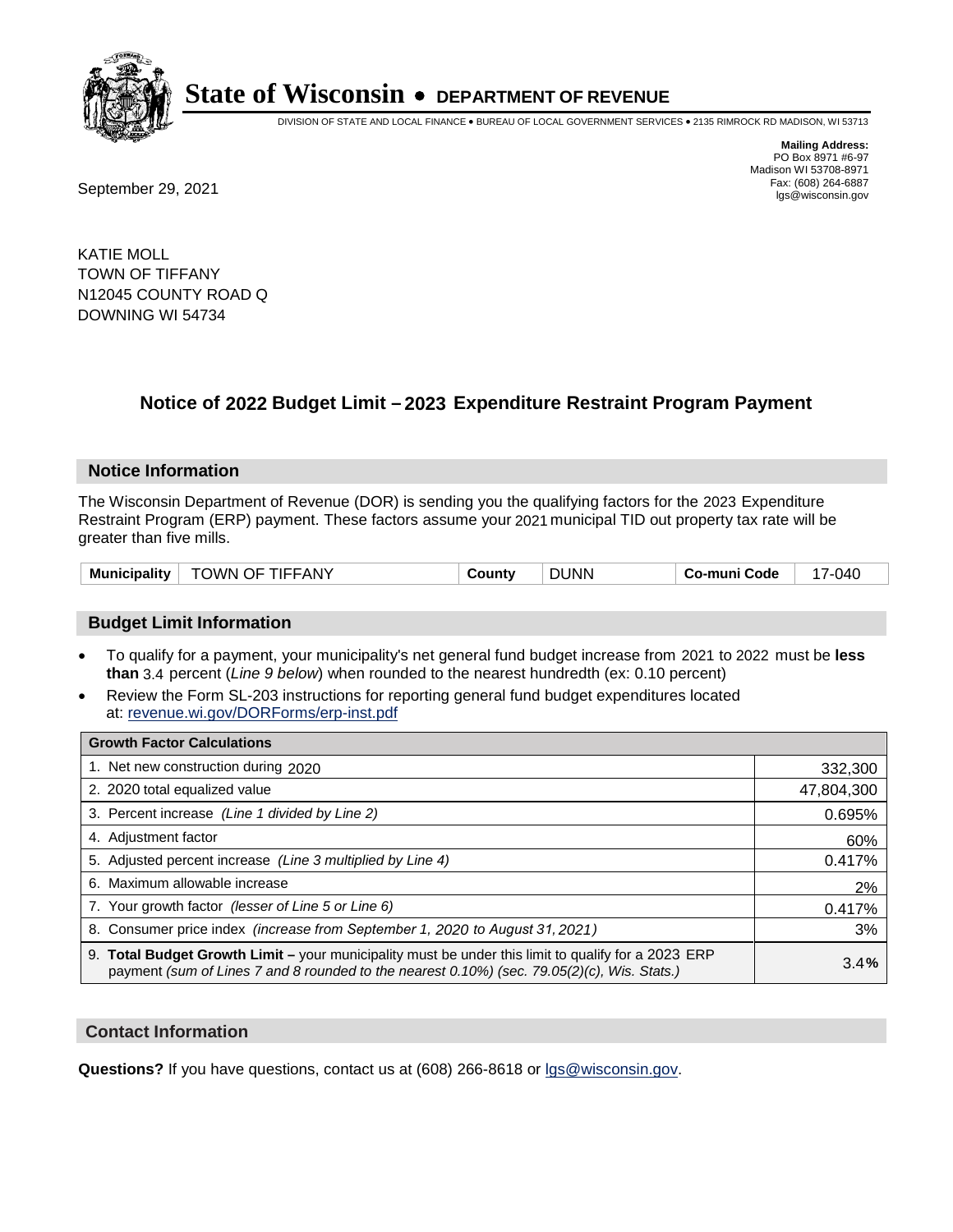

DIVISION OF STATE AND LOCAL FINANCE • BUREAU OF LOCAL GOVERNMENT SERVICES • 2135 RIMROCK RD MADISON, WI 53713

**Mailing Address:** PO Box 8971 #6-97 Madison WI 53708-8971<br>Fax: (608) 264-6887

Fax: (608) 264-6887<br>
September 29, 2021 and the state of the state of the state of the state of the state of the state of the state of the state of the state of the state of the state of the state of the state of the state

KATIE MOLL TOWN OF TIFFANY N12045 COUNTY ROAD Q DOWNING WI 54734

## **Notice of 2022 Budget Limit - 2023 Expenditure Restraint Program Payment**

#### **Notice Information**

The Wisconsin Department of Revenue (DOR) is sending you the qualifying factors for the 2023 Expenditure Restraint Program (ERP) payment. These factors assume your 2021 municipal TID out property tax rate will be greater than five mills.

### **Budget Limit Information**

- To qualify for a payment, your municipality's net general fund budget increase from 2021 to 2022 must be less **than** 3.4 percent (*Line 9 below*) when rounded to the nearest hundredth (ex: 0.10 percent)
- Review the Form SL-203 instructions for reporting general fund budget expenditures located at: revenue.wi.gov/DORForms/erp-inst.pdf

| <b>Growth Factor Calculations</b>                                                                                                                                                                  |            |
|----------------------------------------------------------------------------------------------------------------------------------------------------------------------------------------------------|------------|
| 1. Net new construction during 2020                                                                                                                                                                | 332,300    |
| 2. 2020 total equalized value                                                                                                                                                                      | 47,804,300 |
| 3. Percent increase (Line 1 divided by Line 2)                                                                                                                                                     | 0.695%     |
| 4. Adjustment factor                                                                                                                                                                               | 60%        |
| 5. Adjusted percent increase (Line 3 multiplied by Line 4)                                                                                                                                         | 0.417%     |
| Maximum allowable increase<br>6.                                                                                                                                                                   | 2%         |
| 7. Your growth factor (lesser of Line 5 or Line 6)                                                                                                                                                 | 0.417%     |
| 8. Consumer price index (increase from September 1, 2020 to August 31, 2021)                                                                                                                       | 3%         |
| 9. Total Budget Growth Limit - your municipality must be under this limit to qualify for a 2023 ERP<br>payment (sum of Lines 7 and 8 rounded to the nearest 0.10%) (sec. 79.05(2)(c), Wis. Stats.) | 3.4%       |

#### **Contact Information**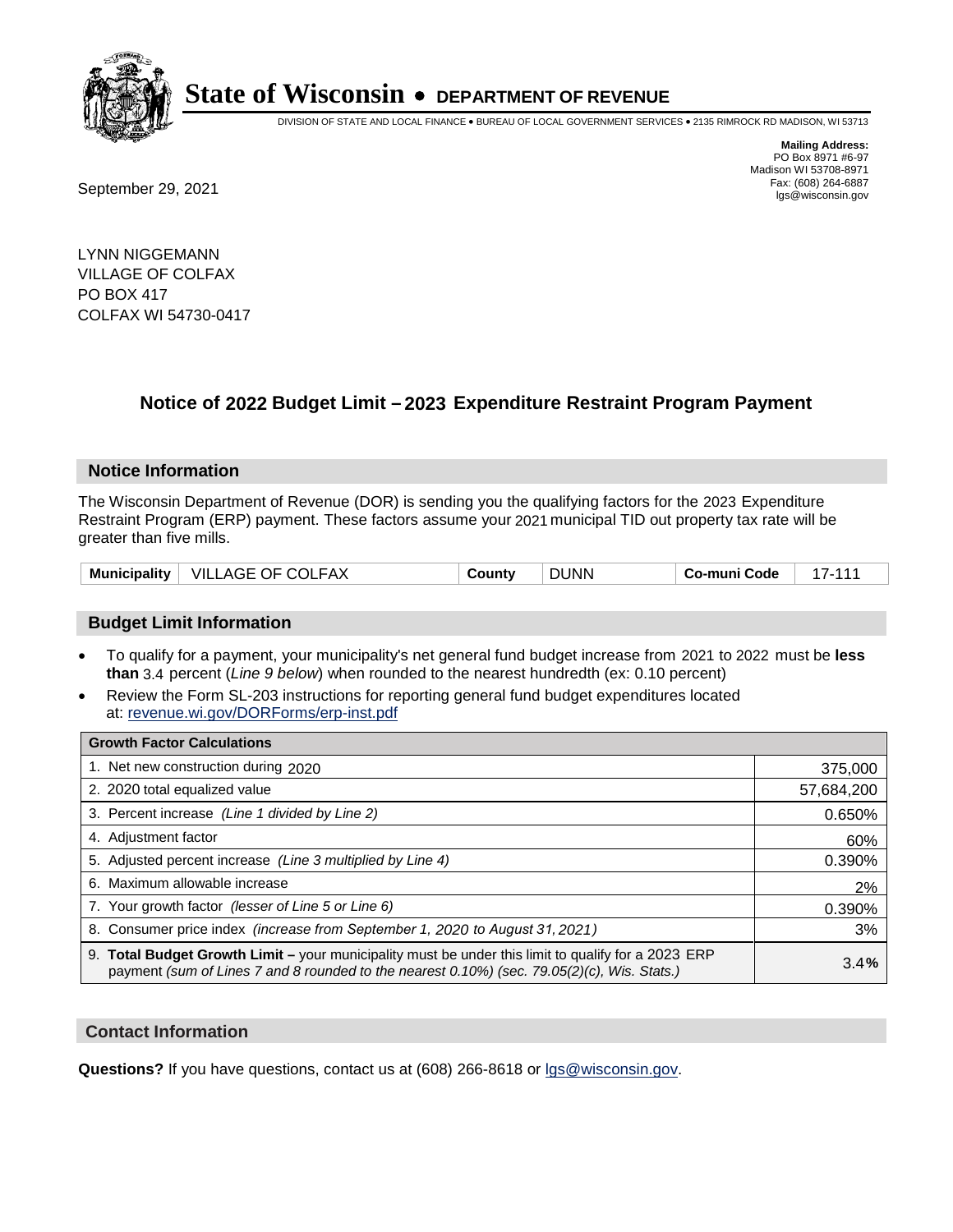

DIVISION OF STATE AND LOCAL FINANCE • BUREAU OF LOCAL GOVERNMENT SERVICES • 2135 RIMROCK RD MADISON, WI 53713

**Mailing Address:** PO Box 8971 #6-97 Madison WI 53708-8971<br>Fax: (608) 264-6887

Fax: (608) 264-6887<br>
September 29, 2021 and the state of the state of the state of the state of the state of the state of the state of the state of the state of the state of the state of the state of the state of the state

LYNN NIGGEMANN VILLAGE OF COLFAX PO BOX 417 COLFAX WI 54730-0417

## **Notice of 2022 Budget Limit - 2023 Expenditure Restraint Program Payment**

#### **Notice Information**

The Wisconsin Department of Revenue (DOR) is sending you the qualifying factors for the 2023 Expenditure Restraint Program (ERP) payment. These factors assume your 2021 municipal TID out property tax rate will be greater than five mills.

| Municipality | VILLAGE OF COLFAX | ountvٽ | <b>DUNN</b> | Co-muni Code |  |
|--------------|-------------------|--------|-------------|--------------|--|
|--------------|-------------------|--------|-------------|--------------|--|

### **Budget Limit Information**

- To qualify for a payment, your municipality's net general fund budget increase from 2021 to 2022 must be less **than** 3.4 percent (*Line 9 below*) when rounded to the nearest hundredth (ex: 0.10 percent)
- Review the Form SL-203 instructions for reporting general fund budget expenditures located at: revenue.wi.gov/DORForms/erp-inst.pdf

| <b>Growth Factor Calculations</b>                                                                                                                                                                  |            |
|----------------------------------------------------------------------------------------------------------------------------------------------------------------------------------------------------|------------|
| 1. Net new construction during 2020                                                                                                                                                                | 375,000    |
| 2. 2020 total equalized value                                                                                                                                                                      | 57,684,200 |
| 3. Percent increase (Line 1 divided by Line 2)                                                                                                                                                     | 0.650%     |
| 4. Adjustment factor                                                                                                                                                                               | 60%        |
| 5. Adjusted percent increase (Line 3 multiplied by Line 4)                                                                                                                                         | 0.390%     |
| 6. Maximum allowable increase                                                                                                                                                                      | 2%         |
| 7. Your growth factor (lesser of Line 5 or Line 6)                                                                                                                                                 | 0.390%     |
| 8. Consumer price index (increase from September 1, 2020 to August 31, 2021)                                                                                                                       | 3%         |
| 9. Total Budget Growth Limit - your municipality must be under this limit to qualify for a 2023 ERP<br>payment (sum of Lines 7 and 8 rounded to the nearest 0.10%) (sec. 79.05(2)(c), Wis. Stats.) | 3.4%       |

### **Contact Information**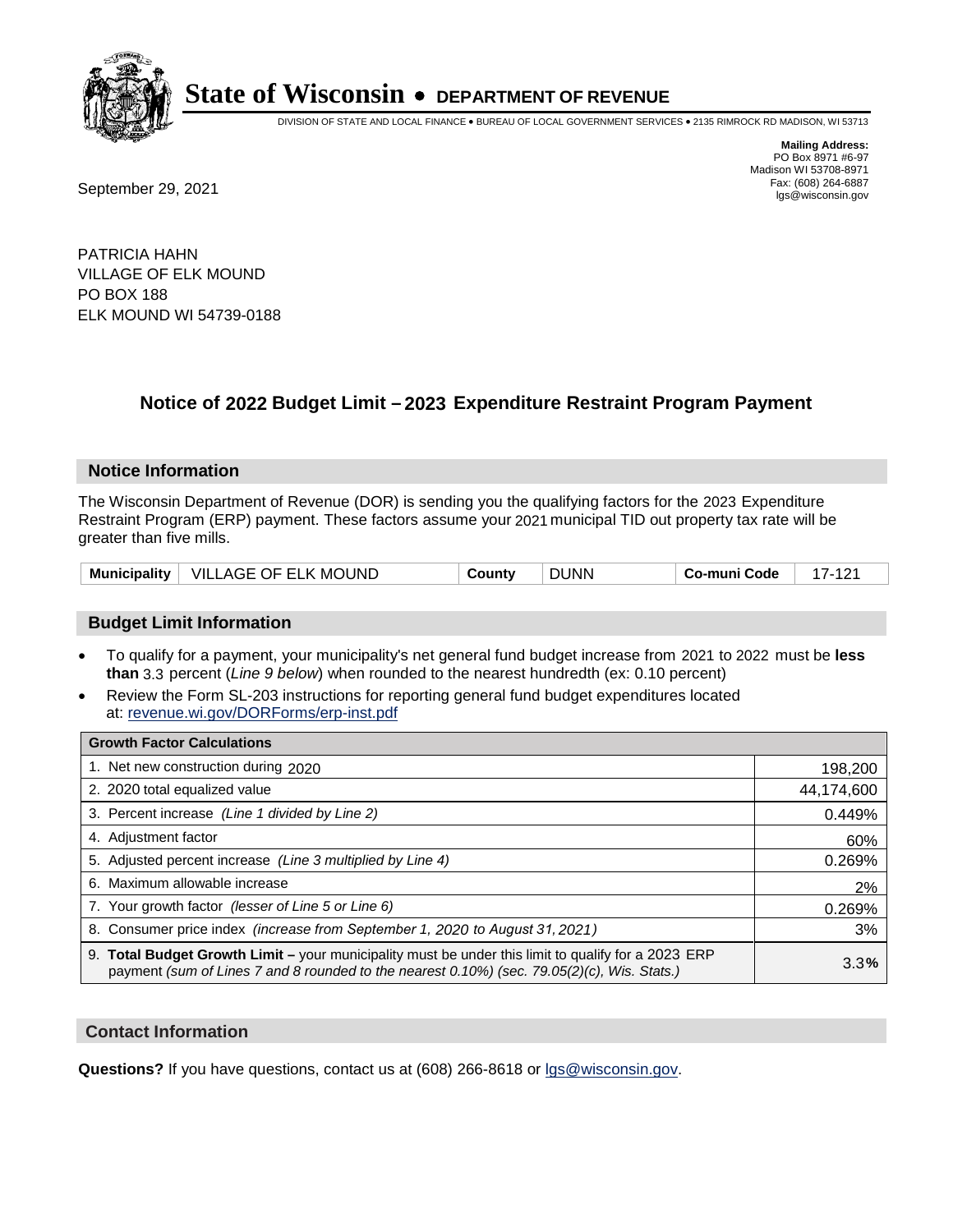

DIVISION OF STATE AND LOCAL FINANCE • BUREAU OF LOCAL GOVERNMENT SERVICES • 2135 RIMROCK RD MADISON, WI 53713

**Mailing Address:** PO Box 8971 #6-97 Madison WI 53708-8971<br>Fax: (608) 264-6887 Fax: (608) 264-6887<br>
September 29, 2021 and the state of the state of the state of the state of the state of the state of the state of the state of the state of the state of the state of the state of the state of the state

PATRICIA HAHN VILLAGE OF ELK MOUND PO BOX 188 ELK MOUND WI 54739-0188

## **Notice of 2022 Budget Limit - 2023 Expenditure Restraint Program Payment**

#### **Notice Information**

The Wisconsin Department of Revenue (DOR) is sending you the qualifying factors for the 2023 Expenditure Restraint Program (ERP) payment. These factors assume your 2021 municipal TID out property tax rate will be greater than five mills.

|  | Municipality   VILLAGE OF ELK MOUND | County | <b>DUNN</b> | Co-muni Code |  |
|--|-------------------------------------|--------|-------------|--------------|--|
|--|-------------------------------------|--------|-------------|--------------|--|

### **Budget Limit Information**

- To qualify for a payment, your municipality's net general fund budget increase from 2021 to 2022 must be less **than** 3.3 percent (*Line 9 below*) when rounded to the nearest hundredth (ex: 0.10 percent)
- Review the Form SL-203 instructions for reporting general fund budget expenditures located at: revenue.wi.gov/DORForms/erp-inst.pdf

| <b>Growth Factor Calculations</b>                                                                                                                                                                  |            |
|----------------------------------------------------------------------------------------------------------------------------------------------------------------------------------------------------|------------|
| 1. Net new construction during 2020                                                                                                                                                                | 198,200    |
| 2. 2020 total equalized value                                                                                                                                                                      | 44,174,600 |
| 3. Percent increase (Line 1 divided by Line 2)                                                                                                                                                     | 0.449%     |
| 4. Adiustment factor                                                                                                                                                                               | 60%        |
| 5. Adjusted percent increase (Line 3 multiplied by Line 4)                                                                                                                                         | 0.269%     |
| 6. Maximum allowable increase                                                                                                                                                                      | 2%         |
| 7. Your growth factor (lesser of Line 5 or Line 6)                                                                                                                                                 | 0.269%     |
| 8. Consumer price index (increase from September 1, 2020 to August 31, 2021)                                                                                                                       | 3%         |
| 9. Total Budget Growth Limit - your municipality must be under this limit to qualify for a 2023 ERP<br>payment (sum of Lines 7 and 8 rounded to the nearest 0.10%) (sec. 79.05(2)(c), Wis. Stats.) | 3.3%       |

#### **Contact Information**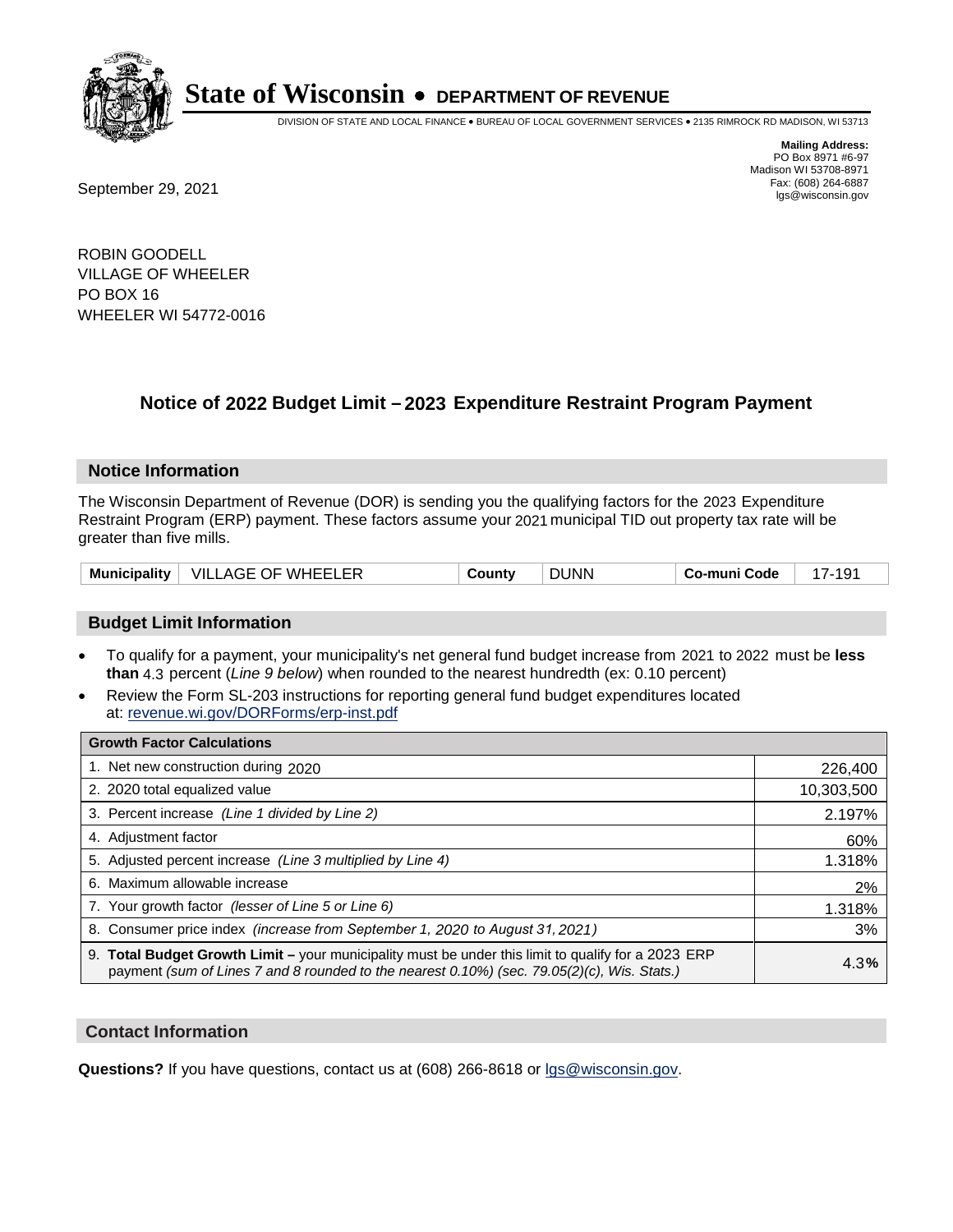

DIVISION OF STATE AND LOCAL FINANCE • BUREAU OF LOCAL GOVERNMENT SERVICES • 2135 RIMROCK RD MADISON, WI 53713

Fax: (608) 264-6887<br>
September 29, 2021 and the state of the state of the state of the state of the state of the state of the state of the state of the state of the state of the state of the state of the state of the state

**Mailing Address:** PO Box 8971 #6-97 Madison WI 53708-8971<br>Fax: (608) 264-6887

ROBIN GOODELL VILLAGE OF WHEELER PO BOX 16 WHEELER WI 54772-0016

## **Notice of 2022 Budget Limit - 2023 Expenditure Restraint Program Payment**

#### **Notice Information**

The Wisconsin Department of Revenue (DOR) is sending you the qualifying factors for the 2023 Expenditure Restraint Program (ERP) payment. These factors assume your 2021 municipal TID out property tax rate will be greater than five mills.

| Municipality | WHFFI FR<br>VILL<br>⊹OF.<br>AGE | `ountن | JUNN | Code<br>-mun |  |
|--------------|---------------------------------|--------|------|--------------|--|
|--------------|---------------------------------|--------|------|--------------|--|

### **Budget Limit Information**

- To qualify for a payment, your municipality's net general fund budget increase from 2021 to 2022 must be less **than** 4.3 percent (*Line 9 below*) when rounded to the nearest hundredth (ex: 0.10 percent)
- Review the Form SL-203 instructions for reporting general fund budget expenditures located at: revenue.wi.gov/DORForms/erp-inst.pdf

| <b>Growth Factor Calculations</b>                                                                                                                                                                  |            |
|----------------------------------------------------------------------------------------------------------------------------------------------------------------------------------------------------|------------|
| 1. Net new construction during 2020                                                                                                                                                                | 226,400    |
| 2. 2020 total equalized value                                                                                                                                                                      | 10,303,500 |
| 3. Percent increase (Line 1 divided by Line 2)                                                                                                                                                     | 2.197%     |
| 4. Adjustment factor                                                                                                                                                                               | 60%        |
| 5. Adjusted percent increase (Line 3 multiplied by Line 4)                                                                                                                                         | 1.318%     |
| 6. Maximum allowable increase                                                                                                                                                                      | 2%         |
| 7. Your growth factor (lesser of Line 5 or Line 6)                                                                                                                                                 | 1.318%     |
| 8. Consumer price index (increase from September 1, 2020 to August 31, 2021)                                                                                                                       | 3%         |
| 9. Total Budget Growth Limit – your municipality must be under this limit to qualify for a 2023 ERP<br>payment (sum of Lines 7 and 8 rounded to the nearest 0.10%) (sec. 79.05(2)(c), Wis. Stats.) | 4.3%       |

#### **Contact Information**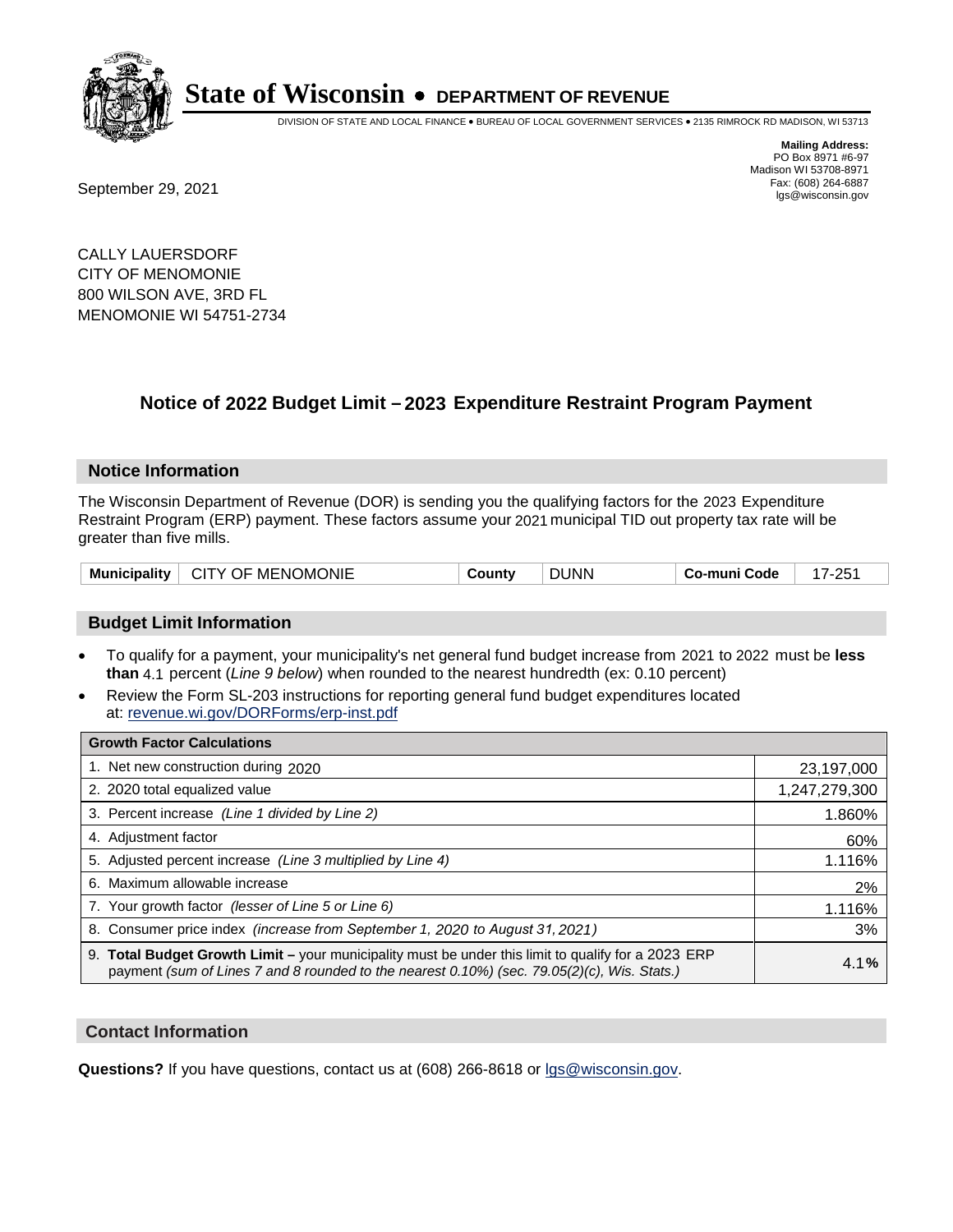

DIVISION OF STATE AND LOCAL FINANCE • BUREAU OF LOCAL GOVERNMENT SERVICES • 2135 RIMROCK RD MADISON, WI 53713

Fax: (608) 264-6887<br>
September 29, 2021 and the state of the state of the state of the state of the state of the state of the state of the state of the state of the state of the state of the state of the state of the state

**Mailing Address:** PO Box 8971 #6-97 Madison WI 53708-8971<br>Fax: (608) 264-6887

CALLY LAUERSDORF CITY OF MENOMONIE 800 WILSON AVE, 3RD FL MENOMONIE WI 54751-2734

## **Notice of 2022 Budget Limit - 2023 Expenditure Restraint Program Payment**

#### **Notice Information**

The Wisconsin Department of Revenue (DOR) is sending you the qualifying factors for the 2023 Expenditure Restraint Program (ERP) payment. These factors assume your 2021 municipal TID out property tax rate will be greater than five mills.

| Municipality | CITY OF MENOMONIE | County | <b>DUNN</b> | Co-muni Code | 17-251 |
|--------------|-------------------|--------|-------------|--------------|--------|
|--------------|-------------------|--------|-------------|--------------|--------|

#### **Budget Limit Information**

- To qualify for a payment, your municipality's net general fund budget increase from 2021 to 2022 must be less **than** 4.1 percent (*Line 9 below*) when rounded to the nearest hundredth (ex: 0.10 percent)
- Review the Form SL-203 instructions for reporting general fund budget expenditures located at: revenue.wi.gov/DORForms/erp-inst.pdf

| <b>Growth Factor Calculations</b>                                                                                                                                                                  |               |
|----------------------------------------------------------------------------------------------------------------------------------------------------------------------------------------------------|---------------|
| 1. Net new construction during 2020                                                                                                                                                                | 23,197,000    |
| 2. 2020 total equalized value                                                                                                                                                                      | 1,247,279,300 |
| 3. Percent increase (Line 1 divided by Line 2)                                                                                                                                                     | 1.860%        |
| 4. Adjustment factor                                                                                                                                                                               | 60%           |
| 5. Adjusted percent increase (Line 3 multiplied by Line 4)                                                                                                                                         | 1.116%        |
| 6. Maximum allowable increase                                                                                                                                                                      | 2%            |
| 7. Your growth factor (lesser of Line 5 or Line 6)                                                                                                                                                 | 1.116%        |
| 8. Consumer price index (increase from September 1, 2020 to August 31, 2021)                                                                                                                       | 3%            |
| 9. Total Budget Growth Limit - your municipality must be under this limit to qualify for a 2023 ERP<br>payment (sum of Lines 7 and 8 rounded to the nearest 0.10%) (sec. 79.05(2)(c), Wis. Stats.) | 4.1%          |

#### **Contact Information**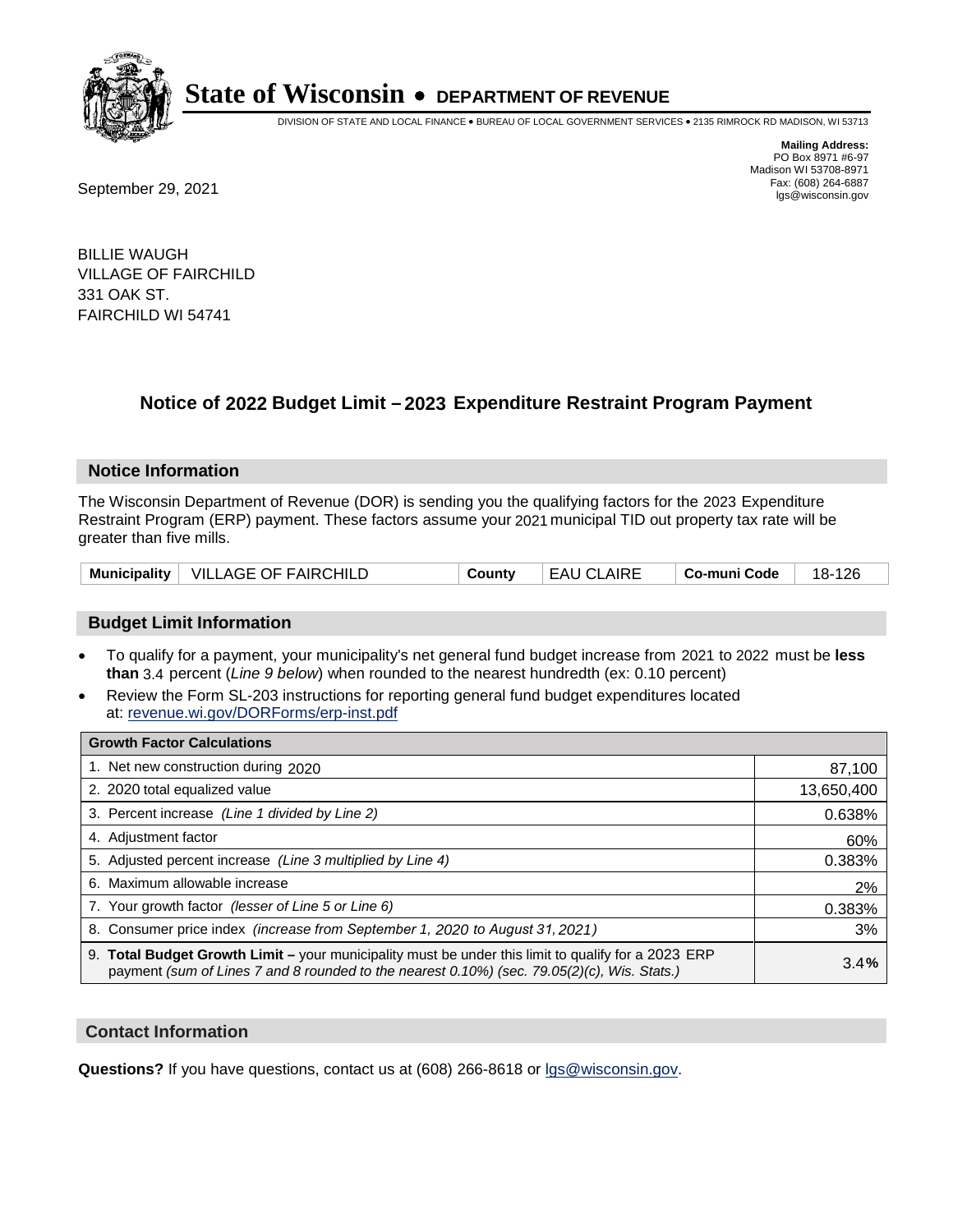

DIVISION OF STATE AND LOCAL FINANCE • BUREAU OF LOCAL GOVERNMENT SERVICES • 2135 RIMROCK RD MADISON, WI 53713

**Mailing Address:** PO Box 8971 #6-97 Madison WI 53708-8971<br>Fax: (608) 264-6887

Fax: (608) 264-6887<br>
September 29, 2021 and the state of the state of the state of the state of the state of the state of the state of the state of the state of the state of the state of the state of the state of the state

BILLIE WAUGH VILLAGE OF FAIRCHILD 331 OAK ST. FAIRCHILD WI 54741

## **Notice of 2022 Budget Limit - 2023 Expenditure Restraint Program Payment**

#### **Notice Information**

The Wisconsin Department of Revenue (DOR) is sending you the qualifying factors for the 2023 Expenditure Restraint Program (ERP) payment. These factors assume your 2021 municipal TID out property tax rate will be greater than five mills.

|  | Municipality   VILLAGE OF FAIRCHILD | County | <b>EAU CLAIRE</b> | ∣ Co-muni Code | 18-126 |
|--|-------------------------------------|--------|-------------------|----------------|--------|
|--|-------------------------------------|--------|-------------------|----------------|--------|

### **Budget Limit Information**

- To qualify for a payment, your municipality's net general fund budget increase from 2021 to 2022 must be less **than** 3.4 percent (*Line 9 below*) when rounded to the nearest hundredth (ex: 0.10 percent)
- Review the Form SL-203 instructions for reporting general fund budget expenditures located at: revenue.wi.gov/DORForms/erp-inst.pdf

| <b>Growth Factor Calculations</b>                                                                                                                                                                  |            |
|----------------------------------------------------------------------------------------------------------------------------------------------------------------------------------------------------|------------|
| 1. Net new construction during 2020                                                                                                                                                                | 87,100     |
| 2. 2020 total equalized value                                                                                                                                                                      | 13,650,400 |
| 3. Percent increase (Line 1 divided by Line 2)                                                                                                                                                     | 0.638%     |
| 4. Adjustment factor                                                                                                                                                                               | 60%        |
| 5. Adjusted percent increase (Line 3 multiplied by Line 4)                                                                                                                                         | 0.383%     |
| 6. Maximum allowable increase                                                                                                                                                                      | 2%         |
| 7. Your growth factor (lesser of Line 5 or Line 6)                                                                                                                                                 | 0.383%     |
| 8. Consumer price index (increase from September 1, 2020 to August 31, 2021)                                                                                                                       | 3%         |
| 9. Total Budget Growth Limit – your municipality must be under this limit to qualify for a 2023 ERP<br>payment (sum of Lines 7 and 8 rounded to the nearest 0.10%) (sec. 79.05(2)(c), Wis. Stats.) | 3.4%       |

#### **Contact Information**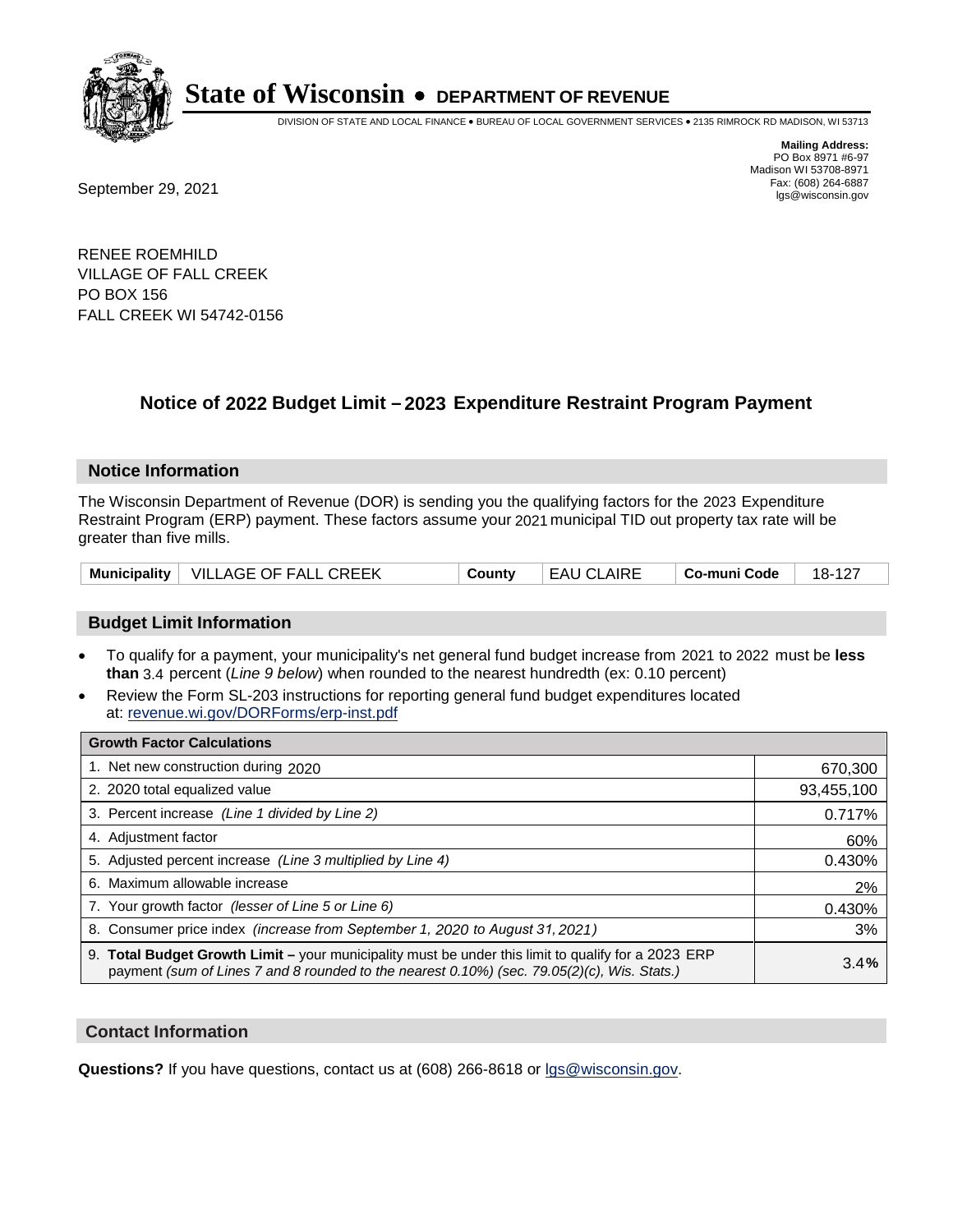

DIVISION OF STATE AND LOCAL FINANCE • BUREAU OF LOCAL GOVERNMENT SERVICES • 2135 RIMROCK RD MADISON, WI 53713

Fax: (608) 264-6887<br>
September 29, 2021 and the state of the state of the state of the state of the state of the state of the state of the state of the state of the state of the state of the state of the state of the state

**Mailing Address:** PO Box 8971 #6-97 Madison WI 53708-8971<br>Fax: (608) 264-6887

RENEE ROEMHILD VILLAGE OF FALL CREEK PO BOX 156 FALL CREEK WI 54742-0156

## **Notice of 2022 Budget Limit - 2023 Expenditure Restraint Program Payment**

#### **Notice Information**

The Wisconsin Department of Revenue (DOR) is sending you the qualifying factors for the 2023 Expenditure Restraint Program (ERP) payment. These factors assume your 2021 municipal TID out property tax rate will be greater than five mills.

| Municipality   VILLAGE OF FALL CREEK | County | EAU CLAIRE | ∣ Co-muni Code | 18-127 |
|--------------------------------------|--------|------------|----------------|--------|
|--------------------------------------|--------|------------|----------------|--------|

### **Budget Limit Information**

- To qualify for a payment, your municipality's net general fund budget increase from 2021 to 2022 must be less **than** 3.4 percent (*Line 9 below*) when rounded to the nearest hundredth (ex: 0.10 percent)
- Review the Form SL-203 instructions for reporting general fund budget expenditures located at: revenue.wi.gov/DORForms/erp-inst.pdf

| <b>Growth Factor Calculations</b>                                                                                                                                                                  |            |
|----------------------------------------------------------------------------------------------------------------------------------------------------------------------------------------------------|------------|
| 1. Net new construction during 2020                                                                                                                                                                | 670,300    |
| 2. 2020 total equalized value                                                                                                                                                                      | 93,455,100 |
| 3. Percent increase (Line 1 divided by Line 2)                                                                                                                                                     | 0.717%     |
| 4. Adjustment factor                                                                                                                                                                               | 60%        |
| 5. Adjusted percent increase (Line 3 multiplied by Line 4)                                                                                                                                         | 0.430%     |
| 6. Maximum allowable increase                                                                                                                                                                      | 2%         |
| 7. Your growth factor (lesser of Line 5 or Line 6)                                                                                                                                                 | 0.430%     |
| 8. Consumer price index (increase from September 1, 2020 to August 31, 2021)                                                                                                                       | 3%         |
| 9. Total Budget Growth Limit – your municipality must be under this limit to qualify for a 2023 ERP<br>payment (sum of Lines 7 and 8 rounded to the nearest 0.10%) (sec. 79.05(2)(c), Wis. Stats.) | 3.4%       |

#### **Contact Information**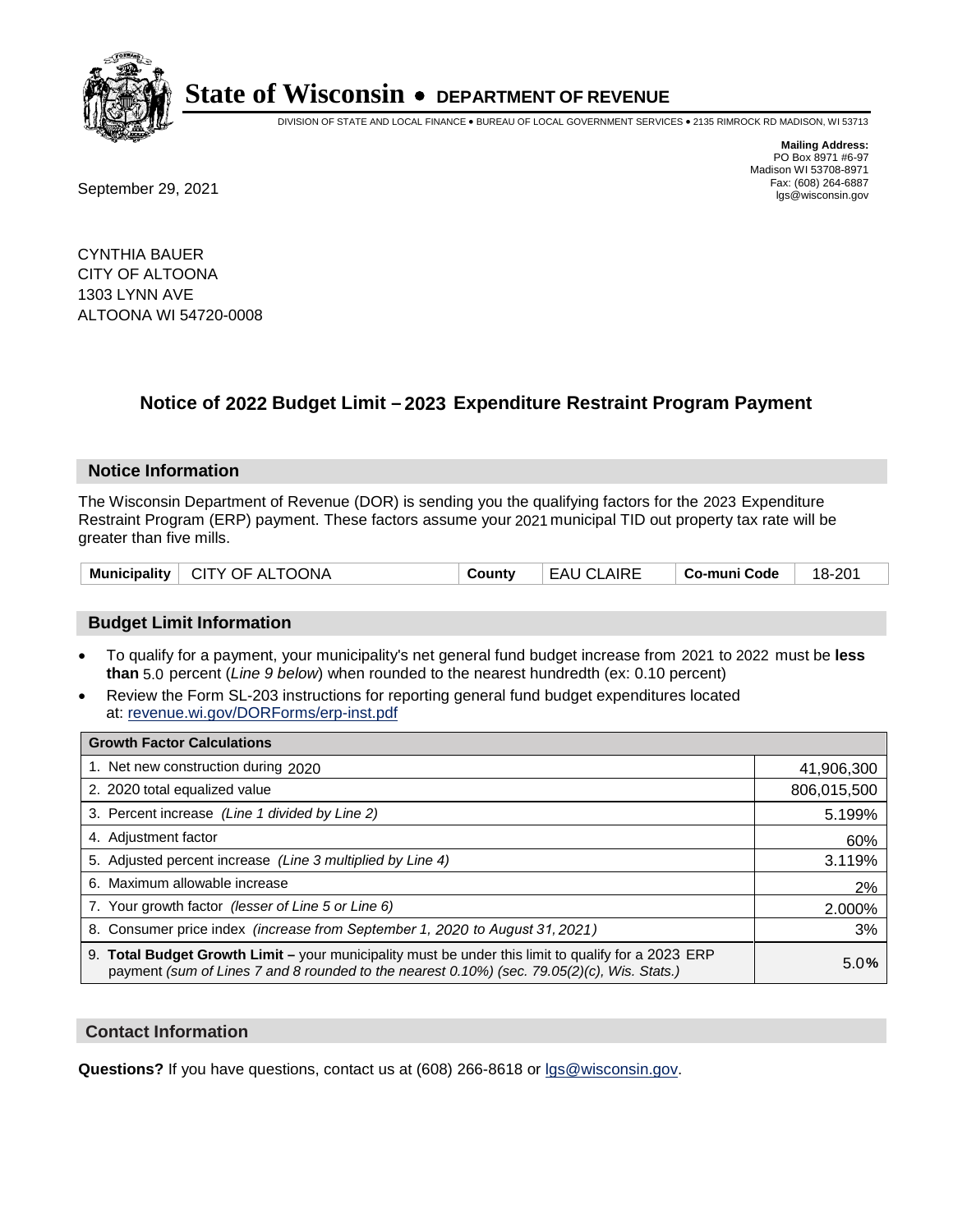

DIVISION OF STATE AND LOCAL FINANCE • BUREAU OF LOCAL GOVERNMENT SERVICES • 2135 RIMROCK RD MADISON, WI 53713

**Mailing Address:** PO Box 8971 #6-97 Madison WI 53708-8971<br>Fax: (608) 264-6887 Fax: (608) 264-6887<br>
September 29, 2021 and the state of the state of the state of the state of the state of the state of the state of the state of the state of the state of the state of the state of the state of the state

CYNTHIA BAUER CITY OF ALTOONA 1303 LYNN AVE ALTOONA WI 54720-0008

## **Notice of 2022 Budget Limit - 2023 Expenditure Restraint Program Payment**

#### **Notice Information**

The Wisconsin Department of Revenue (DOR) is sending you the qualifying factors for the 2023 Expenditure Restraint Program (ERP) payment. These factors assume your 2021 municipal TID out property tax rate will be greater than five mills.

| Municipality   CITY OF ALTOONA | County | LEAU CLAIRE | $\vert$ Co-muni Code $\vert$ 18-201 |  |
|--------------------------------|--------|-------------|-------------------------------------|--|
|--------------------------------|--------|-------------|-------------------------------------|--|

### **Budget Limit Information**

- To qualify for a payment, your municipality's net general fund budget increase from 2021 to 2022 must be less **than** 5.0 percent (*Line 9 below*) when rounded to the nearest hundredth (ex: 0.10 percent)
- Review the Form SL-203 instructions for reporting general fund budget expenditures located at: revenue.wi.gov/DORForms/erp-inst.pdf

| <b>Growth Factor Calculations</b>                                                                                                                                                                  |             |
|----------------------------------------------------------------------------------------------------------------------------------------------------------------------------------------------------|-------------|
| 1. Net new construction during 2020                                                                                                                                                                | 41,906,300  |
| 2. 2020 total equalized value                                                                                                                                                                      | 806,015,500 |
| 3. Percent increase (Line 1 divided by Line 2)                                                                                                                                                     | 5.199%      |
| 4. Adjustment factor                                                                                                                                                                               | 60%         |
| 5. Adjusted percent increase (Line 3 multiplied by Line 4)                                                                                                                                         | 3.119%      |
| 6. Maximum allowable increase                                                                                                                                                                      | 2%          |
| 7. Your growth factor (lesser of Line 5 or Line 6)                                                                                                                                                 | 2.000%      |
| 8. Consumer price index (increase from September 1, 2020 to August 31, 2021)                                                                                                                       | 3%          |
| 9. Total Budget Growth Limit - your municipality must be under this limit to qualify for a 2023 ERP<br>payment (sum of Lines 7 and 8 rounded to the nearest 0.10%) (sec. 79.05(2)(c), Wis. Stats.) | 5.0%        |

#### **Contact Information**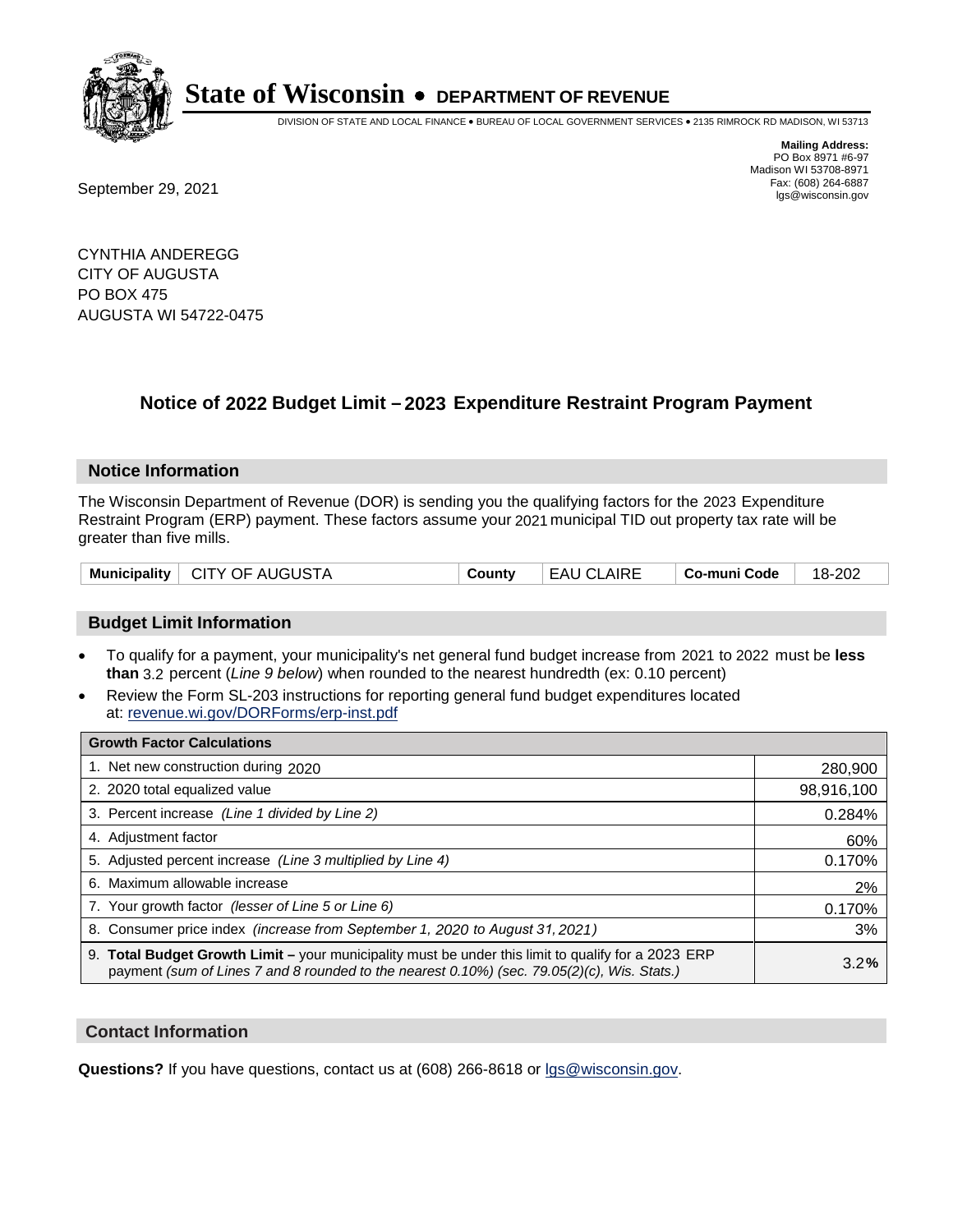

DIVISION OF STATE AND LOCAL FINANCE • BUREAU OF LOCAL GOVERNMENT SERVICES • 2135 RIMROCK RD MADISON, WI 53713

Fax: (608) 264-6887<br>
September 29, 2021 and the state of the state of the state of the state of the state of the state of the state of the state of the state of the state of the state of the state of the state of the state

**Mailing Address:** PO Box 8971 #6-97 Madison WI 53708-8971<br>Fax: (608) 264-6887

CYNTHIA ANDEREGG CITY OF AUGUSTA PO BOX 475 AUGUSTA WI 54722-0475

### **Notice of 2022 Budget Limit - 2023 Expenditure Restraint Program Payment**

#### **Notice Information**

The Wisconsin Department of Revenue (DOR) is sending you the qualifying factors for the 2023 Expenditure Restraint Program (ERP) payment. These factors assume your 2021 municipal TID out property tax rate will be greater than five mills.

| Municipality   CITY OF AUGUSTA | County | EAU CLAIRE | $\vert$ Co-muni Code $\vert$ 18-202 |  |
|--------------------------------|--------|------------|-------------------------------------|--|
|--------------------------------|--------|------------|-------------------------------------|--|

### **Budget Limit Information**

- To qualify for a payment, your municipality's net general fund budget increase from 2021 to 2022 must be less **than** 3.2 percent (*Line 9 below*) when rounded to the nearest hundredth (ex: 0.10 percent)
- Review the Form SL-203 instructions for reporting general fund budget expenditures located at: revenue.wi.gov/DORForms/erp-inst.pdf

| <b>Growth Factor Calculations</b>                                                                                                                                                                  |            |
|----------------------------------------------------------------------------------------------------------------------------------------------------------------------------------------------------|------------|
| 1. Net new construction during 2020                                                                                                                                                                | 280,900    |
| 2. 2020 total equalized value                                                                                                                                                                      | 98,916,100 |
| 3. Percent increase (Line 1 divided by Line 2)                                                                                                                                                     | 0.284%     |
| 4. Adjustment factor                                                                                                                                                                               | 60%        |
| 5. Adjusted percent increase (Line 3 multiplied by Line 4)                                                                                                                                         | 0.170%     |
| 6. Maximum allowable increase                                                                                                                                                                      | 2%         |
| 7. Your growth factor (lesser of Line 5 or Line 6)                                                                                                                                                 | 0.170%     |
| 8. Consumer price index (increase from September 1, 2020 to August 31, 2021)                                                                                                                       | 3%         |
| 9. Total Budget Growth Limit – your municipality must be under this limit to qualify for a 2023 ERP<br>payment (sum of Lines 7 and 8 rounded to the nearest 0.10%) (sec. 79.05(2)(c), Wis. Stats.) | 3.2%       |

#### **Contact Information**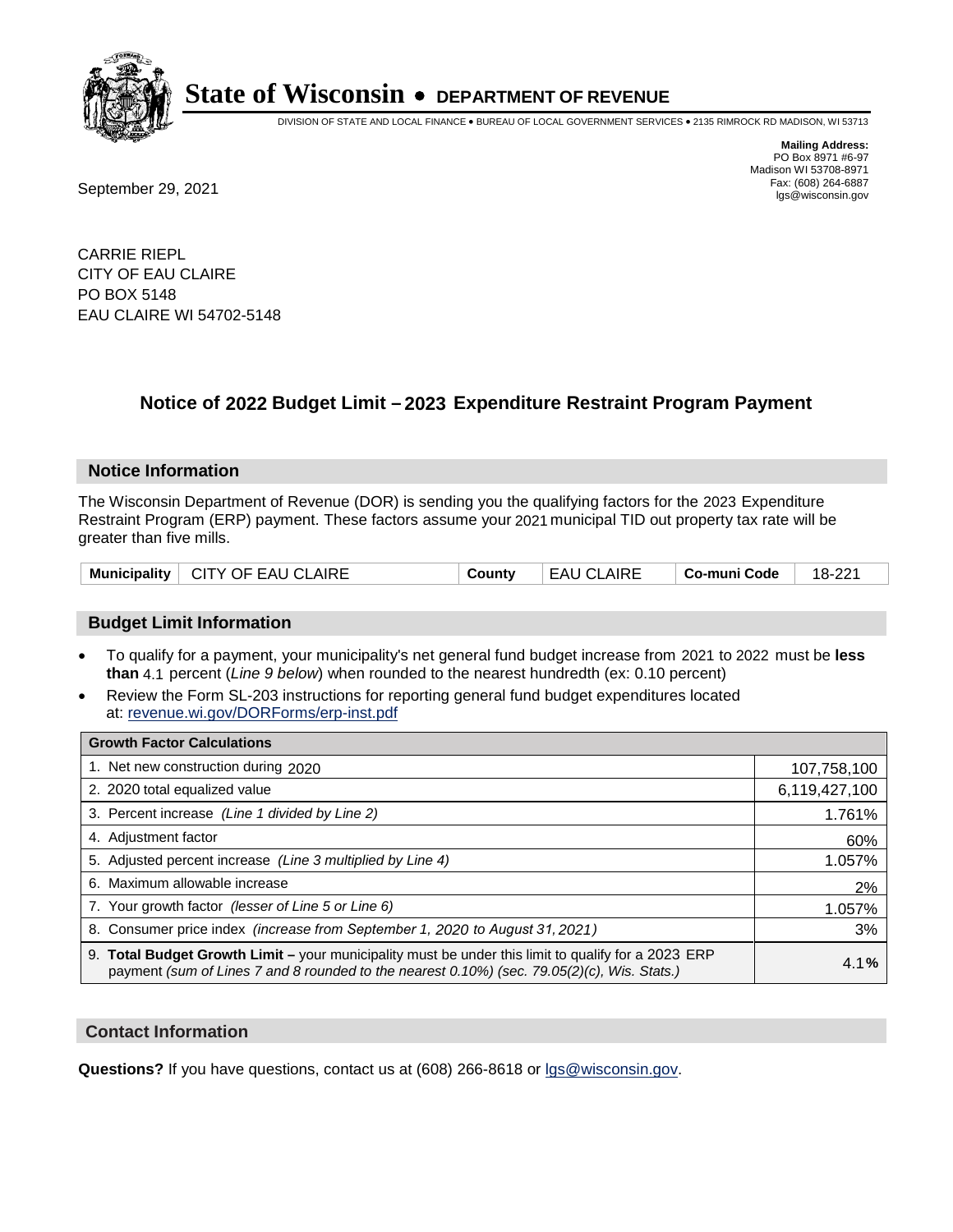

DIVISION OF STATE AND LOCAL FINANCE • BUREAU OF LOCAL GOVERNMENT SERVICES • 2135 RIMROCK RD MADISON, WI 53713

Fax: (608) 264-6887<br>
September 29, 2021 and the state of the state of the state of the state of the state of the state of the state of the state of the state of the state of the state of the state of the state of the state

**Mailing Address:** PO Box 8971 #6-97 Madison WI 53708-8971<br>Fax: (608) 264-6887

CARRIE RIEPL CITY OF EAU CLAIRE PO BOX 5148 EAU CLAIRE WI 54702-5148

## **Notice of 2022 Budget Limit - 2023 Expenditure Restraint Program Payment**

#### **Notice Information**

The Wisconsin Department of Revenue (DOR) is sending you the qualifying factors for the 2023 Expenditure Restraint Program (ERP) payment. These factors assume your 2021 municipal TID out property tax rate will be greater than five mills.

| Municipality   CITY OF EAU CLAIRE | County | EAU CLAIRE | Co-muni Code | 18-221 |
|-----------------------------------|--------|------------|--------------|--------|
|-----------------------------------|--------|------------|--------------|--------|

### **Budget Limit Information**

- To qualify for a payment, your municipality's net general fund budget increase from 2021 to 2022 must be less **than** 4.1 percent (*Line 9 below*) when rounded to the nearest hundredth (ex: 0.10 percent)
- Review the Form SL-203 instructions for reporting general fund budget expenditures located at: revenue.wi.gov/DORForms/erp-inst.pdf

| <b>Growth Factor Calculations</b>                                                                                                                                                                  |               |
|----------------------------------------------------------------------------------------------------------------------------------------------------------------------------------------------------|---------------|
| 1. Net new construction during 2020                                                                                                                                                                | 107,758,100   |
| 2. 2020 total equalized value                                                                                                                                                                      | 6,119,427,100 |
| 3. Percent increase (Line 1 divided by Line 2)                                                                                                                                                     | 1.761%        |
| 4. Adiustment factor                                                                                                                                                                               | 60%           |
| 5. Adjusted percent increase (Line 3 multiplied by Line 4)                                                                                                                                         | 1.057%        |
| 6. Maximum allowable increase                                                                                                                                                                      | 2%            |
| 7. Your growth factor (lesser of Line 5 or Line 6)                                                                                                                                                 | 1.057%        |
| 8. Consumer price index (increase from September 1, 2020 to August 31, 2021)                                                                                                                       | 3%            |
| 9. Total Budget Growth Limit - your municipality must be under this limit to qualify for a 2023 ERP<br>payment (sum of Lines 7 and 8 rounded to the nearest 0.10%) (sec. 79.05(2)(c), Wis. Stats.) | 4.1%          |

#### **Contact Information**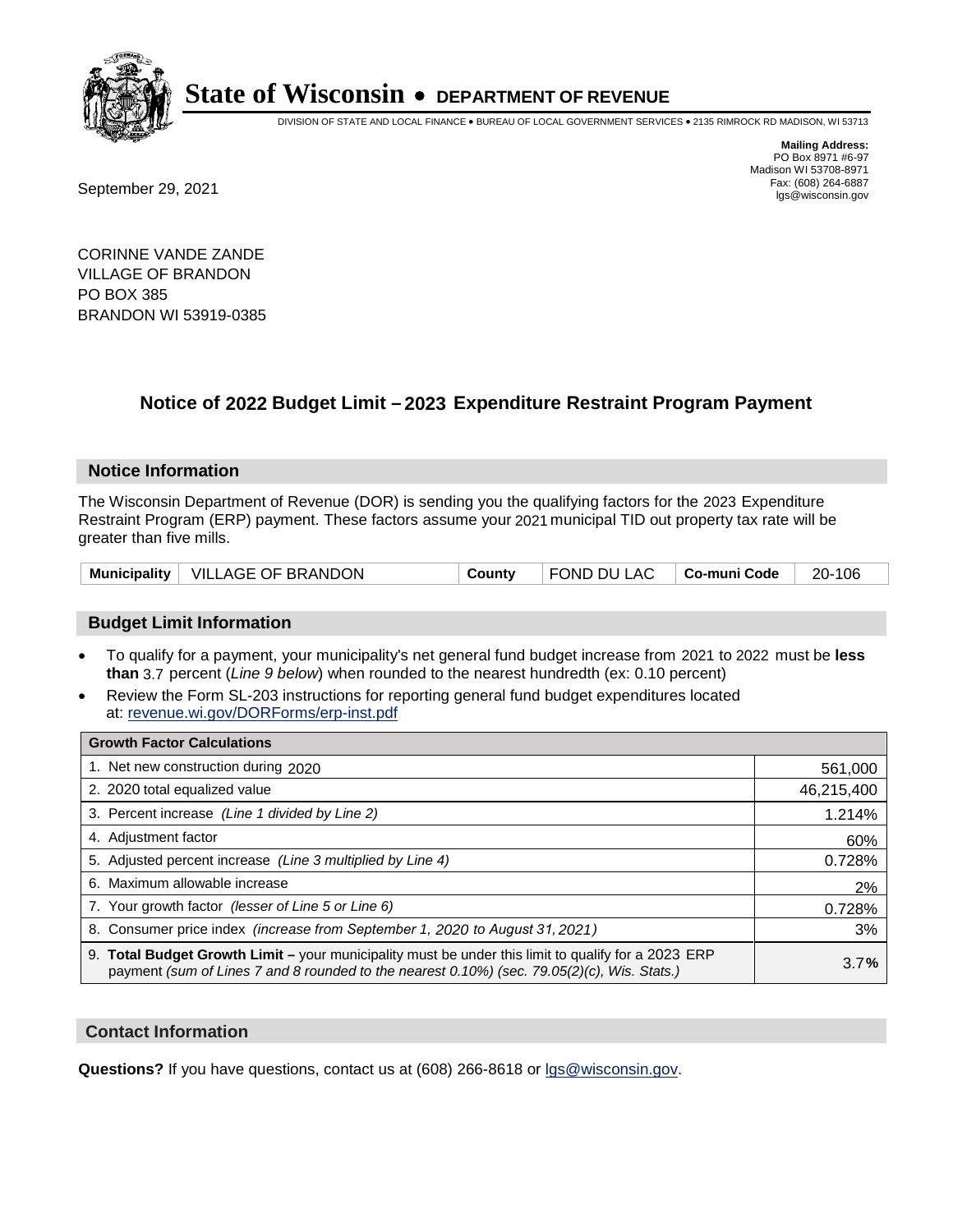

DIVISION OF STATE AND LOCAL FINANCE • BUREAU OF LOCAL GOVERNMENT SERVICES • 2135 RIMROCK RD MADISON, WI 53713

**Mailing Address:** PO Box 8971 #6-97 Madison WI 53708-8971<br>Fax: (608) 264-6887 Fax: (608) 264-6887<br>
September 29, 2021 and the state of the state of the state of the state of the state of the state of the state of the state of the state of the state of the state of the state of the state of the state

CORINNE VANDE ZANDE VILLAGE OF BRANDON PO BOX 385 BRANDON WI 53919-0385

## **Notice of 2022 Budget Limit - 2023 Expenditure Restraint Program Payment**

#### **Notice Information**

The Wisconsin Department of Revenue (DOR) is sending you the qualifying factors for the 2023 Expenditure Restraint Program (ERP) payment. These factors assume your 2021 municipal TID out property tax rate will be greater than five mills.

|  | Municipality   VILLAGE OF BRANDON | County | FOND DU LAC   Co-muni Code |  | 20-106 |
|--|-----------------------------------|--------|----------------------------|--|--------|
|--|-----------------------------------|--------|----------------------------|--|--------|

### **Budget Limit Information**

- To qualify for a payment, your municipality's net general fund budget increase from 2021 to 2022 must be less **than** 3.7 percent (*Line 9 below*) when rounded to the nearest hundredth (ex: 0.10 percent)
- Review the Form SL-203 instructions for reporting general fund budget expenditures located at: revenue.wi.gov/DORForms/erp-inst.pdf

| <b>Growth Factor Calculations</b>                                                                                                                                                                  |            |
|----------------------------------------------------------------------------------------------------------------------------------------------------------------------------------------------------|------------|
| 1. Net new construction during 2020                                                                                                                                                                | 561,000    |
| 2. 2020 total equalized value                                                                                                                                                                      | 46,215,400 |
| 3. Percent increase (Line 1 divided by Line 2)                                                                                                                                                     | 1.214%     |
| 4. Adjustment factor                                                                                                                                                                               | 60%        |
| 5. Adjusted percent increase (Line 3 multiplied by Line 4)                                                                                                                                         | 0.728%     |
| 6. Maximum allowable increase                                                                                                                                                                      | 2%         |
| 7. Your growth factor (lesser of Line 5 or Line 6)                                                                                                                                                 | 0.728%     |
| 8. Consumer price index (increase from September 1, 2020 to August 31, 2021)                                                                                                                       | 3%         |
| 9. Total Budget Growth Limit – your municipality must be under this limit to qualify for a 2023 ERP<br>payment (sum of Lines 7 and 8 rounded to the nearest 0.10%) (sec. 79.05(2)(c), Wis. Stats.) | 3.7%       |

#### **Contact Information**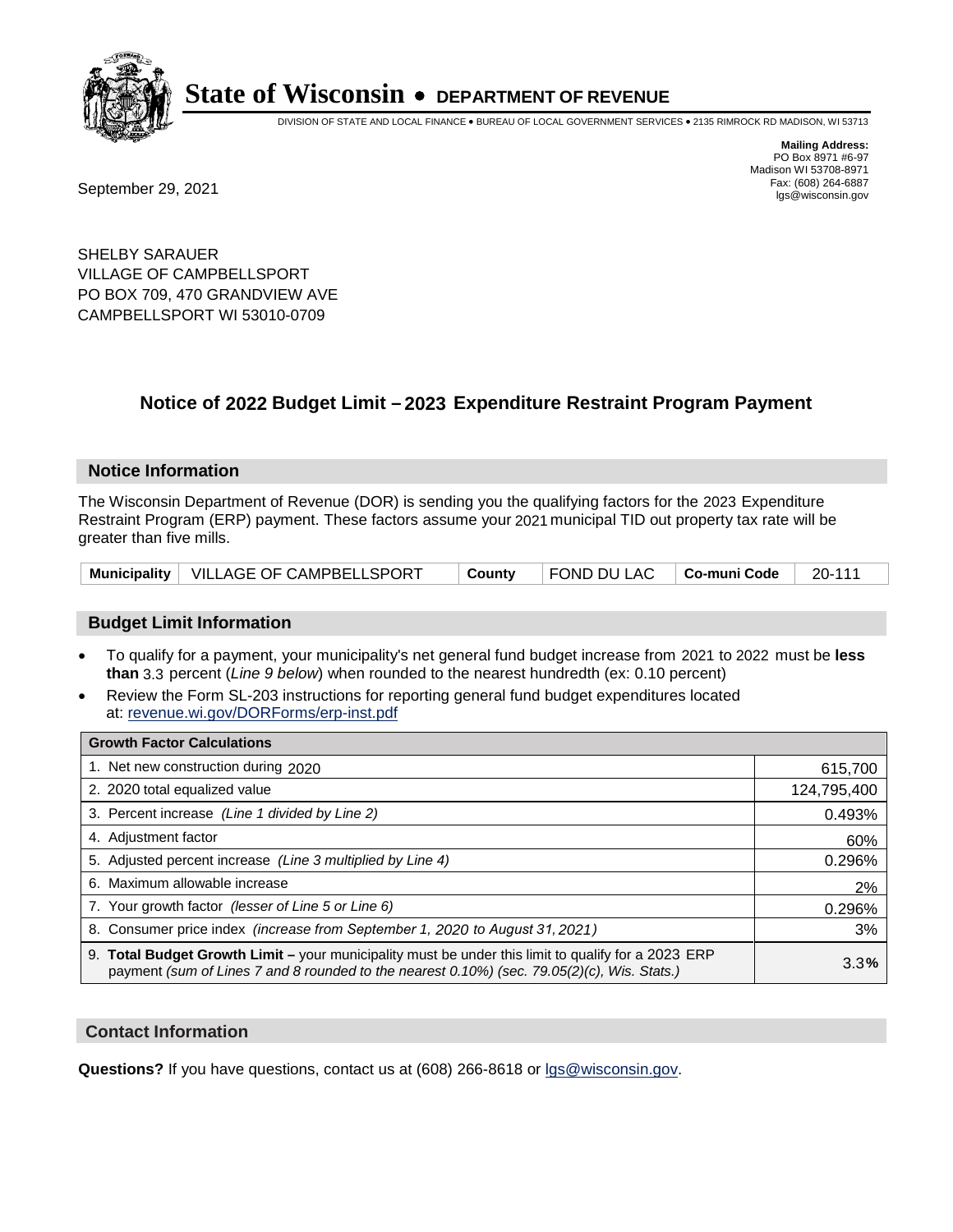

DIVISION OF STATE AND LOCAL FINANCE • BUREAU OF LOCAL GOVERNMENT SERVICES • 2135 RIMROCK RD MADISON, WI 53713

**Mailing Address:** PO Box 8971 #6-97 Madison WI 53708-8971<br>Fax: (608) 264-6887

Fax: (608) 264-6887<br>
September 29, 2021 and the state of the state of the state of the state of the state of the state of the state of the state of the state of the state of the state of the state of the state of the state

SHELBY SARAUER VILLAGE OF CAMPBELLSPORT PO BOX 709, 470 GRANDVIEW AVE CAMPBELLSPORT WI 53010-0709

## **Notice of 2022 Budget Limit - 2023 Expenditure Restraint Program Payment**

#### **Notice Information**

The Wisconsin Department of Revenue (DOR) is sending you the qualifying factors for the 2023 Expenditure Restraint Program (ERP) payment. These factors assume your 2021 municipal TID out property tax rate will be greater than five mills.

|  | Municipality   VILLAGE OF CAMPBELLSPORT | ∣ County | $\vert$ FOND DU LAC $\vert$ Co-muni Code $\vert$ 20-111 |  |  |
|--|-----------------------------------------|----------|---------------------------------------------------------|--|--|
|--|-----------------------------------------|----------|---------------------------------------------------------|--|--|

### **Budget Limit Information**

- To qualify for a payment, your municipality's net general fund budget increase from 2021 to 2022 must be less **than** 3.3 percent (*Line 9 below*) when rounded to the nearest hundredth (ex: 0.10 percent)
- Review the Form SL-203 instructions for reporting general fund budget expenditures located at: revenue.wi.gov/DORForms/erp-inst.pdf

| <b>Growth Factor Calculations</b>                                                                                                                                                                  |             |
|----------------------------------------------------------------------------------------------------------------------------------------------------------------------------------------------------|-------------|
| 1. Net new construction during 2020                                                                                                                                                                | 615,700     |
| 2. 2020 total equalized value                                                                                                                                                                      | 124,795,400 |
| 3. Percent increase (Line 1 divided by Line 2)                                                                                                                                                     | 0.493%      |
| 4. Adjustment factor                                                                                                                                                                               | 60%         |
| 5. Adjusted percent increase (Line 3 multiplied by Line 4)                                                                                                                                         | 0.296%      |
| 6. Maximum allowable increase                                                                                                                                                                      | 2%          |
| 7. Your growth factor (lesser of Line 5 or Line 6)                                                                                                                                                 | 0.296%      |
| 8. Consumer price index (increase from September 1, 2020 to August 31, 2021)                                                                                                                       | 3%          |
| 9. Total Budget Growth Limit - your municipality must be under this limit to qualify for a 2023 ERP<br>payment (sum of Lines 7 and 8 rounded to the nearest 0.10%) (sec. 79.05(2)(c), Wis. Stats.) | 3.3%        |

#### **Contact Information**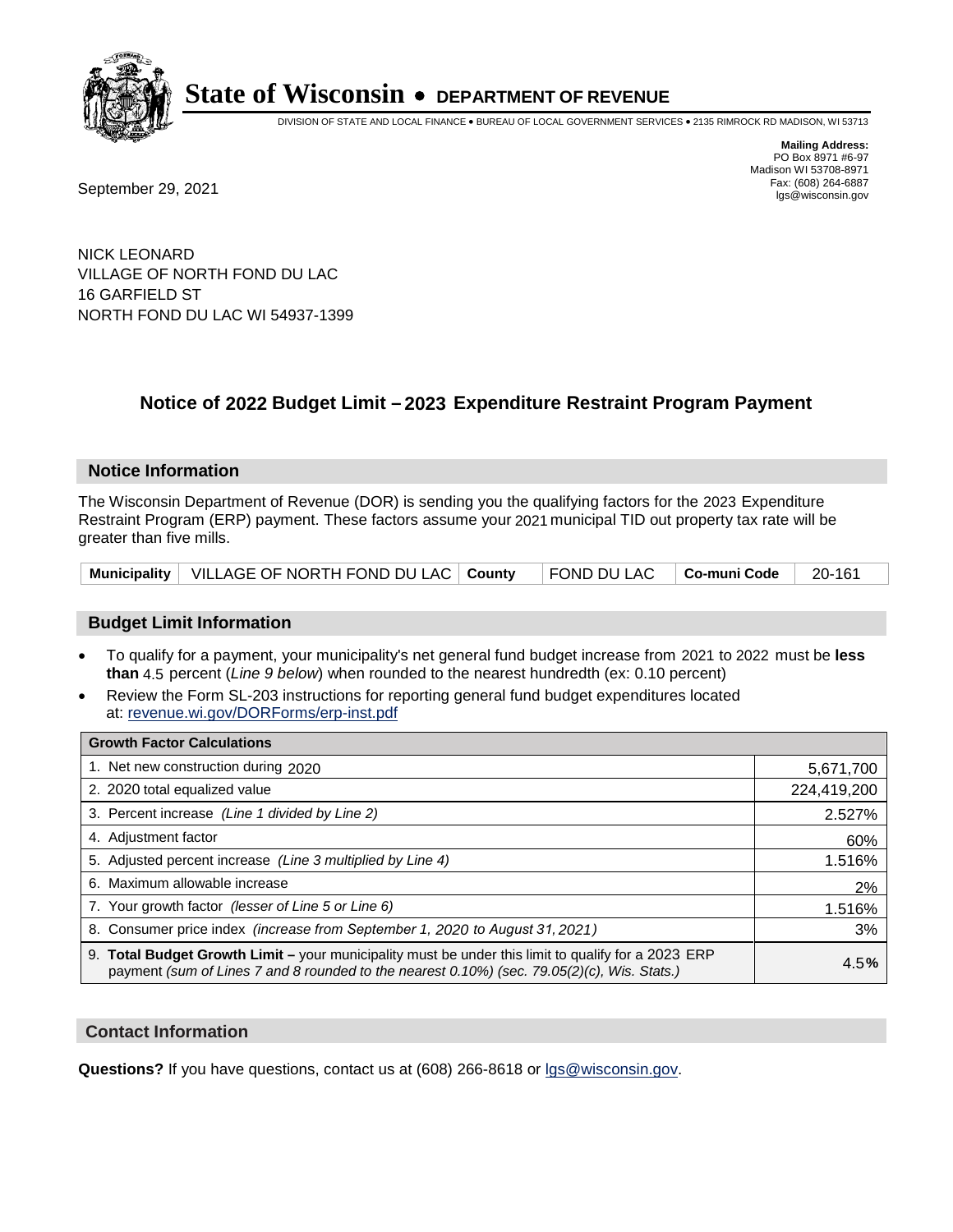

DIVISION OF STATE AND LOCAL FINANCE • BUREAU OF LOCAL GOVERNMENT SERVICES • 2135 RIMROCK RD MADISON, WI 53713

**Mailing Address:** PO Box 8971 #6-97 Madison WI 53708-8971<br>Fax: (608) 264-6887

Fax: (608) 264-6887<br>
September 29, 2021 and the state of the state of the state of the state of the state of the state of the state of the state of the state of the state of the state of the state of the state of the state

NICK LEONARD VILLAGE OF NORTH FOND DU LAC 16 GARFIELD ST NORTH FOND DU LAC WI 54937-1399

## **Notice of 2022 Budget Limit - 2023 Expenditure Restraint Program Payment**

#### **Notice Information**

The Wisconsin Department of Revenue (DOR) is sending you the qualifying factors for the 2023 Expenditure Restraint Program (ERP) payment. These factors assume your 2021 municipal TID out property tax rate will be greater than five mills.

| Municipality   VILLAGE OF NORTH FOND DU LAC   County   FOND DU LAC   Co-muni Code   20-161 |  |  |  |  |
|--------------------------------------------------------------------------------------------|--|--|--|--|
|--------------------------------------------------------------------------------------------|--|--|--|--|

### **Budget Limit Information**

- To qualify for a payment, your municipality's net general fund budget increase from 2021 to 2022 must be less **than** 4.5 percent (*Line 9 below*) when rounded to the nearest hundredth (ex: 0.10 percent)
- Review the Form SL-203 instructions for reporting general fund budget expenditures located at: revenue.wi.gov/DORForms/erp-inst.pdf

| <b>Growth Factor Calculations</b>                                                                                                                                                                  |             |
|----------------------------------------------------------------------------------------------------------------------------------------------------------------------------------------------------|-------------|
| 1. Net new construction during 2020                                                                                                                                                                | 5,671,700   |
| 2. 2020 total equalized value                                                                                                                                                                      | 224,419,200 |
| 3. Percent increase (Line 1 divided by Line 2)                                                                                                                                                     | 2.527%      |
| 4. Adjustment factor                                                                                                                                                                               | 60%         |
| 5. Adjusted percent increase (Line 3 multiplied by Line 4)                                                                                                                                         | 1.516%      |
| 6. Maximum allowable increase                                                                                                                                                                      | 2%          |
| 7. Your growth factor (lesser of Line 5 or Line 6)                                                                                                                                                 | 1.516%      |
| 8. Consumer price index (increase from September 1, 2020 to August 31, 2021)                                                                                                                       | 3%          |
| 9. Total Budget Growth Limit - your municipality must be under this limit to qualify for a 2023 ERP<br>payment (sum of Lines 7 and 8 rounded to the nearest 0.10%) (sec. 79.05(2)(c), Wis. Stats.) | 4.5%        |

#### **Contact Information**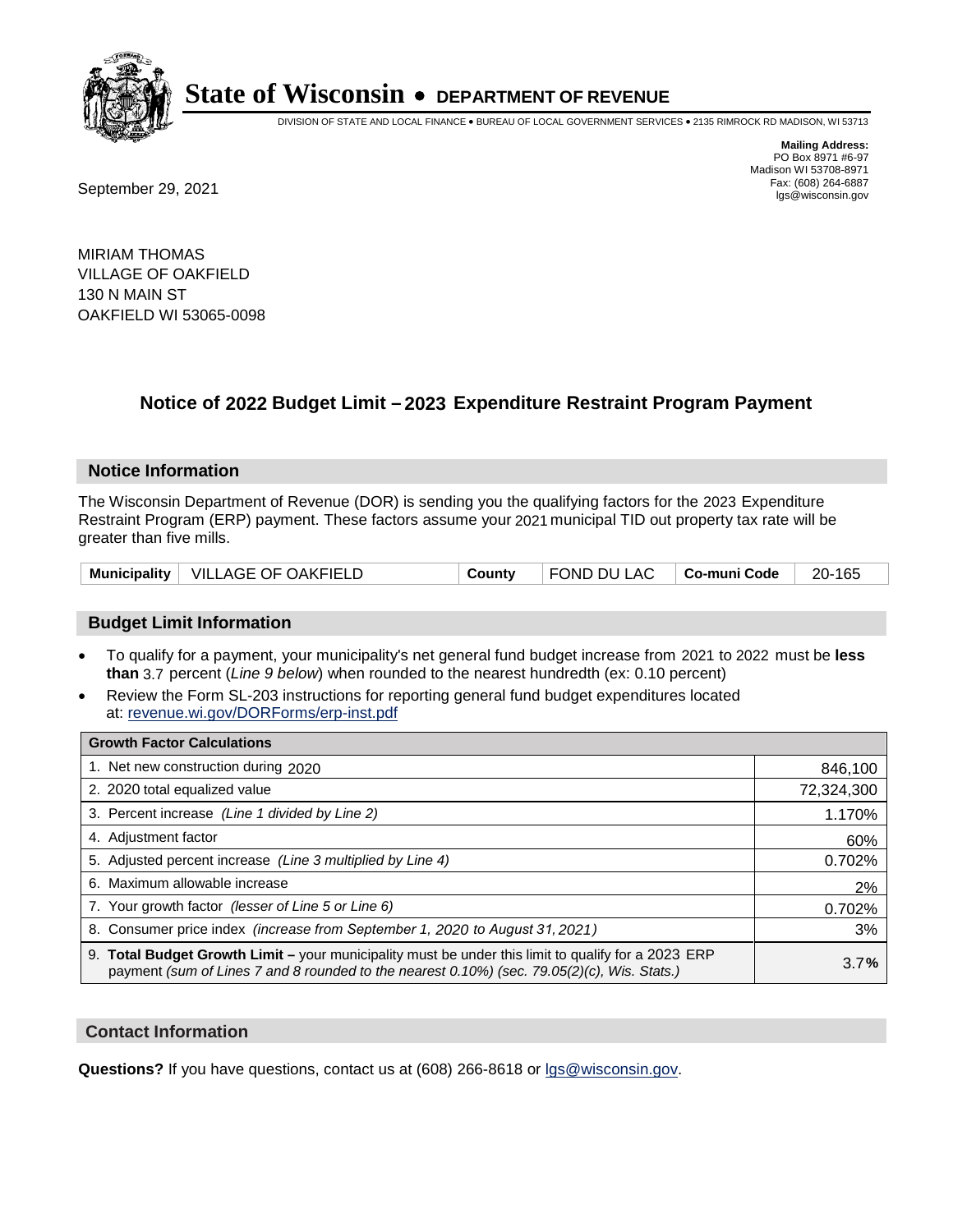

DIVISION OF STATE AND LOCAL FINANCE • BUREAU OF LOCAL GOVERNMENT SERVICES • 2135 RIMROCK RD MADISON, WI 53713

**Mailing Address:** PO Box 8971 #6-97 Madison WI 53708-8971<br>Fax: (608) 264-6887

Fax: (608) 264-6887<br>
September 29, 2021 and the state of the state of the state of the state of the state of the state of the state of the state of the state of the state of the state of the state of the state of the state

MIRIAM THOMAS VILLAGE OF OAKFIELD 130 N MAIN ST OAKFIELD WI 53065-0098

## **Notice of 2022 Budget Limit - 2023 Expenditure Restraint Program Payment**

#### **Notice Information**

The Wisconsin Department of Revenue (DOR) is sending you the qualifying factors for the 2023 Expenditure Restraint Program (ERP) payment. These factors assume your 2021 municipal TID out property tax rate will be greater than five mills.

|  | Municipality   VILLAGE OF OAKFIELD | County | FOND DU LAC   Co-muni Code |  | 20-165 |
|--|------------------------------------|--------|----------------------------|--|--------|
|--|------------------------------------|--------|----------------------------|--|--------|

### **Budget Limit Information**

- To qualify for a payment, your municipality's net general fund budget increase from 2021 to 2022 must be less **than** 3.7 percent (*Line 9 below*) when rounded to the nearest hundredth (ex: 0.10 percent)
- Review the Form SL-203 instructions for reporting general fund budget expenditures located at: revenue.wi.gov/DORForms/erp-inst.pdf

| <b>Growth Factor Calculations</b>                                                                                                                                                                  |            |
|----------------------------------------------------------------------------------------------------------------------------------------------------------------------------------------------------|------------|
| 1. Net new construction during 2020                                                                                                                                                                | 846,100    |
| 2. 2020 total equalized value                                                                                                                                                                      | 72,324,300 |
| 3. Percent increase (Line 1 divided by Line 2)                                                                                                                                                     | 1.170%     |
| 4. Adjustment factor                                                                                                                                                                               | 60%        |
| 5. Adjusted percent increase (Line 3 multiplied by Line 4)                                                                                                                                         | 0.702%     |
| 6. Maximum allowable increase                                                                                                                                                                      | 2%         |
| 7. Your growth factor (lesser of Line 5 or Line 6)                                                                                                                                                 | 0.702%     |
| 8. Consumer price index (increase from September 1, 2020 to August 31, 2021)                                                                                                                       | 3%         |
| 9. Total Budget Growth Limit - your municipality must be under this limit to qualify for a 2023 ERP<br>payment (sum of Lines 7 and 8 rounded to the nearest 0.10%) (sec. 79.05(2)(c), Wis. Stats.) | 3.7%       |

### **Contact Information**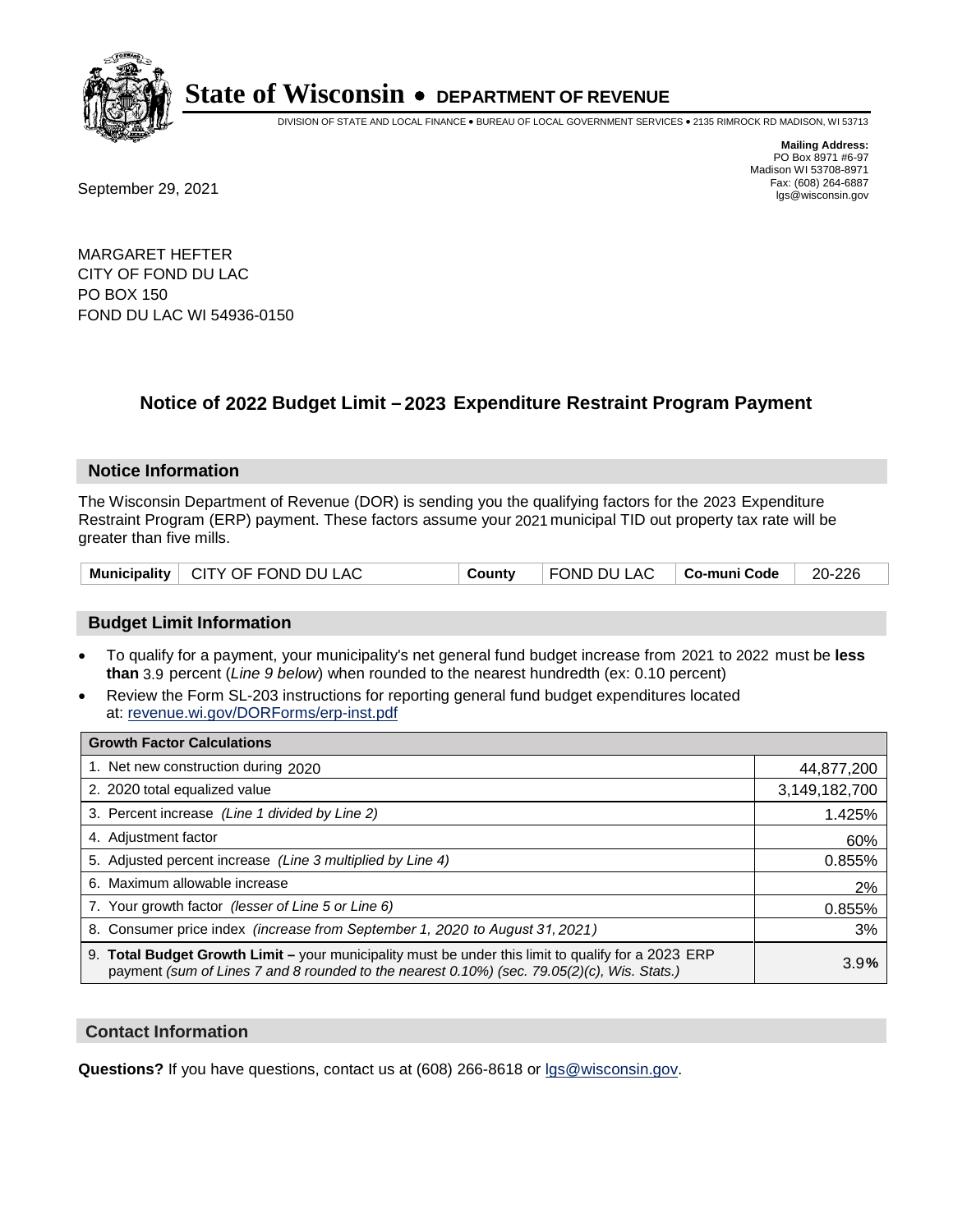

DIVISION OF STATE AND LOCAL FINANCE • BUREAU OF LOCAL GOVERNMENT SERVICES • 2135 RIMROCK RD MADISON, WI 53713

Fax: (608) 264-6887<br>
September 29, 2021 and the state of the state of the state of the state of the state of the state of the state of the state of the state of the state of the state of the state of the state of the state

**Mailing Address:** PO Box 8971 #6-97 Madison WI 53708-8971<br>Fax: (608) 264-6887

MARGARET HEFTER CITY OF FOND DU LAC PO BOX 150 FOND DU LAC WI 54936-0150

## **Notice of 2022 Budget Limit - 2023 Expenditure Restraint Program Payment**

#### **Notice Information**

The Wisconsin Department of Revenue (DOR) is sending you the qualifying factors for the 2023 Expenditure Restraint Program (ERP) payment. These factors assume your 2021 municipal TID out property tax rate will be greater than five mills.

|  | Municipality   CITY OF FOND DU LAC | County | $\mid$ FOND DU LAC $\mid$ Co-muni Code $\mid$ 20-226 |  |  |
|--|------------------------------------|--------|------------------------------------------------------|--|--|
|--|------------------------------------|--------|------------------------------------------------------|--|--|

### **Budget Limit Information**

- To qualify for a payment, your municipality's net general fund budget increase from 2021 to 2022 must be less **than** 3.9 percent (*Line 9 below*) when rounded to the nearest hundredth (ex: 0.10 percent)
- Review the Form SL-203 instructions for reporting general fund budget expenditures located at: revenue.wi.gov/DORForms/erp-inst.pdf

| <b>Growth Factor Calculations</b>                                                                                                                                                                      |               |
|--------------------------------------------------------------------------------------------------------------------------------------------------------------------------------------------------------|---------------|
| 1. Net new construction during 2020                                                                                                                                                                    | 44,877,200    |
| 2. 2020 total equalized value                                                                                                                                                                          | 3,149,182,700 |
| 3. Percent increase (Line 1 divided by Line 2)                                                                                                                                                         | 1.425%        |
| 4. Adjustment factor                                                                                                                                                                                   | 60%           |
| 5. Adjusted percent increase (Line 3 multiplied by Line 4)                                                                                                                                             | 0.855%        |
| 6. Maximum allowable increase                                                                                                                                                                          | 2%            |
| 7. Your growth factor (lesser of Line 5 or Line 6)                                                                                                                                                     | 0.855%        |
| 8. Consumer price index (increase from September 1, 2020 to August 31, 2021)                                                                                                                           | 3%            |
| 9. Total Budget Growth Limit - your municipality must be under this limit to qualify for a 2023 ERP<br>payment (sum of Lines 7 and 8 rounded to the nearest $0.10\%$ ) (sec. 79.05(2)(c), Wis. Stats.) | 3.9%          |

#### **Contact Information**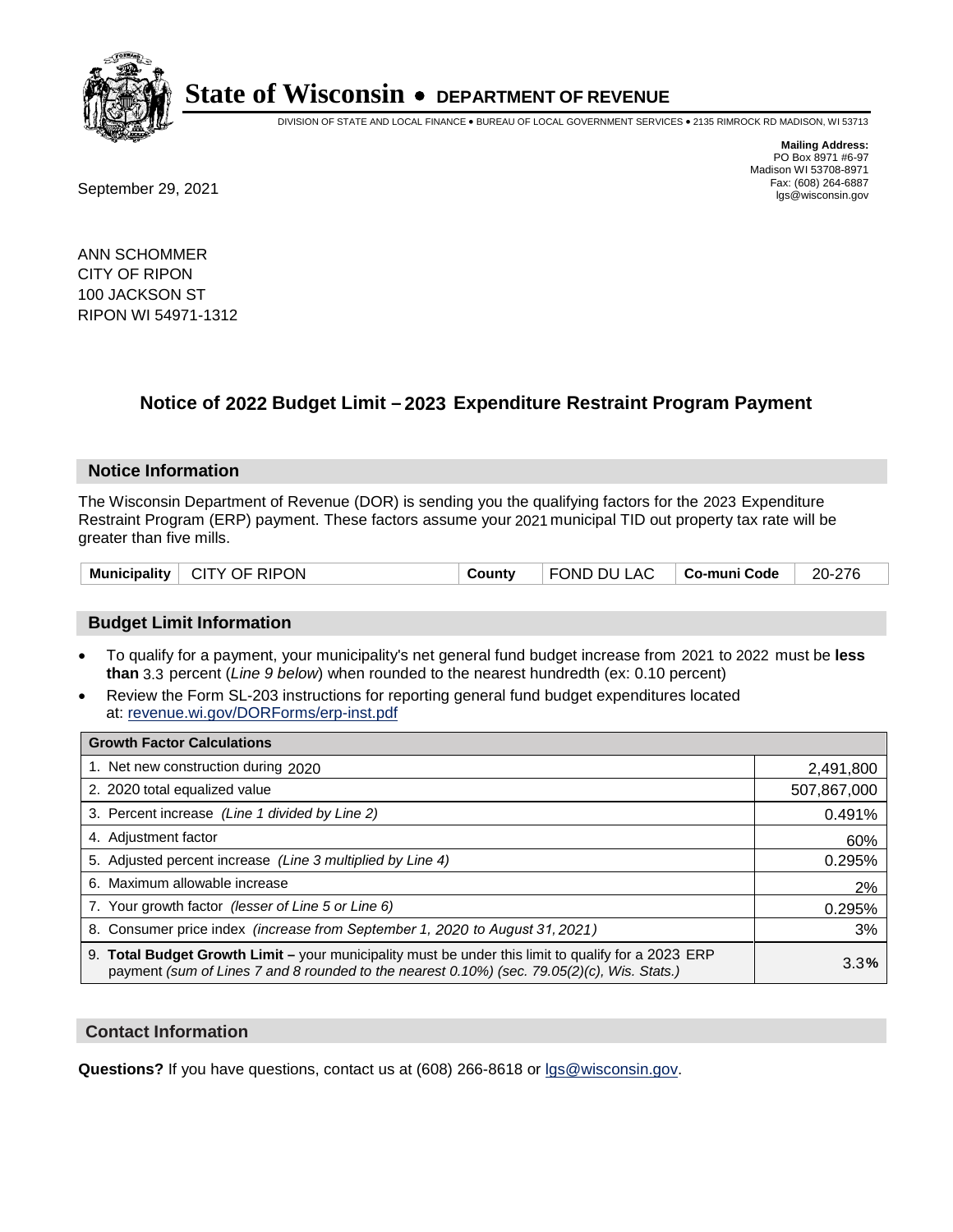

DIVISION OF STATE AND LOCAL FINANCE • BUREAU OF LOCAL GOVERNMENT SERVICES • 2135 RIMROCK RD MADISON, WI 53713

**Mailing Address:** PO Box 8971 #6-97 Madison WI 53708-8971<br>Fax: (608) 264-6887

Fax: (608) 264-6887<br>
September 29, 2021 and the state of the state of the state of the state of the state of the state of the state of the state of the state of the state of the state of the state of the state of the state

ANN SCHOMMER CITY OF RIPON 100 JACKSON ST RIPON WI 54971-1312

## **Notice of 2022 Budget Limit - 2023 Expenditure Restraint Program Payment**

#### **Notice Information**

The Wisconsin Department of Revenue (DOR) is sending you the qualifying factors for the 2023 Expenditure Restraint Program (ERP) payment. These factors assume your 2021 municipal TID out property tax rate will be greater than five mills.

| Municipality   CITY OF RIPON | County | $\vert$ FOND DU LAC $\vert$ Co-muni Code $\vert$ 20-276 |  |  |
|------------------------------|--------|---------------------------------------------------------|--|--|
|------------------------------|--------|---------------------------------------------------------|--|--|

### **Budget Limit Information**

- To qualify for a payment, your municipality's net general fund budget increase from 2021 to 2022 must be less **than** 3.3 percent (*Line 9 below*) when rounded to the nearest hundredth (ex: 0.10 percent)
- Review the Form SL-203 instructions for reporting general fund budget expenditures located at: revenue.wi.gov/DORForms/erp-inst.pdf

| <b>Growth Factor Calculations</b>                                                                                                                                                                  |             |
|----------------------------------------------------------------------------------------------------------------------------------------------------------------------------------------------------|-------------|
| 1. Net new construction during 2020                                                                                                                                                                | 2,491,800   |
| 2. 2020 total equalized value                                                                                                                                                                      | 507,867,000 |
| 3. Percent increase (Line 1 divided by Line 2)                                                                                                                                                     | 0.491%      |
| 4. Adiustment factor                                                                                                                                                                               | 60%         |
| 5. Adjusted percent increase (Line 3 multiplied by Line 4)                                                                                                                                         | 0.295%      |
| 6. Maximum allowable increase                                                                                                                                                                      | 2%          |
| 7. Your growth factor (lesser of Line 5 or Line 6)                                                                                                                                                 | 0.295%      |
| 8. Consumer price index (increase from September 1, 2020 to August 31, 2021)                                                                                                                       | 3%          |
| 9. Total Budget Growth Limit - your municipality must be under this limit to qualify for a 2023 ERP<br>payment (sum of Lines 7 and 8 rounded to the nearest 0.10%) (sec. 79.05(2)(c), Wis. Stats.) | 3.3%        |

#### **Contact Information**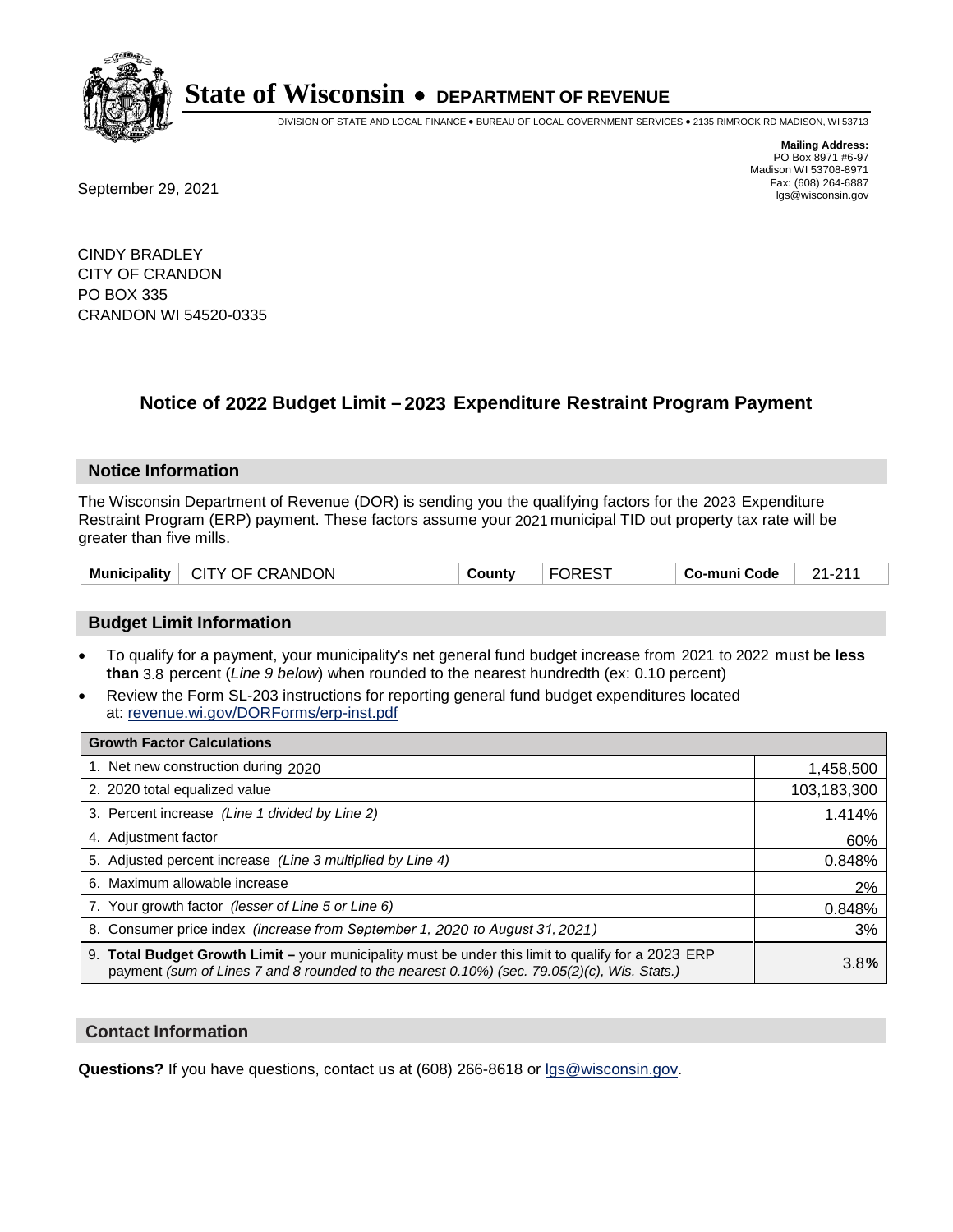

DIVISION OF STATE AND LOCAL FINANCE • BUREAU OF LOCAL GOVERNMENT SERVICES • 2135 RIMROCK RD MADISON, WI 53713

Fax: (608) 264-6887<br>
September 29, 2021 and the state of the state of the state of the state of the state of the state of the state of the state of the state of the state of the state of the state of the state of the state

**Mailing Address:** PO Box 8971 #6-97 Madison WI 53708-8971<br>Fax: (608) 264-6887

CINDY BRADLEY CITY OF CRANDON PO BOX 335 CRANDON WI 54520-0335

## **Notice of 2022 Budget Limit - 2023 Expenditure Restraint Program Payment**

#### **Notice Information**

The Wisconsin Department of Revenue (DOR) is sending you the qualifying factors for the 2023 Expenditure Restraint Program (ERP) payment. These factors assume your 2021 municipal TID out property tax rate will be greater than five mills.

| Municipality   CITY OF CRANDON | County | <b>FOREST</b> | ∣ Co-muni Code | 21-211 |
|--------------------------------|--------|---------------|----------------|--------|
|--------------------------------|--------|---------------|----------------|--------|

### **Budget Limit Information**

- To qualify for a payment, your municipality's net general fund budget increase from 2021 to 2022 must be less **than** 3.8 percent (*Line 9 below*) when rounded to the nearest hundredth (ex: 0.10 percent)
- Review the Form SL-203 instructions for reporting general fund budget expenditures located at: revenue.wi.gov/DORForms/erp-inst.pdf

| <b>Growth Factor Calculations</b>                                                                                                                                                                  |             |
|----------------------------------------------------------------------------------------------------------------------------------------------------------------------------------------------------|-------------|
| 1. Net new construction during 2020                                                                                                                                                                | 1,458,500   |
| 2. 2020 total equalized value                                                                                                                                                                      | 103,183,300 |
| 3. Percent increase (Line 1 divided by Line 2)                                                                                                                                                     | 1.414%      |
| 4. Adjustment factor                                                                                                                                                                               | 60%         |
| 5. Adjusted percent increase (Line 3 multiplied by Line 4)                                                                                                                                         | 0.848%      |
| 6. Maximum allowable increase                                                                                                                                                                      | 2%          |
| 7. Your growth factor (lesser of Line 5 or Line 6)                                                                                                                                                 | 0.848%      |
| 8. Consumer price index (increase from September 1, 2020 to August 31, 2021)                                                                                                                       | 3%          |
| 9. Total Budget Growth Limit – your municipality must be under this limit to qualify for a 2023 ERP<br>payment (sum of Lines 7 and 8 rounded to the nearest 0.10%) (sec. 79.05(2)(c), Wis. Stats.) | 3.8%        |

#### **Contact Information**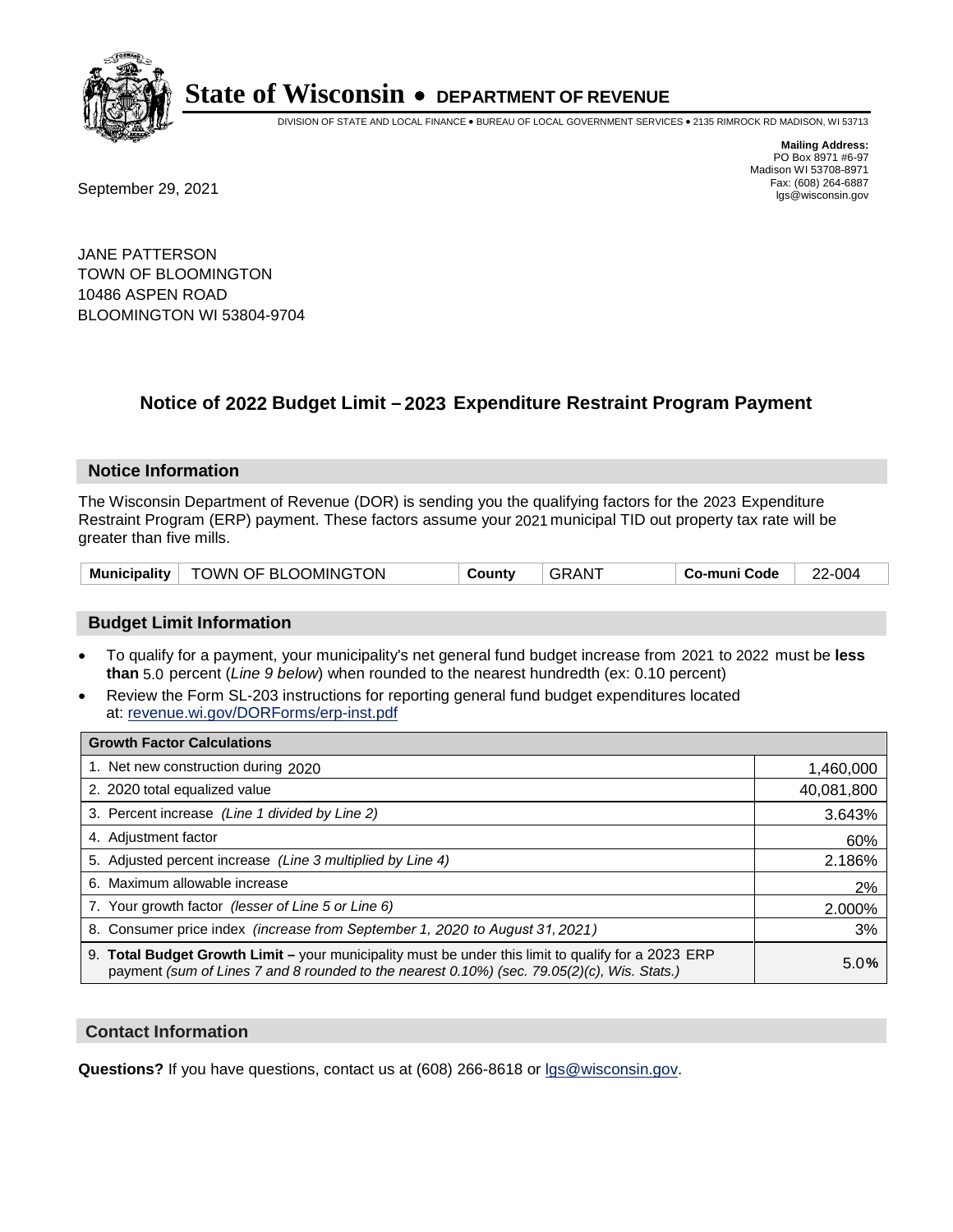

DIVISION OF STATE AND LOCAL FINANCE • BUREAU OF LOCAL GOVERNMENT SERVICES • 2135 RIMROCK RD MADISON, WI 53713

**Mailing Address:** PO Box 8971 #6-97 Madison WI 53708-8971<br>Fax: (608) 264-6887

Fax: (608) 264-6887<br>
September 29, 2021 and the state of the state of the state of the state of the state of the state of the state of the state of the state of the state of the state of the state of the state of the state

JANE PATTERSON TOWN OF BLOOMINGTON 10486 ASPEN ROAD BLOOMINGTON WI 53804-9704

## **Notice of 2022 Budget Limit - 2023 Expenditure Restraint Program Payment**

#### **Notice Information**

The Wisconsin Department of Revenue (DOR) is sending you the qualifying factors for the 2023 Expenditure Restraint Program (ERP) payment. These factors assume your 2021 municipal TID out property tax rate will be greater than five mills.

| <b>Municipality</b> | TOWN OF BLOOMINGTON | County | AN. | Co-muni Code | 2-004<br>ົ |
|---------------------|---------------------|--------|-----|--------------|------------|
|---------------------|---------------------|--------|-----|--------------|------------|

### **Budget Limit Information**

- To qualify for a payment, your municipality's net general fund budget increase from 2021 to 2022 must be less **than** 5.0 percent (*Line 9 below*) when rounded to the nearest hundredth (ex: 0.10 percent)
- Review the Form SL-203 instructions for reporting general fund budget expenditures located at: revenue.wi.gov/DORForms/erp-inst.pdf

| <b>Growth Factor Calculations</b>                                                                                                                                                                      |            |
|--------------------------------------------------------------------------------------------------------------------------------------------------------------------------------------------------------|------------|
| 1. Net new construction during 2020                                                                                                                                                                    | 1,460,000  |
| 2. 2020 total equalized value                                                                                                                                                                          | 40,081,800 |
| 3. Percent increase (Line 1 divided by Line 2)                                                                                                                                                         | 3.643%     |
| 4. Adjustment factor                                                                                                                                                                                   | 60%        |
| 5. Adjusted percent increase (Line 3 multiplied by Line 4)                                                                                                                                             | 2.186%     |
| 6. Maximum allowable increase                                                                                                                                                                          | 2%         |
| 7. Your growth factor (lesser of Line 5 or Line 6)                                                                                                                                                     | 2.000%     |
| 8. Consumer price index (increase from September 1, 2020 to August 31, 2021)                                                                                                                           | 3%         |
| 9. Total Budget Growth Limit - your municipality must be under this limit to qualify for a 2023 ERP<br>payment (sum of Lines 7 and 8 rounded to the nearest $0.10\%$ ) (sec. 79.05(2)(c), Wis. Stats.) | 5.0%       |

#### **Contact Information**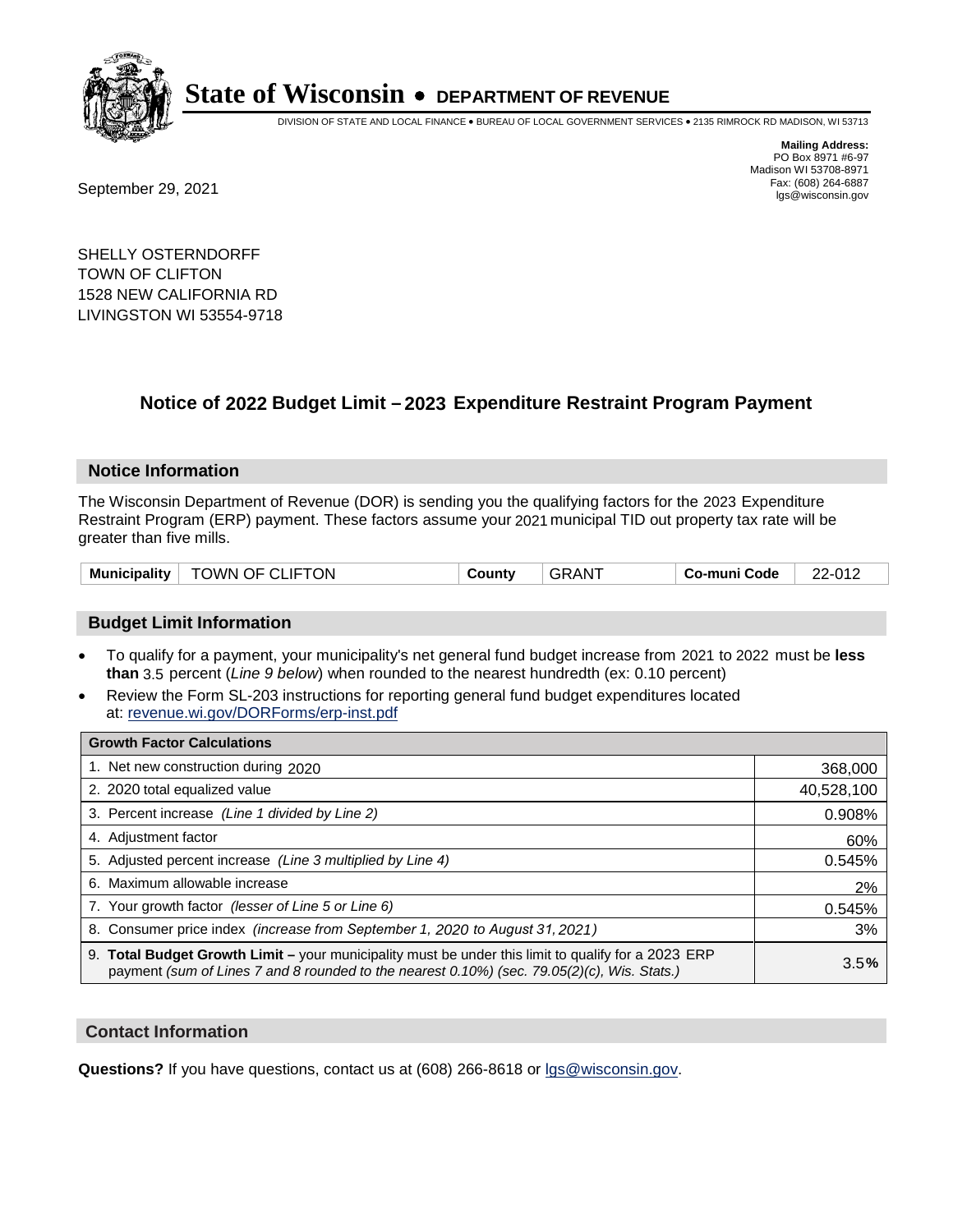

DIVISION OF STATE AND LOCAL FINANCE • BUREAU OF LOCAL GOVERNMENT SERVICES • 2135 RIMROCK RD MADISON, WI 53713

Fax: (608) 264-6887<br>
September 29, 2021 and the state of the state of the state of the state of the state of the state of the state of the state of the state of the state of the state of the state of the state of the state

**Mailing Address:** PO Box 8971 #6-97 Madison WI 53708-8971<br>Fax: (608) 264-6887

SHELLY OSTERNDORFF TOWN OF CLIFTON 1528 NEW CALIFORNIA RD LIVINGSTON WI 53554-9718

## **Notice of 2022 Budget Limit - 2023 Expenditure Restraint Program Payment**

#### **Notice Information**

The Wisconsin Department of Revenue (DOR) is sending you the qualifying factors for the 2023 Expenditure Restraint Program (ERP) payment. These factors assume your 2021 municipal TID out property tax rate will be greater than five mills.

| $^{\circ}$ TOWN OF CLIFTON<br><b>Municipality</b> | County | GRAN <sup>T</sup> | Co-muni Code | 22-012 |
|---------------------------------------------------|--------|-------------------|--------------|--------|
|---------------------------------------------------|--------|-------------------|--------------|--------|

#### **Budget Limit Information**

- To qualify for a payment, your municipality's net general fund budget increase from 2021 to 2022 must be less **than** 3.5 percent (*Line 9 below*) when rounded to the nearest hundredth (ex: 0.10 percent)
- Review the Form SL-203 instructions for reporting general fund budget expenditures located at: revenue.wi.gov/DORForms/erp-inst.pdf

| <b>Growth Factor Calculations</b>                                                                                                                                                                  |            |
|----------------------------------------------------------------------------------------------------------------------------------------------------------------------------------------------------|------------|
| 1. Net new construction during 2020                                                                                                                                                                | 368,000    |
| 2. 2020 total equalized value                                                                                                                                                                      | 40,528,100 |
| 3. Percent increase (Line 1 divided by Line 2)                                                                                                                                                     | 0.908%     |
| 4. Adjustment factor                                                                                                                                                                               | 60%        |
| 5. Adjusted percent increase (Line 3 multiplied by Line 4)                                                                                                                                         | 0.545%     |
| 6. Maximum allowable increase                                                                                                                                                                      | 2%         |
| 7. Your growth factor (lesser of Line 5 or Line 6)                                                                                                                                                 | 0.545%     |
| 8. Consumer price index (increase from September 1, 2020 to August 31, 2021)                                                                                                                       | 3%         |
| 9. Total Budget Growth Limit – your municipality must be under this limit to qualify for a 2023 ERP<br>payment (sum of Lines 7 and 8 rounded to the nearest 0.10%) (sec. 79.05(2)(c), Wis. Stats.) | 3.5%       |

#### **Contact Information**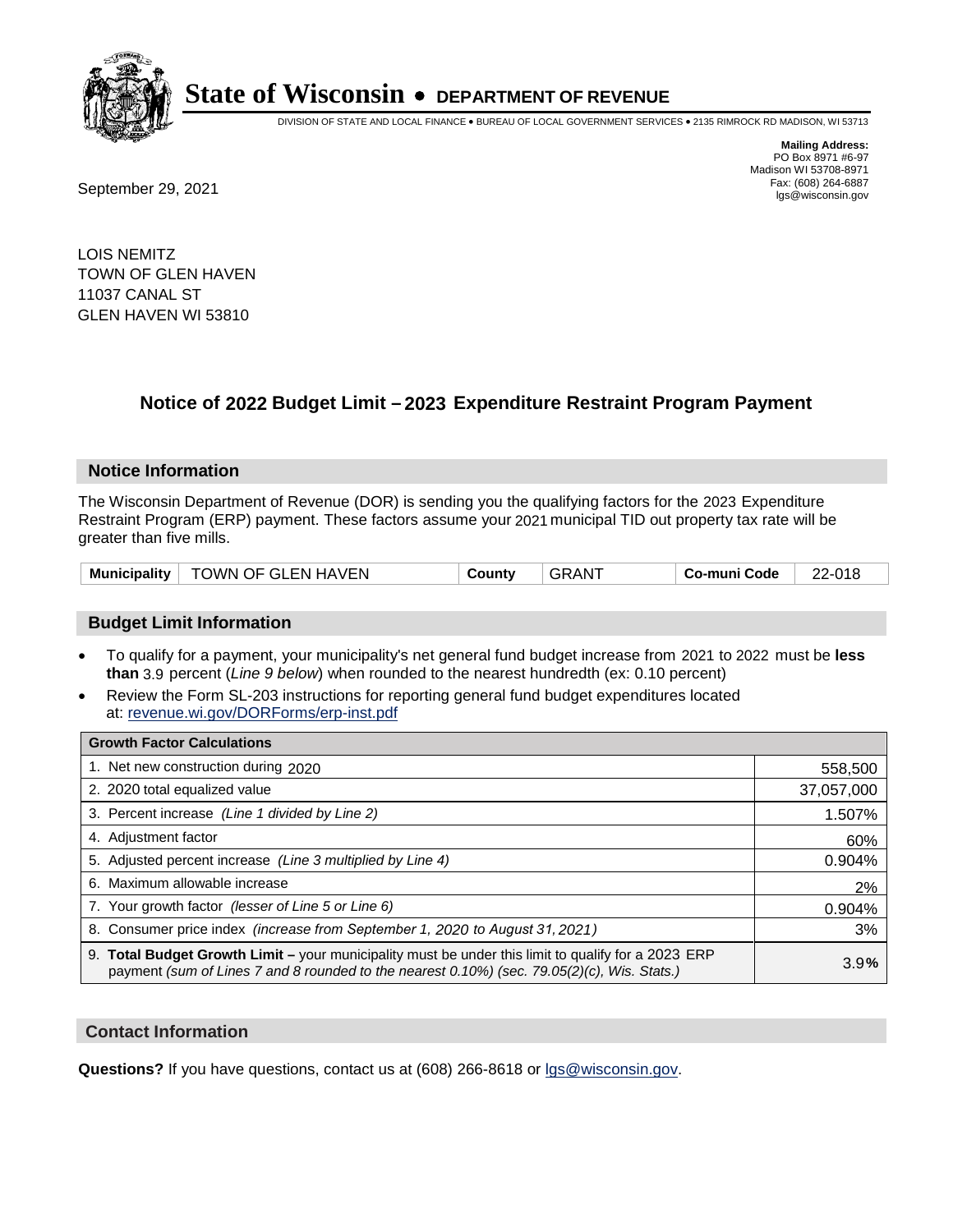

DIVISION OF STATE AND LOCAL FINANCE • BUREAU OF LOCAL GOVERNMENT SERVICES • 2135 RIMROCK RD MADISON, WI 53713

**Mailing Address:** PO Box 8971 #6-97 Madison WI 53708-8971<br>Fax: (608) 264-6887

Fax: (608) 264-6887<br>
September 29, 2021 and the state of the state of the state of the state of the state of the state of the state of the state of the state of the state of the state of the state of the state of the state

LOIS NEMITZ TOWN OF GLEN HAVEN 11037 CANAL ST GLEN HAVEN WI 53810

## **Notice of 2022 Budget Limit - 2023 Expenditure Restraint Program Payment**

#### **Notice Information**

The Wisconsin Department of Revenue (DOR) is sending you the qualifying factors for the 2023 Expenditure Restraint Program (ERP) payment. These factors assume your 2021 municipal TID out property tax rate will be greater than five mills.

| Municipality | TOWN OF GLEN HAVEN | ⊶ount∨ | `AN. | Co-muni Code | 22-018 |
|--------------|--------------------|--------|------|--------------|--------|
|--------------|--------------------|--------|------|--------------|--------|

### **Budget Limit Information**

- To qualify for a payment, your municipality's net general fund budget increase from 2021 to 2022 must be less **than** 3.9 percent (*Line 9 below*) when rounded to the nearest hundredth (ex: 0.10 percent)
- Review the Form SL-203 instructions for reporting general fund budget expenditures located at: revenue.wi.gov/DORForms/erp-inst.pdf

| <b>Growth Factor Calculations</b>                                                                                                                                                                  |            |
|----------------------------------------------------------------------------------------------------------------------------------------------------------------------------------------------------|------------|
| 1. Net new construction during 2020                                                                                                                                                                | 558,500    |
| 2. 2020 total equalized value                                                                                                                                                                      | 37,057,000 |
| 3. Percent increase (Line 1 divided by Line 2)                                                                                                                                                     | 1.507%     |
| 4. Adjustment factor                                                                                                                                                                               | 60%        |
| 5. Adjusted percent increase (Line 3 multiplied by Line 4)                                                                                                                                         | 0.904%     |
| 6. Maximum allowable increase                                                                                                                                                                      | 2%         |
| 7. Your growth factor (lesser of Line 5 or Line 6)                                                                                                                                                 | 0.904%     |
| 8. Consumer price index (increase from September 1, 2020 to August 31, 2021)                                                                                                                       | 3%         |
| 9. Total Budget Growth Limit - your municipality must be under this limit to qualify for a 2023 ERP<br>payment (sum of Lines 7 and 8 rounded to the nearest 0.10%) (sec. 79.05(2)(c), Wis. Stats.) | 3.9%       |

#### **Contact Information**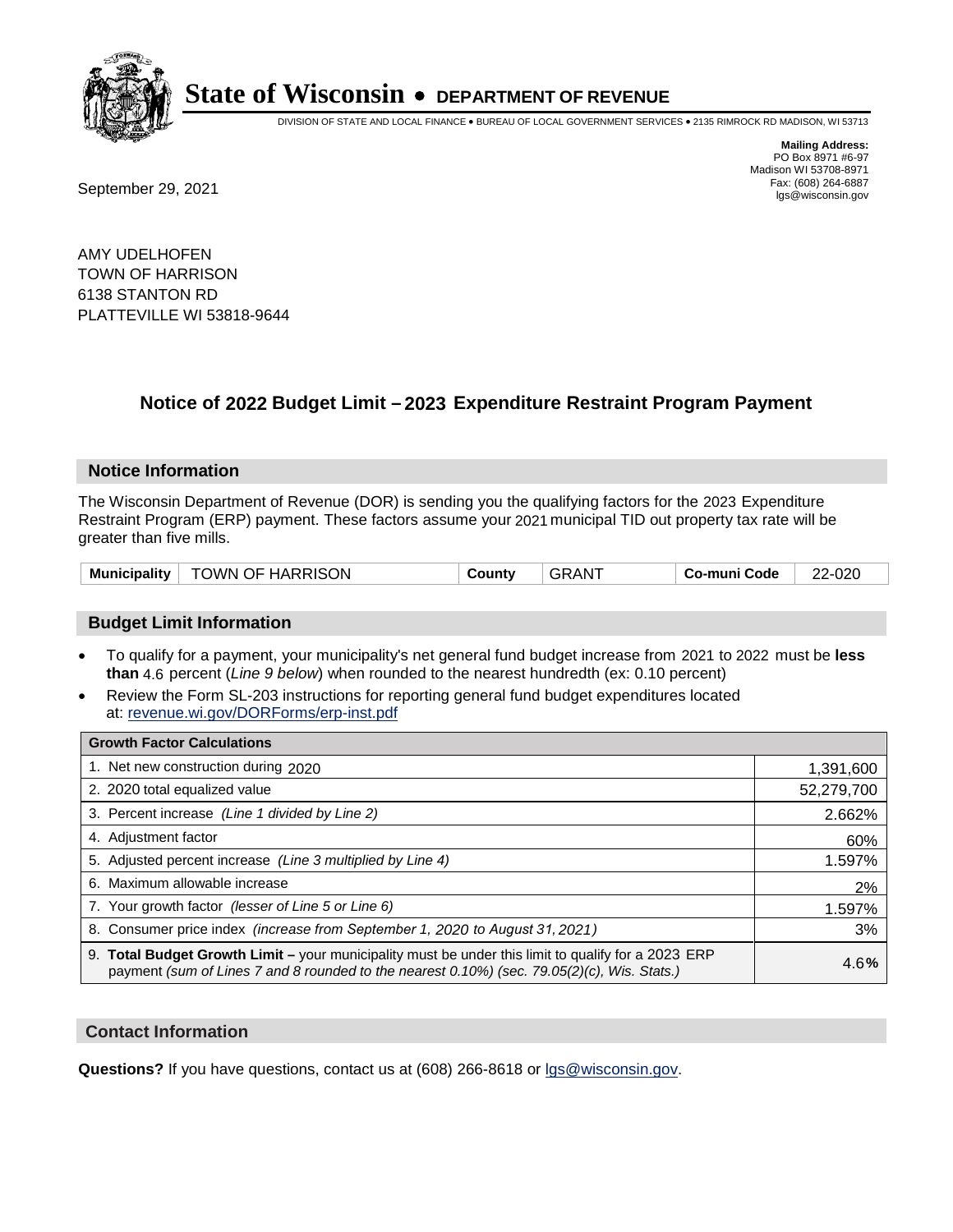

DIVISION OF STATE AND LOCAL FINANCE • BUREAU OF LOCAL GOVERNMENT SERVICES • 2135 RIMROCK RD MADISON, WI 53713

**Mailing Address:** PO Box 8971 #6-97 Madison WI 53708-8971<br>Fax: (608) 264-6887

Fax: (608) 264-6887<br>
September 29, 2021 and the state of the state of the state of the state of the state of the state of the state of the state of the state of the state of the state of the state of the state of the state

AMY UDELHOFEN TOWN OF HARRISON 6138 STANTON RD PLATTEVILLE WI 53818-9644

## **Notice of 2022 Budget Limit - 2023 Expenditure Restraint Program Payment**

#### **Notice Information**

The Wisconsin Department of Revenue (DOR) is sending you the qualifying factors for the 2023 Expenditure Restraint Program (ERP) payment. These factors assume your 2021 municipal TID out property tax rate will be greater than five mills.

| Municipality | <b>TOWN OF HARRISON</b> | County | ⊤GRAN <sup>⊤</sup> | <b>Co-muni Code</b> | 22-020 |
|--------------|-------------------------|--------|--------------------|---------------------|--------|
|--------------|-------------------------|--------|--------------------|---------------------|--------|

### **Budget Limit Information**

- To qualify for a payment, your municipality's net general fund budget increase from 2021 to 2022 must be less **than** 4.6 percent (*Line 9 below*) when rounded to the nearest hundredth (ex: 0.10 percent)
- Review the Form SL-203 instructions for reporting general fund budget expenditures located at: revenue.wi.gov/DORForms/erp-inst.pdf

| <b>Growth Factor Calculations</b>                                                                                                                                                                  |            |
|----------------------------------------------------------------------------------------------------------------------------------------------------------------------------------------------------|------------|
| 1. Net new construction during 2020                                                                                                                                                                | 1,391,600  |
| 2. 2020 total equalized value                                                                                                                                                                      | 52,279,700 |
| 3. Percent increase (Line 1 divided by Line 2)                                                                                                                                                     | 2.662%     |
| 4. Adjustment factor                                                                                                                                                                               | 60%        |
| 5. Adjusted percent increase (Line 3 multiplied by Line 4)                                                                                                                                         | 1.597%     |
| 6. Maximum allowable increase                                                                                                                                                                      | 2%         |
| 7. Your growth factor (lesser of Line 5 or Line 6)                                                                                                                                                 | 1.597%     |
| 8. Consumer price index (increase from September 1, 2020 to August 31, 2021)                                                                                                                       | 3%         |
| 9. Total Budget Growth Limit - your municipality must be under this limit to qualify for a 2023 ERP<br>payment (sum of Lines 7 and 8 rounded to the nearest 0.10%) (sec. 79.05(2)(c), Wis. Stats.) | 4.6%       |

#### **Contact Information**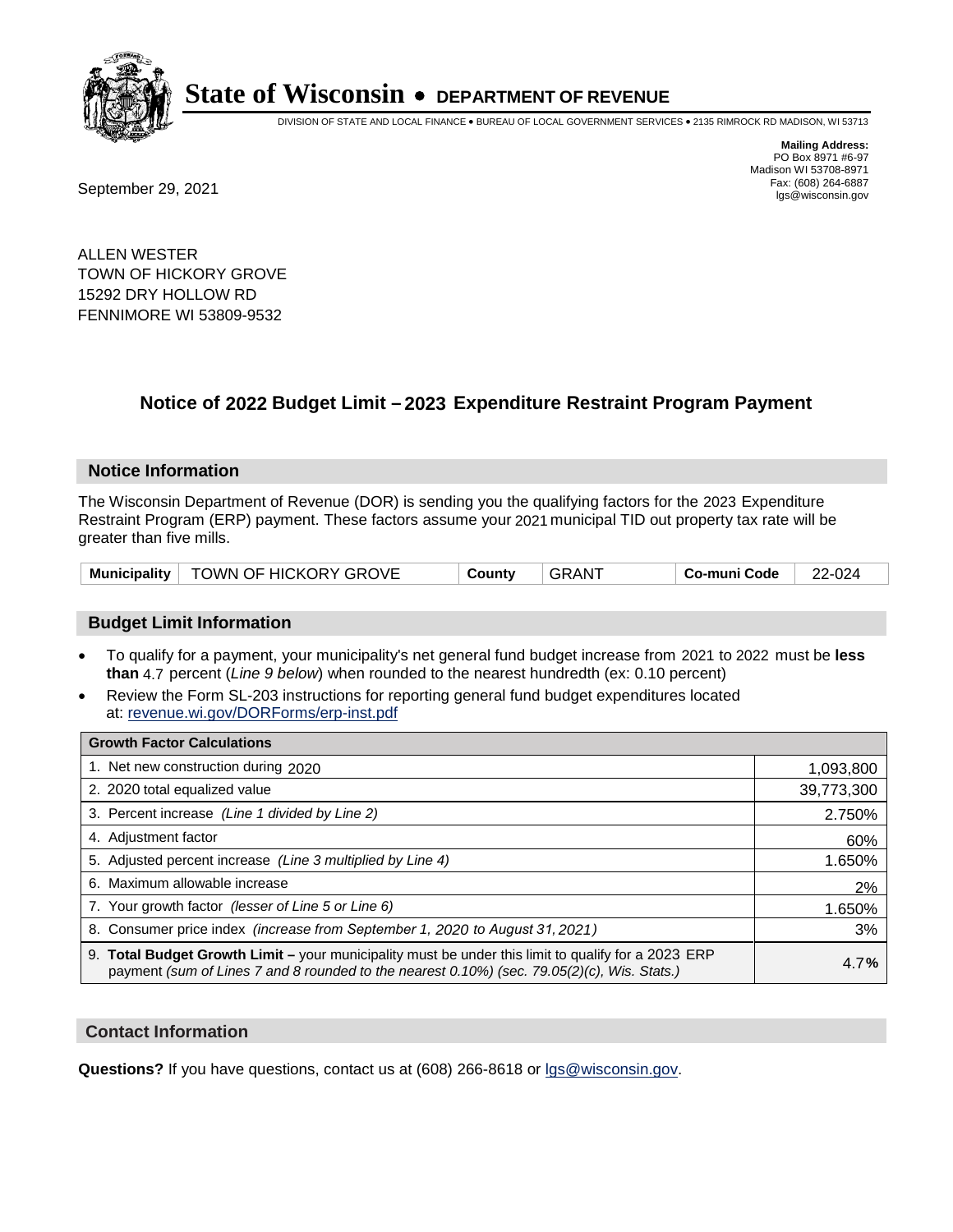

DIVISION OF STATE AND LOCAL FINANCE • BUREAU OF LOCAL GOVERNMENT SERVICES • 2135 RIMROCK RD MADISON, WI 53713

**Mailing Address:** PO Box 8971 #6-97 Madison WI 53708-8971<br>Fax: (608) 264-6887

Fax: (608) 264-6887<br>
September 29, 2021 and the state of the state of the state of the state of the state of the state of the state of the state of the state of the state of the state of the state of the state of the state

ALLEN WESTER TOWN OF HICKORY GROVE 15292 DRY HOLLOW RD FENNIMORE WI 53809-9532

## **Notice of 2022 Budget Limit - 2023 Expenditure Restraint Program Payment**

#### **Notice Information**

The Wisconsin Department of Revenue (DOR) is sending you the qualifying factors for the 2023 Expenditure Restraint Program (ERP) payment. These factors assume your 2021 municipal TID out property tax rate will be greater than five mills.

|  | Municipality   TOWN OF HICKORY GROVE | County | GRANT | Co-muni Code | 22-024 |
|--|--------------------------------------|--------|-------|--------------|--------|
|--|--------------------------------------|--------|-------|--------------|--------|

### **Budget Limit Information**

- To qualify for a payment, your municipality's net general fund budget increase from 2021 to 2022 must be less **than** 4.7 percent (*Line 9 below*) when rounded to the nearest hundredth (ex: 0.10 percent)
- Review the Form SL-203 instructions for reporting general fund budget expenditures located at: revenue.wi.gov/DORForms/erp-inst.pdf

| <b>Growth Factor Calculations</b>                                                                                                                                                                  |            |
|----------------------------------------------------------------------------------------------------------------------------------------------------------------------------------------------------|------------|
| 1. Net new construction during 2020                                                                                                                                                                | 1,093,800  |
| 2. 2020 total equalized value                                                                                                                                                                      | 39,773,300 |
| 3. Percent increase (Line 1 divided by Line 2)                                                                                                                                                     | 2.750%     |
| 4. Adiustment factor                                                                                                                                                                               | 60%        |
| 5. Adjusted percent increase (Line 3 multiplied by Line 4)                                                                                                                                         | 1.650%     |
| 6. Maximum allowable increase                                                                                                                                                                      | 2%         |
| 7. Your growth factor (lesser of Line 5 or Line 6)                                                                                                                                                 | 1.650%     |
| 8. Consumer price index (increase from September 1, 2020 to August 31, 2021)                                                                                                                       | 3%         |
| 9. Total Budget Growth Limit - your municipality must be under this limit to qualify for a 2023 ERP<br>payment (sum of Lines 7 and 8 rounded to the nearest 0.10%) (sec. 79.05(2)(c), Wis. Stats.) | 4.7%       |

#### **Contact Information**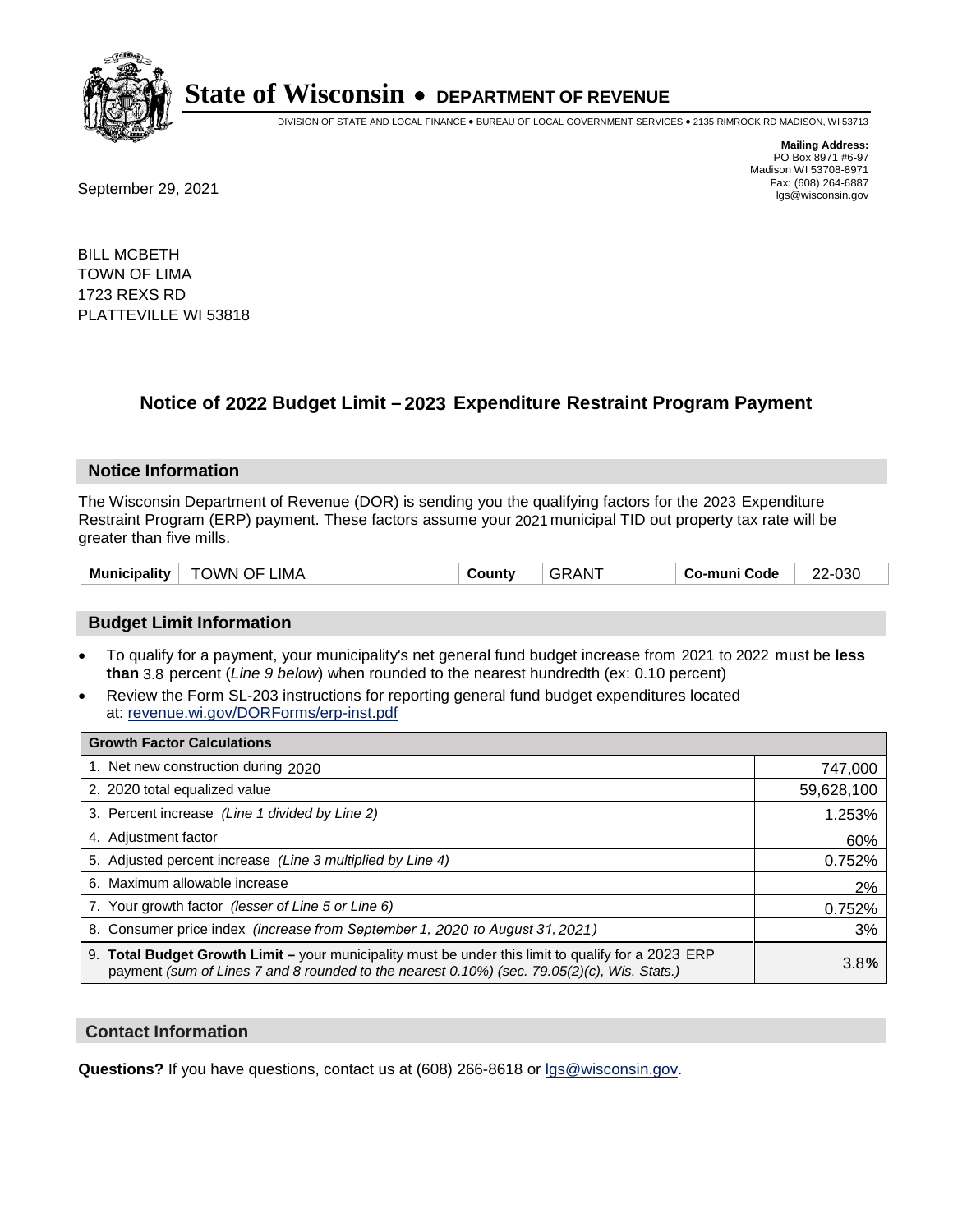

DIVISION OF STATE AND LOCAL FINANCE • BUREAU OF LOCAL GOVERNMENT SERVICES • 2135 RIMROCK RD MADISON, WI 53713

Fax: (608) 264-6887<br>
September 29, 2021 and the state of the state of the state of the state of the state of the state of the state of the state of the state of the state of the state of the state of the state of the state

**Mailing Address:** PO Box 8971 #6-97 Madison WI 53708-8971<br>Fax: (608) 264-6887

BILL MCBETH TOWN OF LIMA 1723 REXS RD PLATTEVILLE WI 53818

## **Notice of 2022 Budget Limit - 2023 Expenditure Restraint Program Payment**

#### **Notice Information**

The Wisconsin Department of Revenue (DOR) is sending you the qualifying factors for the 2023 Expenditure Restraint Program (ERP) payment. These factors assume your 2021 municipal TID out property tax rate will be greater than five mills.

| <b>Municipality</b> | OF.<br>' IMA<br><b>TOWN</b> | شount∨ | AN. | Co-muni Code | 22-030 |
|---------------------|-----------------------------|--------|-----|--------------|--------|
|---------------------|-----------------------------|--------|-----|--------------|--------|

### **Budget Limit Information**

- To qualify for a payment, your municipality's net general fund budget increase from 2021 to 2022 must be less **than** 3.8 percent (*Line 9 below*) when rounded to the nearest hundredth (ex: 0.10 percent)
- Review the Form SL-203 instructions for reporting general fund budget expenditures located at: revenue.wi.gov/DORForms/erp-inst.pdf

| <b>Growth Factor Calculations</b>                                                                                                                                                                  |            |
|----------------------------------------------------------------------------------------------------------------------------------------------------------------------------------------------------|------------|
| 1. Net new construction during 2020                                                                                                                                                                | 747,000    |
| 2. 2020 total equalized value                                                                                                                                                                      | 59,628,100 |
| 3. Percent increase (Line 1 divided by Line 2)                                                                                                                                                     | 1.253%     |
| 4. Adjustment factor                                                                                                                                                                               | 60%        |
| 5. Adjusted percent increase (Line 3 multiplied by Line 4)                                                                                                                                         | 0.752%     |
| 6. Maximum allowable increase                                                                                                                                                                      | 2%         |
| 7. Your growth factor (lesser of Line 5 or Line 6)                                                                                                                                                 | 0.752%     |
| 8. Consumer price index (increase from September 1, 2020 to August 31, 2021)                                                                                                                       | 3%         |
| 9. Total Budget Growth Limit – your municipality must be under this limit to qualify for a 2023 ERP<br>payment (sum of Lines 7 and 8 rounded to the nearest 0.10%) (sec. 79.05(2)(c), Wis. Stats.) | 3.8%       |

#### **Contact Information**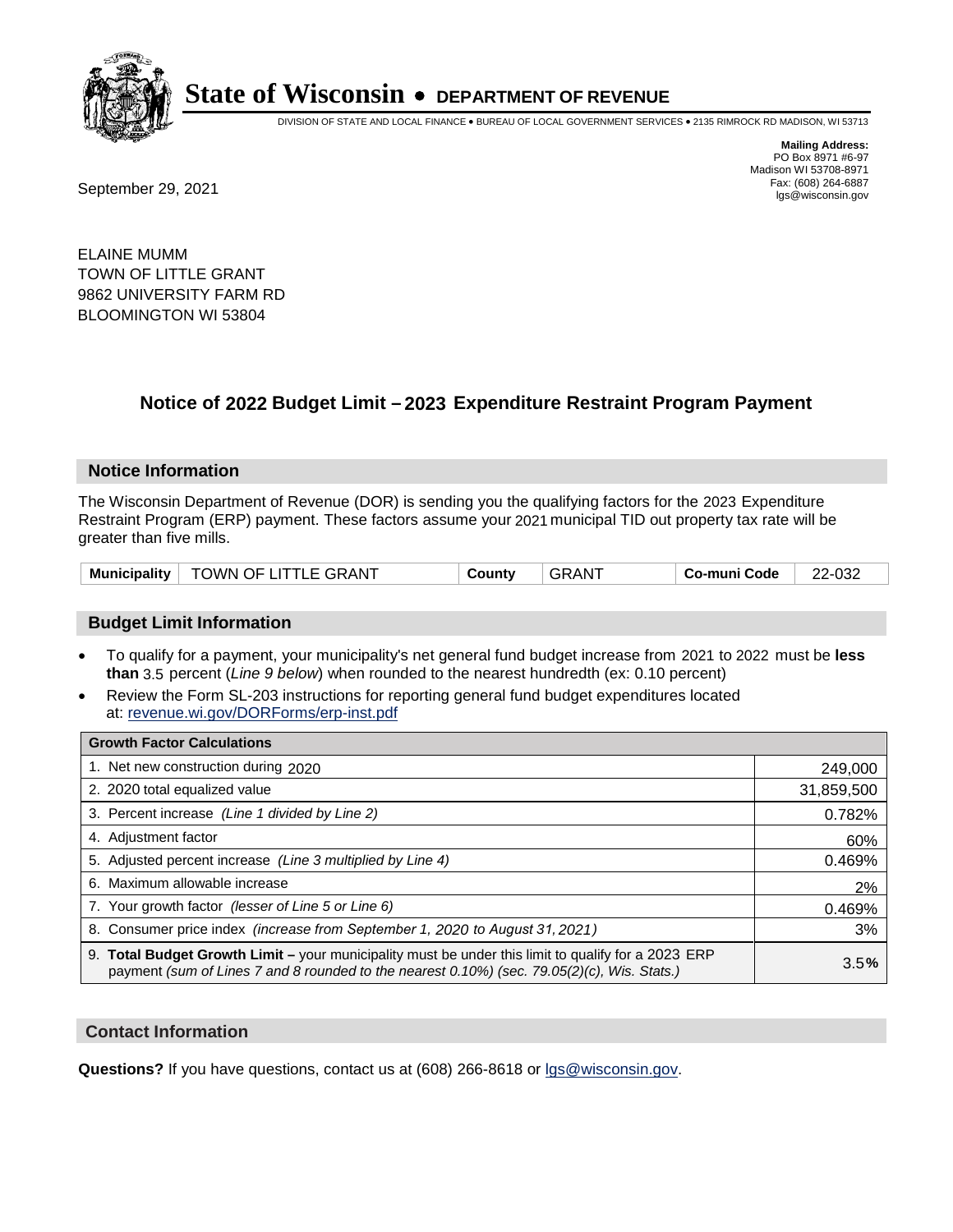

DIVISION OF STATE AND LOCAL FINANCE • BUREAU OF LOCAL GOVERNMENT SERVICES • 2135 RIMROCK RD MADISON, WI 53713

Fax: (608) 264-6887<br>
September 29, 2021 and the state of the state of the state of the state of the state of the state of the state of the state of the state of the state of the state of the state of the state of the state

**Mailing Address:** PO Box 8971 #6-97 Madison WI 53708-8971<br>Fax: (608) 264-6887

ELAINE MUMM TOWN OF LITTLE GRANT 9862 UNIVERSITY FARM RD BLOOMINGTON WI 53804

## **Notice of 2022 Budget Limit - 2023 Expenditure Restraint Program Payment**

#### **Notice Information**

The Wisconsin Department of Revenue (DOR) is sending you the qualifying factors for the 2023 Expenditure Restraint Program (ERP) payment. These factors assume your 2021 municipal TID out property tax rate will be greater than five mills.

|  | Municipality   TOWN OF LITTLE GRANT | County | <b>GRANT</b> | Co-muni Code | 22-032 |
|--|-------------------------------------|--------|--------------|--------------|--------|
|--|-------------------------------------|--------|--------------|--------------|--------|

#### **Budget Limit Information**

- To qualify for a payment, your municipality's net general fund budget increase from 2021 to 2022 must be less **than** 3.5 percent (*Line 9 below*) when rounded to the nearest hundredth (ex: 0.10 percent)
- Review the Form SL-203 instructions for reporting general fund budget expenditures located at: revenue.wi.gov/DORForms/erp-inst.pdf

| <b>Growth Factor Calculations</b>                                                                                                                                                                  |            |
|----------------------------------------------------------------------------------------------------------------------------------------------------------------------------------------------------|------------|
| 1. Net new construction during 2020                                                                                                                                                                | 249,000    |
| 2. 2020 total equalized value                                                                                                                                                                      | 31,859,500 |
| 3. Percent increase (Line 1 divided by Line 2)                                                                                                                                                     | 0.782%     |
| 4. Adiustment factor                                                                                                                                                                               | 60%        |
| 5. Adjusted percent increase (Line 3 multiplied by Line 4)                                                                                                                                         | 0.469%     |
| 6. Maximum allowable increase                                                                                                                                                                      | 2%         |
| 7. Your growth factor (lesser of Line 5 or Line 6)                                                                                                                                                 | 0.469%     |
| 8. Consumer price index (increase from September 1, 2020 to August 31, 2021)                                                                                                                       | 3%         |
| 9. Total Budget Growth Limit - your municipality must be under this limit to qualify for a 2023 ERP<br>payment (sum of Lines 7 and 8 rounded to the nearest 0.10%) (sec. 79.05(2)(c), Wis. Stats.) | 3.5%       |

#### **Contact Information**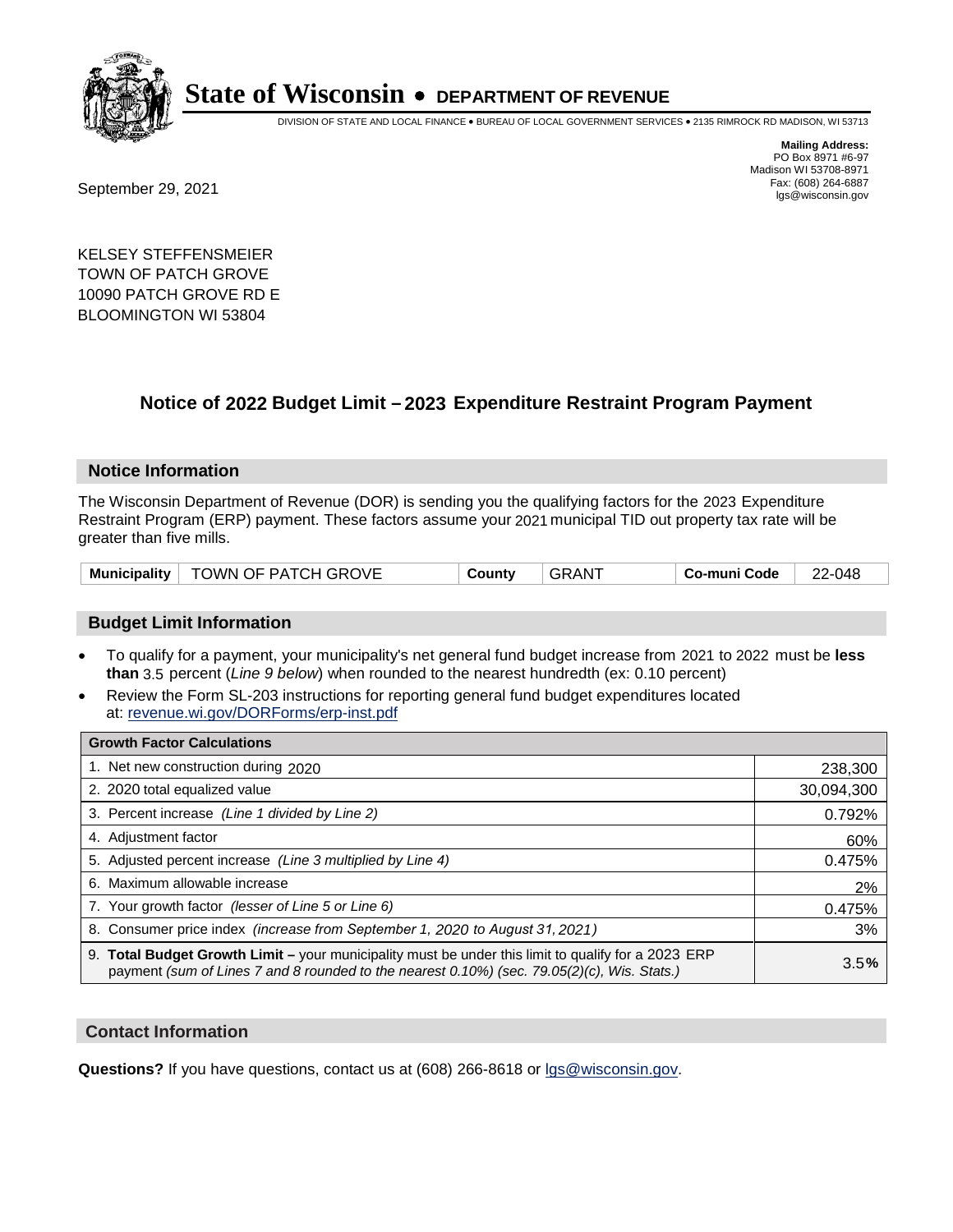

DIVISION OF STATE AND LOCAL FINANCE • BUREAU OF LOCAL GOVERNMENT SERVICES • 2135 RIMROCK RD MADISON, WI 53713

Fax: (608) 264-6887<br>
September 29, 2021 and the state of the state of the state of the state of the state of the state of the state of the state of the state of the state of the state of the state of the state of the state

**Mailing Address:** PO Box 8971 #6-97 Madison WI 53708-8971<br>Fax: (608) 264-6887

KELSEY STEFFENSMEIER TOWN OF PATCH GROVE 10090 PATCH GROVE RD E BLOOMINGTON WI 53804

### **Notice of 2022 Budget Limit - 2023 Expenditure Restraint Program Payment**

#### **Notice Information**

The Wisconsin Department of Revenue (DOR) is sending you the qualifying factors for the 2023 Expenditure Restraint Program (ERP) payment. These factors assume your 2021 municipal TID out property tax rate will be greater than five mills.

| Municipality   TOWN OF PATCH GROVE | County | ⊣ GRANT | ⊦ Co-muni Code | 22-048 |
|------------------------------------|--------|---------|----------------|--------|
|------------------------------------|--------|---------|----------------|--------|

#### **Budget Limit Information**

- To qualify for a payment, your municipality's net general fund budget increase from 2021 to 2022 must be less **than** 3.5 percent (*Line 9 below*) when rounded to the nearest hundredth (ex: 0.10 percent)
- Review the Form SL-203 instructions for reporting general fund budget expenditures located at: revenue.wi.gov/DORForms/erp-inst.pdf

| <b>Growth Factor Calculations</b>                                                                                                                                                                  |            |
|----------------------------------------------------------------------------------------------------------------------------------------------------------------------------------------------------|------------|
| 1. Net new construction during 2020                                                                                                                                                                | 238,300    |
| 2. 2020 total equalized value                                                                                                                                                                      | 30,094,300 |
| 3. Percent increase (Line 1 divided by Line 2)                                                                                                                                                     | 0.792%     |
| 4. Adjustment factor                                                                                                                                                                               | 60%        |
| 5. Adjusted percent increase (Line 3 multiplied by Line 4)                                                                                                                                         | 0.475%     |
| 6. Maximum allowable increase                                                                                                                                                                      | 2%         |
| 7. Your growth factor (lesser of Line 5 or Line 6)                                                                                                                                                 | 0.475%     |
| 8. Consumer price index (increase from September 1, 2020 to August 31, 2021)                                                                                                                       | 3%         |
| 9. Total Budget Growth Limit – your municipality must be under this limit to qualify for a 2023 ERP<br>payment (sum of Lines 7 and 8 rounded to the nearest 0.10%) (sec. 79.05(2)(c), Wis. Stats.) | 3.5%       |

#### **Contact Information**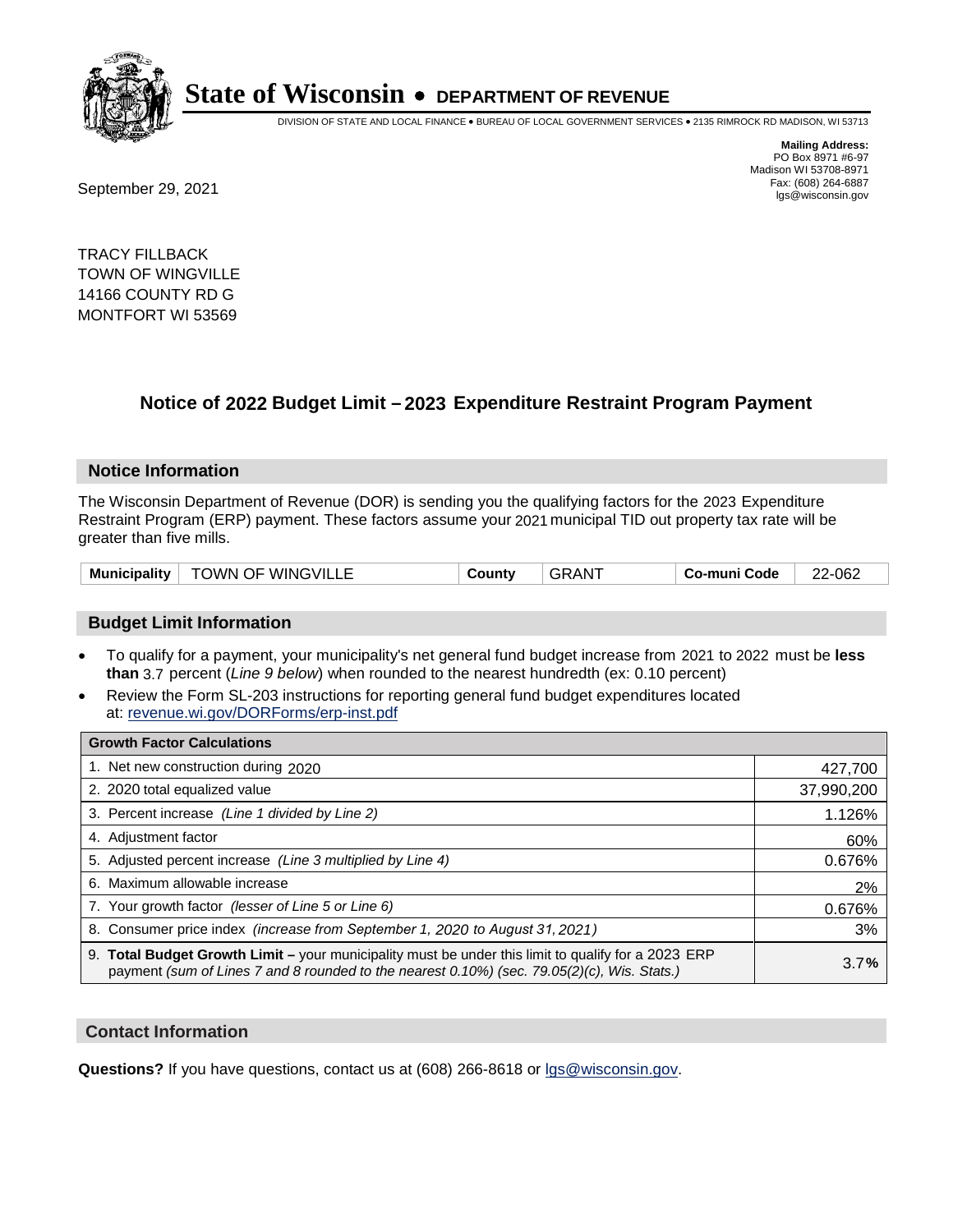

DIVISION OF STATE AND LOCAL FINANCE • BUREAU OF LOCAL GOVERNMENT SERVICES • 2135 RIMROCK RD MADISON, WI 53713

Fax: (608) 264-6887<br>
September 29, 2021 and the state of the state of the state of the state of the state of the state of the state of the state of the state of the state of the state of the state of the state of the state

**Mailing Address:** PO Box 8971 #6-97 Madison WI 53708-8971<br>Fax: (608) 264-6887

TRACY FILLBACK TOWN OF WINGVILLE 14166 COUNTY RD G MONTFORT WI 53569

### **Notice of 2022 Budget Limit - 2023 Expenditure Restraint Program Payment**

#### **Notice Information**

The Wisconsin Department of Revenue (DOR) is sending you the qualifying factors for the 2023 Expenditure Restraint Program (ERP) payment. These factors assume your 2021 municipal TID out property tax rate will be greater than five mills.

| <b>Municipality</b> | <b>TOWN OF WINGVILLE</b> | County | ⊦GRAN <sup>-</sup> | Co-muni Code | 22-062 |
|---------------------|--------------------------|--------|--------------------|--------------|--------|
|---------------------|--------------------------|--------|--------------------|--------------|--------|

#### **Budget Limit Information**

- To qualify for a payment, your municipality's net general fund budget increase from 2021 to 2022 must be less **than** 3.7 percent (*Line 9 below*) when rounded to the nearest hundredth (ex: 0.10 percent)
- Review the Form SL-203 instructions for reporting general fund budget expenditures located at: revenue.wi.gov/DORForms/erp-inst.pdf

| <b>Growth Factor Calculations</b>                                                                                                                                                                  |            |
|----------------------------------------------------------------------------------------------------------------------------------------------------------------------------------------------------|------------|
| 1. Net new construction during 2020                                                                                                                                                                | 427,700    |
| 2. 2020 total equalized value                                                                                                                                                                      | 37,990,200 |
| 3. Percent increase (Line 1 divided by Line 2)                                                                                                                                                     | 1.126%     |
| 4. Adjustment factor                                                                                                                                                                               | 60%        |
| 5. Adjusted percent increase (Line 3 multiplied by Line 4)                                                                                                                                         | 0.676%     |
| 6. Maximum allowable increase                                                                                                                                                                      | 2%         |
| 7. Your growth factor (lesser of Line 5 or Line 6)                                                                                                                                                 | 0.676%     |
| 8. Consumer price index (increase from September 1, 2020 to August 31, 2021)                                                                                                                       | 3%         |
| 9. Total Budget Growth Limit - your municipality must be under this limit to qualify for a 2023 ERP<br>payment (sum of Lines 7 and 8 rounded to the nearest 0.10%) (sec. 79.05(2)(c), Wis. Stats.) | 3.7%       |

#### **Contact Information**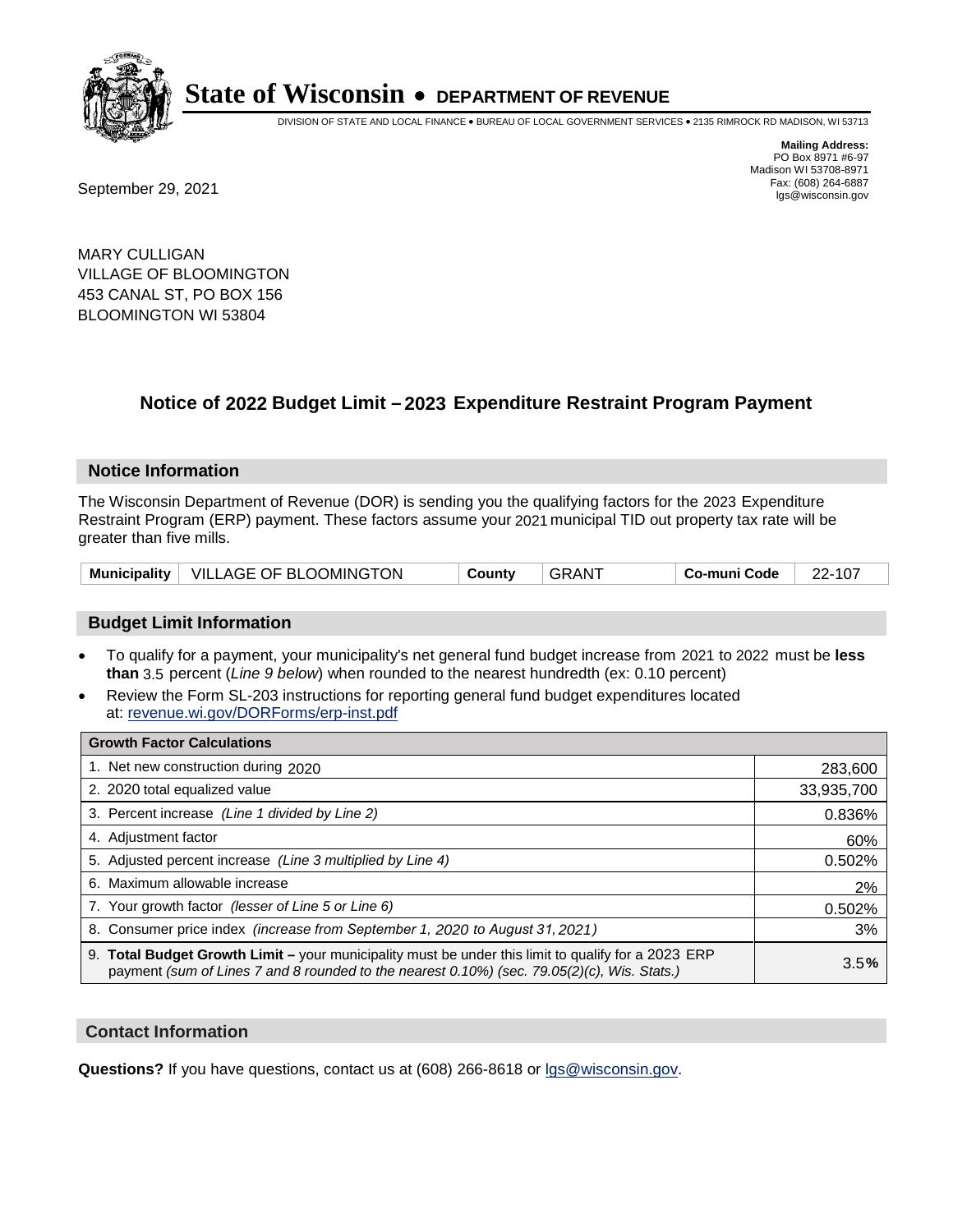

DIVISION OF STATE AND LOCAL FINANCE • BUREAU OF LOCAL GOVERNMENT SERVICES • 2135 RIMROCK RD MADISON, WI 53713

Fax: (608) 264-6887<br>
September 29, 2021 and the state of the state of the state of the state of the state of the state of the state of the state of the state of the state of the state of the state of the state of the state

**Mailing Address:** PO Box 8971 #6-97 Madison WI 53708-8971<br>Fax: (608) 264-6887

MARY CULLIGAN VILLAGE OF BLOOMINGTON 453 CANAL ST, PO BOX 156 BLOOMINGTON WI 53804

## **Notice of 2022 Budget Limit - 2023 Expenditure Restraint Program Payment**

#### **Notice Information**

The Wisconsin Department of Revenue (DOR) is sending you the qualifying factors for the 2023 Expenditure Restraint Program (ERP) payment. These factors assume your 2021 municipal TID out property tax rate will be greater than five mills.

|  | Municipality   VILLAGE OF BLOOMINGTON | County | <b>GRANT</b> | Co-muni Code | 22-107 |
|--|---------------------------------------|--------|--------------|--------------|--------|
|--|---------------------------------------|--------|--------------|--------------|--------|

### **Budget Limit Information**

- To qualify for a payment, your municipality's net general fund budget increase from 2021 to 2022 must be less **than** 3.5 percent (*Line 9 below*) when rounded to the nearest hundredth (ex: 0.10 percent)
- Review the Form SL-203 instructions for reporting general fund budget expenditures located at: revenue.wi.gov/DORForms/erp-inst.pdf

| <b>Growth Factor Calculations</b>                                                                                                                                                                  |            |
|----------------------------------------------------------------------------------------------------------------------------------------------------------------------------------------------------|------------|
| 1. Net new construction during 2020                                                                                                                                                                | 283,600    |
| 2. 2020 total equalized value                                                                                                                                                                      | 33,935,700 |
| 3. Percent increase (Line 1 divided by Line 2)                                                                                                                                                     | 0.836%     |
| 4. Adjustment factor                                                                                                                                                                               | 60%        |
| 5. Adjusted percent increase (Line 3 multiplied by Line 4)                                                                                                                                         | 0.502%     |
| 6. Maximum allowable increase                                                                                                                                                                      | 2%         |
| 7. Your growth factor (lesser of Line 5 or Line 6)                                                                                                                                                 | 0.502%     |
| 8. Consumer price index (increase from September 1, 2020 to August 31, 2021)                                                                                                                       | 3%         |
| 9. Total Budget Growth Limit - your municipality must be under this limit to qualify for a 2023 ERP<br>payment (sum of Lines 7 and 8 rounded to the nearest 0.10%) (sec. 79.05(2)(c), Wis. Stats.) | 3.5%       |

#### **Contact Information**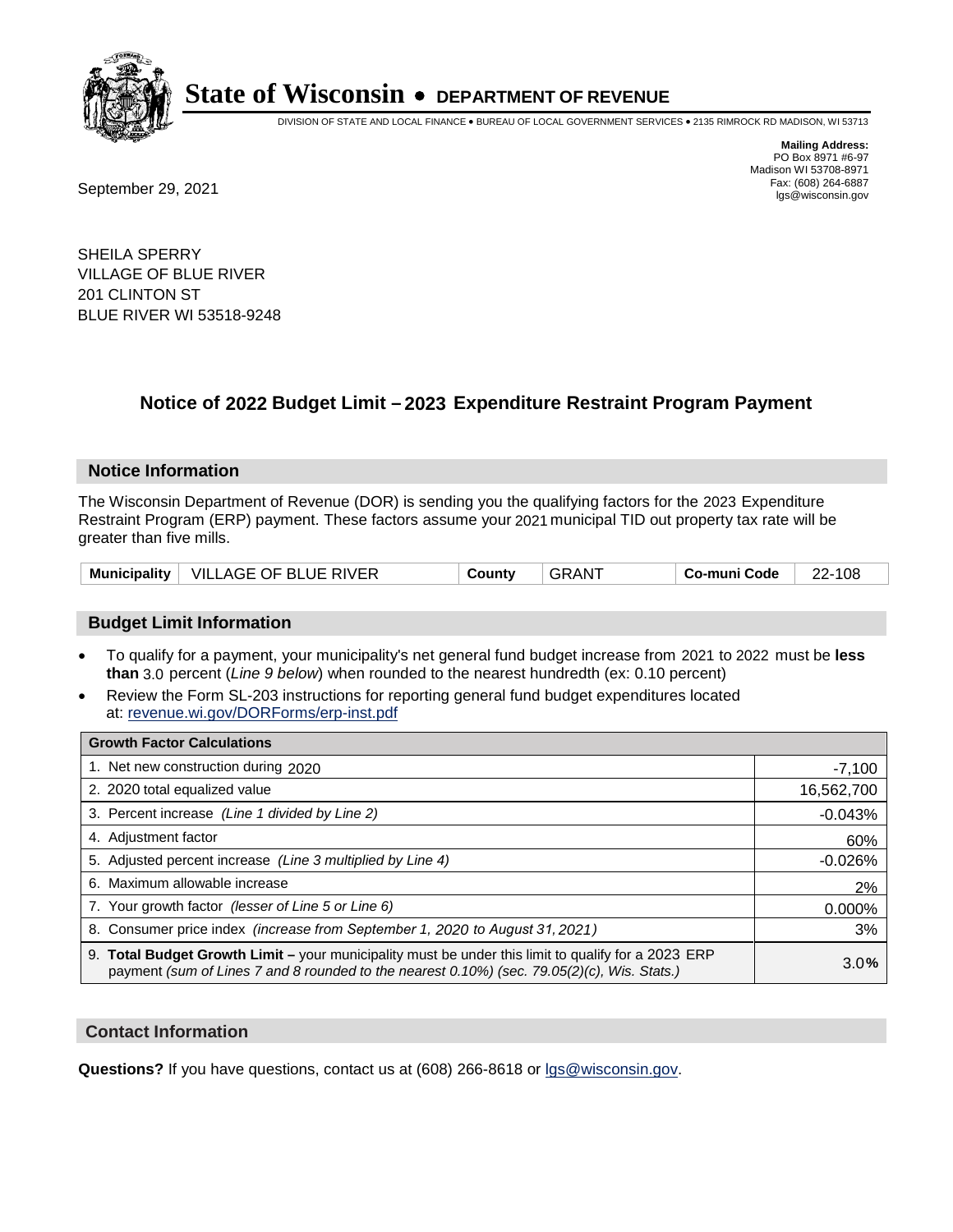

DIVISION OF STATE AND LOCAL FINANCE • BUREAU OF LOCAL GOVERNMENT SERVICES • 2135 RIMROCK RD MADISON, WI 53713

**Mailing Address:** PO Box 8971 #6-97 Madison WI 53708-8971<br>Fax: (608) 264-6887 Fax: (608) 264-6887<br>
September 29, 2021 and the state of the state of the state of the state of the state of the state of the state of the state of the state of the state of the state of the state of the state of the state

SHEILA SPERRY VILLAGE OF BLUE RIVER 201 CLINTON ST BLUE RIVER WI 53518-9248

## **Notice of 2022 Budget Limit - 2023 Expenditure Restraint Program Payment**

#### **Notice Information**

The Wisconsin Department of Revenue (DOR) is sending you the qualifying factors for the 2023 Expenditure Restraint Program (ERP) payment. These factors assume your 2021 municipal TID out property tax rate will be greater than five mills.

|  | Municipality   VILLAGE OF BLUE RIVER | County | GRANT | Co-muni Code | 22-108 |
|--|--------------------------------------|--------|-------|--------------|--------|
|--|--------------------------------------|--------|-------|--------------|--------|

### **Budget Limit Information**

- To qualify for a payment, your municipality's net general fund budget increase from 2021 to 2022 must be less **than** 3.0 percent (*Line 9 below*) when rounded to the nearest hundredth (ex: 0.10 percent)
- Review the Form SL-203 instructions for reporting general fund budget expenditures located at: revenue.wi.gov/DORForms/erp-inst.pdf

| <b>Growth Factor Calculations</b>                                                                                                                                                                  |            |
|----------------------------------------------------------------------------------------------------------------------------------------------------------------------------------------------------|------------|
| 1. Net new construction during 2020                                                                                                                                                                | $-7,100$   |
| 2. 2020 total equalized value                                                                                                                                                                      | 16,562,700 |
| 3. Percent increase (Line 1 divided by Line 2)                                                                                                                                                     | $-0.043%$  |
| 4. Adiustment factor                                                                                                                                                                               | 60%        |
| 5. Adjusted percent increase (Line 3 multiplied by Line 4)                                                                                                                                         | $-0.026%$  |
| 6. Maximum allowable increase                                                                                                                                                                      | 2%         |
| 7. Your growth factor (lesser of Line 5 or Line 6)                                                                                                                                                 | 0.000%     |
| 8. Consumer price index (increase from September 1, 2020 to August 31, 2021)                                                                                                                       | 3%         |
| 9. Total Budget Growth Limit - your municipality must be under this limit to qualify for a 2023 ERP<br>payment (sum of Lines 7 and 8 rounded to the nearest 0.10%) (sec. 79.05(2)(c), Wis. Stats.) | 3.0%       |

#### **Contact Information**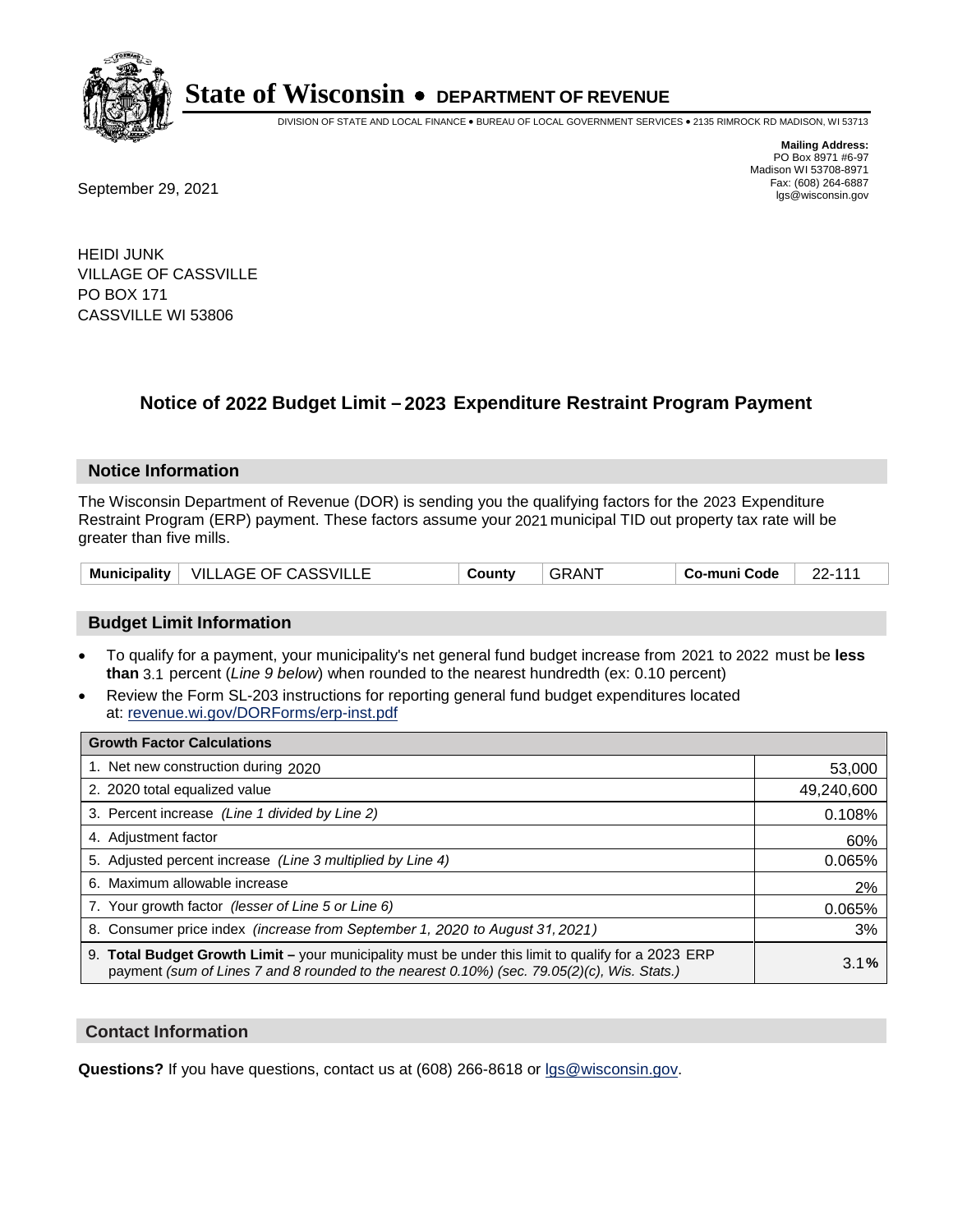

DIVISION OF STATE AND LOCAL FINANCE • BUREAU OF LOCAL GOVERNMENT SERVICES • 2135 RIMROCK RD MADISON, WI 53713

Fax: (608) 264-6887<br>
September 29, 2021 and the state of the state of the state of the state of the state of the state of the state of the state of the state of the state of the state of the state of the state of the state

**Mailing Address:** PO Box 8971 #6-97 Madison WI 53708-8971<br>Fax: (608) 264-6887

HEIDI JUNK VILLAGE OF CASSVILLE PO BOX 171 CASSVILLE WI 53806

## **Notice of 2022 Budget Limit - 2023 Expenditure Restraint Program Payment**

#### **Notice Information**

The Wisconsin Department of Revenue (DOR) is sending you the qualifying factors for the 2023 Expenditure Restraint Program (ERP) payment. These factors assume your 2021 municipal TID out property tax rate will be greater than five mills.

| Municipality   VILLAGE OF CASSVILLE |  | County | <b>GRANT</b> | Co-muni Code | $22 - 111$ |
|-------------------------------------|--|--------|--------------|--------------|------------|
|-------------------------------------|--|--------|--------------|--------------|------------|

### **Budget Limit Information**

- To qualify for a payment, your municipality's net general fund budget increase from 2021 to 2022 must be less **than** 3.1 percent (*Line 9 below*) when rounded to the nearest hundredth (ex: 0.10 percent)
- Review the Form SL-203 instructions for reporting general fund budget expenditures located at: revenue.wi.gov/DORForms/erp-inst.pdf

| <b>Growth Factor Calculations</b>                                                                                                                                                                  |            |
|----------------------------------------------------------------------------------------------------------------------------------------------------------------------------------------------------|------------|
| 1. Net new construction during 2020                                                                                                                                                                | 53,000     |
| 2. 2020 total equalized value                                                                                                                                                                      | 49,240,600 |
| 3. Percent increase (Line 1 divided by Line 2)                                                                                                                                                     | 0.108%     |
| 4. Adjustment factor                                                                                                                                                                               | 60%        |
| 5. Adjusted percent increase (Line 3 multiplied by Line 4)                                                                                                                                         | 0.065%     |
| 6. Maximum allowable increase                                                                                                                                                                      | 2%         |
| 7. Your growth factor (lesser of Line 5 or Line 6)                                                                                                                                                 | 0.065%     |
| 8. Consumer price index (increase from September 1, 2020 to August 31, 2021)                                                                                                                       | 3%         |
| 9. Total Budget Growth Limit - your municipality must be under this limit to qualify for a 2023 ERP<br>payment (sum of Lines 7 and 8 rounded to the nearest 0.10%) (sec. 79.05(2)(c), Wis. Stats.) | 3.1%       |

#### **Contact Information**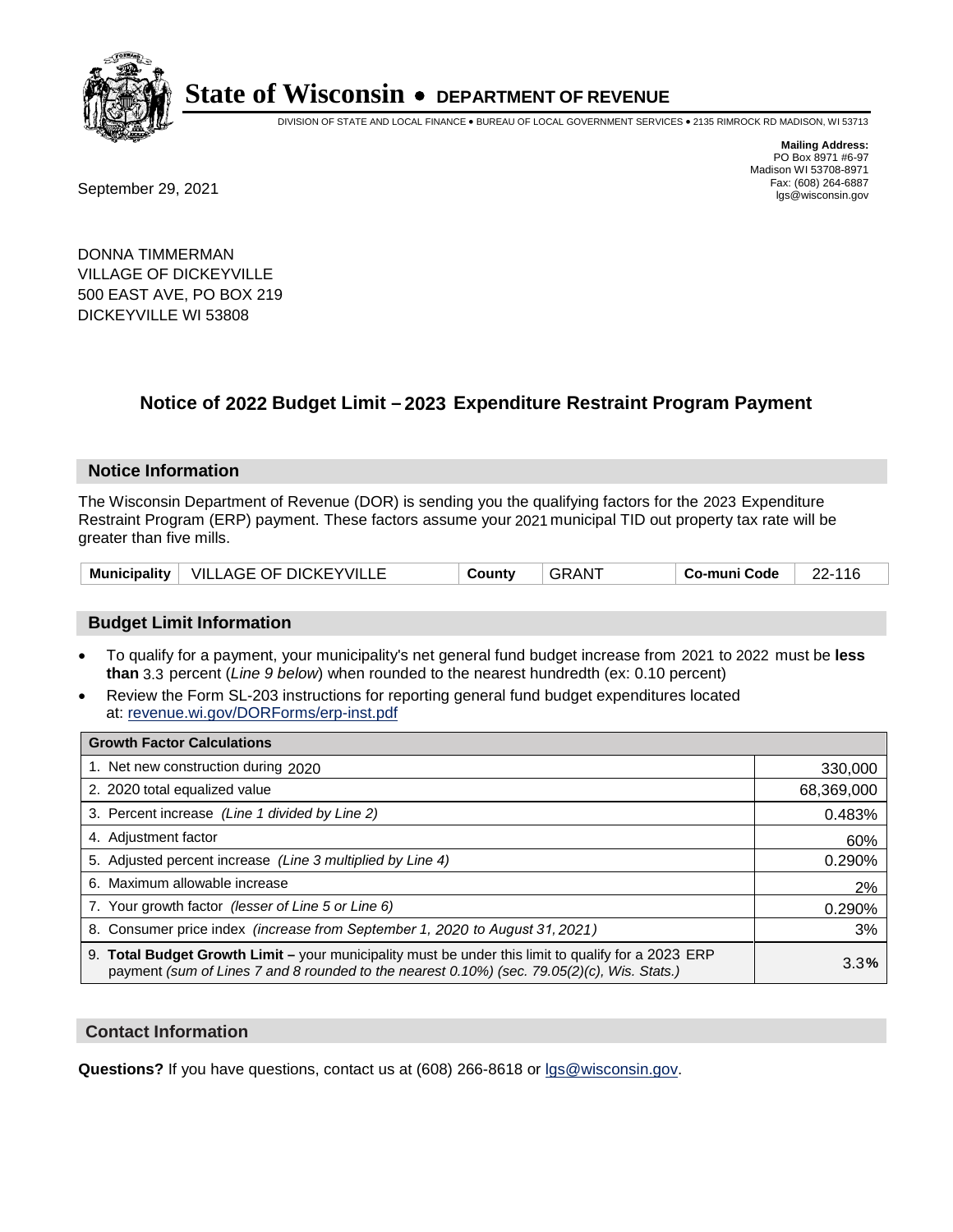

DIVISION OF STATE AND LOCAL FINANCE • BUREAU OF LOCAL GOVERNMENT SERVICES • 2135 RIMROCK RD MADISON, WI 53713

Fax: (608) 264-6887<br>
September 29, 2021 and the state of the state of the state of the state of the state of the state of the state of the state of the state of the state of the state of the state of the state of the state

**Mailing Address:** PO Box 8971 #6-97 Madison WI 53708-8971<br>Fax: (608) 264-6887

DONNA TIMMERMAN VILLAGE OF DICKEYVILLE 500 EAST AVE, PO BOX 219 DICKEYVILLE WI 53808

## **Notice of 2022 Budget Limit - 2023 Expenditure Restraint Program Payment**

#### **Notice Information**

The Wisconsin Department of Revenue (DOR) is sending you the qualifying factors for the 2023 Expenditure Restraint Program (ERP) payment. These factors assume your 2021 municipal TID out property tax rate will be greater than five mills.

| Municipality   VILLAGE OF DICKEYVILLE | County | ⊤GRAN <sup>≁</sup> | Co-muni Code | 22-116 |
|---------------------------------------|--------|--------------------|--------------|--------|
|---------------------------------------|--------|--------------------|--------------|--------|

#### **Budget Limit Information**

- To qualify for a payment, your municipality's net general fund budget increase from 2021 to 2022 must be less **than** 3.3 percent (*Line 9 below*) when rounded to the nearest hundredth (ex: 0.10 percent)
- Review the Form SL-203 instructions for reporting general fund budget expenditures located at: revenue.wi.gov/DORForms/erp-inst.pdf

| <b>Growth Factor Calculations</b>                                                                                                                                                                  |            |
|----------------------------------------------------------------------------------------------------------------------------------------------------------------------------------------------------|------------|
| 1. Net new construction during 2020                                                                                                                                                                | 330,000    |
| 2. 2020 total equalized value                                                                                                                                                                      | 68,369,000 |
| 3. Percent increase (Line 1 divided by Line 2)                                                                                                                                                     | 0.483%     |
| 4. Adiustment factor                                                                                                                                                                               | 60%        |
| 5. Adjusted percent increase (Line 3 multiplied by Line 4)                                                                                                                                         | 0.290%     |
| 6. Maximum allowable increase                                                                                                                                                                      | 2%         |
| 7. Your growth factor (lesser of Line 5 or Line 6)                                                                                                                                                 | 0.290%     |
| 8. Consumer price index (increase from September 1, 2020 to August 31, 2021)                                                                                                                       | 3%         |
| 9. Total Budget Growth Limit - your municipality must be under this limit to qualify for a 2023 ERP<br>payment (sum of Lines 7 and 8 rounded to the nearest 0.10%) (sec. 79.05(2)(c), Wis. Stats.) | 3.3%       |

#### **Contact Information**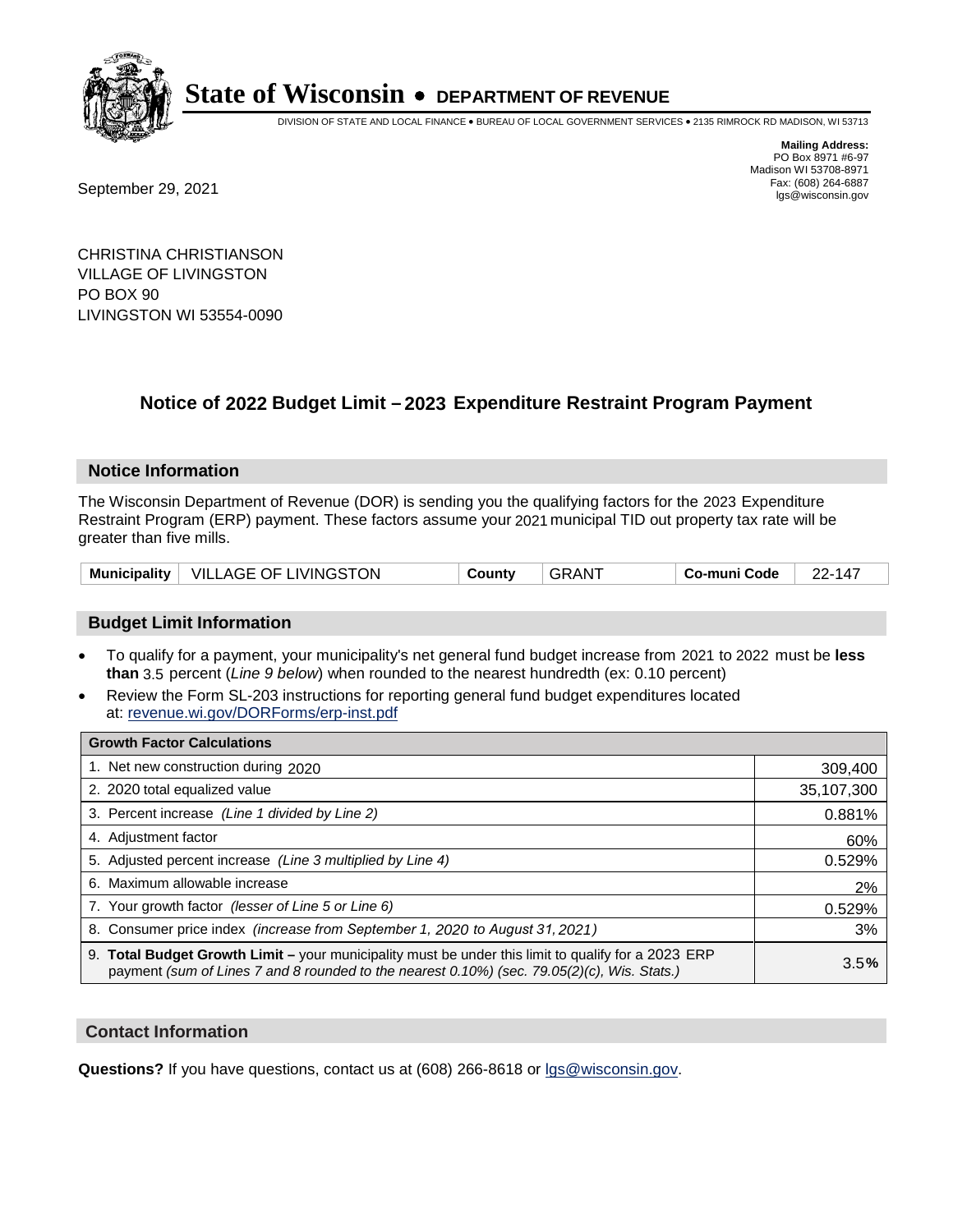

DIVISION OF STATE AND LOCAL FINANCE • BUREAU OF LOCAL GOVERNMENT SERVICES • 2135 RIMROCK RD MADISON, WI 53713

Fax: (608) 264-6887<br>
September 29, 2021 and the state of the state of the state of the state of the state of the state of the state of the state of the state of the state of the state of the state of the state of the state

**Mailing Address:** PO Box 8971 #6-97 Madison WI 53708-8971<br>Fax: (608) 264-6887

CHRISTINA CHRISTIANSON VILLAGE OF LIVINGSTON PO BOX 90 LIVINGSTON WI 53554-0090

## **Notice of 2022 Budget Limit - 2023 Expenditure Restraint Program Payment**

#### **Notice Information**

The Wisconsin Department of Revenue (DOR) is sending you the qualifying factors for the 2023 Expenditure Restraint Program (ERP) payment. These factors assume your 2021 municipal TID out property tax rate will be greater than five mills.

|  | Municipality   VILLAGE OF LIVINGSTON | County | GRANT | Co-muni Code | 22-147 |
|--|--------------------------------------|--------|-------|--------------|--------|
|--|--------------------------------------|--------|-------|--------------|--------|

### **Budget Limit Information**

- To qualify for a payment, your municipality's net general fund budget increase from 2021 to 2022 must be less **than** 3.5 percent (*Line 9 below*) when rounded to the nearest hundredth (ex: 0.10 percent)
- Review the Form SL-203 instructions for reporting general fund budget expenditures located at: revenue.wi.gov/DORForms/erp-inst.pdf

| <b>Growth Factor Calculations</b>                                                                                                                                                                  |            |
|----------------------------------------------------------------------------------------------------------------------------------------------------------------------------------------------------|------------|
| 1. Net new construction during 2020                                                                                                                                                                | 309,400    |
| 2. 2020 total equalized value                                                                                                                                                                      | 35,107,300 |
| 3. Percent increase (Line 1 divided by Line 2)                                                                                                                                                     | 0.881%     |
| 4. Adjustment factor                                                                                                                                                                               | 60%        |
| 5. Adjusted percent increase (Line 3 multiplied by Line 4)                                                                                                                                         | 0.529%     |
| 6. Maximum allowable increase                                                                                                                                                                      | 2%         |
| 7. Your growth factor (lesser of Line 5 or Line 6)                                                                                                                                                 | 0.529%     |
| 8. Consumer price index (increase from September 1, 2020 to August 31, 2021)                                                                                                                       | 3%         |
| 9. Total Budget Growth Limit - your municipality must be under this limit to qualify for a 2023 ERP<br>payment (sum of Lines 7 and 8 rounded to the nearest 0.10%) (sec. 79.05(2)(c), Wis. Stats.) | 3.5%       |

#### **Contact Information**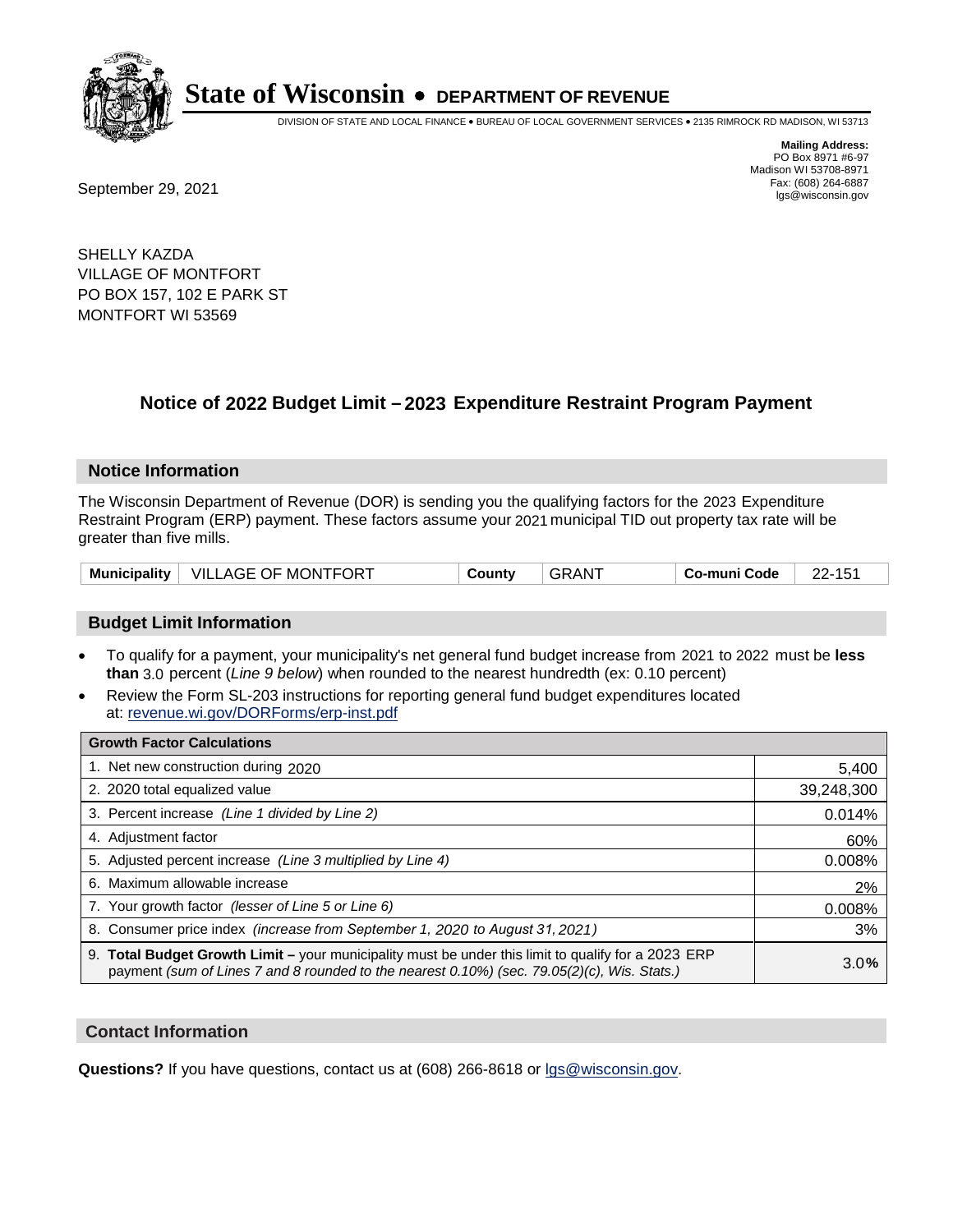

DIVISION OF STATE AND LOCAL FINANCE • BUREAU OF LOCAL GOVERNMENT SERVICES • 2135 RIMROCK RD MADISON, WI 53713

**Mailing Address:** PO Box 8971 #6-97 Madison WI 53708-8971<br>Fax: (608) 264-6887

Fax: (608) 264-6887<br>
September 29, 2021 and the state of the state of the state of the state of the state of the state of the state of the state of the state of the state of the state of the state of the state of the state

SHELLY KAZDA VILLAGE OF MONTFORT PO BOX 157, 102 E PARK ST MONTFORT WI 53569

## **Notice of 2022 Budget Limit - 2023 Expenditure Restraint Program Payment**

#### **Notice Information**

The Wisconsin Department of Revenue (DOR) is sending you the qualifying factors for the 2023 Expenditure Restraint Program (ERP) payment. These factors assume your 2021 municipal TID out property tax rate will be greater than five mills.

|  | Municipality   VILLAGE OF MONTFORT | County | . GRANT | Co-muni Code | <b>00.45</b> |
|--|------------------------------------|--------|---------|--------------|--------------|
|--|------------------------------------|--------|---------|--------------|--------------|

#### **Budget Limit Information**

- To qualify for a payment, your municipality's net general fund budget increase from 2021 to 2022 must be less **than** 3.0 percent (*Line 9 below*) when rounded to the nearest hundredth (ex: 0.10 percent)
- Review the Form SL-203 instructions for reporting general fund budget expenditures located at: revenue.wi.gov/DORForms/erp-inst.pdf

| <b>Growth Factor Calculations</b>                                                                                                                                                                  |            |
|----------------------------------------------------------------------------------------------------------------------------------------------------------------------------------------------------|------------|
| 1. Net new construction during 2020                                                                                                                                                                | 5,400      |
| 2. 2020 total equalized value                                                                                                                                                                      | 39,248,300 |
| 3. Percent increase (Line 1 divided by Line 2)                                                                                                                                                     | 0.014%     |
| 4. Adjustment factor                                                                                                                                                                               | 60%        |
| 5. Adjusted percent increase (Line 3 multiplied by Line 4)                                                                                                                                         | 0.008%     |
| 6. Maximum allowable increase                                                                                                                                                                      | 2%         |
| 7. Your growth factor (lesser of Line 5 or Line 6)                                                                                                                                                 | 0.008%     |
| 8. Consumer price index (increase from September 1, 2020 to August 31, 2021)                                                                                                                       | 3%         |
| 9. Total Budget Growth Limit - your municipality must be under this limit to qualify for a 2023 ERP<br>payment (sum of Lines 7 and 8 rounded to the nearest 0.10%) (sec. 79.05(2)(c), Wis. Stats.) | 3.0%       |

#### **Contact Information**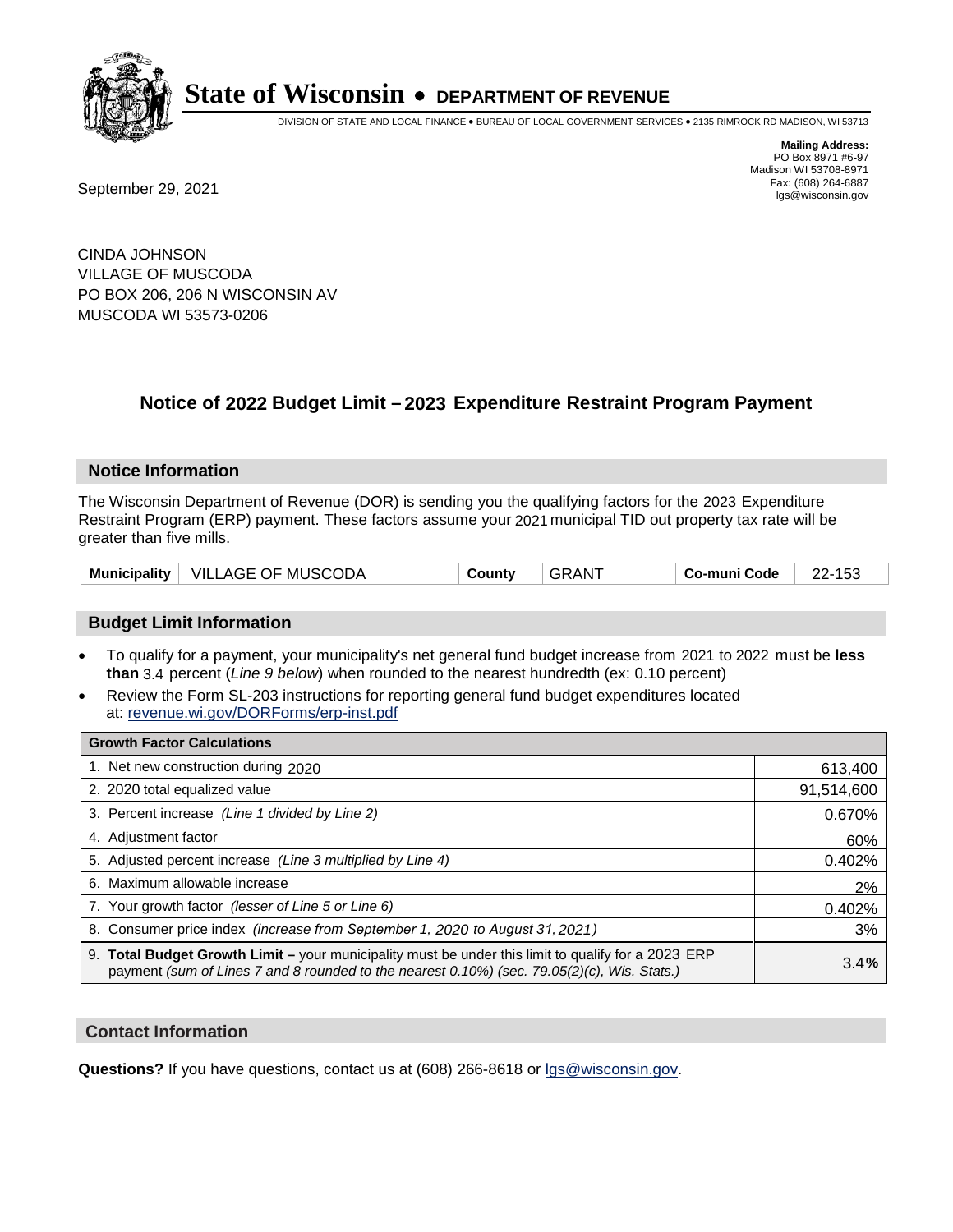

DIVISION OF STATE AND LOCAL FINANCE • BUREAU OF LOCAL GOVERNMENT SERVICES • 2135 RIMROCK RD MADISON, WI 53713

**Mailing Address:** PO Box 8971 #6-97 Madison WI 53708-8971<br>Fax: (608) 264-6887

Fax: (608) 264-6887<br>
September 29, 2021 and the state of the state of the state of the state of the state of the state of the state of the state of the state of the state of the state of the state of the state of the state

CINDA JOHNSON VILLAGE OF MUSCODA PO BOX 206, 206 N WISCONSIN AV MUSCODA WI 53573-0206

## **Notice of 2022 Budget Limit - 2023 Expenditure Restraint Program Payment**

#### **Notice Information**

The Wisconsin Department of Revenue (DOR) is sending you the qualifying factors for the 2023 Expenditure Restraint Program (ERP) payment. These factors assume your 2021 municipal TID out property tax rate will be greater than five mills.

| Municipality   VILLAGE OF MUSCODA | County | GRANT<br>Co-muni Code | 22-153 |
|-----------------------------------|--------|-----------------------|--------|
|-----------------------------------|--------|-----------------------|--------|

### **Budget Limit Information**

- To qualify for a payment, your municipality's net general fund budget increase from 2021 to 2022 must be less **than** 3.4 percent (*Line 9 below*) when rounded to the nearest hundredth (ex: 0.10 percent)
- Review the Form SL-203 instructions for reporting general fund budget expenditures located at: revenue.wi.gov/DORForms/erp-inst.pdf

| <b>Growth Factor Calculations</b>                                                                                                                                                                      |            |
|--------------------------------------------------------------------------------------------------------------------------------------------------------------------------------------------------------|------------|
| 1. Net new construction during 2020                                                                                                                                                                    | 613,400    |
| 2. 2020 total equalized value                                                                                                                                                                          | 91,514,600 |
| 3. Percent increase (Line 1 divided by Line 2)                                                                                                                                                         | 0.670%     |
| 4. Adjustment factor                                                                                                                                                                                   | 60%        |
| 5. Adjusted percent increase (Line 3 multiplied by Line 4)                                                                                                                                             | 0.402%     |
| 6. Maximum allowable increase                                                                                                                                                                          | 2%         |
| 7. Your growth factor (lesser of Line 5 or Line 6)                                                                                                                                                     | 0.402%     |
| 8. Consumer price index (increase from September 1, 2020 to August 31, 2021)                                                                                                                           | 3%         |
| 9. Total Budget Growth Limit - your municipality must be under this limit to qualify for a 2023 ERP<br>payment (sum of Lines 7 and 8 rounded to the nearest $0.10\%$ ) (sec. 79.05(2)(c), Wis. Stats.) | 3.4%       |

#### **Contact Information**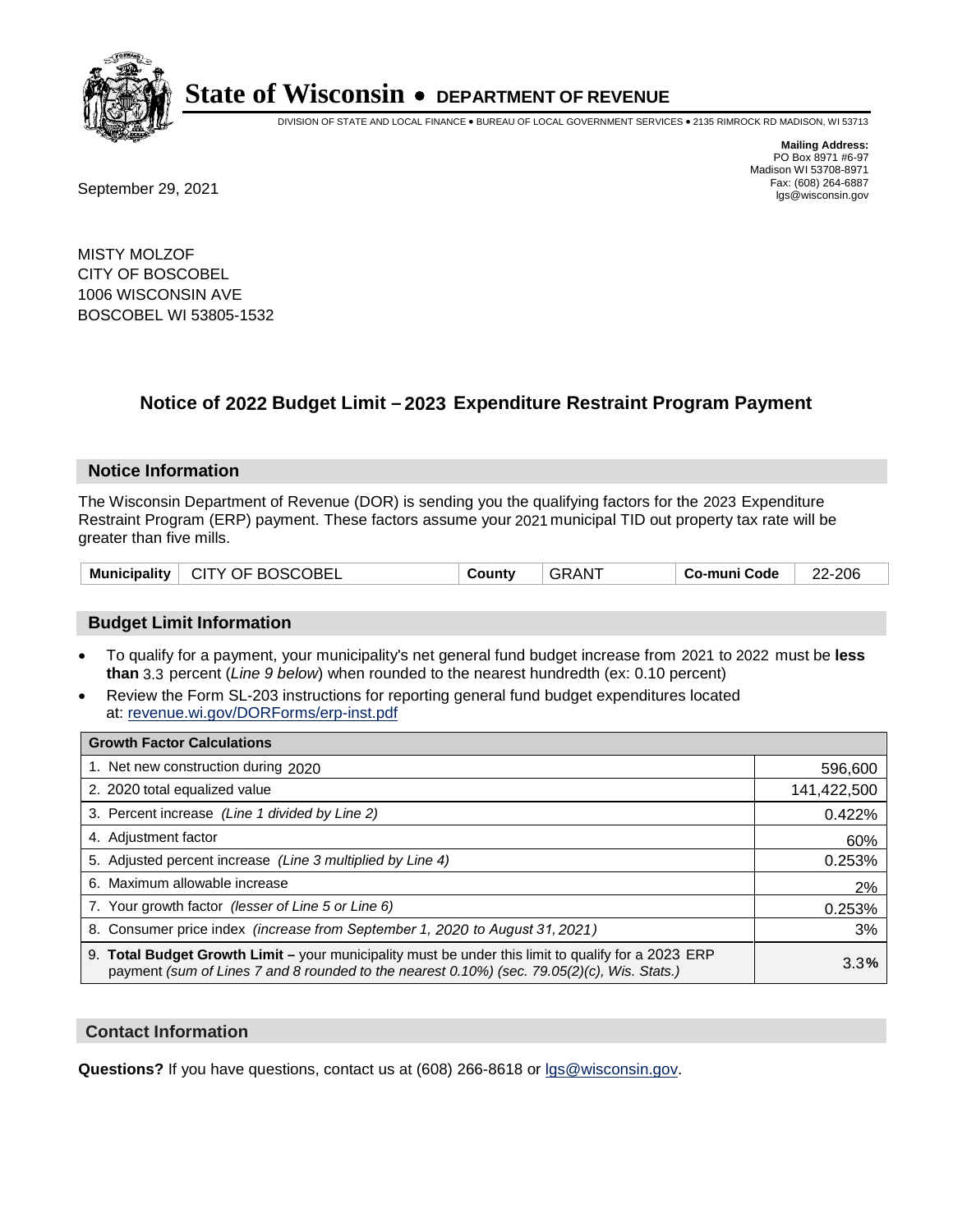

DIVISION OF STATE AND LOCAL FINANCE • BUREAU OF LOCAL GOVERNMENT SERVICES • 2135 RIMROCK RD MADISON, WI 53713

Fax: (608) 264-6887<br>
September 29, 2021 and the state of the state of the state of the state of the state of the state of the state of the state of the state of the state of the state of the state of the state of the state

**Mailing Address:** PO Box 8971 #6-97 Madison WI 53708-8971<br>Fax: (608) 264-6887

MISTY MOLZOF CITY OF BOSCOBEL 1006 WISCONSIN AVE BOSCOBEL WI 53805-1532

## **Notice of 2022 Budget Limit - 2023 Expenditure Restraint Program Payment**

#### **Notice Information**

The Wisconsin Department of Revenue (DOR) is sending you the qualifying factors for the 2023 Expenditure Restraint Program (ERP) payment. These factors assume your 2021 municipal TID out property tax rate will be greater than five mills.

|  | Municipality   CITY OF BOSCOBEL | Countv | <b>GRANT</b> | Co-muni Code | 22-206 |
|--|---------------------------------|--------|--------------|--------------|--------|
|--|---------------------------------|--------|--------------|--------------|--------|

#### **Budget Limit Information**

- To qualify for a payment, your municipality's net general fund budget increase from 2021 to 2022 must be less **than** 3.3 percent (*Line 9 below*) when rounded to the nearest hundredth (ex: 0.10 percent)
- Review the Form SL-203 instructions for reporting general fund budget expenditures located at: revenue.wi.gov/DORForms/erp-inst.pdf

| <b>Growth Factor Calculations</b>                                                                                                                                                                  |             |
|----------------------------------------------------------------------------------------------------------------------------------------------------------------------------------------------------|-------------|
| 1. Net new construction during 2020                                                                                                                                                                | 596,600     |
| 2. 2020 total equalized value                                                                                                                                                                      | 141,422,500 |
| 3. Percent increase (Line 1 divided by Line 2)                                                                                                                                                     | 0.422%      |
| 4. Adjustment factor                                                                                                                                                                               | 60%         |
| 5. Adjusted percent increase (Line 3 multiplied by Line 4)                                                                                                                                         | 0.253%      |
| 6. Maximum allowable increase                                                                                                                                                                      | 2%          |
| 7. Your growth factor (lesser of Line 5 or Line 6)                                                                                                                                                 | 0.253%      |
| 8. Consumer price index (increase from September 1, 2020 to August 31, 2021)                                                                                                                       | 3%          |
| 9. Total Budget Growth Limit - your municipality must be under this limit to qualify for a 2023 ERP<br>payment (sum of Lines 7 and 8 rounded to the nearest 0.10%) (sec. 79.05(2)(c), Wis. Stats.) | 3.3%        |

#### **Contact Information**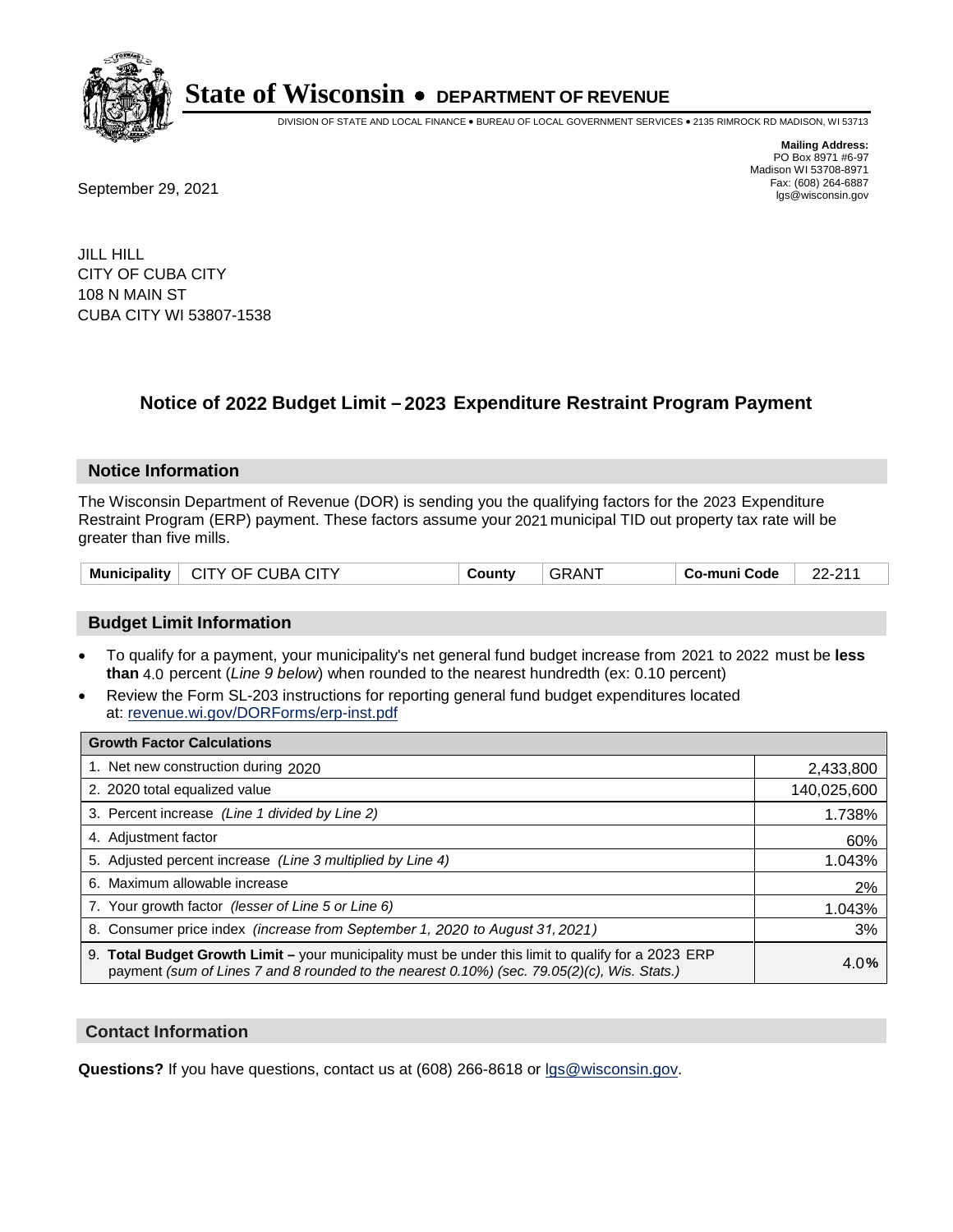

DIVISION OF STATE AND LOCAL FINANCE • BUREAU OF LOCAL GOVERNMENT SERVICES • 2135 RIMROCK RD MADISON, WI 53713

Fax: (608) 264-6887<br>
September 29, 2021 and the state of the state of the state of the state of the state of the state of the state of the state of the state of the state of the state of the state of the state of the state

**Mailing Address:** PO Box 8971 #6-97 Madison WI 53708-8971<br>Fax: (608) 264-6887

JILL HILL CITY OF CUBA CITY 108 N MAIN ST CUBA CITY WI 53807-1538

## **Notice of 2022 Budget Limit - 2023 Expenditure Restraint Program Payment**

#### **Notice Information**

The Wisconsin Department of Revenue (DOR) is sending you the qualifying factors for the 2023 Expenditure Restraint Program (ERP) payment. These factors assume your 2021 municipal TID out property tax rate will be greater than five mills.

| Municipality   CITY OF CUBA CITY | County | <b>GRANT</b> | ∣ Co-muni Code | 22-211 |
|----------------------------------|--------|--------------|----------------|--------|
|----------------------------------|--------|--------------|----------------|--------|

### **Budget Limit Information**

- To qualify for a payment, your municipality's net general fund budget increase from 2021 to 2022 must be less **than** 4.0 percent (*Line 9 below*) when rounded to the nearest hundredth (ex: 0.10 percent)
- Review the Form SL-203 instructions for reporting general fund budget expenditures located at: revenue.wi.gov/DORForms/erp-inst.pdf

| <b>Growth Factor Calculations</b>                                                                                                                                                                      |             |
|--------------------------------------------------------------------------------------------------------------------------------------------------------------------------------------------------------|-------------|
| 1. Net new construction during 2020                                                                                                                                                                    | 2,433,800   |
| 2. 2020 total equalized value                                                                                                                                                                          | 140,025,600 |
| 3. Percent increase (Line 1 divided by Line 2)                                                                                                                                                         | 1.738%      |
| 4. Adiustment factor                                                                                                                                                                                   | 60%         |
| 5. Adjusted percent increase (Line 3 multiplied by Line 4)                                                                                                                                             | 1.043%      |
| 6. Maximum allowable increase                                                                                                                                                                          | 2%          |
| 7. Your growth factor (lesser of Line 5 or Line 6)                                                                                                                                                     | 1.043%      |
| 8. Consumer price index (increase from September 1, 2020 to August 31, 2021)                                                                                                                           | 3%          |
| 9. Total Budget Growth Limit - your municipality must be under this limit to qualify for a 2023 ERP<br>payment (sum of Lines 7 and 8 rounded to the nearest $0.10\%$ ) (sec. 79.05(2)(c), Wis. Stats.) | 4.0%        |

#### **Contact Information**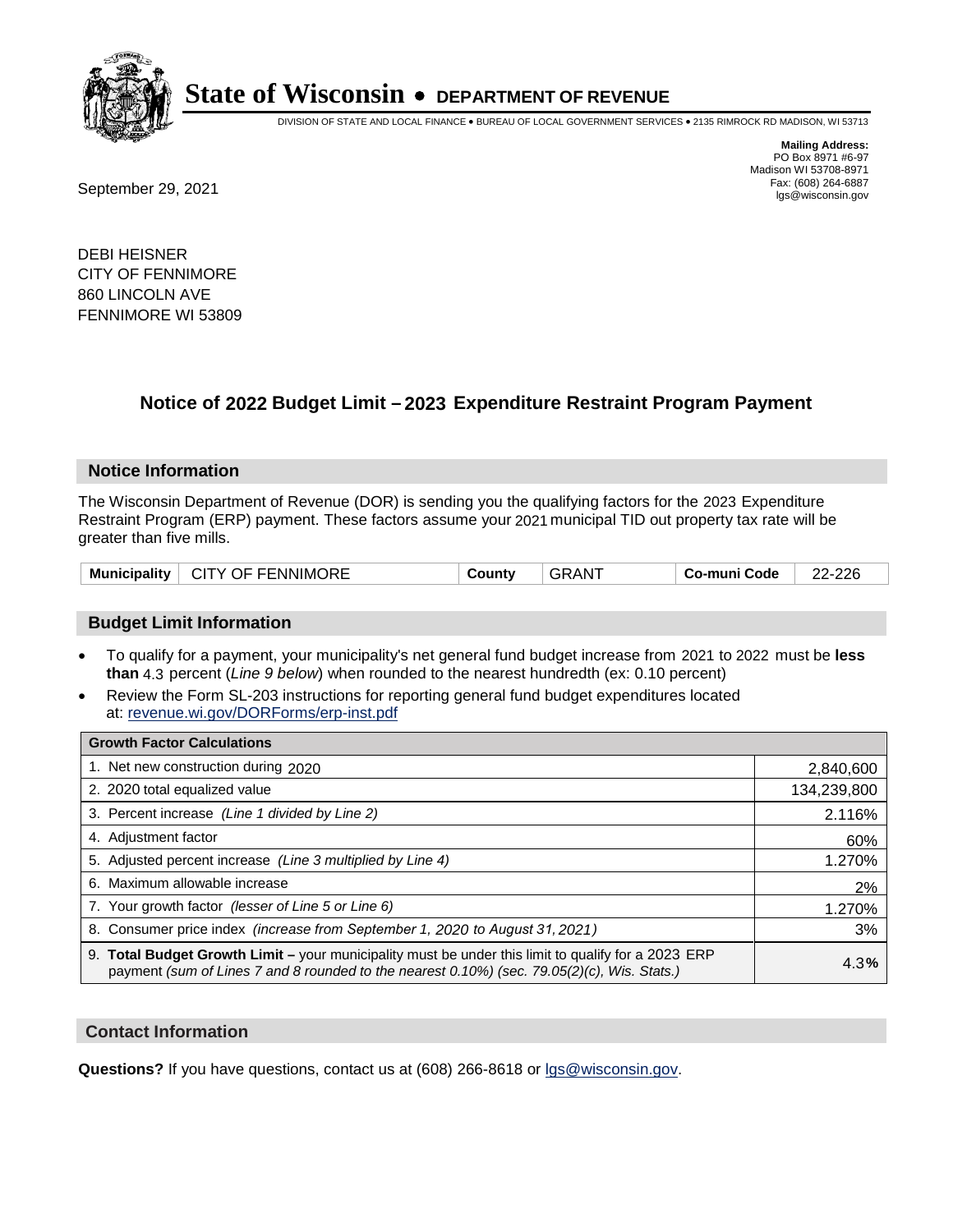

DIVISION OF STATE AND LOCAL FINANCE • BUREAU OF LOCAL GOVERNMENT SERVICES • 2135 RIMROCK RD MADISON, WI 53713

**Mailing Address:** PO Box 8971 #6-97 Madison WI 53708-8971<br>Fax: (608) 264-6887

Fax: (608) 264-6887<br>
September 29, 2021 and the state of the state of the state of the state of the state of the state of the state of the state of the state of the state of the state of the state of the state of the state

DEBI HEISNER CITY OF FENNIMORE 860 LINCOLN AVE FENNIMORE WI 53809

## **Notice of 2022 Budget Limit - 2023 Expenditure Restraint Program Payment**

#### **Notice Information**

The Wisconsin Department of Revenue (DOR) is sending you the qualifying factors for the 2023 Expenditure Restraint Program (ERP) payment. These factors assume your 2021 municipal TID out property tax rate will be greater than five mills.

| <b>CITY OF FENNIMORE</b><br><b>Municipality</b> | ountvٽ | ≀AN' | Co-muni Code | 22-226 |
|-------------------------------------------------|--------|------|--------------|--------|
|-------------------------------------------------|--------|------|--------------|--------|

### **Budget Limit Information**

- To qualify for a payment, your municipality's net general fund budget increase from 2021 to 2022 must be less **than** 4.3 percent (*Line 9 below*) when rounded to the nearest hundredth (ex: 0.10 percent)
- Review the Form SL-203 instructions for reporting general fund budget expenditures located at: revenue.wi.gov/DORForms/erp-inst.pdf

| <b>Growth Factor Calculations</b>                                                                                                                                                                  |             |
|----------------------------------------------------------------------------------------------------------------------------------------------------------------------------------------------------|-------------|
| 1. Net new construction during 2020                                                                                                                                                                | 2,840,600   |
| 2. 2020 total equalized value                                                                                                                                                                      | 134,239,800 |
| 3. Percent increase (Line 1 divided by Line 2)                                                                                                                                                     | 2.116%      |
| 4. Adjustment factor                                                                                                                                                                               | 60%         |
| 5. Adjusted percent increase (Line 3 multiplied by Line 4)                                                                                                                                         | 1.270%      |
| 6. Maximum allowable increase                                                                                                                                                                      | 2%          |
| 7. Your growth factor (lesser of Line 5 or Line 6)                                                                                                                                                 | 1.270%      |
| 8. Consumer price index (increase from September 1, 2020 to August 31, 2021)                                                                                                                       | 3%          |
| 9. Total Budget Growth Limit – your municipality must be under this limit to qualify for a 2023 ERP<br>payment (sum of Lines 7 and 8 rounded to the nearest 0.10%) (sec. 79.05(2)(c), Wis. Stats.) | 4.3%        |

#### **Contact Information**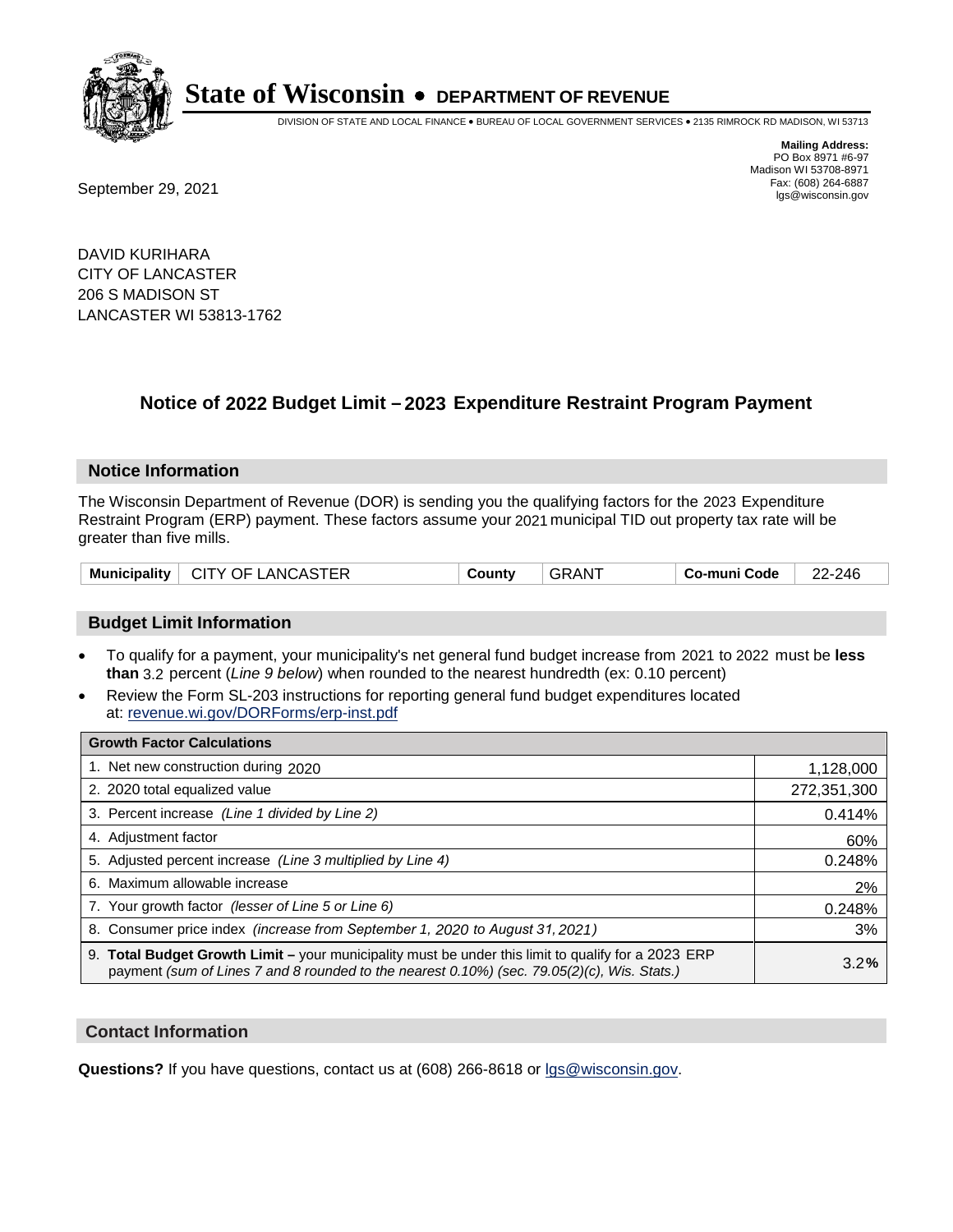

DIVISION OF STATE AND LOCAL FINANCE • BUREAU OF LOCAL GOVERNMENT SERVICES • 2135 RIMROCK RD MADISON, WI 53713

Fax: (608) 264-6887<br>
September 29, 2021 and the state of the state of the state of the state of the state of the state of the state of the state of the state of the state of the state of the state of the state of the state

**Mailing Address:** PO Box 8971 #6-97 Madison WI 53708-8971<br>Fax: (608) 264-6887

DAVID KURIHARA CITY OF LANCASTER 206 S MADISON ST LANCASTER WI 53813-1762

## **Notice of 2022 Budget Limit - 2023 Expenditure Restraint Program Payment**

#### **Notice Information**

The Wisconsin Department of Revenue (DOR) is sending you the qualifying factors for the 2023 Expenditure Restraint Program (ERP) payment. These factors assume your 2021 municipal TID out property tax rate will be greater than five mills.

#### **Budget Limit Information**

- To qualify for a payment, your municipality's net general fund budget increase from 2021 to 2022 must be less **than** 3.2 percent (*Line 9 below*) when rounded to the nearest hundredth (ex: 0.10 percent)
- Review the Form SL-203 instructions for reporting general fund budget expenditures located at: revenue.wi.gov/DORForms/erp-inst.pdf

| <b>Growth Factor Calculations</b>                                                                                                                                                                  |             |
|----------------------------------------------------------------------------------------------------------------------------------------------------------------------------------------------------|-------------|
| 1. Net new construction during 2020                                                                                                                                                                | 1,128,000   |
| 2. 2020 total equalized value                                                                                                                                                                      | 272,351,300 |
| 3. Percent increase (Line 1 divided by Line 2)                                                                                                                                                     | 0.414%      |
| 4. Adjustment factor                                                                                                                                                                               | 60%         |
| 5. Adjusted percent increase (Line 3 multiplied by Line 4)                                                                                                                                         | 0.248%      |
| 6. Maximum allowable increase                                                                                                                                                                      | 2%          |
| 7. Your growth factor (lesser of Line 5 or Line 6)                                                                                                                                                 | 0.248%      |
| 8. Consumer price index (increase from September 1, 2020 to August 31, 2021)                                                                                                                       | 3%          |
| 9. Total Budget Growth Limit - your municipality must be under this limit to qualify for a 2023 ERP<br>payment (sum of Lines 7 and 8 rounded to the nearest 0.10%) (sec. 79.05(2)(c), Wis. Stats.) | 3.2%        |

#### **Contact Information**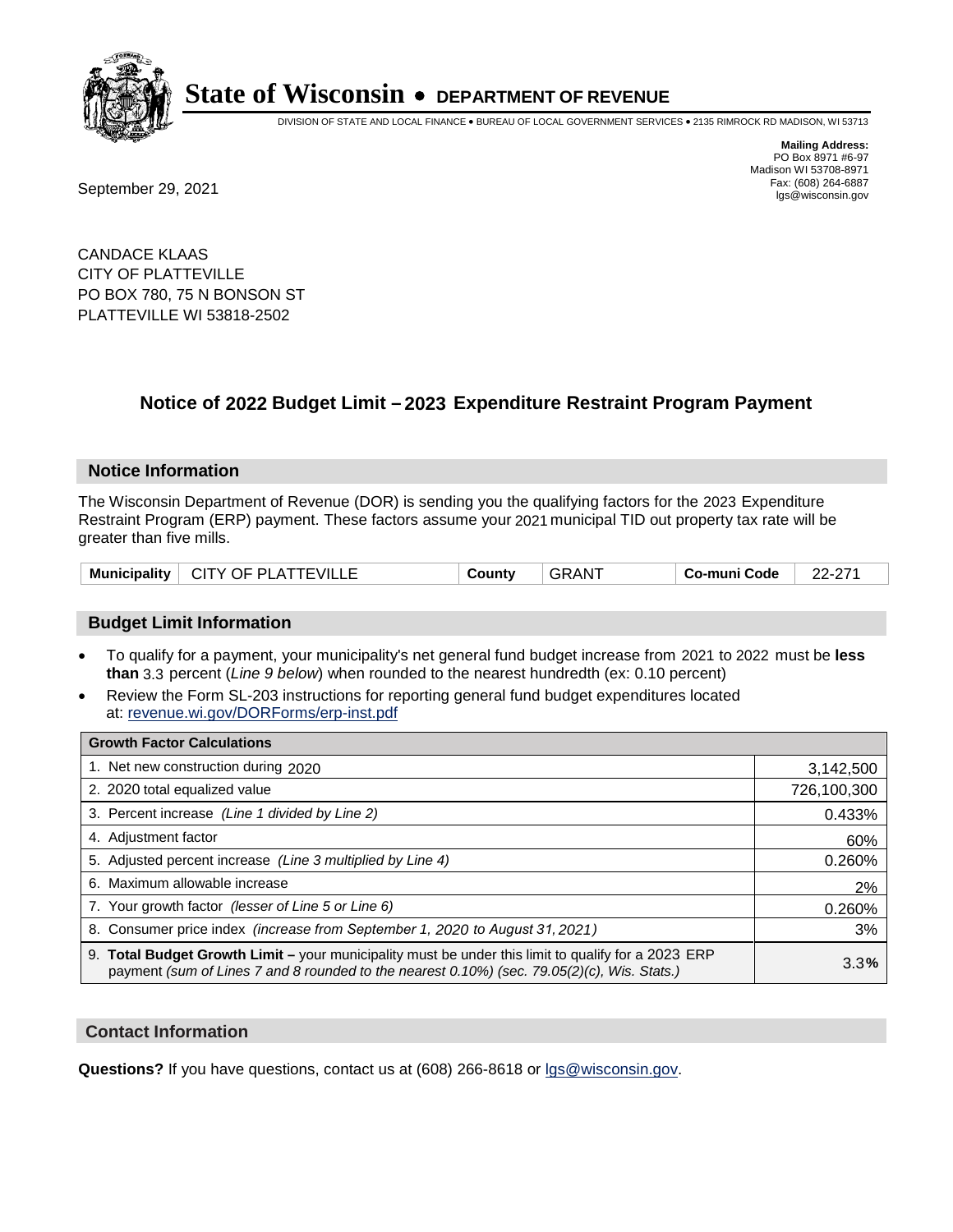

DIVISION OF STATE AND LOCAL FINANCE • BUREAU OF LOCAL GOVERNMENT SERVICES • 2135 RIMROCK RD MADISON, WI 53713

**Mailing Address:** PO Box 8971 #6-97 Madison WI 53708-8971<br>Fax: (608) 264-6887

Fax: (608) 264-6887<br>
September 29, 2021 and the state of the state of the state of the state of the state of the state of the state of the state of the state of the state of the state of the state of the state of the state

CANDACE KLAAS CITY OF PLATTEVILLE PO BOX 780, 75 N BONSON ST PLATTEVILLE WI 53818-2502

## **Notice of 2022 Budget Limit - 2023 Expenditure Restraint Program Payment**

#### **Notice Information**

The Wisconsin Department of Revenue (DOR) is sending you the qualifying factors for the 2023 Expenditure Restraint Program (ERP) payment. These factors assume your 2021 municipal TID out property tax rate will be greater than five mills.

| Municipality                   | 1AN.   | הדה הה         |
|--------------------------------|--------|----------------|
| $^{\circ}$ CITY OF PLATTEVILLE | ∶ountv | o-muni Code، ن |

#### **Budget Limit Information**

- To qualify for a payment, your municipality's net general fund budget increase from 2021 to 2022 must be less **than** 3.3 percent (*Line 9 below*) when rounded to the nearest hundredth (ex: 0.10 percent)
- Review the Form SL-203 instructions for reporting general fund budget expenditures located at: revenue.wi.gov/DORForms/erp-inst.pdf

| <b>Growth Factor Calculations</b>                                                                                                                                                                  |             |
|----------------------------------------------------------------------------------------------------------------------------------------------------------------------------------------------------|-------------|
| 1. Net new construction during 2020                                                                                                                                                                | 3,142,500   |
| 2. 2020 total equalized value                                                                                                                                                                      | 726,100,300 |
| 3. Percent increase (Line 1 divided by Line 2)                                                                                                                                                     | 0.433%      |
| 4. Adjustment factor                                                                                                                                                                               | 60%         |
| 5. Adjusted percent increase (Line 3 multiplied by Line 4)                                                                                                                                         | 0.260%      |
| 6. Maximum allowable increase                                                                                                                                                                      | 2%          |
| 7. Your growth factor (lesser of Line 5 or Line 6)                                                                                                                                                 | 0.260%      |
| 8. Consumer price index (increase from September 1, 2020 to August 31, 2021)                                                                                                                       | 3%          |
| 9. Total Budget Growth Limit - your municipality must be under this limit to qualify for a 2023 ERP<br>payment (sum of Lines 7 and 8 rounded to the nearest 0.10%) (sec. 79.05(2)(c), Wis. Stats.) | 3.3%        |

#### **Contact Information**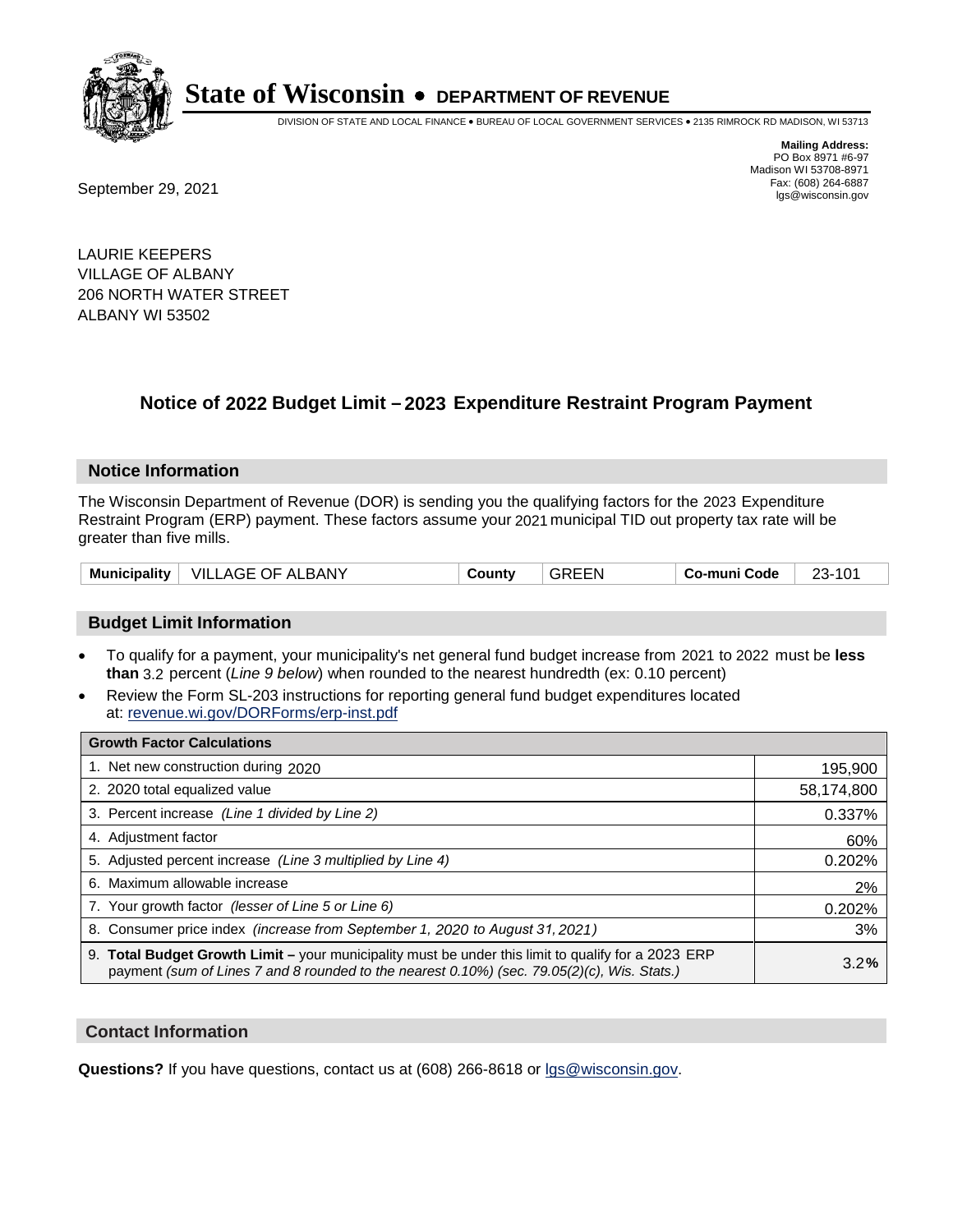

DIVISION OF STATE AND LOCAL FINANCE • BUREAU OF LOCAL GOVERNMENT SERVICES • 2135 RIMROCK RD MADISON, WI 53713

**Mailing Address:** PO Box 8971 #6-97 Madison WI 53708-8971<br>Fax: (608) 264-6887

Fax: (608) 264-6887<br>
September 29, 2021 and the state of the state of the state of the state of the state of the state of the state of the state of the state of the state of the state of the state of the state of the state

LAURIE KEEPERS VILLAGE OF ALBANY 206 NORTH WATER STREET ALBANY WI 53502

## **Notice of 2022 Budget Limit - 2023 Expenditure Restraint Program Payment**

#### **Notice Information**

The Wisconsin Department of Revenue (DOR) is sending you the qualifying factors for the 2023 Expenditure Restraint Program (ERP) payment. These factors assume your 2021 municipal TID out property tax rate will be greater than five mills.

| Municipality | <b>VILLAGE OF ALBANY</b> | County | <b>GREEN</b> | Co-muni Code | -23-101 |
|--------------|--------------------------|--------|--------------|--------------|---------|
|--------------|--------------------------|--------|--------------|--------------|---------|

#### **Budget Limit Information**

- To qualify for a payment, your municipality's net general fund budget increase from 2021 to 2022 must be less **than** 3.2 percent (*Line 9 below*) when rounded to the nearest hundredth (ex: 0.10 percent)
- Review the Form SL-203 instructions for reporting general fund budget expenditures located at: revenue.wi.gov/DORForms/erp-inst.pdf

| <b>Growth Factor Calculations</b>                                                                                                                                                                  |            |
|----------------------------------------------------------------------------------------------------------------------------------------------------------------------------------------------------|------------|
| 1. Net new construction during 2020                                                                                                                                                                | 195,900    |
| 2. 2020 total equalized value                                                                                                                                                                      | 58,174,800 |
| 3. Percent increase (Line 1 divided by Line 2)                                                                                                                                                     | 0.337%     |
| 4. Adjustment factor                                                                                                                                                                               | 60%        |
| 5. Adjusted percent increase (Line 3 multiplied by Line 4)                                                                                                                                         | 0.202%     |
| 6. Maximum allowable increase                                                                                                                                                                      | 2%         |
| 7. Your growth factor (lesser of Line 5 or Line 6)                                                                                                                                                 | 0.202%     |
| 8. Consumer price index (increase from September 1, 2020 to August 31, 2021)                                                                                                                       | 3%         |
| 9. Total Budget Growth Limit – your municipality must be under this limit to qualify for a 2023 ERP<br>payment (sum of Lines 7 and 8 rounded to the nearest 0.10%) (sec. 79.05(2)(c), Wis. Stats.) | 3.2%       |

#### **Contact Information**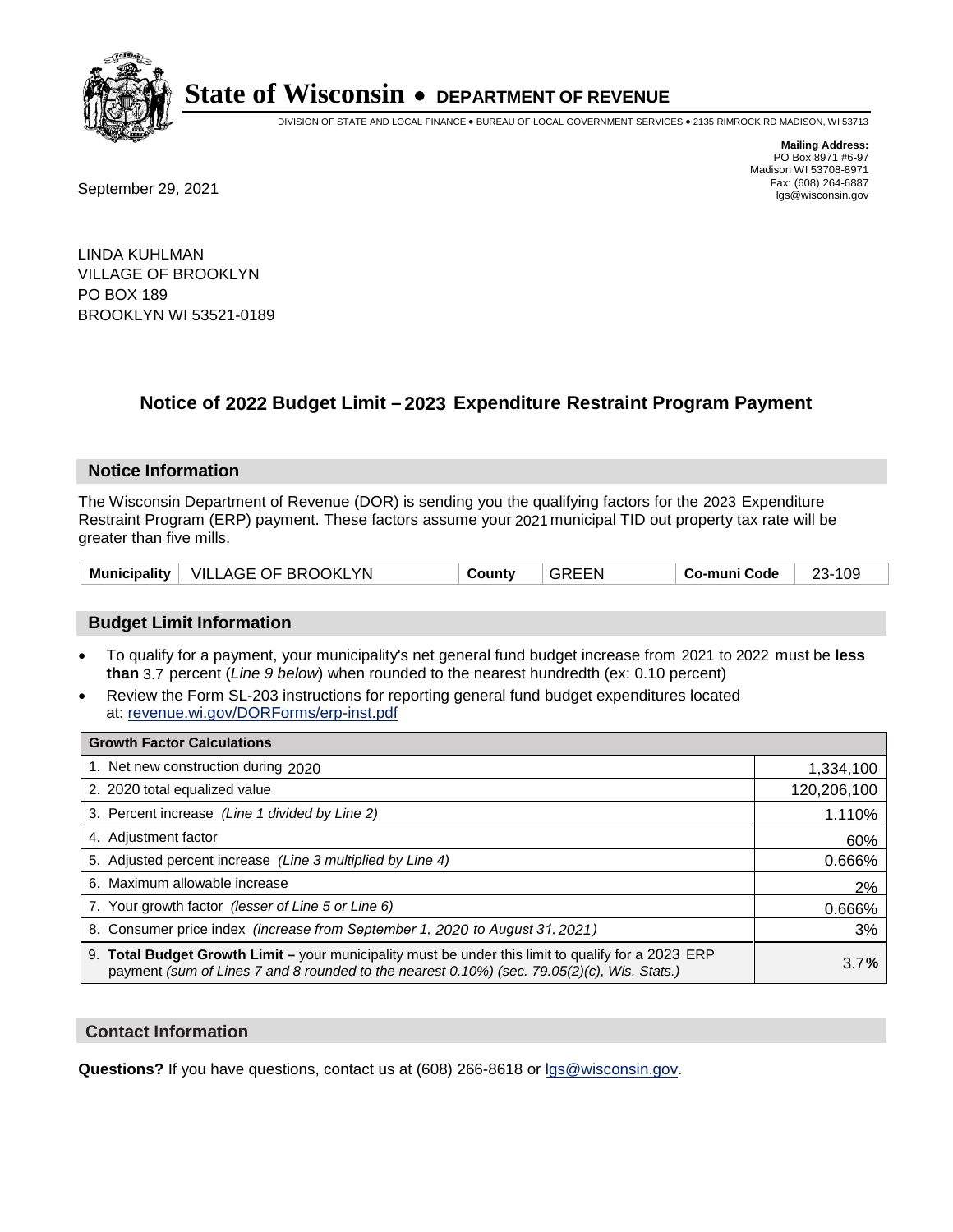

DIVISION OF STATE AND LOCAL FINANCE • BUREAU OF LOCAL GOVERNMENT SERVICES • 2135 RIMROCK RD MADISON, WI 53713

**Mailing Address:** PO Box 8971 #6-97 Madison WI 53708-8971<br>Fax: (608) 264-6887

Fax: (608) 264-6887<br>
September 29, 2021 and the state of the state of the state of the state of the state of the state of the state of the state of the state of the state of the state of the state of the state of the state

LINDA KUHLMAN VILLAGE OF BROOKLYN PO BOX 189 BROOKLYN WI 53521-0189

## **Notice of 2022 Budget Limit - 2023 Expenditure Restraint Program Payment**

#### **Notice Information**

The Wisconsin Department of Revenue (DOR) is sending you the qualifying factors for the 2023 Expenditure Restraint Program (ERP) payment. These factors assume your 2021 municipal TID out property tax rate will be greater than five mills.

| Municipality $ $ | <b>VILLAGE OF BROOKLYN</b> | County | GREEN | : o-muni Code | ົ<br>109 |
|------------------|----------------------------|--------|-------|---------------|----------|
|------------------|----------------------------|--------|-------|---------------|----------|

### **Budget Limit Information**

- To qualify for a payment, your municipality's net general fund budget increase from 2021 to 2022 must be less **than** 3.7 percent (*Line 9 below*) when rounded to the nearest hundredth (ex: 0.10 percent)
- Review the Form SL-203 instructions for reporting general fund budget expenditures located at: revenue.wi.gov/DORForms/erp-inst.pdf

| <b>Growth Factor Calculations</b>                                                                                                                                                                  |             |
|----------------------------------------------------------------------------------------------------------------------------------------------------------------------------------------------------|-------------|
| 1. Net new construction during 2020                                                                                                                                                                | 1,334,100   |
| 2. 2020 total equalized value                                                                                                                                                                      | 120,206,100 |
| 3. Percent increase (Line 1 divided by Line 2)                                                                                                                                                     | 1.110%      |
| 4. Adjustment factor                                                                                                                                                                               | 60%         |
| 5. Adjusted percent increase (Line 3 multiplied by Line 4)                                                                                                                                         | 0.666%      |
| 6. Maximum allowable increase                                                                                                                                                                      | 2%          |
| 7. Your growth factor (lesser of Line 5 or Line 6)                                                                                                                                                 | 0.666%      |
| 8. Consumer price index (increase from September 1, 2020 to August 31, 2021)                                                                                                                       | 3%          |
| 9. Total Budget Growth Limit - your municipality must be under this limit to qualify for a 2023 ERP<br>payment (sum of Lines 7 and 8 rounded to the nearest 0.10%) (sec. 79.05(2)(c), Wis. Stats.) | 3.7%        |

### **Contact Information**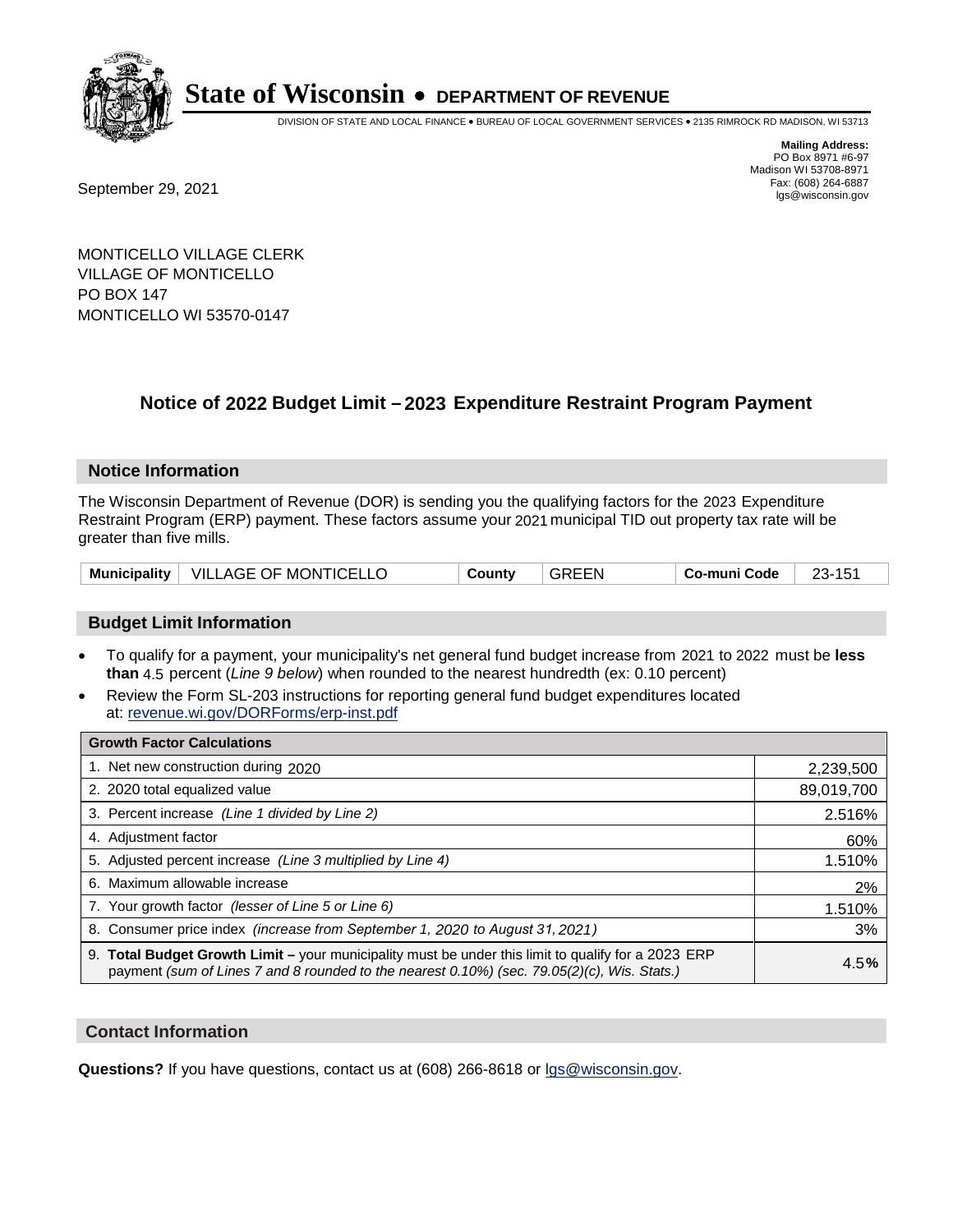

DIVISION OF STATE AND LOCAL FINANCE • BUREAU OF LOCAL GOVERNMENT SERVICES • 2135 RIMROCK RD MADISON, WI 53713

Fax: (608) 264-6887<br>
September 29, 2021 and the state of the state of the state of the state of the state of the state of the state of the state of the state of the state of the state of the state of the state of the state

**Mailing Address:** PO Box 8971 #6-97 Madison WI 53708-8971<br>Fax: (608) 264-6887

MONTICELLO VILLAGE CLERK VILLAGE OF MONTICELLO PO BOX 147 MONTICELLO WI 53570-0147

## **Notice of 2022 Budget Limit - 2023 Expenditure Restraint Program Payment**

#### **Notice Information**

The Wisconsin Department of Revenue (DOR) is sending you the qualifying factors for the 2023 Expenditure Restraint Program (ERP) payment. These factors assume your 2021 municipal TID out property tax rate will be greater than five mills.

| Municipality   VILLAGE OF MONTICELLO | County | <b>GREEN</b> | Co-muni Code | 23-151 |
|--------------------------------------|--------|--------------|--------------|--------|
|--------------------------------------|--------|--------------|--------------|--------|

### **Budget Limit Information**

- To qualify for a payment, your municipality's net general fund budget increase from 2021 to 2022 must be less **than** 4.5 percent (*Line 9 below*) when rounded to the nearest hundredth (ex: 0.10 percent)
- Review the Form SL-203 instructions for reporting general fund budget expenditures located at: revenue.wi.gov/DORForms/erp-inst.pdf

| <b>Growth Factor Calculations</b>                                                                                                                                                                  |            |
|----------------------------------------------------------------------------------------------------------------------------------------------------------------------------------------------------|------------|
| 1. Net new construction during 2020                                                                                                                                                                | 2,239,500  |
| 2. 2020 total equalized value                                                                                                                                                                      | 89,019,700 |
| 3. Percent increase (Line 1 divided by Line 2)                                                                                                                                                     | 2.516%     |
| 4. Adiustment factor                                                                                                                                                                               | 60%        |
| 5. Adjusted percent increase (Line 3 multiplied by Line 4)                                                                                                                                         | 1.510%     |
| 6. Maximum allowable increase                                                                                                                                                                      | 2%         |
| 7. Your growth factor (lesser of Line 5 or Line 6)                                                                                                                                                 | 1.510%     |
| 8. Consumer price index (increase from September 1, 2020 to August 31, 2021)                                                                                                                       | 3%         |
| 9. Total Budget Growth Limit - your municipality must be under this limit to qualify for a 2023 ERP<br>payment (sum of Lines 7 and 8 rounded to the nearest 0.10%) (sec. 79.05(2)(c), Wis. Stats.) | 4.5%       |

#### **Contact Information**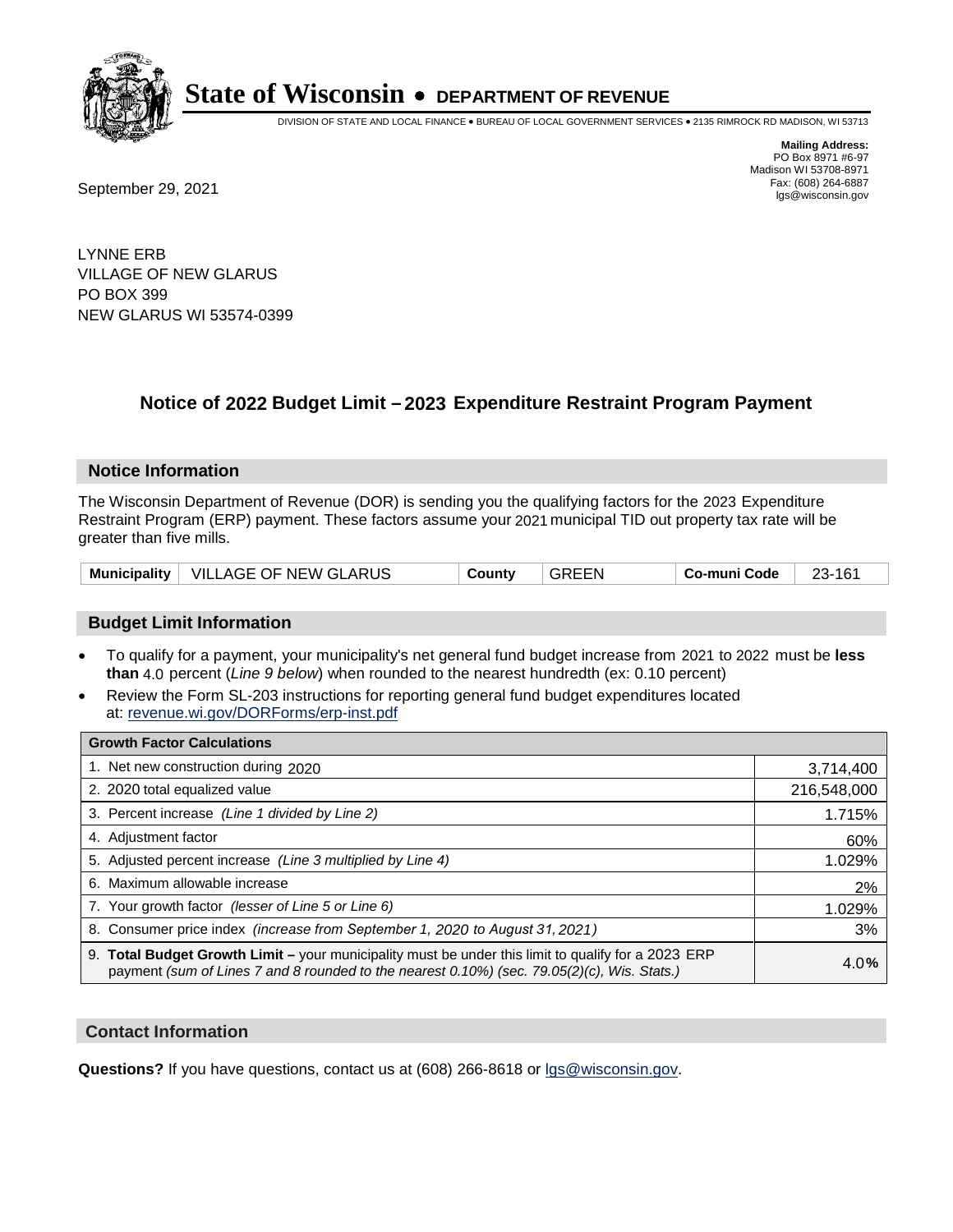

DIVISION OF STATE AND LOCAL FINANCE • BUREAU OF LOCAL GOVERNMENT SERVICES • 2135 RIMROCK RD MADISON, WI 53713

Fax: (608) 264-6887<br>
September 29, 2021 and the state of the state of the state of the state of the state of the state of the state of the state of the state of the state of the state of the state of the state of the state

**Mailing Address:** PO Box 8971 #6-97 Madison WI 53708-8971<br>Fax: (608) 264-6887

LYNNE ERB VILLAGE OF NEW GLARUS PO BOX 399 NEW GLARUS WI 53574-0399

## **Notice of 2022 Budget Limit - 2023 Expenditure Restraint Program Payment**

#### **Notice Information**

The Wisconsin Department of Revenue (DOR) is sending you the qualifying factors for the 2023 Expenditure Restraint Program (ERP) payment. These factors assume your 2021 municipal TID out property tax rate will be greater than five mills.

|  | Municipality   VILLAGE OF NEW GLARUS | County | <b>GREEN</b> | Co-muni Code | 23-161 |
|--|--------------------------------------|--------|--------------|--------------|--------|
|--|--------------------------------------|--------|--------------|--------------|--------|

### **Budget Limit Information**

- To qualify for a payment, your municipality's net general fund budget increase from 2021 to 2022 must be less **than** 4.0 percent (*Line 9 below*) when rounded to the nearest hundredth (ex: 0.10 percent)
- Review the Form SL-203 instructions for reporting general fund budget expenditures located at: revenue.wi.gov/DORForms/erp-inst.pdf

| <b>Growth Factor Calculations</b>                                                                                                                                                                  |             |
|----------------------------------------------------------------------------------------------------------------------------------------------------------------------------------------------------|-------------|
| 1. Net new construction during 2020                                                                                                                                                                | 3,714,400   |
| 2. 2020 total equalized value                                                                                                                                                                      | 216,548,000 |
| 3. Percent increase (Line 1 divided by Line 2)                                                                                                                                                     | 1.715%      |
| 4. Adjustment factor                                                                                                                                                                               | 60%         |
| 5. Adjusted percent increase (Line 3 multiplied by Line 4)                                                                                                                                         | 1.029%      |
| 6. Maximum allowable increase                                                                                                                                                                      | 2%          |
| 7. Your growth factor (lesser of Line 5 or Line 6)                                                                                                                                                 | 1.029%      |
| 8. Consumer price index (increase from September 1, 2020 to August 31, 2021)                                                                                                                       | 3%          |
| 9. Total Budget Growth Limit - your municipality must be under this limit to qualify for a 2023 ERP<br>payment (sum of Lines 7 and 8 rounded to the nearest 0.10%) (sec. 79.05(2)(c), Wis. Stats.) | 4.0%        |

#### **Contact Information**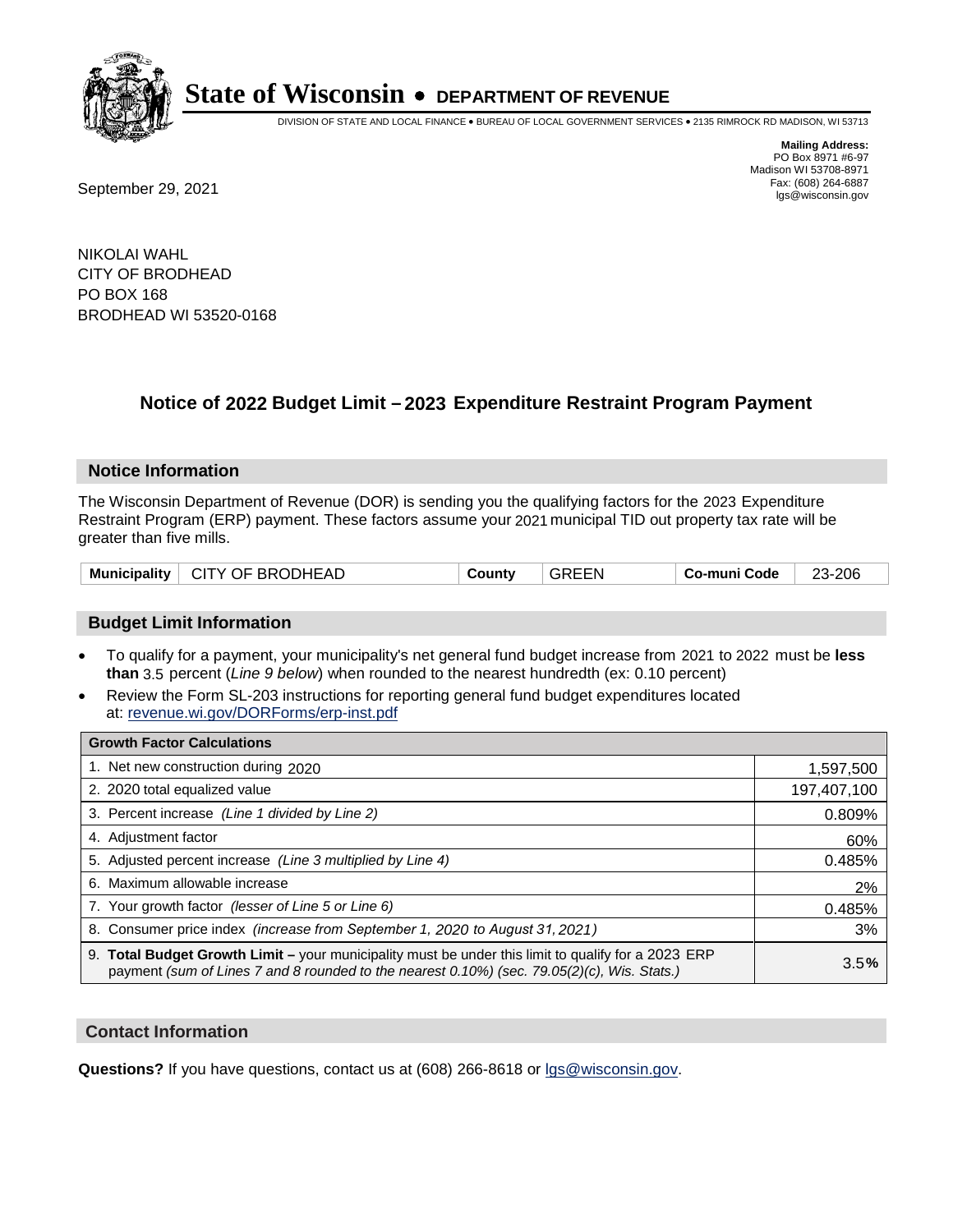

DIVISION OF STATE AND LOCAL FINANCE • BUREAU OF LOCAL GOVERNMENT SERVICES • 2135 RIMROCK RD MADISON, WI 53713

**Mailing Address:** PO Box 8971 #6-97 Madison WI 53708-8971<br>Fax: (608) 264-6887

Fax: (608) 264-6887<br>
September 29, 2021 and the state of the state of the state of the state of the state of the state of the state of the state of the state of the state of the state of the state of the state of the state

NIKOLAI WAHL CITY OF BRODHEAD PO BOX 168 BRODHEAD WI 53520-0168

## **Notice of 2022 Budget Limit - 2023 Expenditure Restraint Program Payment**

#### **Notice Information**

The Wisconsin Department of Revenue (DOR) is sending you the qualifying factors for the 2023 Expenditure Restraint Program (ERP) payment. These factors assume your 2021 municipal TID out property tax rate will be greater than five mills.

| CITY OF BRODHEAD<br><b>Municipality</b> | County | <b>GREEN</b> | ⊤ Co-muni Code | 23-206 |
|-----------------------------------------|--------|--------------|----------------|--------|
|-----------------------------------------|--------|--------------|----------------|--------|

### **Budget Limit Information**

- To qualify for a payment, your municipality's net general fund budget increase from 2021 to 2022 must be less **than** 3.5 percent (*Line 9 below*) when rounded to the nearest hundredth (ex: 0.10 percent)
- Review the Form SL-203 instructions for reporting general fund budget expenditures located at: revenue.wi.gov/DORForms/erp-inst.pdf

| <b>Growth Factor Calculations</b>                                                                                                                                                                  |             |
|----------------------------------------------------------------------------------------------------------------------------------------------------------------------------------------------------|-------------|
| 1. Net new construction during 2020                                                                                                                                                                | 1,597,500   |
| 2. 2020 total equalized value                                                                                                                                                                      | 197,407,100 |
| 3. Percent increase (Line 1 divided by Line 2)                                                                                                                                                     | 0.809%      |
| 4. Adjustment factor                                                                                                                                                                               | 60%         |
| 5. Adjusted percent increase (Line 3 multiplied by Line 4)                                                                                                                                         | 0.485%      |
| 6. Maximum allowable increase                                                                                                                                                                      | 2%          |
| 7. Your growth factor (lesser of Line 5 or Line 6)                                                                                                                                                 | 0.485%      |
| 8. Consumer price index (increase from September 1, 2020 to August 31, 2021)                                                                                                                       | 3%          |
| 9. Total Budget Growth Limit - your municipality must be under this limit to qualify for a 2023 ERP<br>payment (sum of Lines 7 and 8 rounded to the nearest 0.10%) (sec. 79.05(2)(c), Wis. Stats.) | 3.5%        |

### **Contact Information**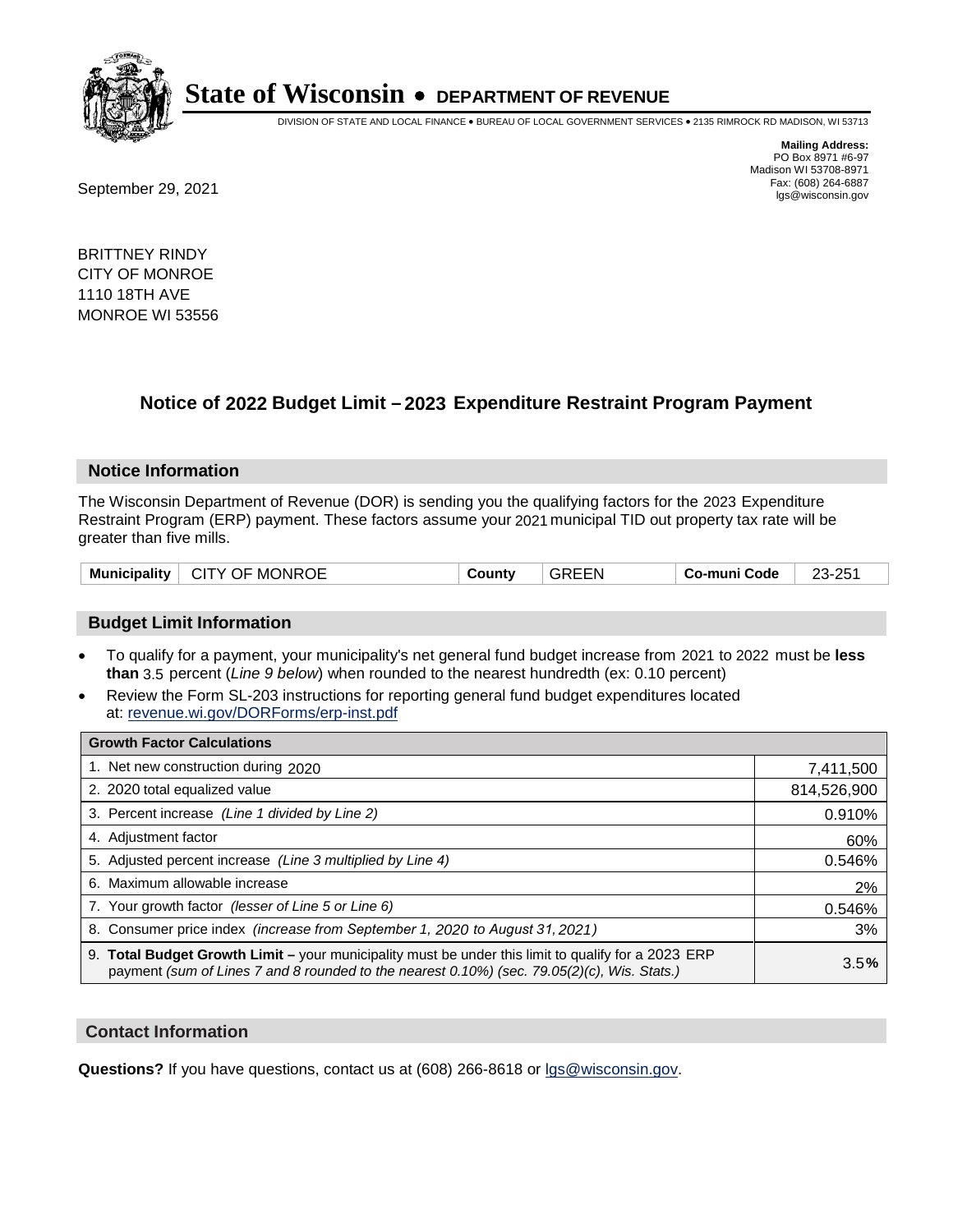

DIVISION OF STATE AND LOCAL FINANCE • BUREAU OF LOCAL GOVERNMENT SERVICES • 2135 RIMROCK RD MADISON, WI 53713

**Mailing Address:** PO Box 8971 #6-97 Madison WI 53708-8971<br>Fax: (608) 264-6887

Fax: (608) 264-6887<br>
September 29, 2021 and the state of the state of the state of the state of the state of the state of the state of the state of the state of the state of the state of the state of the state of the state

BRITTNEY RINDY CITY OF MONROE 1110 18TH AVE MONROE WI 53556

## **Notice of 2022 Budget Limit - 2023 Expenditure Restraint Program Payment**

#### **Notice Information**

The Wisconsin Department of Revenue (DOR) is sending you the qualifying factors for the 2023 Expenditure Restraint Program (ERP) payment. These factors assume your 2021 municipal TID out property tax rate will be greater than five mills.

| ∣ CITY OF MONROE<br><b>Municipality</b> | County | <b>GREEN</b> | ⊤ Co-muni Code | 23-251 |
|-----------------------------------------|--------|--------------|----------------|--------|
|-----------------------------------------|--------|--------------|----------------|--------|

### **Budget Limit Information**

- To qualify for a payment, your municipality's net general fund budget increase from 2021 to 2022 must be less **than** 3.5 percent (*Line 9 below*) when rounded to the nearest hundredth (ex: 0.10 percent)
- Review the Form SL-203 instructions for reporting general fund budget expenditures located at: revenue.wi.gov/DORForms/erp-inst.pdf

| <b>Growth Factor Calculations</b>                                                                                                                                                                  |             |
|----------------------------------------------------------------------------------------------------------------------------------------------------------------------------------------------------|-------------|
| 1. Net new construction during 2020                                                                                                                                                                | 7,411,500   |
| 2. 2020 total equalized value                                                                                                                                                                      | 814,526,900 |
| 3. Percent increase (Line 1 divided by Line 2)                                                                                                                                                     | 0.910%      |
| 4. Adjustment factor                                                                                                                                                                               | 60%         |
| 5. Adjusted percent increase (Line 3 multiplied by Line 4)                                                                                                                                         | 0.546%      |
| 6. Maximum allowable increase                                                                                                                                                                      | 2%          |
| 7. Your growth factor (lesser of Line 5 or Line 6)                                                                                                                                                 | 0.546%      |
| 8. Consumer price index (increase from September 1, 2020 to August 31, 2021)                                                                                                                       | 3%          |
| 9. Total Budget Growth Limit – your municipality must be under this limit to qualify for a 2023 ERP<br>payment (sum of Lines 7 and 8 rounded to the nearest 0.10%) (sec. 79.05(2)(c), Wis. Stats.) | 3.5%        |

#### **Contact Information**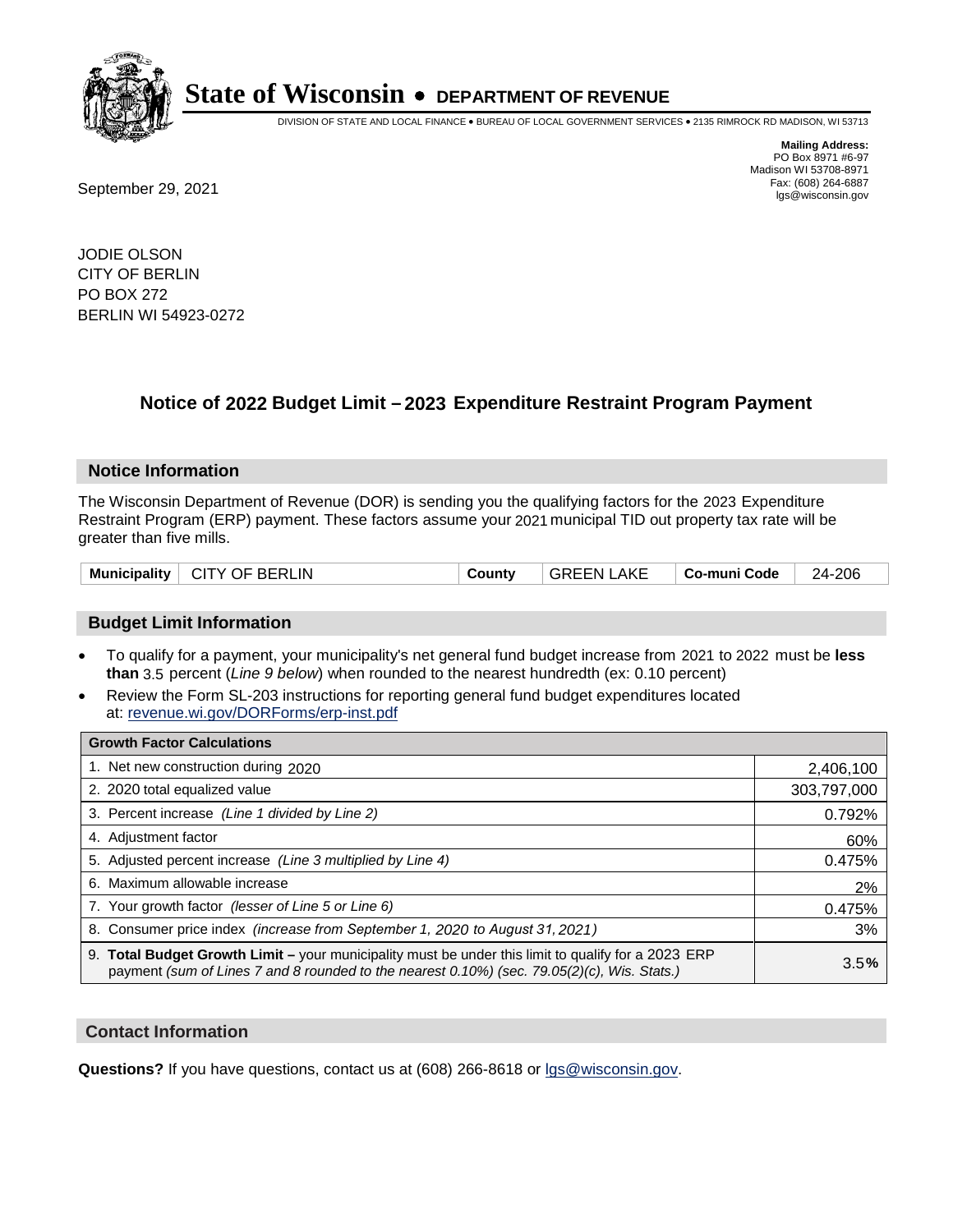

DIVISION OF STATE AND LOCAL FINANCE • BUREAU OF LOCAL GOVERNMENT SERVICES • 2135 RIMROCK RD MADISON, WI 53713

**Mailing Address:** PO Box 8971 #6-97 Madison WI 53708-8971<br>Fax: (608) 264-6887

Fax: (608) 264-6887<br>
September 29, 2021 and the state of the state of the state of the state of the state of the state of the state of the state of the state of the state of the state of the state of the state of the state

JODIE OLSON CITY OF BERLIN PO BOX 272 BERLIN WI 54923-0272

## **Notice of 2022 Budget Limit - 2023 Expenditure Restraint Program Payment**

#### **Notice Information**

The Wisconsin Department of Revenue (DOR) is sending you the qualifying factors for the 2023 Expenditure Restraint Program (ERP) payment. These factors assume your 2021 municipal TID out property tax rate will be greater than five mills.

| Municipality   CITY OF BERLIN | County | <b>GREEN LAKE</b> | ∣ Co-muni Code | 24-206 |
|-------------------------------|--------|-------------------|----------------|--------|
|-------------------------------|--------|-------------------|----------------|--------|

### **Budget Limit Information**

- To qualify for a payment, your municipality's net general fund budget increase from 2021 to 2022 must be less **than** 3.5 percent (*Line 9 below*) when rounded to the nearest hundredth (ex: 0.10 percent)
- Review the Form SL-203 instructions for reporting general fund budget expenditures located at: revenue.wi.gov/DORForms/erp-inst.pdf

| <b>Growth Factor Calculations</b>                                                                                                                                                                      |             |
|--------------------------------------------------------------------------------------------------------------------------------------------------------------------------------------------------------|-------------|
| 1. Net new construction during 2020                                                                                                                                                                    | 2,406,100   |
| 2. 2020 total equalized value                                                                                                                                                                          | 303,797,000 |
| 3. Percent increase (Line 1 divided by Line 2)                                                                                                                                                         | 0.792%      |
| 4. Adjustment factor                                                                                                                                                                                   | 60%         |
| 5. Adjusted percent increase (Line 3 multiplied by Line 4)                                                                                                                                             | 0.475%      |
| 6. Maximum allowable increase                                                                                                                                                                          | 2%          |
| 7. Your growth factor (lesser of Line 5 or Line 6)                                                                                                                                                     | 0.475%      |
| 8. Consumer price index (increase from September 1, 2020 to August 31, 2021)                                                                                                                           | 3%          |
| 9. Total Budget Growth Limit - your municipality must be under this limit to qualify for a 2023 ERP<br>payment (sum of Lines 7 and 8 rounded to the nearest $0.10\%$ ) (sec. 79.05(2)(c), Wis. Stats.) | 3.5%        |

#### **Contact Information**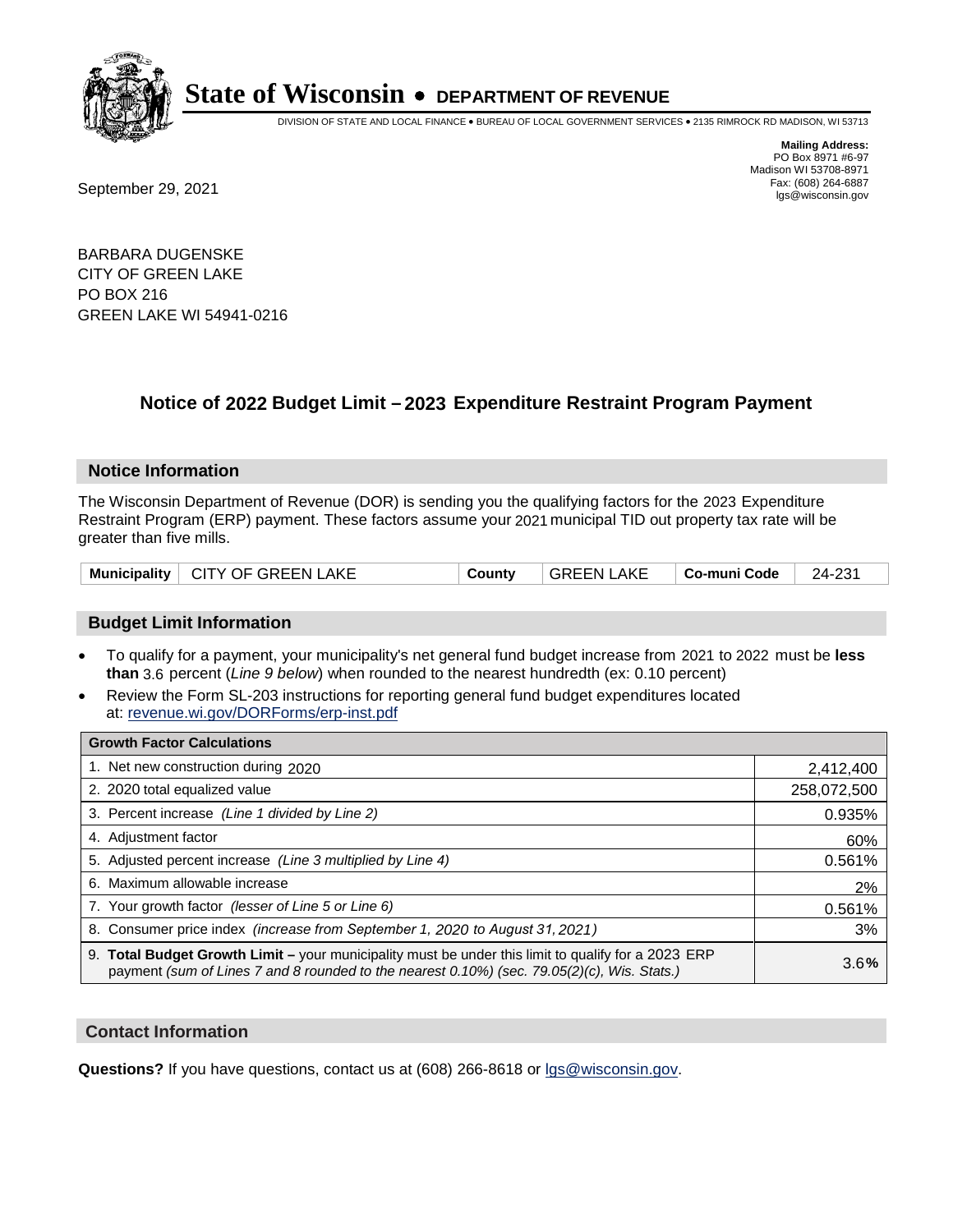

DIVISION OF STATE AND LOCAL FINANCE • BUREAU OF LOCAL GOVERNMENT SERVICES • 2135 RIMROCK RD MADISON, WI 53713

Fax: (608) 264-6887<br>
September 29, 2021 and the state of the state of the state of the state of the state of the state of the state of the state of the state of the state of the state of the state of the state of the state

**Mailing Address:** PO Box 8971 #6-97 Madison WI 53708-8971<br>Fax: (608) 264-6887

BARBARA DUGENSKE CITY OF GREEN LAKE PO BOX 216 GREEN LAKE WI 54941-0216

## **Notice of 2022 Budget Limit - 2023 Expenditure Restraint Program Payment**

#### **Notice Information**

The Wisconsin Department of Revenue (DOR) is sending you the qualifying factors for the 2023 Expenditure Restraint Program (ERP) payment. These factors assume your 2021 municipal TID out property tax rate will be greater than five mills.

### **Budget Limit Information**

- To qualify for a payment, your municipality's net general fund budget increase from 2021 to 2022 must be less **than** 3.6 percent (*Line 9 below*) when rounded to the nearest hundredth (ex: 0.10 percent)
- Review the Form SL-203 instructions for reporting general fund budget expenditures located at: revenue.wi.gov/DORForms/erp-inst.pdf

| <b>Growth Factor Calculations</b>                                                                                                                                                                  |             |
|----------------------------------------------------------------------------------------------------------------------------------------------------------------------------------------------------|-------------|
| 1. Net new construction during 2020                                                                                                                                                                | 2,412,400   |
| 2. 2020 total equalized value                                                                                                                                                                      | 258,072,500 |
| 3. Percent increase (Line 1 divided by Line 2)                                                                                                                                                     | 0.935%      |
| 4. Adiustment factor                                                                                                                                                                               | 60%         |
| 5. Adjusted percent increase (Line 3 multiplied by Line 4)                                                                                                                                         | 0.561%      |
| 6. Maximum allowable increase                                                                                                                                                                      | 2%          |
| 7. Your growth factor (lesser of Line 5 or Line 6)                                                                                                                                                 | 0.561%      |
| 8. Consumer price index (increase from September 1, 2020 to August 31, 2021)                                                                                                                       | 3%          |
| 9. Total Budget Growth Limit - your municipality must be under this limit to qualify for a 2023 ERP<br>payment (sum of Lines 7 and 8 rounded to the nearest 0.10%) (sec. 79.05(2)(c), Wis. Stats.) | 3.6%        |

#### **Contact Information**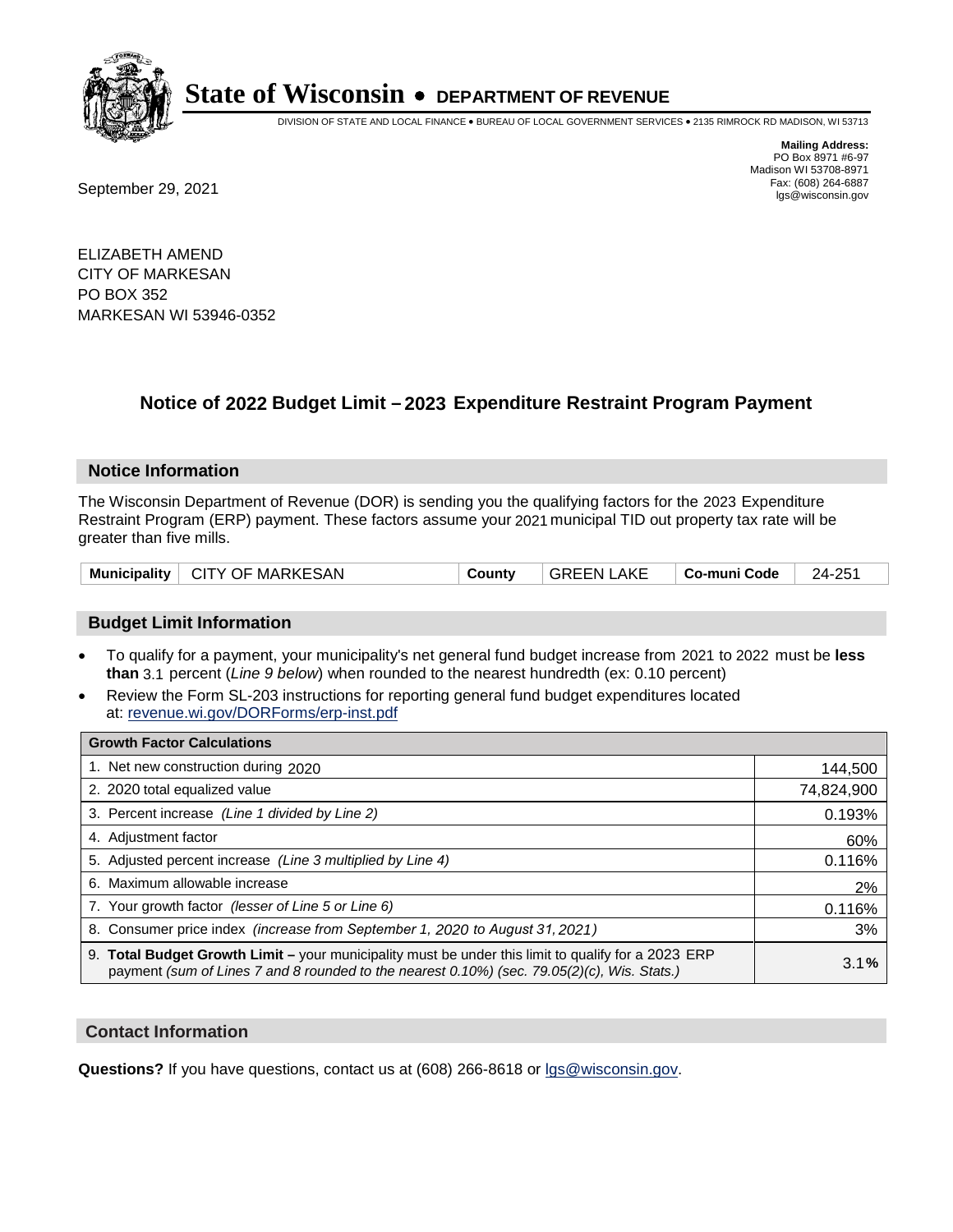

DIVISION OF STATE AND LOCAL FINANCE • BUREAU OF LOCAL GOVERNMENT SERVICES • 2135 RIMROCK RD MADISON, WI 53713

Fax: (608) 264-6887<br>
September 29, 2021 and the state of the state of the state of the state of the state of the state of the state of the state of the state of the state of the state of the state of the state of the state

**Mailing Address:** PO Box 8971 #6-97 Madison WI 53708-8971<br>Fax: (608) 264-6887

ELIZABETH AMEND CITY OF MARKESAN PO BOX 352 MARKESAN WI 53946-0352

## **Notice of 2022 Budget Limit - 2023 Expenditure Restraint Program Payment**

#### **Notice Information**

The Wisconsin Department of Revenue (DOR) is sending you the qualifying factors for the 2023 Expenditure Restraint Program (ERP) payment. These factors assume your 2021 municipal TID out property tax rate will be greater than five mills.

|  | Municipality   CITY OF MARKESAN | Countv | GREEN LAKE | ∣ Co-muni Code | 24-251 |
|--|---------------------------------|--------|------------|----------------|--------|
|--|---------------------------------|--------|------------|----------------|--------|

### **Budget Limit Information**

- To qualify for a payment, your municipality's net general fund budget increase from 2021 to 2022 must be less **than** 3.1 percent (*Line 9 below*) when rounded to the nearest hundredth (ex: 0.10 percent)
- Review the Form SL-203 instructions for reporting general fund budget expenditures located at: revenue.wi.gov/DORForms/erp-inst.pdf

| <b>Growth Factor Calculations</b>                                                                                                                                                                  |            |
|----------------------------------------------------------------------------------------------------------------------------------------------------------------------------------------------------|------------|
| 1. Net new construction during 2020                                                                                                                                                                | 144,500    |
| 2. 2020 total equalized value                                                                                                                                                                      | 74,824,900 |
| 3. Percent increase (Line 1 divided by Line 2)                                                                                                                                                     | 0.193%     |
| 4. Adjustment factor                                                                                                                                                                               | 60%        |
| 5. Adjusted percent increase (Line 3 multiplied by Line 4)                                                                                                                                         | 0.116%     |
| 6. Maximum allowable increase                                                                                                                                                                      | 2%         |
| 7. Your growth factor (lesser of Line 5 or Line 6)                                                                                                                                                 | 0.116%     |
| 8. Consumer price index (increase from September 1, 2020 to August 31, 2021)                                                                                                                       | 3%         |
| 9. Total Budget Growth Limit - your municipality must be under this limit to qualify for a 2023 ERP<br>payment (sum of Lines 7 and 8 rounded to the nearest 0.10%) (sec. 79.05(2)(c), Wis. Stats.) | 3.1%       |

#### **Contact Information**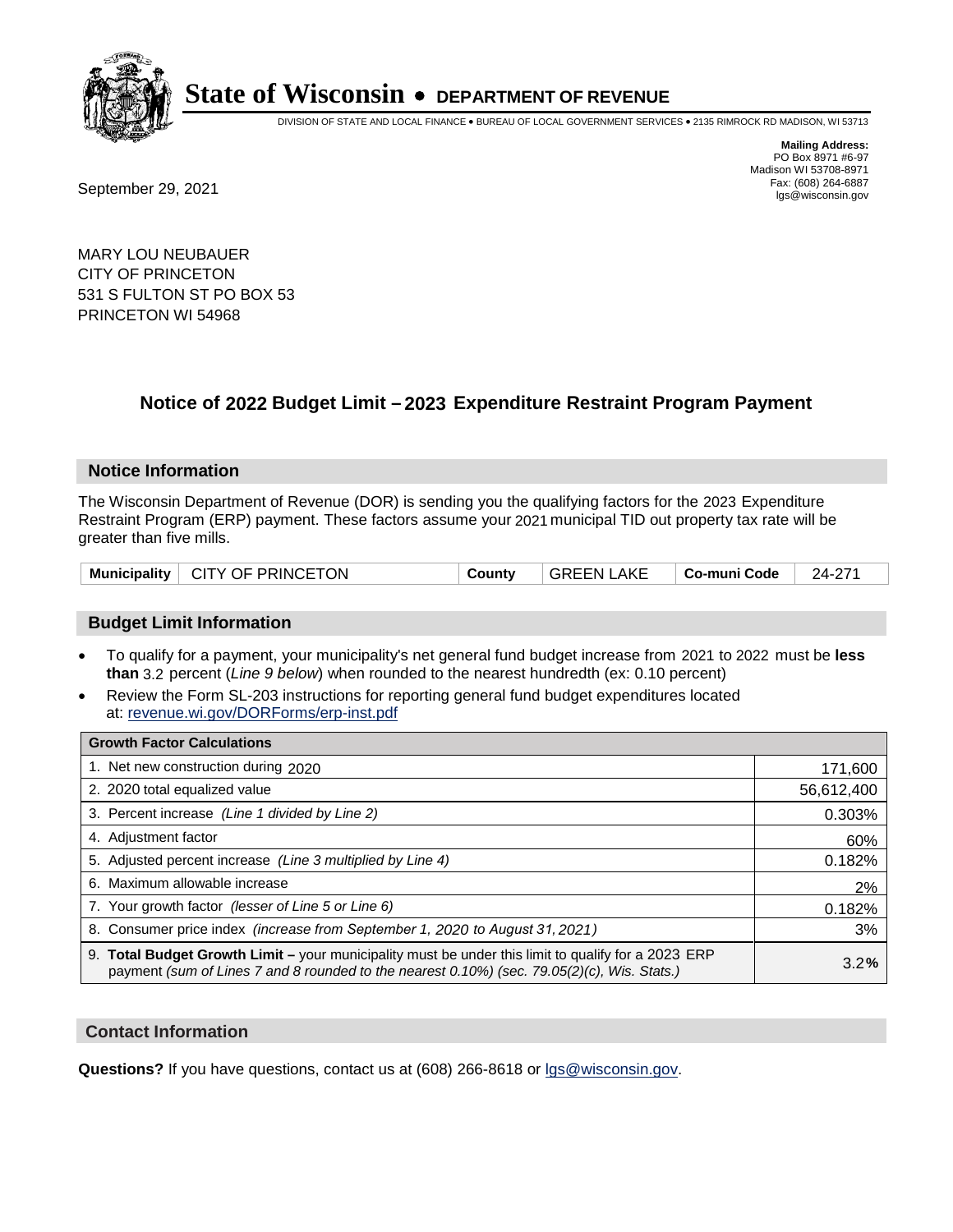

DIVISION OF STATE AND LOCAL FINANCE • BUREAU OF LOCAL GOVERNMENT SERVICES • 2135 RIMROCK RD MADISON, WI 53713

Fax: (608) 264-6887<br>
September 29, 2021 and the state of the state of the state of the state of the state of the state of the state of the state of the state of the state of the state of the state of the state of the state

**Mailing Address:** PO Box 8971 #6-97 Madison WI 53708-8971<br>Fax: (608) 264-6887

MARY LOU NEUBAUER CITY OF PRINCETON 531 S FULTON ST PO BOX 53 PRINCETON WI 54968

## **Notice of 2022 Budget Limit - 2023 Expenditure Restraint Program Payment**

#### **Notice Information**

The Wisconsin Department of Revenue (DOR) is sending you the qualifying factors for the 2023 Expenditure Restraint Program (ERP) payment. These factors assume your 2021 municipal TID out property tax rate will be greater than five mills.

#### **Budget Limit Information**

- To qualify for a payment, your municipality's net general fund budget increase from 2021 to 2022 must be less **than** 3.2 percent (*Line 9 below*) when rounded to the nearest hundredth (ex: 0.10 percent)
- Review the Form SL-203 instructions for reporting general fund budget expenditures located at: revenue.wi.gov/DORForms/erp-inst.pdf

| <b>Growth Factor Calculations</b>                                                                                                                                                                  |            |
|----------------------------------------------------------------------------------------------------------------------------------------------------------------------------------------------------|------------|
| 1. Net new construction during 2020                                                                                                                                                                | 171,600    |
| 2. 2020 total equalized value                                                                                                                                                                      | 56,612,400 |
| 3. Percent increase (Line 1 divided by Line 2)                                                                                                                                                     | 0.303%     |
| 4. Adjustment factor                                                                                                                                                                               | 60%        |
| 5. Adjusted percent increase (Line 3 multiplied by Line 4)                                                                                                                                         | 0.182%     |
| 6. Maximum allowable increase                                                                                                                                                                      | 2%         |
| 7. Your growth factor (lesser of Line 5 or Line 6)                                                                                                                                                 | 0.182%     |
| 8. Consumer price index (increase from September 1, 2020 to August 31, 2021)                                                                                                                       | 3%         |
| 9. Total Budget Growth Limit – your municipality must be under this limit to qualify for a 2023 ERP<br>payment (sum of Lines 7 and 8 rounded to the nearest 0.10%) (sec. 79.05(2)(c), Wis. Stats.) | 3.2%       |

#### **Contact Information**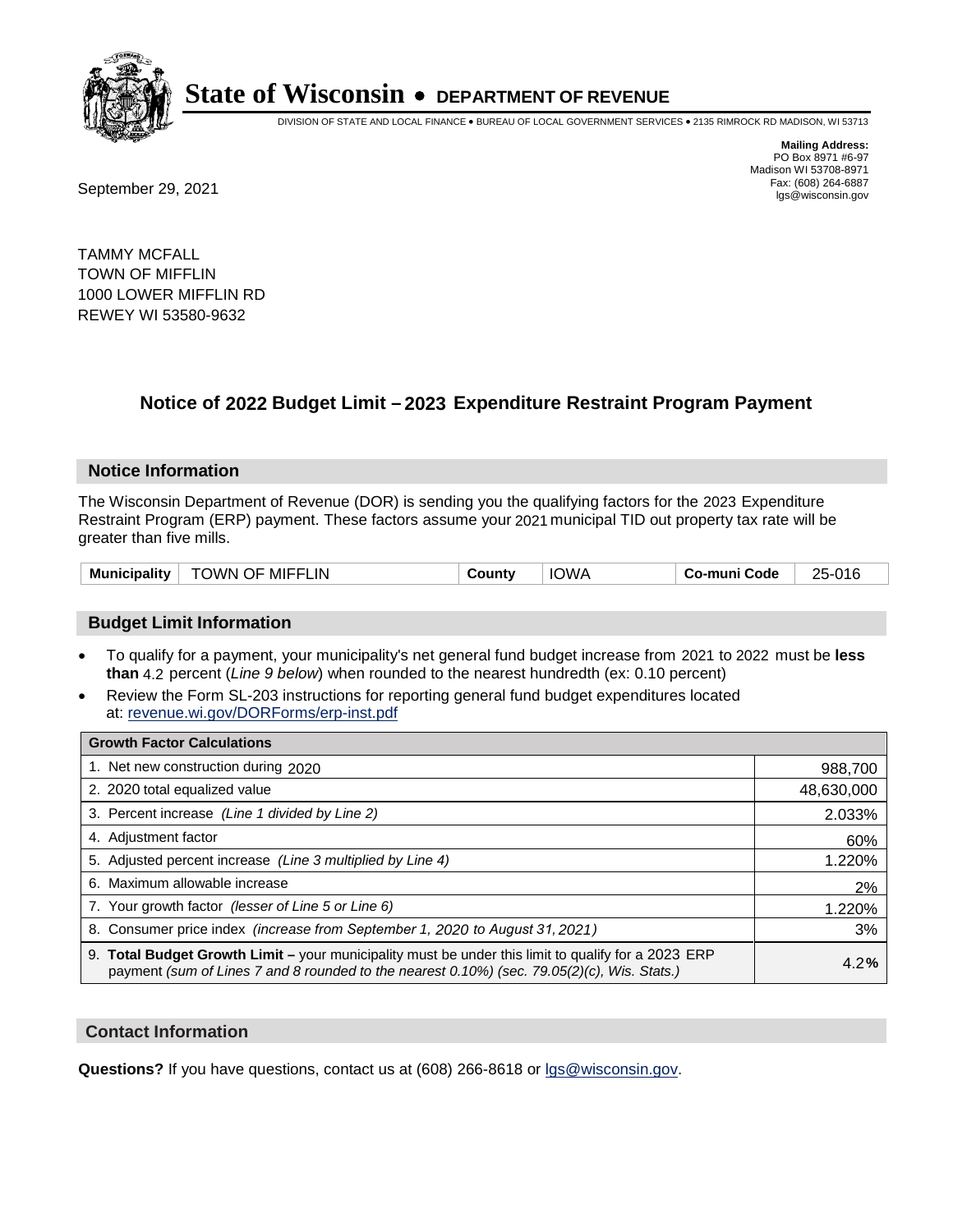

DIVISION OF STATE AND LOCAL FINANCE • BUREAU OF LOCAL GOVERNMENT SERVICES • 2135 RIMROCK RD MADISON, WI 53713

**Mailing Address:** PO Box 8971 #6-97 Madison WI 53708-8971<br>Fax: (608) 264-6887

Fax: (608) 264-6887<br>
September 29, 2021 and the state of the state of the state of the state of the state of the state of the state of the state of the state of the state of the state of the state of the state of the state

TAMMY MCFALL TOWN OF MIFFLIN 1000 LOWER MIFFLIN RD REWEY WI 53580-9632

## **Notice of 2022 Budget Limit - 2023 Expenditure Restraint Program Payment**

#### **Notice Information**

The Wisconsin Department of Revenue (DOR) is sending you the qualifying factors for the 2023 Expenditure Restraint Program (ERP) payment. These factors assume your 2021 municipal TID out property tax rate will be greater than five mills.

| <b>Municipality</b> | TOWN OF MIFFLIN | County | <b>IOWA</b> | Co-muni Code | 25-016 |
|---------------------|-----------------|--------|-------------|--------------|--------|
|---------------------|-----------------|--------|-------------|--------------|--------|

### **Budget Limit Information**

- To qualify for a payment, your municipality's net general fund budget increase from 2021 to 2022 must be less **than** 4.2 percent (*Line 9 below*) when rounded to the nearest hundredth (ex: 0.10 percent)
- Review the Form SL-203 instructions for reporting general fund budget expenditures located at: revenue.wi.gov/DORForms/erp-inst.pdf

| <b>Growth Factor Calculations</b>                                                                                                                                                                  |            |
|----------------------------------------------------------------------------------------------------------------------------------------------------------------------------------------------------|------------|
| 1. Net new construction during 2020                                                                                                                                                                | 988,700    |
| 2. 2020 total equalized value                                                                                                                                                                      | 48,630,000 |
| 3. Percent increase (Line 1 divided by Line 2)                                                                                                                                                     | 2.033%     |
| 4. Adjustment factor                                                                                                                                                                               | 60%        |
| 5. Adjusted percent increase (Line 3 multiplied by Line 4)                                                                                                                                         | 1.220%     |
| 6. Maximum allowable increase                                                                                                                                                                      | 2%         |
| 7. Your growth factor (lesser of Line 5 or Line 6)                                                                                                                                                 | 1.220%     |
| 8. Consumer price index (increase from September 1, 2020 to August 31, 2021)                                                                                                                       | 3%         |
| 9. Total Budget Growth Limit - your municipality must be under this limit to qualify for a 2023 ERP<br>payment (sum of Lines 7 and 8 rounded to the nearest 0.10%) (sec. 79.05(2)(c), Wis. Stats.) | 4.2%       |

#### **Contact Information**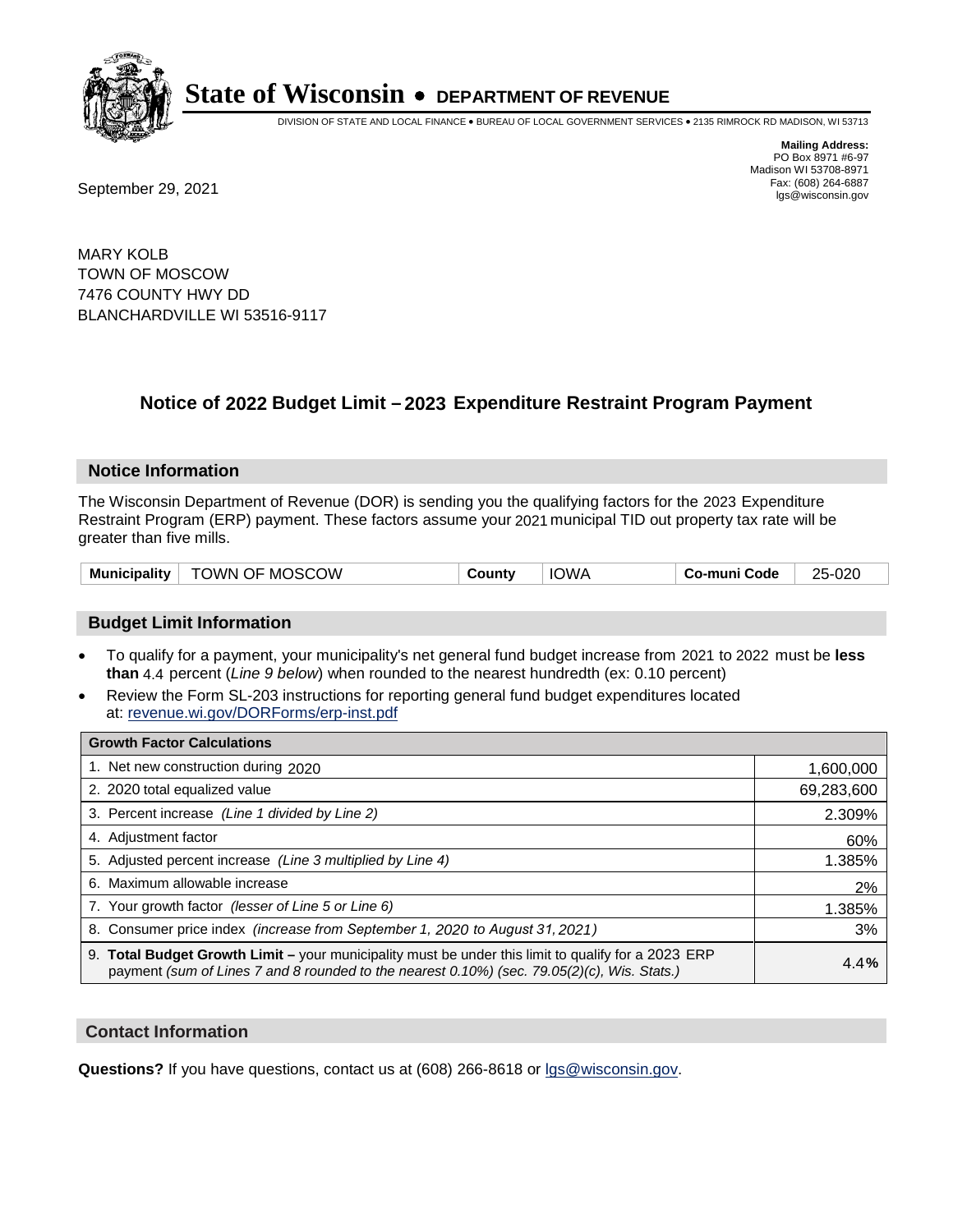

DIVISION OF STATE AND LOCAL FINANCE • BUREAU OF LOCAL GOVERNMENT SERVICES • 2135 RIMROCK RD MADISON, WI 53713

Fax: (608) 264-6887<br>
September 29, 2021 and the state of the state of the state of the state of the state of the state of the state of the state of the state of the state of the state of the state of the state of the state

**Mailing Address:** PO Box 8971 #6-97 Madison WI 53708-8971<br>Fax: (608) 264-6887

MARY KOLB TOWN OF MOSCOW 7476 COUNTY HWY DD BLANCHARDVILLE WI 53516-9117

## **Notice of 2022 Budget Limit - 2023 Expenditure Restraint Program Payment**

#### **Notice Information**

The Wisconsin Department of Revenue (DOR) is sending you the qualifying factors for the 2023 Expenditure Restraint Program (ERP) payment. These factors assume your 2021 municipal TID out property tax rate will be greater than five mills.

#### **Budget Limit Information**

- To qualify for a payment, your municipality's net general fund budget increase from 2021 to 2022 must be less **than** 4.4 percent (*Line 9 below*) when rounded to the nearest hundredth (ex: 0.10 percent)
- Review the Form SL-203 instructions for reporting general fund budget expenditures located at: revenue.wi.gov/DORForms/erp-inst.pdf

| <b>Growth Factor Calculations</b>                                                                                                                                                                  |            |
|----------------------------------------------------------------------------------------------------------------------------------------------------------------------------------------------------|------------|
| 1. Net new construction during 2020                                                                                                                                                                | 1,600,000  |
| 2. 2020 total equalized value                                                                                                                                                                      | 69,283,600 |
| 3. Percent increase (Line 1 divided by Line 2)                                                                                                                                                     | 2.309%     |
| 4. Adiustment factor                                                                                                                                                                               | 60%        |
| 5. Adjusted percent increase (Line 3 multiplied by Line 4)                                                                                                                                         | 1.385%     |
| 6. Maximum allowable increase                                                                                                                                                                      | 2%         |
| 7. Your growth factor (lesser of Line 5 or Line 6)                                                                                                                                                 | 1.385%     |
| 8. Consumer price index (increase from September 1, 2020 to August 31, 2021)                                                                                                                       | 3%         |
| 9. Total Budget Growth Limit - your municipality must be under this limit to qualify for a 2023 ERP<br>payment (sum of Lines 7 and 8 rounded to the nearest 0.10%) (sec. 79.05(2)(c), Wis. Stats.) | 4.4%       |

#### **Contact Information**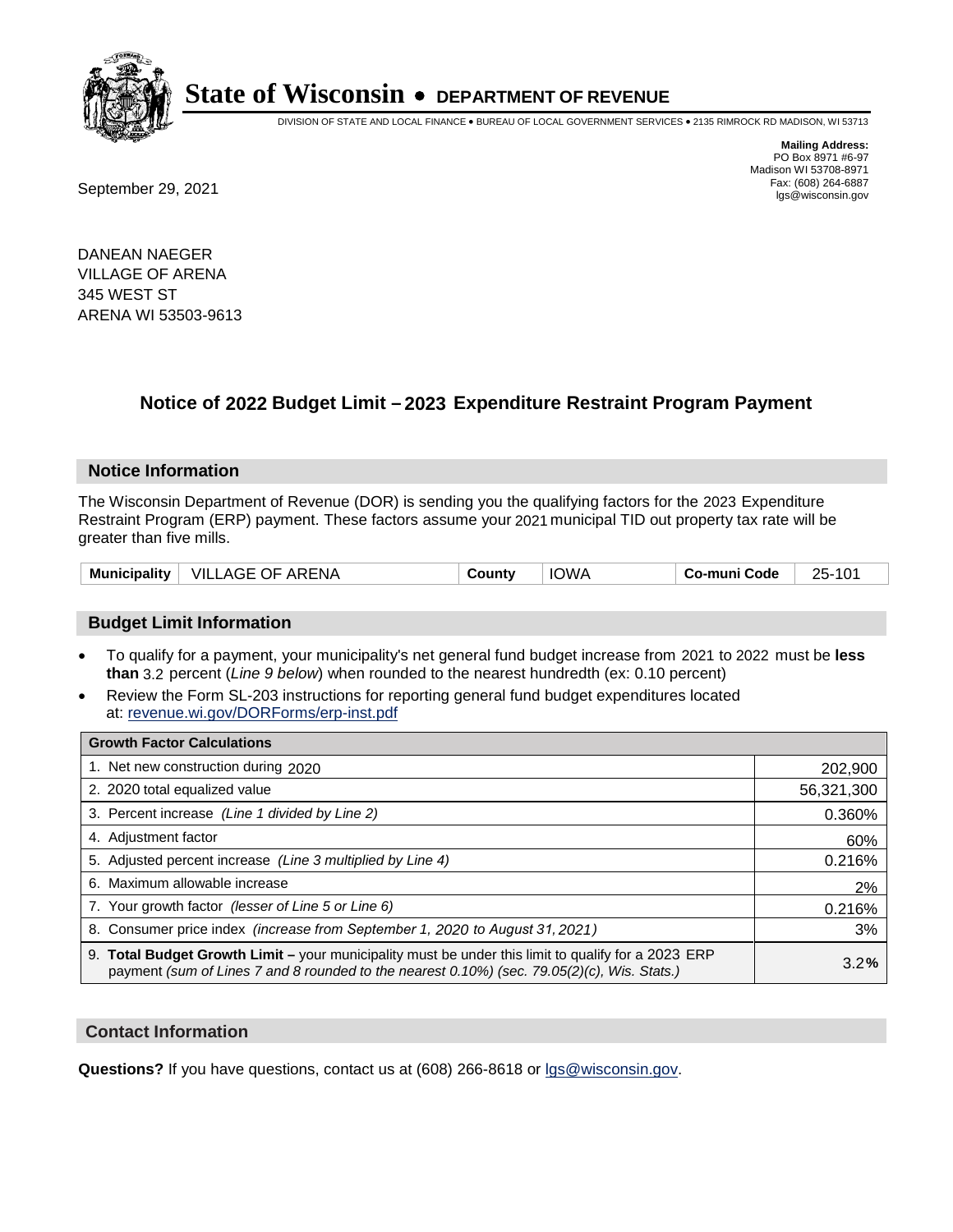

DIVISION OF STATE AND LOCAL FINANCE • BUREAU OF LOCAL GOVERNMENT SERVICES • 2135 RIMROCK RD MADISON, WI 53713

**Mailing Address:** PO Box 8971 #6-97 Madison WI 53708-8971<br>Fax: (608) 264-6887

Fax: (608) 264-6887<br>
September 29, 2021 and the state of the state of the state of the state of the state of the state of the state of the state of the state of the state of the state of the state of the state of the state

DANEAN NAEGER VILLAGE OF ARENA 345 WEST ST ARENA WI 53503-9613

## **Notice of 2022 Budget Limit - 2023 Expenditure Restraint Program Payment**

#### **Notice Information**

The Wisconsin Department of Revenue (DOR) is sending you the qualifying factors for the 2023 Expenditure Restraint Program (ERP) payment. These factors assume your 2021 municipal TID out property tax rate will be greater than five mills.

| Municipality | <b>VILLAGE OF ARENA</b> | County | <b>IOWA</b> | Co-muni Code | $25-$ |
|--------------|-------------------------|--------|-------------|--------------|-------|
|--------------|-------------------------|--------|-------------|--------------|-------|

### **Budget Limit Information**

- To qualify for a payment, your municipality's net general fund budget increase from 2021 to 2022 must be less **than** 3.2 percent (*Line 9 below*) when rounded to the nearest hundredth (ex: 0.10 percent)
- Review the Form SL-203 instructions for reporting general fund budget expenditures located at: revenue.wi.gov/DORForms/erp-inst.pdf

| <b>Growth Factor Calculations</b>                                                                                                                                                                  |            |
|----------------------------------------------------------------------------------------------------------------------------------------------------------------------------------------------------|------------|
| 1. Net new construction during 2020                                                                                                                                                                | 202,900    |
| 2. 2020 total equalized value                                                                                                                                                                      | 56,321,300 |
| 3. Percent increase (Line 1 divided by Line 2)                                                                                                                                                     | 0.360%     |
| 4. Adiustment factor                                                                                                                                                                               | 60%        |
| 5. Adjusted percent increase (Line 3 multiplied by Line 4)                                                                                                                                         | 0.216%     |
| 6. Maximum allowable increase                                                                                                                                                                      | 2%         |
| 7. Your growth factor (lesser of Line 5 or Line 6)                                                                                                                                                 | 0.216%     |
| 8. Consumer price index (increase from September 1, 2020 to August 31, 2021)                                                                                                                       | 3%         |
| 9. Total Budget Growth Limit – your municipality must be under this limit to qualify for a 2023 ERP<br>payment (sum of Lines 7 and 8 rounded to the nearest 0.10%) (sec. 79.05(2)(c), Wis. Stats.) | 3.2%       |

#### **Contact Information**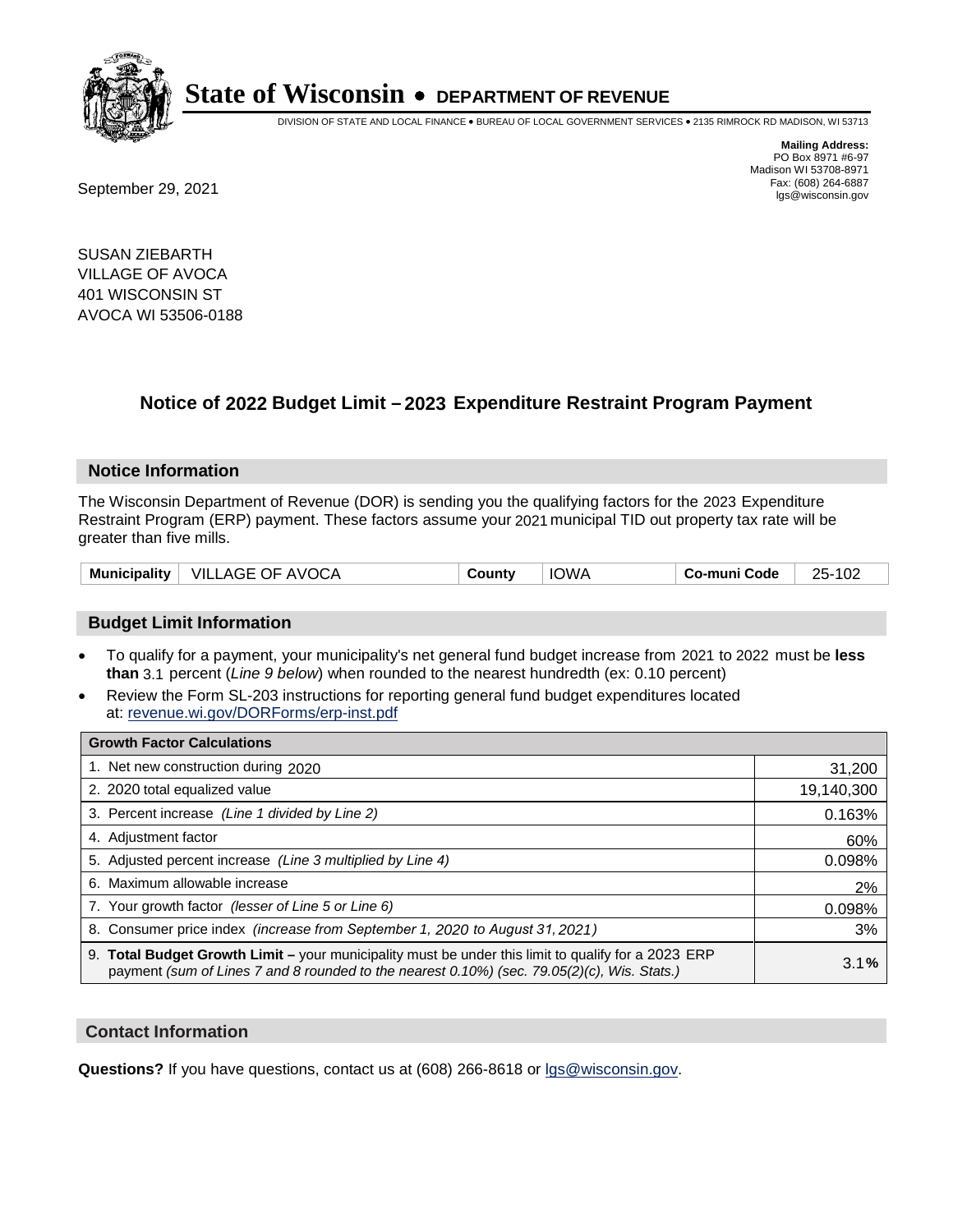

DIVISION OF STATE AND LOCAL FINANCE • BUREAU OF LOCAL GOVERNMENT SERVICES • 2135 RIMROCK RD MADISON, WI 53713

Fax: (608) 264-6887<br>
September 29, 2021 and the state of the state of the state of the state of the state of the state of the state of the state of the state of the state of the state of the state of the state of the state

**Mailing Address:** PO Box 8971 #6-97 Madison WI 53708-8971<br>Fax: (608) 264-6887

SUSAN ZIEBARTH VILLAGE OF AVOCA 401 WISCONSIN ST AVOCA WI 53506-0188

## **Notice of 2022 Budget Limit - 2023 Expenditure Restraint Program Payment**

#### **Notice Information**

The Wisconsin Department of Revenue (DOR) is sending you the qualifying factors for the 2023 Expenditure Restraint Program (ERP) payment. These factors assume your 2021 municipal TID out property tax rate will be greater than five mills.

|  | Municipality   VILLAGE OF AVOCA | Countv | <b>IOWA</b> | Co-muni Code | 25-102 |
|--|---------------------------------|--------|-------------|--------------|--------|
|--|---------------------------------|--------|-------------|--------------|--------|

#### **Budget Limit Information**

- To qualify for a payment, your municipality's net general fund budget increase from 2021 to 2022 must be less **than** 3.1 percent (*Line 9 below*) when rounded to the nearest hundredth (ex: 0.10 percent)
- Review the Form SL-203 instructions for reporting general fund budget expenditures located at: revenue.wi.gov/DORForms/erp-inst.pdf

| <b>Growth Factor Calculations</b>                                                                                                                                                                  |            |
|----------------------------------------------------------------------------------------------------------------------------------------------------------------------------------------------------|------------|
| 1. Net new construction during 2020                                                                                                                                                                | 31,200     |
| 2. 2020 total equalized value                                                                                                                                                                      | 19,140,300 |
| 3. Percent increase (Line 1 divided by Line 2)                                                                                                                                                     | 0.163%     |
| 4. Adjustment factor                                                                                                                                                                               | 60%        |
| 5. Adjusted percent increase (Line 3 multiplied by Line 4)                                                                                                                                         | 0.098%     |
| 6. Maximum allowable increase                                                                                                                                                                      | 2%         |
| 7. Your growth factor (lesser of Line 5 or Line 6)                                                                                                                                                 | 0.098%     |
| 8. Consumer price index (increase from September 1, 2020 to August 31, 2021)                                                                                                                       | 3%         |
| 9. Total Budget Growth Limit - your municipality must be under this limit to qualify for a 2023 ERP<br>payment (sum of Lines 7 and 8 rounded to the nearest 0.10%) (sec. 79.05(2)(c), Wis. Stats.) | 3.1%       |

#### **Contact Information**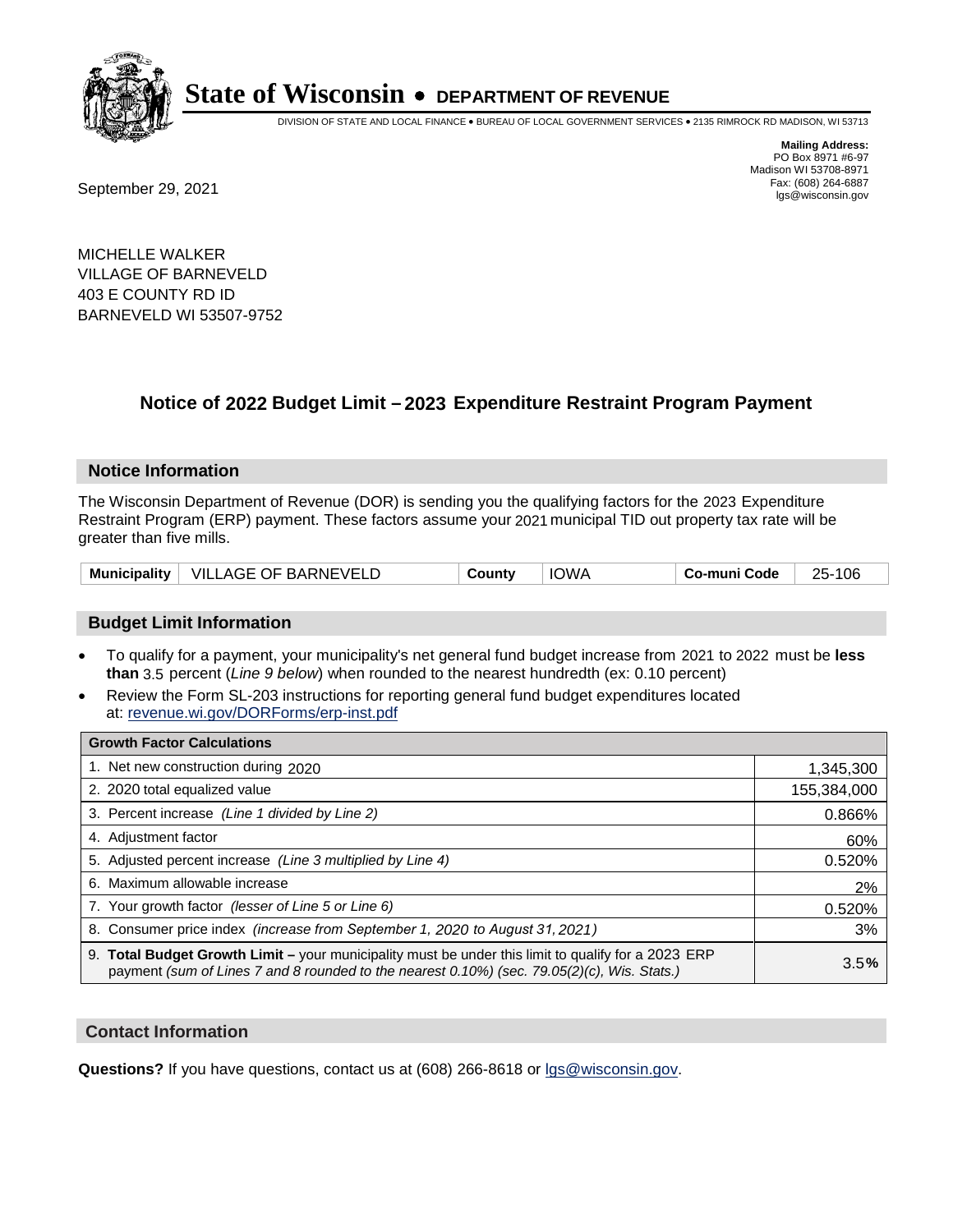

DIVISION OF STATE AND LOCAL FINANCE • BUREAU OF LOCAL GOVERNMENT SERVICES • 2135 RIMROCK RD MADISON, WI 53713

Fax: (608) 264-6887<br>
September 29, 2021 and the state of the state of the state of the state of the state of the state of the state of the state of the state of the state of the state of the state of the state of the state

**Mailing Address:** PO Box 8971 #6-97 Madison WI 53708-8971<br>Fax: (608) 264-6887

MICHELLE WALKER VILLAGE OF BARNEVELD 403 E COUNTY RD ID BARNEVELD WI 53507-9752

## **Notice of 2022 Budget Limit - 2023 Expenditure Restraint Program Payment**

#### **Notice Information**

The Wisconsin Department of Revenue (DOR) is sending you the qualifying factors for the 2023 Expenditure Restraint Program (ERP) payment. These factors assume your 2021 municipal TID out property tax rate will be greater than five mills.

| Municipality   VILLAGE OF BARNEVELD |  | County | <b>IOWA</b> | Co-muni Code | 25-106 |
|-------------------------------------|--|--------|-------------|--------------|--------|
|-------------------------------------|--|--------|-------------|--------------|--------|

### **Budget Limit Information**

- To qualify for a payment, your municipality's net general fund budget increase from 2021 to 2022 must be less **than** 3.5 percent (*Line 9 below*) when rounded to the nearest hundredth (ex: 0.10 percent)
- Review the Form SL-203 instructions for reporting general fund budget expenditures located at: revenue.wi.gov/DORForms/erp-inst.pdf

| <b>Growth Factor Calculations</b>                                                                                                                                                                  |             |
|----------------------------------------------------------------------------------------------------------------------------------------------------------------------------------------------------|-------------|
| 1. Net new construction during 2020                                                                                                                                                                | 1,345,300   |
| 2. 2020 total equalized value                                                                                                                                                                      | 155,384,000 |
| 3. Percent increase (Line 1 divided by Line 2)                                                                                                                                                     | 0.866%      |
| 4. Adjustment factor                                                                                                                                                                               | 60%         |
| 5. Adjusted percent increase (Line 3 multiplied by Line 4)                                                                                                                                         | 0.520%      |
| 6. Maximum allowable increase                                                                                                                                                                      | 2%          |
| 7. Your growth factor (lesser of Line 5 or Line 6)                                                                                                                                                 | 0.520%      |
| 8. Consumer price index (increase from September 1, 2020 to August 31, 2021)                                                                                                                       | 3%          |
| 9. Total Budget Growth Limit - your municipality must be under this limit to qualify for a 2023 ERP<br>payment (sum of Lines 7 and 8 rounded to the nearest 0.10%) (sec. 79.05(2)(c), Wis. Stats.) | 3.5%        |

#### **Contact Information**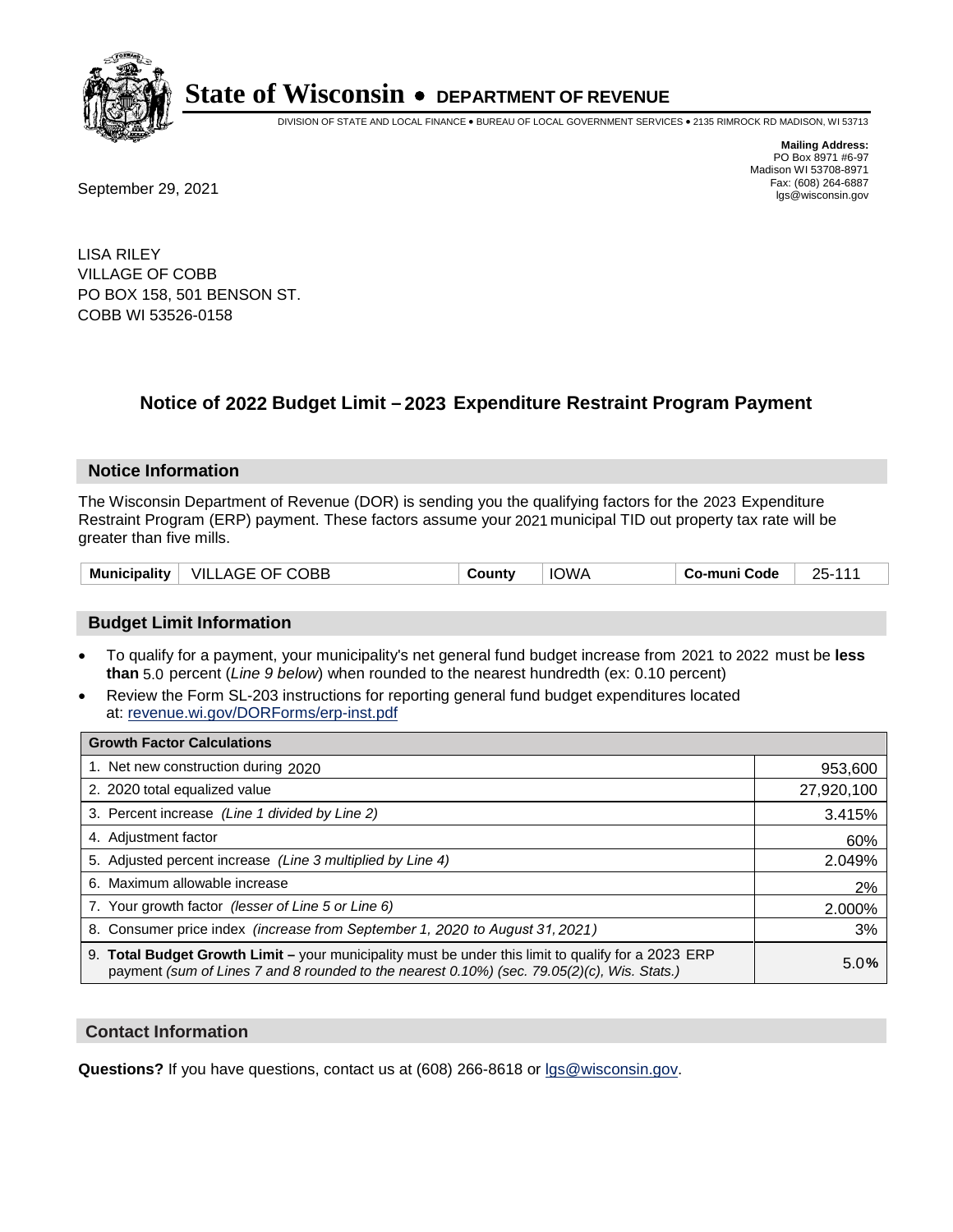

DIVISION OF STATE AND LOCAL FINANCE • BUREAU OF LOCAL GOVERNMENT SERVICES • 2135 RIMROCK RD MADISON, WI 53713

**Mailing Address:** PO Box 8971 #6-97 Madison WI 53708-8971<br>Fax: (608) 264-6887

Fax: (608) 264-6887<br>
September 29, 2021 and the state of the state of the state of the state of the state of the state of the state of the state of the state of the state of the state of the state of the state of the state

LISA RILEY VILLAGE OF COBB PO BOX 158, 501 BENSON ST. COBB WI 53526-0158

## **Notice of 2022 Budget Limit - 2023 Expenditure Restraint Program Payment**

#### **Notice Information**

The Wisconsin Department of Revenue (DOR) is sending you the qualifying factors for the 2023 Expenditure Restraint Program (ERP) payment. These factors assume your 2021 municipal TID out property tax rate will be greater than five mills.

| <b>Municipality</b> | $\mid$ VILLAGE OF COBB | County | <b>IOWA</b> | Co-muni Code | 25-111 |
|---------------------|------------------------|--------|-------------|--------------|--------|
|---------------------|------------------------|--------|-------------|--------------|--------|

#### **Budget Limit Information**

- To qualify for a payment, your municipality's net general fund budget increase from 2021 to 2022 must be less **than** 5.0 percent (*Line 9 below*) when rounded to the nearest hundredth (ex: 0.10 percent)
- Review the Form SL-203 instructions for reporting general fund budget expenditures located at: revenue.wi.gov/DORForms/erp-inst.pdf

| <b>Growth Factor Calculations</b>                                                                                                                                                                  |            |
|----------------------------------------------------------------------------------------------------------------------------------------------------------------------------------------------------|------------|
| 1. Net new construction during 2020                                                                                                                                                                | 953,600    |
| 2. 2020 total equalized value                                                                                                                                                                      | 27,920,100 |
| 3. Percent increase (Line 1 divided by Line 2)                                                                                                                                                     | 3.415%     |
| 4. Adiustment factor                                                                                                                                                                               | 60%        |
| 5. Adjusted percent increase (Line 3 multiplied by Line 4)                                                                                                                                         | 2.049%     |
| 6. Maximum allowable increase                                                                                                                                                                      | 2%         |
| 7. Your growth factor (lesser of Line 5 or Line 6)                                                                                                                                                 | 2.000%     |
| 8. Consumer price index (increase from September 1, 2020 to August 31, 2021)                                                                                                                       | 3%         |
| 9. Total Budget Growth Limit - your municipality must be under this limit to qualify for a 2023 ERP<br>payment (sum of Lines 7 and 8 rounded to the nearest 0.10%) (sec. 79.05(2)(c), Wis. Stats.) | 5.0%       |

#### **Contact Information**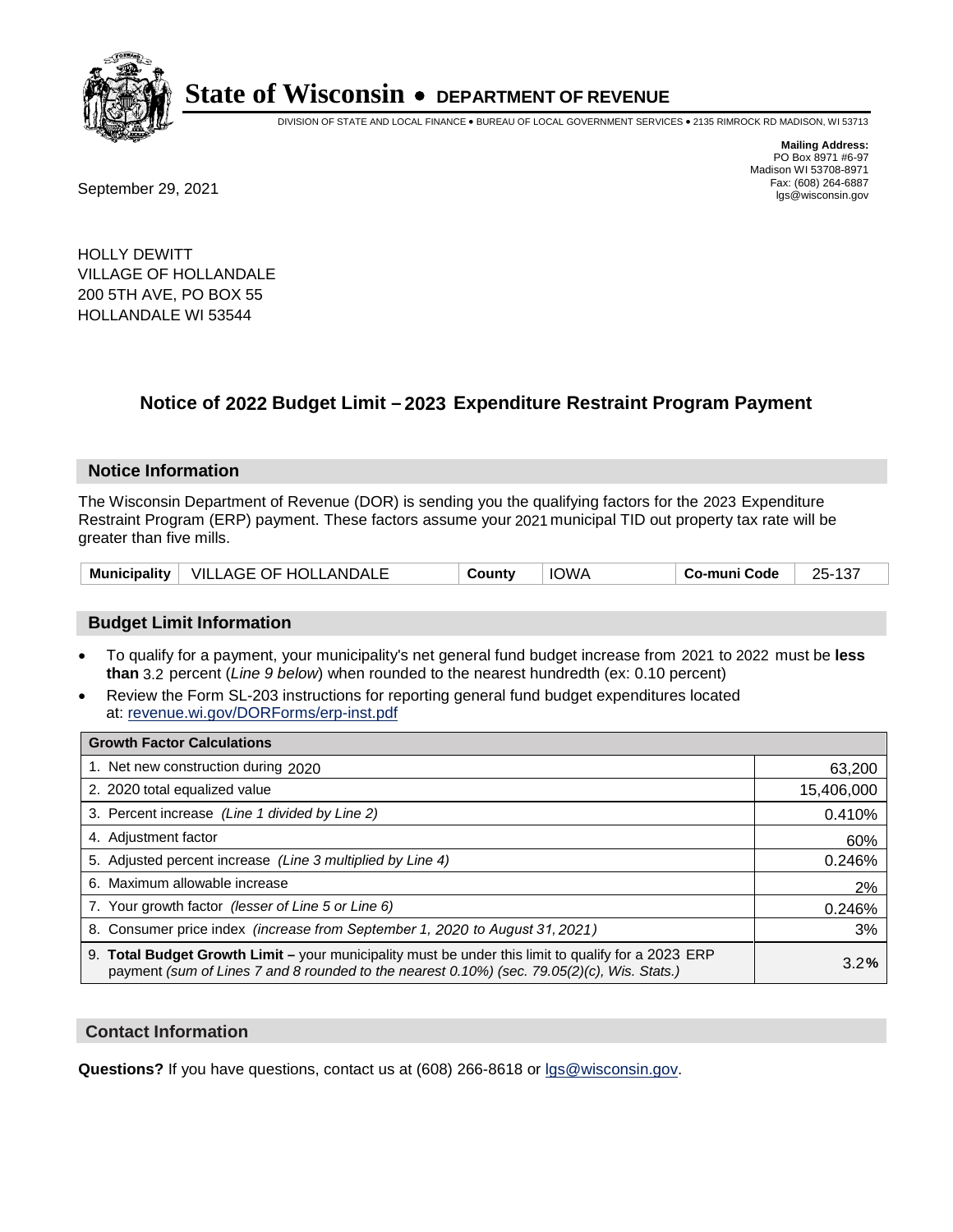

DIVISION OF STATE AND LOCAL FINANCE • BUREAU OF LOCAL GOVERNMENT SERVICES • 2135 RIMROCK RD MADISON, WI 53713

Fax: (608) 264-6887<br>
September 29, 2021 and the state of the state of the state of the state of the state of the state of the state of the state of the state of the state of the state of the state of the state of the state

**Mailing Address:** PO Box 8971 #6-97 Madison WI 53708-8971<br>Fax: (608) 264-6887

HOLLY DEWITT VILLAGE OF HOLLANDALE 200 5TH AVE, PO BOX 55 HOLLANDALE WI 53544

## **Notice of 2022 Budget Limit - 2023 Expenditure Restraint Program Payment**

#### **Notice Information**

The Wisconsin Department of Revenue (DOR) is sending you the qualifying factors for the 2023 Expenditure Restraint Program (ERP) payment. These factors assume your 2021 municipal TID out property tax rate will be greater than five mills.

|  | Municipality   VILLAGE OF HOLLANDALE | County | IOWA | <b>Co-muni Code</b> | $\sim$<br>$25-1$<br>. د ۱ |
|--|--------------------------------------|--------|------|---------------------|---------------------------|
|--|--------------------------------------|--------|------|---------------------|---------------------------|

#### **Budget Limit Information**

- To qualify for a payment, your municipality's net general fund budget increase from 2021 to 2022 must be less **than** 3.2 percent (*Line 9 below*) when rounded to the nearest hundredth (ex: 0.10 percent)
- Review the Form SL-203 instructions for reporting general fund budget expenditures located at: revenue.wi.gov/DORForms/erp-inst.pdf

| <b>Growth Factor Calculations</b>                                                                                                                                                                  |            |
|----------------------------------------------------------------------------------------------------------------------------------------------------------------------------------------------------|------------|
| 1. Net new construction during 2020                                                                                                                                                                | 63,200     |
| 2. 2020 total equalized value                                                                                                                                                                      | 15,406,000 |
| 3. Percent increase (Line 1 divided by Line 2)                                                                                                                                                     | 0.410%     |
| 4. Adjustment factor                                                                                                                                                                               | 60%        |
| 5. Adjusted percent increase (Line 3 multiplied by Line 4)                                                                                                                                         | 0.246%     |
| 6. Maximum allowable increase                                                                                                                                                                      | 2%         |
| 7. Your growth factor (lesser of Line 5 or Line 6)                                                                                                                                                 | 0.246%     |
| 8. Consumer price index (increase from September 1, 2020 to August 31, 2021)                                                                                                                       | 3%         |
| 9. Total Budget Growth Limit – your municipality must be under this limit to qualify for a 2023 ERP<br>payment (sum of Lines 7 and 8 rounded to the nearest 0.10%) (sec. 79.05(2)(c), Wis. Stats.) | 3.2%       |

#### **Contact Information**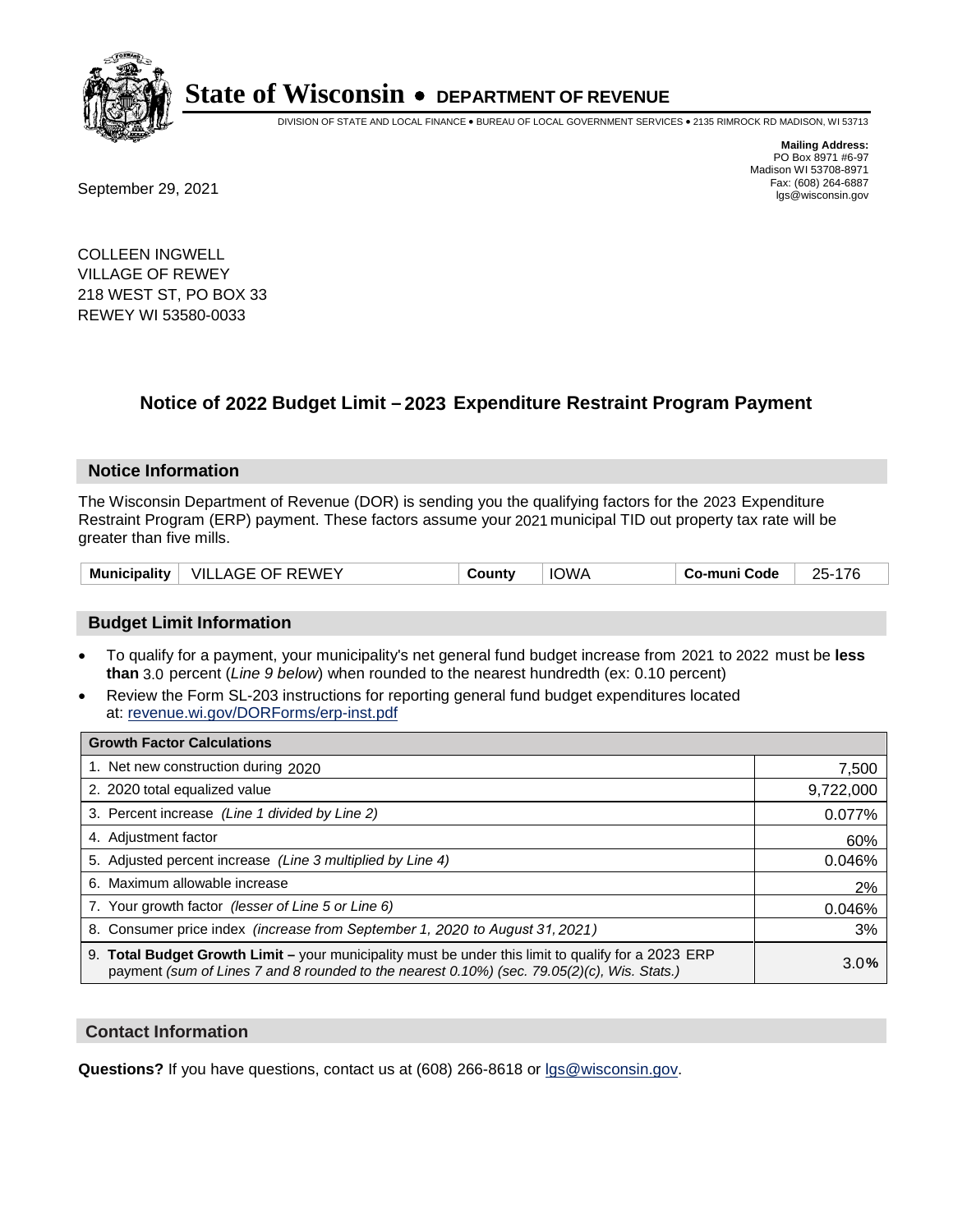

DIVISION OF STATE AND LOCAL FINANCE • BUREAU OF LOCAL GOVERNMENT SERVICES • 2135 RIMROCK RD MADISON, WI 53713

Fax: (608) 264-6887<br>
September 29, 2021 and the state of the state of the state of the state of the state of the state of the state of the state of the state of the state of the state of the state of the state of the state

**Mailing Address:** PO Box 8971 #6-97 Madison WI 53708-8971<br>Fax: (608) 264-6887

COLLEEN INGWELL VILLAGE OF REWEY 218 WEST ST, PO BOX 33 REWEY WI 53580-0033

## **Notice of 2022 Budget Limit - 2023 Expenditure Restraint Program Payment**

#### **Notice Information**

The Wisconsin Department of Revenue (DOR) is sending you the qualifying factors for the 2023 Expenditure Restraint Program (ERP) payment. These factors assume your 2021 municipal TID out property tax rate will be greater than five mills.

|  | Municipality   VILLAGE OF REWEY | County | <b>IOWA</b> | Co-muni Code | 25-176 |
|--|---------------------------------|--------|-------------|--------------|--------|
|--|---------------------------------|--------|-------------|--------------|--------|

#### **Budget Limit Information**

- To qualify for a payment, your municipality's net general fund budget increase from 2021 to 2022 must be less **than** 3.0 percent (*Line 9 below*) when rounded to the nearest hundredth (ex: 0.10 percent)
- Review the Form SL-203 instructions for reporting general fund budget expenditures located at: revenue.wi.gov/DORForms/erp-inst.pdf

| <b>Growth Factor Calculations</b>                                                                                                                                                                  |           |
|----------------------------------------------------------------------------------------------------------------------------------------------------------------------------------------------------|-----------|
| 1. Net new construction during 2020                                                                                                                                                                | 7,500     |
| 2. 2020 total equalized value                                                                                                                                                                      | 9,722,000 |
| 3. Percent increase (Line 1 divided by Line 2)                                                                                                                                                     | 0.077%    |
| 4. Adjustment factor                                                                                                                                                                               | 60%       |
| 5. Adjusted percent increase (Line 3 multiplied by Line 4)                                                                                                                                         | 0.046%    |
| 6. Maximum allowable increase                                                                                                                                                                      | 2%        |
| 7. Your growth factor (lesser of Line 5 or Line 6)                                                                                                                                                 | 0.046%    |
| 8. Consumer price index (increase from September 1, 2020 to August 31, 2021)                                                                                                                       | 3%        |
| 9. Total Budget Growth Limit - your municipality must be under this limit to qualify for a 2023 ERP<br>payment (sum of Lines 7 and 8 rounded to the nearest 0.10%) (sec. 79.05(2)(c), Wis. Stats.) | 3.0%      |

#### **Contact Information**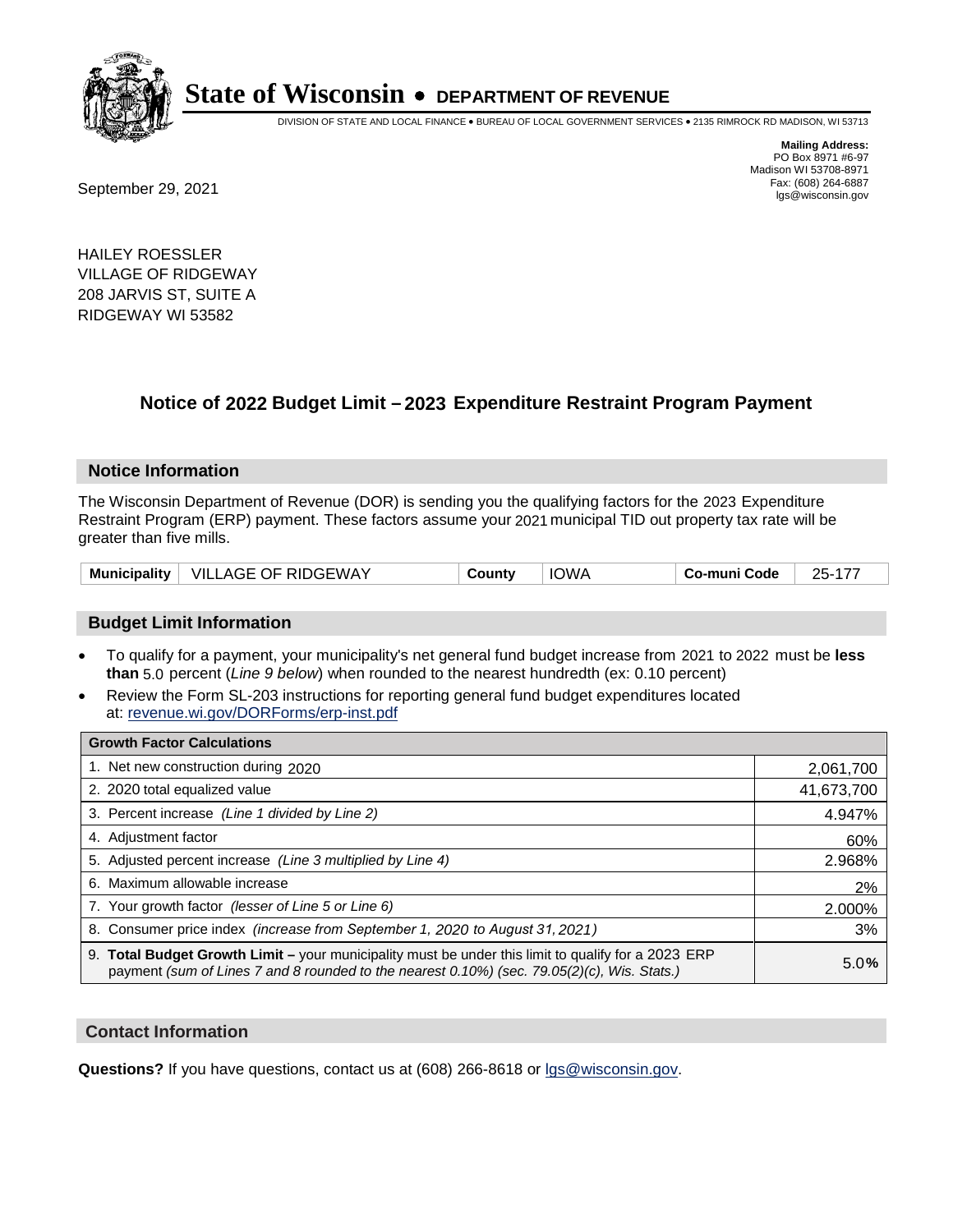

DIVISION OF STATE AND LOCAL FINANCE • BUREAU OF LOCAL GOVERNMENT SERVICES • 2135 RIMROCK RD MADISON, WI 53713

Fax: (608) 264-6887<br>
September 29, 2021 and the state of the state of the state of the state of the state of the state of the state of the state of the state of the state of the state of the state of the state of the state

**Mailing Address:** PO Box 8971 #6-97 Madison WI 53708-8971<br>Fax: (608) 264-6887

HAILEY ROESSLER VILLAGE OF RIDGEWAY 208 JARVIS ST, SUITE A RIDGEWAY WI 53582

## **Notice of 2022 Budget Limit - 2023 Expenditure Restraint Program Payment**

#### **Notice Information**

The Wisconsin Department of Revenue (DOR) is sending you the qualifying factors for the 2023 Expenditure Restraint Program (ERP) payment. These factors assume your 2021 municipal TID out property tax rate will be greater than five mills.

| VILLAGE OF RIDGEWAY<br><b>Municipality</b> | County | <b>IOWA</b> | Co-muni Code | 25-177 |
|--------------------------------------------|--------|-------------|--------------|--------|
|--------------------------------------------|--------|-------------|--------------|--------|

#### **Budget Limit Information**

- To qualify for a payment, your municipality's net general fund budget increase from 2021 to 2022 must be less **than** 5.0 percent (*Line 9 below*) when rounded to the nearest hundredth (ex: 0.10 percent)
- Review the Form SL-203 instructions for reporting general fund budget expenditures located at: revenue.wi.gov/DORForms/erp-inst.pdf

| <b>Growth Factor Calculations</b>                                                                                                                                                                  |            |
|----------------------------------------------------------------------------------------------------------------------------------------------------------------------------------------------------|------------|
| 1. Net new construction during 2020                                                                                                                                                                | 2,061,700  |
| 2. 2020 total equalized value                                                                                                                                                                      | 41,673,700 |
| 3. Percent increase (Line 1 divided by Line 2)                                                                                                                                                     | 4.947%     |
| 4. Adiustment factor                                                                                                                                                                               | 60%        |
| 5. Adjusted percent increase (Line 3 multiplied by Line 4)                                                                                                                                         | 2.968%     |
| 6. Maximum allowable increase                                                                                                                                                                      | 2%         |
| 7. Your growth factor (lesser of Line 5 or Line 6)                                                                                                                                                 | 2.000%     |
| 8. Consumer price index (increase from September 1, 2020 to August 31, 2021)                                                                                                                       | 3%         |
| 9. Total Budget Growth Limit - your municipality must be under this limit to qualify for a 2023 ERP<br>payment (sum of Lines 7 and 8 rounded to the nearest 0.10%) (sec. 79.05(2)(c), Wis. Stats.) | 5.0%       |

#### **Contact Information**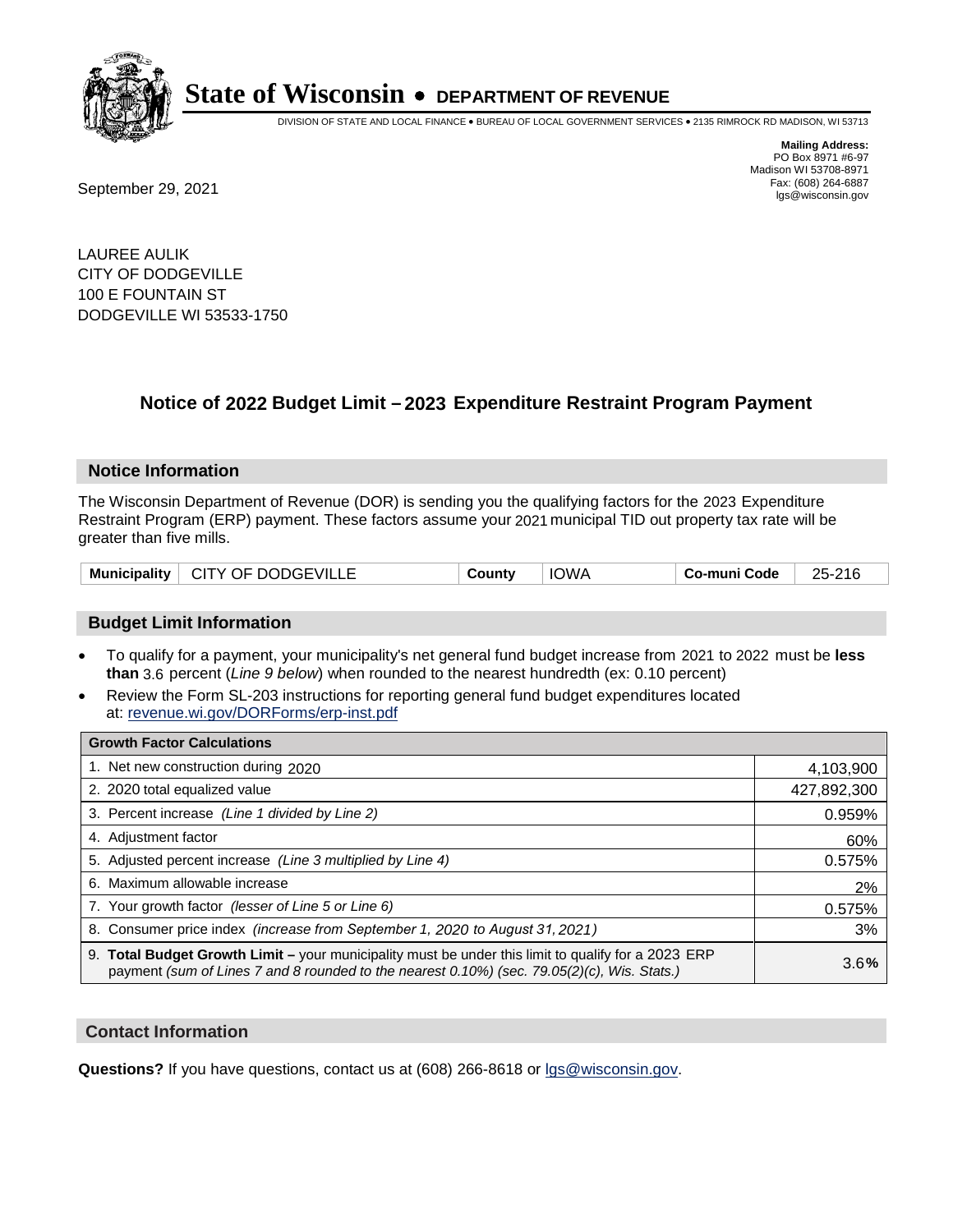

DIVISION OF STATE AND LOCAL FINANCE • BUREAU OF LOCAL GOVERNMENT SERVICES • 2135 RIMROCK RD MADISON, WI 53713

Fax: (608) 264-6887<br>
September 29, 2021 and the state of the state of the state of the state of the state of the state of the state of the state of the state of the state of the state of the state of the state of the state

**Mailing Address:** PO Box 8971 #6-97 Madison WI 53708-8971<br>Fax: (608) 264-6887

LAUREE AULIK CITY OF DODGEVILLE 100 E FOUNTAIN ST DODGEVILLE WI 53533-1750

## **Notice of 2022 Budget Limit - 2023 Expenditure Restraint Program Payment**

#### **Notice Information**

The Wisconsin Department of Revenue (DOR) is sending you the qualifying factors for the 2023 Expenditure Restraint Program (ERP) payment. These factors assume your 2021 municipal TID out property tax rate will be greater than five mills.

### **Budget Limit Information**

- To qualify for a payment, your municipality's net general fund budget increase from 2021 to 2022 must be less **than** 3.6 percent (*Line 9 below*) when rounded to the nearest hundredth (ex: 0.10 percent)
- Review the Form SL-203 instructions for reporting general fund budget expenditures located at: revenue.wi.gov/DORForms/erp-inst.pdf

| <b>Growth Factor Calculations</b>                                                                                                                                                                  |             |
|----------------------------------------------------------------------------------------------------------------------------------------------------------------------------------------------------|-------------|
| 1. Net new construction during 2020                                                                                                                                                                | 4,103,900   |
| 2. 2020 total equalized value                                                                                                                                                                      | 427,892,300 |
| 3. Percent increase (Line 1 divided by Line 2)                                                                                                                                                     | 0.959%      |
| 4. Adjustment factor                                                                                                                                                                               | 60%         |
| 5. Adjusted percent increase (Line 3 multiplied by Line 4)                                                                                                                                         | 0.575%      |
| 6. Maximum allowable increase                                                                                                                                                                      | 2%          |
| 7. Your growth factor (lesser of Line 5 or Line 6)                                                                                                                                                 | 0.575%      |
| 8. Consumer price index (increase from September 1, 2020 to August 31, 2021)                                                                                                                       | 3%          |
| 9. Total Budget Growth Limit - your municipality must be under this limit to qualify for a 2023 ERP<br>payment (sum of Lines 7 and 8 rounded to the nearest 0.10%) (sec. 79.05(2)(c), Wis. Stats.) | 3.6%        |

#### **Contact Information**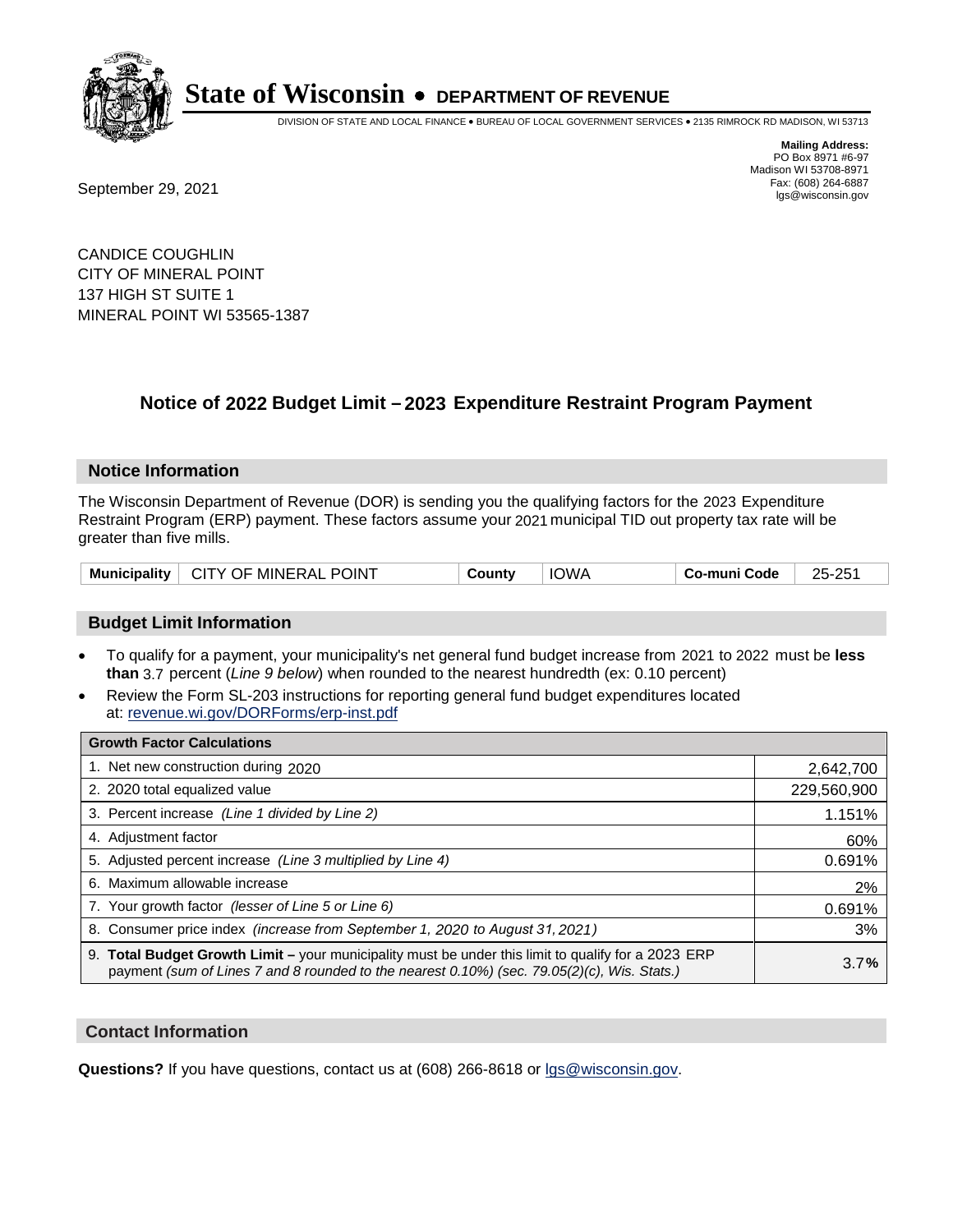

DIVISION OF STATE AND LOCAL FINANCE • BUREAU OF LOCAL GOVERNMENT SERVICES • 2135 RIMROCK RD MADISON, WI 53713

Fax: (608) 264-6887<br>
September 29, 2021 and the state of the state of the state of the state of the state of the state of the state of the state of the state of the state of the state of the state of the state of the state

**Mailing Address:** PO Box 8971 #6-97 Madison WI 53708-8971<br>Fax: (608) 264-6887

CANDICE COUGHLIN CITY OF MINERAL POINT 137 HIGH ST SUITE 1 MINERAL POINT WI 53565-1387

## **Notice of 2022 Budget Limit - 2023 Expenditure Restraint Program Payment**

#### **Notice Information**

The Wisconsin Department of Revenue (DOR) is sending you the qualifying factors for the 2023 Expenditure Restraint Program (ERP) payment. These factors assume your 2021 municipal TID out property tax rate will be greater than five mills.

|  | Municipality   CITY OF MINERAL POINT | County | <b>IOWA</b> | Co-muni Code | 25-251 |
|--|--------------------------------------|--------|-------------|--------------|--------|
|--|--------------------------------------|--------|-------------|--------------|--------|

#### **Budget Limit Information**

- To qualify for a payment, your municipality's net general fund budget increase from 2021 to 2022 must be less **than** 3.7 percent (*Line 9 below*) when rounded to the nearest hundredth (ex: 0.10 percent)
- Review the Form SL-203 instructions for reporting general fund budget expenditures located at: revenue.wi.gov/DORForms/erp-inst.pdf

| <b>Growth Factor Calculations</b>                                                                                                                                                                  |             |
|----------------------------------------------------------------------------------------------------------------------------------------------------------------------------------------------------|-------------|
| 1. Net new construction during 2020                                                                                                                                                                | 2,642,700   |
| 2. 2020 total equalized value                                                                                                                                                                      | 229,560,900 |
| 3. Percent increase (Line 1 divided by Line 2)                                                                                                                                                     | 1.151%      |
| 4. Adjustment factor                                                                                                                                                                               | 60%         |
| 5. Adjusted percent increase (Line 3 multiplied by Line 4)                                                                                                                                         | 0.691%      |
| 6. Maximum allowable increase                                                                                                                                                                      | 2%          |
| 7. Your growth factor (lesser of Line 5 or Line 6)                                                                                                                                                 | 0.691%      |
| 8. Consumer price index (increase from September 1, 2020 to August 31, 2021)                                                                                                                       | 3%          |
| 9. Total Budget Growth Limit – your municipality must be under this limit to qualify for a 2023 ERP<br>payment (sum of Lines 7 and 8 rounded to the nearest 0.10%) (sec. 79.05(2)(c), Wis. Stats.) | 3.7%        |

#### **Contact Information**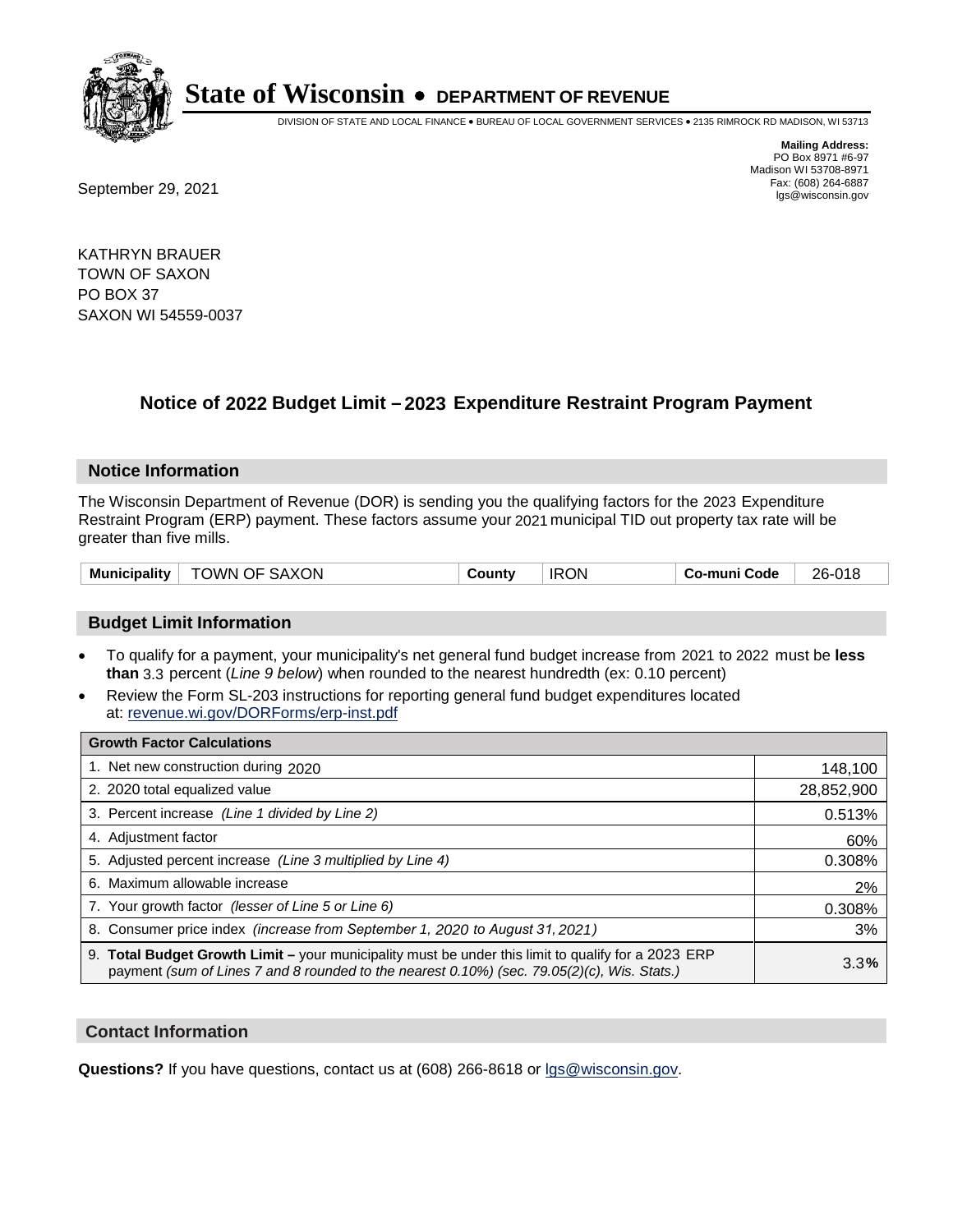

DIVISION OF STATE AND LOCAL FINANCE • BUREAU OF LOCAL GOVERNMENT SERVICES • 2135 RIMROCK RD MADISON, WI 53713

**Mailing Address:** PO Box 8971 #6-97 Madison WI 53708-8971<br>Fax: (608) 264-6887

Fax: (608) 264-6887<br>
September 29, 2021 and the state of the state of the state of the state of the state of the state of the state of the state of the state of the state of the state of the state of the state of the state

KATHRYN BRAUER TOWN OF SAXON PO BOX 37 SAXON WI 54559-0037

## **Notice of 2022 Budget Limit - 2023 Expenditure Restraint Program Payment**

#### **Notice Information**

The Wisconsin Department of Revenue (DOR) is sending you the qualifying factors for the 2023 Expenditure Restraint Program (ERP) payment. These factors assume your 2021 municipal TID out property tax rate will be greater than five mills.

| TOWN OF SAXON<br>Municipality | County | <b>IRON</b> | Co-muni Code | 26-018 |
|-------------------------------|--------|-------------|--------------|--------|
|-------------------------------|--------|-------------|--------------|--------|

### **Budget Limit Information**

- To qualify for a payment, your municipality's net general fund budget increase from 2021 to 2022 must be less **than** 3.3 percent (*Line 9 below*) when rounded to the nearest hundredth (ex: 0.10 percent)
- Review the Form SL-203 instructions for reporting general fund budget expenditures located at: revenue.wi.gov/DORForms/erp-inst.pdf

| <b>Growth Factor Calculations</b>                                                                                                                                                                  |            |
|----------------------------------------------------------------------------------------------------------------------------------------------------------------------------------------------------|------------|
| 1. Net new construction during 2020                                                                                                                                                                | 148,100    |
| 2. 2020 total equalized value                                                                                                                                                                      | 28,852,900 |
| 3. Percent increase (Line 1 divided by Line 2)                                                                                                                                                     | 0.513%     |
| 4. Adjustment factor                                                                                                                                                                               | 60%        |
| 5. Adjusted percent increase (Line 3 multiplied by Line 4)                                                                                                                                         | 0.308%     |
| 6. Maximum allowable increase                                                                                                                                                                      | 2%         |
| 7. Your growth factor (lesser of Line 5 or Line 6)                                                                                                                                                 | 0.308%     |
| 8. Consumer price index (increase from September 1, 2020 to August 31, 2021)                                                                                                                       | 3%         |
| 9. Total Budget Growth Limit – your municipality must be under this limit to qualify for a 2023 ERP<br>payment (sum of Lines 7 and 8 rounded to the nearest 0.10%) (sec. 79.05(2)(c), Wis. Stats.) | 3.3%       |

#### **Contact Information**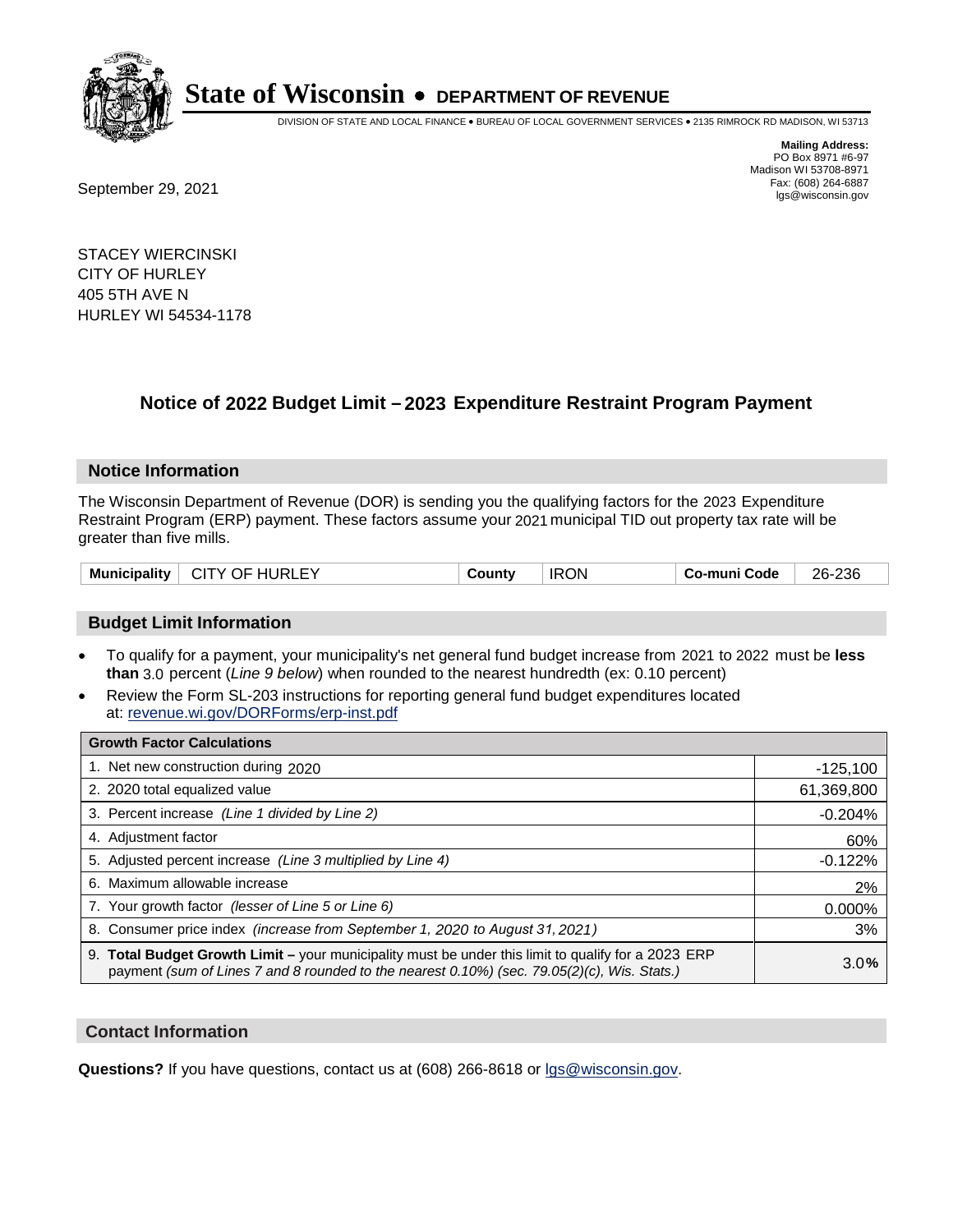

DIVISION OF STATE AND LOCAL FINANCE • BUREAU OF LOCAL GOVERNMENT SERVICES • 2135 RIMROCK RD MADISON, WI 53713

Fax: (608) 264-6887<br>
September 29, 2021 and the state of the state of the state of the state of the state of the state of the state of the state of the state of the state of the state of the state of the state of the state

**Mailing Address:** PO Box 8971 #6-97 Madison WI 53708-8971<br>Fax: (608) 264-6887

STACEY WIERCINSKI CITY OF HURLEY 405 5TH AVE N HURLEY WI 54534-1178

## **Notice of 2022 Budget Limit - 2023 Expenditure Restraint Program Payment**

#### **Notice Information**

The Wisconsin Department of Revenue (DOR) is sending you the qualifying factors for the 2023 Expenditure Restraint Program (ERP) payment. These factors assume your 2021 municipal TID out property tax rate will be greater than five mills.

|  | Municipality | CITY OF HURLEY | County | <b>IRON</b> | Co-muni Code | 26-236 |
|--|--------------|----------------|--------|-------------|--------------|--------|
|--|--------------|----------------|--------|-------------|--------------|--------|

### **Budget Limit Information**

- To qualify for a payment, your municipality's net general fund budget increase from 2021 to 2022 must be less **than** 3.0 percent (*Line 9 below*) when rounded to the nearest hundredth (ex: 0.10 percent)
- Review the Form SL-203 instructions for reporting general fund budget expenditures located at: revenue.wi.gov/DORForms/erp-inst.pdf

| <b>Growth Factor Calculations</b>                                                                                                                                                                  |            |
|----------------------------------------------------------------------------------------------------------------------------------------------------------------------------------------------------|------------|
| 1. Net new construction during 2020                                                                                                                                                                | $-125,100$ |
| 2. 2020 total equalized value                                                                                                                                                                      | 61,369,800 |
| 3. Percent increase (Line 1 divided by Line 2)                                                                                                                                                     | $-0.204%$  |
| 4. Adjustment factor                                                                                                                                                                               | 60%        |
| 5. Adjusted percent increase (Line 3 multiplied by Line 4)                                                                                                                                         | $-0.122%$  |
| 6. Maximum allowable increase                                                                                                                                                                      | 2%         |
| 7. Your growth factor (lesser of Line 5 or Line 6)                                                                                                                                                 | 0.000%     |
| 8. Consumer price index (increase from September 1, 2020 to August 31, 2021)                                                                                                                       | 3%         |
| 9. Total Budget Growth Limit - your municipality must be under this limit to qualify for a 2023 ERP<br>payment (sum of Lines 7 and 8 rounded to the nearest 0.10%) (sec. 79.05(2)(c), Wis. Stats.) | 3.0%       |

#### **Contact Information**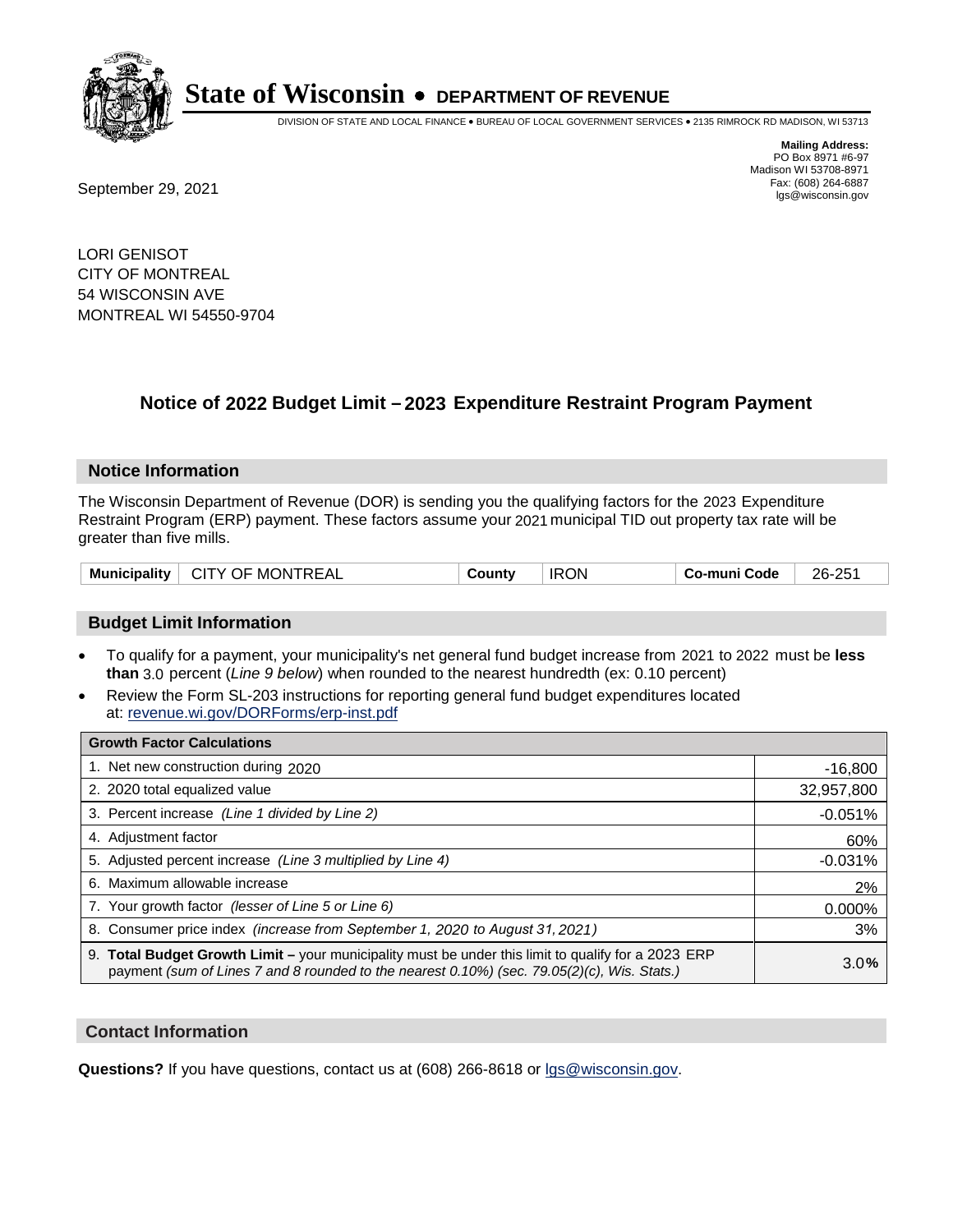

DIVISION OF STATE AND LOCAL FINANCE • BUREAU OF LOCAL GOVERNMENT SERVICES • 2135 RIMROCK RD MADISON, WI 53713

Fax: (608) 264-6887<br>
September 29, 2021 and the state of the state of the state of the state of the state of the state of the state of the state of the state of the state of the state of the state of the state of the state

**Mailing Address:** PO Box 8971 #6-97 Madison WI 53708-8971<br>Fax: (608) 264-6887

LORI GENISOT CITY OF MONTREAL 54 WISCONSIN AVE MONTREAL WI 54550-9704

## **Notice of 2022 Budget Limit - 2023 Expenditure Restraint Program Payment**

#### **Notice Information**

The Wisconsin Department of Revenue (DOR) is sending you the qualifying factors for the 2023 Expenditure Restraint Program (ERP) payment. These factors assume your 2021 municipal TID out property tax rate will be greater than five mills.

| CITY OF MONTREAL<br>Municipality | Countv | <b>IRON</b> | Co-muni Code | 26-251 |
|----------------------------------|--------|-------------|--------------|--------|
|----------------------------------|--------|-------------|--------------|--------|

### **Budget Limit Information**

- To qualify for a payment, your municipality's net general fund budget increase from 2021 to 2022 must be less **than** 3.0 percent (*Line 9 below*) when rounded to the nearest hundredth (ex: 0.10 percent)
- Review the Form SL-203 instructions for reporting general fund budget expenditures located at: revenue.wi.gov/DORForms/erp-inst.pdf

| <b>Growth Factor Calculations</b>                                                                                                                                                                  |            |
|----------------------------------------------------------------------------------------------------------------------------------------------------------------------------------------------------|------------|
| 1. Net new construction during 2020                                                                                                                                                                | $-16,800$  |
| 2. 2020 total equalized value                                                                                                                                                                      | 32,957,800 |
| 3. Percent increase (Line 1 divided by Line 2)                                                                                                                                                     | $-0.051%$  |
| 4. Adjustment factor                                                                                                                                                                               | 60%        |
| 5. Adjusted percent increase (Line 3 multiplied by Line 4)                                                                                                                                         | $-0.031%$  |
| 6. Maximum allowable increase                                                                                                                                                                      | 2%         |
| 7. Your growth factor (lesser of Line 5 or Line 6)                                                                                                                                                 | 0.000%     |
| 8. Consumer price index (increase from September 1, 2020 to August 31, 2021)                                                                                                                       | 3%         |
| 9. Total Budget Growth Limit - your municipality must be under this limit to qualify for a 2023 ERP<br>payment (sum of Lines 7 and 8 rounded to the nearest 0.10%) (sec. 79.05(2)(c), Wis. Stats.) | 3.0%       |

#### **Contact Information**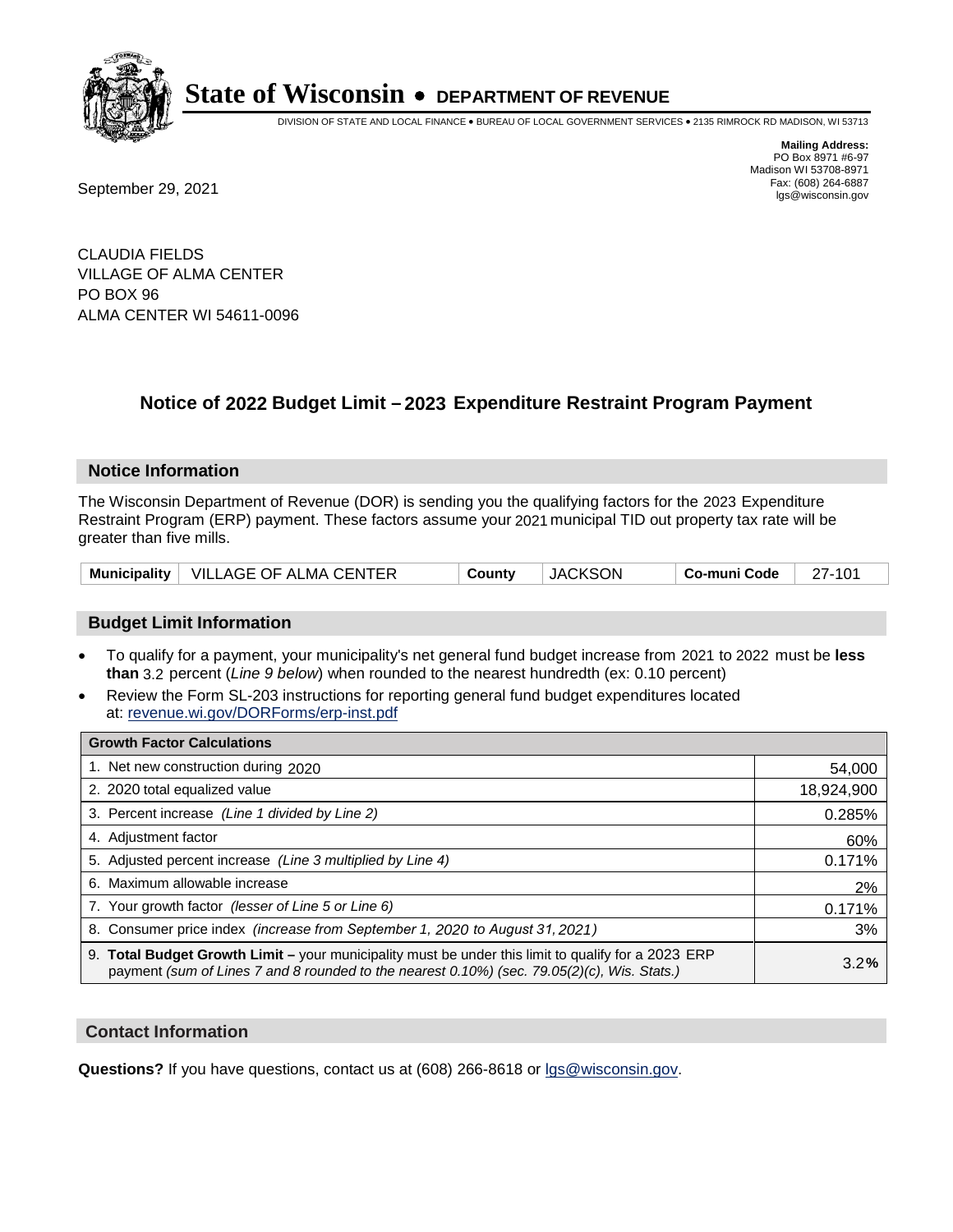

DIVISION OF STATE AND LOCAL FINANCE • BUREAU OF LOCAL GOVERNMENT SERVICES • 2135 RIMROCK RD MADISON, WI 53713

**Mailing Address:** PO Box 8971 #6-97 Madison WI 53708-8971<br>Fax: (608) 264-6887

Fax: (608) 264-6887<br>
September 29, 2021 and the state of the state of the state of the state of the state of the state of the state of the state of the state of the state of the state of the state of the state of the state

CLAUDIA FIELDS VILLAGE OF ALMA CENTER PO BOX 96 ALMA CENTER WI 54611-0096

## **Notice of 2022 Budget Limit - 2023 Expenditure Restraint Program Payment**

#### **Notice Information**

The Wisconsin Department of Revenue (DOR) is sending you the qualifying factors for the 2023 Expenditure Restraint Program (ERP) payment. These factors assume your 2021 municipal TID out property tax rate will be greater than five mills.

|  | Municipality   VILLAGE OF ALMA CENTER | County | <b>JACKSON</b> | Co-muni Code | 27-101 |
|--|---------------------------------------|--------|----------------|--------------|--------|
|--|---------------------------------------|--------|----------------|--------------|--------|

### **Budget Limit Information**

- To qualify for a payment, your municipality's net general fund budget increase from 2021 to 2022 must be less **than** 3.2 percent (*Line 9 below*) when rounded to the nearest hundredth (ex: 0.10 percent)
- Review the Form SL-203 instructions for reporting general fund budget expenditures located at: revenue.wi.gov/DORForms/erp-inst.pdf

| <b>Growth Factor Calculations</b>                                                                                                                                                                  |            |
|----------------------------------------------------------------------------------------------------------------------------------------------------------------------------------------------------|------------|
| 1. Net new construction during 2020                                                                                                                                                                | 54,000     |
| 2. 2020 total equalized value                                                                                                                                                                      | 18,924,900 |
| 3. Percent increase (Line 1 divided by Line 2)                                                                                                                                                     | 0.285%     |
| 4. Adjustment factor                                                                                                                                                                               | 60%        |
| 5. Adjusted percent increase (Line 3 multiplied by Line 4)                                                                                                                                         | 0.171%     |
| 6. Maximum allowable increase                                                                                                                                                                      | 2%         |
| 7. Your growth factor (lesser of Line 5 or Line 6)                                                                                                                                                 | 0.171%     |
| 8. Consumer price index (increase from September 1, 2020 to August 31, 2021)                                                                                                                       | 3%         |
| 9. Total Budget Growth Limit – your municipality must be under this limit to qualify for a 2023 ERP<br>payment (sum of Lines 7 and 8 rounded to the nearest 0.10%) (sec. 79.05(2)(c), Wis. Stats.) | 3.2%       |

#### **Contact Information**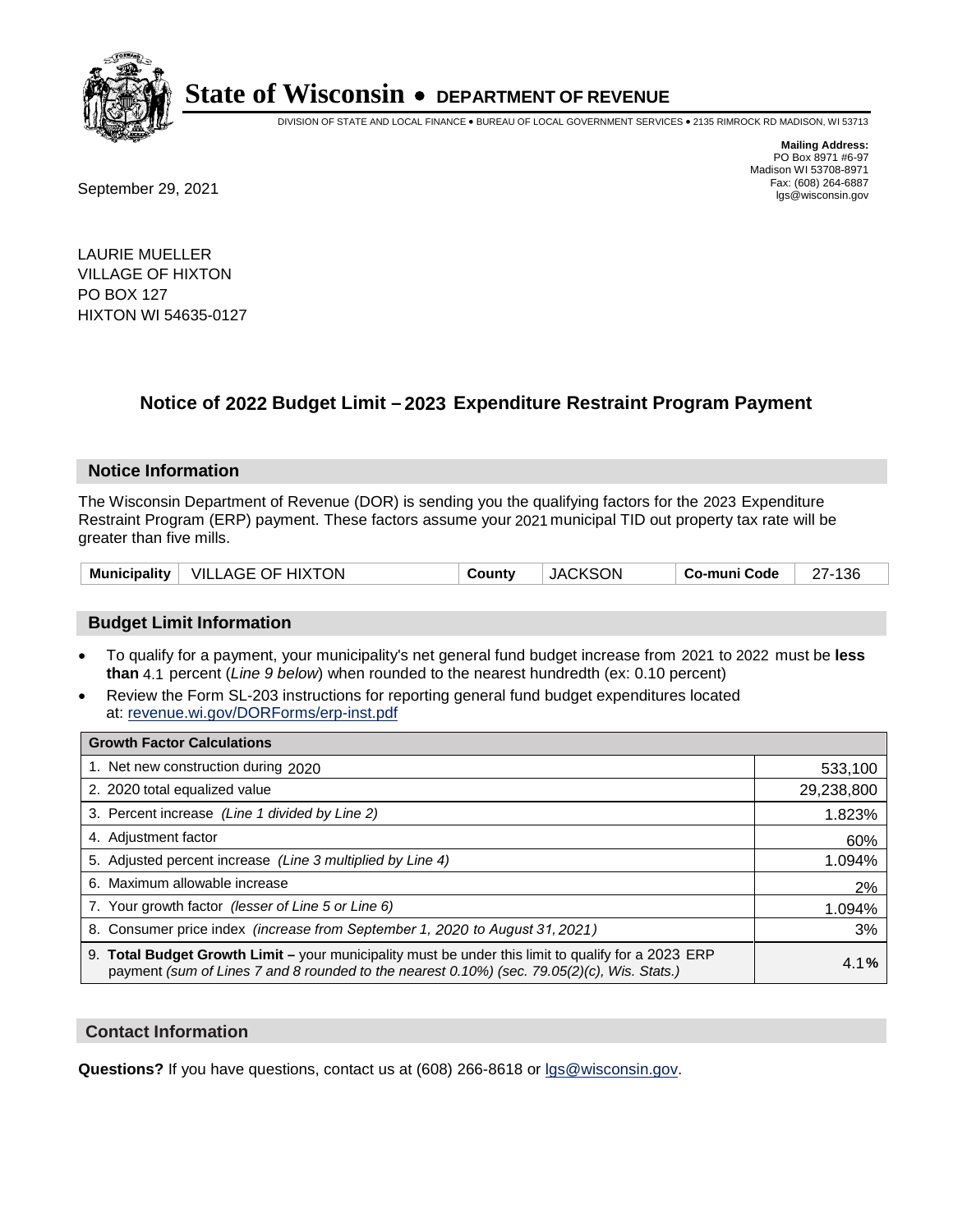

DIVISION OF STATE AND LOCAL FINANCE • BUREAU OF LOCAL GOVERNMENT SERVICES • 2135 RIMROCK RD MADISON, WI 53713

Fax: (608) 264-6887<br>
September 29, 2021 and the state of the state of the state of the state of the state of the state of the state of the state of the state of the state of the state of the state of the state of the state

**Mailing Address:** PO Box 8971 #6-97 Madison WI 53708-8971<br>Fax: (608) 264-6887

LAURIE MUELLER VILLAGE OF HIXTON PO BOX 127 HIXTON WI 54635-0127

## **Notice of 2022 Budget Limit - 2023 Expenditure Restraint Program Payment**

#### **Notice Information**

The Wisconsin Department of Revenue (DOR) is sending you the qualifying factors for the 2023 Expenditure Restraint Program (ERP) payment. These factors assume your 2021 municipal TID out property tax rate will be greater than five mills.

| Municipality   VILLAGE OF HIXTON | County | <b>JACKSON</b> | ∣ Co-muni Code | 27-136 |
|----------------------------------|--------|----------------|----------------|--------|
|----------------------------------|--------|----------------|----------------|--------|

### **Budget Limit Information**

- To qualify for a payment, your municipality's net general fund budget increase from 2021 to 2022 must be less **than** 4.1 percent (*Line 9 below*) when rounded to the nearest hundredth (ex: 0.10 percent)
- Review the Form SL-203 instructions for reporting general fund budget expenditures located at: revenue.wi.gov/DORForms/erp-inst.pdf

| <b>Growth Factor Calculations</b>                                                                                                                                                                  |            |
|----------------------------------------------------------------------------------------------------------------------------------------------------------------------------------------------------|------------|
| 1. Net new construction during 2020                                                                                                                                                                | 533,100    |
| 2. 2020 total equalized value                                                                                                                                                                      | 29,238,800 |
| 3. Percent increase (Line 1 divided by Line 2)                                                                                                                                                     | 1.823%     |
| 4. Adiustment factor                                                                                                                                                                               | 60%        |
| 5. Adjusted percent increase (Line 3 multiplied by Line 4)                                                                                                                                         | 1.094%     |
| 6. Maximum allowable increase                                                                                                                                                                      | 2%         |
| 7. Your growth factor (lesser of Line 5 or Line 6)                                                                                                                                                 | 1.094%     |
| 8. Consumer price index (increase from September 1, 2020 to August 31, 2021)                                                                                                                       | 3%         |
| 9. Total Budget Growth Limit - your municipality must be under this limit to qualify for a 2023 ERP<br>payment (sum of Lines 7 and 8 rounded to the nearest 0.10%) (sec. 79.05(2)(c), Wis. Stats.) | 4.1%       |

#### **Contact Information**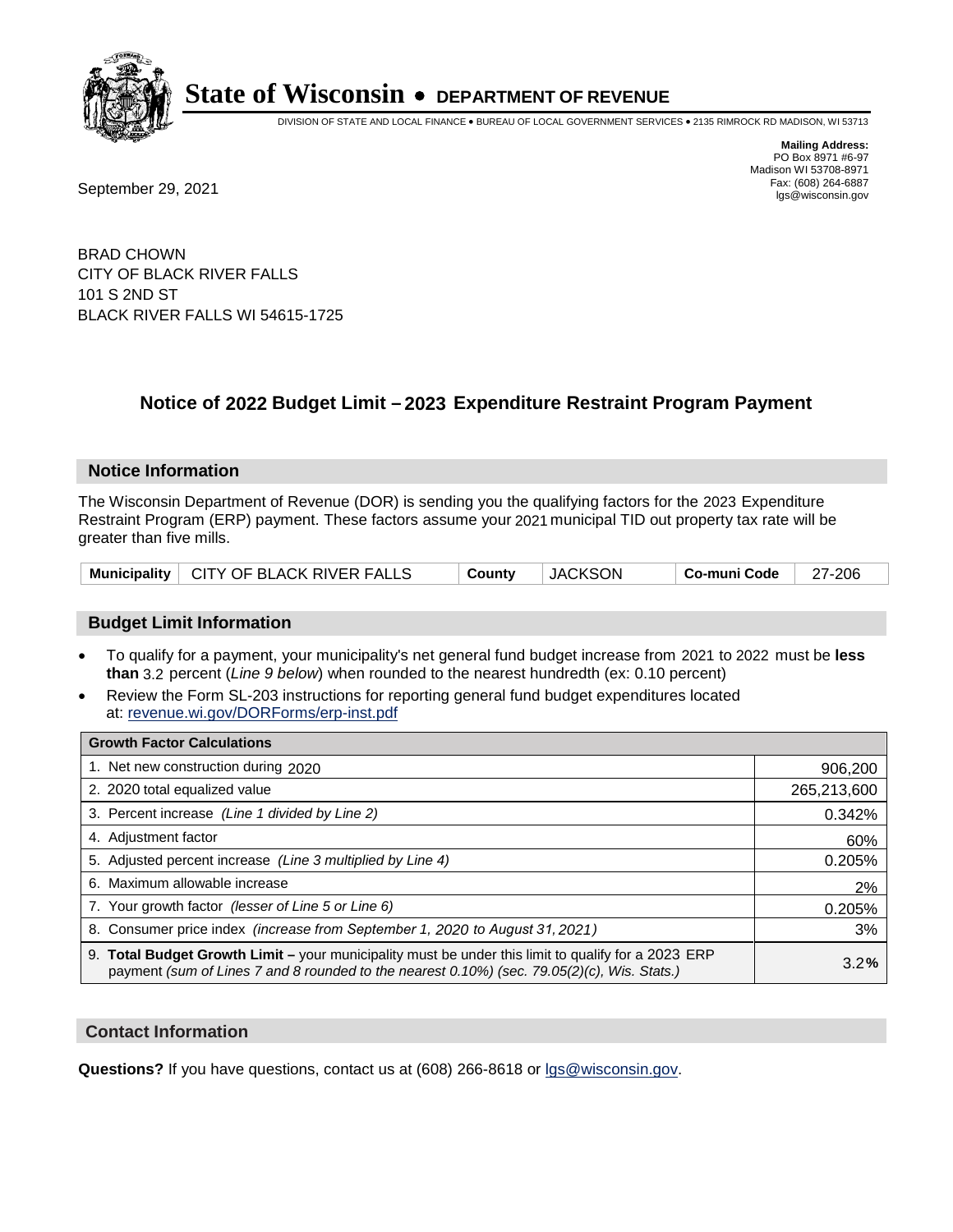

DIVISION OF STATE AND LOCAL FINANCE • BUREAU OF LOCAL GOVERNMENT SERVICES • 2135 RIMROCK RD MADISON, WI 53713

**Mailing Address:** PO Box 8971 #6-97 Madison WI 53708-8971<br>Fax: (608) 264-6887

Fax: (608) 264-6887<br>
September 29, 2021 and the state of the state of the state of the state of the state of the state of the state of the state of the state of the state of the state of the state of the state of the state

BRAD CHOWN CITY OF BLACK RIVER FALLS 101 S 2ND ST BLACK RIVER FALLS WI 54615-1725

## **Notice of 2022 Budget Limit - 2023 Expenditure Restraint Program Payment**

#### **Notice Information**

The Wisconsin Department of Revenue (DOR) is sending you the qualifying factors for the 2023 Expenditure Restraint Program (ERP) payment. These factors assume your 2021 municipal TID out property tax rate will be greater than five mills.

|  | Municipality   CITY OF BLACK RIVER FALLS | County | <b>JACKSON</b> | Co-muni Code   27-206 |  |
|--|------------------------------------------|--------|----------------|-----------------------|--|
|--|------------------------------------------|--------|----------------|-----------------------|--|

### **Budget Limit Information**

- To qualify for a payment, your municipality's net general fund budget increase from 2021 to 2022 must be less **than** 3.2 percent (*Line 9 below*) when rounded to the nearest hundredth (ex: 0.10 percent)
- Review the Form SL-203 instructions for reporting general fund budget expenditures located at: revenue.wi.gov/DORForms/erp-inst.pdf

| <b>Growth Factor Calculations</b>                                                                                                                                                                  |             |
|----------------------------------------------------------------------------------------------------------------------------------------------------------------------------------------------------|-------------|
| 1. Net new construction during 2020                                                                                                                                                                | 906,200     |
| 2. 2020 total equalized value                                                                                                                                                                      | 265,213,600 |
| 3. Percent increase (Line 1 divided by Line 2)                                                                                                                                                     | 0.342%      |
| 4. Adjustment factor                                                                                                                                                                               | 60%         |
| 5. Adjusted percent increase (Line 3 multiplied by Line 4)                                                                                                                                         | 0.205%      |
| 6. Maximum allowable increase                                                                                                                                                                      | 2%          |
| 7. Your growth factor (lesser of Line 5 or Line 6)                                                                                                                                                 | 0.205%      |
| 8. Consumer price index (increase from September 1, 2020 to August 31, 2021)                                                                                                                       | 3%          |
| 9. Total Budget Growth Limit – your municipality must be under this limit to qualify for a 2023 ERP<br>payment (sum of Lines 7 and 8 rounded to the nearest 0.10%) (sec. 79.05(2)(c), Wis. Stats.) | 3.2%        |

#### **Contact Information**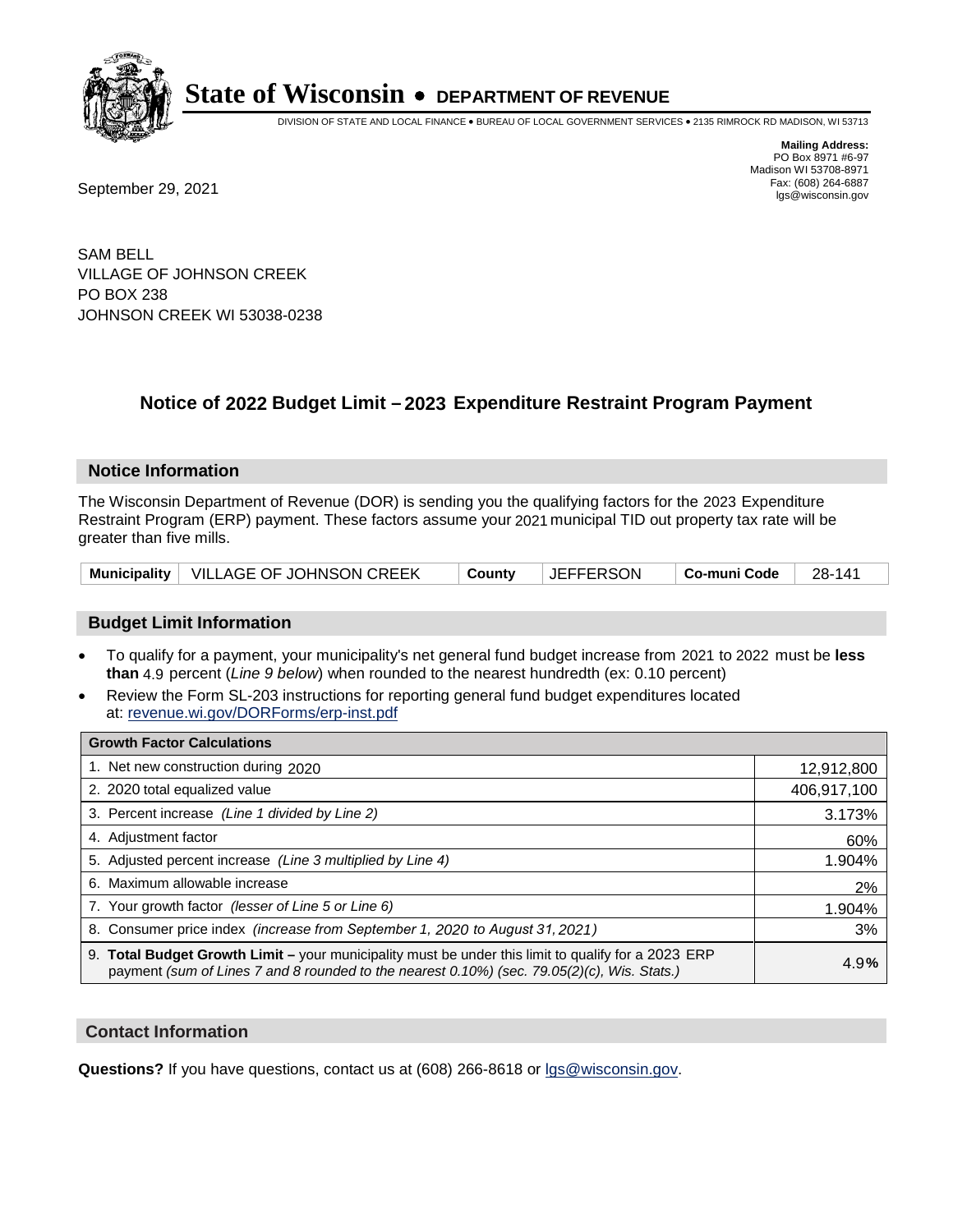

DIVISION OF STATE AND LOCAL FINANCE • BUREAU OF LOCAL GOVERNMENT SERVICES • 2135 RIMROCK RD MADISON, WI 53713

Fax: (608) 264-6887<br>
September 29, 2021 and the state of the state of the state of the state of the state of the state of the state of the state of the state of the state of the state of the state of the state of the state

**Mailing Address:** PO Box 8971 #6-97 Madison WI 53708-8971<br>Fax: (608) 264-6887

SAM BELL VILLAGE OF JOHNSON CREEK PO BOX 238 JOHNSON CREEK WI 53038-0238

## **Notice of 2022 Budget Limit - 2023 Expenditure Restraint Program Payment**

#### **Notice Information**

The Wisconsin Department of Revenue (DOR) is sending you the qualifying factors for the 2023 Expenditure Restraint Program (ERP) payment. These factors assume your 2021 municipal TID out property tax rate will be greater than five mills.

| Municipality   VILLAGE OF JOHNSON CREEK |  | County   JEFFERSON | $\vert$ Co-muni Code $\vert$ 28-141 |  |
|-----------------------------------------|--|--------------------|-------------------------------------|--|
|-----------------------------------------|--|--------------------|-------------------------------------|--|

### **Budget Limit Information**

- To qualify for a payment, your municipality's net general fund budget increase from 2021 to 2022 must be less **than** 4.9 percent (*Line 9 below*) when rounded to the nearest hundredth (ex: 0.10 percent)
- Review the Form SL-203 instructions for reporting general fund budget expenditures located at: revenue.wi.gov/DORForms/erp-inst.pdf

| <b>Growth Factor Calculations</b>                                                                                                                                                                  |             |
|----------------------------------------------------------------------------------------------------------------------------------------------------------------------------------------------------|-------------|
| 1. Net new construction during 2020                                                                                                                                                                | 12,912,800  |
| 2. 2020 total equalized value                                                                                                                                                                      | 406,917,100 |
| 3. Percent increase (Line 1 divided by Line 2)                                                                                                                                                     | 3.173%      |
| 4. Adiustment factor                                                                                                                                                                               | 60%         |
| 5. Adjusted percent increase (Line 3 multiplied by Line 4)                                                                                                                                         | 1.904%      |
| 6. Maximum allowable increase                                                                                                                                                                      | 2%          |
| 7. Your growth factor (lesser of Line 5 or Line 6)                                                                                                                                                 | 1.904%      |
| 8. Consumer price index (increase from September 1, 2020 to August 31, 2021)                                                                                                                       | 3%          |
| 9. Total Budget Growth Limit - your municipality must be under this limit to qualify for a 2023 ERP<br>payment (sum of Lines 7 and 8 rounded to the nearest 0.10%) (sec. 79.05(2)(c), Wis. Stats.) | 4.9%        |

#### **Contact Information**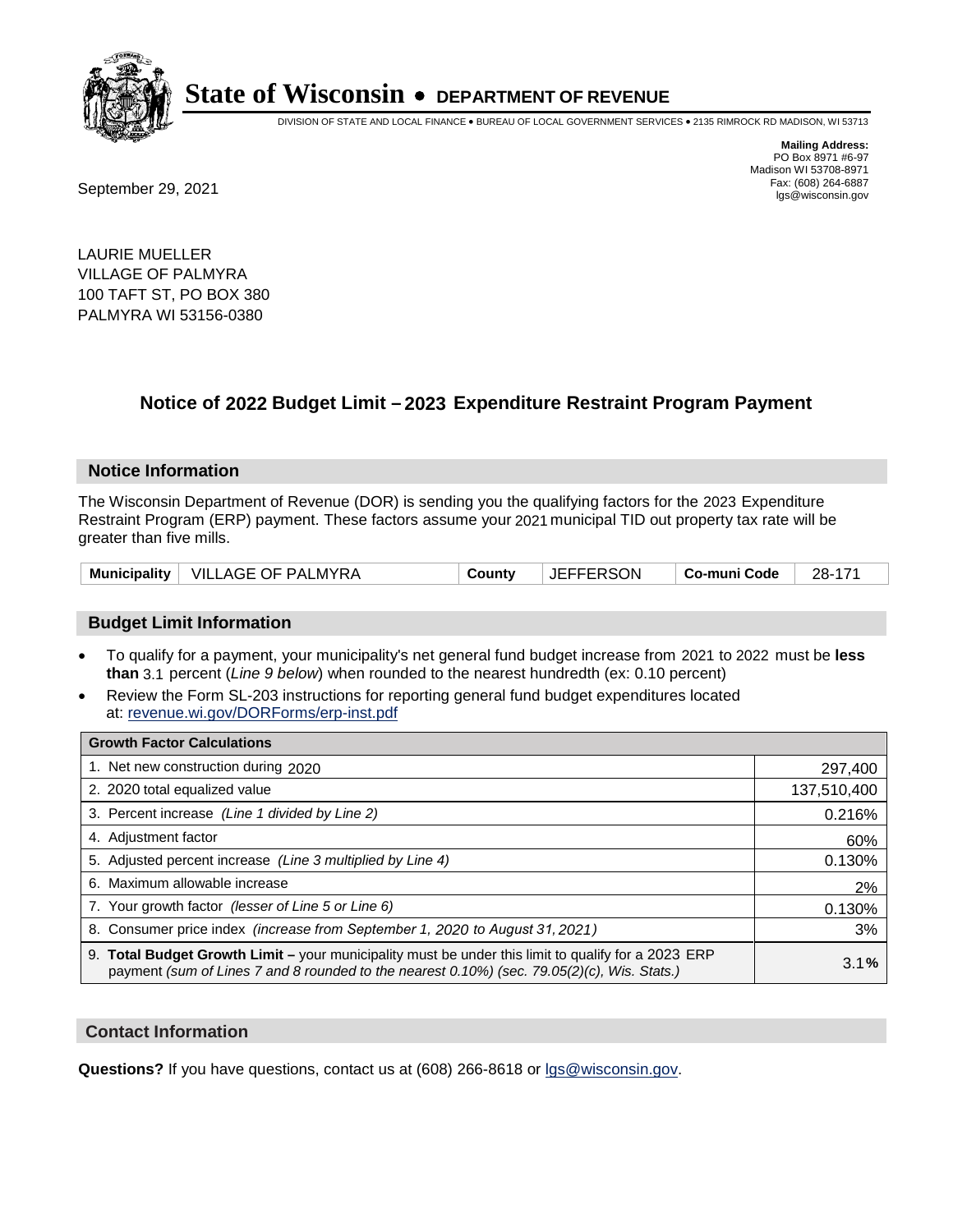

DIVISION OF STATE AND LOCAL FINANCE • BUREAU OF LOCAL GOVERNMENT SERVICES • 2135 RIMROCK RD MADISON, WI 53713

Fax: (608) 264-6887<br>
September 29, 2021 and the state of the state of the state of the state of the state of the state of the state of the state of the state of the state of the state of the state of the state of the state

**Mailing Address:** PO Box 8971 #6-97 Madison WI 53708-8971<br>Fax: (608) 264-6887

LAURIE MUELLER VILLAGE OF PALMYRA 100 TAFT ST, PO BOX 380 PALMYRA WI 53156-0380

## **Notice of 2022 Budget Limit - 2023 Expenditure Restraint Program Payment**

#### **Notice Information**

The Wisconsin Department of Revenue (DOR) is sending you the qualifying factors for the 2023 Expenditure Restraint Program (ERP) payment. These factors assume your 2021 municipal TID out property tax rate will be greater than five mills.

|  | Municipality   VILLAGE OF PALMYRA | Countv | <b>JEFFERSON</b> | ∣ Co-muni Code | 28-171 |
|--|-----------------------------------|--------|------------------|----------------|--------|
|--|-----------------------------------|--------|------------------|----------------|--------|

#### **Budget Limit Information**

- To qualify for a payment, your municipality's net general fund budget increase from 2021 to 2022 must be less **than** 3.1 percent (*Line 9 below*) when rounded to the nearest hundredth (ex: 0.10 percent)
- Review the Form SL-203 instructions for reporting general fund budget expenditures located at: revenue.wi.gov/DORForms/erp-inst.pdf

| <b>Growth Factor Calculations</b>                                                                                                                                                                  |             |
|----------------------------------------------------------------------------------------------------------------------------------------------------------------------------------------------------|-------------|
| 1. Net new construction during 2020                                                                                                                                                                | 297,400     |
| 2. 2020 total equalized value                                                                                                                                                                      | 137,510,400 |
| 3. Percent increase (Line 1 divided by Line 2)                                                                                                                                                     | 0.216%      |
| 4. Adjustment factor                                                                                                                                                                               | 60%         |
| 5. Adjusted percent increase (Line 3 multiplied by Line 4)                                                                                                                                         | 0.130%      |
| 6. Maximum allowable increase                                                                                                                                                                      | 2%          |
| 7. Your growth factor (lesser of Line 5 or Line 6)                                                                                                                                                 | 0.130%      |
| 8. Consumer price index (increase from September 1, 2020 to August 31, 2021)                                                                                                                       | 3%          |
| 9. Total Budget Growth Limit - your municipality must be under this limit to qualify for a 2023 ERP<br>payment (sum of Lines 7 and 8 rounded to the nearest 0.10%) (sec. 79.05(2)(c), Wis. Stats.) | 3.1%        |

#### **Contact Information**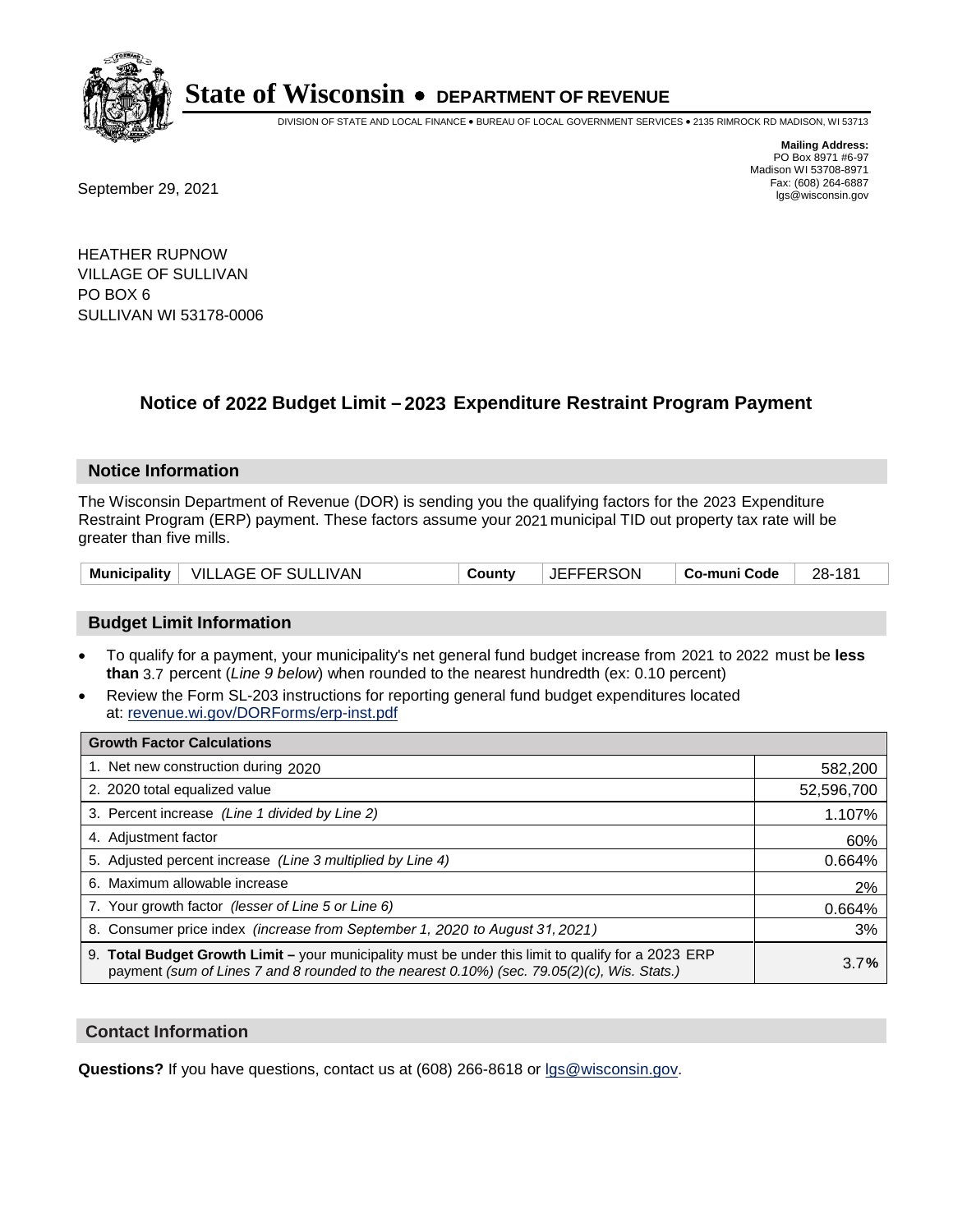

DIVISION OF STATE AND LOCAL FINANCE • BUREAU OF LOCAL GOVERNMENT SERVICES • 2135 RIMROCK RD MADISON, WI 53713

Fax: (608) 264-6887<br>
September 29, 2021 and the state of the state of the state of the state of the state of the state of the state of the state of the state of the state of the state of the state of the state of the state

**Mailing Address:** PO Box 8971 #6-97 Madison WI 53708-8971<br>Fax: (608) 264-6887

HEATHER RUPNOW VILLAGE OF SULLIVAN PO BOX 6 SULLIVAN WI 53178-0006

## **Notice of 2022 Budget Limit - 2023 Expenditure Restraint Program Payment**

#### **Notice Information**

The Wisconsin Department of Revenue (DOR) is sending you the qualifying factors for the 2023 Expenditure Restraint Program (ERP) payment. These factors assume your 2021 municipal TID out property tax rate will be greater than five mills.

| Municipality   VILLAGE OF SULLIVAN | County | <b>JEFFERSON</b> | Co-muni Code | 28-181 |
|------------------------------------|--------|------------------|--------------|--------|
|------------------------------------|--------|------------------|--------------|--------|

### **Budget Limit Information**

- To qualify for a payment, your municipality's net general fund budget increase from 2021 to 2022 must be less **than** 3.7 percent (*Line 9 below*) when rounded to the nearest hundredth (ex: 0.10 percent)
- Review the Form SL-203 instructions for reporting general fund budget expenditures located at: revenue.wi.gov/DORForms/erp-inst.pdf

| <b>Growth Factor Calculations</b>                                                                                                                                                                  |            |
|----------------------------------------------------------------------------------------------------------------------------------------------------------------------------------------------------|------------|
| 1. Net new construction during 2020                                                                                                                                                                | 582,200    |
| 2. 2020 total equalized value                                                                                                                                                                      | 52,596,700 |
| 3. Percent increase (Line 1 divided by Line 2)                                                                                                                                                     | 1.107%     |
| 4. Adjustment factor                                                                                                                                                                               | 60%        |
| 5. Adjusted percent increase (Line 3 multiplied by Line 4)                                                                                                                                         | 0.664%     |
| 6. Maximum allowable increase                                                                                                                                                                      | 2%         |
| 7. Your growth factor (lesser of Line 5 or Line 6)                                                                                                                                                 | 0.664%     |
| 8. Consumer price index (increase from September 1, 2020 to August 31, 2021)                                                                                                                       | 3%         |
| 9. Total Budget Growth Limit - your municipality must be under this limit to qualify for a 2023 ERP<br>payment (sum of Lines 7 and 8 rounded to the nearest 0.10%) (sec. 79.05(2)(c), Wis. Stats.) | 3.7%       |

#### **Contact Information**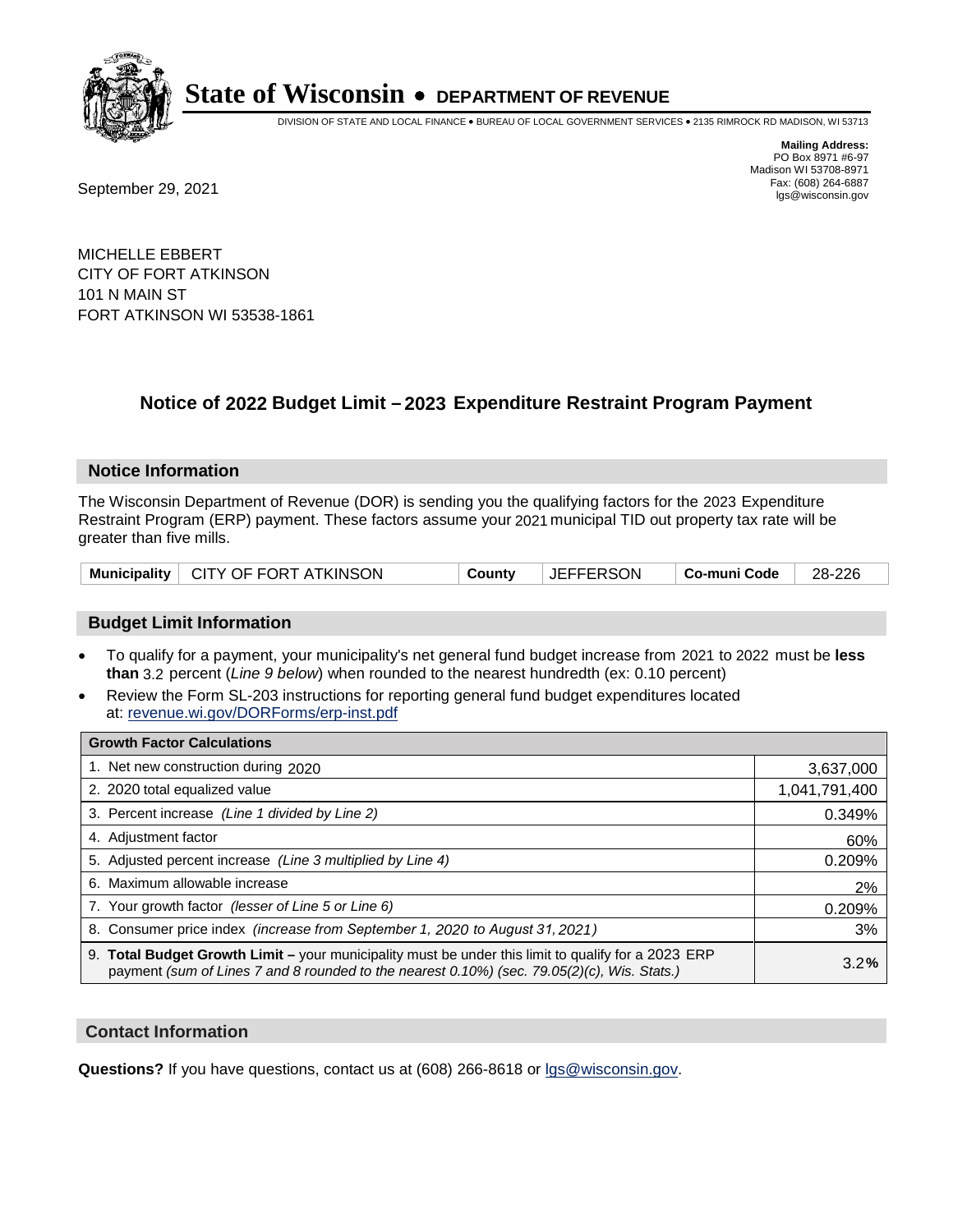

DIVISION OF STATE AND LOCAL FINANCE • BUREAU OF LOCAL GOVERNMENT SERVICES • 2135 RIMROCK RD MADISON, WI 53713

**Mailing Address:** PO Box 8971 #6-97 Madison WI 53708-8971<br>Fax: (608) 264-6887

Fax: (608) 264-6887<br>
September 29, 2021 and the state of the state of the state of the state of the state of the state of the state of the state of the state of the state of the state of the state of the state of the state

MICHELLE EBBERT CITY OF FORT ATKINSON 101 N MAIN ST FORT ATKINSON WI 53538-1861

## **Notice of 2022 Budget Limit - 2023 Expenditure Restraint Program Payment**

#### **Notice Information**

The Wisconsin Department of Revenue (DOR) is sending you the qualifying factors for the 2023 Expenditure Restraint Program (ERP) payment. These factors assume your 2021 municipal TID out property tax rate will be greater than five mills.

|  | Municipality   CITY OF FORT ATKINSON | County | <b>JEFFERSON</b> | │ Co-muni Code │ | $\vert$ 28-226 |
|--|--------------------------------------|--------|------------------|------------------|----------------|
|--|--------------------------------------|--------|------------------|------------------|----------------|

### **Budget Limit Information**

- To qualify for a payment, your municipality's net general fund budget increase from 2021 to 2022 must be less **than** 3.2 percent (*Line 9 below*) when rounded to the nearest hundredth (ex: 0.10 percent)
- Review the Form SL-203 instructions for reporting general fund budget expenditures located at: revenue.wi.gov/DORForms/erp-inst.pdf

| <b>Growth Factor Calculations</b>                                                                                                                                                                  |               |
|----------------------------------------------------------------------------------------------------------------------------------------------------------------------------------------------------|---------------|
| 1. Net new construction during 2020                                                                                                                                                                | 3,637,000     |
| 2. 2020 total equalized value                                                                                                                                                                      | 1,041,791,400 |
| 3. Percent increase (Line 1 divided by Line 2)                                                                                                                                                     | 0.349%        |
| 4. Adjustment factor                                                                                                                                                                               | 60%           |
| 5. Adjusted percent increase (Line 3 multiplied by Line 4)                                                                                                                                         | 0.209%        |
| 6. Maximum allowable increase                                                                                                                                                                      | 2%            |
| 7. Your growth factor (lesser of Line 5 or Line 6)                                                                                                                                                 | 0.209%        |
| 8. Consumer price index (increase from September 1, 2020 to August 31, 2021)                                                                                                                       | 3%            |
| 9. Total Budget Growth Limit - your municipality must be under this limit to qualify for a 2023 ERP<br>payment (sum of Lines 7 and 8 rounded to the nearest 0.10%) (sec. 79.05(2)(c), Wis. Stats.) | 3.2%          |

#### **Contact Information**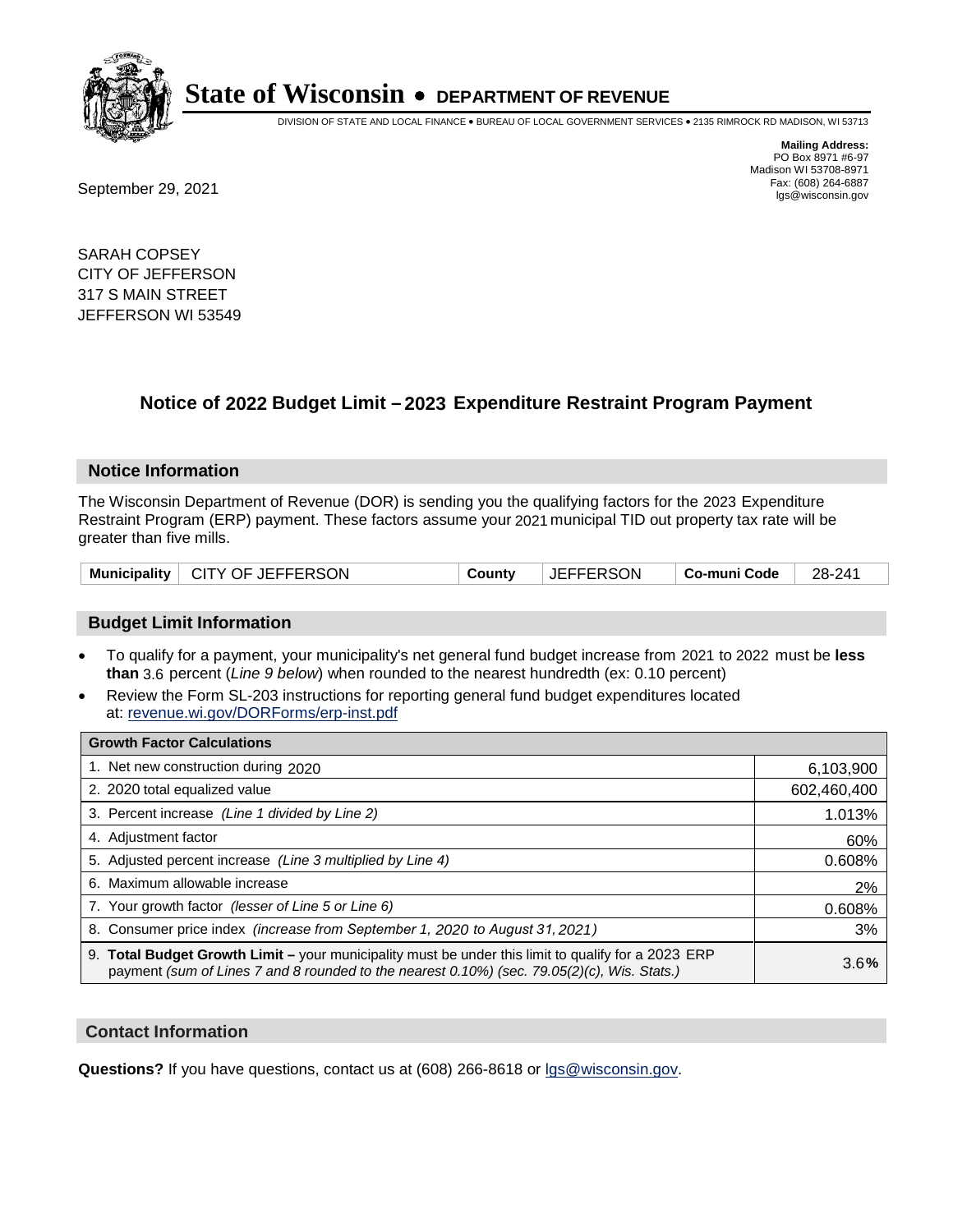

DIVISION OF STATE AND LOCAL FINANCE • BUREAU OF LOCAL GOVERNMENT SERVICES • 2135 RIMROCK RD MADISON, WI 53713

Fax: (608) 264-6887<br>
September 29, 2021 and the state of the state of the state of the state of the state of the state of the state of the state of the state of the state of the state of the state of the state of the state

**Mailing Address:** PO Box 8971 #6-97 Madison WI 53708-8971<br>Fax: (608) 264-6887

SARAH COPSEY CITY OF JEFFERSON 317 S MAIN STREET JEFFERSON WI 53549

## **Notice of 2022 Budget Limit - 2023 Expenditure Restraint Program Payment**

#### **Notice Information**

The Wisconsin Department of Revenue (DOR) is sending you the qualifying factors for the 2023 Expenditure Restraint Program (ERP) payment. These factors assume your 2021 municipal TID out property tax rate will be greater than five mills.

#### **Budget Limit Information**

- To qualify for a payment, your municipality's net general fund budget increase from 2021 to 2022 must be less **than** 3.6 percent (*Line 9 below*) when rounded to the nearest hundredth (ex: 0.10 percent)
- Review the Form SL-203 instructions for reporting general fund budget expenditures located at: revenue.wi.gov/DORForms/erp-inst.pdf

| <b>Growth Factor Calculations</b>                                                                                                                                                                  |             |
|----------------------------------------------------------------------------------------------------------------------------------------------------------------------------------------------------|-------------|
| 1. Net new construction during 2020                                                                                                                                                                | 6,103,900   |
| 2. 2020 total equalized value                                                                                                                                                                      | 602,460,400 |
| 3. Percent increase (Line 1 divided by Line 2)                                                                                                                                                     | 1.013%      |
| 4. Adiustment factor                                                                                                                                                                               | 60%         |
| 5. Adjusted percent increase (Line 3 multiplied by Line 4)                                                                                                                                         | 0.608%      |
| 6. Maximum allowable increase                                                                                                                                                                      | 2%          |
| 7. Your growth factor (lesser of Line 5 or Line 6)                                                                                                                                                 | 0.608%      |
| 8. Consumer price index (increase from September 1, 2020 to August 31, 2021)                                                                                                                       | 3%          |
| 9. Total Budget Growth Limit - your municipality must be under this limit to qualify for a 2023 ERP<br>payment (sum of Lines 7 and 8 rounded to the nearest 0.10%) (sec. 79.05(2)(c), Wis. Stats.) | 3.6%        |

#### **Contact Information**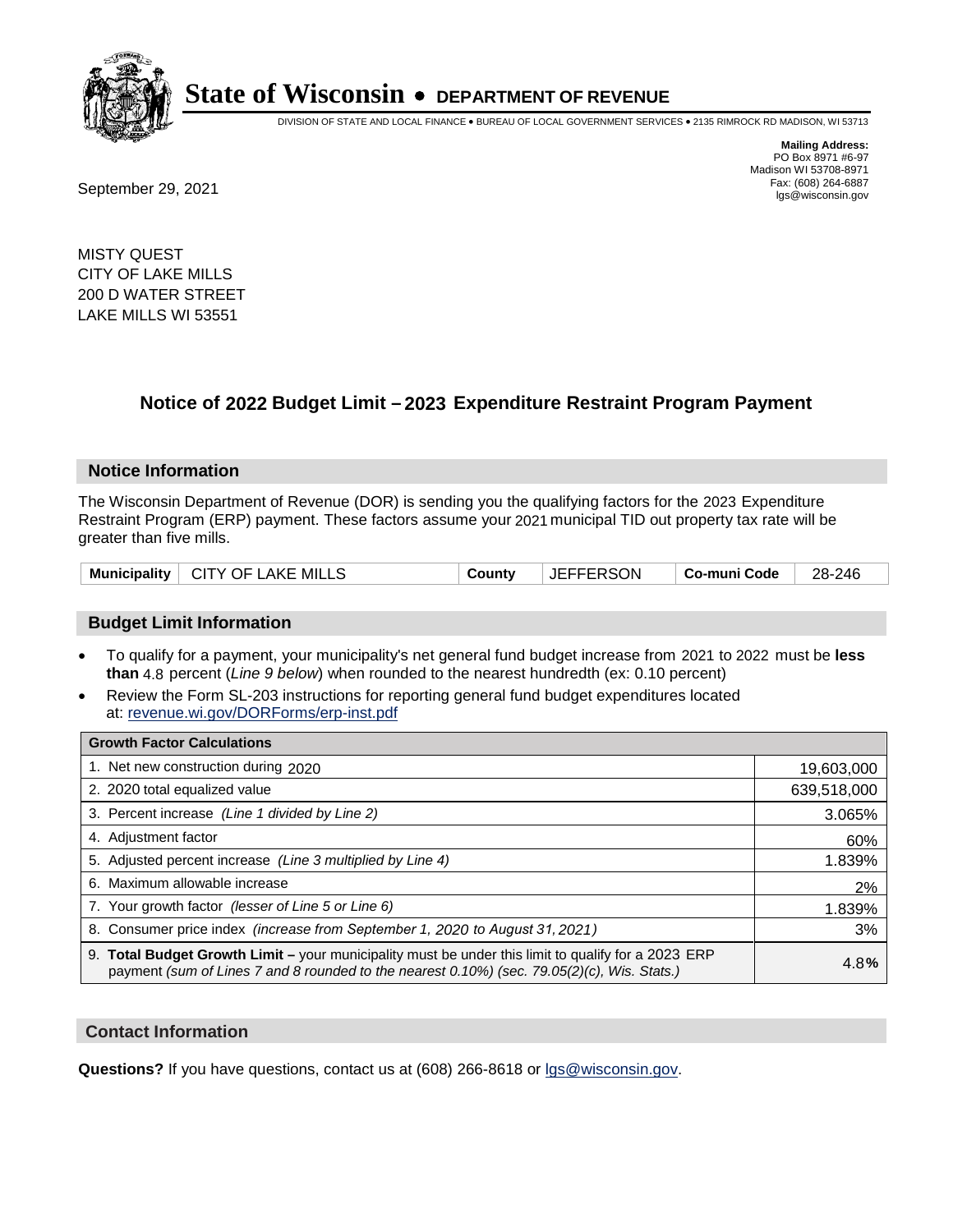

DIVISION OF STATE AND LOCAL FINANCE • BUREAU OF LOCAL GOVERNMENT SERVICES • 2135 RIMROCK RD MADISON, WI 53713

**Mailing Address:** PO Box 8971 #6-97 Madison WI 53708-8971<br>Fax: (608) 264-6887

Fax: (608) 264-6887<br>
September 29, 2021 and the state of the state of the state of the state of the state of the state of the state of the state of the state of the state of the state of the state of the state of the state

MISTY QUEST CITY OF LAKE MILLS 200 D WATER STREET LAKE MILLS WI 53551

## **Notice of 2022 Budget Limit - 2023 Expenditure Restraint Program Payment**

#### **Notice Information**

The Wisconsin Department of Revenue (DOR) is sending you the qualifying factors for the 2023 Expenditure Restraint Program (ERP) payment. These factors assume your 2021 municipal TID out property tax rate will be greater than five mills.

| Municipality   CITY OF LAKE MILLS | County | <b>JEFFERSON</b> | ∣ Co-muni Code | 28-246 |
|-----------------------------------|--------|------------------|----------------|--------|
|-----------------------------------|--------|------------------|----------------|--------|

### **Budget Limit Information**

- To qualify for a payment, your municipality's net general fund budget increase from 2021 to 2022 must be less **than** 4.8 percent (*Line 9 below*) when rounded to the nearest hundredth (ex: 0.10 percent)
- Review the Form SL-203 instructions for reporting general fund budget expenditures located at: revenue.wi.gov/DORForms/erp-inst.pdf

| <b>Growth Factor Calculations</b>                                                                                                                                                                  |             |
|----------------------------------------------------------------------------------------------------------------------------------------------------------------------------------------------------|-------------|
| 1. Net new construction during 2020                                                                                                                                                                | 19,603,000  |
| 2. 2020 total equalized value                                                                                                                                                                      | 639,518,000 |
| 3. Percent increase (Line 1 divided by Line 2)                                                                                                                                                     | 3.065%      |
| 4. Adjustment factor                                                                                                                                                                               | 60%         |
| 5. Adjusted percent increase (Line 3 multiplied by Line 4)                                                                                                                                         | 1.839%      |
| Maximum allowable increase<br>6.                                                                                                                                                                   | 2%          |
| 7. Your growth factor (lesser of Line 5 or Line 6)                                                                                                                                                 | 1.839%      |
| 8. Consumer price index (increase from September 1, 2020 to August 31, 2021)                                                                                                                       | 3%          |
| 9. Total Budget Growth Limit - your municipality must be under this limit to qualify for a 2023 ERP<br>payment (sum of Lines 7 and 8 rounded to the nearest 0.10%) (sec. 79.05(2)(c), Wis. Stats.) | 4.8%        |

#### **Contact Information**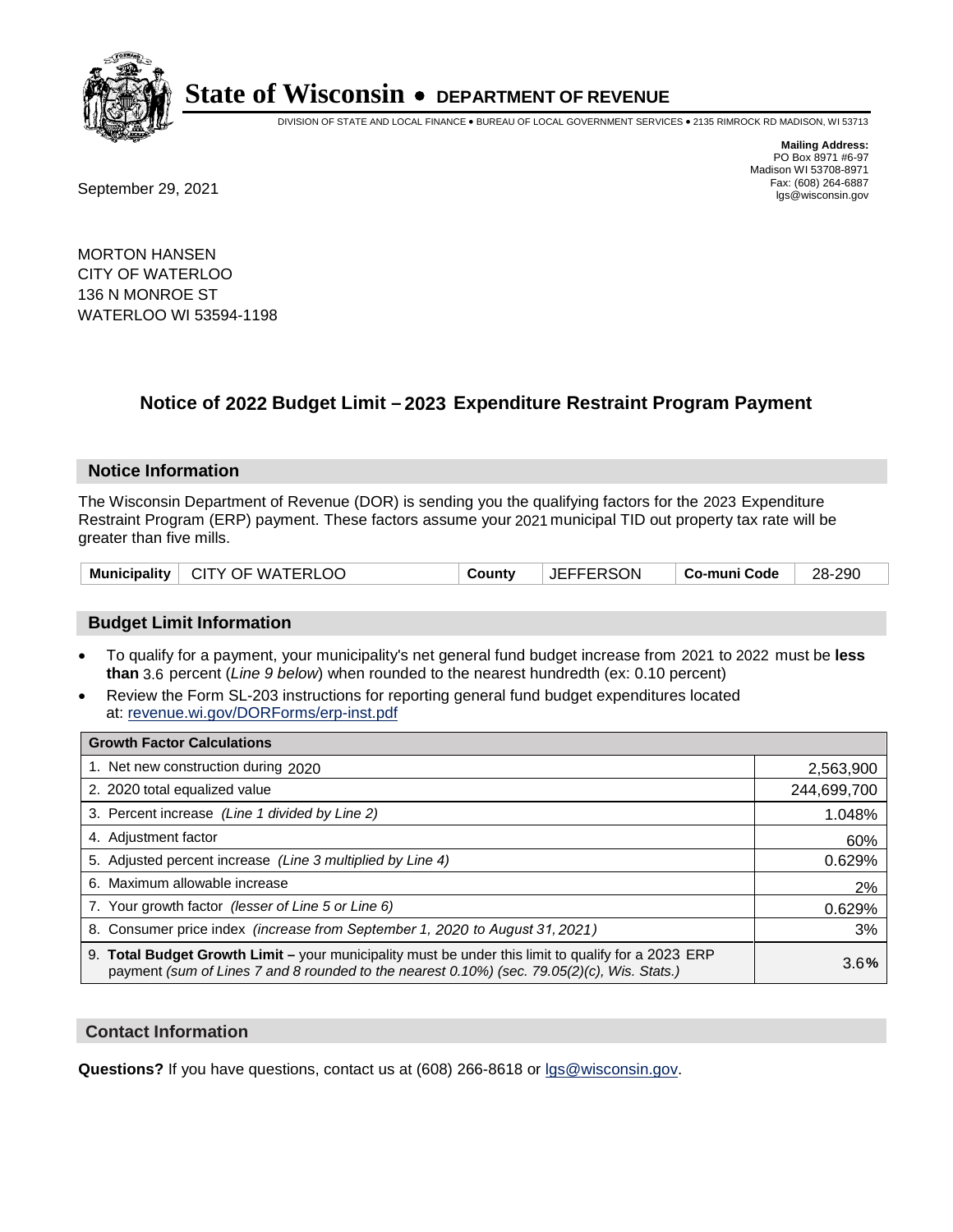

DIVISION OF STATE AND LOCAL FINANCE • BUREAU OF LOCAL GOVERNMENT SERVICES • 2135 RIMROCK RD MADISON, WI 53713

**Mailing Address:** PO Box 8971 #6-97 Madison WI 53708-8971<br>Fax: (608) 264-6887

Fax: (608) 264-6887<br>
September 29, 2021 and the state of the state of the state of the state of the state of the state of the state of the state of the state of the state of the state of the state of the state of the state

MORTON HANSEN CITY OF WATERLOO 136 N MONROE ST WATERLOO WI 53594-1198

## **Notice of 2022 Budget Limit - 2023 Expenditure Restraint Program Payment**

#### **Notice Information**

The Wisconsin Department of Revenue (DOR) is sending you the qualifying factors for the 2023 Expenditure Restraint Program (ERP) payment. These factors assume your 2021 municipal TID out property tax rate will be greater than five mills.

| Municipality   CITY OF WATERLOO | County | <b>JEFFERSON</b> | ∣ Co-muni Code ∣ | $\vert$ 28-290 |
|---------------------------------|--------|------------------|------------------|----------------|
|---------------------------------|--------|------------------|------------------|----------------|

### **Budget Limit Information**

- To qualify for a payment, your municipality's net general fund budget increase from 2021 to 2022 must be less **than** 3.6 percent (*Line 9 below*) when rounded to the nearest hundredth (ex: 0.10 percent)
- Review the Form SL-203 instructions for reporting general fund budget expenditures located at: revenue.wi.gov/DORForms/erp-inst.pdf

| <b>Growth Factor Calculations</b>                                                                                                                                                                  |             |
|----------------------------------------------------------------------------------------------------------------------------------------------------------------------------------------------------|-------------|
| 1. Net new construction during 2020                                                                                                                                                                | 2,563,900   |
| 2. 2020 total equalized value                                                                                                                                                                      | 244,699,700 |
| 3. Percent increase (Line 1 divided by Line 2)                                                                                                                                                     | 1.048%      |
| 4. Adjustment factor                                                                                                                                                                               | 60%         |
| 5. Adjusted percent increase (Line 3 multiplied by Line 4)                                                                                                                                         | 0.629%      |
| 6. Maximum allowable increase                                                                                                                                                                      | 2%          |
| 7. Your growth factor (lesser of Line 5 or Line 6)                                                                                                                                                 | 0.629%      |
| 8. Consumer price index (increase from September 1, 2020 to August 31, 2021)                                                                                                                       | 3%          |
| 9. Total Budget Growth Limit - your municipality must be under this limit to qualify for a 2023 ERP<br>payment (sum of Lines 7 and 8 rounded to the nearest 0.10%) (sec. 79.05(2)(c), Wis. Stats.) | 3.6%        |

#### **Contact Information**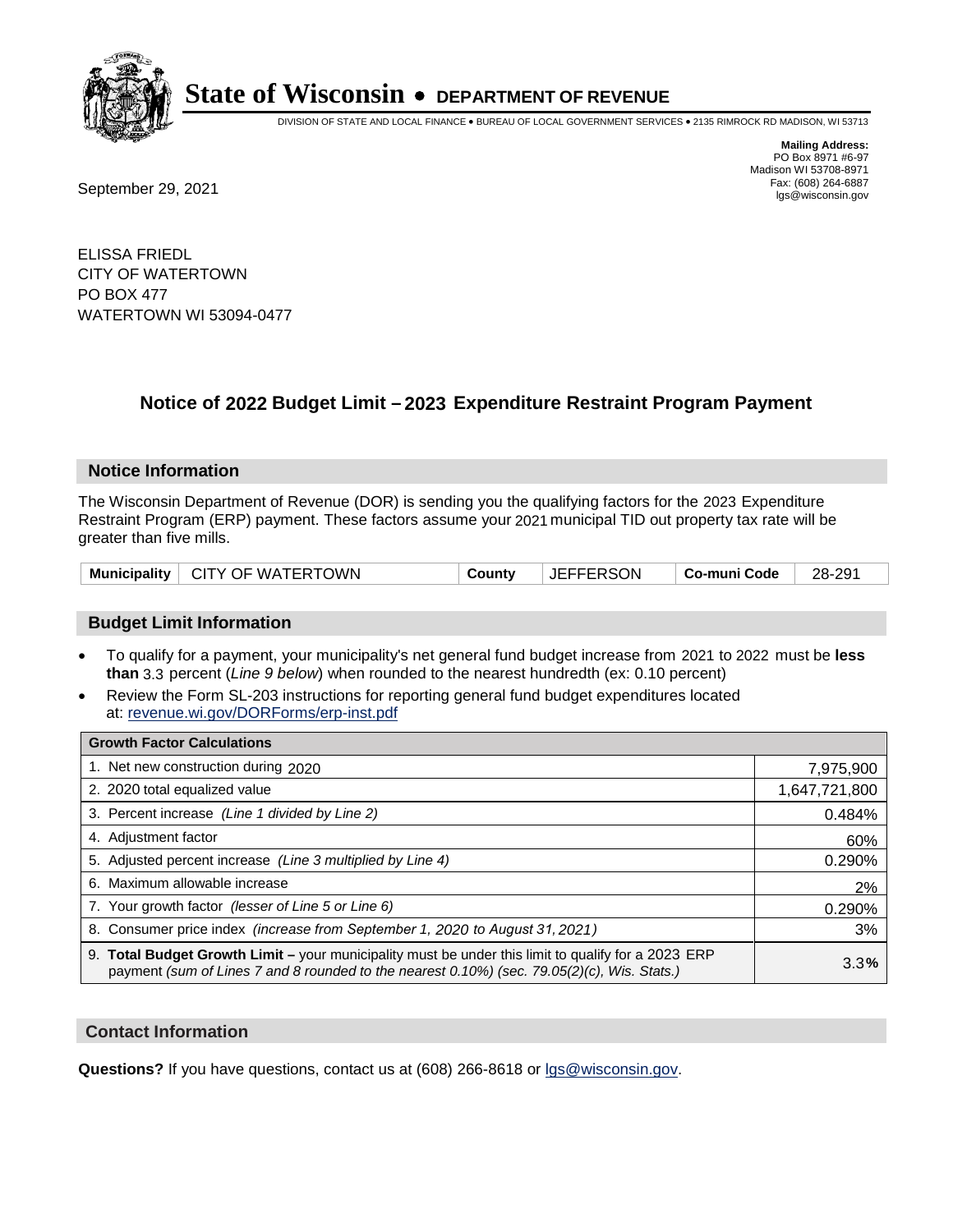

DIVISION OF STATE AND LOCAL FINANCE • BUREAU OF LOCAL GOVERNMENT SERVICES • 2135 RIMROCK RD MADISON, WI 53713

**Mailing Address:** PO Box 8971 #6-97 Madison WI 53708-8971<br>Fax: (608) 264-6887 Fax: (608) 264-6887<br>
September 29, 2021 and the state of the state of the state of the state of the state of the state of the state of the state of the state of the state of the state of the state of the state of the state

ELISSA FRIEDL CITY OF WATERTOWN PO BOX 477 WATERTOWN WI 53094-0477

## **Notice of 2022 Budget Limit - 2023 Expenditure Restraint Program Payment**

#### **Notice Information**

The Wisconsin Department of Revenue (DOR) is sending you the qualifying factors for the 2023 Expenditure Restraint Program (ERP) payment. These factors assume your 2021 municipal TID out property tax rate will be greater than five mills.

| Municipality   CITY OF WATERTOWN | County | <b>JEFFERSON</b> | ∣ Co-muni Code | 28-291 |
|----------------------------------|--------|------------------|----------------|--------|
|----------------------------------|--------|------------------|----------------|--------|

### **Budget Limit Information**

- To qualify for a payment, your municipality's net general fund budget increase from 2021 to 2022 must be less **than** 3.3 percent (*Line 9 below*) when rounded to the nearest hundredth (ex: 0.10 percent)
- Review the Form SL-203 instructions for reporting general fund budget expenditures located at: revenue.wi.gov/DORForms/erp-inst.pdf

| <b>Growth Factor Calculations</b>                                                                                                                                                                      |               |
|--------------------------------------------------------------------------------------------------------------------------------------------------------------------------------------------------------|---------------|
| 1. Net new construction during 2020                                                                                                                                                                    | 7,975,900     |
| 2. 2020 total equalized value                                                                                                                                                                          | 1,647,721,800 |
| 3. Percent increase (Line 1 divided by Line 2)                                                                                                                                                         | 0.484%        |
| 4. Adjustment factor                                                                                                                                                                                   | 60%           |
| 5. Adjusted percent increase (Line 3 multiplied by Line 4)                                                                                                                                             | 0.290%        |
| 6. Maximum allowable increase                                                                                                                                                                          | 2%            |
| 7. Your growth factor (lesser of Line 5 or Line 6)                                                                                                                                                     | 0.290%        |
| 8. Consumer price index (increase from September 1, 2020 to August 31, 2021)                                                                                                                           | 3%            |
| 9. Total Budget Growth Limit - your municipality must be under this limit to qualify for a 2023 ERP<br>payment (sum of Lines 7 and 8 rounded to the nearest $0.10\%$ ) (sec. 79.05(2)(c), Wis. Stats.) | 3.3%          |

#### **Contact Information**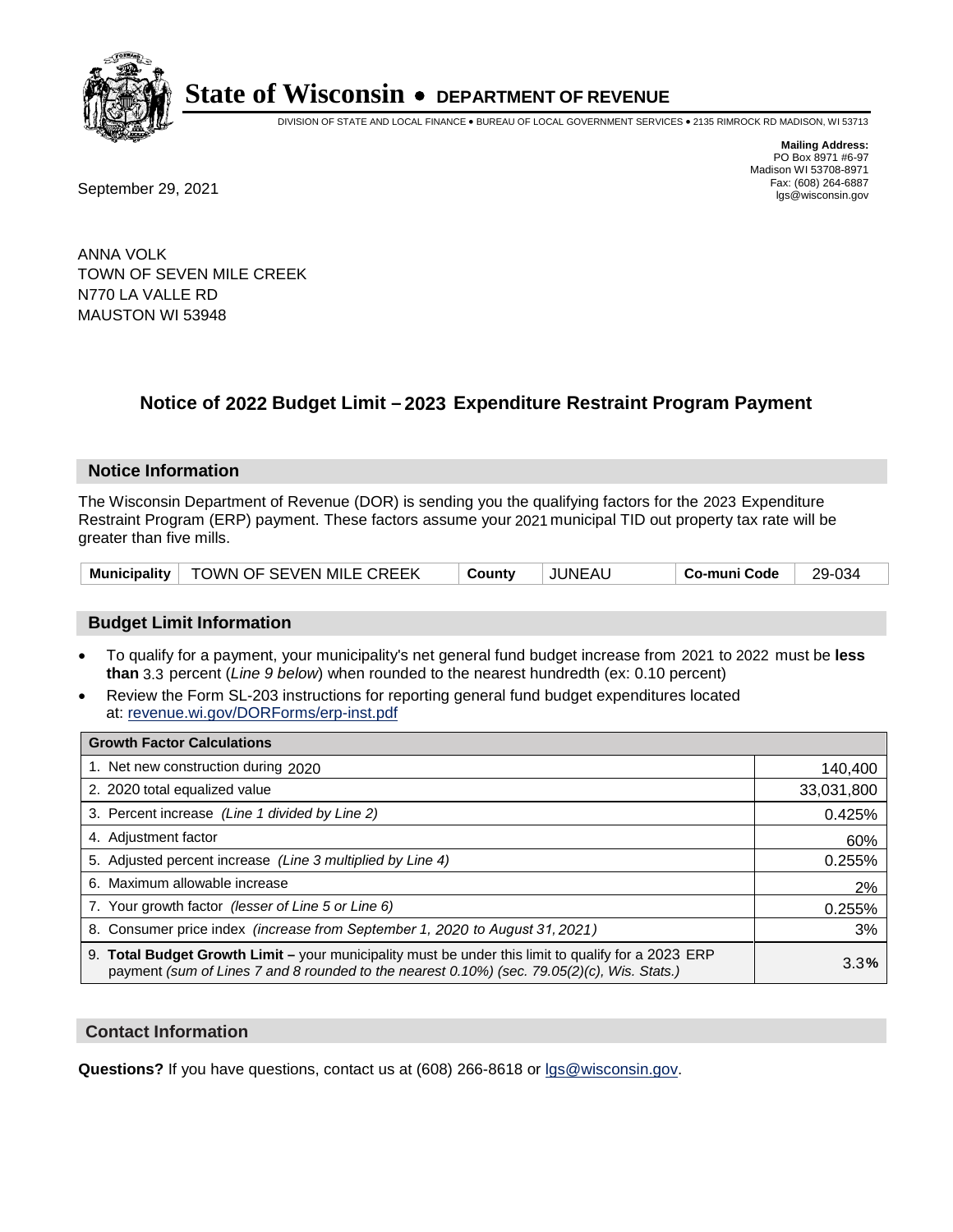

DIVISION OF STATE AND LOCAL FINANCE • BUREAU OF LOCAL GOVERNMENT SERVICES • 2135 RIMROCK RD MADISON, WI 53713

Fax: (608) 264-6887<br>
September 29, 2021 and the state of the state of the state of the state of the state of the state of the state of the state of the state of the state of the state of the state of the state of the state

**Mailing Address:** PO Box 8971 #6-97 Madison WI 53708-8971<br>Fax: (608) 264-6887

ANNA VOLK TOWN OF SEVEN MILE CREEK N770 LA VALLE RD MAUSTON WI 53948

## **Notice of 2022 Budget Limit - 2023 Expenditure Restraint Program Payment**

#### **Notice Information**

The Wisconsin Department of Revenue (DOR) is sending you the qualifying factors for the 2023 Expenditure Restraint Program (ERP) payment. These factors assume your 2021 municipal TID out property tax rate will be greater than five mills.

|  | Municipality   TOWN OF SEVEN MILE CREEK | Countv | <b>JUNEAU</b> | Co-muni Code | 29-034 |
|--|-----------------------------------------|--------|---------------|--------------|--------|
|--|-----------------------------------------|--------|---------------|--------------|--------|

#### **Budget Limit Information**

- To qualify for a payment, your municipality's net general fund budget increase from 2021 to 2022 must be less **than** 3.3 percent (*Line 9 below*) when rounded to the nearest hundredth (ex: 0.10 percent)
- Review the Form SL-203 instructions for reporting general fund budget expenditures located at: revenue.wi.gov/DORForms/erp-inst.pdf

| <b>Growth Factor Calculations</b>                                                                                                                                                                  |            |
|----------------------------------------------------------------------------------------------------------------------------------------------------------------------------------------------------|------------|
| 1. Net new construction during 2020                                                                                                                                                                | 140,400    |
| 2. 2020 total equalized value                                                                                                                                                                      | 33,031,800 |
| 3. Percent increase (Line 1 divided by Line 2)                                                                                                                                                     | 0.425%     |
| 4. Adjustment factor                                                                                                                                                                               | 60%        |
| 5. Adjusted percent increase (Line 3 multiplied by Line 4)                                                                                                                                         | 0.255%     |
| 6. Maximum allowable increase                                                                                                                                                                      | 2%         |
| 7. Your growth factor (lesser of Line 5 or Line 6)                                                                                                                                                 | 0.255%     |
| 8. Consumer price index (increase from September 1, 2020 to August 31, 2021)                                                                                                                       | 3%         |
| 9. Total Budget Growth Limit - your municipality must be under this limit to qualify for a 2023 ERP<br>payment (sum of Lines 7 and 8 rounded to the nearest 0.10%) (sec. 79.05(2)(c), Wis. Stats.) | 3.3%       |

#### **Contact Information**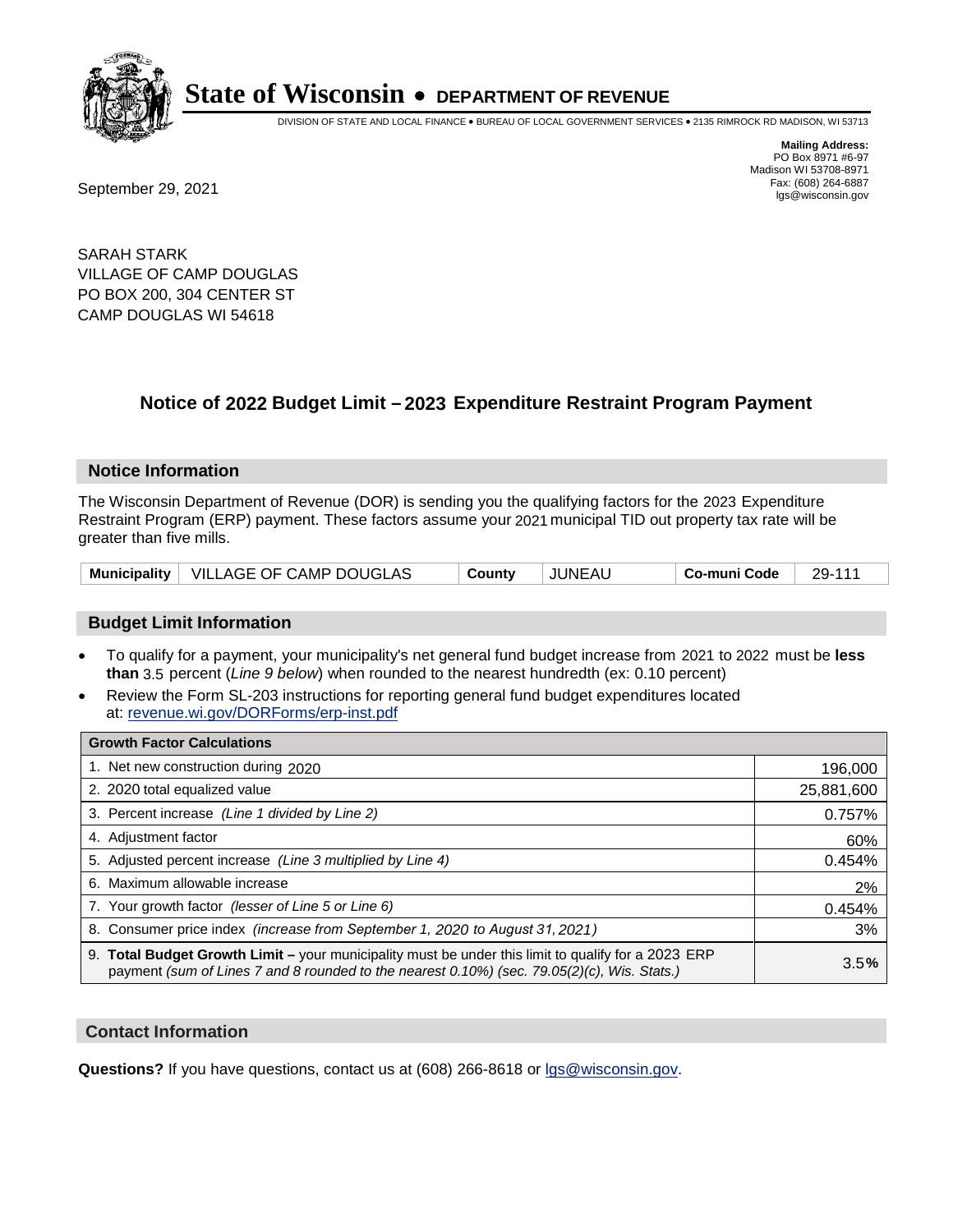

DIVISION OF STATE AND LOCAL FINANCE • BUREAU OF LOCAL GOVERNMENT SERVICES • 2135 RIMROCK RD MADISON, WI 53713

**Mailing Address:** PO Box 8971 #6-97 Madison WI 53708-8971<br>Fax: (608) 264-6887

Fax: (608) 264-6887<br>
September 29, 2021 and the state of the state of the state of the state of the state of the state of the state of the state of the state of the state of the state of the state of the state of the state

SARAH STARK VILLAGE OF CAMP DOUGLAS PO BOX 200, 304 CENTER ST CAMP DOUGLAS WI 54618

## **Notice of 2022 Budget Limit - 2023 Expenditure Restraint Program Payment**

#### **Notice Information**

The Wisconsin Department of Revenue (DOR) is sending you the qualifying factors for the 2023 Expenditure Restraint Program (ERP) payment. These factors assume your 2021 municipal TID out property tax rate will be greater than five mills.

|  | Municipality   VILLAGE OF CAMP DOUGLAS | County | JUNEAU | Co-muni Code | 29-111 |
|--|----------------------------------------|--------|--------|--------------|--------|
|--|----------------------------------------|--------|--------|--------------|--------|

### **Budget Limit Information**

- To qualify for a payment, your municipality's net general fund budget increase from 2021 to 2022 must be less **than** 3.5 percent (*Line 9 below*) when rounded to the nearest hundredth (ex: 0.10 percent)
- Review the Form SL-203 instructions for reporting general fund budget expenditures located at: revenue.wi.gov/DORForms/erp-inst.pdf

| <b>Growth Factor Calculations</b>                                                                                                                                                                  |            |
|----------------------------------------------------------------------------------------------------------------------------------------------------------------------------------------------------|------------|
| 1. Net new construction during 2020                                                                                                                                                                | 196,000    |
| 2. 2020 total equalized value                                                                                                                                                                      | 25,881,600 |
| 3. Percent increase (Line 1 divided by Line 2)                                                                                                                                                     | 0.757%     |
| 4. Adjustment factor                                                                                                                                                                               | 60%        |
| 5. Adjusted percent increase (Line 3 multiplied by Line 4)                                                                                                                                         | 0.454%     |
| 6. Maximum allowable increase                                                                                                                                                                      | 2%         |
| 7. Your growth factor (lesser of Line 5 or Line 6)                                                                                                                                                 | 0.454%     |
| 8. Consumer price index (increase from September 1, 2020 to August 31, 2021)                                                                                                                       | 3%         |
| 9. Total Budget Growth Limit - your municipality must be under this limit to qualify for a 2023 ERP<br>payment (sum of Lines 7 and 8 rounded to the nearest 0.10%) (sec. 79.05(2)(c), Wis. Stats.) | 3.5%       |

### **Contact Information**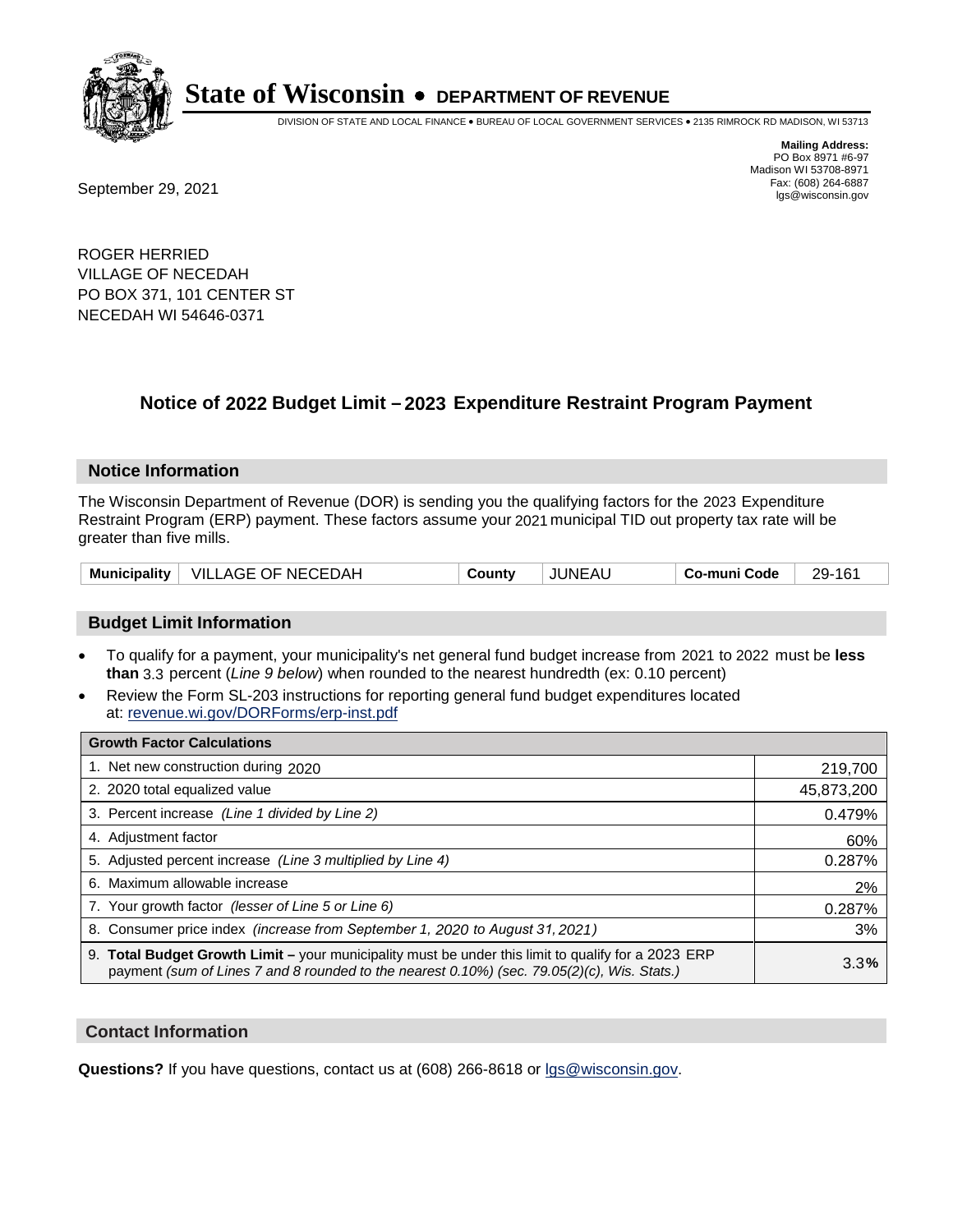

DIVISION OF STATE AND LOCAL FINANCE • BUREAU OF LOCAL GOVERNMENT SERVICES • 2135 RIMROCK RD MADISON, WI 53713

**Mailing Address:** PO Box 8971 #6-97 Madison WI 53708-8971<br>Fax: (608) 264-6887

Fax: (608) 264-6887<br>
September 29, 2021 and the state of the state of the state of the state of the state of the state of the state of the state of the state of the state of the state of the state of the state of the state

ROGER HERRIED VILLAGE OF NECEDAH PO BOX 371, 101 CENTER ST NECEDAH WI 54646-0371

## **Notice of 2022 Budget Limit - 2023 Expenditure Restraint Program Payment**

#### **Notice Information**

The Wisconsin Department of Revenue (DOR) is sending you the qualifying factors for the 2023 Expenditure Restraint Program (ERP) payment. These factors assume your 2021 municipal TID out property tax rate will be greater than five mills.

| <b>Municipality</b> | VILLAGE OF NECEDAH | County | JUNEAU | Co-muni Code | 29-161 |
|---------------------|--------------------|--------|--------|--------------|--------|
|---------------------|--------------------|--------|--------|--------------|--------|

### **Budget Limit Information**

- To qualify for a payment, your municipality's net general fund budget increase from 2021 to 2022 must be less **than** 3.3 percent (*Line 9 below*) when rounded to the nearest hundredth (ex: 0.10 percent)
- Review the Form SL-203 instructions for reporting general fund budget expenditures located at: revenue.wi.gov/DORForms/erp-inst.pdf

| <b>Growth Factor Calculations</b>                                                                                                                                                                      |            |
|--------------------------------------------------------------------------------------------------------------------------------------------------------------------------------------------------------|------------|
| 1. Net new construction during 2020                                                                                                                                                                    | 219,700    |
| 2. 2020 total equalized value                                                                                                                                                                          | 45,873,200 |
| 3. Percent increase (Line 1 divided by Line 2)                                                                                                                                                         | 0.479%     |
| 4. Adiustment factor                                                                                                                                                                                   | 60%        |
| 5. Adjusted percent increase (Line 3 multiplied by Line 4)                                                                                                                                             | 0.287%     |
| 6. Maximum allowable increase                                                                                                                                                                          | 2%         |
| 7. Your growth factor (lesser of Line 5 or Line 6)                                                                                                                                                     | 0.287%     |
| 8. Consumer price index (increase from September 1, 2020 to August 31, 2021)                                                                                                                           | 3%         |
| 9. Total Budget Growth Limit - your municipality must be under this limit to qualify for a 2023 ERP<br>payment (sum of Lines 7 and 8 rounded to the nearest $0.10\%$ ) (sec. 79.05(2)(c), Wis. Stats.) | 3.3%       |

### **Contact Information**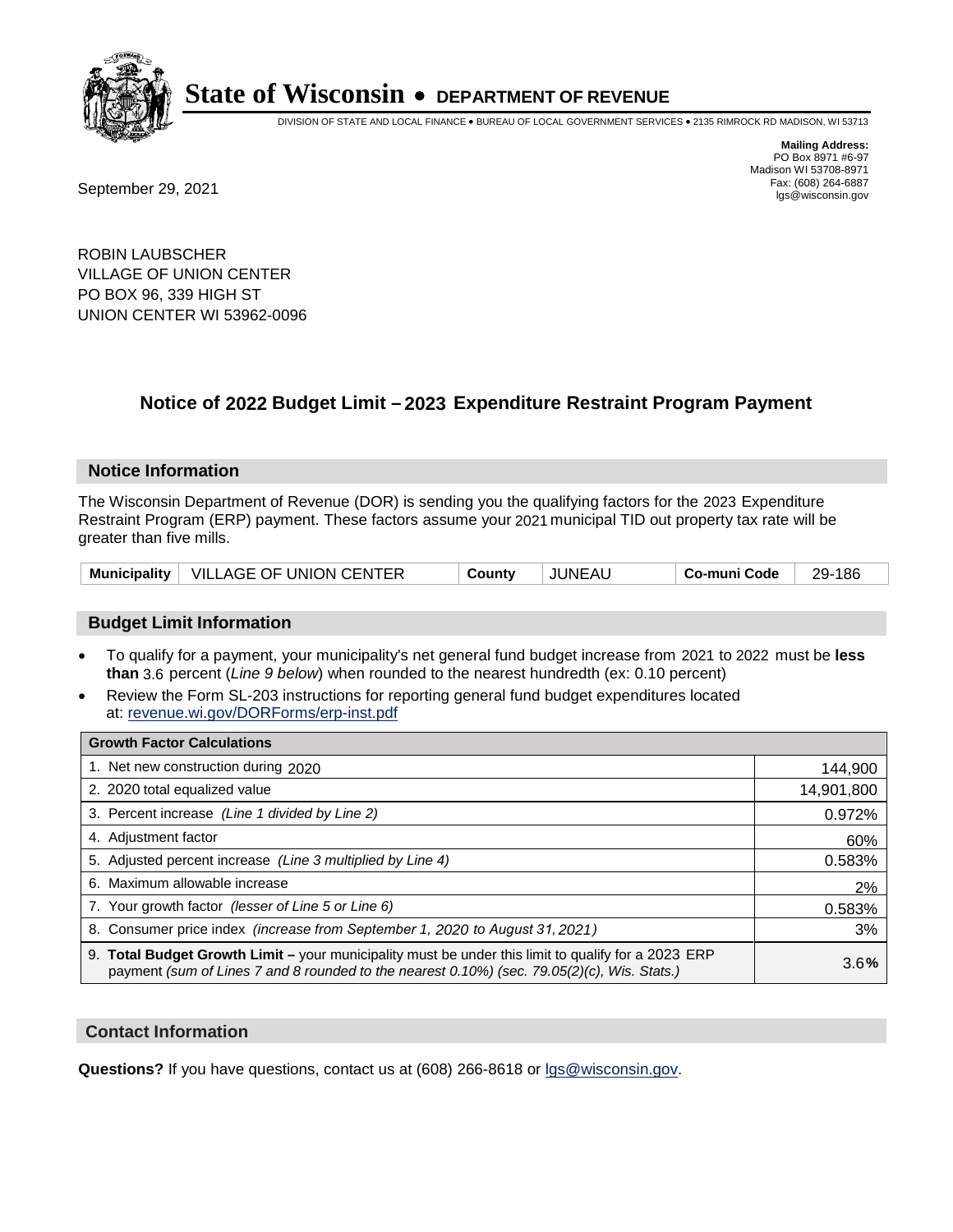

DIVISION OF STATE AND LOCAL FINANCE • BUREAU OF LOCAL GOVERNMENT SERVICES • 2135 RIMROCK RD MADISON, WI 53713

Fax: (608) 264-6887<br>
September 29, 2021 and the state of the state of the state of the state of the state of the state of the state of the state of the state of the state of the state of the state of the state of the state

**Mailing Address:** PO Box 8971 #6-97 Madison WI 53708-8971<br>Fax: (608) 264-6887

ROBIN LAUBSCHER VILLAGE OF UNION CENTER PO BOX 96, 339 HIGH ST UNION CENTER WI 53962-0096

## **Notice of 2022 Budget Limit - 2023 Expenditure Restraint Program Payment**

#### **Notice Information**

The Wisconsin Department of Revenue (DOR) is sending you the qualifying factors for the 2023 Expenditure Restraint Program (ERP) payment. These factors assume your 2021 municipal TID out property tax rate will be greater than five mills.

| Municipality   VILLAGE OF UNION CENTER |  | County | JUNEAU | Co-muni Code | 29-186 |
|----------------------------------------|--|--------|--------|--------------|--------|
|----------------------------------------|--|--------|--------|--------------|--------|

### **Budget Limit Information**

- To qualify for a payment, your municipality's net general fund budget increase from 2021 to 2022 must be less **than** 3.6 percent (*Line 9 below*) when rounded to the nearest hundredth (ex: 0.10 percent)
- Review the Form SL-203 instructions for reporting general fund budget expenditures located at: revenue.wi.gov/DORForms/erp-inst.pdf

| <b>Growth Factor Calculations</b>                                                                                                                                                                  |            |
|----------------------------------------------------------------------------------------------------------------------------------------------------------------------------------------------------|------------|
| 1. Net new construction during 2020                                                                                                                                                                | 144,900    |
| 2. 2020 total equalized value                                                                                                                                                                      | 14,901,800 |
| 3. Percent increase (Line 1 divided by Line 2)                                                                                                                                                     | 0.972%     |
| 4. Adjustment factor                                                                                                                                                                               | 60%        |
| 5. Adjusted percent increase (Line 3 multiplied by Line 4)                                                                                                                                         | 0.583%     |
| 6. Maximum allowable increase                                                                                                                                                                      | 2%         |
| 7. Your growth factor (lesser of Line 5 or Line 6)                                                                                                                                                 | 0.583%     |
| 8. Consumer price index (increase from September 1, 2020 to August 31, 2021)                                                                                                                       | 3%         |
| 9. Total Budget Growth Limit - your municipality must be under this limit to qualify for a 2023 ERP<br>payment (sum of Lines 7 and 8 rounded to the nearest 0.10%) (sec. 79.05(2)(c), Wis. Stats.) | 3.6%       |

### **Contact Information**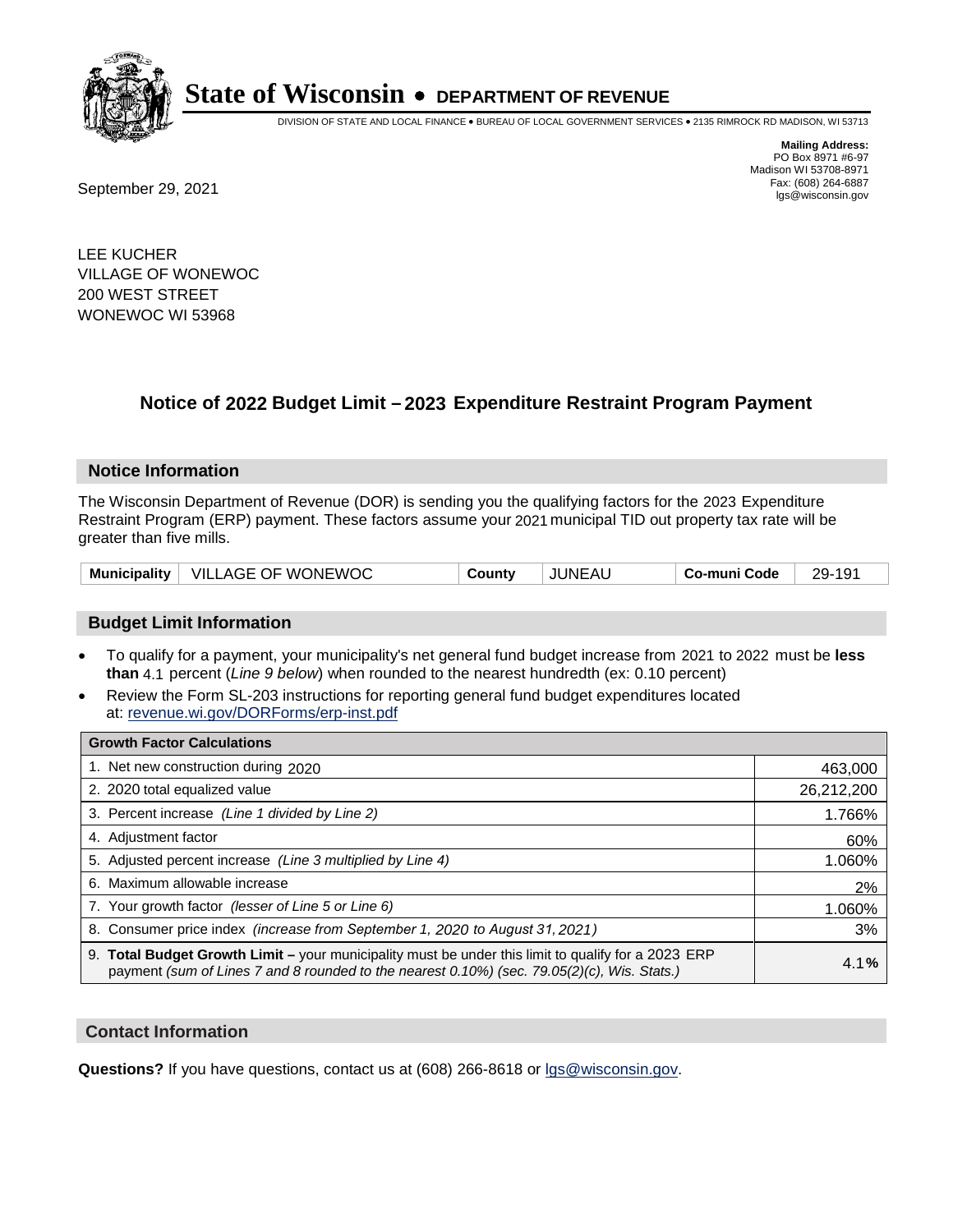

DIVISION OF STATE AND LOCAL FINANCE • BUREAU OF LOCAL GOVERNMENT SERVICES • 2135 RIMROCK RD MADISON, WI 53713

**Mailing Address:** PO Box 8971 #6-97 Madison WI 53708-8971<br>Fax: (608) 264-6887

Fax: (608) 264-6887<br>
September 29, 2021 and the state of the state of the state of the state of the state of the state of the state of the state of the state of the state of the state of the state of the state of the state

LEE KUCHER VILLAGE OF WONEWOC 200 WEST STREET WONEWOC WI 53968

## **Notice of 2022 Budget Limit - 2023 Expenditure Restraint Program Payment**

### **Notice Information**

The Wisconsin Department of Revenue (DOR) is sending you the qualifying factors for the 2023 Expenditure Restraint Program (ERP) payment. These factors assume your 2021 municipal TID out property tax rate will be greater than five mills.

### **Budget Limit Information**

- To qualify for a payment, your municipality's net general fund budget increase from 2021 to 2022 must be less **than** 4.1 percent (*Line 9 below*) when rounded to the nearest hundredth (ex: 0.10 percent)
- Review the Form SL-203 instructions for reporting general fund budget expenditures located at: revenue.wi.gov/DORForms/erp-inst.pdf

| <b>Growth Factor Calculations</b>                                                                                                                                                                  |            |
|----------------------------------------------------------------------------------------------------------------------------------------------------------------------------------------------------|------------|
| 1. Net new construction during 2020                                                                                                                                                                | 463,000    |
| 2. 2020 total equalized value                                                                                                                                                                      | 26,212,200 |
| 3. Percent increase (Line 1 divided by Line 2)                                                                                                                                                     | 1.766%     |
| 4. Adiustment factor                                                                                                                                                                               | 60%        |
| 5. Adjusted percent increase (Line 3 multiplied by Line 4)                                                                                                                                         | 1.060%     |
| Maximum allowable increase<br>6.                                                                                                                                                                   | 2%         |
| 7. Your growth factor (lesser of Line 5 or Line 6)                                                                                                                                                 | 1.060%     |
| 8. Consumer price index (increase from September 1, 2020 to August 31, 2021)                                                                                                                       | 3%         |
| 9. Total Budget Growth Limit - your municipality must be under this limit to qualify for a 2023 ERP<br>payment (sum of Lines 7 and 8 rounded to the nearest 0.10%) (sec. 79.05(2)(c), Wis. Stats.) | 4.1%       |

### **Contact Information**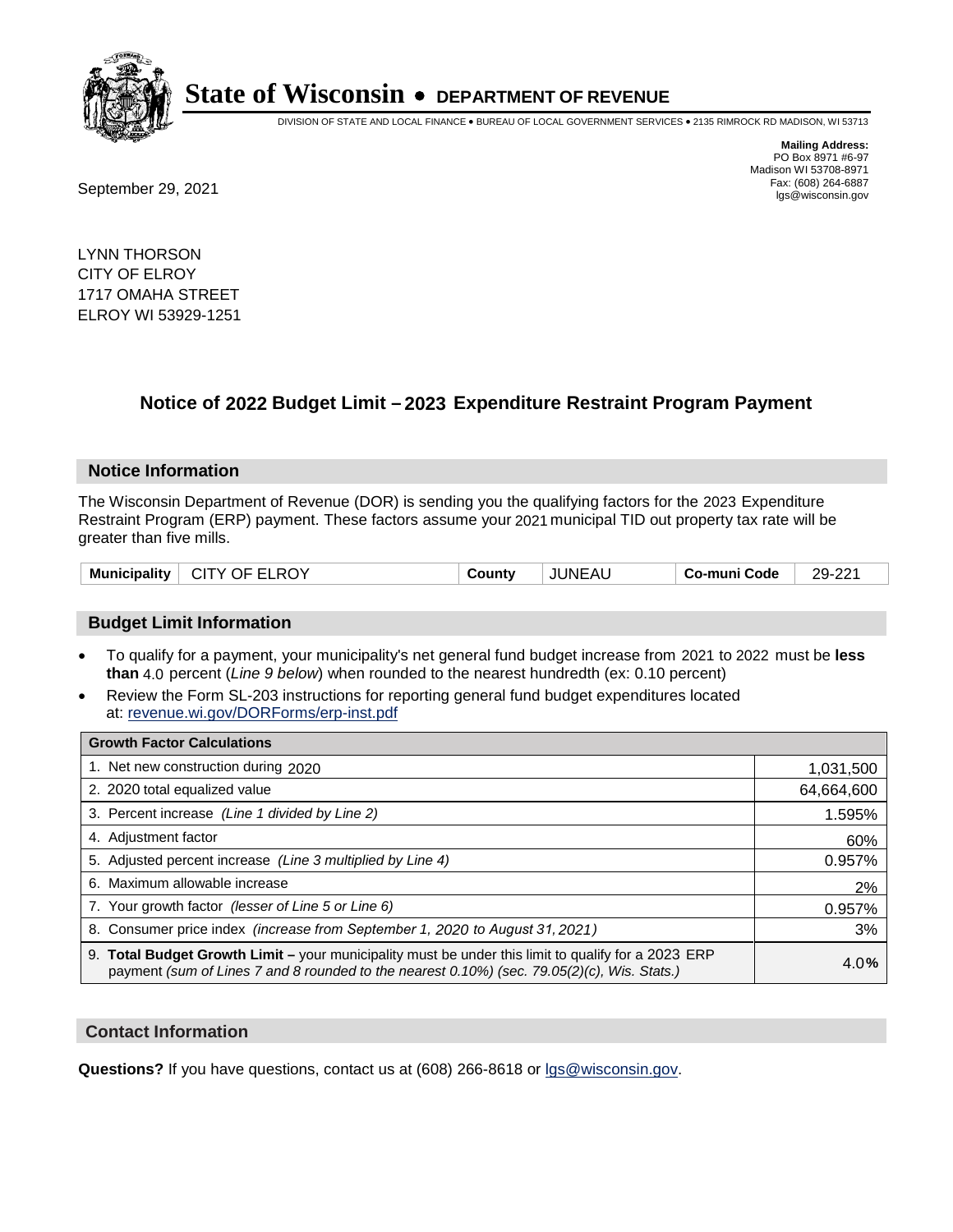

DIVISION OF STATE AND LOCAL FINANCE • BUREAU OF LOCAL GOVERNMENT SERVICES • 2135 RIMROCK RD MADISON, WI 53713

**Mailing Address:** PO Box 8971 #6-97 Madison WI 53708-8971<br>Fax: (608) 264-6887 Fax: (608) 264-6887<br>
September 29, 2021 and the state of the state of the state of the state of the state of the state of the state of the state of the state of the state of the state of the state of the state of the state

LYNN THORSON CITY OF ELROY 1717 OMAHA STREET ELROY WI 53929-1251

## **Notice of 2022 Budget Limit - 2023 Expenditure Restraint Program Payment**

#### **Notice Information**

The Wisconsin Department of Revenue (DOR) is sending you the qualifying factors for the 2023 Expenditure Restraint Program (ERP) payment. These factors assume your 2021 municipal TID out property tax rate will be greater than five mills.

|  | Municipality | CITY OF ELROY | County | <b>JUNEAU</b> | Co-muni Code | 29-221 |
|--|--------------|---------------|--------|---------------|--------------|--------|
|--|--------------|---------------|--------|---------------|--------------|--------|

### **Budget Limit Information**

- To qualify for a payment, your municipality's net general fund budget increase from 2021 to 2022 must be less **than** 4.0 percent (*Line 9 below*) when rounded to the nearest hundredth (ex: 0.10 percent)
- Review the Form SL-203 instructions for reporting general fund budget expenditures located at: revenue.wi.gov/DORForms/erp-inst.pdf

| <b>Growth Factor Calculations</b>                                                                                                                                                                      |            |
|--------------------------------------------------------------------------------------------------------------------------------------------------------------------------------------------------------|------------|
| 1. Net new construction during 2020                                                                                                                                                                    | 1,031,500  |
| 2. 2020 total equalized value                                                                                                                                                                          | 64,664,600 |
| 3. Percent increase (Line 1 divided by Line 2)                                                                                                                                                         | 1.595%     |
| 4. Adiustment factor                                                                                                                                                                                   | 60%        |
| 5. Adjusted percent increase (Line 3 multiplied by Line 4)                                                                                                                                             | 0.957%     |
| 6. Maximum allowable increase                                                                                                                                                                          | 2%         |
| 7. Your growth factor (lesser of Line 5 or Line 6)                                                                                                                                                     | 0.957%     |
| 8. Consumer price index (increase from September 1, 2020 to August 31, 2021)                                                                                                                           | 3%         |
| 9. Total Budget Growth Limit - your municipality must be under this limit to qualify for a 2023 ERP<br>payment (sum of Lines 7 and 8 rounded to the nearest $0.10\%$ ) (sec. 79.05(2)(c), Wis. Stats.) | 4.0%       |

### **Contact Information**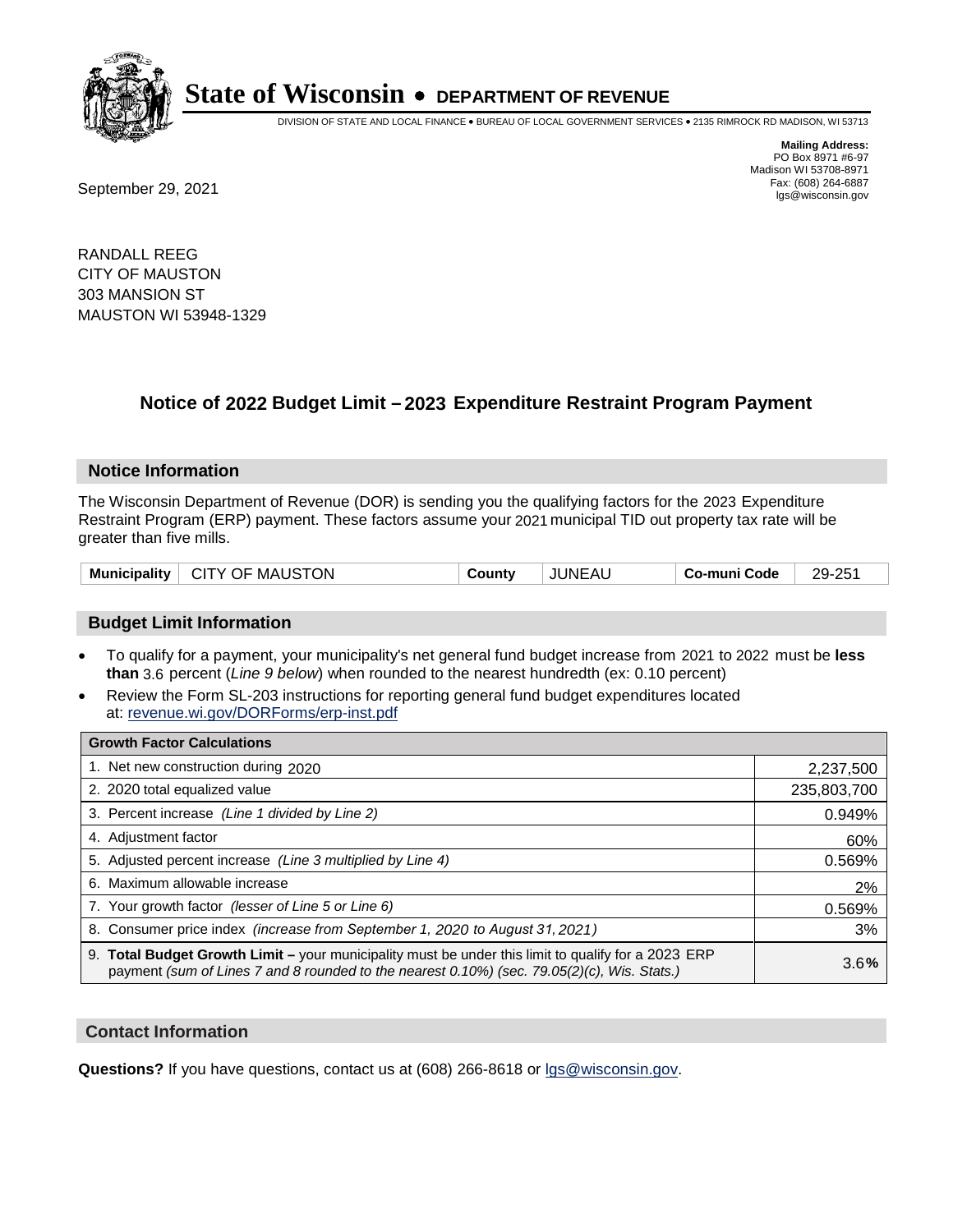

DIVISION OF STATE AND LOCAL FINANCE • BUREAU OF LOCAL GOVERNMENT SERVICES • 2135 RIMROCK RD MADISON, WI 53713

**Mailing Address:** PO Box 8971 #6-97 Madison WI 53708-8971<br>Fax: (608) 264-6887 Fax: (608) 264-6887<br>
September 29, 2021 and the state of the state of the state of the state of the state of the state of the state of the state of the state of the state of the state of the state of the state of the state

RANDALL REEG CITY OF MAUSTON 303 MANSION ST MAUSTON WI 53948-1329

## **Notice of 2022 Budget Limit - 2023 Expenditure Restraint Program Payment**

### **Notice Information**

The Wisconsin Department of Revenue (DOR) is sending you the qualifying factors for the 2023 Expenditure Restraint Program (ERP) payment. These factors assume your 2021 municipal TID out property tax rate will be greater than five mills.

| Municipality   CITY OF MAUSTON<br><b>JUNEAU</b><br>County | 29-251<br>Co-muni Code |
|-----------------------------------------------------------|------------------------|
|-----------------------------------------------------------|------------------------|

### **Budget Limit Information**

- To qualify for a payment, your municipality's net general fund budget increase from 2021 to 2022 must be less **than** 3.6 percent (*Line 9 below*) when rounded to the nearest hundredth (ex: 0.10 percent)
- Review the Form SL-203 instructions for reporting general fund budget expenditures located at: revenue.wi.gov/DORForms/erp-inst.pdf

| <b>Growth Factor Calculations</b>                                                                                                                                                                      |             |
|--------------------------------------------------------------------------------------------------------------------------------------------------------------------------------------------------------|-------------|
| 1. Net new construction during 2020                                                                                                                                                                    | 2,237,500   |
| 2. 2020 total equalized value                                                                                                                                                                          | 235,803,700 |
| 3. Percent increase (Line 1 divided by Line 2)                                                                                                                                                         | 0.949%      |
| 4. Adiustment factor                                                                                                                                                                                   | 60%         |
| 5. Adjusted percent increase (Line 3 multiplied by Line 4)                                                                                                                                             | 0.569%      |
| 6. Maximum allowable increase                                                                                                                                                                          | 2%          |
| 7. Your growth factor (lesser of Line 5 or Line 6)                                                                                                                                                     | 0.569%      |
| 8. Consumer price index (increase from September 1, 2020 to August 31, 2021)                                                                                                                           | 3%          |
| 9. Total Budget Growth Limit - your municipality must be under this limit to qualify for a 2023 ERP<br>payment (sum of Lines 7 and 8 rounded to the nearest $0.10\%$ ) (sec. 79.05(2)(c), Wis. Stats.) | 3.6%        |

### **Contact Information**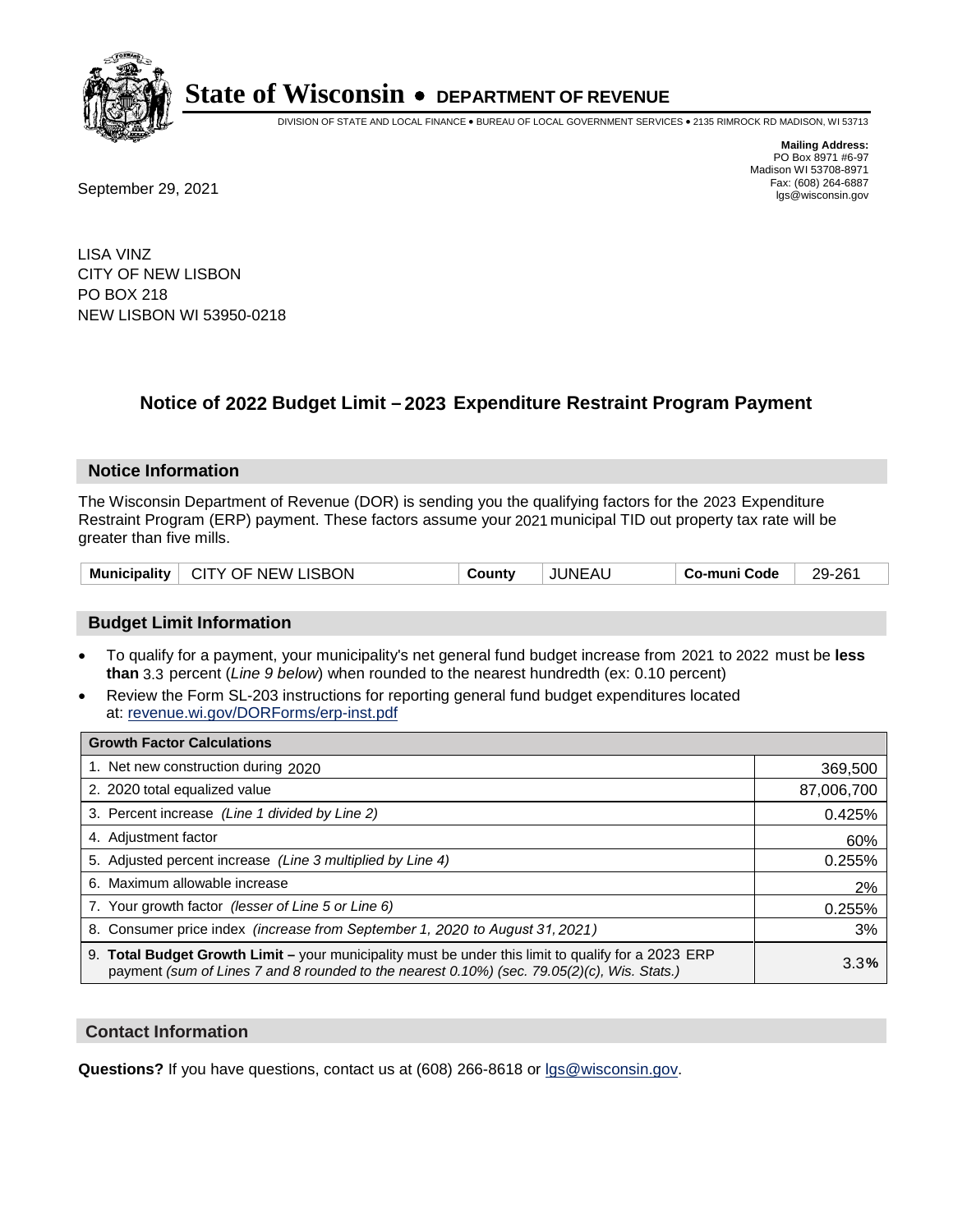

DIVISION OF STATE AND LOCAL FINANCE • BUREAU OF LOCAL GOVERNMENT SERVICES • 2135 RIMROCK RD MADISON, WI 53713

Fax: (608) 264-6887<br>
September 29, 2021 and the state of the state of the state of the state of the state of the state of the state of the state of the state of the state of the state of the state of the state of the state

**Mailing Address:** PO Box 8971 #6-97 Madison WI 53708-8971<br>Fax: (608) 264-6887

LISA VINZ CITY OF NEW LISBON PO BOX 218 NEW LISBON WI 53950-0218

## **Notice of 2022 Budget Limit - 2023 Expenditure Restraint Program Payment**

### **Notice Information**

The Wisconsin Department of Revenue (DOR) is sending you the qualifying factors for the 2023 Expenditure Restraint Program (ERP) payment. These factors assume your 2021 municipal TID out property tax rate will be greater than five mills.

| Municipality   CITY OF NEW LISBON<br>County | JUNEAL | Co-muni Code | 29-261 |
|---------------------------------------------|--------|--------------|--------|
|---------------------------------------------|--------|--------------|--------|

### **Budget Limit Information**

- To qualify for a payment, your municipality's net general fund budget increase from 2021 to 2022 must be less **than** 3.3 percent (*Line 9 below*) when rounded to the nearest hundredth (ex: 0.10 percent)
- Review the Form SL-203 instructions for reporting general fund budget expenditures located at: revenue.wi.gov/DORForms/erp-inst.pdf

| <b>Growth Factor Calculations</b>                                                                                                                                                                  |            |
|----------------------------------------------------------------------------------------------------------------------------------------------------------------------------------------------------|------------|
| 1. Net new construction during 2020                                                                                                                                                                | 369,500    |
| 2. 2020 total equalized value                                                                                                                                                                      | 87,006,700 |
| 3. Percent increase (Line 1 divided by Line 2)                                                                                                                                                     | 0.425%     |
| 4. Adjustment factor                                                                                                                                                                               | 60%        |
| 5. Adjusted percent increase (Line 3 multiplied by Line 4)                                                                                                                                         | 0.255%     |
| 6. Maximum allowable increase                                                                                                                                                                      | 2%         |
| 7. Your growth factor (lesser of Line 5 or Line 6)                                                                                                                                                 | 0.255%     |
| 8. Consumer price index (increase from September 1, 2020 to August 31, 2021)                                                                                                                       | 3%         |
| 9. Total Budget Growth Limit – your municipality must be under this limit to qualify for a 2023 ERP<br>payment (sum of Lines 7 and 8 rounded to the nearest 0.10%) (sec. 79.05(2)(c), Wis. Stats.) | 3.3%       |

### **Contact Information**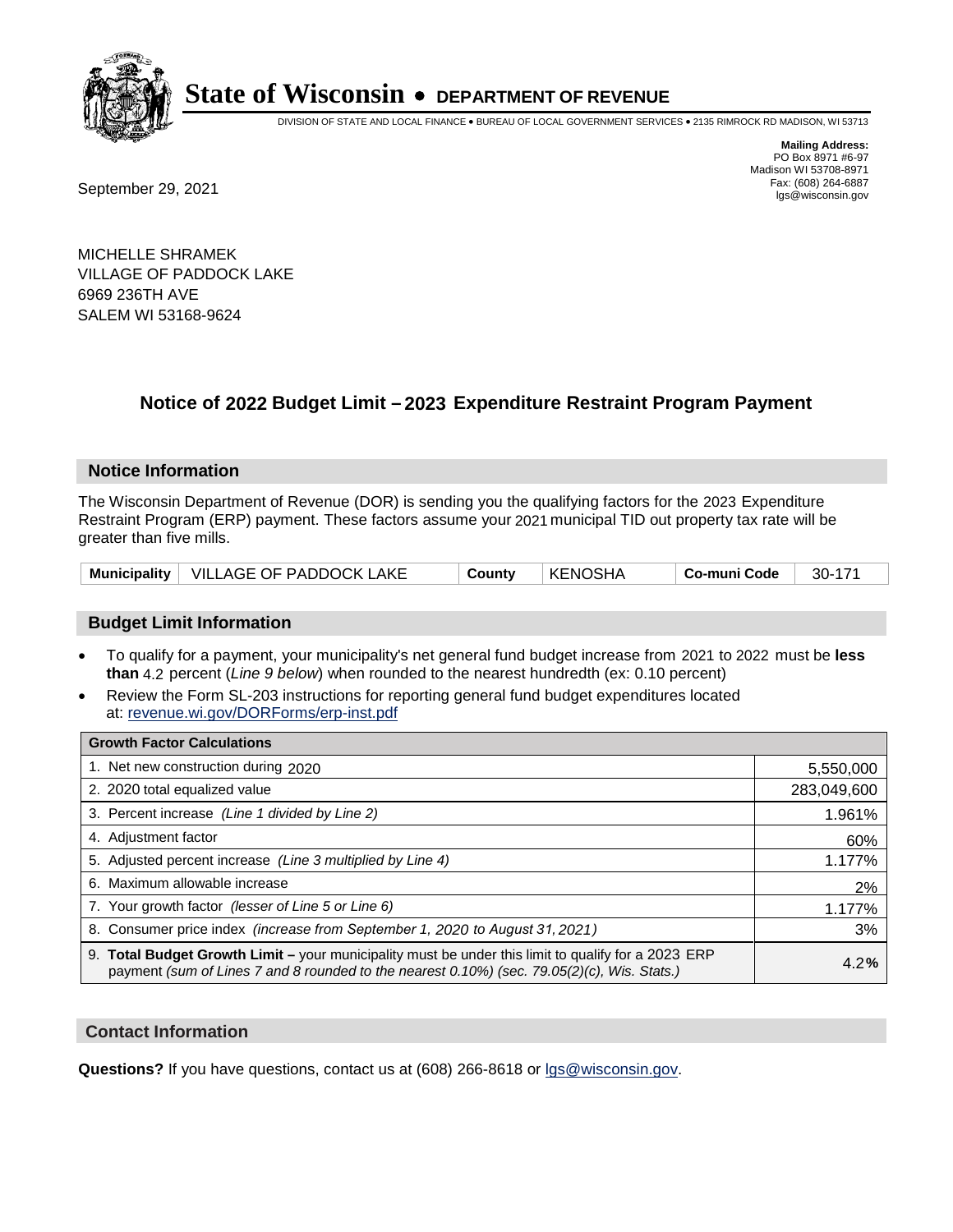

DIVISION OF STATE AND LOCAL FINANCE • BUREAU OF LOCAL GOVERNMENT SERVICES • 2135 RIMROCK RD MADISON, WI 53713

Fax: (608) 264-6887<br>
September 29, 2021 and the state of the state of the state of the state of the state of the state of the state of the state of the state of the state of the state of the state of the state of the state

**Mailing Address:** PO Box 8971 #6-97 Madison WI 53708-8971<br>Fax: (608) 264-6887

MICHELLE SHRAMEK VILLAGE OF PADDOCK LAKE 6969 236TH AVE SALEM WI 53168-9624

## **Notice of 2022 Budget Limit - 2023 Expenditure Restraint Program Payment**

### **Notice Information**

The Wisconsin Department of Revenue (DOR) is sending you the qualifying factors for the 2023 Expenditure Restraint Program (ERP) payment. These factors assume your 2021 municipal TID out property tax rate will be greater than five mills.

### **Budget Limit Information**

- To qualify for a payment, your municipality's net general fund budget increase from 2021 to 2022 must be less **than** 4.2 percent (*Line 9 below*) when rounded to the nearest hundredth (ex: 0.10 percent)
- Review the Form SL-203 instructions for reporting general fund budget expenditures located at: revenue.wi.gov/DORForms/erp-inst.pdf

| <b>Growth Factor Calculations</b>                                                                                                                                                                  |             |
|----------------------------------------------------------------------------------------------------------------------------------------------------------------------------------------------------|-------------|
| 1. Net new construction during 2020                                                                                                                                                                | 5,550,000   |
| 2. 2020 total equalized value                                                                                                                                                                      | 283,049,600 |
| 3. Percent increase (Line 1 divided by Line 2)                                                                                                                                                     | 1.961%      |
| 4. Adiustment factor                                                                                                                                                                               | 60%         |
| 5. Adjusted percent increase (Line 3 multiplied by Line 4)                                                                                                                                         | 1.177%      |
| 6. Maximum allowable increase                                                                                                                                                                      | 2%          |
| 7. Your growth factor (lesser of Line 5 or Line 6)                                                                                                                                                 | 1.177%      |
| 8. Consumer price index (increase from September 1, 2020 to August 31, 2021)                                                                                                                       | 3%          |
| 9. Total Budget Growth Limit - your municipality must be under this limit to qualify for a 2023 ERP<br>payment (sum of Lines 7 and 8 rounded to the nearest 0.10%) (sec. 79.05(2)(c), Wis. Stats.) | 4.2%        |

### **Contact Information**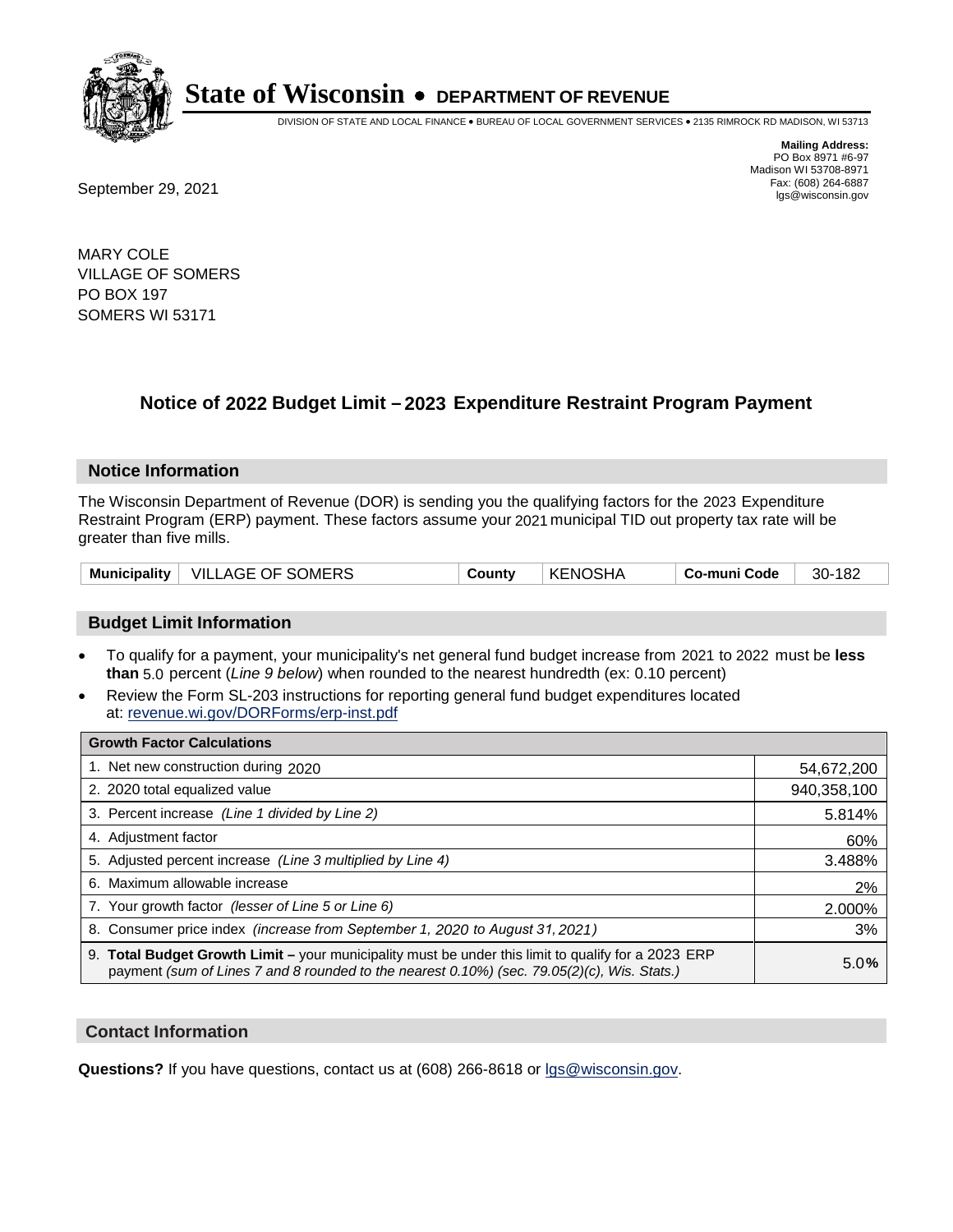

DIVISION OF STATE AND LOCAL FINANCE • BUREAU OF LOCAL GOVERNMENT SERVICES • 2135 RIMROCK RD MADISON, WI 53713

**Mailing Address:** PO Box 8971 #6-97 Madison WI 53708-8971<br>Fax: (608) 264-6887

Fax: (608) 264-6887<br>
September 29, 2021 and the state of the state of the state of the state of the state of the state of the state of the state of the state of the state of the state of the state of the state of the state

MARY COLE VILLAGE OF SOMERS PO BOX 197 SOMERS WI 53171

## **Notice of 2022 Budget Limit - 2023 Expenditure Restraint Program Payment**

### **Notice Information**

The Wisconsin Department of Revenue (DOR) is sending you the qualifying factors for the 2023 Expenditure Restraint Program (ERP) payment. These factors assume your 2021 municipal TID out property tax rate will be greater than five mills.

| Municipality | <b>VILLAGE OF SOMERS</b> | County | <b>KENOSHA</b> | Co-muni Code | 182<br>30- |
|--------------|--------------------------|--------|----------------|--------------|------------|
|--------------|--------------------------|--------|----------------|--------------|------------|

### **Budget Limit Information**

- To qualify for a payment, your municipality's net general fund budget increase from 2021 to 2022 must be less **than** 5.0 percent (*Line 9 below*) when rounded to the nearest hundredth (ex: 0.10 percent)
- Review the Form SL-203 instructions for reporting general fund budget expenditures located at: revenue.wi.gov/DORForms/erp-inst.pdf

| <b>Growth Factor Calculations</b>                                                                                                                                                                  |             |
|----------------------------------------------------------------------------------------------------------------------------------------------------------------------------------------------------|-------------|
| 1. Net new construction during 2020                                                                                                                                                                | 54,672,200  |
| 2. 2020 total equalized value                                                                                                                                                                      | 940,358,100 |
| 3. Percent increase (Line 1 divided by Line 2)                                                                                                                                                     | 5.814%      |
| 4. Adiustment factor                                                                                                                                                                               | 60%         |
| 5. Adjusted percent increase (Line 3 multiplied by Line 4)                                                                                                                                         | 3.488%      |
| 6. Maximum allowable increase                                                                                                                                                                      | 2%          |
| 7. Your growth factor (lesser of Line 5 or Line 6)                                                                                                                                                 | 2.000%      |
| 8. Consumer price index (increase from September 1, 2020 to August 31, 2021)                                                                                                                       | 3%          |
| 9. Total Budget Growth Limit - your municipality must be under this limit to qualify for a 2023 ERP<br>payment (sum of Lines 7 and 8 rounded to the nearest 0.10%) (sec. 79.05(2)(c), Wis. Stats.) | 5.0%        |

### **Contact Information**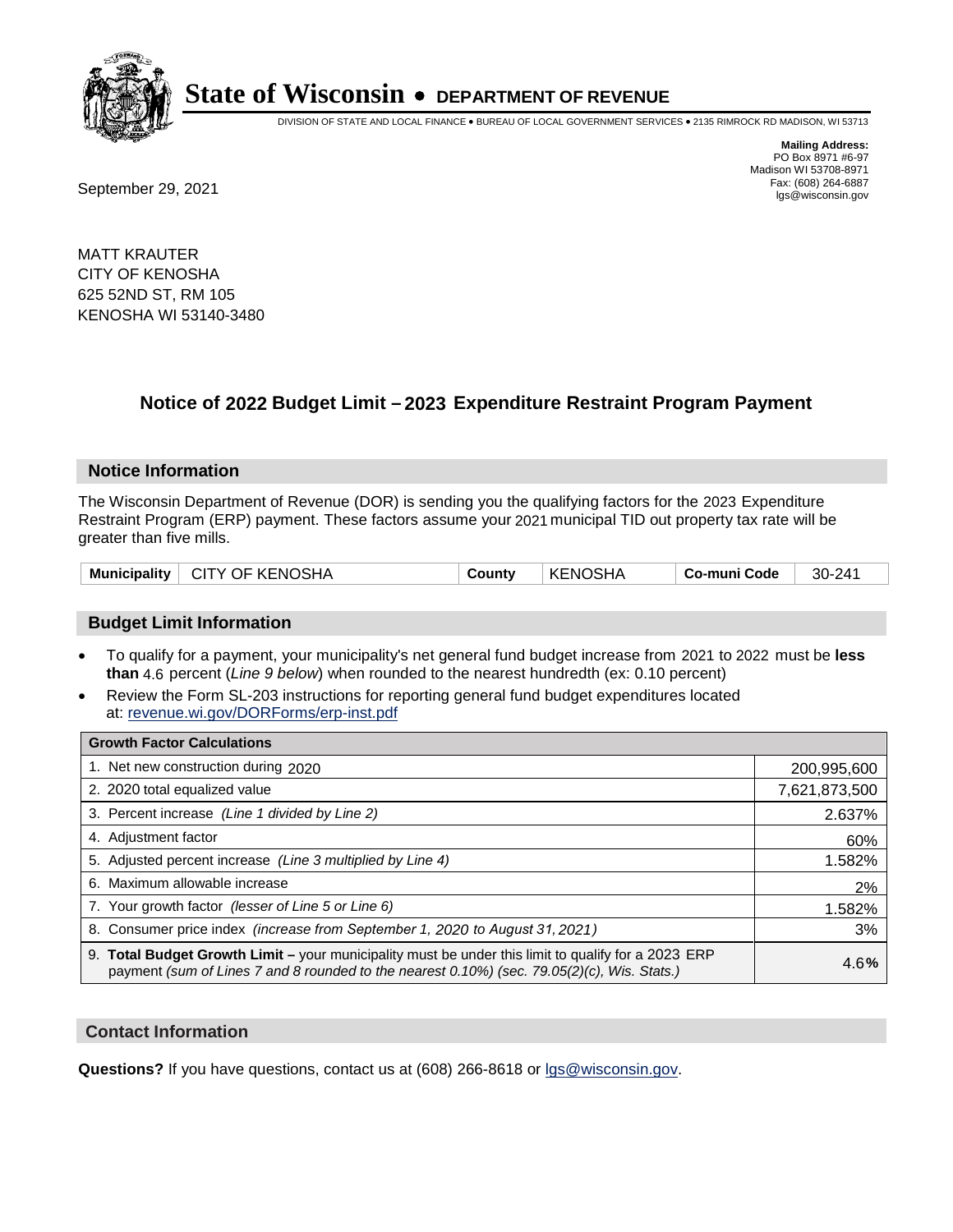

DIVISION OF STATE AND LOCAL FINANCE • BUREAU OF LOCAL GOVERNMENT SERVICES • 2135 RIMROCK RD MADISON, WI 53713

**Mailing Address:** PO Box 8971 #6-97 Madison WI 53708-8971<br>Fax: (608) 264-6887

Fax: (608) 264-6887<br>
September 29, 2021 and the state of the state of the state of the state of the state of the state of the state of the state of the state of the state of the state of the state of the state of the state

MATT KRAUTER CITY OF KENOSHA 625 52ND ST, RM 105 KENOSHA WI 53140-3480

## **Notice of 2022 Budget Limit - 2023 Expenditure Restraint Program Payment**

### **Notice Information**

The Wisconsin Department of Revenue (DOR) is sending you the qualifying factors for the 2023 Expenditure Restraint Program (ERP) payment. These factors assume your 2021 municipal TID out property tax rate will be greater than five mills.

|  |  | Municipality   CITY OF KENOSHA | County | ∣ KENOSHA | ∣ Co-muni Code | 30-241 |
|--|--|--------------------------------|--------|-----------|----------------|--------|
|--|--|--------------------------------|--------|-----------|----------------|--------|

### **Budget Limit Information**

- To qualify for a payment, your municipality's net general fund budget increase from 2021 to 2022 must be less **than** 4.6 percent (*Line 9 below*) when rounded to the nearest hundredth (ex: 0.10 percent)
- Review the Form SL-203 instructions for reporting general fund budget expenditures located at: revenue.wi.gov/DORForms/erp-inst.pdf

| <b>Growth Factor Calculations</b>                                                                                                                                                                  |               |
|----------------------------------------------------------------------------------------------------------------------------------------------------------------------------------------------------|---------------|
| 1. Net new construction during 2020                                                                                                                                                                | 200,995,600   |
| 2. 2020 total equalized value                                                                                                                                                                      | 7,621,873,500 |
| 3. Percent increase (Line 1 divided by Line 2)                                                                                                                                                     | 2.637%        |
| 4. Adjustment factor                                                                                                                                                                               | 60%           |
| 5. Adjusted percent increase (Line 3 multiplied by Line 4)                                                                                                                                         | 1.582%        |
| 6. Maximum allowable increase                                                                                                                                                                      | 2%            |
| 7. Your growth factor (lesser of Line 5 or Line 6)                                                                                                                                                 | 1.582%        |
| 8. Consumer price index (increase from September 1, 2020 to August 31, 2021)                                                                                                                       | 3%            |
| 9. Total Budget Growth Limit - your municipality must be under this limit to qualify for a 2023 ERP<br>payment (sum of Lines 7 and 8 rounded to the nearest 0.10%) (sec. 79.05(2)(c), Wis. Stats.) | 4.6%          |

### **Contact Information**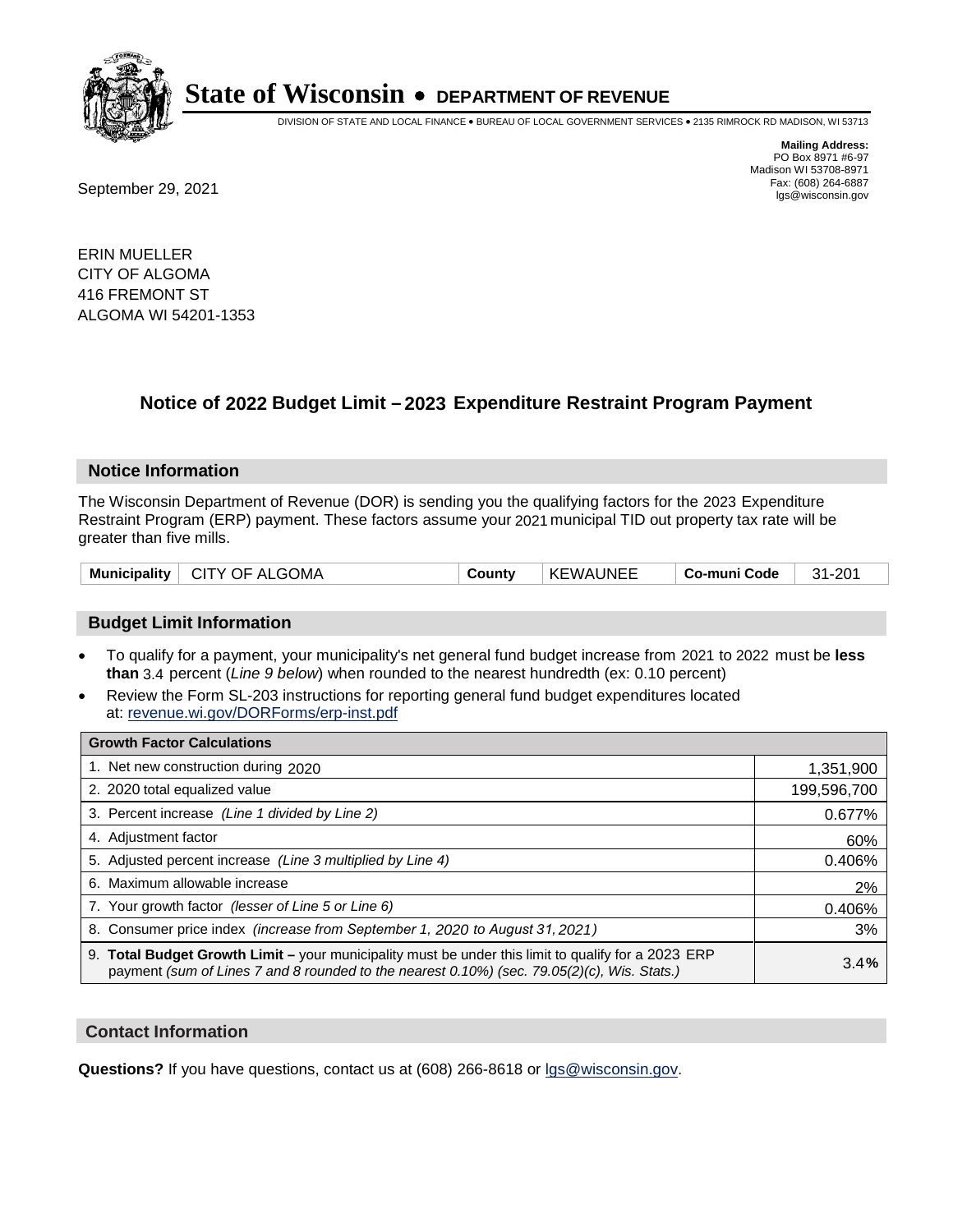

DIVISION OF STATE AND LOCAL FINANCE • BUREAU OF LOCAL GOVERNMENT SERVICES • 2135 RIMROCK RD MADISON, WI 53713

Fax: (608) 264-6887<br>
September 29, 2021 and the state of the state of the state of the state of the state of the state of the state of the state of the state of the state of the state of the state of the state of the state

**Mailing Address:** PO Box 8971 #6-97 Madison WI 53708-8971<br>Fax: (608) 264-6887

ERIN MUELLER CITY OF ALGOMA 416 FREMONT ST ALGOMA WI 54201-1353

## **Notice of 2022 Budget Limit - 2023 Expenditure Restraint Program Payment**

#### **Notice Information**

The Wisconsin Department of Revenue (DOR) is sending you the qualifying factors for the 2023 Expenditure Restraint Program (ERP) payment. These factors assume your 2021 municipal TID out property tax rate will be greater than five mills.

| Municipality   CITY OF ALGOMA | County | <b>KEWAUNEE</b> | ∣ Co-muni Code | 31-201 |
|-------------------------------|--------|-----------------|----------------|--------|
|-------------------------------|--------|-----------------|----------------|--------|

### **Budget Limit Information**

- To qualify for a payment, your municipality's net general fund budget increase from 2021 to 2022 must be less **than** 3.4 percent (*Line 9 below*) when rounded to the nearest hundredth (ex: 0.10 percent)
- Review the Form SL-203 instructions for reporting general fund budget expenditures located at: revenue.wi.gov/DORForms/erp-inst.pdf

| <b>Growth Factor Calculations</b>                                                                                                                                                                      |             |
|--------------------------------------------------------------------------------------------------------------------------------------------------------------------------------------------------------|-------------|
| 1. Net new construction during 2020                                                                                                                                                                    | 1,351,900   |
| 2. 2020 total equalized value                                                                                                                                                                          | 199,596,700 |
| 3. Percent increase (Line 1 divided by Line 2)                                                                                                                                                         | 0.677%      |
| 4. Adiustment factor                                                                                                                                                                                   | 60%         |
| 5. Adjusted percent increase (Line 3 multiplied by Line 4)                                                                                                                                             | 0.406%      |
| 6. Maximum allowable increase                                                                                                                                                                          | 2%          |
| 7. Your growth factor (lesser of Line 5 or Line 6)                                                                                                                                                     | 0.406%      |
| 8. Consumer price index (increase from September 1, 2020 to August 31, 2021)                                                                                                                           | 3%          |
| 9. Total Budget Growth Limit - your municipality must be under this limit to qualify for a 2023 ERP<br>payment (sum of Lines 7 and 8 rounded to the nearest $0.10\%$ ) (sec. 79.05(2)(c), Wis. Stats.) | 3.4%        |

### **Contact Information**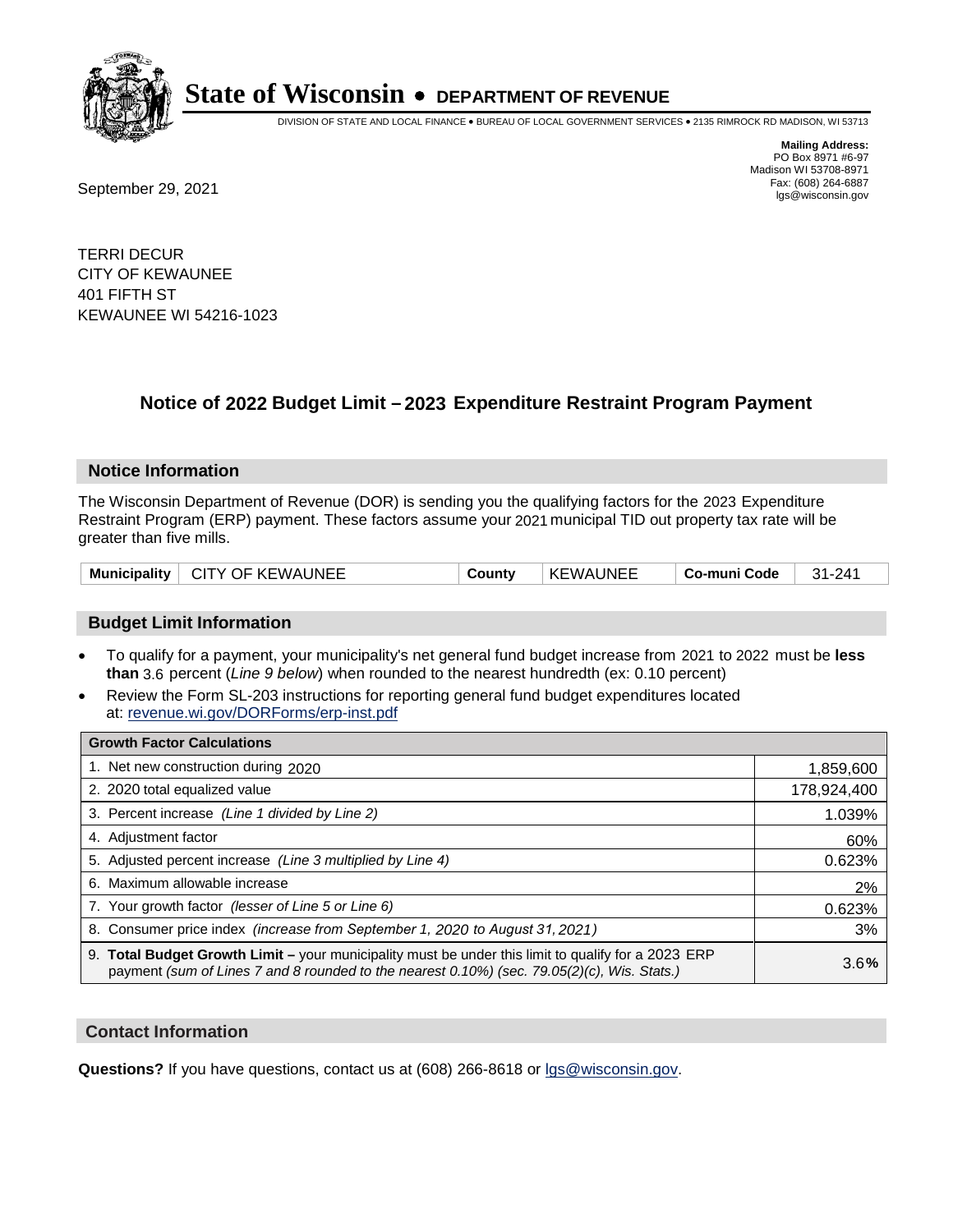

DIVISION OF STATE AND LOCAL FINANCE • BUREAU OF LOCAL GOVERNMENT SERVICES • 2135 RIMROCK RD MADISON, WI 53713

**Mailing Address:** PO Box 8971 #6-97 Madison WI 53708-8971<br>Fax: (608) 264-6887 Fax: (608) 264-6887<br>
September 29, 2021 and the state of the state of the state of the state of the state of the state of the state of the state of the state of the state of the state of the state of the state of the state

TERRI DECUR CITY OF KEWAUNEE 401 FIFTH ST KEWAUNEE WI 54216-1023

## **Notice of 2022 Budget Limit - 2023 Expenditure Restraint Program Payment**

### **Notice Information**

The Wisconsin Department of Revenue (DOR) is sending you the qualifying factors for the 2023 Expenditure Restraint Program (ERP) payment. These factors assume your 2021 municipal TID out property tax rate will be greater than five mills.

| Municipality   CITY OF KEWAUNEE | County | <b>KEWAUNEE</b> | Co-muni Code | $31 - 241$ |
|---------------------------------|--------|-----------------|--------------|------------|
|---------------------------------|--------|-----------------|--------------|------------|

### **Budget Limit Information**

- To qualify for a payment, your municipality's net general fund budget increase from 2021 to 2022 must be less **than** 3.6 percent (*Line 9 below*) when rounded to the nearest hundredth (ex: 0.10 percent)
- Review the Form SL-203 instructions for reporting general fund budget expenditures located at: revenue.wi.gov/DORForms/erp-inst.pdf

| <b>Growth Factor Calculations</b>                                                                                                                                                                  |             |
|----------------------------------------------------------------------------------------------------------------------------------------------------------------------------------------------------|-------------|
| 1. Net new construction during 2020                                                                                                                                                                | 1,859,600   |
| 2. 2020 total equalized value                                                                                                                                                                      | 178,924,400 |
| 3. Percent increase (Line 1 divided by Line 2)                                                                                                                                                     | 1.039%      |
| 4. Adjustment factor                                                                                                                                                                               | 60%         |
| 5. Adjusted percent increase (Line 3 multiplied by Line 4)                                                                                                                                         | 0.623%      |
| 6. Maximum allowable increase                                                                                                                                                                      | 2%          |
| 7. Your growth factor (lesser of Line 5 or Line 6)                                                                                                                                                 | 0.623%      |
| 8. Consumer price index (increase from September 1, 2020 to August 31, 2021)                                                                                                                       | 3%          |
| 9. Total Budget Growth Limit - your municipality must be under this limit to qualify for a 2023 ERP<br>payment (sum of Lines 7 and 8 rounded to the nearest 0.10%) (sec. 79.05(2)(c), Wis. Stats.) | 3.6%        |

### **Contact Information**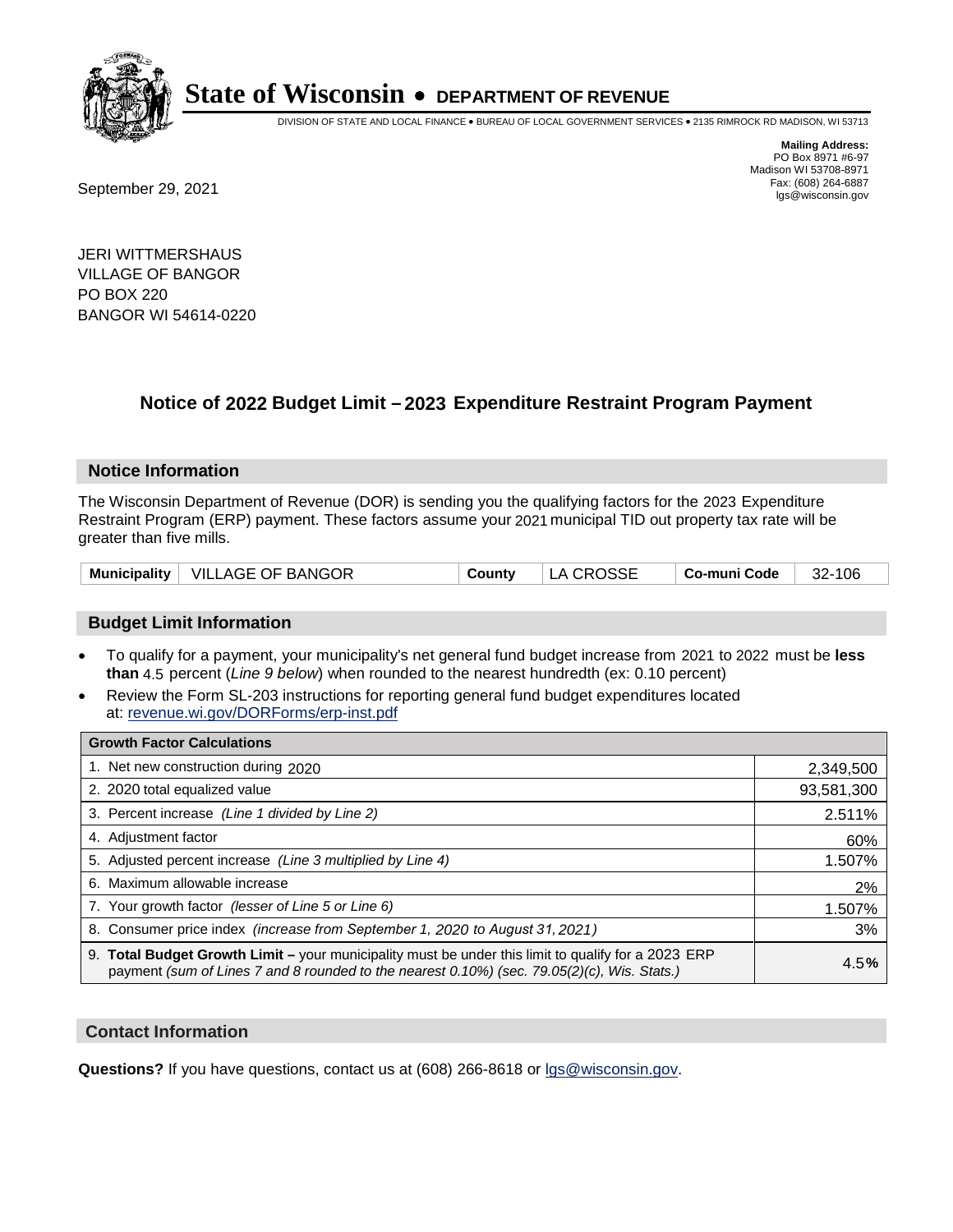

DIVISION OF STATE AND LOCAL FINANCE • BUREAU OF LOCAL GOVERNMENT SERVICES • 2135 RIMROCK RD MADISON, WI 53713

Fax: (608) 264-6887<br>
September 29, 2021 and the state of the state of the state of the state of the state of the state of the state of the state of the state of the state of the state of the state of the state of the state

**Mailing Address:** PO Box 8971 #6-97 Madison WI 53708-8971<br>Fax: (608) 264-6887

JERI WITTMERSHAUS VILLAGE OF BANGOR PO BOX 220 BANGOR WI 54614-0220

## **Notice of 2022 Budget Limit - 2023 Expenditure Restraint Program Payment**

#### **Notice Information**

The Wisconsin Department of Revenue (DOR) is sending you the qualifying factors for the 2023 Expenditure Restraint Program (ERP) payment. These factors assume your 2021 municipal TID out property tax rate will be greater than five mills.

|  | Municipality   VILLAGE OF BANGOR | County | LA CROSSE | $\vert$ Co-muni Code $\vert$ 32-106 |  |
|--|----------------------------------|--------|-----------|-------------------------------------|--|
|--|----------------------------------|--------|-----------|-------------------------------------|--|

### **Budget Limit Information**

- To qualify for a payment, your municipality's net general fund budget increase from 2021 to 2022 must be less **than** 4.5 percent (*Line 9 below*) when rounded to the nearest hundredth (ex: 0.10 percent)
- Review the Form SL-203 instructions for reporting general fund budget expenditures located at: revenue.wi.gov/DORForms/erp-inst.pdf

| <b>Growth Factor Calculations</b>                                                                                                                                                                  |            |
|----------------------------------------------------------------------------------------------------------------------------------------------------------------------------------------------------|------------|
| 1. Net new construction during 2020                                                                                                                                                                | 2,349,500  |
| 2. 2020 total equalized value                                                                                                                                                                      | 93,581,300 |
| 3. Percent increase (Line 1 divided by Line 2)                                                                                                                                                     | 2.511%     |
| 4. Adjustment factor                                                                                                                                                                               | 60%        |
| 5. Adjusted percent increase (Line 3 multiplied by Line 4)                                                                                                                                         | 1.507%     |
| 6. Maximum allowable increase                                                                                                                                                                      | 2%         |
| 7. Your growth factor (lesser of Line 5 or Line 6)                                                                                                                                                 | 1.507%     |
| 8. Consumer price index (increase from September 1, 2020 to August 31, 2021)                                                                                                                       | 3%         |
| 9. Total Budget Growth Limit – your municipality must be under this limit to qualify for a 2023 ERP<br>payment (sum of Lines 7 and 8 rounded to the nearest 0.10%) (sec. 79.05(2)(c), Wis. Stats.) | 4.5%       |

### **Contact Information**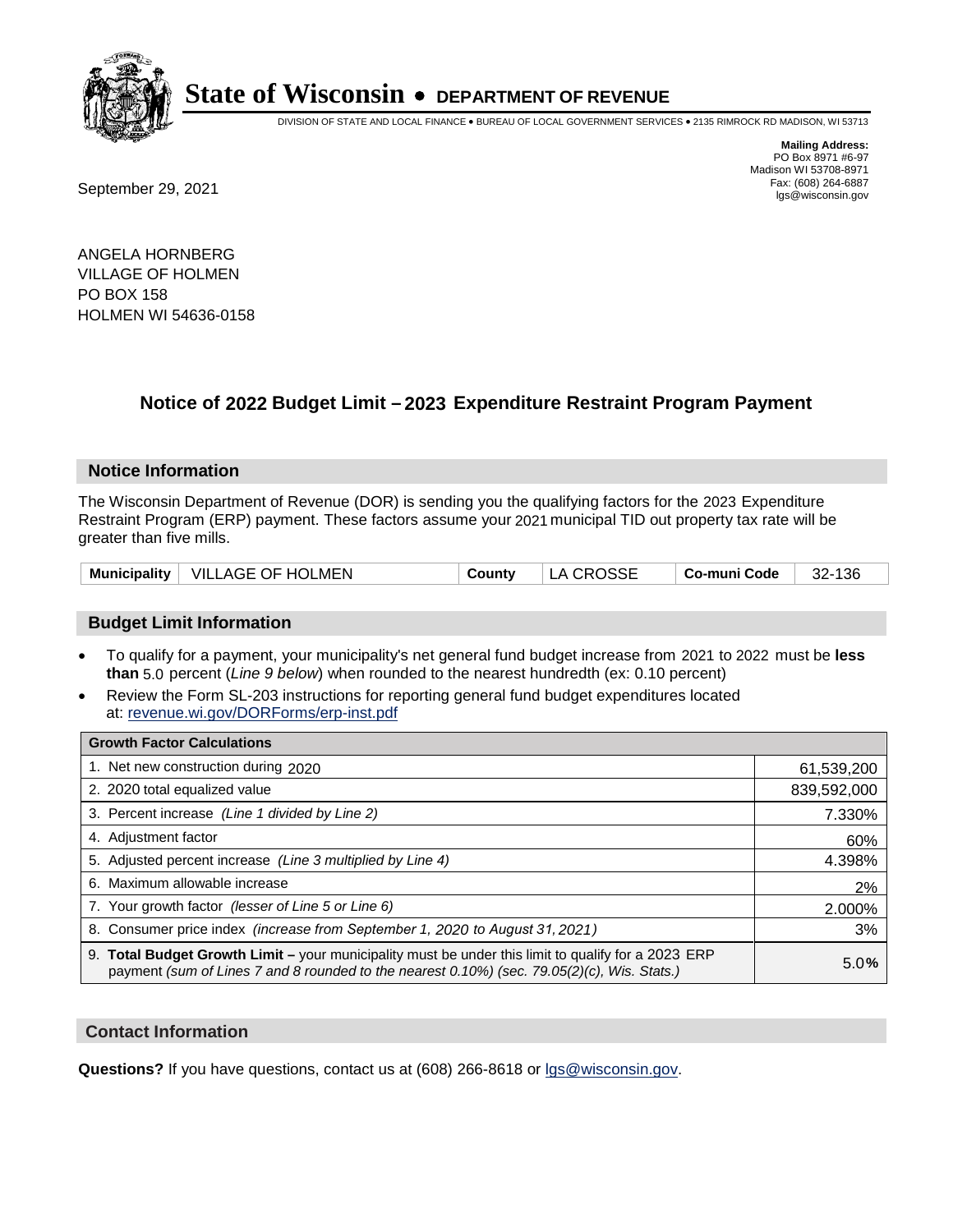

DIVISION OF STATE AND LOCAL FINANCE • BUREAU OF LOCAL GOVERNMENT SERVICES • 2135 RIMROCK RD MADISON, WI 53713

Fax: (608) 264-6887<br>
September 29, 2021 and the state of the state of the state of the state of the state of the state of the state of the state of the state of the state of the state of the state of the state of the state

**Mailing Address:** PO Box 8971 #6-97 Madison WI 53708-8971<br>Fax: (608) 264-6887

ANGELA HORNBERG VILLAGE OF HOLMEN PO BOX 158 HOLMEN WI 54636-0158

## **Notice of 2022 Budget Limit - 2023 Expenditure Restraint Program Payment**

#### **Notice Information**

The Wisconsin Department of Revenue (DOR) is sending you the qualifying factors for the 2023 Expenditure Restraint Program (ERP) payment. These factors assume your 2021 municipal TID out property tax rate will be greater than five mills.

| Municipality   VILLAGE OF HOLMEN<br>County | LA CROSSE | 32-136<br>∣ Co-muni Code ∣ |
|--------------------------------------------|-----------|----------------------------|
|--------------------------------------------|-----------|----------------------------|

### **Budget Limit Information**

- To qualify for a payment, your municipality's net general fund budget increase from 2021 to 2022 must be less **than** 5.0 percent (*Line 9 below*) when rounded to the nearest hundredth (ex: 0.10 percent)
- Review the Form SL-203 instructions for reporting general fund budget expenditures located at: revenue.wi.gov/DORForms/erp-inst.pdf

| <b>Growth Factor Calculations</b>                                                                                                                                                                  |             |
|----------------------------------------------------------------------------------------------------------------------------------------------------------------------------------------------------|-------------|
| 1. Net new construction during 2020                                                                                                                                                                | 61,539,200  |
| 2. 2020 total equalized value                                                                                                                                                                      | 839,592,000 |
| 3. Percent increase (Line 1 divided by Line 2)                                                                                                                                                     | 7.330%      |
| 4. Adjustment factor                                                                                                                                                                               | 60%         |
| 5. Adjusted percent increase (Line 3 multiplied by Line 4)                                                                                                                                         | 4.398%      |
| 6. Maximum allowable increase                                                                                                                                                                      | 2%          |
| 7. Your growth factor (lesser of Line 5 or Line 6)                                                                                                                                                 | 2.000%      |
| 8. Consumer price index (increase from September 1, 2020 to August 31, 2021)                                                                                                                       | 3%          |
| 9. Total Budget Growth Limit – your municipality must be under this limit to qualify for a 2023 ERP<br>payment (sum of Lines 7 and 8 rounded to the nearest 0.10%) (sec. 79.05(2)(c), Wis. Stats.) | 5.0%        |

### **Contact Information**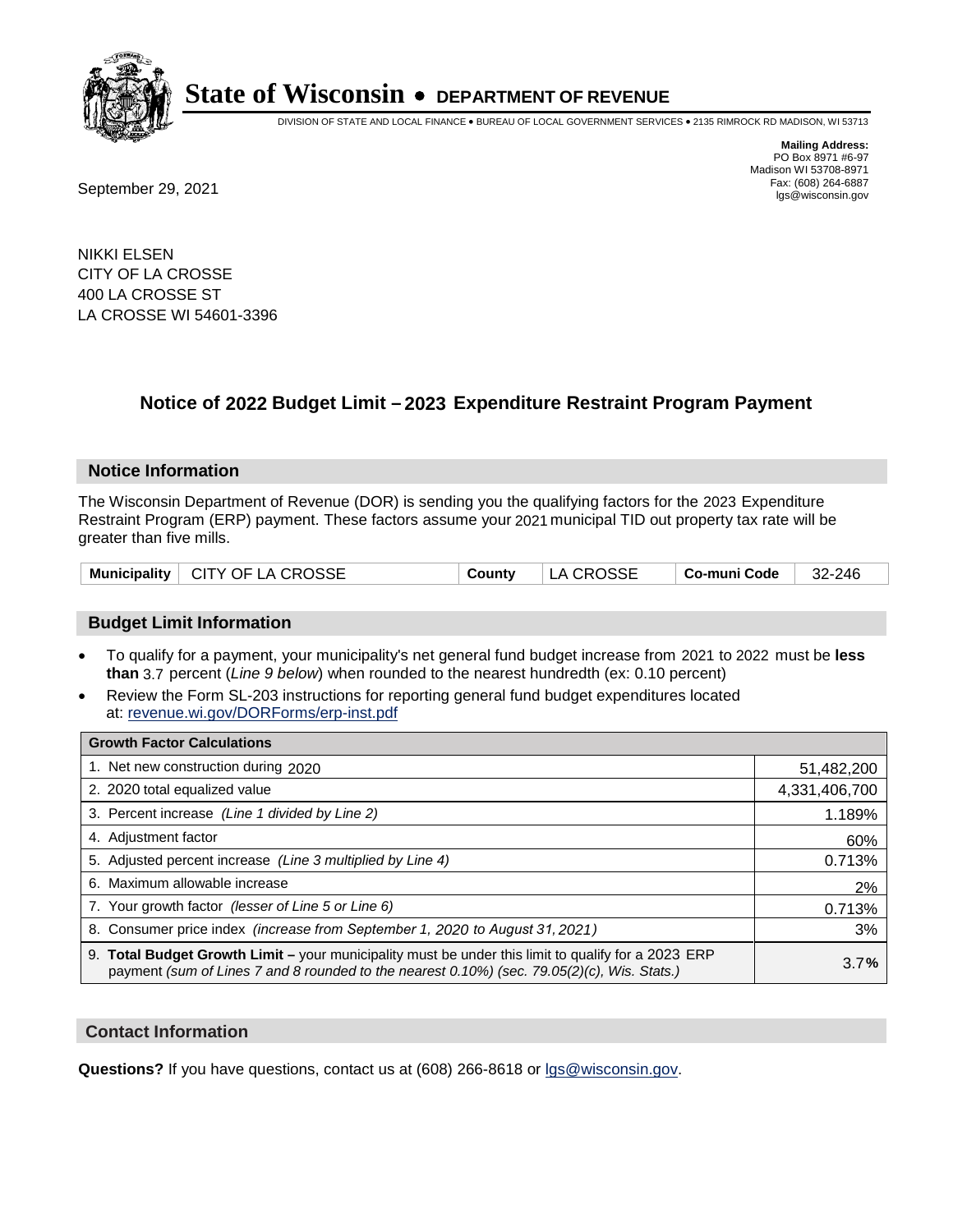

DIVISION OF STATE AND LOCAL FINANCE • BUREAU OF LOCAL GOVERNMENT SERVICES • 2135 RIMROCK RD MADISON, WI 53713

Fax: (608) 264-6887<br>
September 29, 2021 and the state of the state of the state of the state of the state of the state of the state of the state of the state of the state of the state of the state of the state of the state

**Mailing Address:** PO Box 8971 #6-97 Madison WI 53708-8971<br>Fax: (608) 264-6887

NIKKI ELSEN CITY OF LA CROSSE 400 LA CROSSE ST LA CROSSE WI 54601-3396

## **Notice of 2022 Budget Limit - 2023 Expenditure Restraint Program Payment**

### **Notice Information**

The Wisconsin Department of Revenue (DOR) is sending you the qualifying factors for the 2023 Expenditure Restraint Program (ERP) payment. These factors assume your 2021 municipal TID out property tax rate will be greater than five mills.

| Municipality   CITY OF LA CROSSE | County | LA CROSSE | $\vert$ Co-muni Code $\vert$ 32-246 |  |
|----------------------------------|--------|-----------|-------------------------------------|--|
|----------------------------------|--------|-----------|-------------------------------------|--|

### **Budget Limit Information**

- To qualify for a payment, your municipality's net general fund budget increase from 2021 to 2022 must be less **than** 3.7 percent (*Line 9 below*) when rounded to the nearest hundredth (ex: 0.10 percent)
- Review the Form SL-203 instructions for reporting general fund budget expenditures located at: revenue.wi.gov/DORForms/erp-inst.pdf

| <b>Growth Factor Calculations</b>                                                                                                                                                                  |               |
|----------------------------------------------------------------------------------------------------------------------------------------------------------------------------------------------------|---------------|
| 1. Net new construction during 2020                                                                                                                                                                | 51,482,200    |
| 2. 2020 total equalized value                                                                                                                                                                      | 4,331,406,700 |
| 3. Percent increase (Line 1 divided by Line 2)                                                                                                                                                     | 1.189%        |
| 4. Adiustment factor                                                                                                                                                                               | 60%           |
| 5. Adjusted percent increase (Line 3 multiplied by Line 4)                                                                                                                                         | 0.713%        |
| 6. Maximum allowable increase                                                                                                                                                                      | 2%            |
| 7. Your growth factor (lesser of Line 5 or Line 6)                                                                                                                                                 | 0.713%        |
| 8. Consumer price index (increase from September 1, 2020 to August 31, 2021)                                                                                                                       | 3%            |
| 9. Total Budget Growth Limit - your municipality must be under this limit to qualify for a 2023 ERP<br>payment (sum of Lines 7 and 8 rounded to the nearest 0.10%) (sec. 79.05(2)(c), Wis. Stats.) | 3.7%          |

### **Contact Information**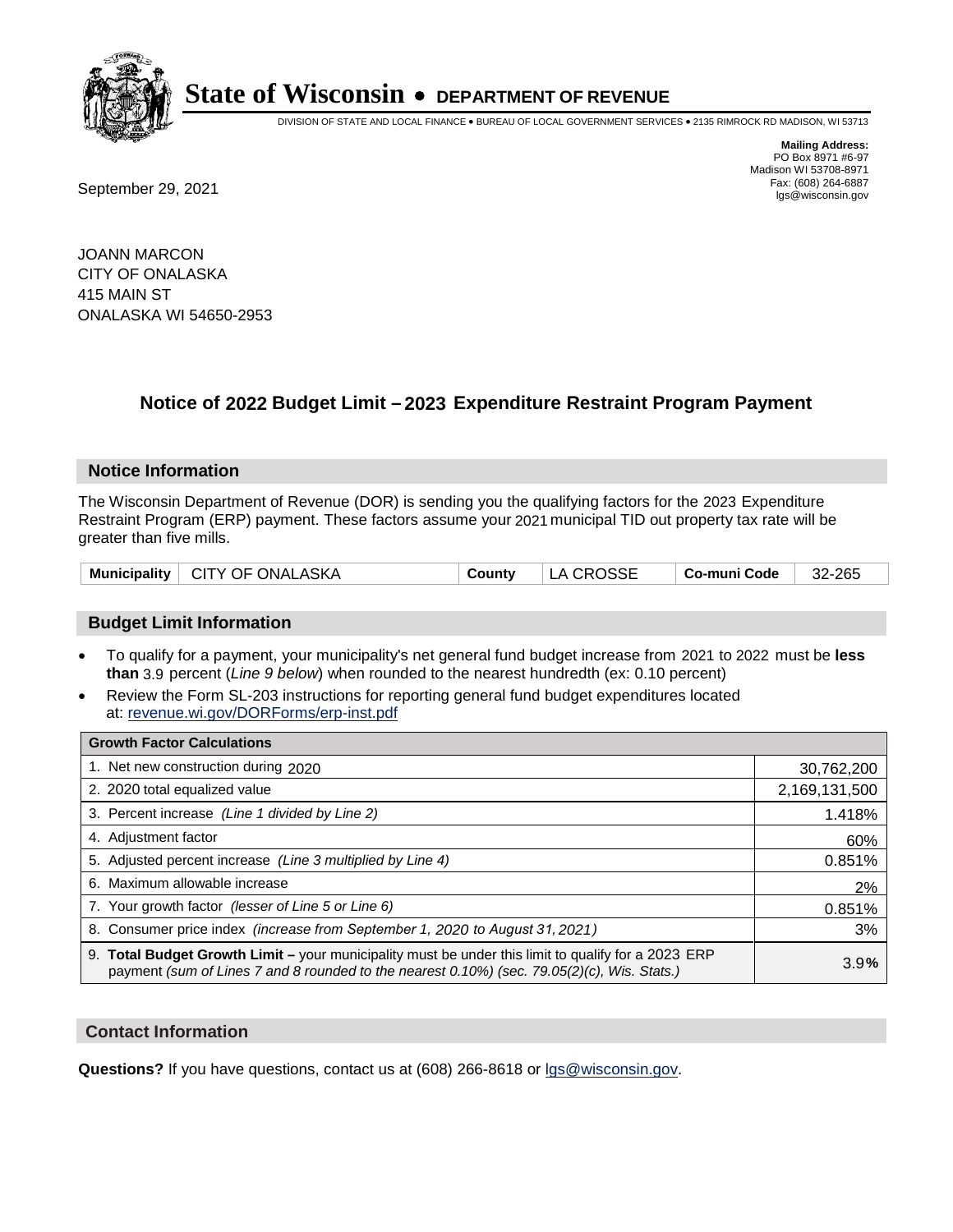

DIVISION OF STATE AND LOCAL FINANCE • BUREAU OF LOCAL GOVERNMENT SERVICES • 2135 RIMROCK RD MADISON, WI 53713

Fax: (608) 264-6887<br>
September 29, 2021 and the state of the state of the state of the state of the state of the state of the state of the state of the state of the state of the state of the state of the state of the state

**Mailing Address:** PO Box 8971 #6-97 Madison WI 53708-8971<br>Fax: (608) 264-6887

JOANN MARCON CITY OF ONALASKA 415 MAIN ST ONALASKA WI 54650-2953

## **Notice of 2022 Budget Limit - 2023 Expenditure Restraint Program Payment**

### **Notice Information**

The Wisconsin Department of Revenue (DOR) is sending you the qualifying factors for the 2023 Expenditure Restraint Program (ERP) payment. These factors assume your 2021 municipal TID out property tax rate will be greater than five mills.

| Municipality   CITY OF ONALASKA | County | LA CROSSE | $\vert$ Co-muni Code $\vert$ 32-265 |  |
|---------------------------------|--------|-----------|-------------------------------------|--|
|---------------------------------|--------|-----------|-------------------------------------|--|

### **Budget Limit Information**

- To qualify for a payment, your municipality's net general fund budget increase from 2021 to 2022 must be less **than** 3.9 percent (*Line 9 below*) when rounded to the nearest hundredth (ex: 0.10 percent)
- Review the Form SL-203 instructions for reporting general fund budget expenditures located at: revenue.wi.gov/DORForms/erp-inst.pdf

| <b>Growth Factor Calculations</b>                                                                                                                                                                  |               |
|----------------------------------------------------------------------------------------------------------------------------------------------------------------------------------------------------|---------------|
| 1. Net new construction during 2020                                                                                                                                                                | 30,762,200    |
| 2. 2020 total equalized value                                                                                                                                                                      | 2,169,131,500 |
| 3. Percent increase (Line 1 divided by Line 2)                                                                                                                                                     | 1.418%        |
| 4. Adjustment factor                                                                                                                                                                               | 60%           |
| 5. Adjusted percent increase (Line 3 multiplied by Line 4)                                                                                                                                         | 0.851%        |
| 6. Maximum allowable increase                                                                                                                                                                      | 2%            |
| 7. Your growth factor (lesser of Line 5 or Line 6)                                                                                                                                                 | 0.851%        |
| 8. Consumer price index (increase from September 1, 2020 to August 31, 2021)                                                                                                                       | 3%            |
| 9. Total Budget Growth Limit - your municipality must be under this limit to qualify for a 2023 ERP<br>payment (sum of Lines 7 and 8 rounded to the nearest 0.10%) (sec. 79.05(2)(c), Wis. Stats.) | 3.9%          |

### **Contact Information**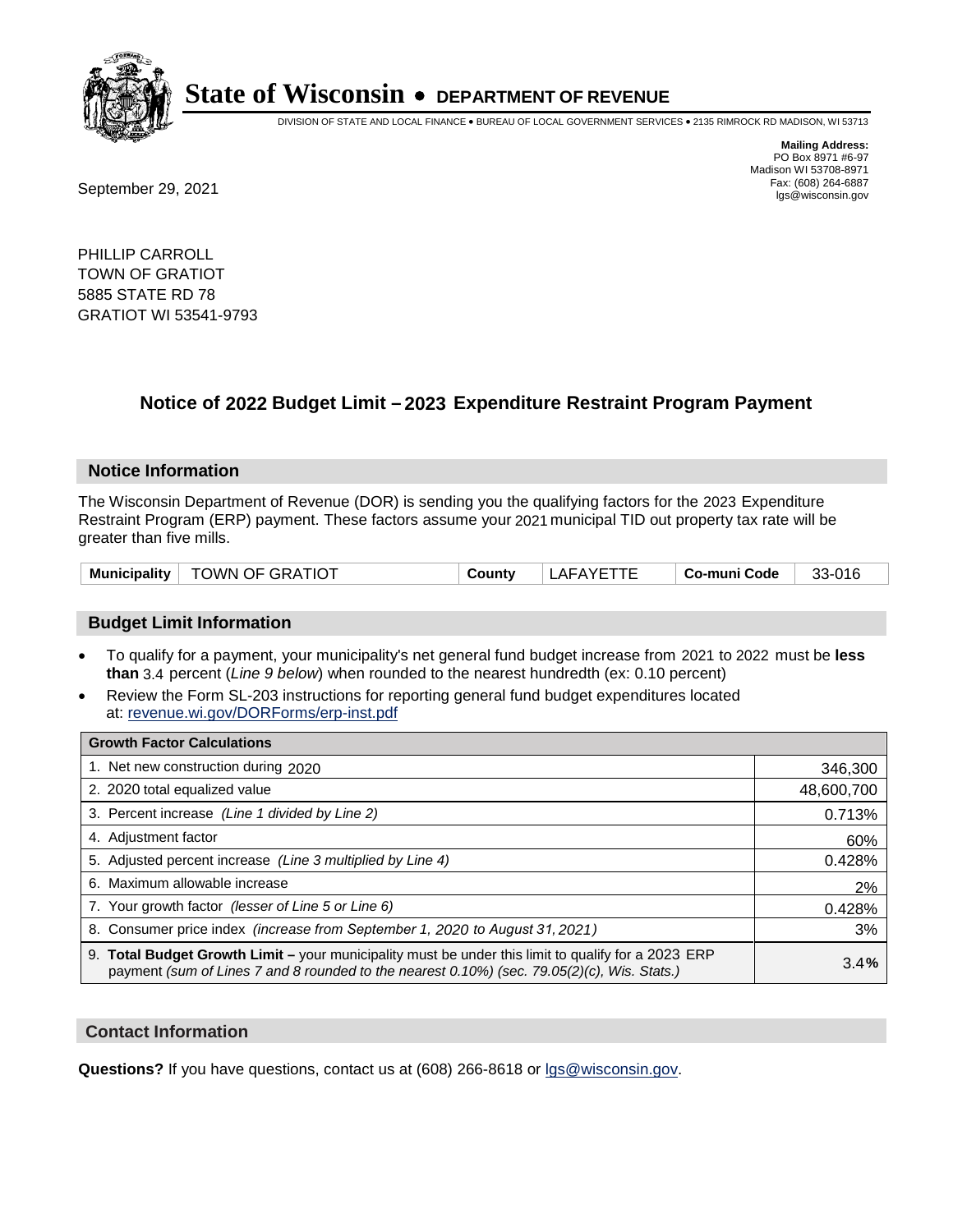

DIVISION OF STATE AND LOCAL FINANCE • BUREAU OF LOCAL GOVERNMENT SERVICES • 2135 RIMROCK RD MADISON, WI 53713

Fax: (608) 264-6887<br>
September 29, 2021 and the state of the state of the state of the state of the state of the state of the state of the state of the state of the state of the state of the state of the state of the state

**Mailing Address:** PO Box 8971 #6-97 Madison WI 53708-8971<br>Fax: (608) 264-6887

PHILLIP CARROLL TOWN OF GRATIOT 5885 STATE RD 78 GRATIOT WI 53541-9793

## **Notice of 2022 Budget Limit - 2023 Expenditure Restraint Program Payment**

#### **Notice Information**

The Wisconsin Department of Revenue (DOR) is sending you the qualifying factors for the 2023 Expenditure Restraint Program (ERP) payment. These factors assume your 2021 municipal TID out property tax rate will be greater than five mills.

| <b>TOWN OF GRATIOT</b><br>Municipality | ີດuntv | LAFAYETTE | Co-muni Code | 33-016 |
|----------------------------------------|--------|-----------|--------------|--------|
|----------------------------------------|--------|-----------|--------------|--------|

### **Budget Limit Information**

- To qualify for a payment, your municipality's net general fund budget increase from 2021 to 2022 must be less **than** 3.4 percent (*Line 9 below*) when rounded to the nearest hundredth (ex: 0.10 percent)
- Review the Form SL-203 instructions for reporting general fund budget expenditures located at: revenue.wi.gov/DORForms/erp-inst.pdf

| <b>Growth Factor Calculations</b>                                                                                                                                                                  |            |
|----------------------------------------------------------------------------------------------------------------------------------------------------------------------------------------------------|------------|
| 1. Net new construction during 2020                                                                                                                                                                | 346,300    |
| 2. 2020 total equalized value                                                                                                                                                                      | 48,600,700 |
| 3. Percent increase (Line 1 divided by Line 2)                                                                                                                                                     | 0.713%     |
| 4. Adjustment factor                                                                                                                                                                               | 60%        |
| 5. Adjusted percent increase (Line 3 multiplied by Line 4)                                                                                                                                         | 0.428%     |
| 6. Maximum allowable increase                                                                                                                                                                      | 2%         |
| 7. Your growth factor (lesser of Line 5 or Line 6)                                                                                                                                                 | 0.428%     |
| 8. Consumer price index (increase from September 1, 2020 to August 31, 2021)                                                                                                                       | 3%         |
| 9. Total Budget Growth Limit – your municipality must be under this limit to qualify for a 2023 ERP<br>payment (sum of Lines 7 and 8 rounded to the nearest 0.10%) (sec. 79.05(2)(c), Wis. Stats.) | 3.4%       |

### **Contact Information**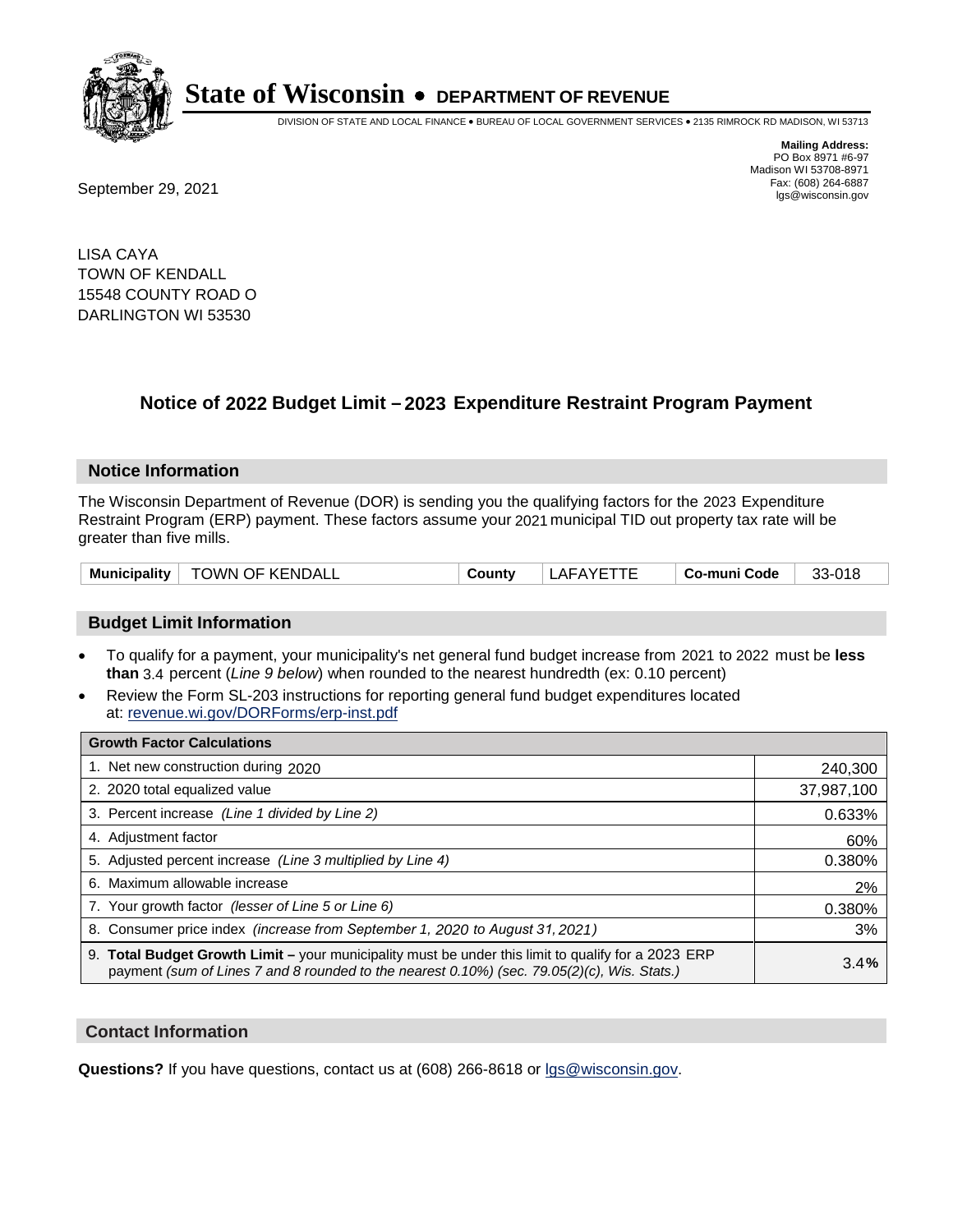

DIVISION OF STATE AND LOCAL FINANCE • BUREAU OF LOCAL GOVERNMENT SERVICES • 2135 RIMROCK RD MADISON, WI 53713

Fax: (608) 264-6887<br>
September 29, 2021 and the state of the state of the state of the state of the state of the state of the state of the state of the state of the state of the state of the state of the state of the state

**Mailing Address:** PO Box 8971 #6-97 Madison WI 53708-8971<br>Fax: (608) 264-6887

LISA CAYA TOWN OF KENDALL 15548 COUNTY ROAD O DARLINGTON WI 53530

## **Notice of 2022 Budget Limit - 2023 Expenditure Restraint Program Payment**

#### **Notice Information**

The Wisconsin Department of Revenue (DOR) is sending you the qualifying factors for the 2023 Expenditure Restraint Program (ERP) payment. These factors assume your 2021 municipal TID out property tax rate will be greater than five mills.

| Municipality | <b>TOWN OF KENDALL</b> | Countv | LAFAYE <sup>.</sup> | Co-muni Code | 33-018 |
|--------------|------------------------|--------|---------------------|--------------|--------|
|--------------|------------------------|--------|---------------------|--------------|--------|

### **Budget Limit Information**

- To qualify for a payment, your municipality's net general fund budget increase from 2021 to 2022 must be less **than** 3.4 percent (*Line 9 below*) when rounded to the nearest hundredth (ex: 0.10 percent)
- Review the Form SL-203 instructions for reporting general fund budget expenditures located at: revenue.wi.gov/DORForms/erp-inst.pdf

| <b>Growth Factor Calculations</b>                                                                                                                                                                  |            |
|----------------------------------------------------------------------------------------------------------------------------------------------------------------------------------------------------|------------|
| 1. Net new construction during 2020                                                                                                                                                                | 240,300    |
| 2. 2020 total equalized value                                                                                                                                                                      | 37,987,100 |
| 3. Percent increase (Line 1 divided by Line 2)                                                                                                                                                     | 0.633%     |
| 4. Adiustment factor                                                                                                                                                                               | 60%        |
| 5. Adjusted percent increase (Line 3 multiplied by Line 4)                                                                                                                                         | 0.380%     |
| 6. Maximum allowable increase                                                                                                                                                                      | 2%         |
| 7. Your growth factor (lesser of Line 5 or Line 6)                                                                                                                                                 | 0.380%     |
| 8. Consumer price index (increase from September 1, 2020 to August 31, 2021)                                                                                                                       | 3%         |
| 9. Total Budget Growth Limit - your municipality must be under this limit to qualify for a 2023 ERP<br>payment (sum of Lines 7 and 8 rounded to the nearest 0.10%) (sec. 79.05(2)(c), Wis. Stats.) | 3.4%       |

### **Contact Information**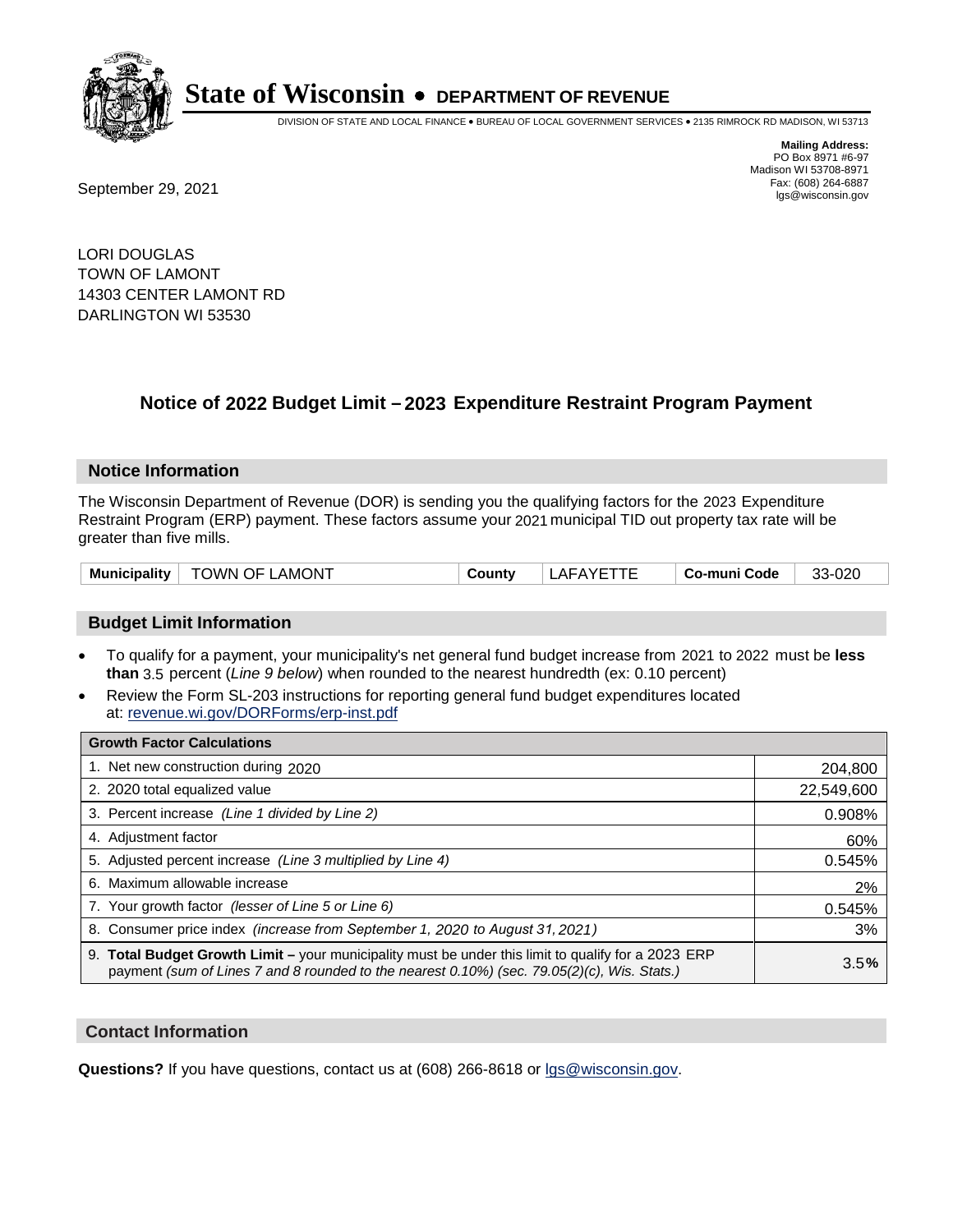

DIVISION OF STATE AND LOCAL FINANCE • BUREAU OF LOCAL GOVERNMENT SERVICES • 2135 RIMROCK RD MADISON, WI 53713

Fax: (608) 264-6887<br>
September 29, 2021 and the state of the state of the state of the state of the state of the state of the state of the state of the state of the state of the state of the state of the state of the state

**Mailing Address:** PO Box 8971 #6-97 Madison WI 53708-8971<br>Fax: (608) 264-6887

LORI DOUGLAS TOWN OF LAMONT 14303 CENTER LAMONT RD DARLINGTON WI 53530

## **Notice of 2022 Budget Limit - 2023 Expenditure Restraint Program Payment**

#### **Notice Information**

The Wisconsin Department of Revenue (DOR) is sending you the qualifying factors for the 2023 Expenditure Restraint Program (ERP) payment. These factors assume your 2021 municipal TID out property tax rate will be greater than five mills.

| <b>Municipality</b> | <b>TOWN OF LAMONT</b> | County | LAFAYETTE | Co-muni Code | 33-020 |
|---------------------|-----------------------|--------|-----------|--------------|--------|
|---------------------|-----------------------|--------|-----------|--------------|--------|

### **Budget Limit Information**

- To qualify for a payment, your municipality's net general fund budget increase from 2021 to 2022 must be less **than** 3.5 percent (*Line 9 below*) when rounded to the nearest hundredth (ex: 0.10 percent)
- Review the Form SL-203 instructions for reporting general fund budget expenditures located at: revenue.wi.gov/DORForms/erp-inst.pdf

| <b>Growth Factor Calculations</b>                                                                                                                                                                  |            |
|----------------------------------------------------------------------------------------------------------------------------------------------------------------------------------------------------|------------|
| 1. Net new construction during 2020                                                                                                                                                                | 204,800    |
| 2. 2020 total equalized value                                                                                                                                                                      | 22,549,600 |
| 3. Percent increase (Line 1 divided by Line 2)                                                                                                                                                     | 0.908%     |
| 4. Adjustment factor                                                                                                                                                                               | 60%        |
| 5. Adjusted percent increase (Line 3 multiplied by Line 4)                                                                                                                                         | 0.545%     |
| 6. Maximum allowable increase                                                                                                                                                                      | 2%         |
| 7. Your growth factor (lesser of Line 5 or Line 6)                                                                                                                                                 | 0.545%     |
| 8. Consumer price index (increase from September 1, 2020 to August 31, 2021)                                                                                                                       | 3%         |
| 9. Total Budget Growth Limit – your municipality must be under this limit to qualify for a 2023 ERP<br>payment (sum of Lines 7 and 8 rounded to the nearest 0.10%) (sec. 79.05(2)(c), Wis. Stats.) | 3.5%       |

### **Contact Information**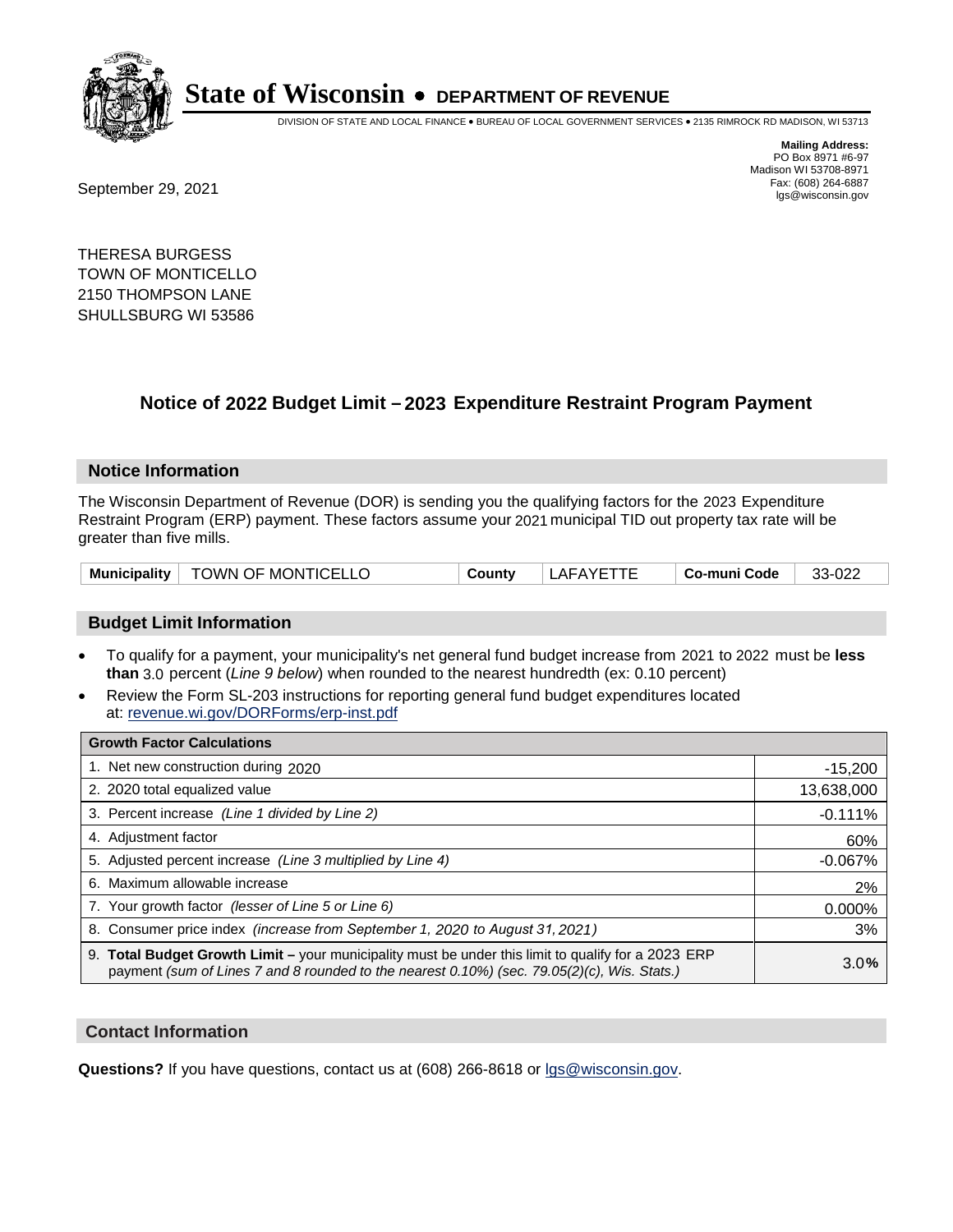

DIVISION OF STATE AND LOCAL FINANCE • BUREAU OF LOCAL GOVERNMENT SERVICES • 2135 RIMROCK RD MADISON, WI 53713

Fax: (608) 264-6887<br>
September 29, 2021 and the state of the state of the state of the state of the state of the state of the state of the state of the state of the state of the state of the state of the state of the state

**Mailing Address:** PO Box 8971 #6-97 Madison WI 53708-8971<br>Fax: (608) 264-6887

THERESA BURGESS TOWN OF MONTICELLO 2150 THOMPSON LANE SHULLSBURG WI 53586

## **Notice of 2022 Budget Limit - 2023 Expenditure Restraint Program Payment**

#### **Notice Information**

The Wisconsin Department of Revenue (DOR) is sending you the qualifying factors for the 2023 Expenditure Restraint Program (ERP) payment. These factors assume your 2021 municipal TID out property tax rate will be greater than five mills.

| Municipality | TOWN OF MONTICELLO | County | こハびに<br>AF. | <b>Co-muni Code</b> | nne<br>ົ<br>ے∠∪-י ^<br>ື |
|--------------|--------------------|--------|-------------|---------------------|--------------------------|
|--------------|--------------------|--------|-------------|---------------------|--------------------------|

### **Budget Limit Information**

- To qualify for a payment, your municipality's net general fund budget increase from 2021 to 2022 must be less **than** 3.0 percent (*Line 9 below*) when rounded to the nearest hundredth (ex: 0.10 percent)
- Review the Form SL-203 instructions for reporting general fund budget expenditures located at: revenue.wi.gov/DORForms/erp-inst.pdf

| <b>Growth Factor Calculations</b>                                                                                                                                                                  |            |
|----------------------------------------------------------------------------------------------------------------------------------------------------------------------------------------------------|------------|
| 1. Net new construction during 2020                                                                                                                                                                | $-15,200$  |
| 2. 2020 total equalized value                                                                                                                                                                      | 13,638,000 |
| 3. Percent increase (Line 1 divided by Line 2)                                                                                                                                                     | $-0.111%$  |
| 4. Adjustment factor                                                                                                                                                                               | 60%        |
| 5. Adjusted percent increase (Line 3 multiplied by Line 4)                                                                                                                                         | $-0.067%$  |
| 6. Maximum allowable increase                                                                                                                                                                      | 2%         |
| 7. Your growth factor (lesser of Line 5 or Line 6)                                                                                                                                                 | 0.000%     |
| 8. Consumer price index (increase from September 1, 2020 to August 31, 2021)                                                                                                                       | 3%         |
| 9. Total Budget Growth Limit – your municipality must be under this limit to qualify for a 2023 ERP<br>payment (sum of Lines 7 and 8 rounded to the nearest 0.10%) (sec. 79.05(2)(c), Wis. Stats.) | 3.0%       |

### **Contact Information**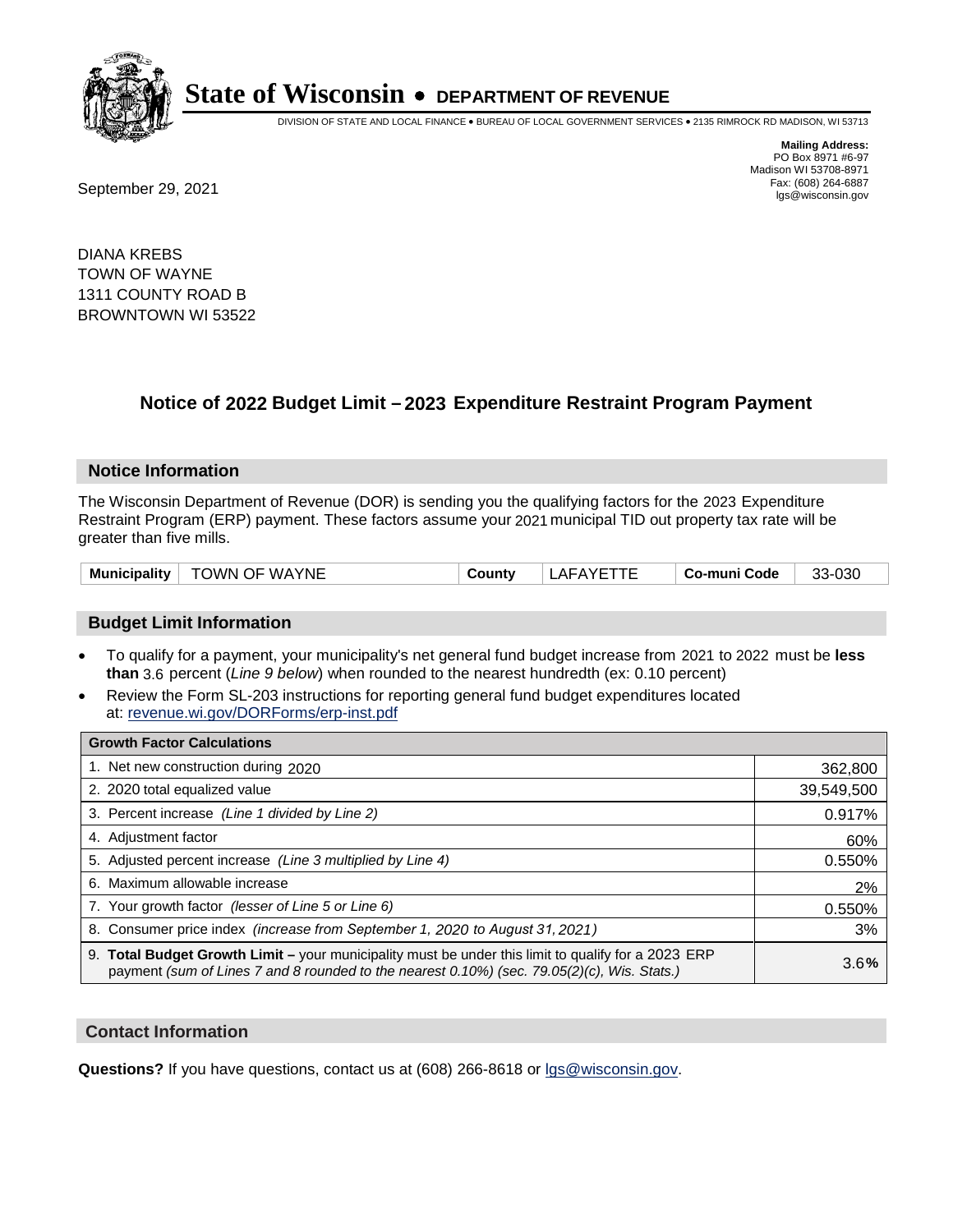

DIVISION OF STATE AND LOCAL FINANCE • BUREAU OF LOCAL GOVERNMENT SERVICES • 2135 RIMROCK RD MADISON, WI 53713

Fax: (608) 264-6887<br>
September 29, 2021 and the state of the state of the state of the state of the state of the state of the state of the state of the state of the state of the state of the state of the state of the state

**Mailing Address:** PO Box 8971 #6-97 Madison WI 53708-8971<br>Fax: (608) 264-6887

DIANA KREBS TOWN OF WAYNE 1311 COUNTY ROAD B BROWNTOWN WI 53522

## **Notice of 2022 Budget Limit - 2023 Expenditure Restraint Program Payment**

#### **Notice Information**

The Wisconsin Department of Revenue (DOR) is sending you the qualifying factors for the 2023 Expenditure Restraint Program (ERP) payment. These factors assume your 2021 municipal TID out property tax rate will be greater than five mills.

### **Budget Limit Information**

- To qualify for a payment, your municipality's net general fund budget increase from 2021 to 2022 must be less **than** 3.6 percent (*Line 9 below*) when rounded to the nearest hundredth (ex: 0.10 percent)
- Review the Form SL-203 instructions for reporting general fund budget expenditures located at: revenue.wi.gov/DORForms/erp-inst.pdf

| <b>Growth Factor Calculations</b>                                                                                                                                                                  |            |
|----------------------------------------------------------------------------------------------------------------------------------------------------------------------------------------------------|------------|
| 1. Net new construction during 2020                                                                                                                                                                | 362,800    |
| 2. 2020 total equalized value                                                                                                                                                                      | 39,549,500 |
| 3. Percent increase (Line 1 divided by Line 2)                                                                                                                                                     | 0.917%     |
| 4. Adjustment factor                                                                                                                                                                               | 60%        |
| 5. Adjusted percent increase (Line 3 multiplied by Line 4)                                                                                                                                         | 0.550%     |
| 6. Maximum allowable increase                                                                                                                                                                      | 2%         |
| 7. Your growth factor (lesser of Line 5 or Line 6)                                                                                                                                                 | 0.550%     |
| 8. Consumer price index (increase from September 1, 2020 to August 31, 2021)                                                                                                                       | 3%         |
| 9. Total Budget Growth Limit - your municipality must be under this limit to qualify for a 2023 ERP<br>payment (sum of Lines 7 and 8 rounded to the nearest 0.10%) (sec. 79.05(2)(c), Wis. Stats.) | 3.6%       |

### **Contact Information**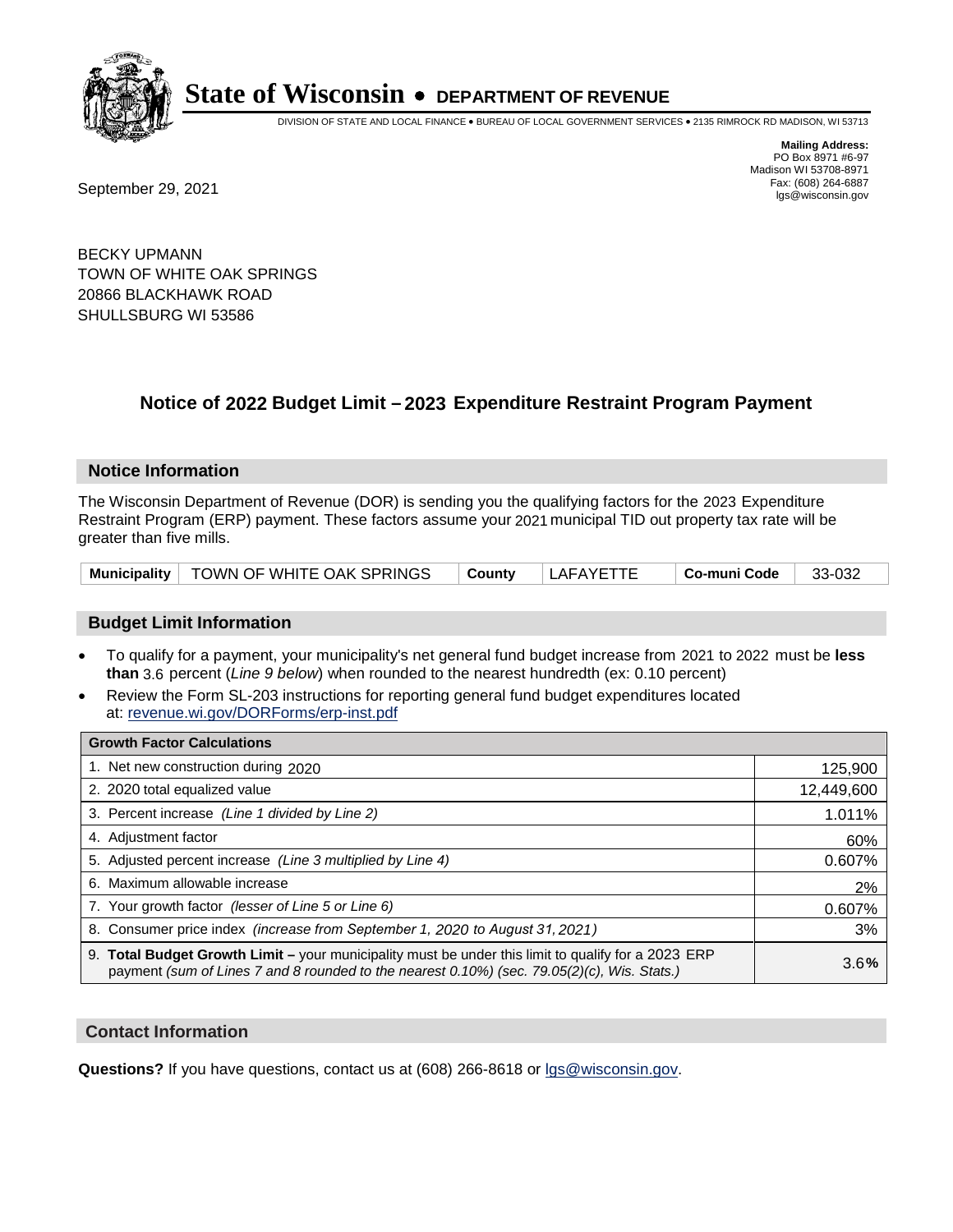

DIVISION OF STATE AND LOCAL FINANCE • BUREAU OF LOCAL GOVERNMENT SERVICES • 2135 RIMROCK RD MADISON, WI 53713

**Mailing Address:** PO Box 8971 #6-97 Madison WI 53708-8971<br>Fax: (608) 264-6887

Fax: (608) 264-6887<br>
September 29, 2021 and the state of the state of the state of the state of the state of the state of the state of the state of the state of the state of the state of the state of the state of the state

BECKY UPMANN TOWN OF WHITE OAK SPRINGS 20866 BLACKHAWK ROAD SHULLSBURG WI 53586

## **Notice of 2022 Budget Limit - 2023 Expenditure Restraint Program Payment**

### **Notice Information**

The Wisconsin Department of Revenue (DOR) is sending you the qualifying factors for the 2023 Expenditure Restraint Program (ERP) payment. These factors assume your 2021 municipal TID out property tax rate will be greater than five mills.

|  | Municipality   TOWN OF WHITE OAK SPRINGS | $\mid$ County | LAFAYETTE | $\vert$ Co-muni Code $\vert$ 33-032 |  |
|--|------------------------------------------|---------------|-----------|-------------------------------------|--|
|--|------------------------------------------|---------------|-----------|-------------------------------------|--|

### **Budget Limit Information**

- To qualify for a payment, your municipality's net general fund budget increase from 2021 to 2022 must be less **than** 3.6 percent (*Line 9 below*) when rounded to the nearest hundredth (ex: 0.10 percent)
- Review the Form SL-203 instructions for reporting general fund budget expenditures located at: revenue.wi.gov/DORForms/erp-inst.pdf

| <b>Growth Factor Calculations</b>                                                                                                                                                                  |            |
|----------------------------------------------------------------------------------------------------------------------------------------------------------------------------------------------------|------------|
| 1. Net new construction during 2020                                                                                                                                                                | 125,900    |
| 2. 2020 total equalized value                                                                                                                                                                      | 12,449,600 |
| 3. Percent increase (Line 1 divided by Line 2)                                                                                                                                                     | 1.011%     |
| 4. Adiustment factor                                                                                                                                                                               | 60%        |
| 5. Adjusted percent increase (Line 3 multiplied by Line 4)                                                                                                                                         | 0.607%     |
| 6. Maximum allowable increase                                                                                                                                                                      | 2%         |
| 7. Your growth factor (lesser of Line 5 or Line 6)                                                                                                                                                 | 0.607%     |
| 8. Consumer price index (increase from September 1, 2020 to August 31, 2021)                                                                                                                       | 3%         |
| 9. Total Budget Growth Limit - your municipality must be under this limit to qualify for a 2023 ERP<br>payment (sum of Lines 7 and 8 rounded to the nearest 0.10%) (sec. 79.05(2)(c), Wis. Stats.) | 3.6%       |

### **Contact Information**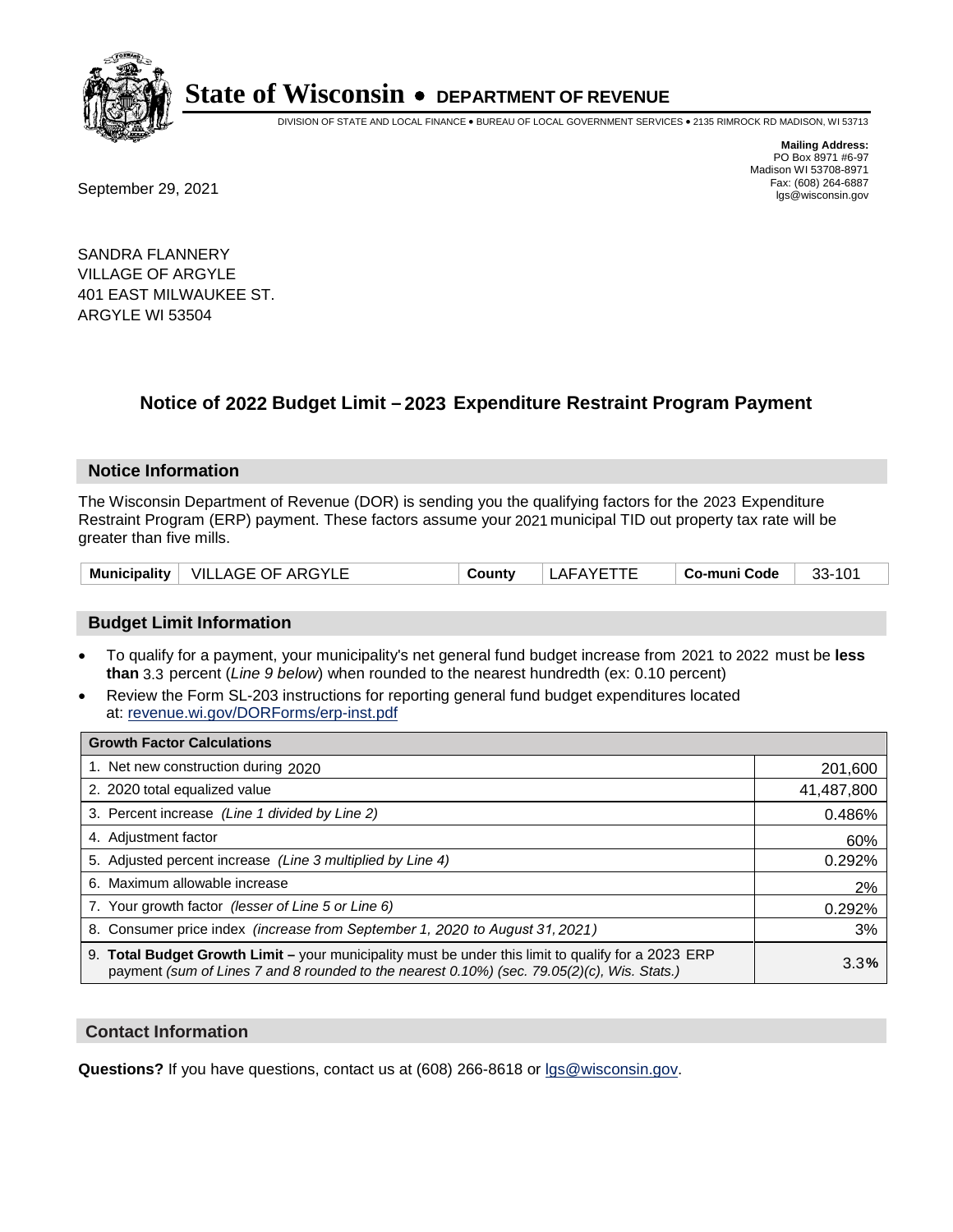

DIVISION OF STATE AND LOCAL FINANCE • BUREAU OF LOCAL GOVERNMENT SERVICES • 2135 RIMROCK RD MADISON, WI 53713

Fax: (608) 264-6887<br>
September 29, 2021 and the state of the state of the state of the state of the state of the state of the state of the state of the state of the state of the state of the state of the state of the state

**Mailing Address:** PO Box 8971 #6-97 Madison WI 53708-8971<br>Fax: (608) 264-6887

SANDRA FLANNERY VILLAGE OF ARGYLE 401 EAST MILWAUKEE ST. ARGYLE WI 53504

## **Notice of 2022 Budget Limit - 2023 Expenditure Restraint Program Payment**

#### **Notice Information**

The Wisconsin Department of Revenue (DOR) is sending you the qualifying factors for the 2023 Expenditure Restraint Program (ERP) payment. These factors assume your 2021 municipal TID out property tax rate will be greater than five mills.

|  | Municipality   VILLAGE OF ARGYLE | County | LAFAYETTE | Co-muni Code | 33-101 |
|--|----------------------------------|--------|-----------|--------------|--------|
|--|----------------------------------|--------|-----------|--------------|--------|

### **Budget Limit Information**

- To qualify for a payment, your municipality's net general fund budget increase from 2021 to 2022 must be less **than** 3.3 percent (*Line 9 below*) when rounded to the nearest hundredth (ex: 0.10 percent)
- Review the Form SL-203 instructions for reporting general fund budget expenditures located at: revenue.wi.gov/DORForms/erp-inst.pdf

| <b>Growth Factor Calculations</b>                                                                                                                                                                  |            |
|----------------------------------------------------------------------------------------------------------------------------------------------------------------------------------------------------|------------|
| 1. Net new construction during 2020                                                                                                                                                                | 201,600    |
| 2. 2020 total equalized value                                                                                                                                                                      | 41,487,800 |
| 3. Percent increase (Line 1 divided by Line 2)                                                                                                                                                     | 0.486%     |
| 4. Adjustment factor                                                                                                                                                                               | 60%        |
| 5. Adjusted percent increase (Line 3 multiplied by Line 4)                                                                                                                                         | 0.292%     |
| 6. Maximum allowable increase                                                                                                                                                                      | 2%         |
| 7. Your growth factor (lesser of Line 5 or Line 6)                                                                                                                                                 | 0.292%     |
| 8. Consumer price index (increase from September 1, 2020 to August 31, 2021)                                                                                                                       | 3%         |
| 9. Total Budget Growth Limit - your municipality must be under this limit to qualify for a 2023 ERP<br>payment (sum of Lines 7 and 8 rounded to the nearest 0.10%) (sec. 79.05(2)(c), Wis. Stats.) | 3.3%       |

### **Contact Information**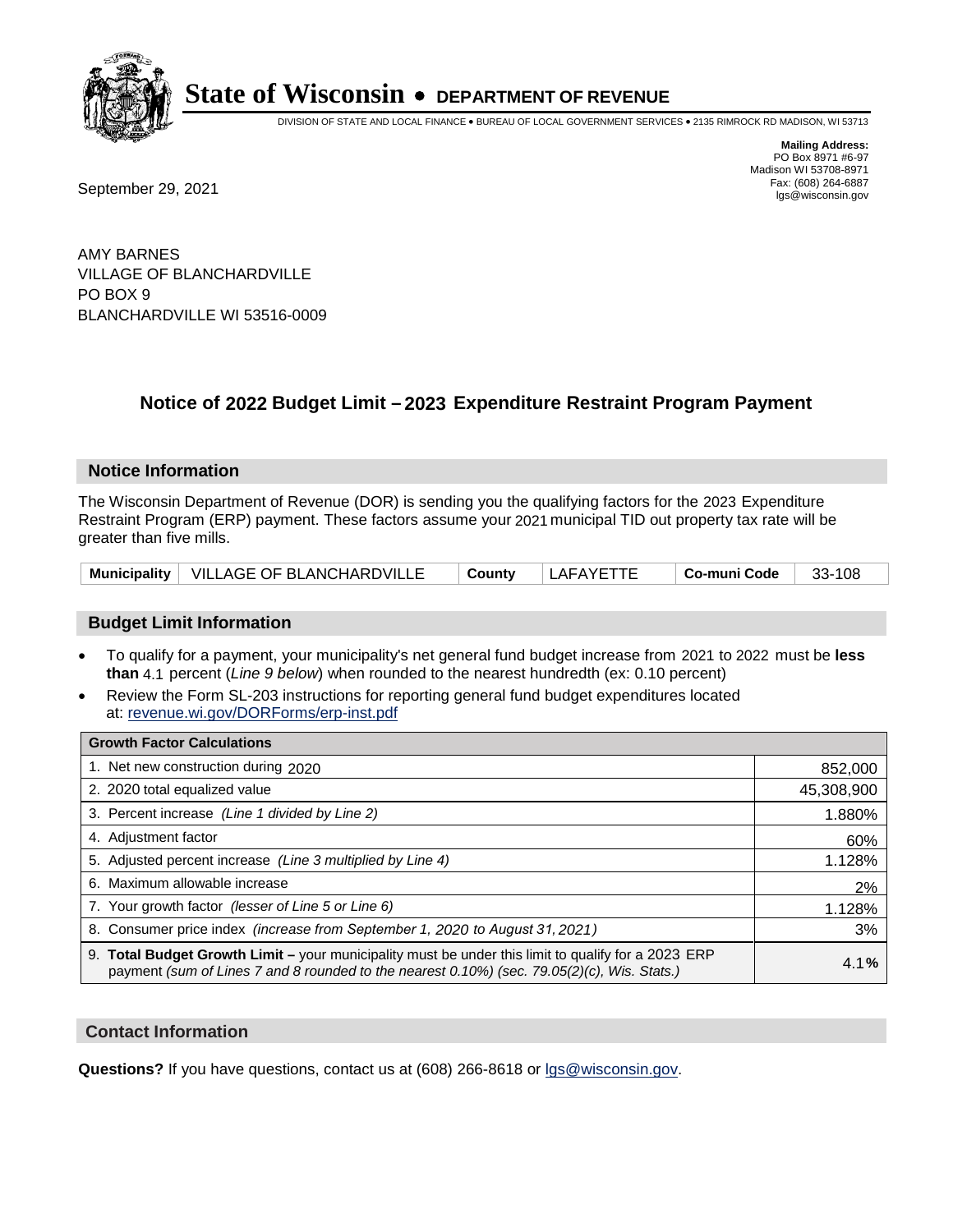

DIVISION OF STATE AND LOCAL FINANCE • BUREAU OF LOCAL GOVERNMENT SERVICES • 2135 RIMROCK RD MADISON, WI 53713

**Mailing Address:** PO Box 8971 #6-97 Madison WI 53708-8971<br>Fax: (608) 264-6887

Fax: (608) 264-6887<br>
September 29, 2021 and the state of the state of the state of the state of the state of the state of the state of the state of the state of the state of the state of the state of the state of the state

AMY BARNES VILLAGE OF BLANCHARDVILLE PO BOX 9 BLANCHARDVILLE WI 53516-0009

## **Notice of 2022 Budget Limit - 2023 Expenditure Restraint Program Payment**

#### **Notice Information**

The Wisconsin Department of Revenue (DOR) is sending you the qualifying factors for the 2023 Expenditure Restraint Program (ERP) payment. These factors assume your 2021 municipal TID out property tax rate will be greater than five mills.

|  | Municipality   VILLAGE OF BLANCHARDVILLE | <b>⊦ County</b> | LAFAYETTE | ∣ Co-muni Code | - 33-108 |
|--|------------------------------------------|-----------------|-----------|----------------|----------|
|--|------------------------------------------|-----------------|-----------|----------------|----------|

### **Budget Limit Information**

- To qualify for a payment, your municipality's net general fund budget increase from 2021 to 2022 must be less **than** 4.1 percent (*Line 9 below*) when rounded to the nearest hundredth (ex: 0.10 percent)
- Review the Form SL-203 instructions for reporting general fund budget expenditures located at: revenue.wi.gov/DORForms/erp-inst.pdf

| <b>Growth Factor Calculations</b>                                                                                                                                                                      |            |
|--------------------------------------------------------------------------------------------------------------------------------------------------------------------------------------------------------|------------|
| 1. Net new construction during 2020                                                                                                                                                                    | 852,000    |
| 2. 2020 total equalized value                                                                                                                                                                          | 45,308,900 |
| 3. Percent increase (Line 1 divided by Line 2)                                                                                                                                                         | 1.880%     |
| 4. Adjustment factor                                                                                                                                                                                   | 60%        |
| 5. Adjusted percent increase (Line 3 multiplied by Line 4)                                                                                                                                             | 1.128%     |
| 6. Maximum allowable increase                                                                                                                                                                          | 2%         |
| 7. Your growth factor (lesser of Line 5 or Line 6)                                                                                                                                                     | 1.128%     |
| 8. Consumer price index (increase from September 1, 2020 to August 31, 2021)                                                                                                                           | 3%         |
| 9. Total Budget Growth Limit - your municipality must be under this limit to qualify for a 2023 ERP<br>payment (sum of Lines 7 and 8 rounded to the nearest $0.10\%$ ) (sec. 79.05(2)(c), Wis. Stats.) | 4.1%       |

### **Contact Information**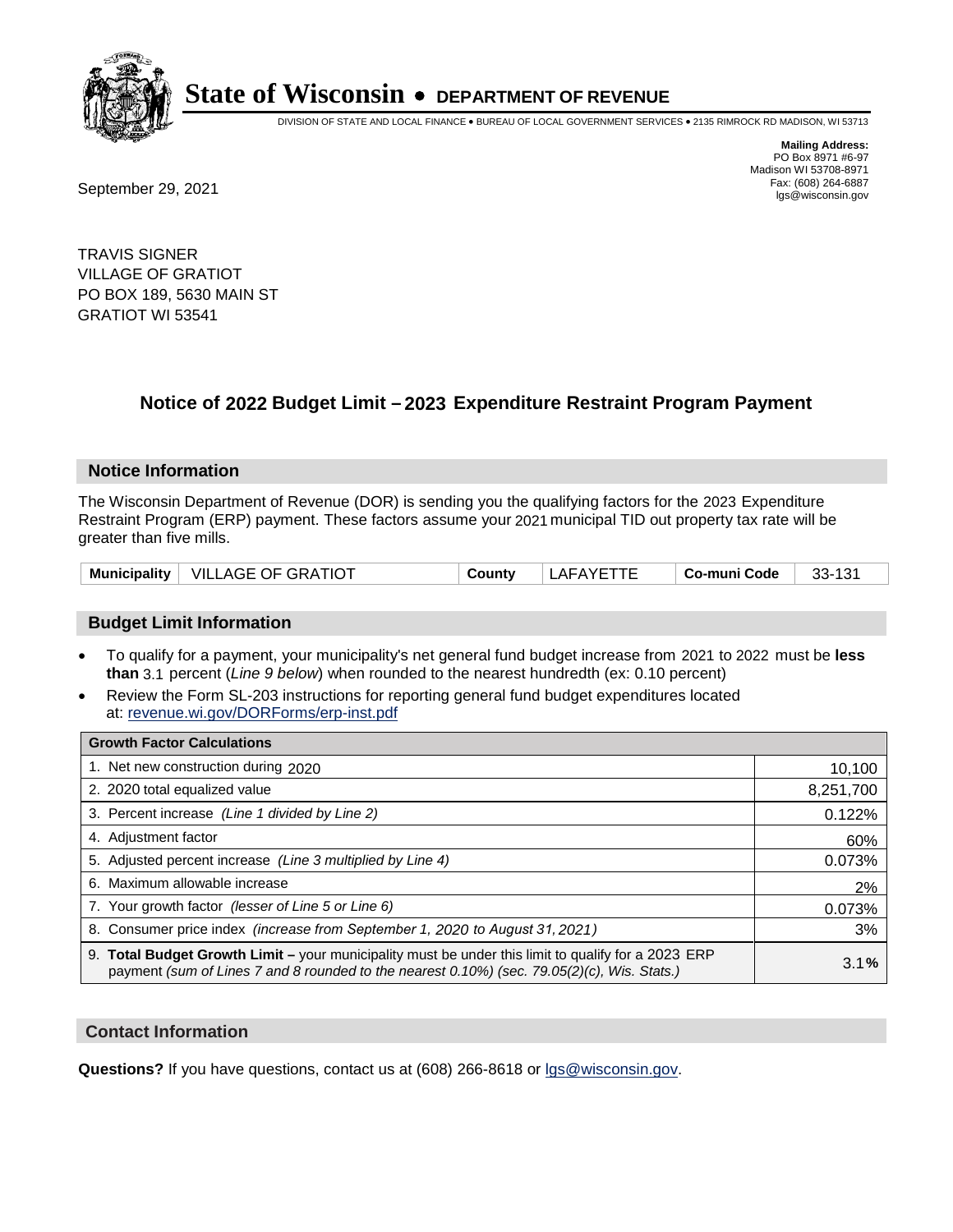

DIVISION OF STATE AND LOCAL FINANCE • BUREAU OF LOCAL GOVERNMENT SERVICES • 2135 RIMROCK RD MADISON, WI 53713

**Mailing Address:** PO Box 8971 #6-97 Madison WI 53708-8971<br>Fax: (608) 264-6887

Fax: (608) 264-6887<br>
September 29, 2021 and the state of the state of the state of the state of the state of the state of the state of the state of the state of the state of the state of the state of the state of the state

TRAVIS SIGNER VILLAGE OF GRATIOT PO BOX 189, 5630 MAIN ST GRATIOT WI 53541

## **Notice of 2022 Budget Limit - 2023 Expenditure Restraint Program Payment**

### **Notice Information**

The Wisconsin Department of Revenue (DOR) is sending you the qualifying factors for the 2023 Expenditure Restraint Program (ERP) payment. These factors assume your 2021 municipal TID out property tax rate will be greater than five mills.

| Municipality | <b>VILLAGE OF GRATIOT</b> | ີດuntv | LAFAYETTE | . Co-muni Code | 33-131 |
|--------------|---------------------------|--------|-----------|----------------|--------|
|--------------|---------------------------|--------|-----------|----------------|--------|

### **Budget Limit Information**

- To qualify for a payment, your municipality's net general fund budget increase from 2021 to 2022 must be less **than** 3.1 percent (*Line 9 below*) when rounded to the nearest hundredth (ex: 0.10 percent)
- Review the Form SL-203 instructions for reporting general fund budget expenditures located at: revenue.wi.gov/DORForms/erp-inst.pdf

| <b>Growth Factor Calculations</b>                                                                                                                                                                  |           |
|----------------------------------------------------------------------------------------------------------------------------------------------------------------------------------------------------|-----------|
| 1. Net new construction during 2020                                                                                                                                                                | 10,100    |
| 2. 2020 total equalized value                                                                                                                                                                      | 8,251,700 |
| 3. Percent increase (Line 1 divided by Line 2)                                                                                                                                                     | 0.122%    |
| 4. Adjustment factor                                                                                                                                                                               | 60%       |
| 5. Adjusted percent increase (Line 3 multiplied by Line 4)                                                                                                                                         | 0.073%    |
| 6. Maximum allowable increase                                                                                                                                                                      | 2%        |
| 7. Your growth factor (lesser of Line 5 or Line 6)                                                                                                                                                 | 0.073%    |
| 8. Consumer price index (increase from September 1, 2020 to August 31, 2021)                                                                                                                       | 3%        |
| 9. Total Budget Growth Limit – your municipality must be under this limit to qualify for a 2023 ERP<br>payment (sum of Lines 7 and 8 rounded to the nearest 0.10%) (sec. 79.05(2)(c), Wis. Stats.) | 3.1%      |

### **Contact Information**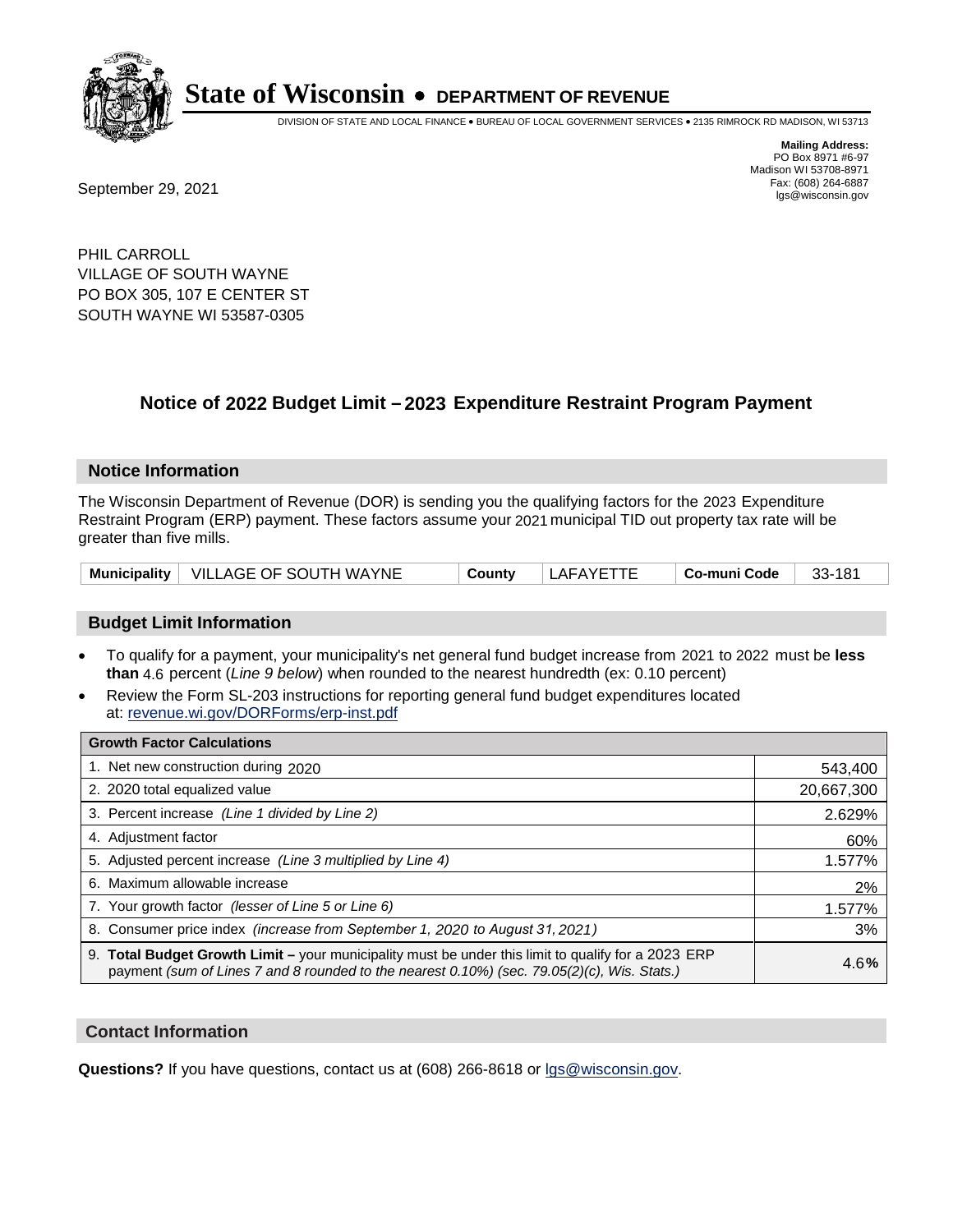

DIVISION OF STATE AND LOCAL FINANCE • BUREAU OF LOCAL GOVERNMENT SERVICES • 2135 RIMROCK RD MADISON, WI 53713

**Mailing Address:** PO Box 8971 #6-97 Madison WI 53708-8971<br>Fax: (608) 264-6887

Fax: (608) 264-6887<br>
September 29, 2021 and the state of the state of the state of the state of the state of the state of the state of the state of the state of the state of the state of the state of the state of the state

PHIL CARROLL VILLAGE OF SOUTH WAYNE PO BOX 305, 107 E CENTER ST SOUTH WAYNE WI 53587-0305

## **Notice of 2022 Budget Limit - 2023 Expenditure Restraint Program Payment**

#### **Notice Information**

The Wisconsin Department of Revenue (DOR) is sending you the qualifying factors for the 2023 Expenditure Restraint Program (ERP) payment. These factors assume your 2021 municipal TID out property tax rate will be greater than five mills.

|  | Municipality   VILLAGE OF SOUTH WAYNE | County | LAFAYETTE | ∣ Co-muni Code | 33-181 |
|--|---------------------------------------|--------|-----------|----------------|--------|
|--|---------------------------------------|--------|-----------|----------------|--------|

### **Budget Limit Information**

- To qualify for a payment, your municipality's net general fund budget increase from 2021 to 2022 must be less **than** 4.6 percent (*Line 9 below*) when rounded to the nearest hundredth (ex: 0.10 percent)
- Review the Form SL-203 instructions for reporting general fund budget expenditures located at: revenue.wi.gov/DORForms/erp-inst.pdf

| <b>Growth Factor Calculations</b>                                                                                                                                                                  |            |
|----------------------------------------------------------------------------------------------------------------------------------------------------------------------------------------------------|------------|
| 1. Net new construction during 2020                                                                                                                                                                | 543,400    |
| 2. 2020 total equalized value                                                                                                                                                                      | 20,667,300 |
| 3. Percent increase (Line 1 divided by Line 2)                                                                                                                                                     | 2.629%     |
| 4. Adjustment factor                                                                                                                                                                               | 60%        |
| 5. Adjusted percent increase (Line 3 multiplied by Line 4)                                                                                                                                         | 1.577%     |
| 6. Maximum allowable increase                                                                                                                                                                      | 2%         |
| 7. Your growth factor (lesser of Line 5 or Line 6)                                                                                                                                                 | 1.577%     |
| 8. Consumer price index (increase from September 1, 2020 to August 31, 2021)                                                                                                                       | 3%         |
| 9. Total Budget Growth Limit - your municipality must be under this limit to qualify for a 2023 ERP<br>payment (sum of Lines 7 and 8 rounded to the nearest 0.10%) (sec. 79.05(2)(c), Wis. Stats.) | 4.6%       |

### **Contact Information**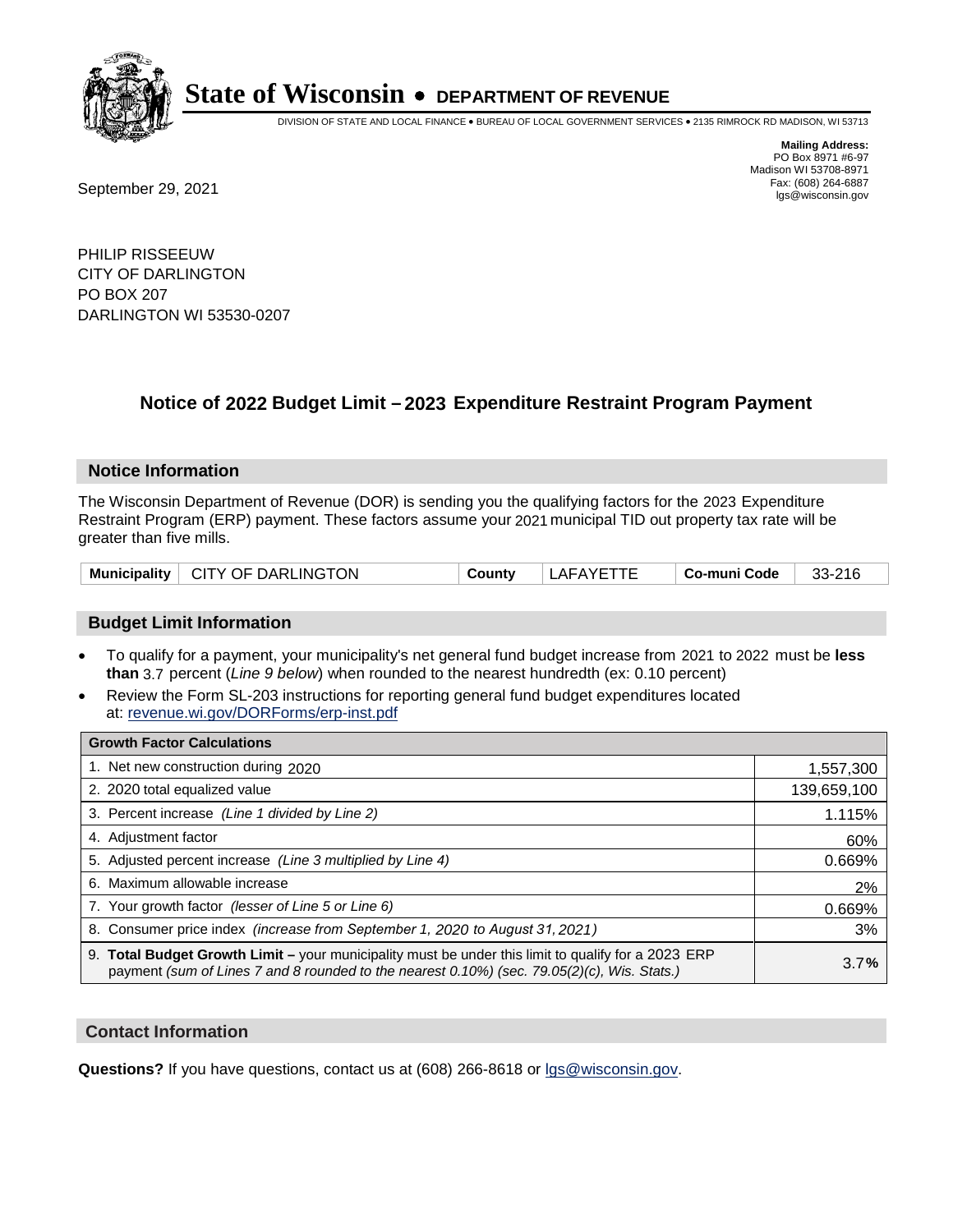

DIVISION OF STATE AND LOCAL FINANCE • BUREAU OF LOCAL GOVERNMENT SERVICES • 2135 RIMROCK RD MADISON, WI 53713

Fax: (608) 264-6887<br>
September 29, 2021 and the state of the state of the state of the state of the state of the state of the state of the state of the state of the state of the state of the state of the state of the state

**Mailing Address:** PO Box 8971 #6-97 Madison WI 53708-8971<br>Fax: (608) 264-6887

PHILIP RISSEEUW CITY OF DARLINGTON PO BOX 207 DARLINGTON WI 53530-0207

## **Notice of 2022 Budget Limit - 2023 Expenditure Restraint Program Payment**

#### **Notice Information**

The Wisconsin Department of Revenue (DOR) is sending you the qualifying factors for the 2023 Expenditure Restraint Program (ERP) payment. These factors assume your 2021 municipal TID out property tax rate will be greater than five mills.

| Municipality   CITY OF DARLINGTON | County | LAFAYETTE | Co-muni Code | 33-216 |
|-----------------------------------|--------|-----------|--------------|--------|
|-----------------------------------|--------|-----------|--------------|--------|

### **Budget Limit Information**

- To qualify for a payment, your municipality's net general fund budget increase from 2021 to 2022 must be less **than** 3.7 percent (*Line 9 below*) when rounded to the nearest hundredth (ex: 0.10 percent)
- Review the Form SL-203 instructions for reporting general fund budget expenditures located at: revenue.wi.gov/DORForms/erp-inst.pdf

| <b>Growth Factor Calculations</b>                                                                                                                                                                  |             |
|----------------------------------------------------------------------------------------------------------------------------------------------------------------------------------------------------|-------------|
| 1. Net new construction during 2020                                                                                                                                                                | 1,557,300   |
| 2. 2020 total equalized value                                                                                                                                                                      | 139,659,100 |
| 3. Percent increase (Line 1 divided by Line 2)                                                                                                                                                     | 1.115%      |
| 4. Adjustment factor                                                                                                                                                                               | 60%         |
| 5. Adjusted percent increase (Line 3 multiplied by Line 4)                                                                                                                                         | 0.669%      |
| 6. Maximum allowable increase                                                                                                                                                                      | 2%          |
| 7. Your growth factor (lesser of Line 5 or Line 6)                                                                                                                                                 | 0.669%      |
| 8. Consumer price index (increase from September 1, 2020 to August 31, 2021)                                                                                                                       | 3%          |
| 9. Total Budget Growth Limit – your municipality must be under this limit to qualify for a 2023 ERP<br>payment (sum of Lines 7 and 8 rounded to the nearest 0.10%) (sec. 79.05(2)(c), Wis. Stats.) | 3.7%        |

### **Contact Information**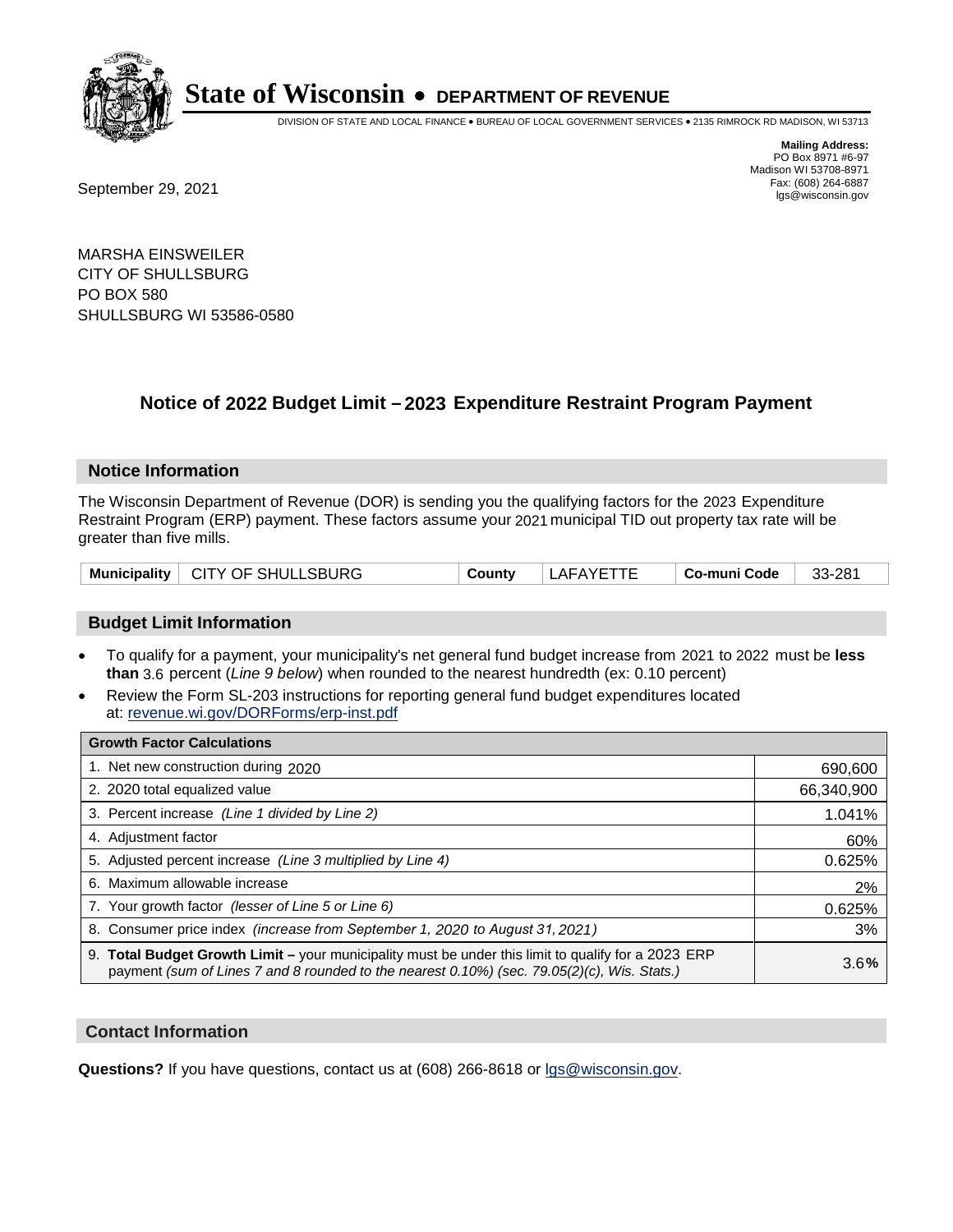

DIVISION OF STATE AND LOCAL FINANCE • BUREAU OF LOCAL GOVERNMENT SERVICES • 2135 RIMROCK RD MADISON, WI 53713

Fax: (608) 264-6887<br>
September 29, 2021 and the state of the state of the state of the state of the state of the state of the state of the state of the state of the state of the state of the state of the state of the state

**Mailing Address:** PO Box 8971 #6-97 Madison WI 53708-8971<br>Fax: (608) 264-6887

MARSHA EINSWEILER CITY OF SHULLSBURG PO BOX 580 SHULLSBURG WI 53586-0580

### **Notice of 2022 Budget Limit - 2023 Expenditure Restraint Program Payment**

#### **Notice Information**

The Wisconsin Department of Revenue (DOR) is sending you the qualifying factors for the 2023 Expenditure Restraint Program (ERP) payment. These factors assume your 2021 municipal TID out property tax rate will be greater than five mills.

|  | Municipality   CITY OF SHULLSBURG | County | LAFAYETTE | ∣ Co-muni Code | 33-281 |
|--|-----------------------------------|--------|-----------|----------------|--------|
|--|-----------------------------------|--------|-----------|----------------|--------|

### **Budget Limit Information**

- To qualify for a payment, your municipality's net general fund budget increase from 2021 to 2022 must be less **than** 3.6 percent (*Line 9 below*) when rounded to the nearest hundredth (ex: 0.10 percent)
- Review the Form SL-203 instructions for reporting general fund budget expenditures located at: revenue.wi.gov/DORForms/erp-inst.pdf

| <b>Growth Factor Calculations</b>                                                                                                                                                                  |            |
|----------------------------------------------------------------------------------------------------------------------------------------------------------------------------------------------------|------------|
| 1. Net new construction during 2020                                                                                                                                                                | 690,600    |
| 2. 2020 total equalized value                                                                                                                                                                      | 66,340,900 |
| 3. Percent increase (Line 1 divided by Line 2)                                                                                                                                                     | 1.041%     |
| 4. Adjustment factor                                                                                                                                                                               | 60%        |
| 5. Adjusted percent increase (Line 3 multiplied by Line 4)                                                                                                                                         | 0.625%     |
| 6. Maximum allowable increase                                                                                                                                                                      | 2%         |
| 7. Your growth factor (lesser of Line 5 or Line 6)                                                                                                                                                 | 0.625%     |
| 8. Consumer price index (increase from September 1, 2020 to August 31, 2021)                                                                                                                       | 3%         |
| 9. Total Budget Growth Limit – your municipality must be under this limit to qualify for a 2023 ERP<br>payment (sum of Lines 7 and 8 rounded to the nearest 0.10%) (sec. 79.05(2)(c), Wis. Stats.) | 3.6%       |

### **Contact Information**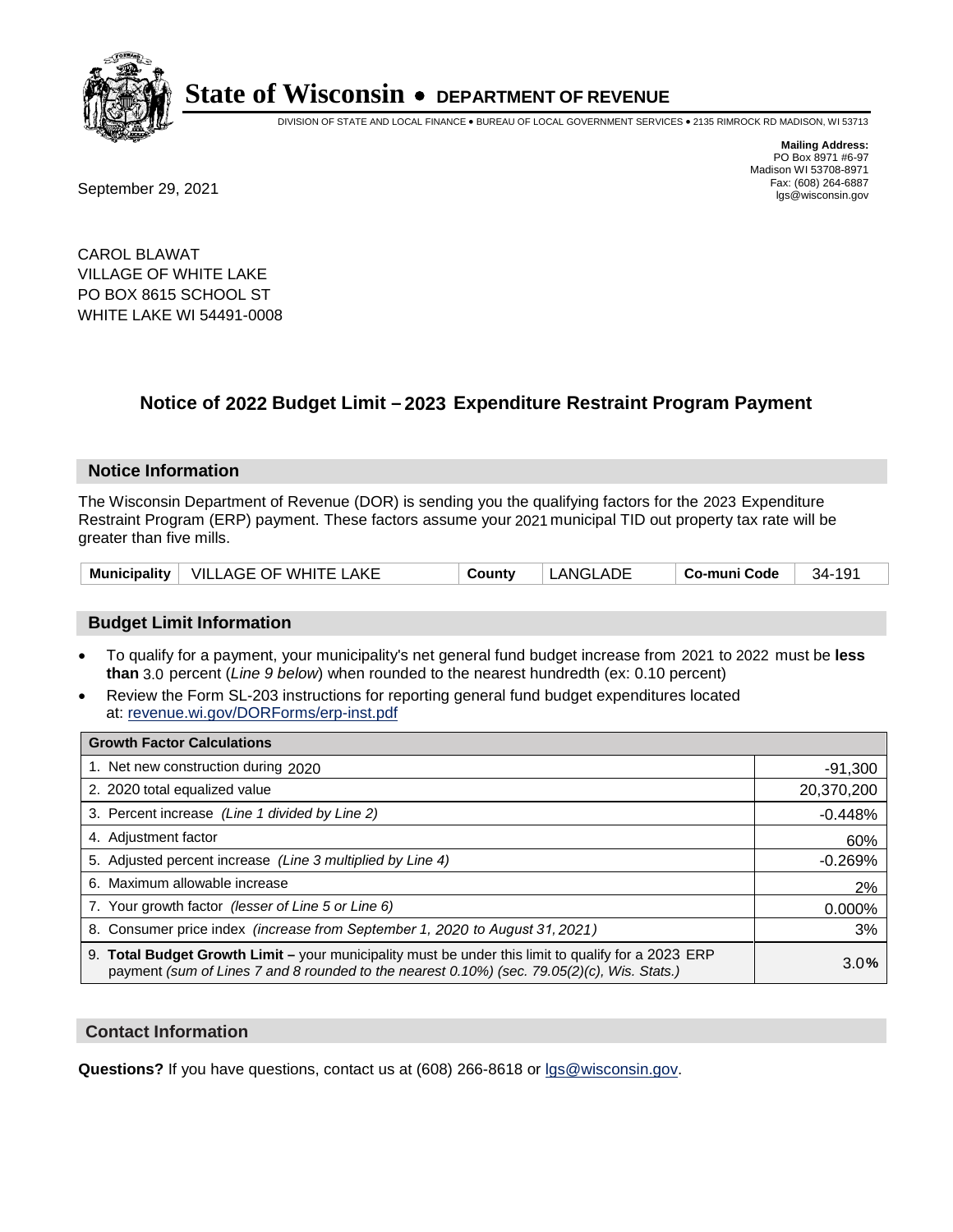

DIVISION OF STATE AND LOCAL FINANCE • BUREAU OF LOCAL GOVERNMENT SERVICES • 2135 RIMROCK RD MADISON, WI 53713

Fax: (608) 264-6887<br>
September 29, 2021 and the state of the state of the state of the state of the state of the state of the state of the state of the state of the state of the state of the state of the state of the state

**Mailing Address:** PO Box 8971 #6-97 Madison WI 53708-8971<br>Fax: (608) 264-6887

CAROL BLAWAT VILLAGE OF WHITE LAKE PO BOX 8615 SCHOOL ST WHITE LAKE WI 54491-0008

## **Notice of 2022 Budget Limit - 2023 Expenditure Restraint Program Payment**

#### **Notice Information**

The Wisconsin Department of Revenue (DOR) is sending you the qualifying factors for the 2023 Expenditure Restraint Program (ERP) payment. These factors assume your 2021 municipal TID out property tax rate will be greater than five mills.

|  | Municipality   VILLAGE OF WHITE LAKE | Countv | LANGLADE | Co-muni Code | $34 - 191$ |
|--|--------------------------------------|--------|----------|--------------|------------|
|--|--------------------------------------|--------|----------|--------------|------------|

### **Budget Limit Information**

- To qualify for a payment, your municipality's net general fund budget increase from 2021 to 2022 must be less **than** 3.0 percent (*Line 9 below*) when rounded to the nearest hundredth (ex: 0.10 percent)
- Review the Form SL-203 instructions for reporting general fund budget expenditures located at: revenue.wi.gov/DORForms/erp-inst.pdf

| <b>Growth Factor Calculations</b>                                                                                                                                                                  |            |
|----------------------------------------------------------------------------------------------------------------------------------------------------------------------------------------------------|------------|
| 1. Net new construction during 2020                                                                                                                                                                | $-91,300$  |
| 2. 2020 total equalized value                                                                                                                                                                      | 20,370,200 |
| 3. Percent increase (Line 1 divided by Line 2)                                                                                                                                                     | $-0.448%$  |
| 4. Adjustment factor                                                                                                                                                                               | 60%        |
| 5. Adjusted percent increase (Line 3 multiplied by Line 4)                                                                                                                                         | $-0.269%$  |
| 6. Maximum allowable increase                                                                                                                                                                      | 2%         |
| 7. Your growth factor (lesser of Line 5 or Line 6)                                                                                                                                                 | 0.000%     |
| 8. Consumer price index (increase from September 1, 2020 to August 31, 2021)                                                                                                                       | 3%         |
| 9. Total Budget Growth Limit – your municipality must be under this limit to qualify for a 2023 ERP<br>payment (sum of Lines 7 and 8 rounded to the nearest 0.10%) (sec. 79.05(2)(c), Wis. Stats.) | 3.0%       |

### **Contact Information**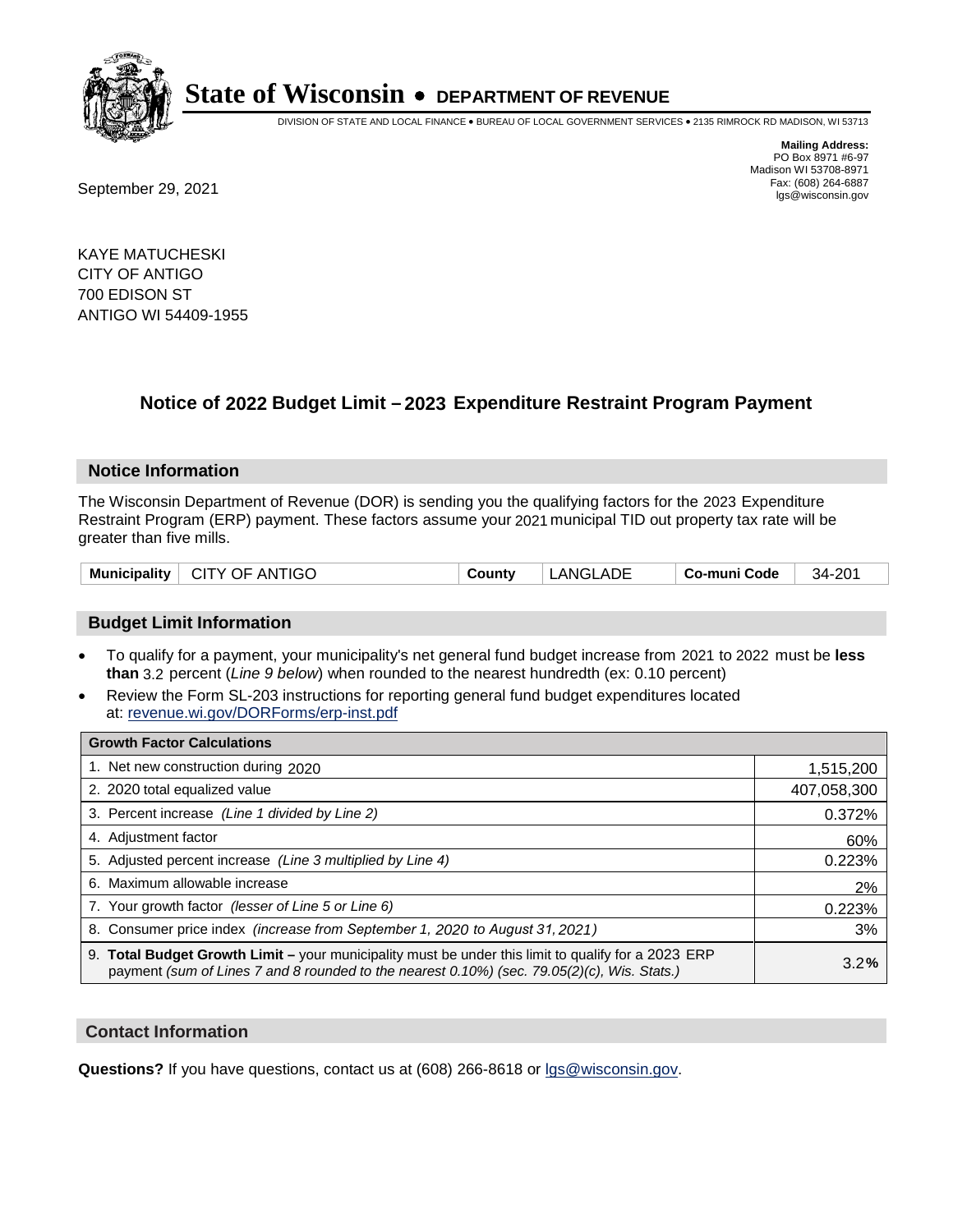

DIVISION OF STATE AND LOCAL FINANCE • BUREAU OF LOCAL GOVERNMENT SERVICES • 2135 RIMROCK RD MADISON, WI 53713

Fax: (608) 264-6887<br>
September 29, 2021 and the state of the state of the state of the state of the state of the state of the state of the state of the state of the state of the state of the state of the state of the state

**Mailing Address:** PO Box 8971 #6-97 Madison WI 53708-8971<br>Fax: (608) 264-6887

KAYE MATUCHESKI CITY OF ANTIGO 700 EDISON ST ANTIGO WI 54409-1955

## **Notice of 2022 Budget Limit - 2023 Expenditure Restraint Program Payment**

### **Notice Information**

The Wisconsin Department of Revenue (DOR) is sending you the qualifying factors for the 2023 Expenditure Restraint Program (ERP) payment. These factors assume your 2021 municipal TID out property tax rate will be greater than five mills.

| Municipality   CITY OF ANTIGO | County | LANGLADE | Co-muni Code | 34-201 |
|-------------------------------|--------|----------|--------------|--------|
|-------------------------------|--------|----------|--------------|--------|

### **Budget Limit Information**

- To qualify for a payment, your municipality's net general fund budget increase from 2021 to 2022 must be less **than** 3.2 percent (*Line 9 below*) when rounded to the nearest hundredth (ex: 0.10 percent)
- Review the Form SL-203 instructions for reporting general fund budget expenditures located at: revenue.wi.gov/DORForms/erp-inst.pdf

| <b>Growth Factor Calculations</b>                                                                                                                                                                  |             |
|----------------------------------------------------------------------------------------------------------------------------------------------------------------------------------------------------|-------------|
| 1. Net new construction during 2020                                                                                                                                                                | 1,515,200   |
| 2. 2020 total equalized value                                                                                                                                                                      | 407,058,300 |
| 3. Percent increase (Line 1 divided by Line 2)                                                                                                                                                     | 0.372%      |
| 4. Adjustment factor                                                                                                                                                                               | 60%         |
| 5. Adjusted percent increase (Line 3 multiplied by Line 4)                                                                                                                                         | 0.223%      |
| 6. Maximum allowable increase                                                                                                                                                                      | 2%          |
| 7. Your growth factor (lesser of Line 5 or Line 6)                                                                                                                                                 | 0.223%      |
| 8. Consumer price index (increase from September 1, 2020 to August 31, 2021)                                                                                                                       | 3%          |
| 9. Total Budget Growth Limit – your municipality must be under this limit to qualify for a 2023 ERP<br>payment (sum of Lines 7 and 8 rounded to the nearest 0.10%) (sec. 79.05(2)(c), Wis. Stats.) | 3.2%        |

### **Contact Information**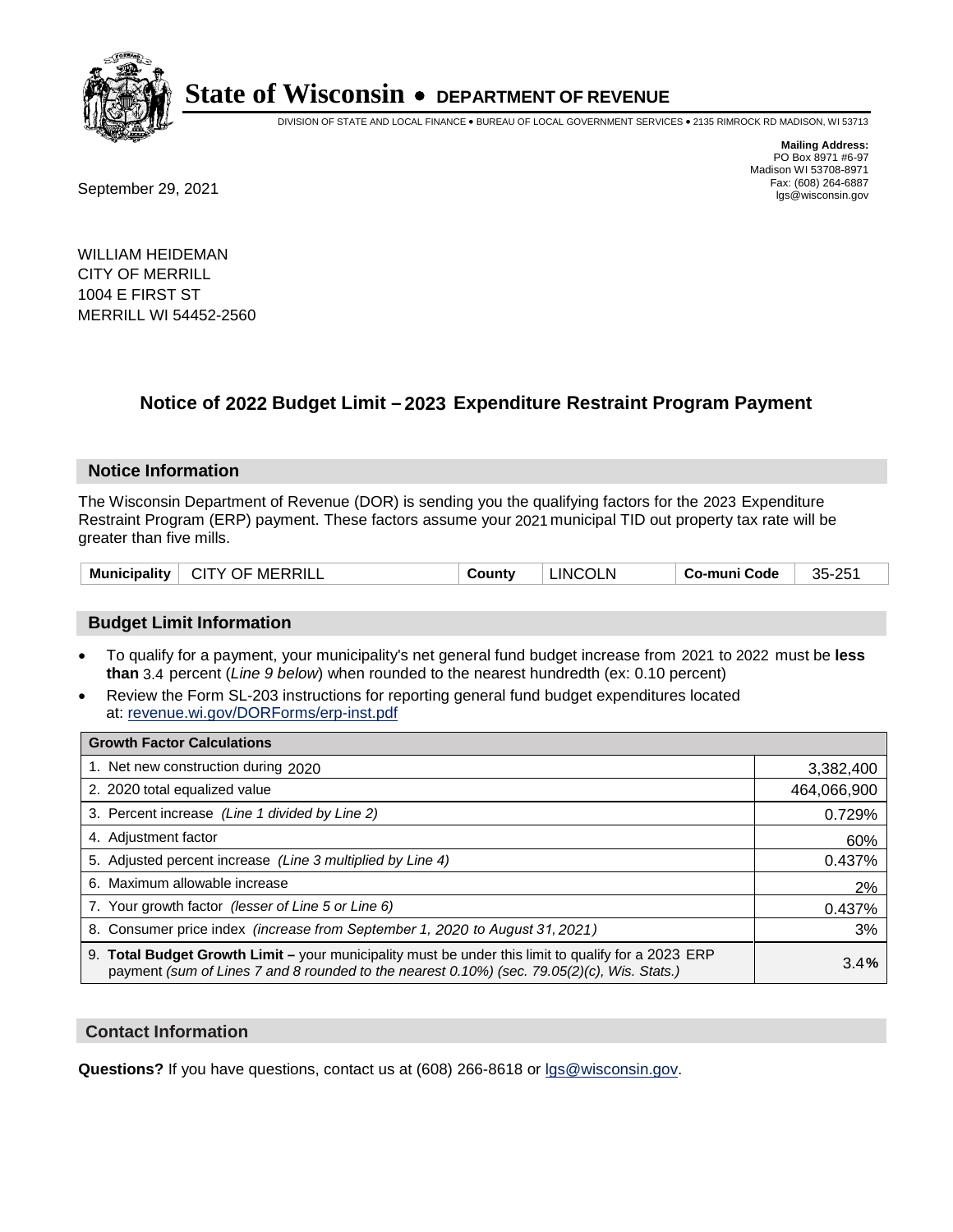

DIVISION OF STATE AND LOCAL FINANCE • BUREAU OF LOCAL GOVERNMENT SERVICES • 2135 RIMROCK RD MADISON, WI 53713

**Mailing Address:** PO Box 8971 #6-97 Madison WI 53708-8971<br>Fax: (608) 264-6887

Fax: (608) 264-6887<br>
September 29, 2021 and the state of the state of the state of the state of the state of the state of the state of the state of the state of the state of the state of the state of the state of the state

WILLIAM HEIDEMAN CITY OF MERRILL 1004 E FIRST ST MERRILL WI 54452-2560

## **Notice of 2022 Budget Limit - 2023 Expenditure Restraint Program Payment**

### **Notice Information**

The Wisconsin Department of Revenue (DOR) is sending you the qualifying factors for the 2023 Expenditure Restraint Program (ERP) payment. These factors assume your 2021 municipal TID out property tax rate will be greater than five mills.

|  | <b>Municipality</b> | $\perp$ CITY OF MERRILL | County | <b>LINCOLN</b> | Co-muni Code | 35-251 |
|--|---------------------|-------------------------|--------|----------------|--------------|--------|
|--|---------------------|-------------------------|--------|----------------|--------------|--------|

### **Budget Limit Information**

- To qualify for a payment, your municipality's net general fund budget increase from 2021 to 2022 must be less **than** 3.4 percent (*Line 9 below*) when rounded to the nearest hundredth (ex: 0.10 percent)
- Review the Form SL-203 instructions for reporting general fund budget expenditures located at: revenue.wi.gov/DORForms/erp-inst.pdf

| <b>Growth Factor Calculations</b>                                                                                                                                                                  |             |
|----------------------------------------------------------------------------------------------------------------------------------------------------------------------------------------------------|-------------|
| 1. Net new construction during 2020                                                                                                                                                                | 3,382,400   |
| 2. 2020 total equalized value                                                                                                                                                                      | 464,066,900 |
| 3. Percent increase (Line 1 divided by Line 2)                                                                                                                                                     | 0.729%      |
| 4. Adjustment factor                                                                                                                                                                               | 60%         |
| 5. Adjusted percent increase (Line 3 multiplied by Line 4)                                                                                                                                         | 0.437%      |
| 6. Maximum allowable increase                                                                                                                                                                      | 2%          |
| 7. Your growth factor (lesser of Line 5 or Line 6)                                                                                                                                                 | 0.437%      |
| 8. Consumer price index (increase from September 1, 2020 to August 31, 2021)                                                                                                                       | 3%          |
| 9. Total Budget Growth Limit – your municipality must be under this limit to qualify for a 2023 ERP<br>payment (sum of Lines 7 and 8 rounded to the nearest 0.10%) (sec. 79.05(2)(c), Wis. Stats.) | 3.4%        |

### **Contact Information**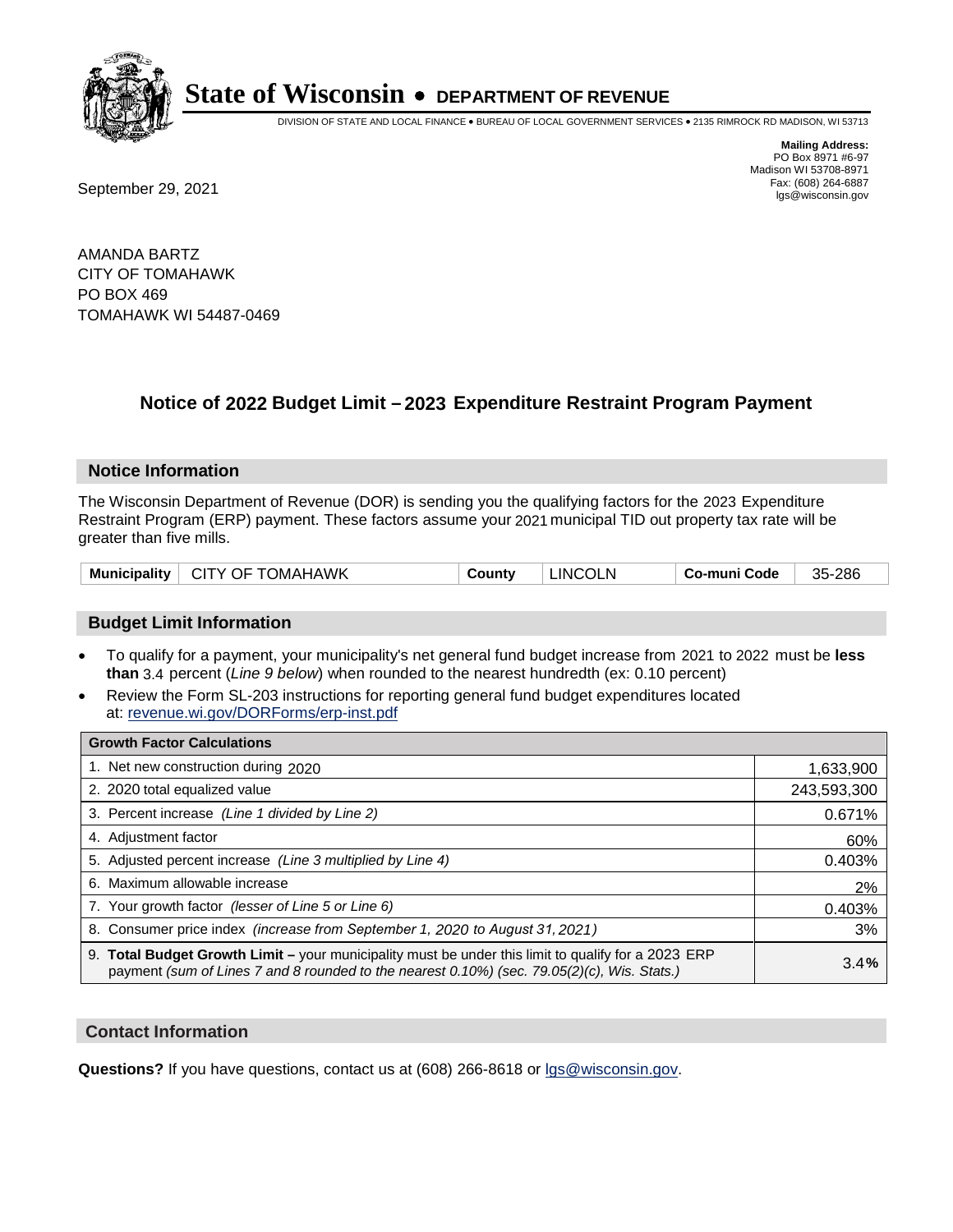

DIVISION OF STATE AND LOCAL FINANCE • BUREAU OF LOCAL GOVERNMENT SERVICES • 2135 RIMROCK RD MADISON, WI 53713

**Mailing Address:** PO Box 8971 #6-97 Madison WI 53708-8971<br>Fax: (608) 264-6887

Fax: (608) 264-6887<br>
September 29, 2021 and the state of the state of the state of the state of the state of the state of the state of the state of the state of the state of the state of the state of the state of the state

AMANDA BARTZ CITY OF TOMAHAWK PO BOX 469 TOMAHAWK WI 54487-0469

## **Notice of 2022 Budget Limit - 2023 Expenditure Restraint Program Payment**

### **Notice Information**

The Wisconsin Department of Revenue (DOR) is sending you the qualifying factors for the 2023 Expenditure Restraint Program (ERP) payment. These factors assume your 2021 municipal TID out property tax rate will be greater than five mills.

|  |  | Municipality   CITY OF TOMAHAWK | County | LINCOLN | ⊤ Co-muni Code | 35-286 |
|--|--|---------------------------------|--------|---------|----------------|--------|
|--|--|---------------------------------|--------|---------|----------------|--------|

### **Budget Limit Information**

- To qualify for a payment, your municipality's net general fund budget increase from 2021 to 2022 must be less **than** 3.4 percent (*Line 9 below*) when rounded to the nearest hundredth (ex: 0.10 percent)
- Review the Form SL-203 instructions for reporting general fund budget expenditures located at: revenue.wi.gov/DORForms/erp-inst.pdf

| <b>Growth Factor Calculations</b>                                                                                                                                                                  |             |
|----------------------------------------------------------------------------------------------------------------------------------------------------------------------------------------------------|-------------|
| 1. Net new construction during 2020                                                                                                                                                                | 1,633,900   |
| 2. 2020 total equalized value                                                                                                                                                                      | 243,593,300 |
| 3. Percent increase (Line 1 divided by Line 2)                                                                                                                                                     | 0.671%      |
| 4. Adjustment factor                                                                                                                                                                               | 60%         |
| 5. Adjusted percent increase (Line 3 multiplied by Line 4)                                                                                                                                         | 0.403%      |
| 6. Maximum allowable increase                                                                                                                                                                      | 2%          |
| 7. Your growth factor (lesser of Line 5 or Line 6)                                                                                                                                                 | 0.403%      |
| 8. Consumer price index (increase from September 1, 2020 to August 31, 2021)                                                                                                                       | 3%          |
| 9. Total Budget Growth Limit – your municipality must be under this limit to qualify for a 2023 ERP<br>payment (sum of Lines 7 and 8 rounded to the nearest 0.10%) (sec. 79.05(2)(c), Wis. Stats.) | 3.4%        |

### **Contact Information**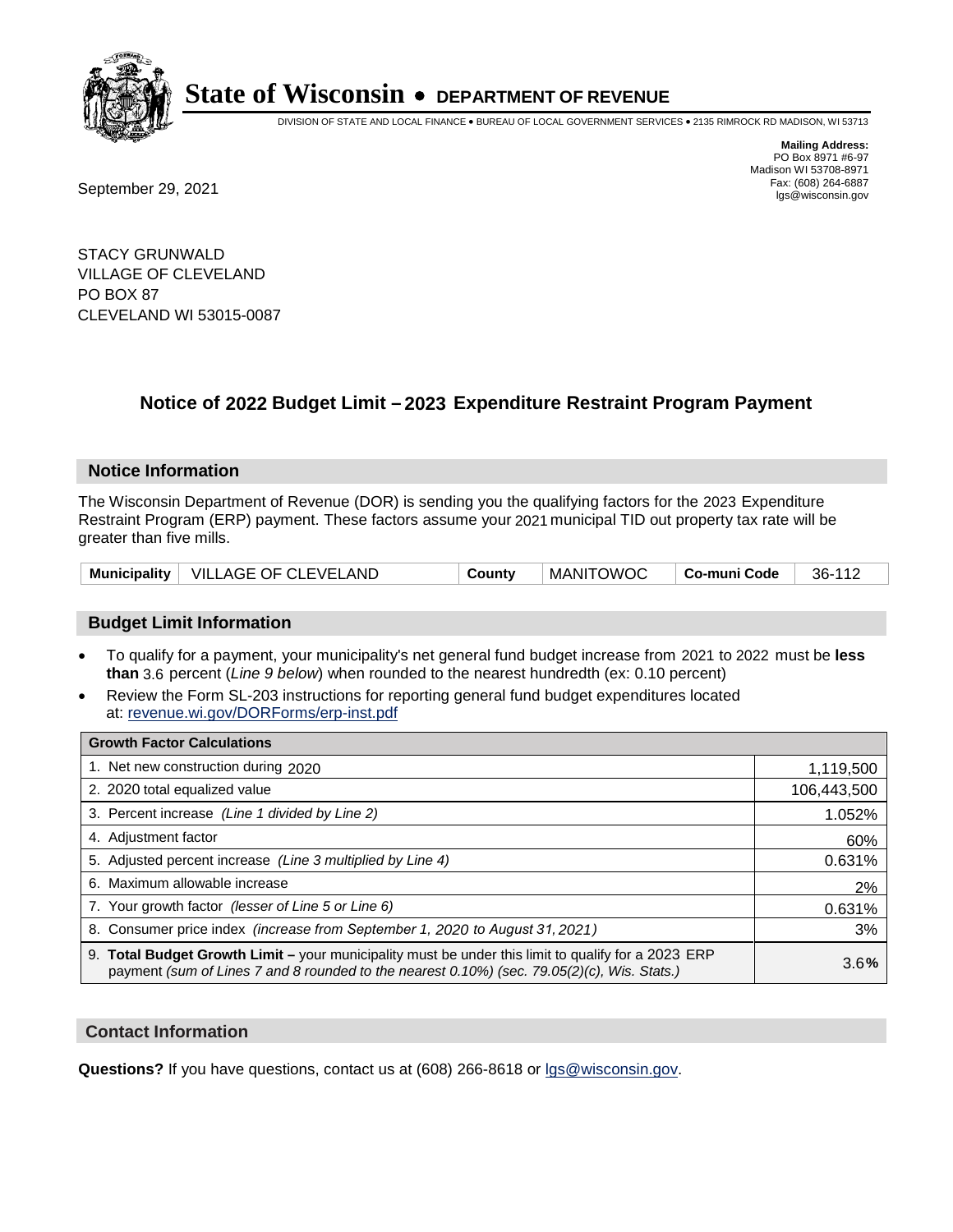

DIVISION OF STATE AND LOCAL FINANCE • BUREAU OF LOCAL GOVERNMENT SERVICES • 2135 RIMROCK RD MADISON, WI 53713

Fax: (608) 264-6887<br>
September 29, 2021 and the state of the state of the state of the state of the state of the state of the state of the state of the state of the state of the state of the state of the state of the state

**Mailing Address:** PO Box 8971 #6-97 Madison WI 53708-8971<br>Fax: (608) 264-6887

STACY GRUNWALD VILLAGE OF CLEVELAND PO BOX 87 CLEVELAND WI 53015-0087

### **Notice of 2022 Budget Limit - 2023 Expenditure Restraint Program Payment**

#### **Notice Information**

The Wisconsin Department of Revenue (DOR) is sending you the qualifying factors for the 2023 Expenditure Restraint Program (ERP) payment. These factors assume your 2021 municipal TID out property tax rate will be greater than five mills.

|  | Municipality   VILLAGE OF CLEVELAND | County | <b>MANITOWOC</b> | Co-muni Code | 36-112 |
|--|-------------------------------------|--------|------------------|--------------|--------|
|--|-------------------------------------|--------|------------------|--------------|--------|

### **Budget Limit Information**

- To qualify for a payment, your municipality's net general fund budget increase from 2021 to 2022 must be less **than** 3.6 percent (*Line 9 below*) when rounded to the nearest hundredth (ex: 0.10 percent)
- Review the Form SL-203 instructions for reporting general fund budget expenditures located at: revenue.wi.gov/DORForms/erp-inst.pdf

| <b>Growth Factor Calculations</b>                                                                                                                                                                  |             |
|----------------------------------------------------------------------------------------------------------------------------------------------------------------------------------------------------|-------------|
| 1. Net new construction during 2020                                                                                                                                                                | 1,119,500   |
| 2. 2020 total equalized value                                                                                                                                                                      | 106,443,500 |
| 3. Percent increase (Line 1 divided by Line 2)                                                                                                                                                     | 1.052%      |
| 4. Adjustment factor                                                                                                                                                                               | 60%         |
| 5. Adjusted percent increase (Line 3 multiplied by Line 4)                                                                                                                                         | 0.631%      |
| 6. Maximum allowable increase                                                                                                                                                                      | 2%          |
| 7. Your growth factor (lesser of Line 5 or Line 6)                                                                                                                                                 | 0.631%      |
| 8. Consumer price index (increase from September 1, 2020 to August 31, 2021)                                                                                                                       | 3%          |
| 9. Total Budget Growth Limit - your municipality must be under this limit to qualify for a 2023 ERP<br>payment (sum of Lines 7 and 8 rounded to the nearest 0.10%) (sec. 79.05(2)(c), Wis. Stats.) | 3.6%        |

### **Contact Information**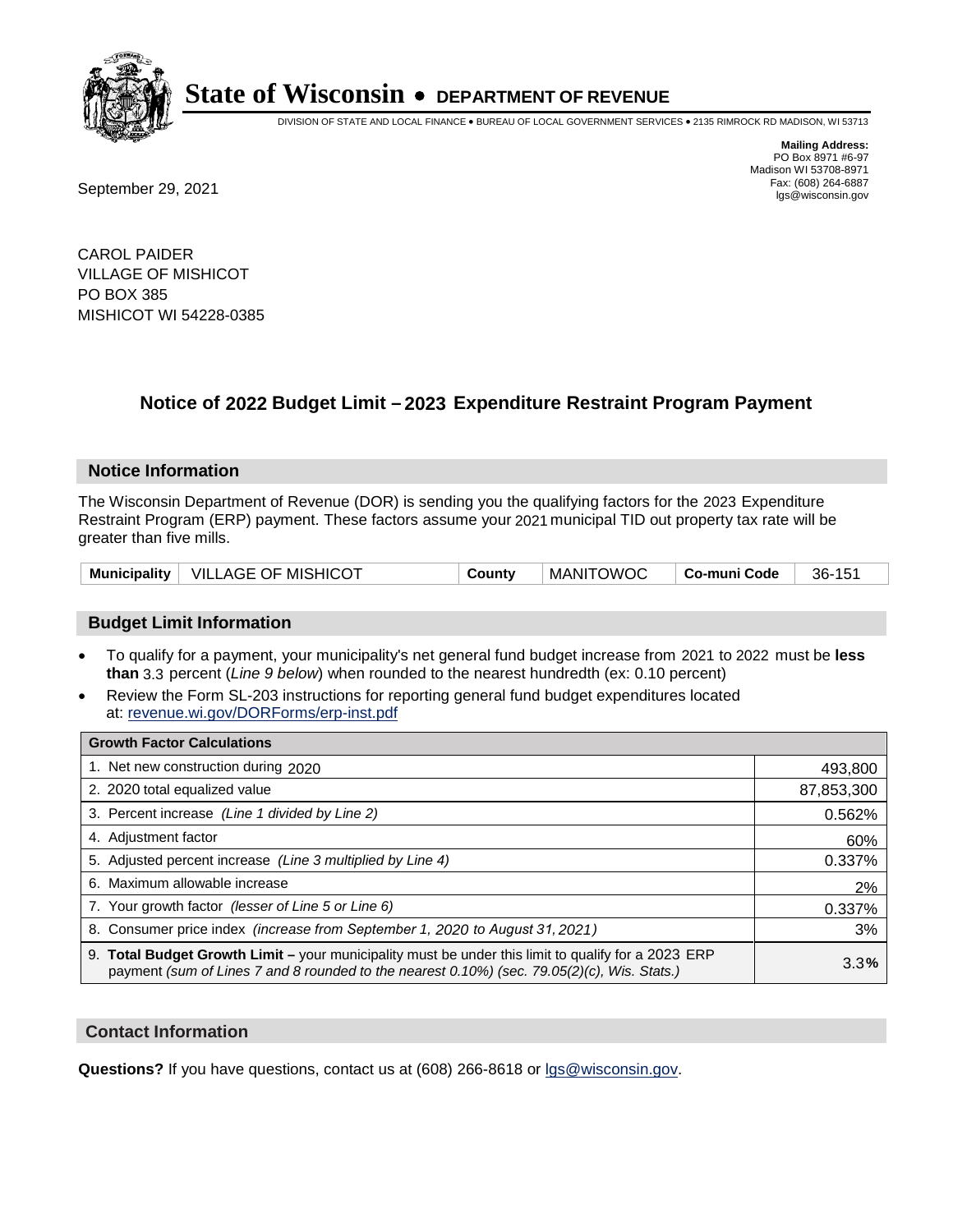

DIVISION OF STATE AND LOCAL FINANCE • BUREAU OF LOCAL GOVERNMENT SERVICES • 2135 RIMROCK RD MADISON, WI 53713

Fax: (608) 264-6887<br>
September 29, 2021 and the state of the state of the state of the state of the state of the state of the state of the state of the state of the state of the state of the state of the state of the state

**Mailing Address:** PO Box 8971 #6-97 Madison WI 53708-8971<br>Fax: (608) 264-6887

CAROL PAIDER VILLAGE OF MISHICOT PO BOX 385 MISHICOT WI 54228-0385

## **Notice of 2022 Budget Limit - 2023 Expenditure Restraint Program Payment**

#### **Notice Information**

The Wisconsin Department of Revenue (DOR) is sending you the qualifying factors for the 2023 Expenditure Restraint Program (ERP) payment. These factors assume your 2021 municipal TID out property tax rate will be greater than five mills.

|  | Municipality   VILLAGE OF MISHICOT | County | <b>MANITOWOC</b> | Co-muni Code | 36-151 |
|--|------------------------------------|--------|------------------|--------------|--------|
|--|------------------------------------|--------|------------------|--------------|--------|

### **Budget Limit Information**

- To qualify for a payment, your municipality's net general fund budget increase from 2021 to 2022 must be less **than** 3.3 percent (*Line 9 below*) when rounded to the nearest hundredth (ex: 0.10 percent)
- Review the Form SL-203 instructions for reporting general fund budget expenditures located at: revenue.wi.gov/DORForms/erp-inst.pdf

| <b>Growth Factor Calculations</b>                                                                                                                                                                      |            |
|--------------------------------------------------------------------------------------------------------------------------------------------------------------------------------------------------------|------------|
| 1. Net new construction during 2020                                                                                                                                                                    | 493,800    |
| 2. 2020 total equalized value                                                                                                                                                                          | 87,853,300 |
| 3. Percent increase (Line 1 divided by Line 2)                                                                                                                                                         | 0.562%     |
| 4. Adiustment factor                                                                                                                                                                                   | 60%        |
| 5. Adjusted percent increase (Line 3 multiplied by Line 4)                                                                                                                                             | 0.337%     |
| 6. Maximum allowable increase                                                                                                                                                                          | 2%         |
| 7. Your growth factor (lesser of Line 5 or Line 6)                                                                                                                                                     | 0.337%     |
| 8. Consumer price index (increase from September 1, 2020 to August 31, 2021)                                                                                                                           | 3%         |
| 9. Total Budget Growth Limit - your municipality must be under this limit to qualify for a 2023 ERP<br>payment (sum of Lines 7 and 8 rounded to the nearest $0.10\%$ ) (sec. 79.05(2)(c), Wis. Stats.) | 3.3%       |

### **Contact Information**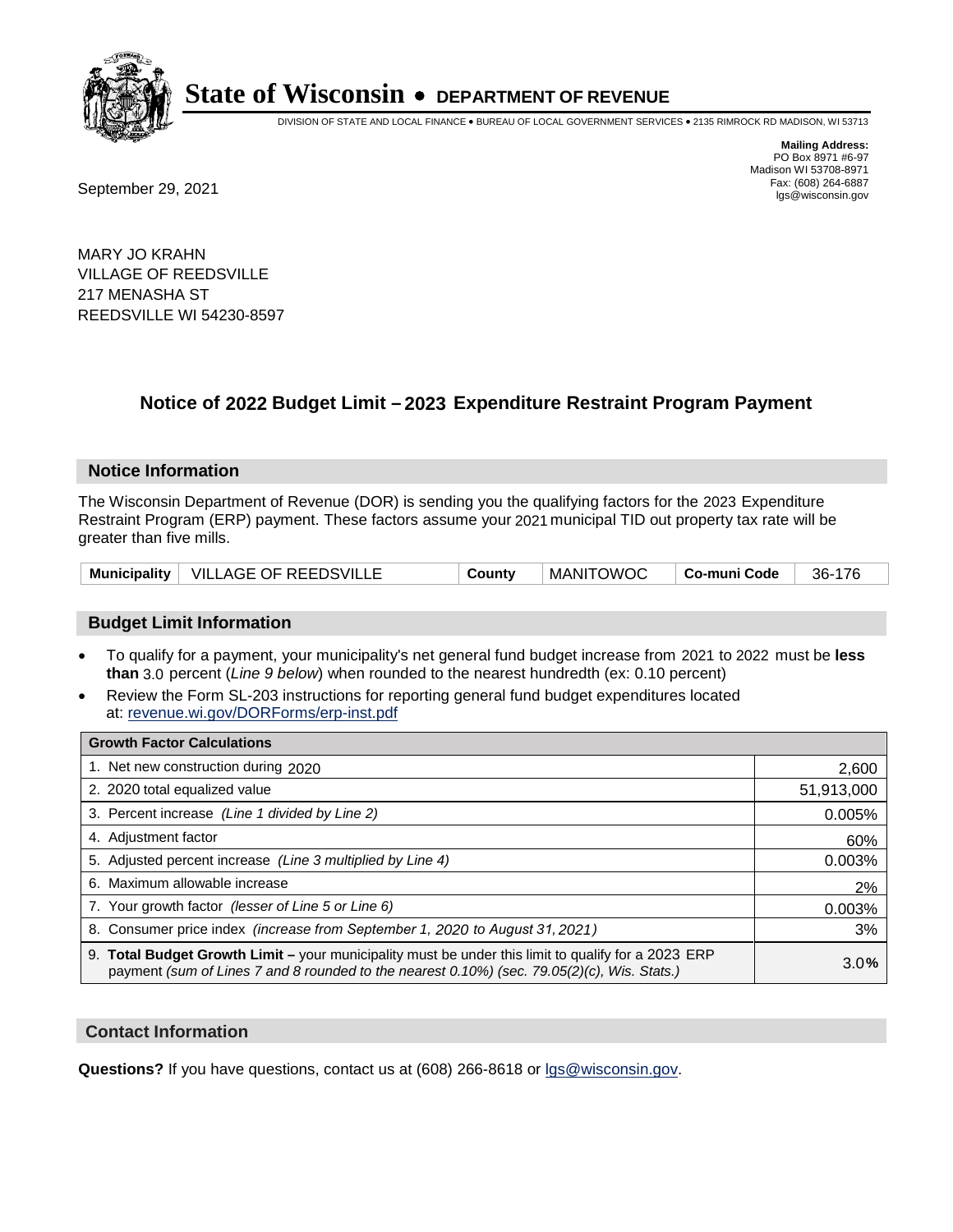

DIVISION OF STATE AND LOCAL FINANCE • BUREAU OF LOCAL GOVERNMENT SERVICES • 2135 RIMROCK RD MADISON, WI 53713

Fax: (608) 264-6887<br>
September 29, 2021 and the state of the state of the state of the state of the state of the state of the state of the state of the state of the state of the state of the state of the state of the state

**Mailing Address:** PO Box 8971 #6-97 Madison WI 53708-8971<br>Fax: (608) 264-6887

MARY JO KRAHN VILLAGE OF REEDSVILLE 217 MENASHA ST REEDSVILLE WI 54230-8597

## **Notice of 2022 Budget Limit - 2023 Expenditure Restraint Program Payment**

### **Notice Information**

The Wisconsin Department of Revenue (DOR) is sending you the qualifying factors for the 2023 Expenditure Restraint Program (ERP) payment. These factors assume your 2021 municipal TID out property tax rate will be greater than five mills.

|  | Municipality   VILLAGE OF REEDSVILLE | County | <b>MANITOWOC</b> | Co-muni Code | 36-176 |
|--|--------------------------------------|--------|------------------|--------------|--------|
|--|--------------------------------------|--------|------------------|--------------|--------|

### **Budget Limit Information**

- To qualify for a payment, your municipality's net general fund budget increase from 2021 to 2022 must be less **than** 3.0 percent (*Line 9 below*) when rounded to the nearest hundredth (ex: 0.10 percent)
- Review the Form SL-203 instructions for reporting general fund budget expenditures located at: revenue.wi.gov/DORForms/erp-inst.pdf

| <b>Growth Factor Calculations</b>                                                                                                                                                                  |            |
|----------------------------------------------------------------------------------------------------------------------------------------------------------------------------------------------------|------------|
| 1. Net new construction during 2020                                                                                                                                                                | 2,600      |
| 2. 2020 total equalized value                                                                                                                                                                      | 51,913,000 |
| 3. Percent increase (Line 1 divided by Line 2)                                                                                                                                                     | 0.005%     |
| 4. Adjustment factor                                                                                                                                                                               | 60%        |
| 5. Adjusted percent increase (Line 3 multiplied by Line 4)                                                                                                                                         | 0.003%     |
| 6. Maximum allowable increase                                                                                                                                                                      | 2%         |
| 7. Your growth factor (lesser of Line 5 or Line 6)                                                                                                                                                 | 0.003%     |
| 8. Consumer price index (increase from September 1, 2020 to August 31, 2021)                                                                                                                       | 3%         |
| 9. Total Budget Growth Limit – your municipality must be under this limit to qualify for a 2023 ERP<br>payment (sum of Lines 7 and 8 rounded to the nearest 0.10%) (sec. 79.05(2)(c), Wis. Stats.) | 3.0%       |

### **Contact Information**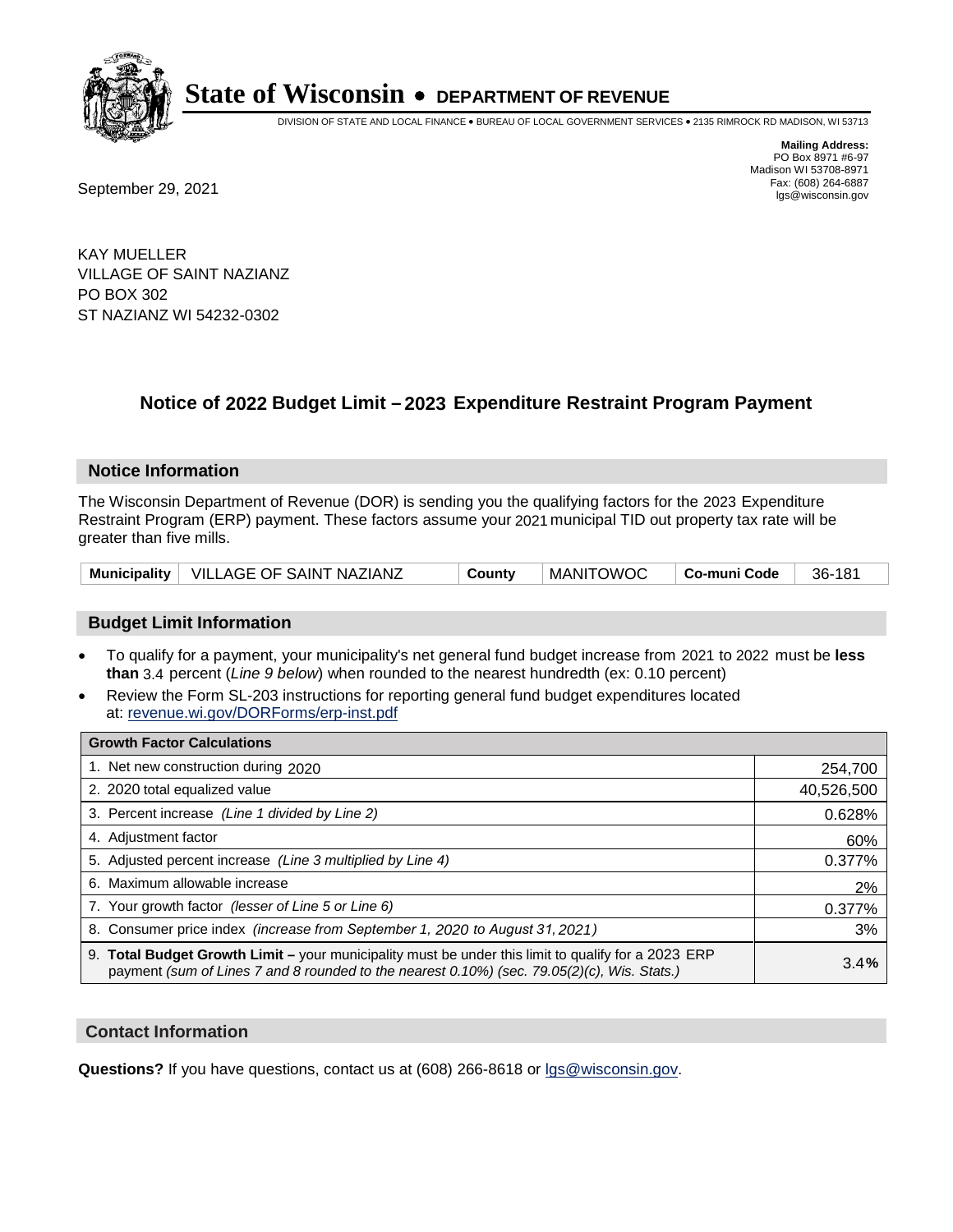

DIVISION OF STATE AND LOCAL FINANCE • BUREAU OF LOCAL GOVERNMENT SERVICES • 2135 RIMROCK RD MADISON, WI 53713

**Mailing Address:** PO Box 8971 #6-97 Madison WI 53708-8971<br>Fax: (608) 264-6887

Fax: (608) 264-6887<br>
September 29, 2021 and the state of the state of the state of the state of the state of the state of the state of the state of the state of the state of the state of the state of the state of the state

KAY MUELLER VILLAGE OF SAINT NAZIANZ PO BOX 302 ST NAZIANZ WI 54232-0302

## **Notice of 2022 Budget Limit - 2023 Expenditure Restraint Program Payment**

#### **Notice Information**

The Wisconsin Department of Revenue (DOR) is sending you the qualifying factors for the 2023 Expenditure Restraint Program (ERP) payment. These factors assume your 2021 municipal TID out property tax rate will be greater than five mills.

|  | Municipality   VILLAGE OF SAINT NAZIANZ | County | <b>MANITOWOC</b> | ∣ Co-muni Code | 36-181 |
|--|-----------------------------------------|--------|------------------|----------------|--------|
|--|-----------------------------------------|--------|------------------|----------------|--------|

### **Budget Limit Information**

- To qualify for a payment, your municipality's net general fund budget increase from 2021 to 2022 must be less **than** 3.4 percent (*Line 9 below*) when rounded to the nearest hundredth (ex: 0.10 percent)
- Review the Form SL-203 instructions for reporting general fund budget expenditures located at: revenue.wi.gov/DORForms/erp-inst.pdf

| <b>Growth Factor Calculations</b>                                                                                                                                                                  |            |
|----------------------------------------------------------------------------------------------------------------------------------------------------------------------------------------------------|------------|
| 1. Net new construction during 2020                                                                                                                                                                | 254,700    |
| 2. 2020 total equalized value                                                                                                                                                                      | 40,526,500 |
| 3. Percent increase (Line 1 divided by Line 2)                                                                                                                                                     | 0.628%     |
| 4. Adiustment factor                                                                                                                                                                               | 60%        |
| 5. Adjusted percent increase (Line 3 multiplied by Line 4)                                                                                                                                         | 0.377%     |
| 6. Maximum allowable increase                                                                                                                                                                      | 2%         |
| 7. Your growth factor (lesser of Line 5 or Line 6)                                                                                                                                                 | 0.377%     |
| 8. Consumer price index (increase from September 1, 2020 to August 31, 2021)                                                                                                                       | 3%         |
| 9. Total Budget Growth Limit - your municipality must be under this limit to qualify for a 2023 ERP<br>payment (sum of Lines 7 and 8 rounded to the nearest 0.10%) (sec. 79.05(2)(c), Wis. Stats.) | 3.4%       |

### **Contact Information**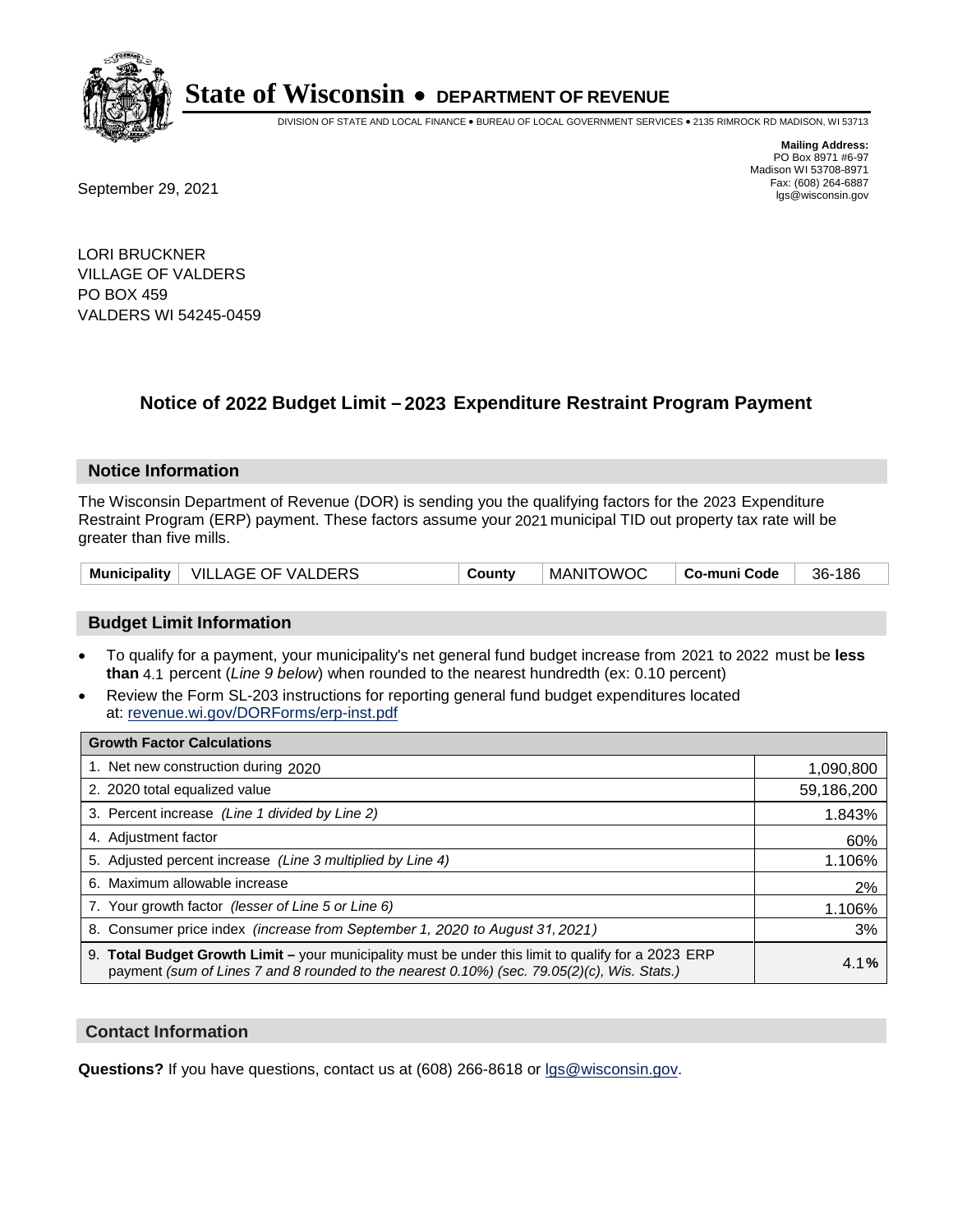

DIVISION OF STATE AND LOCAL FINANCE • BUREAU OF LOCAL GOVERNMENT SERVICES • 2135 RIMROCK RD MADISON, WI 53713

**Mailing Address:** PO Box 8971 #6-97 Madison WI 53708-8971<br>Fax: (608) 264-6887 Fax: (608) 264-6887<br>
September 29, 2021 and the state of the state of the state of the state of the state of the state of the state of the state of the state of the state of the state of the state of the state of the state

LORI BRUCKNER VILLAGE OF VALDERS PO BOX 459 VALDERS WI 54245-0459

## **Notice of 2022 Budget Limit - 2023 Expenditure Restraint Program Payment**

#### **Notice Information**

The Wisconsin Department of Revenue (DOR) is sending you the qualifying factors for the 2023 Expenditure Restraint Program (ERP) payment. These factors assume your 2021 municipal TID out property tax rate will be greater than five mills.

|  | Municipality   VILLAGE OF VALDERS | Countv | MANITOWOC | ∣ Co-muni Code | 36-186 |
|--|-----------------------------------|--------|-----------|----------------|--------|
|--|-----------------------------------|--------|-----------|----------------|--------|

#### **Budget Limit Information**

- To qualify for a payment, your municipality's net general fund budget increase from 2021 to 2022 must be less **than** 4.1 percent (*Line 9 below*) when rounded to the nearest hundredth (ex: 0.10 percent)
- Review the Form SL-203 instructions for reporting general fund budget expenditures located at: revenue.wi.gov/DORForms/erp-inst.pdf

| <b>Growth Factor Calculations</b>                                                                                                                                                                  |            |
|----------------------------------------------------------------------------------------------------------------------------------------------------------------------------------------------------|------------|
| 1. Net new construction during 2020                                                                                                                                                                | 1,090,800  |
| 2. 2020 total equalized value                                                                                                                                                                      | 59,186,200 |
| 3. Percent increase (Line 1 divided by Line 2)                                                                                                                                                     | 1.843%     |
| 4. Adiustment factor                                                                                                                                                                               | 60%        |
| 5. Adjusted percent increase (Line 3 multiplied by Line 4)                                                                                                                                         | 1.106%     |
| 6. Maximum allowable increase                                                                                                                                                                      | 2%         |
| 7. Your growth factor (lesser of Line 5 or Line 6)                                                                                                                                                 | 1.106%     |
| 8. Consumer price index (increase from September 1, 2020 to August 31, 2021)                                                                                                                       | 3%         |
| 9. Total Budget Growth Limit - your municipality must be under this limit to qualify for a 2023 ERP<br>payment (sum of Lines 7 and 8 rounded to the nearest 0.10%) (sec. 79.05(2)(c), Wis. Stats.) | 4.1%       |

#### **Contact Information**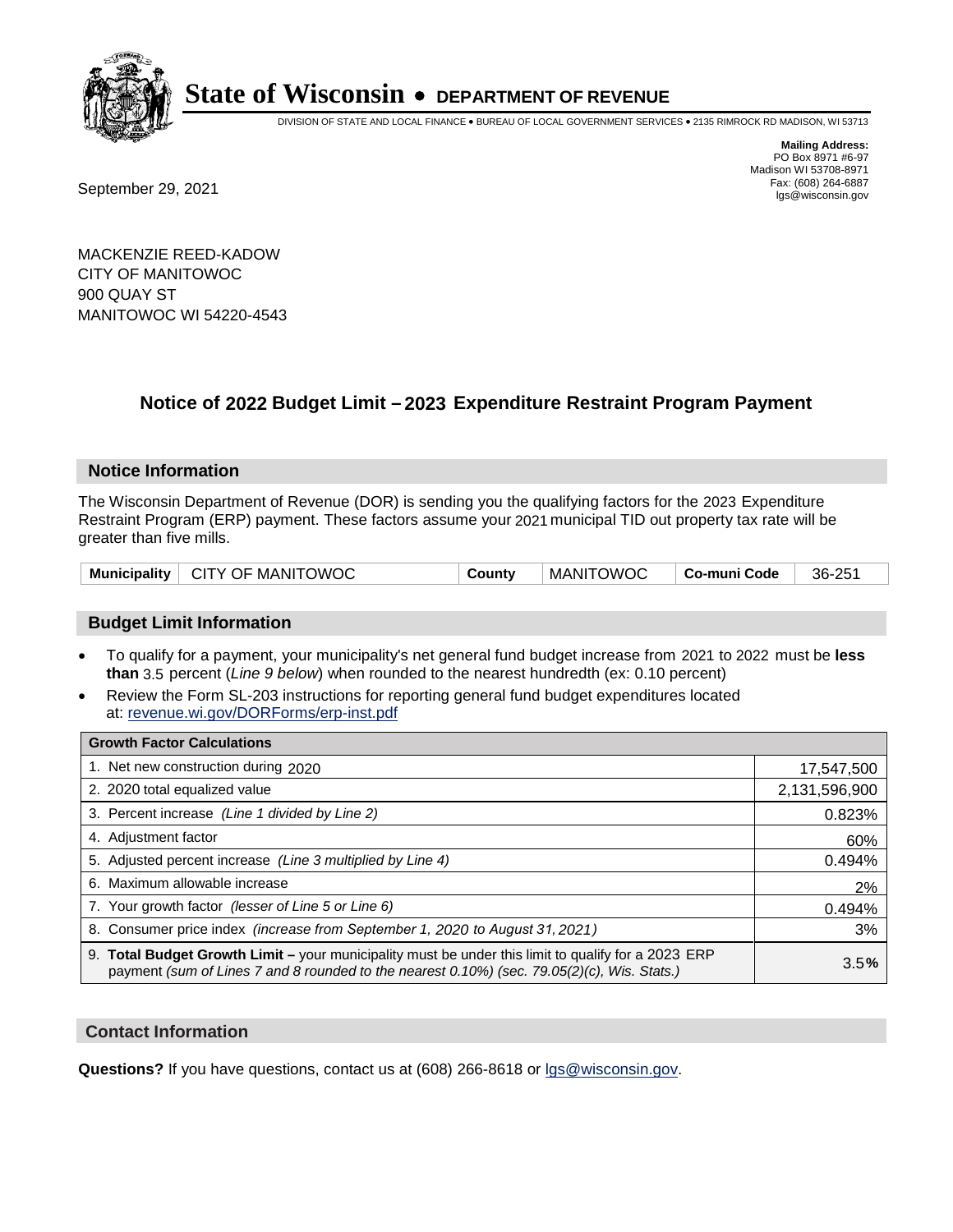

DIVISION OF STATE AND LOCAL FINANCE • BUREAU OF LOCAL GOVERNMENT SERVICES • 2135 RIMROCK RD MADISON, WI 53713

Fax: (608) 264-6887<br>
September 29, 2021 and the state of the state of the state of the state of the state of the state of the state of the state of the state of the state of the state of the state of the state of the state

**Mailing Address:** PO Box 8971 #6-97 Madison WI 53708-8971<br>Fax: (608) 264-6887

MACKENZIE REED-KADOW CITY OF MANITOWOC 900 QUAY ST MANITOWOC WI 54220-4543

### **Notice of 2022 Budget Limit - 2023 Expenditure Restraint Program Payment**

#### **Notice Information**

The Wisconsin Department of Revenue (DOR) is sending you the qualifying factors for the 2023 Expenditure Restraint Program (ERP) payment. These factors assume your 2021 municipal TID out property tax rate will be greater than five mills.

| Municipality   CITY OF MANITOWOC | County | ' MANITOWOC ⊺ | <b>」   Co-muni Code  </b> | 36-251 |
|----------------------------------|--------|---------------|---------------------------|--------|
|----------------------------------|--------|---------------|---------------------------|--------|

#### **Budget Limit Information**

- To qualify for a payment, your municipality's net general fund budget increase from 2021 to 2022 must be less **than** 3.5 percent (*Line 9 below*) when rounded to the nearest hundredth (ex: 0.10 percent)
- Review the Form SL-203 instructions for reporting general fund budget expenditures located at: revenue.wi.gov/DORForms/erp-inst.pdf

| <b>Growth Factor Calculations</b>                                                                                                                                                                      |               |
|--------------------------------------------------------------------------------------------------------------------------------------------------------------------------------------------------------|---------------|
| 1. Net new construction during 2020                                                                                                                                                                    | 17,547,500    |
| 2. 2020 total equalized value                                                                                                                                                                          | 2,131,596,900 |
| 3. Percent increase (Line 1 divided by Line 2)                                                                                                                                                         | 0.823%        |
| 4. Adjustment factor                                                                                                                                                                                   | 60%           |
| 5. Adjusted percent increase (Line 3 multiplied by Line 4)                                                                                                                                             | 0.494%        |
| 6. Maximum allowable increase                                                                                                                                                                          | 2%            |
| 7. Your growth factor (lesser of Line 5 or Line 6)                                                                                                                                                     | 0.494%        |
| 8. Consumer price index (increase from September 1, 2020 to August 31, 2021)                                                                                                                           | 3%            |
| 9. Total Budget Growth Limit - your municipality must be under this limit to qualify for a 2023 ERP<br>payment (sum of Lines 7 and 8 rounded to the nearest $0.10\%$ ) (sec. 79.05(2)(c), Wis. Stats.) | 3.5%          |

#### **Contact Information**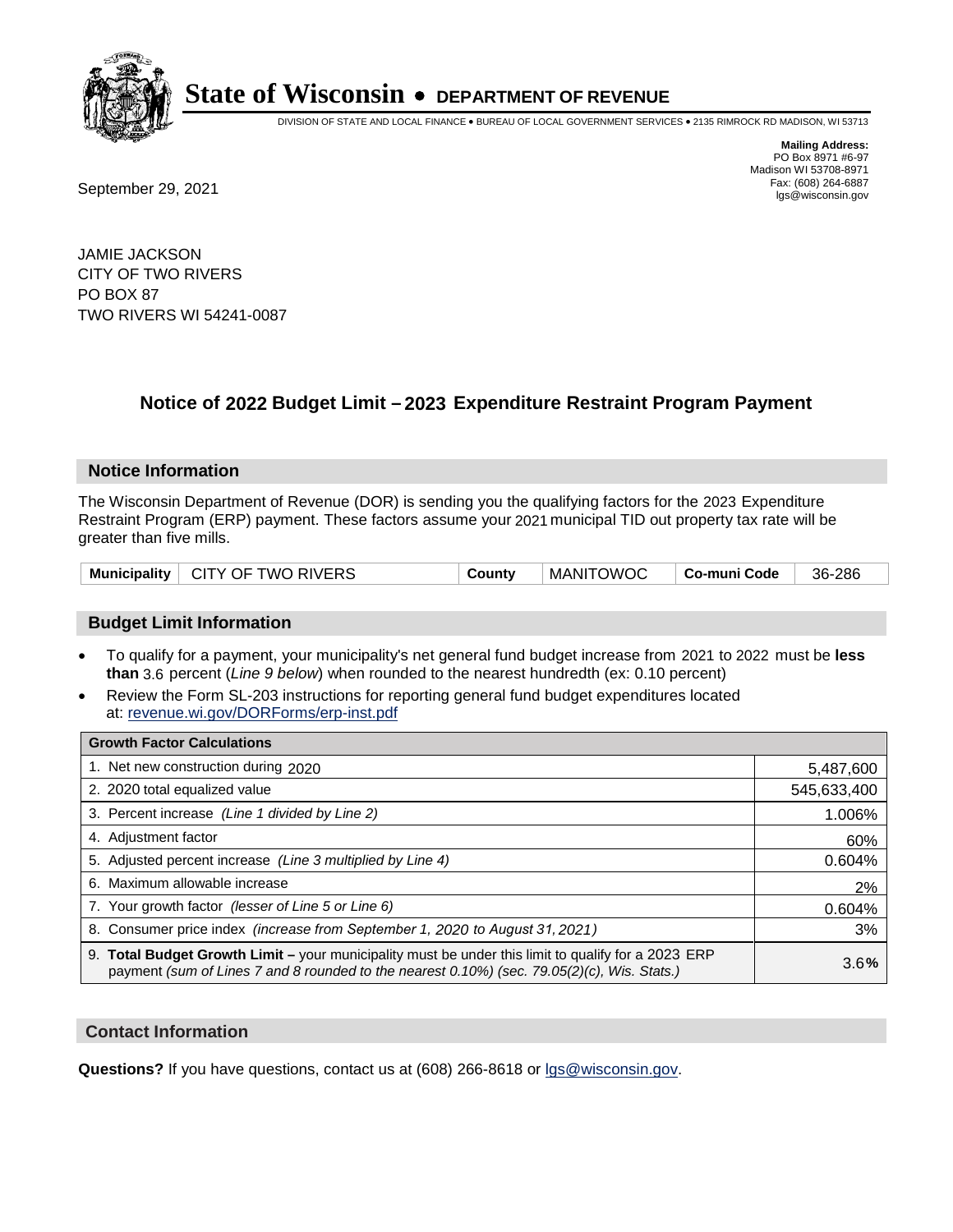

DIVISION OF STATE AND LOCAL FINANCE • BUREAU OF LOCAL GOVERNMENT SERVICES • 2135 RIMROCK RD MADISON, WI 53713

Fax: (608) 264-6887<br>
September 29, 2021 and the state of the state of the state of the state of the state of the state of the state of the state of the state of the state of the state of the state of the state of the state

**Mailing Address:** PO Box 8971 #6-97 Madison WI 53708-8971<br>Fax: (608) 264-6887

JAMIE JACKSON CITY OF TWO RIVERS PO BOX 87 TWO RIVERS WI 54241-0087

## **Notice of 2022 Budget Limit - 2023 Expenditure Restraint Program Payment**

#### **Notice Information**

The Wisconsin Department of Revenue (DOR) is sending you the qualifying factors for the 2023 Expenditure Restraint Program (ERP) payment. These factors assume your 2021 municipal TID out property tax rate will be greater than five mills.

| Municipality   CITY OF TWO RIVERS | County | ' MANITOWOC ⊺ | ∣ Co-muni Code | 36-286 |
|-----------------------------------|--------|---------------|----------------|--------|
|-----------------------------------|--------|---------------|----------------|--------|

#### **Budget Limit Information**

- To qualify for a payment, your municipality's net general fund budget increase from 2021 to 2022 must be less **than** 3.6 percent (*Line 9 below*) when rounded to the nearest hundredth (ex: 0.10 percent)
- Review the Form SL-203 instructions for reporting general fund budget expenditures located at: revenue.wi.gov/DORForms/erp-inst.pdf

| <b>Growth Factor Calculations</b>                                                                                                                                                                  |             |
|----------------------------------------------------------------------------------------------------------------------------------------------------------------------------------------------------|-------------|
| 1. Net new construction during 2020                                                                                                                                                                | 5,487,600   |
| 2. 2020 total equalized value                                                                                                                                                                      | 545,633,400 |
| 3. Percent increase (Line 1 divided by Line 2)                                                                                                                                                     | 1.006%      |
| 4. Adiustment factor                                                                                                                                                                               | 60%         |
| 5. Adjusted percent increase (Line 3 multiplied by Line 4)                                                                                                                                         | 0.604%      |
| 6. Maximum allowable increase                                                                                                                                                                      | 2%          |
| 7. Your growth factor (lesser of Line 5 or Line 6)                                                                                                                                                 | 0.604%      |
| 8. Consumer price index (increase from September 1, 2020 to August 31, 2021)                                                                                                                       | 3%          |
| 9. Total Budget Growth Limit - your municipality must be under this limit to qualify for a 2023 ERP<br>payment (sum of Lines 7 and 8 rounded to the nearest 0.10%) (sec. 79.05(2)(c), Wis. Stats.) | 3.6%        |

#### **Contact Information**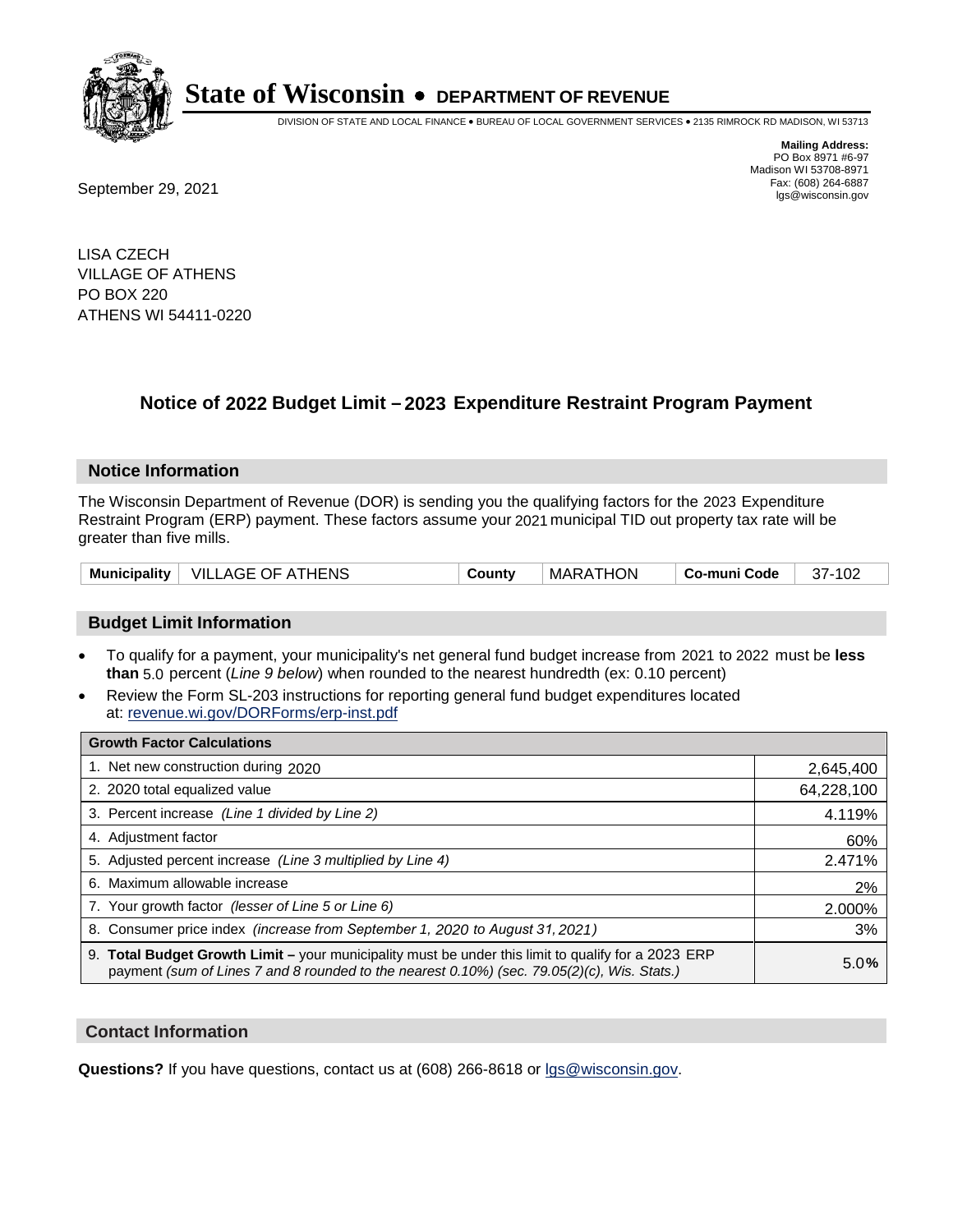

DIVISION OF STATE AND LOCAL FINANCE • BUREAU OF LOCAL GOVERNMENT SERVICES • 2135 RIMROCK RD MADISON, WI 53713

Fax: (608) 264-6887<br>
September 29, 2021 and the state of the state of the state of the state of the state of the state of the state of the state of the state of the state of the state of the state of the state of the state

**Mailing Address:** PO Box 8971 #6-97 Madison WI 53708-8971<br>Fax: (608) 264-6887

LISA CZECH VILLAGE OF ATHENS PO BOX 220 ATHENS WI 54411-0220

## **Notice of 2022 Budget Limit - 2023 Expenditure Restraint Program Payment**

#### **Notice Information**

The Wisconsin Department of Revenue (DOR) is sending you the qualifying factors for the 2023 Expenditure Restraint Program (ERP) payment. These factors assume your 2021 municipal TID out property tax rate will be greater than five mills.

| <b>Municipality</b> | $\mid$ VILLAGE OF ATHENS | County | MARATHON | Co-muni Code | 37-102 |
|---------------------|--------------------------|--------|----------|--------------|--------|
|---------------------|--------------------------|--------|----------|--------------|--------|

#### **Budget Limit Information**

- To qualify for a payment, your municipality's net general fund budget increase from 2021 to 2022 must be less **than** 5.0 percent (*Line 9 below*) when rounded to the nearest hundredth (ex: 0.10 percent)
- Review the Form SL-203 instructions for reporting general fund budget expenditures located at: revenue.wi.gov/DORForms/erp-inst.pdf

| <b>Growth Factor Calculations</b>                                                                                                                                                                  |            |
|----------------------------------------------------------------------------------------------------------------------------------------------------------------------------------------------------|------------|
| 1. Net new construction during 2020                                                                                                                                                                | 2,645,400  |
| 2. 2020 total equalized value                                                                                                                                                                      | 64,228,100 |
| 3. Percent increase (Line 1 divided by Line 2)                                                                                                                                                     | 4.119%     |
| 4. Adiustment factor                                                                                                                                                                               | 60%        |
| 5. Adjusted percent increase (Line 3 multiplied by Line 4)                                                                                                                                         | 2.471%     |
| 6. Maximum allowable increase                                                                                                                                                                      | 2%         |
| 7. Your growth factor (lesser of Line 5 or Line 6)                                                                                                                                                 | 2.000%     |
| 8. Consumer price index (increase from September 1, 2020 to August 31, 2021)                                                                                                                       | 3%         |
| 9. Total Budget Growth Limit - your municipality must be under this limit to qualify for a 2023 ERP<br>payment (sum of Lines 7 and 8 rounded to the nearest 0.10%) (sec. 79.05(2)(c), Wis. Stats.) | 5.0%       |

#### **Contact Information**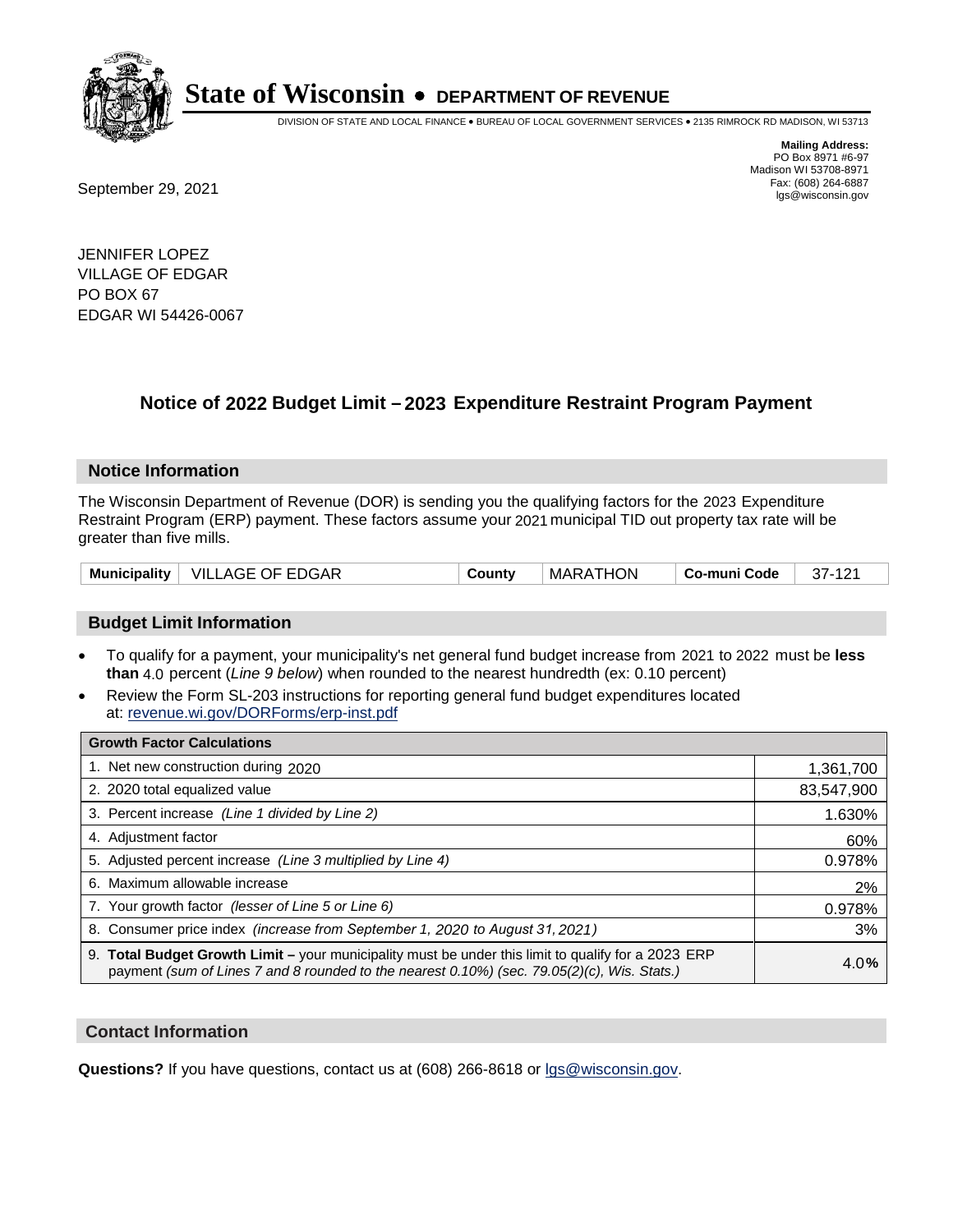

DIVISION OF STATE AND LOCAL FINANCE • BUREAU OF LOCAL GOVERNMENT SERVICES • 2135 RIMROCK RD MADISON, WI 53713

Fax: (608) 264-6887<br>
September 29, 2021 and the state of the state of the state of the state of the state of the state of the state of the state of the state of the state of the state of the state of the state of the state

**Mailing Address:** PO Box 8971 #6-97 Madison WI 53708-8971<br>Fax: (608) 264-6887

JENNIFER LOPEZ VILLAGE OF EDGAR PO BOX 67 EDGAR WI 54426-0067

### **Notice of 2022 Budget Limit - 2023 Expenditure Restraint Program Payment**

#### **Notice Information**

The Wisconsin Department of Revenue (DOR) is sending you the qualifying factors for the 2023 Expenditure Restraint Program (ERP) payment. These factors assume your 2021 municipal TID out property tax rate will be greater than five mills.

| <b>Municipality</b> | <b>VILLAGE OF EDGAR</b> | County | MARATHON | Co-muni Code | 37-121 |
|---------------------|-------------------------|--------|----------|--------------|--------|
|---------------------|-------------------------|--------|----------|--------------|--------|

#### **Budget Limit Information**

- To qualify for a payment, your municipality's net general fund budget increase from 2021 to 2022 must be less **than** 4.0 percent (*Line 9 below*) when rounded to the nearest hundredth (ex: 0.10 percent)
- Review the Form SL-203 instructions for reporting general fund budget expenditures located at: revenue.wi.gov/DORForms/erp-inst.pdf

| <b>Growth Factor Calculations</b>                                                                                                                                                                  |            |
|----------------------------------------------------------------------------------------------------------------------------------------------------------------------------------------------------|------------|
| 1. Net new construction during 2020                                                                                                                                                                | 1,361,700  |
| 2. 2020 total equalized value                                                                                                                                                                      | 83,547,900 |
| 3. Percent increase (Line 1 divided by Line 2)                                                                                                                                                     | 1.630%     |
| 4. Adjustment factor                                                                                                                                                                               | 60%        |
| 5. Adjusted percent increase (Line 3 multiplied by Line 4)                                                                                                                                         | 0.978%     |
| 6. Maximum allowable increase                                                                                                                                                                      | 2%         |
| 7. Your growth factor (lesser of Line 5 or Line 6)                                                                                                                                                 | 0.978%     |
| 8. Consumer price index (increase from September 1, 2020 to August 31, 2021)                                                                                                                       | 3%         |
| 9. Total Budget Growth Limit - your municipality must be under this limit to qualify for a 2023 ERP<br>payment (sum of Lines 7 and 8 rounded to the nearest 0.10%) (sec. 79.05(2)(c), Wis. Stats.) | 4.0%       |

#### **Contact Information**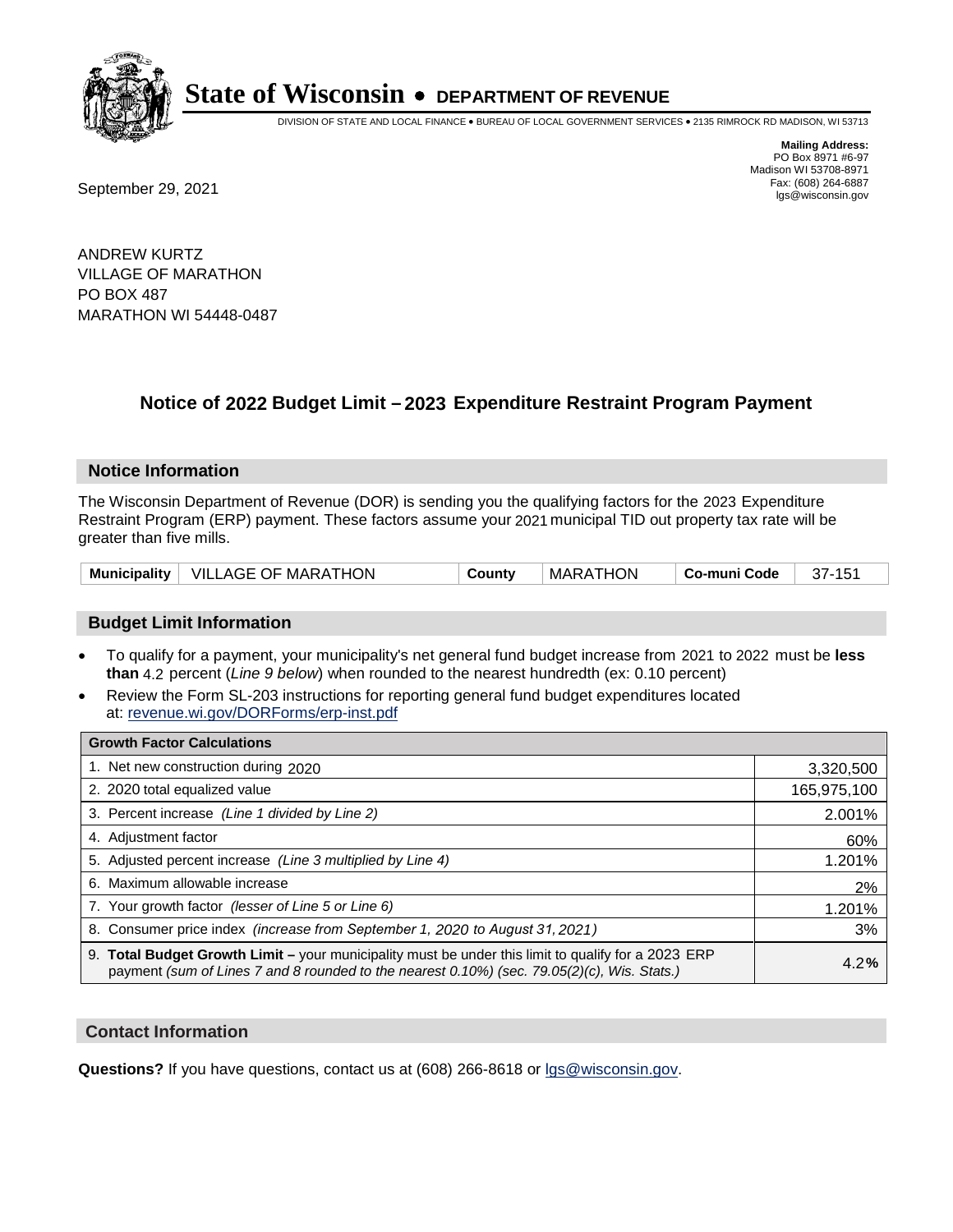

DIVISION OF STATE AND LOCAL FINANCE • BUREAU OF LOCAL GOVERNMENT SERVICES • 2135 RIMROCK RD MADISON, WI 53713

Fax: (608) 264-6887<br>
September 29, 2021 and the state of the state of the state of the state of the state of the state of the state of the state of the state of the state of the state of the state of the state of the state

**Mailing Address:** PO Box 8971 #6-97 Madison WI 53708-8971<br>Fax: (608) 264-6887

ANDREW KURTZ VILLAGE OF MARATHON PO BOX 487 MARATHON WI 54448-0487

### **Notice of 2022 Budget Limit - 2023 Expenditure Restraint Program Payment**

#### **Notice Information**

The Wisconsin Department of Revenue (DOR) is sending you the qualifying factors for the 2023 Expenditure Restraint Program (ERP) payment. These factors assume your 2021 municipal TID out property tax rate will be greater than five mills.

|  | Municipality   VILLAGE OF MARATHON | Countv | MARATHON | ∣ Co-muni Code | 37-151 |
|--|------------------------------------|--------|----------|----------------|--------|
|--|------------------------------------|--------|----------|----------------|--------|

#### **Budget Limit Information**

- To qualify for a payment, your municipality's net general fund budget increase from 2021 to 2022 must be less **than** 4.2 percent (*Line 9 below*) when rounded to the nearest hundredth (ex: 0.10 percent)
- Review the Form SL-203 instructions for reporting general fund budget expenditures located at: revenue.wi.gov/DORForms/erp-inst.pdf

| <b>Growth Factor Calculations</b>                                                                                                                                                                      |             |
|--------------------------------------------------------------------------------------------------------------------------------------------------------------------------------------------------------|-------------|
| 1. Net new construction during 2020                                                                                                                                                                    | 3,320,500   |
| 2. 2020 total equalized value                                                                                                                                                                          | 165,975,100 |
| 3. Percent increase (Line 1 divided by Line 2)                                                                                                                                                         | 2.001%      |
| 4. Adjustment factor                                                                                                                                                                                   | 60%         |
| 5. Adjusted percent increase (Line 3 multiplied by Line 4)                                                                                                                                             | 1.201%      |
| 6. Maximum allowable increase                                                                                                                                                                          | 2%          |
| 7. Your growth factor (lesser of Line 5 or Line 6)                                                                                                                                                     | 1.201%      |
| 8. Consumer price index (increase from September 1, 2020 to August 31, 2021)                                                                                                                           | 3%          |
| 9. Total Budget Growth Limit - your municipality must be under this limit to qualify for a 2023 ERP<br>payment (sum of Lines 7 and 8 rounded to the nearest $0.10\%$ ) (sec. 79.05(2)(c), Wis. Stats.) | 4.2%        |

#### **Contact Information**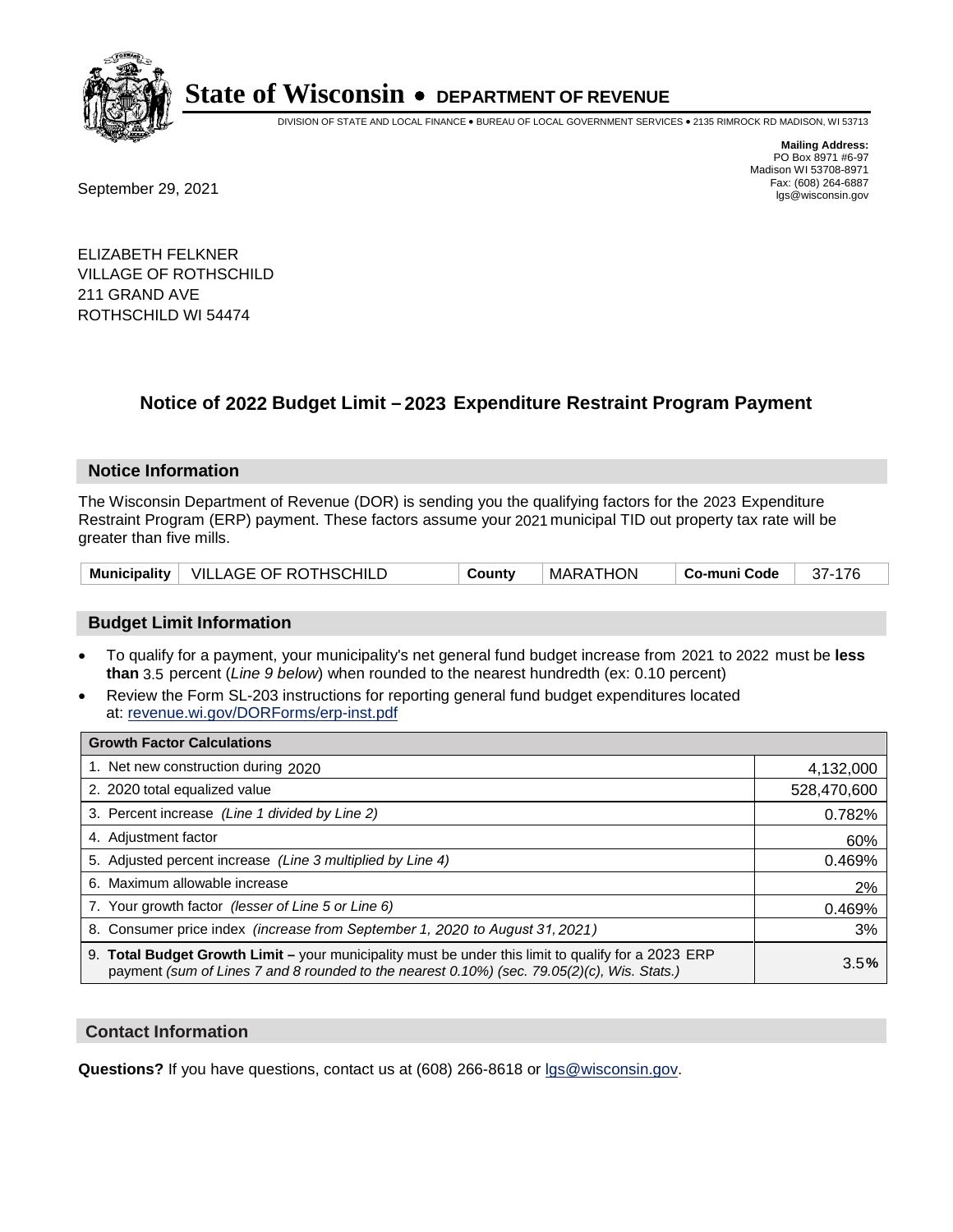

DIVISION OF STATE AND LOCAL FINANCE • BUREAU OF LOCAL GOVERNMENT SERVICES • 2135 RIMROCK RD MADISON, WI 53713

Fax: (608) 264-6887<br>
September 29, 2021 and the state of the state of the state of the state of the state of the state of the state of the state of the state of the state of the state of the state of the state of the state

**Mailing Address:** PO Box 8971 #6-97 Madison WI 53708-8971<br>Fax: (608) 264-6887

ELIZABETH FELKNER VILLAGE OF ROTHSCHILD 211 GRAND AVE ROTHSCHILD WI 54474

### **Notice of 2022 Budget Limit - 2023 Expenditure Restraint Program Payment**

#### **Notice Information**

The Wisconsin Department of Revenue (DOR) is sending you the qualifying factors for the 2023 Expenditure Restraint Program (ERP) payment. These factors assume your 2021 municipal TID out property tax rate will be greater than five mills.

| Municipality   VILLAGE OF ROTHSCHILD | County | MARATHON | Co-muni Code | 37-176 |
|--------------------------------------|--------|----------|--------------|--------|
|--------------------------------------|--------|----------|--------------|--------|

#### **Budget Limit Information**

- To qualify for a payment, your municipality's net general fund budget increase from 2021 to 2022 must be less **than** 3.5 percent (*Line 9 below*) when rounded to the nearest hundredth (ex: 0.10 percent)
- Review the Form SL-203 instructions for reporting general fund budget expenditures located at: revenue.wi.gov/DORForms/erp-inst.pdf

| <b>Growth Factor Calculations</b>                                                                                                                                                                  |             |
|----------------------------------------------------------------------------------------------------------------------------------------------------------------------------------------------------|-------------|
| 1. Net new construction during 2020                                                                                                                                                                | 4,132,000   |
| 2. 2020 total equalized value                                                                                                                                                                      | 528,470,600 |
| 3. Percent increase (Line 1 divided by Line 2)                                                                                                                                                     | 0.782%      |
| 4. Adjustment factor                                                                                                                                                                               | 60%         |
| 5. Adjusted percent increase (Line 3 multiplied by Line 4)                                                                                                                                         | 0.469%      |
| 6. Maximum allowable increase                                                                                                                                                                      | 2%          |
| 7. Your growth factor (lesser of Line 5 or Line 6)                                                                                                                                                 | 0.469%      |
| 8. Consumer price index (increase from September 1, 2020 to August 31, 2021)                                                                                                                       | 3%          |
| 9. Total Budget Growth Limit – your municipality must be under this limit to qualify for a 2023 ERP<br>payment (sum of Lines 7 and 8 rounded to the nearest 0.10%) (sec. 79.05(2)(c), Wis. Stats.) | 3.5%        |

#### **Contact Information**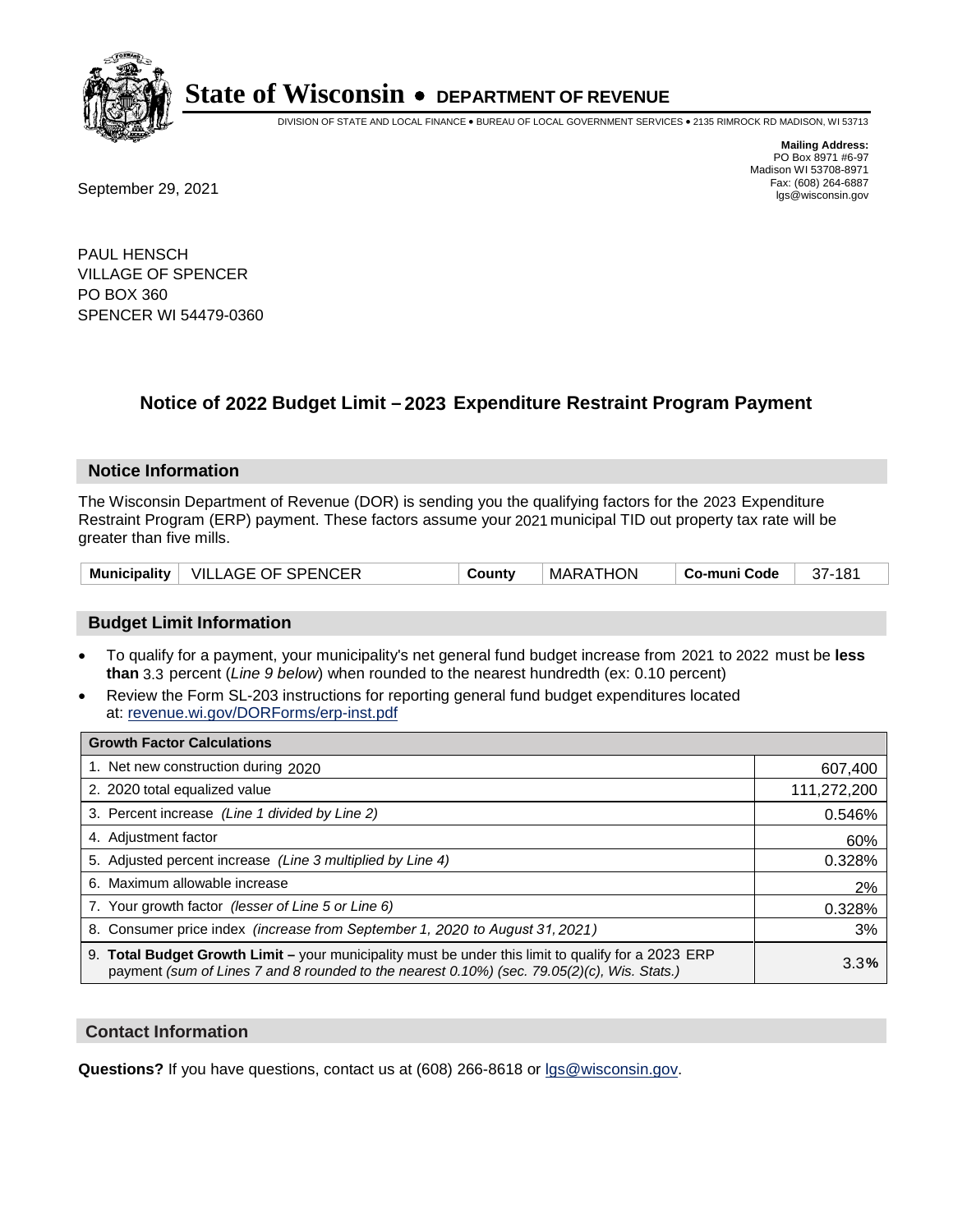

DIVISION OF STATE AND LOCAL FINANCE • BUREAU OF LOCAL GOVERNMENT SERVICES • 2135 RIMROCK RD MADISON, WI 53713

**Mailing Address:** PO Box 8971 #6-97 Madison WI 53708-8971<br>Fax: (608) 264-6887 Fax: (608) 264-6887<br>
September 29, 2021 and the state of the state of the state of the state of the state of the state of the state of the state of the state of the state of the state of the state of the state of the state

PAUL HENSCH VILLAGE OF SPENCER PO BOX 360 SPENCER WI 54479-0360

## **Notice of 2022 Budget Limit - 2023 Expenditure Restraint Program Payment**

#### **Notice Information**

The Wisconsin Department of Revenue (DOR) is sending you the qualifying factors for the 2023 Expenditure Restraint Program (ERP) payment. These factors assume your 2021 municipal TID out property tax rate will be greater than five mills.

| Municipality | VILLAGE OF SPENCER | `ountv∶<br>w | MARATHON | Co-muni Code | 181<br>۰. ۱ |
|--------------|--------------------|--------------|----------|--------------|-------------|
|--------------|--------------------|--------------|----------|--------------|-------------|

#### **Budget Limit Information**

- To qualify for a payment, your municipality's net general fund budget increase from 2021 to 2022 must be less **than** 3.3 percent (*Line 9 below*) when rounded to the nearest hundredth (ex: 0.10 percent)
- Review the Form SL-203 instructions for reporting general fund budget expenditures located at: revenue.wi.gov/DORForms/erp-inst.pdf

| <b>Growth Factor Calculations</b>                                                                                                                                                                  |             |
|----------------------------------------------------------------------------------------------------------------------------------------------------------------------------------------------------|-------------|
| 1. Net new construction during 2020                                                                                                                                                                | 607,400     |
| 2. 2020 total equalized value                                                                                                                                                                      | 111,272,200 |
| 3. Percent increase (Line 1 divided by Line 2)                                                                                                                                                     | 0.546%      |
| 4. Adjustment factor                                                                                                                                                                               | 60%         |
| 5. Adjusted percent increase (Line 3 multiplied by Line 4)                                                                                                                                         | 0.328%      |
| 6. Maximum allowable increase                                                                                                                                                                      | 2%          |
| 7. Your growth factor (lesser of Line 5 or Line 6)                                                                                                                                                 | 0.328%      |
| 8. Consumer price index (increase from September 1, 2020 to August 31, 2021)                                                                                                                       | 3%          |
| 9. Total Budget Growth Limit – your municipality must be under this limit to qualify for a 2023 ERP<br>payment (sum of Lines 7 and 8 rounded to the nearest 0.10%) (sec. 79.05(2)(c), Wis. Stats.) | 3.3%        |

#### **Contact Information**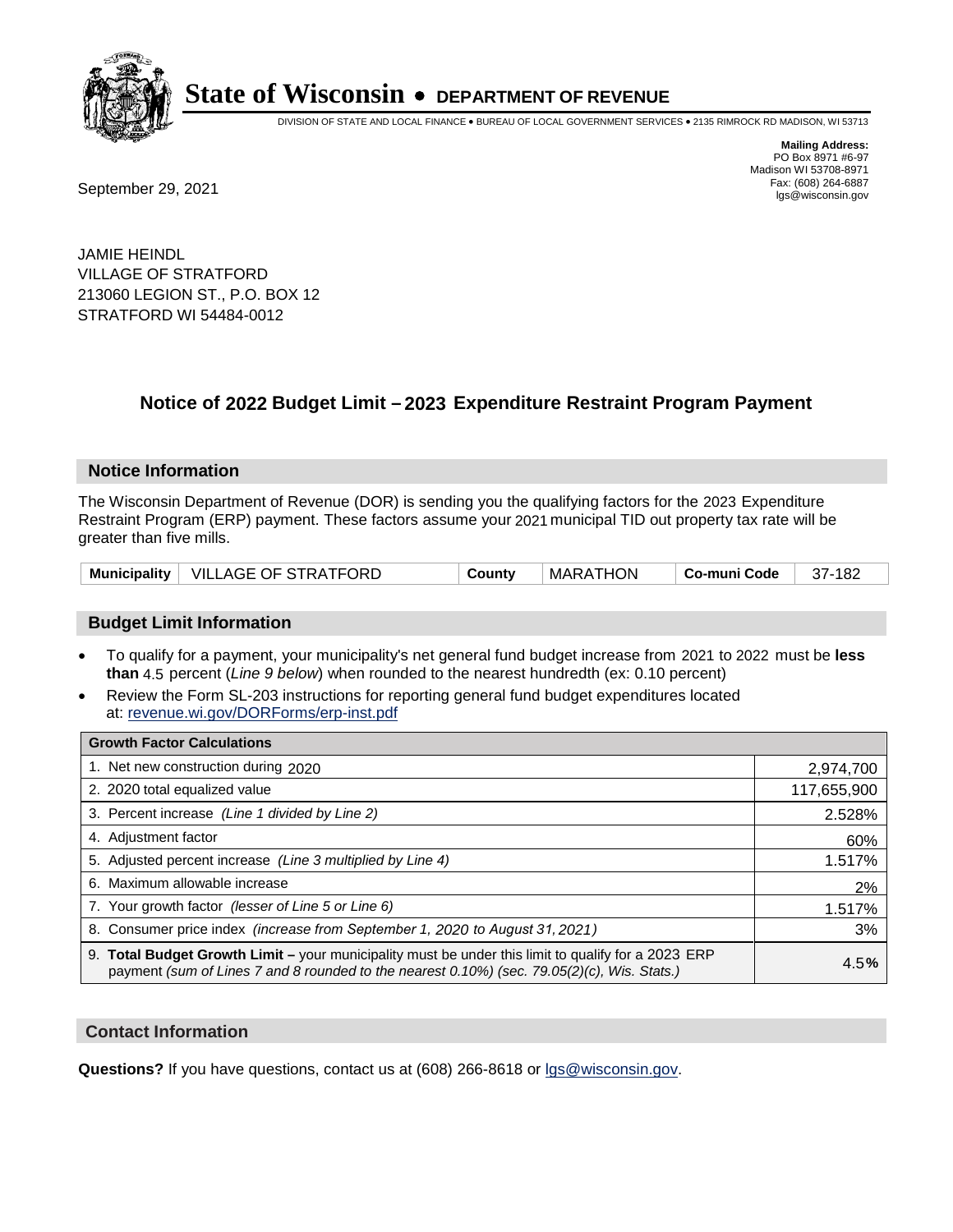

DIVISION OF STATE AND LOCAL FINANCE • BUREAU OF LOCAL GOVERNMENT SERVICES • 2135 RIMROCK RD MADISON, WI 53713

**Mailing Address:** PO Box 8971 #6-97 Madison WI 53708-8971<br>Fax: (608) 264-6887

Fax: (608) 264-6887<br>
September 29, 2021 and the state of the state of the state of the state of the state of the state of the state of the state of the state of the state of the state of the state of the state of the state

JAMIE HEINDL VILLAGE OF STRATFORD 213060 LEGION ST., P.O. BOX 12 STRATFORD WI 54484-0012

### **Notice of 2022 Budget Limit - 2023 Expenditure Restraint Program Payment**

#### **Notice Information**

The Wisconsin Department of Revenue (DOR) is sending you the qualifying factors for the 2023 Expenditure Restraint Program (ERP) payment. These factors assume your 2021 municipal TID out property tax rate will be greater than five mills.

|  | Municipality   VILLAGE OF STRATFORD | County | MARATHON | Co-muni Code | 37-182 |
|--|-------------------------------------|--------|----------|--------------|--------|
|--|-------------------------------------|--------|----------|--------------|--------|

#### **Budget Limit Information**

- To qualify for a payment, your municipality's net general fund budget increase from 2021 to 2022 must be less **than** 4.5 percent (*Line 9 below*) when rounded to the nearest hundredth (ex: 0.10 percent)
- Review the Form SL-203 instructions for reporting general fund budget expenditures located at: revenue.wi.gov/DORForms/erp-inst.pdf

| <b>Growth Factor Calculations</b>                                                                                                                                                                  |             |
|----------------------------------------------------------------------------------------------------------------------------------------------------------------------------------------------------|-------------|
| 1. Net new construction during 2020                                                                                                                                                                | 2,974,700   |
| 2. 2020 total equalized value                                                                                                                                                                      | 117,655,900 |
| 3. Percent increase (Line 1 divided by Line 2)                                                                                                                                                     | 2.528%      |
| 4. Adjustment factor                                                                                                                                                                               | 60%         |
| 5. Adjusted percent increase (Line 3 multiplied by Line 4)                                                                                                                                         | 1.517%      |
| 6. Maximum allowable increase                                                                                                                                                                      | 2%          |
| 7. Your growth factor (lesser of Line 5 or Line 6)                                                                                                                                                 | 1.517%      |
| 8. Consumer price index (increase from September 1, 2020 to August 31, 2021)                                                                                                                       | 3%          |
| 9. Total Budget Growth Limit - your municipality must be under this limit to qualify for a 2023 ERP<br>payment (sum of Lines 7 and 8 rounded to the nearest 0.10%) (sec. 79.05(2)(c), Wis. Stats.) | 4.5%        |

#### **Contact Information**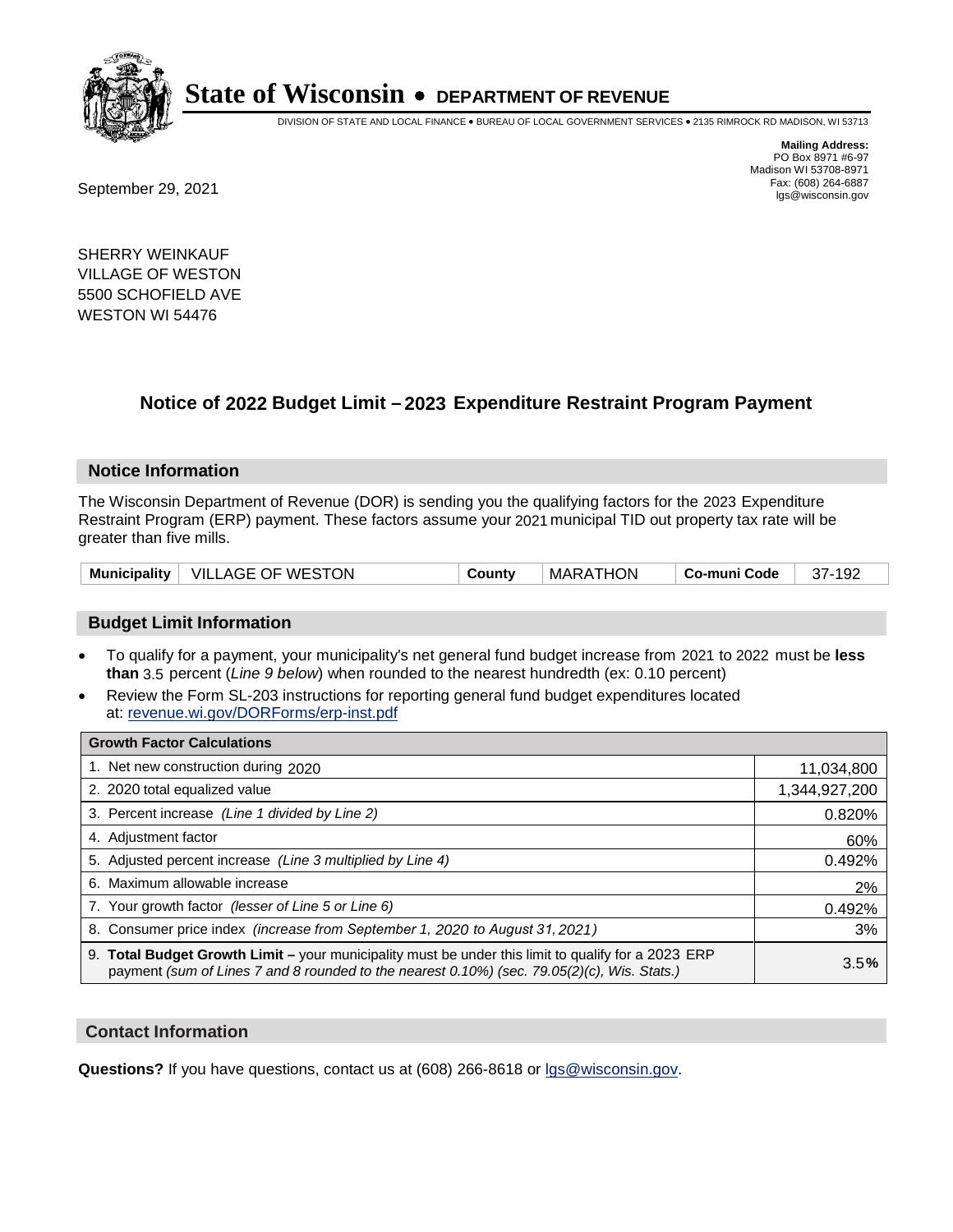

DIVISION OF STATE AND LOCAL FINANCE • BUREAU OF LOCAL GOVERNMENT SERVICES • 2135 RIMROCK RD MADISON, WI 53713

Fax: (608) 264-6887<br>
September 29, 2021 and the state of the state of the state of the state of the state of the state of the state of the state of the state of the state of the state of the state of the state of the state

**Mailing Address:** PO Box 8971 #6-97 Madison WI 53708-8971<br>Fax: (608) 264-6887

SHERRY WEINKAUF VILLAGE OF WESTON 5500 SCHOFIELD AVE WESTON WI 54476

### **Notice of 2022 Budget Limit - 2023 Expenditure Restraint Program Payment**

#### **Notice Information**

The Wisconsin Department of Revenue (DOR) is sending you the qualifying factors for the 2023 Expenditure Restraint Program (ERP) payment. These factors assume your 2021 municipal TID out property tax rate will be greater than five mills.

|  | Municipality   VILLAGE OF WESTON | County | <b>MARATHON</b> | ∣ Co-muni Code | 37-192 |
|--|----------------------------------|--------|-----------------|----------------|--------|
|--|----------------------------------|--------|-----------------|----------------|--------|

#### **Budget Limit Information**

- To qualify for a payment, your municipality's net general fund budget increase from 2021 to 2022 must be less **than** 3.5 percent (*Line 9 below*) when rounded to the nearest hundredth (ex: 0.10 percent)
- Review the Form SL-203 instructions for reporting general fund budget expenditures located at: revenue.wi.gov/DORForms/erp-inst.pdf

| <b>Growth Factor Calculations</b>                                                                                                                                                                  |               |
|----------------------------------------------------------------------------------------------------------------------------------------------------------------------------------------------------|---------------|
| 1. Net new construction during 2020                                                                                                                                                                | 11,034,800    |
| 2. 2020 total equalized value                                                                                                                                                                      | 1,344,927,200 |
| 3. Percent increase (Line 1 divided by Line 2)                                                                                                                                                     | 0.820%        |
| 4. Adjustment factor                                                                                                                                                                               | 60%           |
| 5. Adjusted percent increase (Line 3 multiplied by Line 4)                                                                                                                                         | 0.492%        |
| 6. Maximum allowable increase                                                                                                                                                                      | 2%            |
| 7. Your growth factor (lesser of Line 5 or Line 6)                                                                                                                                                 | 0.492%        |
| 8. Consumer price index (increase from September 1, 2020 to August 31, 2021)                                                                                                                       | 3%            |
| 9. Total Budget Growth Limit - your municipality must be under this limit to qualify for a 2023 ERP<br>payment (sum of Lines 7 and 8 rounded to the nearest 0.10%) (sec. 79.05(2)(c), Wis. Stats.) | 3.5%          |

#### **Contact Information**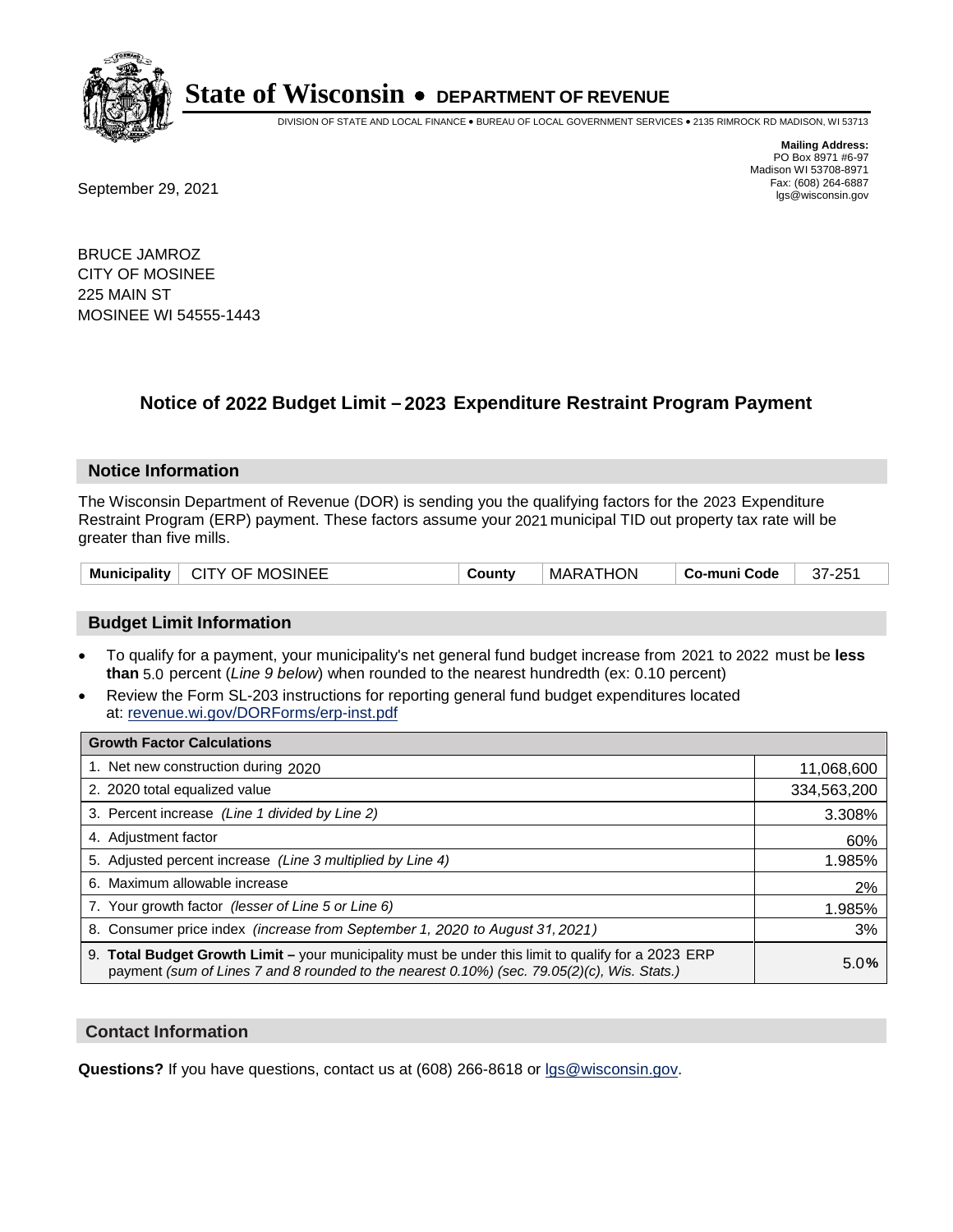

DIVISION OF STATE AND LOCAL FINANCE • BUREAU OF LOCAL GOVERNMENT SERVICES • 2135 RIMROCK RD MADISON, WI 53713

Fax: (608) 264-6887<br>
September 29, 2021 and the state of the state of the state of the state of the state of the state of the state of the state of the state of the state of the state of the state of the state of the state

**Mailing Address:** PO Box 8971 #6-97 Madison WI 53708-8971<br>Fax: (608) 264-6887

BRUCE JAMROZ CITY OF MOSINEE 225 MAIN ST MOSINEE WI 54555-1443

## **Notice of 2022 Budget Limit - 2023 Expenditure Restraint Program Payment**

#### **Notice Information**

The Wisconsin Department of Revenue (DOR) is sending you the qualifying factors for the 2023 Expenditure Restraint Program (ERP) payment. These factors assume your 2021 municipal TID out property tax rate will be greater than five mills.

| Municipality   CITY OF MOSINEE | County | <b>MARATHON</b> | ∣ Co-muni Code | 37-251 |
|--------------------------------|--------|-----------------|----------------|--------|
|--------------------------------|--------|-----------------|----------------|--------|

#### **Budget Limit Information**

- To qualify for a payment, your municipality's net general fund budget increase from 2021 to 2022 must be less **than** 5.0 percent (*Line 9 below*) when rounded to the nearest hundredth (ex: 0.10 percent)
- Review the Form SL-203 instructions for reporting general fund budget expenditures located at: revenue.wi.gov/DORForms/erp-inst.pdf

| <b>Growth Factor Calculations</b>                                                                                                                                                                  |             |
|----------------------------------------------------------------------------------------------------------------------------------------------------------------------------------------------------|-------------|
| 1. Net new construction during 2020                                                                                                                                                                | 11,068,600  |
| 2. 2020 total equalized value                                                                                                                                                                      | 334,563,200 |
| 3. Percent increase (Line 1 divided by Line 2)                                                                                                                                                     | 3.308%      |
| 4. Adiustment factor                                                                                                                                                                               | 60%         |
| 5. Adjusted percent increase (Line 3 multiplied by Line 4)                                                                                                                                         | 1.985%      |
| 6. Maximum allowable increase                                                                                                                                                                      | 2%          |
| 7. Your growth factor (lesser of Line 5 or Line 6)                                                                                                                                                 | 1.985%      |
| 8. Consumer price index (increase from September 1, 2020 to August 31, 2021)                                                                                                                       | 3%          |
| 9. Total Budget Growth Limit - your municipality must be under this limit to qualify for a 2023 ERP<br>payment (sum of Lines 7 and 8 rounded to the nearest 0.10%) (sec. 79.05(2)(c), Wis. Stats.) | 5.0%        |

#### **Contact Information**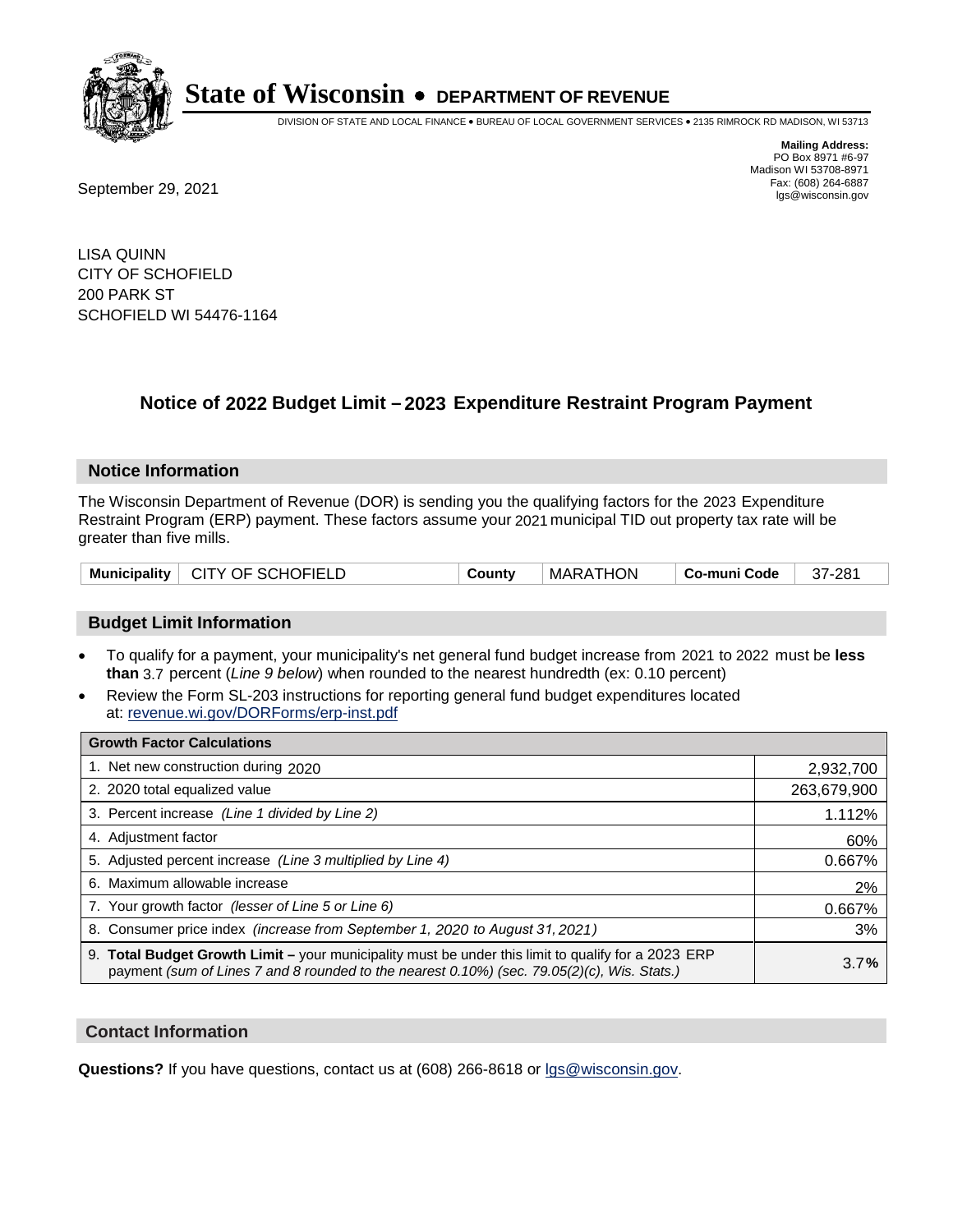

DIVISION OF STATE AND LOCAL FINANCE • BUREAU OF LOCAL GOVERNMENT SERVICES • 2135 RIMROCK RD MADISON, WI 53713

**Mailing Address:** PO Box 8971 #6-97 Madison WI 53708-8971<br>Fax: (608) 264-6887

Fax: (608) 264-6887<br>
September 29, 2021 and the state of the state of the state of the state of the state of the state of the state of the state of the state of the state of the state of the state of the state of the state

LISA QUINN CITY OF SCHOFIELD 200 PARK ST SCHOFIELD WI 54476-1164

## **Notice of 2022 Budget Limit - 2023 Expenditure Restraint Program Payment**

#### **Notice Information**

The Wisconsin Department of Revenue (DOR) is sending you the qualifying factors for the 2023 Expenditure Restraint Program (ERP) payment. These factors assume your 2021 municipal TID out property tax rate will be greater than five mills.

| Municipality   CITY OF SCHOFIELD | County | MARATHON | Co-muni Code | 37-281 |
|----------------------------------|--------|----------|--------------|--------|
|----------------------------------|--------|----------|--------------|--------|

#### **Budget Limit Information**

- To qualify for a payment, your municipality's net general fund budget increase from 2021 to 2022 must be less **than** 3.7 percent (*Line 9 below*) when rounded to the nearest hundredth (ex: 0.10 percent)
- Review the Form SL-203 instructions for reporting general fund budget expenditures located at: revenue.wi.gov/DORForms/erp-inst.pdf

| <b>Growth Factor Calculations</b>                                                                                                                                                                      |             |
|--------------------------------------------------------------------------------------------------------------------------------------------------------------------------------------------------------|-------------|
| 1. Net new construction during 2020                                                                                                                                                                    | 2,932,700   |
| 2. 2020 total equalized value                                                                                                                                                                          | 263,679,900 |
| 3. Percent increase (Line 1 divided by Line 2)                                                                                                                                                         | 1.112%      |
| 4. Adjustment factor                                                                                                                                                                                   | 60%         |
| 5. Adjusted percent increase (Line 3 multiplied by Line 4)                                                                                                                                             | 0.667%      |
| 6. Maximum allowable increase                                                                                                                                                                          | 2%          |
| 7. Your growth factor (lesser of Line 5 or Line 6)                                                                                                                                                     | 0.667%      |
| 8. Consumer price index (increase from September 1, 2020 to August 31, 2021)                                                                                                                           | 3%          |
| 9. Total Budget Growth Limit - your municipality must be under this limit to qualify for a 2023 ERP<br>payment (sum of Lines 7 and 8 rounded to the nearest $0.10\%$ ) (sec. 79.05(2)(c), Wis. Stats.) | 3.7%        |

#### **Contact Information**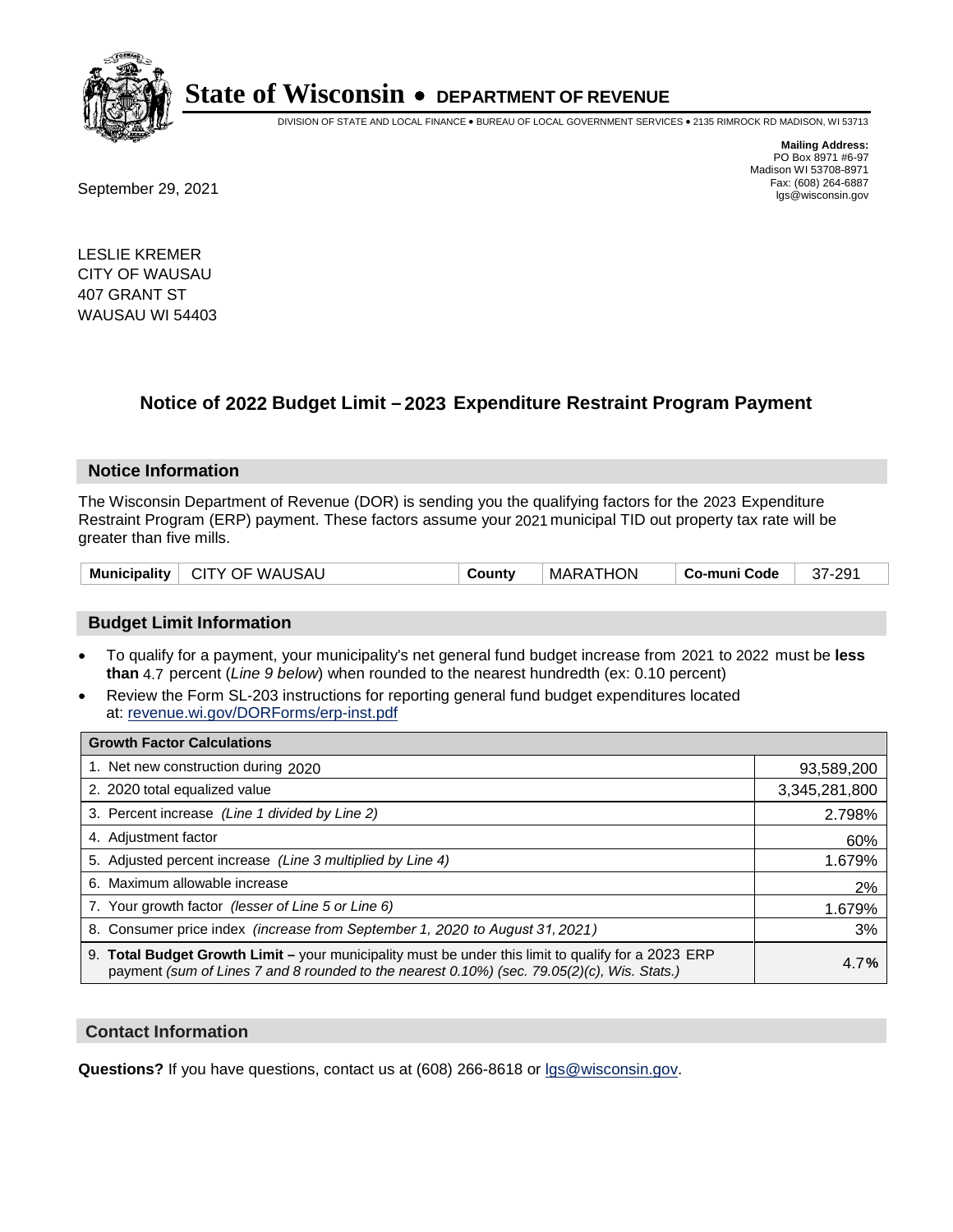

DIVISION OF STATE AND LOCAL FINANCE • BUREAU OF LOCAL GOVERNMENT SERVICES • 2135 RIMROCK RD MADISON, WI 53713

**Mailing Address:** PO Box 8971 #6-97 Madison WI 53708-8971<br>Fax: (608) 264-6887

Fax: (608) 264-6887<br>
September 29, 2021 and the state of the state of the state of the state of the state of the state of the state of the state of the state of the state of the state of the state of the state of the state

LESLIE KREMER CITY OF WAUSAU 407 GRANT ST WAUSAU WI 54403

### **Notice of 2022 Budget Limit - 2023 Expenditure Restraint Program Payment**

#### **Notice Information**

The Wisconsin Department of Revenue (DOR) is sending you the qualifying factors for the 2023 Expenditure Restraint Program (ERP) payment. These factors assume your 2021 municipal TID out property tax rate will be greater than five mills.

| Municipality   CITY OF WAUSAU | County | <b>MARATHON</b> | ∣ Co-muni Code ∣ | 37-291 |
|-------------------------------|--------|-----------------|------------------|--------|
|-------------------------------|--------|-----------------|------------------|--------|

#### **Budget Limit Information**

- To qualify for a payment, your municipality's net general fund budget increase from 2021 to 2022 must be less **than** 4.7 percent (*Line 9 below*) when rounded to the nearest hundredth (ex: 0.10 percent)
- Review the Form SL-203 instructions for reporting general fund budget expenditures located at: revenue.wi.gov/DORForms/erp-inst.pdf

| <b>Growth Factor Calculations</b>                                                                                                                                                                  |               |
|----------------------------------------------------------------------------------------------------------------------------------------------------------------------------------------------------|---------------|
| 1. Net new construction during 2020                                                                                                                                                                | 93,589,200    |
| 2. 2020 total equalized value                                                                                                                                                                      | 3,345,281,800 |
| 3. Percent increase (Line 1 divided by Line 2)                                                                                                                                                     | 2.798%        |
| 4. Adjustment factor                                                                                                                                                                               | 60%           |
| 5. Adjusted percent increase (Line 3 multiplied by Line 4)                                                                                                                                         | 1.679%        |
| 6. Maximum allowable increase                                                                                                                                                                      | 2%            |
| 7. Your growth factor (lesser of Line 5 or Line 6)                                                                                                                                                 | 1.679%        |
| 8. Consumer price index (increase from September 1, 2020 to August 31, 2021)                                                                                                                       | 3%            |
| 9. Total Budget Growth Limit - your municipality must be under this limit to qualify for a 2023 ERP<br>payment (sum of Lines 7 and 8 rounded to the nearest 0.10%) (sec. 79.05(2)(c), Wis. Stats.) | 4.7%          |

#### **Contact Information**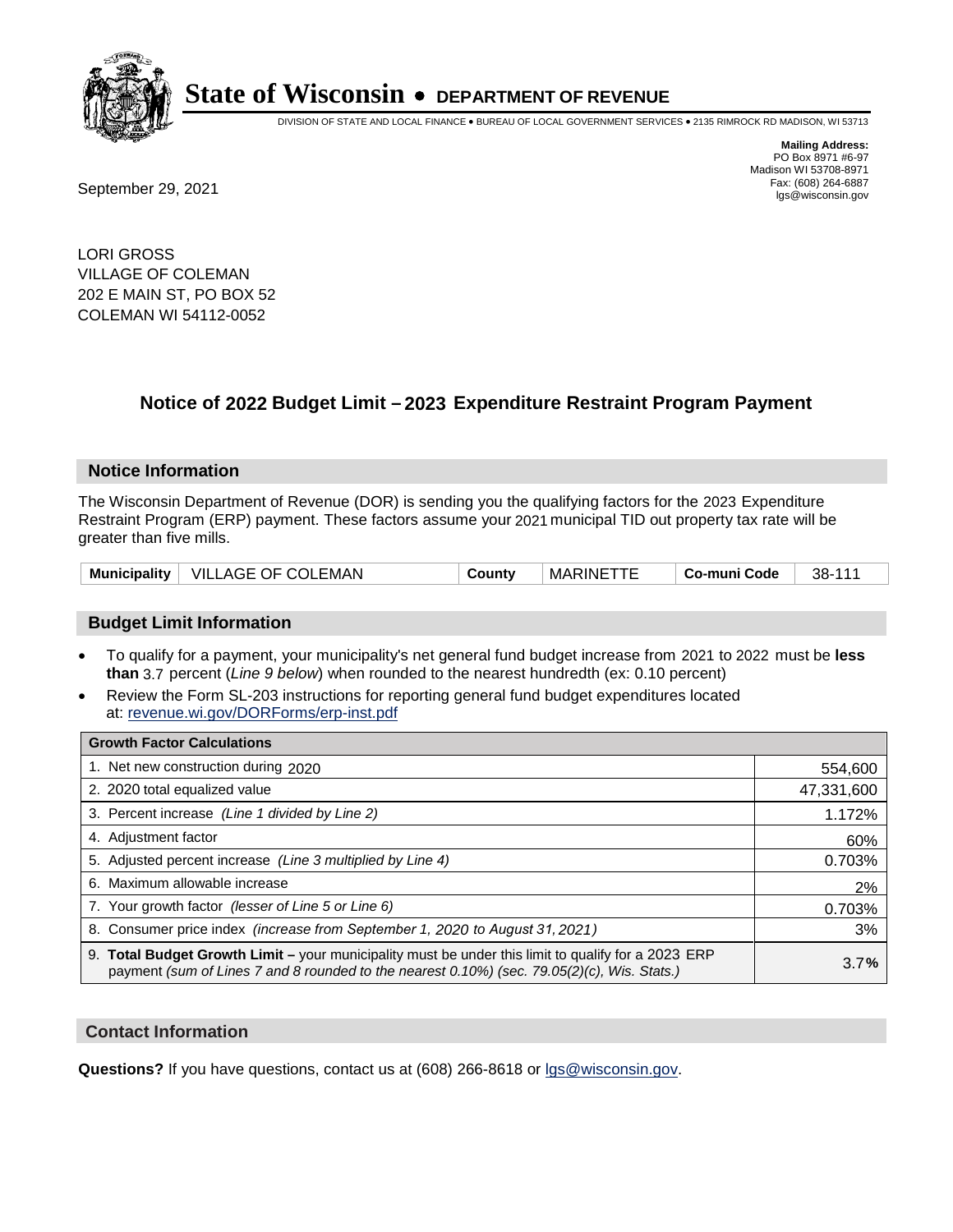

DIVISION OF STATE AND LOCAL FINANCE • BUREAU OF LOCAL GOVERNMENT SERVICES • 2135 RIMROCK RD MADISON, WI 53713

Fax: (608) 264-6887<br>
September 29, 2021 and the state of the state of the state of the state of the state of the state of the state of the state of the state of the state of the state of the state of the state of the state

**Mailing Address:** PO Box 8971 #6-97 Madison WI 53708-8971<br>Fax: (608) 264-6887

LORI GROSS VILLAGE OF COLEMAN 202 E MAIN ST, PO BOX 52 COLEMAN WI 54112-0052

### **Notice of 2022 Budget Limit - 2023 Expenditure Restraint Program Payment**

#### **Notice Information**

The Wisconsin Department of Revenue (DOR) is sending you the qualifying factors for the 2023 Expenditure Restraint Program (ERP) payment. These factors assume your 2021 municipal TID out property tax rate will be greater than five mills.

| Municipality | VILLAGE OF COLEMAN | County | <b>MARINETTE</b> | Co-muni Code | 38-111 |
|--------------|--------------------|--------|------------------|--------------|--------|
|--------------|--------------------|--------|------------------|--------------|--------|

#### **Budget Limit Information**

- To qualify for a payment, your municipality's net general fund budget increase from 2021 to 2022 must be less **than** 3.7 percent (*Line 9 below*) when rounded to the nearest hundredth (ex: 0.10 percent)
- Review the Form SL-203 instructions for reporting general fund budget expenditures located at: revenue.wi.gov/DORForms/erp-inst.pdf

| <b>Growth Factor Calculations</b>                                                                                                                                                                  |            |
|----------------------------------------------------------------------------------------------------------------------------------------------------------------------------------------------------|------------|
| 1. Net new construction during 2020                                                                                                                                                                | 554,600    |
| 2. 2020 total equalized value                                                                                                                                                                      | 47,331,600 |
| 3. Percent increase (Line 1 divided by Line 2)                                                                                                                                                     | 1.172%     |
| 4. Adjustment factor                                                                                                                                                                               | 60%        |
| 5. Adjusted percent increase (Line 3 multiplied by Line 4)                                                                                                                                         | 0.703%     |
| 6. Maximum allowable increase                                                                                                                                                                      | 2%         |
| 7. Your growth factor (lesser of Line 5 or Line 6)                                                                                                                                                 | 0.703%     |
| 8. Consumer price index (increase from September 1, 2020 to August 31, 2021)                                                                                                                       | 3%         |
| 9. Total Budget Growth Limit – your municipality must be under this limit to qualify for a 2023 ERP<br>payment (sum of Lines 7 and 8 rounded to the nearest 0.10%) (sec. 79.05(2)(c), Wis. Stats.) | 3.7%       |

#### **Contact Information**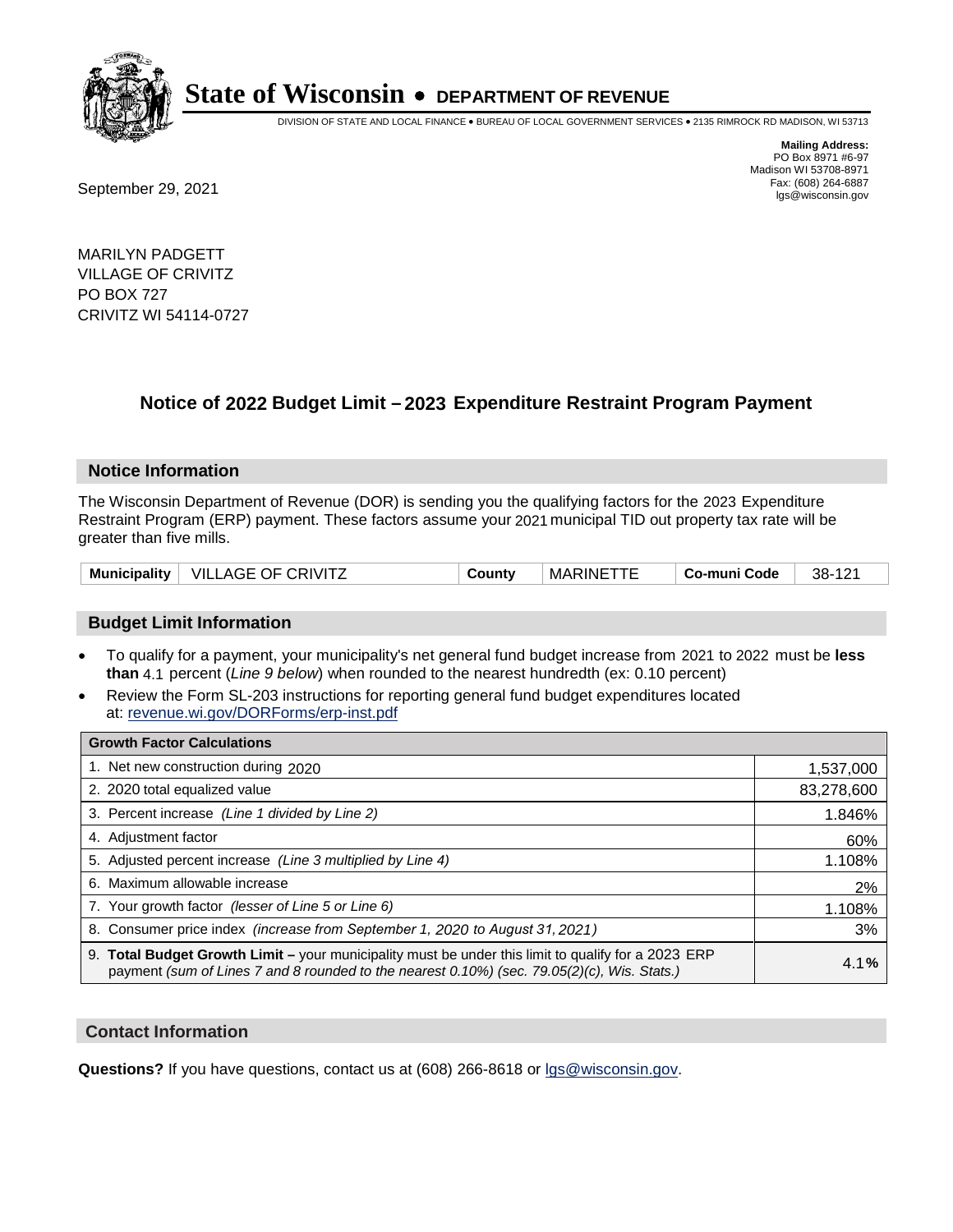

DIVISION OF STATE AND LOCAL FINANCE • BUREAU OF LOCAL GOVERNMENT SERVICES • 2135 RIMROCK RD MADISON, WI 53713

Fax: (608) 264-6887<br>
September 29, 2021 and the state of the state of the state of the state of the state of the state of the state of the state of the state of the state of the state of the state of the state of the state

**Mailing Address:** PO Box 8971 #6-97 Madison WI 53708-8971<br>Fax: (608) 264-6887

MARILYN PADGETT VILLAGE OF CRIVITZ PO BOX 727 CRIVITZ WI 54114-0727

## **Notice of 2022 Budget Limit - 2023 Expenditure Restraint Program Payment**

#### **Notice Information**

The Wisconsin Department of Revenue (DOR) is sending you the qualifying factors for the 2023 Expenditure Restraint Program (ERP) payment. These factors assume your 2021 municipal TID out property tax rate will be greater than five mills.

| <b>Municipality</b> | <b>VILLAGE OF CRIVITZ</b> | Countv | <b>MARINE</b> | Co-muni Code | 38-<br>$\Delta$ |
|---------------------|---------------------------|--------|---------------|--------------|-----------------|
|---------------------|---------------------------|--------|---------------|--------------|-----------------|

#### **Budget Limit Information**

- To qualify for a payment, your municipality's net general fund budget increase from 2021 to 2022 must be less **than** 4.1 percent (*Line 9 below*) when rounded to the nearest hundredth (ex: 0.10 percent)
- Review the Form SL-203 instructions for reporting general fund budget expenditures located at: revenue.wi.gov/DORForms/erp-inst.pdf

| <b>Growth Factor Calculations</b>                                                                                                                                                                  |            |
|----------------------------------------------------------------------------------------------------------------------------------------------------------------------------------------------------|------------|
| 1. Net new construction during 2020                                                                                                                                                                | 1,537,000  |
| 2. 2020 total equalized value                                                                                                                                                                      | 83,278,600 |
| 3. Percent increase (Line 1 divided by Line 2)                                                                                                                                                     | 1.846%     |
| 4. Adjustment factor                                                                                                                                                                               | 60%        |
| 5. Adjusted percent increase (Line 3 multiplied by Line 4)                                                                                                                                         | 1.108%     |
| 6. Maximum allowable increase                                                                                                                                                                      | 2%         |
| 7. Your growth factor (lesser of Line 5 or Line 6)                                                                                                                                                 | 1.108%     |
| 8. Consumer price index (increase from September 1, 2020 to August 31, 2021)                                                                                                                       | 3%         |
| 9. Total Budget Growth Limit - your municipality must be under this limit to qualify for a 2023 ERP<br>payment (sum of Lines 7 and 8 rounded to the nearest 0.10%) (sec. 79.05(2)(c), Wis. Stats.) | 4.1%       |

#### **Contact Information**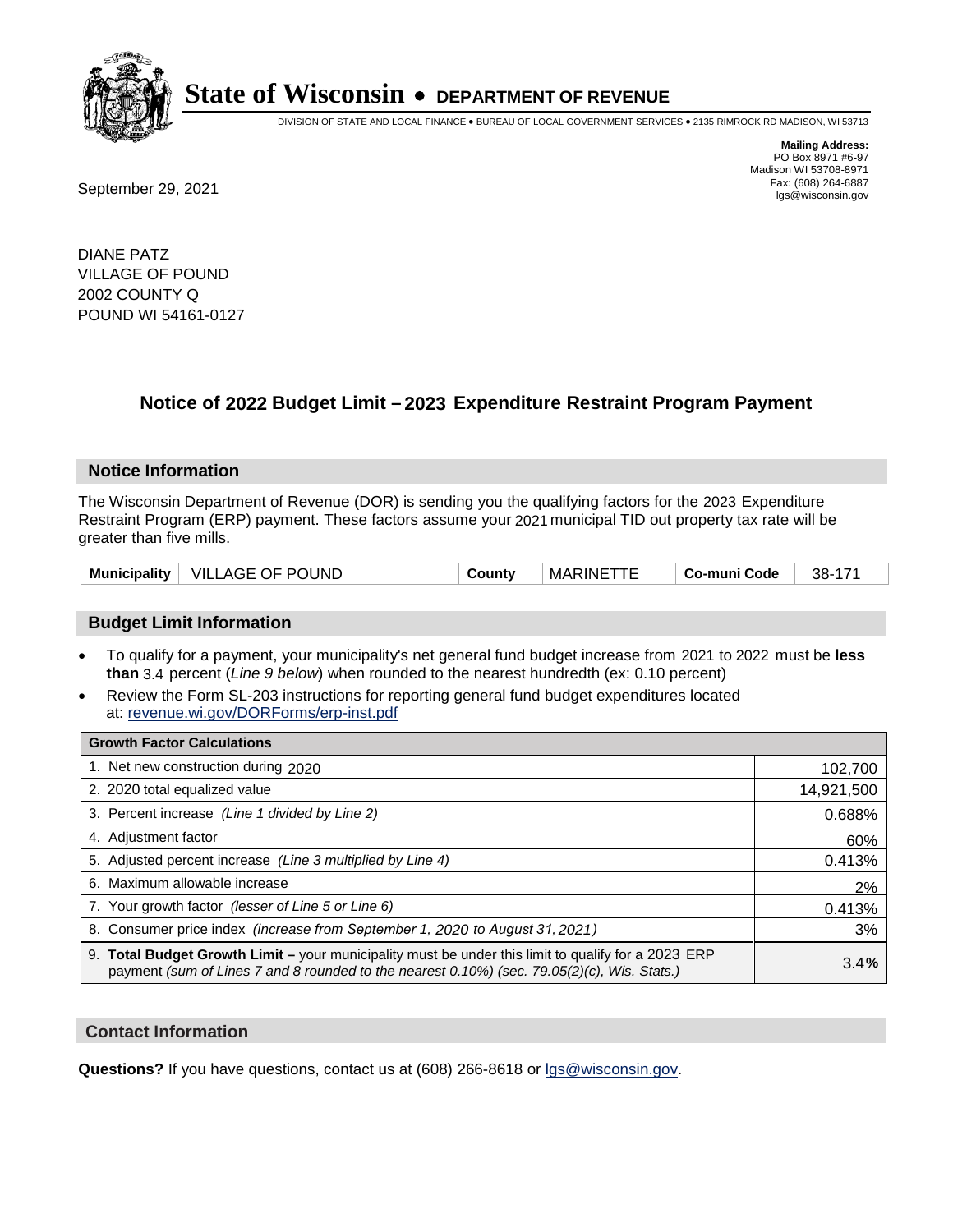

DIVISION OF STATE AND LOCAL FINANCE • BUREAU OF LOCAL GOVERNMENT SERVICES • 2135 RIMROCK RD MADISON, WI 53713

Fax: (608) 264-6887<br>
September 29, 2021 and the state of the state of the state of the state of the state of the state of the state of the state of the state of the state of the state of the state of the state of the state

**Mailing Address:** PO Box 8971 #6-97 Madison WI 53708-8971<br>Fax: (608) 264-6887

DIANE PATZ VILLAGE OF POUND 2002 COUNTY Q POUND WI 54161-0127

### **Notice of 2022 Budget Limit - 2023 Expenditure Restraint Program Payment**

#### **Notice Information**

The Wisconsin Department of Revenue (DOR) is sending you the qualifying factors for the 2023 Expenditure Restraint Program (ERP) payment. These factors assume your 2021 municipal TID out property tax rate will be greater than five mills.

| <b>Municipality</b> | <b>VILLAGE OF POUND</b> | County | MARINE <sup>-</sup> | Co-muni Code | 38- |
|---------------------|-------------------------|--------|---------------------|--------------|-----|
|---------------------|-------------------------|--------|---------------------|--------------|-----|

#### **Budget Limit Information**

- To qualify for a payment, your municipality's net general fund budget increase from 2021 to 2022 must be less **than** 3.4 percent (*Line 9 below*) when rounded to the nearest hundredth (ex: 0.10 percent)
- Review the Form SL-203 instructions for reporting general fund budget expenditures located at: revenue.wi.gov/DORForms/erp-inst.pdf

| <b>Growth Factor Calculations</b>                                                                                                                                                                  |            |
|----------------------------------------------------------------------------------------------------------------------------------------------------------------------------------------------------|------------|
| 1. Net new construction during 2020                                                                                                                                                                | 102,700    |
| 2. 2020 total equalized value                                                                                                                                                                      | 14,921,500 |
| 3. Percent increase (Line 1 divided by Line 2)                                                                                                                                                     | 0.688%     |
| 4. Adjustment factor                                                                                                                                                                               | 60%        |
| 5. Adjusted percent increase (Line 3 multiplied by Line 4)                                                                                                                                         | 0.413%     |
| 6. Maximum allowable increase                                                                                                                                                                      | 2%         |
| 7. Your growth factor (lesser of Line 5 or Line 6)                                                                                                                                                 | 0.413%     |
| 8. Consumer price index (increase from September 1, 2020 to August 31, 2021)                                                                                                                       | 3%         |
| 9. Total Budget Growth Limit - your municipality must be under this limit to qualify for a 2023 ERP<br>payment (sum of Lines 7 and 8 rounded to the nearest 0.10%) (sec. 79.05(2)(c), Wis. Stats.) | 3.4%       |

#### **Contact Information**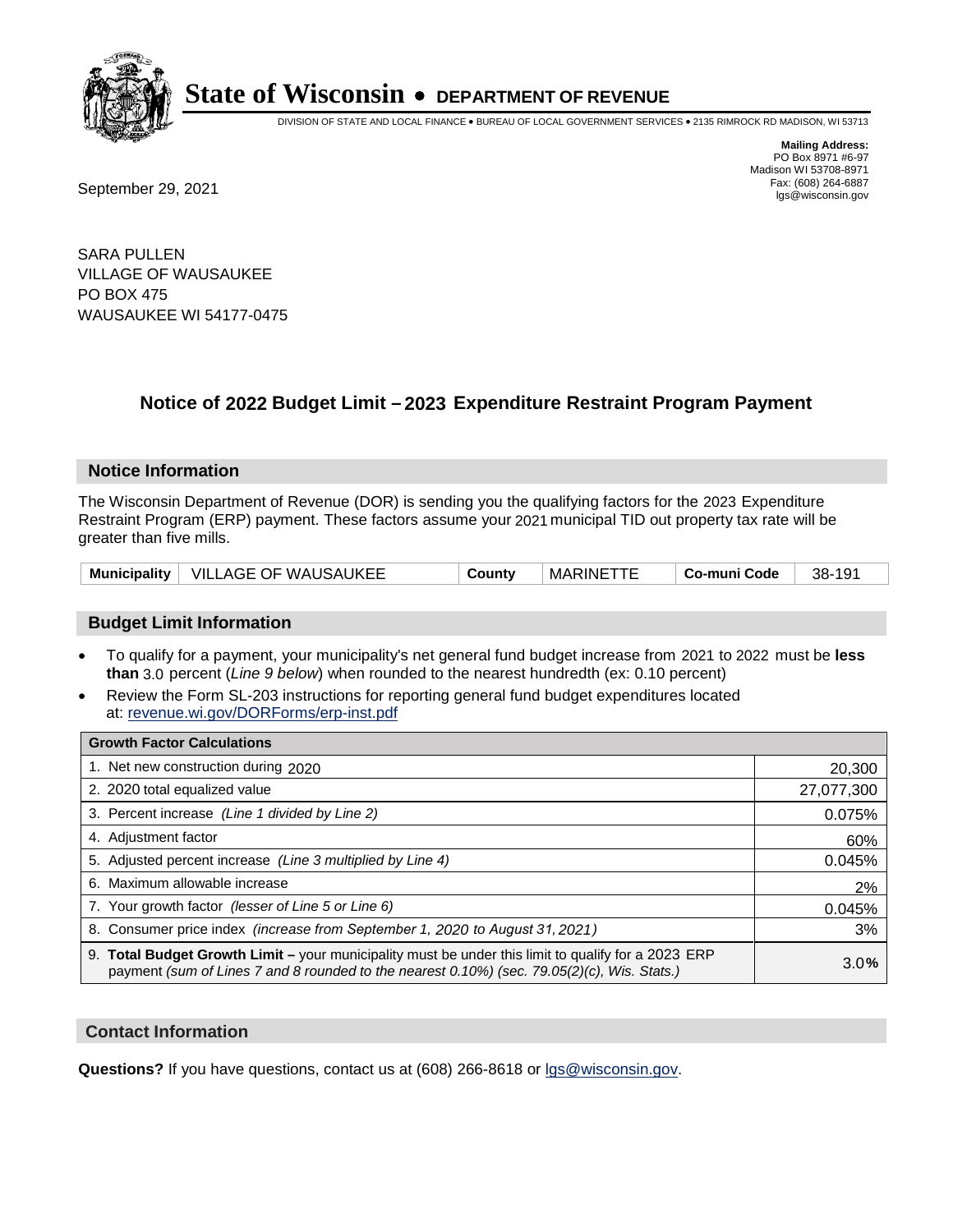

DIVISION OF STATE AND LOCAL FINANCE • BUREAU OF LOCAL GOVERNMENT SERVICES • 2135 RIMROCK RD MADISON, WI 53713

**Mailing Address:** PO Box 8971 #6-97 Madison WI 53708-8971<br>Fax: (608) 264-6887

Fax: (608) 264-6887<br>
September 29, 2021 and the state of the state of the state of the state of the state of the state of the state of the state of the state of the state of the state of the state of the state of the state

SARA PULLEN VILLAGE OF WAUSAUKEE PO BOX 475 WAUSAUKEE WI 54177-0475

## **Notice of 2022 Budget Limit - 2023 Expenditure Restraint Program Payment**

#### **Notice Information**

The Wisconsin Department of Revenue (DOR) is sending you the qualifying factors for the 2023 Expenditure Restraint Program (ERP) payment. These factors assume your 2021 municipal TID out property tax rate will be greater than five mills.

| Municipality | <b>VILLAGE OF WAUSAUKEE</b> | County | <b>MARINE</b> | Co-muni Code | 191<br>38- |
|--------------|-----------------------------|--------|---------------|--------------|------------|
|--------------|-----------------------------|--------|---------------|--------------|------------|

#### **Budget Limit Information**

- To qualify for a payment, your municipality's net general fund budget increase from 2021 to 2022 must be less **than** 3.0 percent (*Line 9 below*) when rounded to the nearest hundredth (ex: 0.10 percent)
- Review the Form SL-203 instructions for reporting general fund budget expenditures located at: revenue.wi.gov/DORForms/erp-inst.pdf

| <b>Growth Factor Calculations</b>                                                                                                                                                                      |            |
|--------------------------------------------------------------------------------------------------------------------------------------------------------------------------------------------------------|------------|
| 1. Net new construction during 2020                                                                                                                                                                    | 20,300     |
| 2. 2020 total equalized value                                                                                                                                                                          | 27,077,300 |
| 3. Percent increase (Line 1 divided by Line 2)                                                                                                                                                         | 0.075%     |
| 4. Adjustment factor                                                                                                                                                                                   | 60%        |
| 5. Adjusted percent increase (Line 3 multiplied by Line 4)                                                                                                                                             | 0.045%     |
| 6. Maximum allowable increase                                                                                                                                                                          | 2%         |
| 7. Your growth factor (lesser of Line 5 or Line 6)                                                                                                                                                     | 0.045%     |
| 8. Consumer price index (increase from September 1, 2020 to August 31, 2021)                                                                                                                           | 3%         |
| 9. Total Budget Growth Limit - your municipality must be under this limit to qualify for a 2023 ERP<br>payment (sum of Lines 7 and 8 rounded to the nearest $0.10\%$ ) (sec. 79.05(2)(c), Wis. Stats.) | 3.0%       |

#### **Contact Information**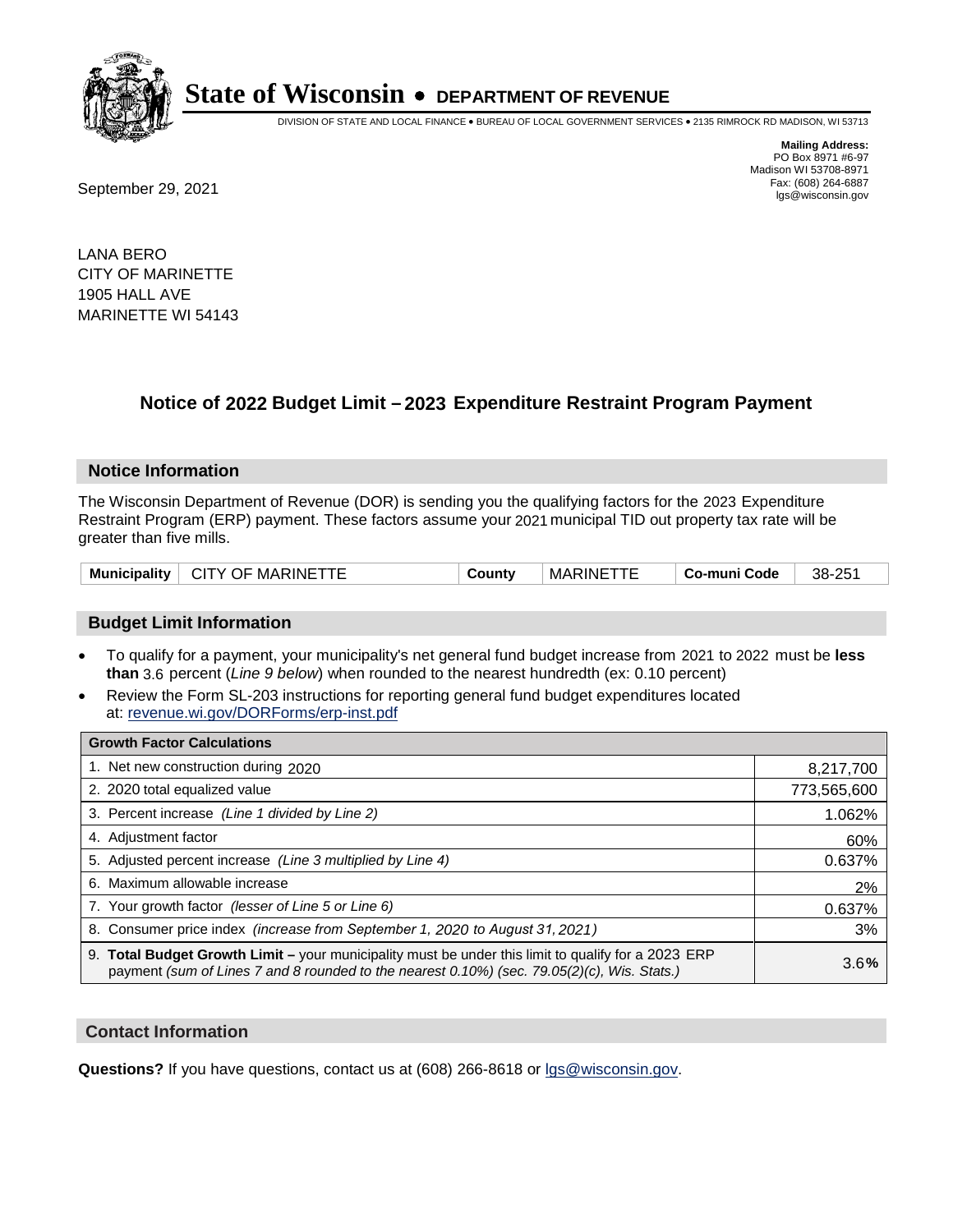

DIVISION OF STATE AND LOCAL FINANCE • BUREAU OF LOCAL GOVERNMENT SERVICES • 2135 RIMROCK RD MADISON, WI 53713

**Mailing Address:** PO Box 8971 #6-97 Madison WI 53708-8971<br>Fax: (608) 264-6887

Fax: (608) 264-6887<br>
September 29, 2021 and the state of the state of the state of the state of the state of the state of the state of the state of the state of the state of the state of the state of the state of the state

LANA BERO CITY OF MARINETTE 1905 HALL AVE MARINETTE WI 54143

## **Notice of 2022 Budget Limit - 2023 Expenditure Restraint Program Payment**

#### **Notice Information**

The Wisconsin Department of Revenue (DOR) is sending you the qualifying factors for the 2023 Expenditure Restraint Program (ERP) payment. These factors assume your 2021 municipal TID out property tax rate will be greater than five mills.

| <b>Municipality</b> | <b>CITY OF MARINETTF</b> | `ountv | MARINE | Co-muni Code | - つに<br>38- |
|---------------------|--------------------------|--------|--------|--------------|-------------|
|---------------------|--------------------------|--------|--------|--------------|-------------|

#### **Budget Limit Information**

- To qualify for a payment, your municipality's net general fund budget increase from 2021 to 2022 must be less **than** 3.6 percent (*Line 9 below*) when rounded to the nearest hundredth (ex: 0.10 percent)
- Review the Form SL-203 instructions for reporting general fund budget expenditures located at: revenue.wi.gov/DORForms/erp-inst.pdf

| <b>Growth Factor Calculations</b>                                                                                                                                                                  |             |
|----------------------------------------------------------------------------------------------------------------------------------------------------------------------------------------------------|-------------|
| 1. Net new construction during 2020                                                                                                                                                                | 8,217,700   |
| 2. 2020 total equalized value                                                                                                                                                                      | 773,565,600 |
| 3. Percent increase (Line 1 divided by Line 2)                                                                                                                                                     | 1.062%      |
| 4. Adiustment factor                                                                                                                                                                               | 60%         |
| 5. Adjusted percent increase (Line 3 multiplied by Line 4)                                                                                                                                         | 0.637%      |
| 6. Maximum allowable increase                                                                                                                                                                      | 2%          |
| 7. Your growth factor (lesser of Line 5 or Line 6)                                                                                                                                                 | 0.637%      |
| 8. Consumer price index (increase from September 1, 2020 to August 31, 2021)                                                                                                                       | 3%          |
| 9. Total Budget Growth Limit - your municipality must be under this limit to qualify for a 2023 ERP<br>payment (sum of Lines 7 and 8 rounded to the nearest 0.10%) (sec. 79.05(2)(c), Wis. Stats.) | 3.6%        |

#### **Contact Information**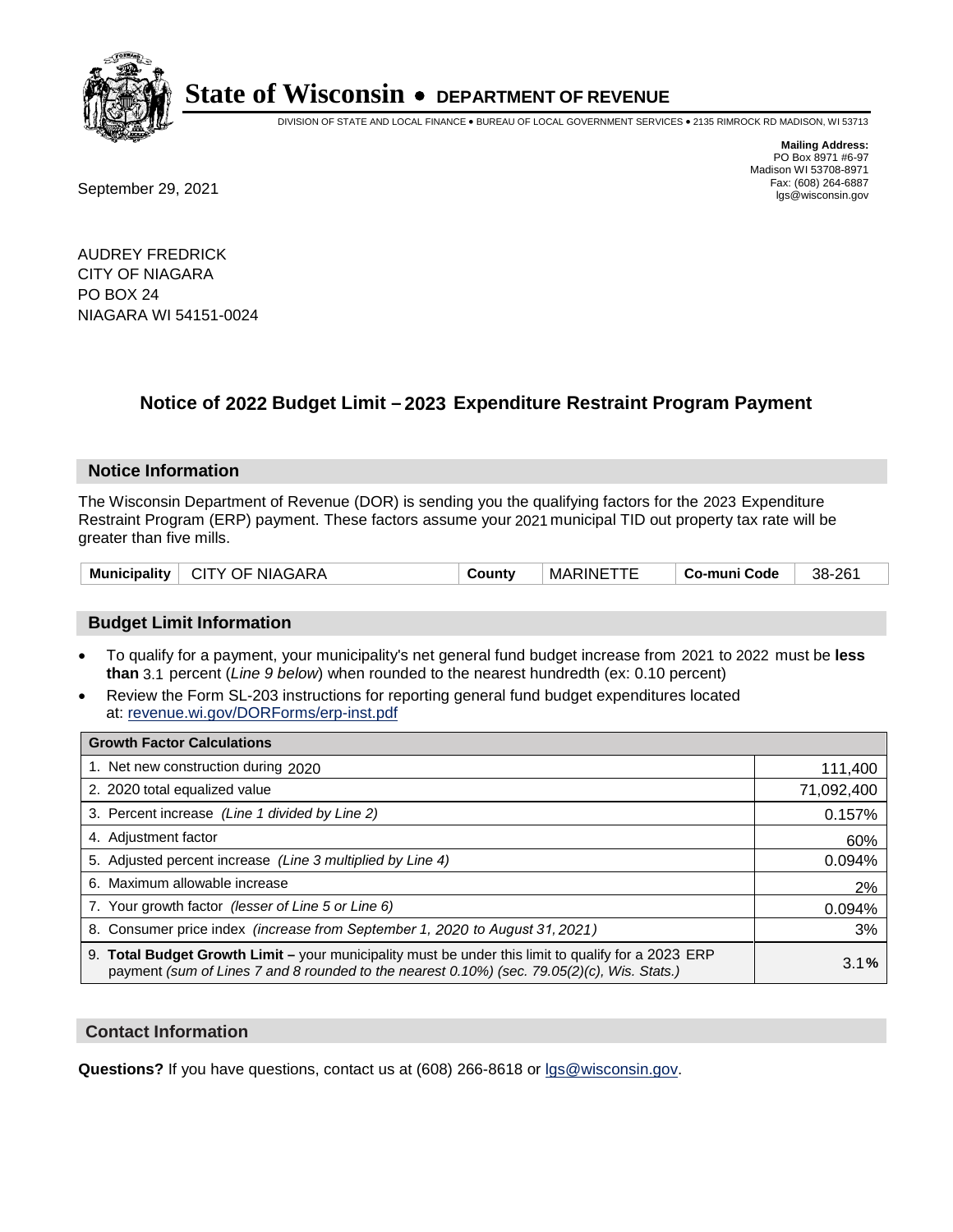

DIVISION OF STATE AND LOCAL FINANCE • BUREAU OF LOCAL GOVERNMENT SERVICES • 2135 RIMROCK RD MADISON, WI 53713

Fax: (608) 264-6887<br>
September 29, 2021 and the state of the state of the state of the state of the state of the state of the state of the state of the state of the state of the state of the state of the state of the state

**Mailing Address:** PO Box 8971 #6-97 Madison WI 53708-8971<br>Fax: (608) 264-6887

AUDREY FREDRICK CITY OF NIAGARA PO BOX 24 NIAGARA WI 54151-0024

### **Notice of 2022 Budget Limit - 2023 Expenditure Restraint Program Payment**

#### **Notice Information**

The Wisconsin Department of Revenue (DOR) is sending you the qualifying factors for the 2023 Expenditure Restraint Program (ERP) payment. These factors assume your 2021 municipal TID out property tax rate will be greater than five mills.

| <b>CITY OF NIAGARA</b><br><b>Municipality</b> | Jount∨ | <b>MARINE</b> | Co-muni Code | 38-261 |
|-----------------------------------------------|--------|---------------|--------------|--------|
|-----------------------------------------------|--------|---------------|--------------|--------|

#### **Budget Limit Information**

- To qualify for a payment, your municipality's net general fund budget increase from 2021 to 2022 must be less **than** 3.1 percent (*Line 9 below*) when rounded to the nearest hundredth (ex: 0.10 percent)
- Review the Form SL-203 instructions for reporting general fund budget expenditures located at: revenue.wi.gov/DORForms/erp-inst.pdf

| <b>Growth Factor Calculations</b>                                                                                                                                                                  |            |
|----------------------------------------------------------------------------------------------------------------------------------------------------------------------------------------------------|------------|
| 1. Net new construction during 2020                                                                                                                                                                | 111,400    |
| 2. 2020 total equalized value                                                                                                                                                                      | 71,092,400 |
| 3. Percent increase (Line 1 divided by Line 2)                                                                                                                                                     | 0.157%     |
| 4. Adjustment factor                                                                                                                                                                               | 60%        |
| 5. Adjusted percent increase (Line 3 multiplied by Line 4)                                                                                                                                         | 0.094%     |
| 6. Maximum allowable increase                                                                                                                                                                      | 2%         |
| 7. Your growth factor (lesser of Line 5 or Line 6)                                                                                                                                                 | 0.094%     |
| 8. Consumer price index (increase from September 1, 2020 to August 31, 2021)                                                                                                                       | 3%         |
| 9. Total Budget Growth Limit - your municipality must be under this limit to qualify for a 2023 ERP<br>payment (sum of Lines 7 and 8 rounded to the nearest 0.10%) (sec. 79.05(2)(c), Wis. Stats.) | 3.1%       |

#### **Contact Information**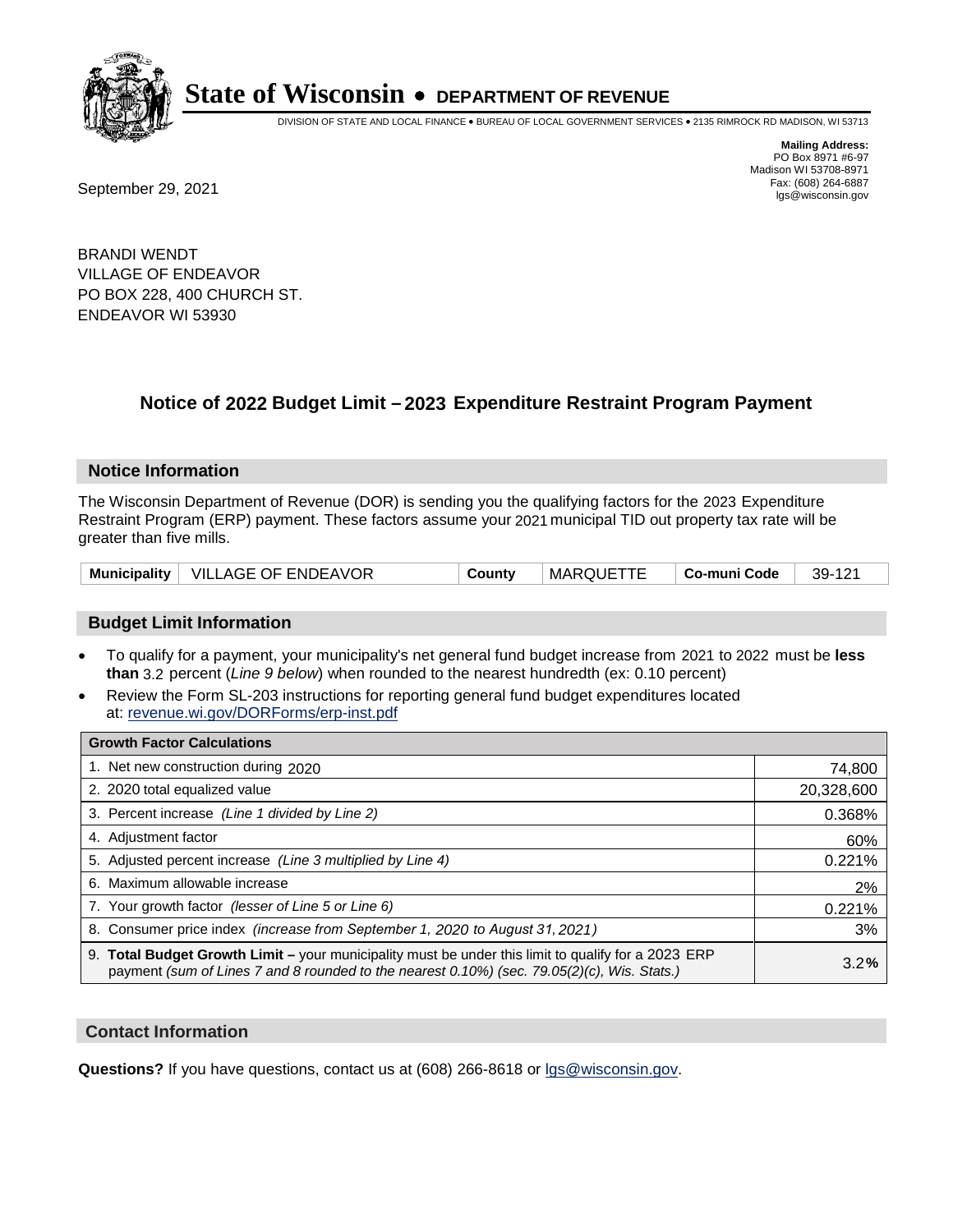

DIVISION OF STATE AND LOCAL FINANCE • BUREAU OF LOCAL GOVERNMENT SERVICES • 2135 RIMROCK RD MADISON, WI 53713

**Mailing Address:** PO Box 8971 #6-97 Madison WI 53708-8971<br>Fax: (608) 264-6887

Fax: (608) 264-6887<br>
September 29, 2021 and the state of the state of the state of the state of the state of the state of the state of the state of the state of the state of the state of the state of the state of the state

BRANDI WENDT VILLAGE OF ENDEAVOR PO BOX 228, 400 CHURCH ST. ENDEAVOR WI 53930

### **Notice of 2022 Budget Limit - 2023 Expenditure Restraint Program Payment**

#### **Notice Information**

The Wisconsin Department of Revenue (DOR) is sending you the qualifying factors for the 2023 Expenditure Restraint Program (ERP) payment. These factors assume your 2021 municipal TID out property tax rate will be greater than five mills.

|  | Municipality   VILLAGE OF ENDEAVOR | County | MARQUETTE | ∣ Co-muni Code | 39-121 |
|--|------------------------------------|--------|-----------|----------------|--------|
|--|------------------------------------|--------|-----------|----------------|--------|

#### **Budget Limit Information**

- To qualify for a payment, your municipality's net general fund budget increase from 2021 to 2022 must be less **than** 3.2 percent (*Line 9 below*) when rounded to the nearest hundredth (ex: 0.10 percent)
- Review the Form SL-203 instructions for reporting general fund budget expenditures located at: revenue.wi.gov/DORForms/erp-inst.pdf

| <b>Growth Factor Calculations</b>                                                                                                                                                                      |            |
|--------------------------------------------------------------------------------------------------------------------------------------------------------------------------------------------------------|------------|
| 1. Net new construction during 2020                                                                                                                                                                    | 74,800     |
| 2. 2020 total equalized value                                                                                                                                                                          | 20,328,600 |
| 3. Percent increase (Line 1 divided by Line 2)                                                                                                                                                         | 0.368%     |
| 4. Adjustment factor                                                                                                                                                                                   | 60%        |
| 5. Adjusted percent increase (Line 3 multiplied by Line 4)                                                                                                                                             | 0.221%     |
| 6. Maximum allowable increase                                                                                                                                                                          | 2%         |
| 7. Your growth factor (lesser of Line 5 or Line 6)                                                                                                                                                     | 0.221%     |
| 8. Consumer price index (increase from September 1, 2020 to August 31, 2021)                                                                                                                           | 3%         |
| 9. Total Budget Growth Limit - your municipality must be under this limit to qualify for a 2023 ERP<br>payment (sum of Lines 7 and 8 rounded to the nearest $0.10\%$ ) (sec. 79.05(2)(c), Wis. Stats.) | 3.2%       |

#### **Contact Information**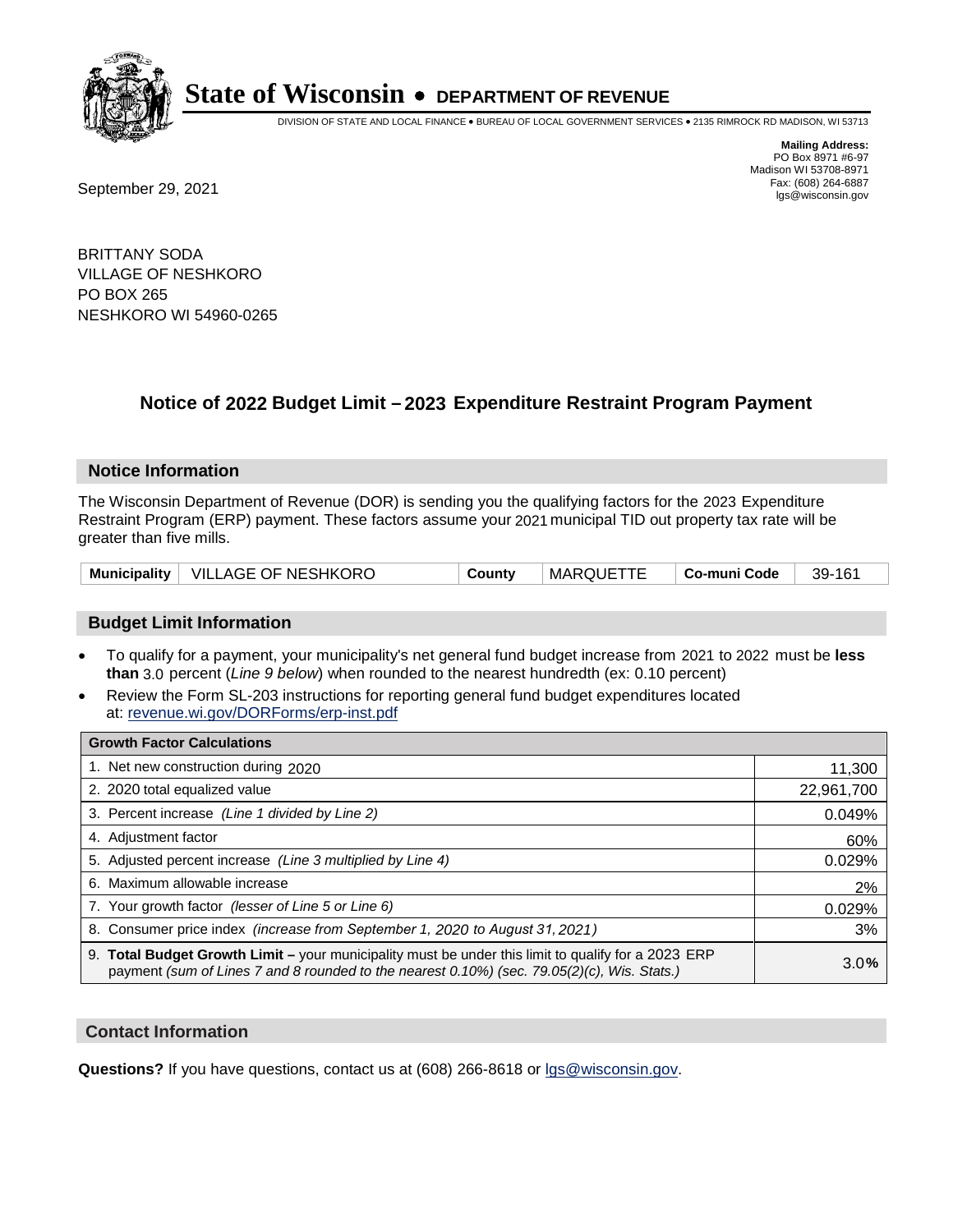

DIVISION OF STATE AND LOCAL FINANCE • BUREAU OF LOCAL GOVERNMENT SERVICES • 2135 RIMROCK RD MADISON, WI 53713

**Mailing Address:** PO Box 8971 #6-97 Madison WI 53708-8971<br>Fax: (608) 264-6887 Fax: (608) 264-6887<br>
September 29, 2021 and the state of the state of the state of the state of the state of the state of the state of the state of the state of the state of the state of the state of the state of the state

BRITTANY SODA VILLAGE OF NESHKORO PO BOX 265 NESHKORO WI 54960-0265

### **Notice of 2022 Budget Limit - 2023 Expenditure Restraint Program Payment**

#### **Notice Information**

The Wisconsin Department of Revenue (DOR) is sending you the qualifying factors for the 2023 Expenditure Restraint Program (ERP) payment. These factors assume your 2021 municipal TID out property tax rate will be greater than five mills.

|  | Municipality   VILLAGE OF NESHKORO | County | MARQUETTE | ∣ Co-muni Code | 39-161 |
|--|------------------------------------|--------|-----------|----------------|--------|
|--|------------------------------------|--------|-----------|----------------|--------|

#### **Budget Limit Information**

- To qualify for a payment, your municipality's net general fund budget increase from 2021 to 2022 must be less **than** 3.0 percent (*Line 9 below*) when rounded to the nearest hundredth (ex: 0.10 percent)
- Review the Form SL-203 instructions for reporting general fund budget expenditures located at: revenue.wi.gov/DORForms/erp-inst.pdf

| <b>Growth Factor Calculations</b>                                                                                                                                                                  |            |
|----------------------------------------------------------------------------------------------------------------------------------------------------------------------------------------------------|------------|
| 1. Net new construction during 2020                                                                                                                                                                | 11,300     |
| 2. 2020 total equalized value                                                                                                                                                                      | 22,961,700 |
| 3. Percent increase (Line 1 divided by Line 2)                                                                                                                                                     | 0.049%     |
| 4. Adjustment factor                                                                                                                                                                               | 60%        |
| 5. Adjusted percent increase (Line 3 multiplied by Line 4)                                                                                                                                         | 0.029%     |
| 6. Maximum allowable increase                                                                                                                                                                      | 2%         |
| 7. Your growth factor (lesser of Line 5 or Line 6)                                                                                                                                                 | 0.029%     |
| 8. Consumer price index (increase from September 1, 2020 to August 31, 2021)                                                                                                                       | 3%         |
| 9. Total Budget Growth Limit - your municipality must be under this limit to qualify for a 2023 ERP<br>payment (sum of Lines 7 and 8 rounded to the nearest 0.10%) (sec. 79.05(2)(c), Wis. Stats.) | 3.0%       |

#### **Contact Information**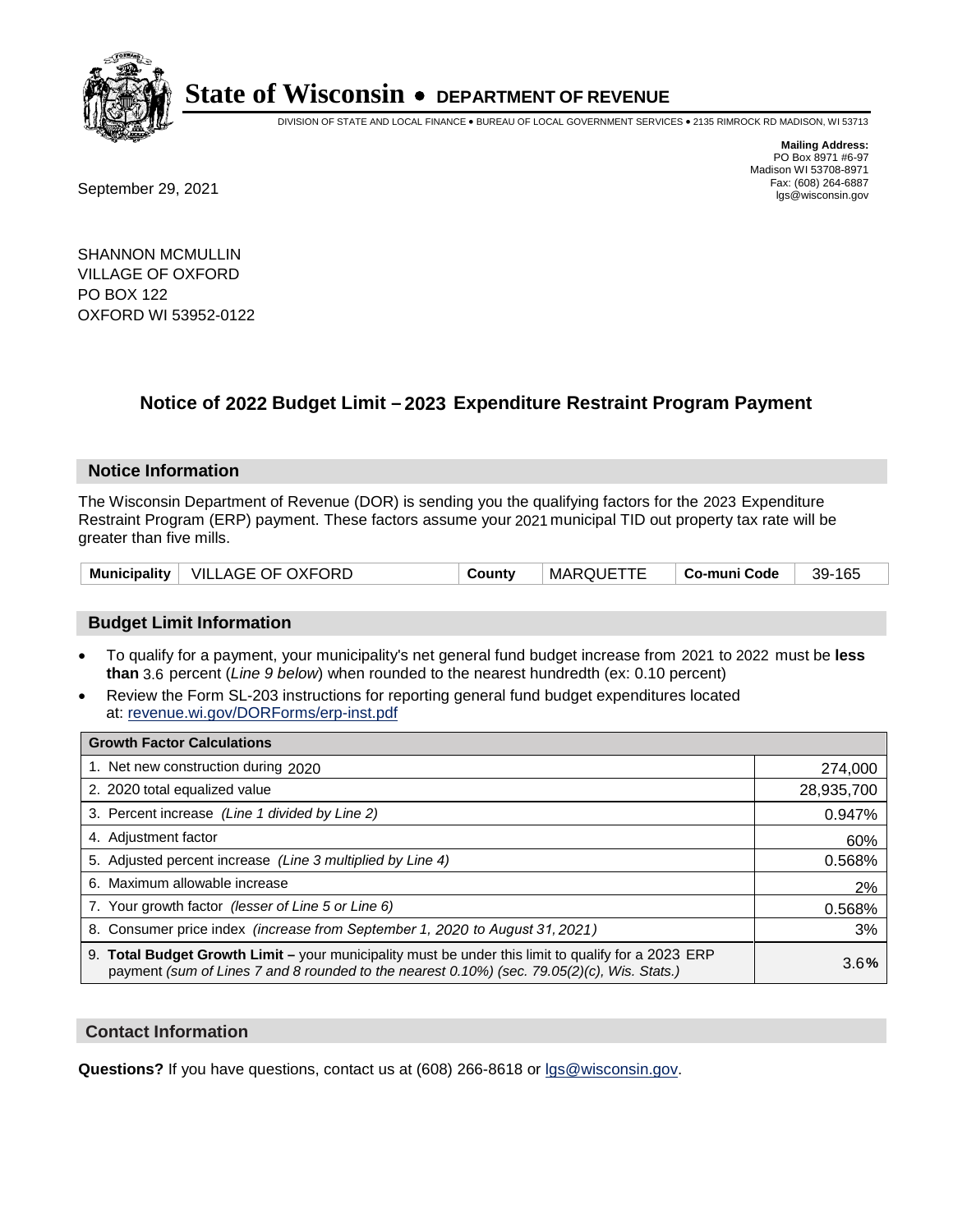

DIVISION OF STATE AND LOCAL FINANCE • BUREAU OF LOCAL GOVERNMENT SERVICES • 2135 RIMROCK RD MADISON, WI 53713

Fax: (608) 264-6887<br>
September 29, 2021 and the state of the state of the state of the state of the state of the state of the state of the state of the state of the state of the state of the state of the state of the state

**Mailing Address:** PO Box 8971 #6-97 Madison WI 53708-8971<br>Fax: (608) 264-6887

SHANNON MCMULLIN VILLAGE OF OXFORD PO BOX 122 OXFORD WI 53952-0122

### **Notice of 2022 Budget Limit - 2023 Expenditure Restraint Program Payment**

#### **Notice Information**

The Wisconsin Department of Revenue (DOR) is sending you the qualifying factors for the 2023 Expenditure Restraint Program (ERP) payment. These factors assume your 2021 municipal TID out property tax rate will be greater than five mills.

| Municipality   VILLAGE OF OXFORD | County | MARQUETTE | ∣ Co-muni Code | 39-165 |
|----------------------------------|--------|-----------|----------------|--------|
|----------------------------------|--------|-----------|----------------|--------|

#### **Budget Limit Information**

- To qualify for a payment, your municipality's net general fund budget increase from 2021 to 2022 must be less **than** 3.6 percent (*Line 9 below*) when rounded to the nearest hundredth (ex: 0.10 percent)
- Review the Form SL-203 instructions for reporting general fund budget expenditures located at: revenue.wi.gov/DORForms/erp-inst.pdf

| <b>Growth Factor Calculations</b>                                                                                                                                                                  |            |
|----------------------------------------------------------------------------------------------------------------------------------------------------------------------------------------------------|------------|
| 1. Net new construction during 2020                                                                                                                                                                | 274,000    |
| 2. 2020 total equalized value                                                                                                                                                                      | 28,935,700 |
| 3. Percent increase (Line 1 divided by Line 2)                                                                                                                                                     | 0.947%     |
| 4. Adjustment factor                                                                                                                                                                               | 60%        |
| 5. Adjusted percent increase (Line 3 multiplied by Line 4)                                                                                                                                         | 0.568%     |
| 6. Maximum allowable increase                                                                                                                                                                      | 2%         |
| 7. Your growth factor (lesser of Line 5 or Line 6)                                                                                                                                                 | 0.568%     |
| 8. Consumer price index (increase from September 1, 2020 to August 31, 2021)                                                                                                                       | 3%         |
| 9. Total Budget Growth Limit - your municipality must be under this limit to qualify for a 2023 ERP<br>payment (sum of Lines 7 and 8 rounded to the nearest 0.10%) (sec. 79.05(2)(c), Wis. Stats.) | 3.6%       |

#### **Contact Information**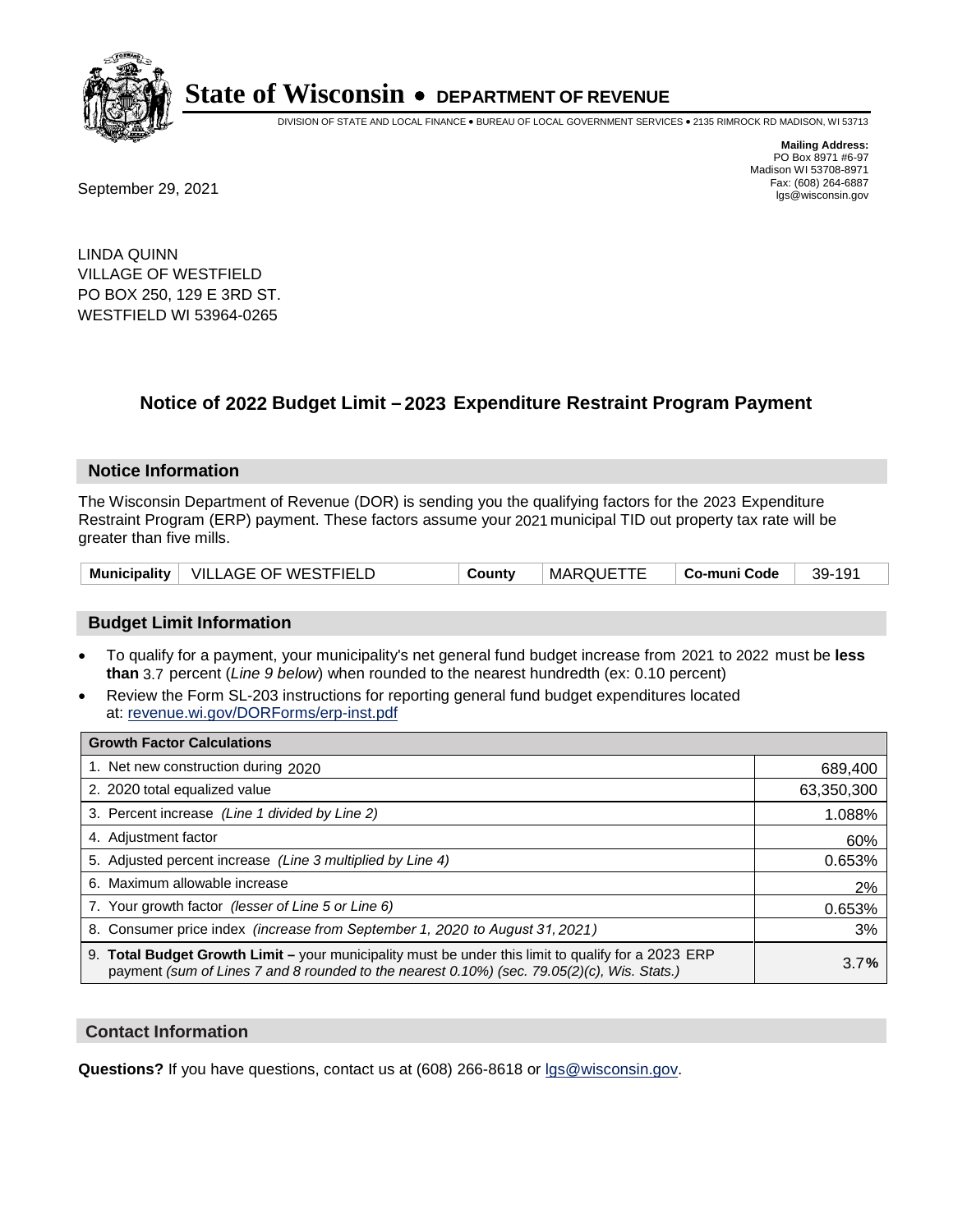

DIVISION OF STATE AND LOCAL FINANCE • BUREAU OF LOCAL GOVERNMENT SERVICES • 2135 RIMROCK RD MADISON, WI 53713

Fax: (608) 264-6887<br>
September 29, 2021 and the state of the state of the state of the state of the state of the state of the state of the state of the state of the state of the state of the state of the state of the state

**Mailing Address:** PO Box 8971 #6-97 Madison WI 53708-8971<br>Fax: (608) 264-6887

LINDA QUINN VILLAGE OF WESTFIELD PO BOX 250, 129 E 3RD ST. WESTFIELD WI 53964-0265

### **Notice of 2022 Budget Limit - 2023 Expenditure Restraint Program Payment**

#### **Notice Information**

The Wisconsin Department of Revenue (DOR) is sending you the qualifying factors for the 2023 Expenditure Restraint Program (ERP) payment. These factors assume your 2021 municipal TID out property tax rate will be greater than five mills.

|  | Municipality   VILLAGE OF WESTFIELD | County | <b>MARQUETTE</b> | └ Co-muni Code | 39-191 |
|--|-------------------------------------|--------|------------------|----------------|--------|
|--|-------------------------------------|--------|------------------|----------------|--------|

#### **Budget Limit Information**

- To qualify for a payment, your municipality's net general fund budget increase from 2021 to 2022 must be less **than** 3.7 percent (*Line 9 below*) when rounded to the nearest hundredth (ex: 0.10 percent)
- Review the Form SL-203 instructions for reporting general fund budget expenditures located at: revenue.wi.gov/DORForms/erp-inst.pdf

| <b>Growth Factor Calculations</b>                                                                                                                                                                  |            |
|----------------------------------------------------------------------------------------------------------------------------------------------------------------------------------------------------|------------|
| 1. Net new construction during 2020                                                                                                                                                                | 689,400    |
| 2. 2020 total equalized value                                                                                                                                                                      | 63,350,300 |
| 3. Percent increase (Line 1 divided by Line 2)                                                                                                                                                     | 1.088%     |
| 4. Adjustment factor                                                                                                                                                                               | 60%        |
| 5. Adjusted percent increase (Line 3 multiplied by Line 4)                                                                                                                                         | 0.653%     |
| 6. Maximum allowable increase                                                                                                                                                                      | 2%         |
| 7. Your growth factor (lesser of Line 5 or Line 6)                                                                                                                                                 | 0.653%     |
| 8. Consumer price index (increase from September 1, 2020 to August 31, 2021)                                                                                                                       | 3%         |
| 9. Total Budget Growth Limit - your municipality must be under this limit to qualify for a 2023 ERP<br>payment (sum of Lines 7 and 8 rounded to the nearest 0.10%) (sec. 79.05(2)(c), Wis. Stats.) | 3.7%       |

#### **Contact Information**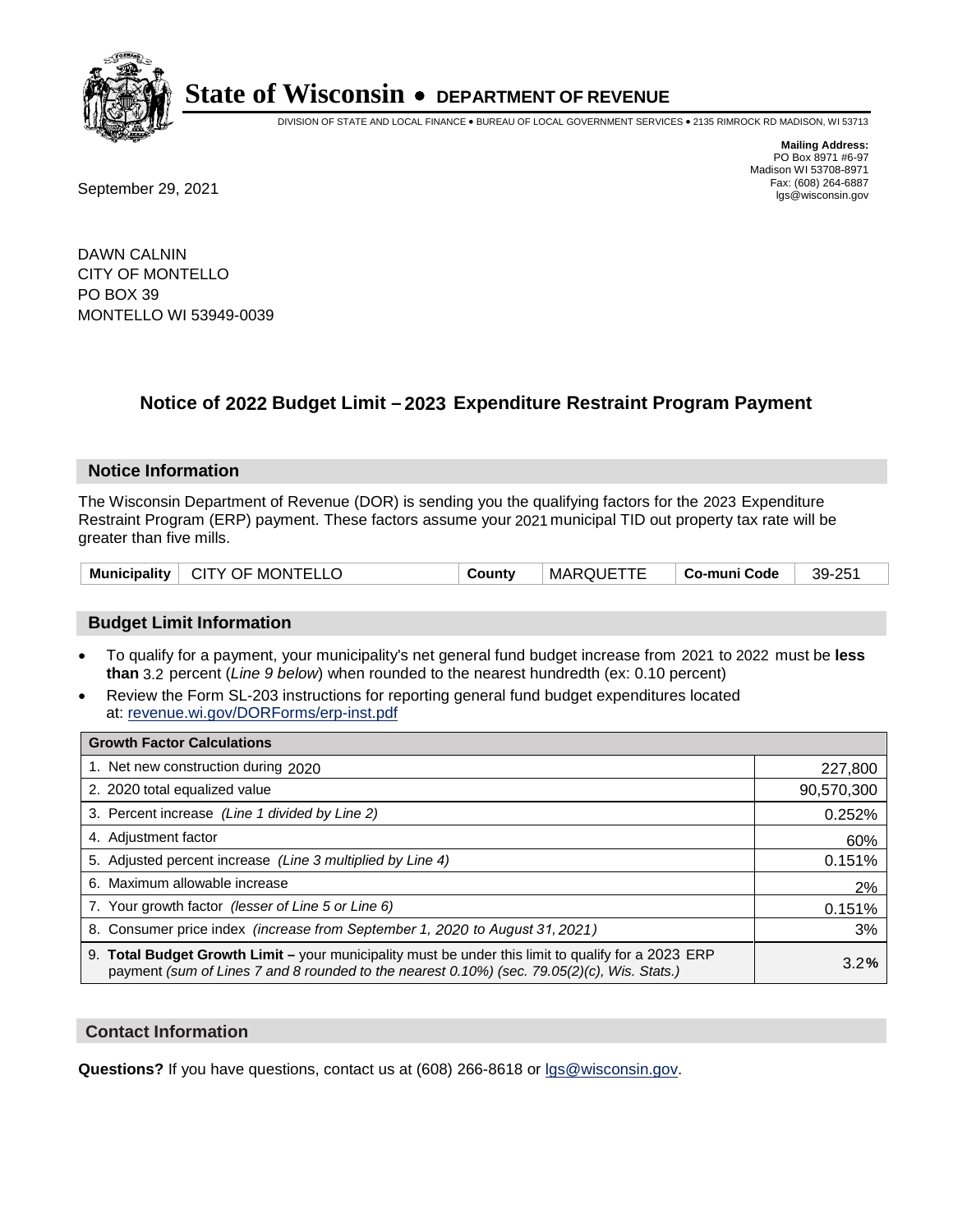

DIVISION OF STATE AND LOCAL FINANCE • BUREAU OF LOCAL GOVERNMENT SERVICES • 2135 RIMROCK RD MADISON, WI 53713

**Mailing Address:** PO Box 8971 #6-97 Madison WI 53708-8971<br>Fax: (608) 264-6887

Fax: (608) 264-6887<br>
September 29, 2021 and the state of the state of the state of the state of the state of the state of the state of the state of the state of the state of the state of the state of the state of the state

DAWN CALNIN CITY OF MONTELLO PO BOX 39 MONTELLO WI 53949-0039

## **Notice of 2022 Budget Limit - 2023 Expenditure Restraint Program Payment**

#### **Notice Information**

The Wisconsin Department of Revenue (DOR) is sending you the qualifying factors for the 2023 Expenditure Restraint Program (ERP) payment. These factors assume your 2021 municipal TID out property tax rate will be greater than five mills.

| Municipality   CITY OF MONTELLO | County | MARQUETTE | ∣ Co-muni Code | 39-251 |
|---------------------------------|--------|-----------|----------------|--------|
|---------------------------------|--------|-----------|----------------|--------|

#### **Budget Limit Information**

- To qualify for a payment, your municipality's net general fund budget increase from 2021 to 2022 must be less **than** 3.2 percent (*Line 9 below*) when rounded to the nearest hundredth (ex: 0.10 percent)
- Review the Form SL-203 instructions for reporting general fund budget expenditures located at: revenue.wi.gov/DORForms/erp-inst.pdf

| <b>Growth Factor Calculations</b>                                                                                                                                                                      |            |
|--------------------------------------------------------------------------------------------------------------------------------------------------------------------------------------------------------|------------|
| 1. Net new construction during 2020                                                                                                                                                                    | 227,800    |
| 2. 2020 total equalized value                                                                                                                                                                          | 90,570,300 |
| 3. Percent increase (Line 1 divided by Line 2)                                                                                                                                                         | 0.252%     |
| 4. Adjustment factor                                                                                                                                                                                   | 60%        |
| 5. Adjusted percent increase (Line 3 multiplied by Line 4)                                                                                                                                             | 0.151%     |
| 6. Maximum allowable increase                                                                                                                                                                          | 2%         |
| 7. Your growth factor (lesser of Line 5 or Line 6)                                                                                                                                                     | 0.151%     |
| 8. Consumer price index (increase from September 1, 2020 to August 31, 2021)                                                                                                                           | 3%         |
| 9. Total Budget Growth Limit - your municipality must be under this limit to qualify for a 2023 ERP<br>payment (sum of Lines 7 and 8 rounded to the nearest $0.10\%$ ) (sec. 79.05(2)(c), Wis. Stats.) | 3.2%       |

#### **Contact Information**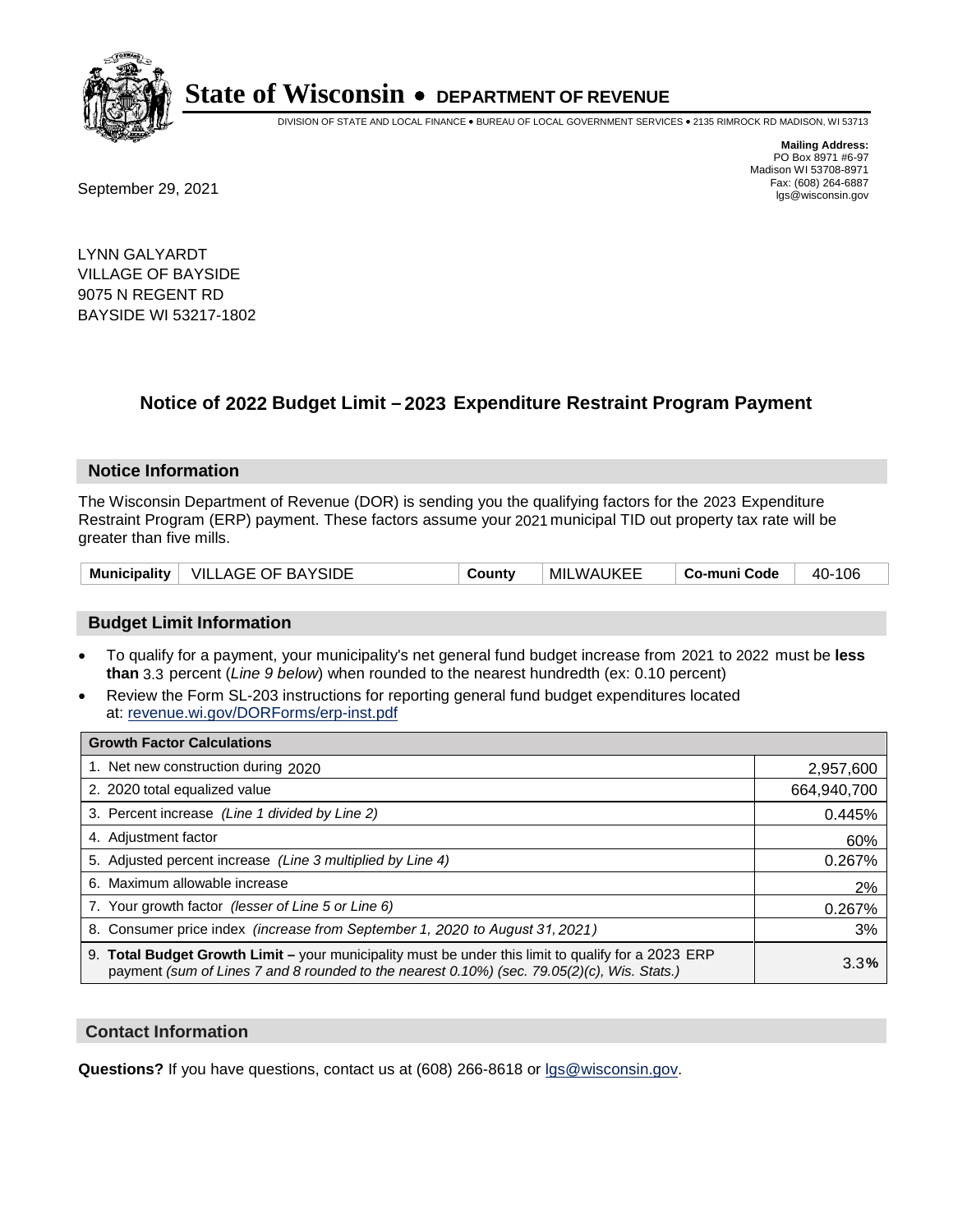

DIVISION OF STATE AND LOCAL FINANCE • BUREAU OF LOCAL GOVERNMENT SERVICES • 2135 RIMROCK RD MADISON, WI 53713

Fax: (608) 264-6887<br>
September 29, 2021 and the state of the state of the state of the state of the state of the state of the state of the state of the state of the state of the state of the state of the state of the state

**Mailing Address:** PO Box 8971 #6-97 Madison WI 53708-8971<br>Fax: (608) 264-6887

LYNN GALYARDT VILLAGE OF BAYSIDE 9075 N REGENT RD BAYSIDE WI 53217-1802

### **Notice of 2022 Budget Limit - 2023 Expenditure Restraint Program Payment**

#### **Notice Information**

The Wisconsin Department of Revenue (DOR) is sending you the qualifying factors for the 2023 Expenditure Restraint Program (ERP) payment. These factors assume your 2021 municipal TID out property tax rate will be greater than five mills.

|  | Municipality   VILLAGE OF BAYSIDE | County | MILWAUKEE | Co-muni Code | 40-106 |
|--|-----------------------------------|--------|-----------|--------------|--------|
|--|-----------------------------------|--------|-----------|--------------|--------|

#### **Budget Limit Information**

- To qualify for a payment, your municipality's net general fund budget increase from 2021 to 2022 must be less **than** 3.3 percent (*Line 9 below*) when rounded to the nearest hundredth (ex: 0.10 percent)
- Review the Form SL-203 instructions for reporting general fund budget expenditures located at: revenue.wi.gov/DORForms/erp-inst.pdf

| <b>Growth Factor Calculations</b>                                                                                                                                                                      |             |
|--------------------------------------------------------------------------------------------------------------------------------------------------------------------------------------------------------|-------------|
| 1. Net new construction during 2020                                                                                                                                                                    | 2,957,600   |
| 2. 2020 total equalized value                                                                                                                                                                          | 664,940,700 |
| 3. Percent increase (Line 1 divided by Line 2)                                                                                                                                                         | 0.445%      |
| 4. Adiustment factor                                                                                                                                                                                   | 60%         |
| 5. Adjusted percent increase (Line 3 multiplied by Line 4)                                                                                                                                             | 0.267%      |
| 6. Maximum allowable increase                                                                                                                                                                          | 2%          |
| 7. Your growth factor (lesser of Line 5 or Line 6)                                                                                                                                                     | 0.267%      |
| 8. Consumer price index (increase from September 1, 2020 to August 31, 2021)                                                                                                                           | 3%          |
| 9. Total Budget Growth Limit - your municipality must be under this limit to qualify for a 2023 ERP<br>payment (sum of Lines 7 and 8 rounded to the nearest $0.10\%$ ) (sec. 79.05(2)(c), Wis. Stats.) | 3.3%        |

#### **Contact Information**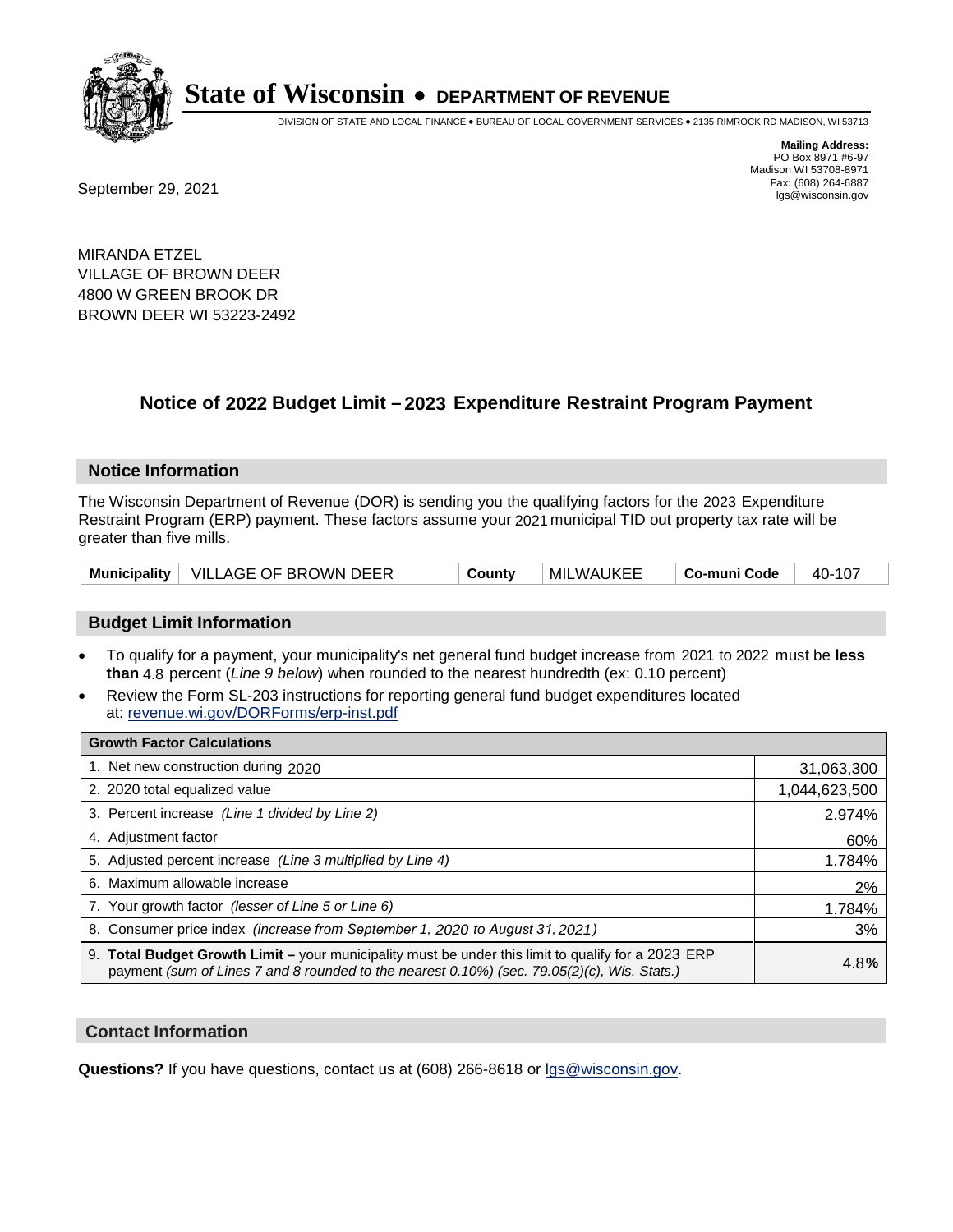

DIVISION OF STATE AND LOCAL FINANCE • BUREAU OF LOCAL GOVERNMENT SERVICES • 2135 RIMROCK RD MADISON, WI 53713

Fax: (608) 264-6887<br>
September 29, 2021 and the state of the state of the state of the state of the state of the state of the state of the state of the state of the state of the state of the state of the state of the state

**Mailing Address:** PO Box 8971 #6-97 Madison WI 53708-8971<br>Fax: (608) 264-6887

MIRANDA ETZEL VILLAGE OF BROWN DEER 4800 W GREEN BROOK DR BROWN DEER WI 53223-2492

## **Notice of 2022 Budget Limit - 2023 Expenditure Restraint Program Payment**

#### **Notice Information**

The Wisconsin Department of Revenue (DOR) is sending you the qualifying factors for the 2023 Expenditure Restraint Program (ERP) payment. These factors assume your 2021 municipal TID out property tax rate will be greater than five mills.

|  | Municipality   VILLAGE OF BROWN DEER | County | MILWAUKEE | Co-muni Code | 40-107 |
|--|--------------------------------------|--------|-----------|--------------|--------|
|--|--------------------------------------|--------|-----------|--------------|--------|

#### **Budget Limit Information**

- To qualify for a payment, your municipality's net general fund budget increase from 2021 to 2022 must be less **than** 4.8 percent (*Line 9 below*) when rounded to the nearest hundredth (ex: 0.10 percent)
- Review the Form SL-203 instructions for reporting general fund budget expenditures located at: revenue.wi.gov/DORForms/erp-inst.pdf

| <b>Growth Factor Calculations</b>                                                                                                                                                                      |               |
|--------------------------------------------------------------------------------------------------------------------------------------------------------------------------------------------------------|---------------|
| 1. Net new construction during 2020                                                                                                                                                                    | 31,063,300    |
| 2. 2020 total equalized value                                                                                                                                                                          | 1,044,623,500 |
| 3. Percent increase (Line 1 divided by Line 2)                                                                                                                                                         | 2.974%        |
| 4. Adjustment factor                                                                                                                                                                                   | 60%           |
| 5. Adjusted percent increase (Line 3 multiplied by Line 4)                                                                                                                                             | 1.784%        |
| 6. Maximum allowable increase                                                                                                                                                                          | 2%            |
| 7. Your growth factor (lesser of Line 5 or Line 6)                                                                                                                                                     | 1.784%        |
| 8. Consumer price index (increase from September 1, 2020 to August 31, 2021)                                                                                                                           | 3%            |
| 9. Total Budget Growth Limit - your municipality must be under this limit to qualify for a 2023 ERP<br>payment (sum of Lines 7 and 8 rounded to the nearest $0.10\%$ ) (sec. 79.05(2)(c), Wis. Stats.) | 4.8%          |

#### **Contact Information**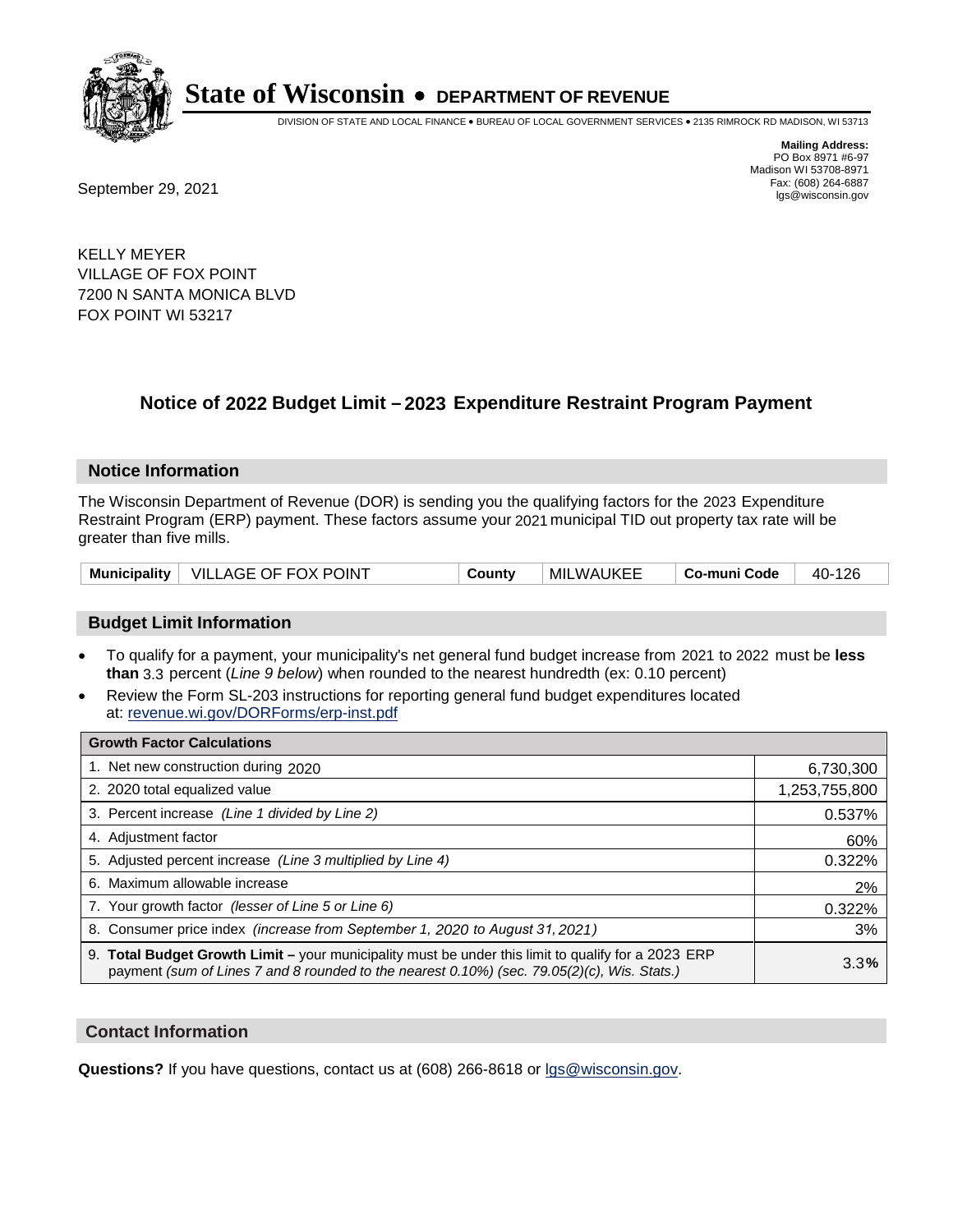

DIVISION OF STATE AND LOCAL FINANCE • BUREAU OF LOCAL GOVERNMENT SERVICES • 2135 RIMROCK RD MADISON, WI 53713

Fax: (608) 264-6887<br>
September 29, 2021 and the state of the state of the state of the state of the state of the state of the state of the state of the state of the state of the state of the state of the state of the state

**Mailing Address:** PO Box 8971 #6-97 Madison WI 53708-8971<br>Fax: (608) 264-6887

KELLY MEYER VILLAGE OF FOX POINT 7200 N SANTA MONICA BLVD FOX POINT WI 53217

## **Notice of 2022 Budget Limit - 2023 Expenditure Restraint Program Payment**

#### **Notice Information**

The Wisconsin Department of Revenue (DOR) is sending you the qualifying factors for the 2023 Expenditure Restraint Program (ERP) payment. These factors assume your 2021 municipal TID out property tax rate will be greater than five mills.

|  | Municipality   VILLAGE OF FOX POINT | Countv | MILWAUKEE | Co-muni Code | 40-126 |
|--|-------------------------------------|--------|-----------|--------------|--------|
|--|-------------------------------------|--------|-----------|--------------|--------|

#### **Budget Limit Information**

- To qualify for a payment, your municipality's net general fund budget increase from 2021 to 2022 must be less **than** 3.3 percent (*Line 9 below*) when rounded to the nearest hundredth (ex: 0.10 percent)
- Review the Form SL-203 instructions for reporting general fund budget expenditures located at: revenue.wi.gov/DORForms/erp-inst.pdf

| <b>Growth Factor Calculations</b>                                                                                                                                                                      |               |
|--------------------------------------------------------------------------------------------------------------------------------------------------------------------------------------------------------|---------------|
| 1. Net new construction during 2020                                                                                                                                                                    | 6,730,300     |
| 2. 2020 total equalized value                                                                                                                                                                          | 1,253,755,800 |
| 3. Percent increase (Line 1 divided by Line 2)                                                                                                                                                         | 0.537%        |
| 4. Adjustment factor                                                                                                                                                                                   | 60%           |
| 5. Adjusted percent increase (Line 3 multiplied by Line 4)                                                                                                                                             | 0.322%        |
| 6. Maximum allowable increase                                                                                                                                                                          | 2%            |
| 7. Your growth factor (lesser of Line 5 or Line 6)                                                                                                                                                     | 0.322%        |
| 8. Consumer price index (increase from September 1, 2020 to August 31, 2021)                                                                                                                           | 3%            |
| 9. Total Budget Growth Limit - your municipality must be under this limit to qualify for a 2023 ERP<br>payment (sum of Lines 7 and 8 rounded to the nearest $0.10\%$ ) (sec. 79.05(2)(c), Wis. Stats.) | 3.3%          |

#### **Contact Information**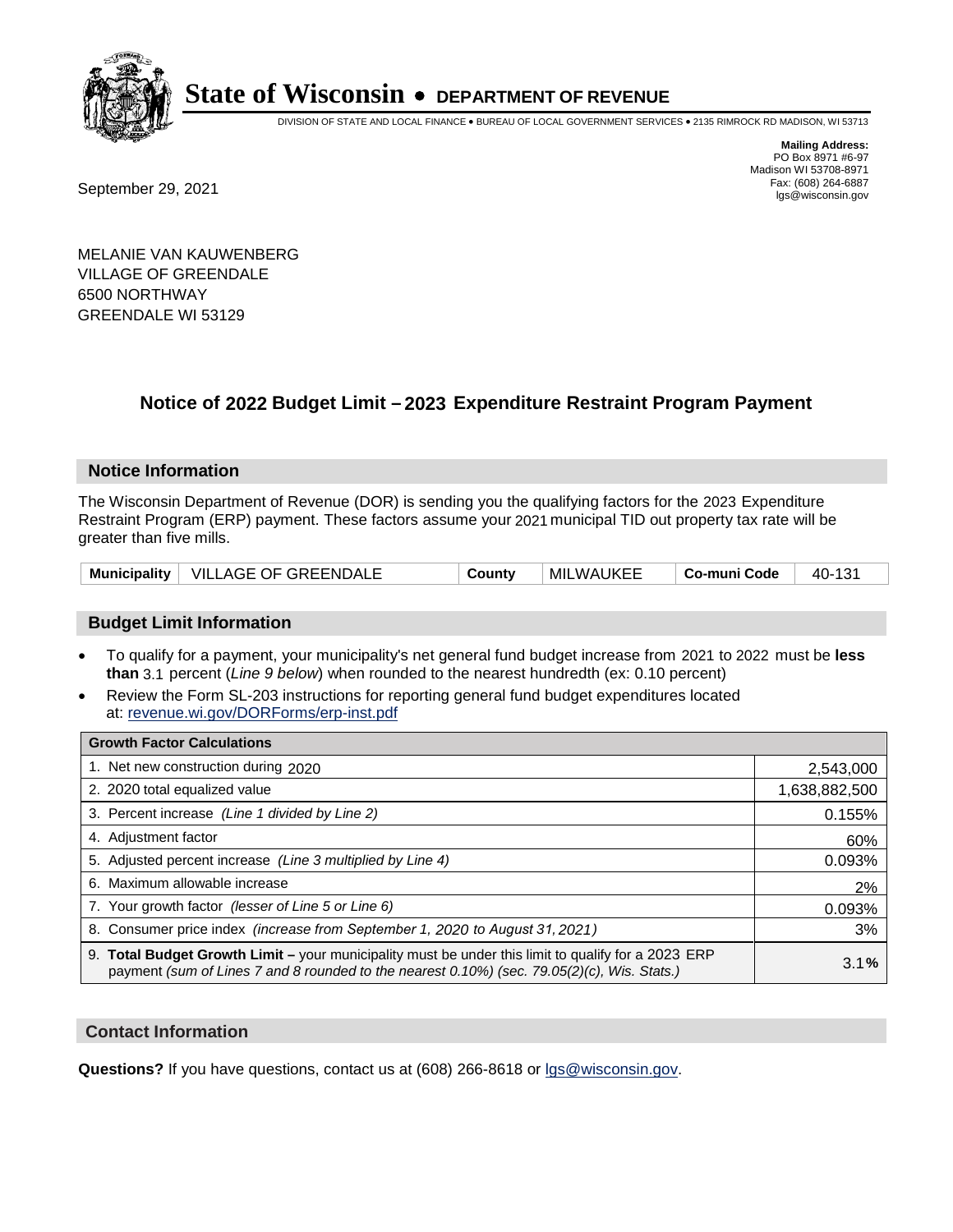

DIVISION OF STATE AND LOCAL FINANCE • BUREAU OF LOCAL GOVERNMENT SERVICES • 2135 RIMROCK RD MADISON, WI 53713

Fax: (608) 264-6887<br>
September 29, 2021 and the state of the state of the state of the state of the state of the state of the state of the state of the state of the state of the state of the state of the state of the state

**Mailing Address:** PO Box 8971 #6-97 Madison WI 53708-8971<br>Fax: (608) 264-6887

MELANIE VAN KAUWENBERG VILLAGE OF GREENDALE 6500 NORTHWAY GREENDALE WI 53129

### **Notice of 2022 Budget Limit - 2023 Expenditure Restraint Program Payment**

#### **Notice Information**

The Wisconsin Department of Revenue (DOR) is sending you the qualifying factors for the 2023 Expenditure Restraint Program (ERP) payment. These factors assume your 2021 municipal TID out property tax rate will be greater than five mills.

| Municipality   VILLAGE OF GREENDALE | County | MILWAUKEE | Co-muni Code | 40-131 |
|-------------------------------------|--------|-----------|--------------|--------|
|-------------------------------------|--------|-----------|--------------|--------|

#### **Budget Limit Information**

- To qualify for a payment, your municipality's net general fund budget increase from 2021 to 2022 must be less **than** 3.1 percent (*Line 9 below*) when rounded to the nearest hundredth (ex: 0.10 percent)
- Review the Form SL-203 instructions for reporting general fund budget expenditures located at: revenue.wi.gov/DORForms/erp-inst.pdf

| <b>Growth Factor Calculations</b>                                                                                                                                                                  |               |
|----------------------------------------------------------------------------------------------------------------------------------------------------------------------------------------------------|---------------|
| 1. Net new construction during 2020                                                                                                                                                                | 2,543,000     |
| 2. 2020 total equalized value                                                                                                                                                                      | 1,638,882,500 |
| 3. Percent increase (Line 1 divided by Line 2)                                                                                                                                                     | 0.155%        |
| 4. Adiustment factor                                                                                                                                                                               | 60%           |
| 5. Adjusted percent increase (Line 3 multiplied by Line 4)                                                                                                                                         | 0.093%        |
| 6. Maximum allowable increase                                                                                                                                                                      | 2%            |
| 7. Your growth factor (lesser of Line 5 or Line 6)                                                                                                                                                 | 0.093%        |
| 8. Consumer price index (increase from September 1, 2020 to August 31, 2021)                                                                                                                       | 3%            |
| 9. Total Budget Growth Limit - your municipality must be under this limit to qualify for a 2023 ERP<br>payment (sum of Lines 7 and 8 rounded to the nearest 0.10%) (sec. 79.05(2)(c), Wis. Stats.) | 3.1%          |

#### **Contact Information**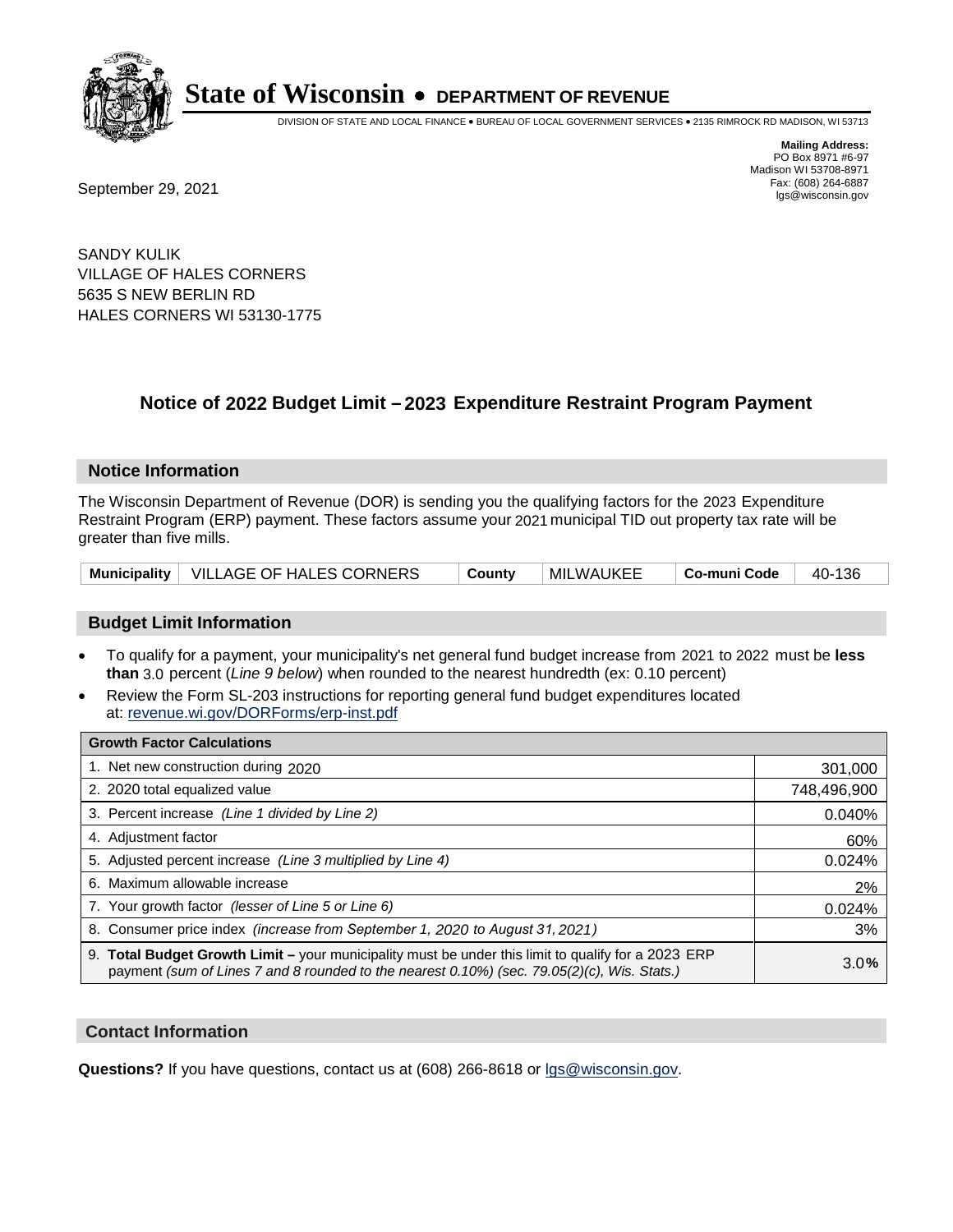

DIVISION OF STATE AND LOCAL FINANCE • BUREAU OF LOCAL GOVERNMENT SERVICES • 2135 RIMROCK RD MADISON, WI 53713

**Mailing Address:** PO Box 8971 #6-97 Madison WI 53708-8971<br>Fax: (608) 264-6887

Fax: (608) 264-6887<br>
September 29, 2021 and the state of the state of the state of the state of the state of the state of the state of the state of the state of the state of the state of the state of the state of the state

SANDY KULIK VILLAGE OF HALES CORNERS 5635 S NEW BERLIN RD HALES CORNERS WI 53130-1775

## **Notice of 2022 Budget Limit - 2023 Expenditure Restraint Program Payment**

#### **Notice Information**

The Wisconsin Department of Revenue (DOR) is sending you the qualifying factors for the 2023 Expenditure Restraint Program (ERP) payment. These factors assume your 2021 municipal TID out property tax rate will be greater than five mills.

#### **Budget Limit Information**

- To qualify for a payment, your municipality's net general fund budget increase from 2021 to 2022 must be less **than** 3.0 percent (*Line 9 below*) when rounded to the nearest hundredth (ex: 0.10 percent)
- Review the Form SL-203 instructions for reporting general fund budget expenditures located at: revenue.wi.gov/DORForms/erp-inst.pdf

| <b>Growth Factor Calculations</b>                                                                                                                                                                      |             |
|--------------------------------------------------------------------------------------------------------------------------------------------------------------------------------------------------------|-------------|
| 1. Net new construction during 2020                                                                                                                                                                    | 301,000     |
| 2. 2020 total equalized value                                                                                                                                                                          | 748,496,900 |
| 3. Percent increase (Line 1 divided by Line 2)                                                                                                                                                         | 0.040%      |
| 4. Adjustment factor                                                                                                                                                                                   | 60%         |
| 5. Adjusted percent increase (Line 3 multiplied by Line 4)                                                                                                                                             | 0.024%      |
| 6. Maximum allowable increase                                                                                                                                                                          | 2%          |
| 7. Your growth factor (lesser of Line 5 or Line 6)                                                                                                                                                     | 0.024%      |
| 8. Consumer price index (increase from September 1, 2020 to August 31, 2021)                                                                                                                           | 3%          |
| 9. Total Budget Growth Limit - your municipality must be under this limit to qualify for a 2023 ERP<br>payment (sum of Lines 7 and 8 rounded to the nearest $0.10\%$ ) (sec. 79.05(2)(c), Wis. Stats.) | 3.0%        |

#### **Contact Information**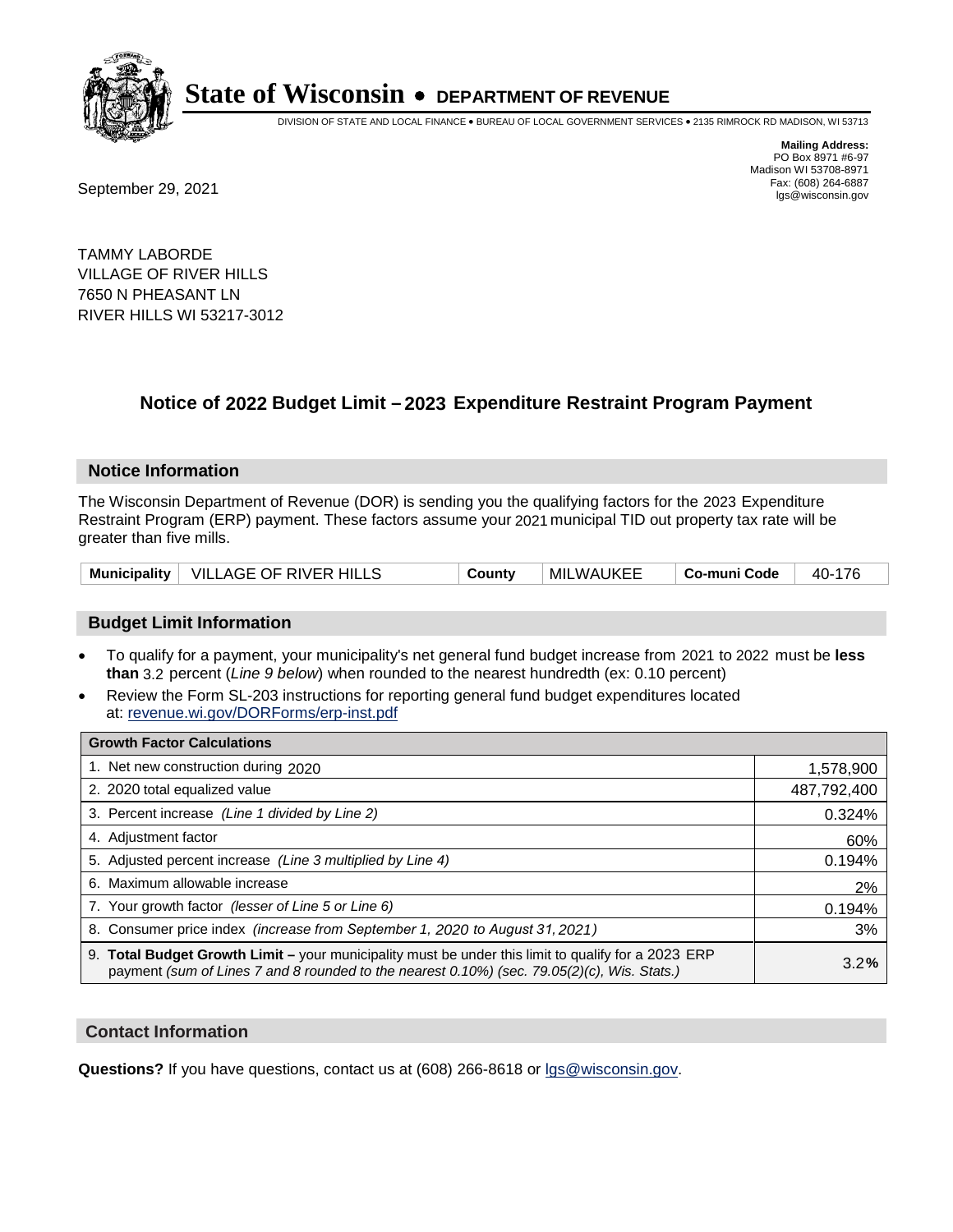

DIVISION OF STATE AND LOCAL FINANCE • BUREAU OF LOCAL GOVERNMENT SERVICES • 2135 RIMROCK RD MADISON, WI 53713

Fax: (608) 264-6887<br>
September 29, 2021 and the state of the state of the state of the state of the state of the state of the state of the state of the state of the state of the state of the state of the state of the state

**Mailing Address:** PO Box 8971 #6-97 Madison WI 53708-8971<br>Fax: (608) 264-6887

TAMMY LABORDE VILLAGE OF RIVER HILLS 7650 N PHEASANT LN RIVER HILLS WI 53217-3012

## **Notice of 2022 Budget Limit - 2023 Expenditure Restraint Program Payment**

#### **Notice Information**

The Wisconsin Department of Revenue (DOR) is sending you the qualifying factors for the 2023 Expenditure Restraint Program (ERP) payment. These factors assume your 2021 municipal TID out property tax rate will be greater than five mills.

|  | Municipality   VILLAGE OF RIVER HILLS | County | MILWAUKEE | Co-muni Code | 40-176 |
|--|---------------------------------------|--------|-----------|--------------|--------|
|--|---------------------------------------|--------|-----------|--------------|--------|

#### **Budget Limit Information**

- To qualify for a payment, your municipality's net general fund budget increase from 2021 to 2022 must be less **than** 3.2 percent (*Line 9 below*) when rounded to the nearest hundredth (ex: 0.10 percent)
- Review the Form SL-203 instructions for reporting general fund budget expenditures located at: revenue.wi.gov/DORForms/erp-inst.pdf

| <b>Growth Factor Calculations</b>                                                                                                                                                                  |             |
|----------------------------------------------------------------------------------------------------------------------------------------------------------------------------------------------------|-------------|
| 1. Net new construction during 2020                                                                                                                                                                | 1,578,900   |
| 2. 2020 total equalized value                                                                                                                                                                      | 487,792,400 |
| 3. Percent increase (Line 1 divided by Line 2)                                                                                                                                                     | 0.324%      |
| 4. Adiustment factor                                                                                                                                                                               | 60%         |
| 5. Adjusted percent increase (Line 3 multiplied by Line 4)                                                                                                                                         | 0.194%      |
| 6. Maximum allowable increase                                                                                                                                                                      | 2%          |
| 7. Your growth factor (lesser of Line 5 or Line 6)                                                                                                                                                 | 0.194%      |
| 8. Consumer price index (increase from September 1, 2020 to August 31, 2021)                                                                                                                       | 3%          |
| 9. Total Budget Growth Limit - your municipality must be under this limit to qualify for a 2023 ERP<br>payment (sum of Lines 7 and 8 rounded to the nearest 0.10%) (sec. 79.05(2)(c), Wis. Stats.) | 3.2%        |

#### **Contact Information**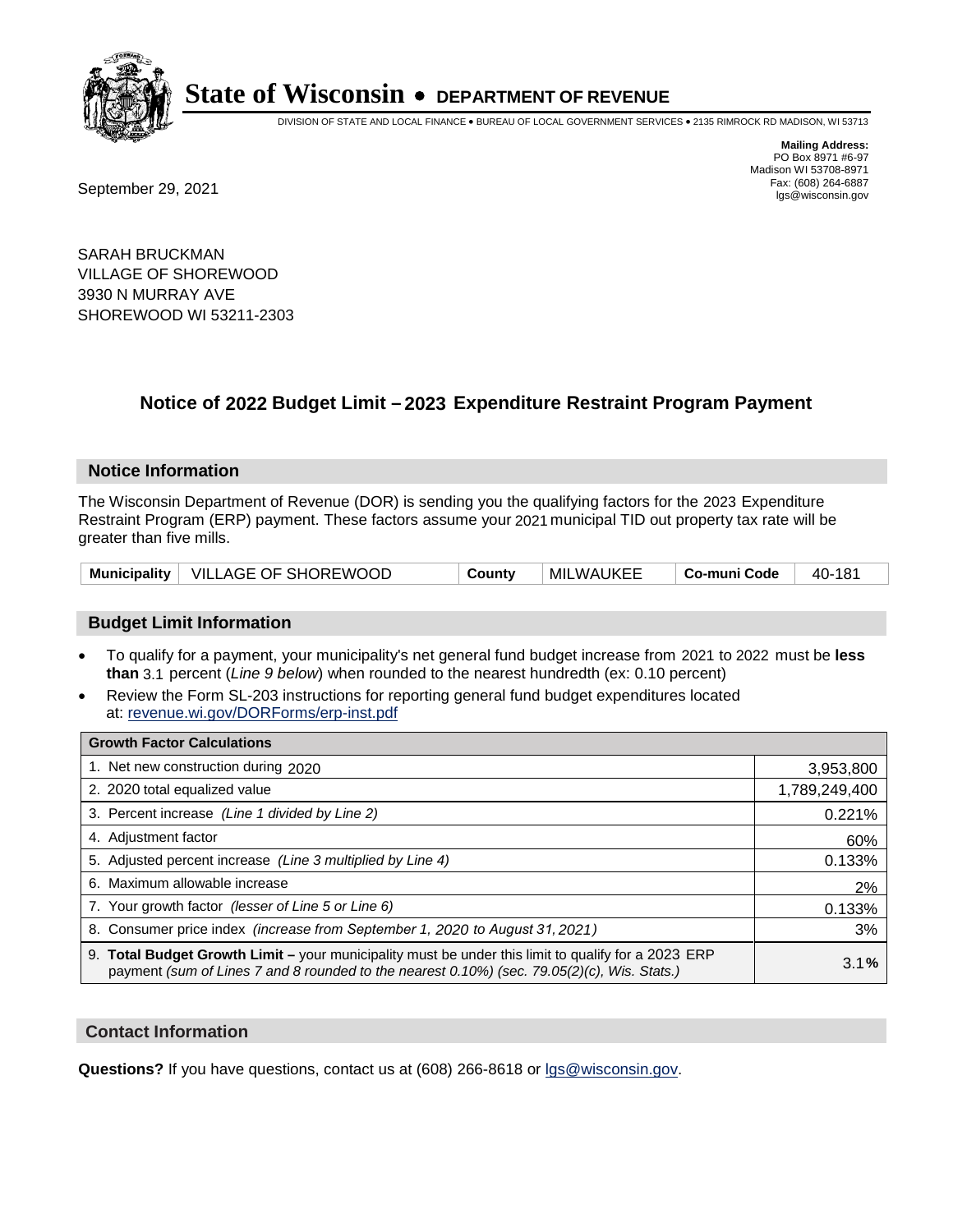

DIVISION OF STATE AND LOCAL FINANCE • BUREAU OF LOCAL GOVERNMENT SERVICES • 2135 RIMROCK RD MADISON, WI 53713

Fax: (608) 264-6887<br>
September 29, 2021 and the state of the state of the state of the state of the state of the state of the state of the state of the state of the state of the state of the state of the state of the state

**Mailing Address:** PO Box 8971 #6-97 Madison WI 53708-8971<br>Fax: (608) 264-6887

SARAH BRUCKMAN VILLAGE OF SHOREWOOD 3930 N MURRAY AVE SHOREWOOD WI 53211-2303

### **Notice of 2022 Budget Limit - 2023 Expenditure Restraint Program Payment**

#### **Notice Information**

The Wisconsin Department of Revenue (DOR) is sending you the qualifying factors for the 2023 Expenditure Restraint Program (ERP) payment. These factors assume your 2021 municipal TID out property tax rate will be greater than five mills.

|  | Municipality   VILLAGE OF SHOREWOOD | Countv | MILWAUKEE | Co-muni Code | 40-181 |
|--|-------------------------------------|--------|-----------|--------------|--------|
|--|-------------------------------------|--------|-----------|--------------|--------|

#### **Budget Limit Information**

- To qualify for a payment, your municipality's net general fund budget increase from 2021 to 2022 must be less **than** 3.1 percent (*Line 9 below*) when rounded to the nearest hundredth (ex: 0.10 percent)
- Review the Form SL-203 instructions for reporting general fund budget expenditures located at: revenue.wi.gov/DORForms/erp-inst.pdf

| <b>Growth Factor Calculations</b>                                                                                                                                                                  |               |
|----------------------------------------------------------------------------------------------------------------------------------------------------------------------------------------------------|---------------|
| 1. Net new construction during 2020                                                                                                                                                                | 3,953,800     |
| 2. 2020 total equalized value                                                                                                                                                                      | 1,789,249,400 |
| 3. Percent increase (Line 1 divided by Line 2)                                                                                                                                                     | 0.221%        |
| 4. Adjustment factor                                                                                                                                                                               | 60%           |
| 5. Adjusted percent increase (Line 3 multiplied by Line 4)                                                                                                                                         | 0.133%        |
| 6. Maximum allowable increase                                                                                                                                                                      | 2%            |
| 7. Your growth factor (lesser of Line 5 or Line 6)                                                                                                                                                 | 0.133%        |
| 8. Consumer price index (increase from September 1, 2020 to August 31, 2021)                                                                                                                       | 3%            |
| 9. Total Budget Growth Limit - your municipality must be under this limit to qualify for a 2023 ERP<br>payment (sum of Lines 7 and 8 rounded to the nearest 0.10%) (sec. 79.05(2)(c), Wis. Stats.) | 3.1%          |

#### **Contact Information**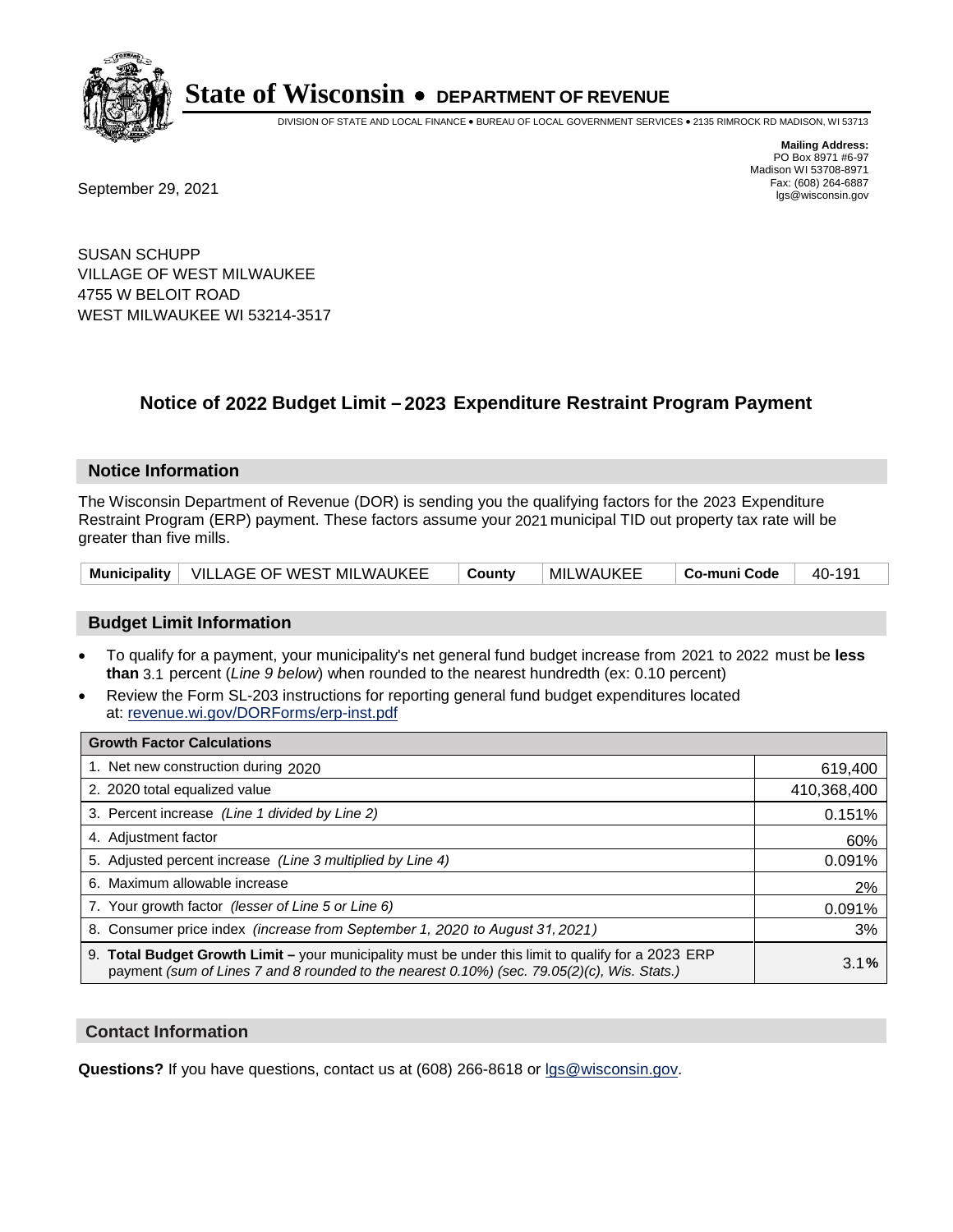

DIVISION OF STATE AND LOCAL FINANCE • BUREAU OF LOCAL GOVERNMENT SERVICES • 2135 RIMROCK RD MADISON, WI 53713

**Mailing Address:** PO Box 8971 #6-97 Madison WI 53708-8971<br>Fax: (608) 264-6887

Fax: (608) 264-6887<br>
September 29, 2021 and the state of the state of the state of the state of the state of the state of the state of the state of the state of the state of the state of the state of the state of the state

SUSAN SCHUPP VILLAGE OF WEST MILWAUKEE 4755 W BELOIT ROAD WEST MILWAUKEE WI 53214-3517

### **Notice of 2022 Budget Limit - 2023 Expenditure Restraint Program Payment**

#### **Notice Information**

The Wisconsin Department of Revenue (DOR) is sending you the qualifying factors for the 2023 Expenditure Restraint Program (ERP) payment. These factors assume your 2021 municipal TID out property tax rate will be greater than five mills.

|  | Municipality   VILLAGE OF WEST MILWAUKEE   County |  | ∣MILWAUKEE | $\vert$ Co-muni Code $\vert$ 40-191 |  |
|--|---------------------------------------------------|--|------------|-------------------------------------|--|
|--|---------------------------------------------------|--|------------|-------------------------------------|--|

#### **Budget Limit Information**

- To qualify for a payment, your municipality's net general fund budget increase from 2021 to 2022 must be less **than** 3.1 percent (*Line 9 below*) when rounded to the nearest hundredth (ex: 0.10 percent)
- Review the Form SL-203 instructions for reporting general fund budget expenditures located at: revenue.wi.gov/DORForms/erp-inst.pdf

| <b>Growth Factor Calculations</b>                                                                                                                                                                      |             |
|--------------------------------------------------------------------------------------------------------------------------------------------------------------------------------------------------------|-------------|
| 1. Net new construction during 2020                                                                                                                                                                    | 619,400     |
| 2. 2020 total equalized value                                                                                                                                                                          | 410,368,400 |
| 3. Percent increase (Line 1 divided by Line 2)                                                                                                                                                         | 0.151%      |
| 4. Adjustment factor                                                                                                                                                                                   | 60%         |
| 5. Adjusted percent increase (Line 3 multiplied by Line 4)                                                                                                                                             | 0.091%      |
| 6. Maximum allowable increase                                                                                                                                                                          | 2%          |
| 7. Your growth factor (lesser of Line 5 or Line 6)                                                                                                                                                     | 0.091%      |
| 8. Consumer price index (increase from September 1, 2020 to August 31, 2021)                                                                                                                           | 3%          |
| 9. Total Budget Growth Limit - your municipality must be under this limit to qualify for a 2023 ERP<br>payment (sum of Lines 7 and 8 rounded to the nearest $0.10\%$ ) (sec. 79.05(2)(c), Wis. Stats.) | 3.1%        |

#### **Contact Information**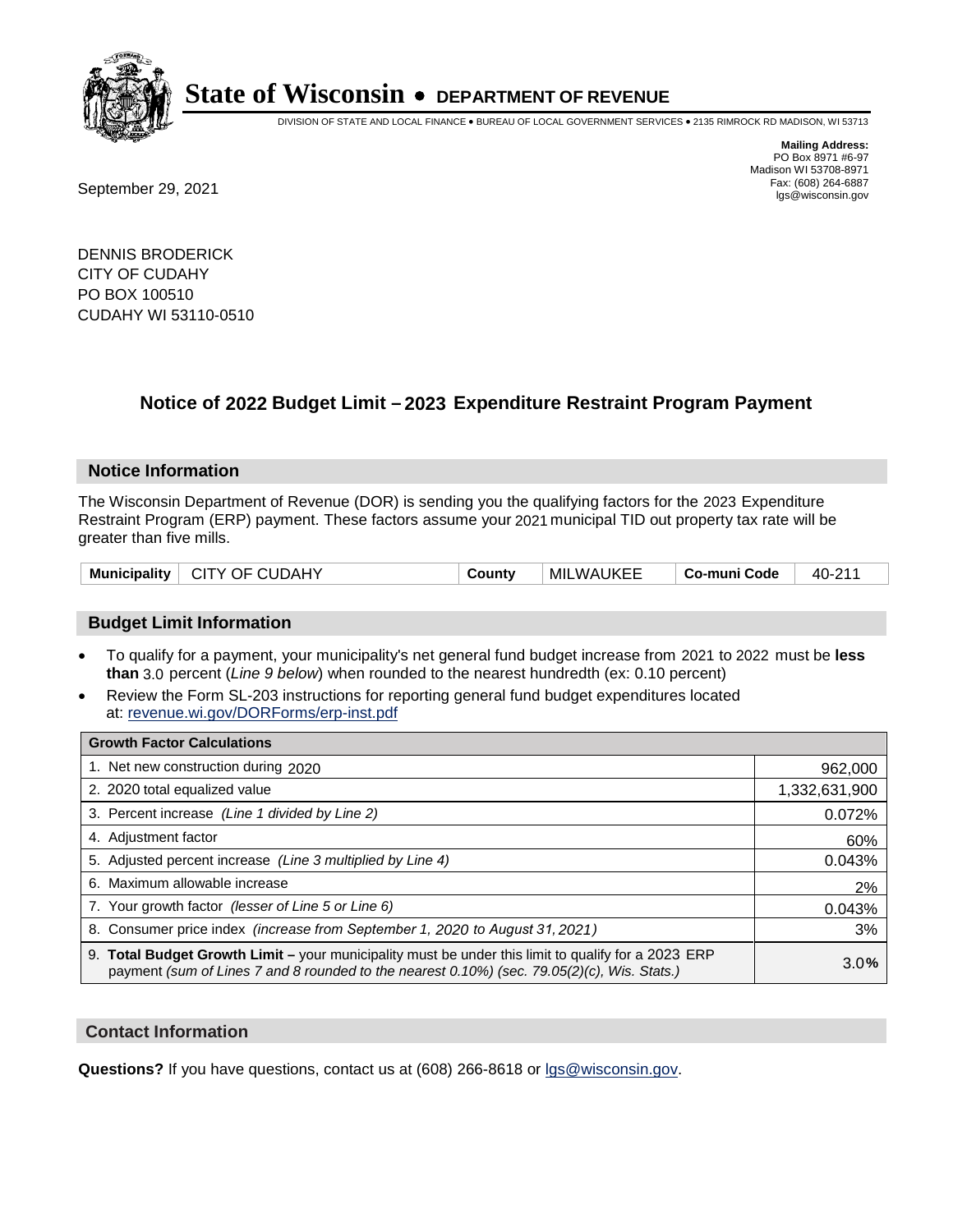

DIVISION OF STATE AND LOCAL FINANCE • BUREAU OF LOCAL GOVERNMENT SERVICES • 2135 RIMROCK RD MADISON, WI 53713

Fax: (608) 264-6887<br>
September 29, 2021 and the state of the state of the state of the state of the state of the state of the state of the state of the state of the state of the state of the state of the state of the state

**Mailing Address:** PO Box 8971 #6-97 Madison WI 53708-8971<br>Fax: (608) 264-6887

DENNIS BRODERICK CITY OF CUDAHY PO BOX 100510 CUDAHY WI 53110-0510

## **Notice of 2022 Budget Limit - 2023 Expenditure Restraint Program Payment**

#### **Notice Information**

The Wisconsin Department of Revenue (DOR) is sending you the qualifying factors for the 2023 Expenditure Restraint Program (ERP) payment. These factors assume your 2021 municipal TID out property tax rate will be greater than five mills.

|  | Municipality   CITY OF CUDAHY | County | <b>MILWAUKEE</b> | Co-muni Code | 40-211 |
|--|-------------------------------|--------|------------------|--------------|--------|
|--|-------------------------------|--------|------------------|--------------|--------|

#### **Budget Limit Information**

- To qualify for a payment, your municipality's net general fund budget increase from 2021 to 2022 must be less **than** 3.0 percent (*Line 9 below*) when rounded to the nearest hundredth (ex: 0.10 percent)
- Review the Form SL-203 instructions for reporting general fund budget expenditures located at: revenue.wi.gov/DORForms/erp-inst.pdf

| <b>Growth Factor Calculations</b>                                                                                                                                                                  |               |
|----------------------------------------------------------------------------------------------------------------------------------------------------------------------------------------------------|---------------|
| 1. Net new construction during 2020                                                                                                                                                                | 962,000       |
| 2. 2020 total equalized value                                                                                                                                                                      | 1,332,631,900 |
| 3. Percent increase (Line 1 divided by Line 2)                                                                                                                                                     | 0.072%        |
| 4. Adjustment factor                                                                                                                                                                               | 60%           |
| 5. Adjusted percent increase (Line 3 multiplied by Line 4)                                                                                                                                         | 0.043%        |
| 6. Maximum allowable increase                                                                                                                                                                      | 2%            |
| 7. Your growth factor (lesser of Line 5 or Line 6)                                                                                                                                                 | 0.043%        |
| 8. Consumer price index (increase from September 1, 2020 to August 31, 2021)                                                                                                                       | 3%            |
| 9. Total Budget Growth Limit – your municipality must be under this limit to qualify for a 2023 ERP<br>payment (sum of Lines 7 and 8 rounded to the nearest 0.10%) (sec. 79.05(2)(c), Wis. Stats.) | 3.0%          |

#### **Contact Information**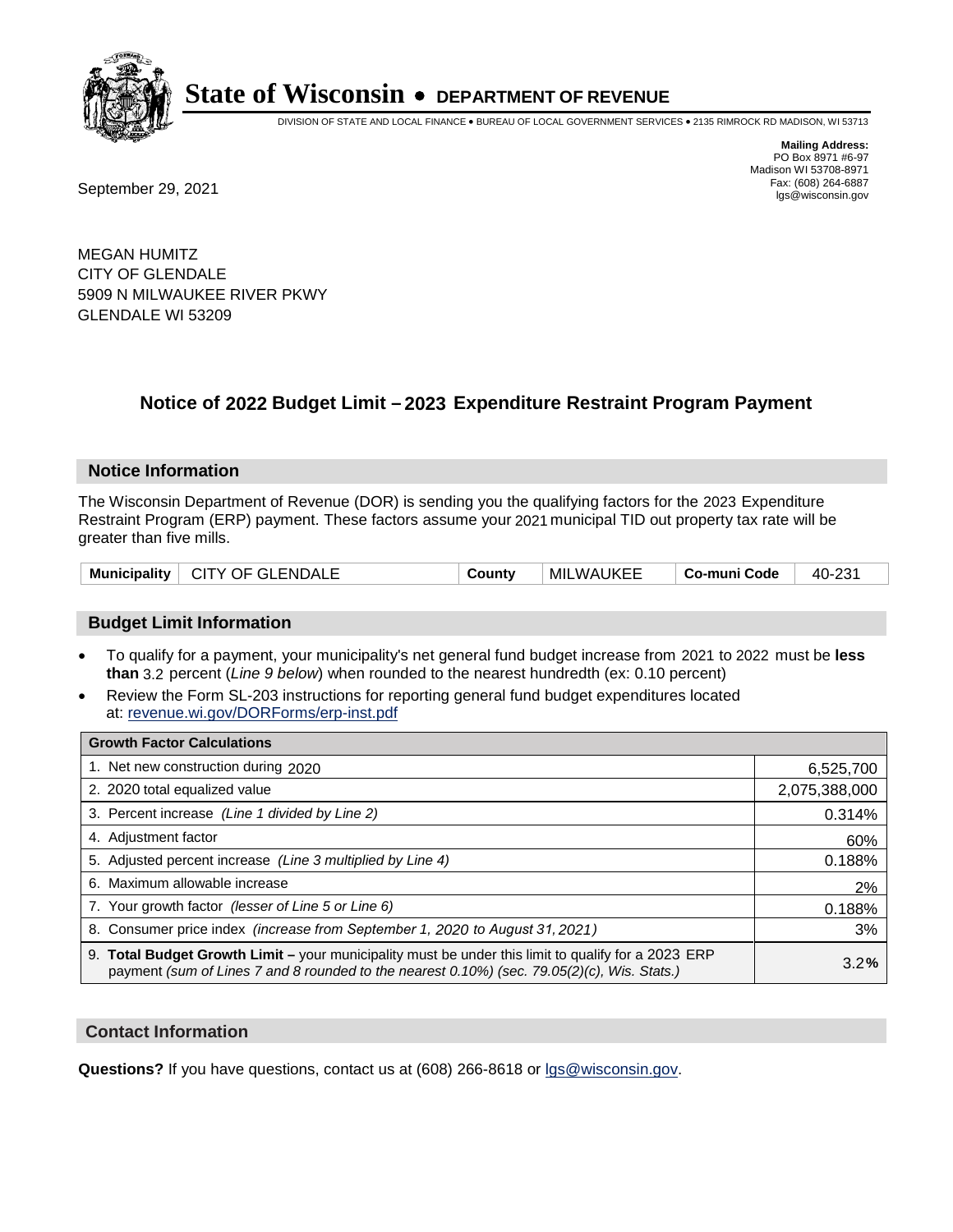

DIVISION OF STATE AND LOCAL FINANCE • BUREAU OF LOCAL GOVERNMENT SERVICES • 2135 RIMROCK RD MADISON, WI 53713

**Mailing Address:** PO Box 8971 #6-97 Madison WI 53708-8971<br>Fax: (608) 264-6887

Fax: (608) 264-6887<br>
September 29, 2021 and the state of the state of the state of the state of the state of the state of the state of the state of the state of the state of the state of the state of the state of the state

MEGAN HUMITZ CITY OF GLENDALE 5909 N MILWAUKEE RIVER PKWY GLENDALE WI 53209

### **Notice of 2022 Budget Limit - 2023 Expenditure Restraint Program Payment**

#### **Notice Information**

The Wisconsin Department of Revenue (DOR) is sending you the qualifying factors for the 2023 Expenditure Restraint Program (ERP) payment. These factors assume your 2021 municipal TID out property tax rate will be greater than five mills.

| Municipality   CITY OF GLENDALE | County | <b>MILWAUKEE</b> | Co-muni Code | 40-231 |
|---------------------------------|--------|------------------|--------------|--------|
|---------------------------------|--------|------------------|--------------|--------|

#### **Budget Limit Information**

- To qualify for a payment, your municipality's net general fund budget increase from 2021 to 2022 must be less **than** 3.2 percent (*Line 9 below*) when rounded to the nearest hundredth (ex: 0.10 percent)
- Review the Form SL-203 instructions for reporting general fund budget expenditures located at: revenue.wi.gov/DORForms/erp-inst.pdf

| <b>Growth Factor Calculations</b>                                                                                                                                                                      |               |
|--------------------------------------------------------------------------------------------------------------------------------------------------------------------------------------------------------|---------------|
| 1. Net new construction during 2020                                                                                                                                                                    | 6,525,700     |
| 2. 2020 total equalized value                                                                                                                                                                          | 2,075,388,000 |
| 3. Percent increase (Line 1 divided by Line 2)                                                                                                                                                         | 0.314%        |
| 4. Adjustment factor                                                                                                                                                                                   | 60%           |
| 5. Adjusted percent increase (Line 3 multiplied by Line 4)                                                                                                                                             | 0.188%        |
| 6. Maximum allowable increase                                                                                                                                                                          | 2%            |
| 7. Your growth factor (lesser of Line 5 or Line 6)                                                                                                                                                     | 0.188%        |
| 8. Consumer price index (increase from September 1, 2020 to August 31, 2021)                                                                                                                           | 3%            |
| 9. Total Budget Growth Limit - your municipality must be under this limit to qualify for a 2023 ERP<br>payment (sum of Lines 7 and 8 rounded to the nearest $0.10\%$ ) (sec. 79.05(2)(c), Wis. Stats.) | 3.2%          |

#### **Contact Information**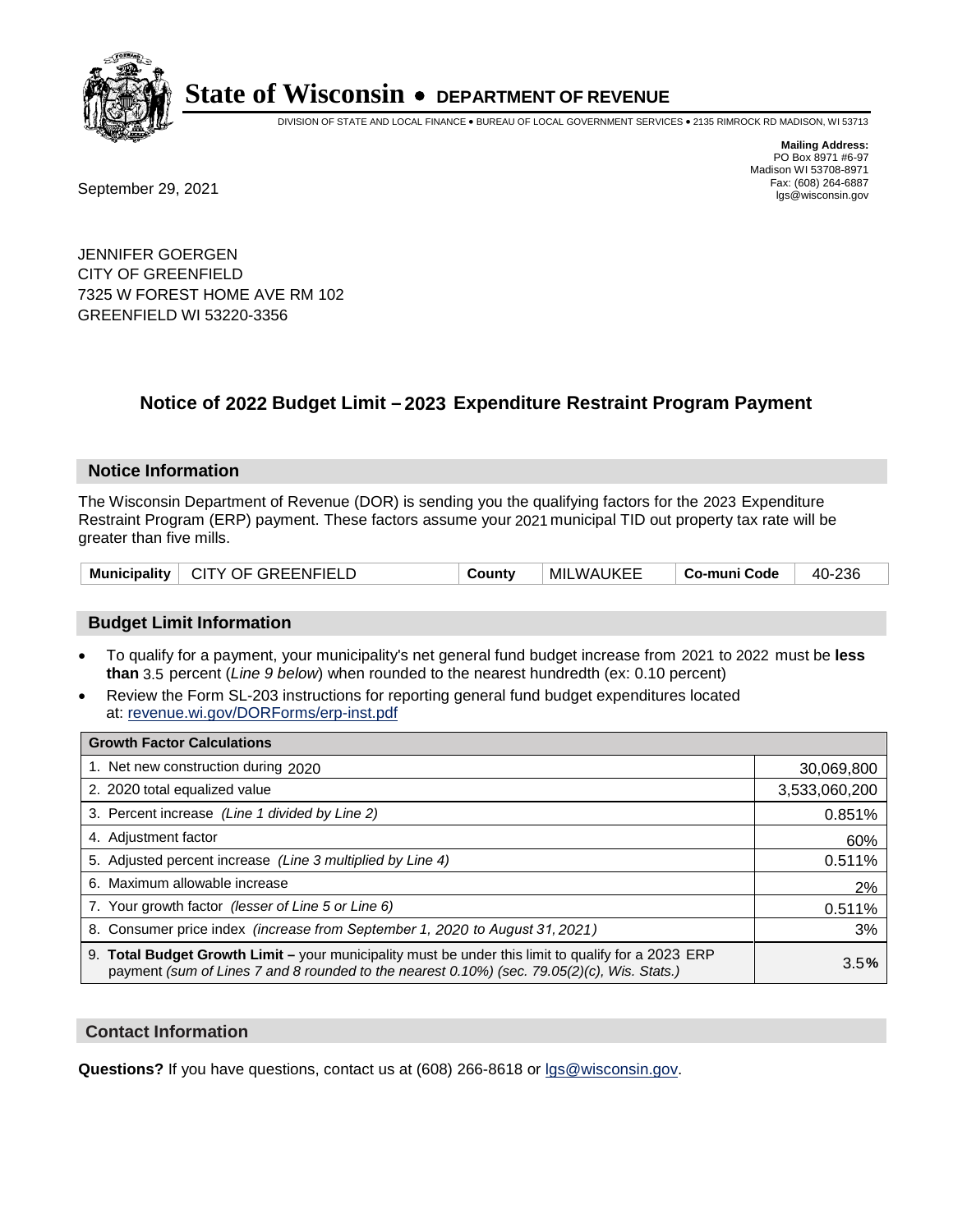

DIVISION OF STATE AND LOCAL FINANCE • BUREAU OF LOCAL GOVERNMENT SERVICES • 2135 RIMROCK RD MADISON, WI 53713

**Mailing Address:** PO Box 8971 #6-97 Madison WI 53708-8971<br>Fax: (608) 264-6887

Fax: (608) 264-6887<br>
September 29, 2021 and the state of the state of the state of the state of the state of the state of the state of the state of the state of the state of the state of the state of the state of the state

JENNIFER GOERGEN CITY OF GREENFIELD 7325 W FOREST HOME AVE RM 102 GREENFIELD WI 53220-3356

### **Notice of 2022 Budget Limit - 2023 Expenditure Restraint Program Payment**

#### **Notice Information**

The Wisconsin Department of Revenue (DOR) is sending you the qualifying factors for the 2023 Expenditure Restraint Program (ERP) payment. These factors assume your 2021 municipal TID out property tax rate will be greater than five mills.

|  | Municipality   CITY OF GREENFIELD | County | MILWAUKEE | Co-muni Code | 40-236 |
|--|-----------------------------------|--------|-----------|--------------|--------|
|--|-----------------------------------|--------|-----------|--------------|--------|

#### **Budget Limit Information**

- To qualify for a payment, your municipality's net general fund budget increase from 2021 to 2022 must be less **than** 3.5 percent (*Line 9 below*) when rounded to the nearest hundredth (ex: 0.10 percent)
- Review the Form SL-203 instructions for reporting general fund budget expenditures located at: revenue.wi.gov/DORForms/erp-inst.pdf

| <b>Growth Factor Calculations</b>                                                                                                                                                                  |               |
|----------------------------------------------------------------------------------------------------------------------------------------------------------------------------------------------------|---------------|
| 1. Net new construction during 2020                                                                                                                                                                | 30,069,800    |
| 2. 2020 total equalized value                                                                                                                                                                      | 3,533,060,200 |
| 3. Percent increase (Line 1 divided by Line 2)                                                                                                                                                     | 0.851%        |
| 4. Adjustment factor                                                                                                                                                                               | 60%           |
| 5. Adjusted percent increase (Line 3 multiplied by Line 4)                                                                                                                                         | 0.511%        |
| 6. Maximum allowable increase                                                                                                                                                                      | 2%            |
| 7. Your growth factor (lesser of Line 5 or Line 6)                                                                                                                                                 | 0.511%        |
| 8. Consumer price index (increase from September 1, 2020 to August 31, 2021)                                                                                                                       | 3%            |
| 9. Total Budget Growth Limit - your municipality must be under this limit to qualify for a 2023 ERP<br>payment (sum of Lines 7 and 8 rounded to the nearest 0.10%) (sec. 79.05(2)(c), Wis. Stats.) | 3.5%          |

#### **Contact Information**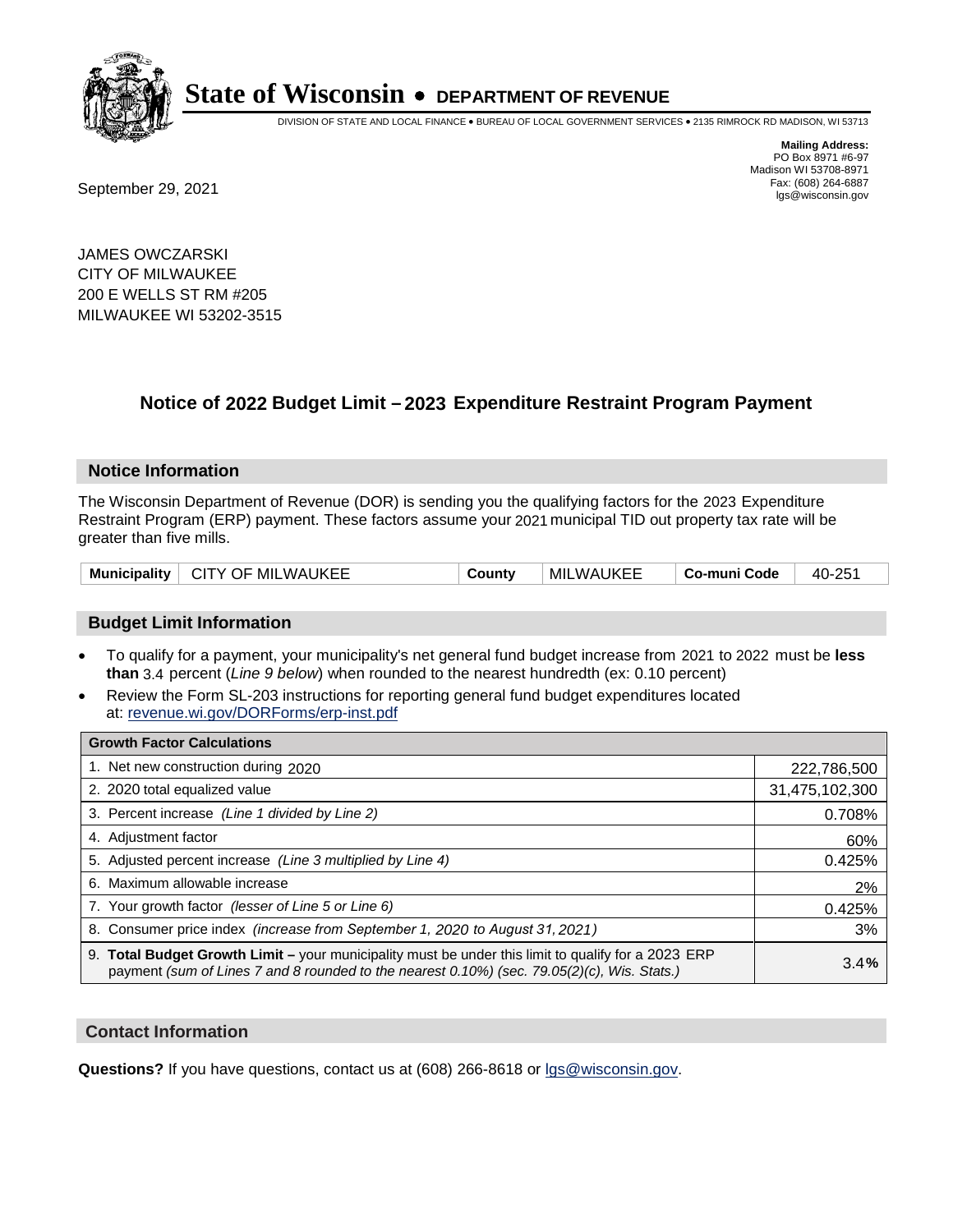

DIVISION OF STATE AND LOCAL FINANCE • BUREAU OF LOCAL GOVERNMENT SERVICES • 2135 RIMROCK RD MADISON, WI 53713

Fax: (608) 264-6887<br>
September 29, 2021 and the state of the state of the state of the state of the state of the state of the state of the state of the state of the state of the state of the state of the state of the state

**Mailing Address:** PO Box 8971 #6-97 Madison WI 53708-8971<br>Fax: (608) 264-6887

JAMES OWCZARSKI CITY OF MILWAUKEE 200 E WELLS ST RM #205 MILWAUKEE WI 53202-3515

### **Notice of 2022 Budget Limit - 2023 Expenditure Restraint Program Payment**

#### **Notice Information**

The Wisconsin Department of Revenue (DOR) is sending you the qualifying factors for the 2023 Expenditure Restraint Program (ERP) payment. These factors assume your 2021 municipal TID out property tax rate will be greater than five mills.

| Municipality   CITY OF MILWAUKEE | County | <b>MILWAUKEE</b> | Co-muni Code | 40-251 |
|----------------------------------|--------|------------------|--------------|--------|
|----------------------------------|--------|------------------|--------------|--------|

#### **Budget Limit Information**

- To qualify for a payment, your municipality's net general fund budget increase from 2021 to 2022 must be less **than** 3.4 percent (*Line 9 below*) when rounded to the nearest hundredth (ex: 0.10 percent)
- Review the Form SL-203 instructions for reporting general fund budget expenditures located at: revenue.wi.gov/DORForms/erp-inst.pdf

| <b>Growth Factor Calculations</b>                                                                                                                                                                  |                |
|----------------------------------------------------------------------------------------------------------------------------------------------------------------------------------------------------|----------------|
| 1. Net new construction during 2020                                                                                                                                                                | 222,786,500    |
| 2. 2020 total equalized value                                                                                                                                                                      | 31,475,102,300 |
| 3. Percent increase (Line 1 divided by Line 2)                                                                                                                                                     | 0.708%         |
| 4. Adjustment factor                                                                                                                                                                               | 60%            |
| 5. Adjusted percent increase (Line 3 multiplied by Line 4)                                                                                                                                         | 0.425%         |
| 6. Maximum allowable increase                                                                                                                                                                      | 2%             |
| 7. Your growth factor (lesser of Line 5 or Line 6)                                                                                                                                                 | 0.425%         |
| 8. Consumer price index (increase from September 1, 2020 to August 31, 2021)                                                                                                                       | 3%             |
| 9. Total Budget Growth Limit - your municipality must be under this limit to qualify for a 2023 ERP<br>payment (sum of Lines 7 and 8 rounded to the nearest 0.10%) (sec. 79.05(2)(c), Wis. Stats.) | 3.4%           |

#### **Contact Information**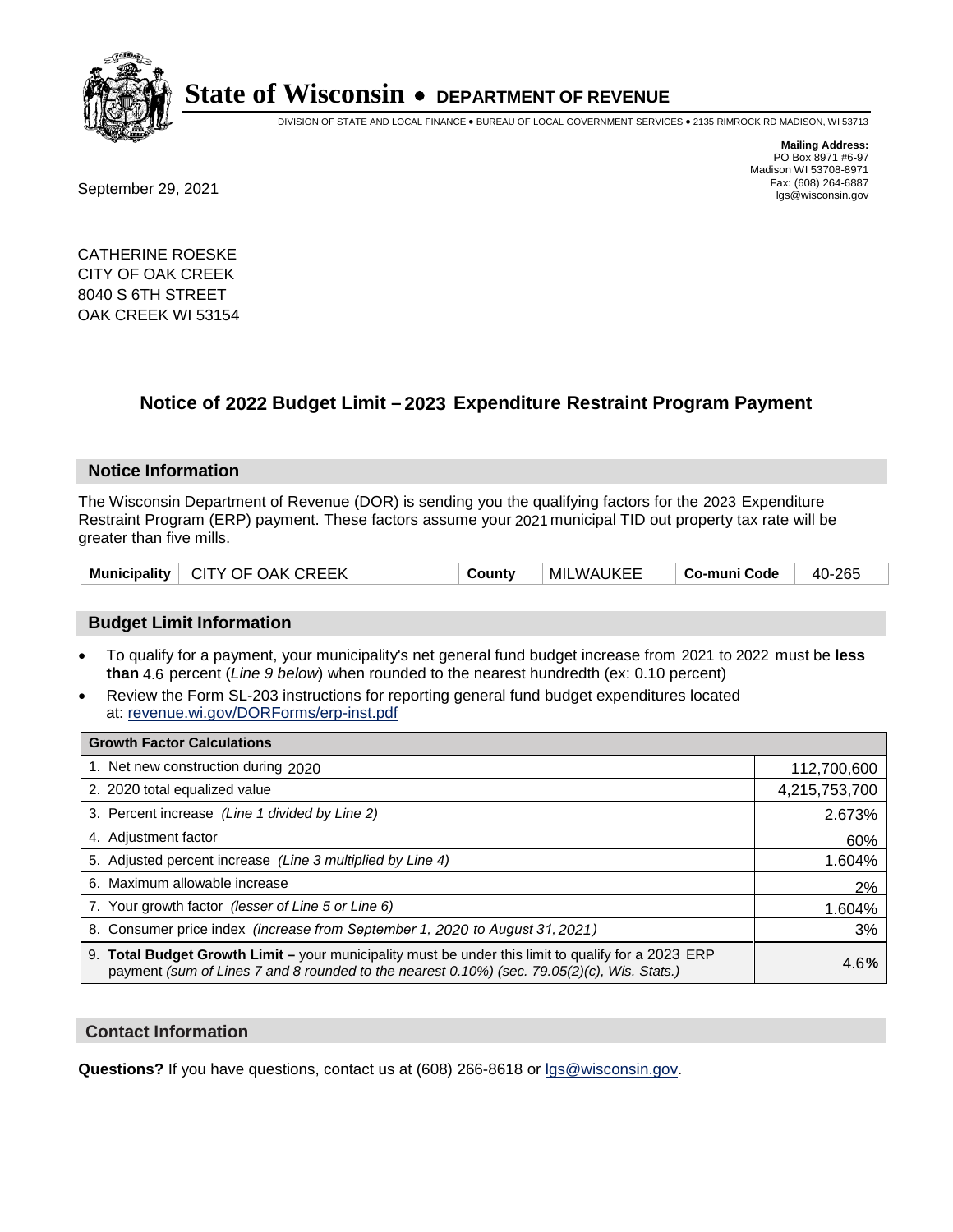

DIVISION OF STATE AND LOCAL FINANCE • BUREAU OF LOCAL GOVERNMENT SERVICES • 2135 RIMROCK RD MADISON, WI 53713

Fax: (608) 264-6887<br>
September 29, 2021 and the state of the state of the state of the state of the state of the state of the state of the state of the state of the state of the state of the state of the state of the state

**Mailing Address:** PO Box 8971 #6-97 Madison WI 53708-8971<br>Fax: (608) 264-6887

CATHERINE ROESKE CITY OF OAK CREEK 8040 S 6TH STREET OAK CREEK WI 53154

### **Notice of 2022 Budget Limit - 2023 Expenditure Restraint Program Payment**

#### **Notice Information**

The Wisconsin Department of Revenue (DOR) is sending you the qualifying factors for the 2023 Expenditure Restraint Program (ERP) payment. These factors assume your 2021 municipal TID out property tax rate will be greater than five mills.

| Municipality   CITY OF OAK CREEK | County | <b>MILWAUKEE</b> | Co-muni Code | 40-265 |
|----------------------------------|--------|------------------|--------------|--------|
|----------------------------------|--------|------------------|--------------|--------|

#### **Budget Limit Information**

- To qualify for a payment, your municipality's net general fund budget increase from 2021 to 2022 must be less **than** 4.6 percent (*Line 9 below*) when rounded to the nearest hundredth (ex: 0.10 percent)
- Review the Form SL-203 instructions for reporting general fund budget expenditures located at: revenue.wi.gov/DORForms/erp-inst.pdf

| <b>Growth Factor Calculations</b>                                                                                                                                                                  |               |
|----------------------------------------------------------------------------------------------------------------------------------------------------------------------------------------------------|---------------|
| 1. Net new construction during 2020                                                                                                                                                                | 112,700,600   |
| 2. 2020 total equalized value                                                                                                                                                                      | 4,215,753,700 |
| 3. Percent increase (Line 1 divided by Line 2)                                                                                                                                                     | 2.673%        |
| 4. Adiustment factor                                                                                                                                                                               | 60%           |
| 5. Adjusted percent increase (Line 3 multiplied by Line 4)                                                                                                                                         | 1.604%        |
| 6. Maximum allowable increase                                                                                                                                                                      | 2%            |
| 7. Your growth factor (lesser of Line 5 or Line 6)                                                                                                                                                 | 1.604%        |
| 8. Consumer price index (increase from September 1, 2020 to August 31, 2021)                                                                                                                       | 3%            |
| 9. Total Budget Growth Limit - your municipality must be under this limit to qualify for a 2023 ERP<br>payment (sum of Lines 7 and 8 rounded to the nearest 0.10%) (sec. 79.05(2)(c), Wis. Stats.) | 4.6%          |

#### **Contact Information**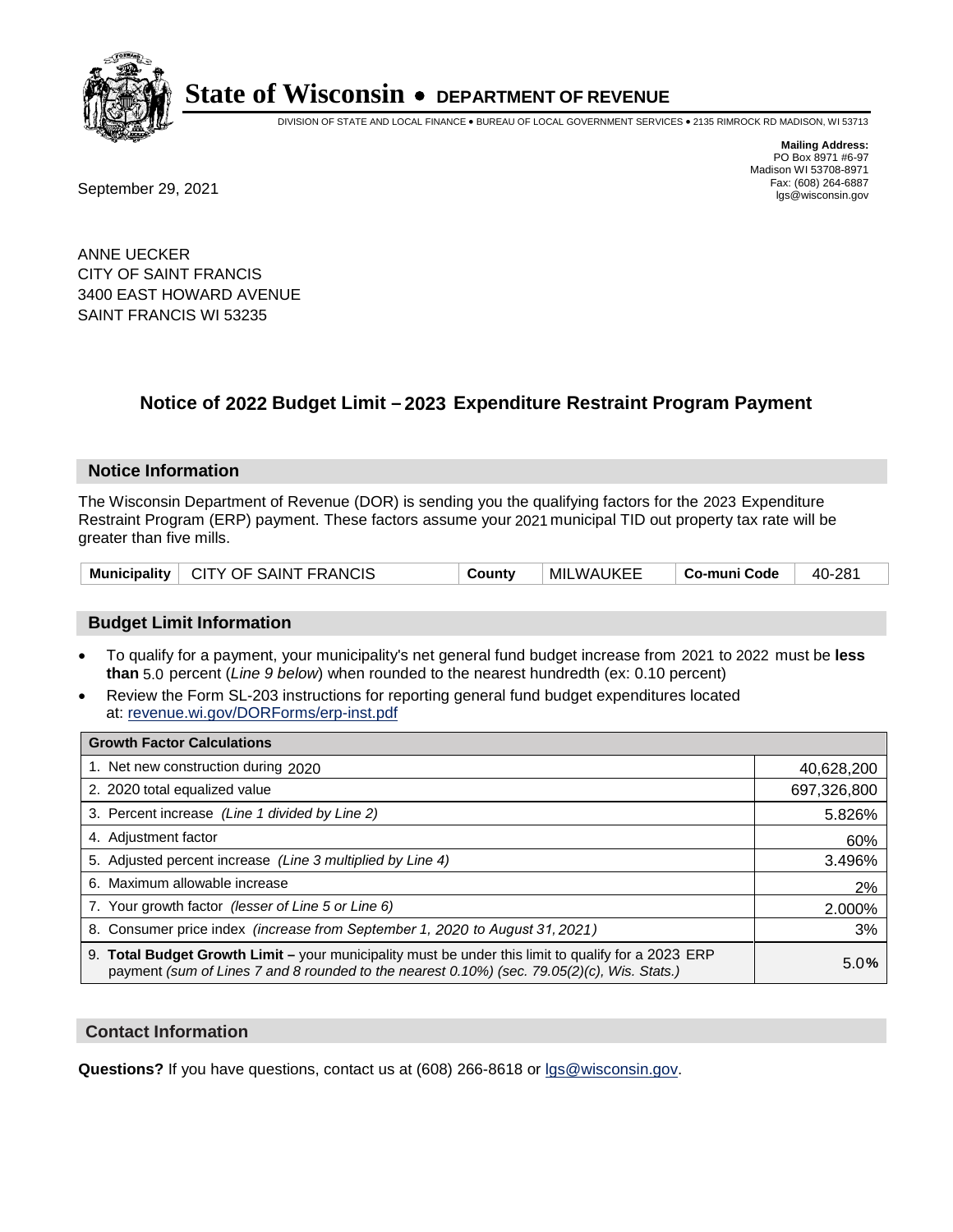

DIVISION OF STATE AND LOCAL FINANCE • BUREAU OF LOCAL GOVERNMENT SERVICES • 2135 RIMROCK RD MADISON, WI 53713

**Mailing Address:** PO Box 8971 #6-97 Madison WI 53708-8971<br>Fax: (608) 264-6887

Fax: (608) 264-6887<br>
September 29, 2021 and the state of the state of the state of the state of the state of the state of the state of the state of the state of the state of the state of the state of the state of the state

ANNE UECKER CITY OF SAINT FRANCIS 3400 EAST HOWARD AVENUE SAINT FRANCIS WI 53235

## **Notice of 2022 Budget Limit - 2023 Expenditure Restraint Program Payment**

#### **Notice Information**

The Wisconsin Department of Revenue (DOR) is sending you the qualifying factors for the 2023 Expenditure Restraint Program (ERP) payment. These factors assume your 2021 municipal TID out property tax rate will be greater than five mills.

|  | Municipality   CITY OF SAINT FRANCIS | County | MILWAUKEE | ⊦ Co-muni Code | 40-281 |
|--|--------------------------------------|--------|-----------|----------------|--------|
|--|--------------------------------------|--------|-----------|----------------|--------|

#### **Budget Limit Information**

- To qualify for a payment, your municipality's net general fund budget increase from 2021 to 2022 must be less **than** 5.0 percent (*Line 9 below*) when rounded to the nearest hundredth (ex: 0.10 percent)
- Review the Form SL-203 instructions for reporting general fund budget expenditures located at: revenue.wi.gov/DORForms/erp-inst.pdf

| <b>Growth Factor Calculations</b>                                                                                                                                                                  |             |
|----------------------------------------------------------------------------------------------------------------------------------------------------------------------------------------------------|-------------|
| 1. Net new construction during 2020                                                                                                                                                                | 40,628,200  |
| 2. 2020 total equalized value                                                                                                                                                                      | 697,326,800 |
| 3. Percent increase (Line 1 divided by Line 2)                                                                                                                                                     | 5.826%      |
| 4. Adjustment factor                                                                                                                                                                               | 60%         |
| 5. Adjusted percent increase (Line 3 multiplied by Line 4)                                                                                                                                         | 3.496%      |
| 6. Maximum allowable increase                                                                                                                                                                      | 2%          |
| 7. Your growth factor (lesser of Line 5 or Line 6)                                                                                                                                                 | 2.000%      |
| 8. Consumer price index (increase from September 1, 2020 to August 31, 2021)                                                                                                                       | 3%          |
| 9. Total Budget Growth Limit - your municipality must be under this limit to qualify for a 2023 ERP<br>payment (sum of Lines 7 and 8 rounded to the nearest 0.10%) (sec. 79.05(2)(c), Wis. Stats.) | 5.0%        |

#### **Contact Information**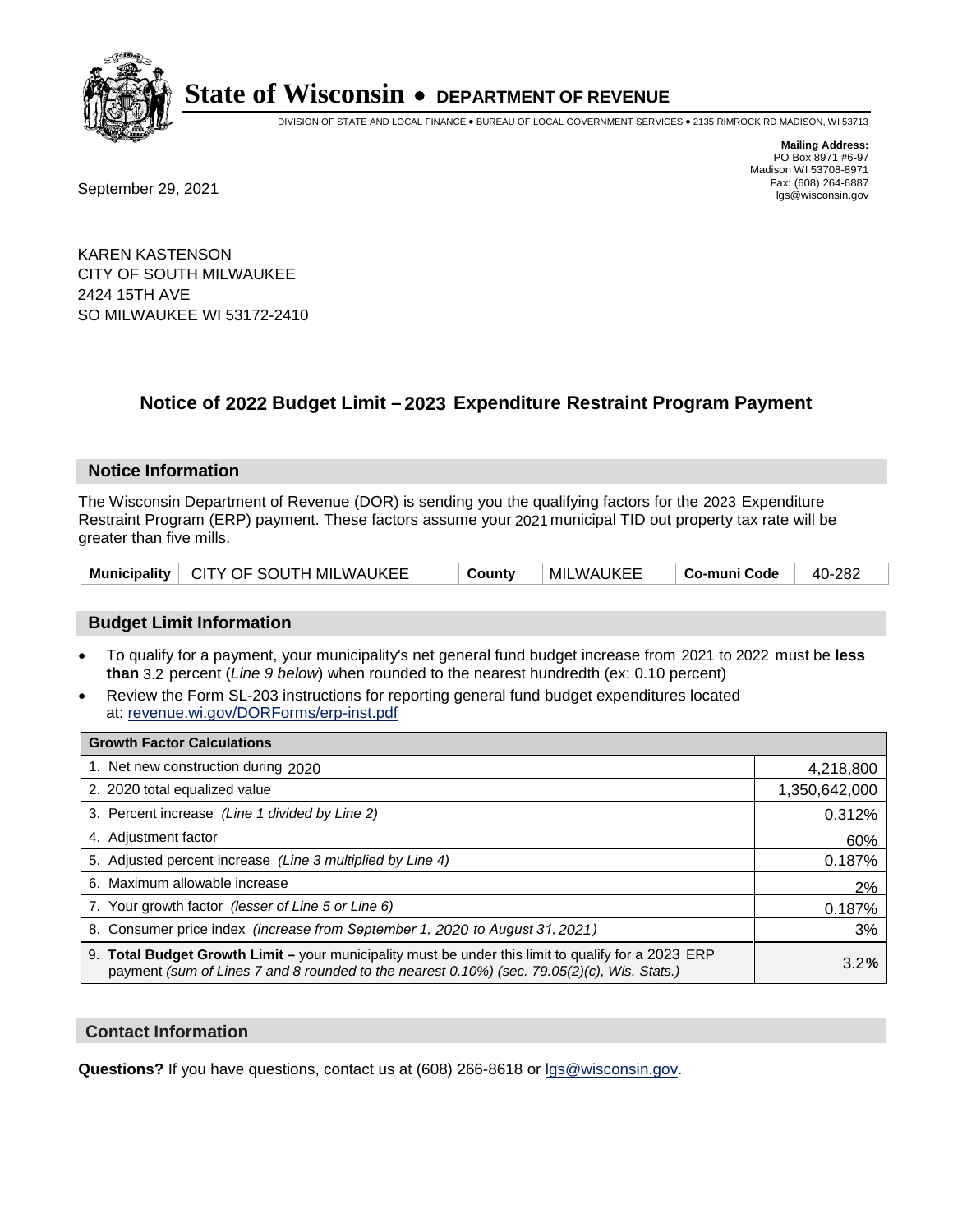

DIVISION OF STATE AND LOCAL FINANCE • BUREAU OF LOCAL GOVERNMENT SERVICES • 2135 RIMROCK RD MADISON, WI 53713

Fax: (608) 264-6887<br>
September 29, 2021 and the state of the state of the state of the state of the state of the state of the state of the state of the state of the state of the state of the state of the state of the state

**Mailing Address:** PO Box 8971 #6-97 Madison WI 53708-8971<br>Fax: (608) 264-6887

KAREN KASTENSON CITY OF SOUTH MILWAUKEE 2424 15TH AVE SO MILWAUKEE WI 53172-2410

## **Notice of 2022 Budget Limit - 2023 Expenditure Restraint Program Payment**

#### **Notice Information**

The Wisconsin Department of Revenue (DOR) is sending you the qualifying factors for the 2023 Expenditure Restraint Program (ERP) payment. These factors assume your 2021 municipal TID out property tax rate will be greater than five mills.

| Municipality   CITY OF SOUTH MILWAUKEE | County | <b>MILWAUKEE</b> | ∣ Co-muni Code | 40-282 |
|----------------------------------------|--------|------------------|----------------|--------|
|----------------------------------------|--------|------------------|----------------|--------|

### **Budget Limit Information**

- To qualify for a payment, your municipality's net general fund budget increase from 2021 to 2022 must be less **than** 3.2 percent (*Line 9 below*) when rounded to the nearest hundredth (ex: 0.10 percent)
- Review the Form SL-203 instructions for reporting general fund budget expenditures located at: revenue.wi.gov/DORForms/erp-inst.pdf

| <b>Growth Factor Calculations</b>                                                                                                                                                                  |               |
|----------------------------------------------------------------------------------------------------------------------------------------------------------------------------------------------------|---------------|
| 1. Net new construction during 2020                                                                                                                                                                | 4,218,800     |
| 2. 2020 total equalized value                                                                                                                                                                      | 1,350,642,000 |
| 3. Percent increase (Line 1 divided by Line 2)                                                                                                                                                     | 0.312%        |
| 4. Adjustment factor                                                                                                                                                                               | 60%           |
| 5. Adjusted percent increase (Line 3 multiplied by Line 4)                                                                                                                                         | 0.187%        |
| 6. Maximum allowable increase                                                                                                                                                                      | 2%            |
| 7. Your growth factor (lesser of Line 5 or Line 6)                                                                                                                                                 | 0.187%        |
| 8. Consumer price index (increase from September 1, 2020 to August 31, 2021)                                                                                                                       | 3%            |
| 9. Total Budget Growth Limit – your municipality must be under this limit to qualify for a 2023 ERP<br>payment (sum of Lines 7 and 8 rounded to the nearest 0.10%) (sec. 79.05(2)(c), Wis. Stats.) | 3.2%          |

#### **Contact Information**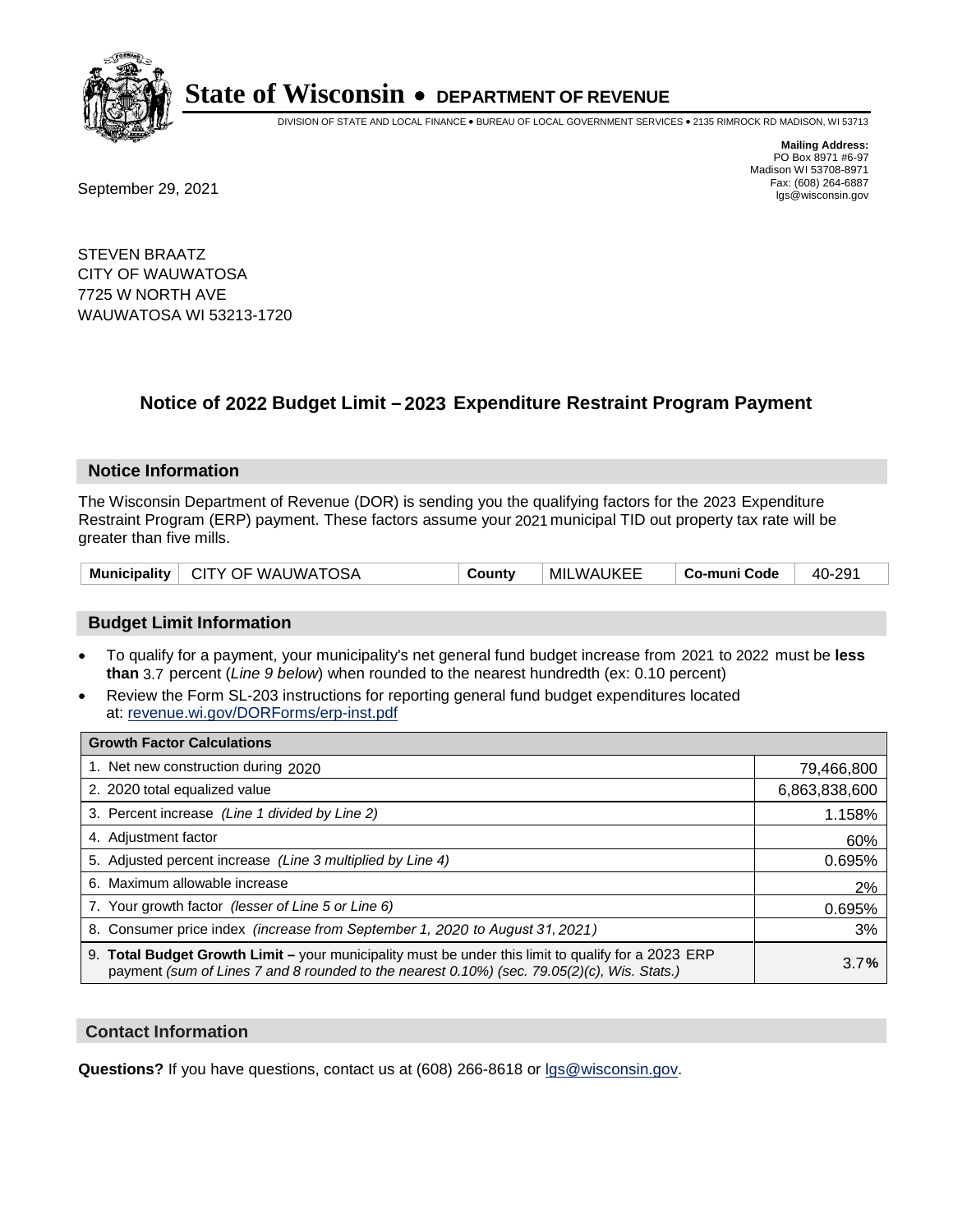

DIVISION OF STATE AND LOCAL FINANCE • BUREAU OF LOCAL GOVERNMENT SERVICES • 2135 RIMROCK RD MADISON, WI 53713

Fax: (608) 264-6887<br>
September 29, 2021 and the state of the state of the state of the state of the state of the state of the state of the state of the state of the state of the state of the state of the state of the state

**Mailing Address:** PO Box 8971 #6-97 Madison WI 53708-8971<br>Fax: (608) 264-6887

STEVEN BRAATZ CITY OF WAUWATOSA 7725 W NORTH AVE WAUWATOSA WI 53213-1720

## **Notice of 2022 Budget Limit - 2023 Expenditure Restraint Program Payment**

#### **Notice Information**

The Wisconsin Department of Revenue (DOR) is sending you the qualifying factors for the 2023 Expenditure Restraint Program (ERP) payment. These factors assume your 2021 municipal TID out property tax rate will be greater than five mills.

| Municipality   CITY OF WAUWATOSA |  | County | <b>MILWAUKEE</b> | ∣ Co-muni Code | 40-291 |
|----------------------------------|--|--------|------------------|----------------|--------|
|----------------------------------|--|--------|------------------|----------------|--------|

### **Budget Limit Information**

- To qualify for a payment, your municipality's net general fund budget increase from 2021 to 2022 must be less **than** 3.7 percent (*Line 9 below*) when rounded to the nearest hundredth (ex: 0.10 percent)
- Review the Form SL-203 instructions for reporting general fund budget expenditures located at: revenue.wi.gov/DORForms/erp-inst.pdf

| <b>Growth Factor Calculations</b>                                                                                                                                                                  |               |
|----------------------------------------------------------------------------------------------------------------------------------------------------------------------------------------------------|---------------|
| 1. Net new construction during 2020                                                                                                                                                                | 79,466,800    |
| 2. 2020 total equalized value                                                                                                                                                                      | 6,863,838,600 |
| 3. Percent increase (Line 1 divided by Line 2)                                                                                                                                                     | 1.158%        |
| 4. Adiustment factor                                                                                                                                                                               | 60%           |
| 5. Adjusted percent increase (Line 3 multiplied by Line 4)                                                                                                                                         | 0.695%        |
| 6. Maximum allowable increase                                                                                                                                                                      | 2%            |
| 7. Your growth factor (lesser of Line 5 or Line 6)                                                                                                                                                 | 0.695%        |
| 8. Consumer price index (increase from September 1, 2020 to August 31, 2021)                                                                                                                       | 3%            |
| 9. Total Budget Growth Limit - your municipality must be under this limit to qualify for a 2023 ERP<br>payment (sum of Lines 7 and 8 rounded to the nearest 0.10%) (sec. 79.05(2)(c), Wis. Stats.) | 3.7%          |

#### **Contact Information**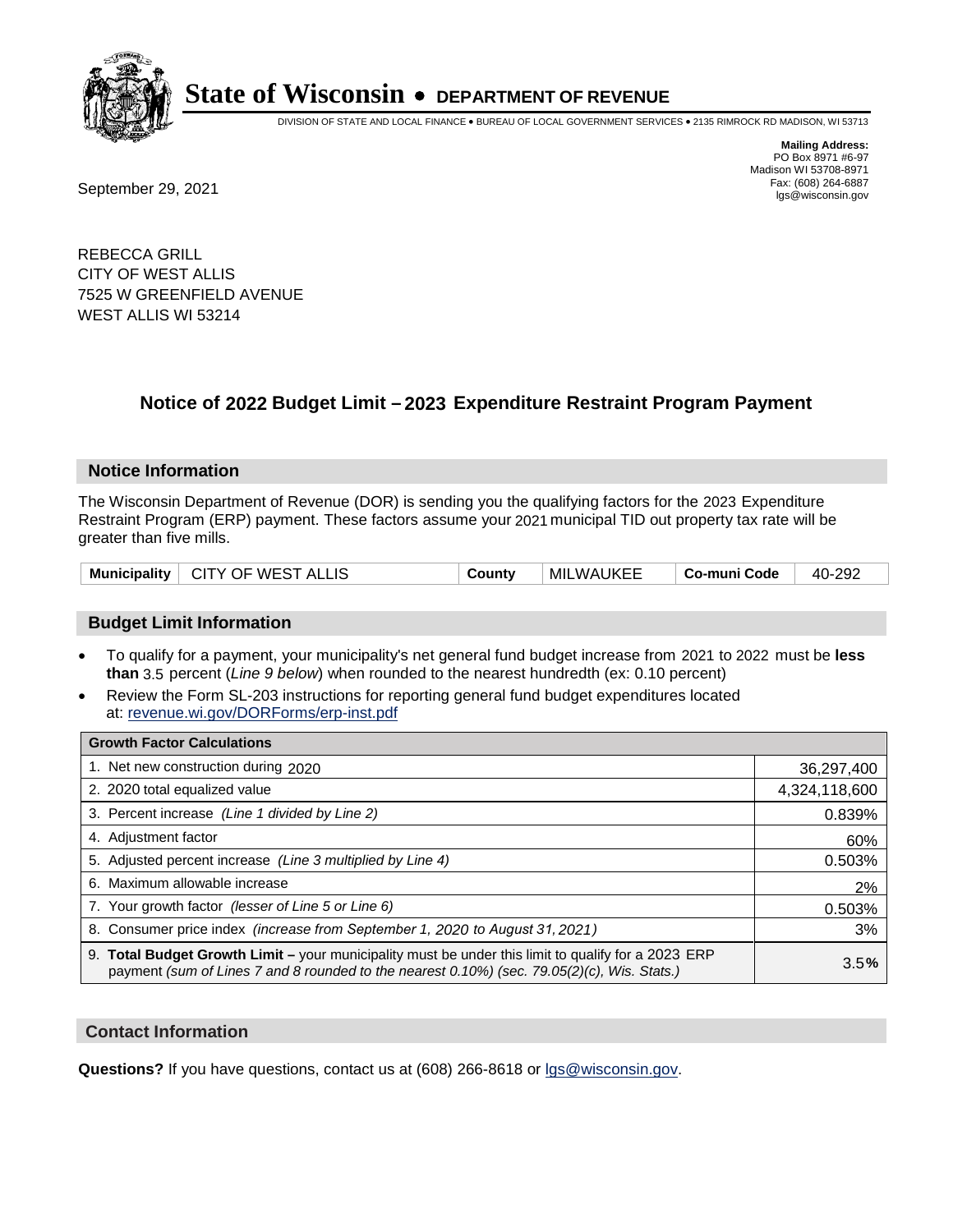

DIVISION OF STATE AND LOCAL FINANCE • BUREAU OF LOCAL GOVERNMENT SERVICES • 2135 RIMROCK RD MADISON, WI 53713

Fax: (608) 264-6887<br>
September 29, 2021 and the state of the state of the state of the state of the state of the state of the state of the state of the state of the state of the state of the state of the state of the state

**Mailing Address:** PO Box 8971 #6-97 Madison WI 53708-8971<br>Fax: (608) 264-6887

REBECCA GRILL CITY OF WEST ALLIS 7525 W GREENFIELD AVENUE WEST ALLIS WI 53214

## **Notice of 2022 Budget Limit - 2023 Expenditure Restraint Program Payment**

#### **Notice Information**

The Wisconsin Department of Revenue (DOR) is sending you the qualifying factors for the 2023 Expenditure Restraint Program (ERP) payment. These factors assume your 2021 municipal TID out property tax rate will be greater than five mills.

| Municipality   CITY OF WEST ALLIS | County | MILWAUKEE | ∣ Co-muni Code | 40-292 |
|-----------------------------------|--------|-----------|----------------|--------|
|-----------------------------------|--------|-----------|----------------|--------|

### **Budget Limit Information**

- To qualify for a payment, your municipality's net general fund budget increase from 2021 to 2022 must be less **than** 3.5 percent (*Line 9 below*) when rounded to the nearest hundredth (ex: 0.10 percent)
- Review the Form SL-203 instructions for reporting general fund budget expenditures located at: revenue.wi.gov/DORForms/erp-inst.pdf

| <b>Growth Factor Calculations</b>                                                                                                                                                                      |               |
|--------------------------------------------------------------------------------------------------------------------------------------------------------------------------------------------------------|---------------|
| 1. Net new construction during 2020                                                                                                                                                                    | 36,297,400    |
| 2. 2020 total equalized value                                                                                                                                                                          | 4,324,118,600 |
| 3. Percent increase (Line 1 divided by Line 2)                                                                                                                                                         | 0.839%        |
| 4. Adjustment factor                                                                                                                                                                                   | 60%           |
| 5. Adjusted percent increase (Line 3 multiplied by Line 4)                                                                                                                                             | 0.503%        |
| 6. Maximum allowable increase                                                                                                                                                                          | 2%            |
| 7. Your growth factor (lesser of Line 5 or Line 6)                                                                                                                                                     | 0.503%        |
| 8. Consumer price index (increase from September 1, 2020 to August 31, 2021)                                                                                                                           | 3%            |
| 9. Total Budget Growth Limit - your municipality must be under this limit to qualify for a 2023 ERP<br>payment (sum of Lines 7 and 8 rounded to the nearest $0.10\%$ ) (sec. 79.05(2)(c), Wis. Stats.) | 3.5%          |

#### **Contact Information**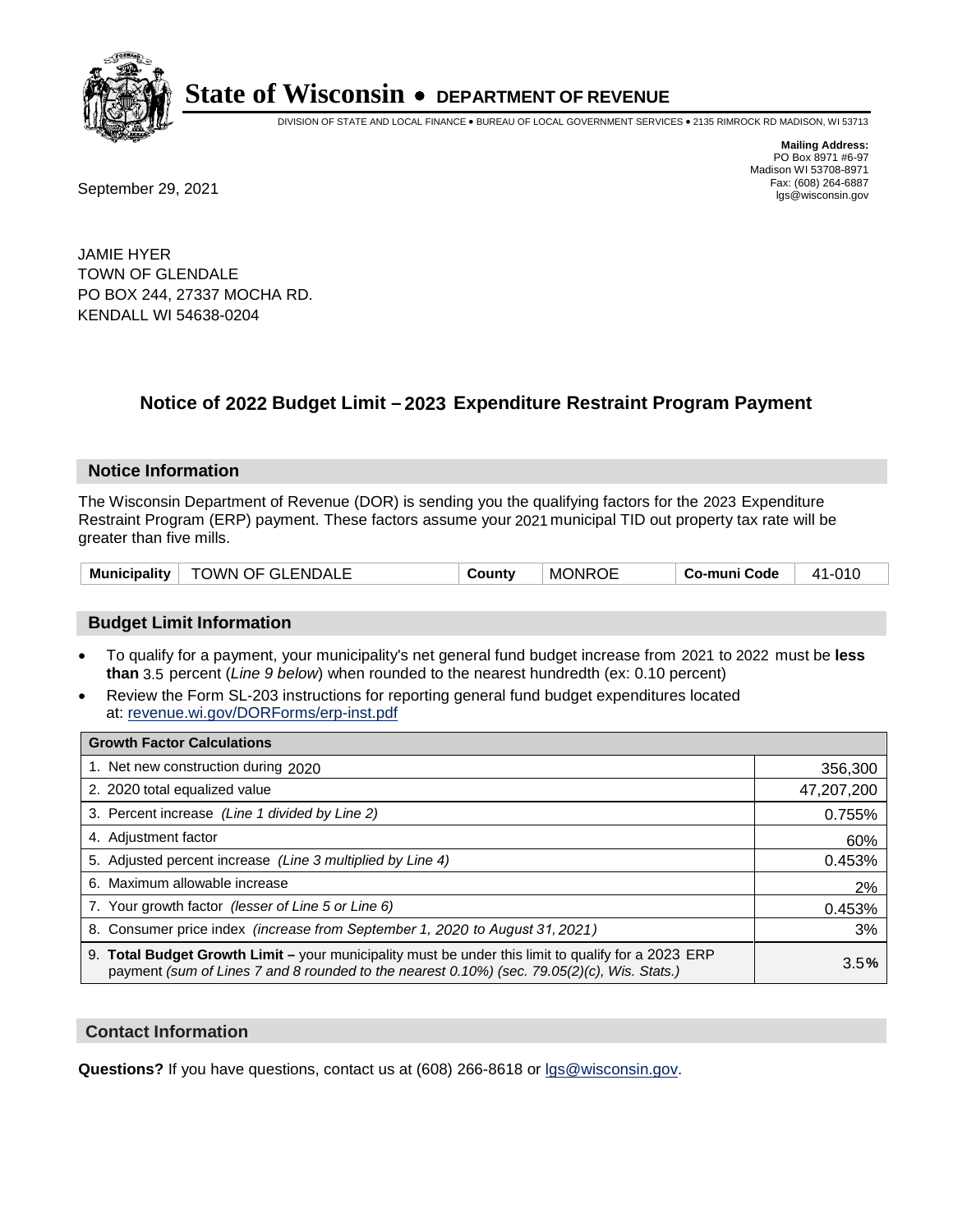

DIVISION OF STATE AND LOCAL FINANCE • BUREAU OF LOCAL GOVERNMENT SERVICES • 2135 RIMROCK RD MADISON, WI 53713

**Mailing Address:** PO Box 8971 #6-97 Madison WI 53708-8971<br>Fax: (608) 264-6887

Fax: (608) 264-6887<br>
September 29, 2021 and the state of the state of the state of the state of the state of the state of the state of the state of the state of the state of the state of the state of the state of the state

JAMIE HYER TOWN OF GLENDALE PO BOX 244, 27337 MOCHA RD. KENDALL WI 54638-0204

## **Notice of 2022 Budget Limit - 2023 Expenditure Restraint Program Payment**

#### **Notice Information**

The Wisconsin Department of Revenue (DOR) is sending you the qualifying factors for the 2023 Expenditure Restraint Program (ERP) payment. These factors assume your 2021 municipal TID out property tax rate will be greater than five mills.

| Municipality   TOWN OF GLENDALE | County | <b>MONROE</b> | Co-muni Code | 41-010 |
|---------------------------------|--------|---------------|--------------|--------|
|---------------------------------|--------|---------------|--------------|--------|

#### **Budget Limit Information**

- To qualify for a payment, your municipality's net general fund budget increase from 2021 to 2022 must be less **than** 3.5 percent (*Line 9 below*) when rounded to the nearest hundredth (ex: 0.10 percent)
- Review the Form SL-203 instructions for reporting general fund budget expenditures located at: revenue.wi.gov/DORForms/erp-inst.pdf

| <b>Growth Factor Calculations</b>                                                                                                                                                                      |            |
|--------------------------------------------------------------------------------------------------------------------------------------------------------------------------------------------------------|------------|
| 1. Net new construction during 2020                                                                                                                                                                    | 356,300    |
| 2. 2020 total equalized value                                                                                                                                                                          | 47,207,200 |
| 3. Percent increase (Line 1 divided by Line 2)                                                                                                                                                         | 0.755%     |
| 4. Adjustment factor                                                                                                                                                                                   | 60%        |
| 5. Adjusted percent increase (Line 3 multiplied by Line 4)                                                                                                                                             | 0.453%     |
| 6. Maximum allowable increase                                                                                                                                                                          | 2%         |
| 7. Your growth factor (lesser of Line 5 or Line 6)                                                                                                                                                     | 0.453%     |
| 8. Consumer price index (increase from September 1, 2020 to August 31, 2021)                                                                                                                           | 3%         |
| 9. Total Budget Growth Limit - your municipality must be under this limit to qualify for a 2023 ERP<br>payment (sum of Lines 7 and 8 rounded to the nearest $0.10\%$ ) (sec. 79.05(2)(c), Wis. Stats.) | 3.5%       |

#### **Contact Information**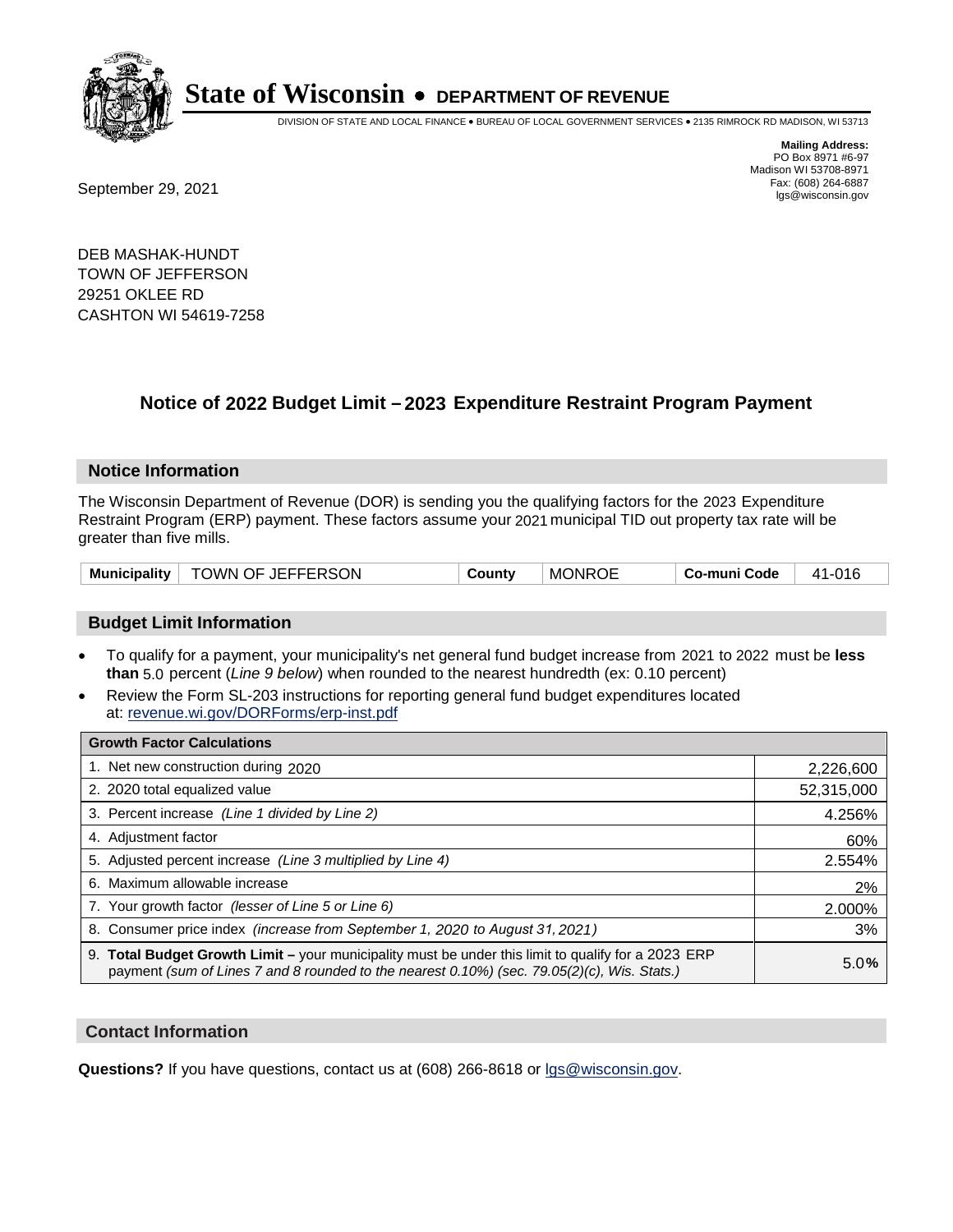

DIVISION OF STATE AND LOCAL FINANCE • BUREAU OF LOCAL GOVERNMENT SERVICES • 2135 RIMROCK RD MADISON, WI 53713

Fax: (608) 264-6887<br>
September 29, 2021 and the state of the state of the state of the state of the state of the state of the state of the state of the state of the state of the state of the state of the state of the state

**Mailing Address:** PO Box 8971 #6-97 Madison WI 53708-8971<br>Fax: (608) 264-6887

DEB MASHAK-HUNDT TOWN OF JEFFERSON 29251 OKLEE RD CASHTON WI 54619-7258

## **Notice of 2022 Budget Limit - 2023 Expenditure Restraint Program Payment**

#### **Notice Information**

The Wisconsin Department of Revenue (DOR) is sending you the qualifying factors for the 2023 Expenditure Restraint Program (ERP) payment. These factors assume your 2021 municipal TID out property tax rate will be greater than five mills.

| <b>Municipality</b> | TOWN OF JEFFERSON | County | <b>MONROE</b> | <b>Co-muni Code</b> | 41-016 |
|---------------------|-------------------|--------|---------------|---------------------|--------|
|---------------------|-------------------|--------|---------------|---------------------|--------|

### **Budget Limit Information**

- To qualify for a payment, your municipality's net general fund budget increase from 2021 to 2022 must be less **than** 5.0 percent (*Line 9 below*) when rounded to the nearest hundredth (ex: 0.10 percent)
- Review the Form SL-203 instructions for reporting general fund budget expenditures located at: revenue.wi.gov/DORForms/erp-inst.pdf

| <b>Growth Factor Calculations</b>                                                                                                                                                                  |            |
|----------------------------------------------------------------------------------------------------------------------------------------------------------------------------------------------------|------------|
| 1. Net new construction during 2020                                                                                                                                                                | 2,226,600  |
| 2. 2020 total equalized value                                                                                                                                                                      | 52,315,000 |
| 3. Percent increase (Line 1 divided by Line 2)                                                                                                                                                     | 4.256%     |
| 4. Adiustment factor                                                                                                                                                                               | 60%        |
| 5. Adjusted percent increase (Line 3 multiplied by Line 4)                                                                                                                                         | 2.554%     |
| 6. Maximum allowable increase                                                                                                                                                                      | 2%         |
| 7. Your growth factor (lesser of Line 5 or Line 6)                                                                                                                                                 | 2.000%     |
| 8. Consumer price index (increase from September 1, 2020 to August 31, 2021)                                                                                                                       | 3%         |
| 9. Total Budget Growth Limit - your municipality must be under this limit to qualify for a 2023 ERP<br>payment (sum of Lines 7 and 8 rounded to the nearest 0.10%) (sec. 79.05(2)(c), Wis. Stats.) | 5.0%       |

#### **Contact Information**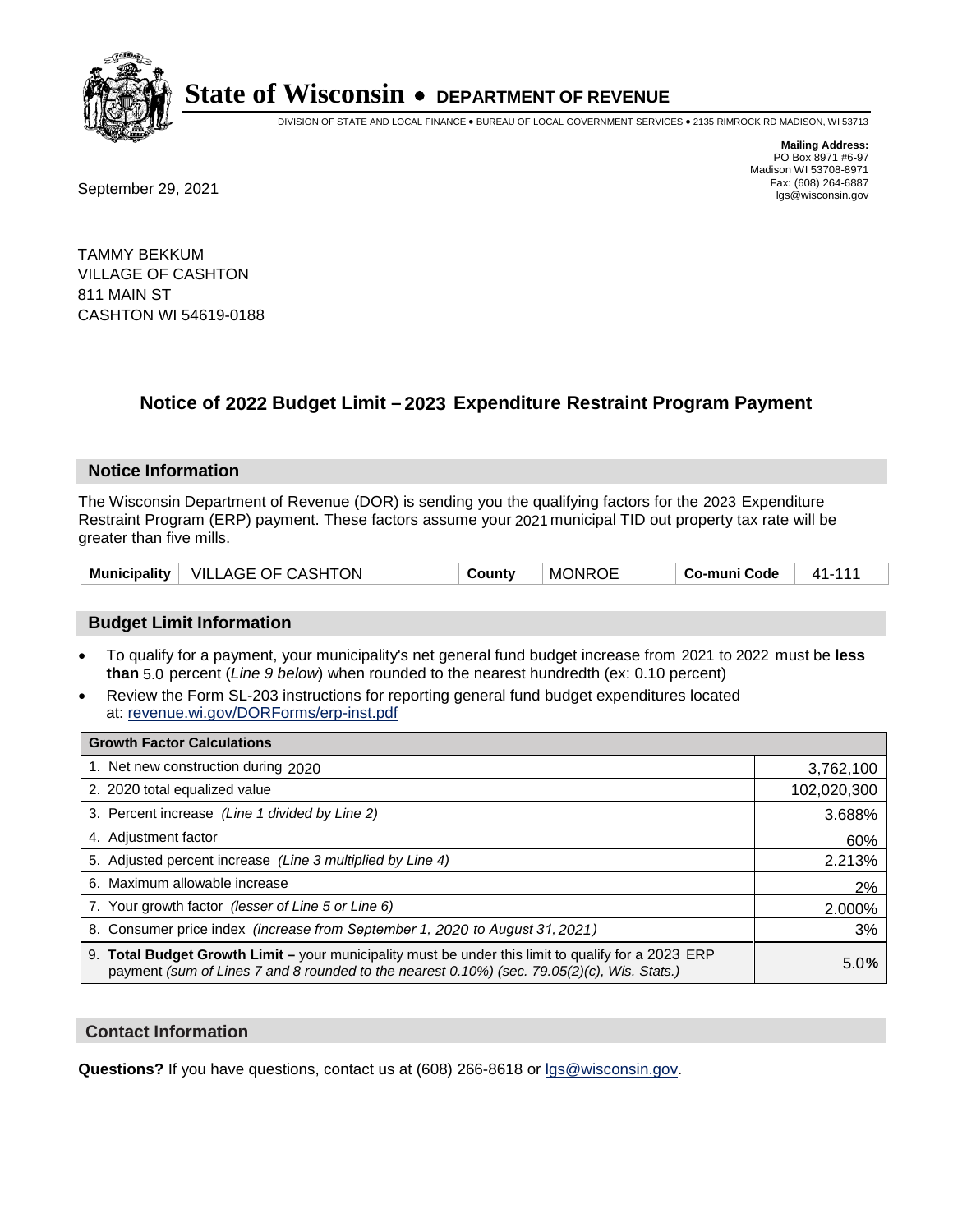

DIVISION OF STATE AND LOCAL FINANCE • BUREAU OF LOCAL GOVERNMENT SERVICES • 2135 RIMROCK RD MADISON, WI 53713

**Mailing Address:** PO Box 8971 #6-97 Madison WI 53708-8971<br>Fax: (608) 264-6887

Fax: (608) 264-6887<br>
September 29, 2021 and the state of the state of the state of the state of the state of the state of the state of the state of the state of the state of the state of the state of the state of the state

TAMMY BEKKUM VILLAGE OF CASHTON 811 MAIN ST CASHTON WI 54619-0188

## **Notice of 2022 Budget Limit - 2023 Expenditure Restraint Program Payment**

#### **Notice Information**

The Wisconsin Department of Revenue (DOR) is sending you the qualifying factors for the 2023 Expenditure Restraint Program (ERP) payment. These factors assume your 2021 municipal TID out property tax rate will be greater than five mills.

| Municipality | OF CASHTON<br>_AGE<br>VILL. | <b>∍ount</b> ∨ | <b>MONROE</b> | <b>Code</b><br>-muni<br>Co- | $\lambda$ |
|--------------|-----------------------------|----------------|---------------|-----------------------------|-----------|
|--------------|-----------------------------|----------------|---------------|-----------------------------|-----------|

### **Budget Limit Information**

- To qualify for a payment, your municipality's net general fund budget increase from 2021 to 2022 must be less **than** 5.0 percent (*Line 9 below*) when rounded to the nearest hundredth (ex: 0.10 percent)
- Review the Form SL-203 instructions for reporting general fund budget expenditures located at: revenue.wi.gov/DORForms/erp-inst.pdf

| <b>Growth Factor Calculations</b>                                                                                                                                                                      |             |
|--------------------------------------------------------------------------------------------------------------------------------------------------------------------------------------------------------|-------------|
| 1. Net new construction during 2020                                                                                                                                                                    | 3,762,100   |
| 2. 2020 total equalized value                                                                                                                                                                          | 102,020,300 |
| 3. Percent increase (Line 1 divided by Line 2)                                                                                                                                                         | 3.688%      |
| 4. Adjustment factor                                                                                                                                                                                   | 60%         |
| 5. Adjusted percent increase (Line 3 multiplied by Line 4)                                                                                                                                             | 2.213%      |
| 6. Maximum allowable increase                                                                                                                                                                          | 2%          |
| 7. Your growth factor (lesser of Line 5 or Line 6)                                                                                                                                                     | 2.000%      |
| 8. Consumer price index (increase from September 1, 2020 to August 31, 2021)                                                                                                                           | 3%          |
| 9. Total Budget Growth Limit - your municipality must be under this limit to qualify for a 2023 ERP<br>payment (sum of Lines 7 and 8 rounded to the nearest $0.10\%$ ) (sec. 79.05(2)(c), Wis. Stats.) | 5.0%        |

#### **Contact Information**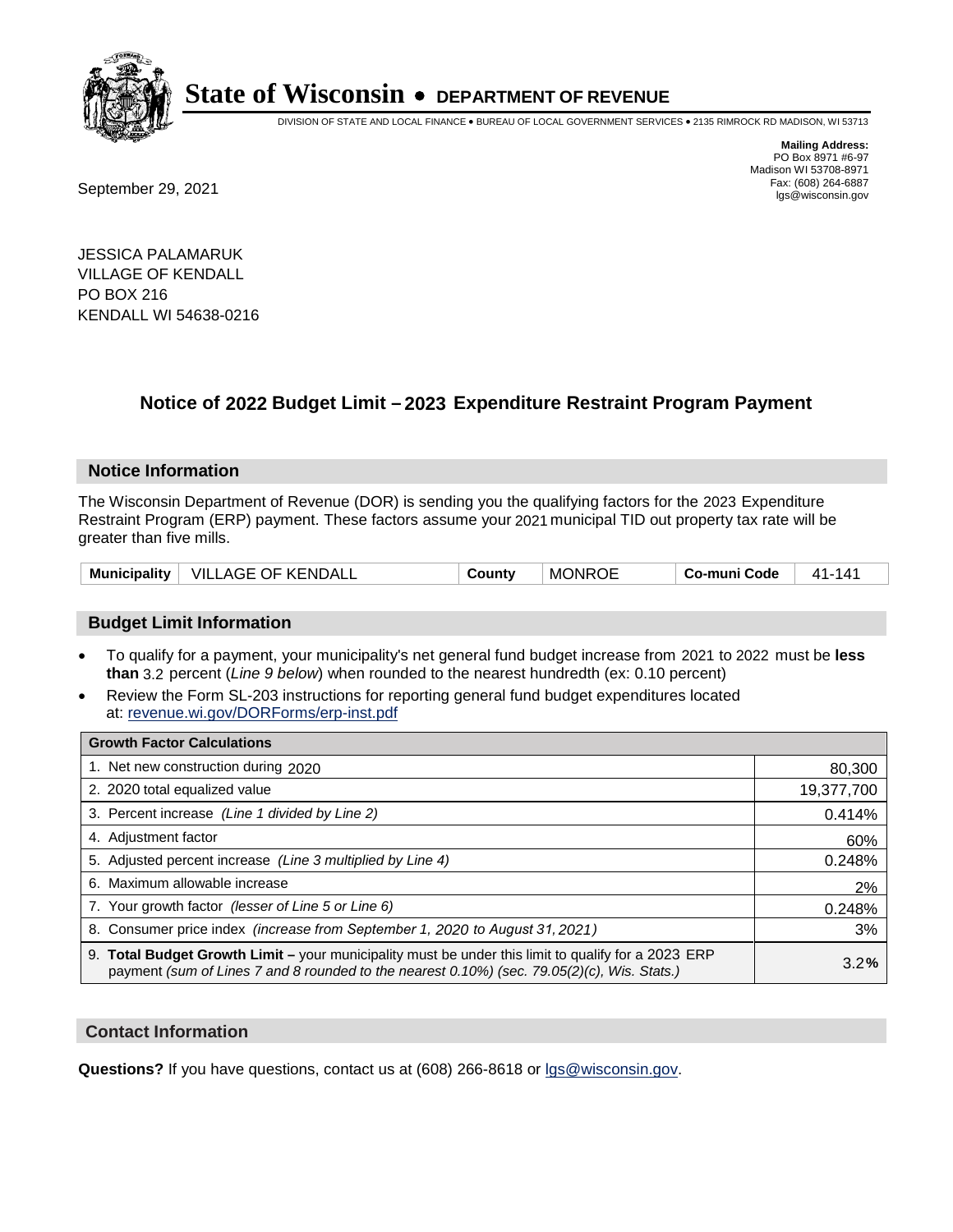

DIVISION OF STATE AND LOCAL FINANCE • BUREAU OF LOCAL GOVERNMENT SERVICES • 2135 RIMROCK RD MADISON, WI 53713

Fax: (608) 264-6887<br>
September 29, 2021 and the state of the state of the state of the state of the state of the state of the state of the state of the state of the state of the state of the state of the state of the state

**Mailing Address:** PO Box 8971 #6-97 Madison WI 53708-8971<br>Fax: (608) 264-6887

JESSICA PALAMARUK VILLAGE OF KENDALL PO BOX 216 KENDALL WI 54638-0216

## **Notice of 2022 Budget Limit - 2023 Expenditure Restraint Program Payment**

#### **Notice Information**

The Wisconsin Department of Revenue (DOR) is sending you the qualifying factors for the 2023 Expenditure Restraint Program (ERP) payment. These factors assume your 2021 municipal TID out property tax rate will be greater than five mills.

| <b>VILLAGE OF KENDALL</b><br><b>MONROE</b><br>Municipality<br>Co-muni Code<br>County<br>11 - ' | 141 |
|------------------------------------------------------------------------------------------------|-----|
|------------------------------------------------------------------------------------------------|-----|

### **Budget Limit Information**

- To qualify for a payment, your municipality's net general fund budget increase from 2021 to 2022 must be less **than** 3.2 percent (*Line 9 below*) when rounded to the nearest hundredth (ex: 0.10 percent)
- Review the Form SL-203 instructions for reporting general fund budget expenditures located at: revenue.wi.gov/DORForms/erp-inst.pdf

| <b>Growth Factor Calculations</b>                                                                                                                                                                  |            |
|----------------------------------------------------------------------------------------------------------------------------------------------------------------------------------------------------|------------|
| 1. Net new construction during 2020                                                                                                                                                                | 80,300     |
| 2. 2020 total equalized value                                                                                                                                                                      | 19,377,700 |
| 3. Percent increase (Line 1 divided by Line 2)                                                                                                                                                     | 0.414%     |
| 4. Adjustment factor                                                                                                                                                                               | 60%        |
| 5. Adjusted percent increase (Line 3 multiplied by Line 4)                                                                                                                                         | 0.248%     |
| 6. Maximum allowable increase                                                                                                                                                                      | 2%         |
| 7. Your growth factor (lesser of Line 5 or Line 6)                                                                                                                                                 | 0.248%     |
| 8. Consumer price index (increase from September 1, 2020 to August 31, 2021)                                                                                                                       | 3%         |
| 9. Total Budget Growth Limit – your municipality must be under this limit to qualify for a 2023 ERP<br>payment (sum of Lines 7 and 8 rounded to the nearest 0.10%) (sec. 79.05(2)(c), Wis. Stats.) | 3.2%       |

#### **Contact Information**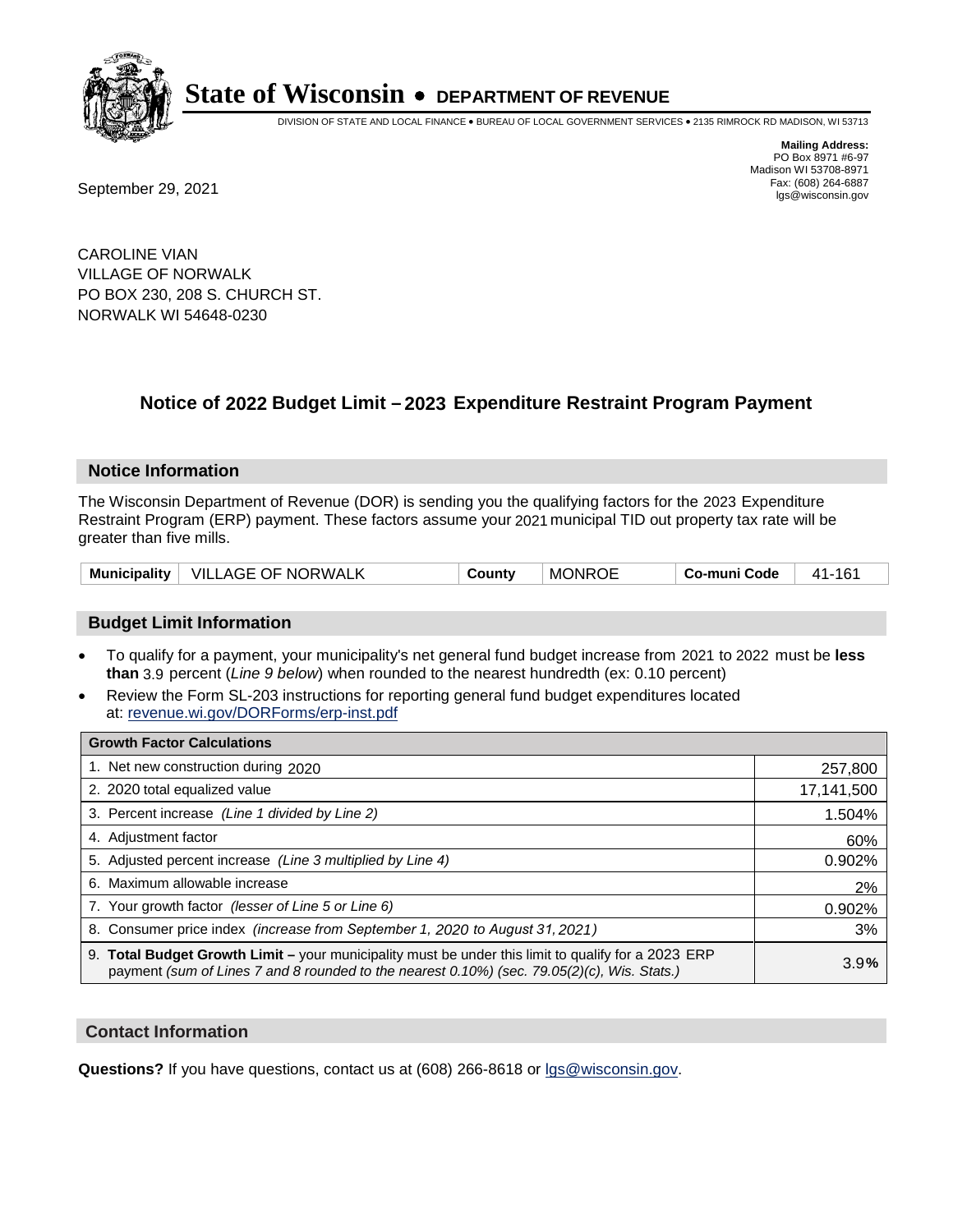

DIVISION OF STATE AND LOCAL FINANCE • BUREAU OF LOCAL GOVERNMENT SERVICES • 2135 RIMROCK RD MADISON, WI 53713

**Mailing Address:** PO Box 8971 #6-97 Madison WI 53708-8971<br>Fax: (608) 264-6887

Fax: (608) 264-6887<br>
September 29, 2021 and the state of the state of the state of the state of the state of the state of the state of the state of the state of the state of the state of the state of the state of the state

CAROLINE VIAN VILLAGE OF NORWALK PO BOX 230, 208 S. CHURCH ST. NORWALK WI 54648-0230

## **Notice of 2022 Budget Limit - 2023 Expenditure Restraint Program Payment**

#### **Notice Information**

The Wisconsin Department of Revenue (DOR) is sending you the qualifying factors for the 2023 Expenditure Restraint Program (ERP) payment. These factors assume your 2021 municipal TID out property tax rate will be greater than five mills.

| Municipality | <b>VILLAGE OF NORWALK</b> | County | <b>MONROE</b> | Co-muni Code | 161<br>41- |
|--------------|---------------------------|--------|---------------|--------------|------------|
|--------------|---------------------------|--------|---------------|--------------|------------|

#### **Budget Limit Information**

- To qualify for a payment, your municipality's net general fund budget increase from 2021 to 2022 must be less **than** 3.9 percent (*Line 9 below*) when rounded to the nearest hundredth (ex: 0.10 percent)
- Review the Form SL-203 instructions for reporting general fund budget expenditures located at: revenue.wi.gov/DORForms/erp-inst.pdf

| <b>Growth Factor Calculations</b>                                                                                                                                                                  |            |
|----------------------------------------------------------------------------------------------------------------------------------------------------------------------------------------------------|------------|
| 1. Net new construction during 2020                                                                                                                                                                | 257,800    |
| 2. 2020 total equalized value                                                                                                                                                                      | 17,141,500 |
| 3. Percent increase (Line 1 divided by Line 2)                                                                                                                                                     | 1.504%     |
| 4. Adjustment factor                                                                                                                                                                               | 60%        |
| 5. Adjusted percent increase (Line 3 multiplied by Line 4)                                                                                                                                         | 0.902%     |
| 6. Maximum allowable increase                                                                                                                                                                      | 2%         |
| 7. Your growth factor (lesser of Line 5 or Line 6)                                                                                                                                                 | 0.902%     |
| 8. Consumer price index (increase from September 1, 2020 to August 31, 2021)                                                                                                                       | 3%         |
| 9. Total Budget Growth Limit - your municipality must be under this limit to qualify for a 2023 ERP<br>payment (sum of Lines 7 and 8 rounded to the nearest 0.10%) (sec. 79.05(2)(c), Wis. Stats.) | 3.9%       |

#### **Contact Information**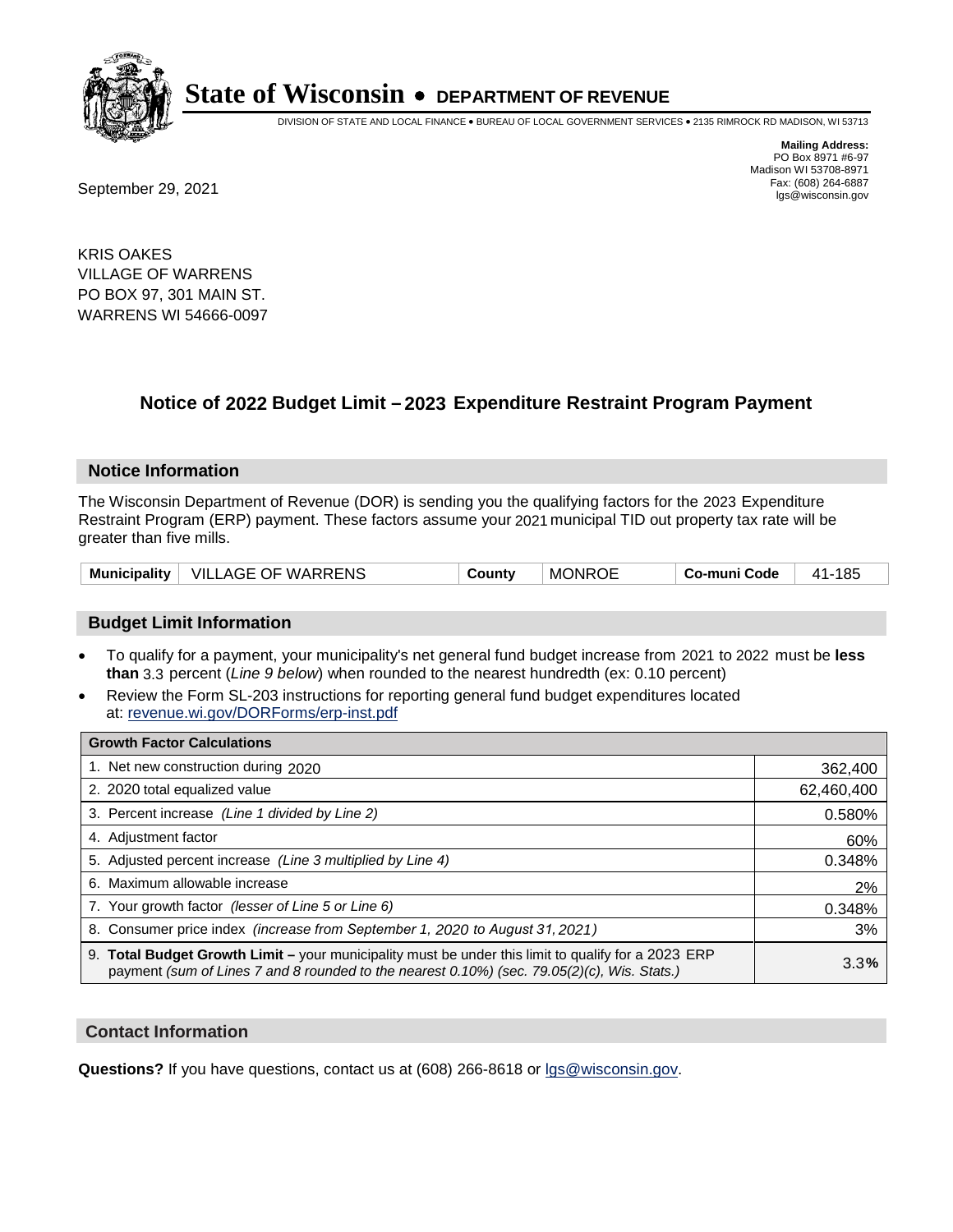

DIVISION OF STATE AND LOCAL FINANCE • BUREAU OF LOCAL GOVERNMENT SERVICES • 2135 RIMROCK RD MADISON, WI 53713

Fax: (608) 264-6887<br>
September 29, 2021 and the state of the state of the state of the state of the state of the state of the state of the state of the state of the state of the state of the state of the state of the state

**Mailing Address:** PO Box 8971 #6-97 Madison WI 53708-8971<br>Fax: (608) 264-6887

KRIS OAKES VILLAGE OF WARRENS PO BOX 97, 301 MAIN ST. WARRENS WI 54666-0097

## **Notice of 2022 Budget Limit - 2023 Expenditure Restraint Program Payment**

#### **Notice Information**

The Wisconsin Department of Revenue (DOR) is sending you the qualifying factors for the 2023 Expenditure Restraint Program (ERP) payment. These factors assume your 2021 municipal TID out property tax rate will be greater than five mills.

| Municipality | VILLAGE OF WARRENS | Countv | <b>MONROE</b> | Co-muni Code | 185<br>41- |
|--------------|--------------------|--------|---------------|--------------|------------|
|--------------|--------------------|--------|---------------|--------------|------------|

#### **Budget Limit Information**

- To qualify for a payment, your municipality's net general fund budget increase from 2021 to 2022 must be less **than** 3.3 percent (*Line 9 below*) when rounded to the nearest hundredth (ex: 0.10 percent)
- Review the Form SL-203 instructions for reporting general fund budget expenditures located at: revenue.wi.gov/DORForms/erp-inst.pdf

| <b>Growth Factor Calculations</b>                                                                                                                                                                  |            |
|----------------------------------------------------------------------------------------------------------------------------------------------------------------------------------------------------|------------|
| 1. Net new construction during 2020                                                                                                                                                                | 362,400    |
| 2. 2020 total equalized value                                                                                                                                                                      | 62,460,400 |
| 3. Percent increase (Line 1 divided by Line 2)                                                                                                                                                     | 0.580%     |
| 4. Adjustment factor                                                                                                                                                                               | 60%        |
| 5. Adjusted percent increase (Line 3 multiplied by Line 4)                                                                                                                                         | 0.348%     |
| 6. Maximum allowable increase                                                                                                                                                                      | 2%         |
| 7. Your growth factor (lesser of Line 5 or Line 6)                                                                                                                                                 | 0.348%     |
| 8. Consumer price index (increase from September 1, 2020 to August 31, 2021)                                                                                                                       | 3%         |
| 9. Total Budget Growth Limit - your municipality must be under this limit to qualify for a 2023 ERP<br>payment (sum of Lines 7 and 8 rounded to the nearest 0.10%) (sec. 79.05(2)(c), Wis. Stats.) | 3.3%       |

#### **Contact Information**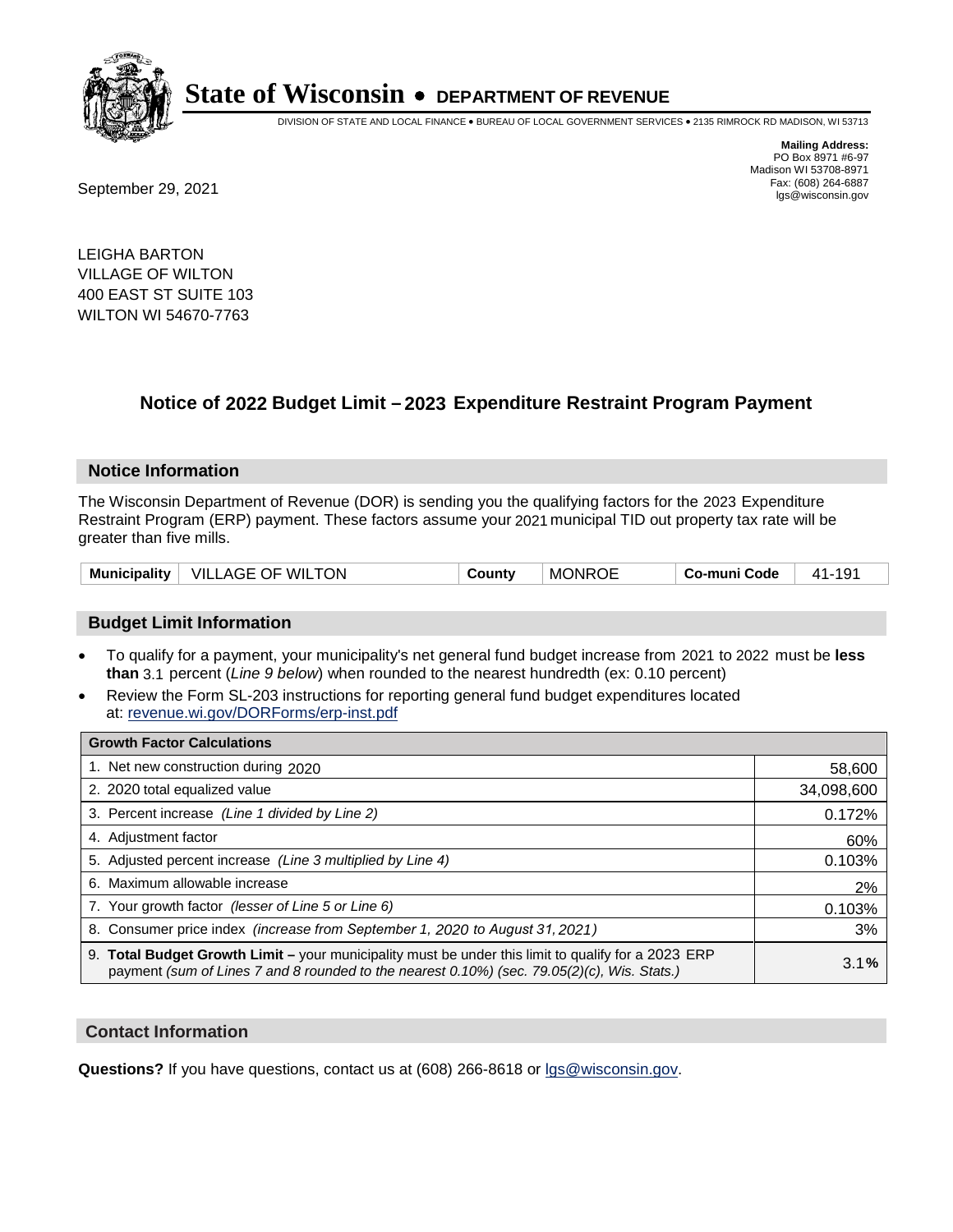

DIVISION OF STATE AND LOCAL FINANCE • BUREAU OF LOCAL GOVERNMENT SERVICES • 2135 RIMROCK RD MADISON, WI 53713

Fax: (608) 264-6887<br>
September 29, 2021 and the state of the state of the state of the state of the state of the state of the state of the state of the state of the state of the state of the state of the state of the state

**Mailing Address:** PO Box 8971 #6-97 Madison WI 53708-8971<br>Fax: (608) 264-6887

LEIGHA BARTON VILLAGE OF WILTON 400 EAST ST SUITE 103 WILTON WI 54670-7763

### **Notice of 2022 Budget Limit - 2023 Expenditure Restraint Program Payment**

#### **Notice Information**

The Wisconsin Department of Revenue (DOR) is sending you the qualifying factors for the 2023 Expenditure Restraint Program (ERP) payment. These factors assume your 2021 municipal TID out property tax rate will be greater than five mills.

|  | Municipality   VILLAGE OF WILTON | County | <b>MONROE</b> | Co-muni Code | 41-191 |
|--|----------------------------------|--------|---------------|--------------|--------|
|--|----------------------------------|--------|---------------|--------------|--------|

#### **Budget Limit Information**

- To qualify for a payment, your municipality's net general fund budget increase from 2021 to 2022 must be less **than** 3.1 percent (*Line 9 below*) when rounded to the nearest hundredth (ex: 0.10 percent)
- Review the Form SL-203 instructions for reporting general fund budget expenditures located at: revenue.wi.gov/DORForms/erp-inst.pdf

| <b>Growth Factor Calculations</b>                                                                                                                                                                  |            |
|----------------------------------------------------------------------------------------------------------------------------------------------------------------------------------------------------|------------|
| 1. Net new construction during 2020                                                                                                                                                                | 58,600     |
| 2. 2020 total equalized value                                                                                                                                                                      | 34,098,600 |
| 3. Percent increase (Line 1 divided by Line 2)                                                                                                                                                     | 0.172%     |
| 4. Adjustment factor                                                                                                                                                                               | 60%        |
| 5. Adjusted percent increase (Line 3 multiplied by Line 4)                                                                                                                                         | 0.103%     |
| 6. Maximum allowable increase                                                                                                                                                                      | 2%         |
| 7. Your growth factor (lesser of Line 5 or Line 6)                                                                                                                                                 | 0.103%     |
| 8. Consumer price index (increase from September 1, 2020 to August 31, 2021)                                                                                                                       | 3%         |
| 9. Total Budget Growth Limit - your municipality must be under this limit to qualify for a 2023 ERP<br>payment (sum of Lines 7 and 8 rounded to the nearest 0.10%) (sec. 79.05(2)(c), Wis. Stats.) | 3.1%       |

#### **Contact Information**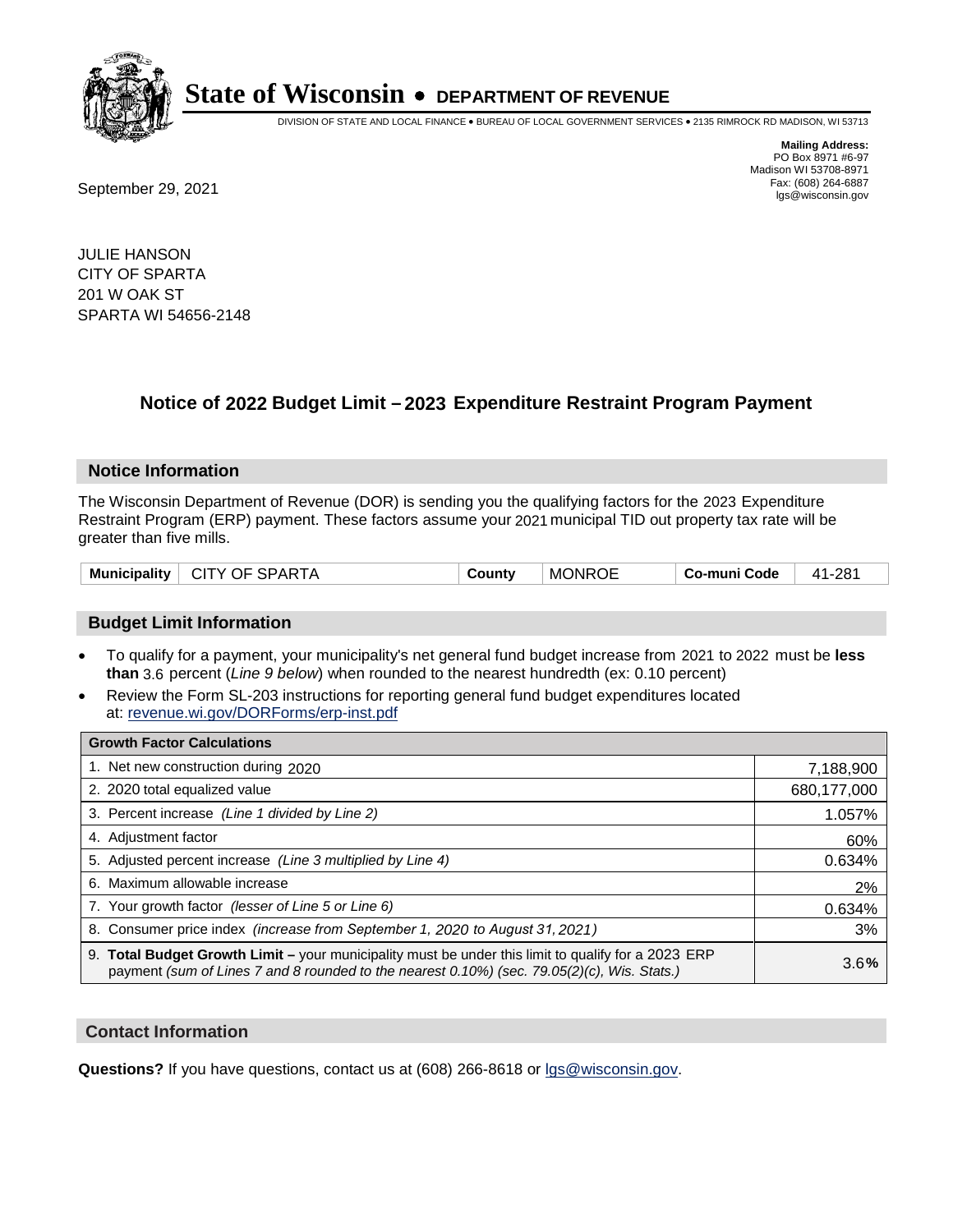

DIVISION OF STATE AND LOCAL FINANCE • BUREAU OF LOCAL GOVERNMENT SERVICES • 2135 RIMROCK RD MADISON, WI 53713

**Mailing Address:** PO Box 8971 #6-97 Madison WI 53708-8971<br>Fax: (608) 264-6887

Fax: (608) 264-6887<br>
September 29, 2021 and the state of the state of the state of the state of the state of the state of the state of the state of the state of the state of the state of the state of the state of the state

JULIE HANSON CITY OF SPARTA 201 W OAK ST SPARTA WI 54656-2148

## **Notice of 2022 Budget Limit - 2023 Expenditure Restraint Program Payment**

#### **Notice Information**

The Wisconsin Department of Revenue (DOR) is sending you the qualifying factors for the 2023 Expenditure Restraint Program (ERP) payment. These factors assume your 2021 municipal TID out property tax rate will be greater than five mills.

| <b>CITY OF SPARTA</b><br>Municipality | County | <b>MONROE</b><br><b>Co-muni Code</b> | 41-281 |
|---------------------------------------|--------|--------------------------------------|--------|
|---------------------------------------|--------|--------------------------------------|--------|

### **Budget Limit Information**

- To qualify for a payment, your municipality's net general fund budget increase from 2021 to 2022 must be less **than** 3.6 percent (*Line 9 below*) when rounded to the nearest hundredth (ex: 0.10 percent)
- Review the Form SL-203 instructions for reporting general fund budget expenditures located at: revenue.wi.gov/DORForms/erp-inst.pdf

| <b>Growth Factor Calculations</b>                                                                                                                                                                  |               |
|----------------------------------------------------------------------------------------------------------------------------------------------------------------------------------------------------|---------------|
| 1. Net new construction during 2020                                                                                                                                                                | 7,188,900     |
| 2. 2020 total equalized value                                                                                                                                                                      | 680, 177, 000 |
| 3. Percent increase (Line 1 divided by Line 2)                                                                                                                                                     | 1.057%        |
| 4. Adjustment factor                                                                                                                                                                               | 60%           |
| 5. Adjusted percent increase (Line 3 multiplied by Line 4)                                                                                                                                         | 0.634%        |
| 6. Maximum allowable increase                                                                                                                                                                      | 2%            |
| 7. Your growth factor (lesser of Line 5 or Line 6)                                                                                                                                                 | 0.634%        |
| 8. Consumer price index (increase from September 1, 2020 to August 31, 2021)                                                                                                                       | 3%            |
| 9. Total Budget Growth Limit – your municipality must be under this limit to qualify for a 2023 ERP<br>payment (sum of Lines 7 and 8 rounded to the nearest 0.10%) (sec. 79.05(2)(c), Wis. Stats.) | 3.6%          |

### **Contact Information**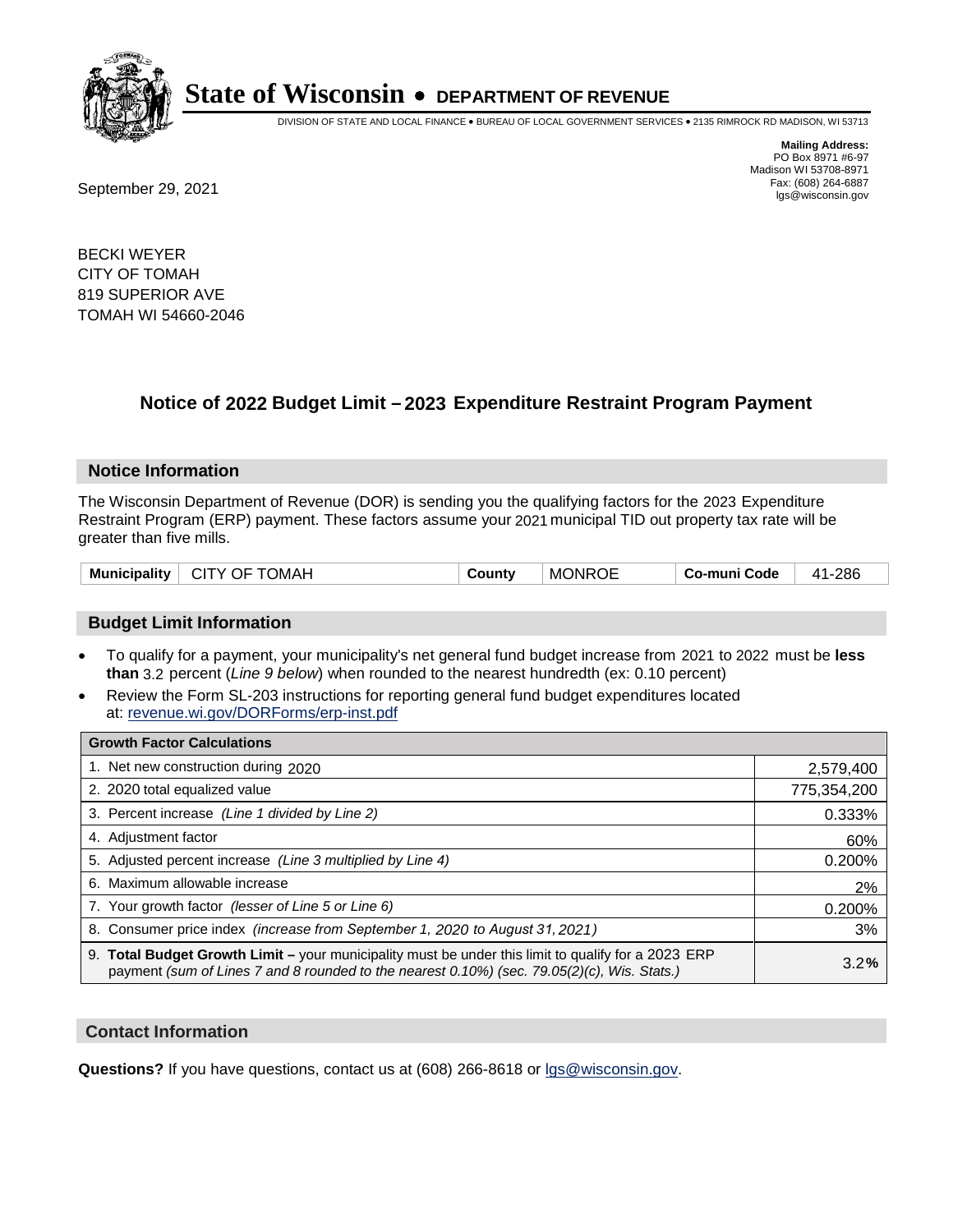

DIVISION OF STATE AND LOCAL FINANCE • BUREAU OF LOCAL GOVERNMENT SERVICES • 2135 RIMROCK RD MADISON, WI 53713

**Mailing Address:** PO Box 8971 #6-97 Madison WI 53708-8971<br>Fax: (608) 264-6887

Fax: (608) 264-6887<br>
September 29, 2021 and the state of the state of the state of the state of the state of the state of the state of the state of the state of the state of the state of the state of the state of the state

BECKI WEYER CITY OF TOMAH 819 SUPERIOR AVE TOMAH WI 54660-2046

## **Notice of 2022 Budget Limit - 2023 Expenditure Restraint Program Payment**

#### **Notice Information**

The Wisconsin Department of Revenue (DOR) is sending you the qualifying factors for the 2023 Expenditure Restraint Program (ERP) payment. These factors assume your 2021 municipal TID out property tax rate will be greater than five mills.

| <b>Municipality</b> | CITY OF TOMAH | County | <b>MONROE</b> | Co-muni Code | 41-286 |
|---------------------|---------------|--------|---------------|--------------|--------|
|---------------------|---------------|--------|---------------|--------------|--------|

### **Budget Limit Information**

- To qualify for a payment, your municipality's net general fund budget increase from 2021 to 2022 must be less **than** 3.2 percent (*Line 9 below*) when rounded to the nearest hundredth (ex: 0.10 percent)
- Review the Form SL-203 instructions for reporting general fund budget expenditures located at: revenue.wi.gov/DORForms/erp-inst.pdf

| <b>Growth Factor Calculations</b>                                                                                                                                                                  |             |
|----------------------------------------------------------------------------------------------------------------------------------------------------------------------------------------------------|-------------|
| 1. Net new construction during 2020                                                                                                                                                                | 2,579,400   |
| 2. 2020 total equalized value                                                                                                                                                                      | 775,354,200 |
| 3. Percent increase (Line 1 divided by Line 2)                                                                                                                                                     | 0.333%      |
| 4. Adjustment factor                                                                                                                                                                               | 60%         |
| 5. Adjusted percent increase (Line 3 multiplied by Line 4)                                                                                                                                         | 0.200%      |
| 6. Maximum allowable increase                                                                                                                                                                      | 2%          |
| 7. Your growth factor (lesser of Line 5 or Line 6)                                                                                                                                                 | 0.200%      |
| 8. Consumer price index (increase from September 1, 2020 to August 31, 2021)                                                                                                                       | 3%          |
| 9. Total Budget Growth Limit - your municipality must be under this limit to qualify for a 2023 ERP<br>payment (sum of Lines 7 and 8 rounded to the nearest 0.10%) (sec. 79.05(2)(c), Wis. Stats.) | 3.2%        |

#### **Contact Information**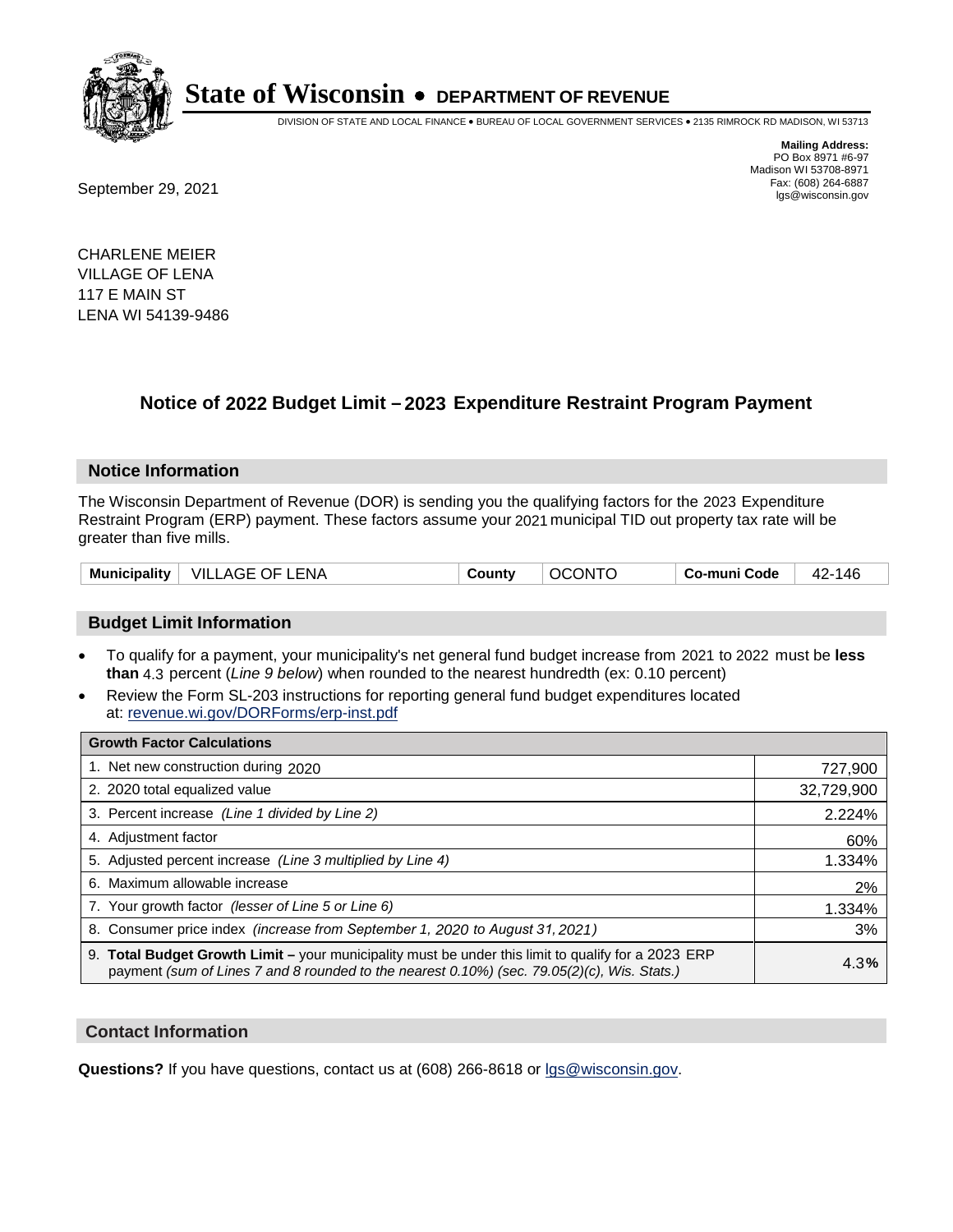

DIVISION OF STATE AND LOCAL FINANCE • BUREAU OF LOCAL GOVERNMENT SERVICES • 2135 RIMROCK RD MADISON, WI 53713

Fax: (608) 264-6887<br>
September 29, 2021 and the state of the state of the state of the state of the state of the state of the state of the state of the state of the state of the state of the state of the state of the state

**Mailing Address:** PO Box 8971 #6-97 Madison WI 53708-8971<br>Fax: (608) 264-6887

CHARLENE MEIER VILLAGE OF LENA 117 E MAIN ST LENA WI 54139-9486

## **Notice of 2022 Budget Limit - 2023 Expenditure Restraint Program Payment**

#### **Notice Information**

The Wisconsin Department of Revenue (DOR) is sending you the qualifying factors for the 2023 Expenditure Restraint Program (ERP) payment. These factors assume your 2021 municipal TID out property tax rate will be greater than five mills.

### **Budget Limit Information**

- To qualify for a payment, your municipality's net general fund budget increase from 2021 to 2022 must be less **than** 4.3 percent (*Line 9 below*) when rounded to the nearest hundredth (ex: 0.10 percent)
- Review the Form SL-203 instructions for reporting general fund budget expenditures located at: revenue.wi.gov/DORForms/erp-inst.pdf

| <b>Growth Factor Calculations</b>                                                                                                                                                                  |            |
|----------------------------------------------------------------------------------------------------------------------------------------------------------------------------------------------------|------------|
| 1. Net new construction during 2020                                                                                                                                                                | 727,900    |
| 2. 2020 total equalized value                                                                                                                                                                      | 32,729,900 |
| 3. Percent increase (Line 1 divided by Line 2)                                                                                                                                                     | 2.224%     |
| 4. Adjustment factor                                                                                                                                                                               | 60%        |
| 5. Adjusted percent increase (Line 3 multiplied by Line 4)                                                                                                                                         | 1.334%     |
| 6. Maximum allowable increase                                                                                                                                                                      | 2%         |
| 7. Your growth factor (lesser of Line 5 or Line 6)                                                                                                                                                 | 1.334%     |
| 8. Consumer price index (increase from September 1, 2020 to August 31, 2021)                                                                                                                       | 3%         |
| 9. Total Budget Growth Limit - your municipality must be under this limit to qualify for a 2023 ERP<br>payment (sum of Lines 7 and 8 rounded to the nearest 0.10%) (sec. 79.05(2)(c), Wis. Stats.) | 4.3%       |

#### **Contact Information**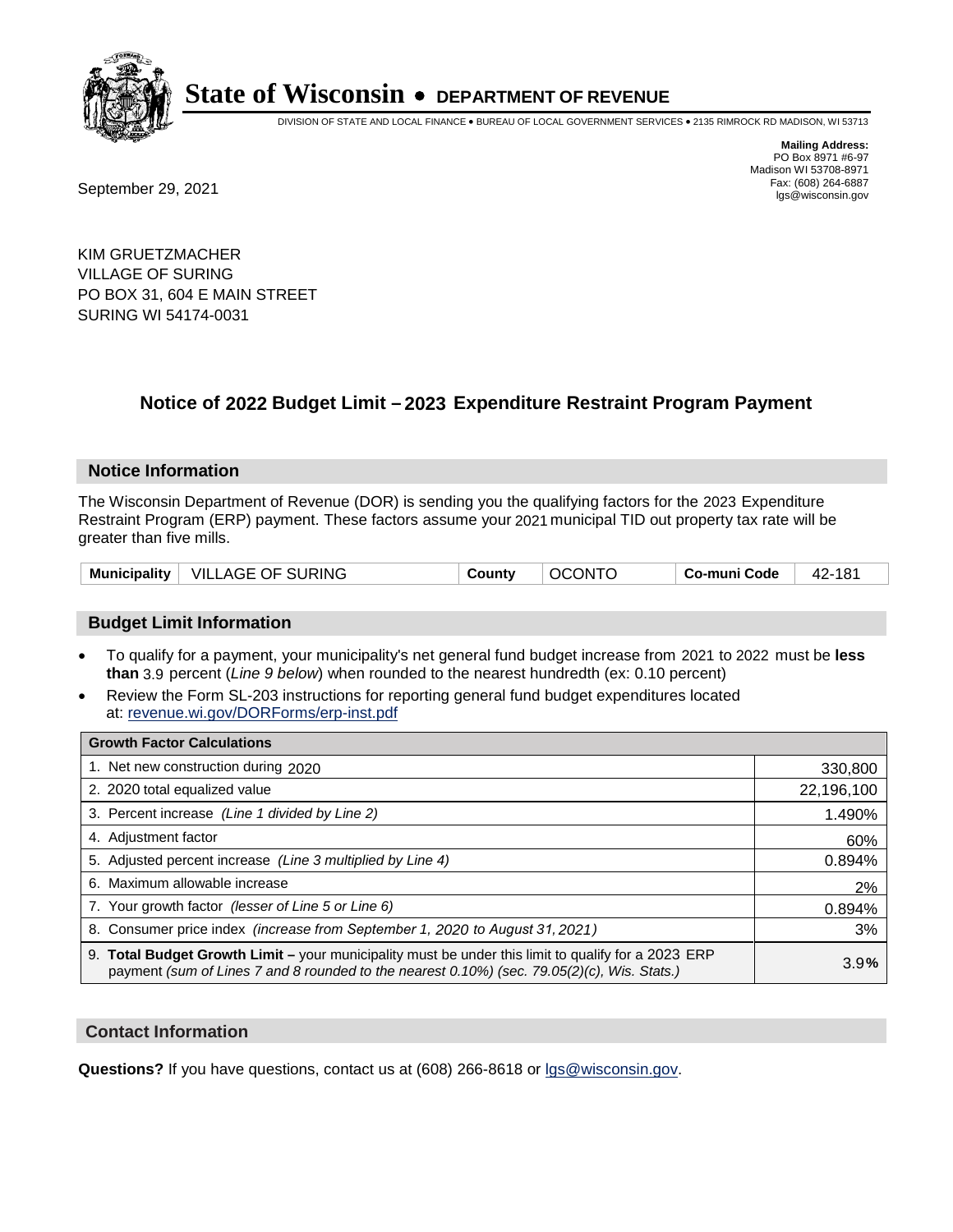

DIVISION OF STATE AND LOCAL FINANCE • BUREAU OF LOCAL GOVERNMENT SERVICES • 2135 RIMROCK RD MADISON, WI 53713

**Mailing Address:** PO Box 8971 #6-97 Madison WI 53708-8971<br>Fax: (608) 264-6887

Fax: (608) 264-6887<br>
September 29, 2021 and the state of the state of the state of the state of the state of the state of the state of the state of the state of the state of the state of the state of the state of the state

KIM GRUETZMACHER VILLAGE OF SURING PO BOX 31, 604 E MAIN STREET SURING WI 54174-0031

## **Notice of 2022 Budget Limit - 2023 Expenditure Restraint Program Payment**

#### **Notice Information**

The Wisconsin Department of Revenue (DOR) is sending you the qualifying factors for the 2023 Expenditure Restraint Program (ERP) payment. These factors assume your 2021 municipal TID out property tax rate will be greater than five mills.

| Municipality   VILLAGE OF SURING | County | <b>OCONTO</b> | Co-muni Code | 42-181 |
|----------------------------------|--------|---------------|--------------|--------|
|----------------------------------|--------|---------------|--------------|--------|

### **Budget Limit Information**

- To qualify for a payment, your municipality's net general fund budget increase from 2021 to 2022 must be less **than** 3.9 percent (*Line 9 below*) when rounded to the nearest hundredth (ex: 0.10 percent)
- Review the Form SL-203 instructions for reporting general fund budget expenditures located at: revenue.wi.gov/DORForms/erp-inst.pdf

| <b>Growth Factor Calculations</b>                                                                                                                                                                  |            |
|----------------------------------------------------------------------------------------------------------------------------------------------------------------------------------------------------|------------|
| 1. Net new construction during 2020                                                                                                                                                                | 330,800    |
| 2. 2020 total equalized value                                                                                                                                                                      | 22,196,100 |
| 3. Percent increase (Line 1 divided by Line 2)                                                                                                                                                     | 1.490%     |
| 4. Adjustment factor                                                                                                                                                                               | 60%        |
| 5. Adjusted percent increase (Line 3 multiplied by Line 4)                                                                                                                                         | 0.894%     |
| 6. Maximum allowable increase                                                                                                                                                                      | 2%         |
| 7. Your growth factor (lesser of Line 5 or Line 6)                                                                                                                                                 | 0.894%     |
| 8. Consumer price index (increase from September 1, 2020 to August 31, 2021)                                                                                                                       | 3%         |
| 9. Total Budget Growth Limit – your municipality must be under this limit to qualify for a 2023 ERP<br>payment (sum of Lines 7 and 8 rounded to the nearest 0.10%) (sec. 79.05(2)(c), Wis. Stats.) | 3.9%       |

#### **Contact Information**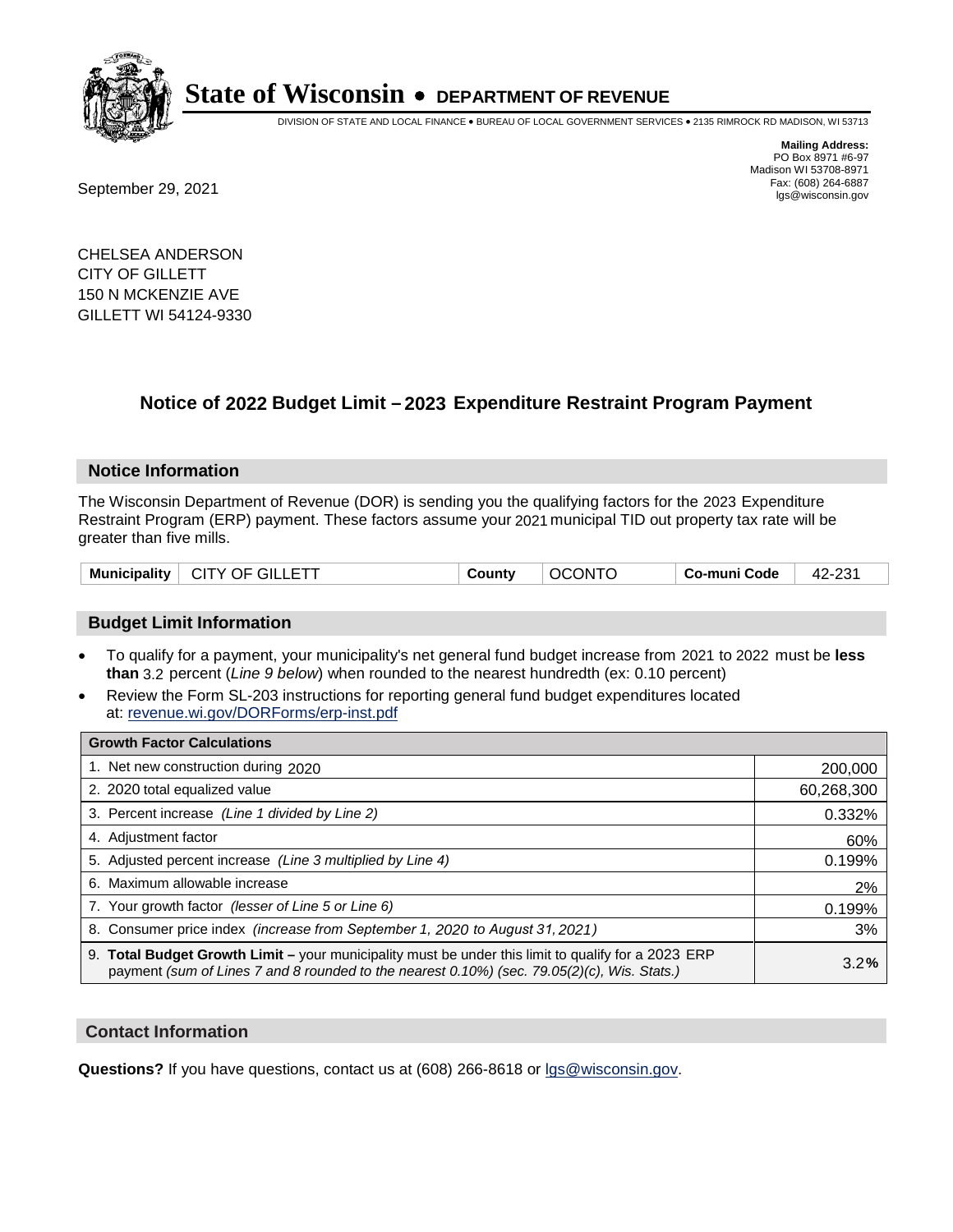

DIVISION OF STATE AND LOCAL FINANCE • BUREAU OF LOCAL GOVERNMENT SERVICES • 2135 RIMROCK RD MADISON, WI 53713

Fax: (608) 264-6887<br>
September 29, 2021 and the state of the state of the state of the state of the state of the state of the state of the state of the state of the state of the state of the state of the state of the state

**Mailing Address:** PO Box 8971 #6-97 Madison WI 53708-8971<br>Fax: (608) 264-6887

CHELSEA ANDERSON CITY OF GILLETT 150 N MCKENZIE AVE GILLETT WI 54124-9330

## **Notice of 2022 Budget Limit - 2023 Expenditure Restraint Program Payment**

#### **Notice Information**

The Wisconsin Department of Revenue (DOR) is sending you the qualifying factors for the 2023 Expenditure Restraint Program (ERP) payment. These factors assume your 2021 municipal TID out property tax rate will be greater than five mills.

| CITY OF GILLETT<br><b>Municipality</b> | County | <b>OCONTO</b> | ⊤ Co-muni Code | 42-231 |
|----------------------------------------|--------|---------------|----------------|--------|
|----------------------------------------|--------|---------------|----------------|--------|

#### **Budget Limit Information**

- To qualify for a payment, your municipality's net general fund budget increase from 2021 to 2022 must be less **than** 3.2 percent (*Line 9 below*) when rounded to the nearest hundredth (ex: 0.10 percent)
- Review the Form SL-203 instructions for reporting general fund budget expenditures located at: revenue.wi.gov/DORForms/erp-inst.pdf

| <b>Growth Factor Calculations</b>                                                                                                                                                                  |            |
|----------------------------------------------------------------------------------------------------------------------------------------------------------------------------------------------------|------------|
| 1. Net new construction during 2020                                                                                                                                                                | 200,000    |
| 2. 2020 total equalized value                                                                                                                                                                      | 60,268,300 |
| 3. Percent increase (Line 1 divided by Line 2)                                                                                                                                                     | 0.332%     |
| 4. Adjustment factor                                                                                                                                                                               | 60%        |
| 5. Adjusted percent increase (Line 3 multiplied by Line 4)                                                                                                                                         | 0.199%     |
| 6. Maximum allowable increase                                                                                                                                                                      | 2%         |
| 7. Your growth factor (lesser of Line 5 or Line 6)                                                                                                                                                 | 0.199%     |
| 8. Consumer price index (increase from September 1, 2020 to August 31, 2021)                                                                                                                       | 3%         |
| 9. Total Budget Growth Limit – your municipality must be under this limit to qualify for a 2023 ERP<br>payment (sum of Lines 7 and 8 rounded to the nearest 0.10%) (sec. 79.05(2)(c), Wis. Stats.) | 3.2%       |

#### **Contact Information**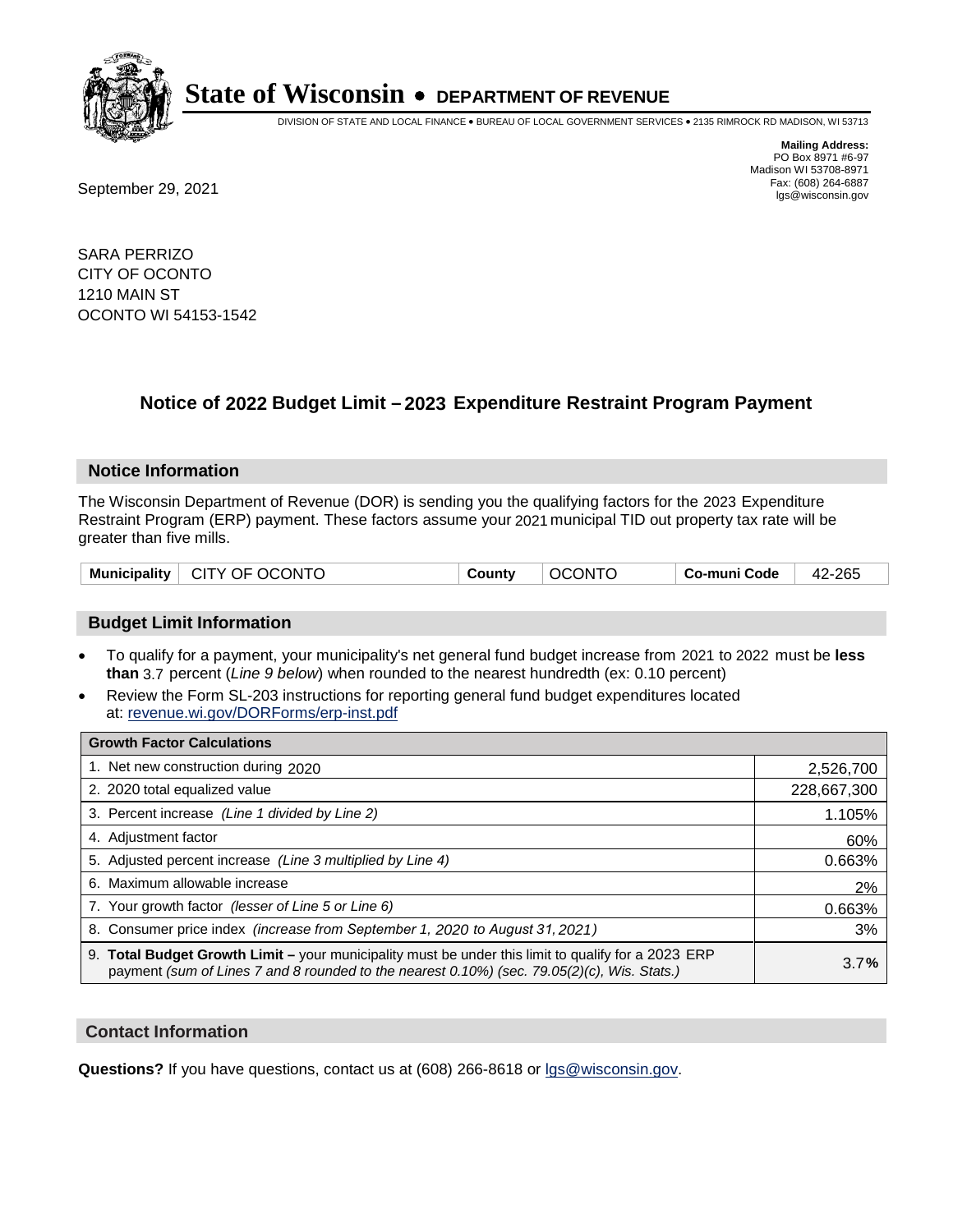

DIVISION OF STATE AND LOCAL FINANCE • BUREAU OF LOCAL GOVERNMENT SERVICES • 2135 RIMROCK RD MADISON, WI 53713

**Mailing Address:** PO Box 8971 #6-97 Madison WI 53708-8971<br>Fax: (608) 264-6887 Fax: (608) 264-6887<br>
September 29, 2021 and the state of the state of the state of the state of the state of the state of the state of the state of the state of the state of the state of the state of the state of the state

SARA PERRIZO CITY OF OCONTO 1210 MAIN ST OCONTO WI 54153-1542

## **Notice of 2022 Budget Limit - 2023 Expenditure Restraint Program Payment**

#### **Notice Information**

The Wisconsin Department of Revenue (DOR) is sending you the qualifying factors for the 2023 Expenditure Restraint Program (ERP) payment. These factors assume your 2021 municipal TID out property tax rate will be greater than five mills.

| Municipality   CITY OF OCONTO | County | <b>OCONTO</b> | ∣ Co-muni Code | 42-265 |
|-------------------------------|--------|---------------|----------------|--------|
|-------------------------------|--------|---------------|----------------|--------|

### **Budget Limit Information**

- To qualify for a payment, your municipality's net general fund budget increase from 2021 to 2022 must be less **than** 3.7 percent (*Line 9 below*) when rounded to the nearest hundredth (ex: 0.10 percent)
- Review the Form SL-203 instructions for reporting general fund budget expenditures located at: revenue.wi.gov/DORForms/erp-inst.pdf

| <b>Growth Factor Calculations</b>                                                                                                                                                                  |             |
|----------------------------------------------------------------------------------------------------------------------------------------------------------------------------------------------------|-------------|
| 1. Net new construction during 2020                                                                                                                                                                | 2,526,700   |
| 2. 2020 total equalized value                                                                                                                                                                      | 228,667,300 |
| 3. Percent increase (Line 1 divided by Line 2)                                                                                                                                                     | 1.105%      |
| 4. Adjustment factor                                                                                                                                                                               | 60%         |
| 5. Adjusted percent increase (Line 3 multiplied by Line 4)                                                                                                                                         | 0.663%      |
| 6. Maximum allowable increase                                                                                                                                                                      | 2%          |
| 7. Your growth factor (lesser of Line 5 or Line 6)                                                                                                                                                 | 0.663%      |
| 8. Consumer price index (increase from September 1, 2020 to August 31, 2021)                                                                                                                       | 3%          |
| 9. Total Budget Growth Limit – your municipality must be under this limit to qualify for a 2023 ERP<br>payment (sum of Lines 7 and 8 rounded to the nearest 0.10%) (sec. 79.05(2)(c), Wis. Stats.) | 3.7%        |

#### **Contact Information**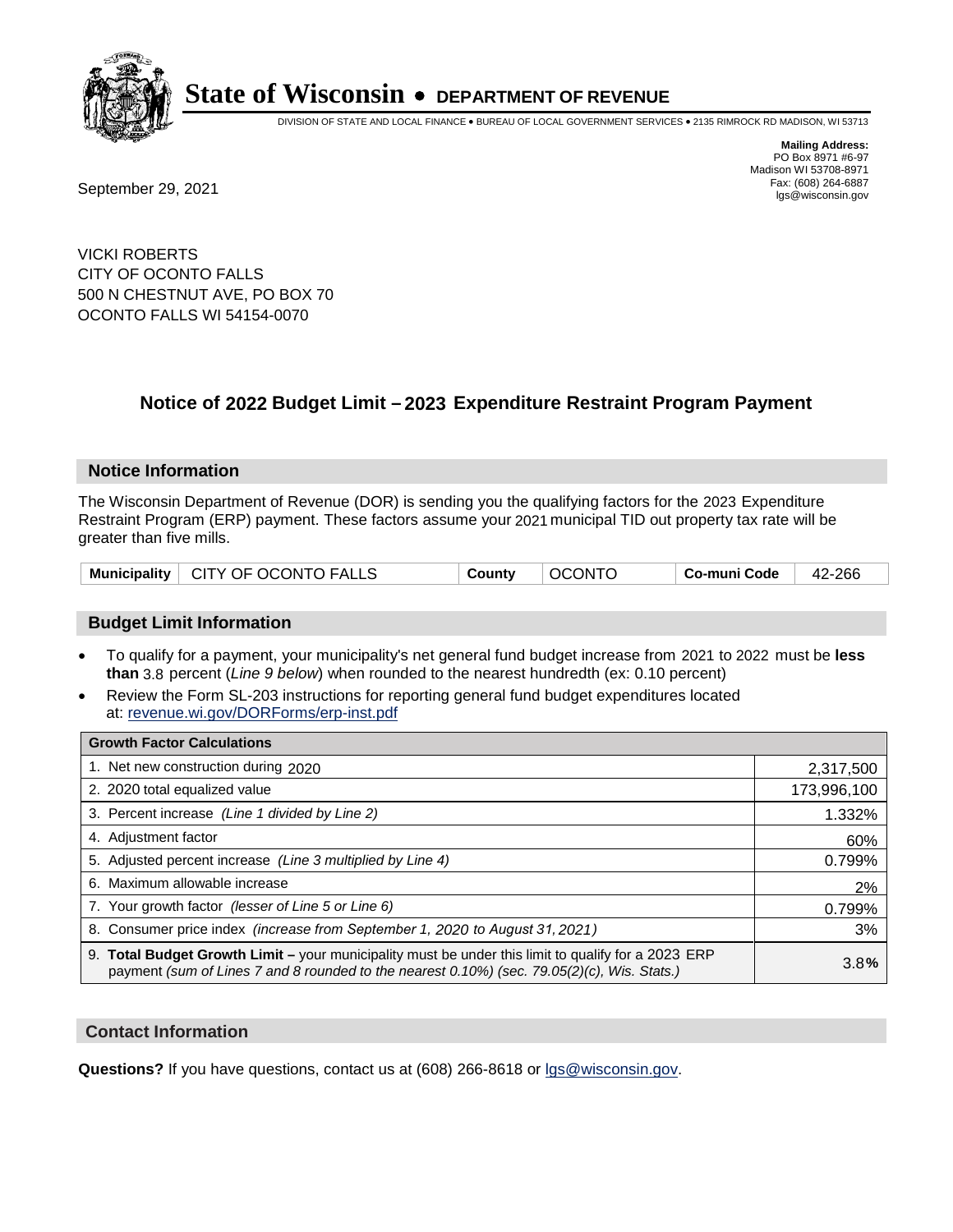

DIVISION OF STATE AND LOCAL FINANCE • BUREAU OF LOCAL GOVERNMENT SERVICES • 2135 RIMROCK RD MADISON, WI 53713

**Mailing Address:** PO Box 8971 #6-97 Madison WI 53708-8971<br>Fax: (608) 264-6887

Fax: (608) 264-6887<br>
September 29, 2021 and the state of the state of the state of the state of the state of the state of the state of the state of the state of the state of the state of the state of the state of the state

VICKI ROBERTS CITY OF OCONTO FALLS 500 N CHESTNUT AVE, PO BOX 70 OCONTO FALLS WI 54154-0070

## **Notice of 2022 Budget Limit - 2023 Expenditure Restraint Program Payment**

#### **Notice Information**

The Wisconsin Department of Revenue (DOR) is sending you the qualifying factors for the 2023 Expenditure Restraint Program (ERP) payment. These factors assume your 2021 municipal TID out property tax rate will be greater than five mills.

| Municipality   CITY OF OCONTO FALLS | County | ' OCONTO | Co-muni Code | 42-266 |
|-------------------------------------|--------|----------|--------------|--------|
|-------------------------------------|--------|----------|--------------|--------|

### **Budget Limit Information**

- To qualify for a payment, your municipality's net general fund budget increase from 2021 to 2022 must be less **than** 3.8 percent (*Line 9 below*) when rounded to the nearest hundredth (ex: 0.10 percent)
- Review the Form SL-203 instructions for reporting general fund budget expenditures located at: revenue.wi.gov/DORForms/erp-inst.pdf

| <b>Growth Factor Calculations</b>                                                                                                                                                                  |             |
|----------------------------------------------------------------------------------------------------------------------------------------------------------------------------------------------------|-------------|
| 1. Net new construction during 2020                                                                                                                                                                | 2,317,500   |
| 2. 2020 total equalized value                                                                                                                                                                      | 173,996,100 |
| 3. Percent increase (Line 1 divided by Line 2)                                                                                                                                                     | 1.332%      |
| 4. Adjustment factor                                                                                                                                                                               | 60%         |
| 5. Adjusted percent increase (Line 3 multiplied by Line 4)                                                                                                                                         | 0.799%      |
| 6. Maximum allowable increase                                                                                                                                                                      | 2%          |
| 7. Your growth factor (lesser of Line 5 or Line 6)                                                                                                                                                 | 0.799%      |
| 8. Consumer price index (increase from September 1, 2020 to August 31, 2021)                                                                                                                       | 3%          |
| 9. Total Budget Growth Limit - your municipality must be under this limit to qualify for a 2023 ERP<br>payment (sum of Lines 7 and 8 rounded to the nearest 0.10%) (sec. 79.05(2)(c), Wis. Stats.) | 3.8%        |

#### **Contact Information**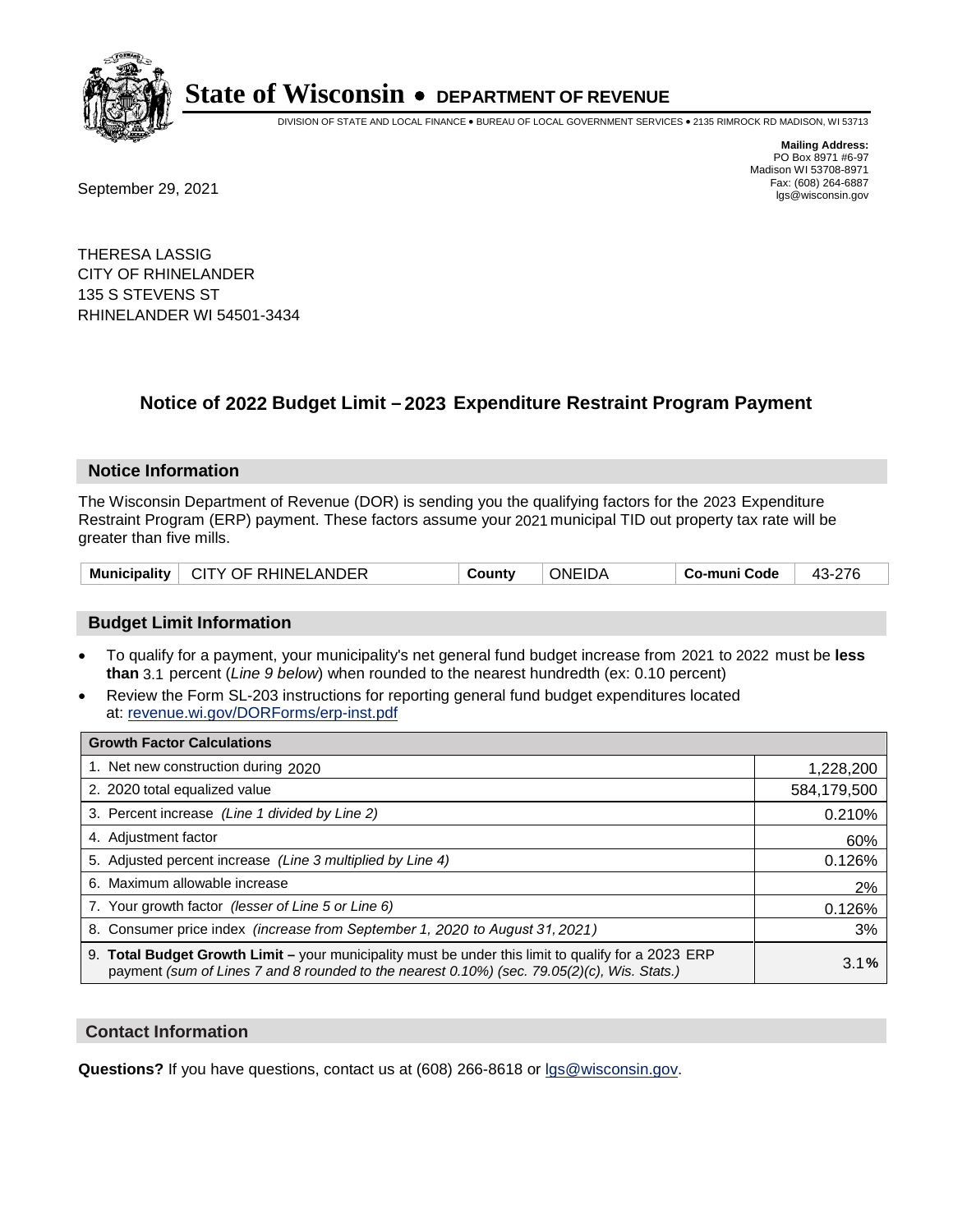

DIVISION OF STATE AND LOCAL FINANCE • BUREAU OF LOCAL GOVERNMENT SERVICES • 2135 RIMROCK RD MADISON, WI 53713

Fax: (608) 264-6887<br>
September 29, 2021 and the state of the state of the state of the state of the state of the state of the state of the state of the state of the state of the state of the state of the state of the state

**Mailing Address:** PO Box 8971 #6-97 Madison WI 53708-8971<br>Fax: (608) 264-6887

THERESA LASSIG CITY OF RHINELANDER 135 S STEVENS ST RHINELANDER WI 54501-3434

## **Notice of 2022 Budget Limit - 2023 Expenditure Restraint Program Payment**

#### **Notice Information**

The Wisconsin Department of Revenue (DOR) is sending you the qualifying factors for the 2023 Expenditure Restraint Program (ERP) payment. These factors assume your 2021 municipal TID out property tax rate will be greater than five mills.

| <b>Municipality</b><br>CITY OF RHINELANDER | Countv | <b>ONEIDA</b> | Co-muni Code |  |
|--------------------------------------------|--------|---------------|--------------|--|
|--------------------------------------------|--------|---------------|--------------|--|

### **Budget Limit Information**

- To qualify for a payment, your municipality's net general fund budget increase from 2021 to 2022 must be less **than** 3.1 percent (*Line 9 below*) when rounded to the nearest hundredth (ex: 0.10 percent)
- Review the Form SL-203 instructions for reporting general fund budget expenditures located at: revenue.wi.gov/DORForms/erp-inst.pdf

| <b>Growth Factor Calculations</b>                                                                                                                                                                  |             |
|----------------------------------------------------------------------------------------------------------------------------------------------------------------------------------------------------|-------------|
| 1. Net new construction during 2020                                                                                                                                                                | 1,228,200   |
| 2. 2020 total equalized value                                                                                                                                                                      | 584,179,500 |
| 3. Percent increase (Line 1 divided by Line 2)                                                                                                                                                     | 0.210%      |
| 4. Adiustment factor                                                                                                                                                                               | 60%         |
| 5. Adjusted percent increase (Line 3 multiplied by Line 4)                                                                                                                                         | 0.126%      |
| 6. Maximum allowable increase                                                                                                                                                                      | 2%          |
| 7. Your growth factor (lesser of Line 5 or Line 6)                                                                                                                                                 | 0.126%      |
| 8. Consumer price index (increase from September 1, 2020 to August 31, 2021)                                                                                                                       | 3%          |
| 9. Total Budget Growth Limit - your municipality must be under this limit to qualify for a 2023 ERP<br>payment (sum of Lines 7 and 8 rounded to the nearest 0.10%) (sec. 79.05(2)(c), Wis. Stats.) | 3.1%        |

#### **Contact Information**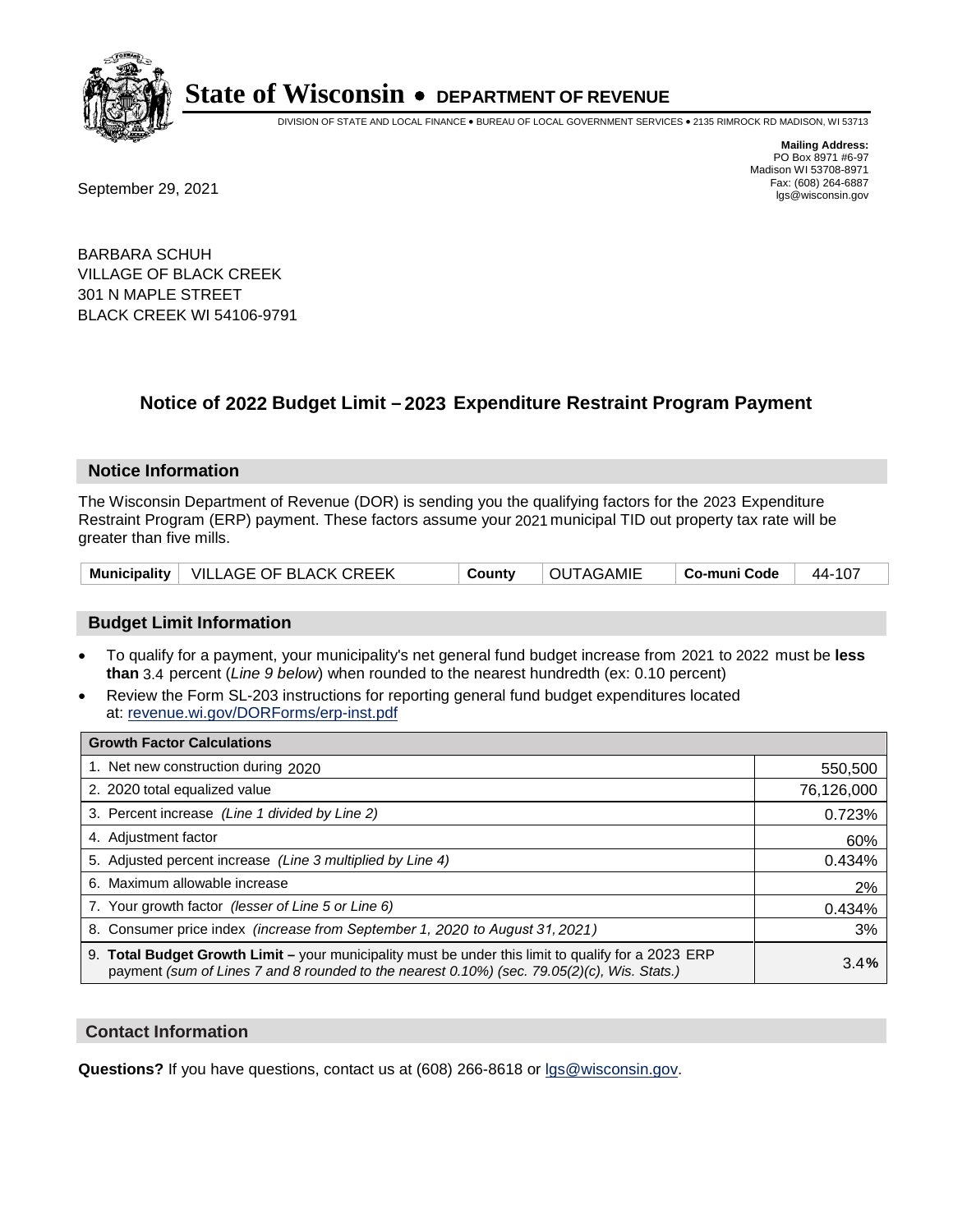

DIVISION OF STATE AND LOCAL FINANCE • BUREAU OF LOCAL GOVERNMENT SERVICES • 2135 RIMROCK RD MADISON, WI 53713

Fax: (608) 264-6887<br>
September 29, 2021 and the state of the state of the state of the state of the state of the state of the state of the state of the state of the state of the state of the state of the state of the state

**Mailing Address:** PO Box 8971 #6-97 Madison WI 53708-8971<br>Fax: (608) 264-6887

BARBARA SCHUH VILLAGE OF BLACK CREEK 301 N MAPLE STREET BLACK CREEK WI 54106-9791

## **Notice of 2022 Budget Limit - 2023 Expenditure Restraint Program Payment**

#### **Notice Information**

The Wisconsin Department of Revenue (DOR) is sending you the qualifying factors for the 2023 Expenditure Restraint Program (ERP) payment. These factors assume your 2021 municipal TID out property tax rate will be greater than five mills.

|  | Municipality   VILLAGE OF BLACK CREEK | County | <b>OUTAGAMIE</b> | $\vert$ Co-muni Code $\vert$ 44-107 |  |
|--|---------------------------------------|--------|------------------|-------------------------------------|--|
|--|---------------------------------------|--------|------------------|-------------------------------------|--|

#### **Budget Limit Information**

- To qualify for a payment, your municipality's net general fund budget increase from 2021 to 2022 must be less **than** 3.4 percent (*Line 9 below*) when rounded to the nearest hundredth (ex: 0.10 percent)
- Review the Form SL-203 instructions for reporting general fund budget expenditures located at: revenue.wi.gov/DORForms/erp-inst.pdf

| <b>Growth Factor Calculations</b>                                                                                                                                                                  |            |
|----------------------------------------------------------------------------------------------------------------------------------------------------------------------------------------------------|------------|
| 1. Net new construction during 2020                                                                                                                                                                | 550,500    |
| 2. 2020 total equalized value                                                                                                                                                                      | 76,126,000 |
| 3. Percent increase (Line 1 divided by Line 2)                                                                                                                                                     | 0.723%     |
| 4. Adjustment factor                                                                                                                                                                               | 60%        |
| 5. Adjusted percent increase (Line 3 multiplied by Line 4)                                                                                                                                         | 0.434%     |
| 6. Maximum allowable increase                                                                                                                                                                      | 2%         |
| 7. Your growth factor (lesser of Line 5 or Line 6)                                                                                                                                                 | 0.434%     |
| 8. Consumer price index (increase from September 1, 2020 to August 31, 2021)                                                                                                                       | 3%         |
| 9. Total Budget Growth Limit - your municipality must be under this limit to qualify for a 2023 ERP<br>payment (sum of Lines 7 and 8 rounded to the nearest 0.10%) (sec. 79.05(2)(c), Wis. Stats.) | 3.4%       |

#### **Contact Information**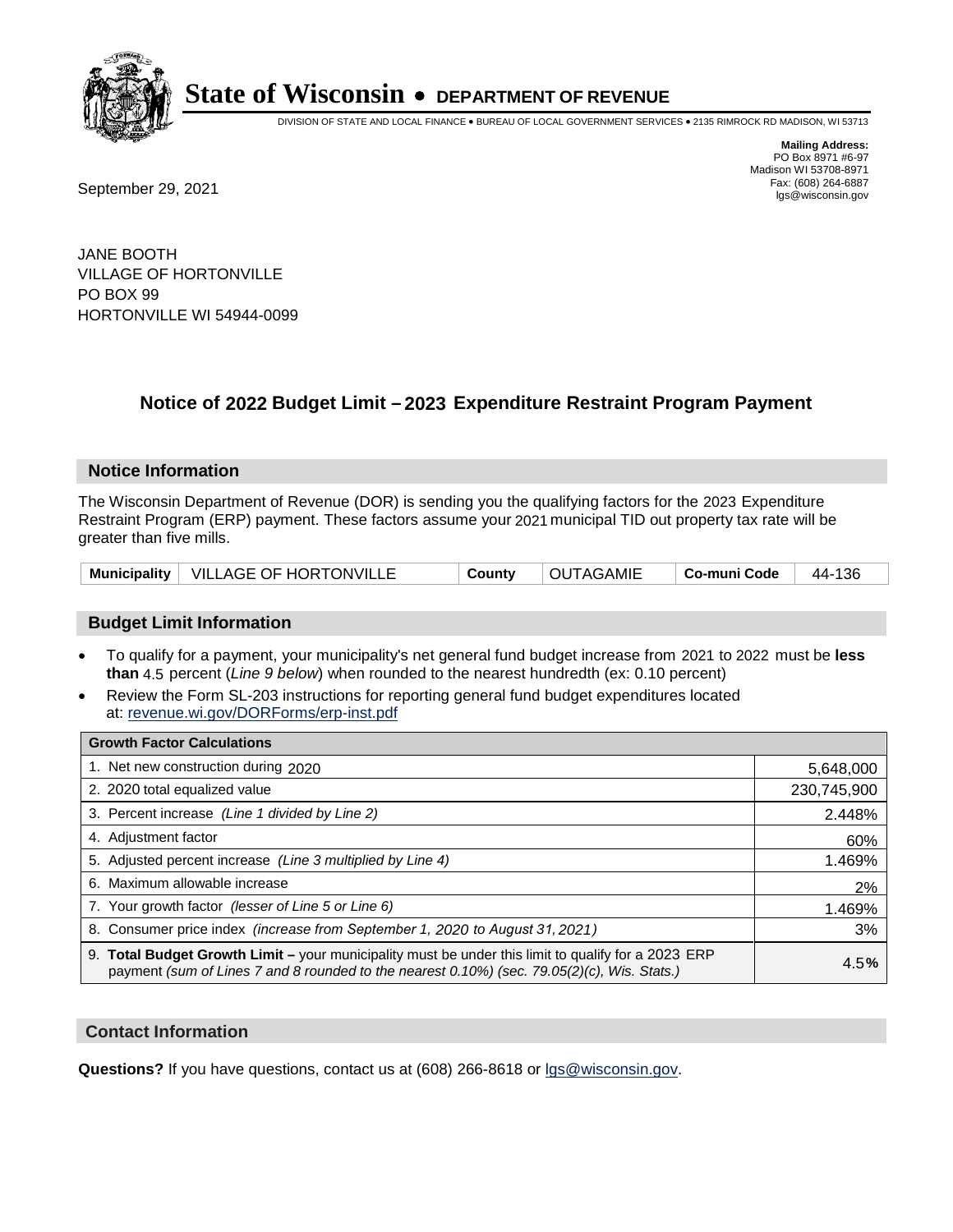

DIVISION OF STATE AND LOCAL FINANCE • BUREAU OF LOCAL GOVERNMENT SERVICES • 2135 RIMROCK RD MADISON, WI 53713

Fax: (608) 264-6887<br>
September 29, 2021 and the state of the state of the state of the state of the state of the state of the state of the state of the state of the state of the state of the state of the state of the state

**Mailing Address:** PO Box 8971 #6-97 Madison WI 53708-8971<br>Fax: (608) 264-6887

JANE BOOTH VILLAGE OF HORTONVILLE PO BOX 99 HORTONVILLE WI 54944-0099

## **Notice of 2022 Budget Limit - 2023 Expenditure Restraint Program Payment**

#### **Notice Information**

The Wisconsin Department of Revenue (DOR) is sending you the qualifying factors for the 2023 Expenditure Restraint Program (ERP) payment. These factors assume your 2021 municipal TID out property tax rate will be greater than five mills.

|  | Municipality   VILLAGE OF HORTONVILLE | County | <b>OUTAGAMIE</b> | Co-muni Code   44-136 |  |
|--|---------------------------------------|--------|------------------|-----------------------|--|
|--|---------------------------------------|--------|------------------|-----------------------|--|

### **Budget Limit Information**

- To qualify for a payment, your municipality's net general fund budget increase from 2021 to 2022 must be less **than** 4.5 percent (*Line 9 below*) when rounded to the nearest hundredth (ex: 0.10 percent)
- Review the Form SL-203 instructions for reporting general fund budget expenditures located at: revenue.wi.gov/DORForms/erp-inst.pdf

| <b>Growth Factor Calculations</b>                                                                                                                                                                  |             |
|----------------------------------------------------------------------------------------------------------------------------------------------------------------------------------------------------|-------------|
| 1. Net new construction during 2020                                                                                                                                                                | 5,648,000   |
| 2. 2020 total equalized value                                                                                                                                                                      | 230,745,900 |
| 3. Percent increase (Line 1 divided by Line 2)                                                                                                                                                     | 2.448%      |
| 4. Adjustment factor                                                                                                                                                                               | 60%         |
| 5. Adjusted percent increase (Line 3 multiplied by Line 4)                                                                                                                                         | 1.469%      |
| 6. Maximum allowable increase                                                                                                                                                                      | 2%          |
| 7. Your growth factor (lesser of Line 5 or Line 6)                                                                                                                                                 | 1.469%      |
| 8. Consumer price index (increase from September 1, 2020 to August 31, 2021)                                                                                                                       | 3%          |
| 9. Total Budget Growth Limit - your municipality must be under this limit to qualify for a 2023 ERP<br>payment (sum of Lines 7 and 8 rounded to the nearest 0.10%) (sec. 79.05(2)(c), Wis. Stats.) | 4.5%        |

#### **Contact Information**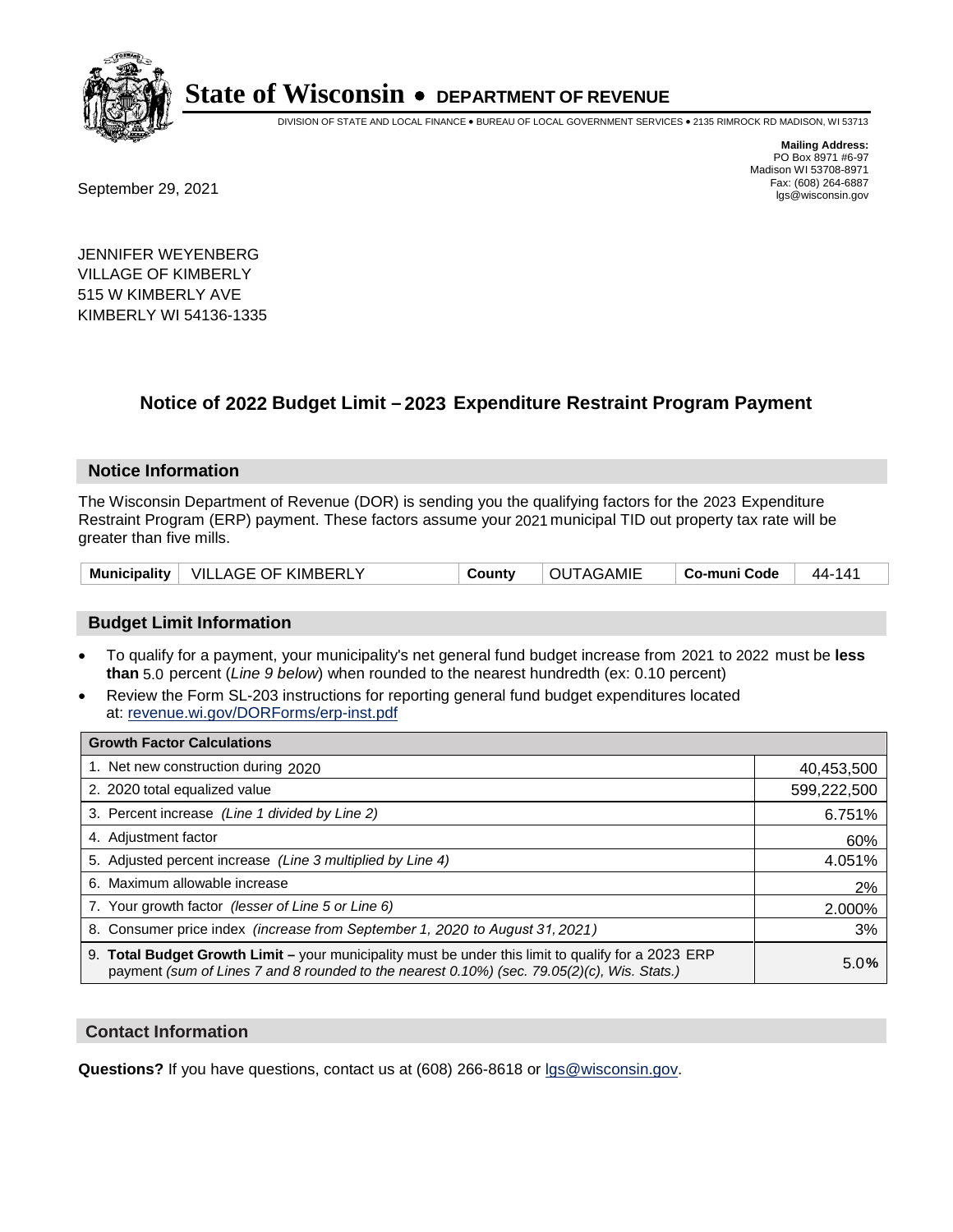

DIVISION OF STATE AND LOCAL FINANCE • BUREAU OF LOCAL GOVERNMENT SERVICES • 2135 RIMROCK RD MADISON, WI 53713

Fax: (608) 264-6887<br>
September 29, 2021 and the state of the state of the state of the state of the state of the state of the state of the state of the state of the state of the state of the state of the state of the state

**Mailing Address:** PO Box 8971 #6-97 Madison WI 53708-8971<br>Fax: (608) 264-6887

JENNIFER WEYENBERG VILLAGE OF KIMBERLY 515 W KIMBERLY AVE KIMBERLY WI 54136-1335

### **Notice of 2022 Budget Limit - 2023 Expenditure Restraint Program Payment**

#### **Notice Information**

The Wisconsin Department of Revenue (DOR) is sending you the qualifying factors for the 2023 Expenditure Restraint Program (ERP) payment. These factors assume your 2021 municipal TID out property tax rate will be greater than five mills.

|  | Municipality   VILLAGE OF KIMBERLY | County | <b>OUTAGAMIE</b> | ∣ Co-muni Code | 44-141 |
|--|------------------------------------|--------|------------------|----------------|--------|
|--|------------------------------------|--------|------------------|----------------|--------|

### **Budget Limit Information**

- To qualify for a payment, your municipality's net general fund budget increase from 2021 to 2022 must be less **than** 5.0 percent (*Line 9 below*) when rounded to the nearest hundredth (ex: 0.10 percent)
- Review the Form SL-203 instructions for reporting general fund budget expenditures located at: revenue.wi.gov/DORForms/erp-inst.pdf

| <b>Growth Factor Calculations</b>                                                                                                                                                                  |             |
|----------------------------------------------------------------------------------------------------------------------------------------------------------------------------------------------------|-------------|
| 1. Net new construction during 2020                                                                                                                                                                | 40,453,500  |
| 2. 2020 total equalized value                                                                                                                                                                      | 599,222,500 |
| 3. Percent increase (Line 1 divided by Line 2)                                                                                                                                                     | 6.751%      |
| 4. Adjustment factor                                                                                                                                                                               | 60%         |
| 5. Adjusted percent increase (Line 3 multiplied by Line 4)                                                                                                                                         | 4.051%      |
| 6. Maximum allowable increase                                                                                                                                                                      | 2%          |
| 7. Your growth factor (lesser of Line 5 or Line 6)                                                                                                                                                 | 2.000%      |
| 8. Consumer price index (increase from September 1, 2020 to August 31, 2021)                                                                                                                       | 3%          |
| 9. Total Budget Growth Limit - your municipality must be under this limit to qualify for a 2023 ERP<br>payment (sum of Lines 7 and 8 rounded to the nearest 0.10%) (sec. 79.05(2)(c), Wis. Stats.) | 5.0%        |

#### **Contact Information**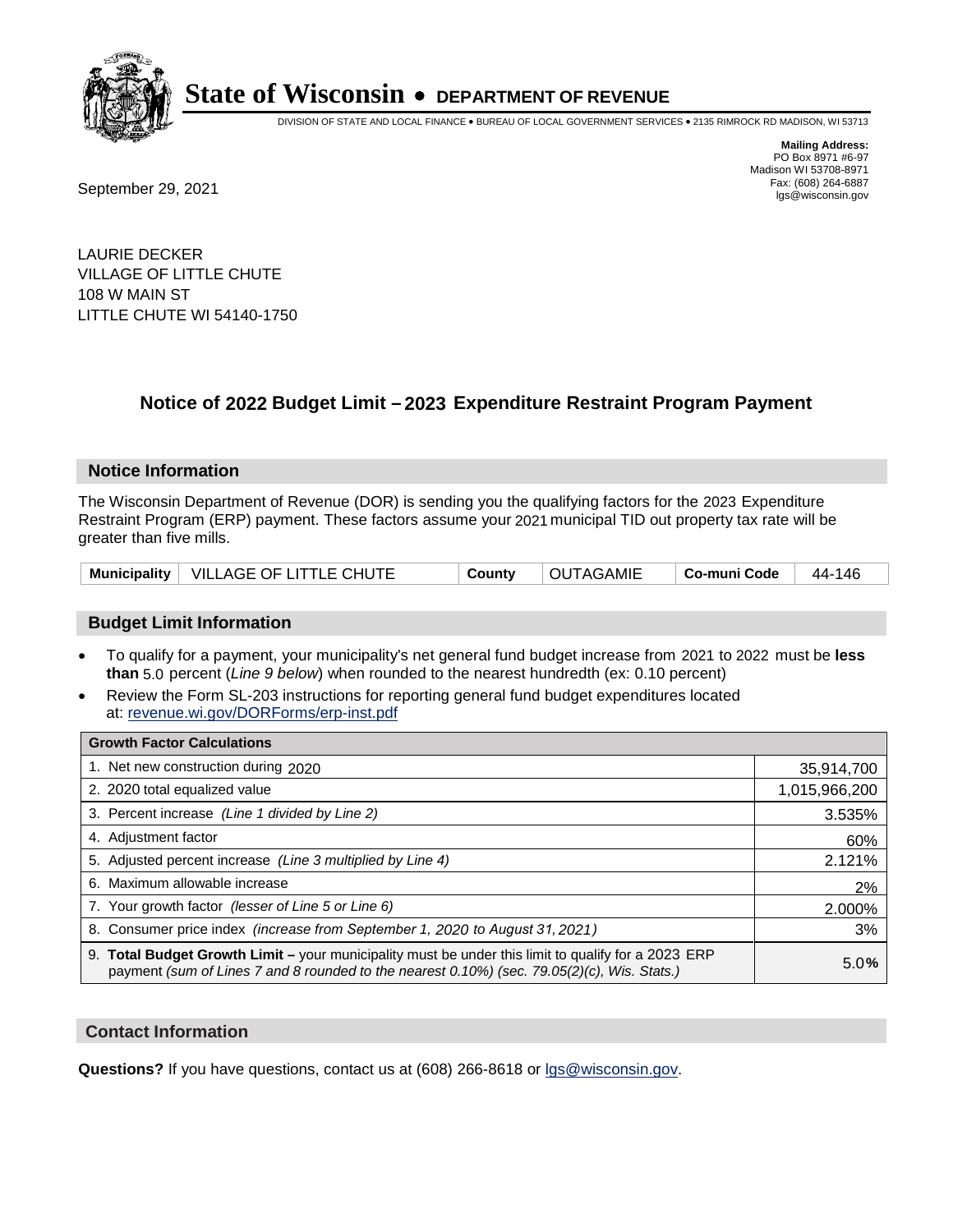

DIVISION OF STATE AND LOCAL FINANCE • BUREAU OF LOCAL GOVERNMENT SERVICES • 2135 RIMROCK RD MADISON, WI 53713

Fax: (608) 264-6887<br>
September 29, 2021 and the state of the state of the state of the state of the state of the state of the state of the state of the state of the state of the state of the state of the state of the state

**Mailing Address:** PO Box 8971 #6-97 Madison WI 53708-8971<br>Fax: (608) 264-6887

LAURIE DECKER VILLAGE OF LITTLE CHUTE 108 W MAIN ST LITTLE CHUTE WI 54140-1750

## **Notice of 2022 Budget Limit - 2023 Expenditure Restraint Program Payment**

#### **Notice Information**

The Wisconsin Department of Revenue (DOR) is sending you the qualifying factors for the 2023 Expenditure Restraint Program (ERP) payment. These factors assume your 2021 municipal TID out property tax rate will be greater than five mills.

| Municipality   VILLAGE OF LITTLE CHUTE | County | OUTAGAMIE | $\mid$ Co-muni Code $\mid$ 44-146 |  |
|----------------------------------------|--------|-----------|-----------------------------------|--|
|----------------------------------------|--------|-----------|-----------------------------------|--|

### **Budget Limit Information**

- To qualify for a payment, your municipality's net general fund budget increase from 2021 to 2022 must be less **than** 5.0 percent (*Line 9 below*) when rounded to the nearest hundredth (ex: 0.10 percent)
- Review the Form SL-203 instructions for reporting general fund budget expenditures located at: revenue.wi.gov/DORForms/erp-inst.pdf

| <b>Growth Factor Calculations</b>                                                                                                                                                                      |               |
|--------------------------------------------------------------------------------------------------------------------------------------------------------------------------------------------------------|---------------|
| 1. Net new construction during 2020                                                                                                                                                                    | 35,914,700    |
| 2. 2020 total equalized value                                                                                                                                                                          | 1,015,966,200 |
| 3. Percent increase (Line 1 divided by Line 2)                                                                                                                                                         | 3.535%        |
| 4. Adiustment factor                                                                                                                                                                                   | 60%           |
| 5. Adjusted percent increase (Line 3 multiplied by Line 4)                                                                                                                                             | 2.121%        |
| 6. Maximum allowable increase                                                                                                                                                                          | 2%            |
| 7. Your growth factor (lesser of Line 5 or Line 6)                                                                                                                                                     | 2.000%        |
| 8. Consumer price index (increase from September 1, 2020 to August 31, 2021)                                                                                                                           | 3%            |
| 9. Total Budget Growth Limit - your municipality must be under this limit to qualify for a 2023 ERP<br>payment (sum of Lines 7 and 8 rounded to the nearest $0.10\%$ ) (sec. 79.05(2)(c), Wis. Stats.) | 5.0%          |

#### **Contact Information**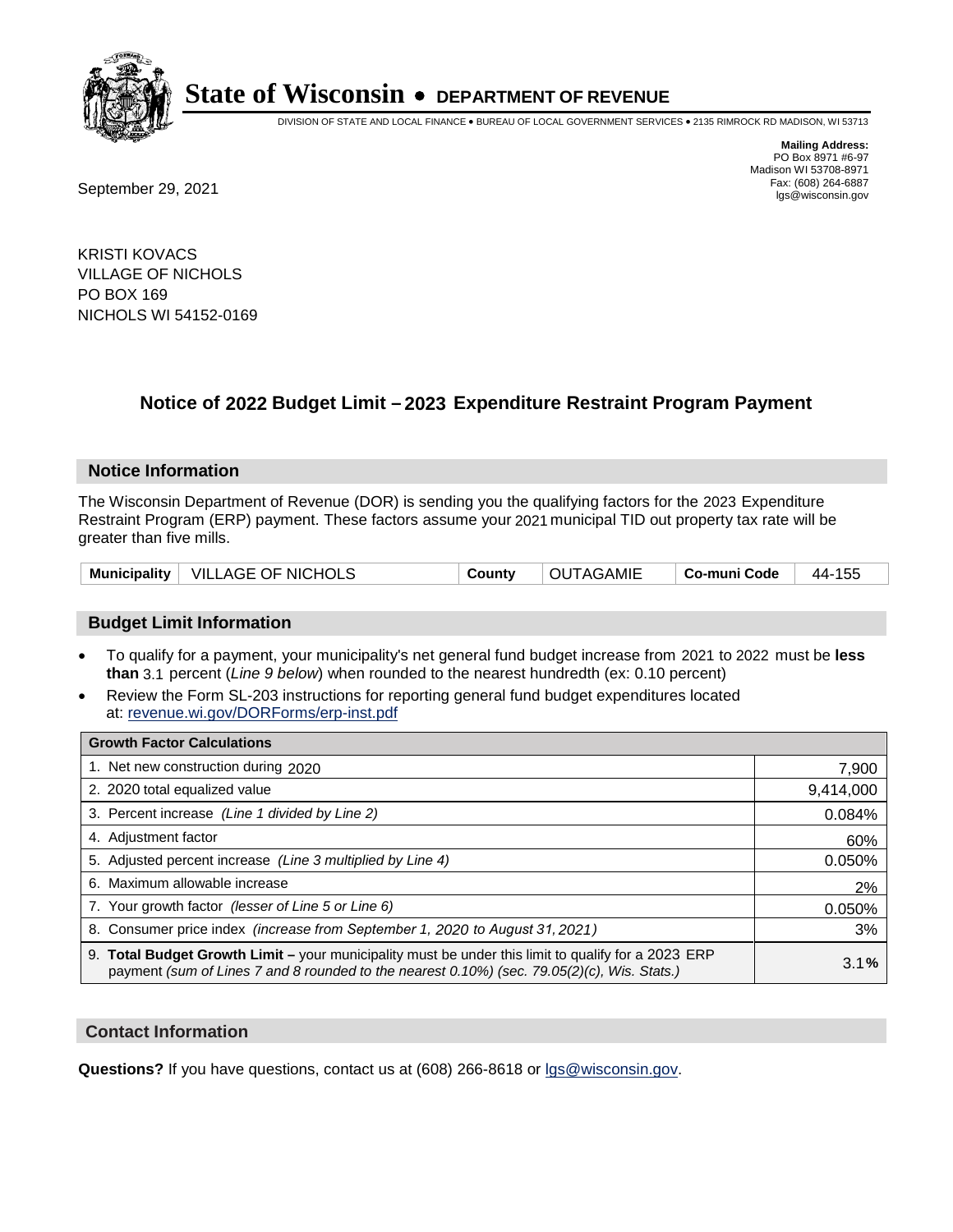

DIVISION OF STATE AND LOCAL FINANCE • BUREAU OF LOCAL GOVERNMENT SERVICES • 2135 RIMROCK RD MADISON, WI 53713

**Mailing Address:** PO Box 8971 #6-97 Madison WI 53708-8971<br>Fax: (608) 264-6887

Fax: (608) 264-6887<br>
September 29, 2021 and the state of the state of the state of the state of the state of the state of the state of the state of the state of the state of the state of the state of the state of the state

KRISTI KOVACS VILLAGE OF NICHOLS PO BOX 169 NICHOLS WI 54152-0169

## **Notice of 2022 Budget Limit - 2023 Expenditure Restraint Program Payment**

#### **Notice Information**

The Wisconsin Department of Revenue (DOR) is sending you the qualifying factors for the 2023 Expenditure Restraint Program (ERP) payment. These factors assume your 2021 municipal TID out property tax rate will be greater than five mills.

| Municipality   VILLAGE OF NICHOLS | County | OUTAGAMIE | $\mid$ Co-muni Code $\mid$ 44-155 |  |
|-----------------------------------|--------|-----------|-----------------------------------|--|
|-----------------------------------|--------|-----------|-----------------------------------|--|

### **Budget Limit Information**

- To qualify for a payment, your municipality's net general fund budget increase from 2021 to 2022 must be less **than** 3.1 percent (*Line 9 below*) when rounded to the nearest hundredth (ex: 0.10 percent)
- Review the Form SL-203 instructions for reporting general fund budget expenditures located at: revenue.wi.gov/DORForms/erp-inst.pdf

| <b>Growth Factor Calculations</b>                                                                                                                                                                  |           |
|----------------------------------------------------------------------------------------------------------------------------------------------------------------------------------------------------|-----------|
| 1. Net new construction during 2020                                                                                                                                                                | 7,900     |
| 2. 2020 total equalized value                                                                                                                                                                      | 9,414,000 |
| 3. Percent increase (Line 1 divided by Line 2)                                                                                                                                                     | 0.084%    |
| 4. Adjustment factor                                                                                                                                                                               | 60%       |
| 5. Adjusted percent increase (Line 3 multiplied by Line 4)                                                                                                                                         | 0.050%    |
| 6. Maximum allowable increase                                                                                                                                                                      | 2%        |
| 7. Your growth factor (lesser of Line 5 or Line 6)                                                                                                                                                 | 0.050%    |
| 8. Consumer price index (increase from September 1, 2020 to August 31, 2021)                                                                                                                       | 3%        |
| 9. Total Budget Growth Limit - your municipality must be under this limit to qualify for a 2023 ERP<br>payment (sum of Lines 7 and 8 rounded to the nearest 0.10%) (sec. 79.05(2)(c), Wis. Stats.) | 3.1%      |

#### **Contact Information**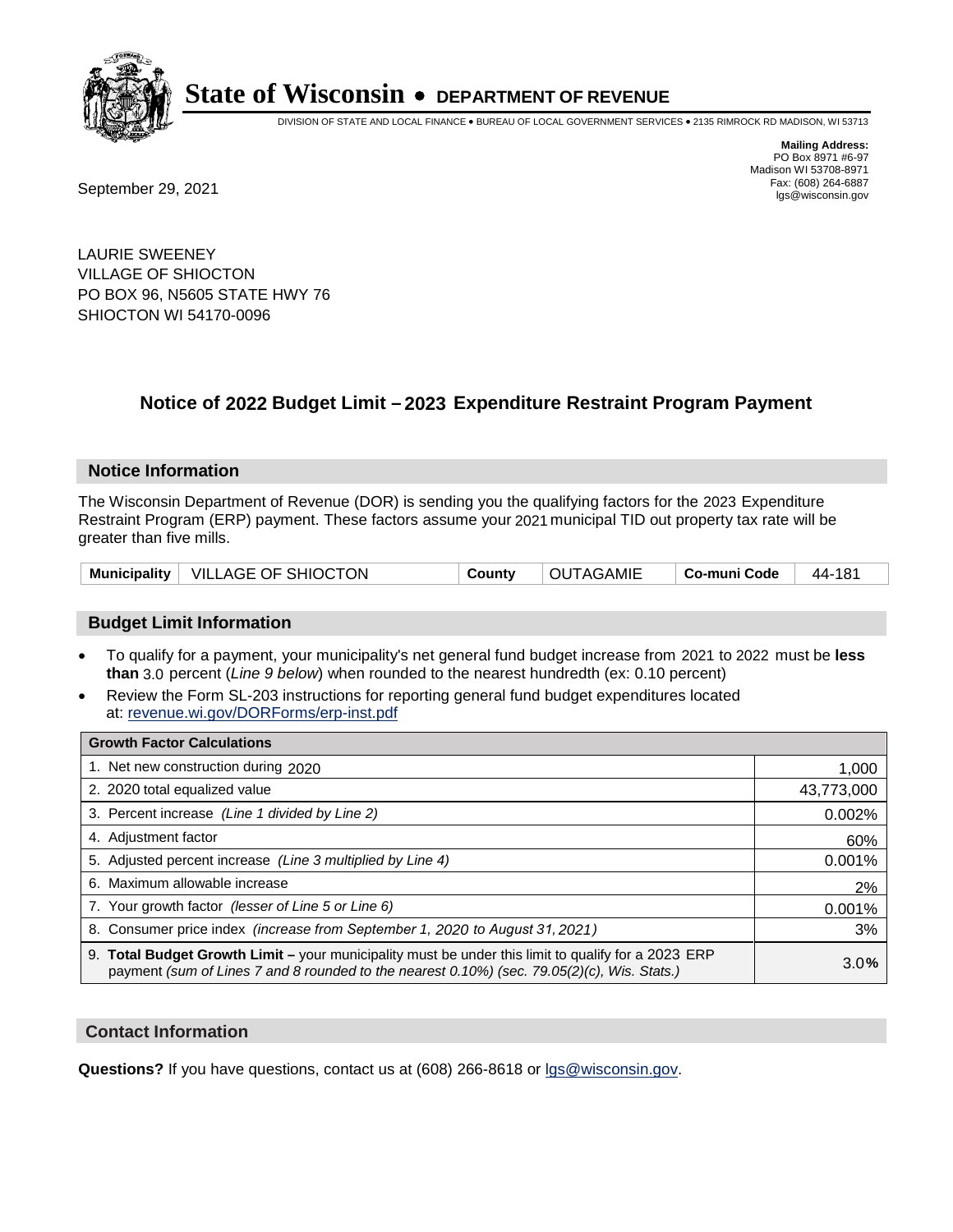

DIVISION OF STATE AND LOCAL FINANCE • BUREAU OF LOCAL GOVERNMENT SERVICES • 2135 RIMROCK RD MADISON, WI 53713

**Mailing Address:** PO Box 8971 #6-97 Madison WI 53708-8971<br>Fax: (608) 264-6887

Fax: (608) 264-6887<br>
September 29, 2021 and the state of the state of the state of the state of the state of the state of the state of the state of the state of the state of the state of the state of the state of the state

LAURIE SWEENEY VILLAGE OF SHIOCTON PO BOX 96, N5605 STATE HWY 76 SHIOCTON WI 54170-0096

## **Notice of 2022 Budget Limit - 2023 Expenditure Restraint Program Payment**

#### **Notice Information**

The Wisconsin Department of Revenue (DOR) is sending you the qualifying factors for the 2023 Expenditure Restraint Program (ERP) payment. These factors assume your 2021 municipal TID out property tax rate will be greater than five mills.

| Municipality   VILLAGE OF SHIOCTON<br>County | OUTAGAMIE | ∣ Co-muni Code ⊥ | $^+$ 44-181 |
|----------------------------------------------|-----------|------------------|-------------|
|----------------------------------------------|-----------|------------------|-------------|

### **Budget Limit Information**

- To qualify for a payment, your municipality's net general fund budget increase from 2021 to 2022 must be less **than** 3.0 percent (*Line 9 below*) when rounded to the nearest hundredth (ex: 0.10 percent)
- Review the Form SL-203 instructions for reporting general fund budget expenditures located at: revenue.wi.gov/DORForms/erp-inst.pdf

| <b>Growth Factor Calculations</b>                                                                                                                                                                      |            |
|--------------------------------------------------------------------------------------------------------------------------------------------------------------------------------------------------------|------------|
| 1. Net new construction during 2020                                                                                                                                                                    | 1,000      |
| 2. 2020 total equalized value                                                                                                                                                                          | 43,773,000 |
| 3. Percent increase (Line 1 divided by Line 2)                                                                                                                                                         | 0.002%     |
| 4. Adjustment factor                                                                                                                                                                                   | 60%        |
| 5. Adjusted percent increase (Line 3 multiplied by Line 4)                                                                                                                                             | 0.001%     |
| 6. Maximum allowable increase                                                                                                                                                                          | 2%         |
| 7. Your growth factor (lesser of Line 5 or Line 6)                                                                                                                                                     | 0.001%     |
| 8. Consumer price index (increase from September 1, 2020 to August 31, 2021)                                                                                                                           | 3%         |
| 9. Total Budget Growth Limit - your municipality must be under this limit to qualify for a 2023 ERP<br>payment (sum of Lines 7 and 8 rounded to the nearest $0.10\%$ ) (sec. 79.05(2)(c), Wis. Stats.) | 3.0%       |

#### **Contact Information**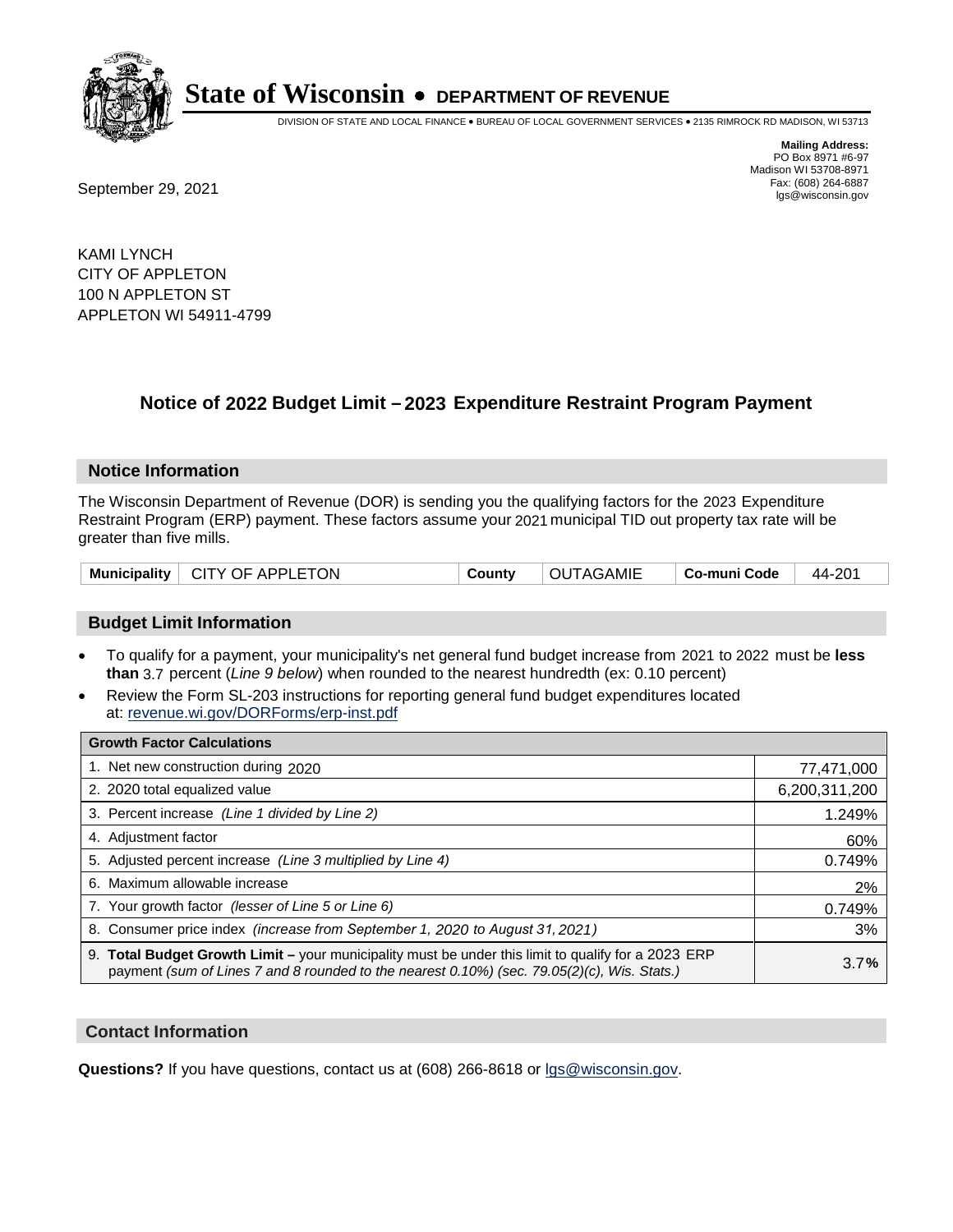

DIVISION OF STATE AND LOCAL FINANCE • BUREAU OF LOCAL GOVERNMENT SERVICES • 2135 RIMROCK RD MADISON, WI 53713

Fax: (608) 264-6887<br>
September 29, 2021 and the state of the state of the state of the state of the state of the state of the state of the state of the state of the state of the state of the state of the state of the state

**Mailing Address:** PO Box 8971 #6-97 Madison WI 53708-8971<br>Fax: (608) 264-6887

KAMI LYNCH CITY OF APPLETON 100 N APPLETON ST APPLETON WI 54911-4799

## **Notice of 2022 Budget Limit - 2023 Expenditure Restraint Program Payment**

#### **Notice Information**

The Wisconsin Department of Revenue (DOR) is sending you the qualifying factors for the 2023 Expenditure Restraint Program (ERP) payment. These factors assume your 2021 municipal TID out property tax rate will be greater than five mills.

| Municipality   CITY OF APPLETON | <b>OUTAGAMIE</b><br>County | ∣ Co-muni Code | 44-201 |
|---------------------------------|----------------------------|----------------|--------|
|---------------------------------|----------------------------|----------------|--------|

### **Budget Limit Information**

- To qualify for a payment, your municipality's net general fund budget increase from 2021 to 2022 must be less **than** 3.7 percent (*Line 9 below*) when rounded to the nearest hundredth (ex: 0.10 percent)
- Review the Form SL-203 instructions for reporting general fund budget expenditures located at: revenue.wi.gov/DORForms/erp-inst.pdf

| <b>Growth Factor Calculations</b>                                                                                                                                                                  |               |
|----------------------------------------------------------------------------------------------------------------------------------------------------------------------------------------------------|---------------|
| 1. Net new construction during 2020                                                                                                                                                                | 77,471,000    |
| 2. 2020 total equalized value                                                                                                                                                                      | 6,200,311,200 |
| 3. Percent increase (Line 1 divided by Line 2)                                                                                                                                                     | 1.249%        |
| 4. Adiustment factor                                                                                                                                                                               | 60%           |
| 5. Adjusted percent increase (Line 3 multiplied by Line 4)                                                                                                                                         | 0.749%        |
| 6. Maximum allowable increase                                                                                                                                                                      | 2%            |
| 7. Your growth factor (lesser of Line 5 or Line 6)                                                                                                                                                 | 0.749%        |
| 8. Consumer price index (increase from September 1, 2020 to August 31, 2021)                                                                                                                       | 3%            |
| 9. Total Budget Growth Limit - your municipality must be under this limit to qualify for a 2023 ERP<br>payment (sum of Lines 7 and 8 rounded to the nearest 0.10%) (sec. 79.05(2)(c), Wis. Stats.) | 3.7%          |

#### **Contact Information**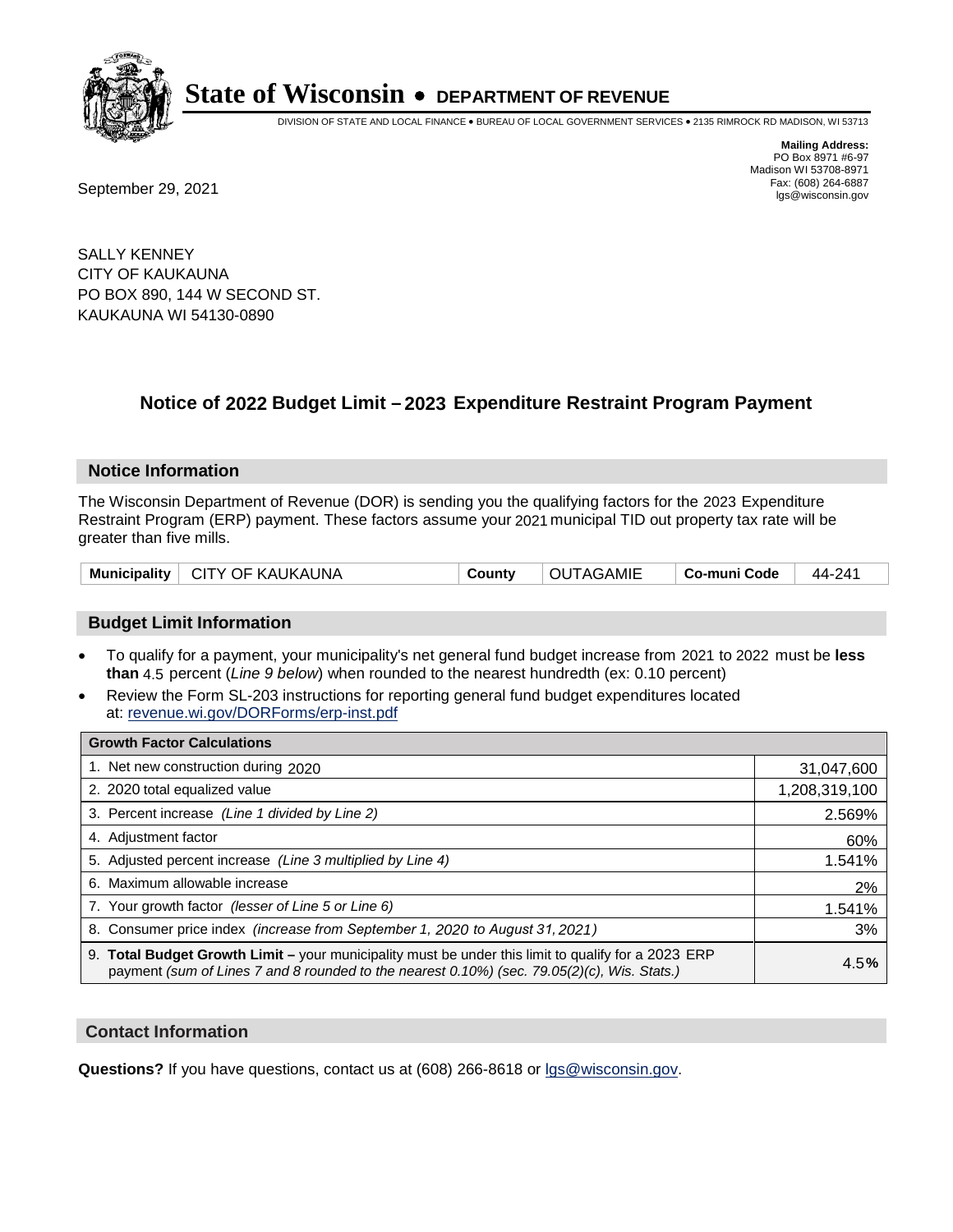

DIVISION OF STATE AND LOCAL FINANCE • BUREAU OF LOCAL GOVERNMENT SERVICES • 2135 RIMROCK RD MADISON, WI 53713

**Mailing Address:** PO Box 8971 #6-97 Madison WI 53708-8971<br>Fax: (608) 264-6887

Fax: (608) 264-6887<br>
September 29, 2021 and the state of the state of the state of the state of the state of the state of the state of the state of the state of the state of the state of the state of the state of the state

SALLY KENNEY CITY OF KAUKAUNA PO BOX 890, 144 W SECOND ST. KAUKAUNA WI 54130-0890

## **Notice of 2022 Budget Limit - 2023 Expenditure Restraint Program Payment**

#### **Notice Information**

The Wisconsin Department of Revenue (DOR) is sending you the qualifying factors for the 2023 Expenditure Restraint Program (ERP) payment. These factors assume your 2021 municipal TID out property tax rate will be greater than five mills.

| Municipality   CITY OF KAUKAUNA | County | <b>OUTAGAMIE</b> | ∣ Co-muni Code | 44-241 |
|---------------------------------|--------|------------------|----------------|--------|
|---------------------------------|--------|------------------|----------------|--------|

### **Budget Limit Information**

- To qualify for a payment, your municipality's net general fund budget increase from 2021 to 2022 must be less **than** 4.5 percent (*Line 9 below*) when rounded to the nearest hundredth (ex: 0.10 percent)
- Review the Form SL-203 instructions for reporting general fund budget expenditures located at: revenue.wi.gov/DORForms/erp-inst.pdf

| <b>Growth Factor Calculations</b>                                                                                                                                                                  |               |
|----------------------------------------------------------------------------------------------------------------------------------------------------------------------------------------------------|---------------|
| 1. Net new construction during 2020                                                                                                                                                                | 31,047,600    |
| 2. 2020 total equalized value                                                                                                                                                                      | 1,208,319,100 |
| 3. Percent increase (Line 1 divided by Line 2)                                                                                                                                                     | 2.569%        |
| 4. Adjustment factor                                                                                                                                                                               | 60%           |
| 5. Adjusted percent increase (Line 3 multiplied by Line 4)                                                                                                                                         | 1.541%        |
| 6. Maximum allowable increase                                                                                                                                                                      | 2%            |
| 7. Your growth factor (lesser of Line 5 or Line 6)                                                                                                                                                 | 1.541%        |
| 8. Consumer price index (increase from September 1, 2020 to August 31, 2021)                                                                                                                       | 3%            |
| 9. Total Budget Growth Limit - your municipality must be under this limit to qualify for a 2023 ERP<br>payment (sum of Lines 7 and 8 rounded to the nearest 0.10%) (sec. 79.05(2)(c), Wis. Stats.) | 4.5%          |

#### **Contact Information**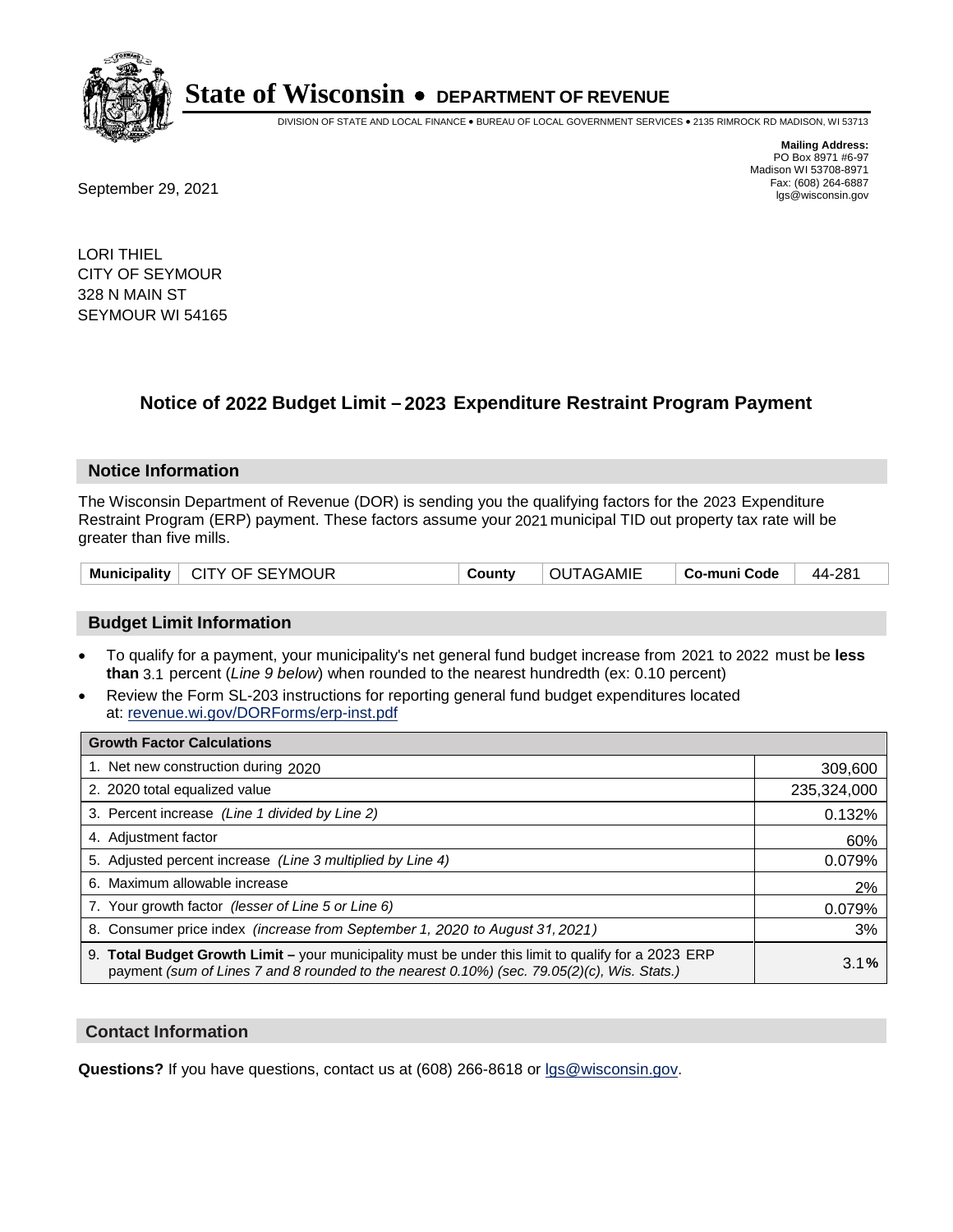

DIVISION OF STATE AND LOCAL FINANCE • BUREAU OF LOCAL GOVERNMENT SERVICES • 2135 RIMROCK RD MADISON, WI 53713

**Mailing Address:** PO Box 8971 #6-97 Madison WI 53708-8971<br>Fax: (608) 264-6887

Fax: (608) 264-6887<br>
September 29, 2021 and the state of the state of the state of the state of the state of the state of the state of the state of the state of the state of the state of the state of the state of the state

LORI THIEL CITY OF SEYMOUR 328 N MAIN ST SEYMOUR WI 54165

## **Notice of 2022 Budget Limit - 2023 Expenditure Restraint Program Payment**

#### **Notice Information**

The Wisconsin Department of Revenue (DOR) is sending you the qualifying factors for the 2023 Expenditure Restraint Program (ERP) payment. These factors assume your 2021 municipal TID out property tax rate will be greater than five mills.

| Municipality   CITY OF SEYMOUR | County | OUTAGAMIE | ∣ Co-muni Code | 44-281 |
|--------------------------------|--------|-----------|----------------|--------|
|--------------------------------|--------|-----------|----------------|--------|

#### **Budget Limit Information**

- To qualify for a payment, your municipality's net general fund budget increase from 2021 to 2022 must be less **than** 3.1 percent (*Line 9 below*) when rounded to the nearest hundredth (ex: 0.10 percent)
- Review the Form SL-203 instructions for reporting general fund budget expenditures located at: revenue.wi.gov/DORForms/erp-inst.pdf

| <b>Growth Factor Calculations</b>                                                                                                                                                                  |             |
|----------------------------------------------------------------------------------------------------------------------------------------------------------------------------------------------------|-------------|
| 1. Net new construction during 2020                                                                                                                                                                | 309,600     |
| 2. 2020 total equalized value                                                                                                                                                                      | 235,324,000 |
| 3. Percent increase (Line 1 divided by Line 2)                                                                                                                                                     | 0.132%      |
| 4. Adjustment factor                                                                                                                                                                               | 60%         |
| 5. Adjusted percent increase (Line 3 multiplied by Line 4)                                                                                                                                         | 0.079%      |
| 6. Maximum allowable increase                                                                                                                                                                      | 2%          |
| 7. Your growth factor (lesser of Line 5 or Line 6)                                                                                                                                                 | 0.079%      |
| 8. Consumer price index (increase from September 1, 2020 to August 31, 2021)                                                                                                                       | 3%          |
| 9. Total Budget Growth Limit – your municipality must be under this limit to qualify for a 2023 ERP<br>payment (sum of Lines 7 and 8 rounded to the nearest 0.10%) (sec. 79.05(2)(c), Wis. Stats.) | 3.1%        |

#### **Contact Information**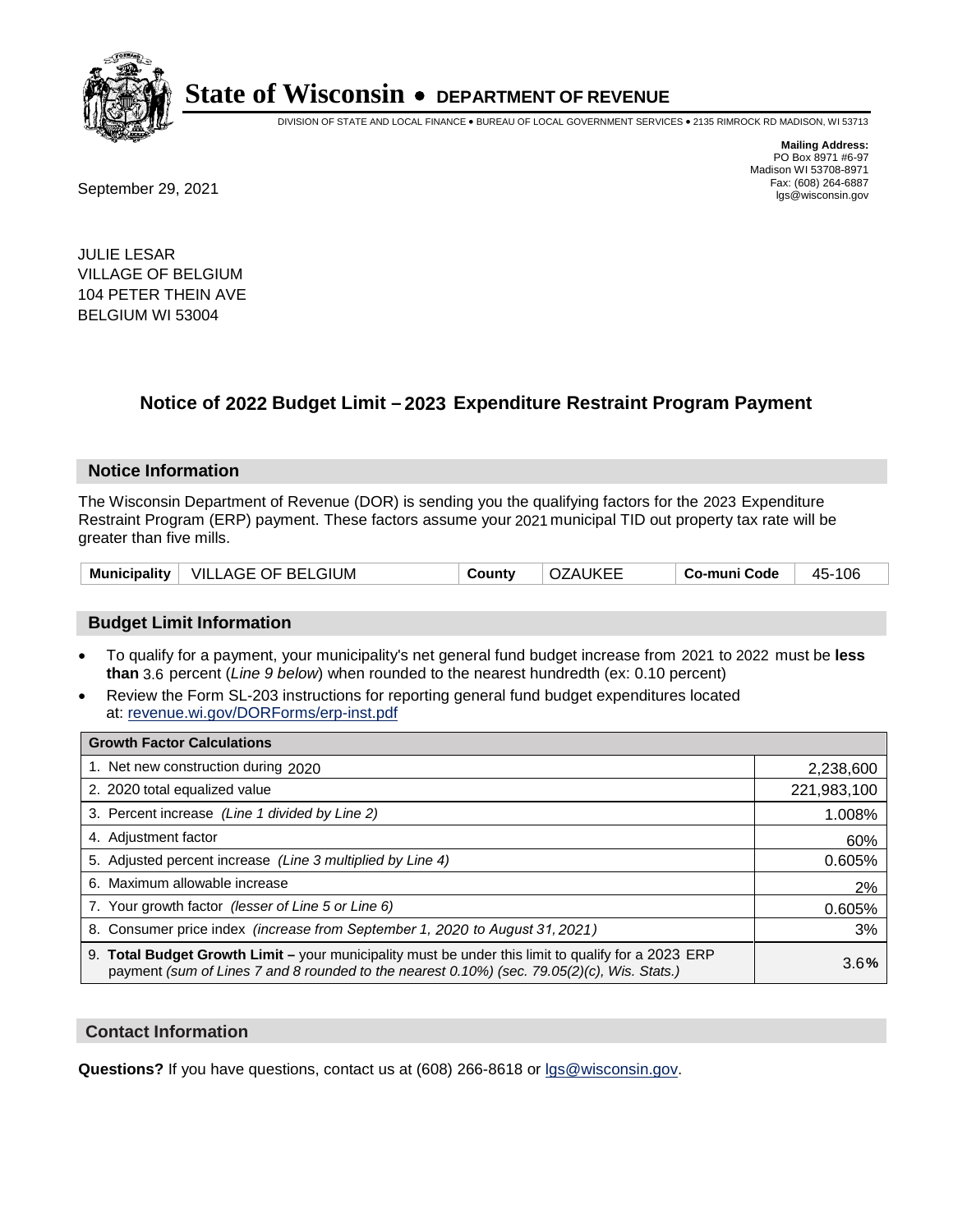

DIVISION OF STATE AND LOCAL FINANCE • BUREAU OF LOCAL GOVERNMENT SERVICES • 2135 RIMROCK RD MADISON, WI 53713

Fax: (608) 264-6887<br>
September 29, 2021 and the state of the state of the state of the state of the state of the state of the state of the state of the state of the state of the state of the state of the state of the state

**Mailing Address:** PO Box 8971 #6-97 Madison WI 53708-8971<br>Fax: (608) 264-6887

JULIE LESAR VILLAGE OF BELGIUM 104 PETER THEIN AVE BELGIUM WI 53004

## **Notice of 2022 Budget Limit - 2023 Expenditure Restraint Program Payment**

#### **Notice Information**

The Wisconsin Department of Revenue (DOR) is sending you the qualifying factors for the 2023 Expenditure Restraint Program (ERP) payment. These factors assume your 2021 municipal TID out property tax rate will be greater than five mills.

| Municipality   VILLAGE OF BELGIUM | County | <b>OZAUKEE</b> | Co-muni Code | 45-106 |
|-----------------------------------|--------|----------------|--------------|--------|
|-----------------------------------|--------|----------------|--------------|--------|

#### **Budget Limit Information**

- To qualify for a payment, your municipality's net general fund budget increase from 2021 to 2022 must be less **than** 3.6 percent (*Line 9 below*) when rounded to the nearest hundredth (ex: 0.10 percent)
- Review the Form SL-203 instructions for reporting general fund budget expenditures located at: revenue.wi.gov/DORForms/erp-inst.pdf

| <b>Growth Factor Calculations</b>                                                                                                                                                                  |             |
|----------------------------------------------------------------------------------------------------------------------------------------------------------------------------------------------------|-------------|
| 1. Net new construction during 2020                                                                                                                                                                | 2,238,600   |
| 2. 2020 total equalized value                                                                                                                                                                      | 221,983,100 |
| 3. Percent increase (Line 1 divided by Line 2)                                                                                                                                                     | 1.008%      |
| 4. Adjustment factor                                                                                                                                                                               | 60%         |
| 5. Adjusted percent increase (Line 3 multiplied by Line 4)                                                                                                                                         | 0.605%      |
| 6. Maximum allowable increase                                                                                                                                                                      | 2%          |
| 7. Your growth factor (lesser of Line 5 or Line 6)                                                                                                                                                 | 0.605%      |
| 8. Consumer price index (increase from September 1, 2020 to August 31, 2021)                                                                                                                       | 3%          |
| 9. Total Budget Growth Limit - your municipality must be under this limit to qualify for a 2023 ERP<br>payment (sum of Lines 7 and 8 rounded to the nearest 0.10%) (sec. 79.05(2)(c), Wis. Stats.) | 3.6%        |

#### **Contact Information**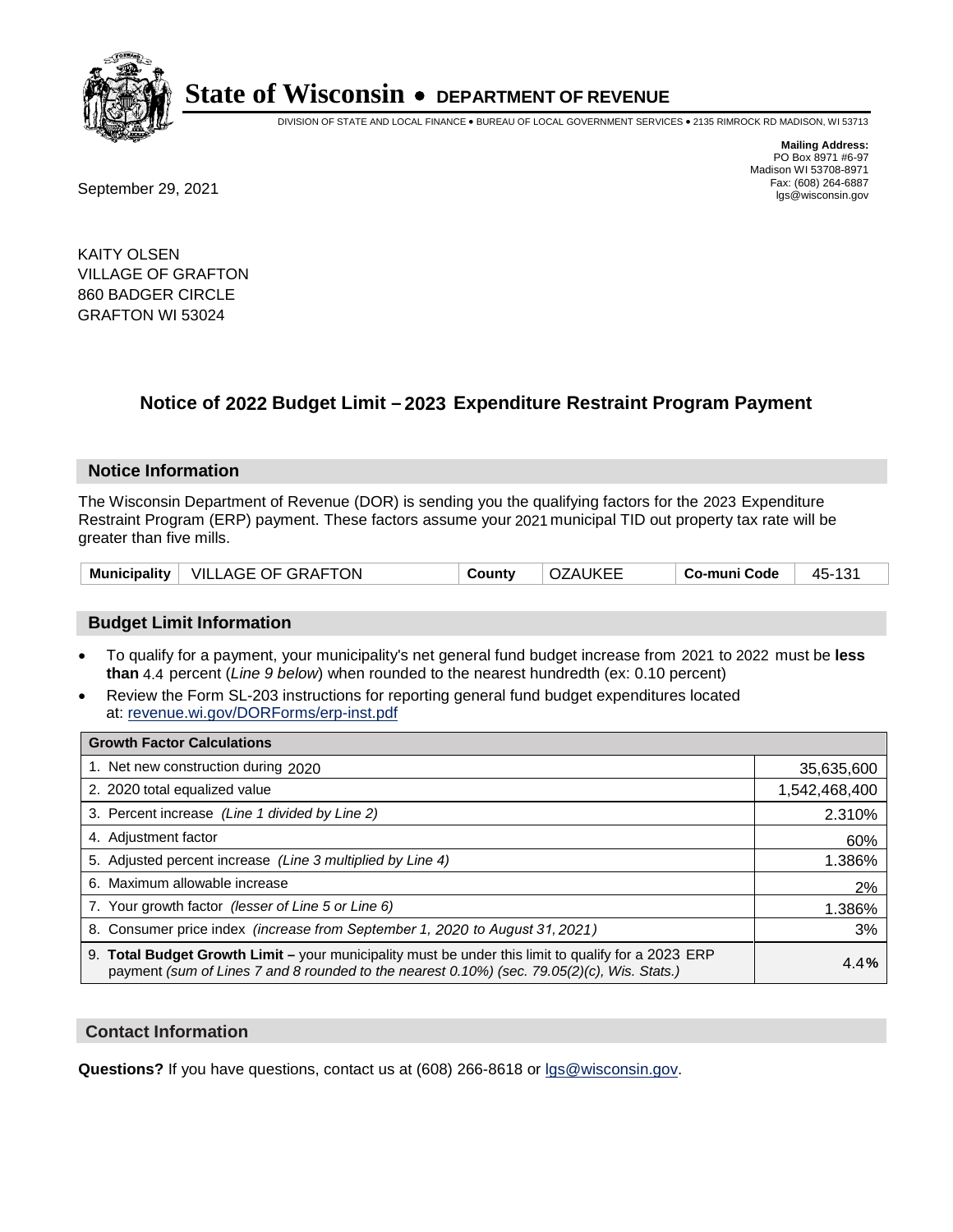

DIVISION OF STATE AND LOCAL FINANCE • BUREAU OF LOCAL GOVERNMENT SERVICES • 2135 RIMROCK RD MADISON, WI 53713

**Mailing Address:** PO Box 8971 #6-97 Madison WI 53708-8971<br>Fax: (608) 264-6887

Fax: (608) 264-6887<br>
September 29, 2021 and the state of the state of the state of the state of the state of the state of the state of the state of the state of the state of the state of the state of the state of the state

KAITY OLSEN VILLAGE OF GRAFTON 860 BADGER CIRCLE GRAFTON WI 53024

## **Notice of 2022 Budget Limit - 2023 Expenditure Restraint Program Payment**

#### **Notice Information**

The Wisconsin Department of Revenue (DOR) is sending you the qualifying factors for the 2023 Expenditure Restraint Program (ERP) payment. These factors assume your 2021 municipal TID out property tax rate will be greater than five mills.

| <b>Municipality</b> | $\perp$ VILLAGE OF GRAFTON | County | <b>OZAUKEE</b> | Co-muni Code | 101<br>45-1 |
|---------------------|----------------------------|--------|----------------|--------------|-------------|
|---------------------|----------------------------|--------|----------------|--------------|-------------|

### **Budget Limit Information**

- To qualify for a payment, your municipality's net general fund budget increase from 2021 to 2022 must be less **than** 4.4 percent (*Line 9 below*) when rounded to the nearest hundredth (ex: 0.10 percent)
- Review the Form SL-203 instructions for reporting general fund budget expenditures located at: revenue.wi.gov/DORForms/erp-inst.pdf

| <b>Growth Factor Calculations</b>                                                                                                                                                                  |               |
|----------------------------------------------------------------------------------------------------------------------------------------------------------------------------------------------------|---------------|
| 1. Net new construction during 2020                                                                                                                                                                | 35,635,600    |
| 2. 2020 total equalized value                                                                                                                                                                      | 1,542,468,400 |
| 3. Percent increase (Line 1 divided by Line 2)                                                                                                                                                     | 2.310%        |
| 4. Adiustment factor                                                                                                                                                                               | 60%           |
| 5. Adjusted percent increase (Line 3 multiplied by Line 4)                                                                                                                                         | 1.386%        |
| 6. Maximum allowable increase                                                                                                                                                                      | 2%            |
| 7. Your growth factor (lesser of Line 5 or Line 6)                                                                                                                                                 | 1.386%        |
| 8. Consumer price index (increase from September 1, 2020 to August 31, 2021)                                                                                                                       | 3%            |
| 9. Total Budget Growth Limit - your municipality must be under this limit to qualify for a 2023 ERP<br>payment (sum of Lines 7 and 8 rounded to the nearest 0.10%) (sec. 79.05(2)(c), Wis. Stats.) | 4.4%          |

#### **Contact Information**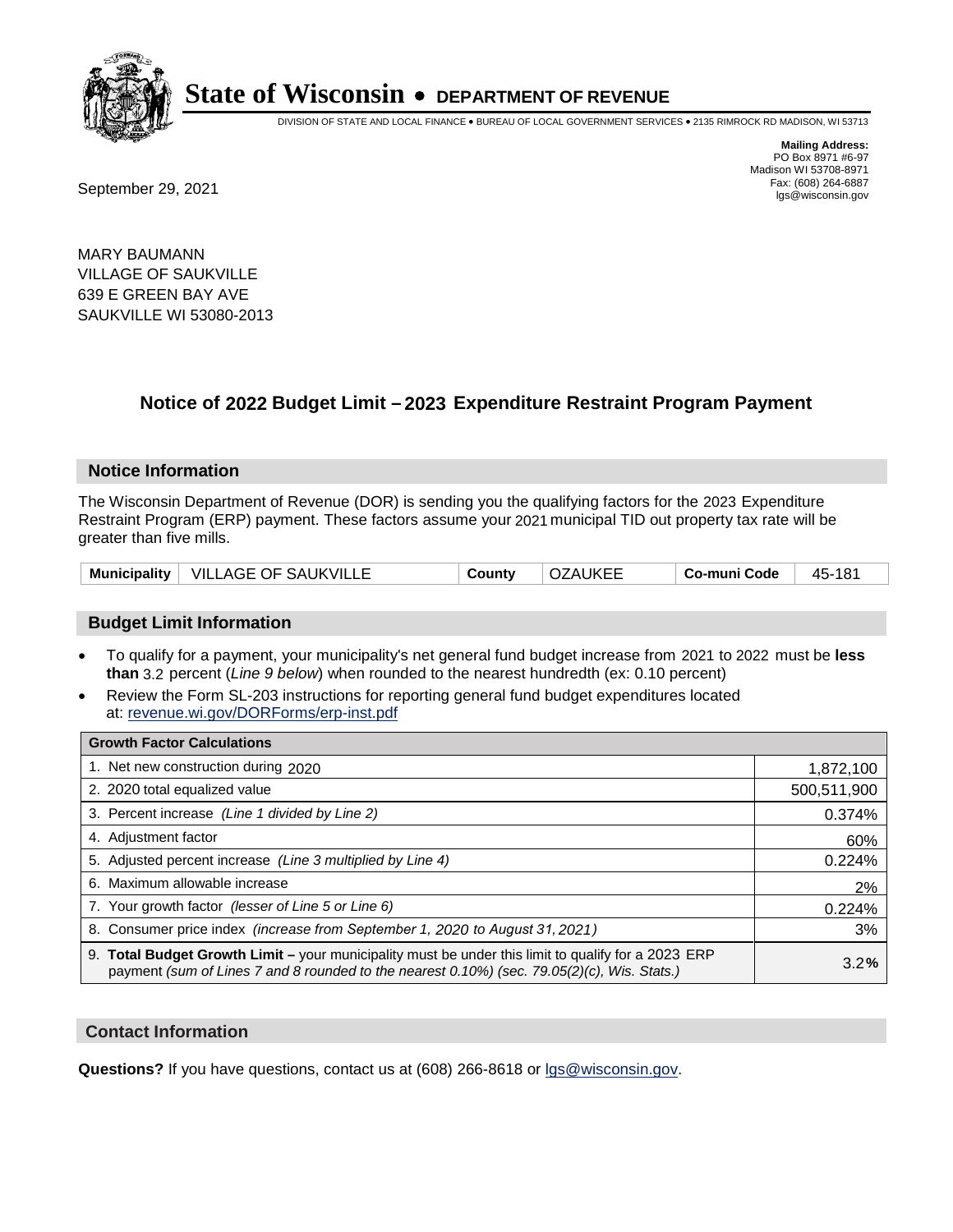

DIVISION OF STATE AND LOCAL FINANCE • BUREAU OF LOCAL GOVERNMENT SERVICES • 2135 RIMROCK RD MADISON, WI 53713

**Mailing Address:** PO Box 8971 #6-97 Madison WI 53708-8971<br>Fax: (608) 264-6887 Fax: (608) 264-6887<br>
September 29, 2021 and the state of the state of the state of the state of the state of the state of the state of the state of the state of the state of the state of the state of the state of the state

MARY BAUMANN VILLAGE OF SAUKVILLE 639 E GREEN BAY AVE SAUKVILLE WI 53080-2013

## **Notice of 2022 Budget Limit - 2023 Expenditure Restraint Program Payment**

#### **Notice Information**

The Wisconsin Department of Revenue (DOR) is sending you the qualifying factors for the 2023 Expenditure Restraint Program (ERP) payment. These factors assume your 2021 municipal TID out property tax rate will be greater than five mills.

| Municipality   VILLAGE OF SAUKVILLE | County | <b>OZAUKEE</b> | Co-muni Code | 45-181 |
|-------------------------------------|--------|----------------|--------------|--------|
|-------------------------------------|--------|----------------|--------------|--------|

### **Budget Limit Information**

- To qualify for a payment, your municipality's net general fund budget increase from 2021 to 2022 must be less **than** 3.2 percent (*Line 9 below*) when rounded to the nearest hundredth (ex: 0.10 percent)
- Review the Form SL-203 instructions for reporting general fund budget expenditures located at: revenue.wi.gov/DORForms/erp-inst.pdf

| <b>Growth Factor Calculations</b>                                                                                                                                                                  |             |
|----------------------------------------------------------------------------------------------------------------------------------------------------------------------------------------------------|-------------|
| 1. Net new construction during 2020                                                                                                                                                                | 1,872,100   |
| 2. 2020 total equalized value                                                                                                                                                                      | 500,511,900 |
| 3. Percent increase (Line 1 divided by Line 2)                                                                                                                                                     | 0.374%      |
| 4. Adiustment factor                                                                                                                                                                               | 60%         |
| 5. Adjusted percent increase (Line 3 multiplied by Line 4)                                                                                                                                         | 0.224%      |
| 6. Maximum allowable increase                                                                                                                                                                      | 2%          |
| 7. Your growth factor (lesser of Line 5 or Line 6)                                                                                                                                                 | 0.224%      |
| 8. Consumer price index (increase from September 1, 2020 to August 31, 2021)                                                                                                                       | 3%          |
| 9. Total Budget Growth Limit - your municipality must be under this limit to qualify for a 2023 ERP<br>payment (sum of Lines 7 and 8 rounded to the nearest 0.10%) (sec. 79.05(2)(c), Wis. Stats.) | 3.2%        |

#### **Contact Information**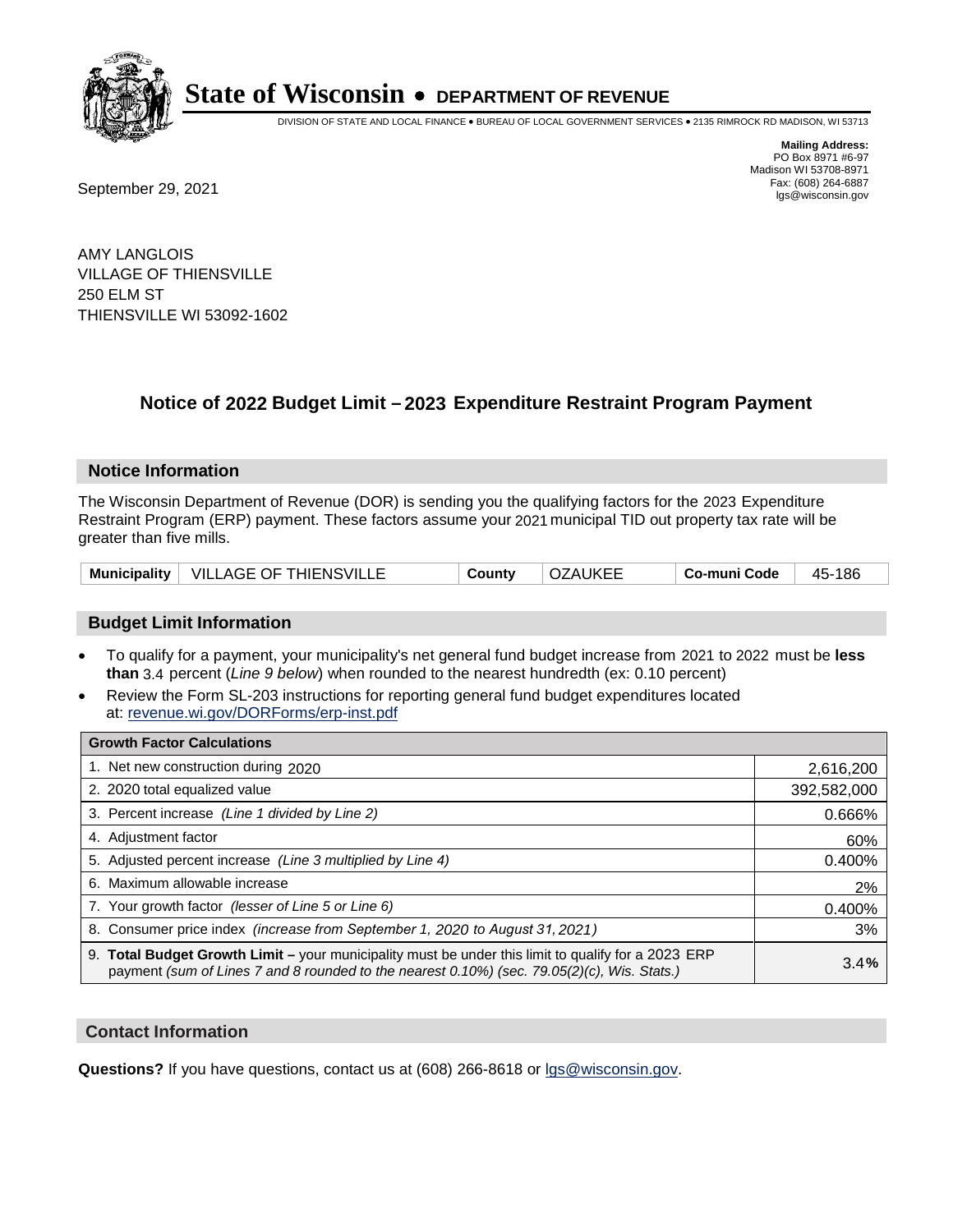

DIVISION OF STATE AND LOCAL FINANCE • BUREAU OF LOCAL GOVERNMENT SERVICES • 2135 RIMROCK RD MADISON, WI 53713

**Mailing Address:** PO Box 8971 #6-97 Madison WI 53708-8971<br>Fax: (608) 264-6887 Fax: (608) 264-6887<br>
September 29, 2021 and the state of the state of the state of the state of the state of the state of the state of the state of the state of the state of the state of the state of the state of the state

AMY LANGLOIS VILLAGE OF THIENSVILLE 250 ELM ST THIENSVILLE WI 53092-1602

## **Notice of 2022 Budget Limit - 2023 Expenditure Restraint Program Payment**

#### **Notice Information**

The Wisconsin Department of Revenue (DOR) is sending you the qualifying factors for the 2023 Expenditure Restraint Program (ERP) payment. These factors assume your 2021 municipal TID out property tax rate will be greater than five mills.

|  | Municipality   VILLAGE OF THIENSVILLE | County | OZAUKEE | Co-muni Code | 45-186 |
|--|---------------------------------------|--------|---------|--------------|--------|
|--|---------------------------------------|--------|---------|--------------|--------|

### **Budget Limit Information**

- To qualify for a payment, your municipality's net general fund budget increase from 2021 to 2022 must be less **than** 3.4 percent (*Line 9 below*) when rounded to the nearest hundredth (ex: 0.10 percent)
- Review the Form SL-203 instructions for reporting general fund budget expenditures located at: revenue.wi.gov/DORForms/erp-inst.pdf

| <b>Growth Factor Calculations</b>                                                                                                                                                                      |             |
|--------------------------------------------------------------------------------------------------------------------------------------------------------------------------------------------------------|-------------|
| 1. Net new construction during 2020                                                                                                                                                                    | 2,616,200   |
| 2. 2020 total equalized value                                                                                                                                                                          | 392,582,000 |
| 3. Percent increase (Line 1 divided by Line 2)                                                                                                                                                         | 0.666%      |
| 4. Adjustment factor                                                                                                                                                                                   | 60%         |
| 5. Adjusted percent increase (Line 3 multiplied by Line 4)                                                                                                                                             | 0.400%      |
| 6. Maximum allowable increase                                                                                                                                                                          | 2%          |
| 7. Your growth factor (lesser of Line 5 or Line 6)                                                                                                                                                     | 0.400%      |
| 8. Consumer price index (increase from September 1, 2020 to August 31, 2021)                                                                                                                           | 3%          |
| 9. Total Budget Growth Limit - your municipality must be under this limit to qualify for a 2023 ERP<br>payment (sum of Lines 7 and 8 rounded to the nearest $0.10\%$ ) (sec. 79.05(2)(c), Wis. Stats.) | 3.4%        |

#### **Contact Information**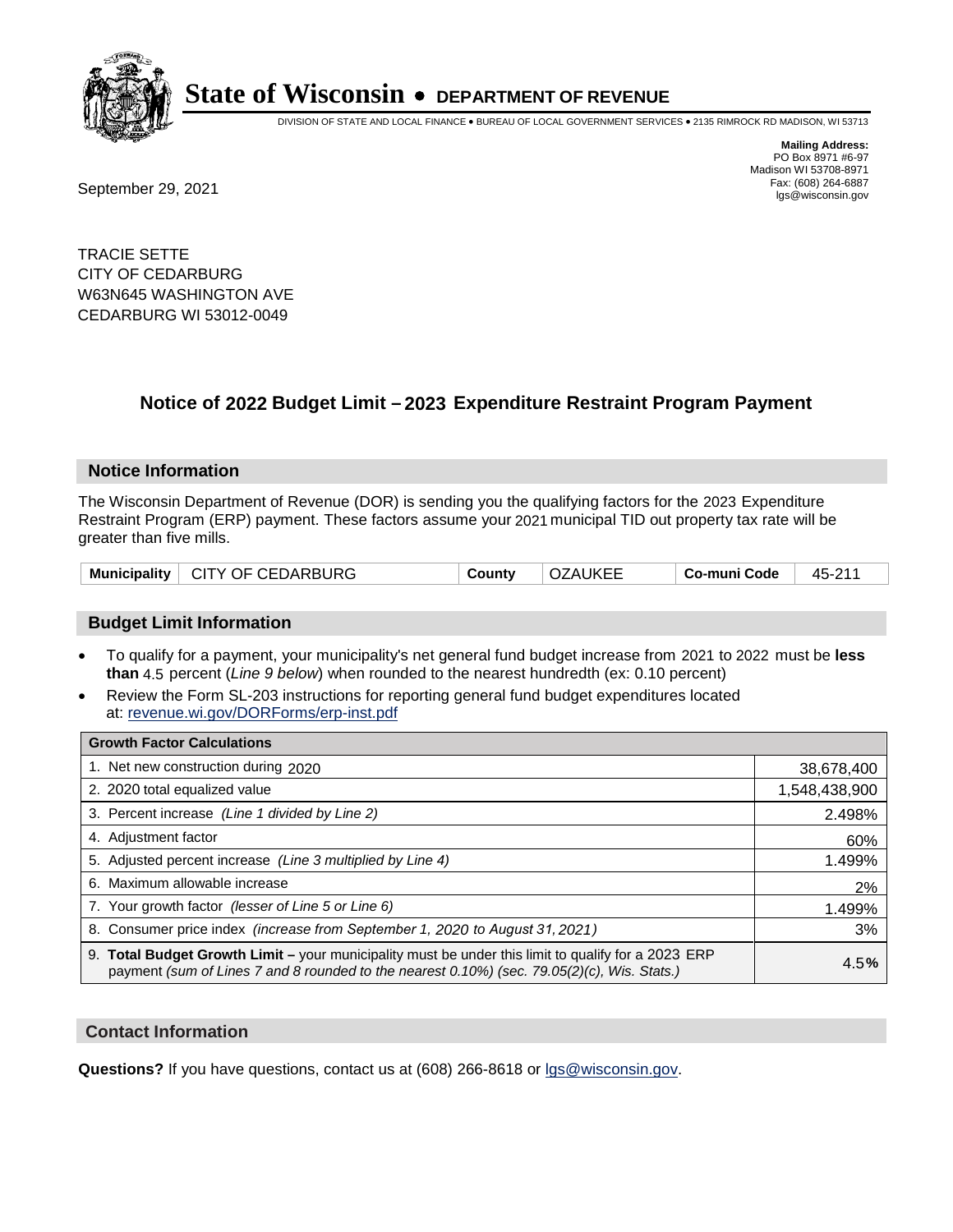

DIVISION OF STATE AND LOCAL FINANCE • BUREAU OF LOCAL GOVERNMENT SERVICES • 2135 RIMROCK RD MADISON, WI 53713

Fax: (608) 264-6887<br>
September 29, 2021 and the state of the state of the state of the state of the state of the state of the state of the state of the state of the state of the state of the state of the state of the state

**Mailing Address:** PO Box 8971 #6-97 Madison WI 53708-8971<br>Fax: (608) 264-6887

TRACIE SETTE CITY OF CEDARBURG W63N645 WASHINGTON AVE CEDARBURG WI 53012-0049

## **Notice of 2022 Budget Limit - 2023 Expenditure Restraint Program Payment**

#### **Notice Information**

The Wisconsin Department of Revenue (DOR) is sending you the qualifying factors for the 2023 Expenditure Restraint Program (ERP) payment. These factors assume your 2021 municipal TID out property tax rate will be greater than five mills.

| Municipality   CITY OF CEDARBURG | County | <b>OZAUKEE</b> | ⊟ Co-muni Code | 45-211 |
|----------------------------------|--------|----------------|----------------|--------|
|----------------------------------|--------|----------------|----------------|--------|

### **Budget Limit Information**

- To qualify for a payment, your municipality's net general fund budget increase from 2021 to 2022 must be less **than** 4.5 percent (*Line 9 below*) when rounded to the nearest hundredth (ex: 0.10 percent)
- Review the Form SL-203 instructions for reporting general fund budget expenditures located at: revenue.wi.gov/DORForms/erp-inst.pdf

| <b>Growth Factor Calculations</b>                                                                                                                                                                      |               |
|--------------------------------------------------------------------------------------------------------------------------------------------------------------------------------------------------------|---------------|
| 1. Net new construction during 2020                                                                                                                                                                    | 38,678,400    |
| 2. 2020 total equalized value                                                                                                                                                                          | 1,548,438,900 |
| 3. Percent increase (Line 1 divided by Line 2)                                                                                                                                                         | 2.498%        |
| 4. Adjustment factor                                                                                                                                                                                   | 60%           |
| 5. Adjusted percent increase (Line 3 multiplied by Line 4)                                                                                                                                             | 1.499%        |
| 6. Maximum allowable increase                                                                                                                                                                          | 2%            |
| 7. Your growth factor (lesser of Line 5 or Line 6)                                                                                                                                                     | 1.499%        |
| 8. Consumer price index (increase from September 1, 2020 to August 31, 2021)                                                                                                                           | 3%            |
| 9. Total Budget Growth Limit - your municipality must be under this limit to qualify for a 2023 ERP<br>payment (sum of Lines 7 and 8 rounded to the nearest $0.10\%$ ) (sec. 79.05(2)(c), Wis. Stats.) | 4.5%          |

#### **Contact Information**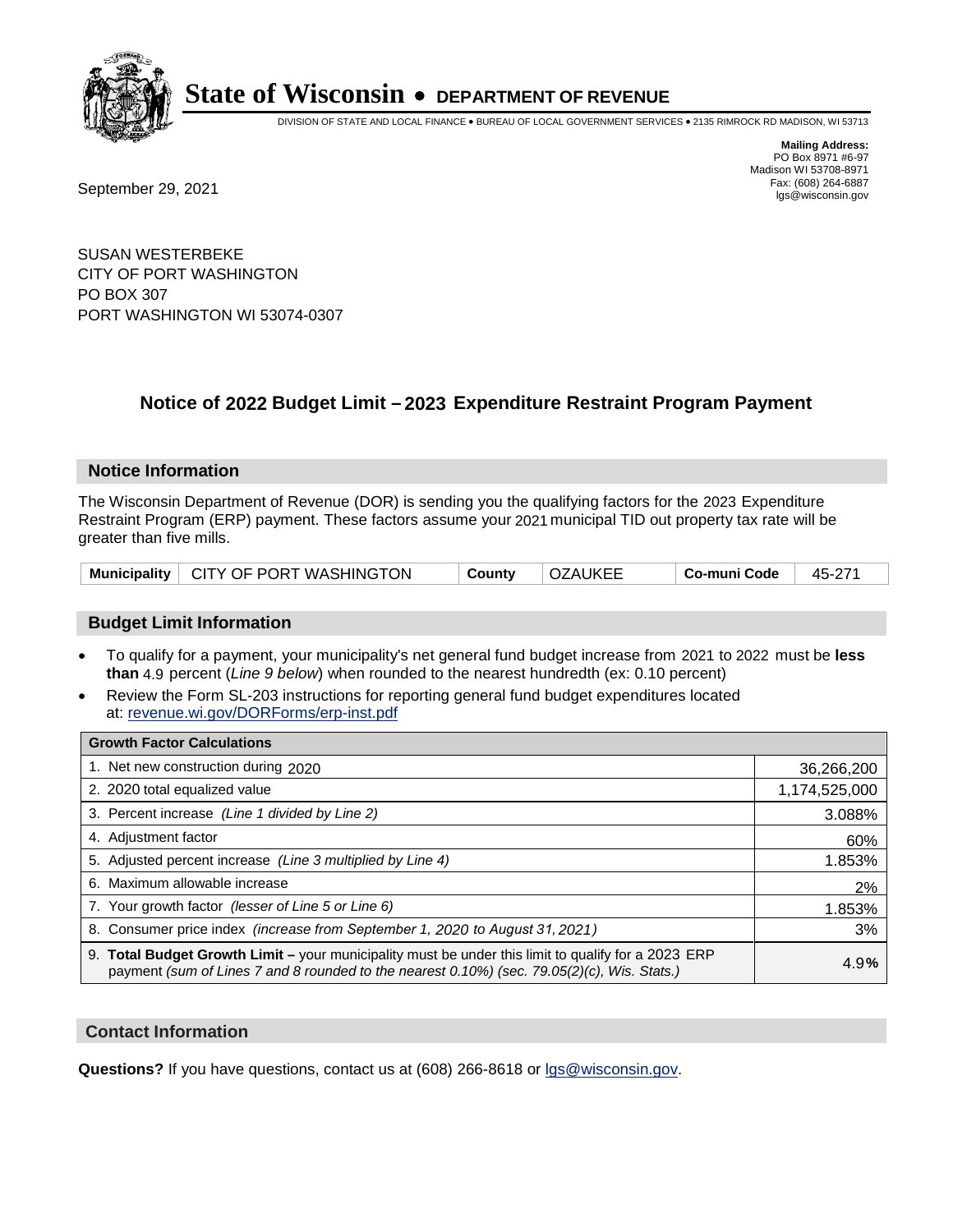

DIVISION OF STATE AND LOCAL FINANCE • BUREAU OF LOCAL GOVERNMENT SERVICES • 2135 RIMROCK RD MADISON, WI 53713

**Mailing Address:** PO Box 8971 #6-97 Madison WI 53708-8971<br>Fax: (608) 264-6887

Fax: (608) 264-6887<br>
September 29, 2021 and the state of the state of the state of the state of the state of the state of the state of the state of the state of the state of the state of the state of the state of the state

SUSAN WESTERBEKE CITY OF PORT WASHINGTON PO BOX 307 PORT WASHINGTON WI 53074-0307

## **Notice of 2022 Budget Limit - 2023 Expenditure Restraint Program Payment**

#### **Notice Information**

The Wisconsin Department of Revenue (DOR) is sending you the qualifying factors for the 2023 Expenditure Restraint Program (ERP) payment. These factors assume your 2021 municipal TID out property tax rate will be greater than five mills.

|  | Municipality   CITY OF PORT WASHINGTON | County | OZAUKEE | ⊩ Co-muni Code | 45-271 |
|--|----------------------------------------|--------|---------|----------------|--------|
|--|----------------------------------------|--------|---------|----------------|--------|

### **Budget Limit Information**

- To qualify for a payment, your municipality's net general fund budget increase from 2021 to 2022 must be less **than** 4.9 percent (*Line 9 below*) when rounded to the nearest hundredth (ex: 0.10 percent)
- Review the Form SL-203 instructions for reporting general fund budget expenditures located at: revenue.wi.gov/DORForms/erp-inst.pdf

| <b>Growth Factor Calculations</b>                                                                                                                                                                  |               |
|----------------------------------------------------------------------------------------------------------------------------------------------------------------------------------------------------|---------------|
| 1. Net new construction during 2020                                                                                                                                                                | 36,266,200    |
| 2. 2020 total equalized value                                                                                                                                                                      | 1,174,525,000 |
| 3. Percent increase (Line 1 divided by Line 2)                                                                                                                                                     | 3.088%        |
| 4. Adjustment factor                                                                                                                                                                               | 60%           |
| 5. Adjusted percent increase (Line 3 multiplied by Line 4)                                                                                                                                         | 1.853%        |
| 6. Maximum allowable increase                                                                                                                                                                      | 2%            |
| 7. Your growth factor (lesser of Line 5 or Line 6)                                                                                                                                                 | 1.853%        |
| 8. Consumer price index (increase from September 1, 2020 to August 31, 2021)                                                                                                                       | 3%            |
| 9. Total Budget Growth Limit - your municipality must be under this limit to qualify for a 2023 ERP<br>payment (sum of Lines 7 and 8 rounded to the nearest 0.10%) (sec. 79.05(2)(c), Wis. Stats.) | 4.9%          |

#### **Contact Information**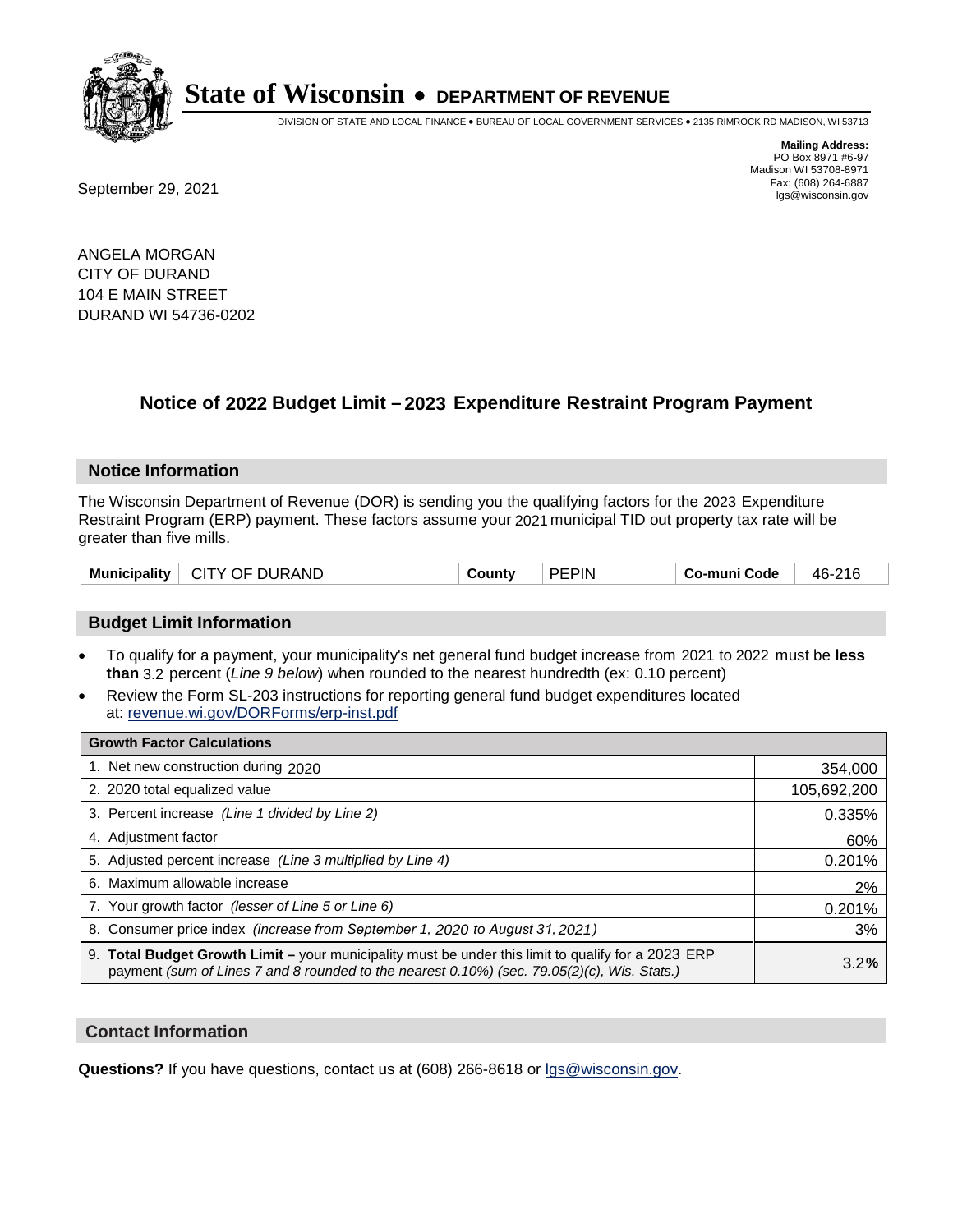

DIVISION OF STATE AND LOCAL FINANCE • BUREAU OF LOCAL GOVERNMENT SERVICES • 2135 RIMROCK RD MADISON, WI 53713

Fax: (608) 264-6887<br>
September 29, 2021 and the state of the state of the state of the state of the state of the state of the state of the state of the state of the state of the state of the state of the state of the state

**Mailing Address:** PO Box 8971 #6-97 Madison WI 53708-8971<br>Fax: (608) 264-6887

ANGELA MORGAN CITY OF DURAND 104 E MAIN STREET DURAND WI 54736-0202

## **Notice of 2022 Budget Limit - 2023 Expenditure Restraint Program Payment**

#### **Notice Information**

The Wisconsin Department of Revenue (DOR) is sending you the qualifying factors for the 2023 Expenditure Restraint Program (ERP) payment. These factors assume your 2021 municipal TID out property tax rate will be greater than five mills.

| CITY OF DURAND<br><b>Municipality</b> | County | <b>PEPIN</b> | Co-muni Code | 46-216 |
|---------------------------------------|--------|--------------|--------------|--------|
|---------------------------------------|--------|--------------|--------------|--------|

#### **Budget Limit Information**

- To qualify for a payment, your municipality's net general fund budget increase from 2021 to 2022 must be less **than** 3.2 percent (*Line 9 below*) when rounded to the nearest hundredth (ex: 0.10 percent)
- Review the Form SL-203 instructions for reporting general fund budget expenditures located at: revenue.wi.gov/DORForms/erp-inst.pdf

| <b>Growth Factor Calculations</b>                                                                                                                                                                  |             |
|----------------------------------------------------------------------------------------------------------------------------------------------------------------------------------------------------|-------------|
| 1. Net new construction during 2020                                                                                                                                                                | 354,000     |
| 2. 2020 total equalized value                                                                                                                                                                      | 105,692,200 |
| 3. Percent increase (Line 1 divided by Line 2)                                                                                                                                                     | 0.335%      |
| 4. Adjustment factor                                                                                                                                                                               | 60%         |
| 5. Adjusted percent increase (Line 3 multiplied by Line 4)                                                                                                                                         | 0.201%      |
| 6. Maximum allowable increase                                                                                                                                                                      | 2%          |
| 7. Your growth factor (lesser of Line 5 or Line 6)                                                                                                                                                 | 0.201%      |
| 8. Consumer price index (increase from September 1, 2020 to August 31, 2021)                                                                                                                       | 3%          |
| 9. Total Budget Growth Limit – your municipality must be under this limit to qualify for a 2023 ERP<br>payment (sum of Lines 7 and 8 rounded to the nearest 0.10%) (sec. 79.05(2)(c), Wis. Stats.) | 3.2%        |

#### **Contact Information**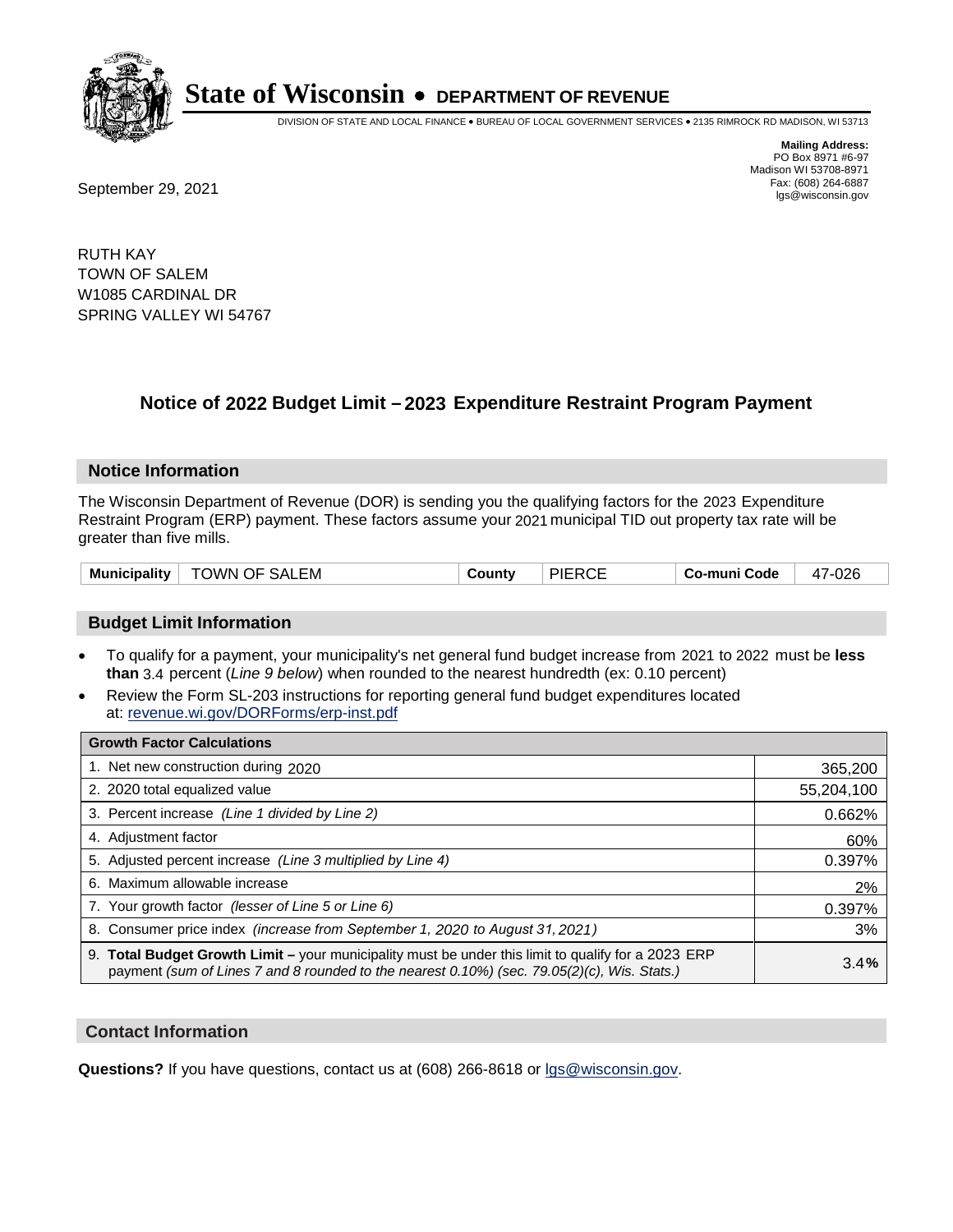

DIVISION OF STATE AND LOCAL FINANCE • BUREAU OF LOCAL GOVERNMENT SERVICES • 2135 RIMROCK RD MADISON, WI 53713

Fax: (608) 264-6887<br>
September 29, 2021 and the state of the state of the state of the state of the state of the state of the state of the state of the state of the state of the state of the state of the state of the state

**Mailing Address:** PO Box 8971 #6-97 Madison WI 53708-8971<br>Fax: (608) 264-6887

RUTH KAY TOWN OF SALEM W1085 CARDINAL DR SPRING VALLEY WI 54767

## **Notice of 2022 Budget Limit - 2023 Expenditure Restraint Program Payment**

#### **Notice Information**

The Wisconsin Department of Revenue (DOR) is sending you the qualifying factors for the 2023 Expenditure Restraint Program (ERP) payment. These factors assume your 2021 municipal TID out property tax rate will be greater than five mills.

| <b>TOWN OF SALEM</b><br>Municipality $^\dagger$ | County | <b>PIERCE</b> | Co-muni Code | 47-026 |
|-------------------------------------------------|--------|---------------|--------------|--------|
|-------------------------------------------------|--------|---------------|--------------|--------|

### **Budget Limit Information**

- To qualify for a payment, your municipality's net general fund budget increase from 2021 to 2022 must be less **than** 3.4 percent (*Line 9 below*) when rounded to the nearest hundredth (ex: 0.10 percent)
- Review the Form SL-203 instructions for reporting general fund budget expenditures located at: revenue.wi.gov/DORForms/erp-inst.pdf

| <b>Growth Factor Calculations</b>                                                                                                                                                                  |            |
|----------------------------------------------------------------------------------------------------------------------------------------------------------------------------------------------------|------------|
| 1. Net new construction during 2020                                                                                                                                                                | 365,200    |
| 2. 2020 total equalized value                                                                                                                                                                      | 55,204,100 |
| 3. Percent increase (Line 1 divided by Line 2)                                                                                                                                                     | 0.662%     |
| 4. Adjustment factor                                                                                                                                                                               | 60%        |
| 5. Adjusted percent increase (Line 3 multiplied by Line 4)                                                                                                                                         | 0.397%     |
| 6. Maximum allowable increase                                                                                                                                                                      | 2%         |
| 7. Your growth factor (lesser of Line 5 or Line 6)                                                                                                                                                 | 0.397%     |
| 8. Consumer price index (increase from September 1, 2020 to August 31, 2021)                                                                                                                       | 3%         |
| 9. Total Budget Growth Limit – your municipality must be under this limit to qualify for a 2023 ERP<br>payment (sum of Lines 7 and 8 rounded to the nearest 0.10%) (sec. 79.05(2)(c), Wis. Stats.) | 3.4%       |

#### **Contact Information**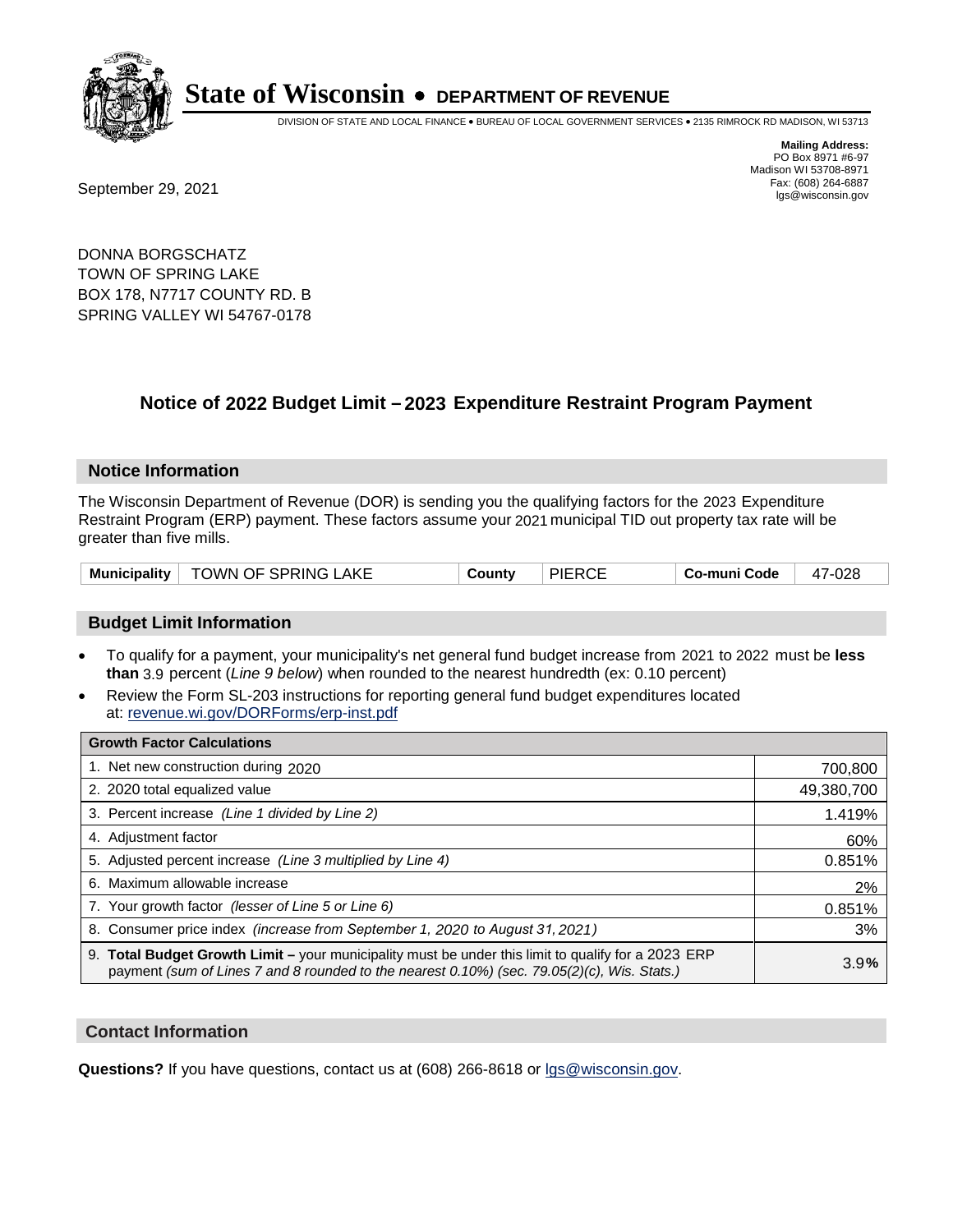

DIVISION OF STATE AND LOCAL FINANCE • BUREAU OF LOCAL GOVERNMENT SERVICES • 2135 RIMROCK RD MADISON, WI 53713

Fax: (608) 264-6887<br>
September 29, 2021 and the state of the state of the state of the state of the state of the state of the state of the state of the state of the state of the state of the state of the state of the state

**Mailing Address:** PO Box 8971 #6-97 Madison WI 53708-8971<br>Fax: (608) 264-6887

DONNA BORGSCHATZ TOWN OF SPRING LAKE BOX 178, N7717 COUNTY RD. B SPRING VALLEY WI 54767-0178

## **Notice of 2022 Budget Limit - 2023 Expenditure Restraint Program Payment**

#### **Notice Information**

The Wisconsin Department of Revenue (DOR) is sending you the qualifying factors for the 2023 Expenditure Restraint Program (ERP) payment. These factors assume your 2021 municipal TID out property tax rate will be greater than five mills.

|  | Municipality   TOWN OF SPRING LAKE | County | <b>PIERCE</b> | Co-muni Code | 47-028 |
|--|------------------------------------|--------|---------------|--------------|--------|
|--|------------------------------------|--------|---------------|--------------|--------|

#### **Budget Limit Information**

- To qualify for a payment, your municipality's net general fund budget increase from 2021 to 2022 must be less **than** 3.9 percent (*Line 9 below*) when rounded to the nearest hundredth (ex: 0.10 percent)
- Review the Form SL-203 instructions for reporting general fund budget expenditures located at: revenue.wi.gov/DORForms/erp-inst.pdf

| <b>Growth Factor Calculations</b>                                                                                                                                                                      |            |
|--------------------------------------------------------------------------------------------------------------------------------------------------------------------------------------------------------|------------|
| 1. Net new construction during 2020                                                                                                                                                                    | 700,800    |
| 2. 2020 total equalized value                                                                                                                                                                          | 49,380,700 |
| 3. Percent increase (Line 1 divided by Line 2)                                                                                                                                                         | 1.419%     |
| 4. Adjustment factor                                                                                                                                                                                   | 60%        |
| 5. Adjusted percent increase (Line 3 multiplied by Line 4)                                                                                                                                             | 0.851%     |
| 6. Maximum allowable increase                                                                                                                                                                          | 2%         |
| 7. Your growth factor (lesser of Line 5 or Line 6)                                                                                                                                                     | 0.851%     |
| 8. Consumer price index (increase from September 1, 2020 to August 31, 2021)                                                                                                                           | 3%         |
| 9. Total Budget Growth Limit - your municipality must be under this limit to qualify for a 2023 ERP<br>payment (sum of Lines 7 and 8 rounded to the nearest $0.10\%$ ) (sec. 79.05(2)(c), Wis. Stats.) | 3.9%       |

#### **Contact Information**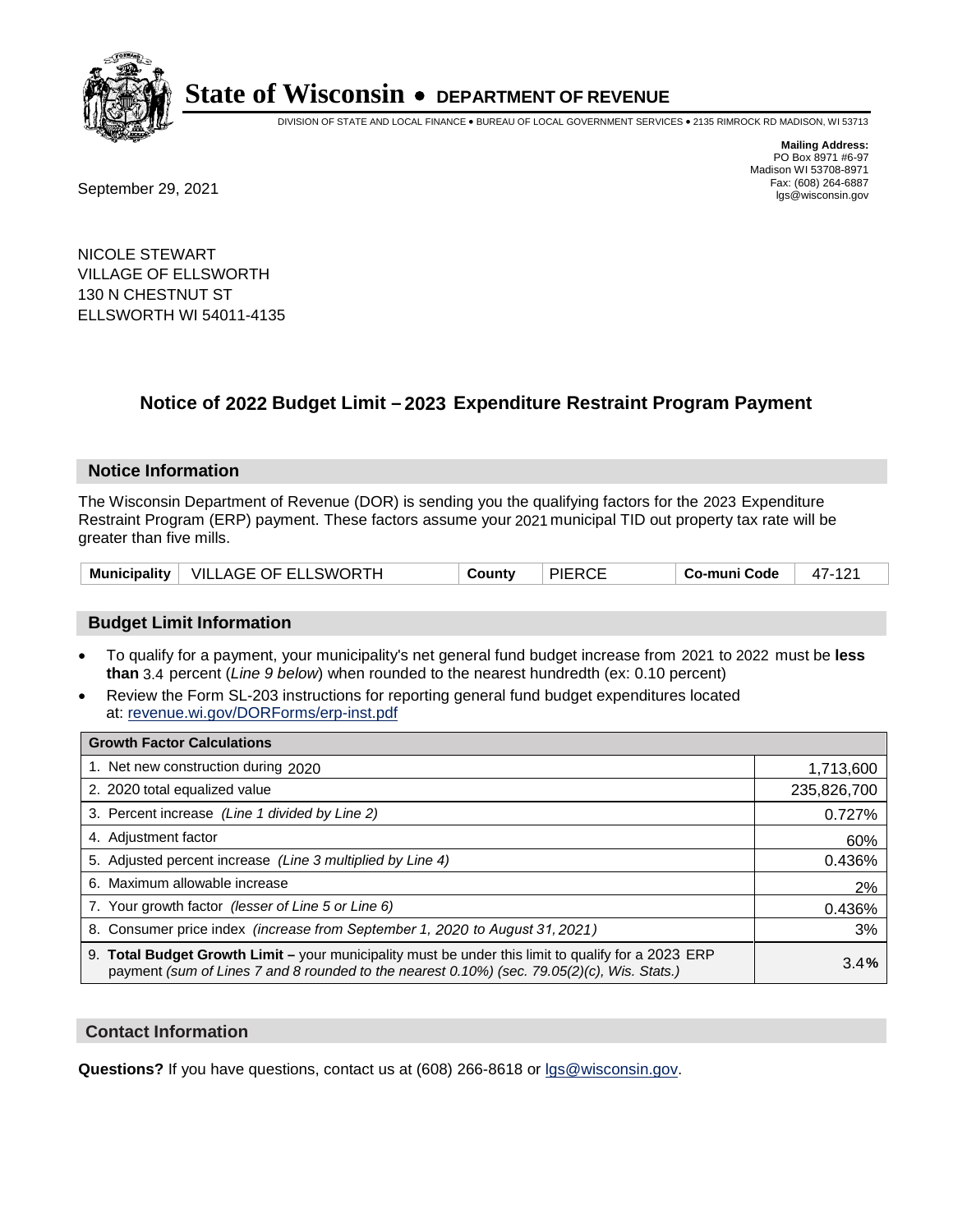

DIVISION OF STATE AND LOCAL FINANCE • BUREAU OF LOCAL GOVERNMENT SERVICES • 2135 RIMROCK RD MADISON, WI 53713

Fax: (608) 264-6887<br>
September 29, 2021 and the state of the state of the state of the state of the state of the state of the state of the state of the state of the state of the state of the state of the state of the state

**Mailing Address:** PO Box 8971 #6-97 Madison WI 53708-8971<br>Fax: (608) 264-6887

NICOLE STEWART VILLAGE OF ELLSWORTH 130 N CHESTNUT ST ELLSWORTH WI 54011-4135

## **Notice of 2022 Budget Limit - 2023 Expenditure Restraint Program Payment**

#### **Notice Information**

The Wisconsin Department of Revenue (DOR) is sending you the qualifying factors for the 2023 Expenditure Restraint Program (ERP) payment. These factors assume your 2021 municipal TID out property tax rate will be greater than five mills.

| Municipality   VILLAGE OF ELLSWORTH | County | <b>PIERCE</b> | Co-muni Code | 47-121 |
|-------------------------------------|--------|---------------|--------------|--------|
|-------------------------------------|--------|---------------|--------------|--------|

### **Budget Limit Information**

- To qualify for a payment, your municipality's net general fund budget increase from 2021 to 2022 must be less **than** 3.4 percent (*Line 9 below*) when rounded to the nearest hundredth (ex: 0.10 percent)
- Review the Form SL-203 instructions for reporting general fund budget expenditures located at: revenue.wi.gov/DORForms/erp-inst.pdf

| <b>Growth Factor Calculations</b>                                                                                                                                                                  |             |
|----------------------------------------------------------------------------------------------------------------------------------------------------------------------------------------------------|-------------|
| 1. Net new construction during 2020                                                                                                                                                                | 1,713,600   |
| 2. 2020 total equalized value                                                                                                                                                                      | 235,826,700 |
| 3. Percent increase (Line 1 divided by Line 2)                                                                                                                                                     | 0.727%      |
| 4. Adjustment factor                                                                                                                                                                               | 60%         |
| 5. Adjusted percent increase (Line 3 multiplied by Line 4)                                                                                                                                         | 0.436%      |
| 6. Maximum allowable increase                                                                                                                                                                      | 2%          |
| 7. Your growth factor (lesser of Line 5 or Line 6)                                                                                                                                                 | 0.436%      |
| 8. Consumer price index (increase from September 1, 2020 to August 31, 2021)                                                                                                                       | 3%          |
| 9. Total Budget Growth Limit - your municipality must be under this limit to qualify for a 2023 ERP<br>payment (sum of Lines 7 and 8 rounded to the nearest 0.10%) (sec. 79.05(2)(c), Wis. Stats.) | 3.4%        |

#### **Contact Information**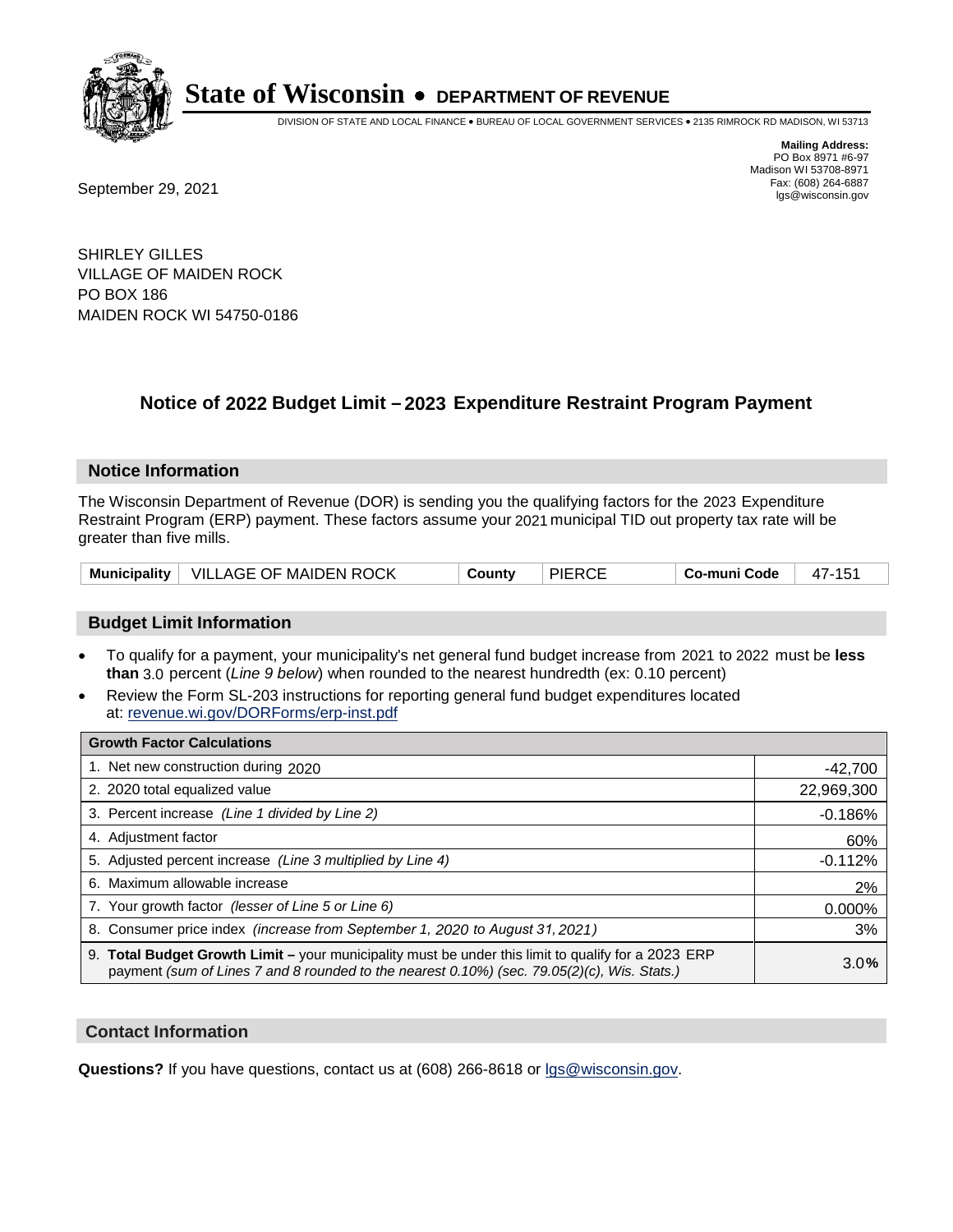

DIVISION OF STATE AND LOCAL FINANCE • BUREAU OF LOCAL GOVERNMENT SERVICES • 2135 RIMROCK RD MADISON, WI 53713

Fax: (608) 264-6887<br>
September 29, 2021 and the state of the state of the state of the state of the state of the state of the state of the state of the state of the state of the state of the state of the state of the state

**Mailing Address:** PO Box 8971 #6-97 Madison WI 53708-8971<br>Fax: (608) 264-6887

SHIRLEY GILLES VILLAGE OF MAIDEN ROCK PO BOX 186 MAIDEN ROCK WI 54750-0186

## **Notice of 2022 Budget Limit - 2023 Expenditure Restraint Program Payment**

#### **Notice Information**

The Wisconsin Department of Revenue (DOR) is sending you the qualifying factors for the 2023 Expenditure Restraint Program (ERP) payment. These factors assume your 2021 municipal TID out property tax rate will be greater than five mills.

|  | Municipality   VILLAGE OF MAIDEN ROCK | County | <b>PIERCE</b> | Co-muni Code | 47-151 |
|--|---------------------------------------|--------|---------------|--------------|--------|
|--|---------------------------------------|--------|---------------|--------------|--------|

### **Budget Limit Information**

- To qualify for a payment, your municipality's net general fund budget increase from 2021 to 2022 must be less **than** 3.0 percent (*Line 9 below*) when rounded to the nearest hundredth (ex: 0.10 percent)
- Review the Form SL-203 instructions for reporting general fund budget expenditures located at: revenue.wi.gov/DORForms/erp-inst.pdf

| <b>Growth Factor Calculations</b>                                                                                                                                                                  |            |
|----------------------------------------------------------------------------------------------------------------------------------------------------------------------------------------------------|------------|
| 1. Net new construction during 2020                                                                                                                                                                | $-42,700$  |
| 2. 2020 total equalized value                                                                                                                                                                      | 22,969,300 |
| 3. Percent increase (Line 1 divided by Line 2)                                                                                                                                                     | $-0.186%$  |
| 4. Adjustment factor                                                                                                                                                                               | 60%        |
| 5. Adjusted percent increase (Line 3 multiplied by Line 4)                                                                                                                                         | $-0.112%$  |
| 6. Maximum allowable increase                                                                                                                                                                      | 2%         |
| 7. Your growth factor (lesser of Line 5 or Line 6)                                                                                                                                                 | 0.000%     |
| 8. Consumer price index (increase from September 1, 2020 to August 31, 2021)                                                                                                                       | 3%         |
| 9. Total Budget Growth Limit - your municipality must be under this limit to qualify for a 2023 ERP<br>payment (sum of Lines 7 and 8 rounded to the nearest 0.10%) (sec. 79.05(2)(c), Wis. Stats.) | 3.0%       |

#### **Contact Information**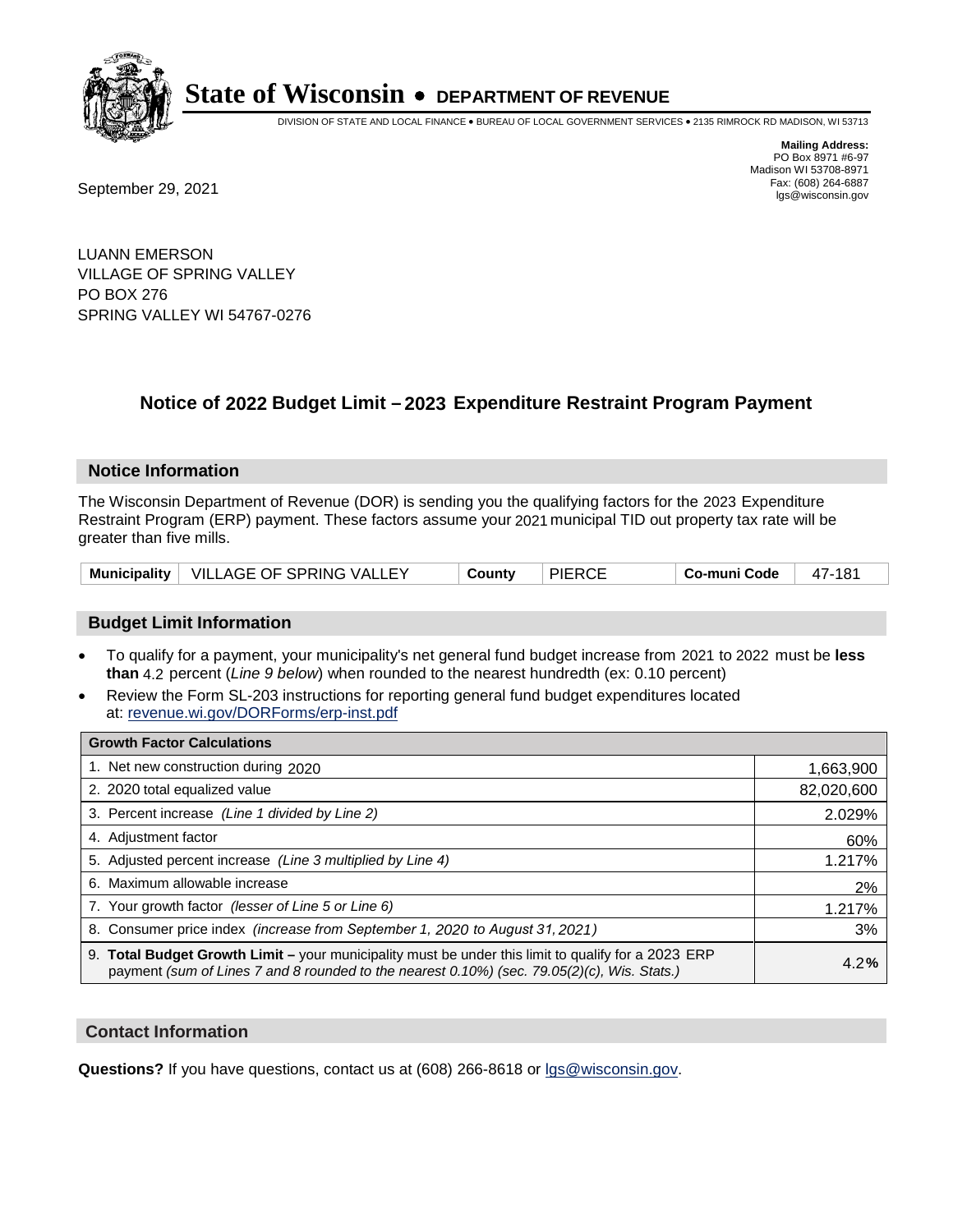

DIVISION OF STATE AND LOCAL FINANCE • BUREAU OF LOCAL GOVERNMENT SERVICES • 2135 RIMROCK RD MADISON, WI 53713

**Mailing Address:** PO Box 8971 #6-97 Madison WI 53708-8971<br>Fax: (608) 264-6887 Fax: (608) 264-6887<br>
September 29, 2021 and the state of the state of the state of the state of the state of the state of the state of the state of the state of the state of the state of the state of the state of the state

LUANN EMERSON VILLAGE OF SPRING VALLEY PO BOX 276 SPRING VALLEY WI 54767-0276

## **Notice of 2022 Budget Limit - 2023 Expenditure Restraint Program Payment**

#### **Notice Information**

The Wisconsin Department of Revenue (DOR) is sending you the qualifying factors for the 2023 Expenditure Restraint Program (ERP) payment. These factors assume your 2021 municipal TID out property tax rate will be greater than five mills.

| Municipality   VILLAGE OF SPRING VALLEY | County | <b>PIERCE</b> | .  Co-muni Code | 47-181 |
|-----------------------------------------|--------|---------------|-----------------|--------|
|-----------------------------------------|--------|---------------|-----------------|--------|

#### **Budget Limit Information**

- To qualify for a payment, your municipality's net general fund budget increase from 2021 to 2022 must be less **than** 4.2 percent (*Line 9 below*) when rounded to the nearest hundredth (ex: 0.10 percent)
- Review the Form SL-203 instructions for reporting general fund budget expenditures located at: revenue.wi.gov/DORForms/erp-inst.pdf

| <b>Growth Factor Calculations</b>                                                                                                                                                                  |            |
|----------------------------------------------------------------------------------------------------------------------------------------------------------------------------------------------------|------------|
| 1. Net new construction during 2020                                                                                                                                                                | 1,663,900  |
| 2. 2020 total equalized value                                                                                                                                                                      | 82,020,600 |
| 3. Percent increase (Line 1 divided by Line 2)                                                                                                                                                     | 2.029%     |
| 4. Adiustment factor                                                                                                                                                                               | 60%        |
| 5. Adjusted percent increase (Line 3 multiplied by Line 4)                                                                                                                                         | 1.217%     |
| 6. Maximum allowable increase                                                                                                                                                                      | 2%         |
| 7. Your growth factor (lesser of Line 5 or Line 6)                                                                                                                                                 | 1.217%     |
| 8. Consumer price index (increase from September 1, 2020 to August 31, 2021)                                                                                                                       | 3%         |
| 9. Total Budget Growth Limit - your municipality must be under this limit to qualify for a 2023 ERP<br>payment (sum of Lines 7 and 8 rounded to the nearest 0.10%) (sec. 79.05(2)(c), Wis. Stats.) | 4.2%       |

#### **Contact Information**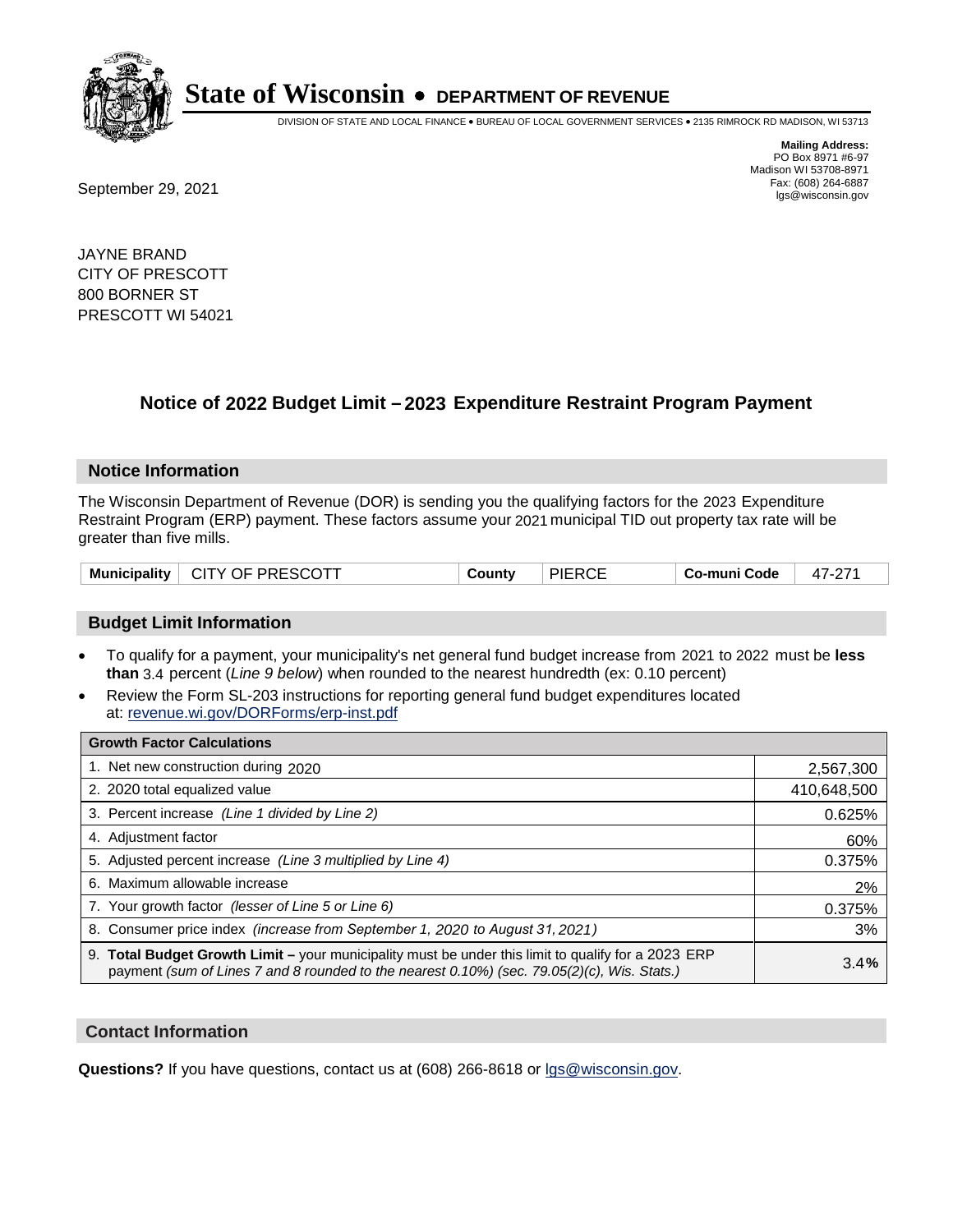

DIVISION OF STATE AND LOCAL FINANCE • BUREAU OF LOCAL GOVERNMENT SERVICES • 2135 RIMROCK RD MADISON, WI 53713

**Mailing Address:** PO Box 8971 #6-97 Madison WI 53708-8971<br>Fax: (608) 264-6887

Fax: (608) 264-6887<br>
September 29, 2021 and the state of the state of the state of the state of the state of the state of the state of the state of the state of the state of the state of the state of the state of the state

JAYNE BRAND CITY OF PRESCOTT 800 BORNER ST PRESCOTT WI 54021

## **Notice of 2022 Budget Limit - 2023 Expenditure Restraint Program Payment**

#### **Notice Information**

The Wisconsin Department of Revenue (DOR) is sending you the qualifying factors for the 2023 Expenditure Restraint Program (ERP) payment. These factors assume your 2021 municipal TID out property tax rate will be greater than five mills.

### **Budget Limit Information**

- To qualify for a payment, your municipality's net general fund budget increase from 2021 to 2022 must be less **than** 3.4 percent (*Line 9 below*) when rounded to the nearest hundredth (ex: 0.10 percent)
- Review the Form SL-203 instructions for reporting general fund budget expenditures located at: revenue.wi.gov/DORForms/erp-inst.pdf

| <b>Growth Factor Calculations</b>                                                                                                                                                                  |             |
|----------------------------------------------------------------------------------------------------------------------------------------------------------------------------------------------------|-------------|
| 1. Net new construction during 2020                                                                                                                                                                | 2,567,300   |
| 2. 2020 total equalized value                                                                                                                                                                      | 410,648,500 |
| 3. Percent increase (Line 1 divided by Line 2)                                                                                                                                                     | 0.625%      |
| 4. Adiustment factor                                                                                                                                                                               | 60%         |
| 5. Adjusted percent increase (Line 3 multiplied by Line 4)                                                                                                                                         | 0.375%      |
| 6. Maximum allowable increase                                                                                                                                                                      | 2%          |
| 7. Your growth factor (lesser of Line 5 or Line 6)                                                                                                                                                 | 0.375%      |
| 8. Consumer price index (increase from September 1, 2020 to August 31, 2021)                                                                                                                       | 3%          |
| 9. Total Budget Growth Limit - your municipality must be under this limit to qualify for a 2023 ERP<br>payment (sum of Lines 7 and 8 rounded to the nearest 0.10%) (sec. 79.05(2)(c), Wis. Stats.) | 3.4%        |

#### **Contact Information**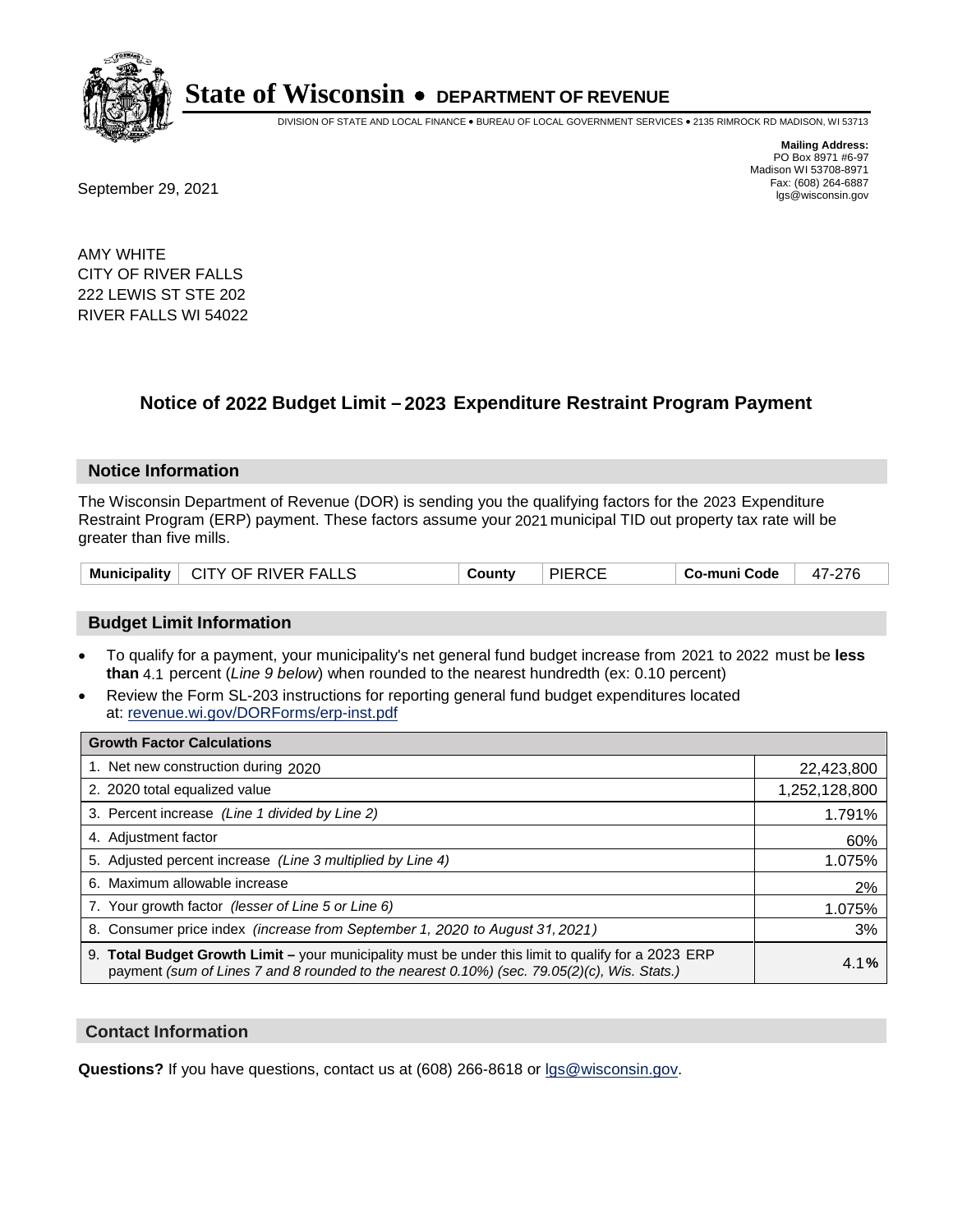

DIVISION OF STATE AND LOCAL FINANCE • BUREAU OF LOCAL GOVERNMENT SERVICES • 2135 RIMROCK RD MADISON, WI 53713

**Mailing Address:** PO Box 8971 #6-97 Madison WI 53708-8971<br>Fax: (608) 264-6887

Fax: (608) 264-6887<br>
September 29, 2021 and the state of the state of the state of the state of the state of the state of the state of the state of the state of the state of the state of the state of the state of the state

AMY WHITE CITY OF RIVER FALLS 222 LEWIS ST STE 202 RIVER FALLS WI 54022

## **Notice of 2022 Budget Limit - 2023 Expenditure Restraint Program Payment**

#### **Notice Information**

The Wisconsin Department of Revenue (DOR) is sending you the qualifying factors for the 2023 Expenditure Restraint Program (ERP) payment. These factors assume your 2021 municipal TID out property tax rate will be greater than five mills.

|  | Municipality   CITY OF RIVER FALLS | County | <b>PIERCE</b> | Co-muni Code | 47-276 |
|--|------------------------------------|--------|---------------|--------------|--------|
|--|------------------------------------|--------|---------------|--------------|--------|

#### **Budget Limit Information**

- To qualify for a payment, your municipality's net general fund budget increase from 2021 to 2022 must be less **than** 4.1 percent (*Line 9 below*) when rounded to the nearest hundredth (ex: 0.10 percent)
- Review the Form SL-203 instructions for reporting general fund budget expenditures located at: revenue.wi.gov/DORForms/erp-inst.pdf

| <b>Growth Factor Calculations</b>                                                                                                                                                                  |               |
|----------------------------------------------------------------------------------------------------------------------------------------------------------------------------------------------------|---------------|
| 1. Net new construction during 2020                                                                                                                                                                | 22,423,800    |
| 2. 2020 total equalized value                                                                                                                                                                      | 1,252,128,800 |
| 3. Percent increase (Line 1 divided by Line 2)                                                                                                                                                     | 1.791%        |
| 4. Adiustment factor                                                                                                                                                                               | 60%           |
| 5. Adjusted percent increase (Line 3 multiplied by Line 4)                                                                                                                                         | 1.075%        |
| 6. Maximum allowable increase                                                                                                                                                                      | 2%            |
| 7. Your growth factor (lesser of Line 5 or Line 6)                                                                                                                                                 | 1.075%        |
| 8. Consumer price index (increase from September 1, 2020 to August 31, 2021)                                                                                                                       | 3%            |
| 9. Total Budget Growth Limit - your municipality must be under this limit to qualify for a 2023 ERP<br>payment (sum of Lines 7 and 8 rounded to the nearest 0.10%) (sec. 79.05(2)(c), Wis. Stats.) | 4.1%          |

#### **Contact Information**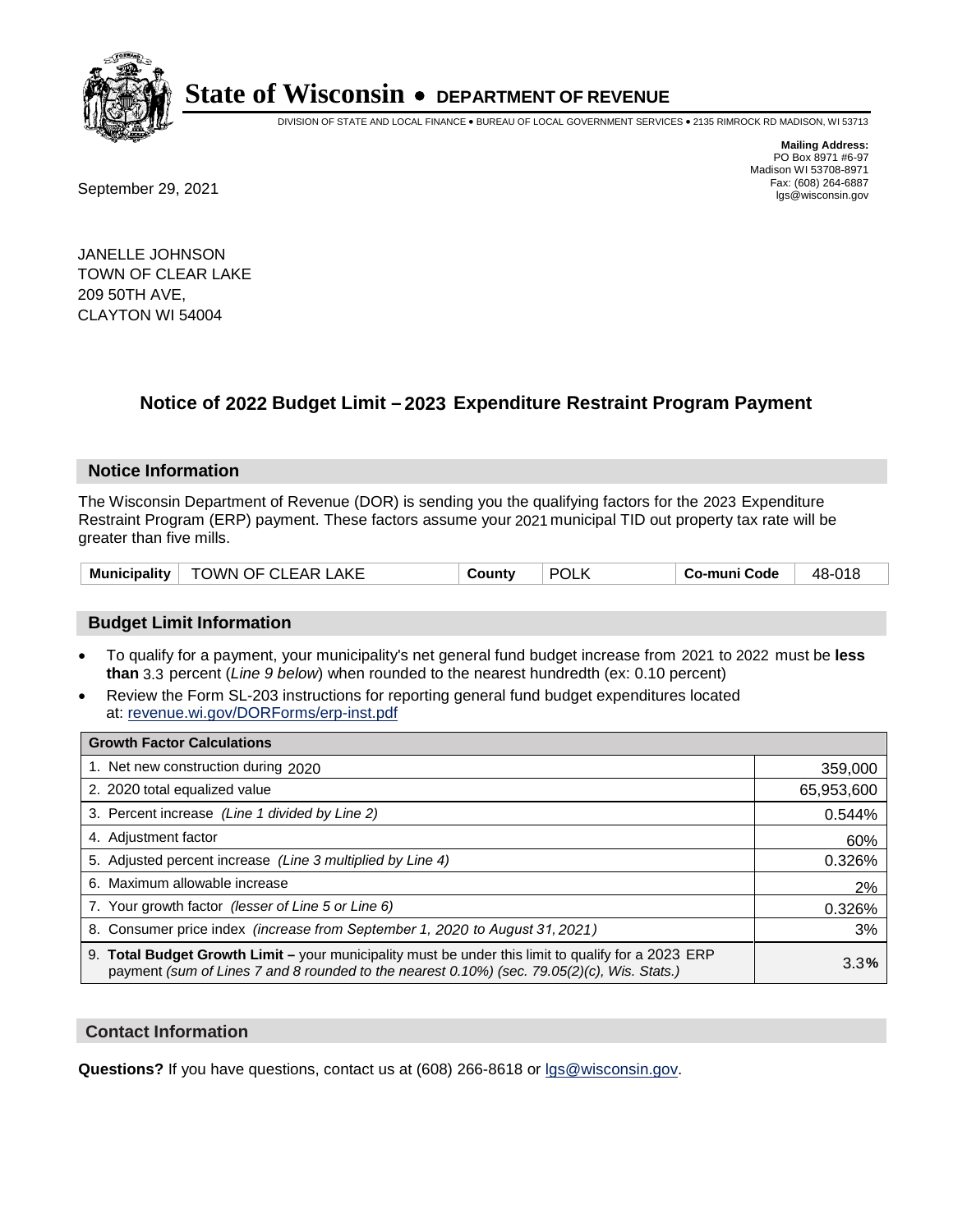

DIVISION OF STATE AND LOCAL FINANCE • BUREAU OF LOCAL GOVERNMENT SERVICES • 2135 RIMROCK RD MADISON, WI 53713

Fax: (608) 264-6887<br>
September 29, 2021 and the state of the state of the state of the state of the state of the state of the state of the state of the state of the state of the state of the state of the state of the state

**Mailing Address:** PO Box 8971 #6-97 Madison WI 53708-8971<br>Fax: (608) 264-6887

JANELLE JOHNSON TOWN OF CLEAR LAKE 209 50TH AVE, CLAYTON WI 54004

## **Notice of 2022 Budget Limit - 2023 Expenditure Restraint Program Payment**

#### **Notice Information**

The Wisconsin Department of Revenue (DOR) is sending you the qualifying factors for the 2023 Expenditure Restraint Program (ERP) payment. These factors assume your 2021 municipal TID out property tax rate will be greater than five mills.

| Municipality | TOWN OF CLEAR LAKE | Countv | <b>POL</b> | Co-muni Code | 48-018 |
|--------------|--------------------|--------|------------|--------------|--------|
|--------------|--------------------|--------|------------|--------------|--------|

### **Budget Limit Information**

- To qualify for a payment, your municipality's net general fund budget increase from 2021 to 2022 must be less **than** 3.3 percent (*Line 9 below*) when rounded to the nearest hundredth (ex: 0.10 percent)
- Review the Form SL-203 instructions for reporting general fund budget expenditures located at: revenue.wi.gov/DORForms/erp-inst.pdf

| <b>Growth Factor Calculations</b>                                                                                                                                                                  |            |
|----------------------------------------------------------------------------------------------------------------------------------------------------------------------------------------------------|------------|
| 1. Net new construction during 2020                                                                                                                                                                | 359,000    |
| 2. 2020 total equalized value                                                                                                                                                                      | 65,953,600 |
| 3. Percent increase (Line 1 divided by Line 2)                                                                                                                                                     | 0.544%     |
| 4. Adjustment factor                                                                                                                                                                               | 60%        |
| 5. Adjusted percent increase (Line 3 multiplied by Line 4)                                                                                                                                         | 0.326%     |
| 6. Maximum allowable increase                                                                                                                                                                      | 2%         |
| 7. Your growth factor (lesser of Line 5 or Line 6)                                                                                                                                                 | 0.326%     |
| 8. Consumer price index (increase from September 1, 2020 to August 31, 2021)                                                                                                                       | 3%         |
| 9. Total Budget Growth Limit - your municipality must be under this limit to qualify for a 2023 ERP<br>payment (sum of Lines 7 and 8 rounded to the nearest 0.10%) (sec. 79.05(2)(c), Wis. Stats.) | 3.3%       |

#### **Contact Information**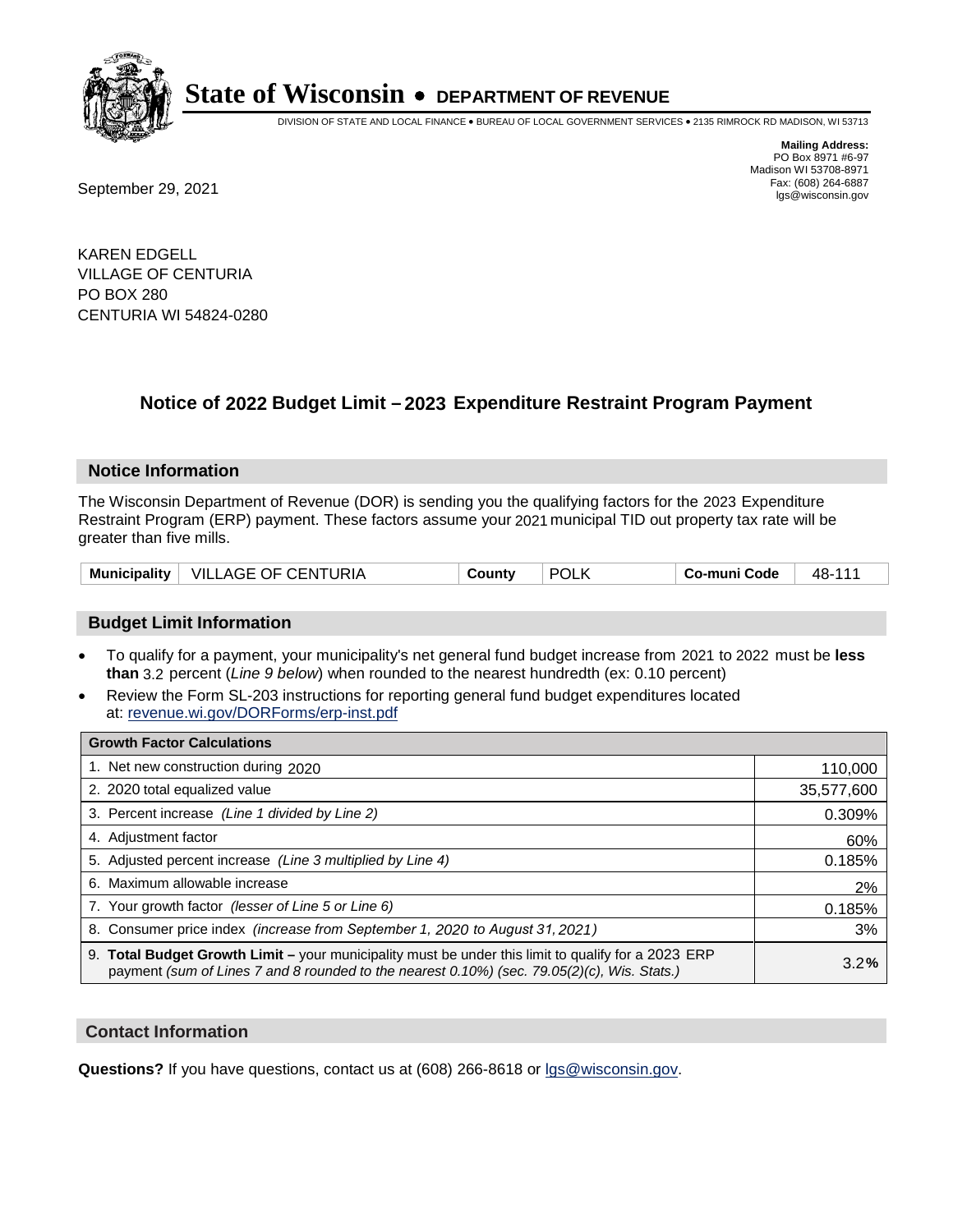

DIVISION OF STATE AND LOCAL FINANCE • BUREAU OF LOCAL GOVERNMENT SERVICES • 2135 RIMROCK RD MADISON, WI 53713

**Mailing Address:** PO Box 8971 #6-97 Madison WI 53708-8971<br>Fax: (608) 264-6887

Fax: (608) 264-6887<br>
September 29, 2021 and the state of the state of the state of the state of the state of the state of the state of the state of the state of the state of the state of the state of the state of the state

KAREN EDGELL VILLAGE OF CENTURIA PO BOX 280 CENTURIA WI 54824-0280

## **Notice of 2022 Budget Limit - 2023 Expenditure Restraint Program Payment**

#### **Notice Information**

The Wisconsin Department of Revenue (DOR) is sending you the qualifying factors for the 2023 Expenditure Restraint Program (ERP) payment. These factors assume your 2021 municipal TID out property tax rate will be greater than five mills.

| <b>Municipality</b> | $\perp$ VILLAGE OF CENTURIA | County | <b>POLK</b> | Co-muni Code | 48-111 |
|---------------------|-----------------------------|--------|-------------|--------------|--------|
|---------------------|-----------------------------|--------|-------------|--------------|--------|

### **Budget Limit Information**

- To qualify for a payment, your municipality's net general fund budget increase from 2021 to 2022 must be less **than** 3.2 percent (*Line 9 below*) when rounded to the nearest hundredth (ex: 0.10 percent)
- Review the Form SL-203 instructions for reporting general fund budget expenditures located at: revenue.wi.gov/DORForms/erp-inst.pdf

| <b>Growth Factor Calculations</b>                                                                                                                                                                  |            |
|----------------------------------------------------------------------------------------------------------------------------------------------------------------------------------------------------|------------|
| 1. Net new construction during 2020                                                                                                                                                                | 110,000    |
| 2. 2020 total equalized value                                                                                                                                                                      | 35,577,600 |
| 3. Percent increase (Line 1 divided by Line 2)                                                                                                                                                     | 0.309%     |
| 4. Adiustment factor                                                                                                                                                                               | 60%        |
| 5. Adjusted percent increase (Line 3 multiplied by Line 4)                                                                                                                                         | 0.185%     |
| 6. Maximum allowable increase                                                                                                                                                                      | 2%         |
| 7. Your growth factor (lesser of Line 5 or Line 6)                                                                                                                                                 | 0.185%     |
| 8. Consumer price index (increase from September 1, 2020 to August 31, 2021)                                                                                                                       | 3%         |
| 9. Total Budget Growth Limit - your municipality must be under this limit to qualify for a 2023 ERP<br>payment (sum of Lines 7 and 8 rounded to the nearest 0.10%) (sec. 79.05(2)(c), Wis. Stats.) | 3.2%       |

### **Contact Information**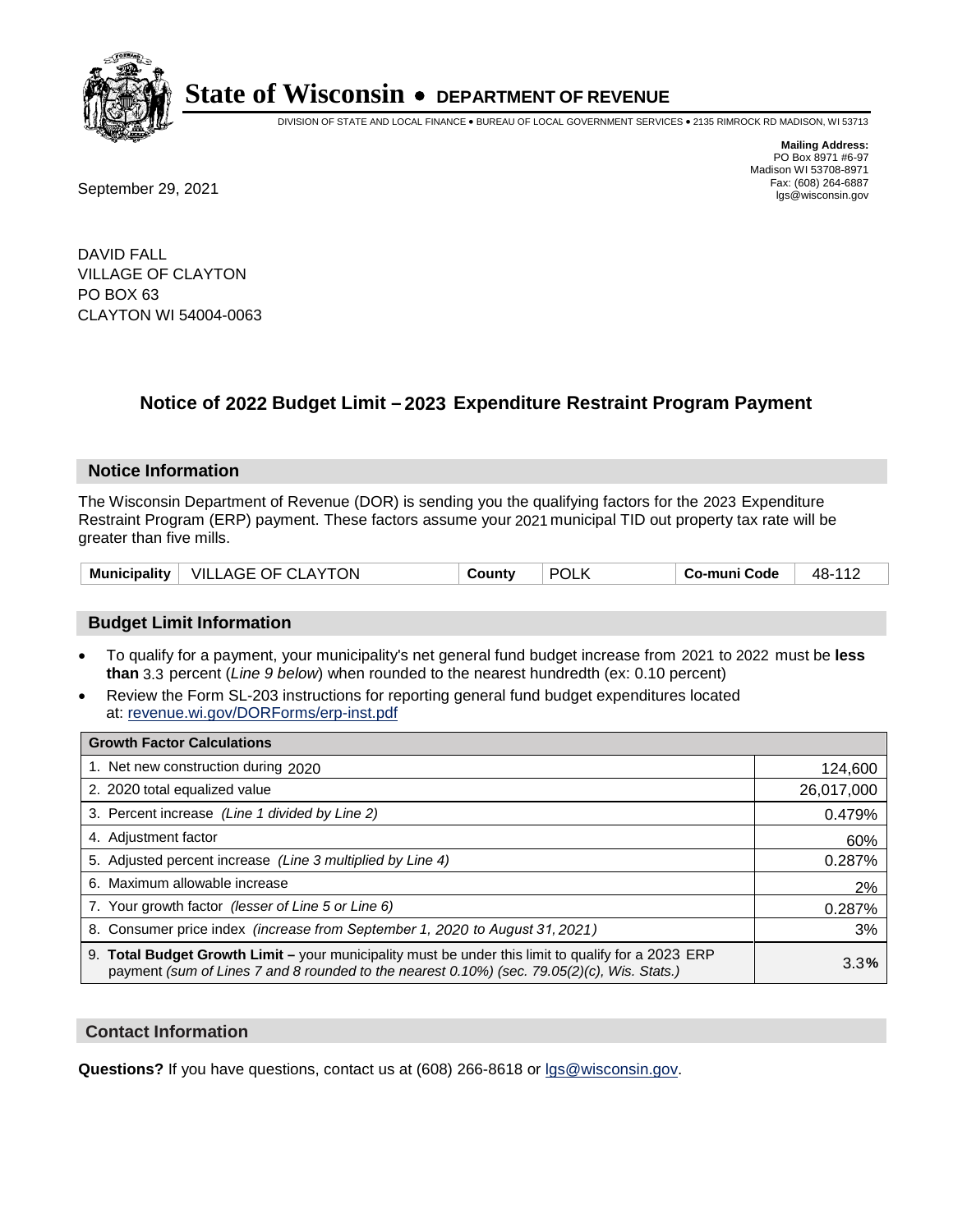

DIVISION OF STATE AND LOCAL FINANCE • BUREAU OF LOCAL GOVERNMENT SERVICES • 2135 RIMROCK RD MADISON, WI 53713

**Mailing Address:** PO Box 8971 #6-97 Madison WI 53708-8971<br>Fax: (608) 264-6887 Fax: (608) 264-6887<br>
September 29, 2021 and the state of the state of the state of the state of the state of the state of the state of the state of the state of the state of the state of the state of the state of the state

DAVID FALL VILLAGE OF CLAYTON PO BOX 63 CLAYTON WI 54004-0063

## **Notice of 2022 Budget Limit - 2023 Expenditure Restraint Program Payment**

#### **Notice Information**

The Wisconsin Department of Revenue (DOR) is sending you the qualifying factors for the 2023 Expenditure Restraint Program (ERP) payment. These factors assume your 2021 municipal TID out property tax rate will be greater than five mills.

### **Budget Limit Information**

- To qualify for a payment, your municipality's net general fund budget increase from 2021 to 2022 must be less **than** 3.3 percent (*Line 9 below*) when rounded to the nearest hundredth (ex: 0.10 percent)
- Review the Form SL-203 instructions for reporting general fund budget expenditures located at: revenue.wi.gov/DORForms/erp-inst.pdf

| <b>Growth Factor Calculations</b>                                                                                                                                                                  |            |
|----------------------------------------------------------------------------------------------------------------------------------------------------------------------------------------------------|------------|
| 1. Net new construction during 2020                                                                                                                                                                | 124,600    |
| 2. 2020 total equalized value                                                                                                                                                                      | 26,017,000 |
| 3. Percent increase (Line 1 divided by Line 2)                                                                                                                                                     | 0.479%     |
| 4. Adjustment factor                                                                                                                                                                               | 60%        |
| 5. Adjusted percent increase (Line 3 multiplied by Line 4)                                                                                                                                         | 0.287%     |
| 6. Maximum allowable increase                                                                                                                                                                      | 2%         |
| 7. Your growth factor (lesser of Line 5 or Line 6)                                                                                                                                                 | 0.287%     |
| 8. Consumer price index (increase from September 1, 2020 to August 31, 2021)                                                                                                                       | 3%         |
| 9. Total Budget Growth Limit - your municipality must be under this limit to qualify for a 2023 ERP<br>payment (sum of Lines 7 and 8 rounded to the nearest 0.10%) (sec. 79.05(2)(c), Wis. Stats.) | 3.3%       |

#### **Contact Information**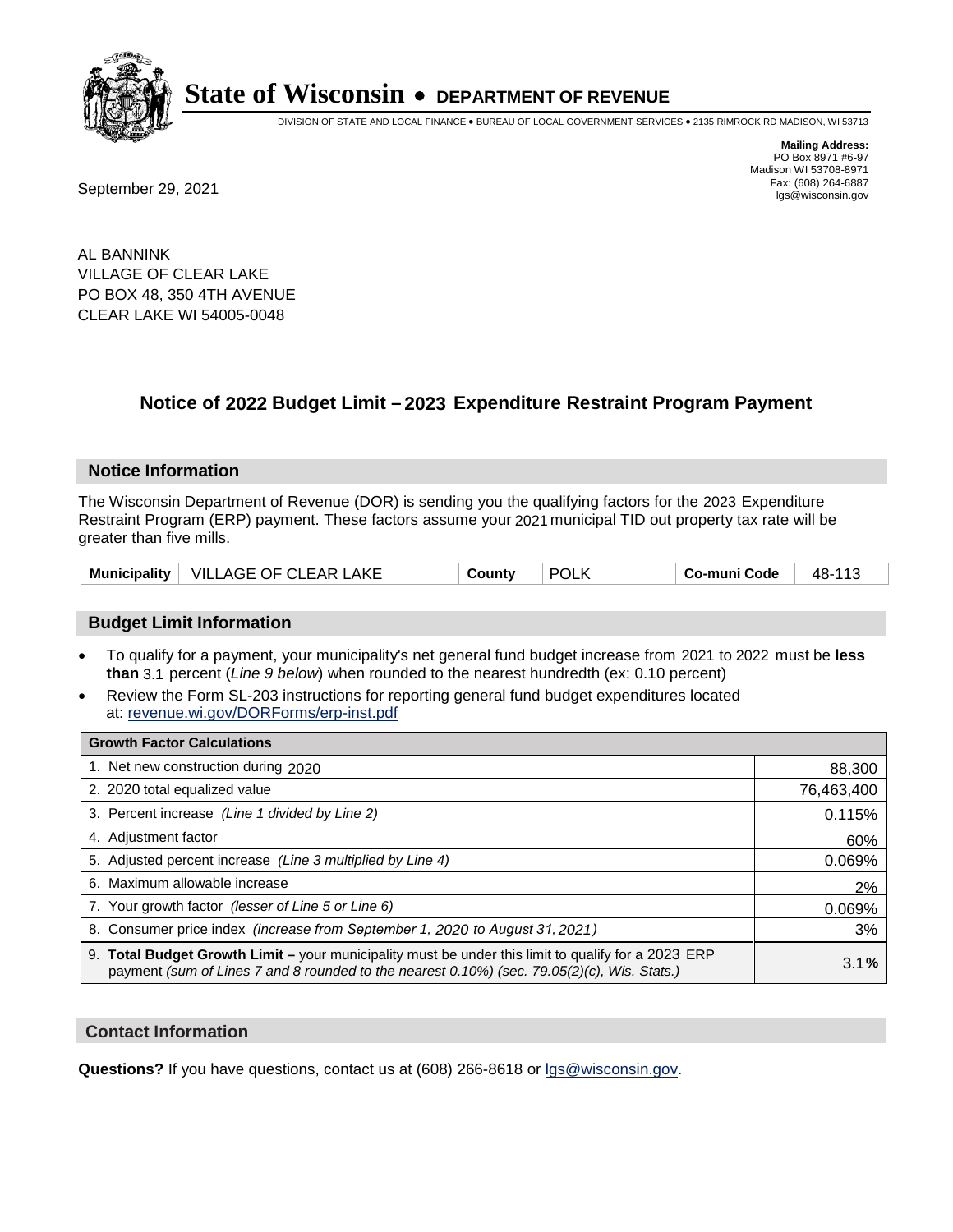

DIVISION OF STATE AND LOCAL FINANCE • BUREAU OF LOCAL GOVERNMENT SERVICES • 2135 RIMROCK RD MADISON, WI 53713

Fax: (608) 264-6887<br>
September 29, 2021 and the state of the state of the state of the state of the state of the state of the state of the state of the state of the state of the state of the state of the state of the state

**Mailing Address:** PO Box 8971 #6-97 Madison WI 53708-8971<br>Fax: (608) 264-6887

AL BANNINK VILLAGE OF CLEAR LAKE PO BOX 48, 350 4TH AVENUE CLEAR LAKE WI 54005-0048

## **Notice of 2022 Budget Limit - 2023 Expenditure Restraint Program Payment**

#### **Notice Information**

The Wisconsin Department of Revenue (DOR) is sending you the qualifying factors for the 2023 Expenditure Restraint Program (ERP) payment. These factors assume your 2021 municipal TID out property tax rate will be greater than five mills.

| Municipality   VILLAGE OF CLEAR LAKE | County | <b>POLK</b> | Co-muni Code | 48-113 |
|--------------------------------------|--------|-------------|--------------|--------|
|--------------------------------------|--------|-------------|--------------|--------|

### **Budget Limit Information**

- To qualify for a payment, your municipality's net general fund budget increase from 2021 to 2022 must be less **than** 3.1 percent (*Line 9 below*) when rounded to the nearest hundredth (ex: 0.10 percent)
- Review the Form SL-203 instructions for reporting general fund budget expenditures located at: revenue.wi.gov/DORForms/erp-inst.pdf

| <b>Growth Factor Calculations</b>                                                                                                                                                                  |            |
|----------------------------------------------------------------------------------------------------------------------------------------------------------------------------------------------------|------------|
| 1. Net new construction during 2020                                                                                                                                                                | 88,300     |
| 2. 2020 total equalized value                                                                                                                                                                      | 76,463,400 |
| 3. Percent increase (Line 1 divided by Line 2)                                                                                                                                                     | 0.115%     |
| 4. Adjustment factor                                                                                                                                                                               | 60%        |
| 5. Adjusted percent increase (Line 3 multiplied by Line 4)                                                                                                                                         | 0.069%     |
| 6. Maximum allowable increase                                                                                                                                                                      | 2%         |
| 7. Your growth factor (lesser of Line 5 or Line 6)                                                                                                                                                 | 0.069%     |
| 8. Consumer price index (increase from September 1, 2020 to August 31, 2021)                                                                                                                       | 3%         |
| 9. Total Budget Growth Limit – your municipality must be under this limit to qualify for a 2023 ERP<br>payment (sum of Lines 7 and 8 rounded to the nearest 0.10%) (sec. 79.05(2)(c), Wis. Stats.) | 3.1%       |

#### **Contact Information**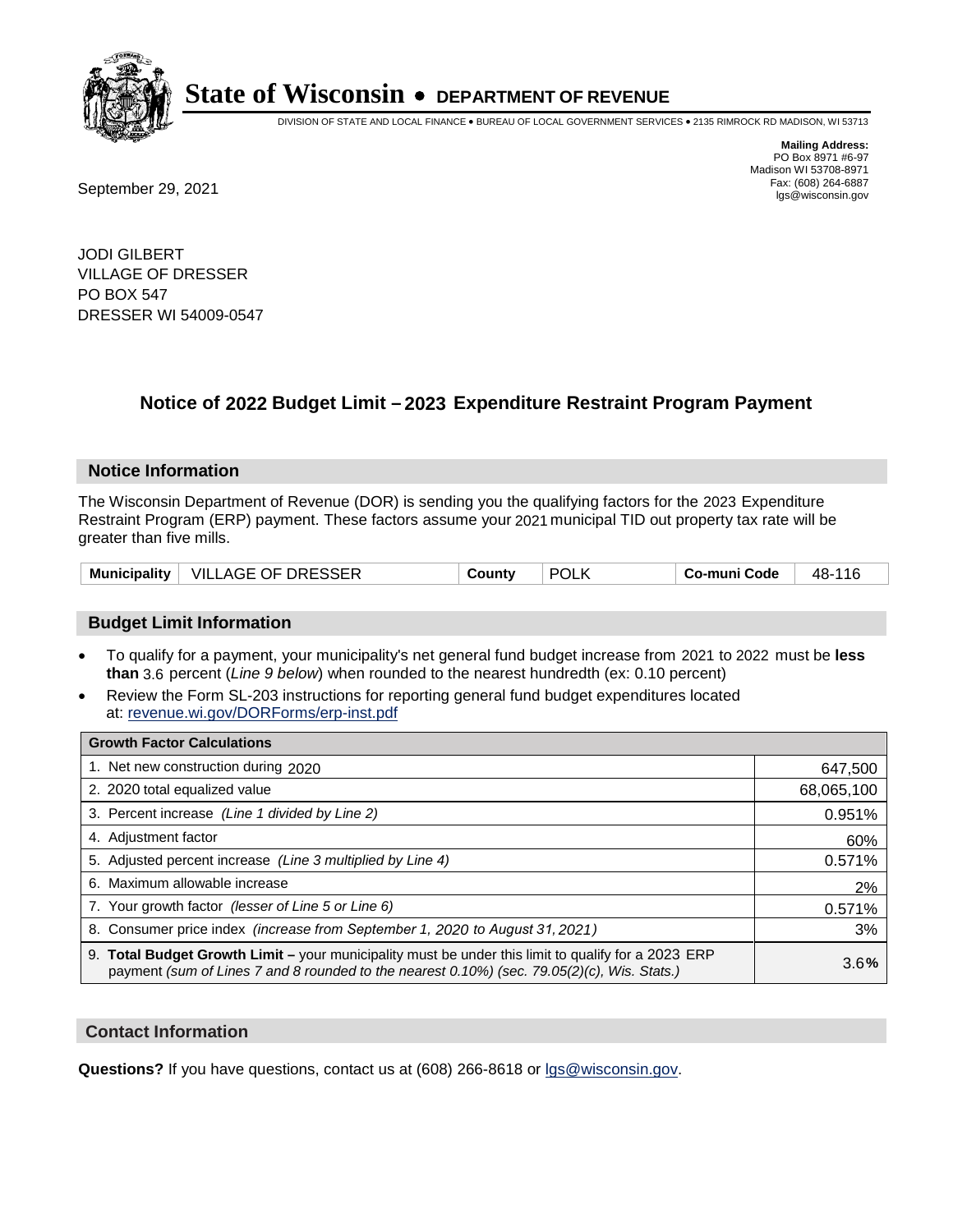

DIVISION OF STATE AND LOCAL FINANCE • BUREAU OF LOCAL GOVERNMENT SERVICES • 2135 RIMROCK RD MADISON, WI 53713

**Mailing Address:** PO Box 8971 #6-97 Madison WI 53708-8971<br>Fax: (608) 264-6887

Fax: (608) 264-6887<br>
September 29, 2021 and the state of the state of the state of the state of the state of the state of the state of the state of the state of the state of the state of the state of the state of the state

JODI GILBERT VILLAGE OF DRESSER PO BOX 547 DRESSER WI 54009-0547

## **Notice of 2022 Budget Limit - 2023 Expenditure Restraint Program Payment**

#### **Notice Information**

The Wisconsin Department of Revenue (DOR) is sending you the qualifying factors for the 2023 Expenditure Restraint Program (ERP) payment. These factors assume your 2021 municipal TID out property tax rate will be greater than five mills.

| Municipality   VILLAGE OF DRESSER | County | <b>POLK</b> | Co-muni Code | 48-116 |
|-----------------------------------|--------|-------------|--------------|--------|
|-----------------------------------|--------|-------------|--------------|--------|

### **Budget Limit Information**

- To qualify for a payment, your municipality's net general fund budget increase from 2021 to 2022 must be less **than** 3.6 percent (*Line 9 below*) when rounded to the nearest hundredth (ex: 0.10 percent)
- Review the Form SL-203 instructions for reporting general fund budget expenditures located at: revenue.wi.gov/DORForms/erp-inst.pdf

| <b>Growth Factor Calculations</b>                                                                                                                                                                  |            |
|----------------------------------------------------------------------------------------------------------------------------------------------------------------------------------------------------|------------|
| 1. Net new construction during 2020                                                                                                                                                                | 647,500    |
| 2. 2020 total equalized value                                                                                                                                                                      | 68,065,100 |
| 3. Percent increase (Line 1 divided by Line 2)                                                                                                                                                     | 0.951%     |
| 4. Adjustment factor                                                                                                                                                                               | 60%        |
| 5. Adjusted percent increase (Line 3 multiplied by Line 4)                                                                                                                                         | 0.571%     |
| 6. Maximum allowable increase                                                                                                                                                                      | 2%         |
| 7. Your growth factor (lesser of Line 5 or Line 6)                                                                                                                                                 | 0.571%     |
| 8. Consumer price index (increase from September 1, 2020 to August 31, 2021)                                                                                                                       | 3%         |
| 9. Total Budget Growth Limit – your municipality must be under this limit to qualify for a 2023 ERP<br>payment (sum of Lines 7 and 8 rounded to the nearest 0.10%) (sec. 79.05(2)(c), Wis. Stats.) | 3.6%       |

### **Contact Information**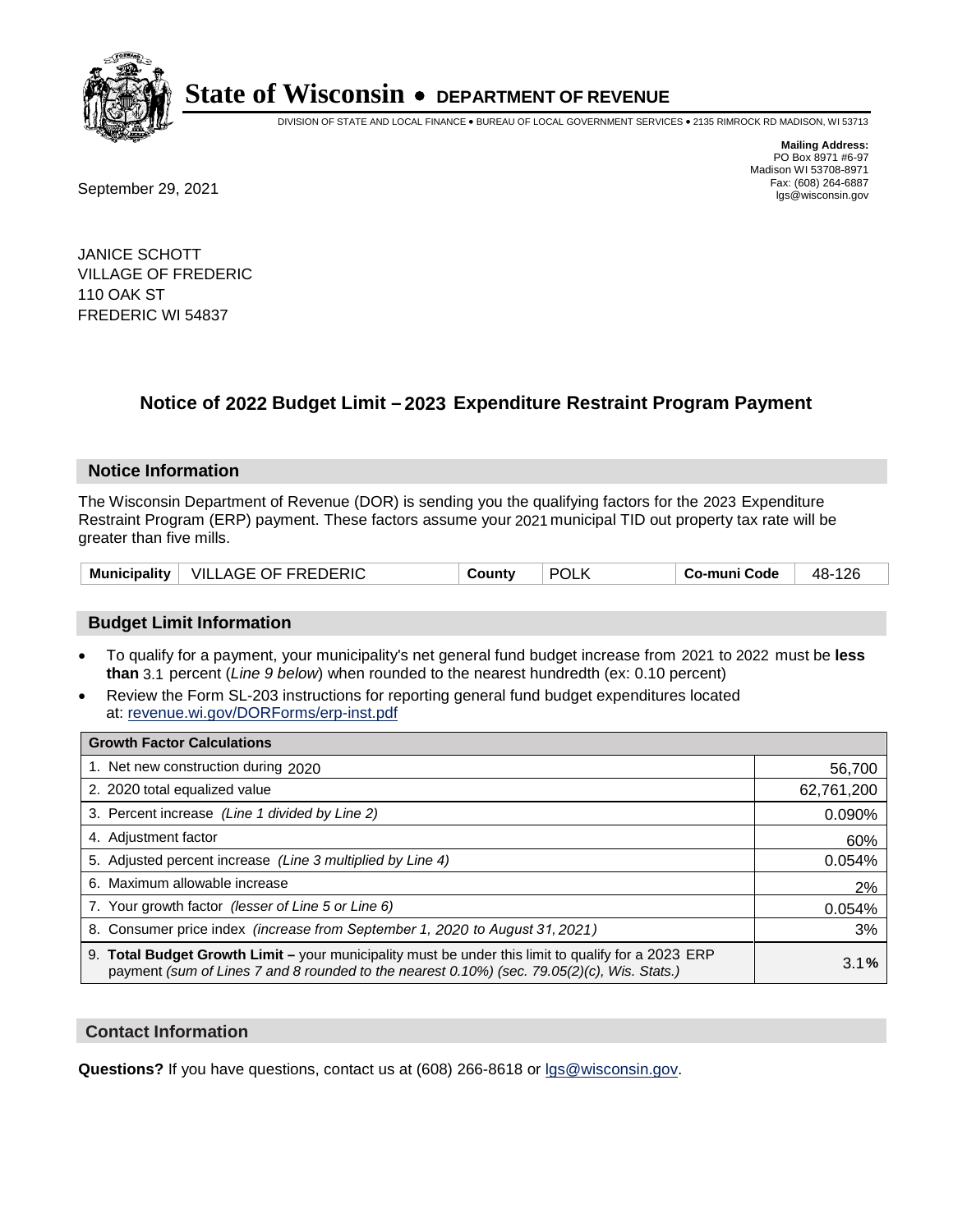

DIVISION OF STATE AND LOCAL FINANCE • BUREAU OF LOCAL GOVERNMENT SERVICES • 2135 RIMROCK RD MADISON, WI 53713

Fax: (608) 264-6887<br>
September 29, 2021 and the state of the state of the state of the state of the state of the state of the state of the state of the state of the state of the state of the state of the state of the state

**Mailing Address:** PO Box 8971 #6-97 Madison WI 53708-8971<br>Fax: (608) 264-6887

JANICE SCHOTT VILLAGE OF FREDERIC 110 OAK ST FREDERIC WI 54837

## **Notice of 2022 Budget Limit - 2023 Expenditure Restraint Program Payment**

#### **Notice Information**

The Wisconsin Department of Revenue (DOR) is sending you the qualifying factors for the 2023 Expenditure Restraint Program (ERP) payment. These factors assume your 2021 municipal TID out property tax rate will be greater than five mills.

| <b>Municipality</b> | VILLAGE OF FREDERIC | County | <b>POLK</b> | Co-muni Code | 126<br>48- |
|---------------------|---------------------|--------|-------------|--------------|------------|
|---------------------|---------------------|--------|-------------|--------------|------------|

### **Budget Limit Information**

- To qualify for a payment, your municipality's net general fund budget increase from 2021 to 2022 must be less **than** 3.1 percent (*Line 9 below*) when rounded to the nearest hundredth (ex: 0.10 percent)
- Review the Form SL-203 instructions for reporting general fund budget expenditures located at: revenue.wi.gov/DORForms/erp-inst.pdf

| <b>Growth Factor Calculations</b>                                                                                                                                                                  |            |
|----------------------------------------------------------------------------------------------------------------------------------------------------------------------------------------------------|------------|
| 1. Net new construction during 2020                                                                                                                                                                | 56,700     |
| 2. 2020 total equalized value                                                                                                                                                                      | 62,761,200 |
| 3. Percent increase (Line 1 divided by Line 2)                                                                                                                                                     | 0.090%     |
| 4. Adjustment factor                                                                                                                                                                               | 60%        |
| 5. Adjusted percent increase (Line 3 multiplied by Line 4)                                                                                                                                         | 0.054%     |
| 6. Maximum allowable increase                                                                                                                                                                      | 2%         |
| 7. Your growth factor (lesser of Line 5 or Line 6)                                                                                                                                                 | 0.054%     |
| 8. Consumer price index (increase from September 1, 2020 to August 31, 2021)                                                                                                                       | 3%         |
| 9. Total Budget Growth Limit - your municipality must be under this limit to qualify for a 2023 ERP<br>payment (sum of Lines 7 and 8 rounded to the nearest 0.10%) (sec. 79.05(2)(c), Wis. Stats.) | 3.1%       |

#### **Contact Information**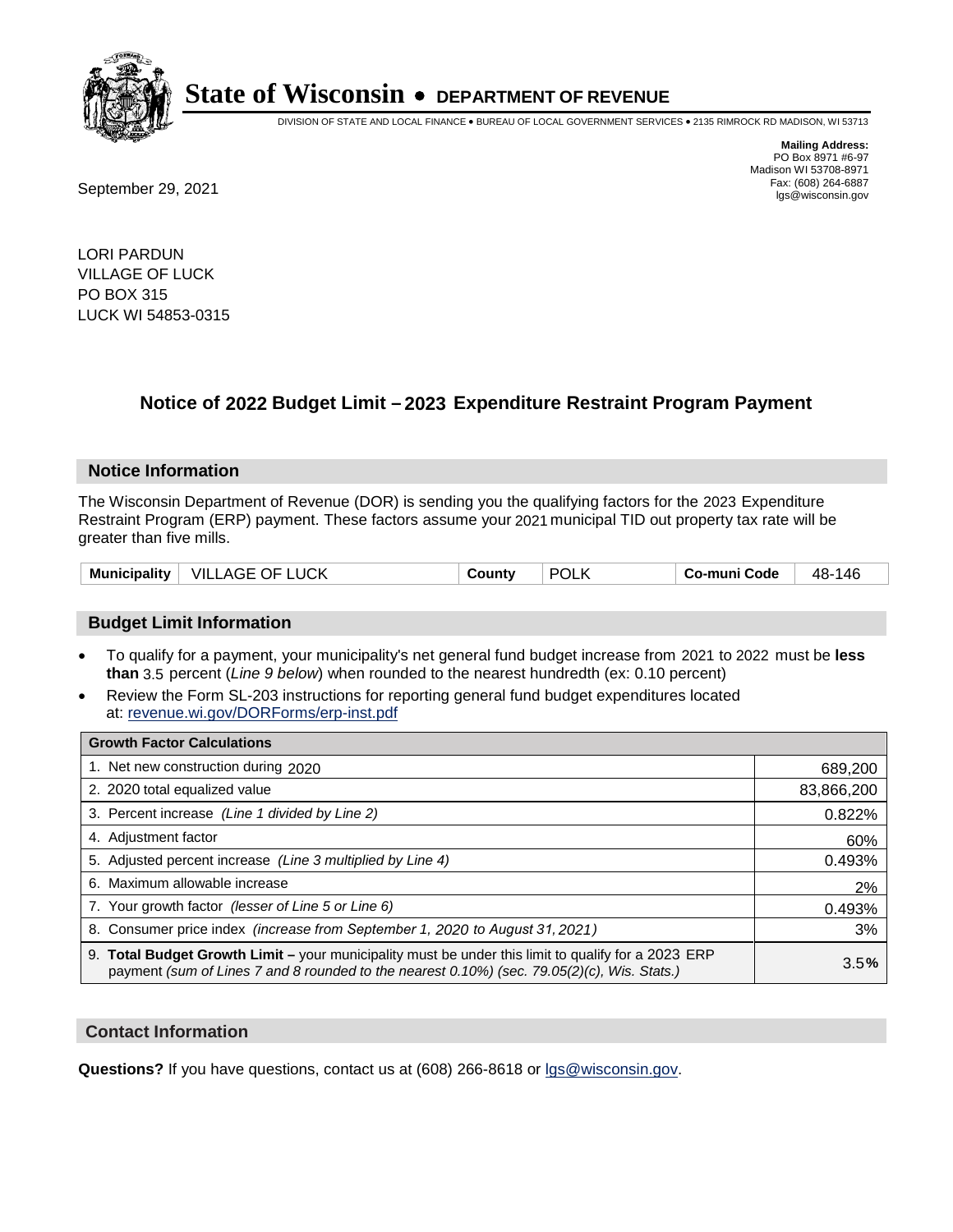

DIVISION OF STATE AND LOCAL FINANCE • BUREAU OF LOCAL GOVERNMENT SERVICES • 2135 RIMROCK RD MADISON, WI 53713

**Mailing Address:** PO Box 8971 #6-97 Madison WI 53708-8971<br>Fax: (608) 264-6887

Fax: (608) 264-6887<br>
September 29, 2021 and the state of the state of the state of the state of the state of the state of the state of the state of the state of the state of the state of the state of the state of the state

LORI PARDUN VILLAGE OF LUCK PO BOX 315 LUCK WI 54853-0315

## **Notice of 2022 Budget Limit - 2023 Expenditure Restraint Program Payment**

#### **Notice Information**

The Wisconsin Department of Revenue (DOR) is sending you the qualifying factors for the 2023 Expenditure Restraint Program (ERP) payment. These factors assume your 2021 municipal TID out property tax rate will be greater than five mills.

| <b>Municipality</b> | <b>VILLAGE OF LUCK</b> | County | <b>POLK</b> | Co-muni Code | 48-146 |
|---------------------|------------------------|--------|-------------|--------------|--------|
|---------------------|------------------------|--------|-------------|--------------|--------|

### **Budget Limit Information**

- To qualify for a payment, your municipality's net general fund budget increase from 2021 to 2022 must be less **than** 3.5 percent (*Line 9 below*) when rounded to the nearest hundredth (ex: 0.10 percent)
- Review the Form SL-203 instructions for reporting general fund budget expenditures located at: revenue.wi.gov/DORForms/erp-inst.pdf

| <b>Growth Factor Calculations</b>                                                                                                                                                                  |            |
|----------------------------------------------------------------------------------------------------------------------------------------------------------------------------------------------------|------------|
| 1. Net new construction during 2020                                                                                                                                                                | 689,200    |
| 2. 2020 total equalized value                                                                                                                                                                      | 83,866,200 |
| 3. Percent increase (Line 1 divided by Line 2)                                                                                                                                                     | 0.822%     |
| 4. Adjustment factor                                                                                                                                                                               | 60%        |
| 5. Adjusted percent increase (Line 3 multiplied by Line 4)                                                                                                                                         | 0.493%     |
| 6. Maximum allowable increase                                                                                                                                                                      | 2%         |
| 7. Your growth factor (lesser of Line 5 or Line 6)                                                                                                                                                 | 0.493%     |
| 8. Consumer price index (increase from September 1, 2020 to August 31, 2021)                                                                                                                       | 3%         |
| 9. Total Budget Growth Limit – your municipality must be under this limit to qualify for a 2023 ERP<br>payment (sum of Lines 7 and 8 rounded to the nearest 0.10%) (sec. 79.05(2)(c), Wis. Stats.) | 3.5%       |

#### **Contact Information**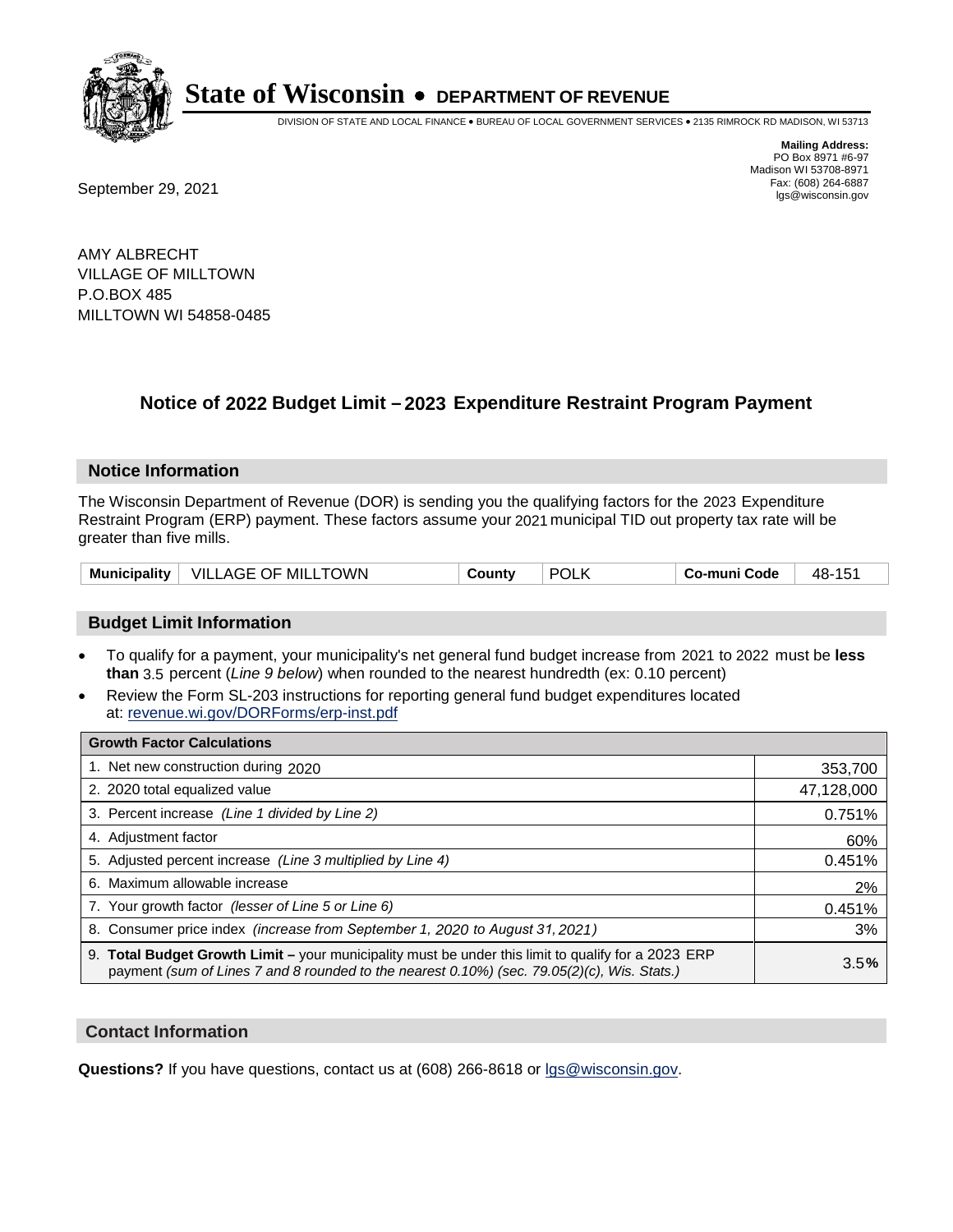

DIVISION OF STATE AND LOCAL FINANCE • BUREAU OF LOCAL GOVERNMENT SERVICES • 2135 RIMROCK RD MADISON, WI 53713

**Mailing Address:** PO Box 8971 #6-97 Madison WI 53708-8971<br>Fax: (608) 264-6887

Fax: (608) 264-6887<br>
September 29, 2021 and the state of the state of the state of the state of the state of the state of the state of the state of the state of the state of the state of the state of the state of the state

AMY ALBRECHT VILLAGE OF MILLTOWN P.O.BOX 485 MILLTOWN WI 54858-0485

## **Notice of 2022 Budget Limit - 2023 Expenditure Restraint Program Payment**

#### **Notice Information**

The Wisconsin Department of Revenue (DOR) is sending you the qualifying factors for the 2023 Expenditure Restraint Program (ERP) payment. These factors assume your 2021 municipal TID out property tax rate will be greater than five mills.

| <b>Municipality</b> | .TOWN<br>VILLAGE <b>\</b><br>`OF MILL | ⊶ount∨ | <b>POL</b> | o-muni Codeٽ | ля.<br><b>TU</b> |
|---------------------|---------------------------------------|--------|------------|--------------|------------------|
|---------------------|---------------------------------------|--------|------------|--------------|------------------|

### **Budget Limit Information**

- To qualify for a payment, your municipality's net general fund budget increase from 2021 to 2022 must be less **than** 3.5 percent (*Line 9 below*) when rounded to the nearest hundredth (ex: 0.10 percent)
- Review the Form SL-203 instructions for reporting general fund budget expenditures located at: revenue.wi.gov/DORForms/erp-inst.pdf

| <b>Growth Factor Calculations</b>                                                                                                                                                                  |            |
|----------------------------------------------------------------------------------------------------------------------------------------------------------------------------------------------------|------------|
| 1. Net new construction during 2020                                                                                                                                                                | 353,700    |
| 2. 2020 total equalized value                                                                                                                                                                      | 47,128,000 |
| 3. Percent increase (Line 1 divided by Line 2)                                                                                                                                                     | 0.751%     |
| 4. Adjustment factor                                                                                                                                                                               | 60%        |
| 5. Adjusted percent increase (Line 3 multiplied by Line 4)                                                                                                                                         | 0.451%     |
| 6. Maximum allowable increase                                                                                                                                                                      | 2%         |
| 7. Your growth factor (lesser of Line 5 or Line 6)                                                                                                                                                 | 0.451%     |
| 8. Consumer price index (increase from September 1, 2020 to August 31, 2021)                                                                                                                       | 3%         |
| 9. Total Budget Growth Limit - your municipality must be under this limit to qualify for a 2023 ERP<br>payment (sum of Lines 7 and 8 rounded to the nearest 0.10%) (sec. 79.05(2)(c), Wis. Stats.) | 3.5%       |

### **Contact Information**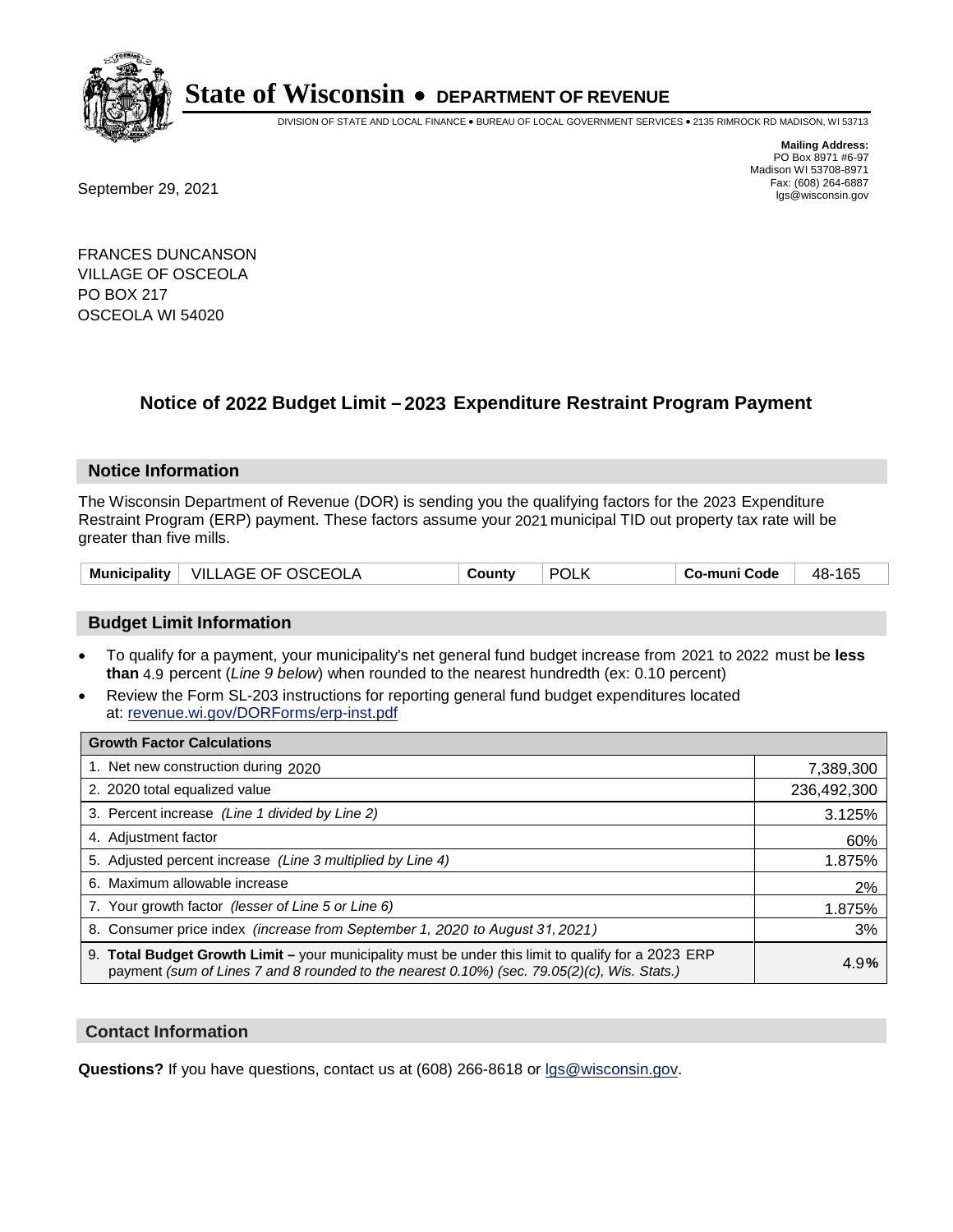

DIVISION OF STATE AND LOCAL FINANCE • BUREAU OF LOCAL GOVERNMENT SERVICES • 2135 RIMROCK RD MADISON, WI 53713

**Mailing Address:** PO Box 8971 #6-97 Madison WI 53708-8971<br>Fax: (608) 264-6887

Fax: (608) 264-6887<br>
September 29, 2021 and the state of the state of the state of the state of the state of the state of the state of the state of the state of the state of the state of the state of the state of the state

FRANCES DUNCANSON VILLAGE OF OSCEOLA PO BOX 217 OSCEOLA WI 54020

## **Notice of 2022 Budget Limit - 2023 Expenditure Restraint Program Payment**

#### **Notice Information**

The Wisconsin Department of Revenue (DOR) is sending you the qualifying factors for the 2023 Expenditure Restraint Program (ERP) payment. These factors assume your 2021 municipal TID out property tax rate will be greater than five mills.

### **Budget Limit Information**

- To qualify for a payment, your municipality's net general fund budget increase from 2021 to 2022 must be less **than** 4.9 percent (*Line 9 below*) when rounded to the nearest hundredth (ex: 0.10 percent)
- Review the Form SL-203 instructions for reporting general fund budget expenditures located at: revenue.wi.gov/DORForms/erp-inst.pdf

| <b>Growth Factor Calculations</b>                                                                                                                                                                  |             |
|----------------------------------------------------------------------------------------------------------------------------------------------------------------------------------------------------|-------------|
| 1. Net new construction during 2020                                                                                                                                                                | 7,389,300   |
| 2. 2020 total equalized value                                                                                                                                                                      | 236,492,300 |
| 3. Percent increase (Line 1 divided by Line 2)                                                                                                                                                     | 3.125%      |
| 4. Adjustment factor                                                                                                                                                                               | 60%         |
| 5. Adjusted percent increase (Line 3 multiplied by Line 4)                                                                                                                                         | 1.875%      |
| 6. Maximum allowable increase                                                                                                                                                                      | 2%          |
| 7. Your growth factor (lesser of Line 5 or Line 6)                                                                                                                                                 | 1.875%      |
| 8. Consumer price index (increase from September 1, 2020 to August 31, 2021)                                                                                                                       | 3%          |
| 9. Total Budget Growth Limit - your municipality must be under this limit to qualify for a 2023 ERP<br>payment (sum of Lines 7 and 8 rounded to the nearest 0.10%) (sec. 79.05(2)(c), Wis. Stats.) | 4.9%        |

#### **Contact Information**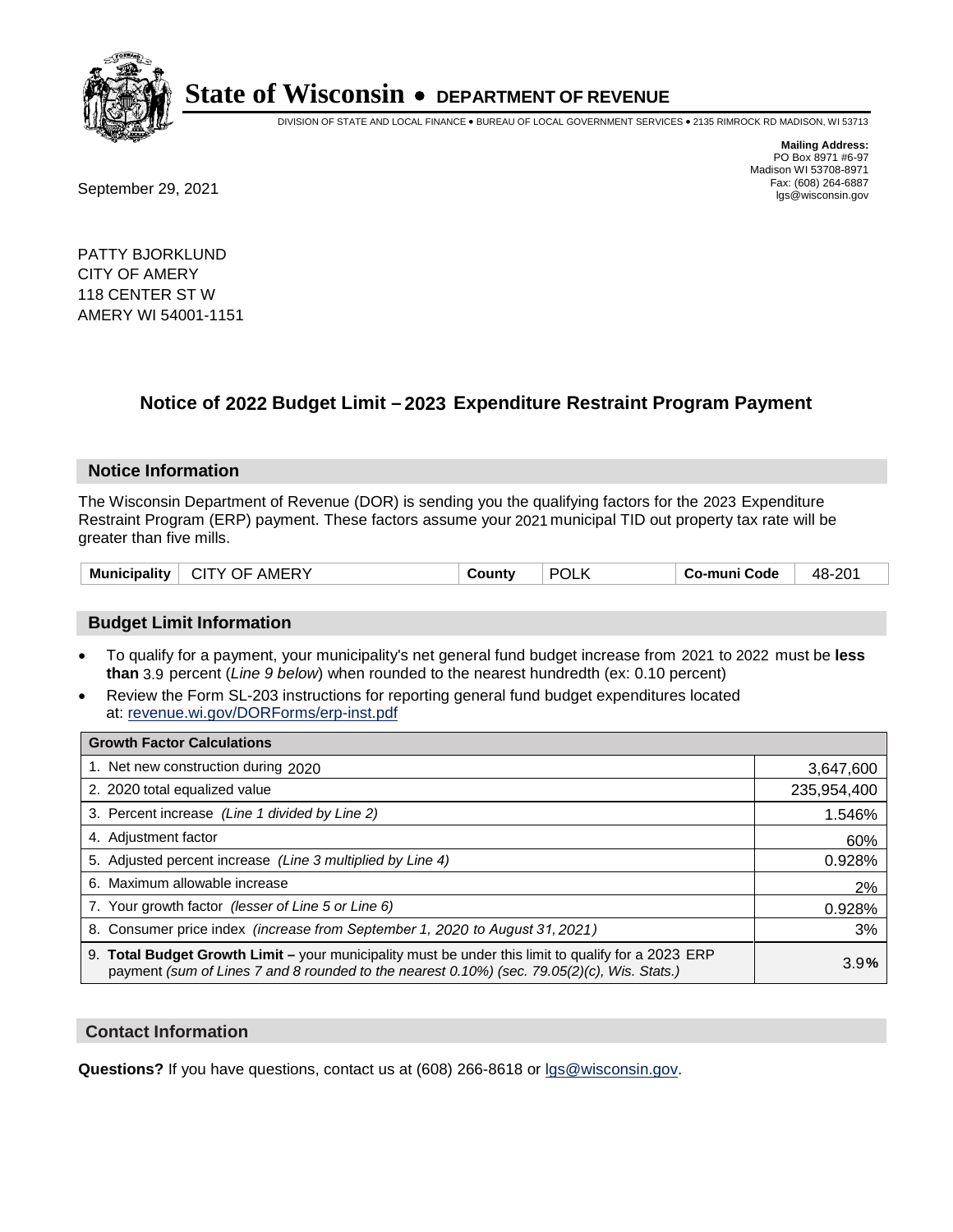

DIVISION OF STATE AND LOCAL FINANCE • BUREAU OF LOCAL GOVERNMENT SERVICES • 2135 RIMROCK RD MADISON, WI 53713

Fax: (608) 264-6887<br>
September 29, 2021 and the state of the state of the state of the state of the state of the state of the state of the state of the state of the state of the state of the state of the state of the state

**Mailing Address:** PO Box 8971 #6-97 Madison WI 53708-8971<br>Fax: (608) 264-6887

PATTY BJORKLUND CITY OF AMERY 118 CENTER ST W AMERY WI 54001-1151

### **Notice of 2022 Budget Limit - 2023 Expenditure Restraint Program Payment**

#### **Notice Information**

The Wisconsin Department of Revenue (DOR) is sending you the qualifying factors for the 2023 Expenditure Restraint Program (ERP) payment. These factors assume your 2021 municipal TID out property tax rate will be greater than five mills.

| Municipality<br>AMERY<br>CITY OF | County | <b>POL</b> | Co-muni Code | 48-201 |
|----------------------------------|--------|------------|--------------|--------|
|----------------------------------|--------|------------|--------------|--------|

#### **Budget Limit Information**

- To qualify for a payment, your municipality's net general fund budget increase from 2021 to 2022 must be less **than** 3.9 percent (*Line 9 below*) when rounded to the nearest hundredth (ex: 0.10 percent)
- Review the Form SL-203 instructions for reporting general fund budget expenditures located at: revenue.wi.gov/DORForms/erp-inst.pdf

| <b>Growth Factor Calculations</b>                                                                                                                                                                  |             |
|----------------------------------------------------------------------------------------------------------------------------------------------------------------------------------------------------|-------------|
| 1. Net new construction during 2020                                                                                                                                                                | 3,647,600   |
| 2. 2020 total equalized value                                                                                                                                                                      | 235,954,400 |
| 3. Percent increase (Line 1 divided by Line 2)                                                                                                                                                     | 1.546%      |
| 4. Adiustment factor                                                                                                                                                                               | 60%         |
| 5. Adjusted percent increase (Line 3 multiplied by Line 4)                                                                                                                                         | 0.928%      |
| 6. Maximum allowable increase                                                                                                                                                                      | 2%          |
| 7. Your growth factor (lesser of Line 5 or Line 6)                                                                                                                                                 | 0.928%      |
| 8. Consumer price index (increase from September 1, 2020 to August 31, 2021)                                                                                                                       | 3%          |
| 9. Total Budget Growth Limit - your municipality must be under this limit to qualify for a 2023 ERP<br>payment (sum of Lines 7 and 8 rounded to the nearest 0.10%) (sec. 79.05(2)(c), Wis. Stats.) | 3.9%        |

#### **Contact Information**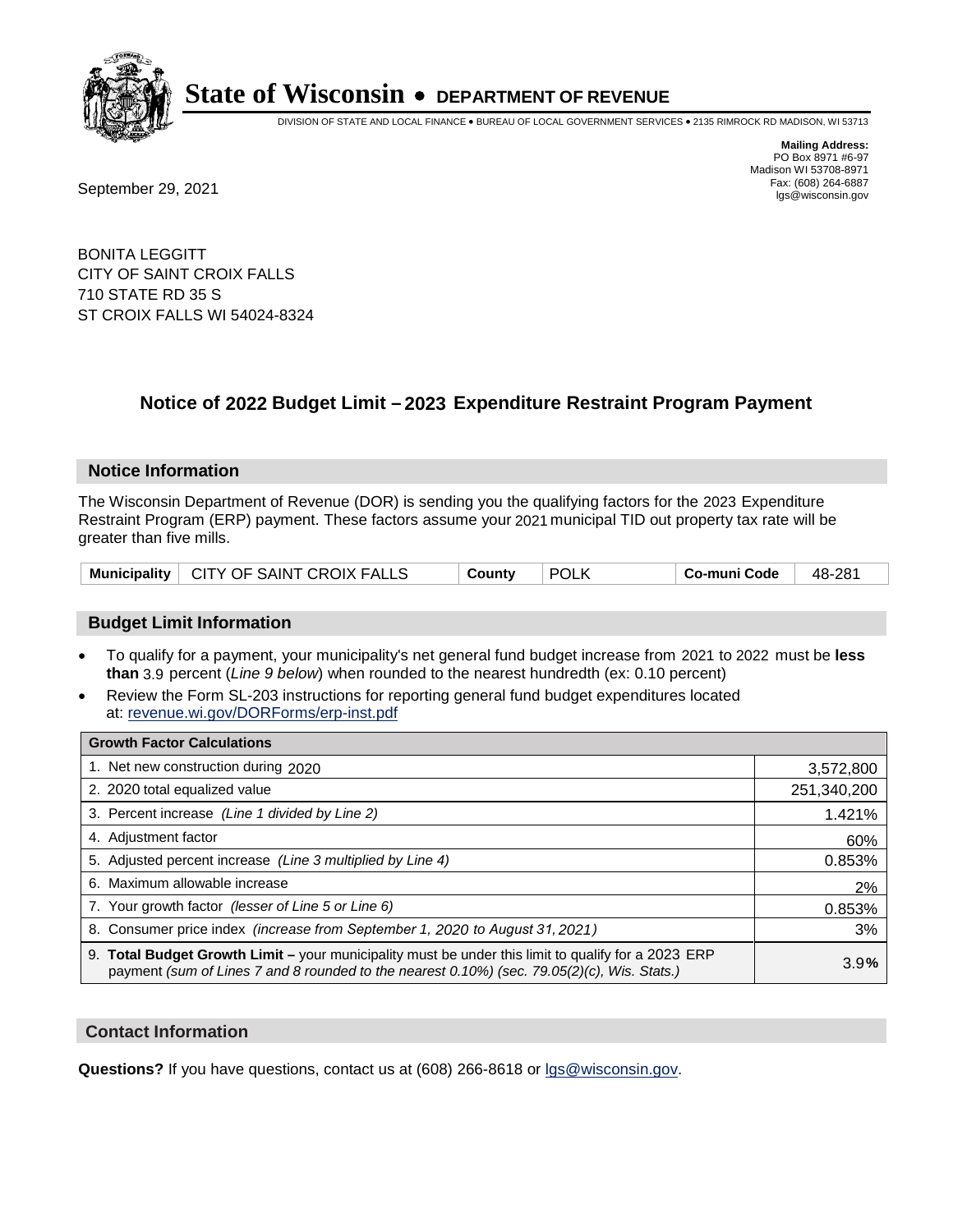

DIVISION OF STATE AND LOCAL FINANCE • BUREAU OF LOCAL GOVERNMENT SERVICES • 2135 RIMROCK RD MADISON, WI 53713

Fax: (608) 264-6887<br>
September 29, 2021 and the state of the state of the state of the state of the state of the state of the state of the state of the state of the state of the state of the state of the state of the state

**Mailing Address:** PO Box 8971 #6-97 Madison WI 53708-8971<br>Fax: (608) 264-6887

BONITA LEGGITT CITY OF SAINT CROIX FALLS 710 STATE RD 35 S ST CROIX FALLS WI 54024-8324

## **Notice of 2022 Budget Limit - 2023 Expenditure Restraint Program Payment**

#### **Notice Information**

The Wisconsin Department of Revenue (DOR) is sending you the qualifying factors for the 2023 Expenditure Restraint Program (ERP) payment. These factors assume your 2021 municipal TID out property tax rate will be greater than five mills.

| Municipality   CITY OF SAINT CROIX FALLS | County | <b>POLK</b> | <b>' Co-muni Code</b> ⊣ | 48-281 |
|------------------------------------------|--------|-------------|-------------------------|--------|
|------------------------------------------|--------|-------------|-------------------------|--------|

### **Budget Limit Information**

- To qualify for a payment, your municipality's net general fund budget increase from 2021 to 2022 must be less **than** 3.9 percent (*Line 9 below*) when rounded to the nearest hundredth (ex: 0.10 percent)
- Review the Form SL-203 instructions for reporting general fund budget expenditures located at: revenue.wi.gov/DORForms/erp-inst.pdf

| <b>Growth Factor Calculations</b>                                                                                                                                                                      |             |
|--------------------------------------------------------------------------------------------------------------------------------------------------------------------------------------------------------|-------------|
| 1. Net new construction during 2020                                                                                                                                                                    | 3,572,800   |
| 2. 2020 total equalized value                                                                                                                                                                          | 251,340,200 |
| 3. Percent increase (Line 1 divided by Line 2)                                                                                                                                                         | 1.421%      |
| 4. Adjustment factor                                                                                                                                                                                   | 60%         |
| 5. Adjusted percent increase (Line 3 multiplied by Line 4)                                                                                                                                             | 0.853%      |
| 6. Maximum allowable increase                                                                                                                                                                          | 2%          |
| 7. Your growth factor (lesser of Line 5 or Line 6)                                                                                                                                                     | 0.853%      |
| 8. Consumer price index (increase from September 1, 2020 to August 31, 2021)                                                                                                                           | 3%          |
| 9. Total Budget Growth Limit - your municipality must be under this limit to qualify for a 2023 ERP<br>payment (sum of Lines 7 and 8 rounded to the nearest $0.10\%$ ) (sec. 79.05(2)(c), Wis. Stats.) | 3.9%        |

#### **Contact Information**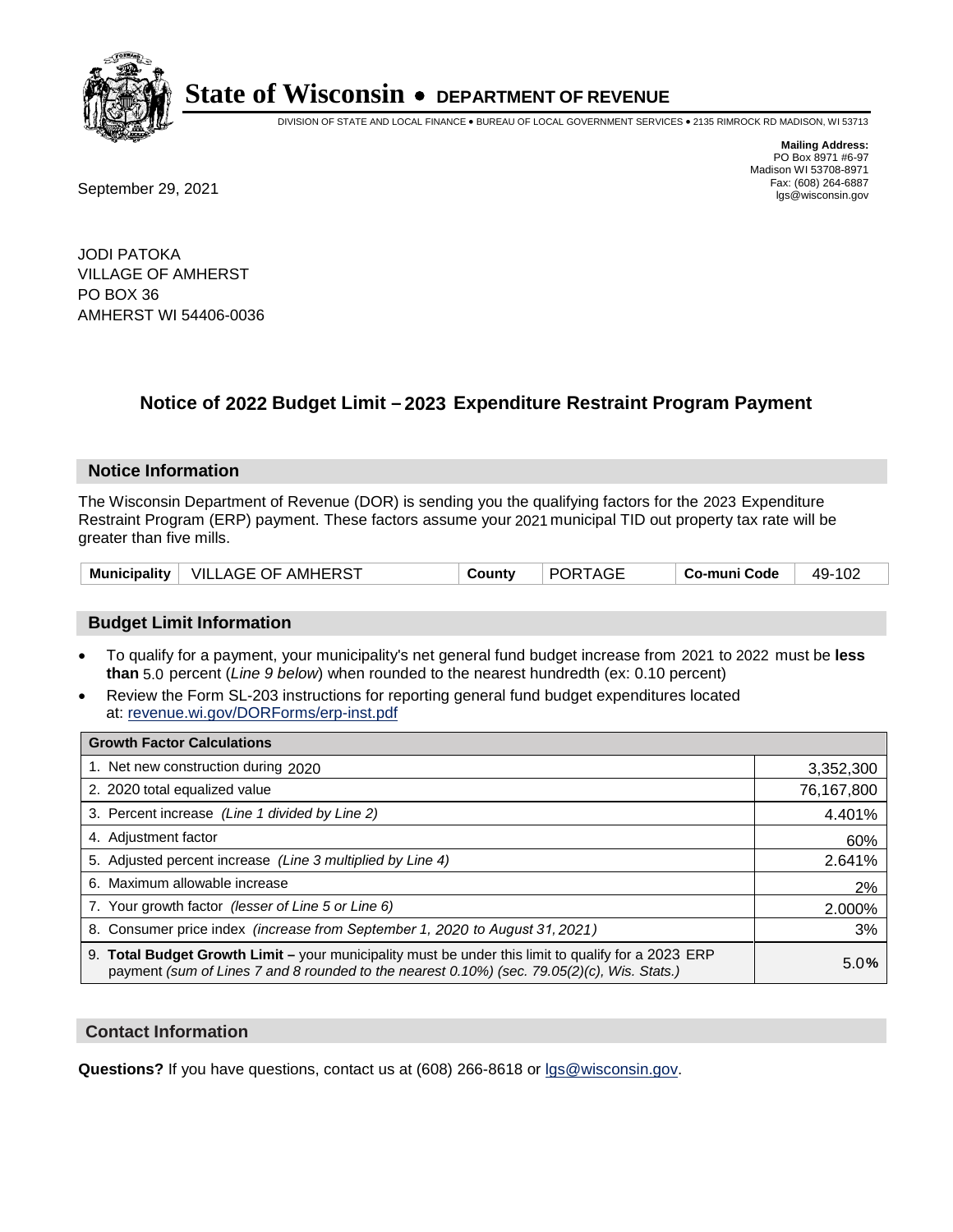

DIVISION OF STATE AND LOCAL FINANCE • BUREAU OF LOCAL GOVERNMENT SERVICES • 2135 RIMROCK RD MADISON, WI 53713

Fax: (608) 264-6887<br>
September 29, 2021 and the state of the state of the state of the state of the state of the state of the state of the state of the state of the state of the state of the state of the state of the state

**Mailing Address:** PO Box 8971 #6-97 Madison WI 53708-8971<br>Fax: (608) 264-6887

JODI PATOKA VILLAGE OF AMHERST PO BOX 36 AMHERST WI 54406-0036

## **Notice of 2022 Budget Limit - 2023 Expenditure Restraint Program Payment**

#### **Notice Information**

The Wisconsin Department of Revenue (DOR) is sending you the qualifying factors for the 2023 Expenditure Restraint Program (ERP) payment. These factors assume your 2021 municipal TID out property tax rate will be greater than five mills.

| VILLAGE OF AMHERST<br><b>Municipality</b> | County | <b>PORTAGE</b> | Co-muni Code | 49-102 |
|-------------------------------------------|--------|----------------|--------------|--------|
|-------------------------------------------|--------|----------------|--------------|--------|

### **Budget Limit Information**

- To qualify for a payment, your municipality's net general fund budget increase from 2021 to 2022 must be less **than** 5.0 percent (*Line 9 below*) when rounded to the nearest hundredth (ex: 0.10 percent)
- Review the Form SL-203 instructions for reporting general fund budget expenditures located at: revenue.wi.gov/DORForms/erp-inst.pdf

| <b>Growth Factor Calculations</b>                                                                                                                                                                  |            |
|----------------------------------------------------------------------------------------------------------------------------------------------------------------------------------------------------|------------|
| 1. Net new construction during 2020                                                                                                                                                                | 3,352,300  |
| 2. 2020 total equalized value                                                                                                                                                                      | 76,167,800 |
| 3. Percent increase (Line 1 divided by Line 2)                                                                                                                                                     | 4.401%     |
| 4. Adjustment factor                                                                                                                                                                               | 60%        |
| 5. Adjusted percent increase (Line 3 multiplied by Line 4)                                                                                                                                         | 2.641%     |
| 6. Maximum allowable increase                                                                                                                                                                      | 2%         |
| 7. Your growth factor (lesser of Line 5 or Line 6)                                                                                                                                                 | 2.000%     |
| 8. Consumer price index (increase from September 1, 2020 to August 31, 2021)                                                                                                                       | 3%         |
| 9. Total Budget Growth Limit – your municipality must be under this limit to qualify for a 2023 ERP<br>payment (sum of Lines 7 and 8 rounded to the nearest 0.10%) (sec. 79.05(2)(c), Wis. Stats.) | 5.0%       |

#### **Contact Information**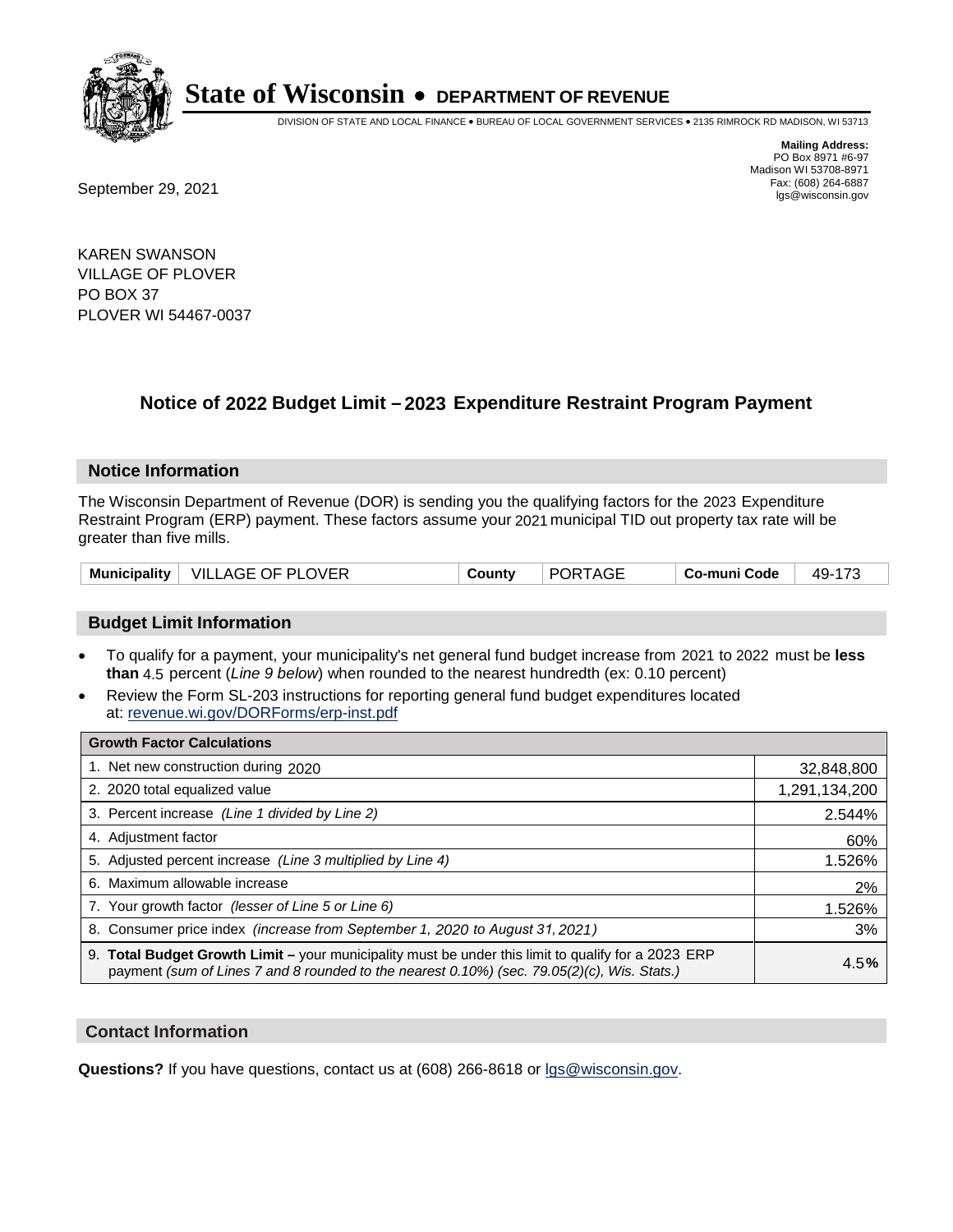

DIVISION OF STATE AND LOCAL FINANCE • BUREAU OF LOCAL GOVERNMENT SERVICES • 2135 RIMROCK RD MADISON, WI 53713

Fax: (608) 264-6887<br>
September 29, 2021 and the state of the state of the state of the state of the state of the state of the state of the state of the state of the state of the state of the state of the state of the state

**Mailing Address:** PO Box 8971 #6-97 Madison WI 53708-8971<br>Fax: (608) 264-6887

KAREN SWANSON VILLAGE OF PLOVER PO BOX 37 PLOVER WI 54467-0037

## **Notice of 2022 Budget Limit - 2023 Expenditure Restraint Program Payment**

#### **Notice Information**

The Wisconsin Department of Revenue (DOR) is sending you the qualifying factors for the 2023 Expenditure Restraint Program (ERP) payment. These factors assume your 2021 municipal TID out property tax rate will be greater than five mills.

|  | Municipality   VILLAGE OF PLOVER | County | <b>PORTAGE</b> | Co-muni Code | 49-173 |
|--|----------------------------------|--------|----------------|--------------|--------|
|--|----------------------------------|--------|----------------|--------------|--------|

### **Budget Limit Information**

- To qualify for a payment, your municipality's net general fund budget increase from 2021 to 2022 must be less **than** 4.5 percent (*Line 9 below*) when rounded to the nearest hundredth (ex: 0.10 percent)
- Review the Form SL-203 instructions for reporting general fund budget expenditures located at: revenue.wi.gov/DORForms/erp-inst.pdf

| <b>Growth Factor Calculations</b>                                                                                                                                                                  |               |
|----------------------------------------------------------------------------------------------------------------------------------------------------------------------------------------------------|---------------|
| 1. Net new construction during 2020                                                                                                                                                                | 32,848,800    |
| 2. 2020 total equalized value                                                                                                                                                                      | 1,291,134,200 |
| 3. Percent increase (Line 1 divided by Line 2)                                                                                                                                                     | 2.544%        |
| 4. Adjustment factor                                                                                                                                                                               | 60%           |
| 5. Adjusted percent increase (Line 3 multiplied by Line 4)                                                                                                                                         | 1.526%        |
| 6. Maximum allowable increase                                                                                                                                                                      | 2%            |
| 7. Your growth factor (lesser of Line 5 or Line 6)                                                                                                                                                 | 1.526%        |
| 8. Consumer price index (increase from September 1, 2020 to August 31, 2021)                                                                                                                       | 3%            |
| 9. Total Budget Growth Limit - your municipality must be under this limit to qualify for a 2023 ERP<br>payment (sum of Lines 7 and 8 rounded to the nearest 0.10%) (sec. 79.05(2)(c), Wis. Stats.) | 4.5%          |

#### **Contact Information**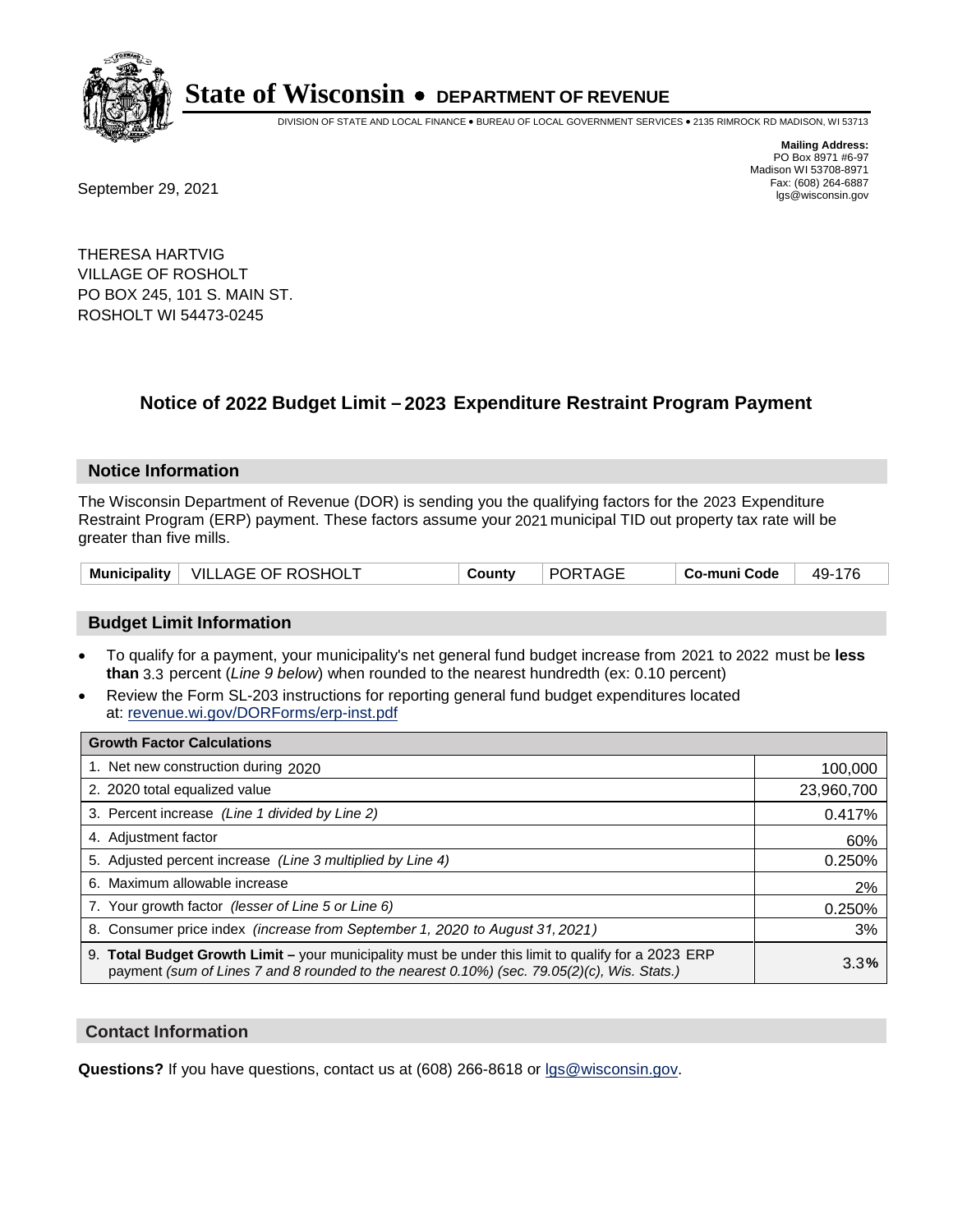

DIVISION OF STATE AND LOCAL FINANCE • BUREAU OF LOCAL GOVERNMENT SERVICES • 2135 RIMROCK RD MADISON, WI 53713

Fax: (608) 264-6887<br>
September 29, 2021 and the state of the state of the state of the state of the state of the state of the state of the state of the state of the state of the state of the state of the state of the state

**Mailing Address:** PO Box 8971 #6-97 Madison WI 53708-8971<br>Fax: (608) 264-6887

THERESA HARTVIG VILLAGE OF ROSHOLT PO BOX 245, 101 S. MAIN ST. ROSHOLT WI 54473-0245

## **Notice of 2022 Budget Limit - 2023 Expenditure Restraint Program Payment**

#### **Notice Information**

The Wisconsin Department of Revenue (DOR) is sending you the qualifying factors for the 2023 Expenditure Restraint Program (ERP) payment. These factors assume your 2021 municipal TID out property tax rate will be greater than five mills.

### **Budget Limit Information**

- To qualify for a payment, your municipality's net general fund budget increase from 2021 to 2022 must be less **than** 3.3 percent (*Line 9 below*) when rounded to the nearest hundredth (ex: 0.10 percent)
- Review the Form SL-203 instructions for reporting general fund budget expenditures located at: revenue.wi.gov/DORForms/erp-inst.pdf

| <b>Growth Factor Calculations</b>                                                                                                                                                                  |            |
|----------------------------------------------------------------------------------------------------------------------------------------------------------------------------------------------------|------------|
| 1. Net new construction during 2020                                                                                                                                                                | 100,000    |
| 2. 2020 total equalized value                                                                                                                                                                      | 23,960,700 |
| 3. Percent increase (Line 1 divided by Line 2)                                                                                                                                                     | 0.417%     |
| 4. Adjustment factor                                                                                                                                                                               | 60%        |
| 5. Adjusted percent increase (Line 3 multiplied by Line 4)                                                                                                                                         | 0.250%     |
| 6. Maximum allowable increase                                                                                                                                                                      | 2%         |
| 7. Your growth factor (lesser of Line 5 or Line 6)                                                                                                                                                 | 0.250%     |
| 8. Consumer price index (increase from September 1, 2020 to August 31, 2021)                                                                                                                       | 3%         |
| 9. Total Budget Growth Limit – your municipality must be under this limit to qualify for a 2023 ERP<br>payment (sum of Lines 7 and 8 rounded to the nearest 0.10%) (sec. 79.05(2)(c), Wis. Stats.) | 3.3%       |

#### **Contact Information**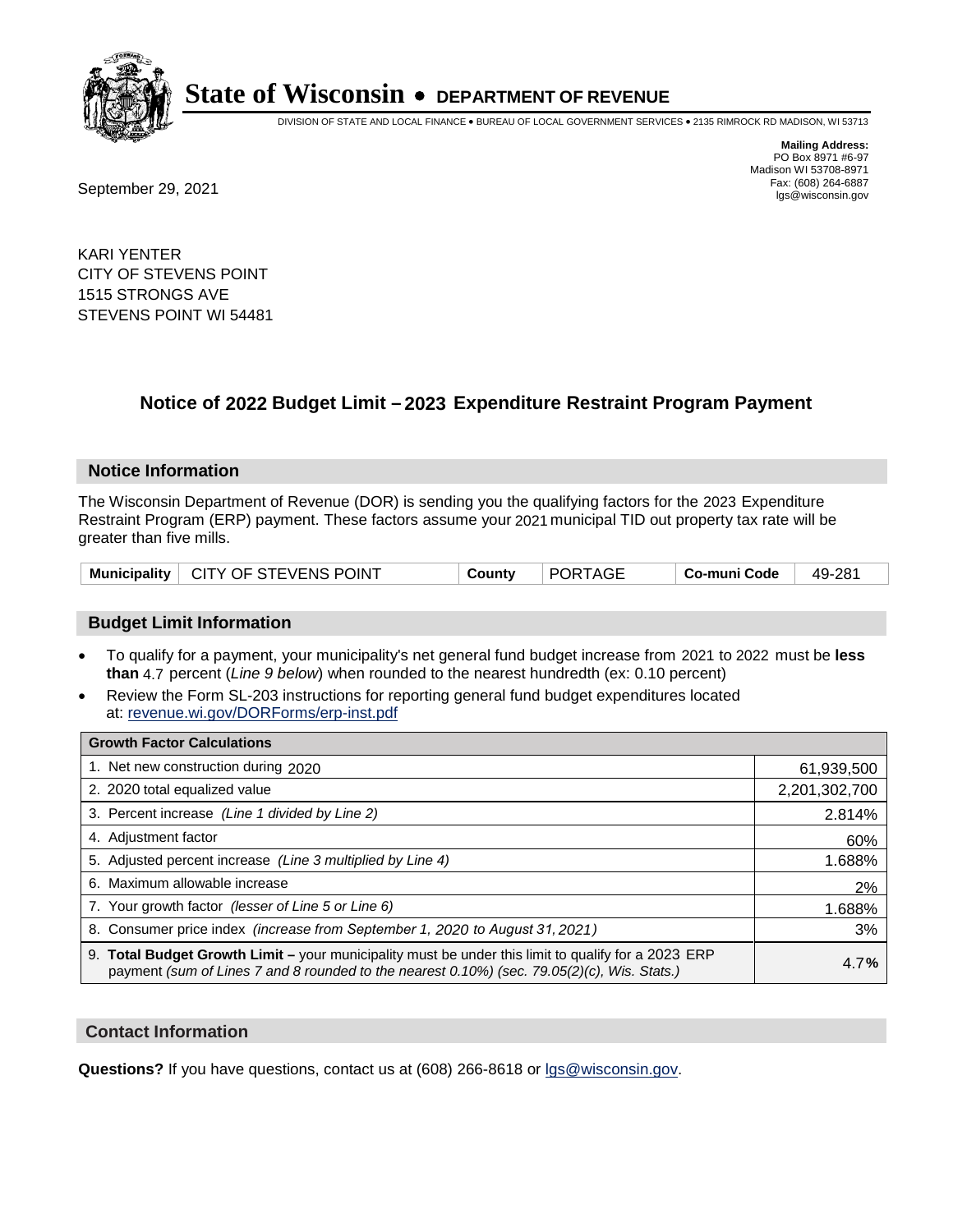

DIVISION OF STATE AND LOCAL FINANCE • BUREAU OF LOCAL GOVERNMENT SERVICES • 2135 RIMROCK RD MADISON, WI 53713

**Mailing Address:** PO Box 8971 #6-97 Madison WI 53708-8971<br>Fax: (608) 264-6887 Fax: (608) 264-6887<br>
September 29, 2021 and the state of the state of the state of the state of the state of the state of the state of the state of the state of the state of the state of the state of the state of the state

KARI YENTER CITY OF STEVENS POINT 1515 STRONGS AVE STEVENS POINT WI 54481

## **Notice of 2022 Budget Limit - 2023 Expenditure Restraint Program Payment**

#### **Notice Information**

The Wisconsin Department of Revenue (DOR) is sending you the qualifying factors for the 2023 Expenditure Restraint Program (ERP) payment. These factors assume your 2021 municipal TID out property tax rate will be greater than five mills.

#### **Budget Limit Information**

- To qualify for a payment, your municipality's net general fund budget increase from 2021 to 2022 must be less **than** 4.7 percent (*Line 9 below*) when rounded to the nearest hundredth (ex: 0.10 percent)
- Review the Form SL-203 instructions for reporting general fund budget expenditures located at: revenue.wi.gov/DORForms/erp-inst.pdf

| <b>Growth Factor Calculations</b>                                                                                                                                                                  |               |
|----------------------------------------------------------------------------------------------------------------------------------------------------------------------------------------------------|---------------|
| 1. Net new construction during 2020                                                                                                                                                                | 61,939,500    |
| 2. 2020 total equalized value                                                                                                                                                                      | 2,201,302,700 |
| 3. Percent increase (Line 1 divided by Line 2)                                                                                                                                                     | 2.814%        |
| 4. Adjustment factor                                                                                                                                                                               | 60%           |
| 5. Adjusted percent increase (Line 3 multiplied by Line 4)                                                                                                                                         | 1.688%        |
| 6. Maximum allowable increase                                                                                                                                                                      | 2%            |
| 7. Your growth factor (lesser of Line 5 or Line 6)                                                                                                                                                 | 1.688%        |
| 8. Consumer price index (increase from September 1, 2020 to August 31, 2021)                                                                                                                       | 3%            |
| 9. Total Budget Growth Limit - your municipality must be under this limit to qualify for a 2023 ERP<br>payment (sum of Lines 7 and 8 rounded to the nearest 0.10%) (sec. 79.05(2)(c), Wis. Stats.) | 4.7%          |

#### **Contact Information**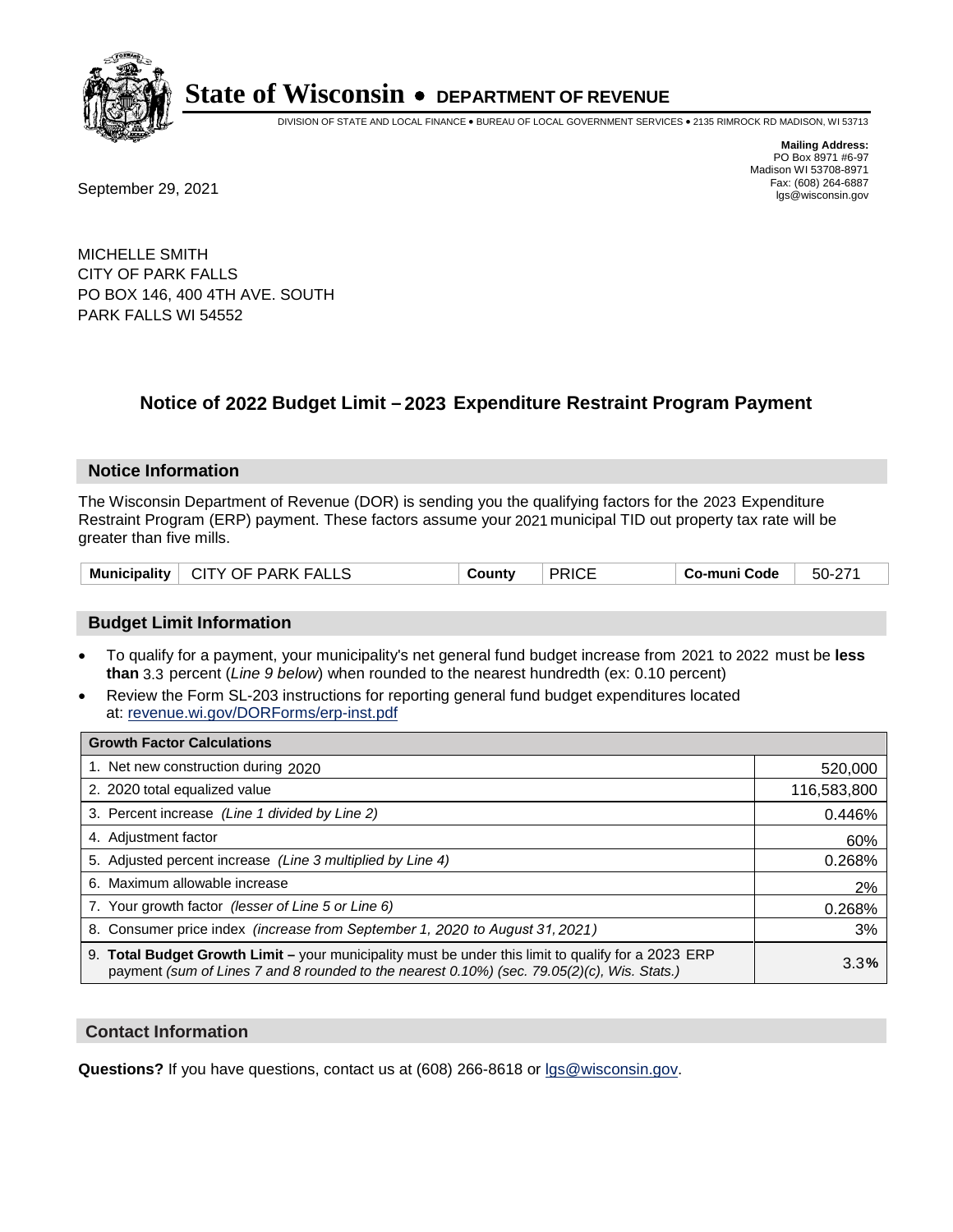

DIVISION OF STATE AND LOCAL FINANCE • BUREAU OF LOCAL GOVERNMENT SERVICES • 2135 RIMROCK RD MADISON, WI 53713

**Mailing Address:** PO Box 8971 #6-97 Madison WI 53708-8971<br>Fax: (608) 264-6887

Fax: (608) 264-6887<br>
September 29, 2021 and the state of the state of the state of the state of the state of the state of the state of the state of the state of the state of the state of the state of the state of the state

MICHELLE SMITH CITY OF PARK FALLS PO BOX 146, 400 4TH AVE. SOUTH PARK FALLS WI 54552

## **Notice of 2022 Budget Limit - 2023 Expenditure Restraint Program Payment**

#### **Notice Information**

The Wisconsin Department of Revenue (DOR) is sending you the qualifying factors for the 2023 Expenditure Restraint Program (ERP) payment. These factors assume your 2021 municipal TID out property tax rate will be greater than five mills.

| Municipality   CITY OF PARK FALLS | County | <b>PRICE</b> | Co-muni Code | 50-271 |
|-----------------------------------|--------|--------------|--------------|--------|
|-----------------------------------|--------|--------------|--------------|--------|

### **Budget Limit Information**

- To qualify for a payment, your municipality's net general fund budget increase from 2021 to 2022 must be less **than** 3.3 percent (*Line 9 below*) when rounded to the nearest hundredth (ex: 0.10 percent)
- Review the Form SL-203 instructions for reporting general fund budget expenditures located at: revenue.wi.gov/DORForms/erp-inst.pdf

| <b>Growth Factor Calculations</b>                                                                                                                                                                      |             |
|--------------------------------------------------------------------------------------------------------------------------------------------------------------------------------------------------------|-------------|
| 1. Net new construction during 2020                                                                                                                                                                    | 520,000     |
| 2. 2020 total equalized value                                                                                                                                                                          | 116,583,800 |
| 3. Percent increase (Line 1 divided by Line 2)                                                                                                                                                         | 0.446%      |
| 4. Adjustment factor                                                                                                                                                                                   | 60%         |
| 5. Adjusted percent increase (Line 3 multiplied by Line 4)                                                                                                                                             | 0.268%      |
| 6. Maximum allowable increase                                                                                                                                                                          | 2%          |
| 7. Your growth factor (lesser of Line 5 or Line 6)                                                                                                                                                     | 0.268%      |
| 8. Consumer price index (increase from September 1, 2020 to August 31, 2021)                                                                                                                           | 3%          |
| 9. Total Budget Growth Limit - your municipality must be under this limit to qualify for a 2023 ERP<br>payment (sum of Lines 7 and 8 rounded to the nearest $0.10\%$ ) (sec. 79.05(2)(c), Wis. Stats.) | 3.3%        |

#### **Contact Information**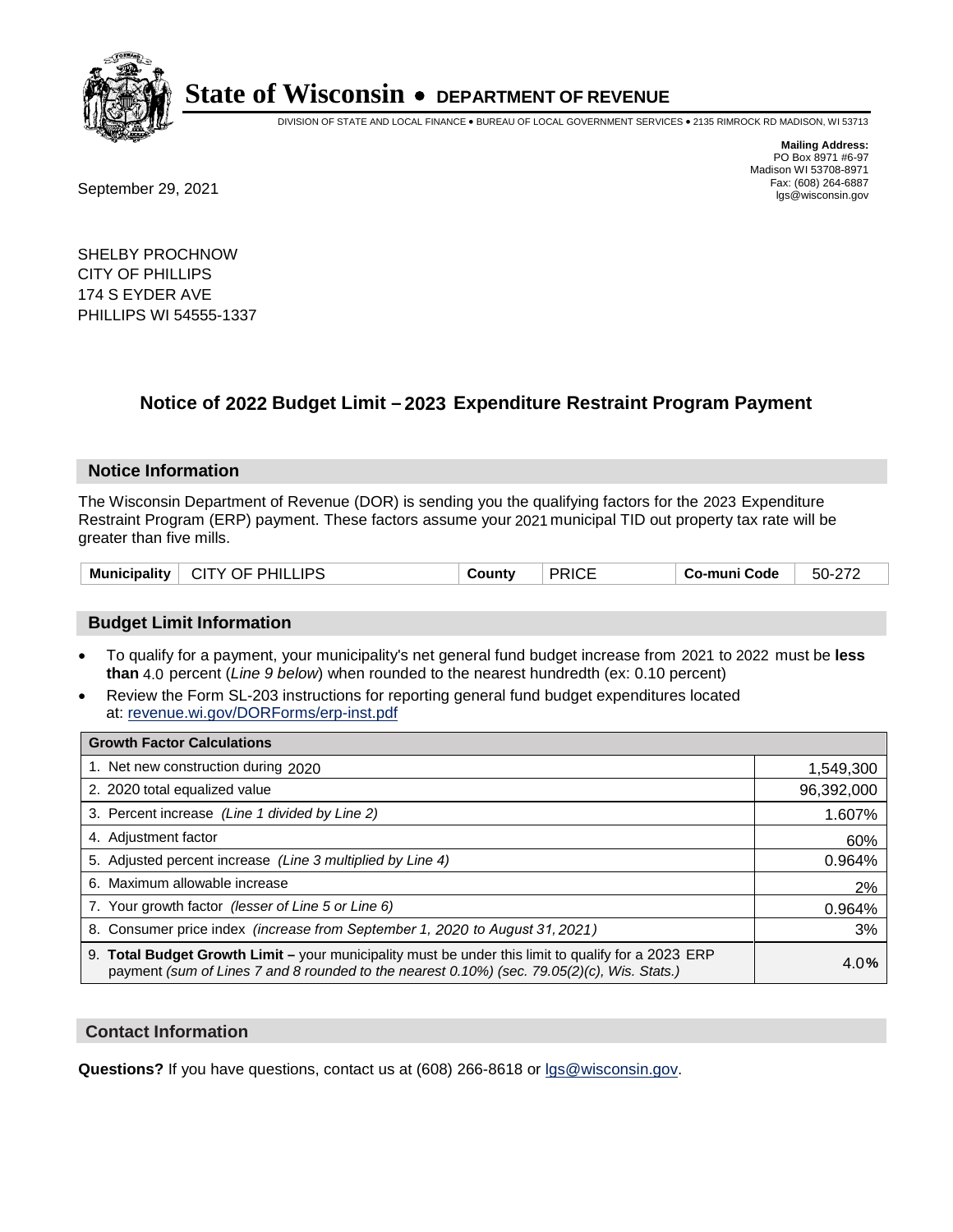

DIVISION OF STATE AND LOCAL FINANCE • BUREAU OF LOCAL GOVERNMENT SERVICES • 2135 RIMROCK RD MADISON, WI 53713

Fax: (608) 264-6887<br>
September 29, 2021 and the state of the state of the state of the state of the state of the state of the state of the state of the state of the state of the state of the state of the state of the state

**Mailing Address:** PO Box 8971 #6-97 Madison WI 53708-8971<br>Fax: (608) 264-6887

SHELBY PROCHNOW CITY OF PHILLIPS 174 S EYDER AVE PHILLIPS WI 54555-1337

## **Notice of 2022 Budget Limit - 2023 Expenditure Restraint Program Payment**

#### **Notice Information**

The Wisconsin Department of Revenue (DOR) is sending you the qualifying factors for the 2023 Expenditure Restraint Program (ERP) payment. These factors assume your 2021 municipal TID out property tax rate will be greater than five mills.

| CITY OF PHILLIPS<br><b>Municipality</b> | County | <b>PRICE</b> | ⊦ Co-muni Code | 50-272 |
|-----------------------------------------|--------|--------------|----------------|--------|
|-----------------------------------------|--------|--------------|----------------|--------|

### **Budget Limit Information**

- To qualify for a payment, your municipality's net general fund budget increase from 2021 to 2022 must be less **than** 4.0 percent (*Line 9 below*) when rounded to the nearest hundredth (ex: 0.10 percent)
- Review the Form SL-203 instructions for reporting general fund budget expenditures located at: revenue.wi.gov/DORForms/erp-inst.pdf

| <b>Growth Factor Calculations</b>                                                                                                                                                                  |            |
|----------------------------------------------------------------------------------------------------------------------------------------------------------------------------------------------------|------------|
| 1. Net new construction during 2020                                                                                                                                                                | 1,549,300  |
| 2. 2020 total equalized value                                                                                                                                                                      | 96,392,000 |
| 3. Percent increase (Line 1 divided by Line 2)                                                                                                                                                     | 1.607%     |
| 4. Adjustment factor                                                                                                                                                                               | 60%        |
| 5. Adjusted percent increase (Line 3 multiplied by Line 4)                                                                                                                                         | 0.964%     |
| 6. Maximum allowable increase                                                                                                                                                                      | 2%         |
| 7. Your growth factor (lesser of Line 5 or Line 6)                                                                                                                                                 | 0.964%     |
| 8. Consumer price index (increase from September 1, 2020 to August 31, 2021)                                                                                                                       | 3%         |
| 9. Total Budget Growth Limit – your municipality must be under this limit to qualify for a 2023 ERP<br>payment (sum of Lines 7 and 8 rounded to the nearest 0.10%) (sec. 79.05(2)(c), Wis. Stats.) | 4.0%       |

#### **Contact Information**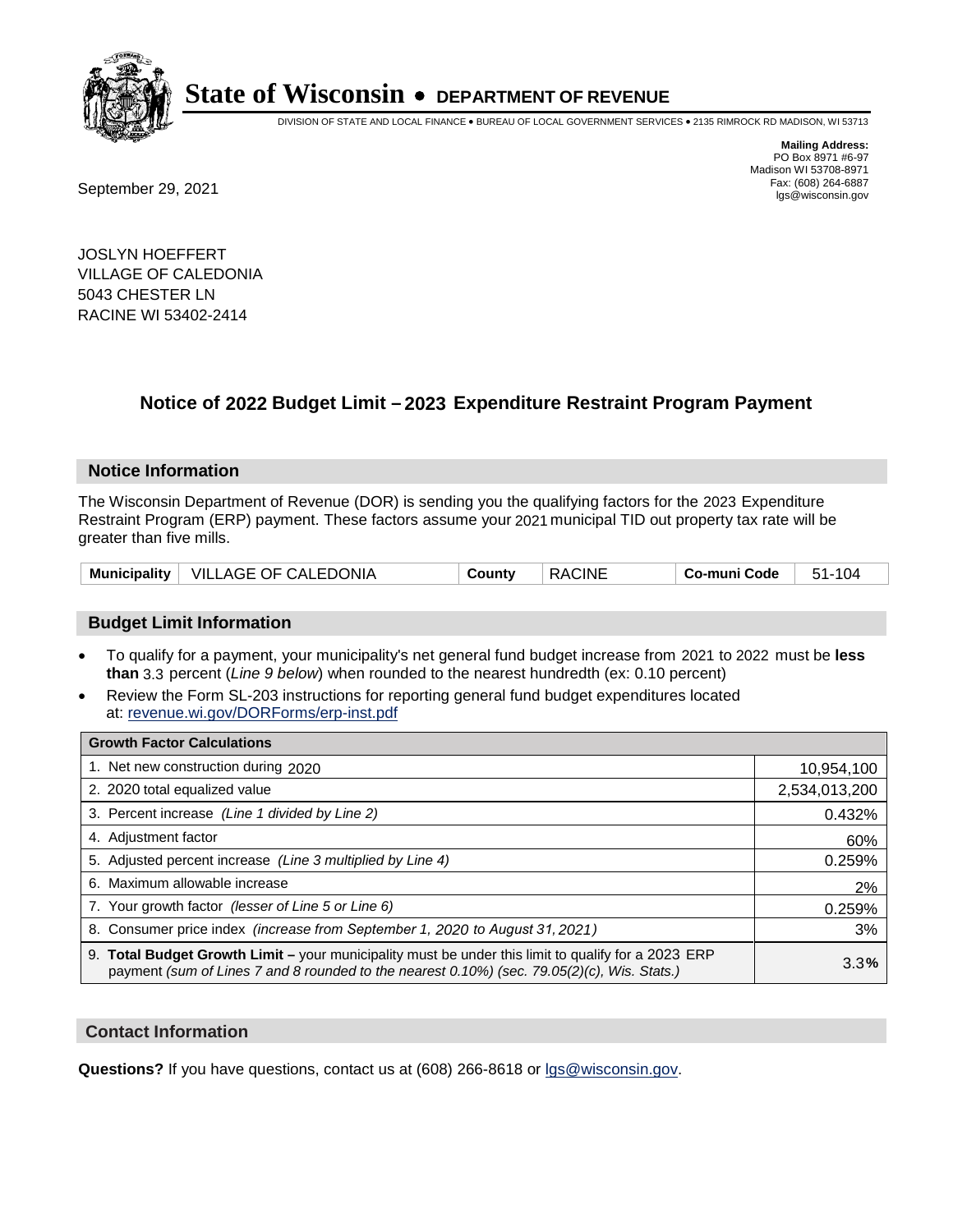

DIVISION OF STATE AND LOCAL FINANCE • BUREAU OF LOCAL GOVERNMENT SERVICES • 2135 RIMROCK RD MADISON, WI 53713

Fax: (608) 264-6887<br>
September 29, 2021 and the state of the state of the state of the state of the state of the state of the state of the state of the state of the state of the state of the state of the state of the state

**Mailing Address:** PO Box 8971 #6-97 Madison WI 53708-8971<br>Fax: (608) 264-6887

JOSLYN HOEFFERT VILLAGE OF CALEDONIA 5043 CHESTER LN RACINE WI 53402-2414

## **Notice of 2022 Budget Limit - 2023 Expenditure Restraint Program Payment**

#### **Notice Information**

The Wisconsin Department of Revenue (DOR) is sending you the qualifying factors for the 2023 Expenditure Restraint Program (ERP) payment. These factors assume your 2021 municipal TID out property tax rate will be greater than five mills.

| Municipality   VILLAGE OF CALEDONIA | Countv | <b>RACINE</b> | Co-muni Code | 51-104 |
|-------------------------------------|--------|---------------|--------------|--------|
|-------------------------------------|--------|---------------|--------------|--------|

### **Budget Limit Information**

- To qualify for a payment, your municipality's net general fund budget increase from 2021 to 2022 must be less **than** 3.3 percent (*Line 9 below*) when rounded to the nearest hundredth (ex: 0.10 percent)
- Review the Form SL-203 instructions for reporting general fund budget expenditures located at: revenue.wi.gov/DORForms/erp-inst.pdf

| <b>Growth Factor Calculations</b>                                                                                                                                                                      |               |
|--------------------------------------------------------------------------------------------------------------------------------------------------------------------------------------------------------|---------------|
| 1. Net new construction during 2020                                                                                                                                                                    | 10,954,100    |
| 2. 2020 total equalized value                                                                                                                                                                          | 2,534,013,200 |
| 3. Percent increase (Line 1 divided by Line 2)                                                                                                                                                         | 0.432%        |
| 4. Adjustment factor                                                                                                                                                                                   | 60%           |
| 5. Adjusted percent increase (Line 3 multiplied by Line 4)                                                                                                                                             | 0.259%        |
| 6. Maximum allowable increase                                                                                                                                                                          | 2%            |
| 7. Your growth factor (lesser of Line 5 or Line 6)                                                                                                                                                     | 0.259%        |
| 8. Consumer price index (increase from September 1, 2020 to August 31, 2021)                                                                                                                           | 3%            |
| 9. Total Budget Growth Limit - your municipality must be under this limit to qualify for a 2023 ERP<br>payment (sum of Lines 7 and 8 rounded to the nearest $0.10\%$ ) (sec. 79.05(2)(c), Wis. Stats.) | 3.3%          |

#### **Contact Information**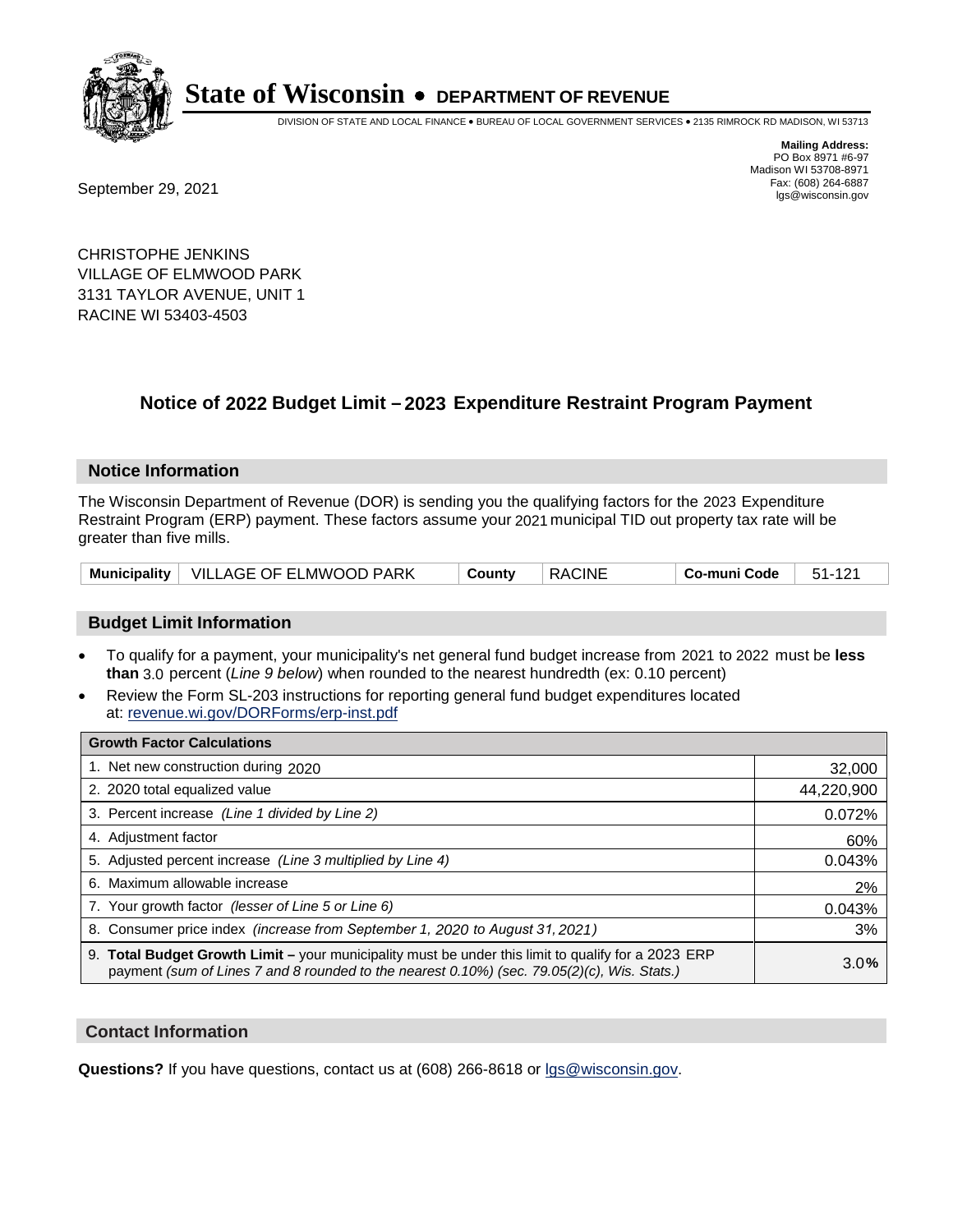

DIVISION OF STATE AND LOCAL FINANCE • BUREAU OF LOCAL GOVERNMENT SERVICES • 2135 RIMROCK RD MADISON, WI 53713

Fax: (608) 264-6887<br>
September 29, 2021 and the state of the state of the state of the state of the state of the state of the state of the state of the state of the state of the state of the state of the state of the state

**Mailing Address:** PO Box 8971 #6-97 Madison WI 53708-8971<br>Fax: (608) 264-6887

CHRISTOPHE JENKINS VILLAGE OF ELMWOOD PARK 3131 TAYLOR AVENUE, UNIT 1 RACINE WI 53403-4503

## **Notice of 2022 Budget Limit - 2023 Expenditure Restraint Program Payment**

#### **Notice Information**

The Wisconsin Department of Revenue (DOR) is sending you the qualifying factors for the 2023 Expenditure Restraint Program (ERP) payment. These factors assume your 2021 municipal TID out property tax rate will be greater than five mills.

| Municipality   VILLAGE OF ELMWOOD PARK | ็ Countv | RACINE | $\, \overline{\phantom{a}}$ Co-muni Code $\,$ $\,$ 51-121 $\,$ |  |
|----------------------------------------|----------|--------|----------------------------------------------------------------|--|
|----------------------------------------|----------|--------|----------------------------------------------------------------|--|

#### **Budget Limit Information**

- To qualify for a payment, your municipality's net general fund budget increase from 2021 to 2022 must be less **than** 3.0 percent (*Line 9 below*) when rounded to the nearest hundredth (ex: 0.10 percent)
- Review the Form SL-203 instructions for reporting general fund budget expenditures located at: revenue.wi.gov/DORForms/erp-inst.pdf

| <b>Growth Factor Calculations</b>                                                                                                                                                                  |            |
|----------------------------------------------------------------------------------------------------------------------------------------------------------------------------------------------------|------------|
| 1. Net new construction during 2020                                                                                                                                                                | 32,000     |
| 2. 2020 total equalized value                                                                                                                                                                      | 44,220,900 |
| 3. Percent increase (Line 1 divided by Line 2)                                                                                                                                                     | 0.072%     |
| 4. Adjustment factor                                                                                                                                                                               | 60%        |
| 5. Adjusted percent increase (Line 3 multiplied by Line 4)                                                                                                                                         | 0.043%     |
| 6. Maximum allowable increase                                                                                                                                                                      | 2%         |
| 7. Your growth factor (lesser of Line 5 or Line 6)                                                                                                                                                 | 0.043%     |
| 8. Consumer price index (increase from September 1, 2020 to August 31, 2021)                                                                                                                       | 3%         |
| 9. Total Budget Growth Limit – your municipality must be under this limit to qualify for a 2023 ERP<br>payment (sum of Lines 7 and 8 rounded to the nearest 0.10%) (sec. 79.05(2)(c), Wis. Stats.) | 3.0%       |

#### **Contact Information**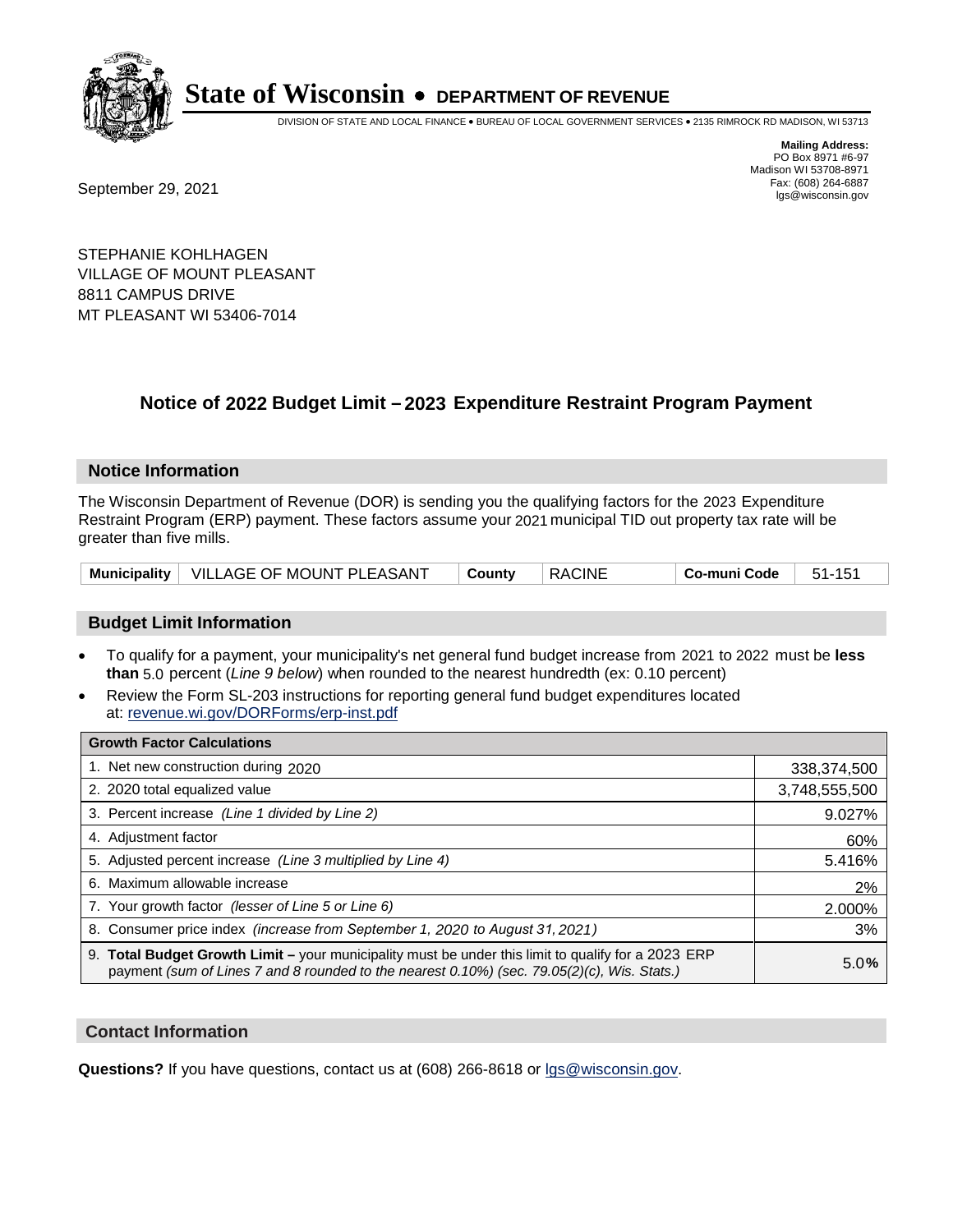

DIVISION OF STATE AND LOCAL FINANCE • BUREAU OF LOCAL GOVERNMENT SERVICES • 2135 RIMROCK RD MADISON, WI 53713

Fax: (608) 264-6887<br>
September 29, 2021 and the state of the state of the state of the state of the state of the state of the state of the state of the state of the state of the state of the state of the state of the state

**Mailing Address:** PO Box 8971 #6-97 Madison WI 53708-8971<br>Fax: (608) 264-6887

STEPHANIE KOHLHAGEN VILLAGE OF MOUNT PLEASANT 8811 CAMPUS DRIVE MT PLEASANT WI 53406-7014

## **Notice of 2022 Budget Limit - 2023 Expenditure Restraint Program Payment**

#### **Notice Information**

The Wisconsin Department of Revenue (DOR) is sending you the qualifying factors for the 2023 Expenditure Restraint Program (ERP) payment. These factors assume your 2021 municipal TID out property tax rate will be greater than five mills.

#### **Budget Limit Information**

- To qualify for a payment, your municipality's net general fund budget increase from 2021 to 2022 must be less **than** 5.0 percent (*Line 9 below*) when rounded to the nearest hundredth (ex: 0.10 percent)
- Review the Form SL-203 instructions for reporting general fund budget expenditures located at: revenue.wi.gov/DORForms/erp-inst.pdf

| <b>Growth Factor Calculations</b>                                                                                                                                                                  |               |
|----------------------------------------------------------------------------------------------------------------------------------------------------------------------------------------------------|---------------|
| 1. Net new construction during 2020                                                                                                                                                                | 338,374,500   |
| 2. 2020 total equalized value                                                                                                                                                                      | 3,748,555,500 |
| 3. Percent increase (Line 1 divided by Line 2)                                                                                                                                                     | 9.027%        |
| 4. Adjustment factor                                                                                                                                                                               | 60%           |
| 5. Adjusted percent increase (Line 3 multiplied by Line 4)                                                                                                                                         | 5.416%        |
| 6. Maximum allowable increase                                                                                                                                                                      | 2%            |
| 7. Your growth factor (lesser of Line 5 or Line 6)                                                                                                                                                 | 2.000%        |
| 8. Consumer price index (increase from September 1, 2020 to August 31, 2021)                                                                                                                       | 3%            |
| 9. Total Budget Growth Limit - your municipality must be under this limit to qualify for a 2023 ERP<br>payment (sum of Lines 7 and 8 rounded to the nearest 0.10%) (sec. 79.05(2)(c), Wis. Stats.) | 5.0%          |

#### **Contact Information**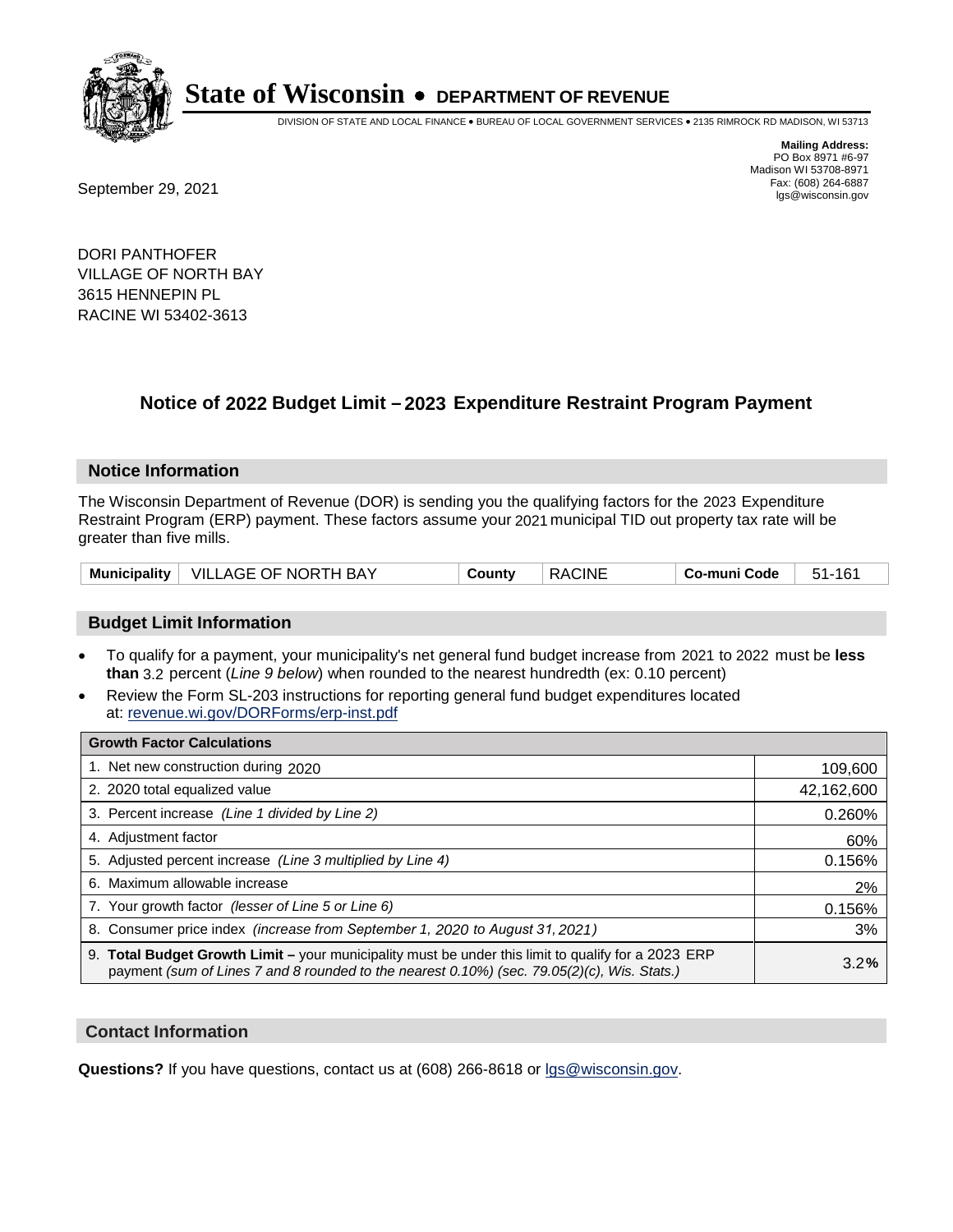

DIVISION OF STATE AND LOCAL FINANCE • BUREAU OF LOCAL GOVERNMENT SERVICES • 2135 RIMROCK RD MADISON, WI 53713

**Mailing Address:** PO Box 8971 #6-97 Madison WI 53708-8971<br>Fax: (608) 264-6887

Fax: (608) 264-6887<br>
September 29, 2021 and the state of the state of the state of the state of the state of the state of the state of the state of the state of the state of the state of the state of the state of the state

DORI PANTHOFER VILLAGE OF NORTH BAY 3615 HENNEPIN PL RACINE WI 53402-3613

## **Notice of 2022 Budget Limit - 2023 Expenditure Restraint Program Payment**

#### **Notice Information**

The Wisconsin Department of Revenue (DOR) is sending you the qualifying factors for the 2023 Expenditure Restraint Program (ERP) payment. These factors assume your 2021 municipal TID out property tax rate will be greater than five mills.

| Municipality | VILLAGE OF NORTH BAY | County | <b>RACINE</b> | ' o-muni Code | 161<br>51- |
|--------------|----------------------|--------|---------------|---------------|------------|
|--------------|----------------------|--------|---------------|---------------|------------|

### **Budget Limit Information**

- To qualify for a payment, your municipality's net general fund budget increase from 2021 to 2022 must be less **than** 3.2 percent (*Line 9 below*) when rounded to the nearest hundredth (ex: 0.10 percent)
- Review the Form SL-203 instructions for reporting general fund budget expenditures located at: revenue.wi.gov/DORForms/erp-inst.pdf

| <b>Growth Factor Calculations</b>                                                                                                                                                                  |            |
|----------------------------------------------------------------------------------------------------------------------------------------------------------------------------------------------------|------------|
| 1. Net new construction during 2020                                                                                                                                                                | 109,600    |
| 2. 2020 total equalized value                                                                                                                                                                      | 42,162,600 |
| 3. Percent increase (Line 1 divided by Line 2)                                                                                                                                                     | 0.260%     |
| 4. Adiustment factor                                                                                                                                                                               | 60%        |
| 5. Adjusted percent increase (Line 3 multiplied by Line 4)                                                                                                                                         | 0.156%     |
| 6. Maximum allowable increase                                                                                                                                                                      | 2%         |
| 7. Your growth factor (lesser of Line 5 or Line 6)                                                                                                                                                 | 0.156%     |
| 8. Consumer price index (increase from September 1, 2020 to August 31, 2021)                                                                                                                       | 3%         |
| 9. Total Budget Growth Limit - your municipality must be under this limit to qualify for a 2023 ERP<br>payment (sum of Lines 7 and 8 rounded to the nearest 0.10%) (sec. 79.05(2)(c), Wis. Stats.) | 3.2%       |

### **Contact Information**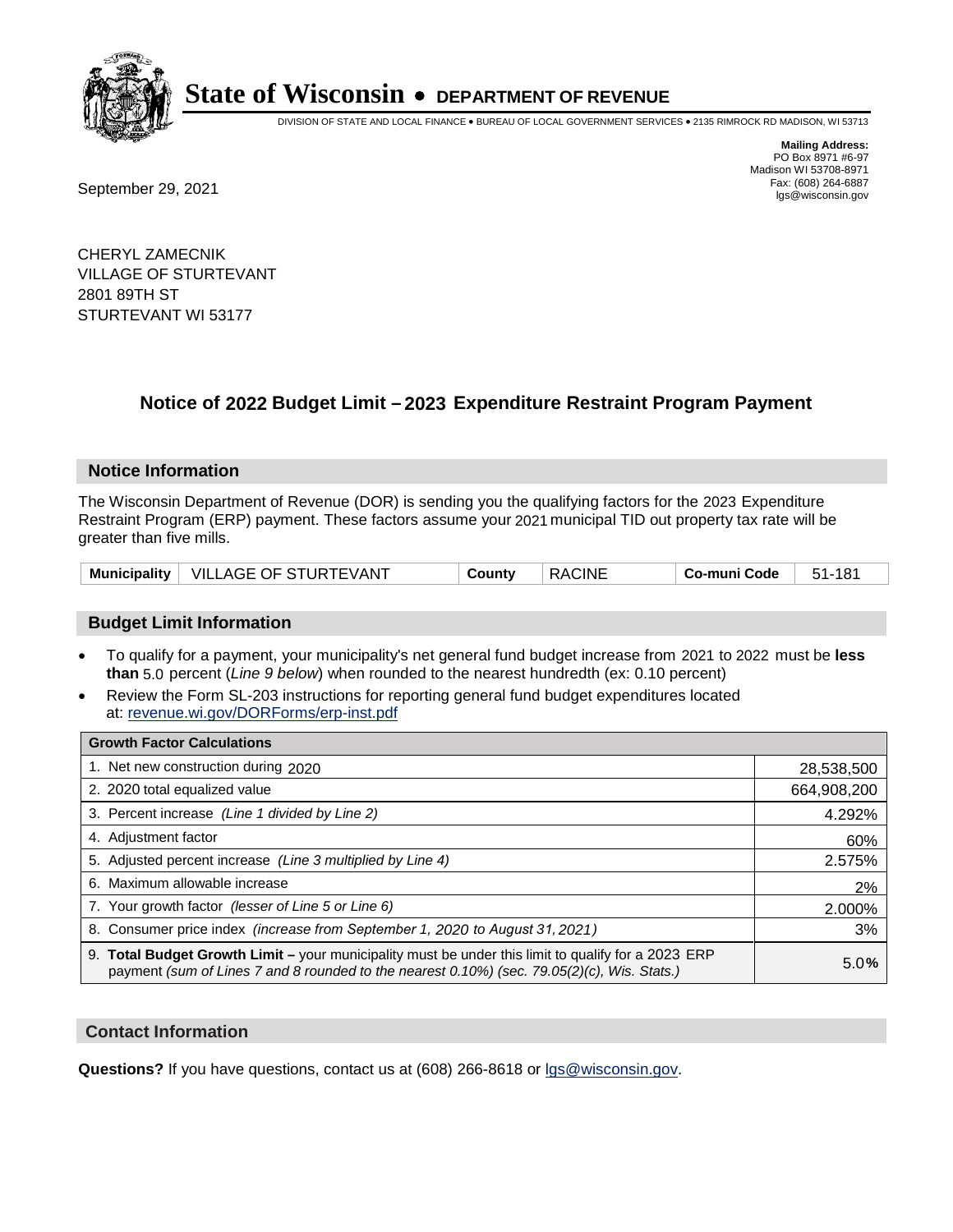

DIVISION OF STATE AND LOCAL FINANCE • BUREAU OF LOCAL GOVERNMENT SERVICES • 2135 RIMROCK RD MADISON, WI 53713

**Mailing Address:** PO Box 8971 #6-97 Madison WI 53708-8971<br>Fax: (608) 264-6887

Fax: (608) 264-6887<br>
September 29, 2021 and the state of the state of the state of the state of the state of the state of the state of the state of the state of the state of the state of the state of the state of the state

CHERYL ZAMECNIK VILLAGE OF STURTEVANT 2801 89TH ST STURTEVANT WI 53177

## **Notice of 2022 Budget Limit - 2023 Expenditure Restraint Program Payment**

#### **Notice Information**

The Wisconsin Department of Revenue (DOR) is sending you the qualifying factors for the 2023 Expenditure Restraint Program (ERP) payment. These factors assume your 2021 municipal TID out property tax rate will be greater than five mills.

|  | Municipality   VILLAGE OF STURTEVANT | County | <b>RACINE</b> | Co-muni Code | 51-181 |
|--|--------------------------------------|--------|---------------|--------------|--------|
|--|--------------------------------------|--------|---------------|--------------|--------|

### **Budget Limit Information**

- To qualify for a payment, your municipality's net general fund budget increase from 2021 to 2022 must be less **than** 5.0 percent (*Line 9 below*) when rounded to the nearest hundredth (ex: 0.10 percent)
- Review the Form SL-203 instructions for reporting general fund budget expenditures located at: revenue.wi.gov/DORForms/erp-inst.pdf

| <b>Growth Factor Calculations</b>                                                                                                                                                                  |             |
|----------------------------------------------------------------------------------------------------------------------------------------------------------------------------------------------------|-------------|
| 1. Net new construction during 2020                                                                                                                                                                | 28,538,500  |
| 2. 2020 total equalized value                                                                                                                                                                      | 664,908,200 |
| 3. Percent increase (Line 1 divided by Line 2)                                                                                                                                                     | 4.292%      |
| 4. Adjustment factor                                                                                                                                                                               | 60%         |
| 5. Adjusted percent increase (Line 3 multiplied by Line 4)                                                                                                                                         | 2.575%      |
| 6. Maximum allowable increase                                                                                                                                                                      | 2%          |
| 7. Your growth factor (lesser of Line 5 or Line 6)                                                                                                                                                 | 2.000%      |
| 8. Consumer price index (increase from September 1, 2020 to August 31, 2021)                                                                                                                       | 3%          |
| 9. Total Budget Growth Limit - your municipality must be under this limit to qualify for a 2023 ERP<br>payment (sum of Lines 7 and 8 rounded to the nearest 0.10%) (sec. 79.05(2)(c), Wis. Stats.) | 5.0%        |

#### **Contact Information**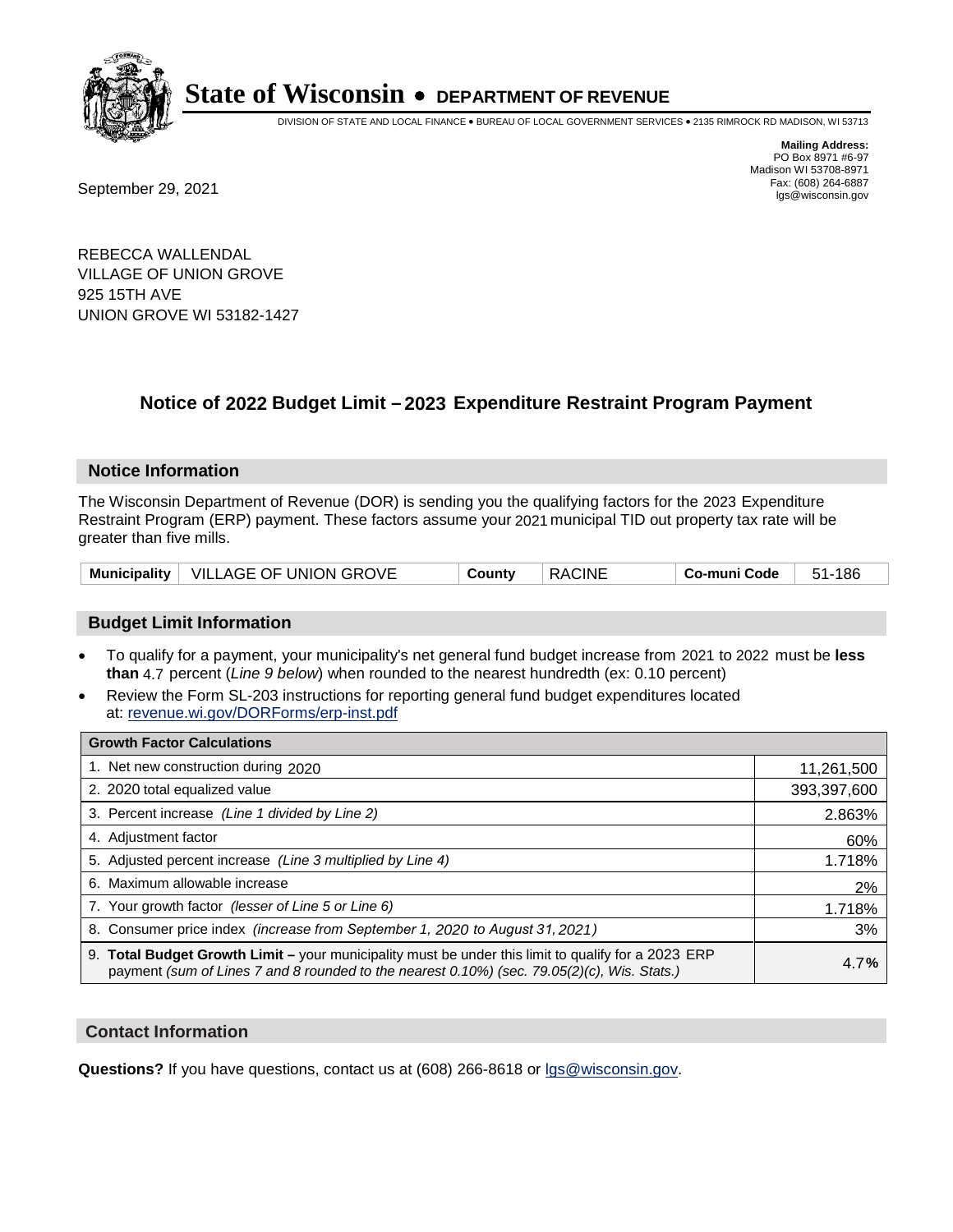

DIVISION OF STATE AND LOCAL FINANCE • BUREAU OF LOCAL GOVERNMENT SERVICES • 2135 RIMROCK RD MADISON, WI 53713

Fax: (608) 264-6887<br>
September 29, 2021 and the state of the state of the state of the state of the state of the state of the state of the state of the state of the state of the state of the state of the state of the state

**Mailing Address:** PO Box 8971 #6-97 Madison WI 53708-8971<br>Fax: (608) 264-6887

REBECCA WALLENDAL VILLAGE OF UNION GROVE 925 15TH AVE UNION GROVE WI 53182-1427

## **Notice of 2022 Budget Limit - 2023 Expenditure Restraint Program Payment**

#### **Notice Information**

The Wisconsin Department of Revenue (DOR) is sending you the qualifying factors for the 2023 Expenditure Restraint Program (ERP) payment. These factors assume your 2021 municipal TID out property tax rate will be greater than five mills.

|  | Municipality   VILLAGE OF UNION GROVE | County | <b>RACINE</b> | Co-muni Code | 51-186 |
|--|---------------------------------------|--------|---------------|--------------|--------|
|--|---------------------------------------|--------|---------------|--------------|--------|

### **Budget Limit Information**

- To qualify for a payment, your municipality's net general fund budget increase from 2021 to 2022 must be less **than** 4.7 percent (*Line 9 below*) when rounded to the nearest hundredth (ex: 0.10 percent)
- Review the Form SL-203 instructions for reporting general fund budget expenditures located at: revenue.wi.gov/DORForms/erp-inst.pdf

| <b>Growth Factor Calculations</b>                                                                                                                                                                  |             |
|----------------------------------------------------------------------------------------------------------------------------------------------------------------------------------------------------|-------------|
| 1. Net new construction during 2020                                                                                                                                                                | 11,261,500  |
| 2. 2020 total equalized value                                                                                                                                                                      | 393,397,600 |
| 3. Percent increase (Line 1 divided by Line 2)                                                                                                                                                     | 2.863%      |
| 4. Adiustment factor                                                                                                                                                                               | 60%         |
| 5. Adjusted percent increase (Line 3 multiplied by Line 4)                                                                                                                                         | 1.718%      |
| 6. Maximum allowable increase                                                                                                                                                                      | 2%          |
| 7. Your growth factor (lesser of Line 5 or Line 6)                                                                                                                                                 | 1.718%      |
| 8. Consumer price index (increase from September 1, 2020 to August 31, 2021)                                                                                                                       | 3%          |
| 9. Total Budget Growth Limit - your municipality must be under this limit to qualify for a 2023 ERP<br>payment (sum of Lines 7 and 8 rounded to the nearest 0.10%) (sec. 79.05(2)(c), Wis. Stats.) | 4.7%        |

#### **Contact Information**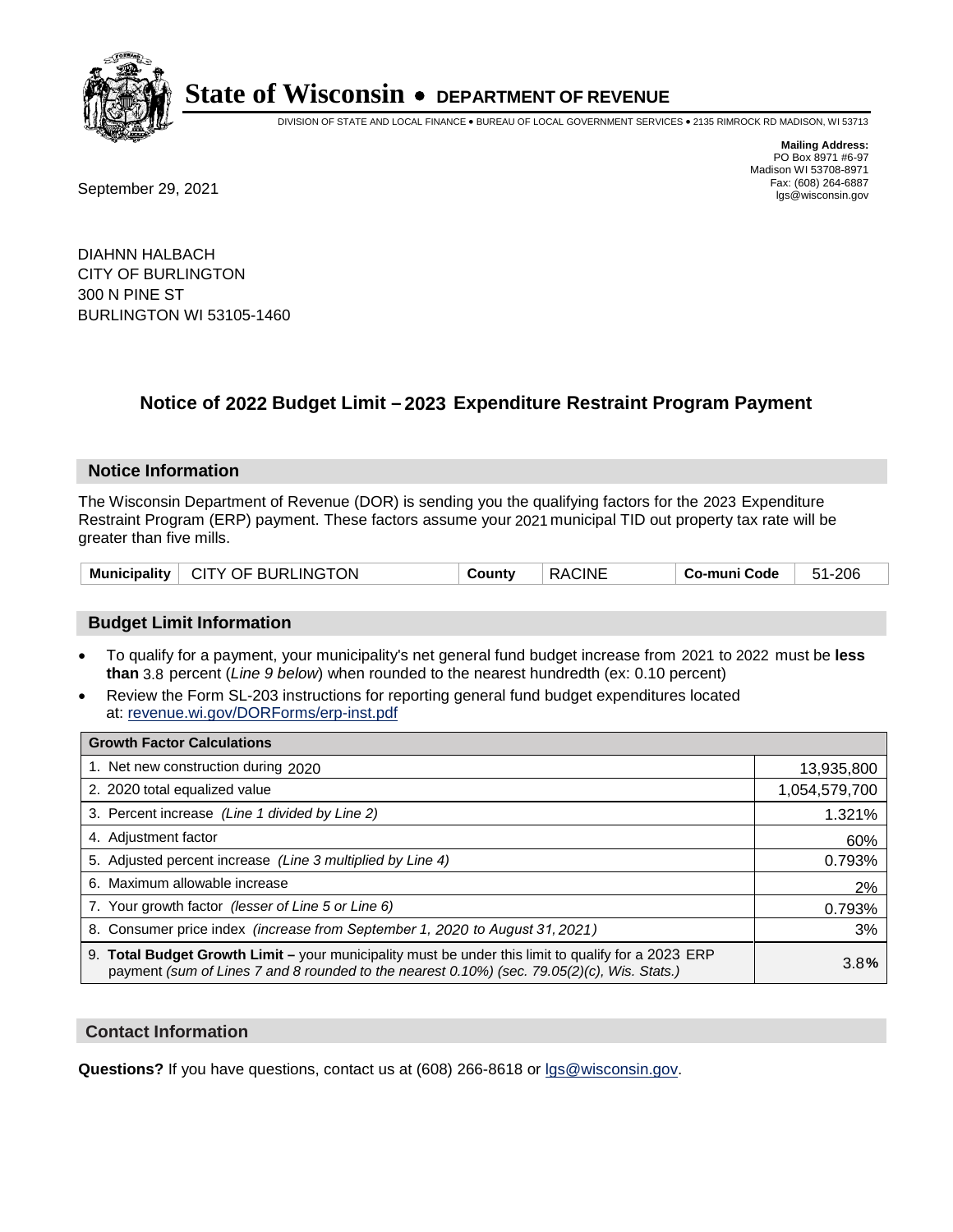

DIVISION OF STATE AND LOCAL FINANCE • BUREAU OF LOCAL GOVERNMENT SERVICES • 2135 RIMROCK RD MADISON, WI 53713

Fax: (608) 264-6887<br>
September 29, 2021 and the state of the state of the state of the state of the state of the state of the state of the state of the state of the state of the state of the state of the state of the state

**Mailing Address:** PO Box 8971 #6-97 Madison WI 53708-8971<br>Fax: (608) 264-6887

DIAHNN HALBACH CITY OF BURLINGTON 300 N PINE ST BURLINGTON WI 53105-1460

## **Notice of 2022 Budget Limit - 2023 Expenditure Restraint Program Payment**

#### **Notice Information**

The Wisconsin Department of Revenue (DOR) is sending you the qualifying factors for the 2023 Expenditure Restraint Program (ERP) payment. These factors assume your 2021 municipal TID out property tax rate will be greater than five mills.

| Municipality   CITY OF BURLINGTON | County | <b>RACINE</b> | Co-muni Code | 51-206 |
|-----------------------------------|--------|---------------|--------------|--------|
|-----------------------------------|--------|---------------|--------------|--------|

### **Budget Limit Information**

- To qualify for a payment, your municipality's net general fund budget increase from 2021 to 2022 must be less **than** 3.8 percent (*Line 9 below*) when rounded to the nearest hundredth (ex: 0.10 percent)
- Review the Form SL-203 instructions for reporting general fund budget expenditures located at: revenue.wi.gov/DORForms/erp-inst.pdf

| <b>Growth Factor Calculations</b>                                                                                                                                                                  |               |
|----------------------------------------------------------------------------------------------------------------------------------------------------------------------------------------------------|---------------|
| 1. Net new construction during 2020                                                                                                                                                                | 13,935,800    |
| 2. 2020 total equalized value                                                                                                                                                                      | 1,054,579,700 |
| 3. Percent increase (Line 1 divided by Line 2)                                                                                                                                                     | 1.321%        |
| 4. Adiustment factor                                                                                                                                                                               | 60%           |
| 5. Adjusted percent increase (Line 3 multiplied by Line 4)                                                                                                                                         | 0.793%        |
| 6. Maximum allowable increase                                                                                                                                                                      | 2%            |
| 7. Your growth factor (lesser of Line 5 or Line 6)                                                                                                                                                 | 0.793%        |
| 8. Consumer price index (increase from September 1, 2020 to August 31, 2021)                                                                                                                       | 3%            |
| 9. Total Budget Growth Limit - your municipality must be under this limit to qualify for a 2023 ERP<br>payment (sum of Lines 7 and 8 rounded to the nearest 0.10%) (sec. 79.05(2)(c), Wis. Stats.) | 3.8%          |

#### **Contact Information**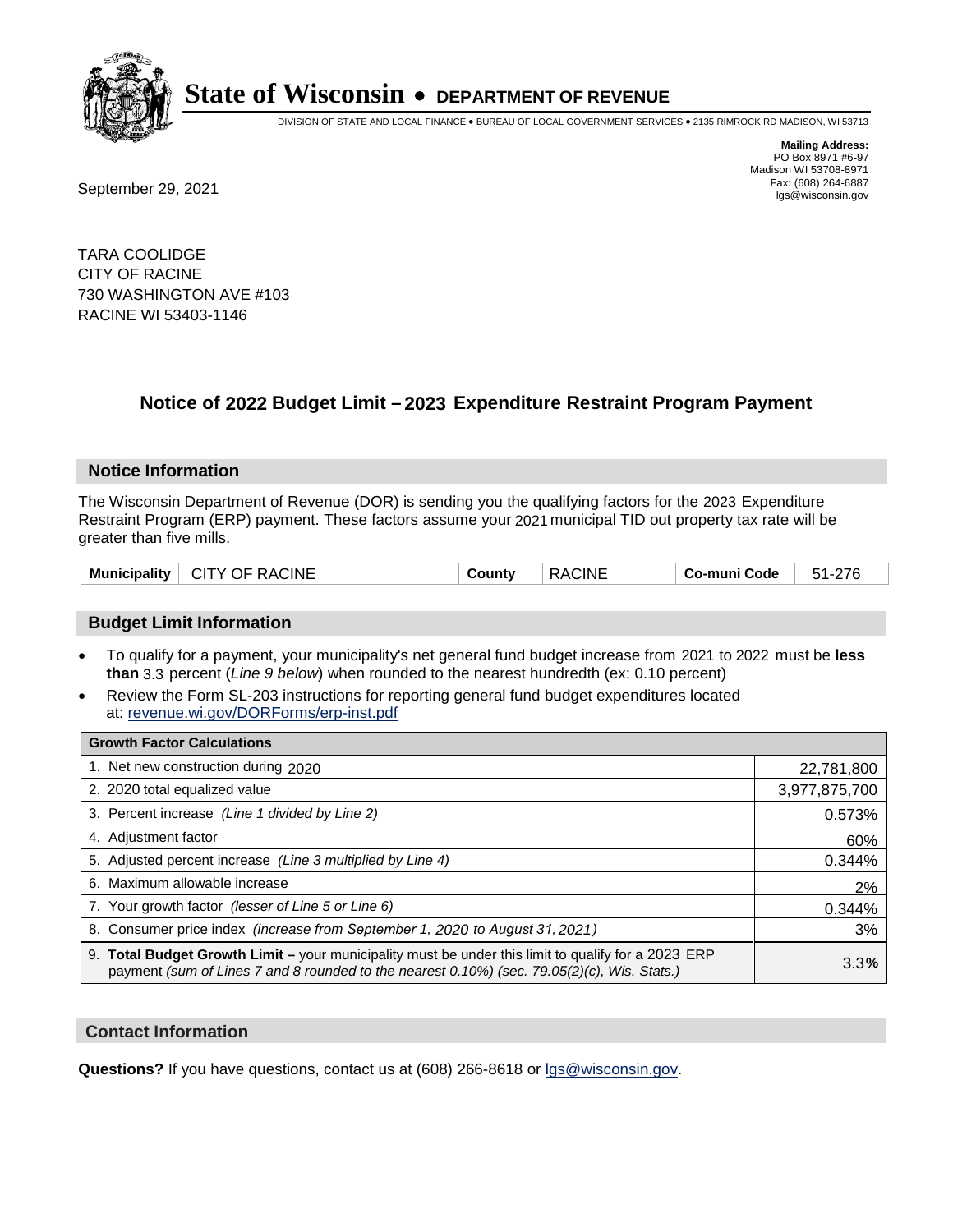

DIVISION OF STATE AND LOCAL FINANCE • BUREAU OF LOCAL GOVERNMENT SERVICES • 2135 RIMROCK RD MADISON, WI 53713

Fax: (608) 264-6887<br>
September 29, 2021 and the state of the state of the state of the state of the state of the state of the state of the state of the state of the state of the state of the state of the state of the state

**Mailing Address:** PO Box 8971 #6-97 Madison WI 53708-8971<br>Fax: (608) 264-6887

TARA COOLIDGE CITY OF RACINE 730 WASHINGTON AVE #103 RACINE WI 53403-1146

## **Notice of 2022 Budget Limit - 2023 Expenditure Restraint Program Payment**

#### **Notice Information**

The Wisconsin Department of Revenue (DOR) is sending you the qualifying factors for the 2023 Expenditure Restraint Program (ERP) payment. These factors assume your 2021 municipal TID out property tax rate will be greater than five mills.

| Municipality   CITY OF RACINE | County | RACINE | ∣ Co-muni Code ∣ | 51-276 |
|-------------------------------|--------|--------|------------------|--------|
|-------------------------------|--------|--------|------------------|--------|

### **Budget Limit Information**

- To qualify for a payment, your municipality's net general fund budget increase from 2021 to 2022 must be less **than** 3.3 percent (*Line 9 below*) when rounded to the nearest hundredth (ex: 0.10 percent)
- Review the Form SL-203 instructions for reporting general fund budget expenditures located at: revenue.wi.gov/DORForms/erp-inst.pdf

| <b>Growth Factor Calculations</b>                                                                                                                                                                  |               |
|----------------------------------------------------------------------------------------------------------------------------------------------------------------------------------------------------|---------------|
| 1. Net new construction during 2020                                                                                                                                                                | 22,781,800    |
| 2. 2020 total equalized value                                                                                                                                                                      | 3,977,875,700 |
| 3. Percent increase (Line 1 divided by Line 2)                                                                                                                                                     | 0.573%        |
| 4. Adjustment factor                                                                                                                                                                               | 60%           |
| 5. Adjusted percent increase (Line 3 multiplied by Line 4)                                                                                                                                         | 0.344%        |
| 6. Maximum allowable increase                                                                                                                                                                      | 2%            |
| 7. Your growth factor (lesser of Line 5 or Line 6)                                                                                                                                                 | 0.344%        |
| 8. Consumer price index (increase from September 1, 2020 to August 31, 2021)                                                                                                                       | 3%            |
| 9. Total Budget Growth Limit - your municipality must be under this limit to qualify for a 2023 ERP<br>payment (sum of Lines 7 and 8 rounded to the nearest 0.10%) (sec. 79.05(2)(c), Wis. Stats.) | 3.3%          |

#### **Contact Information**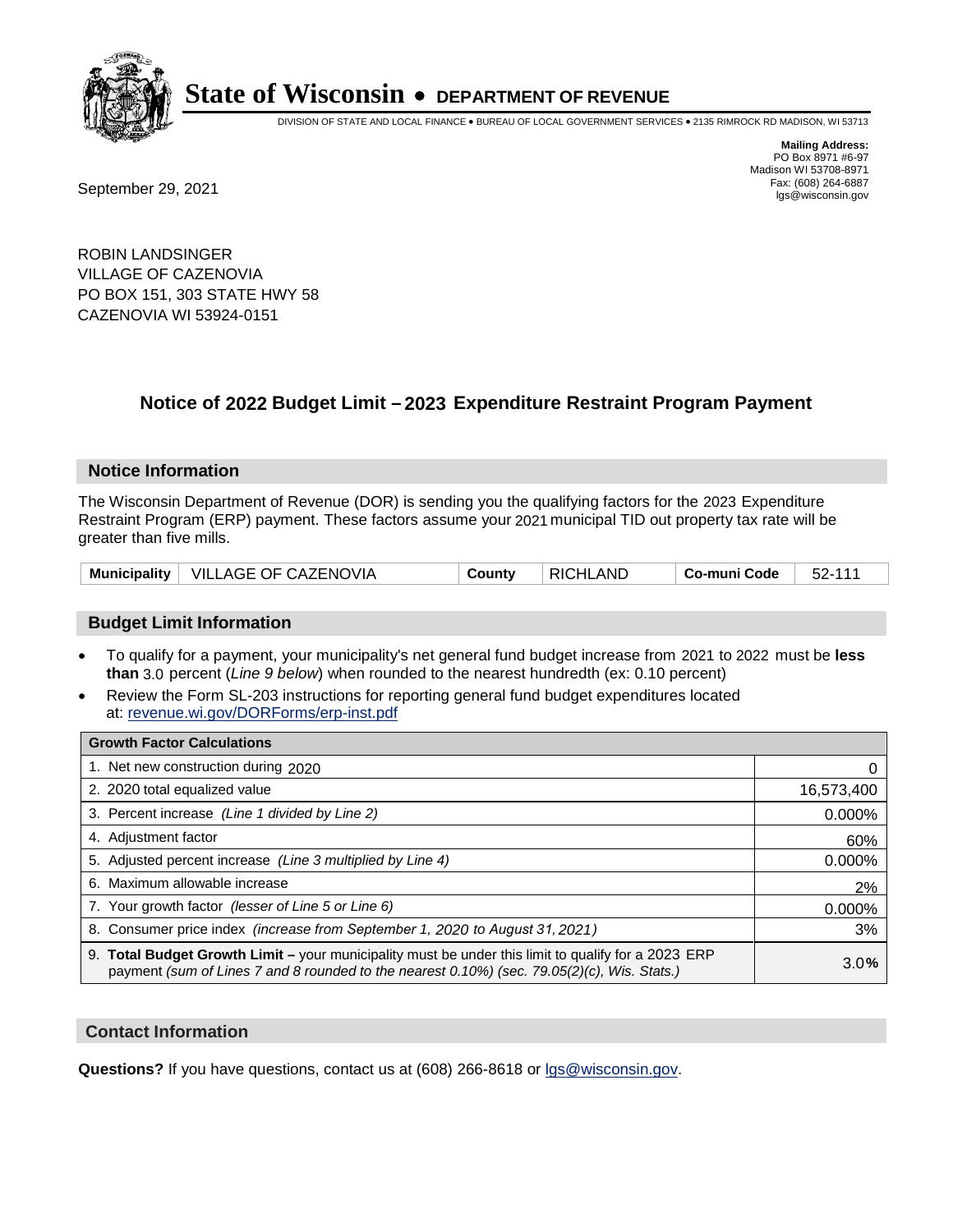

DIVISION OF STATE AND LOCAL FINANCE • BUREAU OF LOCAL GOVERNMENT SERVICES • 2135 RIMROCK RD MADISON, WI 53713

**Mailing Address:** PO Box 8971 #6-97 Madison WI 53708-8971<br>Fax: (608) 264-6887

Fax: (608) 264-6887<br>
September 29, 2021 and the state of the state of the state of the state of the state of the state of the state of the state of the state of the state of the state of the state of the state of the state

ROBIN LANDSINGER VILLAGE OF CAZENOVIA PO BOX 151, 303 STATE HWY 58 CAZENOVIA WI 53924-0151

## **Notice of 2022 Budget Limit - 2023 Expenditure Restraint Program Payment**

#### **Notice Information**

The Wisconsin Department of Revenue (DOR) is sending you the qualifying factors for the 2023 Expenditure Restraint Program (ERP) payment. These factors assume your 2021 municipal TID out property tax rate will be greater than five mills.

|  | Municipality   VILLAGE OF CAZENOVIA | County | <b>RICHLAND</b> | Co-muni Code | 52-111 |
|--|-------------------------------------|--------|-----------------|--------------|--------|
|--|-------------------------------------|--------|-----------------|--------------|--------|

### **Budget Limit Information**

- To qualify for a payment, your municipality's net general fund budget increase from 2021 to 2022 must be less **than** 3.0 percent (*Line 9 below*) when rounded to the nearest hundredth (ex: 0.10 percent)
- Review the Form SL-203 instructions for reporting general fund budget expenditures located at: revenue.wi.gov/DORForms/erp-inst.pdf

| <b>Growth Factor Calculations</b>                                                                                                                                                                  |            |
|----------------------------------------------------------------------------------------------------------------------------------------------------------------------------------------------------|------------|
| 1. Net new construction during 2020                                                                                                                                                                |            |
| 2. 2020 total equalized value                                                                                                                                                                      | 16,573,400 |
| 3. Percent increase (Line 1 divided by Line 2)                                                                                                                                                     | $0.000\%$  |
| 4. Adjustment factor                                                                                                                                                                               | 60%        |
| 5. Adjusted percent increase (Line 3 multiplied by Line 4)                                                                                                                                         | 0.000%     |
| 6. Maximum allowable increase                                                                                                                                                                      | 2%         |
| 7. Your growth factor (lesser of Line 5 or Line 6)                                                                                                                                                 | 0.000%     |
| 8. Consumer price index (increase from September 1, 2020 to August 31, 2021)                                                                                                                       | 3%         |
| 9. Total Budget Growth Limit - your municipality must be under this limit to qualify for a 2023 ERP<br>payment (sum of Lines 7 and 8 rounded to the nearest 0.10%) (sec. 79.05(2)(c), Wis. Stats.) | 3.0%       |

#### **Contact Information**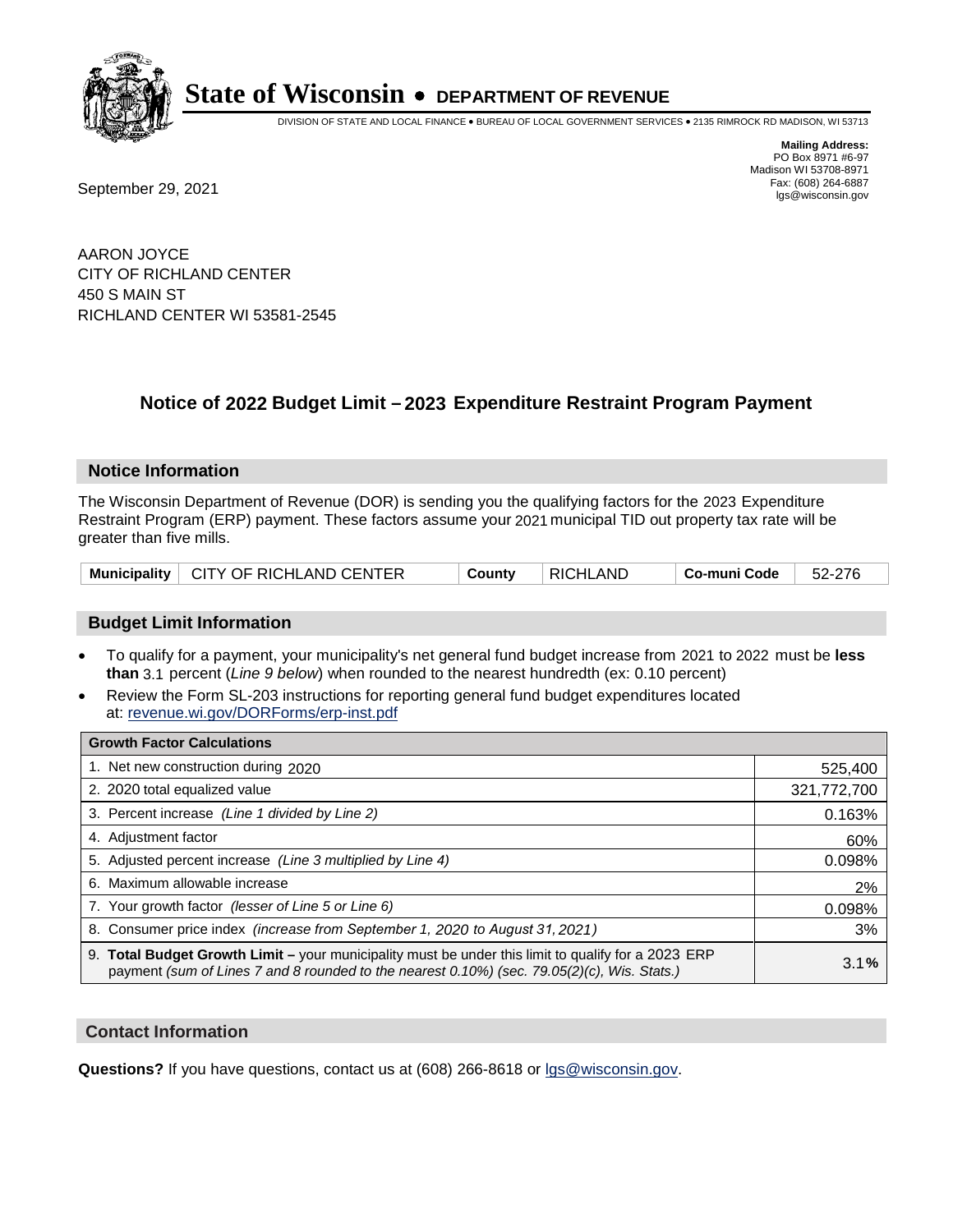

DIVISION OF STATE AND LOCAL FINANCE • BUREAU OF LOCAL GOVERNMENT SERVICES • 2135 RIMROCK RD MADISON, WI 53713

**Mailing Address:** PO Box 8971 #6-97 Madison WI 53708-8971<br>Fax: (608) 264-6887

Fax: (608) 264-6887<br>
September 29, 2021 and the state of the state of the state of the state of the state of the state of the state of the state of the state of the state of the state of the state of the state of the state

AARON JOYCE CITY OF RICHLAND CENTER 450 S MAIN ST RICHLAND CENTER WI 53581-2545

## **Notice of 2022 Budget Limit - 2023 Expenditure Restraint Program Payment**

#### **Notice Information**

The Wisconsin Department of Revenue (DOR) is sending you the qualifying factors for the 2023 Expenditure Restraint Program (ERP) payment. These factors assume your 2021 municipal TID out property tax rate will be greater than five mills.

|  | Municipality   CITY OF RICHLAND CENTER | County | RICHLAND | . Co-muni Code | 52-276 |
|--|----------------------------------------|--------|----------|----------------|--------|
|--|----------------------------------------|--------|----------|----------------|--------|

### **Budget Limit Information**

- To qualify for a payment, your municipality's net general fund budget increase from 2021 to 2022 must be less **than** 3.1 percent (*Line 9 below*) when rounded to the nearest hundredth (ex: 0.10 percent)
- Review the Form SL-203 instructions for reporting general fund budget expenditures located at: revenue.wi.gov/DORForms/erp-inst.pdf

| <b>Growth Factor Calculations</b>                                                                                                                                                                  |             |
|----------------------------------------------------------------------------------------------------------------------------------------------------------------------------------------------------|-------------|
| 1. Net new construction during 2020                                                                                                                                                                | 525,400     |
| 2. 2020 total equalized value                                                                                                                                                                      | 321,772,700 |
| 3. Percent increase (Line 1 divided by Line 2)                                                                                                                                                     | 0.163%      |
| 4. Adiustment factor                                                                                                                                                                               | 60%         |
| 5. Adjusted percent increase (Line 3 multiplied by Line 4)                                                                                                                                         | 0.098%      |
| 6. Maximum allowable increase                                                                                                                                                                      | 2%          |
| 7. Your growth factor (lesser of Line 5 or Line 6)                                                                                                                                                 | 0.098%      |
| 8. Consumer price index (increase from September 1, 2020 to August 31, 2021)                                                                                                                       | 3%          |
| 9. Total Budget Growth Limit - your municipality must be under this limit to qualify for a 2023 ERP<br>payment (sum of Lines 7 and 8 rounded to the nearest 0.10%) (sec. 79.05(2)(c), Wis. Stats.) | 3.1%        |

#### **Contact Information**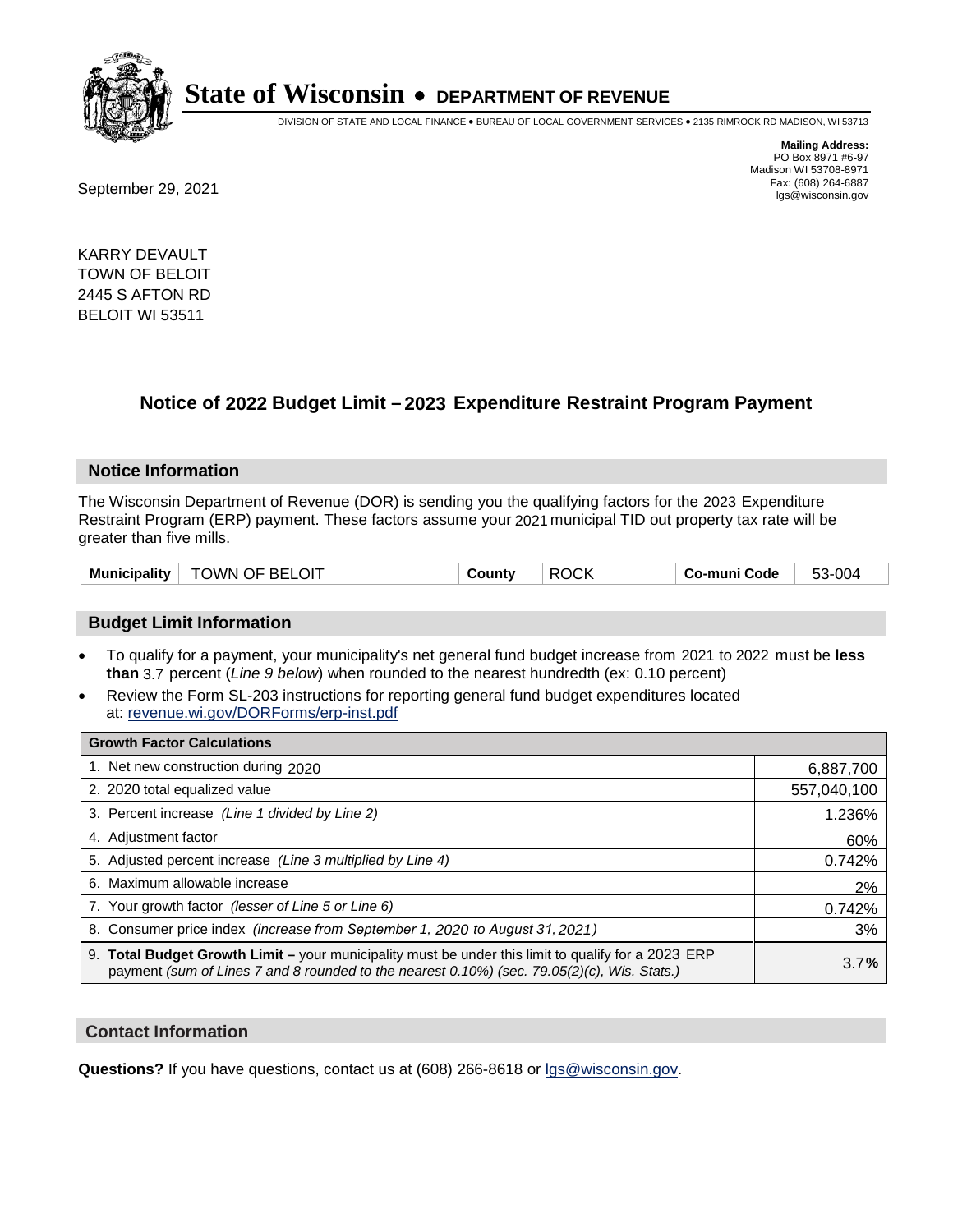

DIVISION OF STATE AND LOCAL FINANCE • BUREAU OF LOCAL GOVERNMENT SERVICES • 2135 RIMROCK RD MADISON, WI 53713

**Mailing Address:** PO Box 8971 #6-97 Madison WI 53708-8971<br>Fax: (608) 264-6887

Fax: (608) 264-6887<br>
September 29, 2021 and the state of the state of the state of the state of the state of the state of the state of the state of the state of the state of the state of the state of the state of the state

KARRY DEVAULT TOWN OF BELOIT 2445 S AFTON RD BELOIT WI 53511

## **Notice of 2022 Budget Limit - 2023 Expenditure Restraint Program Payment**

#### **Notice Information**

The Wisconsin Department of Revenue (DOR) is sending you the qualifying factors for the 2023 Expenditure Restraint Program (ERP) payment. These factors assume your 2021 municipal TID out property tax rate will be greater than five mills.

| <b>TOWN OF BELOIT</b><br>Municipality | County | <b>ROCK</b> | Co-muni Code | 53-004 |
|---------------------------------------|--------|-------------|--------------|--------|
|---------------------------------------|--------|-------------|--------------|--------|

#### **Budget Limit Information**

- To qualify for a payment, your municipality's net general fund budget increase from 2021 to 2022 must be less **than** 3.7 percent (*Line 9 below*) when rounded to the nearest hundredth (ex: 0.10 percent)
- Review the Form SL-203 instructions for reporting general fund budget expenditures located at: revenue.wi.gov/DORForms/erp-inst.pdf

| <b>Growth Factor Calculations</b>                                                                                                                                                                  |             |
|----------------------------------------------------------------------------------------------------------------------------------------------------------------------------------------------------|-------------|
| 1. Net new construction during 2020                                                                                                                                                                | 6,887,700   |
| 2. 2020 total equalized value                                                                                                                                                                      | 557,040,100 |
| 3. Percent increase (Line 1 divided by Line 2)                                                                                                                                                     | 1.236%      |
| 4. Adjustment factor                                                                                                                                                                               | 60%         |
| 5. Adjusted percent increase (Line 3 multiplied by Line 4)                                                                                                                                         | 0.742%      |
| 6. Maximum allowable increase                                                                                                                                                                      | 2%          |
| 7. Your growth factor (lesser of Line 5 or Line 6)                                                                                                                                                 | 0.742%      |
| 8. Consumer price index (increase from September 1, 2020 to August 31, 2021)                                                                                                                       | 3%          |
| 9. Total Budget Growth Limit - your municipality must be under this limit to qualify for a 2023 ERP<br>payment (sum of Lines 7 and 8 rounded to the nearest 0.10%) (sec. 79.05(2)(c), Wis. Stats.) | 3.7%        |

#### **Contact Information**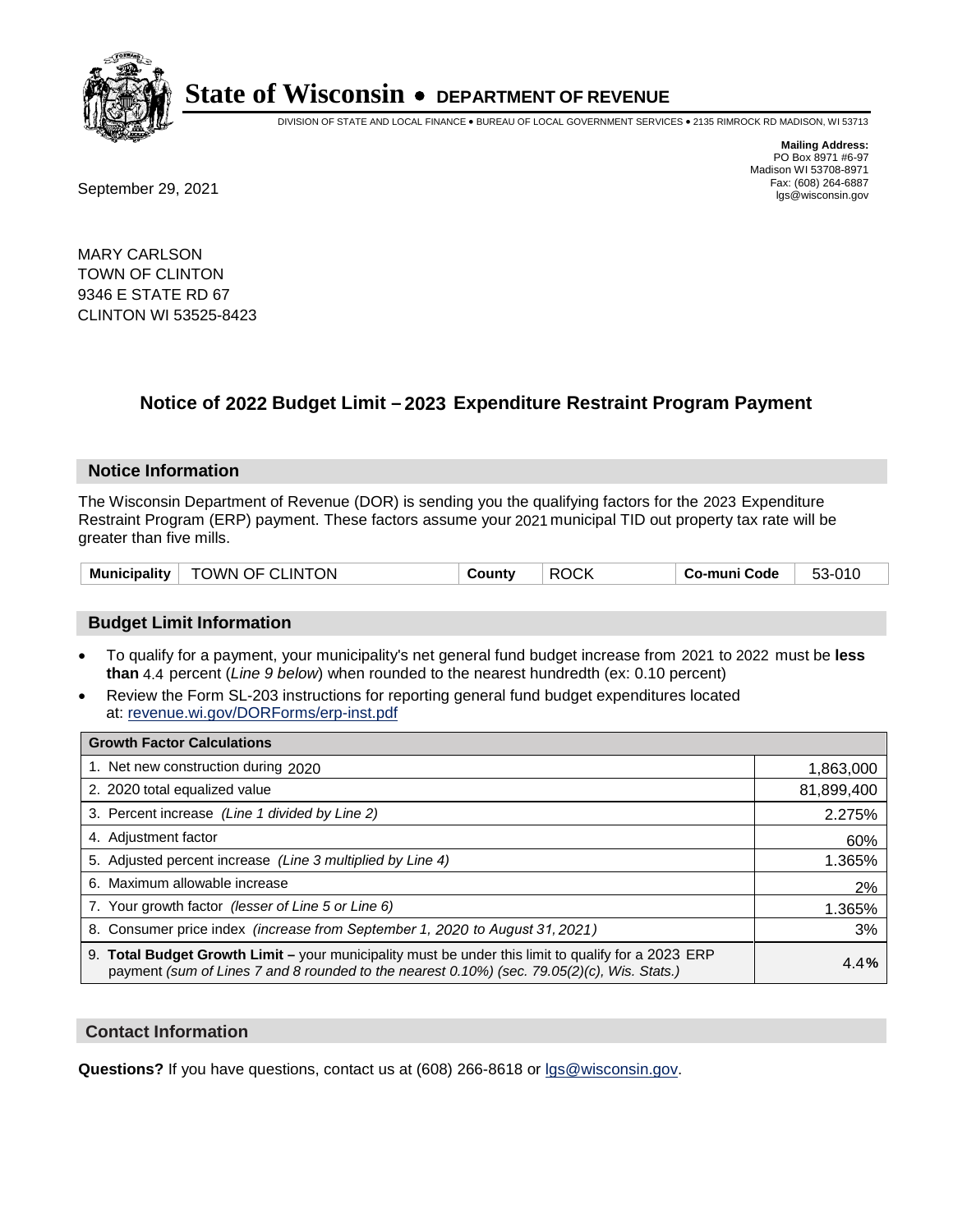

DIVISION OF STATE AND LOCAL FINANCE • BUREAU OF LOCAL GOVERNMENT SERVICES • 2135 RIMROCK RD MADISON, WI 53713

Fax: (608) 264-6887<br>
September 29, 2021 and the state of the state of the state of the state of the state of the state of the state of the state of the state of the state of the state of the state of the state of the state

**Mailing Address:** PO Box 8971 #6-97 Madison WI 53708-8971<br>Fax: (608) 264-6887

MARY CARLSON TOWN OF CLINTON 9346 E STATE RD 67 CLINTON WI 53525-8423

## **Notice of 2022 Budget Limit - 2023 Expenditure Restraint Program Payment**

#### **Notice Information**

The Wisconsin Department of Revenue (DOR) is sending you the qualifying factors for the 2023 Expenditure Restraint Program (ERP) payment. These factors assume your 2021 municipal TID out property tax rate will be greater than five mills.

| Municipality   TOWN OF CLINTON | County | ROCK | ∣ Co-muni Code ∴ | 53-010 |
|--------------------------------|--------|------|------------------|--------|
|--------------------------------|--------|------|------------------|--------|

### **Budget Limit Information**

- To qualify for a payment, your municipality's net general fund budget increase from 2021 to 2022 must be less **than** 4.4 percent (*Line 9 below*) when rounded to the nearest hundredth (ex: 0.10 percent)
- Review the Form SL-203 instructions for reporting general fund budget expenditures located at: revenue.wi.gov/DORForms/erp-inst.pdf

| <b>Growth Factor Calculations</b>                                                                                                                                                                  |            |
|----------------------------------------------------------------------------------------------------------------------------------------------------------------------------------------------------|------------|
| 1. Net new construction during 2020                                                                                                                                                                | 1,863,000  |
| 2. 2020 total equalized value                                                                                                                                                                      | 81,899,400 |
| 3. Percent increase (Line 1 divided by Line 2)                                                                                                                                                     | 2.275%     |
| 4. Adiustment factor                                                                                                                                                                               | 60%        |
| 5. Adjusted percent increase (Line 3 multiplied by Line 4)                                                                                                                                         | 1.365%     |
| 6. Maximum allowable increase                                                                                                                                                                      | 2%         |
| 7. Your growth factor (lesser of Line 5 or Line 6)                                                                                                                                                 | 1.365%     |
| 8. Consumer price index (increase from September 1, 2020 to August 31, 2021)                                                                                                                       | 3%         |
| 9. Total Budget Growth Limit - your municipality must be under this limit to qualify for a 2023 ERP<br>payment (sum of Lines 7 and 8 rounded to the nearest 0.10%) (sec. 79.05(2)(c), Wis. Stats.) | 4.4%       |

#### **Contact Information**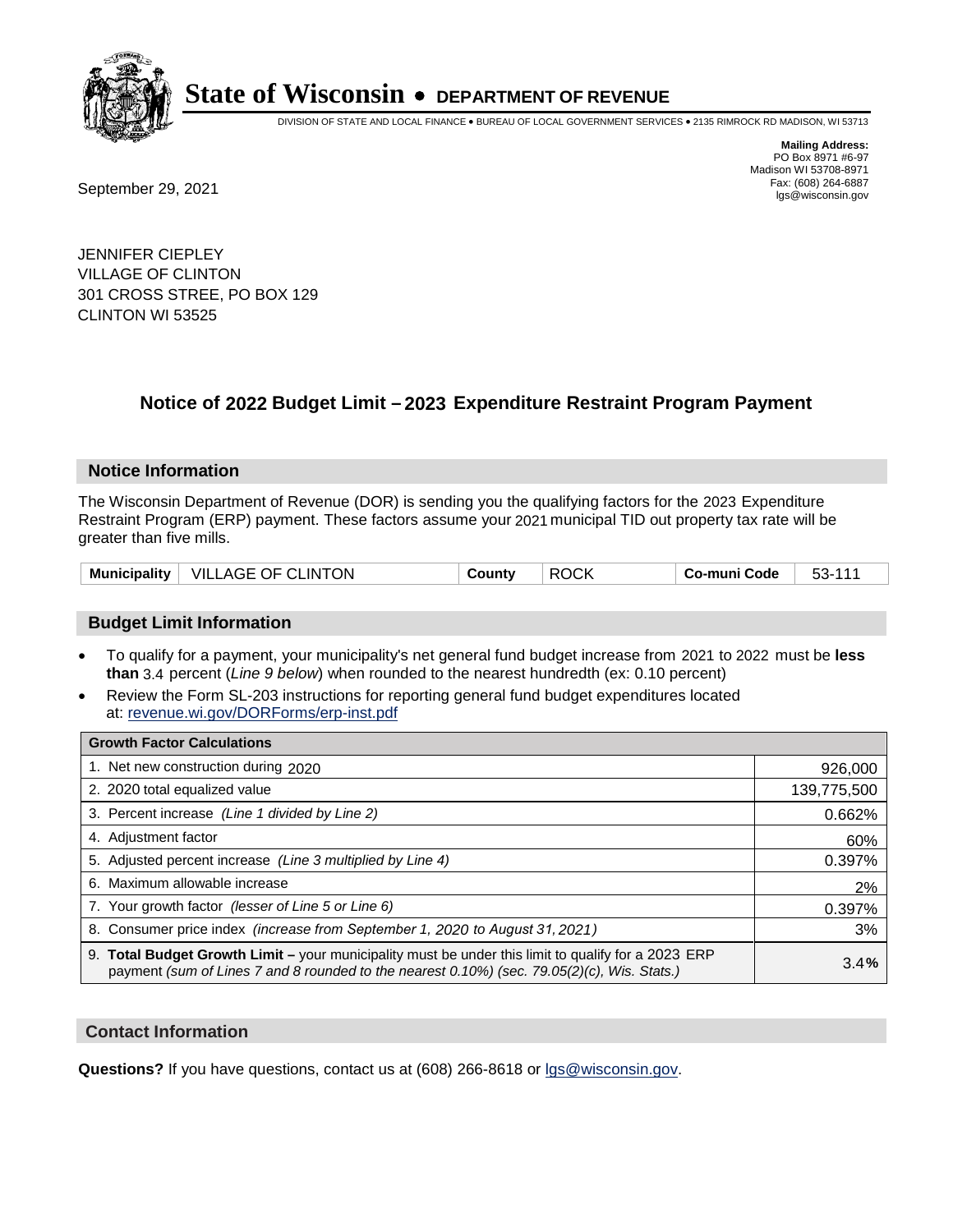

DIVISION OF STATE AND LOCAL FINANCE • BUREAU OF LOCAL GOVERNMENT SERVICES • 2135 RIMROCK RD MADISON, WI 53713

**Mailing Address:** PO Box 8971 #6-97 Madison WI 53708-8971<br>Fax: (608) 264-6887

Fax: (608) 264-6887<br>
September 29, 2021 and the state of the state of the state of the state of the state of the state of the state of the state of the state of the state of the state of the state of the state of the state

JENNIFER CIEPLEY VILLAGE OF CLINTON 301 CROSS STREE, PO BOX 129 CLINTON WI 53525

### **Notice of 2022 Budget Limit - 2023 Expenditure Restraint Program Payment**

#### **Notice Information**

The Wisconsin Department of Revenue (DOR) is sending you the qualifying factors for the 2023 Expenditure Restraint Program (ERP) payment. These factors assume your 2021 municipal TID out property tax rate will be greater than five mills.

| Municipality   VILLAGE OF CLINTON | County | <b>ROCK</b> | Co-muni Code | 53-111 |
|-----------------------------------|--------|-------------|--------------|--------|
|-----------------------------------|--------|-------------|--------------|--------|

#### **Budget Limit Information**

- To qualify for a payment, your municipality's net general fund budget increase from 2021 to 2022 must be less **than** 3.4 percent (*Line 9 below*) when rounded to the nearest hundredth (ex: 0.10 percent)
- Review the Form SL-203 instructions for reporting general fund budget expenditures located at: revenue.wi.gov/DORForms/erp-inst.pdf

| <b>Growth Factor Calculations</b>                                                                                                                                                                      |             |
|--------------------------------------------------------------------------------------------------------------------------------------------------------------------------------------------------------|-------------|
| 1. Net new construction during 2020                                                                                                                                                                    | 926,000     |
| 2. 2020 total equalized value                                                                                                                                                                          | 139,775,500 |
| 3. Percent increase (Line 1 divided by Line 2)                                                                                                                                                         | 0.662%      |
| 4. Adjustment factor                                                                                                                                                                                   | 60%         |
| 5. Adjusted percent increase (Line 3 multiplied by Line 4)                                                                                                                                             | 0.397%      |
| 6. Maximum allowable increase                                                                                                                                                                          | 2%          |
| 7. Your growth factor (lesser of Line 5 or Line 6)                                                                                                                                                     | 0.397%      |
| 8. Consumer price index (increase from September 1, 2020 to August 31, 2021)                                                                                                                           | 3%          |
| 9. Total Budget Growth Limit - your municipality must be under this limit to qualify for a 2023 ERP<br>payment (sum of Lines 7 and 8 rounded to the nearest $0.10\%$ ) (sec. 79.05(2)(c), Wis. Stats.) | 3.4%        |

#### **Contact Information**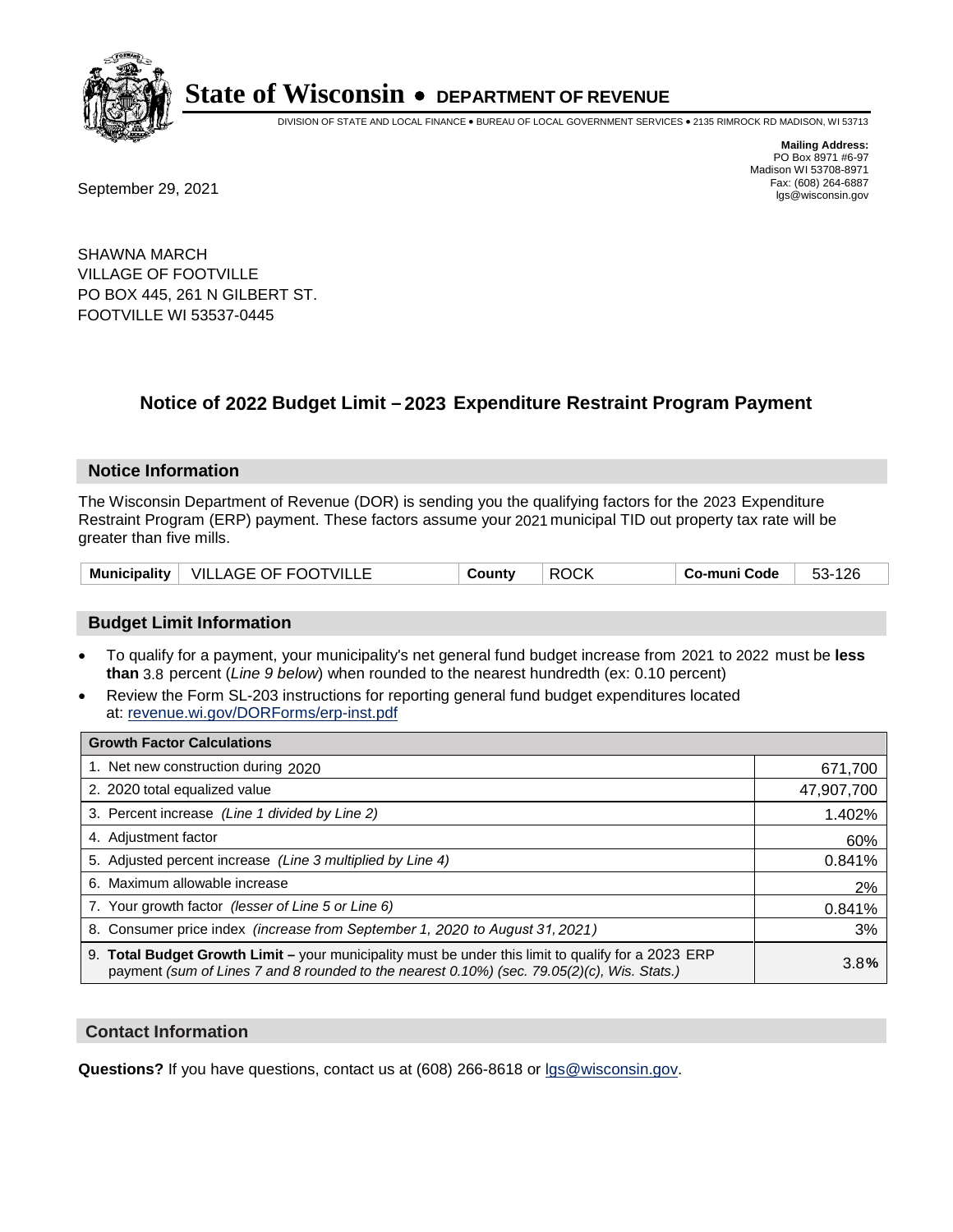

DIVISION OF STATE AND LOCAL FINANCE • BUREAU OF LOCAL GOVERNMENT SERVICES • 2135 RIMROCK RD MADISON, WI 53713

**Mailing Address:** PO Box 8971 #6-97 Madison WI 53708-8971<br>Fax: (608) 264-6887

Fax: (608) 264-6887<br>
September 29, 2021 and the state of the state of the state of the state of the state of the state of the state of the state of the state of the state of the state of the state of the state of the state

SHAWNA MARCH VILLAGE OF FOOTVILLE PO BOX 445, 261 N GILBERT ST. FOOTVILLE WI 53537-0445

### **Notice of 2022 Budget Limit - 2023 Expenditure Restraint Program Payment**

#### **Notice Information**

The Wisconsin Department of Revenue (DOR) is sending you the qualifying factors for the 2023 Expenditure Restraint Program (ERP) payment. These factors assume your 2021 municipal TID out property tax rate will be greater than five mills.

| Municipality   VILLAGE OF FOOTVILLE | County | <b>ROCK</b> | Co-muni Code | 53-126 |
|-------------------------------------|--------|-------------|--------------|--------|
|-------------------------------------|--------|-------------|--------------|--------|

#### **Budget Limit Information**

- To qualify for a payment, your municipality's net general fund budget increase from 2021 to 2022 must be less **than** 3.8 percent (*Line 9 below*) when rounded to the nearest hundredth (ex: 0.10 percent)
- Review the Form SL-203 instructions for reporting general fund budget expenditures located at: revenue.wi.gov/DORForms/erp-inst.pdf

| <b>Growth Factor Calculations</b>                                                                                                                                                                      |            |
|--------------------------------------------------------------------------------------------------------------------------------------------------------------------------------------------------------|------------|
| 1. Net new construction during 2020                                                                                                                                                                    | 671,700    |
| 2. 2020 total equalized value                                                                                                                                                                          | 47,907,700 |
| 3. Percent increase (Line 1 divided by Line 2)                                                                                                                                                         | 1.402%     |
| 4. Adjustment factor                                                                                                                                                                                   | 60%        |
| 5. Adjusted percent increase (Line 3 multiplied by Line 4)                                                                                                                                             | 0.841%     |
| 6. Maximum allowable increase                                                                                                                                                                          | 2%         |
| 7. Your growth factor (lesser of Line 5 or Line 6)                                                                                                                                                     | 0.841%     |
| 8. Consumer price index (increase from September 1, 2020 to August 31, 2021)                                                                                                                           | 3%         |
| 9. Total Budget Growth Limit - your municipality must be under this limit to qualify for a 2023 ERP<br>payment (sum of Lines 7 and 8 rounded to the nearest $0.10\%$ ) (sec. 79.05(2)(c), Wis. Stats.) | 3.8%       |

#### **Contact Information**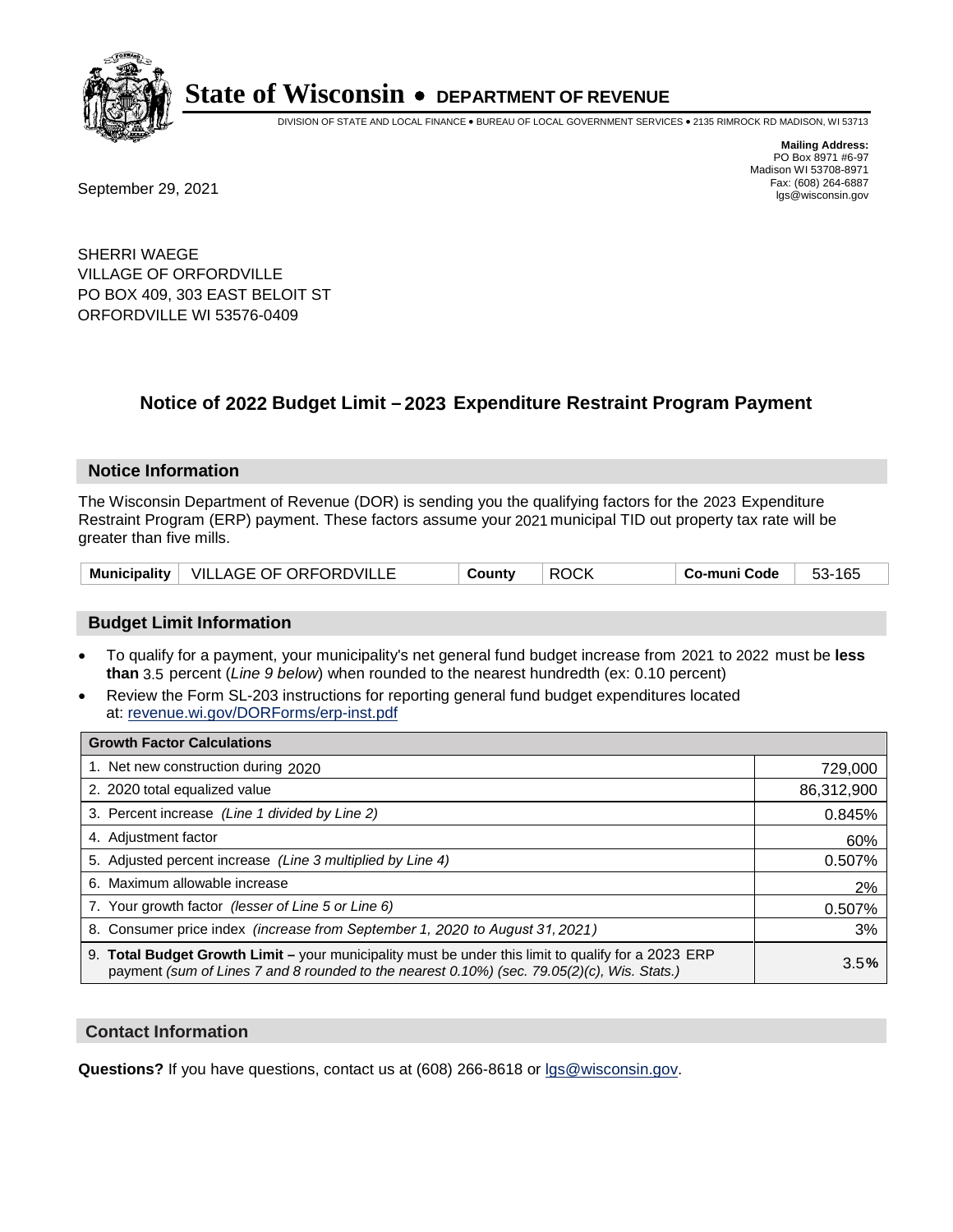

DIVISION OF STATE AND LOCAL FINANCE • BUREAU OF LOCAL GOVERNMENT SERVICES • 2135 RIMROCK RD MADISON, WI 53713

**Mailing Address:** PO Box 8971 #6-97 Madison WI 53708-8971<br>Fax: (608) 264-6887

Fax: (608) 264-6887<br>
September 29, 2021 and the state of the state of the state of the state of the state of the state of the state of the state of the state of the state of the state of the state of the state of the state

SHERRI WAEGE VILLAGE OF ORFORDVILLE PO BOX 409, 303 EAST BELOIT ST ORFORDVILLE WI 53576-0409

### **Notice of 2022 Budget Limit - 2023 Expenditure Restraint Program Payment**

#### **Notice Information**

The Wisconsin Department of Revenue (DOR) is sending you the qualifying factors for the 2023 Expenditure Restraint Program (ERP) payment. These factors assume your 2021 municipal TID out property tax rate will be greater than five mills.

|  | Municipality   VILLAGE OF ORFORDVILLE | County | <b>ROCK</b> | Co-muni Code | 53-165 |
|--|---------------------------------------|--------|-------------|--------------|--------|
|--|---------------------------------------|--------|-------------|--------------|--------|

#### **Budget Limit Information**

- To qualify for a payment, your municipality's net general fund budget increase from 2021 to 2022 must be less **than** 3.5 percent (*Line 9 below*) when rounded to the nearest hundredth (ex: 0.10 percent)
- Review the Form SL-203 instructions for reporting general fund budget expenditures located at: revenue.wi.gov/DORForms/erp-inst.pdf

| <b>Growth Factor Calculations</b>                                                                                                                                                                      |            |
|--------------------------------------------------------------------------------------------------------------------------------------------------------------------------------------------------------|------------|
| 1. Net new construction during 2020                                                                                                                                                                    | 729,000    |
| 2. 2020 total equalized value                                                                                                                                                                          | 86,312,900 |
| 3. Percent increase (Line 1 divided by Line 2)                                                                                                                                                         | 0.845%     |
| 4. Adjustment factor                                                                                                                                                                                   | 60%        |
| 5. Adjusted percent increase (Line 3 multiplied by Line 4)                                                                                                                                             | 0.507%     |
| 6. Maximum allowable increase                                                                                                                                                                          | 2%         |
| 7. Your growth factor (lesser of Line 5 or Line 6)                                                                                                                                                     | 0.507%     |
| 8. Consumer price index (increase from September 1, 2020 to August 31, 2021)                                                                                                                           | 3%         |
| 9. Total Budget Growth Limit - your municipality must be under this limit to qualify for a 2023 ERP<br>payment (sum of Lines 7 and 8 rounded to the nearest $0.10\%$ ) (sec. 79.05(2)(c), Wis. Stats.) | 3.5%       |

#### **Contact Information**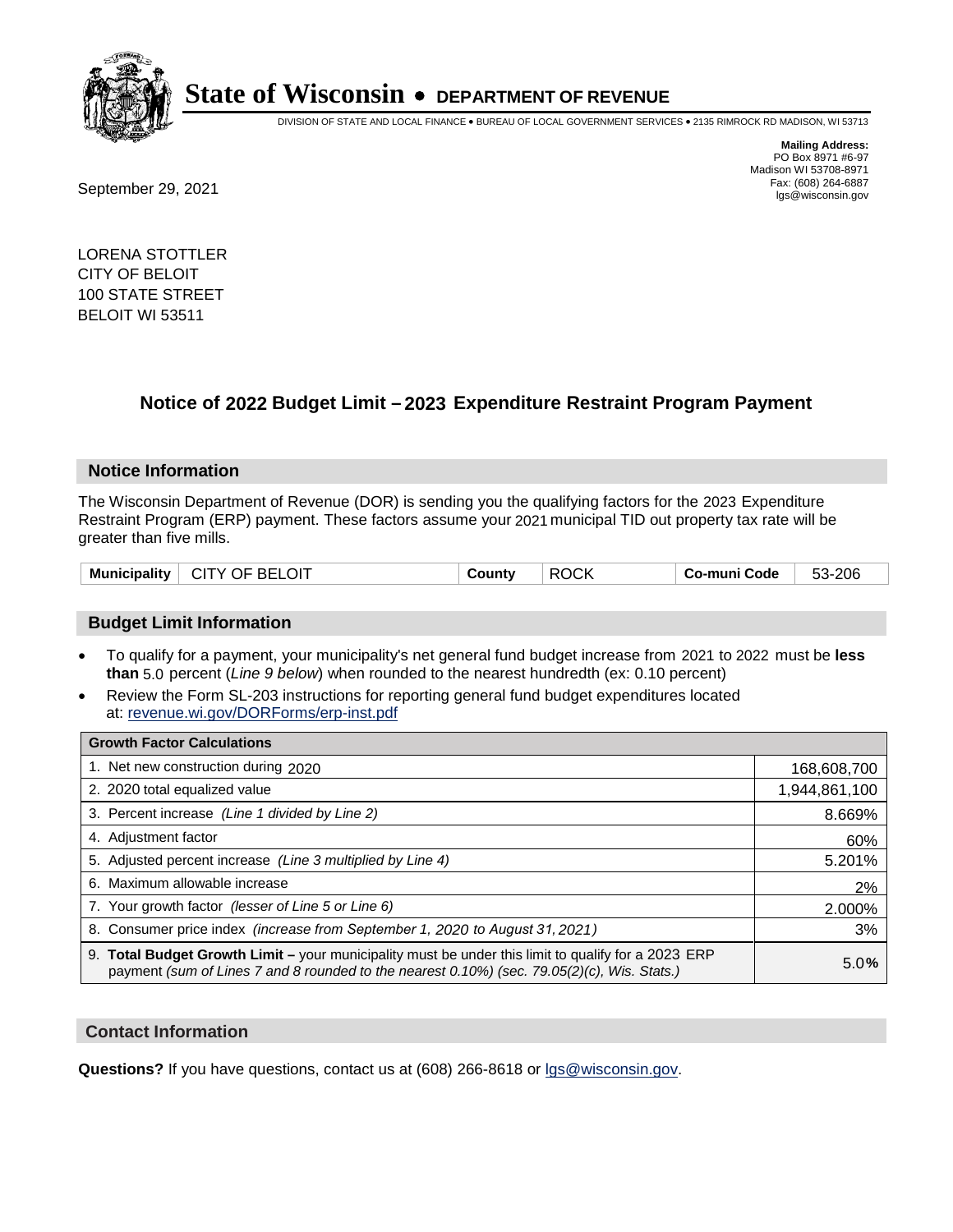

DIVISION OF STATE AND LOCAL FINANCE • BUREAU OF LOCAL GOVERNMENT SERVICES • 2135 RIMROCK RD MADISON, WI 53713

**Mailing Address:** PO Box 8971 #6-97 Madison WI 53708-8971<br>Fax: (608) 264-6887

Fax: (608) 264-6887<br>
September 29, 2021 and the state of the state of the state of the state of the state of the state of the state of the state of the state of the state of the state of the state of the state of the state

LORENA STOTTLER CITY OF BELOIT 100 STATE STREET BELOIT WI 53511

### **Notice of 2022 Budget Limit - 2023 Expenditure Restraint Program Payment**

#### **Notice Information**

The Wisconsin Department of Revenue (DOR) is sending you the qualifying factors for the 2023 Expenditure Restraint Program (ERP) payment. These factors assume your 2021 municipal TID out property tax rate will be greater than five mills.

| Municipality   CITY OF BELOIT | County | ∣ ROCK |  | 53-206 |
|-------------------------------|--------|--------|--|--------|
|-------------------------------|--------|--------|--|--------|

#### **Budget Limit Information**

- To qualify for a payment, your municipality's net general fund budget increase from 2021 to 2022 must be less **than** 5.0 percent (*Line 9 below*) when rounded to the nearest hundredth (ex: 0.10 percent)
- Review the Form SL-203 instructions for reporting general fund budget expenditures located at: revenue.wi.gov/DORForms/erp-inst.pdf

| <b>Growth Factor Calculations</b>                                                                                                                                                                  |               |
|----------------------------------------------------------------------------------------------------------------------------------------------------------------------------------------------------|---------------|
| 1. Net new construction during 2020                                                                                                                                                                | 168,608,700   |
| 2. 2020 total equalized value                                                                                                                                                                      | 1,944,861,100 |
| 3. Percent increase (Line 1 divided by Line 2)                                                                                                                                                     | 8.669%        |
| 4. Adjustment factor                                                                                                                                                                               | 60%           |
| 5. Adjusted percent increase (Line 3 multiplied by Line 4)                                                                                                                                         | 5.201%        |
| 6. Maximum allowable increase                                                                                                                                                                      | 2%            |
| 7. Your growth factor (lesser of Line 5 or Line 6)                                                                                                                                                 | 2.000%        |
| 8. Consumer price index (increase from September 1, 2020 to August 31, 2021)                                                                                                                       | 3%            |
| 9. Total Budget Growth Limit - your municipality must be under this limit to qualify for a 2023 ERP<br>payment (sum of Lines 7 and 8 rounded to the nearest 0.10%) (sec. 79.05(2)(c), Wis. Stats.) | 5.0%          |

#### **Contact Information**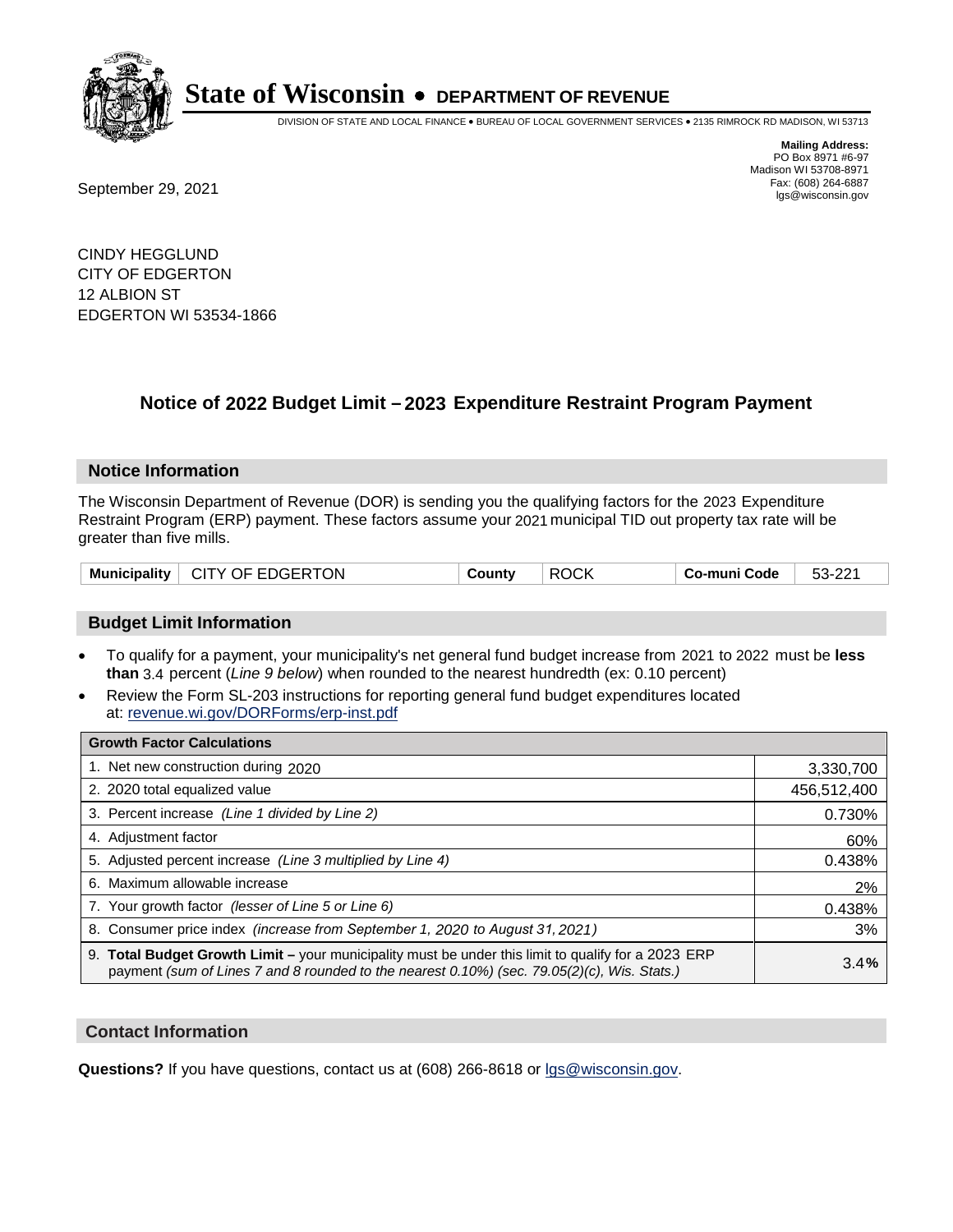

DIVISION OF STATE AND LOCAL FINANCE • BUREAU OF LOCAL GOVERNMENT SERVICES • 2135 RIMROCK RD MADISON, WI 53713

Fax: (608) 264-6887<br>
September 29, 2021 and the state of the state of the state of the state of the state of the state of the state of the state of the state of the state of the state of the state of the state of the state

**Mailing Address:** PO Box 8971 #6-97 Madison WI 53708-8971<br>Fax: (608) 264-6887

CINDY HEGGLUND CITY OF EDGERTON 12 ALBION ST EDGERTON WI 53534-1866

### **Notice of 2022 Budget Limit - 2023 Expenditure Restraint Program Payment**

#### **Notice Information**

The Wisconsin Department of Revenue (DOR) is sending you the qualifying factors for the 2023 Expenditure Restraint Program (ERP) payment. These factors assume your 2021 municipal TID out property tax rate will be greater than five mills.

| Municipality   CITY OF EDGERTON | County | <b>ROCK</b> | ∣ Co-muni Code | 53-221 |
|---------------------------------|--------|-------------|----------------|--------|
|---------------------------------|--------|-------------|----------------|--------|

#### **Budget Limit Information**

- To qualify for a payment, your municipality's net general fund budget increase from 2021 to 2022 must be less **than** 3.4 percent (*Line 9 below*) when rounded to the nearest hundredth (ex: 0.10 percent)
- Review the Form SL-203 instructions for reporting general fund budget expenditures located at: revenue.wi.gov/DORForms/erp-inst.pdf

| <b>Growth Factor Calculations</b>                                                                                                                                                                  |             |
|----------------------------------------------------------------------------------------------------------------------------------------------------------------------------------------------------|-------------|
| 1. Net new construction during 2020                                                                                                                                                                | 3,330,700   |
| 2. 2020 total equalized value                                                                                                                                                                      | 456,512,400 |
| 3. Percent increase (Line 1 divided by Line 2)                                                                                                                                                     | 0.730%      |
| 4. Adiustment factor                                                                                                                                                                               | 60%         |
| 5. Adjusted percent increase (Line 3 multiplied by Line 4)                                                                                                                                         | 0.438%      |
| 6. Maximum allowable increase                                                                                                                                                                      | 2%          |
| 7. Your growth factor (lesser of Line 5 or Line 6)                                                                                                                                                 | 0.438%      |
| 8. Consumer price index (increase from September 1, 2020 to August 31, 2021)                                                                                                                       | 3%          |
| 9. Total Budget Growth Limit - your municipality must be under this limit to qualify for a 2023 ERP<br>payment (sum of Lines 7 and 8 rounded to the nearest 0.10%) (sec. 79.05(2)(c), Wis. Stats.) | 3.4%        |

#### **Contact Information**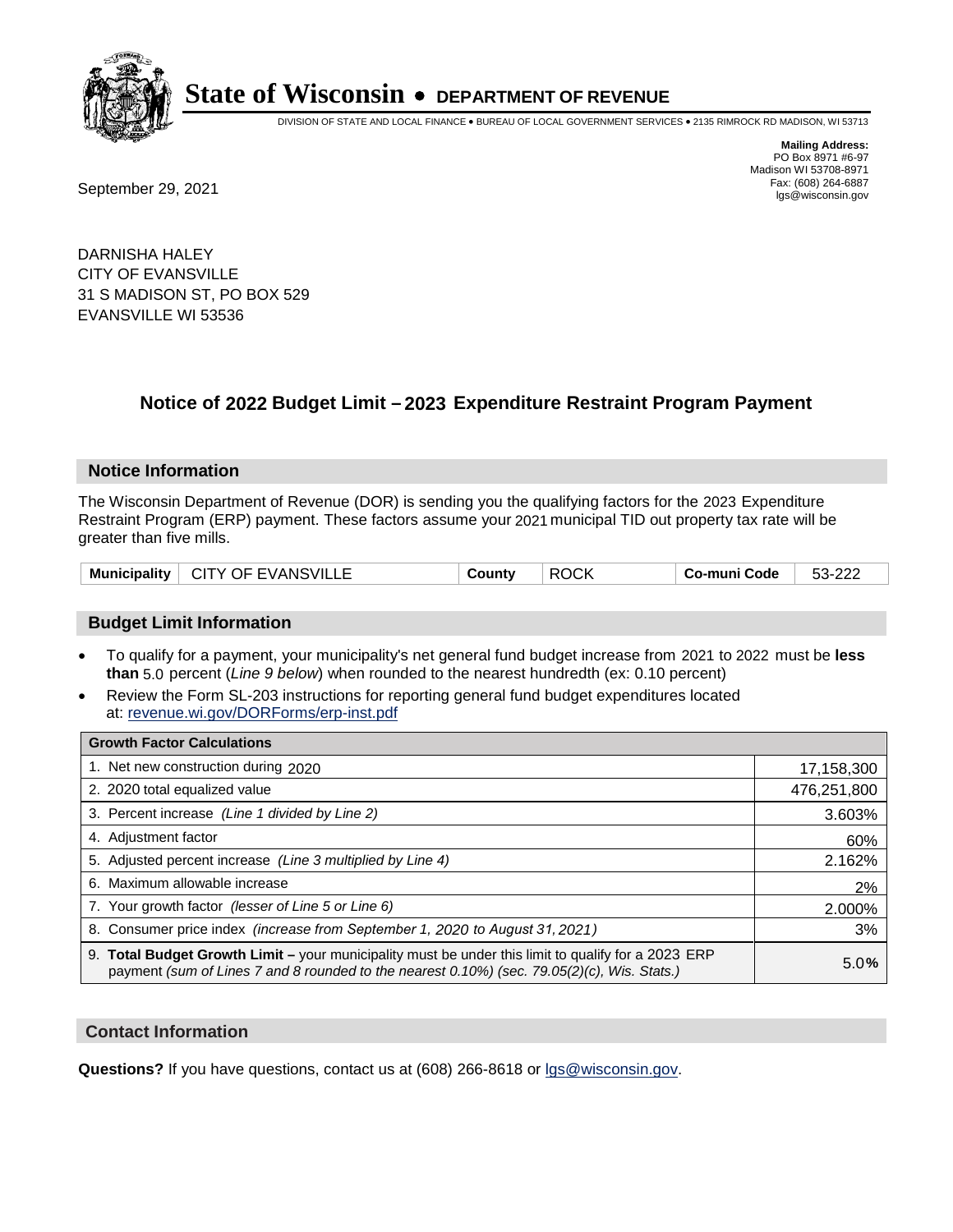

DIVISION OF STATE AND LOCAL FINANCE • BUREAU OF LOCAL GOVERNMENT SERVICES • 2135 RIMROCK RD MADISON, WI 53713

**Mailing Address:** PO Box 8971 #6-97 Madison WI 53708-8971<br>Fax: (608) 264-6887

Fax: (608) 264-6887<br>
September 29, 2021 and the state of the state of the state of the state of the state of the state of the state of the state of the state of the state of the state of the state of the state of the state

DARNISHA HALEY CITY OF EVANSVILLE 31 S MADISON ST, PO BOX 529 EVANSVILLE WI 53536

### **Notice of 2022 Budget Limit - 2023 Expenditure Restraint Program Payment**

#### **Notice Information**

The Wisconsin Department of Revenue (DOR) is sending you the qualifying factors for the 2023 Expenditure Restraint Program (ERP) payment. These factors assume your 2021 municipal TID out property tax rate will be greater than five mills.

#### **Budget Limit Information**

- To qualify for a payment, your municipality's net general fund budget increase from 2021 to 2022 must be less **than** 5.0 percent (*Line 9 below*) when rounded to the nearest hundredth (ex: 0.10 percent)
- Review the Form SL-203 instructions for reporting general fund budget expenditures located at: revenue.wi.gov/DORForms/erp-inst.pdf

| <b>Growth Factor Calculations</b>                                                                                                                                                                  |             |
|----------------------------------------------------------------------------------------------------------------------------------------------------------------------------------------------------|-------------|
| 1. Net new construction during 2020                                                                                                                                                                | 17,158,300  |
| 2. 2020 total equalized value                                                                                                                                                                      | 476,251,800 |
| 3. Percent increase (Line 1 divided by Line 2)                                                                                                                                                     | 3.603%      |
| 4. Adjustment factor                                                                                                                                                                               | 60%         |
| 5. Adjusted percent increase (Line 3 multiplied by Line 4)                                                                                                                                         | 2.162%      |
| 6. Maximum allowable increase                                                                                                                                                                      | 2%          |
| 7. Your growth factor (lesser of Line 5 or Line 6)                                                                                                                                                 | 2.000%      |
| 8. Consumer price index (increase from September 1, 2020 to August 31, 2021)                                                                                                                       | 3%          |
| 9. Total Budget Growth Limit - your municipality must be under this limit to qualify for a 2023 ERP<br>payment (sum of Lines 7 and 8 rounded to the nearest 0.10%) (sec. 79.05(2)(c), Wis. Stats.) | 5.0%        |

#### **Contact Information**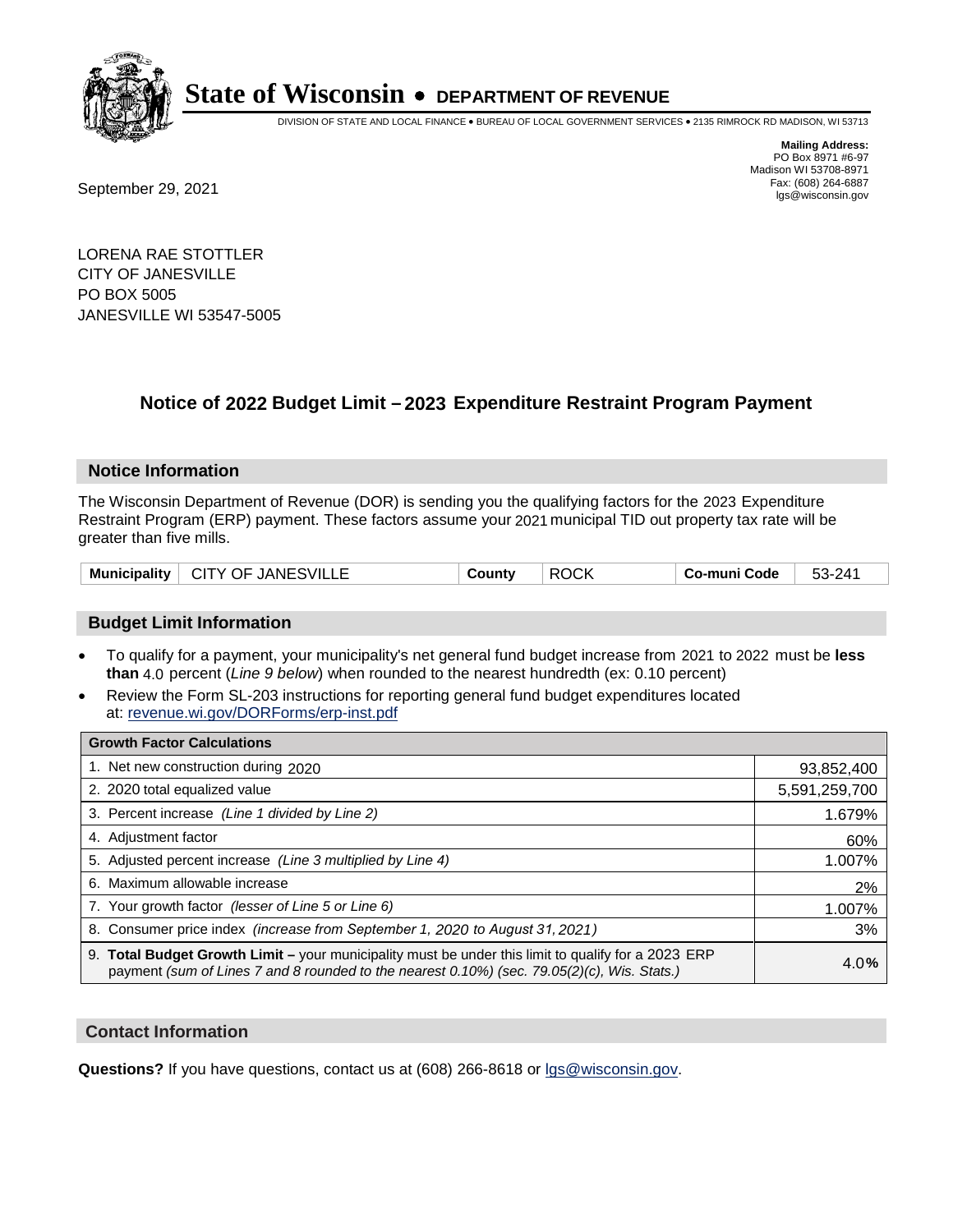

DIVISION OF STATE AND LOCAL FINANCE • BUREAU OF LOCAL GOVERNMENT SERVICES • 2135 RIMROCK RD MADISON, WI 53713

Fax: (608) 264-6887<br>
September 29, 2021 and the state of the state of the state of the state of the state of the state of the state of the state of the state of the state of the state of the state of the state of the state

**Mailing Address:** PO Box 8971 #6-97 Madison WI 53708-8971<br>Fax: (608) 264-6887

LORENA RAE STOTTLER CITY OF JANESVILLE PO BOX 5005 JANESVILLE WI 53547-5005

### **Notice of 2022 Budget Limit - 2023 Expenditure Restraint Program Payment**

#### **Notice Information**

The Wisconsin Department of Revenue (DOR) is sending you the qualifying factors for the 2023 Expenditure Restraint Program (ERP) payment. These factors assume your 2021 municipal TID out property tax rate will be greater than five mills.

| <b>Municipality</b> | <b>JANESVILLE</b><br>CITY OF | ountvٽ | $\sim$<br>RC<br>.) ( .K | َ o-muni Code | 241<br>၁၁- |
|---------------------|------------------------------|--------|-------------------------|---------------|------------|
|---------------------|------------------------------|--------|-------------------------|---------------|------------|

#### **Budget Limit Information**

- To qualify for a payment, your municipality's net general fund budget increase from 2021 to 2022 must be less **than** 4.0 percent (*Line 9 below*) when rounded to the nearest hundredth (ex: 0.10 percent)
- Review the Form SL-203 instructions for reporting general fund budget expenditures located at: revenue.wi.gov/DORForms/erp-inst.pdf

| <b>Growth Factor Calculations</b>                                                                                                                                                                  |               |
|----------------------------------------------------------------------------------------------------------------------------------------------------------------------------------------------------|---------------|
| 1. Net new construction during 2020                                                                                                                                                                | 93,852,400    |
| 2. 2020 total equalized value                                                                                                                                                                      | 5,591,259,700 |
| 3. Percent increase (Line 1 divided by Line 2)                                                                                                                                                     | 1.679%        |
| 4. Adjustment factor                                                                                                                                                                               | 60%           |
| 5. Adjusted percent increase (Line 3 multiplied by Line 4)                                                                                                                                         | 1.007%        |
| 6. Maximum allowable increase                                                                                                                                                                      | 2%            |
| 7. Your growth factor (lesser of Line 5 or Line 6)                                                                                                                                                 | 1.007%        |
| 8. Consumer price index (increase from September 1, 2020 to August 31, 2021)                                                                                                                       | 3%            |
| 9. Total Budget Growth Limit - your municipality must be under this limit to qualify for a 2023 ERP<br>payment (sum of Lines 7 and 8 rounded to the nearest 0.10%) (sec. 79.05(2)(c), Wis. Stats.) | 4.0%          |

#### **Contact Information**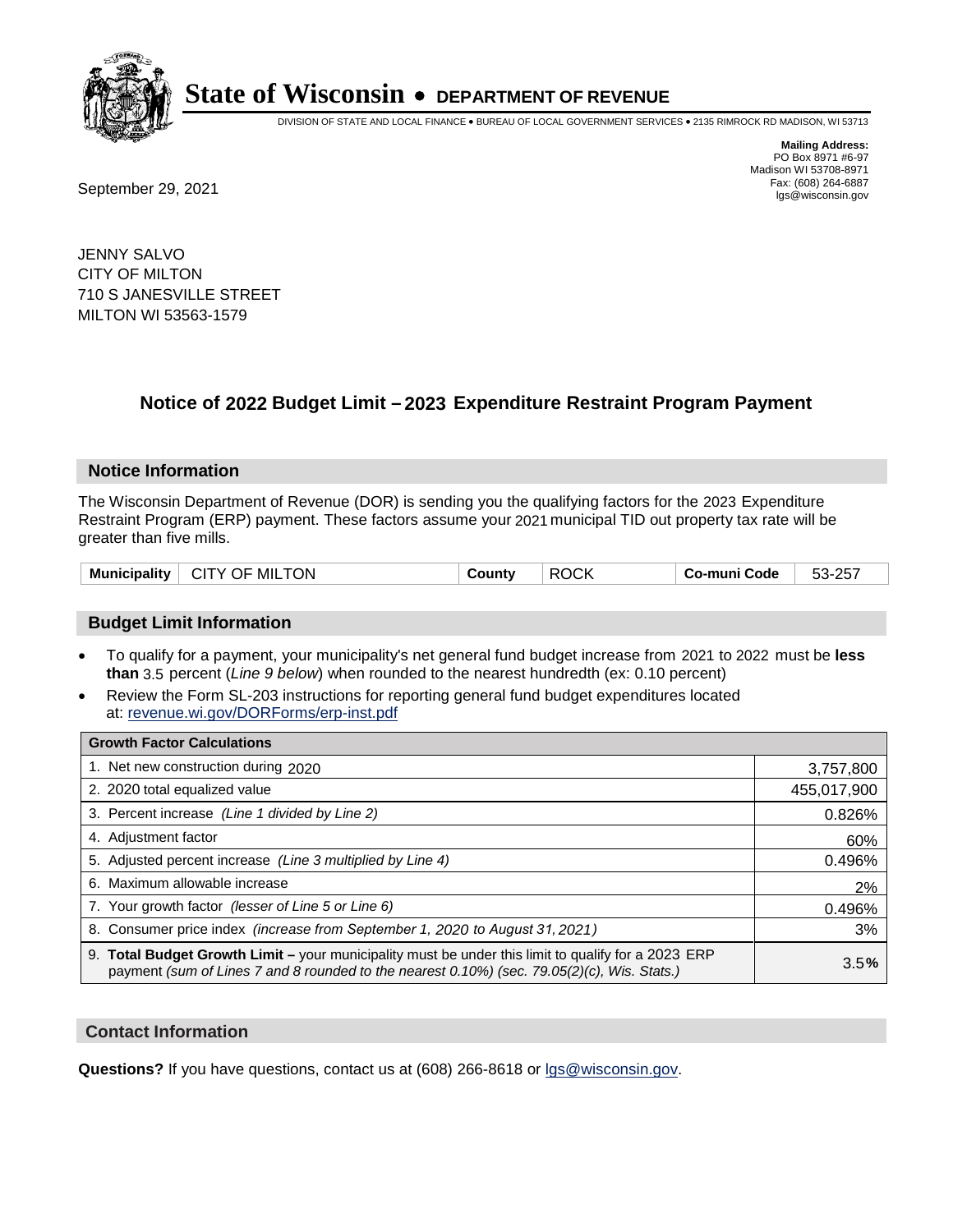

DIVISION OF STATE AND LOCAL FINANCE • BUREAU OF LOCAL GOVERNMENT SERVICES • 2135 RIMROCK RD MADISON, WI 53713

Fax: (608) 264-6887<br>
September 29, 2021 and the state of the state of the state of the state of the state of the state of the state of the state of the state of the state of the state of the state of the state of the state

**Mailing Address:** PO Box 8971 #6-97 Madison WI 53708-8971<br>Fax: (608) 264-6887

JENNY SALVO CITY OF MILTON 710 S JANESVILLE STREET MILTON WI 53563-1579

### **Notice of 2022 Budget Limit - 2023 Expenditure Restraint Program Payment**

#### **Notice Information**

The Wisconsin Department of Revenue (DOR) is sending you the qualifying factors for the 2023 Expenditure Restraint Program (ERP) payment. These factors assume your 2021 municipal TID out property tax rate will be greater than five mills.

| Municipality   CITY OF MILTON | County | <b>ROCK</b> | Co-muni Code | 53-257 |
|-------------------------------|--------|-------------|--------------|--------|
|-------------------------------|--------|-------------|--------------|--------|

#### **Budget Limit Information**

- To qualify for a payment, your municipality's net general fund budget increase from 2021 to 2022 must be less **than** 3.5 percent (*Line 9 below*) when rounded to the nearest hundredth (ex: 0.10 percent)
- Review the Form SL-203 instructions for reporting general fund budget expenditures located at: revenue.wi.gov/DORForms/erp-inst.pdf

| <b>Growth Factor Calculations</b>                                                                                                                                                                  |             |
|----------------------------------------------------------------------------------------------------------------------------------------------------------------------------------------------------|-------------|
| 1. Net new construction during 2020                                                                                                                                                                | 3,757,800   |
| 2. 2020 total equalized value                                                                                                                                                                      | 455,017,900 |
| 3. Percent increase (Line 1 divided by Line 2)                                                                                                                                                     | 0.826%      |
| 4. Adjustment factor                                                                                                                                                                               | 60%         |
| 5. Adjusted percent increase (Line 3 multiplied by Line 4)                                                                                                                                         | 0.496%      |
| 6. Maximum allowable increase                                                                                                                                                                      | 2%          |
| 7. Your growth factor (lesser of Line 5 or Line 6)                                                                                                                                                 | 0.496%      |
| 8. Consumer price index (increase from September 1, 2020 to August 31, 2021)                                                                                                                       | 3%          |
| 9. Total Budget Growth Limit - your municipality must be under this limit to qualify for a 2023 ERP<br>payment (sum of Lines 7 and 8 rounded to the nearest 0.10%) (sec. 79.05(2)(c), Wis. Stats.) | 3.5%        |

#### **Contact Information**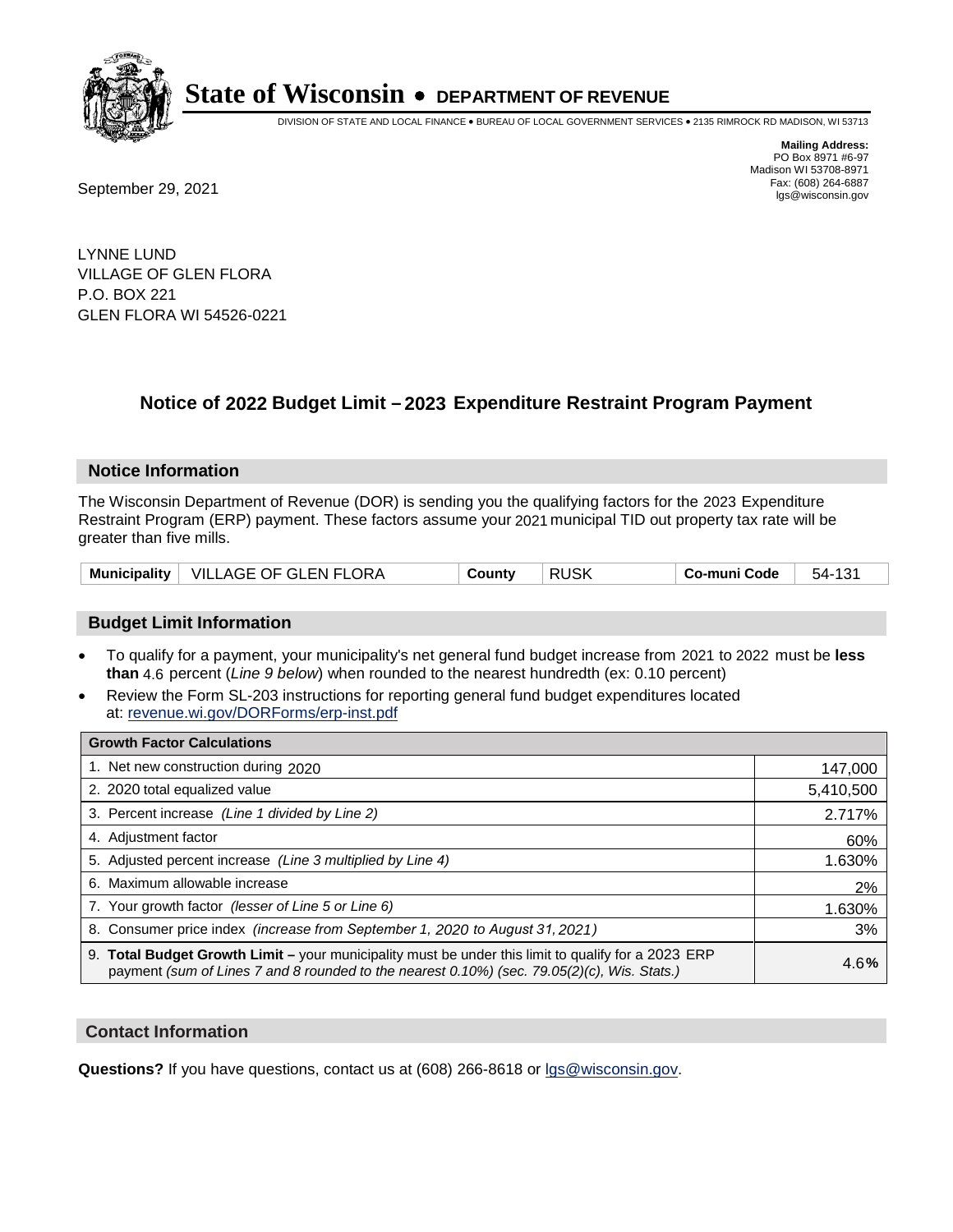

DIVISION OF STATE AND LOCAL FINANCE • BUREAU OF LOCAL GOVERNMENT SERVICES • 2135 RIMROCK RD MADISON, WI 53713

**Mailing Address:** PO Box 8971 #6-97 Madison WI 53708-8971<br>Fax: (608) 264-6887 Fax: (608) 264-6887<br>
September 29, 2021 and the state of the state of the state of the state of the state of the state of the state of the state of the state of the state of the state of the state of the state of the state

LYNNE LUND VILLAGE OF GLEN FLORA P.O. BOX 221 GLEN FLORA WI 54526-0221

### **Notice of 2022 Budget Limit - 2023 Expenditure Restraint Program Payment**

#### **Notice Information**

The Wisconsin Department of Revenue (DOR) is sending you the qualifying factors for the 2023 Expenditure Restraint Program (ERP) payment. These factors assume your 2021 municipal TID out property tax rate will be greater than five mills.

|  | Municipality   VILLAGE OF GLEN FLORA | County | <b>RUSK</b> | Co-muni Code | 54-131 |
|--|--------------------------------------|--------|-------------|--------------|--------|
|--|--------------------------------------|--------|-------------|--------------|--------|

#### **Budget Limit Information**

- To qualify for a payment, your municipality's net general fund budget increase from 2021 to 2022 must be less **than** 4.6 percent (*Line 9 below*) when rounded to the nearest hundredth (ex: 0.10 percent)
- Review the Form SL-203 instructions for reporting general fund budget expenditures located at: revenue.wi.gov/DORForms/erp-inst.pdf

| <b>Growth Factor Calculations</b>                                                                                                                                                                  |           |
|----------------------------------------------------------------------------------------------------------------------------------------------------------------------------------------------------|-----------|
| 1. Net new construction during 2020                                                                                                                                                                | 147,000   |
| 2. 2020 total equalized value                                                                                                                                                                      | 5,410,500 |
| 3. Percent increase (Line 1 divided by Line 2)                                                                                                                                                     | 2.717%    |
| 4. Adjustment factor                                                                                                                                                                               | 60%       |
| 5. Adjusted percent increase (Line 3 multiplied by Line 4)                                                                                                                                         | 1.630%    |
| 6. Maximum allowable increase                                                                                                                                                                      | 2%        |
| 7. Your growth factor (lesser of Line 5 or Line 6)                                                                                                                                                 | 1.630%    |
| 8. Consumer price index (increase from September 1, 2020 to August 31, 2021)                                                                                                                       | 3%        |
| 9. Total Budget Growth Limit – your municipality must be under this limit to qualify for a 2023 ERP<br>payment (sum of Lines 7 and 8 rounded to the nearest 0.10%) (sec. 79.05(2)(c), Wis. Stats.) | 4.6%      |

#### **Contact Information**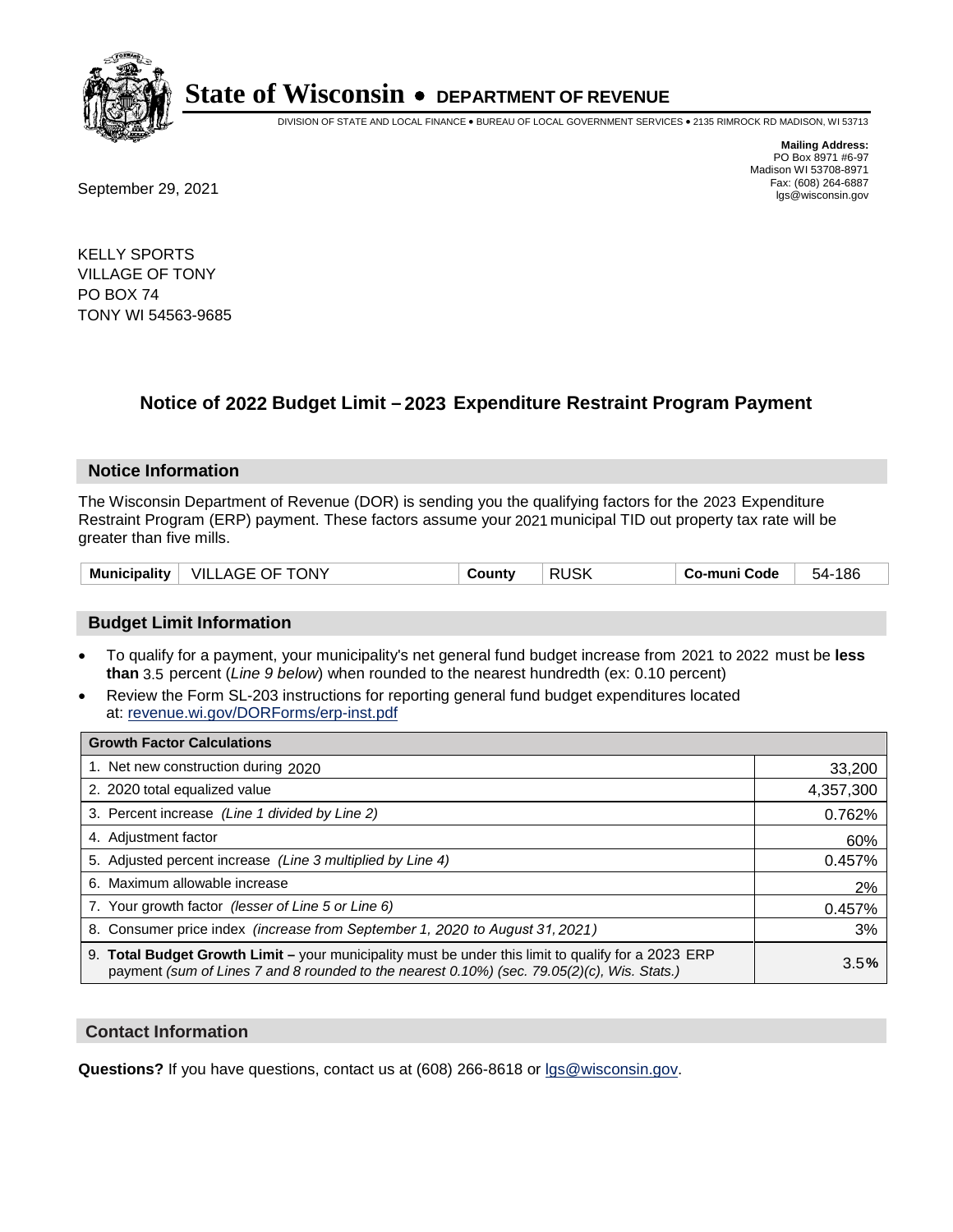

DIVISION OF STATE AND LOCAL FINANCE • BUREAU OF LOCAL GOVERNMENT SERVICES • 2135 RIMROCK RD MADISON, WI 53713

**Mailing Address:** PO Box 8971 #6-97 Madison WI 53708-8971<br>Fax: (608) 264-6887

Fax: (608) 264-6887<br>
September 29, 2021 and the state of the state of the state of the state of the state of the state of the state of the state of the state of the state of the state of the state of the state of the state

KELLY SPORTS VILLAGE OF TONY PO BOX 74 TONY WI 54563-9685

### **Notice of 2022 Budget Limit - 2023 Expenditure Restraint Program Payment**

#### **Notice Information**

The Wisconsin Department of Revenue (DOR) is sending you the qualifying factors for the 2023 Expenditure Restraint Program (ERP) payment. These factors assume your 2021 municipal TID out property tax rate will be greater than five mills.

| <b>Municipality</b> | ONY<br>VIL.<br>ᄾᇋᄃ<br>JF.<br>AW | Jount∨<br>. . | ICL<br>וח<br>ruor | Co-muni Code | 186<br>54. |
|---------------------|---------------------------------|---------------|-------------------|--------------|------------|
|---------------------|---------------------------------|---------------|-------------------|--------------|------------|

#### **Budget Limit Information**

- To qualify for a payment, your municipality's net general fund budget increase from 2021 to 2022 must be less **than** 3.5 percent (*Line 9 below*) when rounded to the nearest hundredth (ex: 0.10 percent)
- Review the Form SL-203 instructions for reporting general fund budget expenditures located at: revenue.wi.gov/DORForms/erp-inst.pdf

| <b>Growth Factor Calculations</b>                                                                                                                                                                  |           |
|----------------------------------------------------------------------------------------------------------------------------------------------------------------------------------------------------|-----------|
| 1. Net new construction during 2020                                                                                                                                                                | 33,200    |
| 2. 2020 total equalized value                                                                                                                                                                      | 4,357,300 |
| 3. Percent increase (Line 1 divided by Line 2)                                                                                                                                                     | 0.762%    |
| 4. Adiustment factor                                                                                                                                                                               | 60%       |
| 5. Adjusted percent increase (Line 3 multiplied by Line 4)                                                                                                                                         | 0.457%    |
| 6. Maximum allowable increase                                                                                                                                                                      | 2%        |
| 7. Your growth factor (lesser of Line 5 or Line 6)                                                                                                                                                 | 0.457%    |
| 8. Consumer price index (increase from September 1, 2020 to August 31, 2021)                                                                                                                       | 3%        |
| 9. Total Budget Growth Limit - your municipality must be under this limit to qualify for a 2023 ERP<br>payment (sum of Lines 7 and 8 rounded to the nearest 0.10%) (sec. 79.05(2)(c), Wis. Stats.) | 3.5%      |

#### **Contact Information**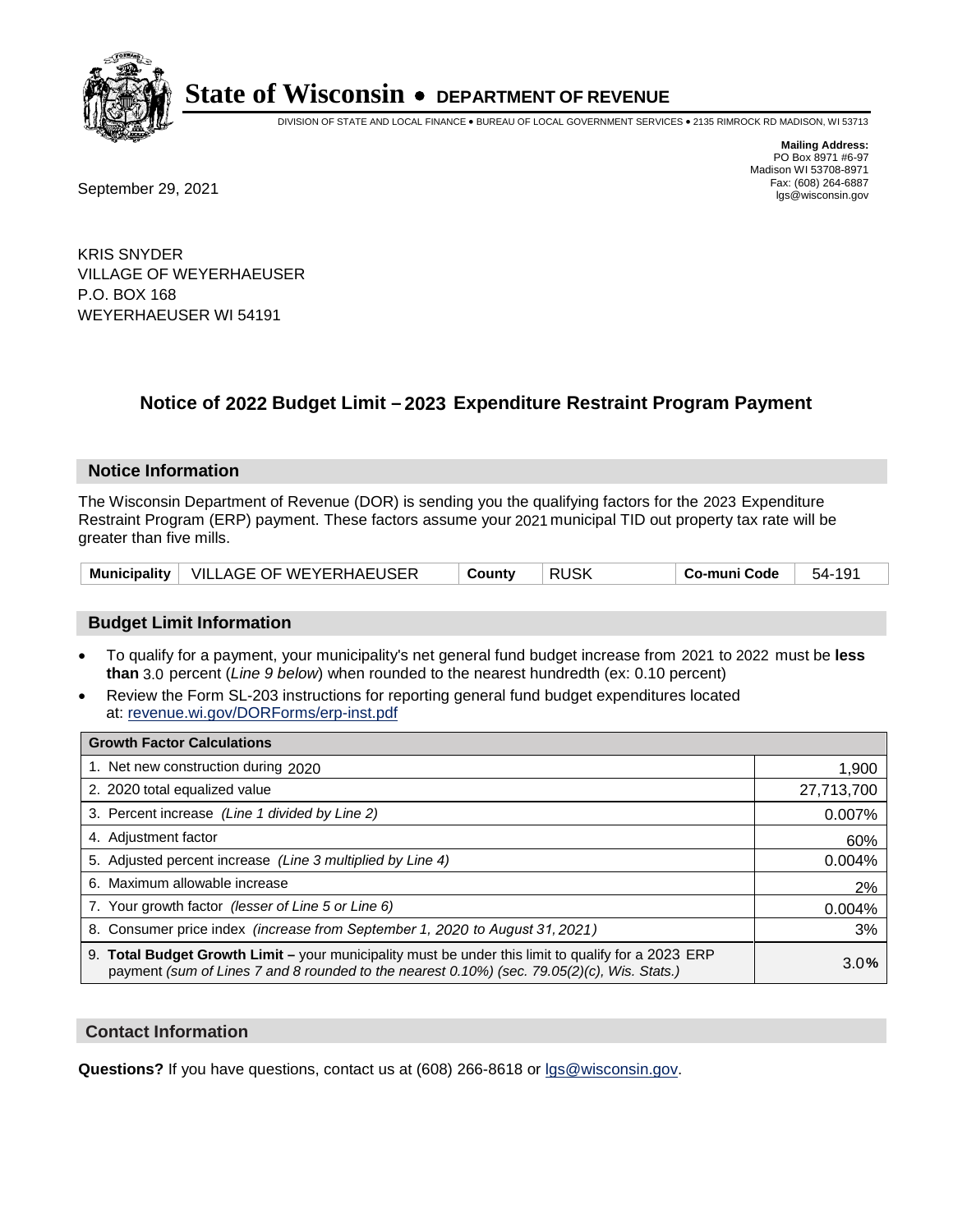

DIVISION OF STATE AND LOCAL FINANCE • BUREAU OF LOCAL GOVERNMENT SERVICES • 2135 RIMROCK RD MADISON, WI 53713

Fax: (608) 264-6887<br>
September 29, 2021 and the state of the state of the state of the state of the state of the state of the state of the state of the state of the state of the state of the state of the state of the state

**Mailing Address:** PO Box 8971 #6-97 Madison WI 53708-8971<br>Fax: (608) 264-6887

KRIS SNYDER VILLAGE OF WEYERHAEUSER P.O. BOX 168 WEYERHAEUSER WI 54191

### **Notice of 2022 Budget Limit - 2023 Expenditure Restraint Program Payment**

#### **Notice Information**

The Wisconsin Department of Revenue (DOR) is sending you the qualifying factors for the 2023 Expenditure Restraint Program (ERP) payment. These factors assume your 2021 municipal TID out property tax rate will be greater than five mills.

| Municipality   VILLAGE OF WEYERHAEUSER | County | <b>RUSK</b> | Co-muni Code | 54-191 |
|----------------------------------------|--------|-------------|--------------|--------|
|----------------------------------------|--------|-------------|--------------|--------|

#### **Budget Limit Information**

- To qualify for a payment, your municipality's net general fund budget increase from 2021 to 2022 must be less **than** 3.0 percent (*Line 9 below*) when rounded to the nearest hundredth (ex: 0.10 percent)
- Review the Form SL-203 instructions for reporting general fund budget expenditures located at: revenue.wi.gov/DORForms/erp-inst.pdf

| <b>Growth Factor Calculations</b>                                                                                                                                                                  |            |
|----------------------------------------------------------------------------------------------------------------------------------------------------------------------------------------------------|------------|
| 1. Net new construction during 2020                                                                                                                                                                | 1,900      |
| 2. 2020 total equalized value                                                                                                                                                                      | 27,713,700 |
| 3. Percent increase (Line 1 divided by Line 2)                                                                                                                                                     | 0.007%     |
| 4. Adjustment factor                                                                                                                                                                               | 60%        |
| 5. Adjusted percent increase (Line 3 multiplied by Line 4)                                                                                                                                         | 0.004%     |
| 6. Maximum allowable increase                                                                                                                                                                      | 2%         |
| 7. Your growth factor (lesser of Line 5 or Line 6)                                                                                                                                                 | 0.004%     |
| 8. Consumer price index (increase from September 1, 2020 to August 31, 2021)                                                                                                                       | 3%         |
| 9. Total Budget Growth Limit - your municipality must be under this limit to qualify for a 2023 ERP<br>payment (sum of Lines 7 and 8 rounded to the nearest 0.10%) (sec. 79.05(2)(c), Wis. Stats.) | 3.0%       |

#### **Contact Information**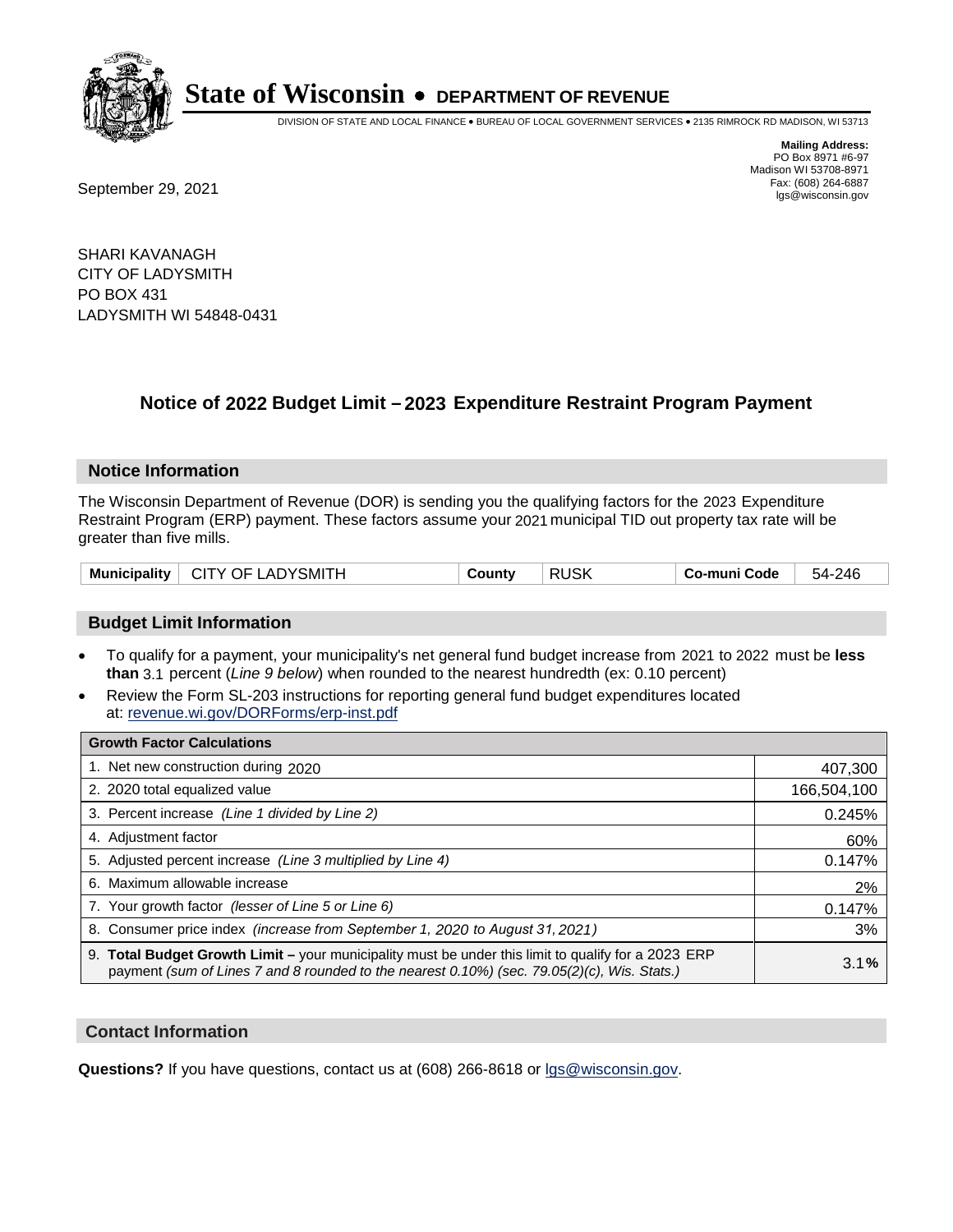

DIVISION OF STATE AND LOCAL FINANCE • BUREAU OF LOCAL GOVERNMENT SERVICES • 2135 RIMROCK RD MADISON, WI 53713

Fax: (608) 264-6887<br>
September 29, 2021 and the state of the state of the state of the state of the state of the state of the state of the state of the state of the state of the state of the state of the state of the state

**Mailing Address:** PO Box 8971 #6-97 Madison WI 53708-8971<br>Fax: (608) 264-6887

SHARI KAVANAGH CITY OF LADYSMITH PO BOX 431 LADYSMITH WI 54848-0431

### **Notice of 2022 Budget Limit - 2023 Expenditure Restraint Program Payment**

#### **Notice Information**

The Wisconsin Department of Revenue (DOR) is sending you the qualifying factors for the 2023 Expenditure Restraint Program (ERP) payment. These factors assume your 2021 municipal TID out property tax rate will be greater than five mills.

| Municipality | ∣ CITY OF LADYSMITH | County | <b>RUSK</b> | Co-muni Code | 54-246 |
|--------------|---------------------|--------|-------------|--------------|--------|
|--------------|---------------------|--------|-------------|--------------|--------|

#### **Budget Limit Information**

- To qualify for a payment, your municipality's net general fund budget increase from 2021 to 2022 must be less **than** 3.1 percent (*Line 9 below*) when rounded to the nearest hundredth (ex: 0.10 percent)
- Review the Form SL-203 instructions for reporting general fund budget expenditures located at: revenue.wi.gov/DORForms/erp-inst.pdf

| <b>Growth Factor Calculations</b>                                                                                                                                                                  |             |
|----------------------------------------------------------------------------------------------------------------------------------------------------------------------------------------------------|-------------|
| 1. Net new construction during 2020                                                                                                                                                                | 407,300     |
| 2. 2020 total equalized value                                                                                                                                                                      | 166,504,100 |
| 3. Percent increase (Line 1 divided by Line 2)                                                                                                                                                     | 0.245%      |
| 4. Adjustment factor                                                                                                                                                                               | 60%         |
| 5. Adjusted percent increase (Line 3 multiplied by Line 4)                                                                                                                                         | 0.147%      |
| 6. Maximum allowable increase                                                                                                                                                                      | 2%          |
| 7. Your growth factor (lesser of Line 5 or Line 6)                                                                                                                                                 | 0.147%      |
| 8. Consumer price index (increase from September 1, 2020 to August 31, 2021)                                                                                                                       | 3%          |
| 9. Total Budget Growth Limit – your municipality must be under this limit to qualify for a 2023 ERP<br>payment (sum of Lines 7 and 8 rounded to the nearest 0.10%) (sec. 79.05(2)(c), Wis. Stats.) | 3.1%        |

#### **Contact Information**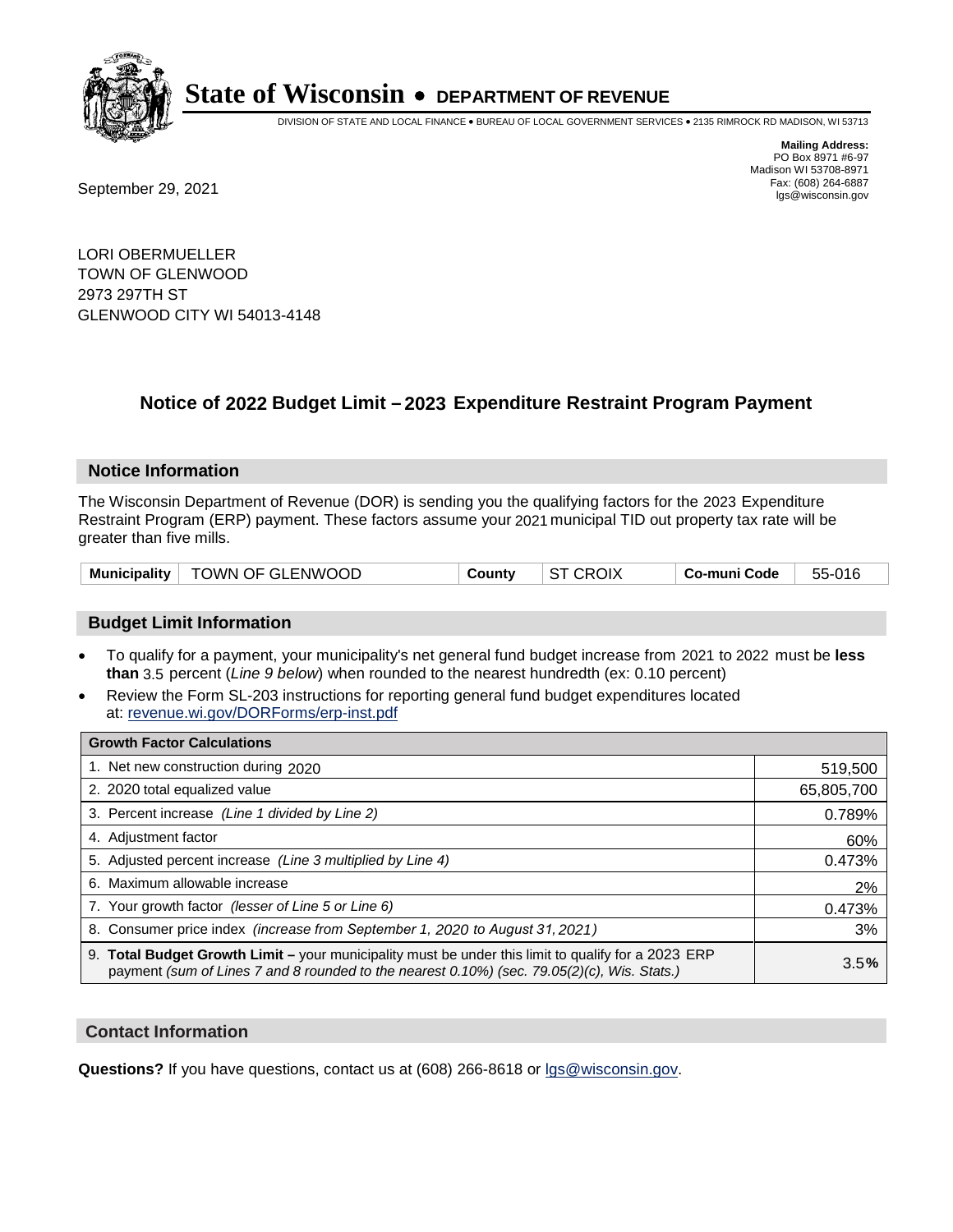

DIVISION OF STATE AND LOCAL FINANCE • BUREAU OF LOCAL GOVERNMENT SERVICES • 2135 RIMROCK RD MADISON, WI 53713

Fax: (608) 264-6887<br>
September 29, 2021 and the state of the state of the state of the state of the state of the state of the state of the state of the state of the state of the state of the state of the state of the state

**Mailing Address:** PO Box 8971 #6-97 Madison WI 53708-8971<br>Fax: (608) 264-6887

LORI OBERMUELLER TOWN OF GLENWOOD 2973 297TH ST GLENWOOD CITY WI 54013-4148

### **Notice of 2022 Budget Limit - 2023 Expenditure Restraint Program Payment**

#### **Notice Information**

The Wisconsin Department of Revenue (DOR) is sending you the qualifying factors for the 2023 Expenditure Restraint Program (ERP) payment. These factors assume your 2021 municipal TID out property tax rate will be greater than five mills.

| Municipality   TOWN OF GLENWOOD | County | <b>ST CROIX</b> | Co-muni Code | 55-016 |
|---------------------------------|--------|-----------------|--------------|--------|
|---------------------------------|--------|-----------------|--------------|--------|

#### **Budget Limit Information**

- To qualify for a payment, your municipality's net general fund budget increase from 2021 to 2022 must be less **than** 3.5 percent (*Line 9 below*) when rounded to the nearest hundredth (ex: 0.10 percent)
- Review the Form SL-203 instructions for reporting general fund budget expenditures located at: revenue.wi.gov/DORForms/erp-inst.pdf

| <b>Growth Factor Calculations</b>                                                                                                                                                                  |            |
|----------------------------------------------------------------------------------------------------------------------------------------------------------------------------------------------------|------------|
| 1. Net new construction during 2020                                                                                                                                                                | 519,500    |
| 2. 2020 total equalized value                                                                                                                                                                      | 65,805,700 |
| 3. Percent increase (Line 1 divided by Line 2)                                                                                                                                                     | 0.789%     |
| 4. Adiustment factor                                                                                                                                                                               | 60%        |
| 5. Adjusted percent increase (Line 3 multiplied by Line 4)                                                                                                                                         | 0.473%     |
| 6. Maximum allowable increase                                                                                                                                                                      | 2%         |
| 7. Your growth factor (lesser of Line 5 or Line 6)                                                                                                                                                 | 0.473%     |
| 8. Consumer price index (increase from September 1, 2020 to August 31, 2021)                                                                                                                       | 3%         |
| 9. Total Budget Growth Limit - your municipality must be under this limit to qualify for a 2023 ERP<br>payment (sum of Lines 7 and 8 rounded to the nearest 0.10%) (sec. 79.05(2)(c), Wis. Stats.) | 3.5%       |

#### **Contact Information**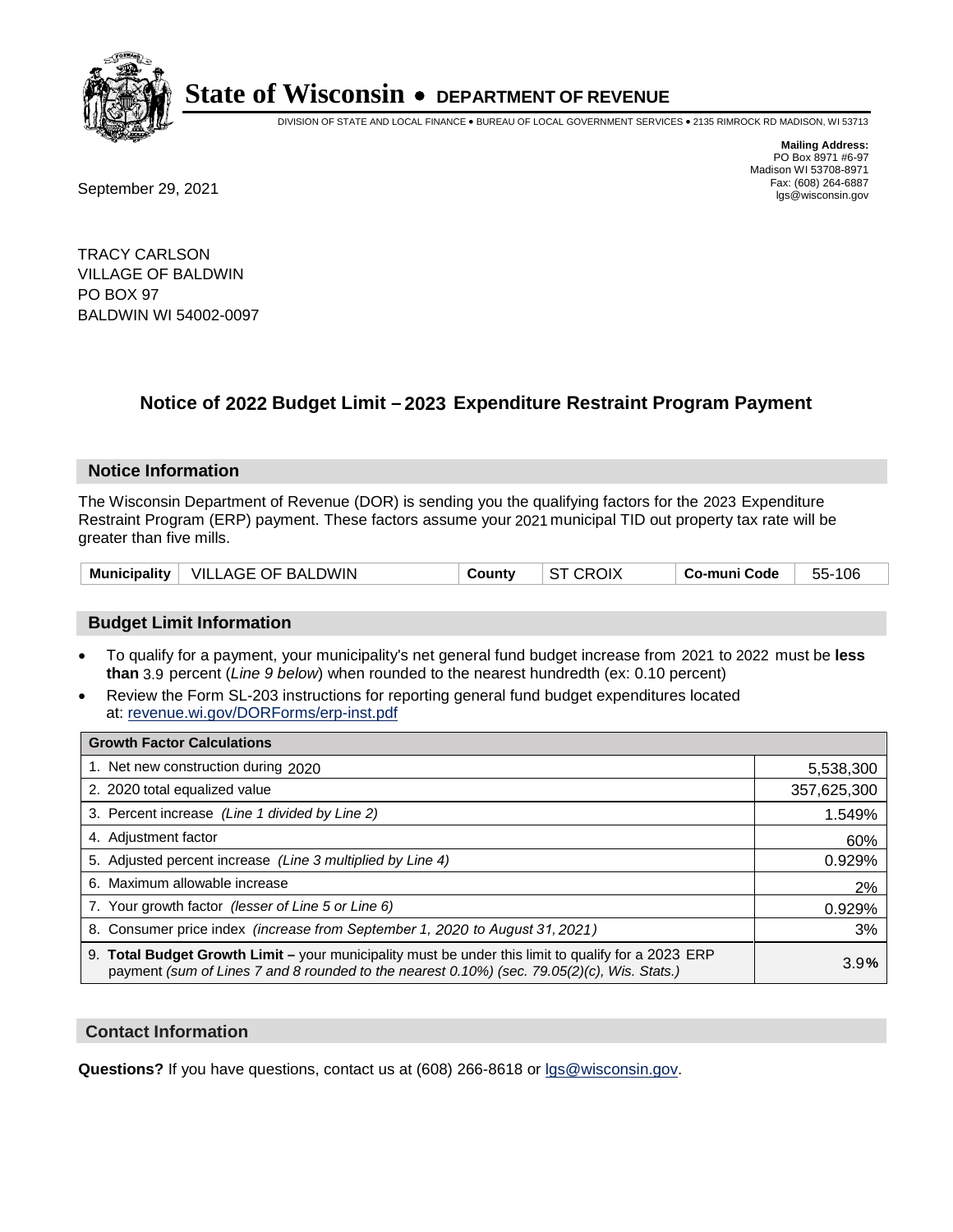

DIVISION OF STATE AND LOCAL FINANCE • BUREAU OF LOCAL GOVERNMENT SERVICES • 2135 RIMROCK RD MADISON, WI 53713

Fax: (608) 264-6887<br>
September 29, 2021 and the state of the state of the state of the state of the state of the state of the state of the state of the state of the state of the state of the state of the state of the state

**Mailing Address:** PO Box 8971 #6-97 Madison WI 53708-8971<br>Fax: (608) 264-6887

TRACY CARLSON VILLAGE OF BALDWIN PO BOX 97 BALDWIN WI 54002-0097

### **Notice of 2022 Budget Limit - 2023 Expenditure Restraint Program Payment**

#### **Notice Information**

The Wisconsin Department of Revenue (DOR) is sending you the qualifying factors for the 2023 Expenditure Restraint Program (ERP) payment. These factors assume your 2021 municipal TID out property tax rate will be greater than five mills.

#### **Budget Limit Information**

- To qualify for a payment, your municipality's net general fund budget increase from 2021 to 2022 must be less **than** 3.9 percent (*Line 9 below*) when rounded to the nearest hundredth (ex: 0.10 percent)
- Review the Form SL-203 instructions for reporting general fund budget expenditures located at: revenue.wi.gov/DORForms/erp-inst.pdf

| <b>Growth Factor Calculations</b>                                                                                                                                                                  |             |
|----------------------------------------------------------------------------------------------------------------------------------------------------------------------------------------------------|-------------|
| 1. Net new construction during 2020                                                                                                                                                                | 5,538,300   |
| 2. 2020 total equalized value                                                                                                                                                                      | 357,625,300 |
| 3. Percent increase (Line 1 divided by Line 2)                                                                                                                                                     | 1.549%      |
| 4. Adjustment factor                                                                                                                                                                               | 60%         |
| 5. Adjusted percent increase (Line 3 multiplied by Line 4)                                                                                                                                         | 0.929%      |
| 6. Maximum allowable increase                                                                                                                                                                      | 2%          |
| 7. Your growth factor (lesser of Line 5 or Line 6)                                                                                                                                                 | 0.929%      |
| 8. Consumer price index (increase from September 1, 2020 to August 31, 2021)                                                                                                                       | 3%          |
| 9. Total Budget Growth Limit - your municipality must be under this limit to qualify for a 2023 ERP<br>payment (sum of Lines 7 and 8 rounded to the nearest 0.10%) (sec. 79.05(2)(c), Wis. Stats.) | 3.9%        |

#### **Contact Information**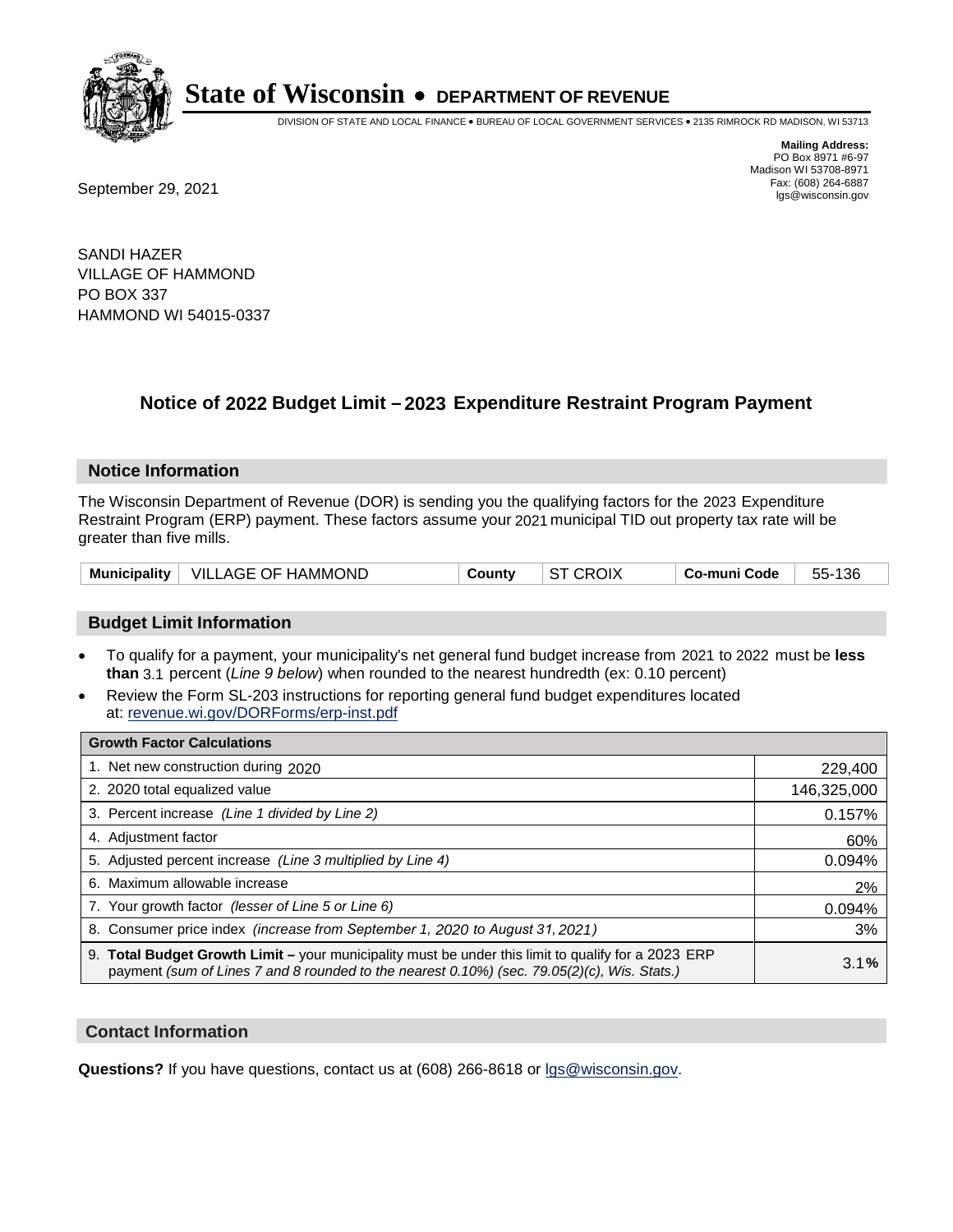

DIVISION OF STATE AND LOCAL FINANCE • BUREAU OF LOCAL GOVERNMENT SERVICES • 2135 RIMROCK RD MADISON, WI 53713

**Mailing Address:** PO Box 8971 #6-97 Madison WI 53708-8971<br>Fax: (608) 264-6887 Fax: (608) 264-6887<br>
September 29, 2021 and the state of the state of the state of the state of the state of the state of the state of the state of the state of the state of the state of the state of the state of the state

SANDI HAZER VILLAGE OF HAMMOND PO BOX 337 HAMMOND WI 54015-0337

### **Notice of 2022 Budget Limit - 2023 Expenditure Restraint Program Payment**

#### **Notice Information**

The Wisconsin Department of Revenue (DOR) is sending you the qualifying factors for the 2023 Expenditure Restraint Program (ERP) payment. These factors assume your 2021 municipal TID out property tax rate will be greater than five mills.

| <b>Municipality</b> | VILLAGE OF HAMMOND | County | <b>CROIX</b> | Co-muni Code | 136<br>55- |
|---------------------|--------------------|--------|--------------|--------------|------------|
|---------------------|--------------------|--------|--------------|--------------|------------|

#### **Budget Limit Information**

- To qualify for a payment, your municipality's net general fund budget increase from 2021 to 2022 must be less **than** 3.1 percent (*Line 9 below*) when rounded to the nearest hundredth (ex: 0.10 percent)
- Review the Form SL-203 instructions for reporting general fund budget expenditures located at: revenue.wi.gov/DORForms/erp-inst.pdf

| <b>Growth Factor Calculations</b>                                                                                                                                                                      |             |
|--------------------------------------------------------------------------------------------------------------------------------------------------------------------------------------------------------|-------------|
| 1. Net new construction during 2020                                                                                                                                                                    | 229,400     |
| 2. 2020 total equalized value                                                                                                                                                                          | 146,325,000 |
| 3. Percent increase (Line 1 divided by Line 2)                                                                                                                                                         | 0.157%      |
| 4. Adiustment factor                                                                                                                                                                                   | 60%         |
| 5. Adjusted percent increase (Line 3 multiplied by Line 4)                                                                                                                                             | 0.094%      |
| 6. Maximum allowable increase                                                                                                                                                                          | 2%          |
| 7. Your growth factor (lesser of Line 5 or Line 6)                                                                                                                                                     | 0.094%      |
| 8. Consumer price index (increase from September 1, 2020 to August 31, 2021)                                                                                                                           | 3%          |
| 9. Total Budget Growth Limit - your municipality must be under this limit to qualify for a 2023 ERP<br>payment (sum of Lines 7 and 8 rounded to the nearest $0.10\%$ ) (sec. 79.05(2)(c), Wis. Stats.) | 3.1%        |

#### **Contact Information**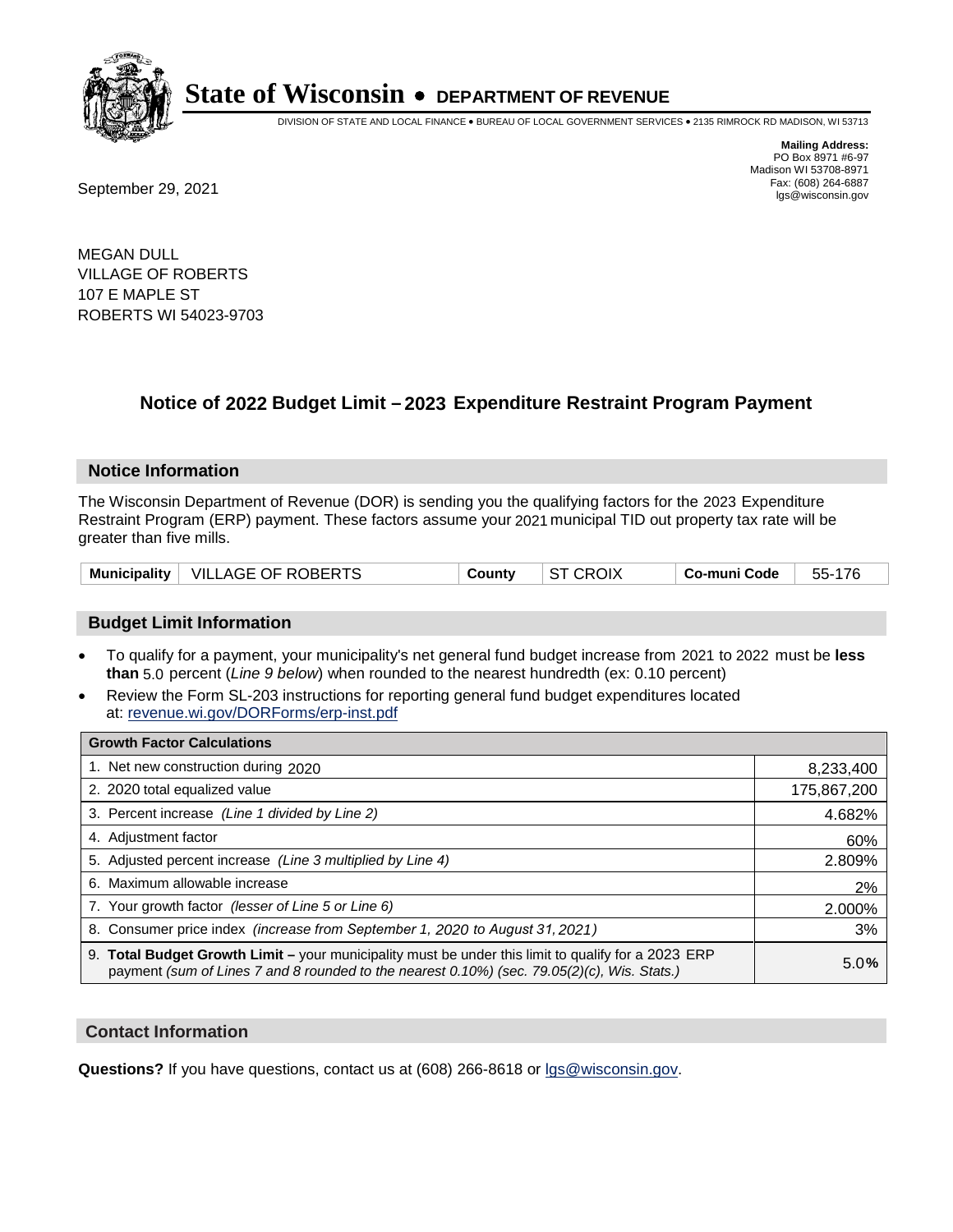

DIVISION OF STATE AND LOCAL FINANCE • BUREAU OF LOCAL GOVERNMENT SERVICES • 2135 RIMROCK RD MADISON, WI 53713

**Mailing Address:** PO Box 8971 #6-97 Madison WI 53708-8971<br>Fax: (608) 264-6887 Fax: (608) 264-6887<br>
September 29, 2021 and the state of the state of the state of the state of the state of the state of the state of the state of the state of the state of the state of the state of the state of the state

MEGAN DULL VILLAGE OF ROBERTS 107 E MAPLE ST ROBERTS WI 54023-9703

### **Notice of 2022 Budget Limit - 2023 Expenditure Restraint Program Payment**

#### **Notice Information**

The Wisconsin Department of Revenue (DOR) is sending you the qualifying factors for the 2023 Expenditure Restraint Program (ERP) payment. These factors assume your 2021 municipal TID out property tax rate will be greater than five mills.

| Municipality   VILLAGE OF ROBERTS |  | County | <b>ST CROIX</b> | Co-muni Code | 55-176 |
|-----------------------------------|--|--------|-----------------|--------------|--------|
|-----------------------------------|--|--------|-----------------|--------------|--------|

#### **Budget Limit Information**

- To qualify for a payment, your municipality's net general fund budget increase from 2021 to 2022 must be less **than** 5.0 percent (*Line 9 below*) when rounded to the nearest hundredth (ex: 0.10 percent)
- Review the Form SL-203 instructions for reporting general fund budget expenditures located at: revenue.wi.gov/DORForms/erp-inst.pdf

| <b>Growth Factor Calculations</b>                                                                                                                                                                      |             |
|--------------------------------------------------------------------------------------------------------------------------------------------------------------------------------------------------------|-------------|
| 1. Net new construction during 2020                                                                                                                                                                    | 8,233,400   |
| 2. 2020 total equalized value                                                                                                                                                                          | 175,867,200 |
| 3. Percent increase (Line 1 divided by Line 2)                                                                                                                                                         | 4.682%      |
| 4. Adiustment factor                                                                                                                                                                                   | 60%         |
| 5. Adjusted percent increase (Line 3 multiplied by Line 4)                                                                                                                                             | 2.809%      |
| 6. Maximum allowable increase                                                                                                                                                                          | 2%          |
| 7. Your growth factor (lesser of Line 5 or Line 6)                                                                                                                                                     | 2.000%      |
| 8. Consumer price index (increase from September 1, 2020 to August 31, 2021)                                                                                                                           | 3%          |
| 9. Total Budget Growth Limit - your municipality must be under this limit to qualify for a 2023 ERP<br>payment (sum of Lines 7 and 8 rounded to the nearest $0.10\%$ ) (sec. 79.05(2)(c), Wis. Stats.) | 5.0%        |

#### **Contact Information**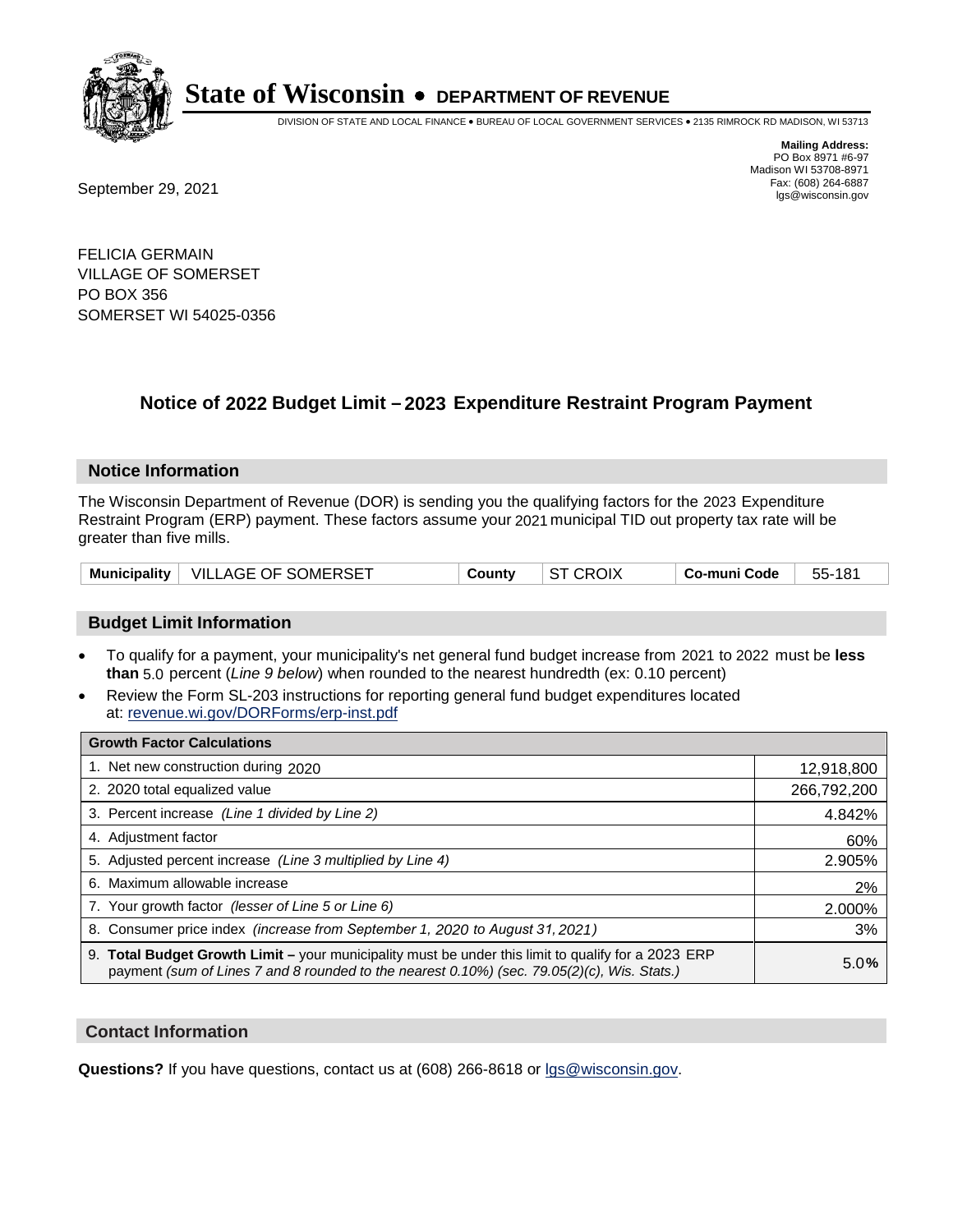

DIVISION OF STATE AND LOCAL FINANCE • BUREAU OF LOCAL GOVERNMENT SERVICES • 2135 RIMROCK RD MADISON, WI 53713

Fax: (608) 264-6887<br>
September 29, 2021 and the state of the state of the state of the state of the state of the state of the state of the state of the state of the state of the state of the state of the state of the state

**Mailing Address:** PO Box 8971 #6-97 Madison WI 53708-8971<br>Fax: (608) 264-6887

FELICIA GERMAIN VILLAGE OF SOMERSET PO BOX 356 SOMERSET WI 54025-0356

### **Notice of 2022 Budget Limit - 2023 Expenditure Restraint Program Payment**

#### **Notice Information**

The Wisconsin Department of Revenue (DOR) is sending you the qualifying factors for the 2023 Expenditure Restraint Program (ERP) payment. These factors assume your 2021 municipal TID out property tax rate will be greater than five mills.

| Municipality $ $ | VILLAGE OF SOMERSET | County | OIX | co-muni Code، | 55- |
|------------------|---------------------|--------|-----|---------------|-----|
|------------------|---------------------|--------|-----|---------------|-----|

#### **Budget Limit Information**

- To qualify for a payment, your municipality's net general fund budget increase from 2021 to 2022 must be less **than** 5.0 percent (*Line 9 below*) when rounded to the nearest hundredth (ex: 0.10 percent)
- Review the Form SL-203 instructions for reporting general fund budget expenditures located at: revenue.wi.gov/DORForms/erp-inst.pdf

| <b>Growth Factor Calculations</b>                                                                                                                                                                  |             |
|----------------------------------------------------------------------------------------------------------------------------------------------------------------------------------------------------|-------------|
| 1. Net new construction during 2020                                                                                                                                                                | 12,918,800  |
| 2. 2020 total equalized value                                                                                                                                                                      | 266,792,200 |
| 3. Percent increase (Line 1 divided by Line 2)                                                                                                                                                     | 4.842%      |
| 4. Adiustment factor                                                                                                                                                                               | 60%         |
| 5. Adjusted percent increase (Line 3 multiplied by Line 4)                                                                                                                                         | 2.905%      |
| 6. Maximum allowable increase                                                                                                                                                                      | 2%          |
| 7. Your growth factor (lesser of Line 5 or Line 6)                                                                                                                                                 | 2.000%      |
| 8. Consumer price index (increase from September 1, 2020 to August 31, 2021)                                                                                                                       | 3%          |
| 9. Total Budget Growth Limit - your municipality must be under this limit to qualify for a 2023 ERP<br>payment (sum of Lines 7 and 8 rounded to the nearest 0.10%) (sec. 79.05(2)(c), Wis. Stats.) | 5.0%        |

#### **Contact Information**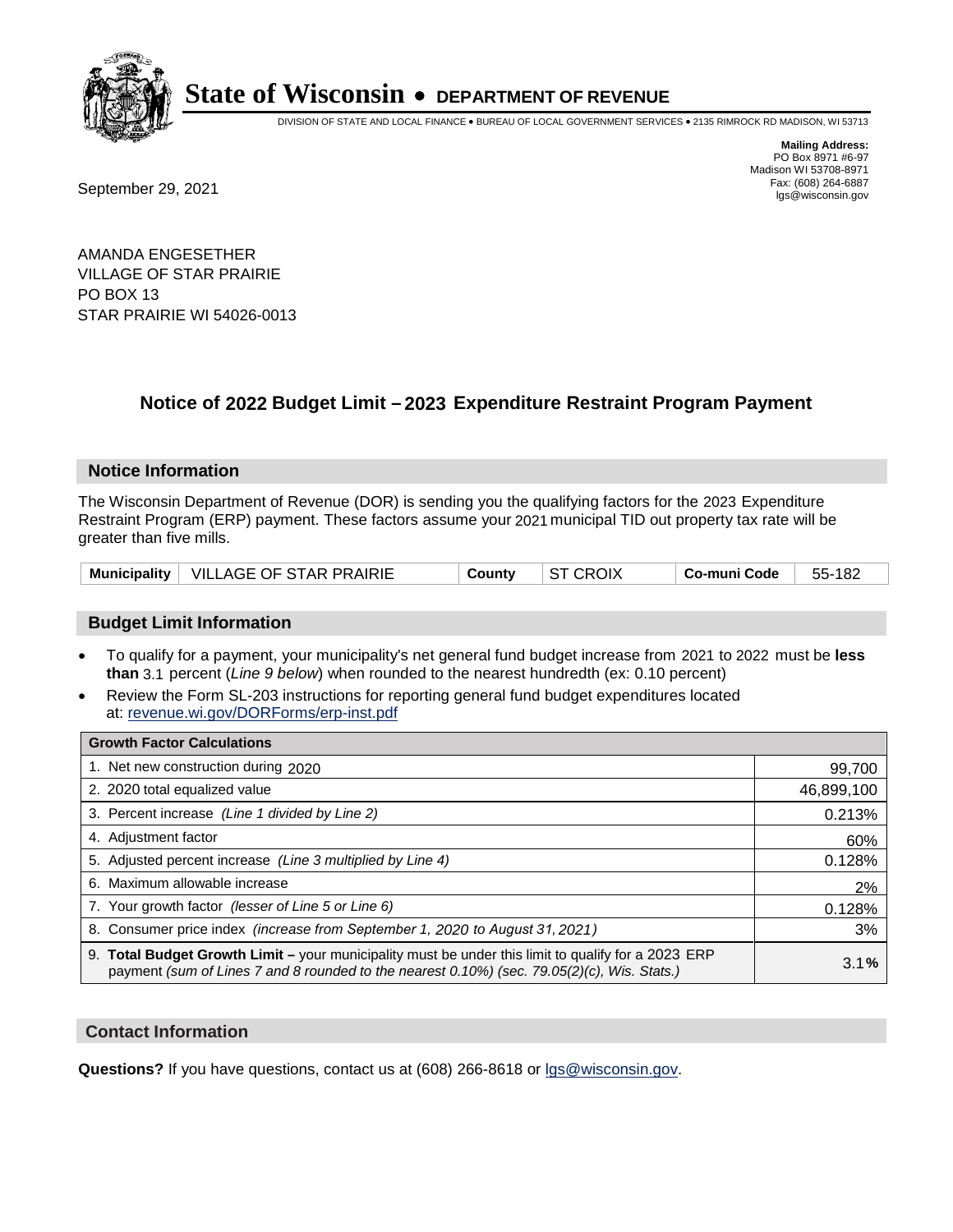

DIVISION OF STATE AND LOCAL FINANCE • BUREAU OF LOCAL GOVERNMENT SERVICES • 2135 RIMROCK RD MADISON, WI 53713

Fax: (608) 264-6887<br>
September 29, 2021 and the state of the state of the state of the state of the state of the state of the state of the state of the state of the state of the state of the state of the state of the state

**Mailing Address:** PO Box 8971 #6-97 Madison WI 53708-8971<br>Fax: (608) 264-6887

AMANDA ENGESETHER VILLAGE OF STAR PRAIRIE PO BOX 13 STAR PRAIRIE WI 54026-0013

### **Notice of 2022 Budget Limit - 2023 Expenditure Restraint Program Payment**

#### **Notice Information**

The Wisconsin Department of Revenue (DOR) is sending you the qualifying factors for the 2023 Expenditure Restraint Program (ERP) payment. These factors assume your 2021 municipal TID out property tax rate will be greater than five mills.

#### **Budget Limit Information**

- To qualify for a payment, your municipality's net general fund budget increase from 2021 to 2022 must be less **than** 3.1 percent (*Line 9 below*) when rounded to the nearest hundredth (ex: 0.10 percent)
- Review the Form SL-203 instructions for reporting general fund budget expenditures located at: revenue.wi.gov/DORForms/erp-inst.pdf

| <b>Growth Factor Calculations</b>                                                                                                                                                                  |            |
|----------------------------------------------------------------------------------------------------------------------------------------------------------------------------------------------------|------------|
| 1. Net new construction during 2020                                                                                                                                                                | 99,700     |
| 2. 2020 total equalized value                                                                                                                                                                      | 46,899,100 |
| 3. Percent increase (Line 1 divided by Line 2)                                                                                                                                                     | 0.213%     |
| 4. Adiustment factor                                                                                                                                                                               | 60%        |
| 5. Adjusted percent increase (Line 3 multiplied by Line 4)                                                                                                                                         | 0.128%     |
| 6. Maximum allowable increase                                                                                                                                                                      | 2%         |
| 7. Your growth factor (lesser of Line 5 or Line 6)                                                                                                                                                 | 0.128%     |
| 8. Consumer price index (increase from September 1, 2020 to August 31, 2021)                                                                                                                       | 3%         |
| 9. Total Budget Growth Limit - your municipality must be under this limit to qualify for a 2023 ERP<br>payment (sum of Lines 7 and 8 rounded to the nearest 0.10%) (sec. 79.05(2)(c), Wis. Stats.) | 3.1%       |

#### **Contact Information**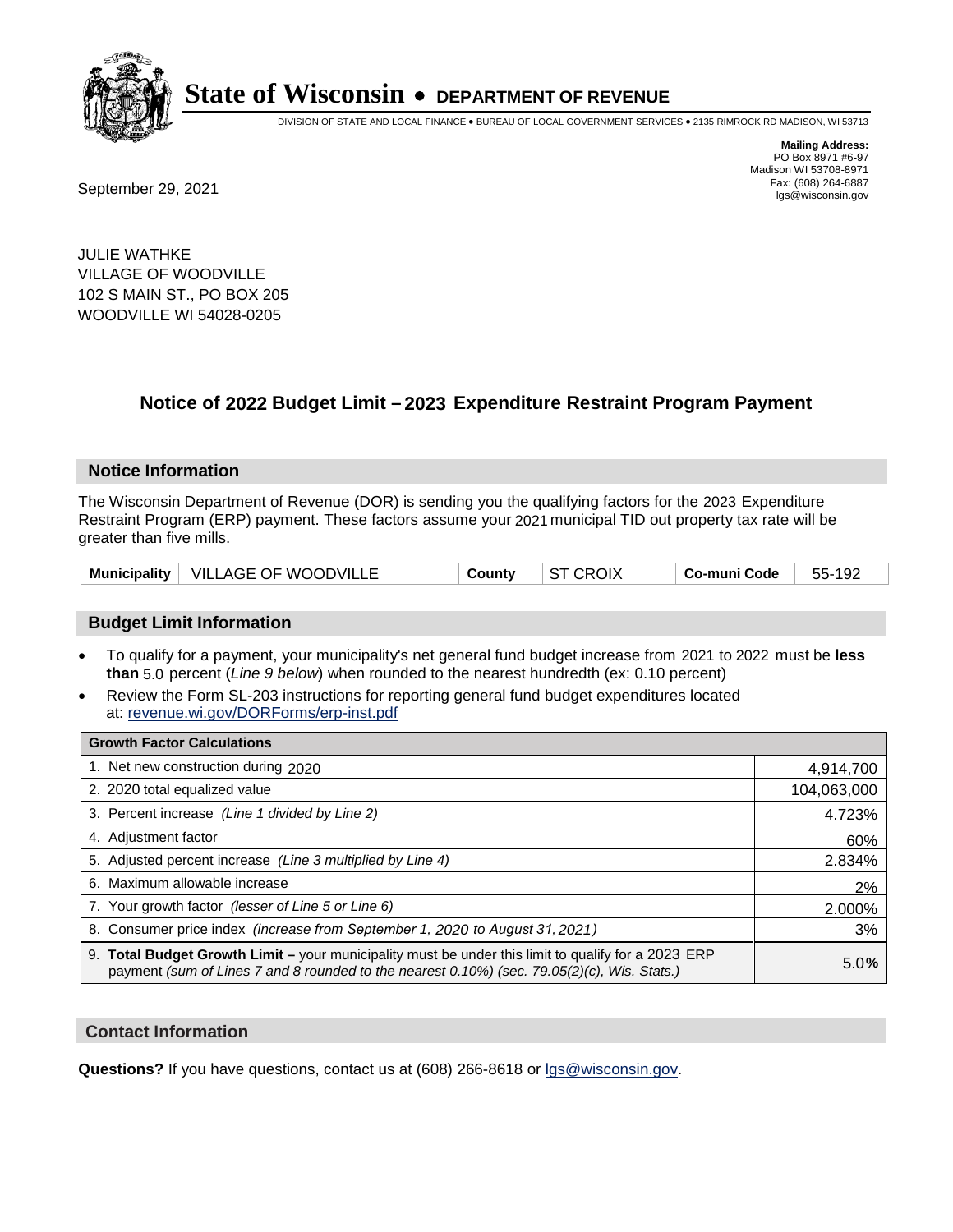

DIVISION OF STATE AND LOCAL FINANCE • BUREAU OF LOCAL GOVERNMENT SERVICES • 2135 RIMROCK RD MADISON, WI 53713

Fax: (608) 264-6887<br>
September 29, 2021 and the state of the state of the state of the state of the state of the state of the state of the state of the state of the state of the state of the state of the state of the state

**Mailing Address:** PO Box 8971 #6-97 Madison WI 53708-8971<br>Fax: (608) 264-6887

JULIE WATHKE VILLAGE OF WOODVILLE 102 S MAIN ST., PO BOX 205 WOODVILLE WI 54028-0205

### **Notice of 2022 Budget Limit - 2023 Expenditure Restraint Program Payment**

#### **Notice Information**

The Wisconsin Department of Revenue (DOR) is sending you the qualifying factors for the 2023 Expenditure Restraint Program (ERP) payment. These factors assume your 2021 municipal TID out property tax rate will be greater than five mills.

|  | Municipality   VILLAGE OF WOODVILLE | Countv | $\vert$ ST CROIX | Co-muni Code | 55-192 |
|--|-------------------------------------|--------|------------------|--------------|--------|
|--|-------------------------------------|--------|------------------|--------------|--------|

#### **Budget Limit Information**

- To qualify for a payment, your municipality's net general fund budget increase from 2021 to 2022 must be less **than** 5.0 percent (*Line 9 below*) when rounded to the nearest hundredth (ex: 0.10 percent)
- Review the Form SL-203 instructions for reporting general fund budget expenditures located at: revenue.wi.gov/DORForms/erp-inst.pdf

| <b>Growth Factor Calculations</b>                                                                                                                                                                  |             |
|----------------------------------------------------------------------------------------------------------------------------------------------------------------------------------------------------|-------------|
| 1. Net new construction during 2020                                                                                                                                                                | 4,914,700   |
| 2. 2020 total equalized value                                                                                                                                                                      | 104,063,000 |
| 3. Percent increase (Line 1 divided by Line 2)                                                                                                                                                     | 4.723%      |
| 4. Adjustment factor                                                                                                                                                                               | 60%         |
| 5. Adjusted percent increase (Line 3 multiplied by Line 4)                                                                                                                                         | 2.834%      |
| 6. Maximum allowable increase                                                                                                                                                                      | 2%          |
| 7. Your growth factor (lesser of Line 5 or Line 6)                                                                                                                                                 | 2.000%      |
| 8. Consumer price index (increase from September 1, 2020 to August 31, 2021)                                                                                                                       | 3%          |
| 9. Total Budget Growth Limit - your municipality must be under this limit to qualify for a 2023 ERP<br>payment (sum of Lines 7 and 8 rounded to the nearest 0.10%) (sec. 79.05(2)(c), Wis. Stats.) | 5.0%        |

#### **Contact Information**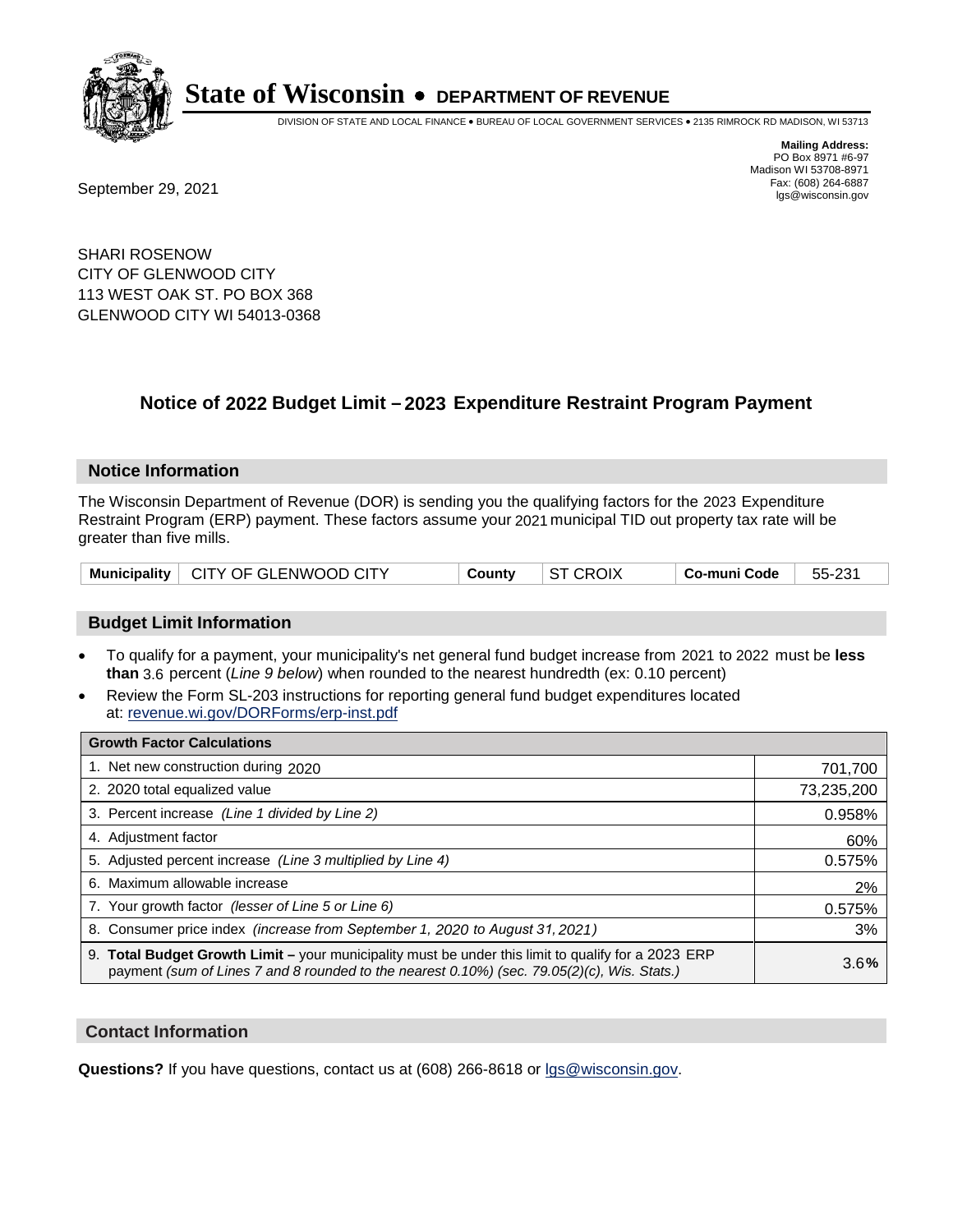

DIVISION OF STATE AND LOCAL FINANCE • BUREAU OF LOCAL GOVERNMENT SERVICES • 2135 RIMROCK RD MADISON, WI 53713

**Mailing Address:** PO Box 8971 #6-97 Madison WI 53708-8971<br>Fax: (608) 264-6887

Fax: (608) 264-6887<br>
September 29, 2021 and the state of the state of the state of the state of the state of the state of the state of the state of the state of the state of the state of the state of the state of the state

SHARI ROSENOW CITY OF GLENWOOD CITY 113 WEST OAK ST. PO BOX 368 GLENWOOD CITY WI 54013-0368

### **Notice of 2022 Budget Limit - 2023 Expenditure Restraint Program Payment**

#### **Notice Information**

The Wisconsin Department of Revenue (DOR) is sending you the qualifying factors for the 2023 Expenditure Restraint Program (ERP) payment. These factors assume your 2021 municipal TID out property tax rate will be greater than five mills.

|  | Municipality   CITY OF GLENWOOD CITY | County | <b>ST CROIX</b> | Co-muni Code | 55-231 |
|--|--------------------------------------|--------|-----------------|--------------|--------|
|--|--------------------------------------|--------|-----------------|--------------|--------|

#### **Budget Limit Information**

- To qualify for a payment, your municipality's net general fund budget increase from 2021 to 2022 must be less **than** 3.6 percent (*Line 9 below*) when rounded to the nearest hundredth (ex: 0.10 percent)
- Review the Form SL-203 instructions for reporting general fund budget expenditures located at: revenue.wi.gov/DORForms/erp-inst.pdf

| <b>Growth Factor Calculations</b>                                                                                                                                                                  |            |
|----------------------------------------------------------------------------------------------------------------------------------------------------------------------------------------------------|------------|
| 1. Net new construction during 2020                                                                                                                                                                | 701,700    |
| 2. 2020 total equalized value                                                                                                                                                                      | 73,235,200 |
| 3. Percent increase (Line 1 divided by Line 2)                                                                                                                                                     | 0.958%     |
| 4. Adjustment factor                                                                                                                                                                               | 60%        |
| 5. Adjusted percent increase (Line 3 multiplied by Line 4)                                                                                                                                         | 0.575%     |
| 6. Maximum allowable increase                                                                                                                                                                      | 2%         |
| 7. Your growth factor (lesser of Line 5 or Line 6)                                                                                                                                                 | 0.575%     |
| 8. Consumer price index (increase from September 1, 2020 to August 31, 2021)                                                                                                                       | 3%         |
| 9. Total Budget Growth Limit - your municipality must be under this limit to qualify for a 2023 ERP<br>payment (sum of Lines 7 and 8 rounded to the nearest 0.10%) (sec. 79.05(2)(c), Wis. Stats.) | 3.6%       |

#### **Contact Information**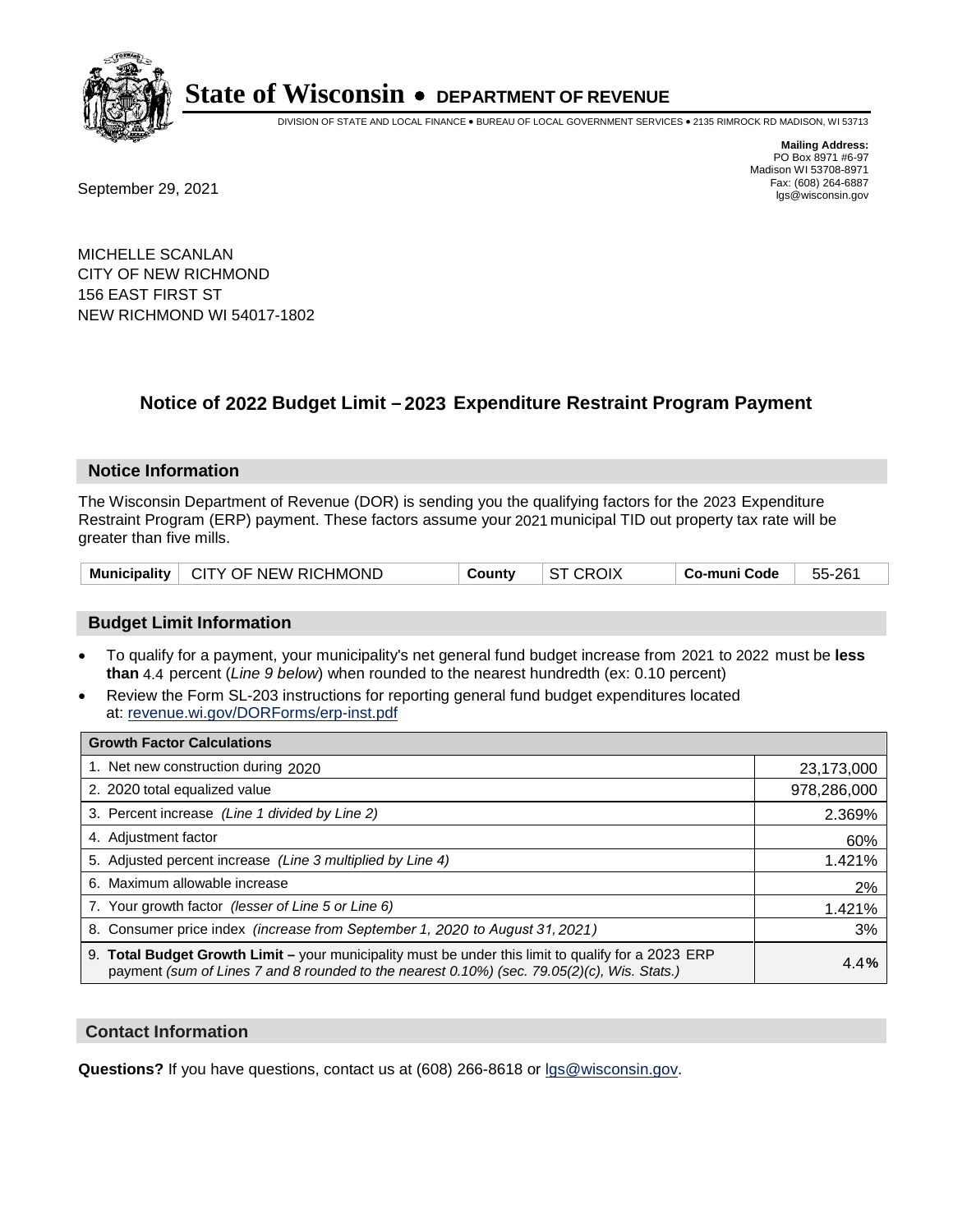

DIVISION OF STATE AND LOCAL FINANCE • BUREAU OF LOCAL GOVERNMENT SERVICES • 2135 RIMROCK RD MADISON, WI 53713

Fax: (608) 264-6887<br>
September 29, 2021 and the state of the state of the state of the state of the state of the state of the state of the state of the state of the state of the state of the state of the state of the state

**Mailing Address:** PO Box 8971 #6-97 Madison WI 53708-8971<br>Fax: (608) 264-6887

MICHELLE SCANLAN CITY OF NEW RICHMOND 156 EAST FIRST ST NEW RICHMOND WI 54017-1802

### **Notice of 2022 Budget Limit - 2023 Expenditure Restraint Program Payment**

#### **Notice Information**

The Wisconsin Department of Revenue (DOR) is sending you the qualifying factors for the 2023 Expenditure Restraint Program (ERP) payment. These factors assume your 2021 municipal TID out property tax rate will be greater than five mills.

| Municipality   CITY OF NEW RICHMOND | Countv | $\vert$ ST CROIX | Co-muni Code ∣ | 55-261 |
|-------------------------------------|--------|------------------|----------------|--------|
|-------------------------------------|--------|------------------|----------------|--------|

#### **Budget Limit Information**

- To qualify for a payment, your municipality's net general fund budget increase from 2021 to 2022 must be less **than** 4.4 percent (*Line 9 below*) when rounded to the nearest hundredth (ex: 0.10 percent)
- Review the Form SL-203 instructions for reporting general fund budget expenditures located at: revenue.wi.gov/DORForms/erp-inst.pdf

| <b>Growth Factor Calculations</b>                                                                                                                                                                  |             |
|----------------------------------------------------------------------------------------------------------------------------------------------------------------------------------------------------|-------------|
| 1. Net new construction during 2020                                                                                                                                                                | 23,173,000  |
| 2. 2020 total equalized value                                                                                                                                                                      | 978,286,000 |
| 3. Percent increase (Line 1 divided by Line 2)                                                                                                                                                     | 2.369%      |
| 4. Adiustment factor                                                                                                                                                                               | 60%         |
| 5. Adjusted percent increase (Line 3 multiplied by Line 4)                                                                                                                                         | 1.421%      |
| 6. Maximum allowable increase                                                                                                                                                                      | 2%          |
| 7. Your growth factor (lesser of Line 5 or Line 6)                                                                                                                                                 | 1.421%      |
| 8. Consumer price index (increase from September 1, 2020 to August 31, 2021)                                                                                                                       | 3%          |
| 9. Total Budget Growth Limit - your municipality must be under this limit to qualify for a 2023 ERP<br>payment (sum of Lines 7 and 8 rounded to the nearest 0.10%) (sec. 79.05(2)(c), Wis. Stats.) | 4.4%        |

#### **Contact Information**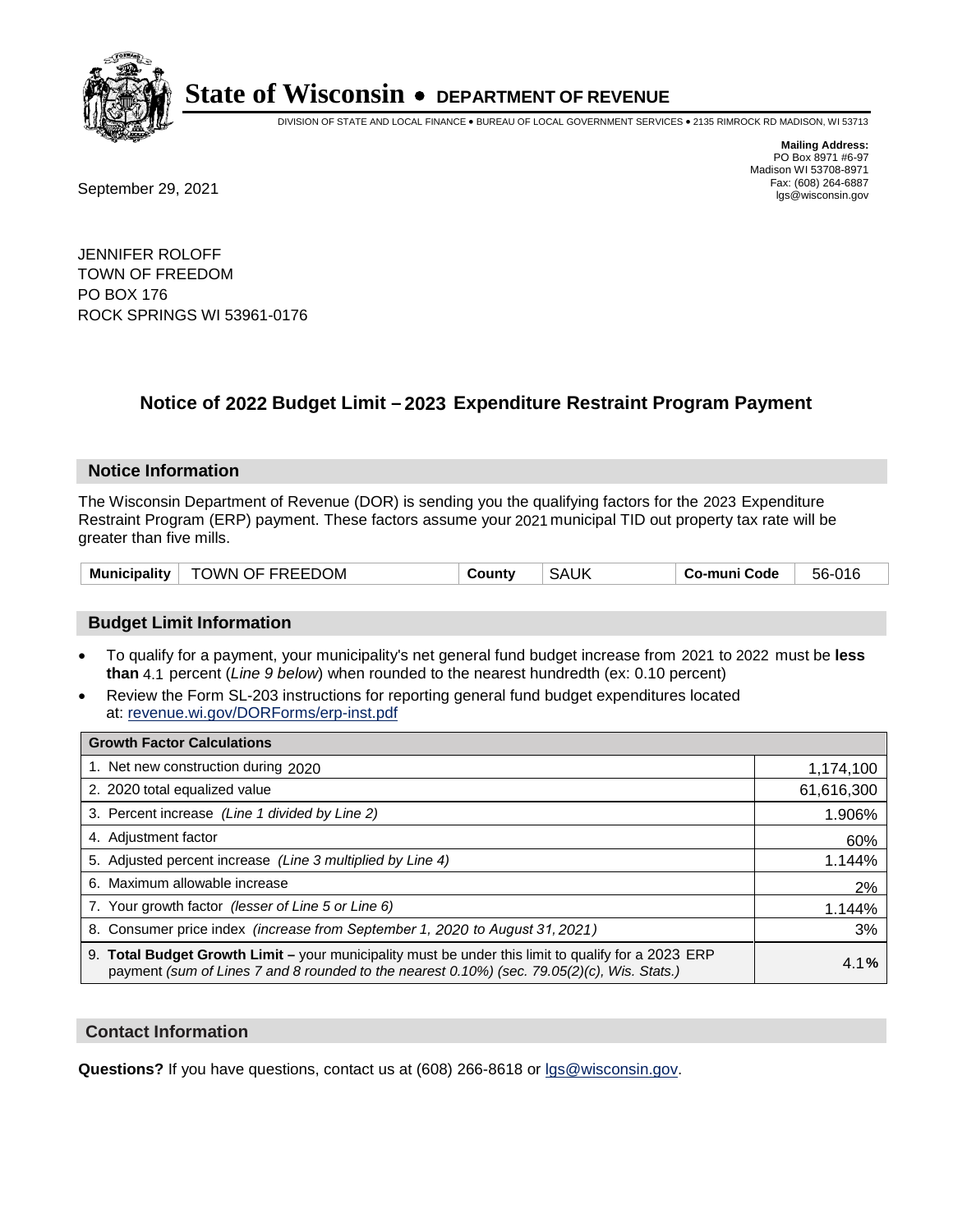

DIVISION OF STATE AND LOCAL FINANCE • BUREAU OF LOCAL GOVERNMENT SERVICES • 2135 RIMROCK RD MADISON, WI 53713

Fax: (608) 264-6887<br>
September 29, 2021 and the state of the state of the state of the state of the state of the state of the state of the state of the state of the state of the state of the state of the state of the state

**Mailing Address:** PO Box 8971 #6-97 Madison WI 53708-8971<br>Fax: (608) 264-6887

JENNIFER ROLOFF TOWN OF FREEDOM PO BOX 176 ROCK SPRINGS WI 53961-0176

### **Notice of 2022 Budget Limit - 2023 Expenditure Restraint Program Payment**

#### **Notice Information**

The Wisconsin Department of Revenue (DOR) is sending you the qualifying factors for the 2023 Expenditure Restraint Program (ERP) payment. These factors assume your 2021 municipal TID out property tax rate will be greater than five mills.

| TOWN OF FREEDOM<br><b>Municipality</b> | County | <b>SAUK</b> | Co-muni Code | 56-016 |
|----------------------------------------|--------|-------------|--------------|--------|
|----------------------------------------|--------|-------------|--------------|--------|

#### **Budget Limit Information**

- To qualify for a payment, your municipality's net general fund budget increase from 2021 to 2022 must be less **than** 4.1 percent (*Line 9 below*) when rounded to the nearest hundredth (ex: 0.10 percent)
- Review the Form SL-203 instructions for reporting general fund budget expenditures located at: revenue.wi.gov/DORForms/erp-inst.pdf

| <b>Growth Factor Calculations</b>                                                                                                                                                                  |            |
|----------------------------------------------------------------------------------------------------------------------------------------------------------------------------------------------------|------------|
| 1. Net new construction during 2020                                                                                                                                                                | 1,174,100  |
| 2. 2020 total equalized value                                                                                                                                                                      | 61,616,300 |
| 3. Percent increase (Line 1 divided by Line 2)                                                                                                                                                     | 1.906%     |
| 4. Adjustment factor                                                                                                                                                                               | 60%        |
| 5. Adjusted percent increase (Line 3 multiplied by Line 4)                                                                                                                                         | 1.144%     |
| 6. Maximum allowable increase                                                                                                                                                                      | 2%         |
| 7. Your growth factor (lesser of Line 5 or Line 6)                                                                                                                                                 | 1.144%     |
| 8. Consumer price index (increase from September 1, 2020 to August 31, 2021)                                                                                                                       | 3%         |
| 9. Total Budget Growth Limit - your municipality must be under this limit to qualify for a 2023 ERP<br>payment (sum of Lines 7 and 8 rounded to the nearest 0.10%) (sec. 79.05(2)(c), Wis. Stats.) | 4.1%       |

#### **Contact Information**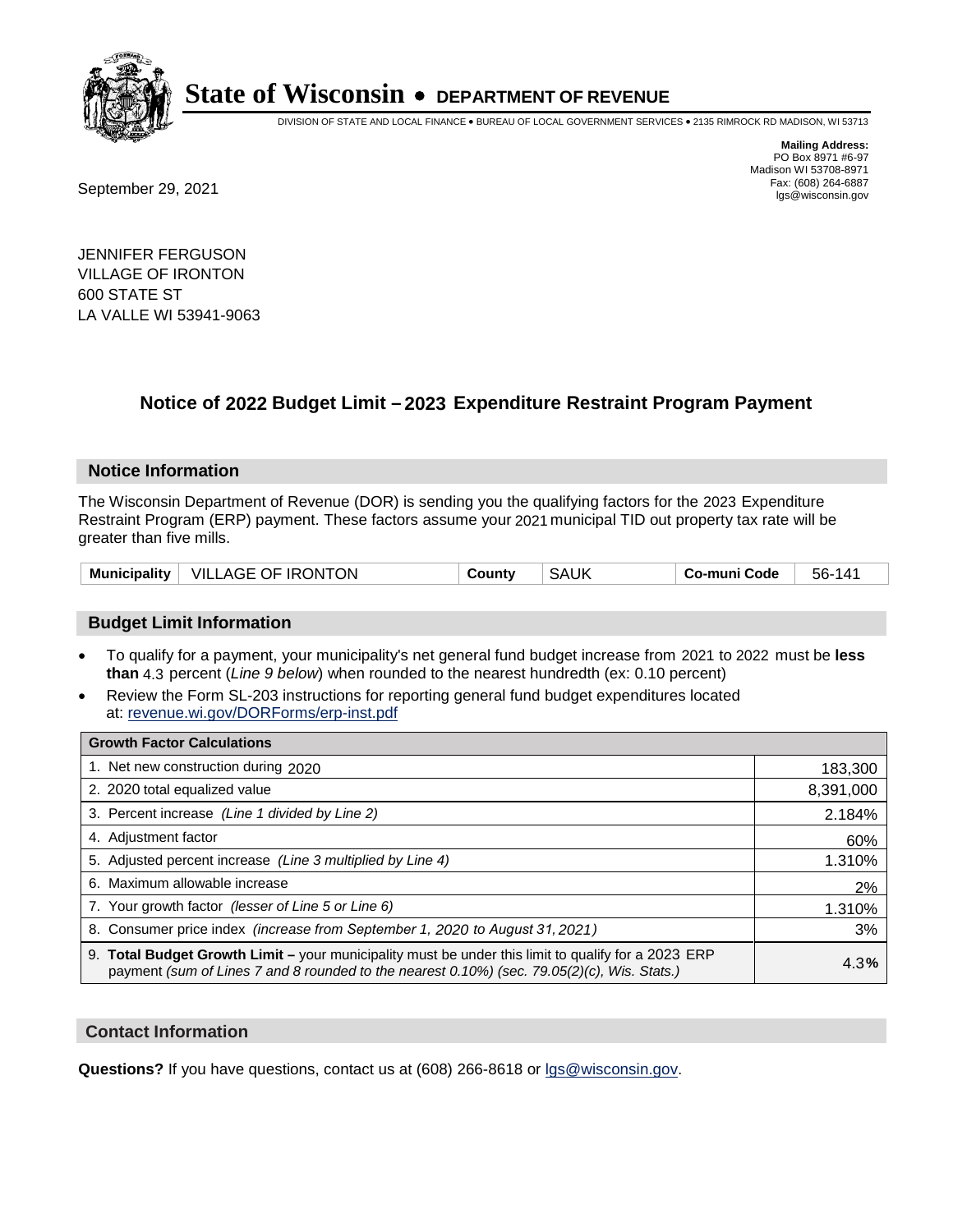

DIVISION OF STATE AND LOCAL FINANCE • BUREAU OF LOCAL GOVERNMENT SERVICES • 2135 RIMROCK RD MADISON, WI 53713

Fax: (608) 264-6887<br>
September 29, 2021 and the state of the state of the state of the state of the state of the state of the state of the state of the state of the state of the state of the state of the state of the state

**Mailing Address:** PO Box 8971 #6-97 Madison WI 53708-8971<br>Fax: (608) 264-6887

JENNIFER FERGUSON VILLAGE OF IRONTON 600 STATE ST LA VALLE WI 53941-9063

### **Notice of 2022 Budget Limit - 2023 Expenditure Restraint Program Payment**

#### **Notice Information**

The Wisconsin Department of Revenue (DOR) is sending you the qualifying factors for the 2023 Expenditure Restraint Program (ERP) payment. These factors assume your 2021 municipal TID out property tax rate will be greater than five mills.

#### **Budget Limit Information**

- To qualify for a payment, your municipality's net general fund budget increase from 2021 to 2022 must be less **than** 4.3 percent (*Line 9 below*) when rounded to the nearest hundredth (ex: 0.10 percent)
- Review the Form SL-203 instructions for reporting general fund budget expenditures located at: revenue.wi.gov/DORForms/erp-inst.pdf

| <b>Growth Factor Calculations</b>                                                                                                                                                                  |           |
|----------------------------------------------------------------------------------------------------------------------------------------------------------------------------------------------------|-----------|
| 1. Net new construction during 2020                                                                                                                                                                | 183,300   |
| 2. 2020 total equalized value                                                                                                                                                                      | 8,391,000 |
| 3. Percent increase (Line 1 divided by Line 2)                                                                                                                                                     | 2.184%    |
| 4. Adjustment factor                                                                                                                                                                               | 60%       |
| 5. Adjusted percent increase (Line 3 multiplied by Line 4)                                                                                                                                         | 1.310%    |
| 6. Maximum allowable increase                                                                                                                                                                      | 2%        |
| 7. Your growth factor (lesser of Line 5 or Line 6)                                                                                                                                                 | 1.310%    |
| 8. Consumer price index (increase from September 1, 2020 to August 31, 2021)                                                                                                                       | 3%        |
| 9. Total Budget Growth Limit – your municipality must be under this limit to qualify for a 2023 ERP<br>payment (sum of Lines 7 and 8 rounded to the nearest 0.10%) (sec. 79.05(2)(c), Wis. Stats.) | 4.3%      |

#### **Contact Information**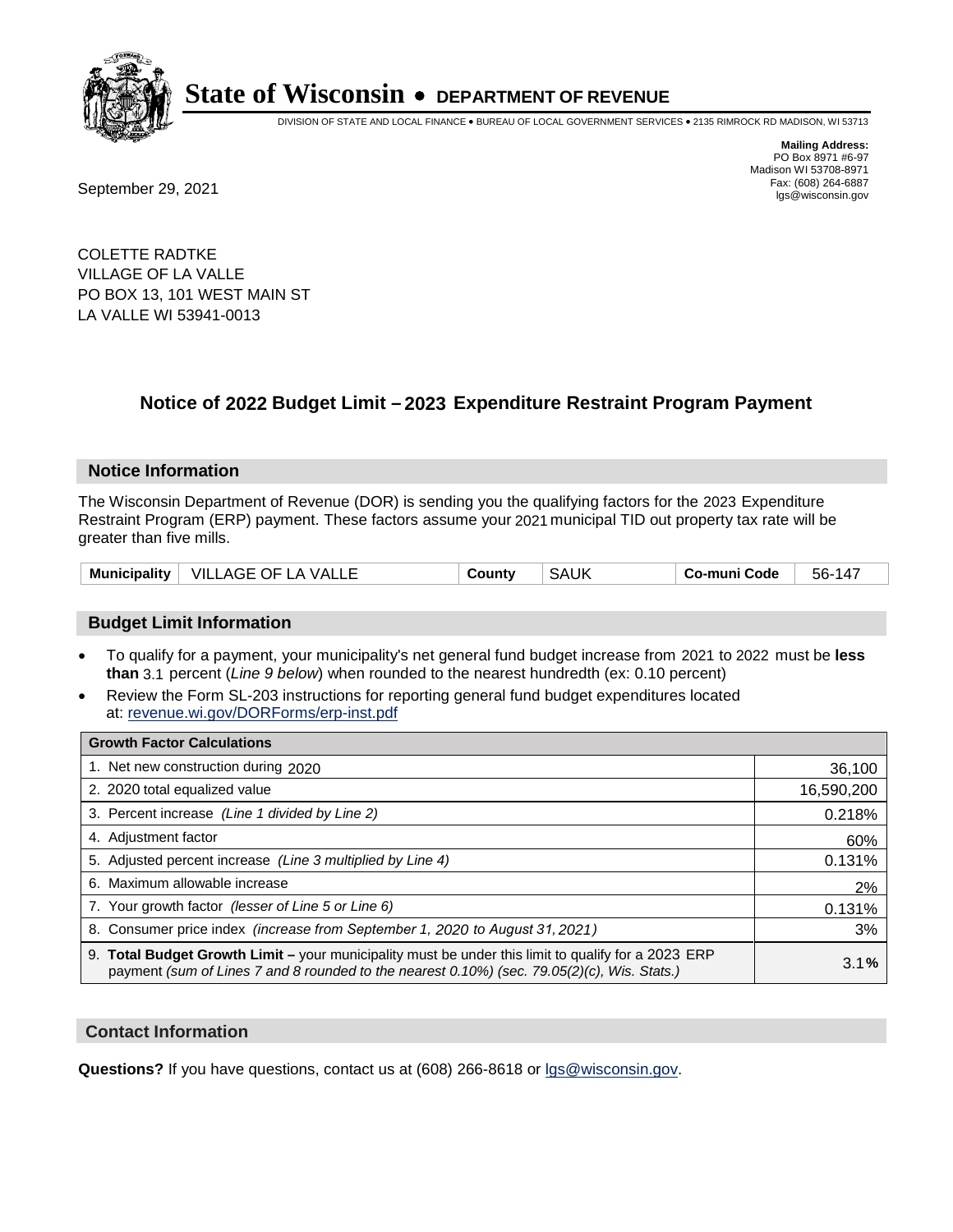

DIVISION OF STATE AND LOCAL FINANCE • BUREAU OF LOCAL GOVERNMENT SERVICES • 2135 RIMROCK RD MADISON, WI 53713

**Mailing Address:** PO Box 8971 #6-97 Madison WI 53708-8971<br>Fax: (608) 264-6887

Fax: (608) 264-6887<br>
September 29, 2021 and the state of the state of the state of the state of the state of the state of the state of the state of the state of the state of the state of the state of the state of the state

COLETTE RADTKE VILLAGE OF LA VALLE PO BOX 13, 101 WEST MAIN ST LA VALLE WI 53941-0013

### **Notice of 2022 Budget Limit - 2023 Expenditure Restraint Program Payment**

#### **Notice Information**

The Wisconsin Department of Revenue (DOR) is sending you the qualifying factors for the 2023 Expenditure Restraint Program (ERP) payment. These factors assume your 2021 municipal TID out property tax rate will be greater than five mills.

| Municipality   VILLAGE OF LA VALLE<br><b>SAUK</b><br>Co-muni Code<br>County | 56-147 |
|-----------------------------------------------------------------------------|--------|
|-----------------------------------------------------------------------------|--------|

#### **Budget Limit Information**

- To qualify for a payment, your municipality's net general fund budget increase from 2021 to 2022 must be less **than** 3.1 percent (*Line 9 below*) when rounded to the nearest hundredth (ex: 0.10 percent)
- Review the Form SL-203 instructions for reporting general fund budget expenditures located at: revenue.wi.gov/DORForms/erp-inst.pdf

| <b>Growth Factor Calculations</b>                                                                                                                                                                  |            |
|----------------------------------------------------------------------------------------------------------------------------------------------------------------------------------------------------|------------|
| 1. Net new construction during 2020                                                                                                                                                                | 36,100     |
| 2. 2020 total equalized value                                                                                                                                                                      | 16,590,200 |
| 3. Percent increase (Line 1 divided by Line 2)                                                                                                                                                     | 0.218%     |
| 4. Adjustment factor                                                                                                                                                                               | 60%        |
| 5. Adjusted percent increase (Line 3 multiplied by Line 4)                                                                                                                                         | 0.131%     |
| 6. Maximum allowable increase                                                                                                                                                                      | 2%         |
| 7. Your growth factor (lesser of Line 5 or Line 6)                                                                                                                                                 | 0.131%     |
| 8. Consumer price index (increase from September 1, 2020 to August 31, 2021)                                                                                                                       | 3%         |
| 9. Total Budget Growth Limit - your municipality must be under this limit to qualify for a 2023 ERP<br>payment (sum of Lines 7 and 8 rounded to the nearest 0.10%) (sec. 79.05(2)(c), Wis. Stats.) | 3.1%       |

#### **Contact Information**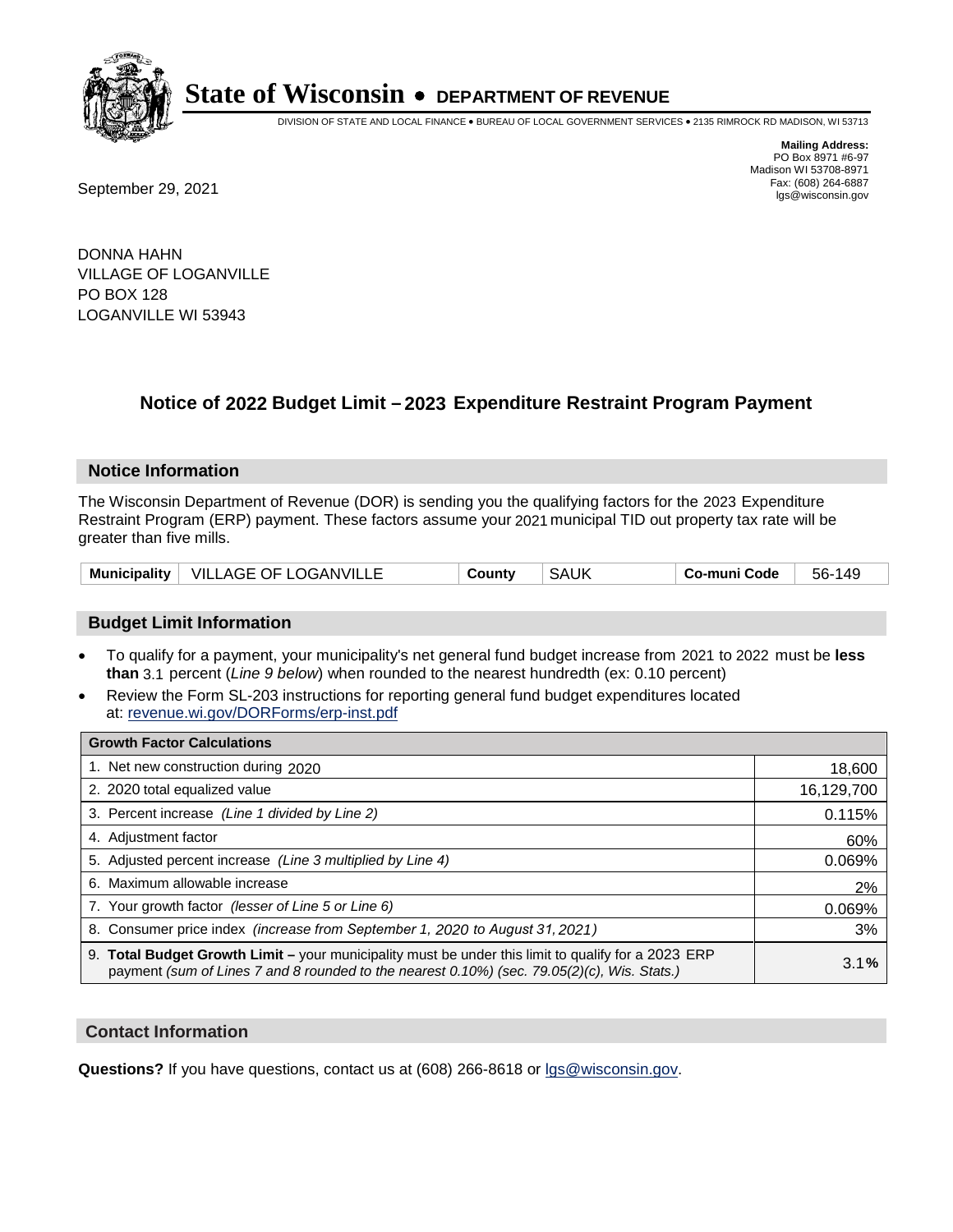

DIVISION OF STATE AND LOCAL FINANCE • BUREAU OF LOCAL GOVERNMENT SERVICES • 2135 RIMROCK RD MADISON, WI 53713

**Mailing Address:** PO Box 8971 #6-97 Madison WI 53708-8971<br>Fax: (608) 264-6887

Fax: (608) 264-6887<br>
September 29, 2021 and the state of the state of the state of the state of the state of the state of the state of the state of the state of the state of the state of the state of the state of the state

DONNA HAHN VILLAGE OF LOGANVILLE PO BOX 128 LOGANVILLE WI 53943

### **Notice of 2022 Budget Limit - 2023 Expenditure Restraint Program Payment**

#### **Notice Information**

The Wisconsin Department of Revenue (DOR) is sending you the qualifying factors for the 2023 Expenditure Restraint Program (ERP) payment. These factors assume your 2021 municipal TID out property tax rate will be greater than five mills.

| <b>Municipality</b> | $\,$ VILLAGE OF LOGANVILLL $\,$ | ountvٽ | SAUK | o-muni Code، ن | 149<br>56- |
|---------------------|---------------------------------|--------|------|----------------|------------|
|---------------------|---------------------------------|--------|------|----------------|------------|

#### **Budget Limit Information**

- To qualify for a payment, your municipality's net general fund budget increase from 2021 to 2022 must be less **than** 3.1 percent (*Line 9 below*) when rounded to the nearest hundredth (ex: 0.10 percent)
- Review the Form SL-203 instructions for reporting general fund budget expenditures located at: revenue.wi.gov/DORForms/erp-inst.pdf

| <b>Growth Factor Calculations</b>                                                                                                                                                                  |            |
|----------------------------------------------------------------------------------------------------------------------------------------------------------------------------------------------------|------------|
| 1. Net new construction during 2020                                                                                                                                                                | 18,600     |
| 2. 2020 total equalized value                                                                                                                                                                      | 16,129,700 |
| 3. Percent increase (Line 1 divided by Line 2)                                                                                                                                                     | 0.115%     |
| 4. Adiustment factor                                                                                                                                                                               | 60%        |
| 5. Adjusted percent increase (Line 3 multiplied by Line 4)                                                                                                                                         | 0.069%     |
| 6. Maximum allowable increase                                                                                                                                                                      | 2%         |
| 7. Your growth factor (lesser of Line 5 or Line 6)                                                                                                                                                 | 0.069%     |
| 8. Consumer price index (increase from September 1, 2020 to August 31, 2021)                                                                                                                       | 3%         |
| 9. Total Budget Growth Limit – your municipality must be under this limit to qualify for a 2023 ERP<br>payment (sum of Lines 7 and 8 rounded to the nearest 0.10%) (sec. 79.05(2)(c), Wis. Stats.) | 3.1%       |

#### **Contact Information**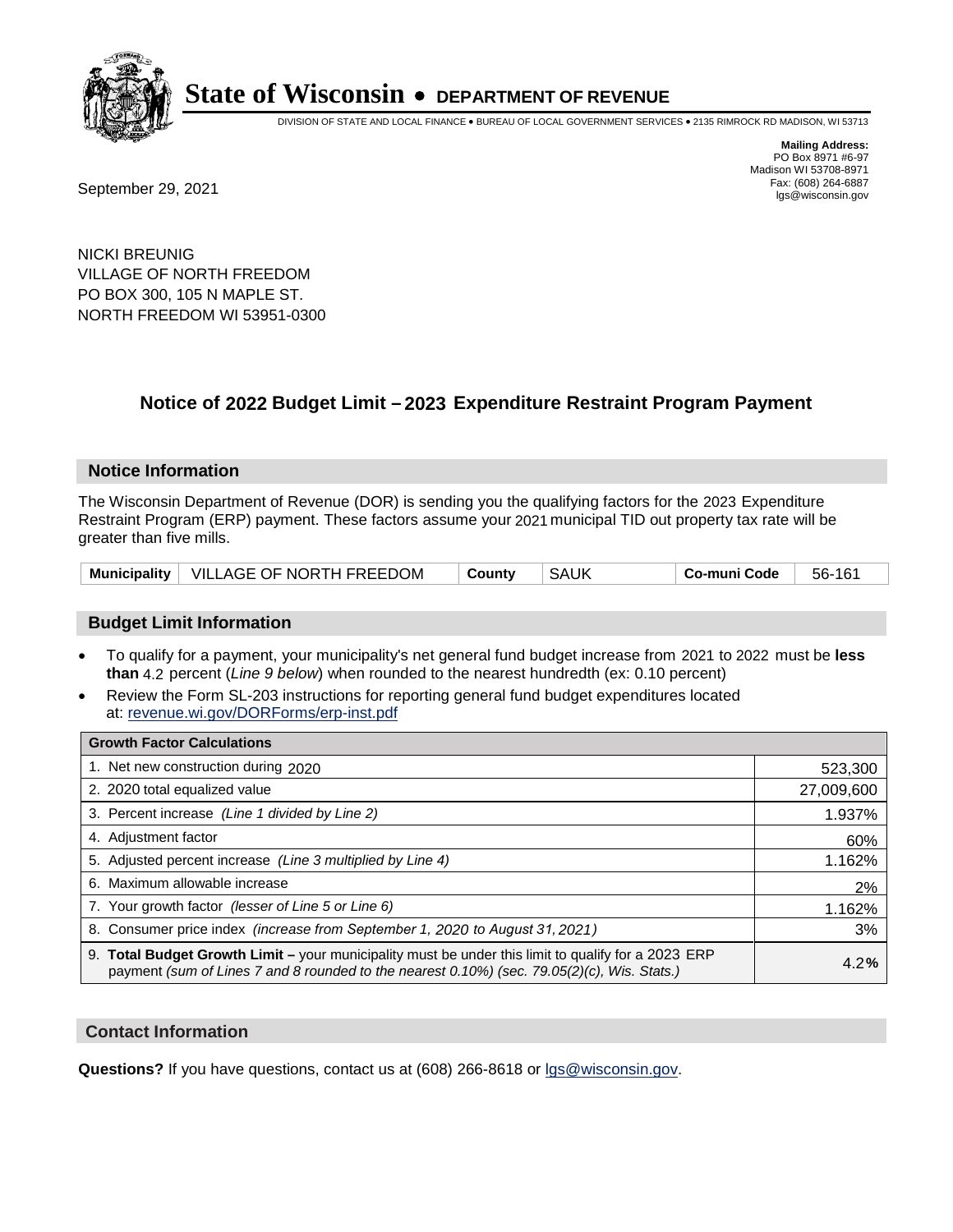

DIVISION OF STATE AND LOCAL FINANCE • BUREAU OF LOCAL GOVERNMENT SERVICES • 2135 RIMROCK RD MADISON, WI 53713

**Mailing Address:** PO Box 8971 #6-97 Madison WI 53708-8971<br>Fax: (608) 264-6887

Fax: (608) 264-6887<br>
September 29, 2021 and the state of the state of the state of the state of the state of the state of the state of the state of the state of the state of the state of the state of the state of the state

NICKI BREUNIG VILLAGE OF NORTH FREEDOM PO BOX 300, 105 N MAPLE ST. NORTH FREEDOM WI 53951-0300

### **Notice of 2022 Budget Limit - 2023 Expenditure Restraint Program Payment**

#### **Notice Information**

The Wisconsin Department of Revenue (DOR) is sending you the qualifying factors for the 2023 Expenditure Restraint Program (ERP) payment. These factors assume your 2021 municipal TID out property tax rate will be greater than five mills.

#### **Budget Limit Information**

- To qualify for a payment, your municipality's net general fund budget increase from 2021 to 2022 must be less **than** 4.2 percent (*Line 9 below*) when rounded to the nearest hundredth (ex: 0.10 percent)
- Review the Form SL-203 instructions for reporting general fund budget expenditures located at: revenue.wi.gov/DORForms/erp-inst.pdf

| <b>Growth Factor Calculations</b>                                                                                                                                                                  |            |
|----------------------------------------------------------------------------------------------------------------------------------------------------------------------------------------------------|------------|
| 1. Net new construction during 2020                                                                                                                                                                | 523,300    |
| 2. 2020 total equalized value                                                                                                                                                                      | 27,009,600 |
| 3. Percent increase (Line 1 divided by Line 2)                                                                                                                                                     | 1.937%     |
| 4. Adjustment factor                                                                                                                                                                               | 60%        |
| 5. Adjusted percent increase (Line 3 multiplied by Line 4)                                                                                                                                         | 1.162%     |
| 6. Maximum allowable increase                                                                                                                                                                      | 2%         |
| 7. Your growth factor (lesser of Line 5 or Line 6)                                                                                                                                                 | 1.162%     |
| 8. Consumer price index (increase from September 1, 2020 to August 31, 2021)                                                                                                                       | 3%         |
| 9. Total Budget Growth Limit - your municipality must be under this limit to qualify for a 2023 ERP<br>payment (sum of Lines 7 and 8 rounded to the nearest 0.10%) (sec. 79.05(2)(c), Wis. Stats.) | 4.2%       |

#### **Contact Information**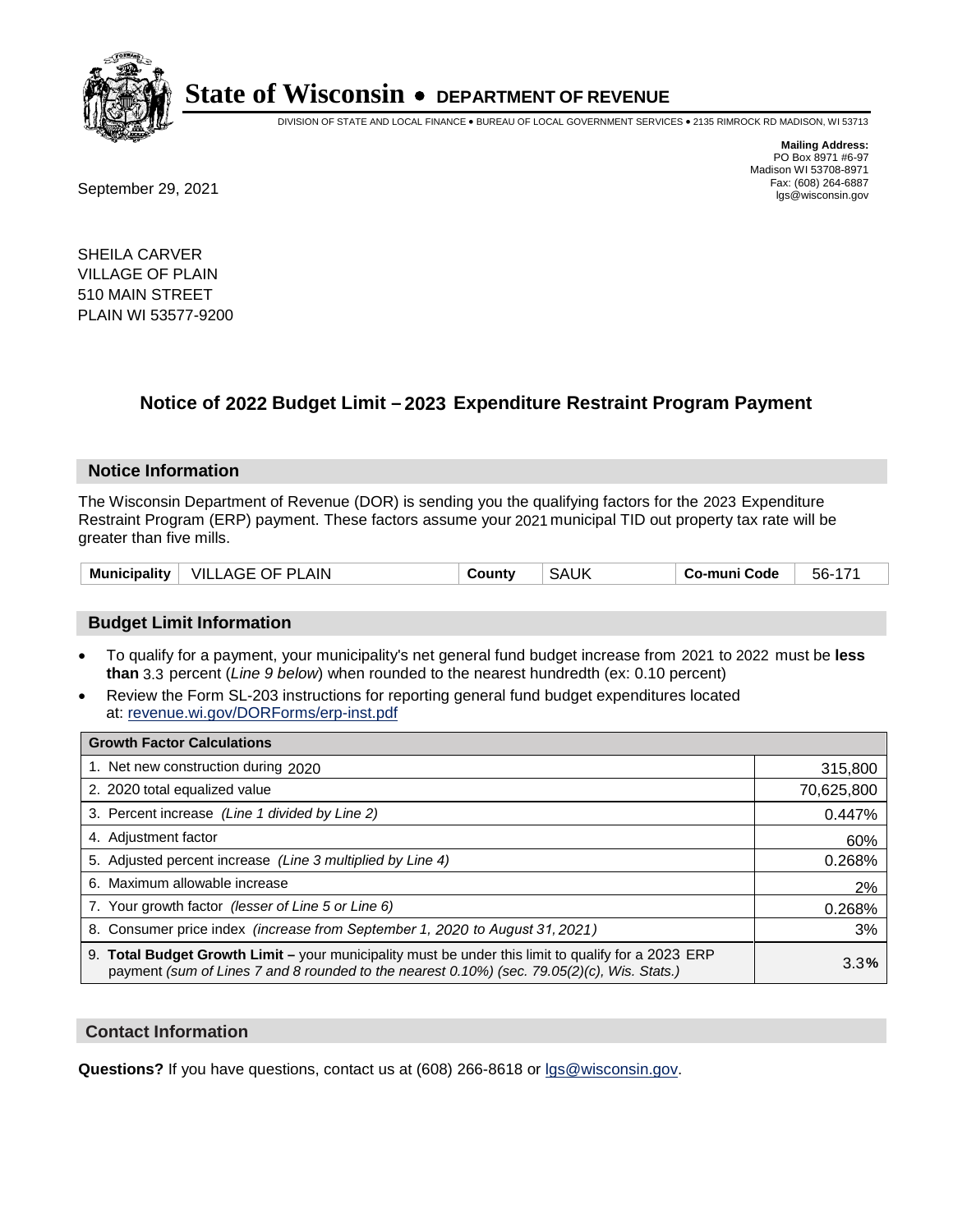

DIVISION OF STATE AND LOCAL FINANCE • BUREAU OF LOCAL GOVERNMENT SERVICES • 2135 RIMROCK RD MADISON, WI 53713

**Mailing Address:** PO Box 8971 #6-97 Madison WI 53708-8971<br>Fax: (608) 264-6887

Fax: (608) 264-6887<br>
September 29, 2021 and the state of the state of the state of the state of the state of the state of the state of the state of the state of the state of the state of the state of the state of the state

SHEILA CARVER VILLAGE OF PLAIN 510 MAIN STREET PLAIN WI 53577-9200

### **Notice of 2022 Budget Limit - 2023 Expenditure Restraint Program Payment**

#### **Notice Information**

The Wisconsin Department of Revenue (DOR) is sending you the qualifying factors for the 2023 Expenditure Restraint Program (ERP) payment. These factors assume your 2021 municipal TID out property tax rate will be greater than five mills.

#### **Budget Limit Information**

- To qualify for a payment, your municipality's net general fund budget increase from 2021 to 2022 must be less **than** 3.3 percent (*Line 9 below*) when rounded to the nearest hundredth (ex: 0.10 percent)
- Review the Form SL-203 instructions for reporting general fund budget expenditures located at: revenue.wi.gov/DORForms/erp-inst.pdf

| <b>Growth Factor Calculations</b>                                                                                                                                                                  |            |
|----------------------------------------------------------------------------------------------------------------------------------------------------------------------------------------------------|------------|
| 1. Net new construction during 2020                                                                                                                                                                | 315,800    |
| 2. 2020 total equalized value                                                                                                                                                                      | 70,625,800 |
| 3. Percent increase (Line 1 divided by Line 2)                                                                                                                                                     | 0.447%     |
| 4. Adjustment factor                                                                                                                                                                               | 60%        |
| 5. Adjusted percent increase (Line 3 multiplied by Line 4)                                                                                                                                         | 0.268%     |
| 6. Maximum allowable increase                                                                                                                                                                      | 2%         |
| 7. Your growth factor (lesser of Line 5 or Line 6)                                                                                                                                                 | 0.268%     |
| 8. Consumer price index (increase from September 1, 2020 to August 31, 2021)                                                                                                                       | 3%         |
| 9. Total Budget Growth Limit - your municipality must be under this limit to qualify for a 2023 ERP<br>payment (sum of Lines 7 and 8 rounded to the nearest 0.10%) (sec. 79.05(2)(c), Wis. Stats.) | 3.3%       |

#### **Contact Information**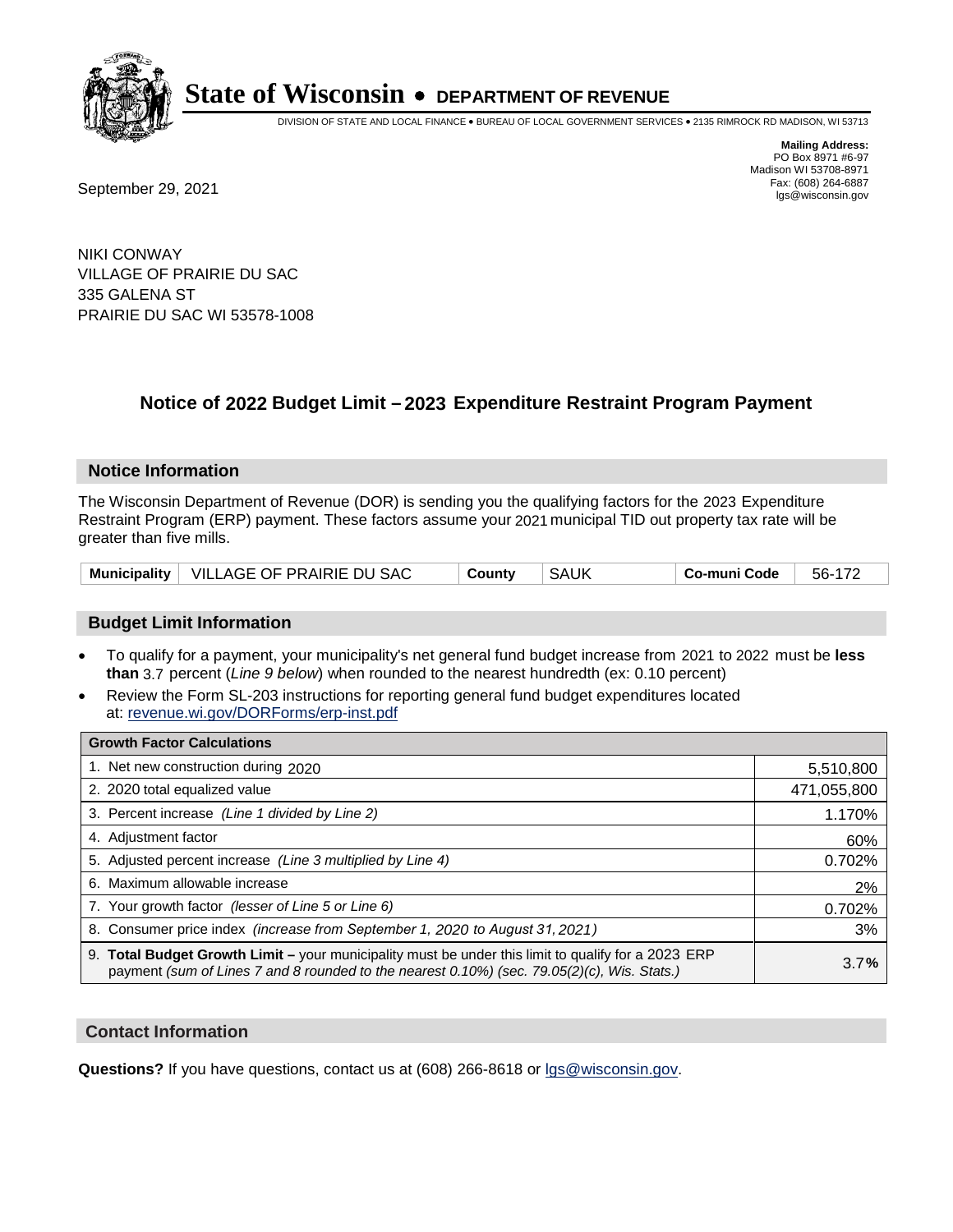

DIVISION OF STATE AND LOCAL FINANCE • BUREAU OF LOCAL GOVERNMENT SERVICES • 2135 RIMROCK RD MADISON, WI 53713

**Mailing Address:** PO Box 8971 #6-97 Madison WI 53708-8971<br>Fax: (608) 264-6887

Fax: (608) 264-6887<br>
September 29, 2021 and the state of the state of the state of the state of the state of the state of the state of the state of the state of the state of the state of the state of the state of the state

NIKI CONWAY VILLAGE OF PRAIRIE DU SAC 335 GALENA ST PRAIRIE DU SAC WI 53578-1008

### **Notice of 2022 Budget Limit - 2023 Expenditure Restraint Program Payment**

#### **Notice Information**

The Wisconsin Department of Revenue (DOR) is sending you the qualifying factors for the 2023 Expenditure Restraint Program (ERP) payment. These factors assume your 2021 municipal TID out property tax rate will be greater than five mills.

|  | Municipality   VILLAGE OF PRAIRIE DU SAC | County | SAUK | Co-muni Code | 56-172 |
|--|------------------------------------------|--------|------|--------------|--------|
|--|------------------------------------------|--------|------|--------------|--------|

#### **Budget Limit Information**

- To qualify for a payment, your municipality's net general fund budget increase from 2021 to 2022 must be less **than** 3.7 percent (*Line 9 below*) when rounded to the nearest hundredth (ex: 0.10 percent)
- Review the Form SL-203 instructions for reporting general fund budget expenditures located at: revenue.wi.gov/DORForms/erp-inst.pdf

| <b>Growth Factor Calculations</b>                                                                                                                                                                  |             |
|----------------------------------------------------------------------------------------------------------------------------------------------------------------------------------------------------|-------------|
| 1. Net new construction during 2020                                                                                                                                                                | 5,510,800   |
| 2. 2020 total equalized value                                                                                                                                                                      | 471,055,800 |
| 3. Percent increase (Line 1 divided by Line 2)                                                                                                                                                     | 1.170%      |
| 4. Adjustment factor                                                                                                                                                                               | 60%         |
| 5. Adjusted percent increase (Line 3 multiplied by Line 4)                                                                                                                                         | 0.702%      |
| 6. Maximum allowable increase                                                                                                                                                                      | 2%          |
| 7. Your growth factor (lesser of Line 5 or Line 6)                                                                                                                                                 | 0.702%      |
| 8. Consumer price index (increase from September 1, 2020 to August 31, 2021)                                                                                                                       | 3%          |
| 9. Total Budget Growth Limit - your municipality must be under this limit to qualify for a 2023 ERP<br>payment (sum of Lines 7 and 8 rounded to the nearest 0.10%) (sec. 79.05(2)(c), Wis. Stats.) | 3.7%        |

#### **Contact Information**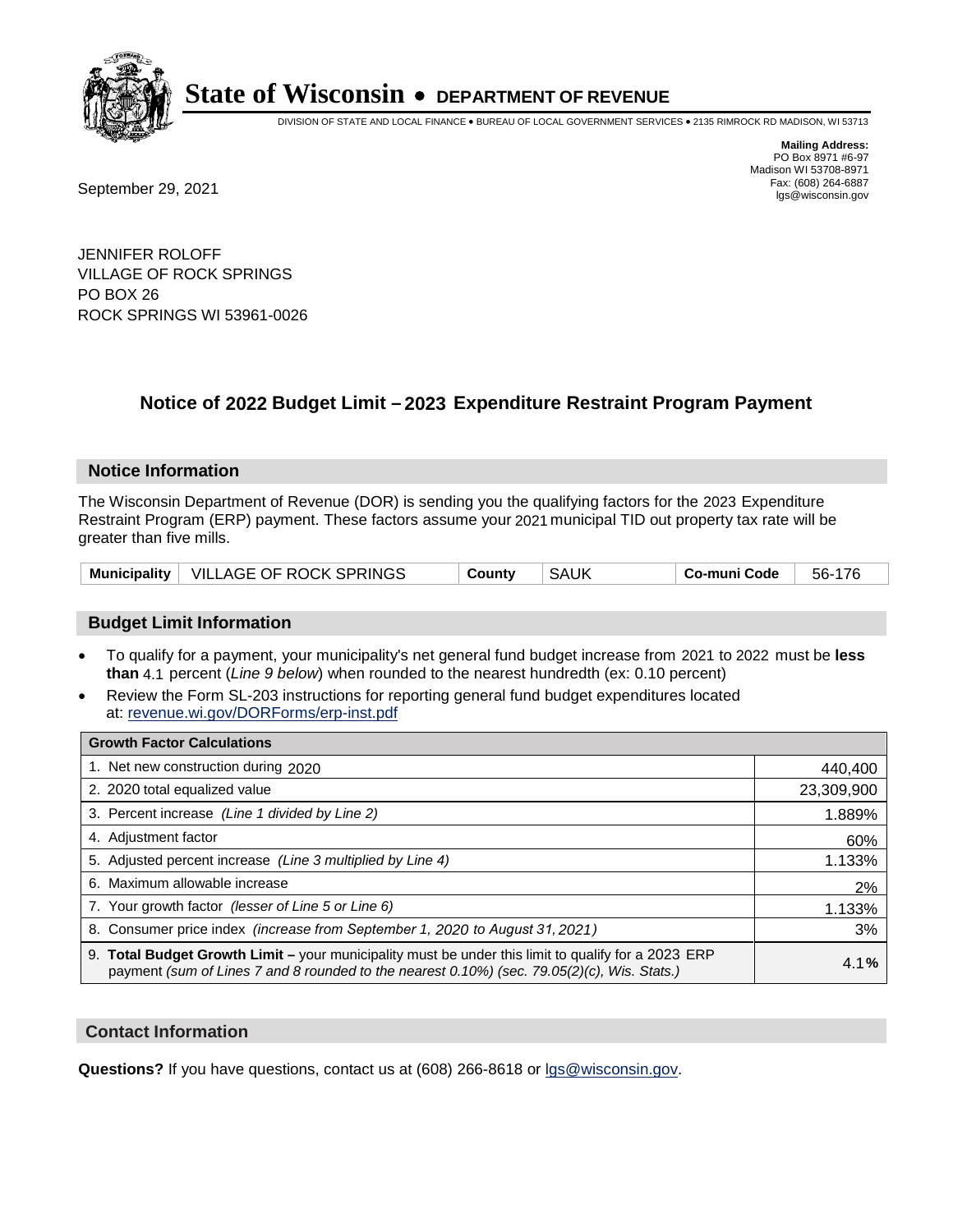

DIVISION OF STATE AND LOCAL FINANCE • BUREAU OF LOCAL GOVERNMENT SERVICES • 2135 RIMROCK RD MADISON, WI 53713

Fax: (608) 264-6887<br>
September 29, 2021 and the state of the state of the state of the state of the state of the state of the state of the state of the state of the state of the state of the state of the state of the state

**Mailing Address:** PO Box 8971 #6-97 Madison WI 53708-8971<br>Fax: (608) 264-6887

JENNIFER ROLOFF VILLAGE OF ROCK SPRINGS PO BOX 26 ROCK SPRINGS WI 53961-0026

### **Notice of 2022 Budget Limit - 2023 Expenditure Restraint Program Payment**

#### **Notice Information**

The Wisconsin Department of Revenue (DOR) is sending you the qualifying factors for the 2023 Expenditure Restraint Program (ERP) payment. These factors assume your 2021 municipal TID out property tax rate will be greater than five mills.

| Municipality   VILLAGE OF ROCK SPRINGS | Countv | <b>SAUK</b> | Co-muni Code | 56-176 |
|----------------------------------------|--------|-------------|--------------|--------|
|----------------------------------------|--------|-------------|--------------|--------|

#### **Budget Limit Information**

- To qualify for a payment, your municipality's net general fund budget increase from 2021 to 2022 must be less **than** 4.1 percent (*Line 9 below*) when rounded to the nearest hundredth (ex: 0.10 percent)
- Review the Form SL-203 instructions for reporting general fund budget expenditures located at: revenue.wi.gov/DORForms/erp-inst.pdf

| <b>Growth Factor Calculations</b>                                                                                                                                                                  |            |
|----------------------------------------------------------------------------------------------------------------------------------------------------------------------------------------------------|------------|
| 1. Net new construction during 2020                                                                                                                                                                | 440,400    |
| 2. 2020 total equalized value                                                                                                                                                                      | 23,309,900 |
| 3. Percent increase (Line 1 divided by Line 2)                                                                                                                                                     | 1.889%     |
| 4. Adjustment factor                                                                                                                                                                               | 60%        |
| 5. Adjusted percent increase (Line 3 multiplied by Line 4)                                                                                                                                         | 1.133%     |
| 6. Maximum allowable increase                                                                                                                                                                      | 2%         |
| 7. Your growth factor (lesser of Line 5 or Line 6)                                                                                                                                                 | 1.133%     |
| 8. Consumer price index (increase from September 1, 2020 to August 31, 2021)                                                                                                                       | 3%         |
| 9. Total Budget Growth Limit – your municipality must be under this limit to qualify for a 2023 ERP<br>payment (sum of Lines 7 and 8 rounded to the nearest 0.10%) (sec. 79.05(2)(c), Wis. Stats.) | 4.1%       |

#### **Contact Information**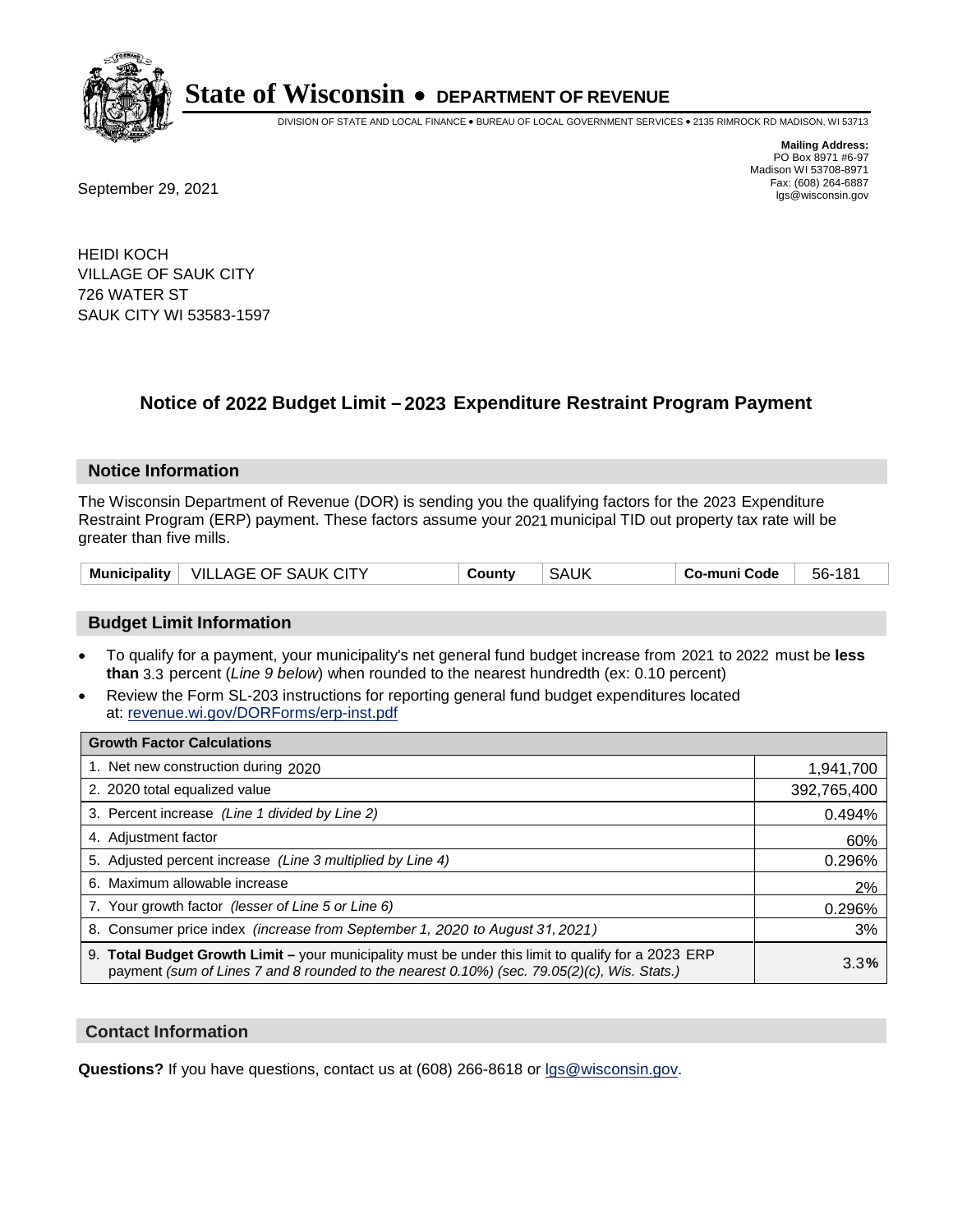

DIVISION OF STATE AND LOCAL FINANCE • BUREAU OF LOCAL GOVERNMENT SERVICES • 2135 RIMROCK RD MADISON, WI 53713

**Mailing Address:** PO Box 8971 #6-97 Madison WI 53708-8971<br>Fax: (608) 264-6887

Fax: (608) 264-6887<br>
September 29, 2021 and the state of the state of the state of the state of the state of the state of the state of the state of the state of the state of the state of the state of the state of the state

HEIDI KOCH VILLAGE OF SAUK CITY 726 WATER ST SAUK CITY WI 53583-1597

### **Notice of 2022 Budget Limit - 2023 Expenditure Restraint Program Payment**

#### **Notice Information**

The Wisconsin Department of Revenue (DOR) is sending you the qualifying factors for the 2023 Expenditure Restraint Program (ERP) payment. These factors assume your 2021 municipal TID out property tax rate will be greater than five mills.

| VILLAGE OF SAUK CITY<br><b>Municipality</b> | County | <b>SAUK</b> | Co-muni Code | 56-<br>181 |
|---------------------------------------------|--------|-------------|--------------|------------|
|---------------------------------------------|--------|-------------|--------------|------------|

#### **Budget Limit Information**

- To qualify for a payment, your municipality's net general fund budget increase from 2021 to 2022 must be less **than** 3.3 percent (*Line 9 below*) when rounded to the nearest hundredth (ex: 0.10 percent)
- Review the Form SL-203 instructions for reporting general fund budget expenditures located at: revenue.wi.gov/DORForms/erp-inst.pdf

| <b>Growth Factor Calculations</b>                                                                                                                                                                  |             |
|----------------------------------------------------------------------------------------------------------------------------------------------------------------------------------------------------|-------------|
| 1. Net new construction during 2020                                                                                                                                                                | 1,941,700   |
| 2. 2020 total equalized value                                                                                                                                                                      | 392,765,400 |
| 3. Percent increase (Line 1 divided by Line 2)                                                                                                                                                     | 0.494%      |
| 4. Adjustment factor                                                                                                                                                                               | 60%         |
| 5. Adjusted percent increase (Line 3 multiplied by Line 4)                                                                                                                                         | 0.296%      |
| 6. Maximum allowable increase                                                                                                                                                                      | 2%          |
| 7. Your growth factor (lesser of Line 5 or Line 6)                                                                                                                                                 | 0.296%      |
| 8. Consumer price index (increase from September 1, 2020 to August 31, 2021)                                                                                                                       | 3%          |
| 9. Total Budget Growth Limit - your municipality must be under this limit to qualify for a 2023 ERP<br>payment (sum of Lines 7 and 8 rounded to the nearest 0.10%) (sec. 79.05(2)(c), Wis. Stats.) | 3.3%        |

#### **Contact Information**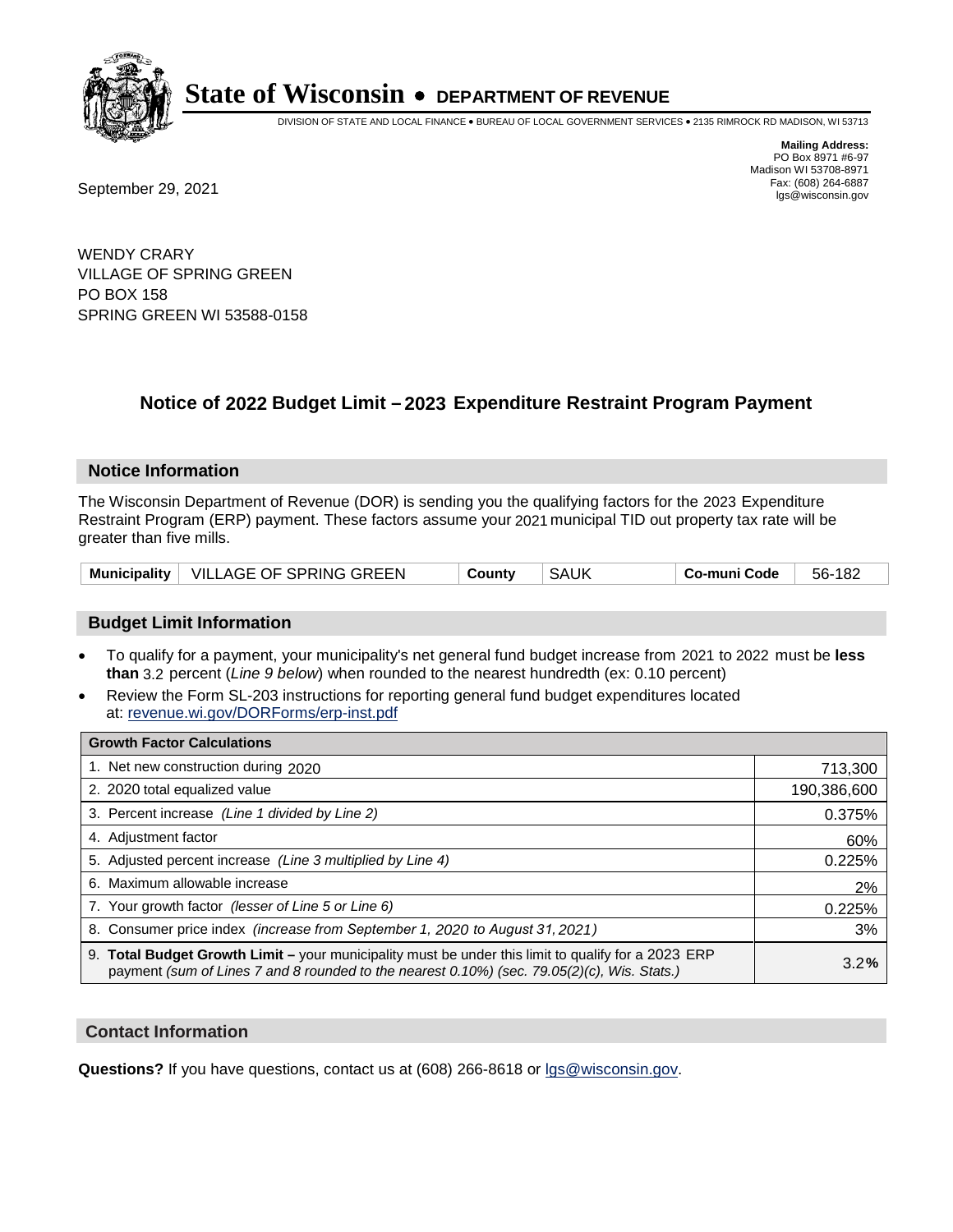

DIVISION OF STATE AND LOCAL FINANCE • BUREAU OF LOCAL GOVERNMENT SERVICES • 2135 RIMROCK RD MADISON, WI 53713

**Mailing Address:** PO Box 8971 #6-97 Madison WI 53708-8971<br>Fax: (608) 264-6887 Fax: (608) 264-6887<br>
September 29, 2021 and the state of the state of the state of the state of the state of the state of the state of the state of the state of the state of the state of the state of the state of the state

WENDY CRARY VILLAGE OF SPRING GREEN PO BOX 158 SPRING GREEN WI 53588-0158

### **Notice of 2022 Budget Limit - 2023 Expenditure Restraint Program Payment**

#### **Notice Information**

The Wisconsin Department of Revenue (DOR) is sending you the qualifying factors for the 2023 Expenditure Restraint Program (ERP) payment. These factors assume your 2021 municipal TID out property tax rate will be greater than five mills.

|  | Municipality   VILLAGE OF SPRING GREEN | County | SAUK | Co-muni Code | 56-182 |
|--|----------------------------------------|--------|------|--------------|--------|
|--|----------------------------------------|--------|------|--------------|--------|

#### **Budget Limit Information**

- To qualify for a payment, your municipality's net general fund budget increase from 2021 to 2022 must be less **than** 3.2 percent (*Line 9 below*) when rounded to the nearest hundredth (ex: 0.10 percent)
- Review the Form SL-203 instructions for reporting general fund budget expenditures located at: revenue.wi.gov/DORForms/erp-inst.pdf

| <b>Growth Factor Calculations</b>                                                                                                                                                                  |             |
|----------------------------------------------------------------------------------------------------------------------------------------------------------------------------------------------------|-------------|
| 1. Net new construction during 2020                                                                                                                                                                | 713,300     |
| 2. 2020 total equalized value                                                                                                                                                                      | 190,386,600 |
| 3. Percent increase (Line 1 divided by Line 2)                                                                                                                                                     | 0.375%      |
| 4. Adiustment factor                                                                                                                                                                               | 60%         |
| 5. Adjusted percent increase (Line 3 multiplied by Line 4)                                                                                                                                         | 0.225%      |
| 6. Maximum allowable increase                                                                                                                                                                      | 2%          |
| 7. Your growth factor (lesser of Line 5 or Line 6)                                                                                                                                                 | 0.225%      |
| 8. Consumer price index (increase from September 1, 2020 to August 31, 2021)                                                                                                                       | 3%          |
| 9. Total Budget Growth Limit - your municipality must be under this limit to qualify for a 2023 ERP<br>payment (sum of Lines 7 and 8 rounded to the nearest 0.10%) (sec. 79.05(2)(c), Wis. Stats.) | 3.2%        |

#### **Contact Information**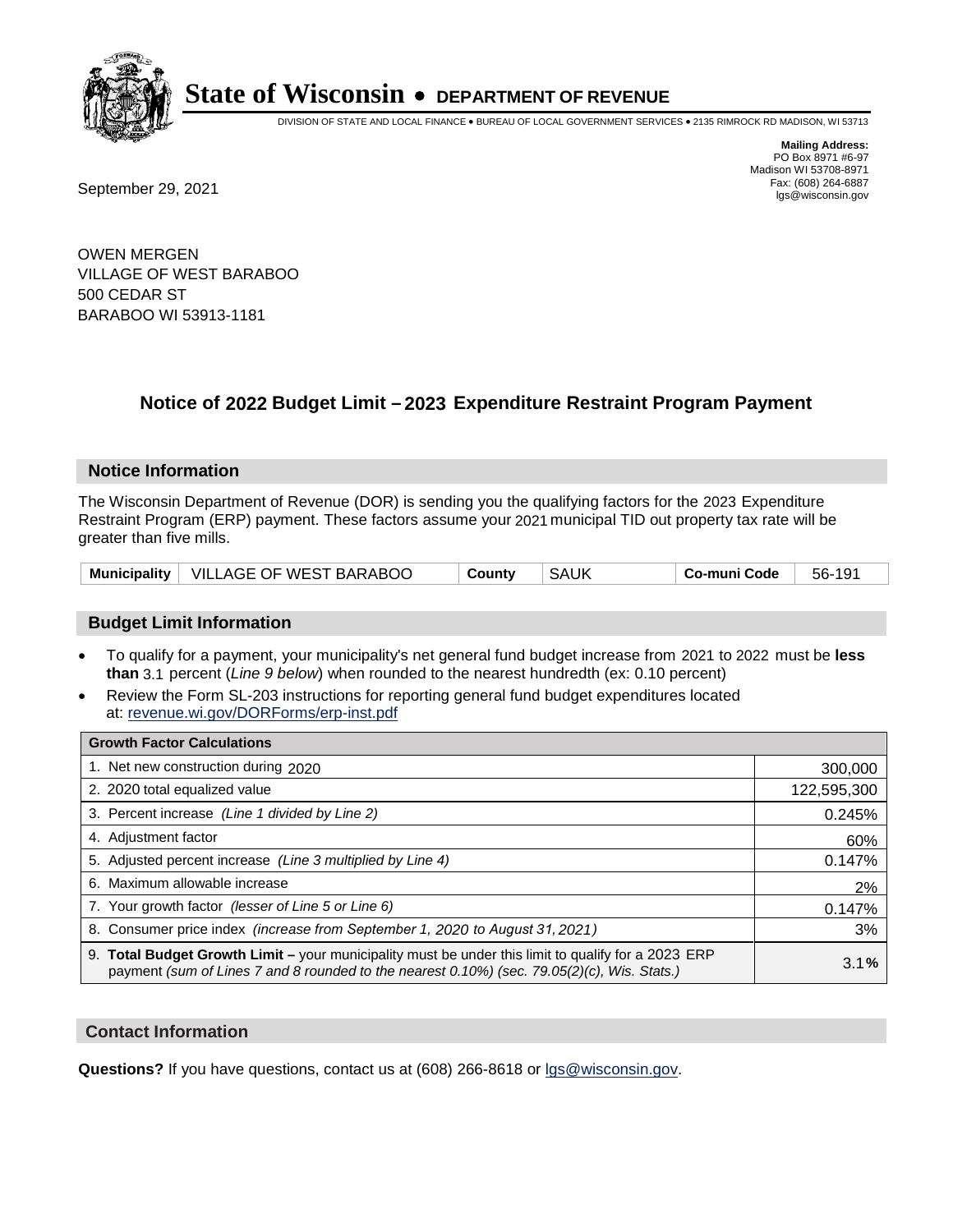

DIVISION OF STATE AND LOCAL FINANCE • BUREAU OF LOCAL GOVERNMENT SERVICES • 2135 RIMROCK RD MADISON, WI 53713

**Mailing Address:** PO Box 8971 #6-97 Madison WI 53708-8971<br>Fax: (608) 264-6887

Fax: (608) 264-6887<br>
September 29, 2021 and the state of the state of the state of the state of the state of the state of the state of the state of the state of the state of the state of the state of the state of the state

OWEN MERGEN VILLAGE OF WEST BARABOO 500 CEDAR ST BARABOO WI 53913-1181

### **Notice of 2022 Budget Limit - 2023 Expenditure Restraint Program Payment**

#### **Notice Information**

The Wisconsin Department of Revenue (DOR) is sending you the qualifying factors for the 2023 Expenditure Restraint Program (ERP) payment. These factors assume your 2021 municipal TID out property tax rate will be greater than five mills.

|  | Municipality   VILLAGE OF WEST BARABOO | County | SAUK | ⊺ Co-muni Code | 56-191 |
|--|----------------------------------------|--------|------|----------------|--------|
|--|----------------------------------------|--------|------|----------------|--------|

#### **Budget Limit Information**

- To qualify for a payment, your municipality's net general fund budget increase from 2021 to 2022 must be less **than** 3.1 percent (*Line 9 below*) when rounded to the nearest hundredth (ex: 0.10 percent)
- Review the Form SL-203 instructions for reporting general fund budget expenditures located at: revenue.wi.gov/DORForms/erp-inst.pdf

| <b>Growth Factor Calculations</b>                                                                                                                                                                      |             |
|--------------------------------------------------------------------------------------------------------------------------------------------------------------------------------------------------------|-------------|
| 1. Net new construction during 2020                                                                                                                                                                    | 300,000     |
| 2. 2020 total equalized value                                                                                                                                                                          | 122,595,300 |
| 3. Percent increase (Line 1 divided by Line 2)                                                                                                                                                         | 0.245%      |
| 4. Adiustment factor                                                                                                                                                                                   | 60%         |
| 5. Adjusted percent increase (Line 3 multiplied by Line 4)                                                                                                                                             | 0.147%      |
| 6. Maximum allowable increase                                                                                                                                                                          | 2%          |
| 7. Your growth factor (lesser of Line 5 or Line 6)                                                                                                                                                     | 0.147%      |
| 8. Consumer price index (increase from September 1, 2020 to August 31, 2021)                                                                                                                           | 3%          |
| 9. Total Budget Growth Limit - your municipality must be under this limit to qualify for a 2023 ERP<br>payment (sum of Lines 7 and 8 rounded to the nearest $0.10\%$ ) (sec. 79.05(2)(c), Wis. Stats.) | 3.1%        |

#### **Contact Information**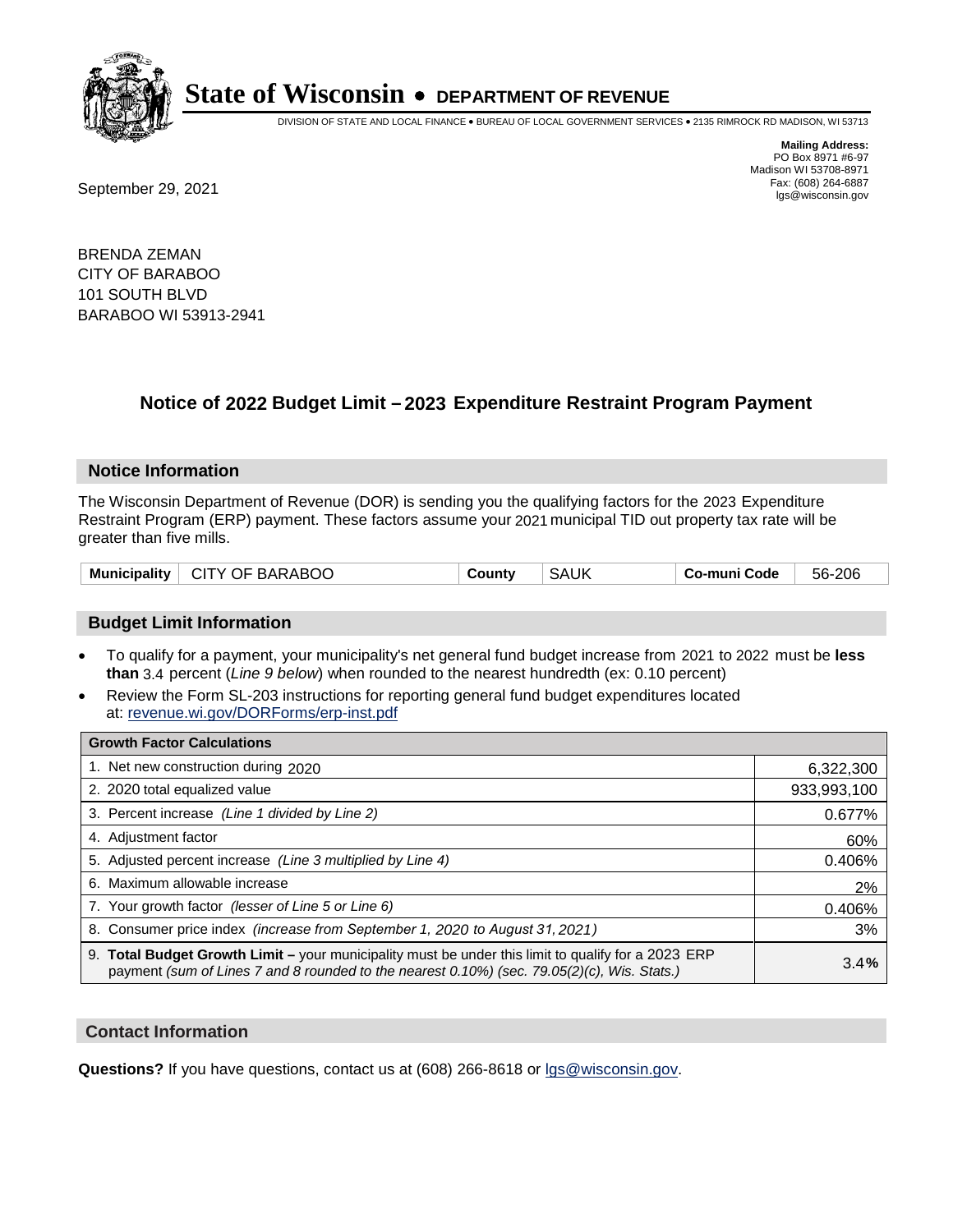

DIVISION OF STATE AND LOCAL FINANCE • BUREAU OF LOCAL GOVERNMENT SERVICES • 2135 RIMROCK RD MADISON, WI 53713

**Mailing Address:** PO Box 8971 #6-97 Madison WI 53708-8971<br>Fax: (608) 264-6887

Fax: (608) 264-6887<br>
September 29, 2021 and the state of the state of the state of the state of the state of the state of the state of the state of the state of the state of the state of the state of the state of the state

BRENDA ZEMAN CITY OF BARABOO 101 SOUTH BLVD BARABOO WI 53913-2941

### **Notice of 2022 Budget Limit - 2023 Expenditure Restraint Program Payment**

#### **Notice Information**

The Wisconsin Department of Revenue (DOR) is sending you the qualifying factors for the 2023 Expenditure Restraint Program (ERP) payment. These factors assume your 2021 municipal TID out property tax rate will be greater than five mills.

| Municipality   CITY OF BARABOO | County | <b>SAUK</b> | Co-muni Code | 56-206 |
|--------------------------------|--------|-------------|--------------|--------|
|--------------------------------|--------|-------------|--------------|--------|

#### **Budget Limit Information**

- To qualify for a payment, your municipality's net general fund budget increase from 2021 to 2022 must be less **than** 3.4 percent (*Line 9 below*) when rounded to the nearest hundredth (ex: 0.10 percent)
- Review the Form SL-203 instructions for reporting general fund budget expenditures located at: revenue.wi.gov/DORForms/erp-inst.pdf

| <b>Growth Factor Calculations</b>                                                                                                                                                                  |             |
|----------------------------------------------------------------------------------------------------------------------------------------------------------------------------------------------------|-------------|
| 1. Net new construction during 2020                                                                                                                                                                | 6,322,300   |
| 2. 2020 total equalized value                                                                                                                                                                      | 933,993,100 |
| 3. Percent increase (Line 1 divided by Line 2)                                                                                                                                                     | 0.677%      |
| 4. Adjustment factor                                                                                                                                                                               | 60%         |
| 5. Adjusted percent increase (Line 3 multiplied by Line 4)                                                                                                                                         | 0.406%      |
| 6. Maximum allowable increase                                                                                                                                                                      | 2%          |
| 7. Your growth factor (lesser of Line 5 or Line 6)                                                                                                                                                 | 0.406%      |
| 8. Consumer price index (increase from September 1, 2020 to August 31, 2021)                                                                                                                       | 3%          |
| 9. Total Budget Growth Limit - your municipality must be under this limit to qualify for a 2023 ERP<br>payment (sum of Lines 7 and 8 rounded to the nearest 0.10%) (sec. 79.05(2)(c), Wis. Stats.) | 3.4%        |

#### **Contact Information**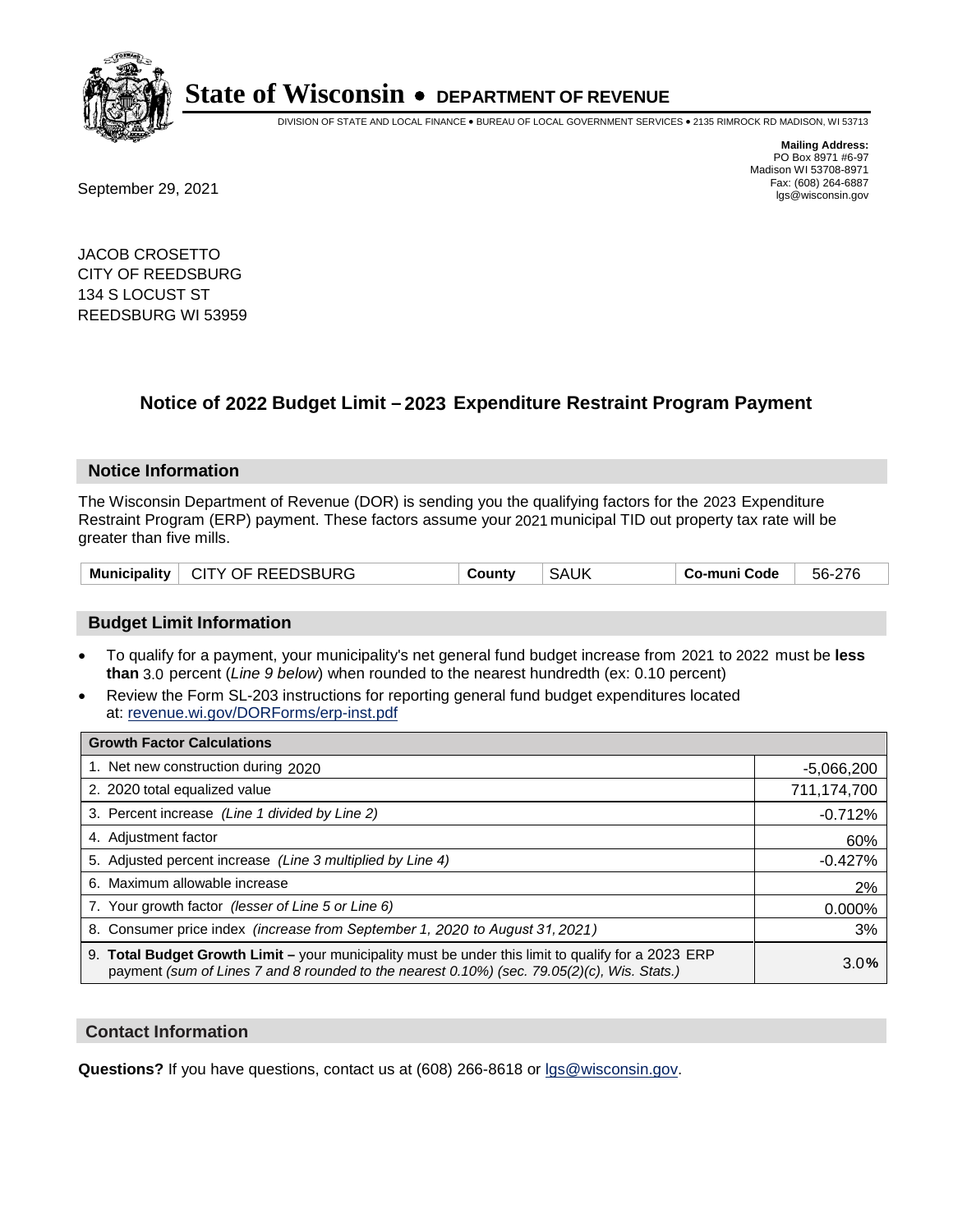

DIVISION OF STATE AND LOCAL FINANCE • BUREAU OF LOCAL GOVERNMENT SERVICES • 2135 RIMROCK RD MADISON, WI 53713

Fax: (608) 264-6887<br>
September 29, 2021 and the state of the state of the state of the state of the state of the state of the state of the state of the state of the state of the state of the state of the state of the state

**Mailing Address:** PO Box 8971 #6-97 Madison WI 53708-8971<br>Fax: (608) 264-6887

JACOB CROSETTO CITY OF REEDSBURG 134 S LOCUST ST REEDSBURG WI 53959

### **Notice of 2022 Budget Limit - 2023 Expenditure Restraint Program Payment**

#### **Notice Information**

The Wisconsin Department of Revenue (DOR) is sending you the qualifying factors for the 2023 Expenditure Restraint Program (ERP) payment. These factors assume your 2021 municipal TID out property tax rate will be greater than five mills.

|  | Municipality   CITY OF REEDSBURG | County | <b>SAUK</b> | Co-muni Code | 56-276 |
|--|----------------------------------|--------|-------------|--------------|--------|
|--|----------------------------------|--------|-------------|--------------|--------|

#### **Budget Limit Information**

- To qualify for a payment, your municipality's net general fund budget increase from 2021 to 2022 must be less **than** 3.0 percent (*Line 9 below*) when rounded to the nearest hundredth (ex: 0.10 percent)
- Review the Form SL-203 instructions for reporting general fund budget expenditures located at: revenue.wi.gov/DORForms/erp-inst.pdf

| <b>Growth Factor Calculations</b>                                                                                                                                                                  |              |
|----------------------------------------------------------------------------------------------------------------------------------------------------------------------------------------------------|--------------|
| 1. Net new construction during 2020                                                                                                                                                                | $-5,066,200$ |
| 2. 2020 total equalized value                                                                                                                                                                      | 711,174,700  |
| 3. Percent increase (Line 1 divided by Line 2)                                                                                                                                                     | $-0.712%$    |
| 4. Adjustment factor                                                                                                                                                                               | 60%          |
| 5. Adjusted percent increase (Line 3 multiplied by Line 4)                                                                                                                                         | $-0.427%$    |
| 6. Maximum allowable increase                                                                                                                                                                      | 2%           |
| 7. Your growth factor (lesser of Line 5 or Line 6)                                                                                                                                                 | 0.000%       |
| 8. Consumer price index (increase from September 1, 2020 to August 31, 2021)                                                                                                                       | 3%           |
| 9. Total Budget Growth Limit – your municipality must be under this limit to qualify for a 2023 ERP<br>payment (sum of Lines 7 and 8 rounded to the nearest 0.10%) (sec. 79.05(2)(c), Wis. Stats.) | 3.0%         |

#### **Contact Information**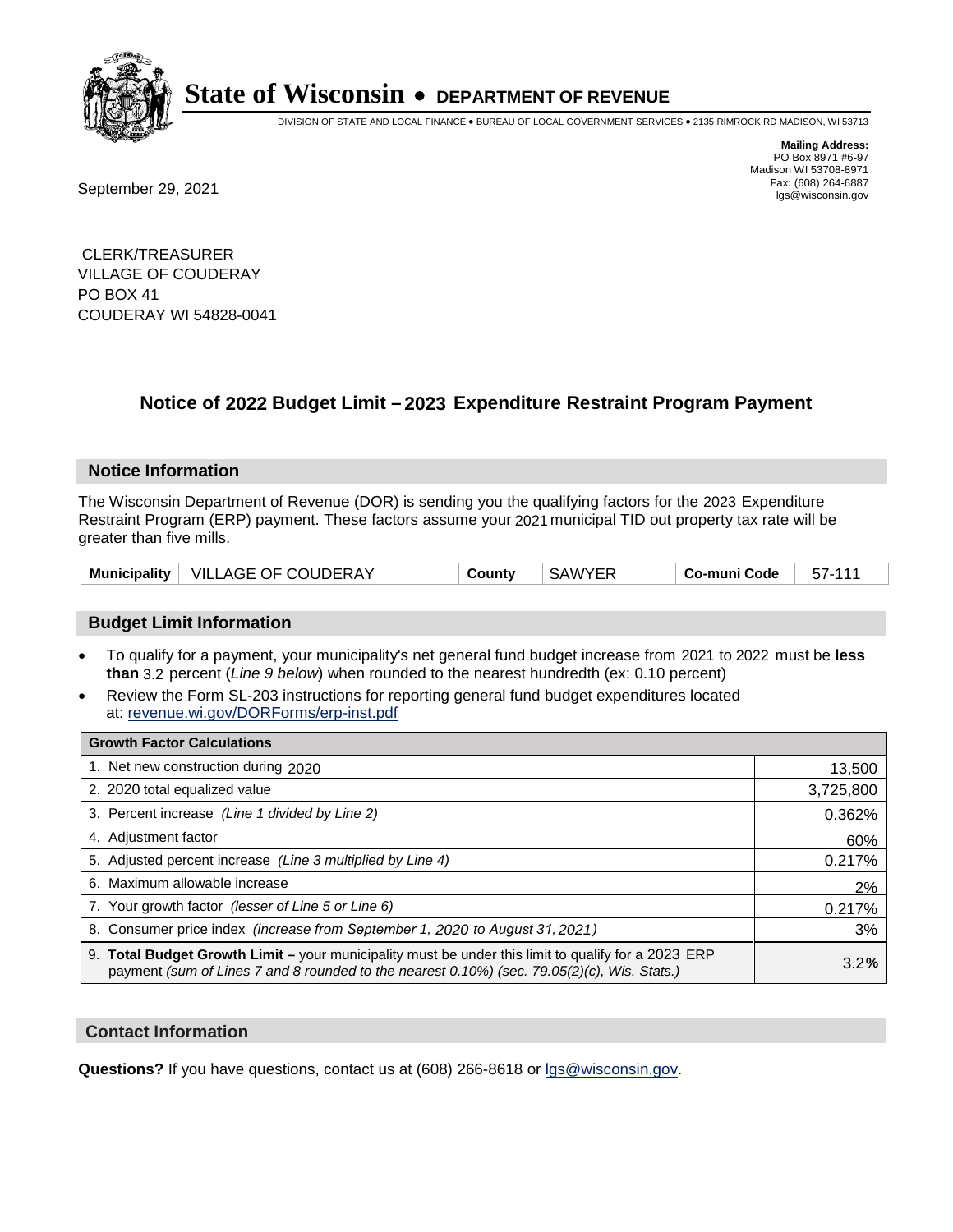

DIVISION OF STATE AND LOCAL FINANCE • BUREAU OF LOCAL GOVERNMENT SERVICES • 2135 RIMROCK RD MADISON, WI 53713

Fax: (608) 264-6887<br>
September 29, 2021 and the state of the state of the state of the state of the state of the state of the state of the state of the state of the state of the state of the state of the state of the state

**Mailing Address:** PO Box 8971 #6-97 Madison WI 53708-8971<br>Fax: (608) 264-6887

 CLERK/TREASURER VILLAGE OF COUDERAY PO BOX 41 COUDERAY WI 54828-0041

### **Notice of 2022 Budget Limit - 2023 Expenditure Restraint Program Payment**

#### **Notice Information**

The Wisconsin Department of Revenue (DOR) is sending you the qualifying factors for the 2023 Expenditure Restraint Program (ERP) payment. These factors assume your 2021 municipal TID out property tax rate will be greater than five mills.

| Municipality   VILLAGE OF COUDERAY | County | <b>SAWYER</b> | Co-muni Code | 57-111 |
|------------------------------------|--------|---------------|--------------|--------|
|------------------------------------|--------|---------------|--------------|--------|

#### **Budget Limit Information**

- To qualify for a payment, your municipality's net general fund budget increase from 2021 to 2022 must be less **than** 3.2 percent (*Line 9 below*) when rounded to the nearest hundredth (ex: 0.10 percent)
- Review the Form SL-203 instructions for reporting general fund budget expenditures located at: revenue.wi.gov/DORForms/erp-inst.pdf

| <b>Growth Factor Calculations</b>                                                                                                                                                                  |           |
|----------------------------------------------------------------------------------------------------------------------------------------------------------------------------------------------------|-----------|
| 1. Net new construction during 2020                                                                                                                                                                | 13,500    |
| 2. 2020 total equalized value                                                                                                                                                                      | 3,725,800 |
| 3. Percent increase (Line 1 divided by Line 2)                                                                                                                                                     | 0.362%    |
| 4. Adjustment factor                                                                                                                                                                               | 60%       |
| 5. Adjusted percent increase (Line 3 multiplied by Line 4)                                                                                                                                         | 0.217%    |
| 6. Maximum allowable increase                                                                                                                                                                      | 2%        |
| 7. Your growth factor (lesser of Line 5 or Line 6)                                                                                                                                                 | 0.217%    |
| 8. Consumer price index (increase from September 1, 2020 to August 31, 2021)                                                                                                                       | 3%        |
| 9. Total Budget Growth Limit – your municipality must be under this limit to qualify for a 2023 ERP<br>payment (sum of Lines 7 and 8 rounded to the nearest 0.10%) (sec. 79.05(2)(c), Wis. Stats.) | 3.2%      |

#### **Contact Information**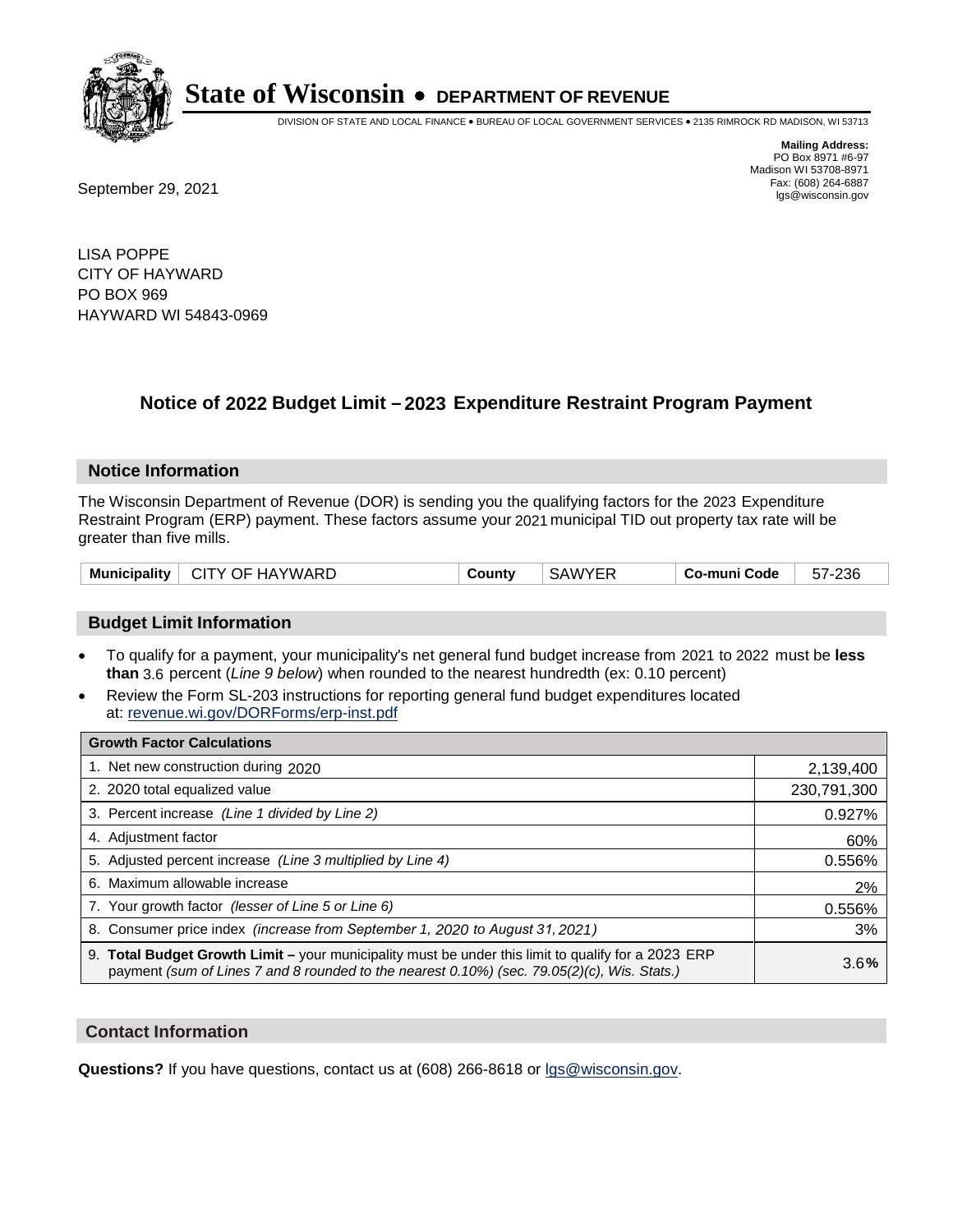

DIVISION OF STATE AND LOCAL FINANCE • BUREAU OF LOCAL GOVERNMENT SERVICES • 2135 RIMROCK RD MADISON, WI 53713

**Mailing Address:** PO Box 8971 #6-97 Madison WI 53708-8971<br>Fax: (608) 264-6887

Fax: (608) 264-6887<br>
September 29, 2021 and the state of the state of the state of the state of the state of the state of the state of the state of the state of the state of the state of the state of the state of the state

LISA POPPE CITY OF HAYWARD PO BOX 969 HAYWARD WI 54843-0969

## **Notice of 2022 Budget Limit - 2023 Expenditure Restraint Program Payment**

#### **Notice Information**

The Wisconsin Department of Revenue (DOR) is sending you the qualifying factors for the 2023 Expenditure Restraint Program (ERP) payment. These factors assume your 2021 municipal TID out property tax rate will be greater than five mills.

| <b>Municipality</b><br>$\vdash$ CITY OF HAYWARD | Countv | <b>SAWYER</b> | Co-muni Code | 57-236 |
|-------------------------------------------------|--------|---------------|--------------|--------|
|-------------------------------------------------|--------|---------------|--------------|--------|

#### **Budget Limit Information**

- To qualify for a payment, your municipality's net general fund budget increase from 2021 to 2022 must be less **than** 3.6 percent (*Line 9 below*) when rounded to the nearest hundredth (ex: 0.10 percent)
- Review the Form SL-203 instructions for reporting general fund budget expenditures located at: revenue.wi.gov/DORForms/erp-inst.pdf

| <b>Growth Factor Calculations</b>                                                                                                                                                                  |             |
|----------------------------------------------------------------------------------------------------------------------------------------------------------------------------------------------------|-------------|
| 1. Net new construction during 2020                                                                                                                                                                | 2,139,400   |
| 2. 2020 total equalized value                                                                                                                                                                      | 230,791,300 |
| 3. Percent increase (Line 1 divided by Line 2)                                                                                                                                                     | 0.927%      |
| 4. Adjustment factor                                                                                                                                                                               | 60%         |
| 5. Adjusted percent increase (Line 3 multiplied by Line 4)                                                                                                                                         | 0.556%      |
| 6. Maximum allowable increase                                                                                                                                                                      | 2%          |
| 7. Your growth factor (lesser of Line 5 or Line 6)                                                                                                                                                 | 0.556%      |
| 8. Consumer price index (increase from September 1, 2020 to August 31, 2021)                                                                                                                       | 3%          |
| 9. Total Budget Growth Limit - your municipality must be under this limit to qualify for a 2023 ERP<br>payment (sum of Lines 7 and 8 rounded to the nearest 0.10%) (sec. 79.05(2)(c), Wis. Stats.) | 3.6%        |

#### **Contact Information**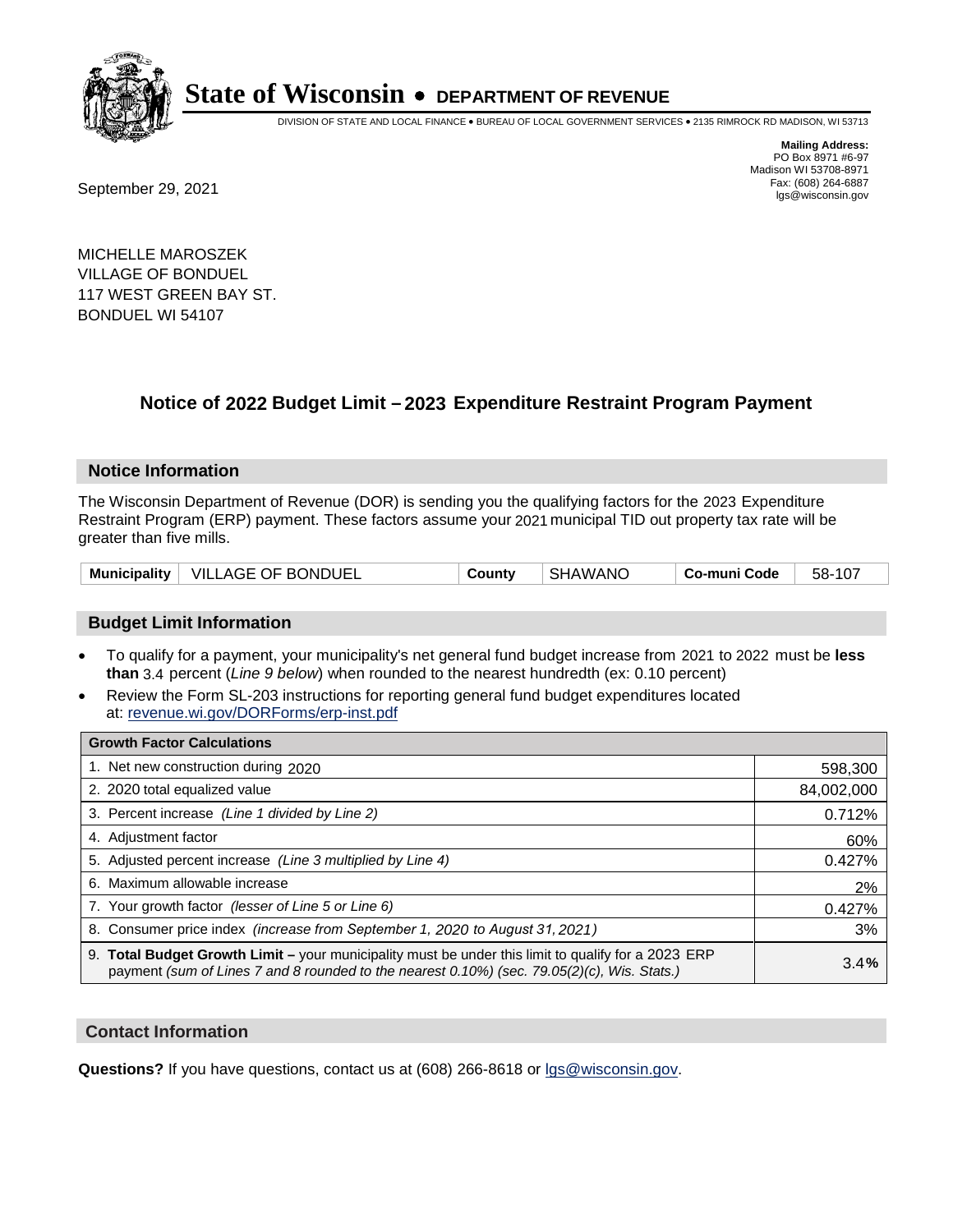

DIVISION OF STATE AND LOCAL FINANCE • BUREAU OF LOCAL GOVERNMENT SERVICES • 2135 RIMROCK RD MADISON, WI 53713

Fax: (608) 264-6887<br>
September 29, 2021 and the state of the state of the state of the state of the state of the state of the state of the state of the state of the state of the state of the state of the state of the state

**Mailing Address:** PO Box 8971 #6-97 Madison WI 53708-8971<br>Fax: (608) 264-6887

MICHELLE MAROSZEK VILLAGE OF BONDUEL 117 WEST GREEN BAY ST. BONDUEL WI 54107

## **Notice of 2022 Budget Limit - 2023 Expenditure Restraint Program Payment**

#### **Notice Information**

The Wisconsin Department of Revenue (DOR) is sending you the qualifying factors for the 2023 Expenditure Restraint Program (ERP) payment. These factors assume your 2021 municipal TID out property tax rate will be greater than five mills.

| Municipality   VILLAGE OF BONDUEL | County | <b>SHAWANO</b> | Co-muni Code | 58-107 |
|-----------------------------------|--------|----------------|--------------|--------|
|-----------------------------------|--------|----------------|--------------|--------|

#### **Budget Limit Information**

- To qualify for a payment, your municipality's net general fund budget increase from 2021 to 2022 must be less **than** 3.4 percent (*Line 9 below*) when rounded to the nearest hundredth (ex: 0.10 percent)
- Review the Form SL-203 instructions for reporting general fund budget expenditures located at: revenue.wi.gov/DORForms/erp-inst.pdf

| <b>Growth Factor Calculations</b>                                                                                                                                                                  |            |
|----------------------------------------------------------------------------------------------------------------------------------------------------------------------------------------------------|------------|
| 1. Net new construction during 2020                                                                                                                                                                | 598,300    |
| 2. 2020 total equalized value                                                                                                                                                                      | 84,002,000 |
| 3. Percent increase (Line 1 divided by Line 2)                                                                                                                                                     | 0.712%     |
| 4. Adjustment factor                                                                                                                                                                               | 60%        |
| 5. Adjusted percent increase (Line 3 multiplied by Line 4)                                                                                                                                         | 0.427%     |
| 6. Maximum allowable increase                                                                                                                                                                      | 2%         |
| 7. Your growth factor (lesser of Line 5 or Line 6)                                                                                                                                                 | 0.427%     |
| 8. Consumer price index (increase from September 1, 2020 to August 31, 2021)                                                                                                                       | 3%         |
| 9. Total Budget Growth Limit - your municipality must be under this limit to qualify for a 2023 ERP<br>payment (sum of Lines 7 and 8 rounded to the nearest 0.10%) (sec. 79.05(2)(c), Wis. Stats.) | 3.4%       |

#### **Contact Information**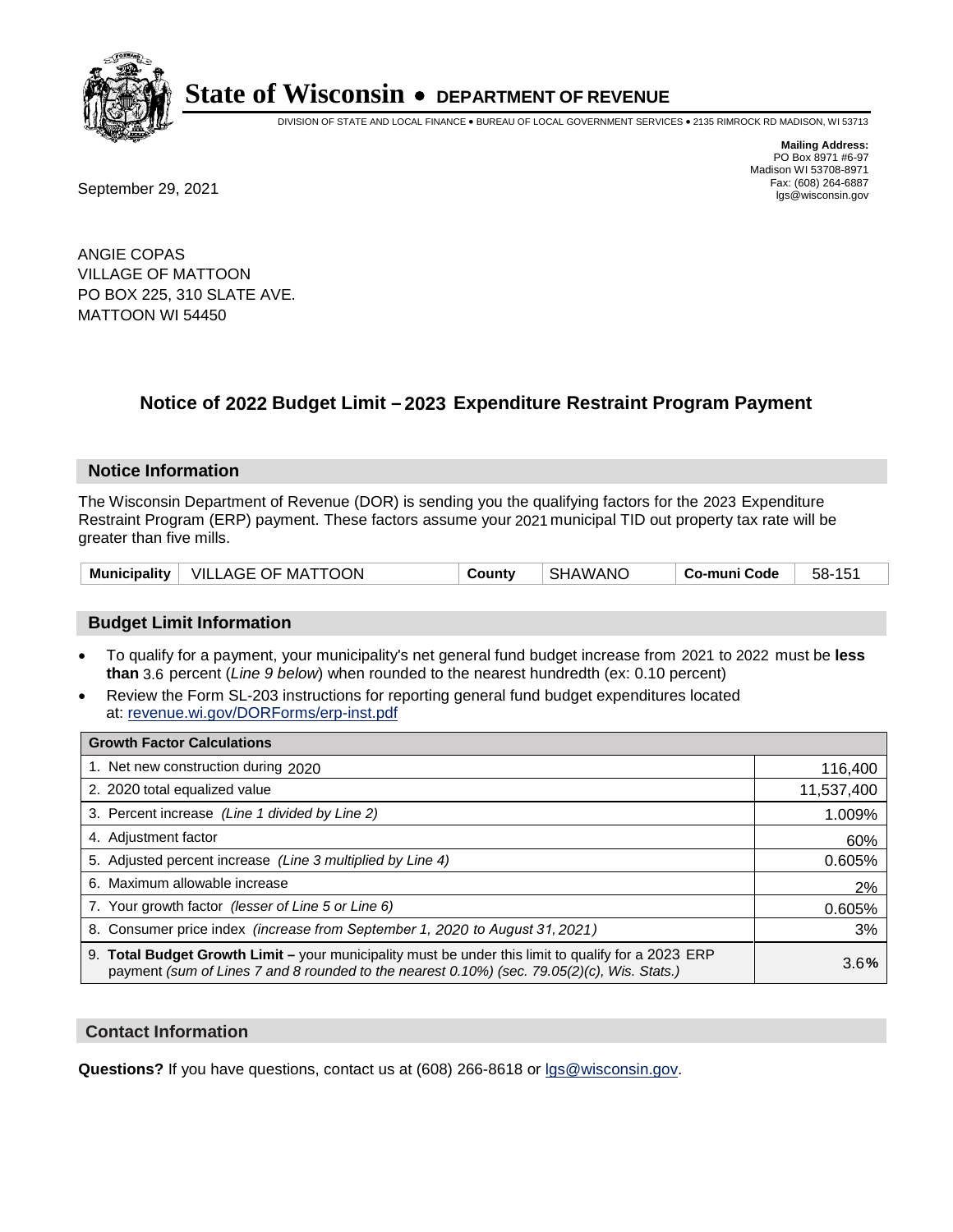

DIVISION OF STATE AND LOCAL FINANCE • BUREAU OF LOCAL GOVERNMENT SERVICES • 2135 RIMROCK RD MADISON, WI 53713

**Mailing Address:** PO Box 8971 #6-97 Madison WI 53708-8971<br>Fax: (608) 264-6887

Fax: (608) 264-6887<br>
September 29, 2021 and the state of the state of the state of the state of the state of the state of the state of the state of the state of the state of the state of the state of the state of the state

ANGIE COPAS VILLAGE OF MATTOON PO BOX 225, 310 SLATE AVE. MATTOON WI 54450

## **Notice of 2022 Budget Limit - 2023 Expenditure Restraint Program Payment**

#### **Notice Information**

The Wisconsin Department of Revenue (DOR) is sending you the qualifying factors for the 2023 Expenditure Restraint Program (ERP) payment. These factors assume your 2021 municipal TID out property tax rate will be greater than five mills.

|  | Municipality   VILLAGE OF MATTOON | County | <b>SHAWANO</b> | Co-muni Code | 58-151 |
|--|-----------------------------------|--------|----------------|--------------|--------|
|--|-----------------------------------|--------|----------------|--------------|--------|

#### **Budget Limit Information**

- To qualify for a payment, your municipality's net general fund budget increase from 2021 to 2022 must be less **than** 3.6 percent (*Line 9 below*) when rounded to the nearest hundredth (ex: 0.10 percent)
- Review the Form SL-203 instructions for reporting general fund budget expenditures located at: revenue.wi.gov/DORForms/erp-inst.pdf

| <b>Growth Factor Calculations</b>                                                                                                                                                                      |            |
|--------------------------------------------------------------------------------------------------------------------------------------------------------------------------------------------------------|------------|
| 1. Net new construction during 2020                                                                                                                                                                    | 116,400    |
| 2. 2020 total equalized value                                                                                                                                                                          | 11,537,400 |
| 3. Percent increase (Line 1 divided by Line 2)                                                                                                                                                         | 1.009%     |
| 4. Adjustment factor                                                                                                                                                                                   | 60%        |
| 5. Adjusted percent increase (Line 3 multiplied by Line 4)                                                                                                                                             | 0.605%     |
| 6. Maximum allowable increase                                                                                                                                                                          | 2%         |
| 7. Your growth factor (lesser of Line 5 or Line 6)                                                                                                                                                     | 0.605%     |
| 8. Consumer price index (increase from September 1, 2020 to August 31, 2021)                                                                                                                           | 3%         |
| 9. Total Budget Growth Limit - your municipality must be under this limit to qualify for a 2023 ERP<br>payment (sum of Lines 7 and 8 rounded to the nearest $0.10\%$ ) (sec. 79.05(2)(c), Wis. Stats.) | 3.6%       |

#### **Contact Information**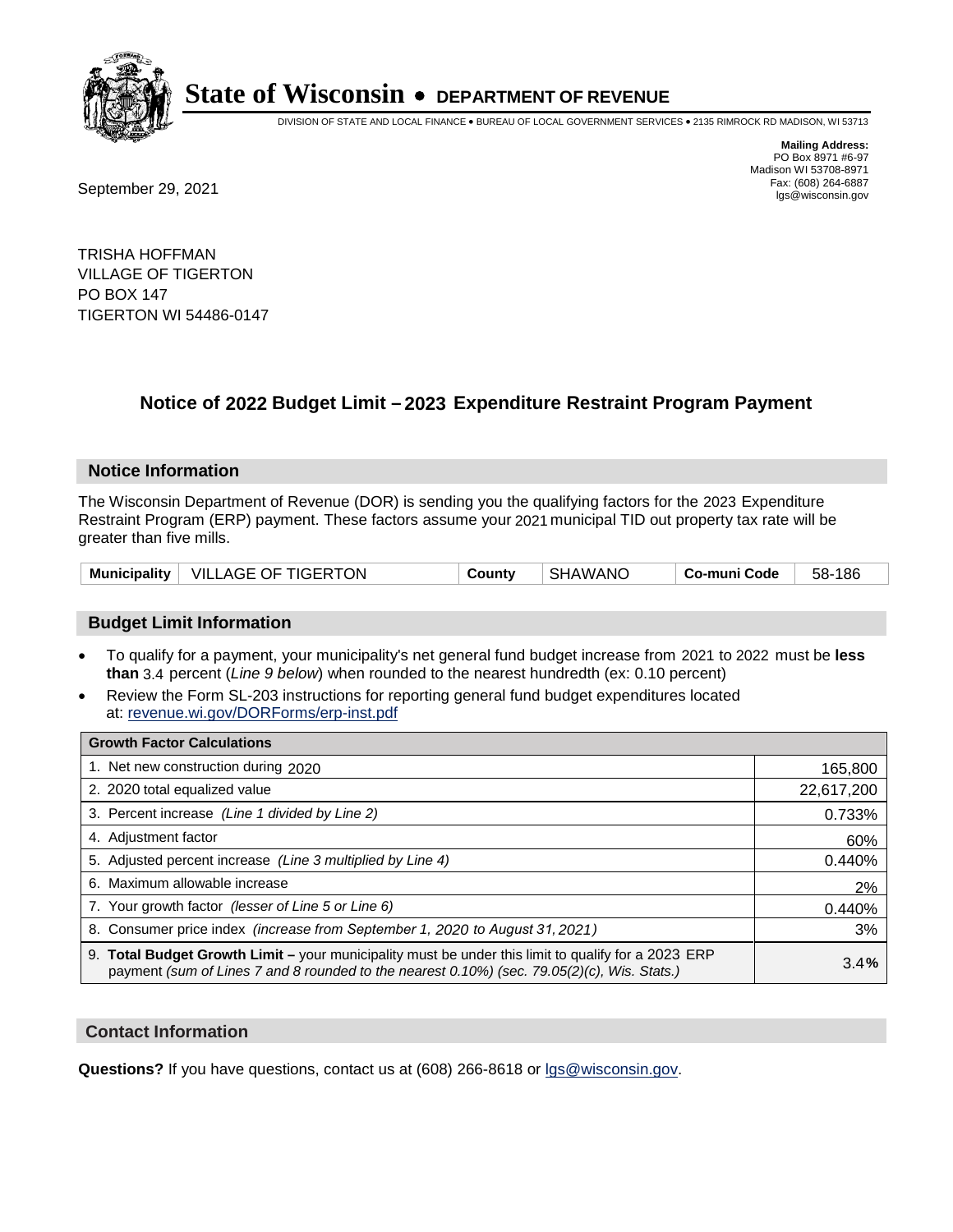

DIVISION OF STATE AND LOCAL FINANCE • BUREAU OF LOCAL GOVERNMENT SERVICES • 2135 RIMROCK RD MADISON, WI 53713

Fax: (608) 264-6887<br>
September 29, 2021 and the state of the state of the state of the state of the state of the state of the state of the state of the state of the state of the state of the state of the state of the state

**Mailing Address:** PO Box 8971 #6-97 Madison WI 53708-8971<br>Fax: (608) 264-6887

TRISHA HOFFMAN VILLAGE OF TIGERTON PO BOX 147 TIGERTON WI 54486-0147

## **Notice of 2022 Budget Limit - 2023 Expenditure Restraint Program Payment**

#### **Notice Information**

The Wisconsin Department of Revenue (DOR) is sending you the qualifying factors for the 2023 Expenditure Restraint Program (ERP) payment. These factors assume your 2021 municipal TID out property tax rate will be greater than five mills.

|  | Municipality   VILLAGE OF TIGERTON | County | <b>SHAWANO</b> | Co-muni Code | 58-186 |
|--|------------------------------------|--------|----------------|--------------|--------|
|--|------------------------------------|--------|----------------|--------------|--------|

### **Budget Limit Information**

- To qualify for a payment, your municipality's net general fund budget increase from 2021 to 2022 must be less **than** 3.4 percent (*Line 9 below*) when rounded to the nearest hundredth (ex: 0.10 percent)
- Review the Form SL-203 instructions for reporting general fund budget expenditures located at: revenue.wi.gov/DORForms/erp-inst.pdf

| <b>Growth Factor Calculations</b>                                                                                                                                                                  |            |
|----------------------------------------------------------------------------------------------------------------------------------------------------------------------------------------------------|------------|
| 1. Net new construction during 2020                                                                                                                                                                | 165,800    |
| 2. 2020 total equalized value                                                                                                                                                                      | 22,617,200 |
| 3. Percent increase (Line 1 divided by Line 2)                                                                                                                                                     | 0.733%     |
| 4. Adjustment factor                                                                                                                                                                               | 60%        |
| 5. Adjusted percent increase (Line 3 multiplied by Line 4)                                                                                                                                         | 0.440%     |
| 6. Maximum allowable increase                                                                                                                                                                      | 2%         |
| 7. Your growth factor (lesser of Line 5 or Line 6)                                                                                                                                                 | 0.440%     |
| 8. Consumer price index (increase from September 1, 2020 to August 31, 2021)                                                                                                                       | 3%         |
| 9. Total Budget Growth Limit - your municipality must be under this limit to qualify for a 2023 ERP<br>payment (sum of Lines 7 and 8 rounded to the nearest 0.10%) (sec. 79.05(2)(c), Wis. Stats.) | 3.4%       |

#### **Contact Information**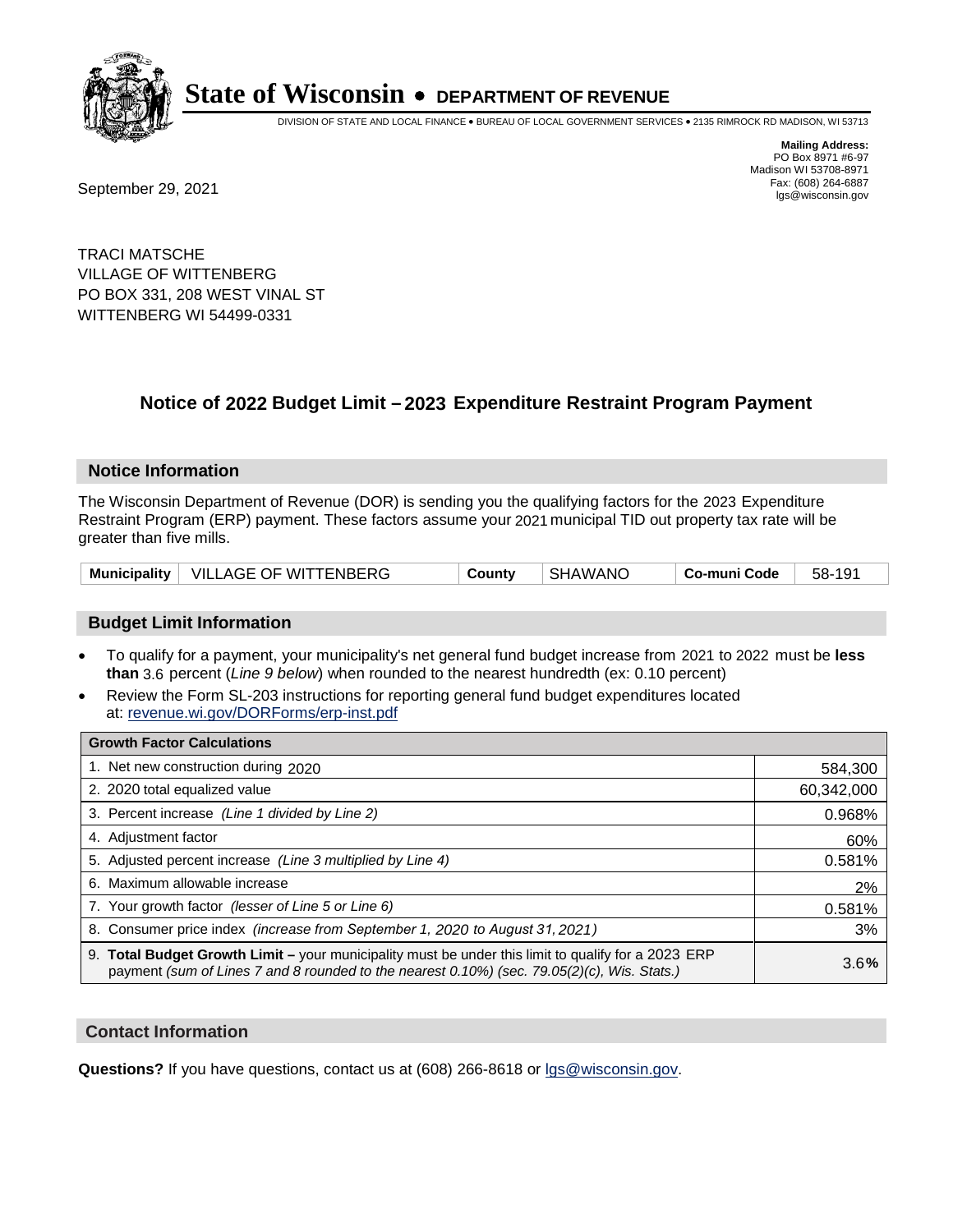

DIVISION OF STATE AND LOCAL FINANCE • BUREAU OF LOCAL GOVERNMENT SERVICES • 2135 RIMROCK RD MADISON, WI 53713

**Mailing Address:** PO Box 8971 #6-97 Madison WI 53708-8971<br>Fax: (608) 264-6887

Fax: (608) 264-6887<br>
September 29, 2021 and the state of the state of the state of the state of the state of the state of the state of the state of the state of the state of the state of the state of the state of the state

TRACI MATSCHE VILLAGE OF WITTENBERG PO BOX 331, 208 WEST VINAL ST WITTENBERG WI 54499-0331

## **Notice of 2022 Budget Limit - 2023 Expenditure Restraint Program Payment**

#### **Notice Information**

The Wisconsin Department of Revenue (DOR) is sending you the qualifying factors for the 2023 Expenditure Restraint Program (ERP) payment. These factors assume your 2021 municipal TID out property tax rate will be greater than five mills.

|  | Municipality   VILLAGE OF WITTENBERG | County | SHAWANO | Co-muni Code | 58-191 |
|--|--------------------------------------|--------|---------|--------------|--------|
|--|--------------------------------------|--------|---------|--------------|--------|

### **Budget Limit Information**

- To qualify for a payment, your municipality's net general fund budget increase from 2021 to 2022 must be less **than** 3.6 percent (*Line 9 below*) when rounded to the nearest hundredth (ex: 0.10 percent)
- Review the Form SL-203 instructions for reporting general fund budget expenditures located at: revenue.wi.gov/DORForms/erp-inst.pdf

| <b>Growth Factor Calculations</b>                                                                                                                                                                      |            |
|--------------------------------------------------------------------------------------------------------------------------------------------------------------------------------------------------------|------------|
| 1. Net new construction during 2020                                                                                                                                                                    | 584,300    |
| 2. 2020 total equalized value                                                                                                                                                                          | 60,342,000 |
| 3. Percent increase (Line 1 divided by Line 2)                                                                                                                                                         | 0.968%     |
| 4. Adjustment factor                                                                                                                                                                                   | 60%        |
| 5. Adjusted percent increase (Line 3 multiplied by Line 4)                                                                                                                                             | 0.581%     |
| 6. Maximum allowable increase                                                                                                                                                                          | 2%         |
| 7. Your growth factor (lesser of Line 5 or Line 6)                                                                                                                                                     | 0.581%     |
| 8. Consumer price index (increase from September 1, 2020 to August 31, 2021)                                                                                                                           | 3%         |
| 9. Total Budget Growth Limit - your municipality must be under this limit to qualify for a 2023 ERP<br>payment (sum of Lines 7 and 8 rounded to the nearest $0.10\%$ ) (sec. 79.05(2)(c), Wis. Stats.) | 3.6%       |

#### **Contact Information**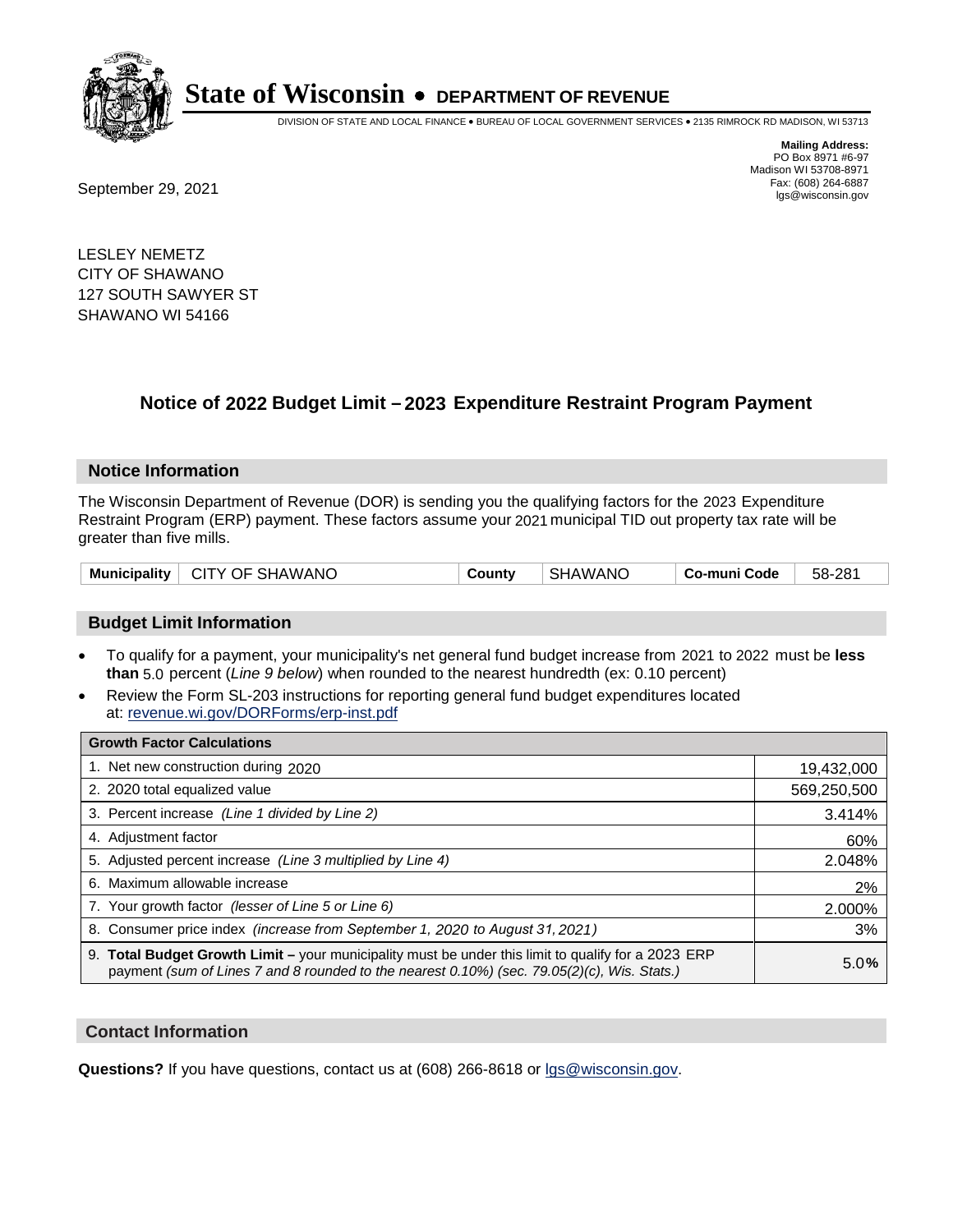

DIVISION OF STATE AND LOCAL FINANCE • BUREAU OF LOCAL GOVERNMENT SERVICES • 2135 RIMROCK RD MADISON, WI 53713

**Mailing Address:** PO Box 8971 #6-97 Madison WI 53708-8971<br>Fax: (608) 264-6887

Fax: (608) 264-6887<br>
September 29, 2021 and the state of the state of the state of the state of the state of the state of the state of the state of the state of the state of the state of the state of the state of the state

LESLEY NEMETZ CITY OF SHAWANO 127 SOUTH SAWYER ST SHAWANO WI 54166

## **Notice of 2022 Budget Limit - 2023 Expenditure Restraint Program Payment**

#### **Notice Information**

The Wisconsin Department of Revenue (DOR) is sending you the qualifying factors for the 2023 Expenditure Restraint Program (ERP) payment. These factors assume your 2021 municipal TID out property tax rate will be greater than five mills.

| Municipality   CITY OF SHAWANO | County | SHAWANO | Co-muni Code l | 58-281 |
|--------------------------------|--------|---------|----------------|--------|
|--------------------------------|--------|---------|----------------|--------|

### **Budget Limit Information**

- To qualify for a payment, your municipality's net general fund budget increase from 2021 to 2022 must be less **than** 5.0 percent (*Line 9 below*) when rounded to the nearest hundredth (ex: 0.10 percent)
- Review the Form SL-203 instructions for reporting general fund budget expenditures located at: revenue.wi.gov/DORForms/erp-inst.pdf

| <b>Growth Factor Calculations</b>                                                                                                                                                                  |             |
|----------------------------------------------------------------------------------------------------------------------------------------------------------------------------------------------------|-------------|
| 1. Net new construction during 2020                                                                                                                                                                | 19,432,000  |
| 2. 2020 total equalized value                                                                                                                                                                      | 569,250,500 |
| 3. Percent increase (Line 1 divided by Line 2)                                                                                                                                                     | 3.414%      |
| 4. Adjustment factor                                                                                                                                                                               | 60%         |
| 5. Adjusted percent increase (Line 3 multiplied by Line 4)                                                                                                                                         | 2.048%      |
| Maximum allowable increase<br>6.                                                                                                                                                                   | 2%          |
| 7. Your growth factor (lesser of Line 5 or Line 6)                                                                                                                                                 | 2.000%      |
| 8. Consumer price index (increase from September 1, 2020 to August 31, 2021)                                                                                                                       | 3%          |
| 9. Total Budget Growth Limit - your municipality must be under this limit to qualify for a 2023 ERP<br>payment (sum of Lines 7 and 8 rounded to the nearest 0.10%) (sec. 79.05(2)(c), Wis. Stats.) | 5.0%        |

#### **Contact Information**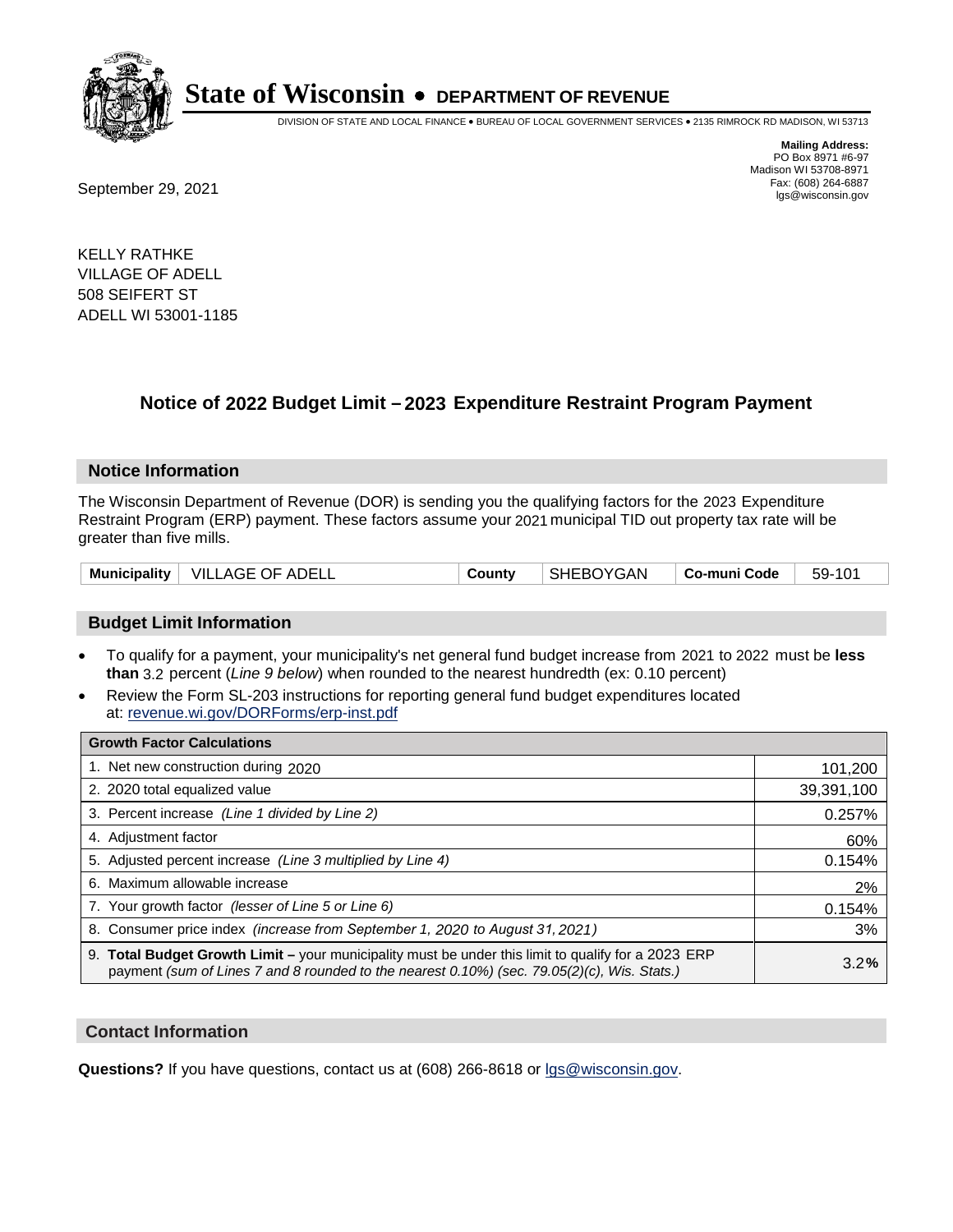

DIVISION OF STATE AND LOCAL FINANCE • BUREAU OF LOCAL GOVERNMENT SERVICES • 2135 RIMROCK RD MADISON, WI 53713

**Mailing Address:** PO Box 8971 #6-97 Madison WI 53708-8971<br>Fax: (608) 264-6887

Fax: (608) 264-6887<br>
September 29, 2021 and the state of the state of the state of the state of the state of the state of the state of the state of the state of the state of the state of the state of the state of the state

KELLY RATHKE VILLAGE OF ADELL 508 SEIFERT ST ADELL WI 53001-1185

## **Notice of 2022 Budget Limit - 2023 Expenditure Restraint Program Payment**

#### **Notice Information**

The Wisconsin Department of Revenue (DOR) is sending you the qualifying factors for the 2023 Expenditure Restraint Program (ERP) payment. These factors assume your 2021 municipal TID out property tax rate will be greater than five mills.

|  | Municipality   VILLAGE OF ADELL | County | SHEBOYGAN | ∣ Co-muni Code | 59-101 |
|--|---------------------------------|--------|-----------|----------------|--------|
|--|---------------------------------|--------|-----------|----------------|--------|

### **Budget Limit Information**

- To qualify for a payment, your municipality's net general fund budget increase from 2021 to 2022 must be less **than** 3.2 percent (*Line 9 below*) when rounded to the nearest hundredth (ex: 0.10 percent)
- Review the Form SL-203 instructions for reporting general fund budget expenditures located at: revenue.wi.gov/DORForms/erp-inst.pdf

| <b>Growth Factor Calculations</b>                                                                                                                                                                  |            |
|----------------------------------------------------------------------------------------------------------------------------------------------------------------------------------------------------|------------|
| 1. Net new construction during 2020                                                                                                                                                                | 101,200    |
| 2. 2020 total equalized value                                                                                                                                                                      | 39,391,100 |
| 3. Percent increase (Line 1 divided by Line 2)                                                                                                                                                     | 0.257%     |
| 4. Adjustment factor                                                                                                                                                                               | 60%        |
| 5. Adjusted percent increase (Line 3 multiplied by Line 4)                                                                                                                                         | 0.154%     |
| 6. Maximum allowable increase                                                                                                                                                                      | 2%         |
| 7. Your growth factor (lesser of Line 5 or Line 6)                                                                                                                                                 | 0.154%     |
| 8. Consumer price index (increase from September 1, 2020 to August 31, 2021)                                                                                                                       | 3%         |
| 9. Total Budget Growth Limit – your municipality must be under this limit to qualify for a 2023 ERP<br>payment (sum of Lines 7 and 8 rounded to the nearest 0.10%) (sec. 79.05(2)(c), Wis. Stats.) | 3.2%       |

#### **Contact Information**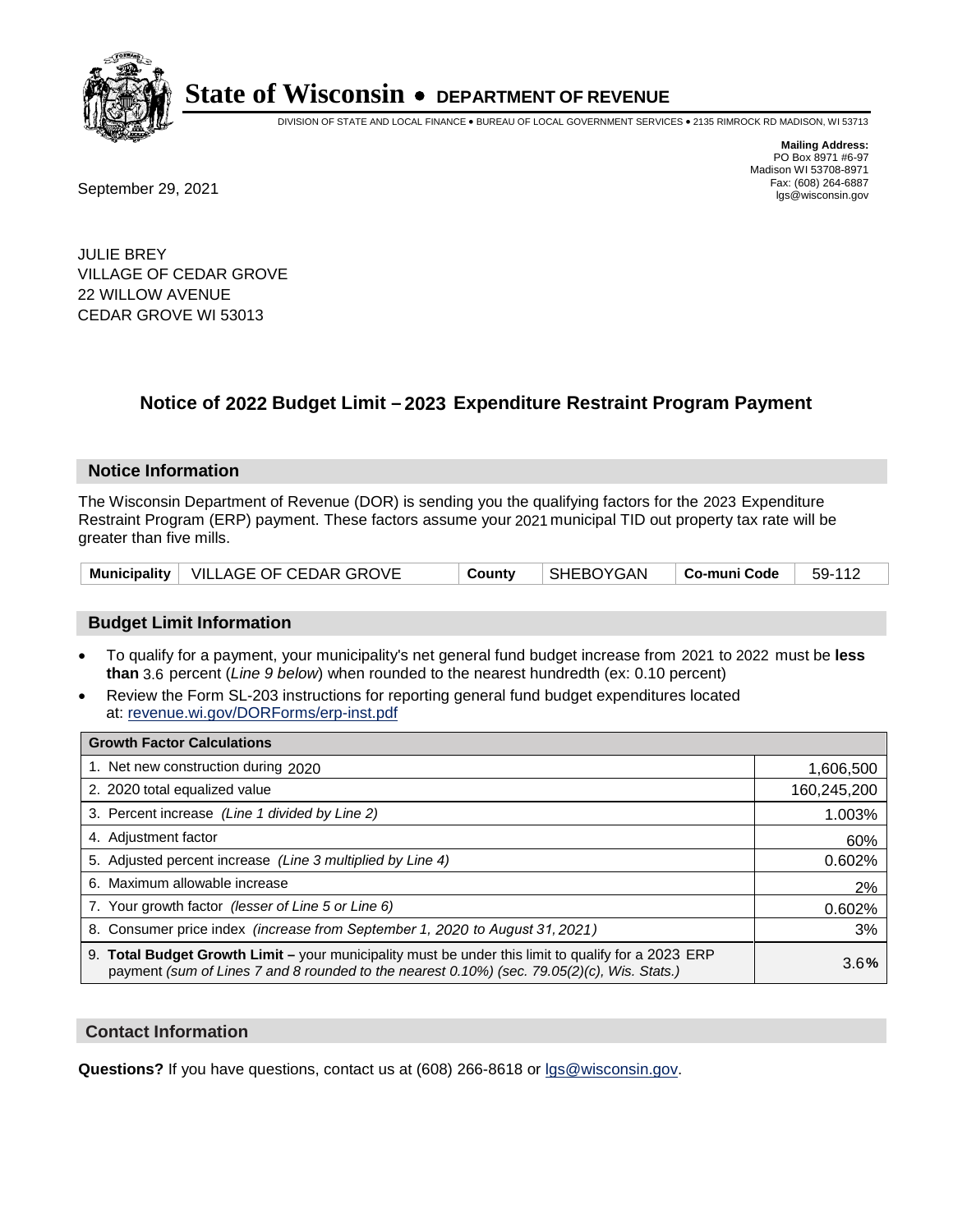

DIVISION OF STATE AND LOCAL FINANCE • BUREAU OF LOCAL GOVERNMENT SERVICES • 2135 RIMROCK RD MADISON, WI 53713

**Mailing Address:** PO Box 8971 #6-97 Madison WI 53708-8971<br>Fax: (608) 264-6887

Fax: (608) 264-6887<br>
September 29, 2021 and the state of the state of the state of the state of the state of the state of the state of the state of the state of the state of the state of the state of the state of the state

JULIE BREY VILLAGE OF CEDAR GROVE 22 WILLOW AVENUE CEDAR GROVE WI 53013

## **Notice of 2022 Budget Limit - 2023 Expenditure Restraint Program Payment**

#### **Notice Information**

The Wisconsin Department of Revenue (DOR) is sending you the qualifying factors for the 2023 Expenditure Restraint Program (ERP) payment. These factors assume your 2021 municipal TID out property tax rate will be greater than five mills.

|  | Municipality   VILLAGE OF CEDAR GROVE | County | SHEBOYGAN | $\blacksquare$ Co-muni Code $\blacksquare$ 59-112 |  |
|--|---------------------------------------|--------|-----------|---------------------------------------------------|--|
|--|---------------------------------------|--------|-----------|---------------------------------------------------|--|

### **Budget Limit Information**

- To qualify for a payment, your municipality's net general fund budget increase from 2021 to 2022 must be less **than** 3.6 percent (*Line 9 below*) when rounded to the nearest hundredth (ex: 0.10 percent)
- Review the Form SL-203 instructions for reporting general fund budget expenditures located at: revenue.wi.gov/DORForms/erp-inst.pdf

| <b>Growth Factor Calculations</b>                                                                                                                                                                  |             |
|----------------------------------------------------------------------------------------------------------------------------------------------------------------------------------------------------|-------------|
| 1. Net new construction during 2020                                                                                                                                                                | 1,606,500   |
| 2. 2020 total equalized value                                                                                                                                                                      | 160,245,200 |
| 3. Percent increase (Line 1 divided by Line 2)                                                                                                                                                     | 1.003%      |
| 4. Adjustment factor                                                                                                                                                                               | 60%         |
| 5. Adjusted percent increase (Line 3 multiplied by Line 4)                                                                                                                                         | 0.602%      |
| Maximum allowable increase<br>6.                                                                                                                                                                   | 2%          |
| 7. Your growth factor (lesser of Line 5 or Line 6)                                                                                                                                                 | 0.602%      |
| 8. Consumer price index (increase from September 1, 2020 to August 31, 2021)                                                                                                                       | 3%          |
| 9. Total Budget Growth Limit - your municipality must be under this limit to qualify for a 2023 ERP<br>payment (sum of Lines 7 and 8 rounded to the nearest 0.10%) (sec. 79.05(2)(c), Wis. Stats.) | 3.6%        |

#### **Contact Information**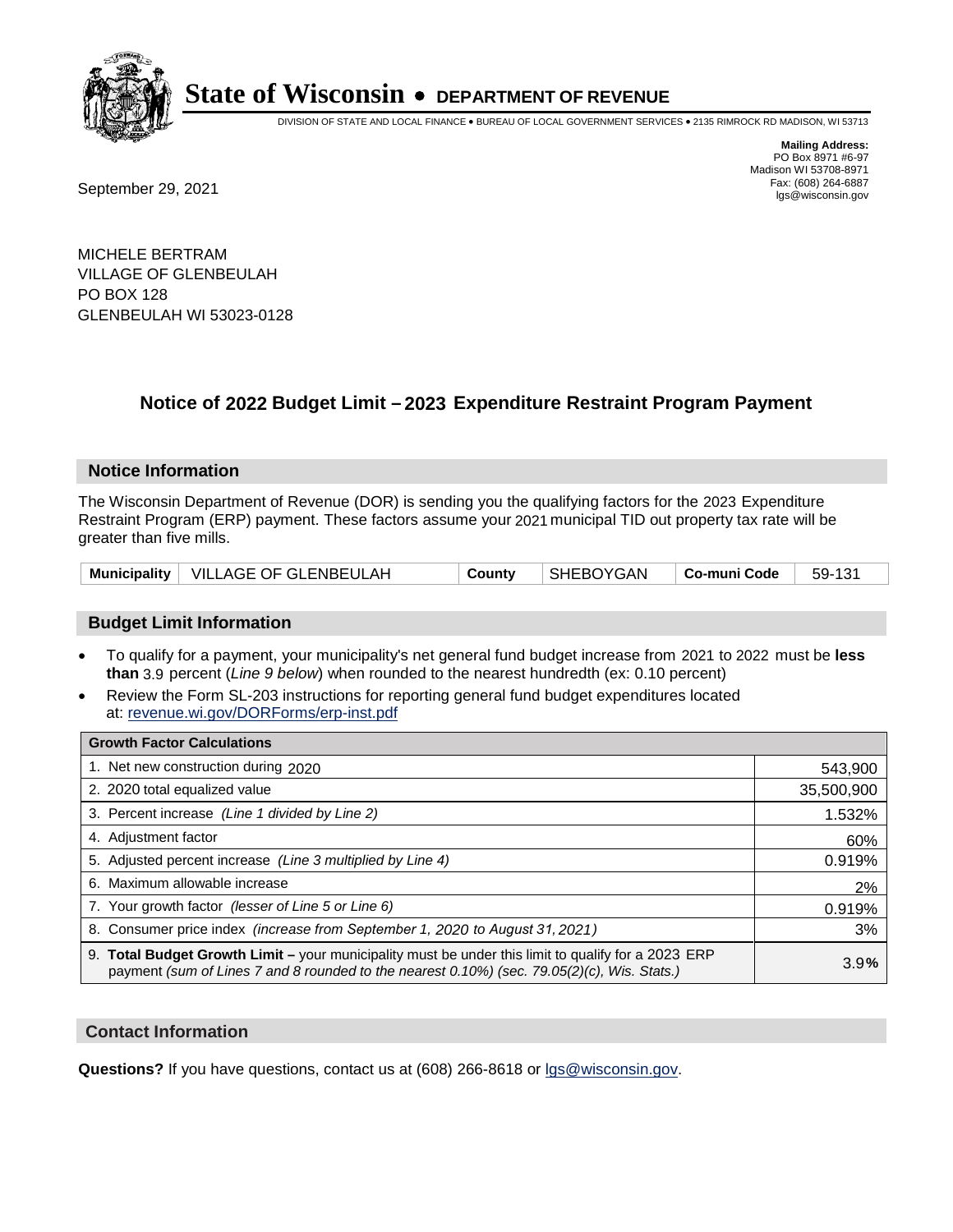

DIVISION OF STATE AND LOCAL FINANCE • BUREAU OF LOCAL GOVERNMENT SERVICES • 2135 RIMROCK RD MADISON, WI 53713

Fax: (608) 264-6887<br>
September 29, 2021 and the state of the state of the state of the state of the state of the state of the state of the state of the state of the state of the state of the state of the state of the state

**Mailing Address:** PO Box 8971 #6-97 Madison WI 53708-8971<br>Fax: (608) 264-6887

MICHELE BERTRAM VILLAGE OF GLENBEULAH PO BOX 128 GLENBEULAH WI 53023-0128

## **Notice of 2022 Budget Limit - 2023 Expenditure Restraint Program Payment**

#### **Notice Information**

The Wisconsin Department of Revenue (DOR) is sending you the qualifying factors for the 2023 Expenditure Restraint Program (ERP) payment. These factors assume your 2021 municipal TID out property tax rate will be greater than five mills.

| Municipality   VILLAGE OF GLENBEULAH | County | SHEBOYGAN | $\vert$ Co-muni Code $\vert$ 59-131 |  |
|--------------------------------------|--------|-----------|-------------------------------------|--|
|--------------------------------------|--------|-----------|-------------------------------------|--|

### **Budget Limit Information**

- To qualify for a payment, your municipality's net general fund budget increase from 2021 to 2022 must be less **than** 3.9 percent (*Line 9 below*) when rounded to the nearest hundredth (ex: 0.10 percent)
- Review the Form SL-203 instructions for reporting general fund budget expenditures located at: revenue.wi.gov/DORForms/erp-inst.pdf

| <b>Growth Factor Calculations</b>                                                                                                                                                                  |            |
|----------------------------------------------------------------------------------------------------------------------------------------------------------------------------------------------------|------------|
| 1. Net new construction during 2020                                                                                                                                                                | 543,900    |
| 2. 2020 total equalized value                                                                                                                                                                      | 35,500,900 |
| 3. Percent increase (Line 1 divided by Line 2)                                                                                                                                                     | 1.532%     |
| 4. Adiustment factor                                                                                                                                                                               | 60%        |
| 5. Adjusted percent increase (Line 3 multiplied by Line 4)                                                                                                                                         | 0.919%     |
| 6. Maximum allowable increase                                                                                                                                                                      | 2%         |
| 7. Your growth factor (lesser of Line 5 or Line 6)                                                                                                                                                 | 0.919%     |
| 8. Consumer price index (increase from September 1, 2020 to August 31, 2021)                                                                                                                       | 3%         |
| 9. Total Budget Growth Limit - your municipality must be under this limit to qualify for a 2023 ERP<br>payment (sum of Lines 7 and 8 rounded to the nearest 0.10%) (sec. 79.05(2)(c), Wis. Stats.) | 3.9%       |

#### **Contact Information**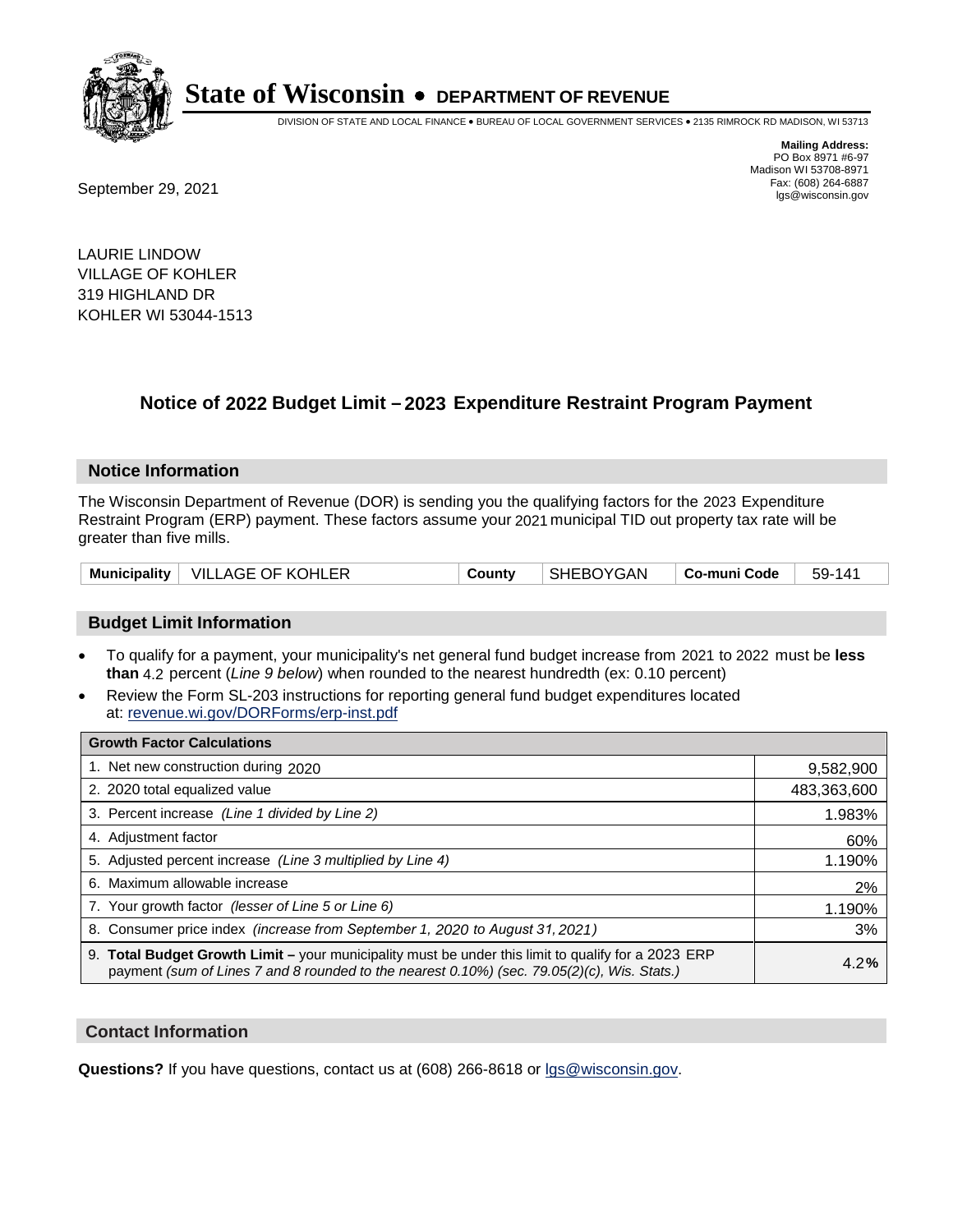

DIVISION OF STATE AND LOCAL FINANCE • BUREAU OF LOCAL GOVERNMENT SERVICES • 2135 RIMROCK RD MADISON, WI 53713

Fax: (608) 264-6887<br>
September 29, 2021 and the state of the state of the state of the state of the state of the state of the state of the state of the state of the state of the state of the state of the state of the state

**Mailing Address:** PO Box 8971 #6-97 Madison WI 53708-8971<br>Fax: (608) 264-6887

LAURIE LINDOW VILLAGE OF KOHLER 319 HIGHLAND DR KOHLER WI 53044-1513

## **Notice of 2022 Budget Limit - 2023 Expenditure Restraint Program Payment**

#### **Notice Information**

The Wisconsin Department of Revenue (DOR) is sending you the qualifying factors for the 2023 Expenditure Restraint Program (ERP) payment. These factors assume your 2021 municipal TID out property tax rate will be greater than five mills.

|  | Municipality   VILLAGE OF KOHLER | County | SHEBOYGAN | ∣ Co-muni Code <sup>∣</sup> | 59-141 |
|--|----------------------------------|--------|-----------|-----------------------------|--------|
|--|----------------------------------|--------|-----------|-----------------------------|--------|

### **Budget Limit Information**

- To qualify for a payment, your municipality's net general fund budget increase from 2021 to 2022 must be less **than** 4.2 percent (*Line 9 below*) when rounded to the nearest hundredth (ex: 0.10 percent)
- Review the Form SL-203 instructions for reporting general fund budget expenditures located at: revenue.wi.gov/DORForms/erp-inst.pdf

| <b>Growth Factor Calculations</b>                                                                                                                                                                  |             |
|----------------------------------------------------------------------------------------------------------------------------------------------------------------------------------------------------|-------------|
| 1. Net new construction during 2020                                                                                                                                                                | 9,582,900   |
| 2. 2020 total equalized value                                                                                                                                                                      | 483,363,600 |
| 3. Percent increase (Line 1 divided by Line 2)                                                                                                                                                     | 1.983%      |
| 4. Adjustment factor                                                                                                                                                                               | 60%         |
| 5. Adjusted percent increase (Line 3 multiplied by Line 4)                                                                                                                                         | 1.190%      |
| 6. Maximum allowable increase                                                                                                                                                                      | 2%          |
| 7. Your growth factor (lesser of Line 5 or Line 6)                                                                                                                                                 | 1.190%      |
| 8. Consumer price index (increase from September 1, 2020 to August 31, 2021)                                                                                                                       | 3%          |
| 9. Total Budget Growth Limit - your municipality must be under this limit to qualify for a 2023 ERP<br>payment (sum of Lines 7 and 8 rounded to the nearest 0.10%) (sec. 79.05(2)(c), Wis. Stats.) | 4.2%        |

#### **Contact Information**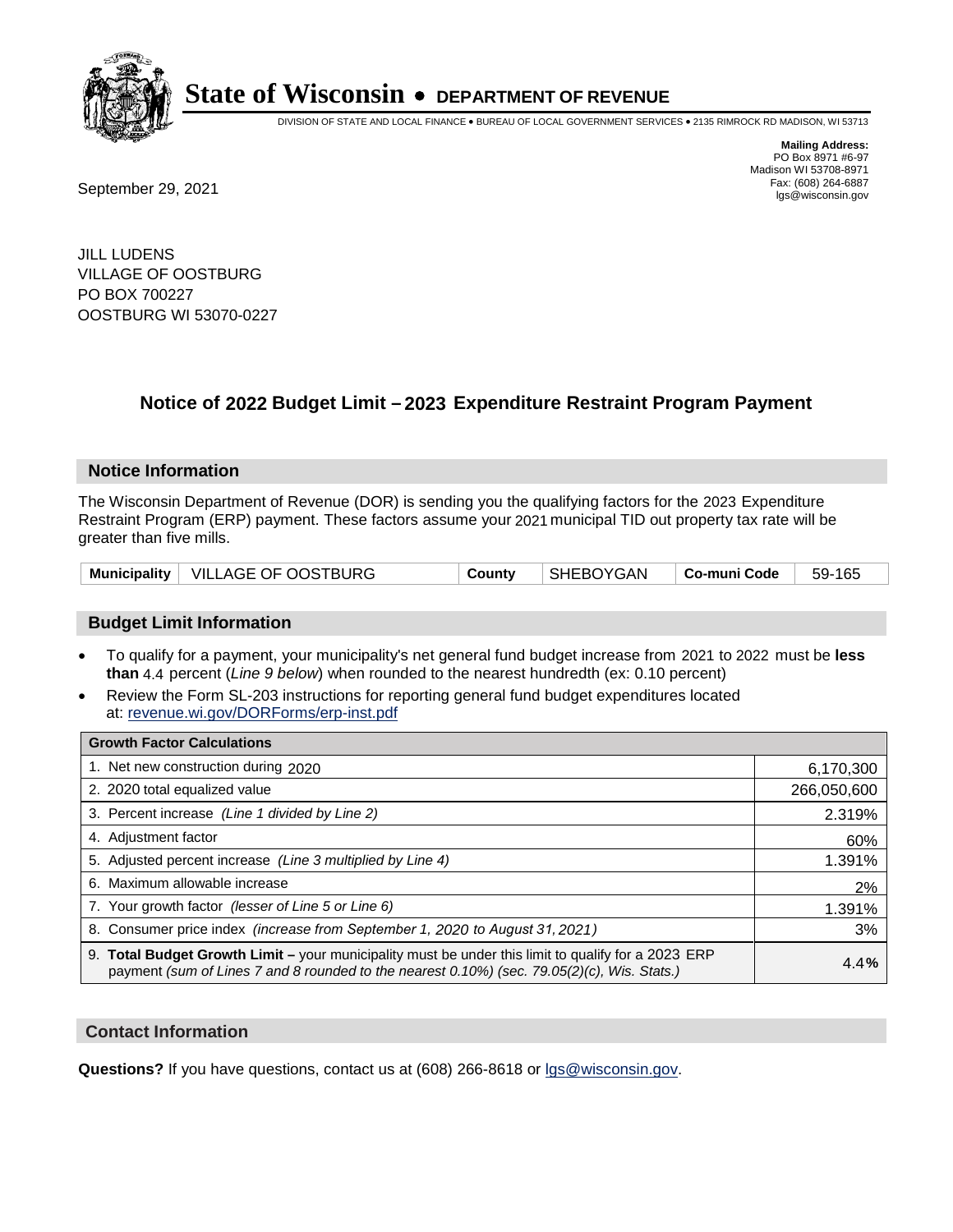

DIVISION OF STATE AND LOCAL FINANCE • BUREAU OF LOCAL GOVERNMENT SERVICES • 2135 RIMROCK RD MADISON, WI 53713

**Mailing Address:** PO Box 8971 #6-97 Madison WI 53708-8971<br>Fax: (608) 264-6887

Fax: (608) 264-6887<br>
September 29, 2021 and the state of the state of the state of the state of the state of the state of the state of the state of the state of the state of the state of the state of the state of the state

JILL LUDENS VILLAGE OF OOSTBURG PO BOX 700227 OOSTBURG WI 53070-0227

## **Notice of 2022 Budget Limit - 2023 Expenditure Restraint Program Payment**

#### **Notice Information**

The Wisconsin Department of Revenue (DOR) is sending you the qualifying factors for the 2023 Expenditure Restraint Program (ERP) payment. These factors assume your 2021 municipal TID out property tax rate will be greater than five mills.

|  | Municipality   VILLAGE OF OOSTBURG | County | SHEBOYGAN | Co-muni Code | 59-165 |
|--|------------------------------------|--------|-----------|--------------|--------|
|--|------------------------------------|--------|-----------|--------------|--------|

### **Budget Limit Information**

- To qualify for a payment, your municipality's net general fund budget increase from 2021 to 2022 must be less **than** 4.4 percent (*Line 9 below*) when rounded to the nearest hundredth (ex: 0.10 percent)
- Review the Form SL-203 instructions for reporting general fund budget expenditures located at: revenue.wi.gov/DORForms/erp-inst.pdf

| <b>Growth Factor Calculations</b>                                                                                                                                                                  |             |
|----------------------------------------------------------------------------------------------------------------------------------------------------------------------------------------------------|-------------|
| 1. Net new construction during 2020                                                                                                                                                                | 6,170,300   |
| 2. 2020 total equalized value                                                                                                                                                                      | 266,050,600 |
| 3. Percent increase (Line 1 divided by Line 2)                                                                                                                                                     | 2.319%      |
| 4. Adiustment factor                                                                                                                                                                               | 60%         |
| 5. Adjusted percent increase (Line 3 multiplied by Line 4)                                                                                                                                         | 1.391%      |
| 6. Maximum allowable increase                                                                                                                                                                      | 2%          |
| 7. Your growth factor (lesser of Line 5 or Line 6)                                                                                                                                                 | 1.391%      |
| 8. Consumer price index (increase from September 1, 2020 to August 31, 2021)                                                                                                                       | 3%          |
| 9. Total Budget Growth Limit - your municipality must be under this limit to qualify for a 2023 ERP<br>payment (sum of Lines 7 and 8 rounded to the nearest 0.10%) (sec. 79.05(2)(c), Wis. Stats.) | 4.4%        |

#### **Contact Information**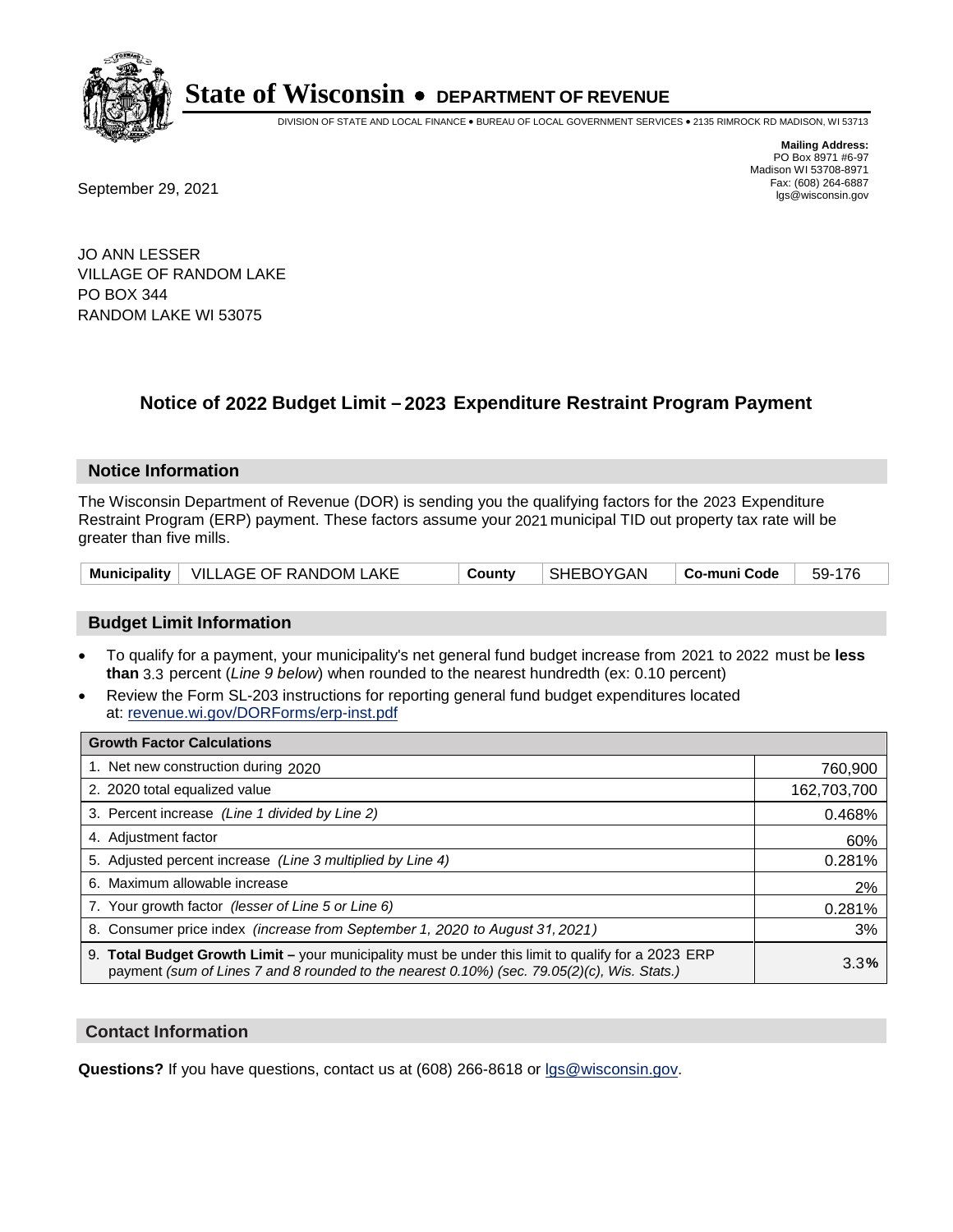

DIVISION OF STATE AND LOCAL FINANCE • BUREAU OF LOCAL GOVERNMENT SERVICES • 2135 RIMROCK RD MADISON, WI 53713

Fax: (608) 264-6887<br>
September 29, 2021 and the state of the state of the state of the state of the state of the state of the state of the state of the state of the state of the state of the state of the state of the state

**Mailing Address:** PO Box 8971 #6-97 Madison WI 53708-8971<br>Fax: (608) 264-6887

JO ANN LESSER VILLAGE OF RANDOM LAKE PO BOX 344 RANDOM LAKE WI 53075

## **Notice of 2022 Budget Limit - 2023 Expenditure Restraint Program Payment**

#### **Notice Information**

The Wisconsin Department of Revenue (DOR) is sending you the qualifying factors for the 2023 Expenditure Restraint Program (ERP) payment. These factors assume your 2021 municipal TID out property tax rate will be greater than five mills.

|  | Municipality   VILLAGE OF RANDOM LAKE | County | SHEBOYGAN | $\vert$ Co-muni Code $\vert$ 59-176 |  |
|--|---------------------------------------|--------|-----------|-------------------------------------|--|
|--|---------------------------------------|--------|-----------|-------------------------------------|--|

### **Budget Limit Information**

- To qualify for a payment, your municipality's net general fund budget increase from 2021 to 2022 must be less **than** 3.3 percent (*Line 9 below*) when rounded to the nearest hundredth (ex: 0.10 percent)
- Review the Form SL-203 instructions for reporting general fund budget expenditures located at: revenue.wi.gov/DORForms/erp-inst.pdf

| <b>Growth Factor Calculations</b>                                                                                                                                                                  |             |
|----------------------------------------------------------------------------------------------------------------------------------------------------------------------------------------------------|-------------|
| 1. Net new construction during 2020                                                                                                                                                                | 760,900     |
| 2. 2020 total equalized value                                                                                                                                                                      | 162,703,700 |
| 3. Percent increase (Line 1 divided by Line 2)                                                                                                                                                     | 0.468%      |
| 4. Adjustment factor                                                                                                                                                                               | 60%         |
| 5. Adjusted percent increase (Line 3 multiplied by Line 4)                                                                                                                                         | 0.281%      |
| 6. Maximum allowable increase                                                                                                                                                                      | 2%          |
| 7. Your growth factor (lesser of Line 5 or Line 6)                                                                                                                                                 | 0.281%      |
| 8. Consumer price index (increase from September 1, 2020 to August 31, 2021)                                                                                                                       | 3%          |
| 9. Total Budget Growth Limit - your municipality must be under this limit to qualify for a 2023 ERP<br>payment (sum of Lines 7 and 8 rounded to the nearest 0.10%) (sec. 79.05(2)(c), Wis. Stats.) | 3.3%        |

#### **Contact Information**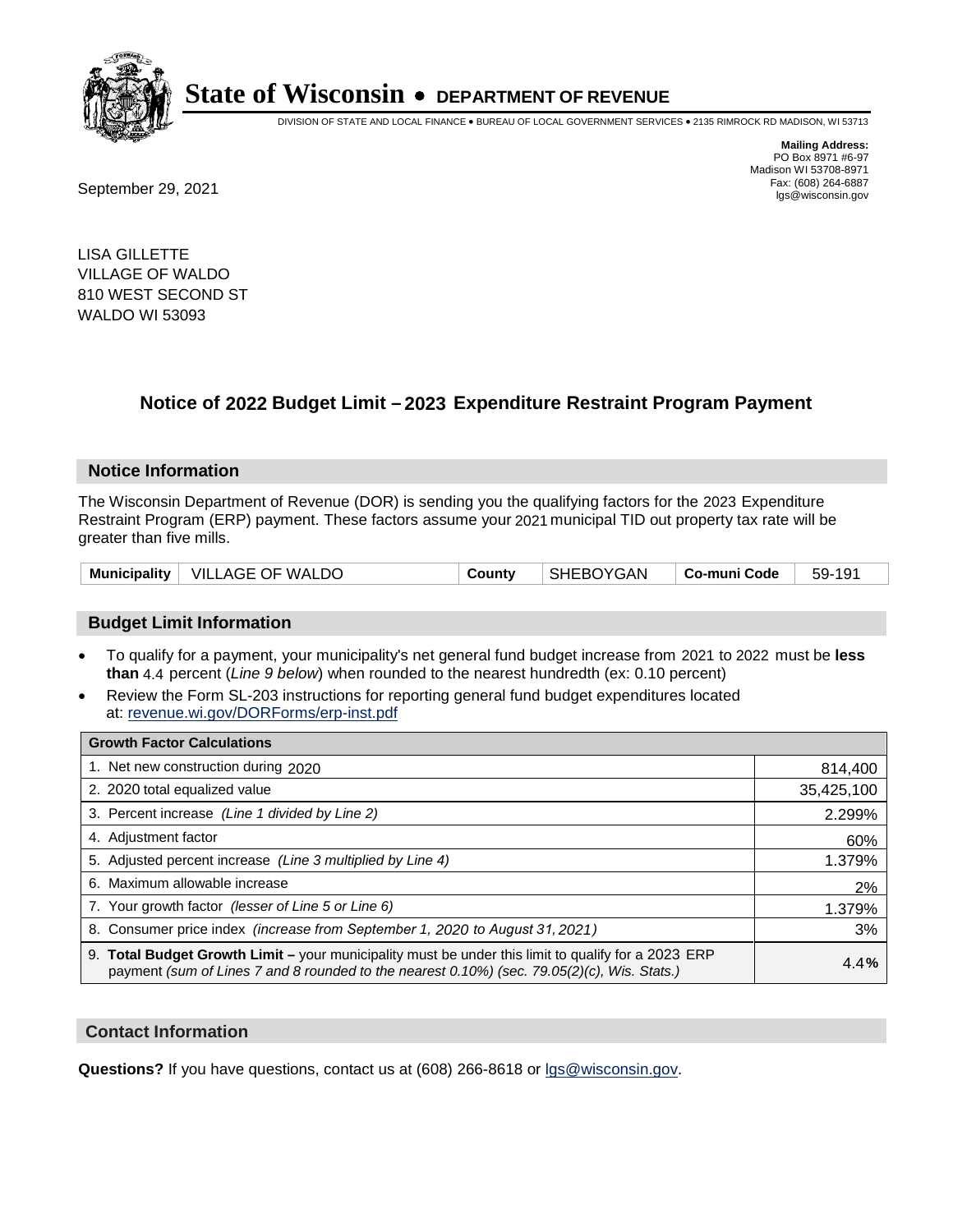

DIVISION OF STATE AND LOCAL FINANCE • BUREAU OF LOCAL GOVERNMENT SERVICES • 2135 RIMROCK RD MADISON, WI 53713

**Mailing Address:** PO Box 8971 #6-97 Madison WI 53708-8971<br>Fax: (608) 264-6887

Fax: (608) 264-6887<br>
September 29, 2021 and the state of the state of the state of the state of the state of the state of the state of the state of the state of the state of the state of the state of the state of the state

LISA GILLETTE VILLAGE OF WALDO 810 WEST SECOND ST WALDO WI 53093

## **Notice of 2022 Budget Limit - 2023 Expenditure Restraint Program Payment**

#### **Notice Information**

The Wisconsin Department of Revenue (DOR) is sending you the qualifying factors for the 2023 Expenditure Restraint Program (ERP) payment. These factors assume your 2021 municipal TID out property tax rate will be greater than five mills.

|  | Municipality   VILLAGE OF WALDO | County | <b>SHEBOYGAN</b> | ∣ Co-muni Code ∣ | 59-191 |
|--|---------------------------------|--------|------------------|------------------|--------|
|--|---------------------------------|--------|------------------|------------------|--------|

### **Budget Limit Information**

- To qualify for a payment, your municipality's net general fund budget increase from 2021 to 2022 must be less **than** 4.4 percent (*Line 9 below*) when rounded to the nearest hundredth (ex: 0.10 percent)
- Review the Form SL-203 instructions for reporting general fund budget expenditures located at: revenue.wi.gov/DORForms/erp-inst.pdf

| <b>Growth Factor Calculations</b>                                                                                                                                                                  |            |
|----------------------------------------------------------------------------------------------------------------------------------------------------------------------------------------------------|------------|
| 1. Net new construction during 2020                                                                                                                                                                | 814,400    |
| 2. 2020 total equalized value                                                                                                                                                                      | 35,425,100 |
| 3. Percent increase (Line 1 divided by Line 2)                                                                                                                                                     | 2.299%     |
| 4. Adiustment factor                                                                                                                                                                               | 60%        |
| 5. Adjusted percent increase (Line 3 multiplied by Line 4)                                                                                                                                         | 1.379%     |
| Maximum allowable increase<br>6.                                                                                                                                                                   | 2%         |
| 7. Your growth factor (lesser of Line 5 or Line 6)                                                                                                                                                 | 1.379%     |
| 8. Consumer price index (increase from September 1, 2020 to August 31, 2021)                                                                                                                       | 3%         |
| 9. Total Budget Growth Limit - your municipality must be under this limit to qualify for a 2023 ERP<br>payment (sum of Lines 7 and 8 rounded to the nearest 0.10%) (sec. 79.05(2)(c), Wis. Stats.) | 4.4%       |

#### **Contact Information**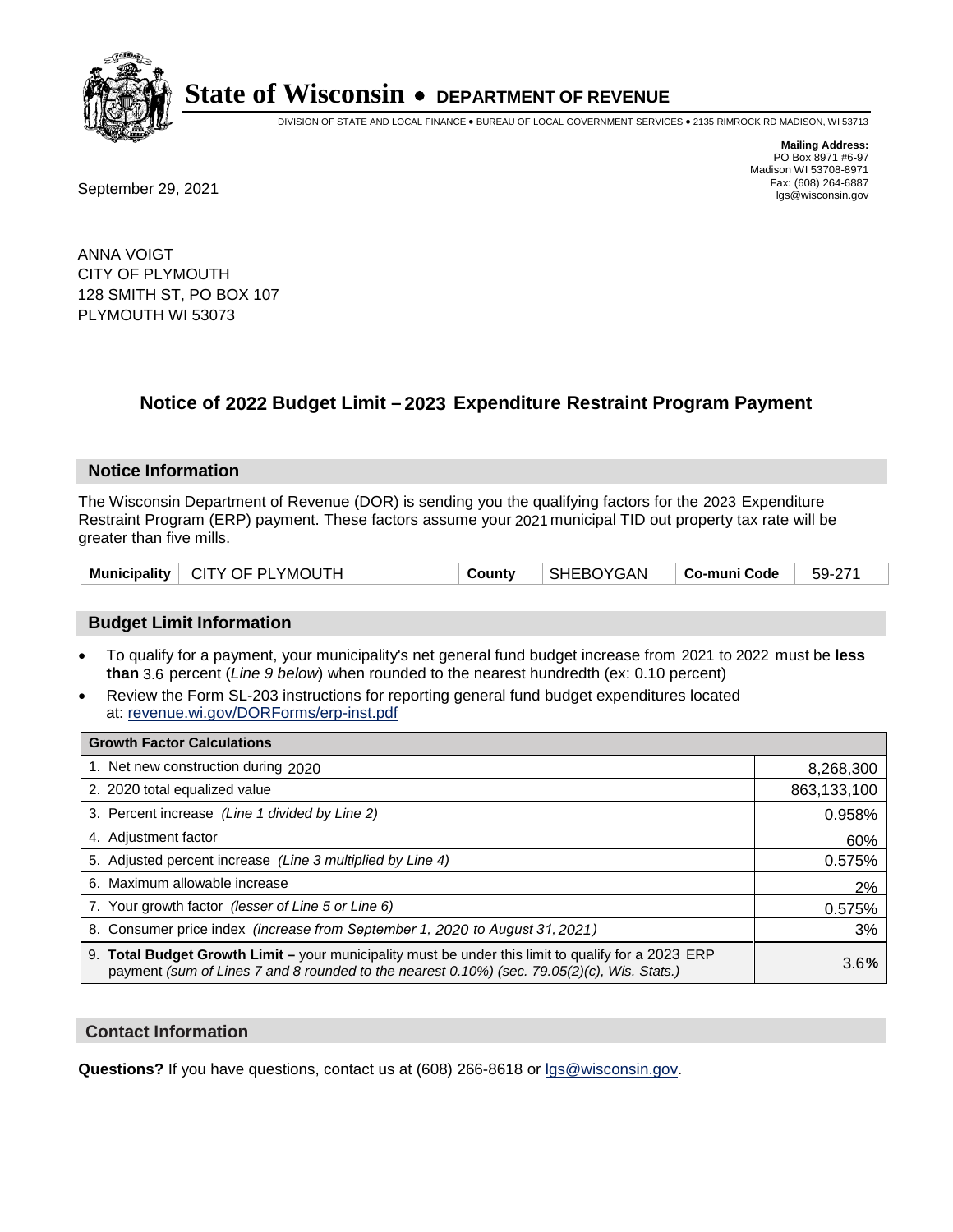

DIVISION OF STATE AND LOCAL FINANCE • BUREAU OF LOCAL GOVERNMENT SERVICES • 2135 RIMROCK RD MADISON, WI 53713

**Mailing Address:** PO Box 8971 #6-97 Madison WI 53708-8971<br>Fax: (608) 264-6887 Fax: (608) 264-6887<br>
September 29, 2021 and the state of the state of the state of the state of the state of the state of the state of the state of the state of the state of the state of the state of the state of the state

ANNA VOIGT CITY OF PLYMOUTH 128 SMITH ST, PO BOX 107 PLYMOUTH WI 53073

## **Notice of 2022 Budget Limit - 2023 Expenditure Restraint Program Payment**

#### **Notice Information**

The Wisconsin Department of Revenue (DOR) is sending you the qualifying factors for the 2023 Expenditure Restraint Program (ERP) payment. These factors assume your 2021 municipal TID out property tax rate will be greater than five mills.

|  | Municipality   CITY OF PLYMOUTH | County | SHEBOYGAN |  | $  59-271$ |
|--|---------------------------------|--------|-----------|--|------------|
|--|---------------------------------|--------|-----------|--|------------|

#### **Budget Limit Information**

- To qualify for a payment, your municipality's net general fund budget increase from 2021 to 2022 must be less **than** 3.6 percent (*Line 9 below*) when rounded to the nearest hundredth (ex: 0.10 percent)
- Review the Form SL-203 instructions for reporting general fund budget expenditures located at: revenue.wi.gov/DORForms/erp-inst.pdf

| <b>Growth Factor Calculations</b>                                                                                                                                                                  |             |
|----------------------------------------------------------------------------------------------------------------------------------------------------------------------------------------------------|-------------|
| 1. Net new construction during 2020                                                                                                                                                                | 8,268,300   |
| 2. 2020 total equalized value                                                                                                                                                                      | 863,133,100 |
| 3. Percent increase (Line 1 divided by Line 2)                                                                                                                                                     | 0.958%      |
| 4. Adjustment factor                                                                                                                                                                               | 60%         |
| 5. Adjusted percent increase (Line 3 multiplied by Line 4)                                                                                                                                         | 0.575%      |
| 6. Maximum allowable increase                                                                                                                                                                      | 2%          |
| 7. Your growth factor (lesser of Line 5 or Line 6)                                                                                                                                                 | 0.575%      |
| 8. Consumer price index (increase from September 1, 2020 to August 31, 2021)                                                                                                                       | 3%          |
| 9. Total Budget Growth Limit - your municipality must be under this limit to qualify for a 2023 ERP<br>payment (sum of Lines 7 and 8 rounded to the nearest 0.10%) (sec. 79.05(2)(c), Wis. Stats.) | 3.6%        |

#### **Contact Information**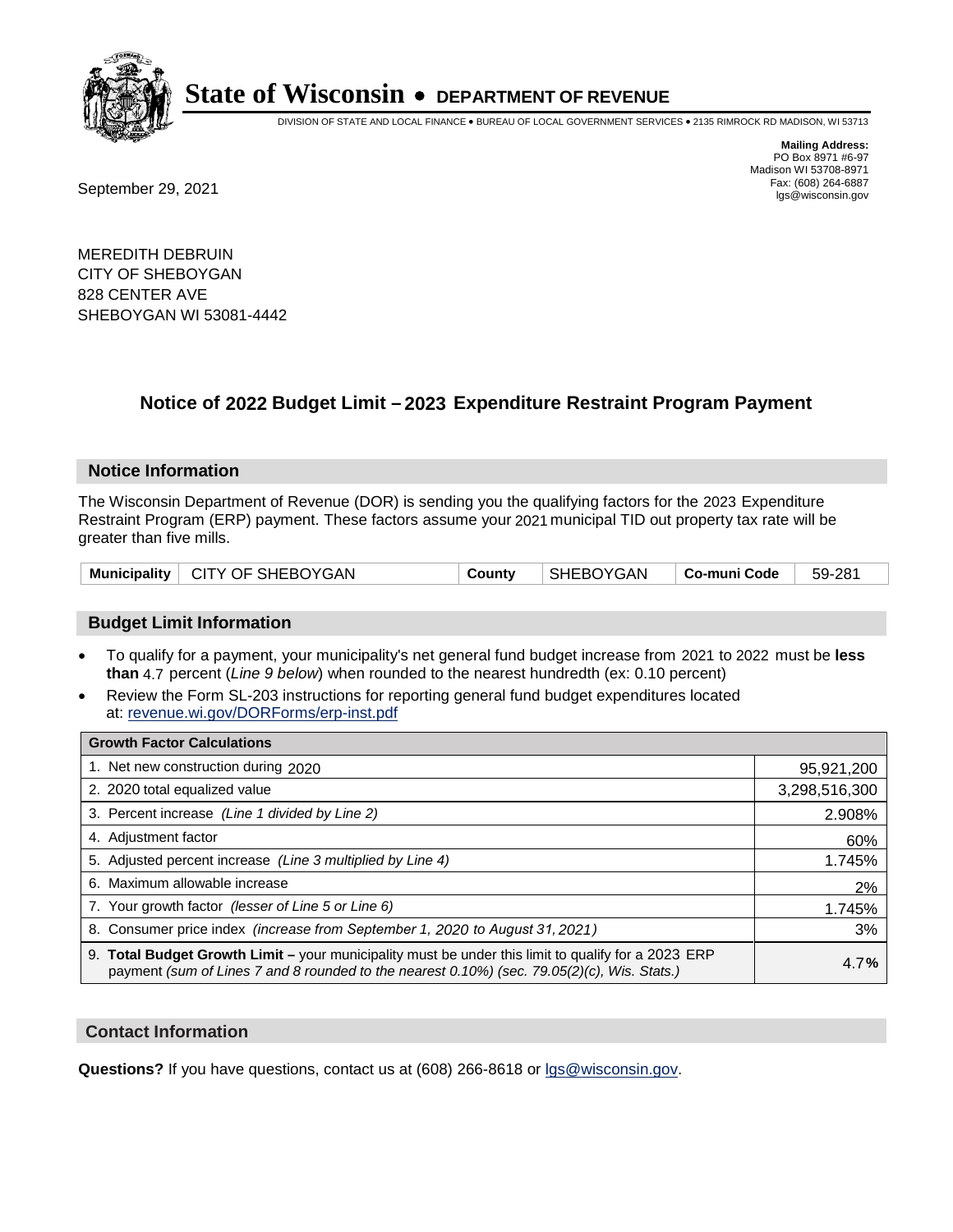

DIVISION OF STATE AND LOCAL FINANCE • BUREAU OF LOCAL GOVERNMENT SERVICES • 2135 RIMROCK RD MADISON, WI 53713

Fax: (608) 264-6887<br>
September 29, 2021 and the state of the state of the state of the state of the state of the state of the state of the state of the state of the state of the state of the state of the state of the state

**Mailing Address:** PO Box 8971 #6-97 Madison WI 53708-8971<br>Fax: (608) 264-6887

MEREDITH DEBRUIN CITY OF SHEBOYGAN 828 CENTER AVE SHEBOYGAN WI 53081-4442

## **Notice of 2022 Budget Limit - 2023 Expenditure Restraint Program Payment**

#### **Notice Information**

The Wisconsin Department of Revenue (DOR) is sending you the qualifying factors for the 2023 Expenditure Restraint Program (ERP) payment. These factors assume your 2021 municipal TID out property tax rate will be greater than five mills.

| Municipality   CITY OF SHEBOYGAN | County | SHEBOYGAN | $\vert$ Co-muni Code $\vert$ 59-281 |  |
|----------------------------------|--------|-----------|-------------------------------------|--|
|----------------------------------|--------|-----------|-------------------------------------|--|

#### **Budget Limit Information**

- To qualify for a payment, your municipality's net general fund budget increase from 2021 to 2022 must be less **than** 4.7 percent (*Line 9 below*) when rounded to the nearest hundredth (ex: 0.10 percent)
- Review the Form SL-203 instructions for reporting general fund budget expenditures located at: revenue.wi.gov/DORForms/erp-inst.pdf

| <b>Growth Factor Calculations</b>                                                                                                                                                                      |               |
|--------------------------------------------------------------------------------------------------------------------------------------------------------------------------------------------------------|---------------|
| 1. Net new construction during 2020                                                                                                                                                                    | 95,921,200    |
| 2. 2020 total equalized value                                                                                                                                                                          | 3,298,516,300 |
| 3. Percent increase (Line 1 divided by Line 2)                                                                                                                                                         | 2.908%        |
| 4. Adjustment factor                                                                                                                                                                                   | 60%           |
| 5. Adjusted percent increase (Line 3 multiplied by Line 4)                                                                                                                                             | 1.745%        |
| 6. Maximum allowable increase                                                                                                                                                                          | 2%            |
| 7. Your growth factor (lesser of Line 5 or Line 6)                                                                                                                                                     | 1.745%        |
| 8. Consumer price index (increase from September 1, 2020 to August 31, 2021)                                                                                                                           | 3%            |
| 9. Total Budget Growth Limit - your municipality must be under this limit to qualify for a 2023 ERP<br>payment (sum of Lines 7 and 8 rounded to the nearest $0.10\%$ ) (sec. 79.05(2)(c), Wis. Stats.) | 4.7%          |

#### **Contact Information**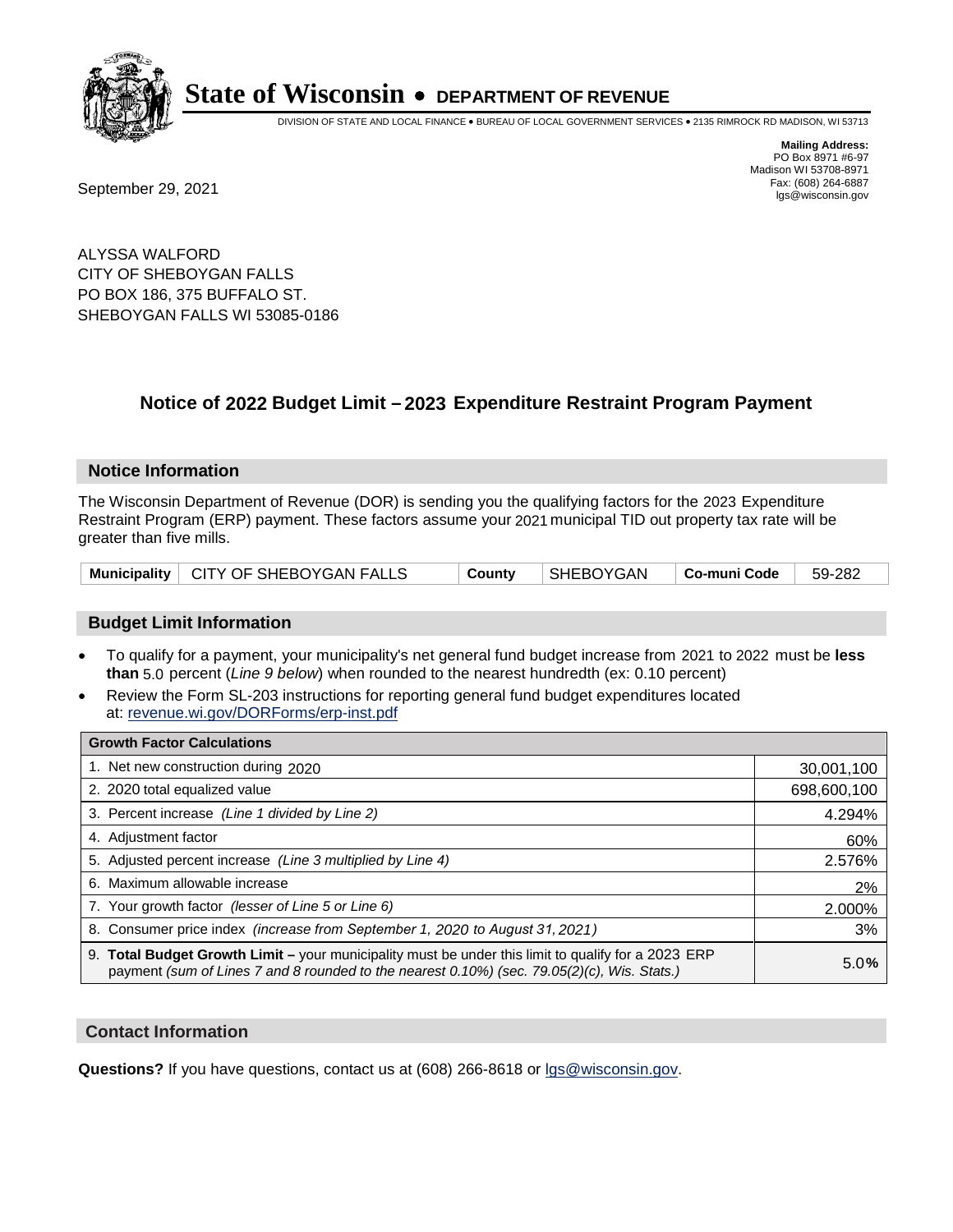

DIVISION OF STATE AND LOCAL FINANCE • BUREAU OF LOCAL GOVERNMENT SERVICES • 2135 RIMROCK RD MADISON, WI 53713

**Mailing Address:** PO Box 8971 #6-97 Madison WI 53708-8971<br>Fax: (608) 264-6887

Fax: (608) 264-6887<br>
September 29, 2021 and the state of the state of the state of the state of the state of the state of the state of the state of the state of the state of the state of the state of the state of the state

ALYSSA WALFORD CITY OF SHEBOYGAN FALLS PO BOX 186, 375 BUFFALO ST. SHEBOYGAN FALLS WI 53085-0186

## **Notice of 2022 Budget Limit - 2023 Expenditure Restraint Program Payment**

#### **Notice Information**

The Wisconsin Department of Revenue (DOR) is sending you the qualifying factors for the 2023 Expenditure Restraint Program (ERP) payment. These factors assume your 2021 municipal TID out property tax rate will be greater than five mills.

|  | Municipality   CITY OF SHEBOYGAN FALLS | County | SHEBOYGAN   Co-muni Code   59-282 |  |  |
|--|----------------------------------------|--------|-----------------------------------|--|--|
|--|----------------------------------------|--------|-----------------------------------|--|--|

#### **Budget Limit Information**

- To qualify for a payment, your municipality's net general fund budget increase from 2021 to 2022 must be less **than** 5.0 percent (*Line 9 below*) when rounded to the nearest hundredth (ex: 0.10 percent)
- Review the Form SL-203 instructions for reporting general fund budget expenditures located at: revenue.wi.gov/DORForms/erp-inst.pdf

| <b>Growth Factor Calculations</b>                                                                                                                                                                  |             |
|----------------------------------------------------------------------------------------------------------------------------------------------------------------------------------------------------|-------------|
| 1. Net new construction during 2020                                                                                                                                                                | 30,001,100  |
| 2. 2020 total equalized value                                                                                                                                                                      | 698,600,100 |
| 3. Percent increase (Line 1 divided by Line 2)                                                                                                                                                     | 4.294%      |
| 4. Adjustment factor                                                                                                                                                                               | 60%         |
| 5. Adjusted percent increase (Line 3 multiplied by Line 4)                                                                                                                                         | 2.576%      |
| 6. Maximum allowable increase                                                                                                                                                                      | 2%          |
| 7. Your growth factor (lesser of Line 5 or Line 6)                                                                                                                                                 | 2.000%      |
| 8. Consumer price index (increase from September 1, 2020 to August 31, 2021)                                                                                                                       | 3%          |
| 9. Total Budget Growth Limit - your municipality must be under this limit to qualify for a 2023 ERP<br>payment (sum of Lines 7 and 8 rounded to the nearest 0.10%) (sec. 79.05(2)(c), Wis. Stats.) | 5.0%        |

#### **Contact Information**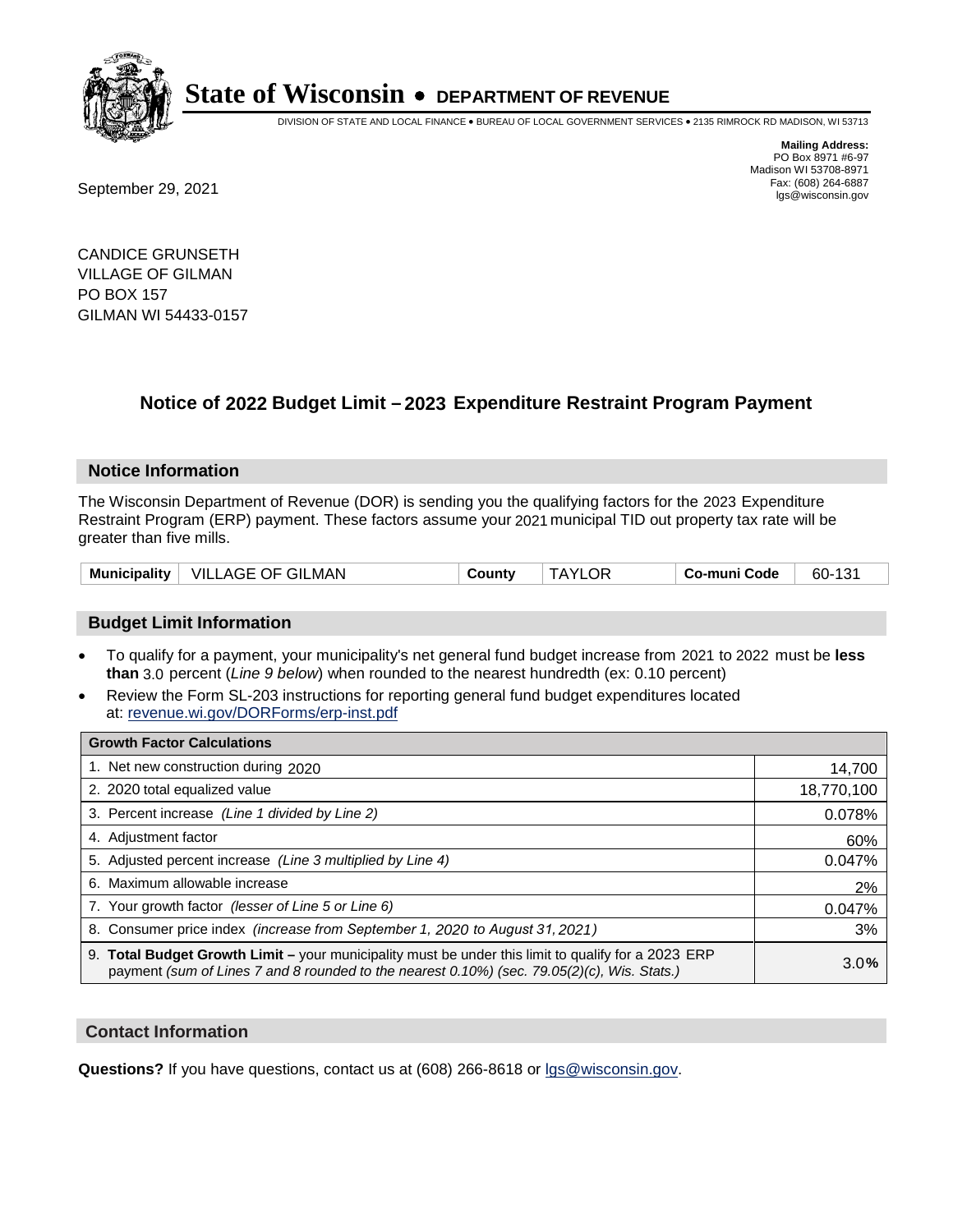

DIVISION OF STATE AND LOCAL FINANCE • BUREAU OF LOCAL GOVERNMENT SERVICES • 2135 RIMROCK RD MADISON, WI 53713

Fax: (608) 264-6887<br>
September 29, 2021 and the state of the state of the state of the state of the state of the state of the state of the state of the state of the state of the state of the state of the state of the state

**Mailing Address:** PO Box 8971 #6-97 Madison WI 53708-8971<br>Fax: (608) 264-6887

CANDICE GRUNSETH VILLAGE OF GILMAN PO BOX 157 GILMAN WI 54433-0157

## **Notice of 2022 Budget Limit - 2023 Expenditure Restraint Program Payment**

#### **Notice Information**

The Wisconsin Department of Revenue (DOR) is sending you the qualifying factors for the 2023 Expenditure Restraint Program (ERP) payment. These factors assume your 2021 municipal TID out property tax rate will be greater than five mills.

| VILLAGE OF GILMAN | <b>TAYLOR</b> | 60-131       |
|-------------------|---------------|--------------|
| Municipality      | County        | Co-muni Code |

### **Budget Limit Information**

- To qualify for a payment, your municipality's net general fund budget increase from 2021 to 2022 must be less **than** 3.0 percent (*Line 9 below*) when rounded to the nearest hundredth (ex: 0.10 percent)
- Review the Form SL-203 instructions for reporting general fund budget expenditures located at: revenue.wi.gov/DORForms/erp-inst.pdf

| <b>Growth Factor Calculations</b>                                                                                                                                                                  |            |
|----------------------------------------------------------------------------------------------------------------------------------------------------------------------------------------------------|------------|
| 1. Net new construction during 2020                                                                                                                                                                | 14,700     |
| 2. 2020 total equalized value                                                                                                                                                                      | 18,770,100 |
| 3. Percent increase (Line 1 divided by Line 2)                                                                                                                                                     | 0.078%     |
| 4. Adjustment factor                                                                                                                                                                               | 60%        |
| 5. Adjusted percent increase (Line 3 multiplied by Line 4)                                                                                                                                         | 0.047%     |
| 6. Maximum allowable increase                                                                                                                                                                      | 2%         |
| 7. Your growth factor (lesser of Line 5 or Line 6)                                                                                                                                                 | 0.047%     |
| 8. Consumer price index (increase from September 1, 2020 to August 31, 2021)                                                                                                                       | 3%         |
| 9. Total Budget Growth Limit – your municipality must be under this limit to qualify for a 2023 ERP<br>payment (sum of Lines 7 and 8 rounded to the nearest 0.10%) (sec. 79.05(2)(c), Wis. Stats.) | 3.0%       |

#### **Contact Information**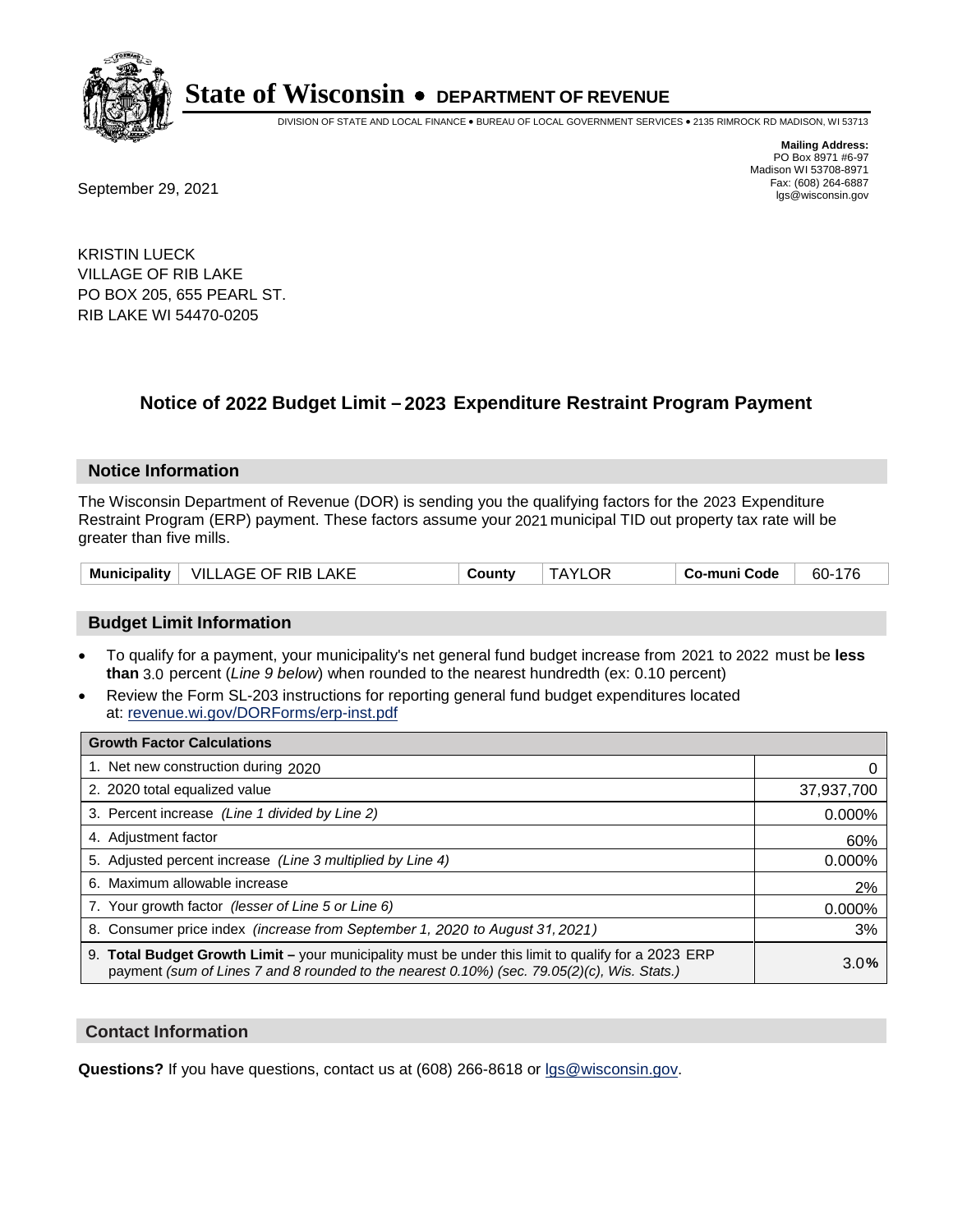

DIVISION OF STATE AND LOCAL FINANCE • BUREAU OF LOCAL GOVERNMENT SERVICES • 2135 RIMROCK RD MADISON, WI 53713

Fax: (608) 264-6887<br>
September 29, 2021 and the state of the state of the state of the state of the state of the state of the state of the state of the state of the state of the state of the state of the state of the state

**Mailing Address:** PO Box 8971 #6-97 Madison WI 53708-8971<br>Fax: (608) 264-6887

KRISTIN LUECK VILLAGE OF RIB LAKE PO BOX 205, 655 PEARL ST. RIB LAKE WI 54470-0205

## **Notice of 2022 Budget Limit - 2023 Expenditure Restraint Program Payment**

#### **Notice Information**

The Wisconsin Department of Revenue (DOR) is sending you the qualifying factors for the 2023 Expenditure Restraint Program (ERP) payment. These factors assume your 2021 municipal TID out property tax rate will be greater than five mills.

|  | Municipality   VILLAGE OF RIB LAKE | County | <b>TAYLOR</b> | Co-muni Code | 60-176 |
|--|------------------------------------|--------|---------------|--------------|--------|
|--|------------------------------------|--------|---------------|--------------|--------|

### **Budget Limit Information**

- To qualify for a payment, your municipality's net general fund budget increase from 2021 to 2022 must be less **than** 3.0 percent (*Line 9 below*) when rounded to the nearest hundredth (ex: 0.10 percent)
- Review the Form SL-203 instructions for reporting general fund budget expenditures located at: revenue.wi.gov/DORForms/erp-inst.pdf

| <b>Growth Factor Calculations</b>                                                                                                                                                                  |            |
|----------------------------------------------------------------------------------------------------------------------------------------------------------------------------------------------------|------------|
| 1. Net new construction during 2020                                                                                                                                                                |            |
| 2. 2020 total equalized value                                                                                                                                                                      | 37,937,700 |
| 3. Percent increase (Line 1 divided by Line 2)                                                                                                                                                     | 0.000%     |
| 4. Adjustment factor                                                                                                                                                                               | 60%        |
| 5. Adjusted percent increase (Line 3 multiplied by Line 4)                                                                                                                                         | 0.000%     |
| 6. Maximum allowable increase                                                                                                                                                                      | 2%         |
| 7. Your growth factor (lesser of Line 5 or Line 6)                                                                                                                                                 | 0.000%     |
| 8. Consumer price index (increase from September 1, 2020 to August 31, 2021)                                                                                                                       | 3%         |
| 9. Total Budget Growth Limit – your municipality must be under this limit to qualify for a 2023 ERP<br>payment (sum of Lines 7 and 8 rounded to the nearest 0.10%) (sec. 79.05(2)(c), Wis. Stats.) | 3.0%       |

#### **Contact Information**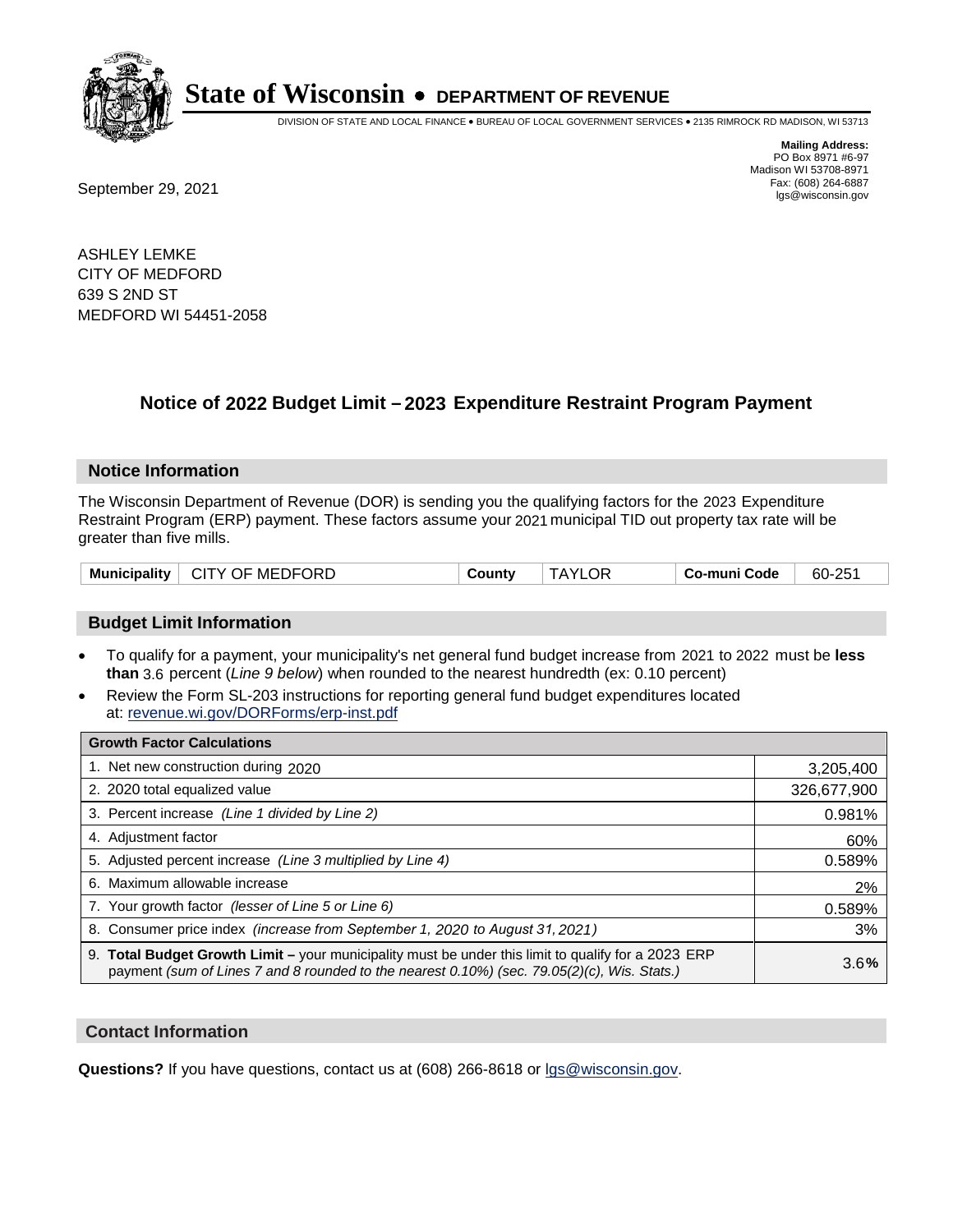

DIVISION OF STATE AND LOCAL FINANCE • BUREAU OF LOCAL GOVERNMENT SERVICES • 2135 RIMROCK RD MADISON, WI 53713

**Mailing Address:** PO Box 8971 #6-97 Madison WI 53708-8971<br>Fax: (608) 264-6887

Fax: (608) 264-6887<br>
September 29, 2021 and the state of the state of the state of the state of the state of the state of the state of the state of the state of the state of the state of the state of the state of the state

ASHLEY LEMKE CITY OF MEDFORD 639 S 2ND ST MEDFORD WI 54451-2058

## **Notice of 2022 Budget Limit - 2023 Expenditure Restraint Program Payment**

#### **Notice Information**

The Wisconsin Department of Revenue (DOR) is sending you the qualifying factors for the 2023 Expenditure Restraint Program (ERP) payment. These factors assume your 2021 municipal TID out property tax rate will be greater than five mills.

| Municipality   CITY OF MEDFORD | County | <b>TAYLOR</b> | Co-muni Code | 60-251 |
|--------------------------------|--------|---------------|--------------|--------|
|--------------------------------|--------|---------------|--------------|--------|

### **Budget Limit Information**

- To qualify for a payment, your municipality's net general fund budget increase from 2021 to 2022 must be less **than** 3.6 percent (*Line 9 below*) when rounded to the nearest hundredth (ex: 0.10 percent)
- Review the Form SL-203 instructions for reporting general fund budget expenditures located at: revenue.wi.gov/DORForms/erp-inst.pdf

| <b>Growth Factor Calculations</b>                                                                                                                                                                  |             |
|----------------------------------------------------------------------------------------------------------------------------------------------------------------------------------------------------|-------------|
| 1. Net new construction during 2020                                                                                                                                                                | 3,205,400   |
| 2. 2020 total equalized value                                                                                                                                                                      | 326,677,900 |
| 3. Percent increase (Line 1 divided by Line 2)                                                                                                                                                     | 0.981%      |
| 4. Adjustment factor                                                                                                                                                                               | 60%         |
| 5. Adjusted percent increase (Line 3 multiplied by Line 4)                                                                                                                                         | 0.589%      |
| 6. Maximum allowable increase                                                                                                                                                                      | 2%          |
| 7. Your growth factor (lesser of Line 5 or Line 6)                                                                                                                                                 | 0.589%      |
| 8. Consumer price index (increase from September 1, 2020 to August 31, 2021)                                                                                                                       | 3%          |
| 9. Total Budget Growth Limit - your municipality must be under this limit to qualify for a 2023 ERP<br>payment (sum of Lines 7 and 8 rounded to the nearest 0.10%) (sec. 79.05(2)(c), Wis. Stats.) | 3.6%        |

#### **Contact Information**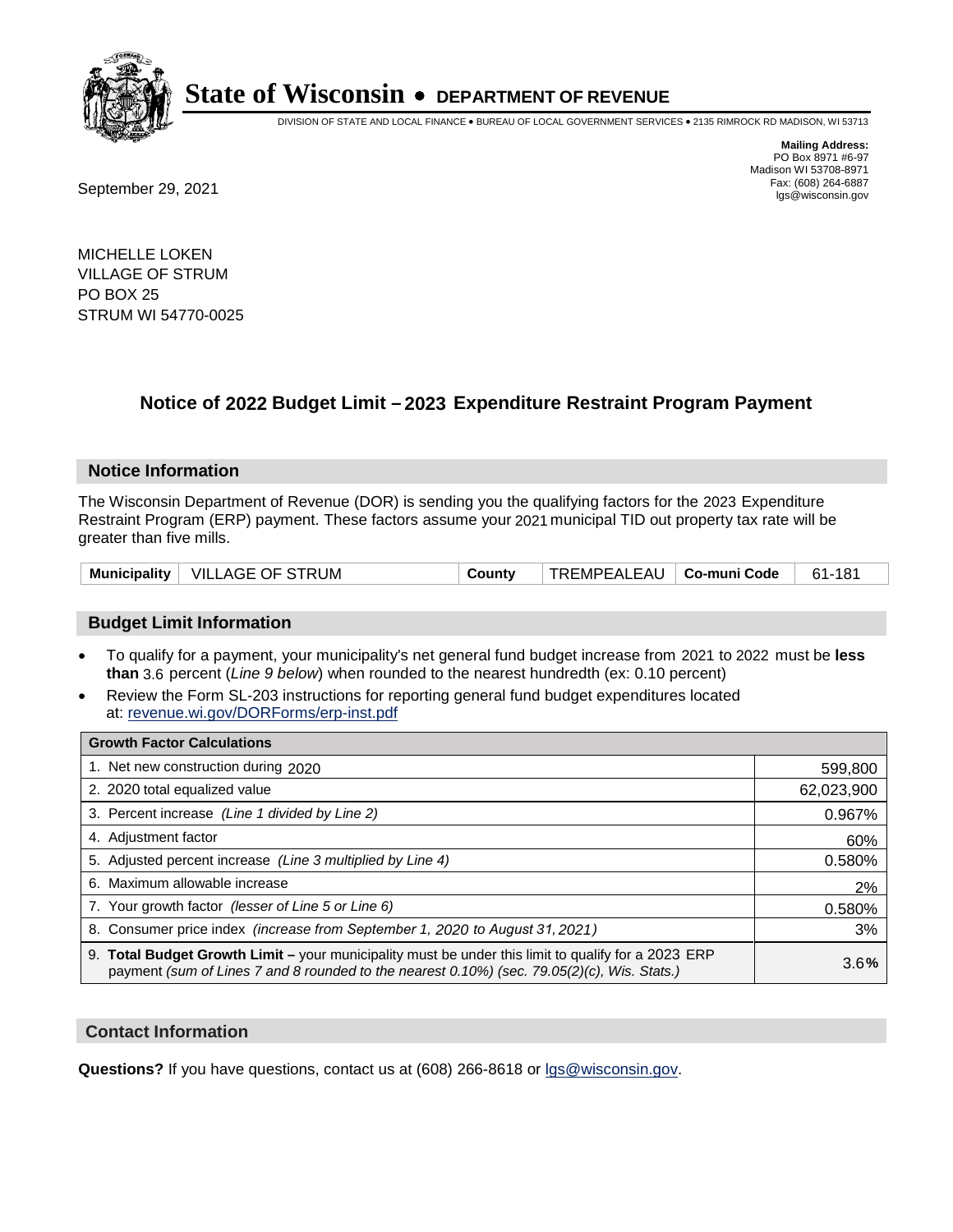

DIVISION OF STATE AND LOCAL FINANCE • BUREAU OF LOCAL GOVERNMENT SERVICES • 2135 RIMROCK RD MADISON, WI 53713

**Mailing Address:** PO Box 8971 #6-97 Madison WI 53708-8971<br>Fax: (608) 264-6887

Fax: (608) 264-6887<br>
September 29, 2021 and the state of the state of the state of the state of the state of the state of the state of the state of the state of the state of the state of the state of the state of the state

MICHELLE LOKEN VILLAGE OF STRUM PO BOX 25 STRUM WI 54770-0025

## **Notice of 2022 Budget Limit - 2023 Expenditure Restraint Program Payment**

#### **Notice Information**

The Wisconsin Department of Revenue (DOR) is sending you the qualifying factors for the 2023 Expenditure Restraint Program (ERP) payment. These factors assume your 2021 municipal TID out property tax rate will be greater than five mills.

|  | Municipality   VILLAGE OF STRUM | County | TREMPEALEAU   Co-muni Code |  | 61-181 |
|--|---------------------------------|--------|----------------------------|--|--------|
|--|---------------------------------|--------|----------------------------|--|--------|

### **Budget Limit Information**

- To qualify for a payment, your municipality's net general fund budget increase from 2021 to 2022 must be less **than** 3.6 percent (*Line 9 below*) when rounded to the nearest hundredth (ex: 0.10 percent)
- Review the Form SL-203 instructions for reporting general fund budget expenditures located at: revenue.wi.gov/DORForms/erp-inst.pdf

| <b>Growth Factor Calculations</b>                                                                                                                                                                  |            |
|----------------------------------------------------------------------------------------------------------------------------------------------------------------------------------------------------|------------|
| 1. Net new construction during 2020                                                                                                                                                                | 599,800    |
| 2. 2020 total equalized value                                                                                                                                                                      | 62,023,900 |
| 3. Percent increase (Line 1 divided by Line 2)                                                                                                                                                     | 0.967%     |
| 4. Adjustment factor                                                                                                                                                                               | 60%        |
| 5. Adjusted percent increase (Line 3 multiplied by Line 4)                                                                                                                                         | 0.580%     |
| 6. Maximum allowable increase                                                                                                                                                                      | 2%         |
| 7. Your growth factor (lesser of Line 5 or Line 6)                                                                                                                                                 | 0.580%     |
| 8. Consumer price index (increase from September 1, 2020 to August 31, 2021)                                                                                                                       | 3%         |
| 9. Total Budget Growth Limit – your municipality must be under this limit to qualify for a 2023 ERP<br>payment (sum of Lines 7 and 8 rounded to the nearest 0.10%) (sec. 79.05(2)(c), Wis. Stats.) | 3.6%       |

#### **Contact Information**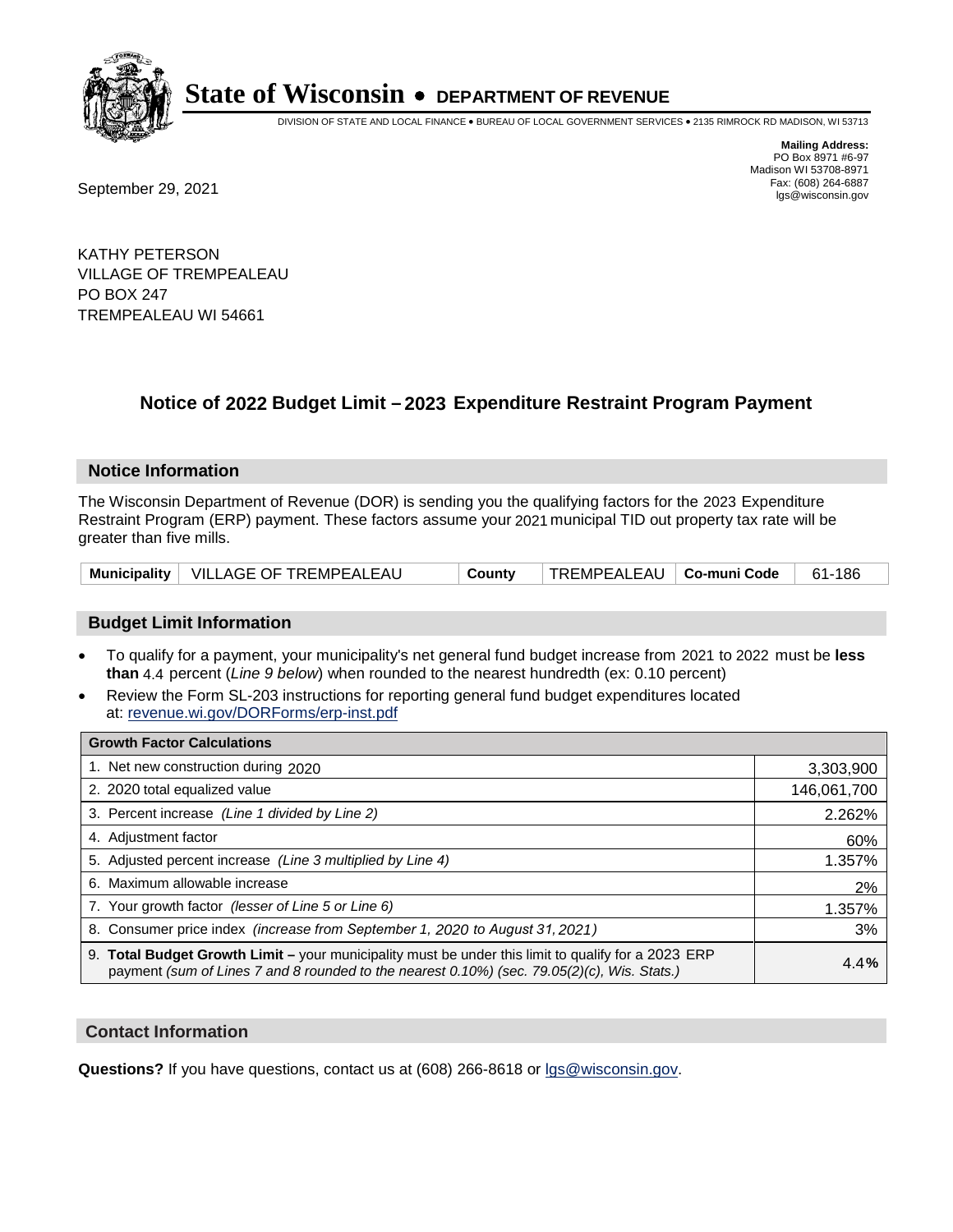

DIVISION OF STATE AND LOCAL FINANCE • BUREAU OF LOCAL GOVERNMENT SERVICES • 2135 RIMROCK RD MADISON, WI 53713

Fax: (608) 264-6887<br>
September 29, 2021 and the state of the state of the state of the state of the state of the state of the state of the state of the state of the state of the state of the state of the state of the state

**Mailing Address:** PO Box 8971 #6-97 Madison WI 53708-8971<br>Fax: (608) 264-6887

KATHY PETERSON VILLAGE OF TREMPEALEAU PO BOX 247 TREMPEALEAU WI 54661

## **Notice of 2022 Budget Limit - 2023 Expenditure Restraint Program Payment**

#### **Notice Information**

The Wisconsin Department of Revenue (DOR) is sending you the qualifying factors for the 2023 Expenditure Restraint Program (ERP) payment. These factors assume your 2021 municipal TID out property tax rate will be greater than five mills.

|  | Municipality   VILLAGE OF TREMPEALEAU | County | TREMPEALEAU   Co-muni Code |  | 186<br>-61 |
|--|---------------------------------------|--------|----------------------------|--|------------|
|--|---------------------------------------|--------|----------------------------|--|------------|

### **Budget Limit Information**

- To qualify for a payment, your municipality's net general fund budget increase from 2021 to 2022 must be less **than** 4.4 percent (*Line 9 below*) when rounded to the nearest hundredth (ex: 0.10 percent)
- Review the Form SL-203 instructions for reporting general fund budget expenditures located at: revenue.wi.gov/DORForms/erp-inst.pdf

| <b>Growth Factor Calculations</b>                                                                                                                                                                      |             |
|--------------------------------------------------------------------------------------------------------------------------------------------------------------------------------------------------------|-------------|
| 1. Net new construction during 2020                                                                                                                                                                    | 3,303,900   |
| 2. 2020 total equalized value                                                                                                                                                                          | 146,061,700 |
| 3. Percent increase (Line 1 divided by Line 2)                                                                                                                                                         | 2.262%      |
| 4. Adiustment factor                                                                                                                                                                                   | 60%         |
| 5. Adjusted percent increase (Line 3 multiplied by Line 4)                                                                                                                                             | 1.357%      |
| 6. Maximum allowable increase                                                                                                                                                                          | 2%          |
| 7. Your growth factor (lesser of Line 5 or Line 6)                                                                                                                                                     | 1.357%      |
| 8. Consumer price index (increase from September 1, 2020 to August 31, 2021)                                                                                                                           | 3%          |
| 9. Total Budget Growth Limit - your municipality must be under this limit to qualify for a 2023 ERP<br>payment (sum of Lines 7 and 8 rounded to the nearest $0.10\%$ ) (sec. 79.05(2)(c), Wis. Stats.) | 4.4%        |

#### **Contact Information**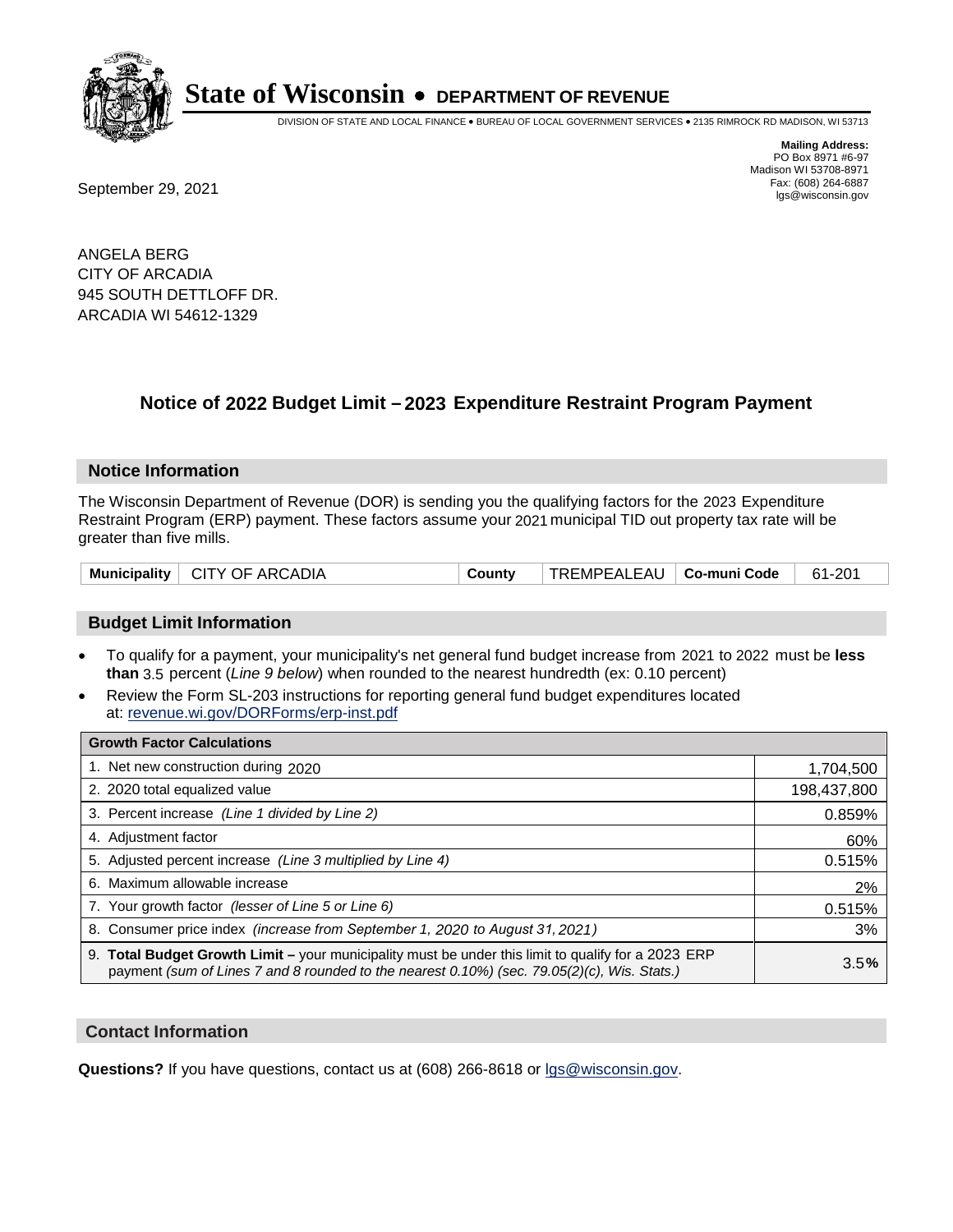

DIVISION OF STATE AND LOCAL FINANCE • BUREAU OF LOCAL GOVERNMENT SERVICES • 2135 RIMROCK RD MADISON, WI 53713

**Mailing Address:** PO Box 8971 #6-97 Madison WI 53708-8971<br>Fax: (608) 264-6887

Fax: (608) 264-6887<br>
September 29, 2021 and the state of the state of the state of the state of the state of the state of the state of the state of the state of the state of the state of the state of the state of the state

ANGELA BERG CITY OF ARCADIA 945 SOUTH DETTLOFF DR. ARCADIA WI 54612-1329

## **Notice of 2022 Budget Limit - 2023 Expenditure Restraint Program Payment**

#### **Notice Information**

The Wisconsin Department of Revenue (DOR) is sending you the qualifying factors for the 2023 Expenditure Restraint Program (ERP) payment. These factors assume your 2021 municipal TID out property tax rate will be greater than five mills.

|  | Municipality   CITY OF ARCADIA | County | TREMPEALEAU   Co-muni Code |  | 61-201 |
|--|--------------------------------|--------|----------------------------|--|--------|
|--|--------------------------------|--------|----------------------------|--|--------|

#### **Budget Limit Information**

- To qualify for a payment, your municipality's net general fund budget increase from 2021 to 2022 must be less **than** 3.5 percent (*Line 9 below*) when rounded to the nearest hundredth (ex: 0.10 percent)
- Review the Form SL-203 instructions for reporting general fund budget expenditures located at: revenue.wi.gov/DORForms/erp-inst.pdf

| <b>Growth Factor Calculations</b>                                                                                                                                                                  |             |
|----------------------------------------------------------------------------------------------------------------------------------------------------------------------------------------------------|-------------|
| 1. Net new construction during 2020                                                                                                                                                                | 1,704,500   |
| 2. 2020 total equalized value                                                                                                                                                                      | 198,437,800 |
| 3. Percent increase (Line 1 divided by Line 2)                                                                                                                                                     | 0.859%      |
| 4. Adjustment factor                                                                                                                                                                               | 60%         |
| 5. Adjusted percent increase (Line 3 multiplied by Line 4)                                                                                                                                         | 0.515%      |
| 6. Maximum allowable increase                                                                                                                                                                      | 2%          |
| 7. Your growth factor (lesser of Line 5 or Line 6)                                                                                                                                                 | 0.515%      |
| 8. Consumer price index (increase from September 1, 2020 to August 31, 2021)                                                                                                                       | 3%          |
| 9. Total Budget Growth Limit - your municipality must be under this limit to qualify for a 2023 ERP<br>payment (sum of Lines 7 and 8 rounded to the nearest 0.10%) (sec. 79.05(2)(c), Wis. Stats.) | 3.5%        |

#### **Contact Information**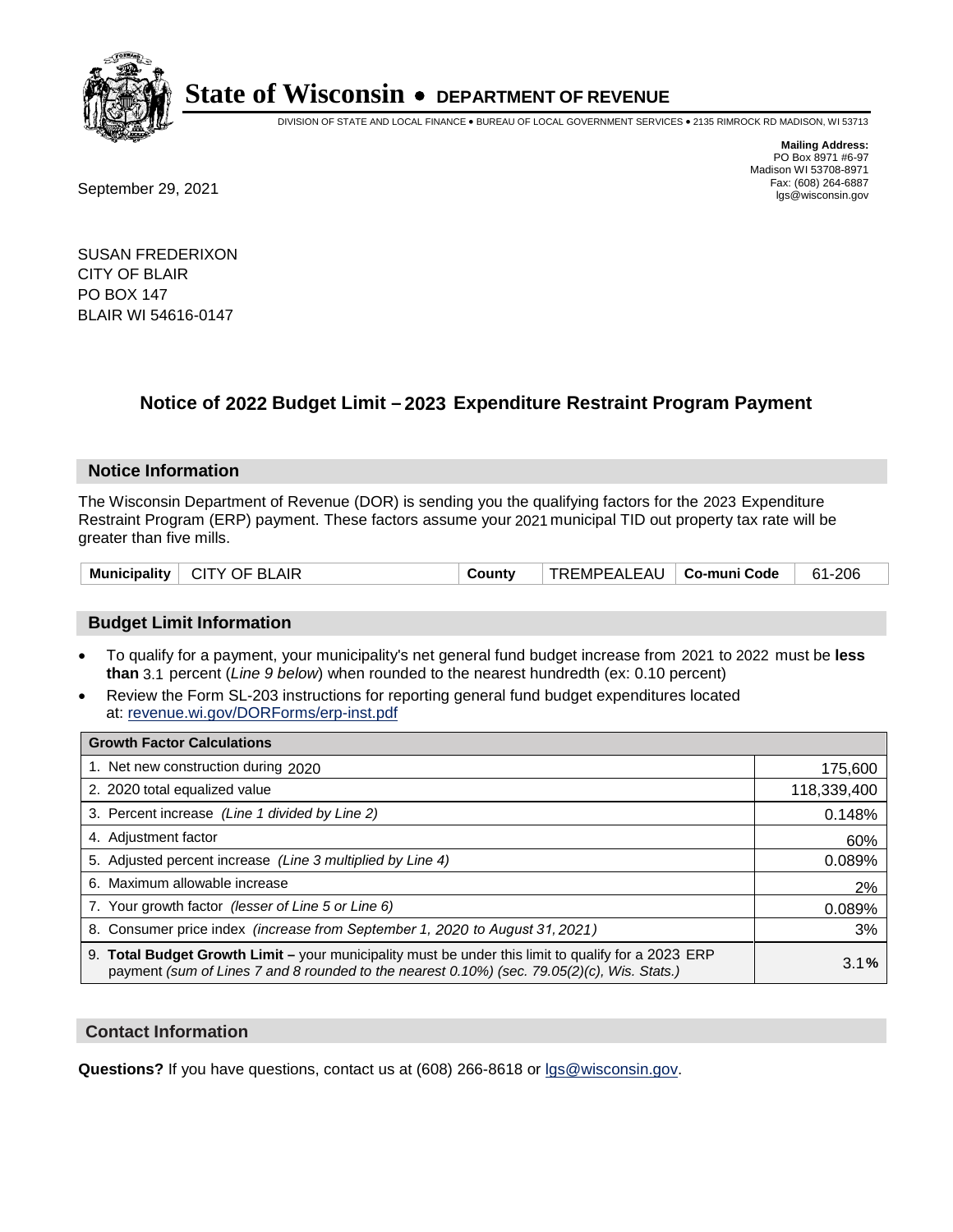

DIVISION OF STATE AND LOCAL FINANCE • BUREAU OF LOCAL GOVERNMENT SERVICES • 2135 RIMROCK RD MADISON, WI 53713

**Mailing Address:** PO Box 8971 #6-97 Madison WI 53708-8971<br>Fax: (608) 264-6887

Fax: (608) 264-6887<br>
September 29, 2021 and the state of the state of the state of the state of the state of the state of the state of the state of the state of the state of the state of the state of the state of the state

SUSAN FREDERIXON CITY OF BLAIR PO BOX 147 BLAIR WI 54616-0147

## **Notice of 2022 Budget Limit - 2023 Expenditure Restraint Program Payment**

#### **Notice Information**

The Wisconsin Department of Revenue (DOR) is sending you the qualifying factors for the 2023 Expenditure Restraint Program (ERP) payment. These factors assume your 2021 municipal TID out property tax rate will be greater than five mills.

|  | Municipality   CITY OF BLAIR | County | TREMPEALEAU   <b>Co-muni Code</b> |  | 61-206 |
|--|------------------------------|--------|-----------------------------------|--|--------|
|--|------------------------------|--------|-----------------------------------|--|--------|

### **Budget Limit Information**

- To qualify for a payment, your municipality's net general fund budget increase from 2021 to 2022 must be less **than** 3.1 percent (*Line 9 below*) when rounded to the nearest hundredth (ex: 0.10 percent)
- Review the Form SL-203 instructions for reporting general fund budget expenditures located at: revenue.wi.gov/DORForms/erp-inst.pdf

| <b>Growth Factor Calculations</b>                                                                                                                                                                  |             |
|----------------------------------------------------------------------------------------------------------------------------------------------------------------------------------------------------|-------------|
| 1. Net new construction during 2020                                                                                                                                                                | 175,600     |
| 2. 2020 total equalized value                                                                                                                                                                      | 118,339,400 |
| 3. Percent increase (Line 1 divided by Line 2)                                                                                                                                                     | 0.148%      |
| 4. Adjustment factor                                                                                                                                                                               | 60%         |
| 5. Adjusted percent increase (Line 3 multiplied by Line 4)                                                                                                                                         | 0.089%      |
| 6. Maximum allowable increase                                                                                                                                                                      | 2%          |
| 7. Your growth factor (lesser of Line 5 or Line 6)                                                                                                                                                 | 0.089%      |
| 8. Consumer price index (increase from September 1, 2020 to August 31, 2021)                                                                                                                       | 3%          |
| 9. Total Budget Growth Limit – your municipality must be under this limit to qualify for a 2023 ERP<br>payment (sum of Lines 7 and 8 rounded to the nearest 0.10%) (sec. 79.05(2)(c), Wis. Stats.) | 3.1%        |

#### **Contact Information**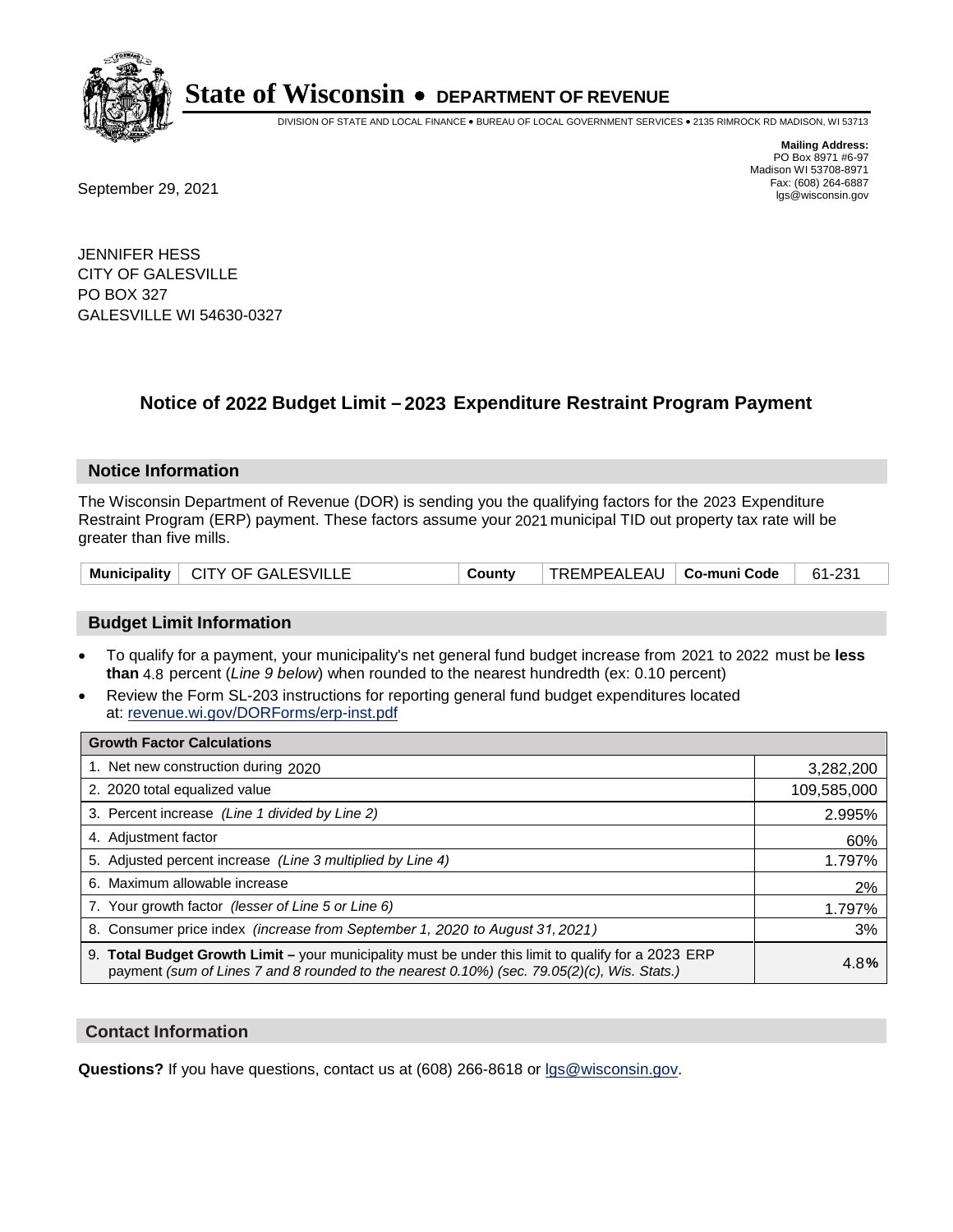

DIVISION OF STATE AND LOCAL FINANCE • BUREAU OF LOCAL GOVERNMENT SERVICES • 2135 RIMROCK RD MADISON, WI 53713

**Mailing Address:** PO Box 8971 #6-97 Madison WI 53708-8971<br>Fax: (608) 264-6887 Fax: (608) 264-6887<br>
September 29, 2021 and the state of the state of the state of the state of the state of the state of the state of the state of the state of the state of the state of the state of the state of the state

JENNIFER HESS CITY OF GALESVILLE PO BOX 327 GALESVILLE WI 54630-0327

## **Notice of 2022 Budget Limit - 2023 Expenditure Restraint Program Payment**

#### **Notice Information**

The Wisconsin Department of Revenue (DOR) is sending you the qualifying factors for the 2023 Expenditure Restraint Program (ERP) payment. These factors assume your 2021 municipal TID out property tax rate will be greater than five mills.

| Municipality   CITY OF GALESVILLE |  | Countv | TREMPEALEAU   Co-muni Code   61-231 |  |  |
|-----------------------------------|--|--------|-------------------------------------|--|--|
|-----------------------------------|--|--------|-------------------------------------|--|--|

### **Budget Limit Information**

- To qualify for a payment, your municipality's net general fund budget increase from 2021 to 2022 must be less **than** 4.8 percent (*Line 9 below*) when rounded to the nearest hundredth (ex: 0.10 percent)
- Review the Form SL-203 instructions for reporting general fund budget expenditures located at: revenue.wi.gov/DORForms/erp-inst.pdf

| <b>Growth Factor Calculations</b>                                                                                                                                                                      |             |
|--------------------------------------------------------------------------------------------------------------------------------------------------------------------------------------------------------|-------------|
| 1. Net new construction during 2020                                                                                                                                                                    | 3,282,200   |
| 2. 2020 total equalized value                                                                                                                                                                          | 109,585,000 |
| 3. Percent increase (Line 1 divided by Line 2)                                                                                                                                                         | 2.995%      |
| 4. Adiustment factor                                                                                                                                                                                   | 60%         |
| 5. Adjusted percent increase (Line 3 multiplied by Line 4)                                                                                                                                             | 1.797%      |
| 6. Maximum allowable increase                                                                                                                                                                          | 2%          |
| 7. Your growth factor (lesser of Line 5 or Line 6)                                                                                                                                                     | 1.797%      |
| 8. Consumer price index (increase from September 1, 2020 to August 31, 2021)                                                                                                                           | 3%          |
| 9. Total Budget Growth Limit - your municipality must be under this limit to qualify for a 2023 ERP<br>payment (sum of Lines 7 and 8 rounded to the nearest $0.10\%$ ) (sec. 79.05(2)(c), Wis. Stats.) | 4.8%        |

#### **Contact Information**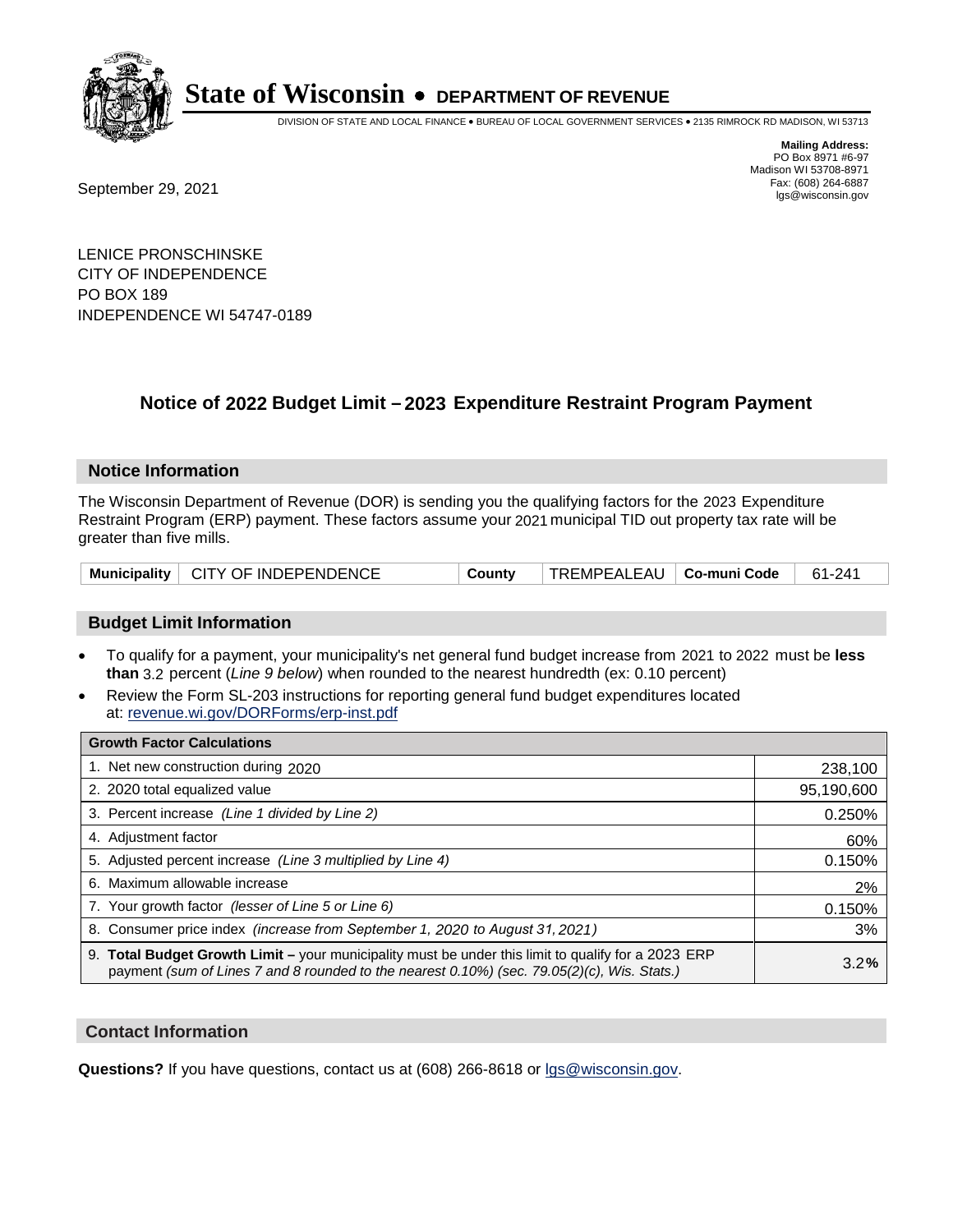

DIVISION OF STATE AND LOCAL FINANCE • BUREAU OF LOCAL GOVERNMENT SERVICES • 2135 RIMROCK RD MADISON, WI 53713

Fax: (608) 264-6887<br>
September 29, 2021 and the state of the state of the state of the state of the state of the state of the state of the state of the state of the state of the state of the state of the state of the state

**Mailing Address:** PO Box 8971 #6-97 Madison WI 53708-8971<br>Fax: (608) 264-6887

LENICE PRONSCHINSKE CITY OF INDEPENDENCE PO BOX 189 INDEPENDENCE WI 54747-0189

### **Notice of 2022 Budget Limit - 2023 Expenditure Restraint Program Payment**

#### **Notice Information**

The Wisconsin Department of Revenue (DOR) is sending you the qualifying factors for the 2023 Expenditure Restraint Program (ERP) payment. These factors assume your 2021 municipal TID out property tax rate will be greater than five mills.

|  | Municipality   CITY OF INDEPENDENCE | County | $\mid$ TREMPEALEAU $\mid$ Co-muni Code $\mid$ 61-241 |  |  |
|--|-------------------------------------|--------|------------------------------------------------------|--|--|
|--|-------------------------------------|--------|------------------------------------------------------|--|--|

#### **Budget Limit Information**

- To qualify for a payment, your municipality's net general fund budget increase from 2021 to 2022 must be less **than** 3.2 percent (*Line 9 below*) when rounded to the nearest hundredth (ex: 0.10 percent)
- Review the Form SL-203 instructions for reporting general fund budget expenditures located at: revenue.wi.gov/DORForms/erp-inst.pdf

| <b>Growth Factor Calculations</b>                                                                                                                                                                  |            |
|----------------------------------------------------------------------------------------------------------------------------------------------------------------------------------------------------|------------|
| 1. Net new construction during 2020                                                                                                                                                                | 238,100    |
| 2. 2020 total equalized value                                                                                                                                                                      | 95,190,600 |
| 3. Percent increase (Line 1 divided by Line 2)                                                                                                                                                     | 0.250%     |
| 4. Adjustment factor                                                                                                                                                                               | 60%        |
| 5. Adjusted percent increase (Line 3 multiplied by Line 4)                                                                                                                                         | 0.150%     |
| 6. Maximum allowable increase                                                                                                                                                                      | 2%         |
| 7. Your growth factor (lesser of Line 5 or Line 6)                                                                                                                                                 | 0.150%     |
| 8. Consumer price index (increase from September 1, 2020 to August 31, 2021)                                                                                                                       | 3%         |
| 9. Total Budget Growth Limit – your municipality must be under this limit to qualify for a 2023 ERP<br>payment (sum of Lines 7 and 8 rounded to the nearest 0.10%) (sec. 79.05(2)(c), Wis. Stats.) | 3.2%       |

#### **Contact Information**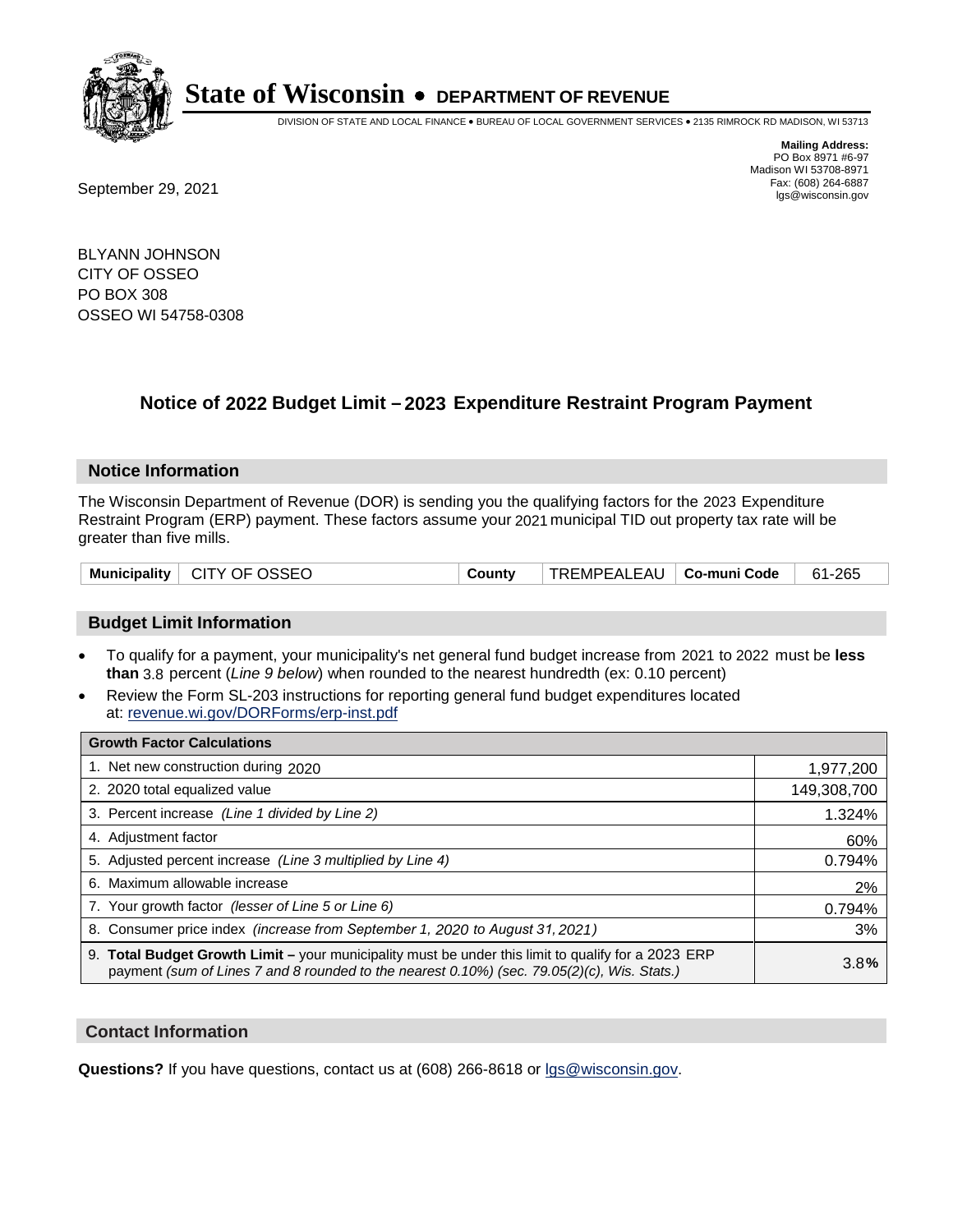

DIVISION OF STATE AND LOCAL FINANCE • BUREAU OF LOCAL GOVERNMENT SERVICES • 2135 RIMROCK RD MADISON, WI 53713

**Mailing Address:** PO Box 8971 #6-97 Madison WI 53708-8971<br>Fax: (608) 264-6887

Fax: (608) 264-6887<br>
September 29, 2021 and the state of the state of the state of the state of the state of the state of the state of the state of the state of the state of the state of the state of the state of the state

BLYANN JOHNSON CITY OF OSSEO PO BOX 308 OSSEO WI 54758-0308

## **Notice of 2022 Budget Limit - 2023 Expenditure Restraint Program Payment**

#### **Notice Information**

The Wisconsin Department of Revenue (DOR) is sending you the qualifying factors for the 2023 Expenditure Restraint Program (ERP) payment. These factors assume your 2021 municipal TID out property tax rate will be greater than five mills.

|  | Municipality   CITY OF OSSEO | County | TREMPEALEAU   Co-muni Code |  | 61-265 |
|--|------------------------------|--------|----------------------------|--|--------|
|--|------------------------------|--------|----------------------------|--|--------|

### **Budget Limit Information**

- To qualify for a payment, your municipality's net general fund budget increase from 2021 to 2022 must be less **than** 3.8 percent (*Line 9 below*) when rounded to the nearest hundredth (ex: 0.10 percent)
- Review the Form SL-203 instructions for reporting general fund budget expenditures located at: revenue.wi.gov/DORForms/erp-inst.pdf

| <b>Growth Factor Calculations</b>                                                                                                                                                                  |             |
|----------------------------------------------------------------------------------------------------------------------------------------------------------------------------------------------------|-------------|
| 1. Net new construction during 2020                                                                                                                                                                | 1,977,200   |
| 2. 2020 total equalized value                                                                                                                                                                      | 149,308,700 |
| 3. Percent increase (Line 1 divided by Line 2)                                                                                                                                                     | 1.324%      |
| 4. Adjustment factor                                                                                                                                                                               | 60%         |
| 5. Adjusted percent increase (Line 3 multiplied by Line 4)                                                                                                                                         | 0.794%      |
| 6. Maximum allowable increase                                                                                                                                                                      | 2%          |
| 7. Your growth factor (lesser of Line 5 or Line 6)                                                                                                                                                 | 0.794%      |
| 8. Consumer price index (increase from September 1, 2020 to August 31, 2021)                                                                                                                       | 3%          |
| 9. Total Budget Growth Limit - your municipality must be under this limit to qualify for a 2023 ERP<br>payment (sum of Lines 7 and 8 rounded to the nearest 0.10%) (sec. 79.05(2)(c), Wis. Stats.) | 3.8%        |

#### **Contact Information**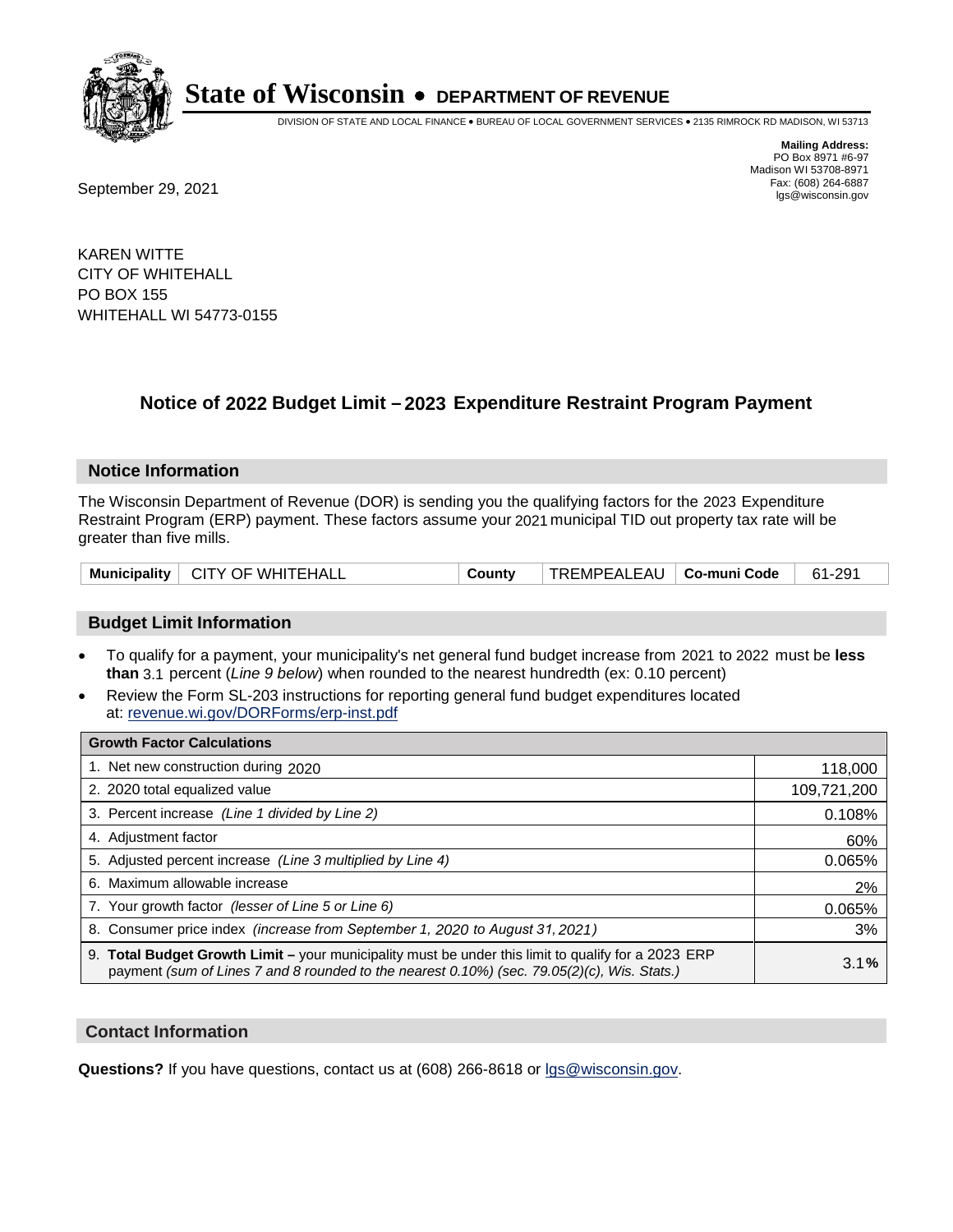

DIVISION OF STATE AND LOCAL FINANCE • BUREAU OF LOCAL GOVERNMENT SERVICES • 2135 RIMROCK RD MADISON, WI 53713

Fax: (608) 264-6887<br>
September 29, 2021 and the state of the state of the state of the state of the state of the state of the state of the state of the state of the state of the state of the state of the state of the state

**Mailing Address:** PO Box 8971 #6-97 Madison WI 53708-8971<br>Fax: (608) 264-6887

KAREN WITTE CITY OF WHITEHALL PO BOX 155 WHITEHALL WI 54773-0155

## **Notice of 2022 Budget Limit - 2023 Expenditure Restraint Program Payment**

#### **Notice Information**

The Wisconsin Department of Revenue (DOR) is sending you the qualifying factors for the 2023 Expenditure Restraint Program (ERP) payment. These factors assume your 2021 municipal TID out property tax rate will be greater than five mills.

| Municipality   CITY OF WHITEHALL | County | TREMPEALEAU   <b>Co-muni Code</b> |  | 61-291 |
|----------------------------------|--------|-----------------------------------|--|--------|
|----------------------------------|--------|-----------------------------------|--|--------|

### **Budget Limit Information**

- To qualify for a payment, your municipality's net general fund budget increase from 2021 to 2022 must be less **than** 3.1 percent (*Line 9 below*) when rounded to the nearest hundredth (ex: 0.10 percent)
- Review the Form SL-203 instructions for reporting general fund budget expenditures located at: revenue.wi.gov/DORForms/erp-inst.pdf

| <b>Growth Factor Calculations</b>                                                                                                                                                                  |             |
|----------------------------------------------------------------------------------------------------------------------------------------------------------------------------------------------------|-------------|
| 1. Net new construction during 2020                                                                                                                                                                | 118,000     |
| 2. 2020 total equalized value                                                                                                                                                                      | 109,721,200 |
| 3. Percent increase (Line 1 divided by Line 2)                                                                                                                                                     | 0.108%      |
| 4. Adjustment factor                                                                                                                                                                               | 60%         |
| 5. Adjusted percent increase (Line 3 multiplied by Line 4)                                                                                                                                         | 0.065%      |
| 6. Maximum allowable increase                                                                                                                                                                      | 2%          |
| 7. Your growth factor (lesser of Line 5 or Line 6)                                                                                                                                                 | 0.065%      |
| 8. Consumer price index (increase from September 1, 2020 to August 31, 2021)                                                                                                                       | 3%          |
| 9. Total Budget Growth Limit - your municipality must be under this limit to qualify for a 2023 ERP<br>payment (sum of Lines 7 and 8 rounded to the nearest 0.10%) (sec. 79.05(2)(c), Wis. Stats.) | 3.1%        |

#### **Contact Information**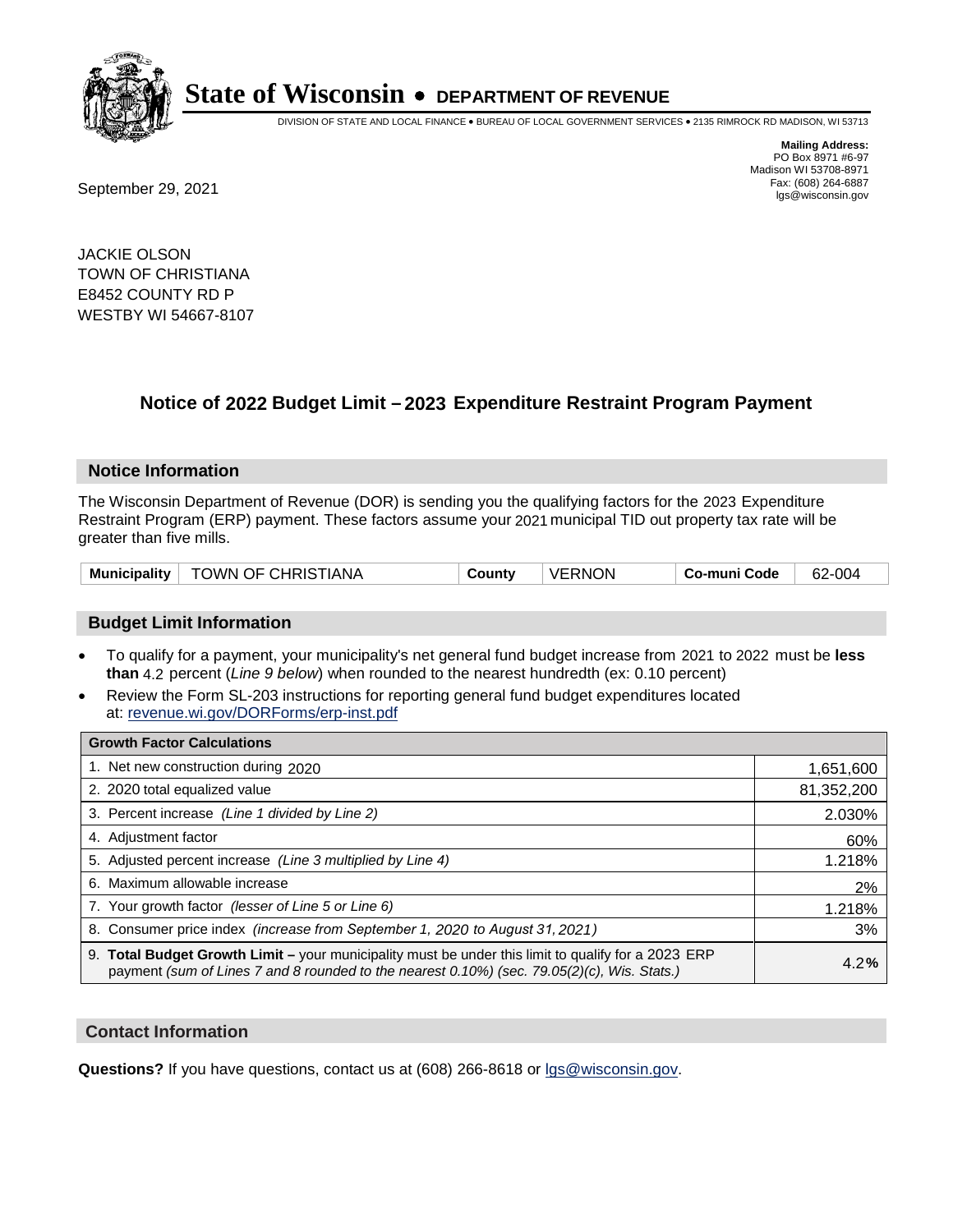

DIVISION OF STATE AND LOCAL FINANCE • BUREAU OF LOCAL GOVERNMENT SERVICES • 2135 RIMROCK RD MADISON, WI 53713

Fax: (608) 264-6887<br>
September 29, 2021 and the state of the state of the state of the state of the state of the state of the state of the state of the state of the state of the state of the state of the state of the state

**Mailing Address:** PO Box 8971 #6-97 Madison WI 53708-8971<br>Fax: (608) 264-6887

JACKIE OLSON TOWN OF CHRISTIANA E8452 COUNTY RD P WESTBY WI 54667-8107

## **Notice of 2022 Budget Limit - 2023 Expenditure Restraint Program Payment**

#### **Notice Information**

The Wisconsin Department of Revenue (DOR) is sending you the qualifying factors for the 2023 Expenditure Restraint Program (ERP) payment. These factors assume your 2021 municipal TID out property tax rate will be greater than five mills.

| Municipality   TOWN OF CHRISTIANA | County | <b>VERNON</b> | Co-muni Code | 62-004 |
|-----------------------------------|--------|---------------|--------------|--------|
|-----------------------------------|--------|---------------|--------------|--------|

### **Budget Limit Information**

- To qualify for a payment, your municipality's net general fund budget increase from 2021 to 2022 must be less **than** 4.2 percent (*Line 9 below*) when rounded to the nearest hundredth (ex: 0.10 percent)
- Review the Form SL-203 instructions for reporting general fund budget expenditures located at: revenue.wi.gov/DORForms/erp-inst.pdf

| <b>Growth Factor Calculations</b>                                                                                                                                                                  |            |
|----------------------------------------------------------------------------------------------------------------------------------------------------------------------------------------------------|------------|
| 1. Net new construction during 2020                                                                                                                                                                | 1,651,600  |
| 2. 2020 total equalized value                                                                                                                                                                      | 81,352,200 |
| 3. Percent increase (Line 1 divided by Line 2)                                                                                                                                                     | 2.030%     |
| 4. Adjustment factor                                                                                                                                                                               | 60%        |
| 5. Adjusted percent increase (Line 3 multiplied by Line 4)                                                                                                                                         | 1.218%     |
| 6. Maximum allowable increase                                                                                                                                                                      | 2%         |
| 7. Your growth factor (lesser of Line 5 or Line 6)                                                                                                                                                 | 1.218%     |
| 8. Consumer price index (increase from September 1, 2020 to August 31, 2021)                                                                                                                       | 3%         |
| 9. Total Budget Growth Limit - your municipality must be under this limit to qualify for a 2023 ERP<br>payment (sum of Lines 7 and 8 rounded to the nearest 0.10%) (sec. 79.05(2)(c), Wis. Stats.) | 4.2%       |

#### **Contact Information**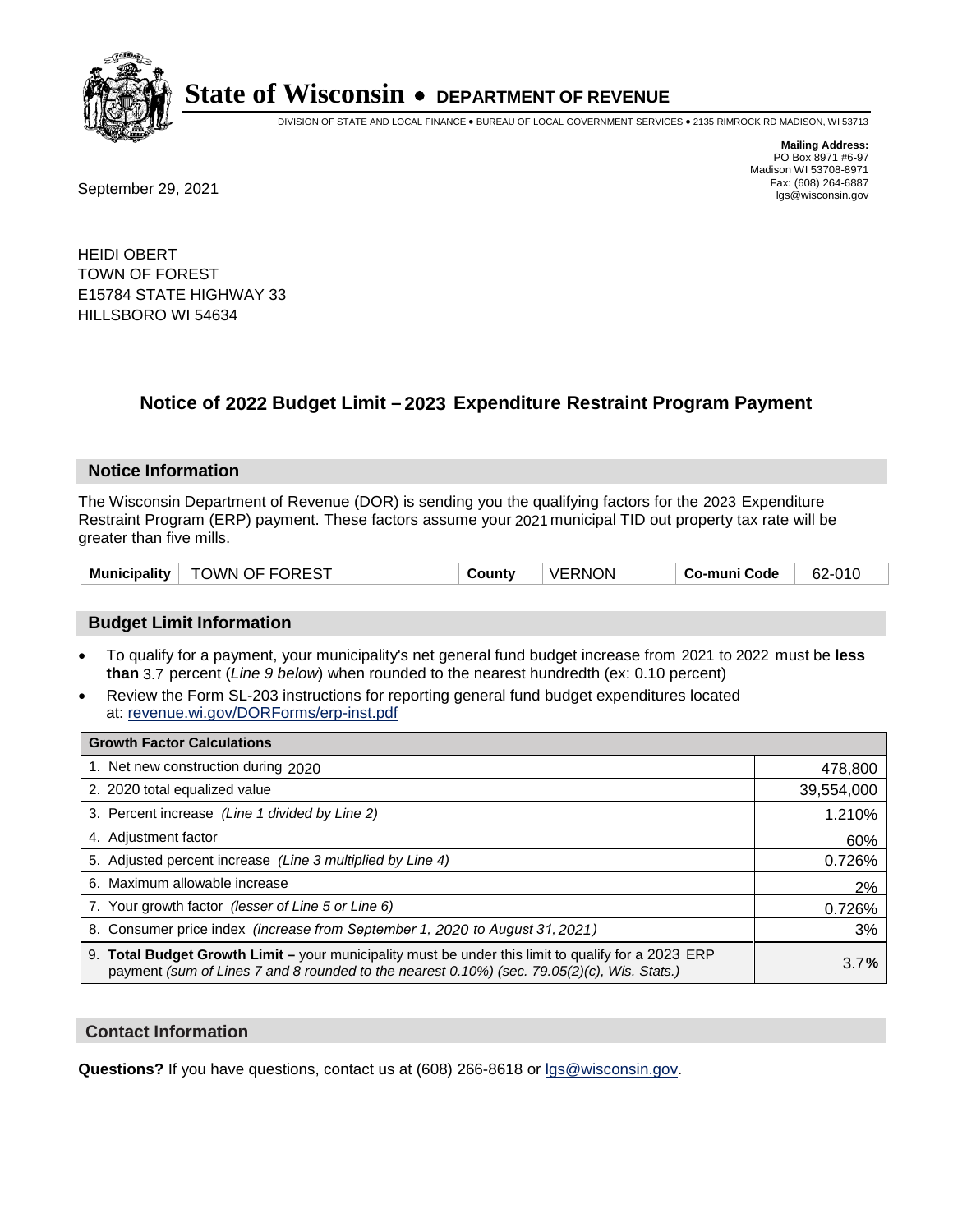

DIVISION OF STATE AND LOCAL FINANCE • BUREAU OF LOCAL GOVERNMENT SERVICES • 2135 RIMROCK RD MADISON, WI 53713

Fax: (608) 264-6887<br>
September 29, 2021 and the state of the state of the state of the state of the state of the state of the state of the state of the state of the state of the state of the state of the state of the state

**Mailing Address:** PO Box 8971 #6-97 Madison WI 53708-8971<br>Fax: (608) 264-6887

HEIDI OBERT TOWN OF FOREST E15784 STATE HIGHWAY 33 HILLSBORO WI 54634

## **Notice of 2022 Budget Limit - 2023 Expenditure Restraint Program Payment**

#### **Notice Information**

The Wisconsin Department of Revenue (DOR) is sending you the qualifying factors for the 2023 Expenditure Restraint Program (ERP) payment. These factors assume your 2021 municipal TID out property tax rate will be greater than five mills.

| <b>TOWN OF FOREST</b><br><b>Municipality</b> | County | <b>VERNON</b> | Co-muni Code | 62-010 |
|----------------------------------------------|--------|---------------|--------------|--------|
|----------------------------------------------|--------|---------------|--------------|--------|

#### **Budget Limit Information**

- To qualify for a payment, your municipality's net general fund budget increase from 2021 to 2022 must be less **than** 3.7 percent (*Line 9 below*) when rounded to the nearest hundredth (ex: 0.10 percent)
- Review the Form SL-203 instructions for reporting general fund budget expenditures located at: revenue.wi.gov/DORForms/erp-inst.pdf

| <b>Growth Factor Calculations</b>                                                                                                                                                                  |            |
|----------------------------------------------------------------------------------------------------------------------------------------------------------------------------------------------------|------------|
| 1. Net new construction during 2020                                                                                                                                                                | 478,800    |
| 2. 2020 total equalized value                                                                                                                                                                      | 39,554,000 |
| 3. Percent increase (Line 1 divided by Line 2)                                                                                                                                                     | 1.210%     |
| 4. Adjustment factor                                                                                                                                                                               | 60%        |
| 5. Adjusted percent increase (Line 3 multiplied by Line 4)                                                                                                                                         | 0.726%     |
| 6. Maximum allowable increase                                                                                                                                                                      | 2%         |
| 7. Your growth factor (lesser of Line 5 or Line 6)                                                                                                                                                 | 0.726%     |
| 8. Consumer price index (increase from September 1, 2020 to August 31, 2021)                                                                                                                       | 3%         |
| 9. Total Budget Growth Limit - your municipality must be under this limit to qualify for a 2023 ERP<br>payment (sum of Lines 7 and 8 rounded to the nearest 0.10%) (sec. 79.05(2)(c), Wis. Stats.) | 3.7%       |

#### **Contact Information**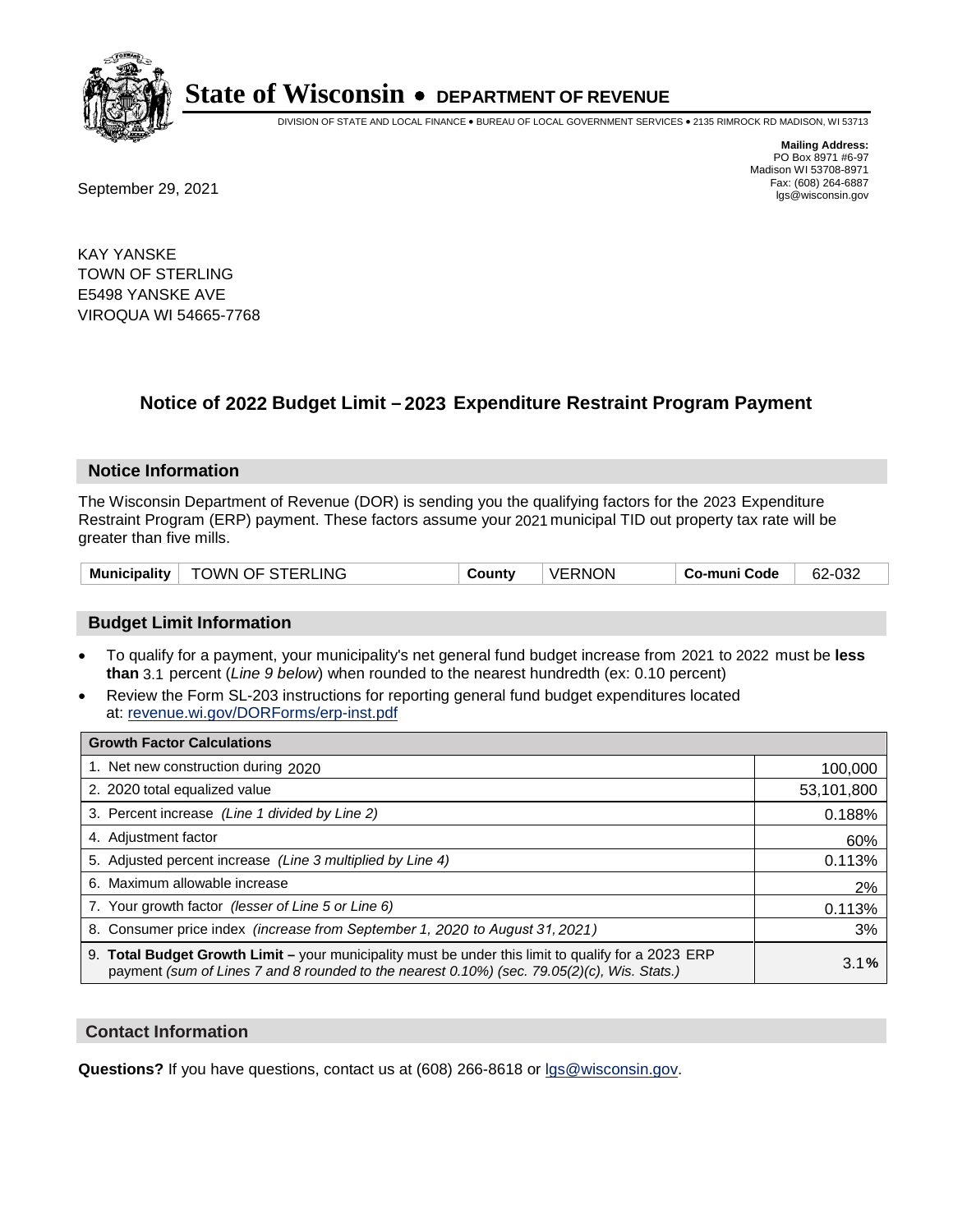

DIVISION OF STATE AND LOCAL FINANCE • BUREAU OF LOCAL GOVERNMENT SERVICES • 2135 RIMROCK RD MADISON, WI 53713

Fax: (608) 264-6887<br>
September 29, 2021 and the state of the state of the state of the state of the state of the state of the state of the state of the state of the state of the state of the state of the state of the state

**Mailing Address:** PO Box 8971 #6-97 Madison WI 53708-8971<br>Fax: (608) 264-6887

KAY YANSKE TOWN OF STERLING E5498 YANSKE AVE VIROQUA WI 54665-7768

## **Notice of 2022 Budget Limit - 2023 Expenditure Restraint Program Payment**

#### **Notice Information**

The Wisconsin Department of Revenue (DOR) is sending you the qualifying factors for the 2023 Expenditure Restraint Program (ERP) payment. These factors assume your 2021 municipal TID out property tax rate will be greater than five mills.

| Municipality   TOWN OF STERLING | County | VERNON | Co-muni Code | 62-032 |
|---------------------------------|--------|--------|--------------|--------|
|---------------------------------|--------|--------|--------------|--------|

### **Budget Limit Information**

- To qualify for a payment, your municipality's net general fund budget increase from 2021 to 2022 must be less **than** 3.1 percent (*Line 9 below*) when rounded to the nearest hundredth (ex: 0.10 percent)
- Review the Form SL-203 instructions for reporting general fund budget expenditures located at: revenue.wi.gov/DORForms/erp-inst.pdf

| <b>Growth Factor Calculations</b>                                                                                                                                                                  |            |
|----------------------------------------------------------------------------------------------------------------------------------------------------------------------------------------------------|------------|
| 1. Net new construction during 2020                                                                                                                                                                | 100,000    |
| 2. 2020 total equalized value                                                                                                                                                                      | 53,101,800 |
| 3. Percent increase (Line 1 divided by Line 2)                                                                                                                                                     | 0.188%     |
| 4. Adjustment factor                                                                                                                                                                               | 60%        |
| 5. Adjusted percent increase (Line 3 multiplied by Line 4)                                                                                                                                         | 0.113%     |
| 6. Maximum allowable increase                                                                                                                                                                      | 2%         |
| 7. Your growth factor (lesser of Line 5 or Line 6)                                                                                                                                                 | 0.113%     |
| 8. Consumer price index (increase from September 1, 2020 to August 31, 2021)                                                                                                                       | 3%         |
| 9. Total Budget Growth Limit – your municipality must be under this limit to qualify for a 2023 ERP<br>payment (sum of Lines 7 and 8 rounded to the nearest 0.10%) (sec. 79.05(2)(c), Wis. Stats.) | 3.1%       |

#### **Contact Information**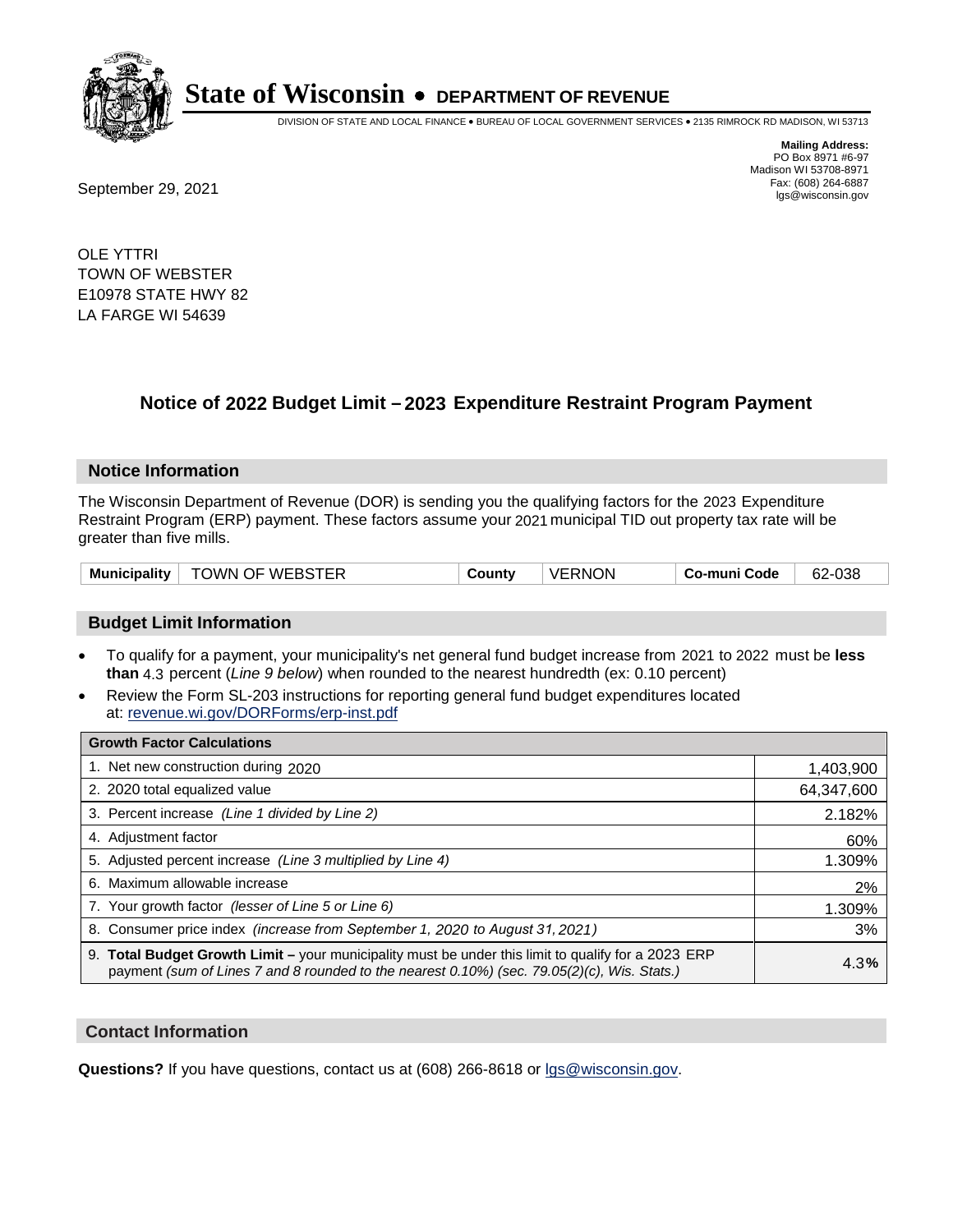

DIVISION OF STATE AND LOCAL FINANCE • BUREAU OF LOCAL GOVERNMENT SERVICES • 2135 RIMROCK RD MADISON, WI 53713

Fax: (608) 264-6887<br>
September 29, 2021 and the state of the state of the state of the state of the state of the state of the state of the state of the state of the state of the state of the state of the state of the state

**Mailing Address:** PO Box 8971 #6-97 Madison WI 53708-8971<br>Fax: (608) 264-6887

OLE YTTRI TOWN OF WEBSTER E10978 STATE HWY 82 LA FARGE WI 54639

## **Notice of 2022 Budget Limit - 2023 Expenditure Restraint Program Payment**

#### **Notice Information**

The Wisconsin Department of Revenue (DOR) is sending you the qualifying factors for the 2023 Expenditure Restraint Program (ERP) payment. These factors assume your 2021 municipal TID out property tax rate will be greater than five mills.

| Municipality | TOWN OF WEBSTER | County | <b>VERNON</b> | Co-muni Code | 62-038 |
|--------------|-----------------|--------|---------------|--------------|--------|
|--------------|-----------------|--------|---------------|--------------|--------|

#### **Budget Limit Information**

- To qualify for a payment, your municipality's net general fund budget increase from 2021 to 2022 must be less **than** 4.3 percent (*Line 9 below*) when rounded to the nearest hundredth (ex: 0.10 percent)
- Review the Form SL-203 instructions for reporting general fund budget expenditures located at: revenue.wi.gov/DORForms/erp-inst.pdf

| <b>Growth Factor Calculations</b>                                                                                                                                                                  |            |
|----------------------------------------------------------------------------------------------------------------------------------------------------------------------------------------------------|------------|
| 1. Net new construction during 2020                                                                                                                                                                | 1,403,900  |
| 2. 2020 total equalized value                                                                                                                                                                      | 64,347,600 |
| 3. Percent increase (Line 1 divided by Line 2)                                                                                                                                                     | 2.182%     |
| 4. Adjustment factor                                                                                                                                                                               | 60%        |
| 5. Adjusted percent increase (Line 3 multiplied by Line 4)                                                                                                                                         | 1.309%     |
| 6. Maximum allowable increase                                                                                                                                                                      | 2%         |
| 7. Your growth factor (lesser of Line 5 or Line 6)                                                                                                                                                 | 1.309%     |
| 8. Consumer price index (increase from September 1, 2020 to August 31, 2021)                                                                                                                       | 3%         |
| 9. Total Budget Growth Limit - your municipality must be under this limit to qualify for a 2023 ERP<br>payment (sum of Lines 7 and 8 rounded to the nearest 0.10%) (sec. 79.05(2)(c), Wis. Stats.) | 4.3%       |

#### **Contact Information**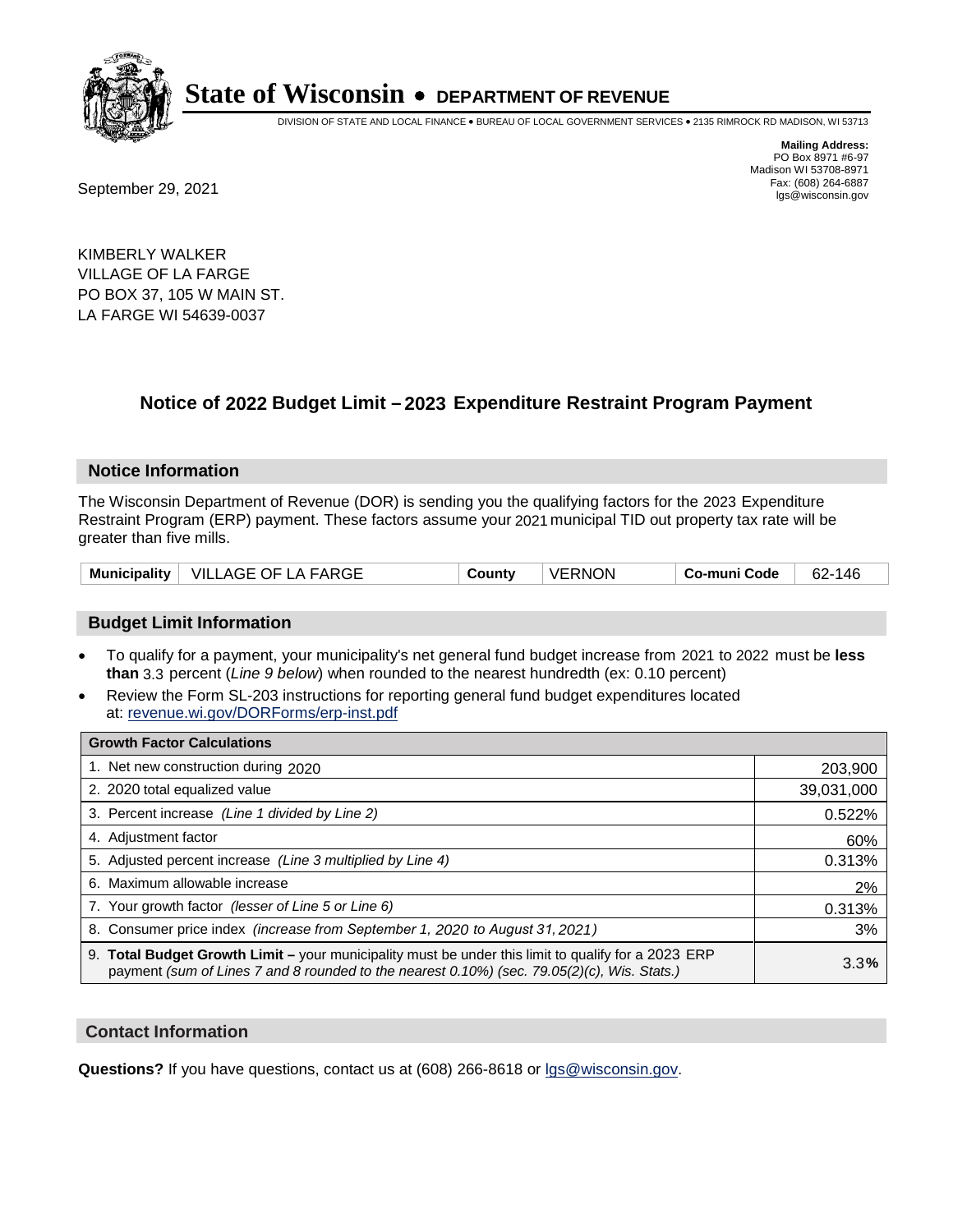

DIVISION OF STATE AND LOCAL FINANCE • BUREAU OF LOCAL GOVERNMENT SERVICES • 2135 RIMROCK RD MADISON, WI 53713

Fax: (608) 264-6887<br>
September 29, 2021 and the state of the state of the state of the state of the state of the state of the state of the state of the state of the state of the state of the state of the state of the state

**Mailing Address:** PO Box 8971 #6-97 Madison WI 53708-8971<br>Fax: (608) 264-6887

KIMBERLY WALKER VILLAGE OF LA FARGE PO BOX 37, 105 W MAIN ST. LA FARGE WI 54639-0037

## **Notice of 2022 Budget Limit - 2023 Expenditure Restraint Program Payment**

#### **Notice Information**

The Wisconsin Department of Revenue (DOR) is sending you the qualifying factors for the 2023 Expenditure Restraint Program (ERP) payment. These factors assume your 2021 municipal TID out property tax rate will be greater than five mills.

#### **Budget Limit Information**

- To qualify for a payment, your municipality's net general fund budget increase from 2021 to 2022 must be less **than** 3.3 percent (*Line 9 below*) when rounded to the nearest hundredth (ex: 0.10 percent)
- Review the Form SL-203 instructions for reporting general fund budget expenditures located at: revenue.wi.gov/DORForms/erp-inst.pdf

| <b>Growth Factor Calculations</b>                                                                                                                                                                      |            |
|--------------------------------------------------------------------------------------------------------------------------------------------------------------------------------------------------------|------------|
| 1. Net new construction during 2020                                                                                                                                                                    | 203,900    |
| 2. 2020 total equalized value                                                                                                                                                                          | 39,031,000 |
| 3. Percent increase (Line 1 divided by Line 2)                                                                                                                                                         | 0.522%     |
| 4. Adiustment factor                                                                                                                                                                                   | 60%        |
| 5. Adjusted percent increase (Line 3 multiplied by Line 4)                                                                                                                                             | 0.313%     |
| 6. Maximum allowable increase                                                                                                                                                                          | 2%         |
| 7. Your growth factor (lesser of Line 5 or Line 6)                                                                                                                                                     | 0.313%     |
| 8. Consumer price index (increase from September 1, 2020 to August 31, 2021)                                                                                                                           | 3%         |
| 9. Total Budget Growth Limit - your municipality must be under this limit to qualify for a 2023 ERP<br>payment (sum of Lines 7 and 8 rounded to the nearest $0.10\%$ ) (sec. 79.05(2)(c), Wis. Stats.) | 3.3%       |

#### **Contact Information**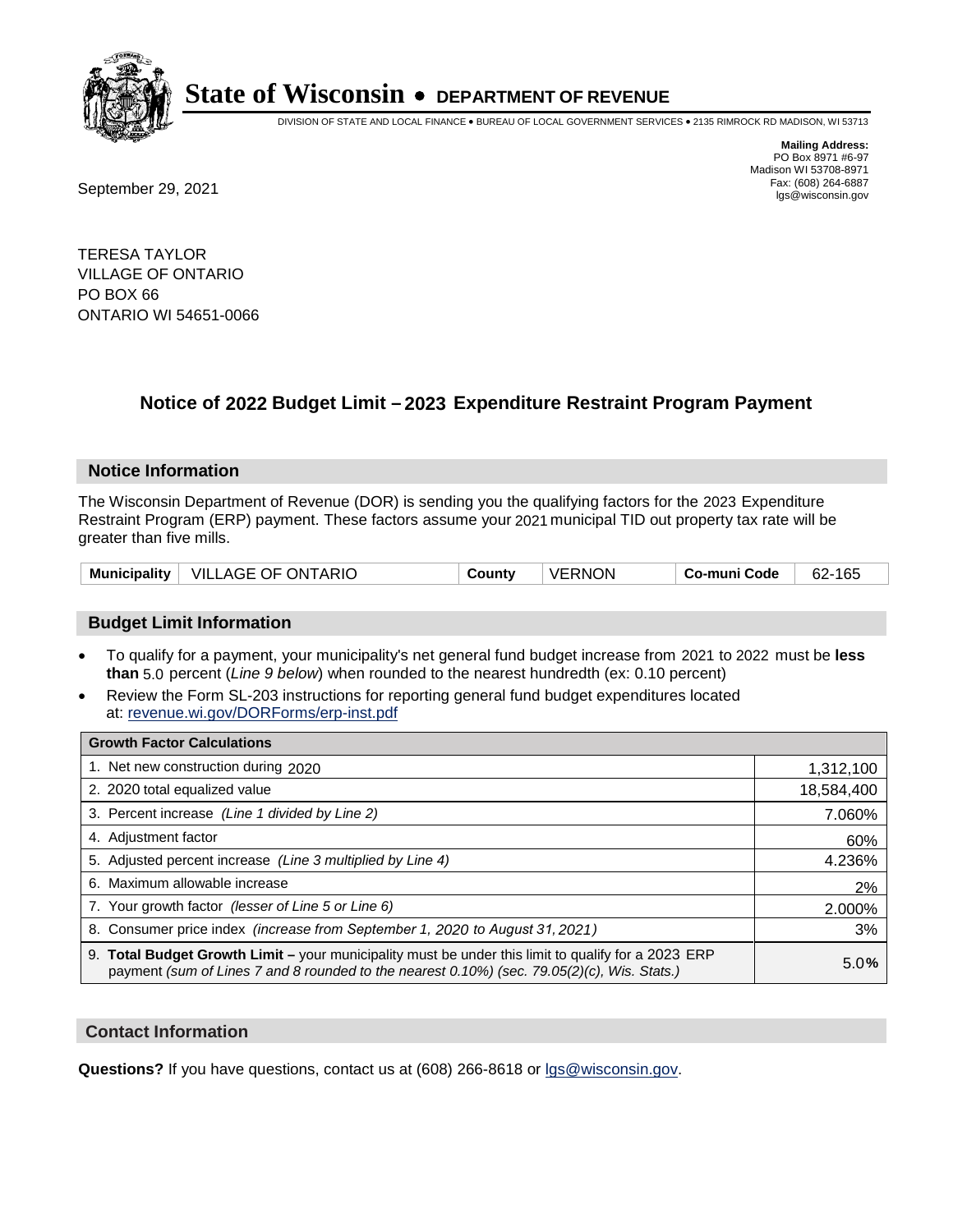

DIVISION OF STATE AND LOCAL FINANCE • BUREAU OF LOCAL GOVERNMENT SERVICES • 2135 RIMROCK RD MADISON, WI 53713

Fax: (608) 264-6887<br>
September 29, 2021 and the state of the state of the state of the state of the state of the state of the state of the state of the state of the state of the state of the state of the state of the state

**Mailing Address:** PO Box 8971 #6-97 Madison WI 53708-8971<br>Fax: (608) 264-6887

TERESA TAYLOR VILLAGE OF ONTARIO PO BOX 66 ONTARIO WI 54651-0066

## **Notice of 2022 Budget Limit - 2023 Expenditure Restraint Program Payment**

#### **Notice Information**

The Wisconsin Department of Revenue (DOR) is sending you the qualifying factors for the 2023 Expenditure Restraint Program (ERP) payment. These factors assume your 2021 municipal TID out property tax rate will be greater than five mills.

| VILLAGE OF ONTARIO<br><b>Municipality</b> | County | VERNON | Co-muni Code | 62-165 |
|-------------------------------------------|--------|--------|--------------|--------|
|-------------------------------------------|--------|--------|--------------|--------|

### **Budget Limit Information**

- To qualify for a payment, your municipality's net general fund budget increase from 2021 to 2022 must be less **than** 5.0 percent (*Line 9 below*) when rounded to the nearest hundredth (ex: 0.10 percent)
- Review the Form SL-203 instructions for reporting general fund budget expenditures located at: revenue.wi.gov/DORForms/erp-inst.pdf

| <b>Growth Factor Calculations</b>                                                                                                                                                                  |            |
|----------------------------------------------------------------------------------------------------------------------------------------------------------------------------------------------------|------------|
| 1. Net new construction during 2020                                                                                                                                                                | 1,312,100  |
| 2. 2020 total equalized value                                                                                                                                                                      | 18,584,400 |
| 3. Percent increase (Line 1 divided by Line 2)                                                                                                                                                     | 7.060%     |
| 4. Adjustment factor                                                                                                                                                                               | 60%        |
| 5. Adjusted percent increase (Line 3 multiplied by Line 4)                                                                                                                                         | 4.236%     |
| 6. Maximum allowable increase                                                                                                                                                                      | 2%         |
| 7. Your growth factor (lesser of Line 5 or Line 6)                                                                                                                                                 | 2.000%     |
| 8. Consumer price index (increase from September 1, 2020 to August 31, 2021)                                                                                                                       | 3%         |
| 9. Total Budget Growth Limit - your municipality must be under this limit to qualify for a 2023 ERP<br>payment (sum of Lines 7 and 8 rounded to the nearest 0.10%) (sec. 79.05(2)(c), Wis. Stats.) | 5.0%       |

#### **Contact Information**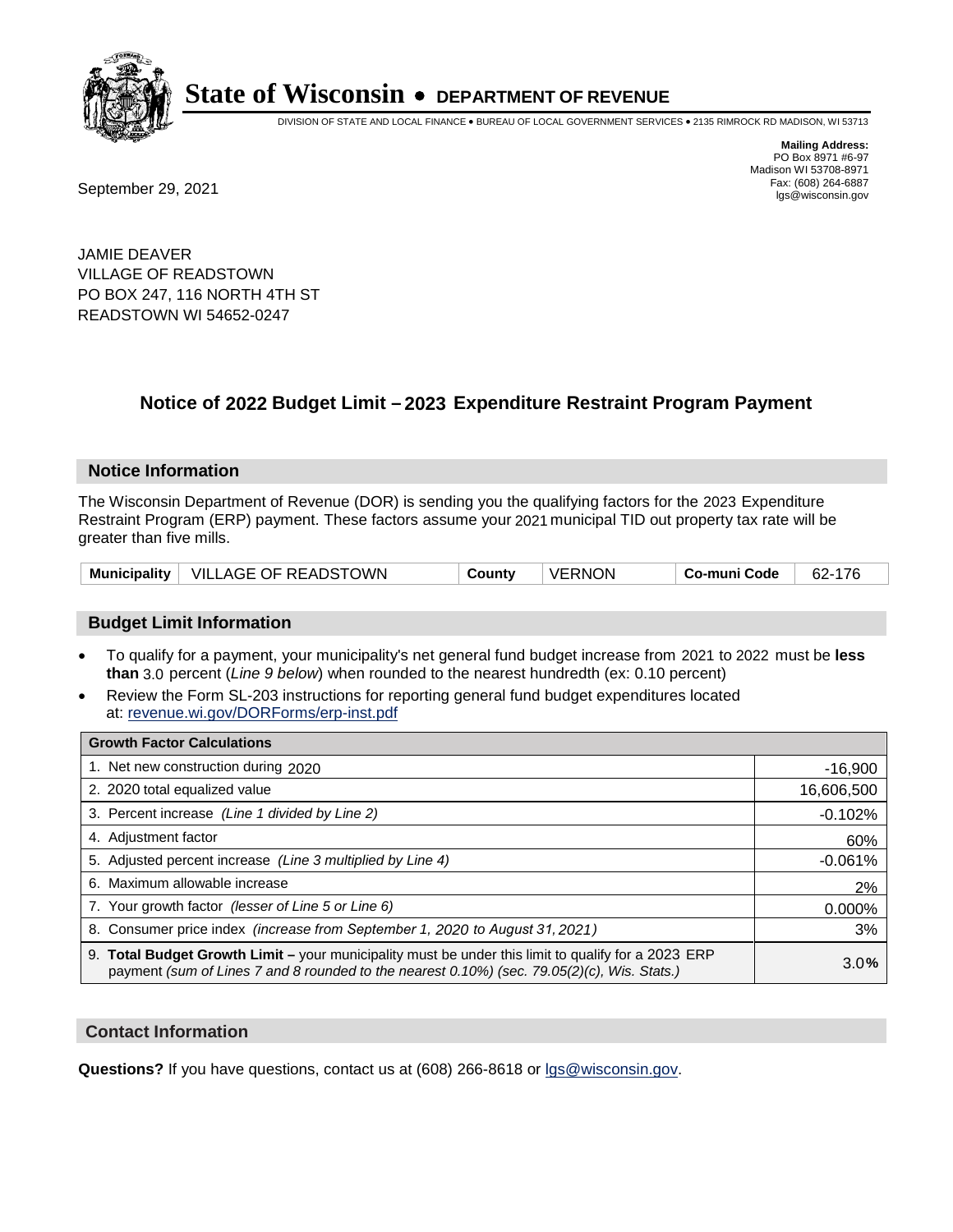

DIVISION OF STATE AND LOCAL FINANCE • BUREAU OF LOCAL GOVERNMENT SERVICES • 2135 RIMROCK RD MADISON, WI 53713

**Mailing Address:** PO Box 8971 #6-97 Madison WI 53708-8971<br>Fax: (608) 264-6887

Fax: (608) 264-6887<br>
September 29, 2021 and the state of the state of the state of the state of the state of the state of the state of the state of the state of the state of the state of the state of the state of the state

JAMIE DEAVER VILLAGE OF READSTOWN PO BOX 247, 116 NORTH 4TH ST READSTOWN WI 54652-0247

## **Notice of 2022 Budget Limit - 2023 Expenditure Restraint Program Payment**

#### **Notice Information**

The Wisconsin Department of Revenue (DOR) is sending you the qualifying factors for the 2023 Expenditure Restraint Program (ERP) payment. These factors assume your 2021 municipal TID out property tax rate will be greater than five mills.

|  | Municipality   VILLAGE OF READSTOWN | County | <b>VERNON</b> | Co-muni Code | 62-176 |
|--|-------------------------------------|--------|---------------|--------------|--------|
|--|-------------------------------------|--------|---------------|--------------|--------|

### **Budget Limit Information**

- To qualify for a payment, your municipality's net general fund budget increase from 2021 to 2022 must be less **than** 3.0 percent (*Line 9 below*) when rounded to the nearest hundredth (ex: 0.10 percent)
- Review the Form SL-203 instructions for reporting general fund budget expenditures located at: revenue.wi.gov/DORForms/erp-inst.pdf

| <b>Growth Factor Calculations</b>                                                                                                                                                                  |            |
|----------------------------------------------------------------------------------------------------------------------------------------------------------------------------------------------------|------------|
| 1. Net new construction during 2020                                                                                                                                                                | $-16,900$  |
| 2. 2020 total equalized value                                                                                                                                                                      | 16,606,500 |
| 3. Percent increase (Line 1 divided by Line 2)                                                                                                                                                     | $-0.102%$  |
| 4. Adjustment factor                                                                                                                                                                               | 60%        |
| 5. Adjusted percent increase (Line 3 multiplied by Line 4)                                                                                                                                         | $-0.061%$  |
| 6. Maximum allowable increase                                                                                                                                                                      | 2%         |
| 7. Your growth factor (lesser of Line 5 or Line 6)                                                                                                                                                 | 0.000%     |
| 8. Consumer price index (increase from September 1, 2020 to August 31, 2021)                                                                                                                       | 3%         |
| 9. Total Budget Growth Limit - your municipality must be under this limit to qualify for a 2023 ERP<br>payment (sum of Lines 7 and 8 rounded to the nearest 0.10%) (sec. 79.05(2)(c), Wis. Stats.) | 3.0%       |

#### **Contact Information**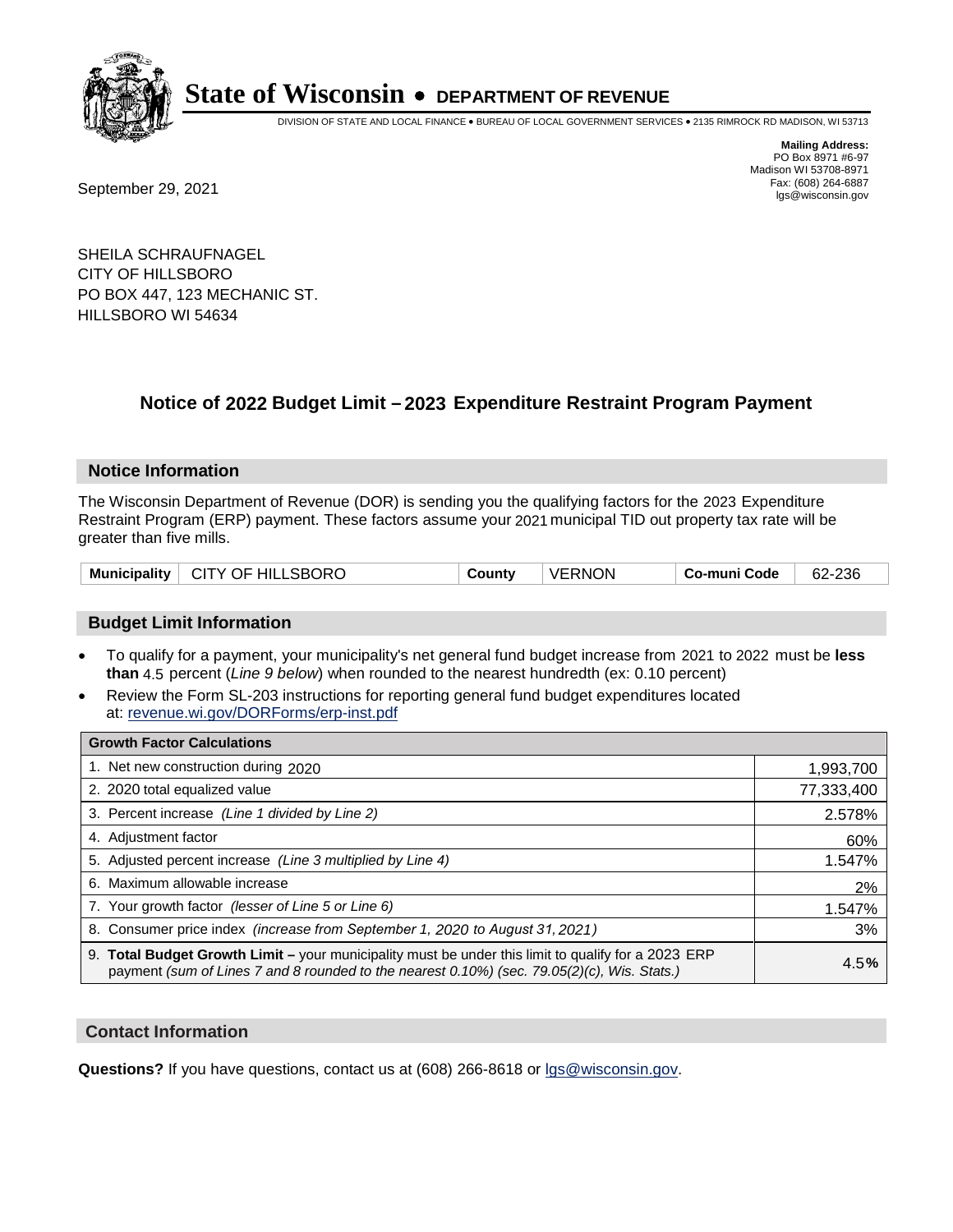

DIVISION OF STATE AND LOCAL FINANCE • BUREAU OF LOCAL GOVERNMENT SERVICES • 2135 RIMROCK RD MADISON, WI 53713

Fax: (608) 264-6887<br>
September 29, 2021 and the state of the state of the state of the state of the state of the state of the state of the state of the state of the state of the state of the state of the state of the state

**Mailing Address:** PO Box 8971 #6-97 Madison WI 53708-8971<br>Fax: (608) 264-6887

SHEILA SCHRAUFNAGEL CITY OF HILLSBORO PO BOX 447, 123 MECHANIC ST. HILLSBORO WI 54634

## **Notice of 2022 Budget Limit - 2023 Expenditure Restraint Program Payment**

#### **Notice Information**

The Wisconsin Department of Revenue (DOR) is sending you the qualifying factors for the 2023 Expenditure Restraint Program (ERP) payment. These factors assume your 2021 municipal TID out property tax rate will be greater than five mills.

|  | Municipality   CITY OF HILLSBORO | County | <b>VERNON</b> | Co-muni Code | 62-236 |
|--|----------------------------------|--------|---------------|--------------|--------|
|--|----------------------------------|--------|---------------|--------------|--------|

#### **Budget Limit Information**

- To qualify for a payment, your municipality's net general fund budget increase from 2021 to 2022 must be less **than** 4.5 percent (*Line 9 below*) when rounded to the nearest hundredth (ex: 0.10 percent)
- Review the Form SL-203 instructions for reporting general fund budget expenditures located at: revenue.wi.gov/DORForms/erp-inst.pdf

| <b>Growth Factor Calculations</b>                                                                                                                                                                  |            |
|----------------------------------------------------------------------------------------------------------------------------------------------------------------------------------------------------|------------|
| 1. Net new construction during 2020                                                                                                                                                                | 1,993,700  |
| 2. 2020 total equalized value                                                                                                                                                                      | 77,333,400 |
| 3. Percent increase (Line 1 divided by Line 2)                                                                                                                                                     | 2.578%     |
| 4. Adjustment factor                                                                                                                                                                               | 60%        |
| 5. Adjusted percent increase (Line 3 multiplied by Line 4)                                                                                                                                         | 1.547%     |
| 6. Maximum allowable increase                                                                                                                                                                      | 2%         |
| 7. Your growth factor (lesser of Line 5 or Line 6)                                                                                                                                                 | 1.547%     |
| 8. Consumer price index (increase from September 1, 2020 to August 31, 2021)                                                                                                                       | 3%         |
| 9. Total Budget Growth Limit – your municipality must be under this limit to qualify for a 2023 ERP<br>payment (sum of Lines 7 and 8 rounded to the nearest 0.10%) (sec. 79.05(2)(c), Wis. Stats.) | 4.5%       |

#### **Contact Information**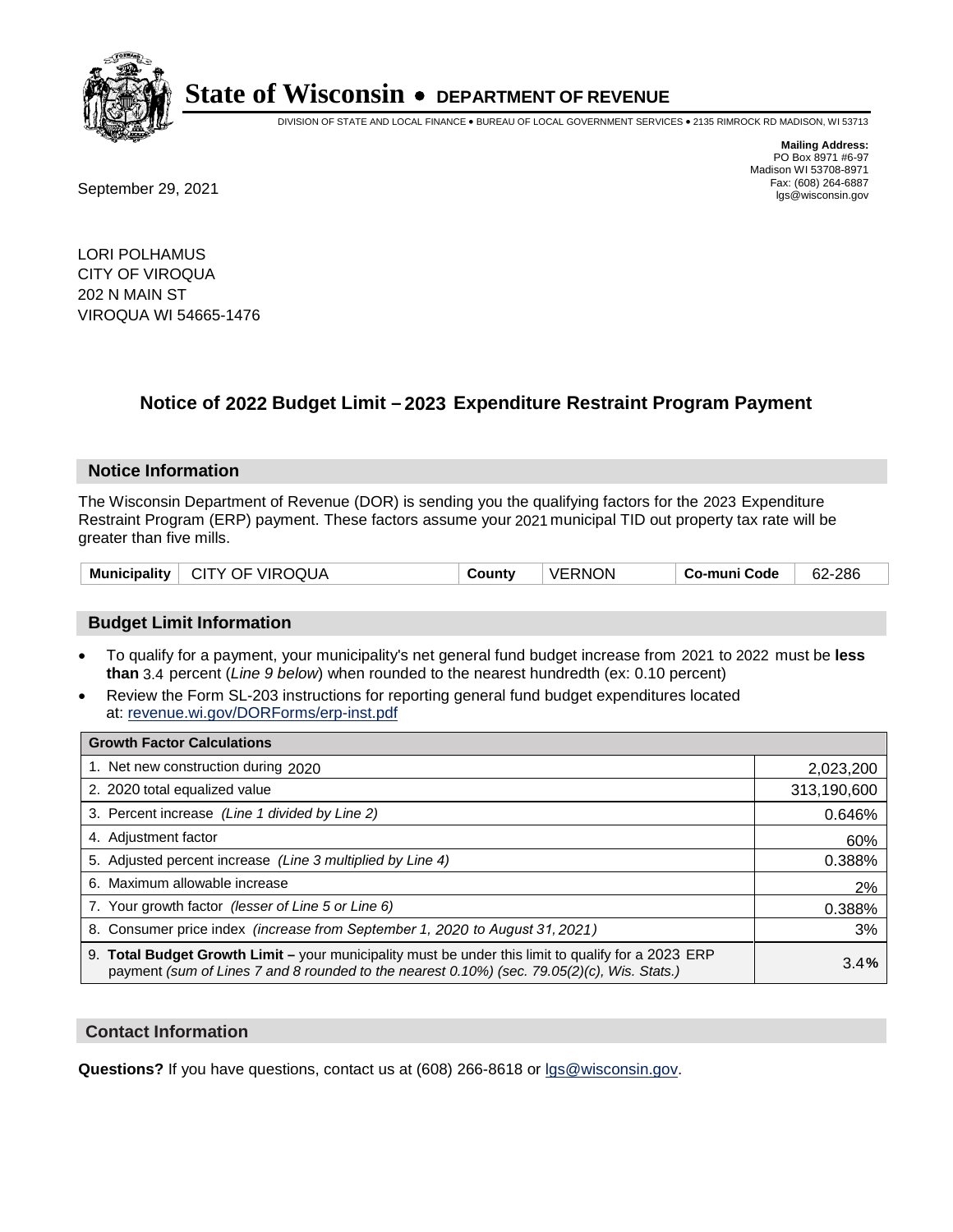

DIVISION OF STATE AND LOCAL FINANCE • BUREAU OF LOCAL GOVERNMENT SERVICES • 2135 RIMROCK RD MADISON, WI 53713

Fax: (608) 264-6887<br>
September 29, 2021 and the state of the state of the state of the state of the state of the state of the state of the state of the state of the state of the state of the state of the state of the state

**Mailing Address:** PO Box 8971 #6-97 Madison WI 53708-8971<br>Fax: (608) 264-6887

LORI POLHAMUS CITY OF VIROQUA 202 N MAIN ST VIROQUA WI 54665-1476

## **Notice of 2022 Budget Limit - 2023 Expenditure Restraint Program Payment**

#### **Notice Information**

The Wisconsin Department of Revenue (DOR) is sending you the qualifying factors for the 2023 Expenditure Restraint Program (ERP) payment. These factors assume your 2021 municipal TID out property tax rate will be greater than five mills.

|  | Municipality   CITY OF VIROQUA | County | <b>VERNON</b> | ⊦ Co-muni Code | 62-286 |
|--|--------------------------------|--------|---------------|----------------|--------|
|--|--------------------------------|--------|---------------|----------------|--------|

### **Budget Limit Information**

- To qualify for a payment, your municipality's net general fund budget increase from 2021 to 2022 must be less **than** 3.4 percent (*Line 9 below*) when rounded to the nearest hundredth (ex: 0.10 percent)
- Review the Form SL-203 instructions for reporting general fund budget expenditures located at: revenue.wi.gov/DORForms/erp-inst.pdf

| <b>Growth Factor Calculations</b>                                                                                                                                                                  |             |
|----------------------------------------------------------------------------------------------------------------------------------------------------------------------------------------------------|-------------|
| 1. Net new construction during 2020                                                                                                                                                                | 2,023,200   |
| 2. 2020 total equalized value                                                                                                                                                                      | 313,190,600 |
| 3. Percent increase (Line 1 divided by Line 2)                                                                                                                                                     | 0.646%      |
| 4. Adjustment factor                                                                                                                                                                               | 60%         |
| 5. Adjusted percent increase (Line 3 multiplied by Line 4)                                                                                                                                         | 0.388%      |
| 6. Maximum allowable increase                                                                                                                                                                      | 2%          |
| 7. Your growth factor (lesser of Line 5 or Line 6)                                                                                                                                                 | 0.388%      |
| 8. Consumer price index (increase from September 1, 2020 to August 31, 2021)                                                                                                                       | 3%          |
| 9. Total Budget Growth Limit - your municipality must be under this limit to qualify for a 2023 ERP<br>payment (sum of Lines 7 and 8 rounded to the nearest 0.10%) (sec. 79.05(2)(c), Wis. Stats.) | 3.4%        |

#### **Contact Information**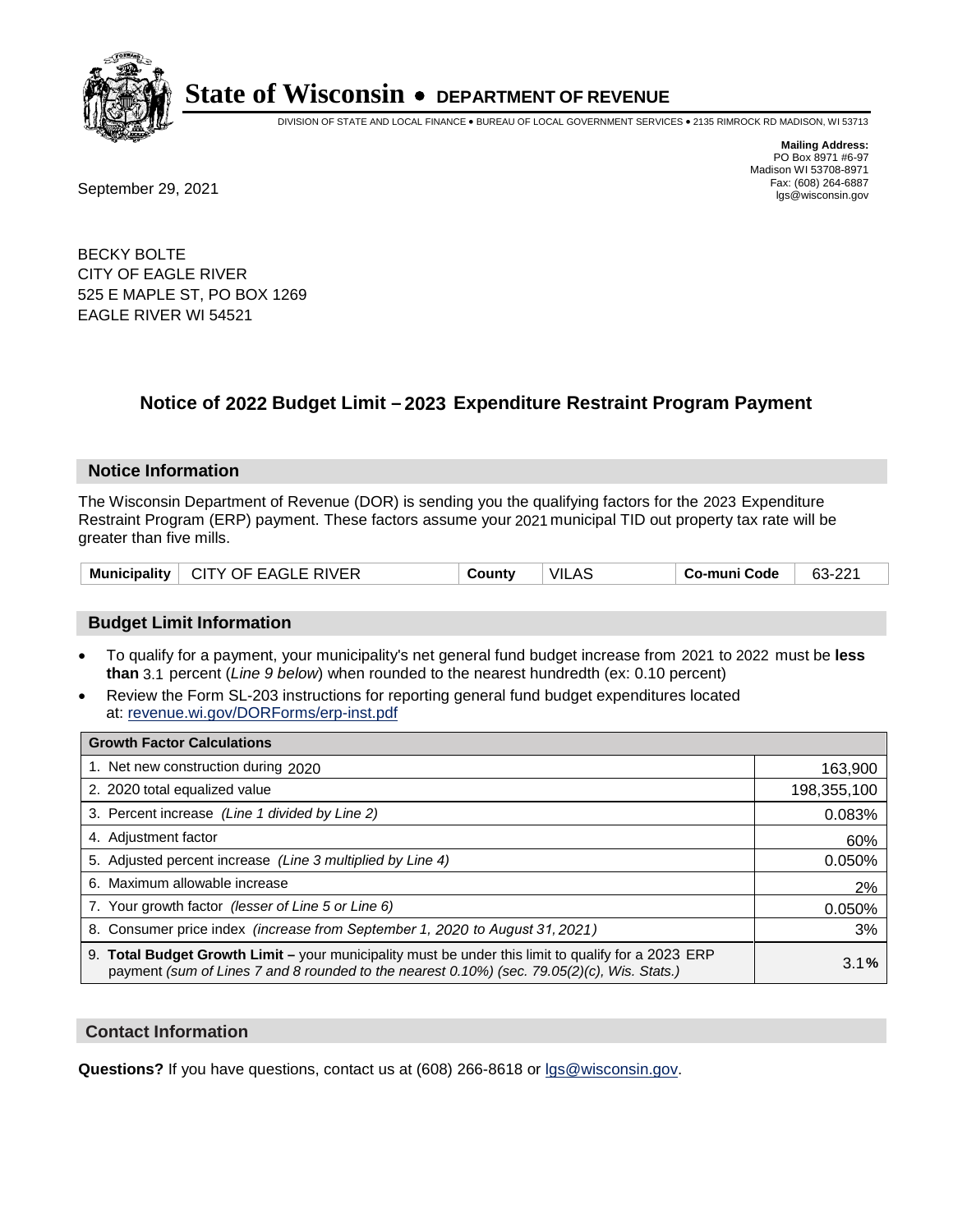

DIVISION OF STATE AND LOCAL FINANCE • BUREAU OF LOCAL GOVERNMENT SERVICES • 2135 RIMROCK RD MADISON, WI 53713

**Mailing Address:** PO Box 8971 #6-97 Madison WI 53708-8971<br>Fax: (608) 264-6887

Fax: (608) 264-6887<br>
September 29, 2021 and the state of the state of the state of the state of the state of the state of the state of the state of the state of the state of the state of the state of the state of the state

BECKY BOLTE CITY OF EAGLE RIVER 525 E MAPLE ST, PO BOX 1269 EAGLE RIVER WI 54521

## **Notice of 2022 Budget Limit - 2023 Expenditure Restraint Program Payment**

#### **Notice Information**

The Wisconsin Department of Revenue (DOR) is sending you the qualifying factors for the 2023 Expenditure Restraint Program (ERP) payment. These factors assume your 2021 municipal TID out property tax rate will be greater than five mills.

| CITY OF EAGLE RIVER<br><b>Municipality</b> | County | <b>VILAS</b> | <b>Co-muni Code</b> | 63-221 |
|--------------------------------------------|--------|--------------|---------------------|--------|
|--------------------------------------------|--------|--------------|---------------------|--------|

#### **Budget Limit Information**

- To qualify for a payment, your municipality's net general fund budget increase from 2021 to 2022 must be less **than** 3.1 percent (*Line 9 below*) when rounded to the nearest hundredth (ex: 0.10 percent)
- Review the Form SL-203 instructions for reporting general fund budget expenditures located at: revenue.wi.gov/DORForms/erp-inst.pdf

| <b>Growth Factor Calculations</b>                                                                                                                                                                  |             |
|----------------------------------------------------------------------------------------------------------------------------------------------------------------------------------------------------|-------------|
| 1. Net new construction during 2020                                                                                                                                                                | 163,900     |
| 2. 2020 total equalized value                                                                                                                                                                      | 198,355,100 |
| 3. Percent increase (Line 1 divided by Line 2)                                                                                                                                                     | 0.083%      |
| 4. Adjustment factor                                                                                                                                                                               | 60%         |
| 5. Adjusted percent increase (Line 3 multiplied by Line 4)                                                                                                                                         | 0.050%      |
| 6. Maximum allowable increase                                                                                                                                                                      | 2%          |
| 7. Your growth factor (lesser of Line 5 or Line 6)                                                                                                                                                 | 0.050%      |
| 8. Consumer price index (increase from September 1, 2020 to August 31, 2021)                                                                                                                       | 3%          |
| 9. Total Budget Growth Limit - your municipality must be under this limit to qualify for a 2023 ERP<br>payment (sum of Lines 7 and 8 rounded to the nearest 0.10%) (sec. 79.05(2)(c), Wis. Stats.) | 3.1%        |

#### **Contact Information**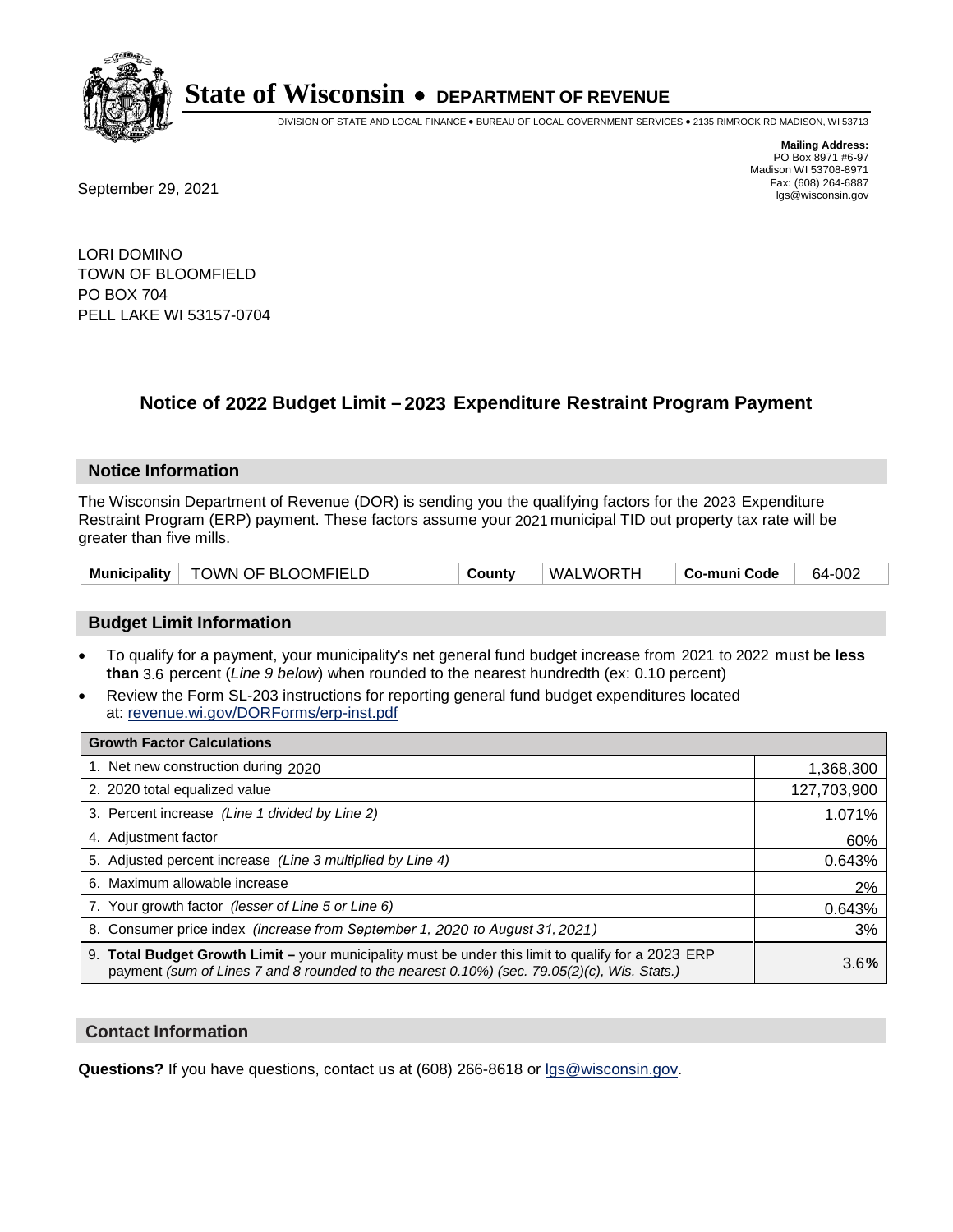

DIVISION OF STATE AND LOCAL FINANCE • BUREAU OF LOCAL GOVERNMENT SERVICES • 2135 RIMROCK RD MADISON, WI 53713

**Mailing Address:** PO Box 8971 #6-97 Madison WI 53708-8971<br>Fax: (608) 264-6887

Fax: (608) 264-6887<br>
September 29, 2021 and the state of the state of the state of the state of the state of the state of the state of the state of the state of the state of the state of the state of the state of the state

LORI DOMINO TOWN OF BLOOMFIELD PO BOX 704 PELL LAKE WI 53157-0704

### **Notice of 2022 Budget Limit - 2023 Expenditure Restraint Program Payment**

#### **Notice Information**

The Wisconsin Department of Revenue (DOR) is sending you the qualifying factors for the 2023 Expenditure Restraint Program (ERP) payment. These factors assume your 2021 municipal TID out property tax rate will be greater than five mills.

| Municipality | TOWN OF BLOOMFIELD | County | WALWORTH | Co-muni Code | 64-002 |
|--------------|--------------------|--------|----------|--------------|--------|
|--------------|--------------------|--------|----------|--------------|--------|

#### **Budget Limit Information**

- To qualify for a payment, your municipality's net general fund budget increase from 2021 to 2022 must be less **than** 3.6 percent (*Line 9 below*) when rounded to the nearest hundredth (ex: 0.10 percent)
- Review the Form SL-203 instructions for reporting general fund budget expenditures located at: revenue.wi.gov/DORForms/erp-inst.pdf

| <b>Growth Factor Calculations</b>                                                                                                                                                                  |             |
|----------------------------------------------------------------------------------------------------------------------------------------------------------------------------------------------------|-------------|
| 1. Net new construction during 2020                                                                                                                                                                | 1,368,300   |
| 2. 2020 total equalized value                                                                                                                                                                      | 127,703,900 |
| 3. Percent increase (Line 1 divided by Line 2)                                                                                                                                                     | 1.071%      |
| 4. Adjustment factor                                                                                                                                                                               | 60%         |
| 5. Adjusted percent increase (Line 3 multiplied by Line 4)                                                                                                                                         | 0.643%      |
| 6. Maximum allowable increase                                                                                                                                                                      | 2%          |
| 7. Your growth factor (lesser of Line 5 or Line 6)                                                                                                                                                 | 0.643%      |
| 8. Consumer price index (increase from September 1, 2020 to August 31, 2021)                                                                                                                       | 3%          |
| 9. Total Budget Growth Limit – your municipality must be under this limit to qualify for a 2023 ERP<br>payment (sum of Lines 7 and 8 rounded to the nearest 0.10%) (sec. 79.05(2)(c), Wis. Stats.) | 3.6%        |

#### **Contact Information**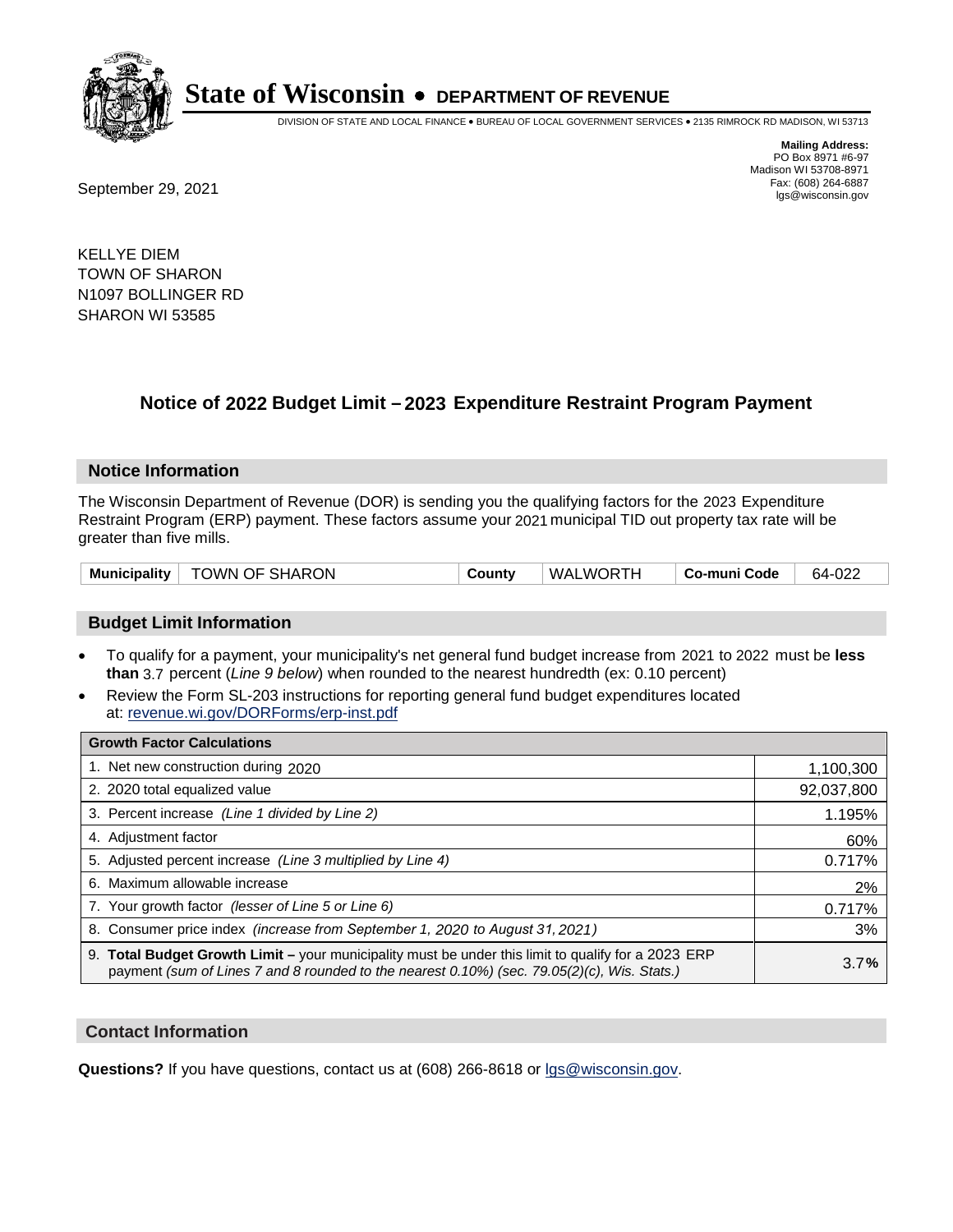

DIVISION OF STATE AND LOCAL FINANCE • BUREAU OF LOCAL GOVERNMENT SERVICES • 2135 RIMROCK RD MADISON, WI 53713

**Mailing Address:** PO Box 8971 #6-97 Madison WI 53708-8971<br>Fax: (608) 264-6887

Fax: (608) 264-6887<br>
September 29, 2021 and the state of the state of the state of the state of the state of the state of the state of the state of the state of the state of the state of the state of the state of the state

KELLYE DIEM TOWN OF SHARON N1097 BOLLINGER RD SHARON WI 53585

### **Notice of 2022 Budget Limit - 2023 Expenditure Restraint Program Payment**

#### **Notice Information**

The Wisconsin Department of Revenue (DOR) is sending you the qualifying factors for the 2023 Expenditure Restraint Program (ERP) payment. These factors assume your 2021 municipal TID out property tax rate will be greater than five mills.

| Municipality   TOWN OF SHARON | County | WALWORTH | ∣ Co-muni Code | 64-022 |
|-------------------------------|--------|----------|----------------|--------|
|-------------------------------|--------|----------|----------------|--------|

#### **Budget Limit Information**

- To qualify for a payment, your municipality's net general fund budget increase from 2021 to 2022 must be less **than** 3.7 percent (*Line 9 below*) when rounded to the nearest hundredth (ex: 0.10 percent)
- Review the Form SL-203 instructions for reporting general fund budget expenditures located at: revenue.wi.gov/DORForms/erp-inst.pdf

| <b>Growth Factor Calculations</b>                                                                                                                                                                      |            |
|--------------------------------------------------------------------------------------------------------------------------------------------------------------------------------------------------------|------------|
| 1. Net new construction during 2020                                                                                                                                                                    | 1,100,300  |
| 2. 2020 total equalized value                                                                                                                                                                          | 92,037,800 |
| 3. Percent increase (Line 1 divided by Line 2)                                                                                                                                                         | 1.195%     |
| 4. Adjustment factor                                                                                                                                                                                   | 60%        |
| 5. Adjusted percent increase (Line 3 multiplied by Line 4)                                                                                                                                             | 0.717%     |
| 6. Maximum allowable increase                                                                                                                                                                          | 2%         |
| 7. Your growth factor (lesser of Line 5 or Line 6)                                                                                                                                                     | 0.717%     |
| 8. Consumer price index (increase from September 1, 2020 to August 31, 2021)                                                                                                                           | 3%         |
| 9. Total Budget Growth Limit - your municipality must be under this limit to qualify for a 2023 ERP<br>payment (sum of Lines 7 and 8 rounded to the nearest $0.10\%$ ) (sec. 79.05(2)(c), Wis. Stats.) | 3.7%       |

#### **Contact Information**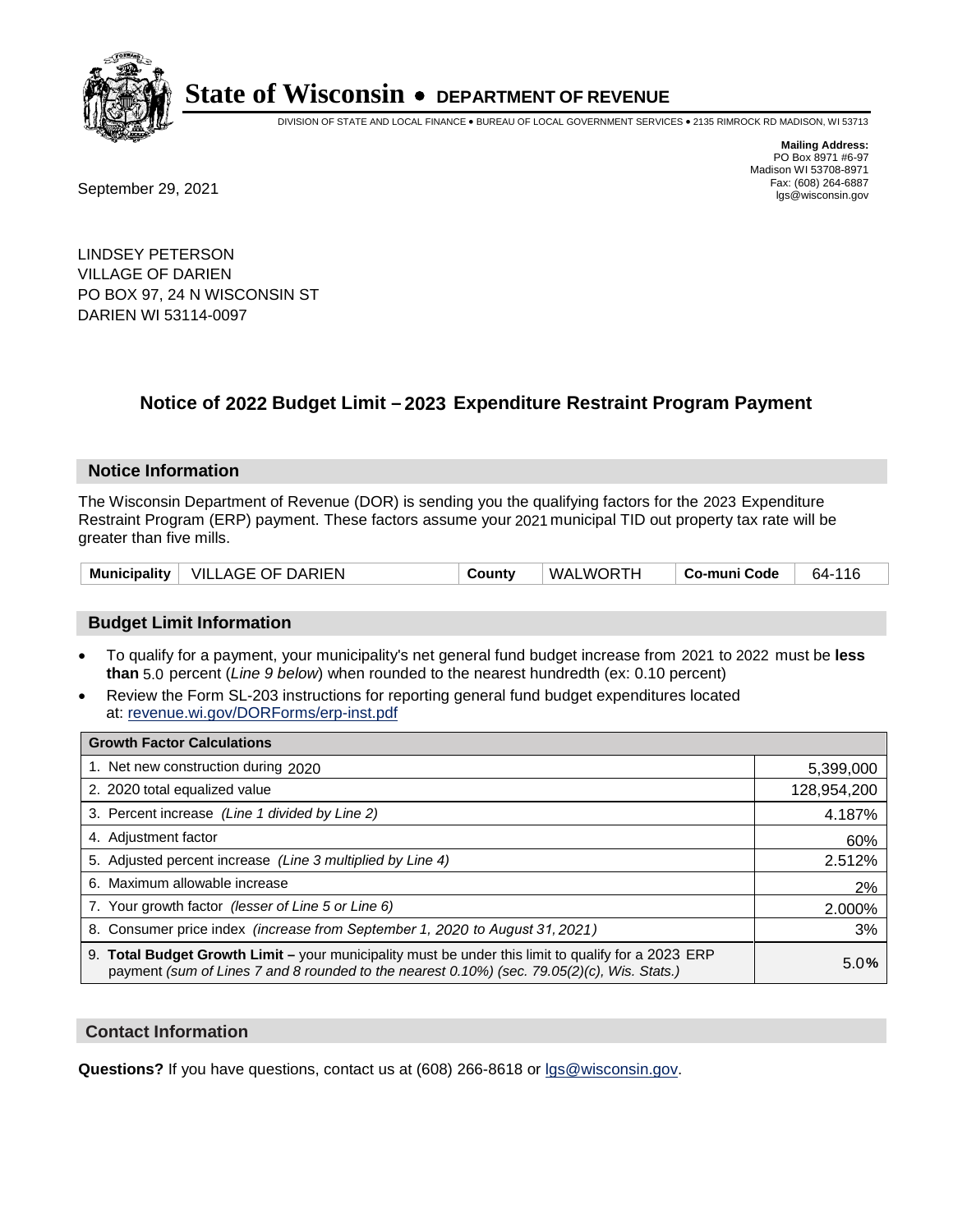

DIVISION OF STATE AND LOCAL FINANCE • BUREAU OF LOCAL GOVERNMENT SERVICES • 2135 RIMROCK RD MADISON, WI 53713

**Mailing Address:** PO Box 8971 #6-97 Madison WI 53708-8971<br>Fax: (608) 264-6887

Fax: (608) 264-6887<br>
September 29, 2021 and the state of the state of the state of the state of the state of the state of the state of the state of the state of the state of the state of the state of the state of the state

LINDSEY PETERSON VILLAGE OF DARIEN PO BOX 97, 24 N WISCONSIN ST DARIEN WI 53114-0097

### **Notice of 2022 Budget Limit - 2023 Expenditure Restraint Program Payment**

#### **Notice Information**

The Wisconsin Department of Revenue (DOR) is sending you the qualifying factors for the 2023 Expenditure Restraint Program (ERP) payment. These factors assume your 2021 municipal TID out property tax rate will be greater than five mills.

|  | Municipality   VILLAGE OF DARIEN | County | WALWORTH | Co-muni Code | 64-116 |
|--|----------------------------------|--------|----------|--------------|--------|
|--|----------------------------------|--------|----------|--------------|--------|

#### **Budget Limit Information**

- To qualify for a payment, your municipality's net general fund budget increase from 2021 to 2022 must be less **than** 5.0 percent (*Line 9 below*) when rounded to the nearest hundredth (ex: 0.10 percent)
- Review the Form SL-203 instructions for reporting general fund budget expenditures located at: revenue.wi.gov/DORForms/erp-inst.pdf

| <b>Growth Factor Calculations</b>                                                                                                                                                                  |             |
|----------------------------------------------------------------------------------------------------------------------------------------------------------------------------------------------------|-------------|
| 1. Net new construction during 2020                                                                                                                                                                | 5,399,000   |
| 2. 2020 total equalized value                                                                                                                                                                      | 128,954,200 |
| 3. Percent increase (Line 1 divided by Line 2)                                                                                                                                                     | 4.187%      |
| 4. Adiustment factor                                                                                                                                                                               | 60%         |
| 5. Adjusted percent increase (Line 3 multiplied by Line 4)                                                                                                                                         | 2.512%      |
| 6. Maximum allowable increase                                                                                                                                                                      | 2%          |
| 7. Your growth factor (lesser of Line 5 or Line 6)                                                                                                                                                 | 2.000%      |
| 8. Consumer price index (increase from September 1, 2020 to August 31, 2021)                                                                                                                       | 3%          |
| 9. Total Budget Growth Limit - your municipality must be under this limit to qualify for a 2023 ERP<br>payment (sum of Lines 7 and 8 rounded to the nearest 0.10%) (sec. 79.05(2)(c), Wis. Stats.) | 5.0%        |

#### **Contact Information**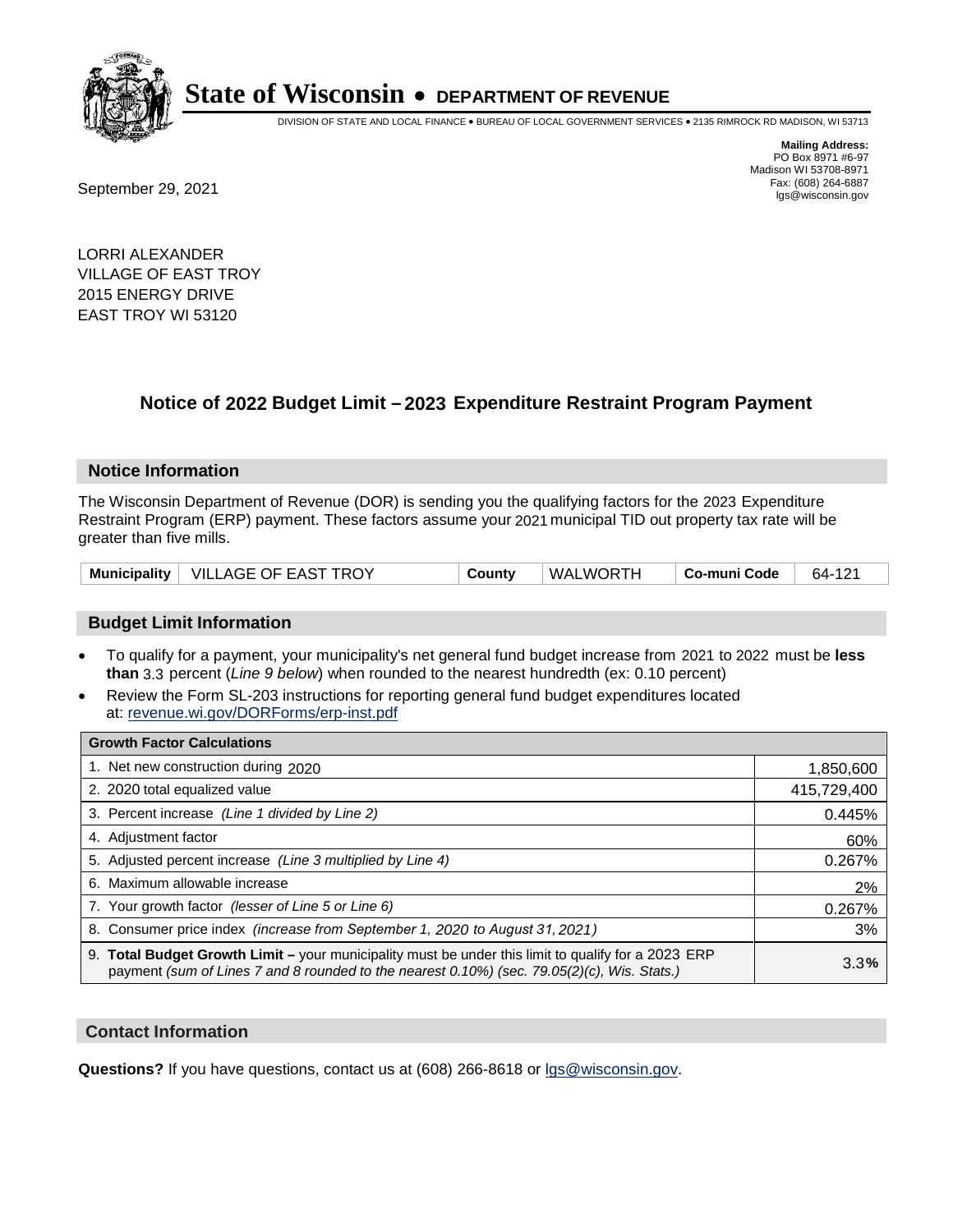

DIVISION OF STATE AND LOCAL FINANCE • BUREAU OF LOCAL GOVERNMENT SERVICES • 2135 RIMROCK RD MADISON, WI 53713

Fax: (608) 264-6887<br>
September 29, 2021 and the state of the state of the state of the state of the state of the state of the state of the state of the state of the state of the state of the state of the state of the state

**Mailing Address:** PO Box 8971 #6-97 Madison WI 53708-8971<br>Fax: (608) 264-6887

LORRI ALEXANDER VILLAGE OF EAST TROY 2015 ENERGY DRIVE EAST TROY WI 53120

### **Notice of 2022 Budget Limit - 2023 Expenditure Restraint Program Payment**

#### **Notice Information**

The Wisconsin Department of Revenue (DOR) is sending you the qualifying factors for the 2023 Expenditure Restraint Program (ERP) payment. These factors assume your 2021 municipal TID out property tax rate will be greater than five mills.

|  | Municipality   VILLAGE OF EAST TROY | County | WALWORTH | ∣ Co-muni Code | 64-121 |
|--|-------------------------------------|--------|----------|----------------|--------|
|--|-------------------------------------|--------|----------|----------------|--------|

#### **Budget Limit Information**

- To qualify for a payment, your municipality's net general fund budget increase from 2021 to 2022 must be less **than** 3.3 percent (*Line 9 below*) when rounded to the nearest hundredth (ex: 0.10 percent)
- Review the Form SL-203 instructions for reporting general fund budget expenditures located at: revenue.wi.gov/DORForms/erp-inst.pdf

| <b>Growth Factor Calculations</b>                                                                                                                                                                  |             |
|----------------------------------------------------------------------------------------------------------------------------------------------------------------------------------------------------|-------------|
| 1. Net new construction during 2020                                                                                                                                                                | 1,850,600   |
| 2. 2020 total equalized value                                                                                                                                                                      | 415,729,400 |
| 3. Percent increase (Line 1 divided by Line 2)                                                                                                                                                     | 0.445%      |
| 4. Adjustment factor                                                                                                                                                                               | 60%         |
| 5. Adjusted percent increase (Line 3 multiplied by Line 4)                                                                                                                                         | 0.267%      |
| 6. Maximum allowable increase                                                                                                                                                                      | 2%          |
| 7. Your growth factor (lesser of Line 5 or Line 6)                                                                                                                                                 | 0.267%      |
| 8. Consumer price index (increase from September 1, 2020 to August 31, 2021)                                                                                                                       | 3%          |
| 9. Total Budget Growth Limit - your municipality must be under this limit to qualify for a 2023 ERP<br>payment (sum of Lines 7 and 8 rounded to the nearest 0.10%) (sec. 79.05(2)(c), Wis. Stats.) | 3.3%        |

#### **Contact Information**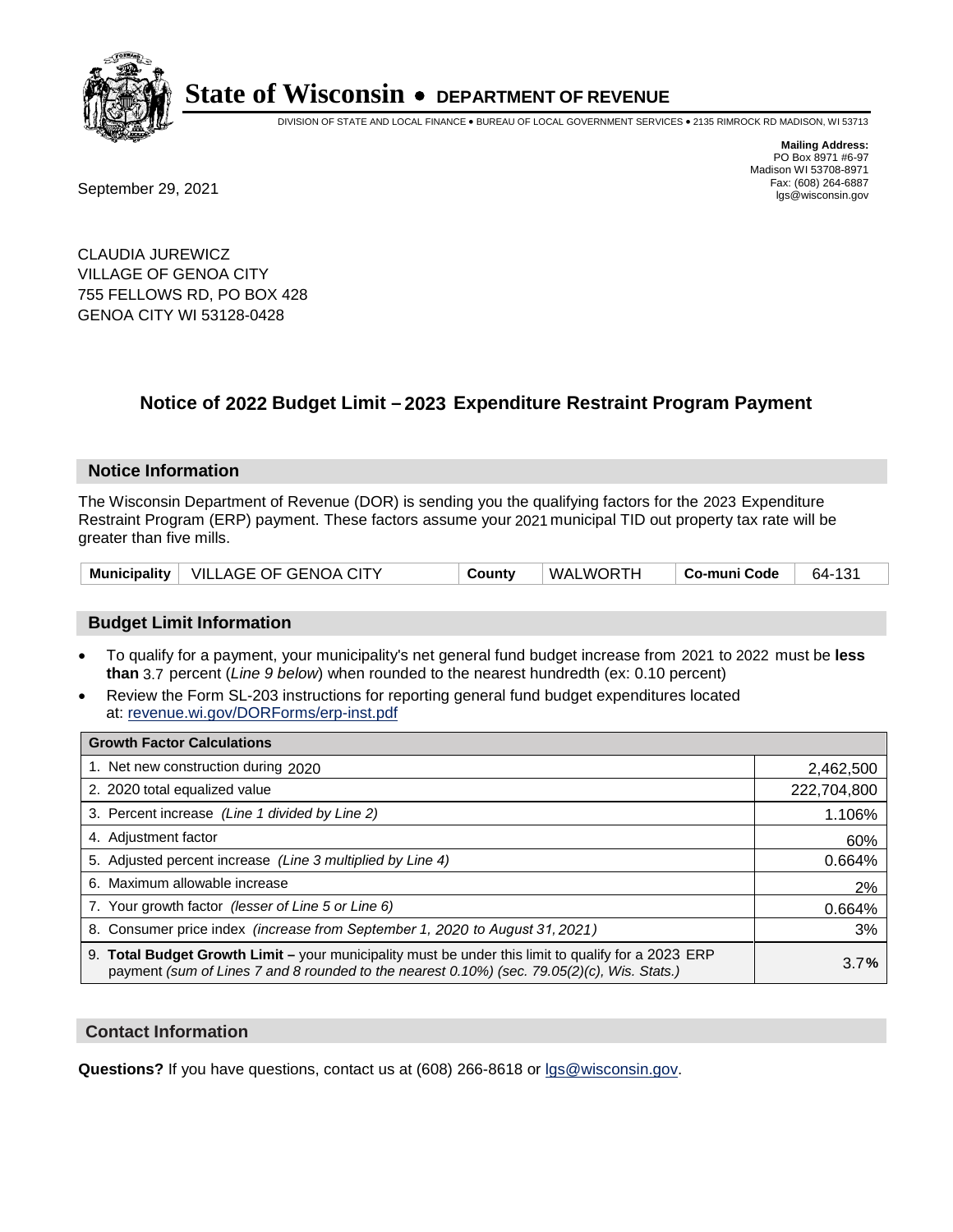

DIVISION OF STATE AND LOCAL FINANCE • BUREAU OF LOCAL GOVERNMENT SERVICES • 2135 RIMROCK RD MADISON, WI 53713

Fax: (608) 264-6887<br>
September 29, 2021 and the state of the state of the state of the state of the state of the state of the state of the state of the state of the state of the state of the state of the state of the state

**Mailing Address:** PO Box 8971 #6-97 Madison WI 53708-8971<br>Fax: (608) 264-6887

CLAUDIA JUREWICZ VILLAGE OF GENOA CITY 755 FELLOWS RD, PO BOX 428 GENOA CITY WI 53128-0428

### **Notice of 2022 Budget Limit - 2023 Expenditure Restraint Program Payment**

#### **Notice Information**

The Wisconsin Department of Revenue (DOR) is sending you the qualifying factors for the 2023 Expenditure Restraint Program (ERP) payment. These factors assume your 2021 municipal TID out property tax rate will be greater than five mills.

|  | Municipality   VILLAGE OF GENOA CITY | County | WALWORTH | Co-muni Code | 64-131 |
|--|--------------------------------------|--------|----------|--------------|--------|
|--|--------------------------------------|--------|----------|--------------|--------|

#### **Budget Limit Information**

- To qualify for a payment, your municipality's net general fund budget increase from 2021 to 2022 must be less **than** 3.7 percent (*Line 9 below*) when rounded to the nearest hundredth (ex: 0.10 percent)
- Review the Form SL-203 instructions for reporting general fund budget expenditures located at: revenue.wi.gov/DORForms/erp-inst.pdf

| <b>Growth Factor Calculations</b>                                                                                                                                                                  |             |
|----------------------------------------------------------------------------------------------------------------------------------------------------------------------------------------------------|-------------|
| 1. Net new construction during 2020                                                                                                                                                                | 2,462,500   |
| 2. 2020 total equalized value                                                                                                                                                                      | 222,704,800 |
| 3. Percent increase (Line 1 divided by Line 2)                                                                                                                                                     | 1.106%      |
| 4. Adiustment factor                                                                                                                                                                               | 60%         |
| 5. Adjusted percent increase (Line 3 multiplied by Line 4)                                                                                                                                         | 0.664%      |
| 6. Maximum allowable increase                                                                                                                                                                      | 2%          |
| 7. Your growth factor (lesser of Line 5 or Line 6)                                                                                                                                                 | 0.664%      |
| 8. Consumer price index (increase from September 1, 2020 to August 31, 2021)                                                                                                                       | 3%          |
| 9. Total Budget Growth Limit - your municipality must be under this limit to qualify for a 2023 ERP<br>payment (sum of Lines 7 and 8 rounded to the nearest 0.10%) (sec. 79.05(2)(c), Wis. Stats.) | 3.7%        |

#### **Contact Information**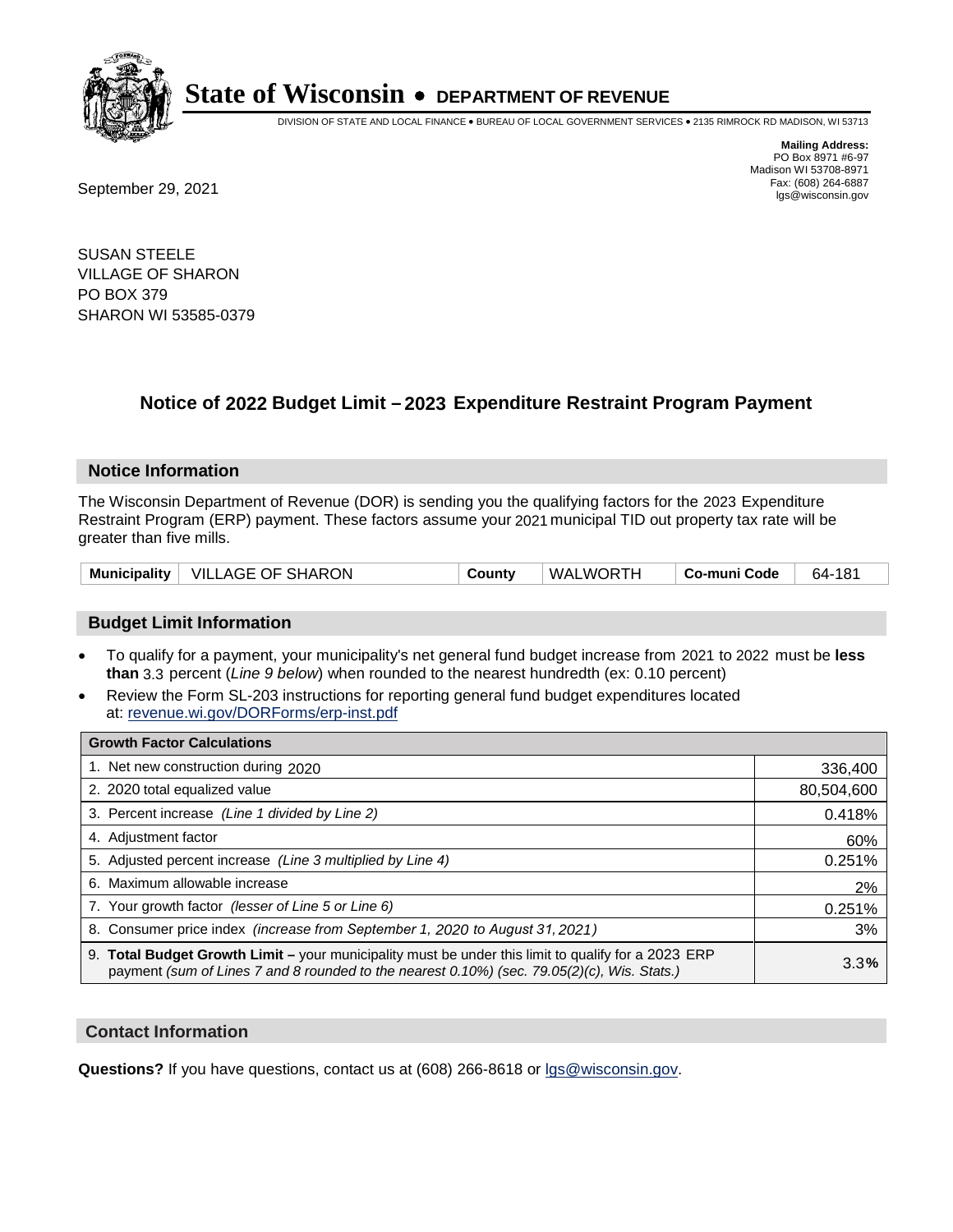

DIVISION OF STATE AND LOCAL FINANCE • BUREAU OF LOCAL GOVERNMENT SERVICES • 2135 RIMROCK RD MADISON, WI 53713

**Mailing Address:** PO Box 8971 #6-97 Madison WI 53708-8971<br>Fax: (608) 264-6887

Fax: (608) 264-6887<br>
September 29, 2021 and the state of the state of the state of the state of the state of the state of the state of the state of the state of the state of the state of the state of the state of the state

SUSAN STEELE VILLAGE OF SHARON PO BOX 379 SHARON WI 53585-0379

### **Notice of 2022 Budget Limit - 2023 Expenditure Restraint Program Payment**

#### **Notice Information**

The Wisconsin Department of Revenue (DOR) is sending you the qualifying factors for the 2023 Expenditure Restraint Program (ERP) payment. These factors assume your 2021 municipal TID out property tax rate will be greater than five mills.

| Municipality   VILLAGE OF SHARON | County | WALWORTH | Co-muni Code | 64-181 |
|----------------------------------|--------|----------|--------------|--------|
|----------------------------------|--------|----------|--------------|--------|

#### **Budget Limit Information**

- To qualify for a payment, your municipality's net general fund budget increase from 2021 to 2022 must be less **than** 3.3 percent (*Line 9 below*) when rounded to the nearest hundredth (ex: 0.10 percent)
- Review the Form SL-203 instructions for reporting general fund budget expenditures located at: revenue.wi.gov/DORForms/erp-inst.pdf

| <b>Growth Factor Calculations</b>                                                                                                                                                                  |            |
|----------------------------------------------------------------------------------------------------------------------------------------------------------------------------------------------------|------------|
| 1. Net new construction during 2020                                                                                                                                                                | 336,400    |
| 2. 2020 total equalized value                                                                                                                                                                      | 80,504,600 |
| 3. Percent increase (Line 1 divided by Line 2)                                                                                                                                                     | 0.418%     |
| 4. Adjustment factor                                                                                                                                                                               | 60%        |
| 5. Adjusted percent increase (Line 3 multiplied by Line 4)                                                                                                                                         | 0.251%     |
| 6. Maximum allowable increase                                                                                                                                                                      | 2%         |
| 7. Your growth factor (lesser of Line 5 or Line 6)                                                                                                                                                 | 0.251%     |
| 8. Consumer price index (increase from September 1, 2020 to August 31, 2021)                                                                                                                       | 3%         |
| 9. Total Budget Growth Limit – your municipality must be under this limit to qualify for a 2023 ERP<br>payment (sum of Lines 7 and 8 rounded to the nearest 0.10%) (sec. 79.05(2)(c), Wis. Stats.) | 3.3%       |

#### **Contact Information**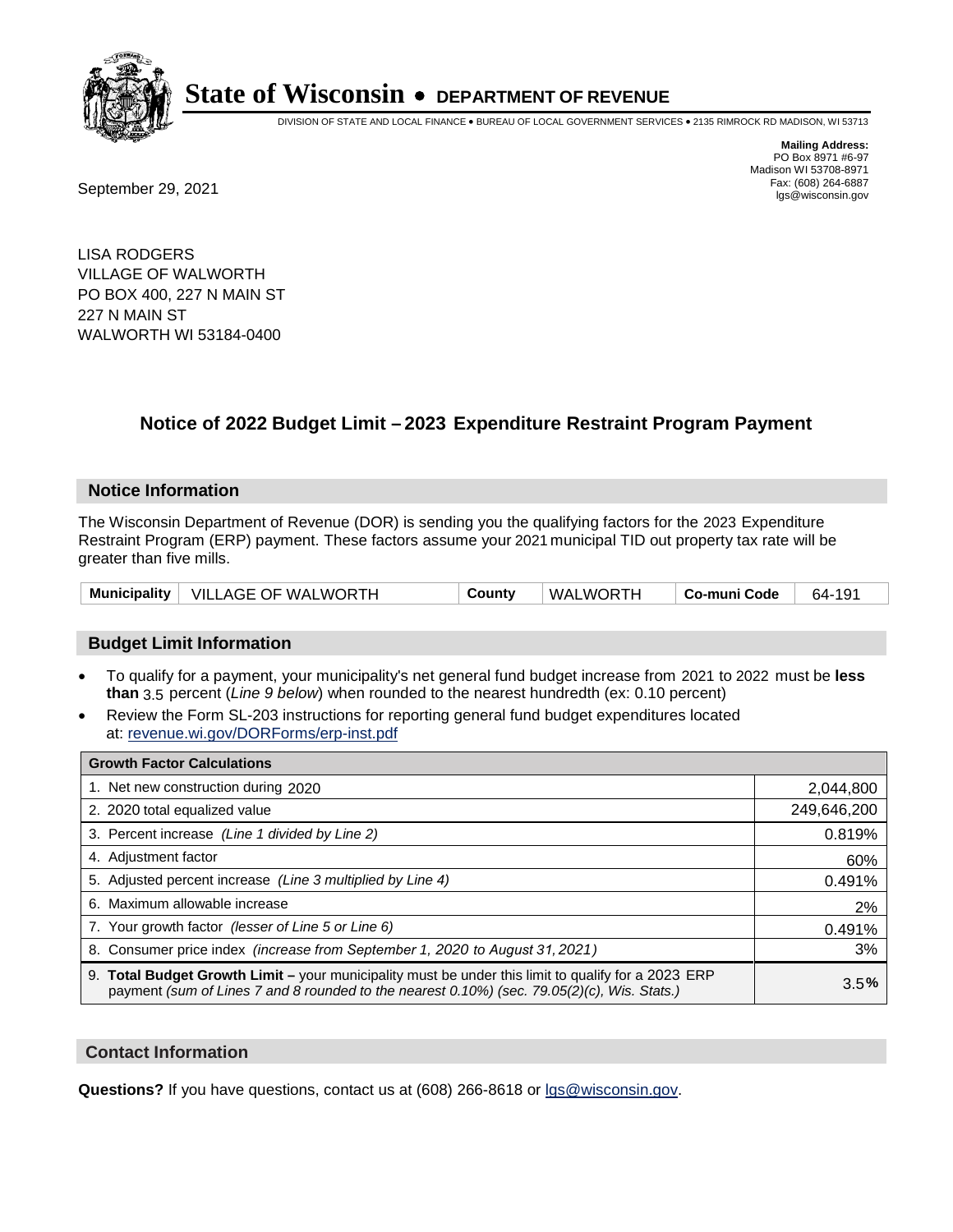

DIVISION OF STATE AND LOCAL FINANCE • BUREAU OF LOCAL GOVERNMENT SERVICES • 2135 RIMROCK RD MADISON, WI 53713

Fax: (608) 264-6887<br>
September 29, 2021 and the state of the state of the state of the state of the state of the state of the state of the state of the state of the state of the state of the state of the state of the state

**Mailing Address:** PO Box 8971 #6-97 Madison WI 53708-8971<br>Fax: (608) 264-6887

LISA RODGERS VILLAGE OF WALWORTH PO BOX 400, 227 N MAIN ST 227 N MAIN ST WALWORTH WI 53184-0400

### **Notice of 2022 Budget Limit – 2023 Expenditure Restraint Program Payment**

#### **Notice Information**

The Wisconsin Department of Revenue (DOR) is sending you the qualifying factors for the 2023 Expenditure Restraint Program (ERP) payment. These factors assume your 2021 municipal TID out property tax rate will be greater than five mills.

| .<br>VII<br>Municipality<br>∕ ∩ ،<br>TH<br>WOR.<br>WAL<br>MΔ<br>OE.<br>AGE<br>w.<br>Code<br>ountv<br>)ĸ<br>64-<br>nıın<br>∵0ت -<br>ჟ |  |
|--------------------------------------------------------------------------------------------------------------------------------------|--|
|--------------------------------------------------------------------------------------------------------------------------------------|--|

#### **Budget Limit Information**

- To qualify for a payment, your municipality's net general fund budget increase from 2021 to 2022 must be less **than** 3.5 percent (*Line 9 below*) when rounded to the nearest hundredth (ex: 0.10 percent)
- Review the Form SL-203 instructions for reporting general fund budget expenditures located at: revenue.wi.gov/DORForms/erp-inst.pdf

| <b>Growth Factor Calculations</b>                                                                                                                                                                      |             |
|--------------------------------------------------------------------------------------------------------------------------------------------------------------------------------------------------------|-------------|
| 1. Net new construction during 2020                                                                                                                                                                    | 2,044,800   |
| 2. 2020 total equalized value                                                                                                                                                                          | 249,646,200 |
| 3. Percent increase (Line 1 divided by Line 2)                                                                                                                                                         | 0.819%      |
| 4. Adjustment factor                                                                                                                                                                                   | 60%         |
| 5. Adjusted percent increase (Line 3 multiplied by Line 4)                                                                                                                                             | 0.491%      |
| 6. Maximum allowable increase                                                                                                                                                                          | 2%          |
| 7. Your growth factor (lesser of Line 5 or Line 6)                                                                                                                                                     | 0.491%      |
| 8. Consumer price index (increase from September 1, 2020 to August 31, 2021)                                                                                                                           | 3%          |
| 9. Total Budget Growth Limit - your municipality must be under this limit to qualify for a 2023 ERP<br>payment (sum of Lines 7 and 8 rounded to the nearest $0.10\%$ ) (sec. 79.05(2)(c), Wis. Stats.) | 3.5%        |

#### **Contact Information**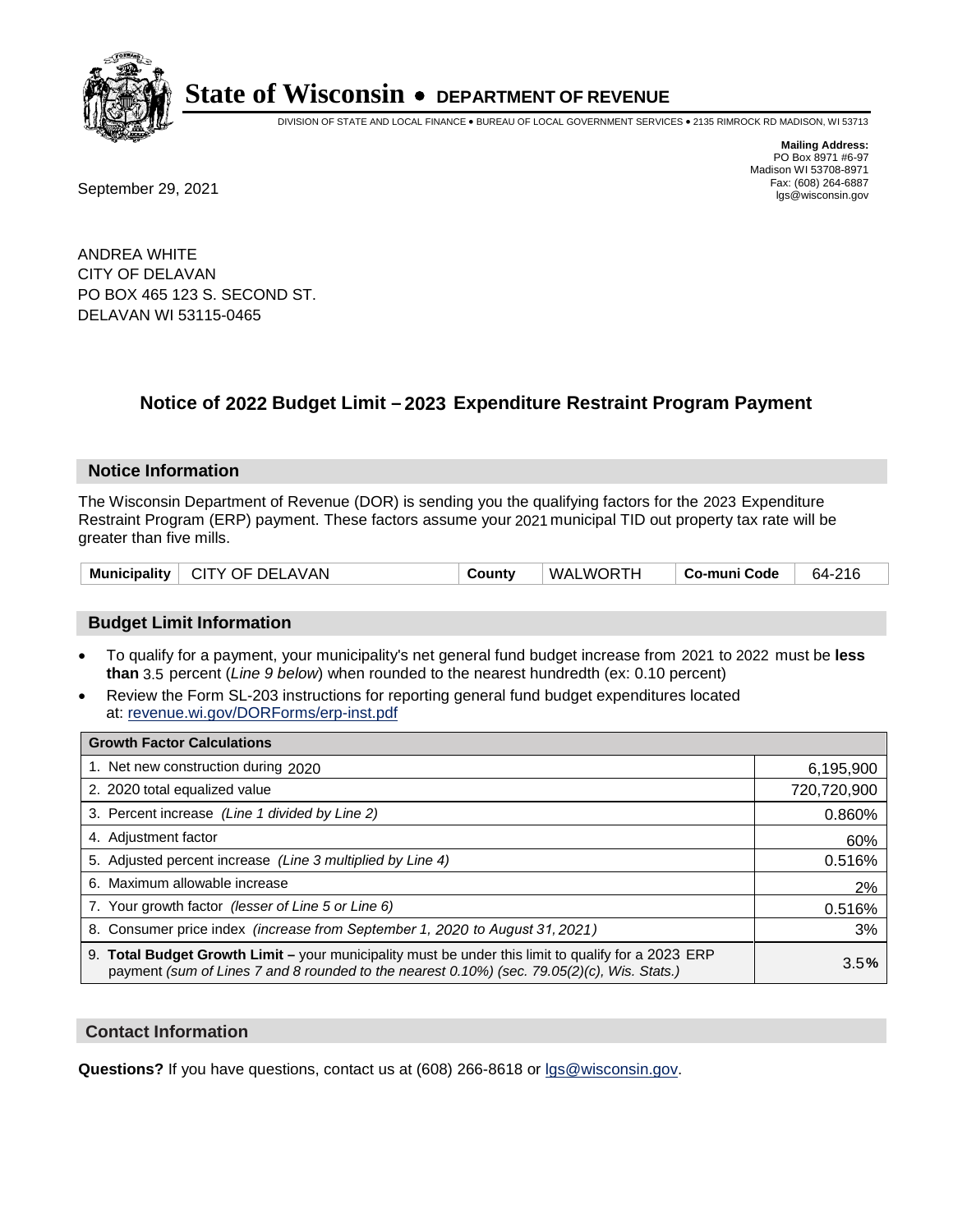

DIVISION OF STATE AND LOCAL FINANCE • BUREAU OF LOCAL GOVERNMENT SERVICES • 2135 RIMROCK RD MADISON, WI 53713

**Mailing Address:** PO Box 8971 #6-97 Madison WI 53708-8971<br>Fax: (608) 264-6887

Fax: (608) 264-6887<br>
September 29, 2021 and the state of the state of the state of the state of the state of the state of the state of the state of the state of the state of the state of the state of the state of the state

ANDREA WHITE CITY OF DELAVAN PO BOX 465 123 S. SECOND ST. DELAVAN WI 53115-0465

### **Notice of 2022 Budget Limit - 2023 Expenditure Restraint Program Payment**

#### **Notice Information**

The Wisconsin Department of Revenue (DOR) is sending you the qualifying factors for the 2023 Expenditure Restraint Program (ERP) payment. These factors assume your 2021 municipal TID out property tax rate will be greater than five mills.

| Municipality   CITY OF DELAVAN | County | WALWORTH | Co-muni Code | 64-216 |
|--------------------------------|--------|----------|--------------|--------|
|--------------------------------|--------|----------|--------------|--------|

#### **Budget Limit Information**

- To qualify for a payment, your municipality's net general fund budget increase from 2021 to 2022 must be less **than** 3.5 percent (*Line 9 below*) when rounded to the nearest hundredth (ex: 0.10 percent)
- Review the Form SL-203 instructions for reporting general fund budget expenditures located at: revenue.wi.gov/DORForms/erp-inst.pdf

| <b>Growth Factor Calculations</b>                                                                                                                                                                  |             |
|----------------------------------------------------------------------------------------------------------------------------------------------------------------------------------------------------|-------------|
| 1. Net new construction during 2020                                                                                                                                                                | 6,195,900   |
| 2. 2020 total equalized value                                                                                                                                                                      | 720,720,900 |
| 3. Percent increase (Line 1 divided by Line 2)                                                                                                                                                     | 0.860%      |
| 4. Adiustment factor                                                                                                                                                                               | 60%         |
| 5. Adjusted percent increase (Line 3 multiplied by Line 4)                                                                                                                                         | 0.516%      |
| 6. Maximum allowable increase                                                                                                                                                                      | 2%          |
| 7. Your growth factor (lesser of Line 5 or Line 6)                                                                                                                                                 | 0.516%      |
| 8. Consumer price index (increase from September 1, 2020 to August 31, 2021)                                                                                                                       | 3%          |
| 9. Total Budget Growth Limit - your municipality must be under this limit to qualify for a 2023 ERP<br>payment (sum of Lines 7 and 8 rounded to the nearest 0.10%) (sec. 79.05(2)(c), Wis. Stats.) | 3.5%        |

#### **Contact Information**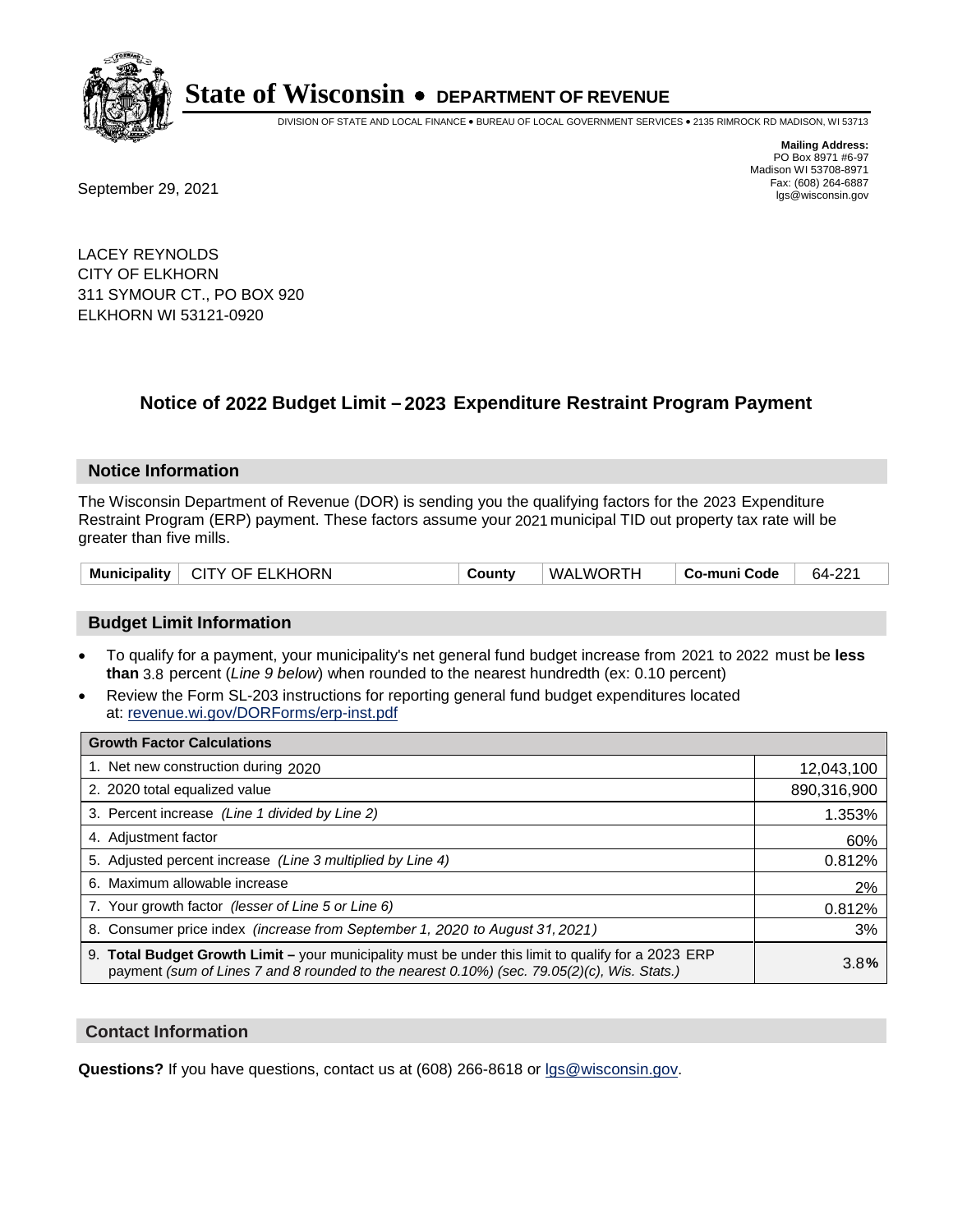

DIVISION OF STATE AND LOCAL FINANCE • BUREAU OF LOCAL GOVERNMENT SERVICES • 2135 RIMROCK RD MADISON, WI 53713

**Mailing Address:** PO Box 8971 #6-97 Madison WI 53708-8971<br>Fax: (608) 264-6887

Fax: (608) 264-6887<br>
September 29, 2021 and the state of the state of the state of the state of the state of the state of the state of the state of the state of the state of the state of the state of the state of the state

LACEY REYNOLDS CITY OF ELKHORN 311 SYMOUR CT., PO BOX 920 ELKHORN WI 53121-0920

### **Notice of 2022 Budget Limit - 2023 Expenditure Restraint Program Payment**

#### **Notice Information**

The Wisconsin Department of Revenue (DOR) is sending you the qualifying factors for the 2023 Expenditure Restraint Program (ERP) payment. These factors assume your 2021 municipal TID out property tax rate will be greater than five mills.

| Municipality   CITY OF ELKHORN | County | WALWORTH | Co-muni Code | 64-221 |
|--------------------------------|--------|----------|--------------|--------|
|--------------------------------|--------|----------|--------------|--------|

#### **Budget Limit Information**

- To qualify for a payment, your municipality's net general fund budget increase from 2021 to 2022 must be less **than** 3.8 percent (*Line 9 below*) when rounded to the nearest hundredth (ex: 0.10 percent)
- Review the Form SL-203 instructions for reporting general fund budget expenditures located at: revenue.wi.gov/DORForms/erp-inst.pdf

| <b>Growth Factor Calculations</b>                                                                                                                                                                  |             |
|----------------------------------------------------------------------------------------------------------------------------------------------------------------------------------------------------|-------------|
| 1. Net new construction during 2020                                                                                                                                                                | 12,043,100  |
| 2. 2020 total equalized value                                                                                                                                                                      | 890,316,900 |
| 3. Percent increase (Line 1 divided by Line 2)                                                                                                                                                     | 1.353%      |
| 4. Adjustment factor                                                                                                                                                                               | 60%         |
| 5. Adjusted percent increase (Line 3 multiplied by Line 4)                                                                                                                                         | 0.812%      |
| 6. Maximum allowable increase                                                                                                                                                                      | 2%          |
| 7. Your growth factor (lesser of Line 5 or Line 6)                                                                                                                                                 | 0.812%      |
| 8. Consumer price index (increase from September 1, 2020 to August 31, 2021)                                                                                                                       | 3%          |
| 9. Total Budget Growth Limit - your municipality must be under this limit to qualify for a 2023 ERP<br>payment (sum of Lines 7 and 8 rounded to the nearest 0.10%) (sec. 79.05(2)(c), Wis. Stats.) | 3.8%        |

#### **Contact Information**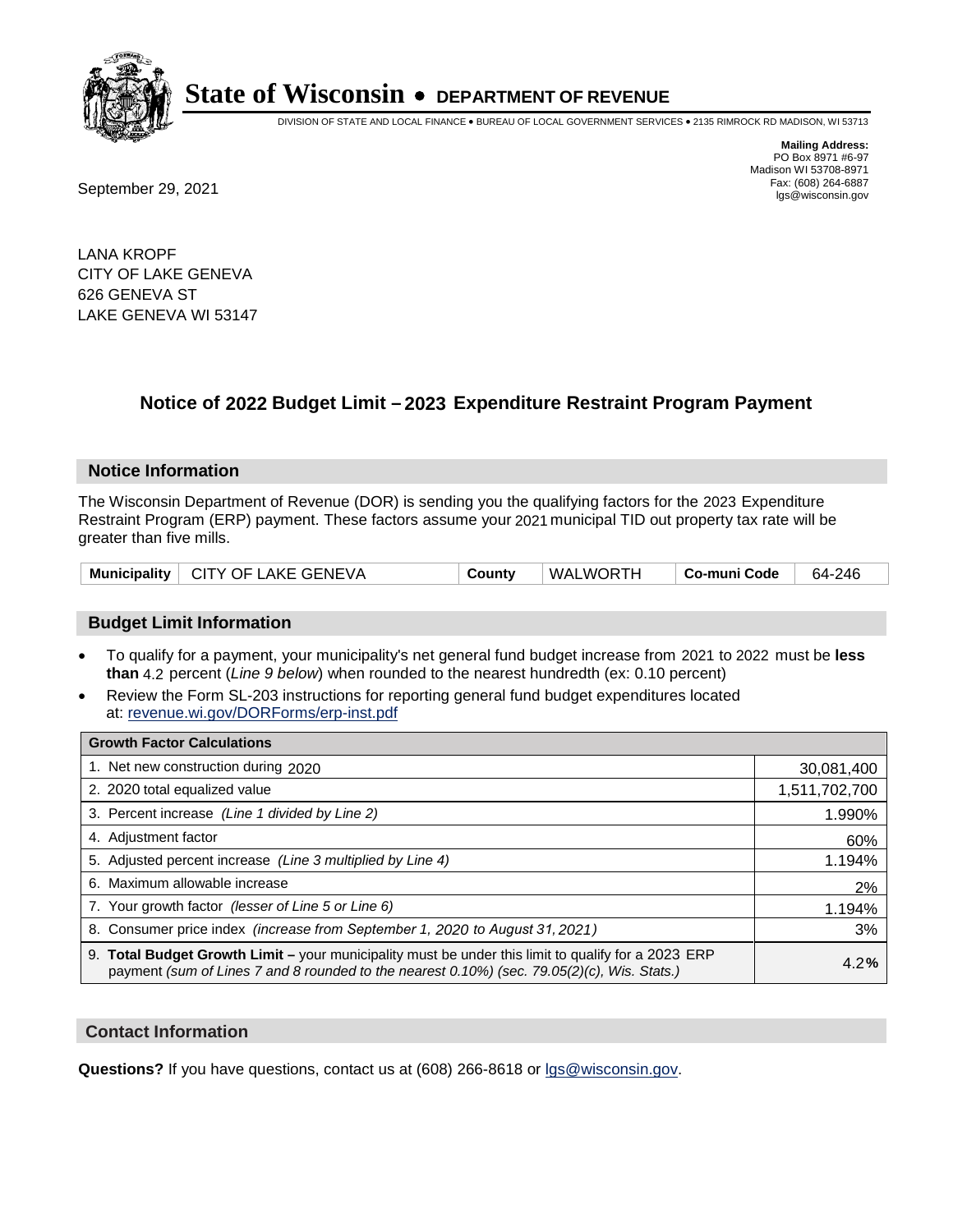

DIVISION OF STATE AND LOCAL FINANCE • BUREAU OF LOCAL GOVERNMENT SERVICES • 2135 RIMROCK RD MADISON, WI 53713

**Mailing Address:** PO Box 8971 #6-97 Madison WI 53708-8971<br>Fax: (608) 264-6887

Fax: (608) 264-6887<br>
September 29, 2021 and the state of the state of the state of the state of the state of the state of the state of the state of the state of the state of the state of the state of the state of the state

LANA KROPF CITY OF LAKE GENEVA 626 GENEVA ST LAKE GENEVA WI 53147

## **Notice of 2022 Budget Limit - 2023 Expenditure Restraint Program Payment**

#### **Notice Information**

The Wisconsin Department of Revenue (DOR) is sending you the qualifying factors for the 2023 Expenditure Restraint Program (ERP) payment. These factors assume your 2021 municipal TID out property tax rate will be greater than five mills.

|  | Municipality   CITY OF LAKE GENEVA | County | WALWORTH | Co-muni Code | 64-246 |
|--|------------------------------------|--------|----------|--------------|--------|
|--|------------------------------------|--------|----------|--------------|--------|

#### **Budget Limit Information**

- To qualify for a payment, your municipality's net general fund budget increase from 2021 to 2022 must be less **than** 4.2 percent (*Line 9 below*) when rounded to the nearest hundredth (ex: 0.10 percent)
- Review the Form SL-203 instructions for reporting general fund budget expenditures located at: revenue.wi.gov/DORForms/erp-inst.pdf

| <b>Growth Factor Calculations</b>                                                                                                                                                                      |               |
|--------------------------------------------------------------------------------------------------------------------------------------------------------------------------------------------------------|---------------|
| 1. Net new construction during 2020                                                                                                                                                                    | 30,081,400    |
| 2. 2020 total equalized value                                                                                                                                                                          | 1,511,702,700 |
| 3. Percent increase (Line 1 divided by Line 2)                                                                                                                                                         | 1.990%        |
| 4. Adiustment factor                                                                                                                                                                                   | 60%           |
| 5. Adjusted percent increase (Line 3 multiplied by Line 4)                                                                                                                                             | 1.194%        |
| 6. Maximum allowable increase                                                                                                                                                                          | 2%            |
| 7. Your growth factor (lesser of Line 5 or Line 6)                                                                                                                                                     | 1.194%        |
| 8. Consumer price index (increase from September 1, 2020 to August 31, 2021)                                                                                                                           | 3%            |
| 9. Total Budget Growth Limit - your municipality must be under this limit to qualify for a 2023 ERP<br>payment (sum of Lines 7 and 8 rounded to the nearest $0.10\%$ ) (sec. 79.05(2)(c), Wis. Stats.) | 4.2%          |

#### **Contact Information**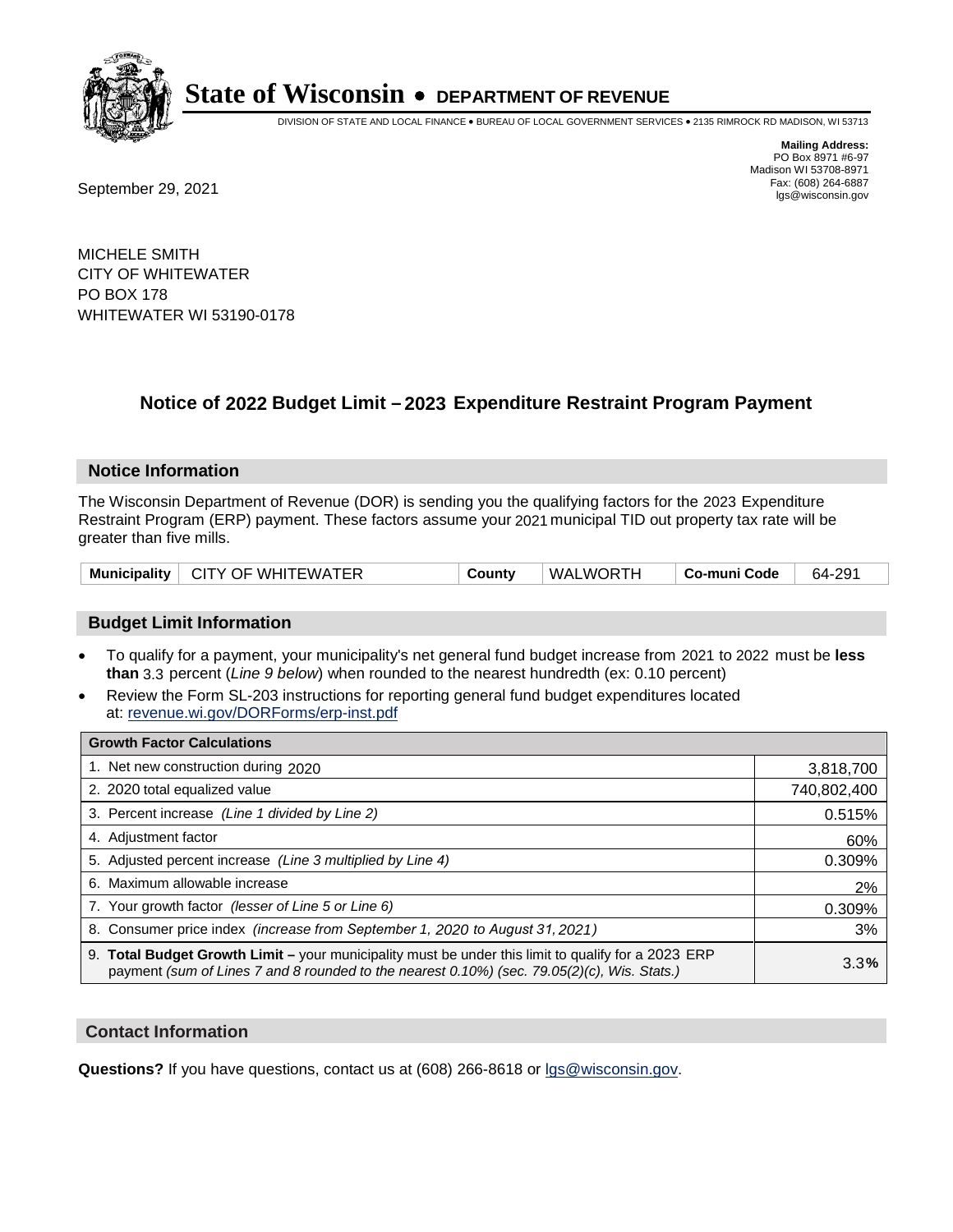

DIVISION OF STATE AND LOCAL FINANCE • BUREAU OF LOCAL GOVERNMENT SERVICES • 2135 RIMROCK RD MADISON, WI 53713

**Mailing Address:** PO Box 8971 #6-97 Madison WI 53708-8971<br>Fax: (608) 264-6887

Fax: (608) 264-6887<br>
September 29, 2021 and the state of the state of the state of the state of the state of the state of the state of the state of the state of the state of the state of the state of the state of the state

MICHELE SMITH CITY OF WHITEWATER PO BOX 178 WHITEWATER WI 53190-0178

### **Notice of 2022 Budget Limit - 2023 Expenditure Restraint Program Payment**

#### **Notice Information**

The Wisconsin Department of Revenue (DOR) is sending you the qualifying factors for the 2023 Expenditure Restraint Program (ERP) payment. These factors assume your 2021 municipal TID out property tax rate will be greater than five mills.

| Municipality   CITY OF WHITEWATER | County | WALWORTH | Co-muni Code | 64-291 |
|-----------------------------------|--------|----------|--------------|--------|
|-----------------------------------|--------|----------|--------------|--------|

#### **Budget Limit Information**

- To qualify for a payment, your municipality's net general fund budget increase from 2021 to 2022 must be less **than** 3.3 percent (*Line 9 below*) when rounded to the nearest hundredth (ex: 0.10 percent)
- Review the Form SL-203 instructions for reporting general fund budget expenditures located at: revenue.wi.gov/DORForms/erp-inst.pdf

| <b>Growth Factor Calculations</b>                                                                                                                                                                  |             |
|----------------------------------------------------------------------------------------------------------------------------------------------------------------------------------------------------|-------------|
| 1. Net new construction during 2020                                                                                                                                                                | 3,818,700   |
| 2. 2020 total equalized value                                                                                                                                                                      | 740,802,400 |
| 3. Percent increase (Line 1 divided by Line 2)                                                                                                                                                     | 0.515%      |
| 4. Adjustment factor                                                                                                                                                                               | 60%         |
| 5. Adjusted percent increase (Line 3 multiplied by Line 4)                                                                                                                                         | 0.309%      |
| 6. Maximum allowable increase                                                                                                                                                                      | 2%          |
| 7. Your growth factor (lesser of Line 5 or Line 6)                                                                                                                                                 | 0.309%      |
| 8. Consumer price index (increase from September 1, 2020 to August 31, 2021)                                                                                                                       | 3%          |
| 9. Total Budget Growth Limit - your municipality must be under this limit to qualify for a 2023 ERP<br>payment (sum of Lines 7 and 8 rounded to the nearest 0.10%) (sec. 79.05(2)(c), Wis. Stats.) | 3.3%        |

#### **Contact Information**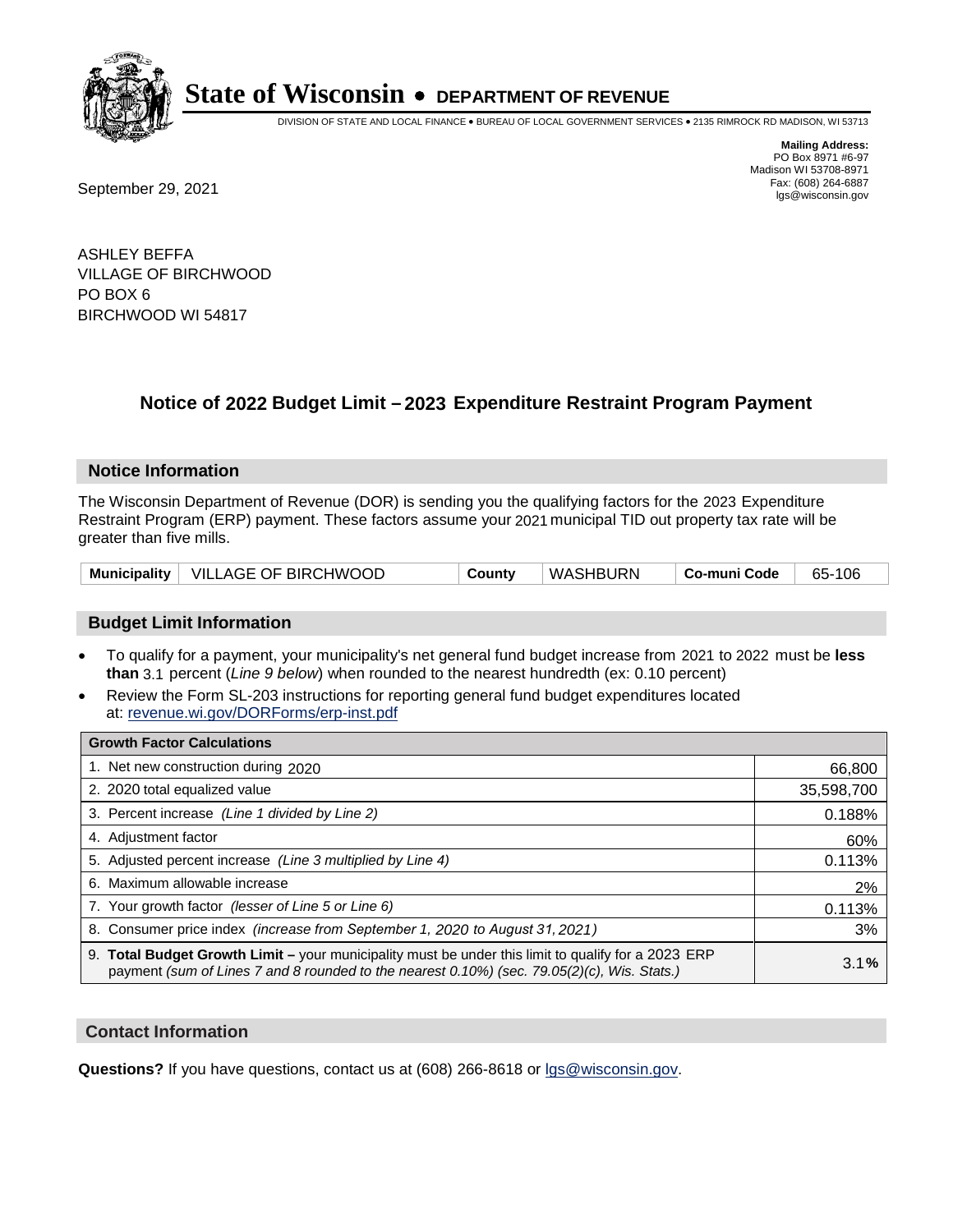

DIVISION OF STATE AND LOCAL FINANCE • BUREAU OF LOCAL GOVERNMENT SERVICES • 2135 RIMROCK RD MADISON, WI 53713

Fax: (608) 264-6887<br>
September 29, 2021 and the state of the state of the state of the state of the state of the state of the state of the state of the state of the state of the state of the state of the state of the state

**Mailing Address:** PO Box 8971 #6-97 Madison WI 53708-8971<br>Fax: (608) 264-6887

ASHLEY BEFFA VILLAGE OF BIRCHWOOD PO BOX 6 BIRCHWOOD WI 54817

### **Notice of 2022 Budget Limit - 2023 Expenditure Restraint Program Payment**

#### **Notice Information**

The Wisconsin Department of Revenue (DOR) is sending you the qualifying factors for the 2023 Expenditure Restraint Program (ERP) payment. These factors assume your 2021 municipal TID out property tax rate will be greater than five mills.

|  | Municipality   VILLAGE OF BIRCHWOOD | County | WASHBURN | ∣ Co-muni Code | 65-106 |
|--|-------------------------------------|--------|----------|----------------|--------|
|--|-------------------------------------|--------|----------|----------------|--------|

#### **Budget Limit Information**

- To qualify for a payment, your municipality's net general fund budget increase from 2021 to 2022 must be less **than** 3.1 percent (*Line 9 below*) when rounded to the nearest hundredth (ex: 0.10 percent)
- Review the Form SL-203 instructions for reporting general fund budget expenditures located at: revenue.wi.gov/DORForms/erp-inst.pdf

| <b>Growth Factor Calculations</b>                                                                                                                                                                  |            |
|----------------------------------------------------------------------------------------------------------------------------------------------------------------------------------------------------|------------|
| 1. Net new construction during 2020                                                                                                                                                                | 66,800     |
| 2. 2020 total equalized value                                                                                                                                                                      | 35,598,700 |
| 3. Percent increase (Line 1 divided by Line 2)                                                                                                                                                     | 0.188%     |
| 4. Adjustment factor                                                                                                                                                                               | 60%        |
| 5. Adjusted percent increase (Line 3 multiplied by Line 4)                                                                                                                                         | 0.113%     |
| 6. Maximum allowable increase                                                                                                                                                                      | 2%         |
| 7. Your growth factor (lesser of Line 5 or Line 6)                                                                                                                                                 | 0.113%     |
| 8. Consumer price index (increase from September 1, 2020 to August 31, 2021)                                                                                                                       | 3%         |
| 9. Total Budget Growth Limit - your municipality must be under this limit to qualify for a 2023 ERP<br>payment (sum of Lines 7 and 8 rounded to the nearest 0.10%) (sec. 79.05(2)(c), Wis. Stats.) | 3.1%       |

#### **Contact Information**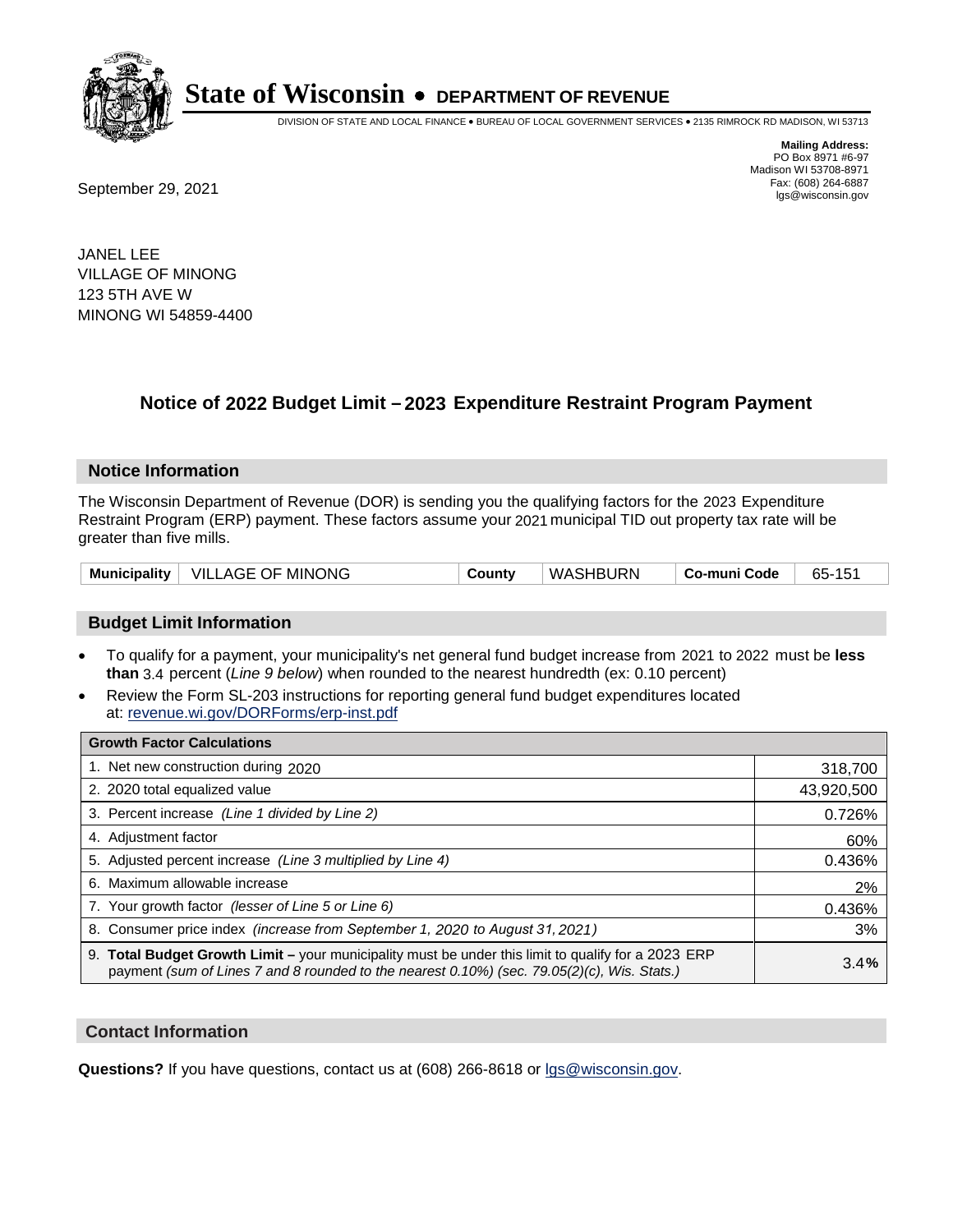

DIVISION OF STATE AND LOCAL FINANCE • BUREAU OF LOCAL GOVERNMENT SERVICES • 2135 RIMROCK RD MADISON, WI 53713

Fax: (608) 264-6887<br>
September 29, 2021 and the state of the state of the state of the state of the state of the state of the state of the state of the state of the state of the state of the state of the state of the state

**Mailing Address:** PO Box 8971 #6-97 Madison WI 53708-8971<br>Fax: (608) 264-6887

JANEL LEE VILLAGE OF MINONG 123 5TH AVE W MINONG WI 54859-4400

### **Notice of 2022 Budget Limit - 2023 Expenditure Restraint Program Payment**

#### **Notice Information**

The Wisconsin Department of Revenue (DOR) is sending you the qualifying factors for the 2023 Expenditure Restraint Program (ERP) payment. These factors assume your 2021 municipal TID out property tax rate will be greater than five mills.

|  | Municipality   VILLAGE OF MINONG | County | WASHBURN | Co-muni Code | 65-151 |
|--|----------------------------------|--------|----------|--------------|--------|
|--|----------------------------------|--------|----------|--------------|--------|

#### **Budget Limit Information**

- To qualify for a payment, your municipality's net general fund budget increase from 2021 to 2022 must be less **than** 3.4 percent (*Line 9 below*) when rounded to the nearest hundredth (ex: 0.10 percent)
- Review the Form SL-203 instructions for reporting general fund budget expenditures located at: revenue.wi.gov/DORForms/erp-inst.pdf

| <b>Growth Factor Calculations</b>                                                                                                                                                                  |            |
|----------------------------------------------------------------------------------------------------------------------------------------------------------------------------------------------------|------------|
| 1. Net new construction during 2020                                                                                                                                                                | 318,700    |
| 2. 2020 total equalized value                                                                                                                                                                      | 43,920,500 |
| 3. Percent increase (Line 1 divided by Line 2)                                                                                                                                                     | 0.726%     |
| 4. Adjustment factor                                                                                                                                                                               | 60%        |
| 5. Adjusted percent increase (Line 3 multiplied by Line 4)                                                                                                                                         | 0.436%     |
| 6. Maximum allowable increase                                                                                                                                                                      | 2%         |
| 7. Your growth factor (lesser of Line 5 or Line 6)                                                                                                                                                 | 0.436%     |
| 8. Consumer price index (increase from September 1, 2020 to August 31, 2021)                                                                                                                       | 3%         |
| 9. Total Budget Growth Limit - your municipality must be under this limit to qualify for a 2023 ERP<br>payment (sum of Lines 7 and 8 rounded to the nearest 0.10%) (sec. 79.05(2)(c), Wis. Stats.) | 3.4%       |

#### **Contact Information**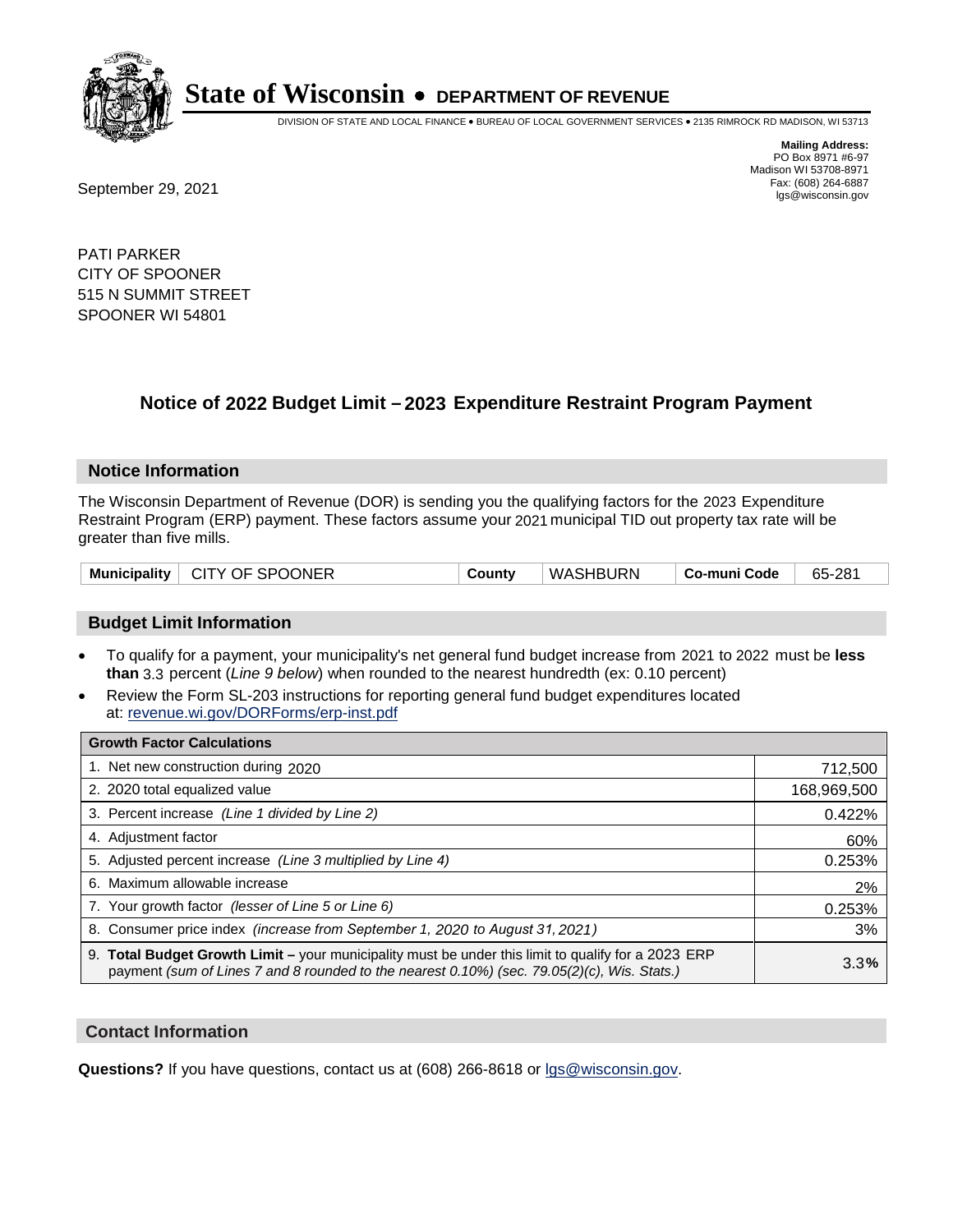

DIVISION OF STATE AND LOCAL FINANCE • BUREAU OF LOCAL GOVERNMENT SERVICES • 2135 RIMROCK RD MADISON, WI 53713

**Mailing Address:** PO Box 8971 #6-97 Madison WI 53708-8971<br>Fax: (608) 264-6887

Fax: (608) 264-6887<br>
September 29, 2021 and the state of the state of the state of the state of the state of the state of the state of the state of the state of the state of the state of the state of the state of the state

PATI PARKER CITY OF SPOONER 515 N SUMMIT STREET SPOONER WI 54801

### **Notice of 2022 Budget Limit - 2023 Expenditure Restraint Program Payment**

#### **Notice Information**

The Wisconsin Department of Revenue (DOR) is sending you the qualifying factors for the 2023 Expenditure Restraint Program (ERP) payment. These factors assume your 2021 municipal TID out property tax rate will be greater than five mills.

| Municipality   CITY OF SPOONER | County | WASHBURN | ∣ Co-muni Code ∣ | 65-281 |
|--------------------------------|--------|----------|------------------|--------|
|--------------------------------|--------|----------|------------------|--------|

#### **Budget Limit Information**

- To qualify for a payment, your municipality's net general fund budget increase from 2021 to 2022 must be less **than** 3.3 percent (*Line 9 below*) when rounded to the nearest hundredth (ex: 0.10 percent)
- Review the Form SL-203 instructions for reporting general fund budget expenditures located at: revenue.wi.gov/DORForms/erp-inst.pdf

| <b>Growth Factor Calculations</b>                                                                                                                                                                  |             |
|----------------------------------------------------------------------------------------------------------------------------------------------------------------------------------------------------|-------------|
| 1. Net new construction during 2020                                                                                                                                                                | 712,500     |
| 2. 2020 total equalized value                                                                                                                                                                      | 168,969,500 |
| 3. Percent increase (Line 1 divided by Line 2)                                                                                                                                                     | 0.422%      |
| 4. Adjustment factor                                                                                                                                                                               | 60%         |
| 5. Adjusted percent increase (Line 3 multiplied by Line 4)                                                                                                                                         | 0.253%      |
| 6. Maximum allowable increase                                                                                                                                                                      | 2%          |
| 7. Your growth factor (lesser of Line 5 or Line 6)                                                                                                                                                 | 0.253%      |
| 8. Consumer price index (increase from September 1, 2020 to August 31, 2021)                                                                                                                       | 3%          |
| 9. Total Budget Growth Limit - your municipality must be under this limit to qualify for a 2023 ERP<br>payment (sum of Lines 7 and 8 rounded to the nearest 0.10%) (sec. 79.05(2)(c), Wis. Stats.) | 3.3%        |

#### **Contact Information**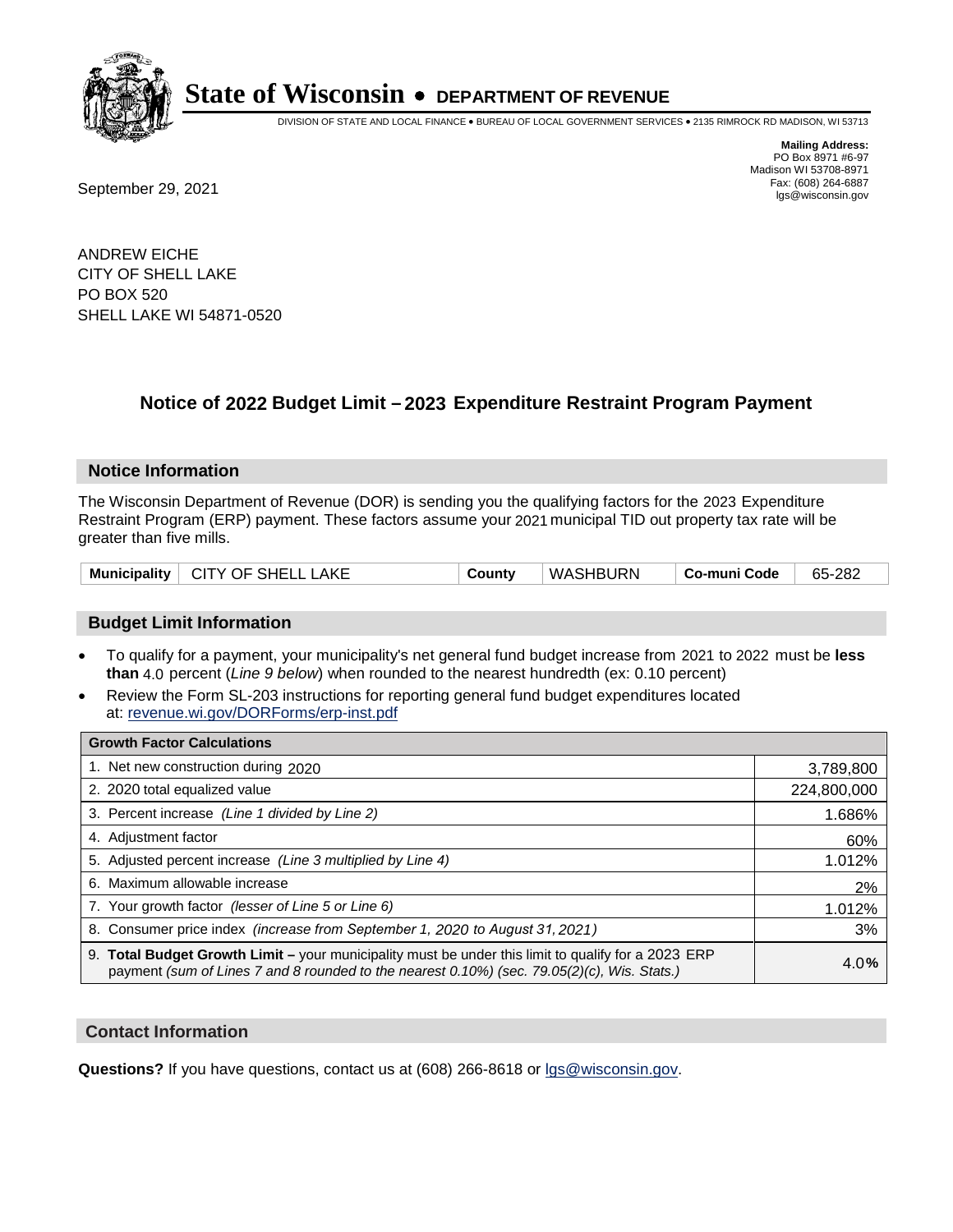

DIVISION OF STATE AND LOCAL FINANCE • BUREAU OF LOCAL GOVERNMENT SERVICES • 2135 RIMROCK RD MADISON, WI 53713

Fax: (608) 264-6887<br>
September 29, 2021 and the state of the state of the state of the state of the state of the state of the state of the state of the state of the state of the state of the state of the state of the state

**Mailing Address:** PO Box 8971 #6-97 Madison WI 53708-8971<br>Fax: (608) 264-6887

ANDREW EICHE CITY OF SHELL LAKE PO BOX 520 SHELL LAKE WI 54871-0520

## **Notice of 2022 Budget Limit - 2023 Expenditure Restraint Program Payment**

#### **Notice Information**

The Wisconsin Department of Revenue (DOR) is sending you the qualifying factors for the 2023 Expenditure Restraint Program (ERP) payment. These factors assume your 2021 municipal TID out property tax rate will be greater than five mills.

| Municipality   CITY OF SHELL LAKE | County | WASHBURN | Co-muni Code | 65-282 |
|-----------------------------------|--------|----------|--------------|--------|
|-----------------------------------|--------|----------|--------------|--------|

#### **Budget Limit Information**

- To qualify for a payment, your municipality's net general fund budget increase from 2021 to 2022 must be less **than** 4.0 percent (*Line 9 below*) when rounded to the nearest hundredth (ex: 0.10 percent)
- Review the Form SL-203 instructions for reporting general fund budget expenditures located at: revenue.wi.gov/DORForms/erp-inst.pdf

| <b>Growth Factor Calculations</b>                                                                                                                                                                  |             |
|----------------------------------------------------------------------------------------------------------------------------------------------------------------------------------------------------|-------------|
| 1. Net new construction during 2020                                                                                                                                                                | 3,789,800   |
| 2. 2020 total equalized value                                                                                                                                                                      | 224,800,000 |
| 3. Percent increase (Line 1 divided by Line 2)                                                                                                                                                     | 1.686%      |
| 4. Adjustment factor                                                                                                                                                                               | 60%         |
| 5. Adjusted percent increase (Line 3 multiplied by Line 4)                                                                                                                                         | 1.012%      |
| 6. Maximum allowable increase                                                                                                                                                                      | 2%          |
| 7. Your growth factor (lesser of Line 5 or Line 6)                                                                                                                                                 | 1.012%      |
| 8. Consumer price index (increase from September 1, 2020 to August 31, 2021)                                                                                                                       | 3%          |
| 9. Total Budget Growth Limit - your municipality must be under this limit to qualify for a 2023 ERP<br>payment (sum of Lines 7 and 8 rounded to the nearest 0.10%) (sec. 79.05(2)(c), Wis. Stats.) | 4.0%        |

#### **Contact Information**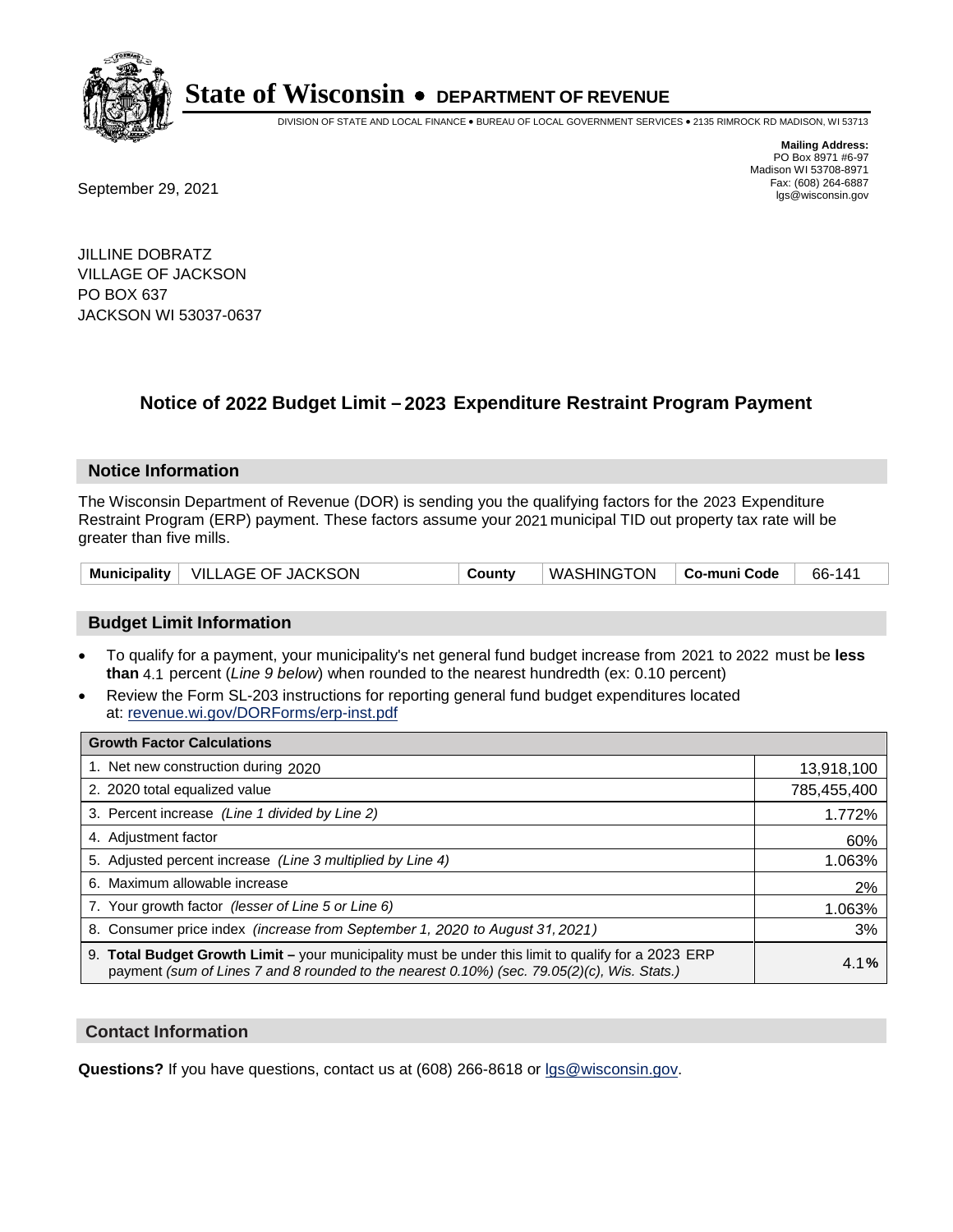

DIVISION OF STATE AND LOCAL FINANCE • BUREAU OF LOCAL GOVERNMENT SERVICES • 2135 RIMROCK RD MADISON, WI 53713

Fax: (608) 264-6887<br>
September 29, 2021 and the state of the state of the state of the state of the state of the state of the state of the state of the state of the state of the state of the state of the state of the state

**Mailing Address:** PO Box 8971 #6-97 Madison WI 53708-8971<br>Fax: (608) 264-6887

JILLINE DOBRATZ VILLAGE OF JACKSON PO BOX 637 JACKSON WI 53037-0637

### **Notice of 2022 Budget Limit - 2023 Expenditure Restraint Program Payment**

#### **Notice Information**

The Wisconsin Department of Revenue (DOR) is sending you the qualifying factors for the 2023 Expenditure Restraint Program (ERP) payment. These factors assume your 2021 municipal TID out property tax rate will be greater than five mills.

|  | Municipality   VILLAGE OF JACKSON | County | WASHINGTON   Co-muni Code |  | 66-141 |
|--|-----------------------------------|--------|---------------------------|--|--------|
|--|-----------------------------------|--------|---------------------------|--|--------|

#### **Budget Limit Information**

- To qualify for a payment, your municipality's net general fund budget increase from 2021 to 2022 must be less **than** 4.1 percent (*Line 9 below*) when rounded to the nearest hundredth (ex: 0.10 percent)
- Review the Form SL-203 instructions for reporting general fund budget expenditures located at: revenue.wi.gov/DORForms/erp-inst.pdf

| <b>Growth Factor Calculations</b>                                                                                                                                                                  |             |
|----------------------------------------------------------------------------------------------------------------------------------------------------------------------------------------------------|-------------|
| 1. Net new construction during 2020                                                                                                                                                                | 13,918,100  |
| 2. 2020 total equalized value                                                                                                                                                                      | 785,455,400 |
| 3. Percent increase (Line 1 divided by Line 2)                                                                                                                                                     | 1.772%      |
| 4. Adiustment factor                                                                                                                                                                               | 60%         |
| 5. Adjusted percent increase (Line 3 multiplied by Line 4)                                                                                                                                         | 1.063%      |
| 6. Maximum allowable increase                                                                                                                                                                      | 2%          |
| 7. Your growth factor (lesser of Line 5 or Line 6)                                                                                                                                                 | 1.063%      |
| 8. Consumer price index (increase from September 1, 2020 to August 31, 2021)                                                                                                                       | 3%          |
| 9. Total Budget Growth Limit - your municipality must be under this limit to qualify for a 2023 ERP<br>payment (sum of Lines 7 and 8 rounded to the nearest 0.10%) (sec. 79.05(2)(c), Wis. Stats.) | 4.1%        |

#### **Contact Information**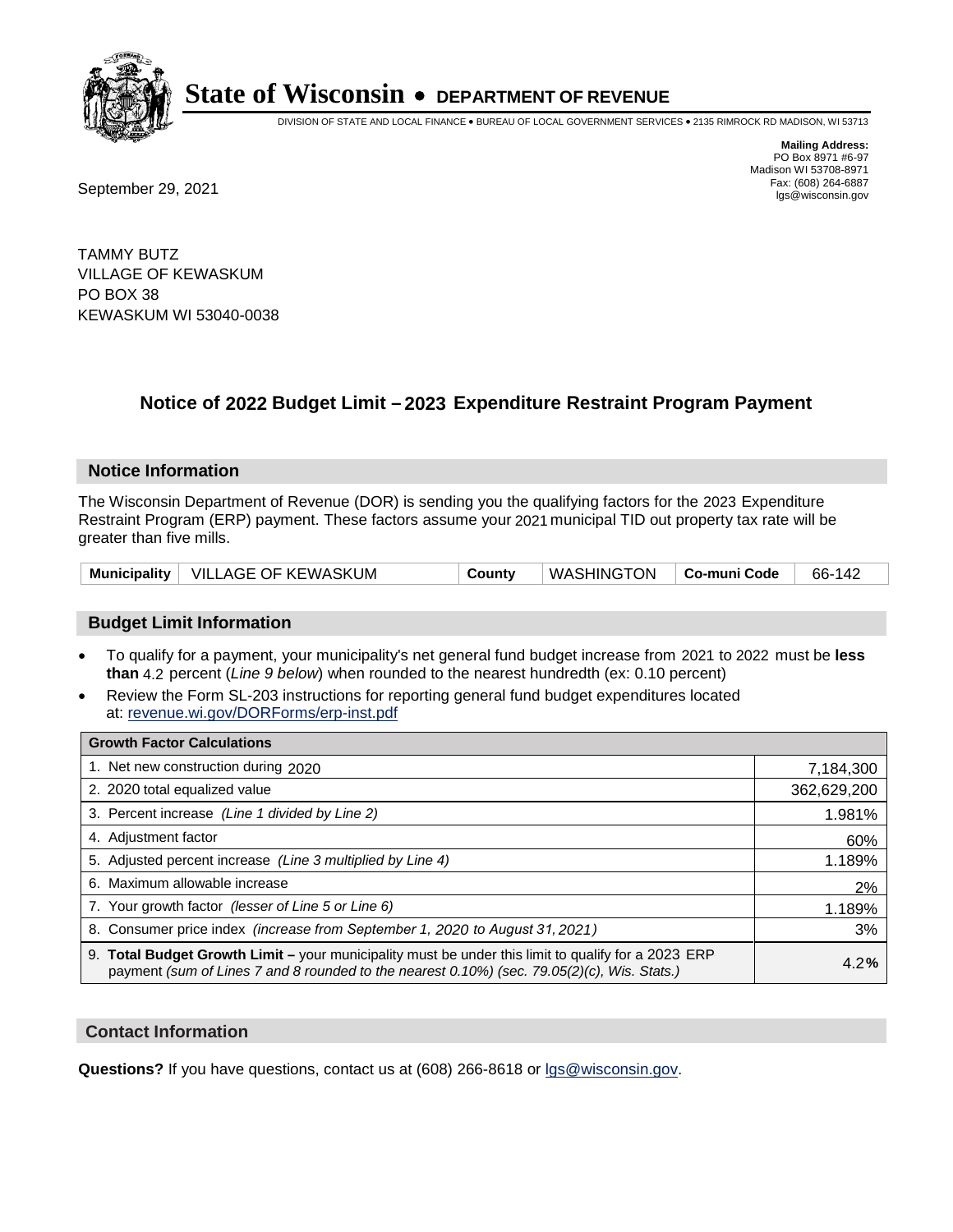

DIVISION OF STATE AND LOCAL FINANCE • BUREAU OF LOCAL GOVERNMENT SERVICES • 2135 RIMROCK RD MADISON, WI 53713

Fax: (608) 264-6887<br>
September 29, 2021 and the state of the state of the state of the state of the state of the state of the state of the state of the state of the state of the state of the state of the state of the state

**Mailing Address:** PO Box 8971 #6-97 Madison WI 53708-8971<br>Fax: (608) 264-6887

TAMMY BUTZ VILLAGE OF KEWASKUM PO BOX 38 KEWASKUM WI 53040-0038

### **Notice of 2022 Budget Limit - 2023 Expenditure Restraint Program Payment**

#### **Notice Information**

The Wisconsin Department of Revenue (DOR) is sending you the qualifying factors for the 2023 Expenditure Restraint Program (ERP) payment. These factors assume your 2021 municipal TID out property tax rate will be greater than five mills.

|  | Municipality   VILLAGE OF KEWASKUM | County | WASHINGTON   Co-muni Code |  | 66-142 |
|--|------------------------------------|--------|---------------------------|--|--------|
|--|------------------------------------|--------|---------------------------|--|--------|

#### **Budget Limit Information**

- To qualify for a payment, your municipality's net general fund budget increase from 2021 to 2022 must be less **than** 4.2 percent (*Line 9 below*) when rounded to the nearest hundredth (ex: 0.10 percent)
- Review the Form SL-203 instructions for reporting general fund budget expenditures located at: revenue.wi.gov/DORForms/erp-inst.pdf

| <b>Growth Factor Calculations</b>                                                                                                                                                                  |             |
|----------------------------------------------------------------------------------------------------------------------------------------------------------------------------------------------------|-------------|
| 1. Net new construction during 2020                                                                                                                                                                | 7,184,300   |
| 2. 2020 total equalized value                                                                                                                                                                      | 362,629,200 |
| 3. Percent increase (Line 1 divided by Line 2)                                                                                                                                                     | 1.981%      |
| 4. Adjustment factor                                                                                                                                                                               | 60%         |
| 5. Adjusted percent increase (Line 3 multiplied by Line 4)                                                                                                                                         | 1.189%      |
| 6. Maximum allowable increase                                                                                                                                                                      | 2%          |
| 7. Your growth factor (lesser of Line 5 or Line 6)                                                                                                                                                 | 1.189%      |
| 8. Consumer price index (increase from September 1, 2020 to August 31, 2021)                                                                                                                       | 3%          |
| 9. Total Budget Growth Limit - your municipality must be under this limit to qualify for a 2023 ERP<br>payment (sum of Lines 7 and 8 rounded to the nearest 0.10%) (sec. 79.05(2)(c), Wis. Stats.) | 4.2%        |

#### **Contact Information**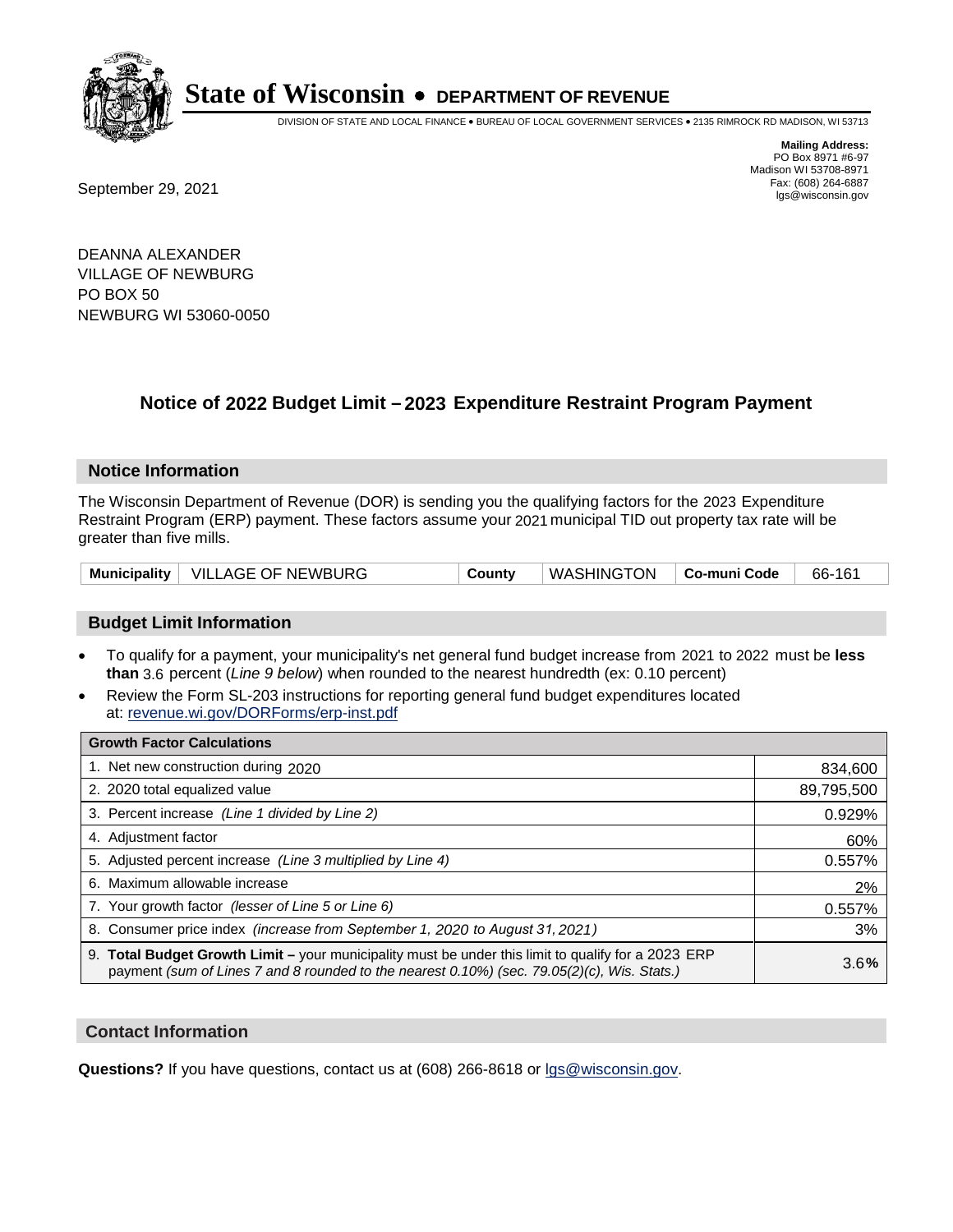

DIVISION OF STATE AND LOCAL FINANCE • BUREAU OF LOCAL GOVERNMENT SERVICES • 2135 RIMROCK RD MADISON, WI 53713

Fax: (608) 264-6887<br>
September 29, 2021 and the state of the state of the state of the state of the state of the state of the state of the state of the state of the state of the state of the state of the state of the state

**Mailing Address:** PO Box 8971 #6-97 Madison WI 53708-8971<br>Fax: (608) 264-6887

DEANNA ALEXANDER VILLAGE OF NEWBURG PO BOX 50 NEWBURG WI 53060-0050

### **Notice of 2022 Budget Limit - 2023 Expenditure Restraint Program Payment**

#### **Notice Information**

The Wisconsin Department of Revenue (DOR) is sending you the qualifying factors for the 2023 Expenditure Restraint Program (ERP) payment. These factors assume your 2021 municipal TID out property tax rate will be greater than five mills.

|  | Municipality   VILLAGE OF NEWBURG | County | WASHINGTON   Co-muni Code |  | 66-161 |
|--|-----------------------------------|--------|---------------------------|--|--------|
|--|-----------------------------------|--------|---------------------------|--|--------|

#### **Budget Limit Information**

- To qualify for a payment, your municipality's net general fund budget increase from 2021 to 2022 must be less **than** 3.6 percent (*Line 9 below*) when rounded to the nearest hundredth (ex: 0.10 percent)
- Review the Form SL-203 instructions for reporting general fund budget expenditures located at: revenue.wi.gov/DORForms/erp-inst.pdf

| <b>Growth Factor Calculations</b>                                                                                                                                                                  |            |
|----------------------------------------------------------------------------------------------------------------------------------------------------------------------------------------------------|------------|
| 1. Net new construction during 2020                                                                                                                                                                | 834,600    |
| 2. 2020 total equalized value                                                                                                                                                                      | 89,795,500 |
| 3. Percent increase (Line 1 divided by Line 2)                                                                                                                                                     | 0.929%     |
| 4. Adjustment factor                                                                                                                                                                               | 60%        |
| 5. Adjusted percent increase (Line 3 multiplied by Line 4)                                                                                                                                         | 0.557%     |
| 6. Maximum allowable increase                                                                                                                                                                      | 2%         |
| 7. Your growth factor (lesser of Line 5 or Line 6)                                                                                                                                                 | 0.557%     |
| 8. Consumer price index (increase from September 1, 2020 to August 31, 2021)                                                                                                                       | 3%         |
| 9. Total Budget Growth Limit – your municipality must be under this limit to qualify for a 2023 ERP<br>payment (sum of Lines 7 and 8 rounded to the nearest 0.10%) (sec. 79.05(2)(c), Wis. Stats.) | 3.6%       |

#### **Contact Information**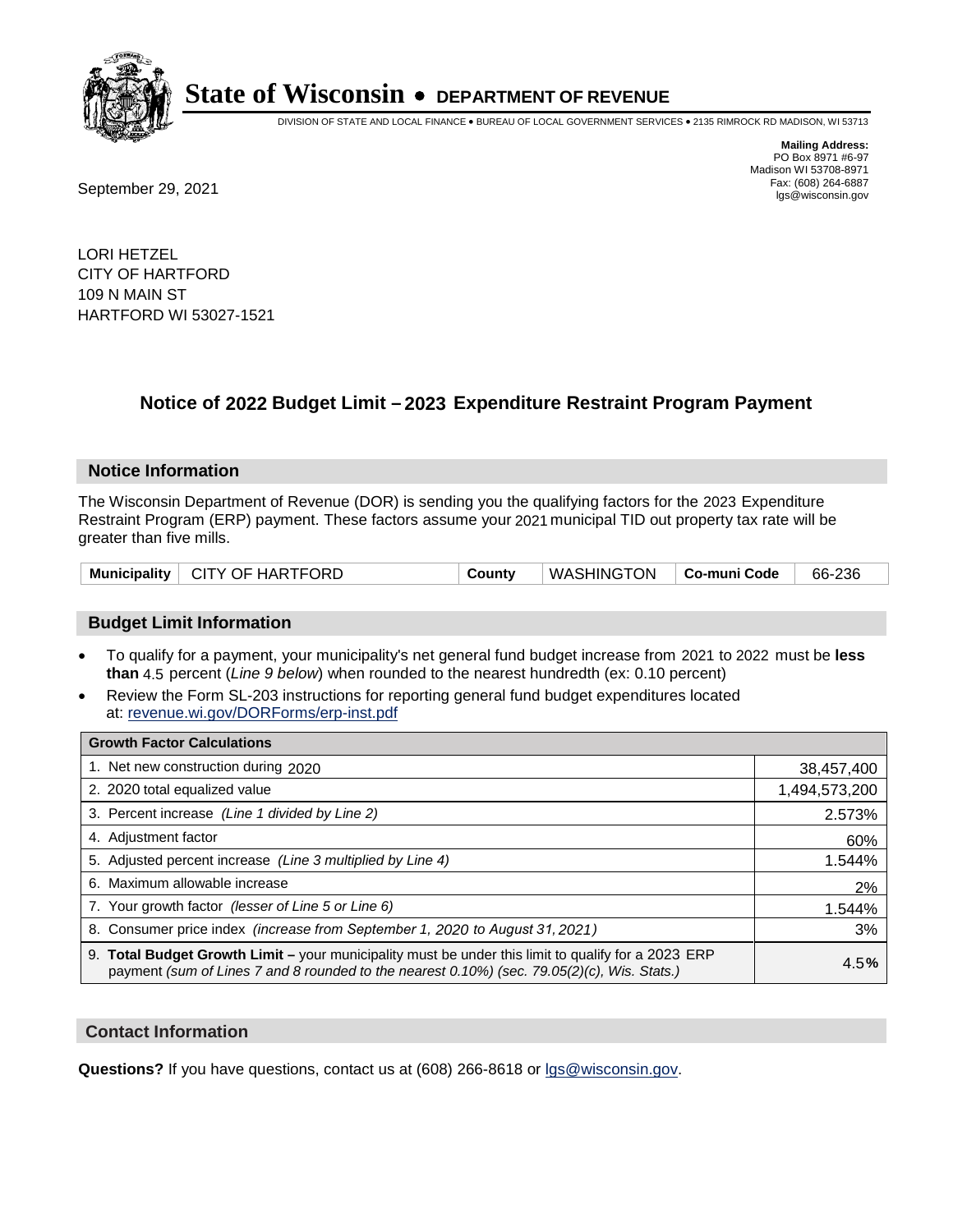

DIVISION OF STATE AND LOCAL FINANCE • BUREAU OF LOCAL GOVERNMENT SERVICES • 2135 RIMROCK RD MADISON, WI 53713

**Mailing Address:** PO Box 8971 #6-97 Madison WI 53708-8971<br>Fax: (608) 264-6887 Fax: (608) 264-6887<br>
September 29, 2021 and the state of the state of the state of the state of the state of the state of the state of the state of the state of the state of the state of the state of the state of the state

LORI HETZEL CITY OF HARTFORD 109 N MAIN ST HARTFORD WI 53027-1521

### **Notice of 2022 Budget Limit - 2023 Expenditure Restraint Program Payment**

#### **Notice Information**

The Wisconsin Department of Revenue (DOR) is sending you the qualifying factors for the 2023 Expenditure Restraint Program (ERP) payment. These factors assume your 2021 municipal TID out property tax rate will be greater than five mills.

| Municipality   CITY OF HARTFORD | County | WASHINGTON   Co-muni Code   66-236 |  |  |
|---------------------------------|--------|------------------------------------|--|--|
|---------------------------------|--------|------------------------------------|--|--|

#### **Budget Limit Information**

- To qualify for a payment, your municipality's net general fund budget increase from 2021 to 2022 must be less **than** 4.5 percent (*Line 9 below*) when rounded to the nearest hundredth (ex: 0.10 percent)
- Review the Form SL-203 instructions for reporting general fund budget expenditures located at: revenue.wi.gov/DORForms/erp-inst.pdf

| <b>Growth Factor Calculations</b>                                                                                                                                                                      |               |
|--------------------------------------------------------------------------------------------------------------------------------------------------------------------------------------------------------|---------------|
| 1. Net new construction during 2020                                                                                                                                                                    | 38,457,400    |
| 2. 2020 total equalized value                                                                                                                                                                          | 1,494,573,200 |
| 3. Percent increase (Line 1 divided by Line 2)                                                                                                                                                         | 2.573%        |
| 4. Adjustment factor                                                                                                                                                                                   | 60%           |
| 5. Adjusted percent increase (Line 3 multiplied by Line 4)                                                                                                                                             | 1.544%        |
| 6. Maximum allowable increase                                                                                                                                                                          | 2%            |
| 7. Your growth factor (lesser of Line 5 or Line 6)                                                                                                                                                     | 1.544%        |
| 8. Consumer price index (increase from September 1, 2020 to August 31, 2021)                                                                                                                           | 3%            |
| 9. Total Budget Growth Limit - your municipality must be under this limit to qualify for a 2023 ERP<br>payment (sum of Lines 7 and 8 rounded to the nearest $0.10\%$ ) (sec. 79.05(2)(c), Wis. Stats.) | 4.5%          |

#### **Contact Information**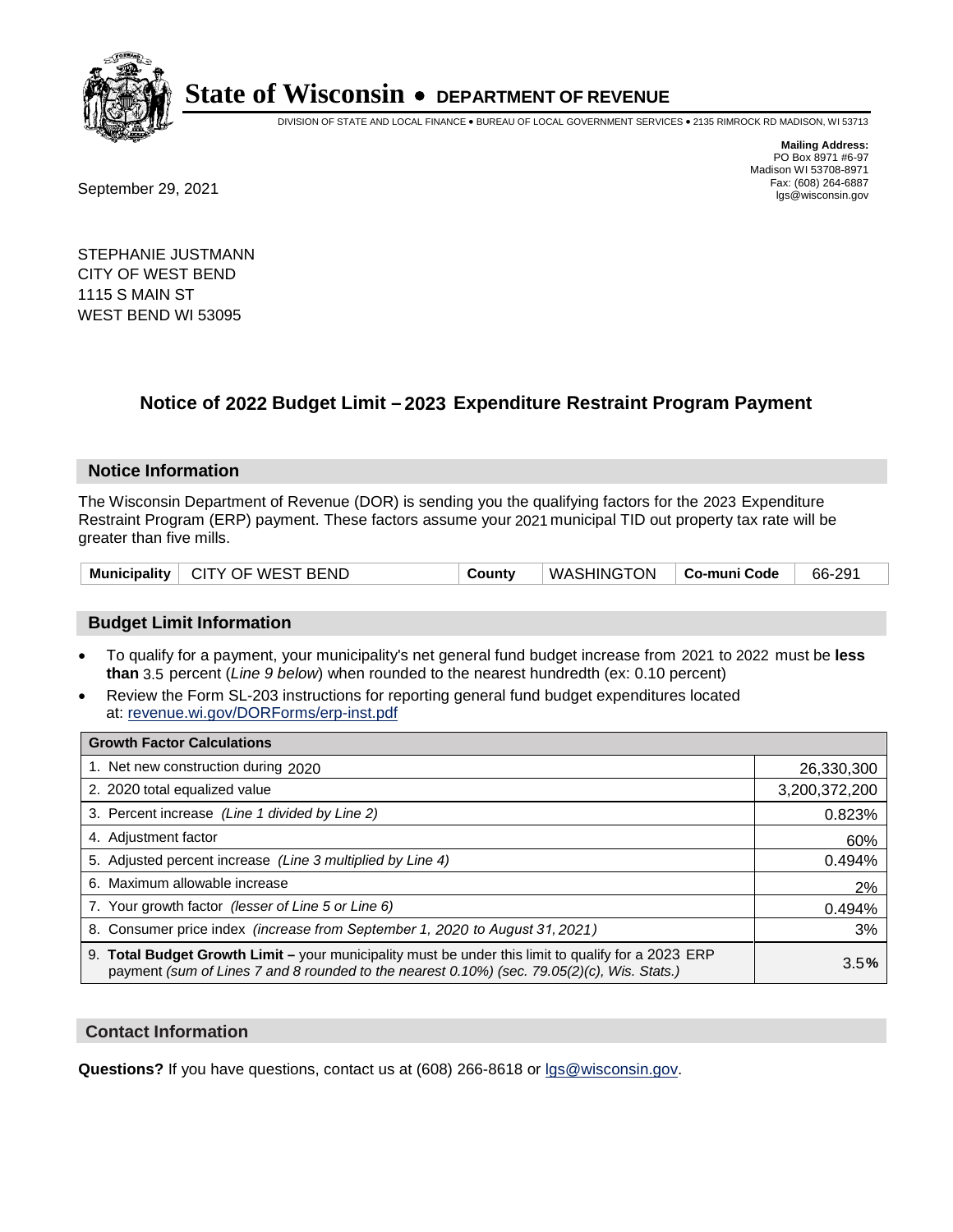

DIVISION OF STATE AND LOCAL FINANCE • BUREAU OF LOCAL GOVERNMENT SERVICES • 2135 RIMROCK RD MADISON, WI 53713

Fax: (608) 264-6887<br>
September 29, 2021 and the state of the state of the state of the state of the state of the state of the state of the state of the state of the state of the state of the state of the state of the state

**Mailing Address:** PO Box 8971 #6-97 Madison WI 53708-8971<br>Fax: (608) 264-6887

STEPHANIE JUSTMANN CITY OF WEST BEND 1115 S MAIN ST WEST BEND WI 53095

### **Notice of 2022 Budget Limit - 2023 Expenditure Restraint Program Payment**

#### **Notice Information**

The Wisconsin Department of Revenue (DOR) is sending you the qualifying factors for the 2023 Expenditure Restraint Program (ERP) payment. These factors assume your 2021 municipal TID out property tax rate will be greater than five mills.

| Municipality   CITY OF WEST BEND | County | WASHINGTON   Co-muni Code |  | 66-291 |
|----------------------------------|--------|---------------------------|--|--------|
|----------------------------------|--------|---------------------------|--|--------|

#### **Budget Limit Information**

- To qualify for a payment, your municipality's net general fund budget increase from 2021 to 2022 must be less **than** 3.5 percent (*Line 9 below*) when rounded to the nearest hundredth (ex: 0.10 percent)
- Review the Form SL-203 instructions for reporting general fund budget expenditures located at: revenue.wi.gov/DORForms/erp-inst.pdf

| <b>Growth Factor Calculations</b>                                                                                                                                                                      |               |
|--------------------------------------------------------------------------------------------------------------------------------------------------------------------------------------------------------|---------------|
| 1. Net new construction during 2020                                                                                                                                                                    | 26,330,300    |
| 2. 2020 total equalized value                                                                                                                                                                          | 3,200,372,200 |
| 3. Percent increase (Line 1 divided by Line 2)                                                                                                                                                         | 0.823%        |
| 4. Adjustment factor                                                                                                                                                                                   | 60%           |
| 5. Adjusted percent increase (Line 3 multiplied by Line 4)                                                                                                                                             | 0.494%        |
| 6. Maximum allowable increase                                                                                                                                                                          | 2%            |
| 7. Your growth factor (lesser of Line 5 or Line 6)                                                                                                                                                     | 0.494%        |
| 8. Consumer price index (increase from September 1, 2020 to August 31, 2021)                                                                                                                           | 3%            |
| 9. Total Budget Growth Limit - your municipality must be under this limit to qualify for a 2023 ERP<br>payment (sum of Lines 7 and 8 rounded to the nearest $0.10\%$ ) (sec. 79.05(2)(c), Wis. Stats.) | 3.5%          |

#### **Contact Information**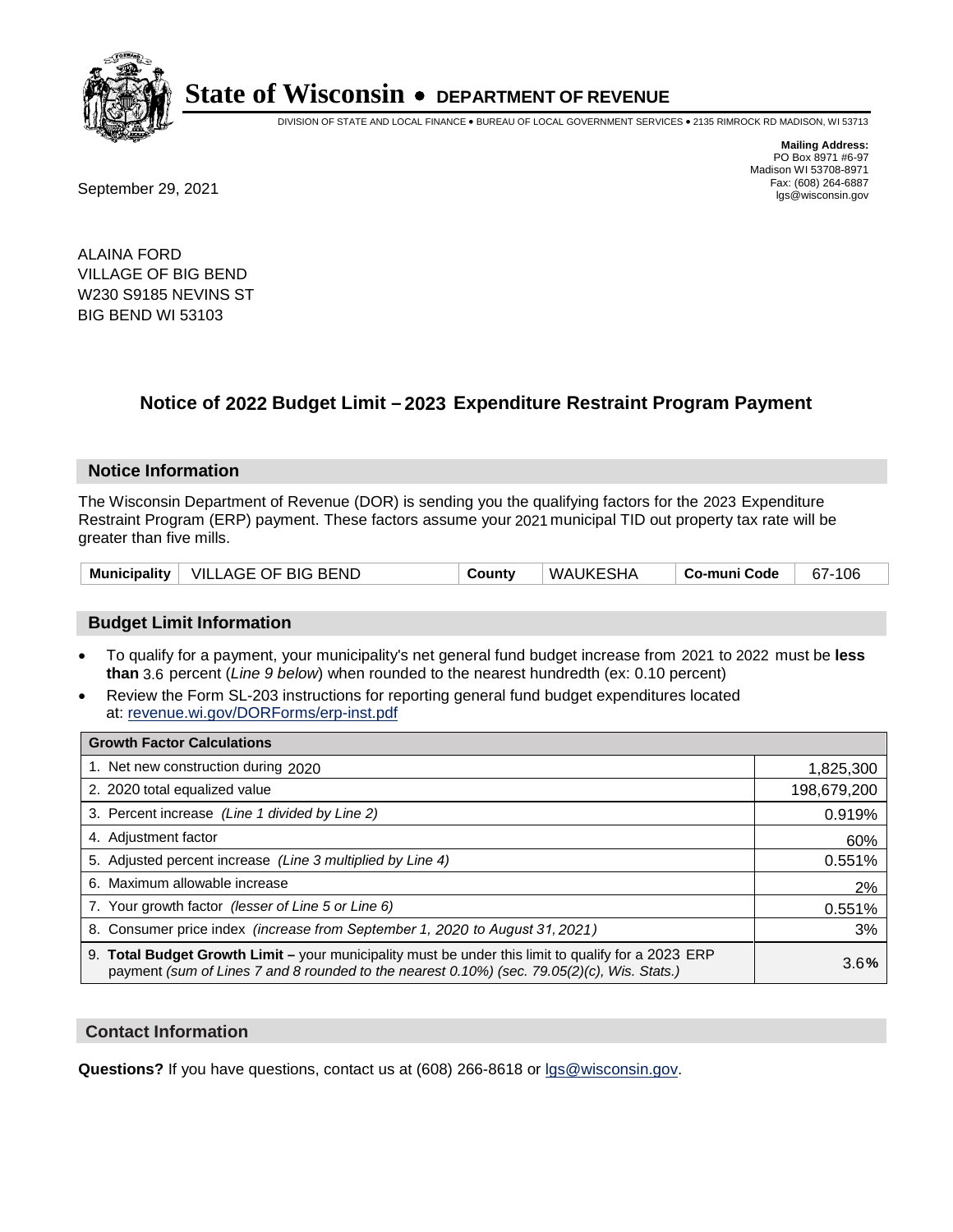

DIVISION OF STATE AND LOCAL FINANCE • BUREAU OF LOCAL GOVERNMENT SERVICES • 2135 RIMROCK RD MADISON, WI 53713

**Mailing Address:** PO Box 8971 #6-97 Madison WI 53708-8971<br>Fax: (608) 264-6887

Fax: (608) 264-6887<br>
September 29, 2021 and the state of the state of the state of the state of the state of the state of the state of the state of the state of the state of the state of the state of the state of the state

ALAINA FORD VILLAGE OF BIG BEND W230 S9185 NEVINS ST BIG BEND WI 53103

### **Notice of 2022 Budget Limit - 2023 Expenditure Restraint Program Payment**

#### **Notice Information**

The Wisconsin Department of Revenue (DOR) is sending you the qualifying factors for the 2023 Expenditure Restraint Program (ERP) payment. These factors assume your 2021 municipal TID out property tax rate will be greater than five mills.

| Municipality   VILLAGE OF BIG BEND | County | WAUKESHA | ∣ Co-muni Code | 67-106 |
|------------------------------------|--------|----------|----------------|--------|
|------------------------------------|--------|----------|----------------|--------|

#### **Budget Limit Information**

- To qualify for a payment, your municipality's net general fund budget increase from 2021 to 2022 must be less **than** 3.6 percent (*Line 9 below*) when rounded to the nearest hundredth (ex: 0.10 percent)
- Review the Form SL-203 instructions for reporting general fund budget expenditures located at: revenue.wi.gov/DORForms/erp-inst.pdf

| <b>Growth Factor Calculations</b>                                                                                                                                                                  |             |
|----------------------------------------------------------------------------------------------------------------------------------------------------------------------------------------------------|-------------|
| 1. Net new construction during 2020                                                                                                                                                                | 1,825,300   |
| 2. 2020 total equalized value                                                                                                                                                                      | 198,679,200 |
| 3. Percent increase (Line 1 divided by Line 2)                                                                                                                                                     | 0.919%      |
| 4. Adjustment factor                                                                                                                                                                               | 60%         |
| 5. Adjusted percent increase (Line 3 multiplied by Line 4)                                                                                                                                         | 0.551%      |
| 6. Maximum allowable increase                                                                                                                                                                      | 2%          |
| 7. Your growth factor (lesser of Line 5 or Line 6)                                                                                                                                                 | 0.551%      |
| 8. Consumer price index (increase from September 1, 2020 to August 31, 2021)                                                                                                                       | 3%          |
| 9. Total Budget Growth Limit - your municipality must be under this limit to qualify for a 2023 ERP<br>payment (sum of Lines 7 and 8 rounded to the nearest 0.10%) (sec. 79.05(2)(c), Wis. Stats.) | 3.6%        |

#### **Contact Information**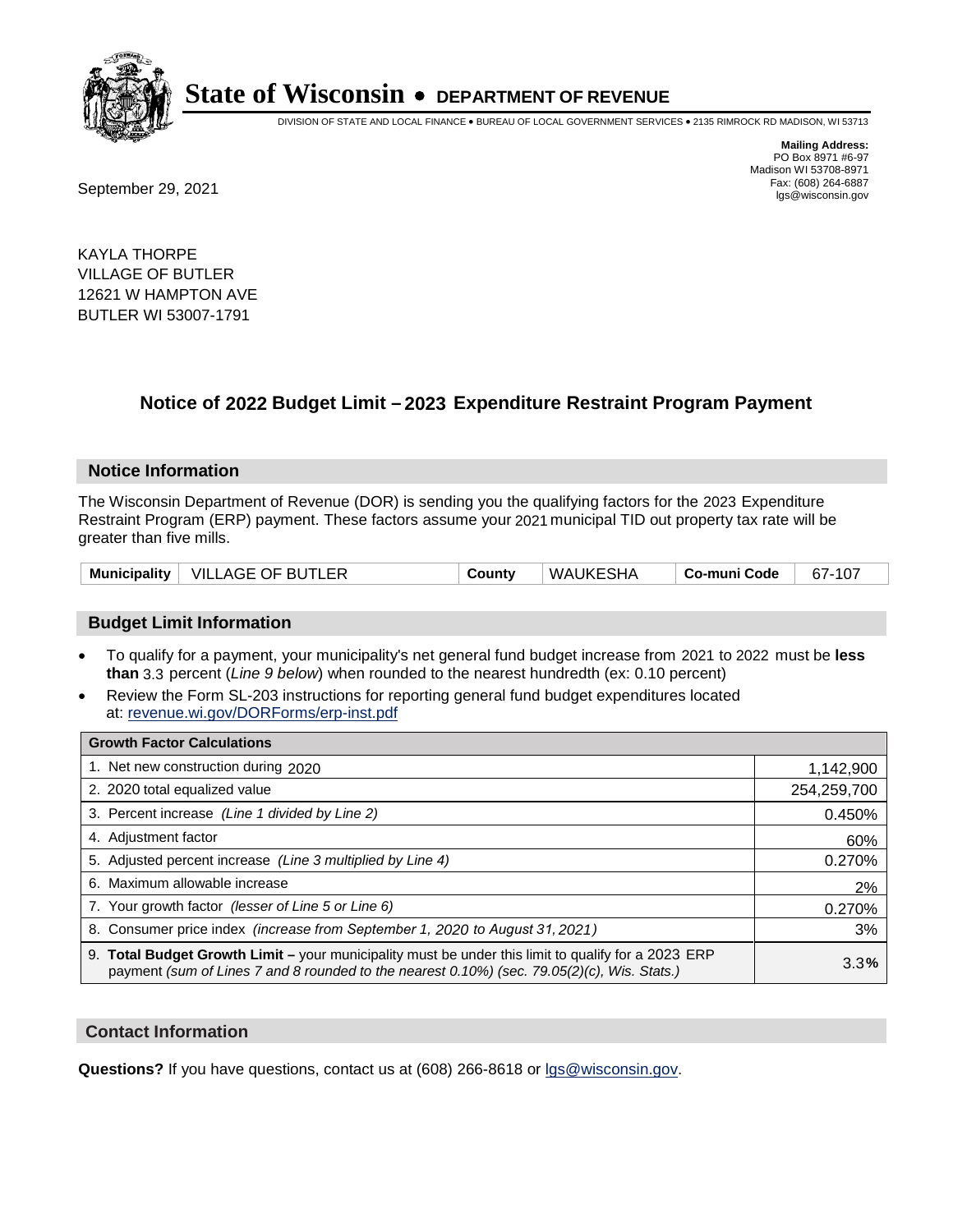

DIVISION OF STATE AND LOCAL FINANCE • BUREAU OF LOCAL GOVERNMENT SERVICES • 2135 RIMROCK RD MADISON, WI 53713

**Mailing Address:** PO Box 8971 #6-97 Madison WI 53708-8971<br>Fax: (608) 264-6887

Fax: (608) 264-6887<br>
September 29, 2021 and the state of the state of the state of the state of the state of the state of the state of the state of the state of the state of the state of the state of the state of the state

KAYLA THORPE VILLAGE OF BUTLER 12621 W HAMPTON AVE BUTLER WI 53007-1791

### **Notice of 2022 Budget Limit - 2023 Expenditure Restraint Program Payment**

#### **Notice Information**

The Wisconsin Department of Revenue (DOR) is sending you the qualifying factors for the 2023 Expenditure Restraint Program (ERP) payment. These factors assume your 2021 municipal TID out property tax rate will be greater than five mills.

|  | Municipality   VILLAGE OF BUTLER | County | WAUKESHA | Co-muni Code | 67-107 |
|--|----------------------------------|--------|----------|--------------|--------|
|--|----------------------------------|--------|----------|--------------|--------|

#### **Budget Limit Information**

- To qualify for a payment, your municipality's net general fund budget increase from 2021 to 2022 must be less **than** 3.3 percent (*Line 9 below*) when rounded to the nearest hundredth (ex: 0.10 percent)
- Review the Form SL-203 instructions for reporting general fund budget expenditures located at: revenue.wi.gov/DORForms/erp-inst.pdf

| <b>Growth Factor Calculations</b>                                                                                                                                                                  |             |
|----------------------------------------------------------------------------------------------------------------------------------------------------------------------------------------------------|-------------|
| 1. Net new construction during 2020                                                                                                                                                                | 1,142,900   |
| 2. 2020 total equalized value                                                                                                                                                                      | 254,259,700 |
| 3. Percent increase (Line 1 divided by Line 2)                                                                                                                                                     | 0.450%      |
| 4. Adjustment factor                                                                                                                                                                               | 60%         |
| 5. Adjusted percent increase (Line 3 multiplied by Line 4)                                                                                                                                         | 0.270%      |
| 6. Maximum allowable increase                                                                                                                                                                      | 2%          |
| 7. Your growth factor (lesser of Line 5 or Line 6)                                                                                                                                                 | 0.270%      |
| 8. Consumer price index (increase from September 1, 2020 to August 31, 2021)                                                                                                                       | 3%          |
| 9. Total Budget Growth Limit - your municipality must be under this limit to qualify for a 2023 ERP<br>payment (sum of Lines 7 and 8 rounded to the nearest 0.10%) (sec. 79.05(2)(c), Wis. Stats.) | 3.3%        |

#### **Contact Information**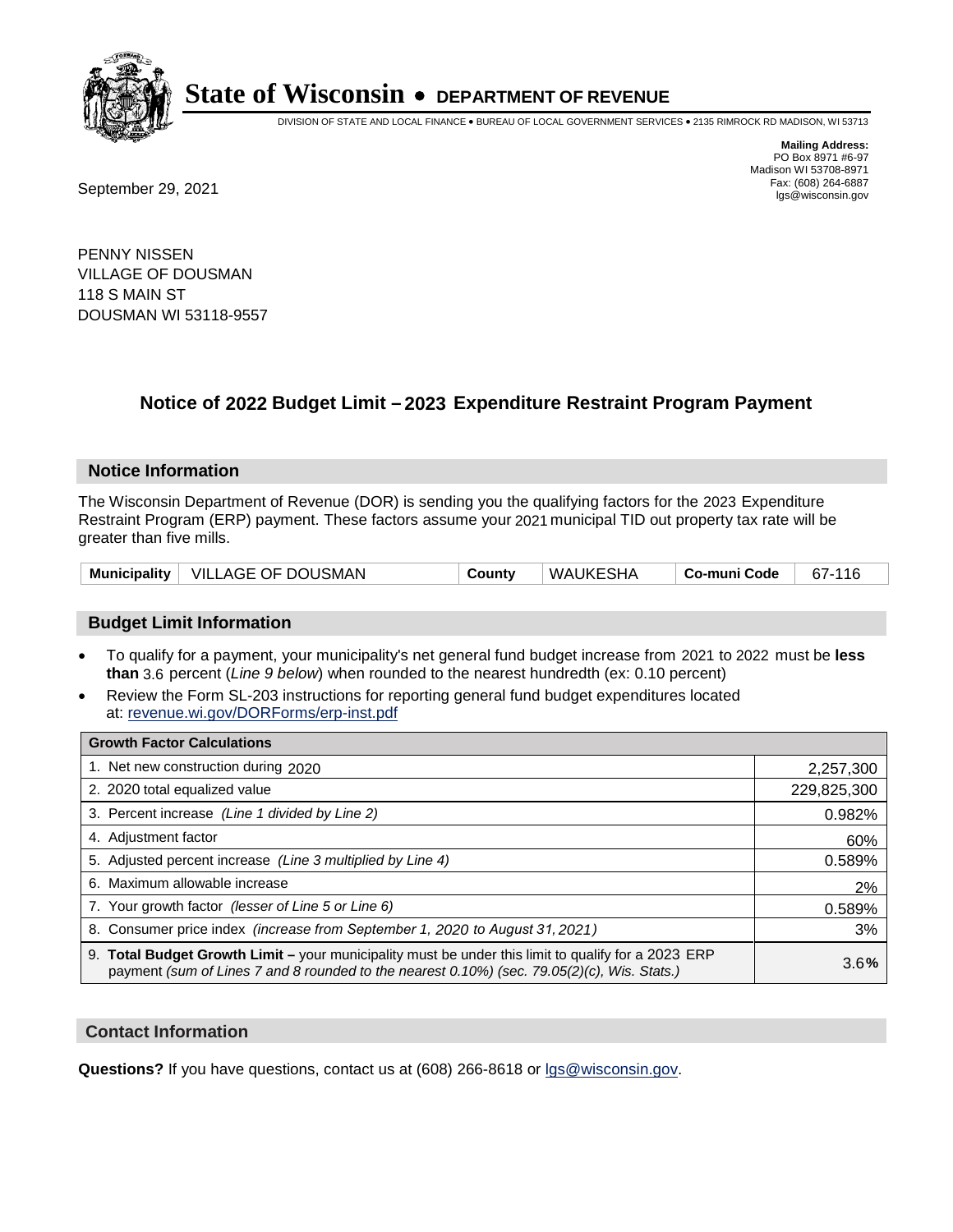

DIVISION OF STATE AND LOCAL FINANCE • BUREAU OF LOCAL GOVERNMENT SERVICES • 2135 RIMROCK RD MADISON, WI 53713

**Mailing Address:** PO Box 8971 #6-97 Madison WI 53708-8971<br>Fax: (608) 264-6887

Fax: (608) 264-6887<br>
September 29, 2021 and the state of the state of the state of the state of the state of the state of the state of the state of the state of the state of the state of the state of the state of the state

PENNY NISSEN VILLAGE OF DOUSMAN 118 S MAIN ST DOUSMAN WI 53118-9557

## **Notice of 2022 Budget Limit - 2023 Expenditure Restraint Program Payment**

#### **Notice Information**

The Wisconsin Department of Revenue (DOR) is sending you the qualifying factors for the 2023 Expenditure Restraint Program (ERP) payment. These factors assume your 2021 municipal TID out property tax rate will be greater than five mills.

|  | Municipality   VILLAGE OF DOUSMAN | County | WAUKESHA | Co-muni Code | 67-116 |
|--|-----------------------------------|--------|----------|--------------|--------|
|--|-----------------------------------|--------|----------|--------------|--------|

#### **Budget Limit Information**

- To qualify for a payment, your municipality's net general fund budget increase from 2021 to 2022 must be less **than** 3.6 percent (*Line 9 below*) when rounded to the nearest hundredth (ex: 0.10 percent)
- Review the Form SL-203 instructions for reporting general fund budget expenditures located at: revenue.wi.gov/DORForms/erp-inst.pdf

| <b>Growth Factor Calculations</b>                                                                                                                                                                  |             |
|----------------------------------------------------------------------------------------------------------------------------------------------------------------------------------------------------|-------------|
| 1. Net new construction during 2020                                                                                                                                                                | 2,257,300   |
| 2. 2020 total equalized value                                                                                                                                                                      | 229,825,300 |
| 3. Percent increase (Line 1 divided by Line 2)                                                                                                                                                     | 0.982%      |
| 4. Adjustment factor                                                                                                                                                                               | 60%         |
| 5. Adjusted percent increase (Line 3 multiplied by Line 4)                                                                                                                                         | 0.589%      |
| Maximum allowable increase<br>6.                                                                                                                                                                   | 2%          |
| 7. Your growth factor (lesser of Line 5 or Line 6)                                                                                                                                                 | 0.589%      |
| 8. Consumer price index (increase from September 1, 2020 to August 31, 2021)                                                                                                                       | 3%          |
| 9. Total Budget Growth Limit - your municipality must be under this limit to qualify for a 2023 ERP<br>payment (sum of Lines 7 and 8 rounded to the nearest 0.10%) (sec. 79.05(2)(c), Wis. Stats.) | 3.6%        |

#### **Contact Information**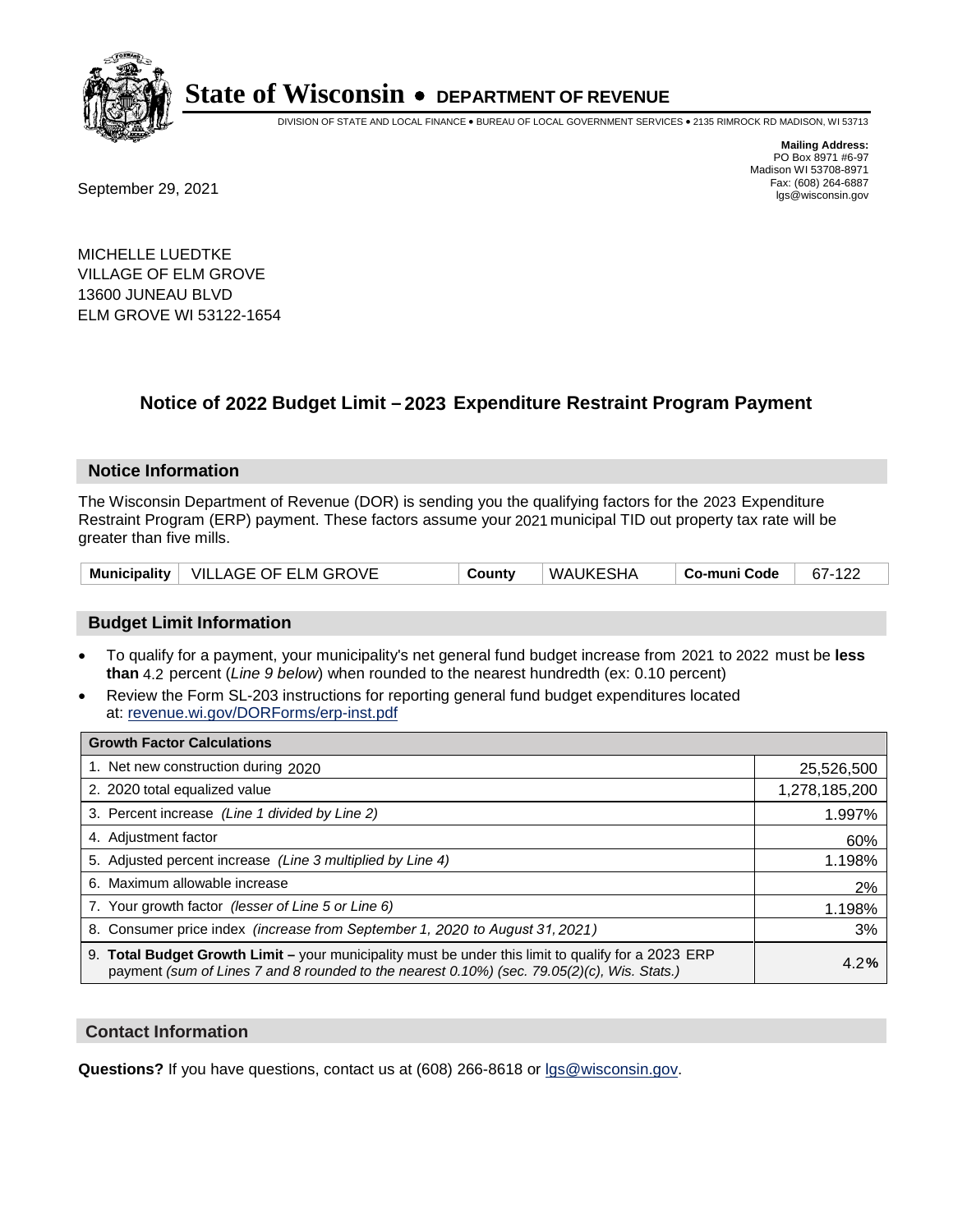

DIVISION OF STATE AND LOCAL FINANCE • BUREAU OF LOCAL GOVERNMENT SERVICES • 2135 RIMROCK RD MADISON, WI 53713

Fax: (608) 264-6887<br>
September 29, 2021 and the state of the state of the state of the state of the state of the state of the state of the state of the state of the state of the state of the state of the state of the state

**Mailing Address:** PO Box 8971 #6-97 Madison WI 53708-8971<br>Fax: (608) 264-6887

MICHELLE LUEDTKE VILLAGE OF ELM GROVE 13600 JUNEAU BLVD ELM GROVE WI 53122-1654

### **Notice of 2022 Budget Limit - 2023 Expenditure Restraint Program Payment**

#### **Notice Information**

The Wisconsin Department of Revenue (DOR) is sending you the qualifying factors for the 2023 Expenditure Restraint Program (ERP) payment. These factors assume your 2021 municipal TID out property tax rate will be greater than five mills.

|  | Municipality   VILLAGE OF ELM GROVE | Countv | WAUKESHA | Co-muni Code | 67-122 |
|--|-------------------------------------|--------|----------|--------------|--------|
|--|-------------------------------------|--------|----------|--------------|--------|

#### **Budget Limit Information**

- To qualify for a payment, your municipality's net general fund budget increase from 2021 to 2022 must be less **than** 4.2 percent (*Line 9 below*) when rounded to the nearest hundredth (ex: 0.10 percent)
- Review the Form SL-203 instructions for reporting general fund budget expenditures located at: revenue.wi.gov/DORForms/erp-inst.pdf

| <b>Growth Factor Calculations</b>                                                                                                                                                                      |               |
|--------------------------------------------------------------------------------------------------------------------------------------------------------------------------------------------------------|---------------|
| 1. Net new construction during 2020                                                                                                                                                                    | 25,526,500    |
| 2. 2020 total equalized value                                                                                                                                                                          | 1,278,185,200 |
| 3. Percent increase (Line 1 divided by Line 2)                                                                                                                                                         | 1.997%        |
| 4. Adiustment factor                                                                                                                                                                                   | 60%           |
| 5. Adjusted percent increase (Line 3 multiplied by Line 4)                                                                                                                                             | 1.198%        |
| 6. Maximum allowable increase                                                                                                                                                                          | 2%            |
| 7. Your growth factor (lesser of Line 5 or Line 6)                                                                                                                                                     | 1.198%        |
| 8. Consumer price index (increase from September 1, 2020 to August 31, 2021)                                                                                                                           | 3%            |
| 9. Total Budget Growth Limit - your municipality must be under this limit to qualify for a 2023 ERP<br>payment (sum of Lines 7 and 8 rounded to the nearest $0.10\%$ ) (sec. 79.05(2)(c), Wis. Stats.) | 4.2%          |

#### **Contact Information**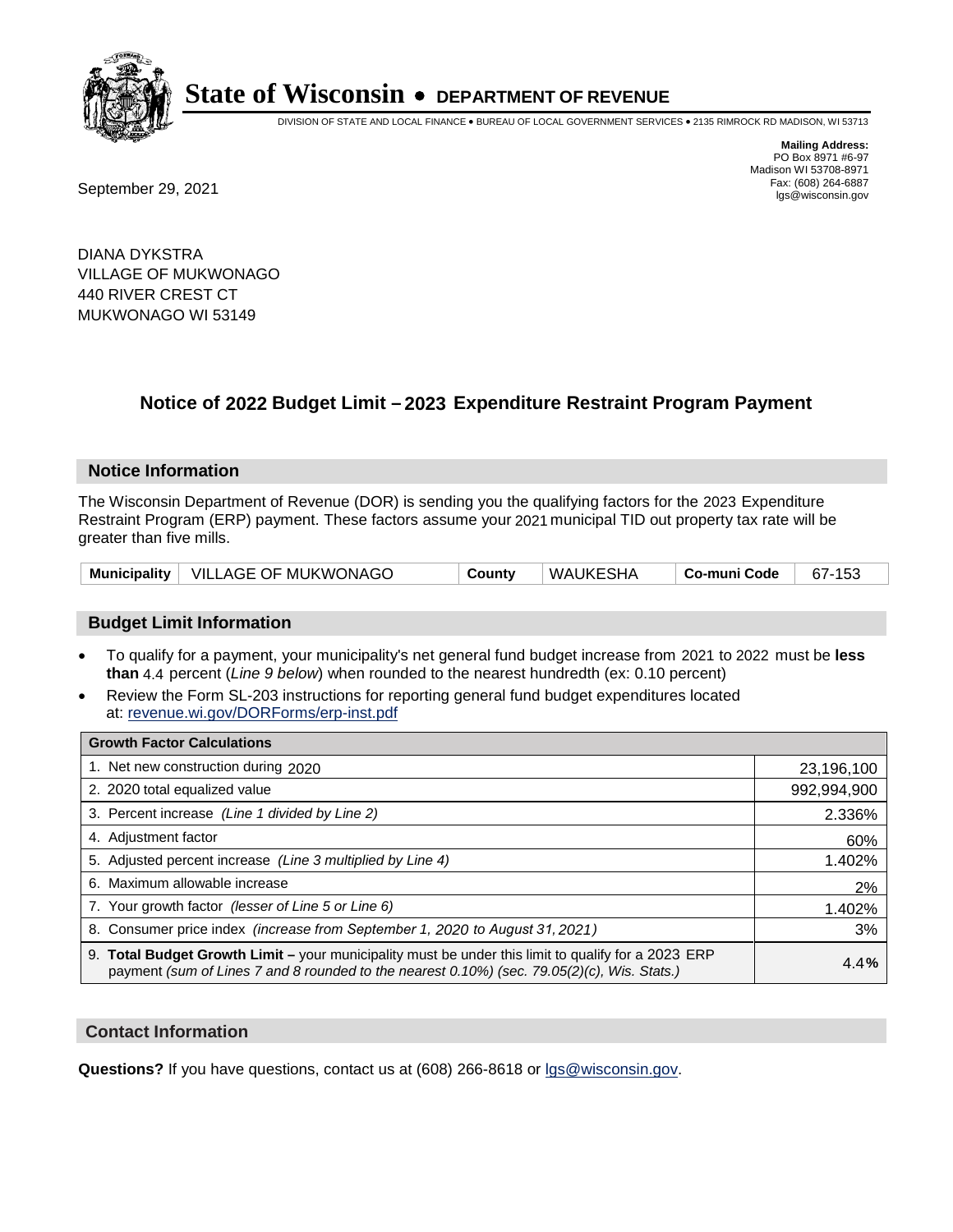

DIVISION OF STATE AND LOCAL FINANCE • BUREAU OF LOCAL GOVERNMENT SERVICES • 2135 RIMROCK RD MADISON, WI 53713

Fax: (608) 264-6887<br>
September 29, 2021 and the state of the state of the state of the state of the state of the state of the state of the state of the state of the state of the state of the state of the state of the state

**Mailing Address:** PO Box 8971 #6-97 Madison WI 53708-8971<br>Fax: (608) 264-6887

DIANA DYKSTRA VILLAGE OF MUKWONAGO 440 RIVER CREST CT MUKWONAGO WI 53149

### **Notice of 2022 Budget Limit - 2023 Expenditure Restraint Program Payment**

#### **Notice Information**

The Wisconsin Department of Revenue (DOR) is sending you the qualifying factors for the 2023 Expenditure Restraint Program (ERP) payment. These factors assume your 2021 municipal TID out property tax rate will be greater than five mills.

|  | Municipality   VILLAGE OF MUKWONAGO | County | WAUKESHA | Co-muni Code | 67-153 |
|--|-------------------------------------|--------|----------|--------------|--------|
|--|-------------------------------------|--------|----------|--------------|--------|

#### **Budget Limit Information**

- To qualify for a payment, your municipality's net general fund budget increase from 2021 to 2022 must be less **than** 4.4 percent (*Line 9 below*) when rounded to the nearest hundredth (ex: 0.10 percent)
- Review the Form SL-203 instructions for reporting general fund budget expenditures located at: revenue.wi.gov/DORForms/erp-inst.pdf

| <b>Growth Factor Calculations</b>                                                                                                                                                                  |             |
|----------------------------------------------------------------------------------------------------------------------------------------------------------------------------------------------------|-------------|
| 1. Net new construction during 2020                                                                                                                                                                | 23,196,100  |
| 2. 2020 total equalized value                                                                                                                                                                      | 992,994,900 |
| 3. Percent increase (Line 1 divided by Line 2)                                                                                                                                                     | 2.336%      |
| 4. Adjustment factor                                                                                                                                                                               | 60%         |
| 5. Adjusted percent increase (Line 3 multiplied by Line 4)                                                                                                                                         | 1.402%      |
| 6. Maximum allowable increase                                                                                                                                                                      | 2%          |
| 7. Your growth factor (lesser of Line 5 or Line 6)                                                                                                                                                 | 1.402%      |
| 8. Consumer price index (increase from September 1, 2020 to August 31, 2021)                                                                                                                       | 3%          |
| 9. Total Budget Growth Limit - your municipality must be under this limit to qualify for a 2023 ERP<br>payment (sum of Lines 7 and 8 rounded to the nearest 0.10%) (sec. 79.05(2)(c), Wis. Stats.) | 4.4%        |

#### **Contact Information**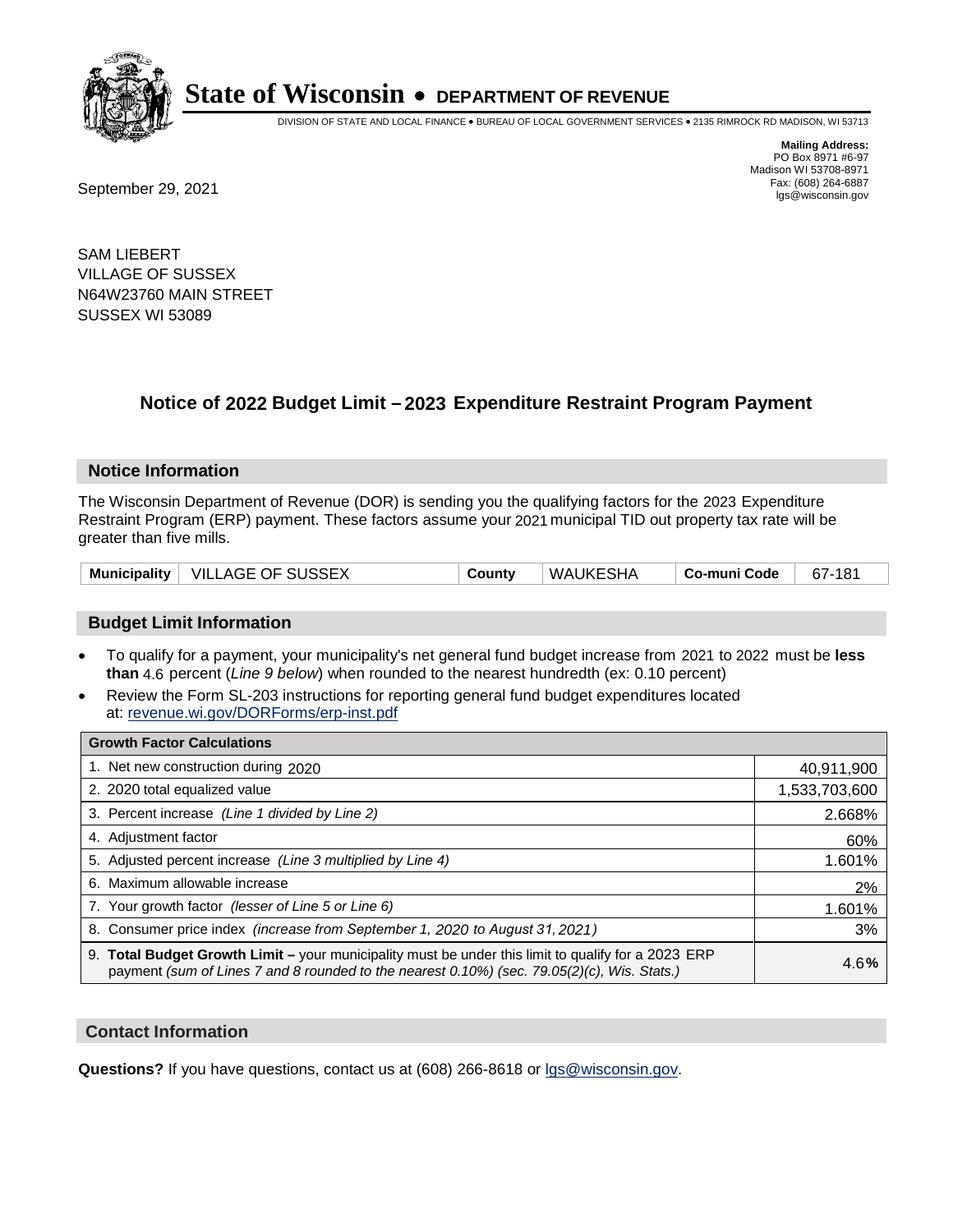

DIVISION OF STATE AND LOCAL FINANCE • BUREAU OF LOCAL GOVERNMENT SERVICES • 2135 RIMROCK RD MADISON, WI 53713

**Mailing Address:** PO Box 8971 #6-97 Madison WI 53708-8971<br>Fax: (608) 264-6887

Fax: (608) 264-6887<br>
September 29, 2021 and the state of the state of the state of the state of the state of the state of the state of the state of the state of the state of the state of the state of the state of the state

SAM LIEBERT VILLAGE OF SUSSEX N64W23760 MAIN STREET SUSSEX WI 53089

### **Notice of 2022 Budget Limit - 2023 Expenditure Restraint Program Payment**

#### **Notice Information**

The Wisconsin Department of Revenue (DOR) is sending you the qualifying factors for the 2023 Expenditure Restraint Program (ERP) payment. These factors assume your 2021 municipal TID out property tax rate will be greater than five mills.

|  | Municipality   VILLAGE OF SUSSEX | County | WAUKESHA | └ Co-muni Code | 67-181 |
|--|----------------------------------|--------|----------|----------------|--------|
|--|----------------------------------|--------|----------|----------------|--------|

#### **Budget Limit Information**

- To qualify for a payment, your municipality's net general fund budget increase from 2021 to 2022 must be less **than** 4.6 percent (*Line 9 below*) when rounded to the nearest hundredth (ex: 0.10 percent)
- Review the Form SL-203 instructions for reporting general fund budget expenditures located at: revenue.wi.gov/DORForms/erp-inst.pdf

| <b>Growth Factor Calculations</b>                                                                                                                                                                  |               |
|----------------------------------------------------------------------------------------------------------------------------------------------------------------------------------------------------|---------------|
| 1. Net new construction during 2020                                                                                                                                                                | 40,911,900    |
| 2. 2020 total equalized value                                                                                                                                                                      | 1,533,703,600 |
| 3. Percent increase (Line 1 divided by Line 2)                                                                                                                                                     | 2.668%        |
| 4. Adjustment factor                                                                                                                                                                               | 60%           |
| 5. Adjusted percent increase (Line 3 multiplied by Line 4)                                                                                                                                         | 1.601%        |
| Maximum allowable increase<br>6.                                                                                                                                                                   | 2%            |
| 7. Your growth factor (lesser of Line 5 or Line 6)                                                                                                                                                 | 1.601%        |
| 8. Consumer price index (increase from September 1, 2020 to August 31, 2021)                                                                                                                       | 3%            |
| 9. Total Budget Growth Limit - your municipality must be under this limit to qualify for a 2023 ERP<br>payment (sum of Lines 7 and 8 rounded to the nearest 0.10%) (sec. 79.05(2)(c), Wis. Stats.) | 4.6%          |

#### **Contact Information**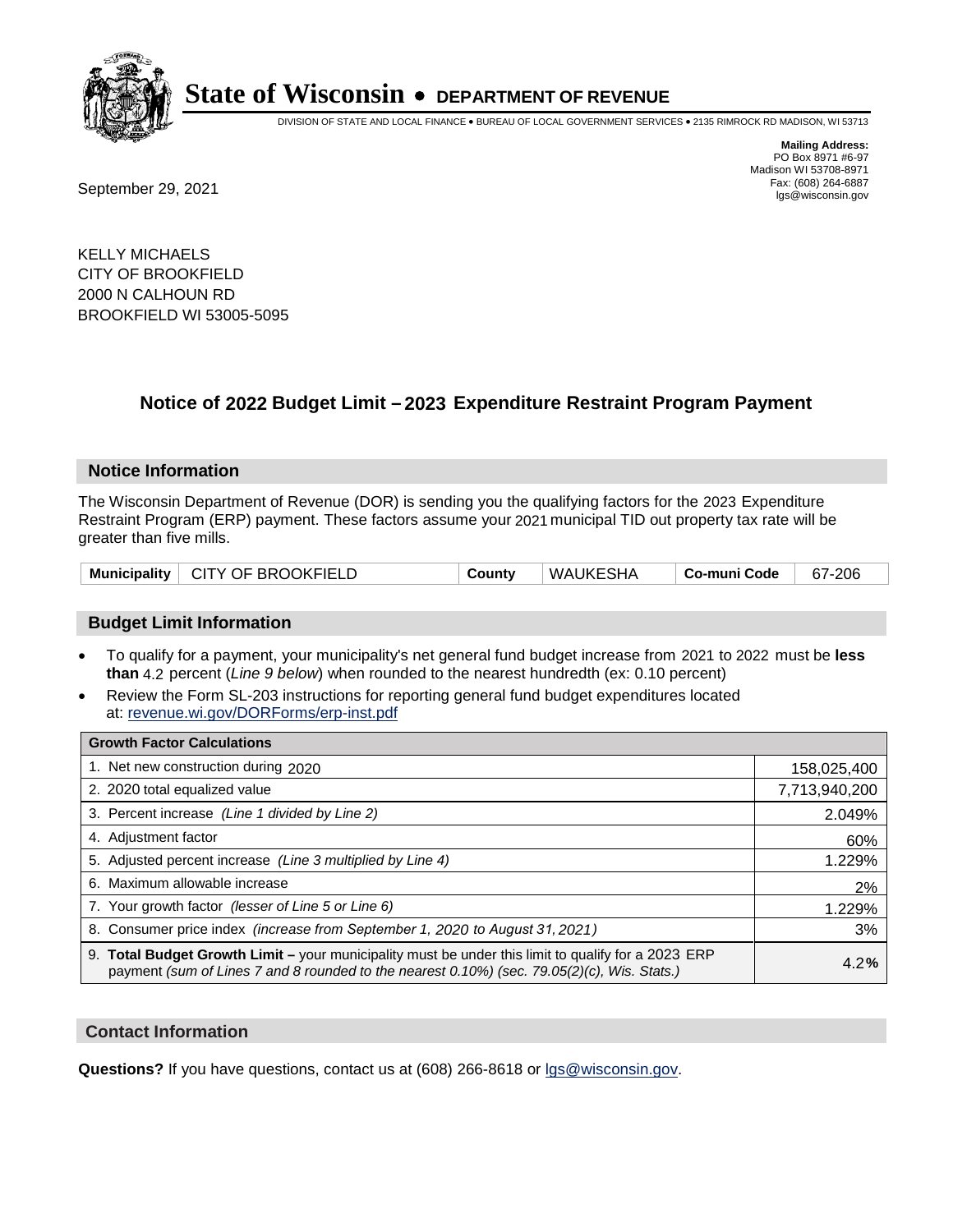

DIVISION OF STATE AND LOCAL FINANCE • BUREAU OF LOCAL GOVERNMENT SERVICES • 2135 RIMROCK RD MADISON, WI 53713

Fax: (608) 264-6887<br>
September 29, 2021 and the state of the state of the state of the state of the state of the state of the state of the state of the state of the state of the state of the state of the state of the state

**Mailing Address:** PO Box 8971 #6-97 Madison WI 53708-8971<br>Fax: (608) 264-6887

KELLY MICHAELS CITY OF BROOKFIELD 2000 N CALHOUN RD BROOKFIELD WI 53005-5095

### **Notice of 2022 Budget Limit - 2023 Expenditure Restraint Program Payment**

#### **Notice Information**

The Wisconsin Department of Revenue (DOR) is sending you the qualifying factors for the 2023 Expenditure Restraint Program (ERP) payment. These factors assume your 2021 municipal TID out property tax rate will be greater than five mills.

|  | Municipality   CITY OF BROOKFIELD | County | WAUKESHA | ∣ Co-muni Code | 67-206 |
|--|-----------------------------------|--------|----------|----------------|--------|
|--|-----------------------------------|--------|----------|----------------|--------|

#### **Budget Limit Information**

- To qualify for a payment, your municipality's net general fund budget increase from 2021 to 2022 must be less **than** 4.2 percent (*Line 9 below*) when rounded to the nearest hundredth (ex: 0.10 percent)
- Review the Form SL-203 instructions for reporting general fund budget expenditures located at: revenue.wi.gov/DORForms/erp-inst.pdf

| <b>Growth Factor Calculations</b>                                                                                                                                                                  |               |
|----------------------------------------------------------------------------------------------------------------------------------------------------------------------------------------------------|---------------|
| 1. Net new construction during 2020                                                                                                                                                                | 158,025,400   |
| 2. 2020 total equalized value                                                                                                                                                                      | 7,713,940,200 |
| 3. Percent increase (Line 1 divided by Line 2)                                                                                                                                                     | 2.049%        |
| 4. Adjustment factor                                                                                                                                                                               | 60%           |
| 5. Adjusted percent increase (Line 3 multiplied by Line 4)                                                                                                                                         | 1.229%        |
| 6. Maximum allowable increase                                                                                                                                                                      | 2%            |
| 7. Your growth factor (lesser of Line 5 or Line 6)                                                                                                                                                 | 1.229%        |
| 8. Consumer price index (increase from September 1, 2020 to August 31, 2021)                                                                                                                       | 3%            |
| 9. Total Budget Growth Limit - your municipality must be under this limit to qualify for a 2023 ERP<br>payment (sum of Lines 7 and 8 rounded to the nearest 0.10%) (sec. 79.05(2)(c), Wis. Stats.) | 4.2%          |

#### **Contact Information**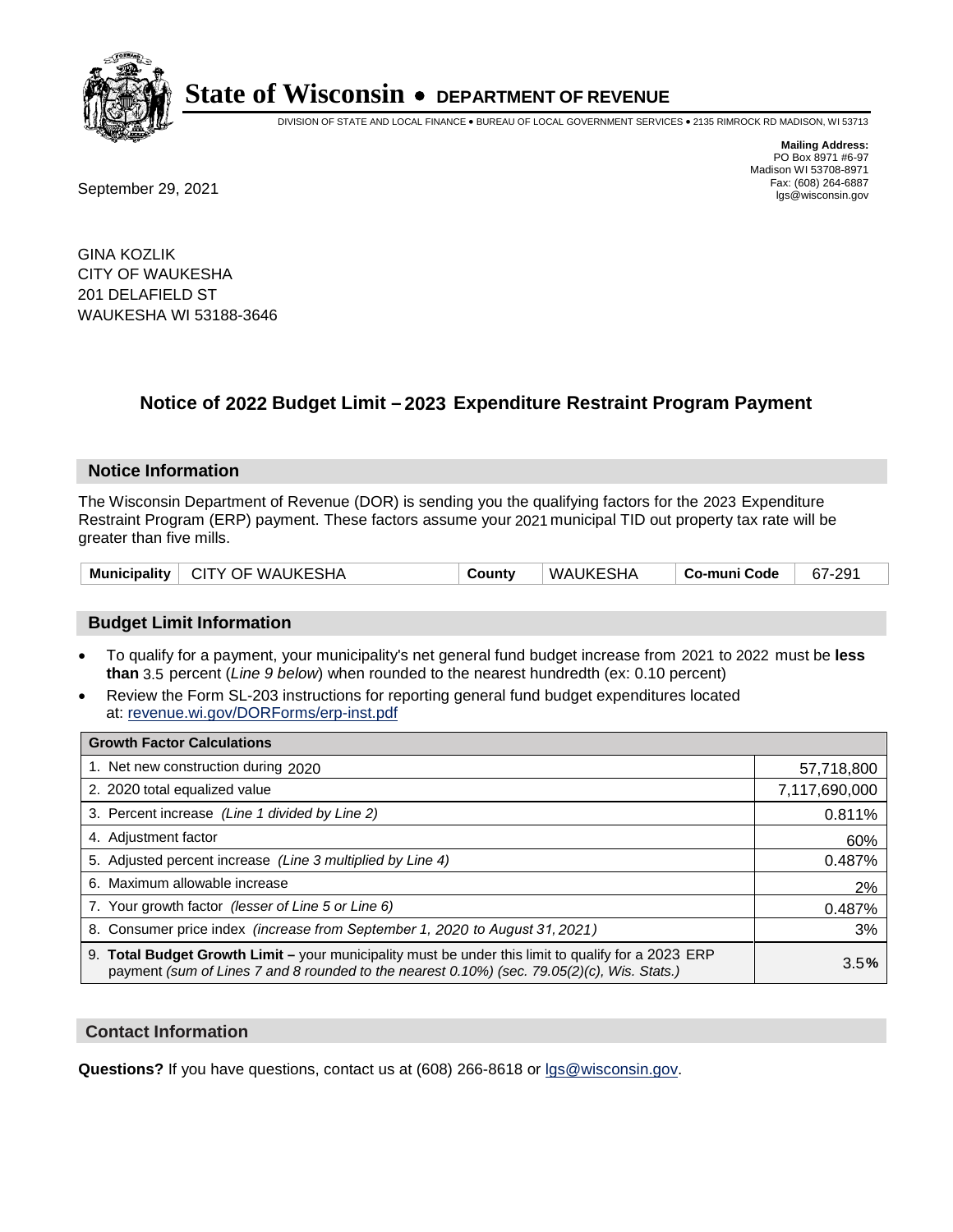

DIVISION OF STATE AND LOCAL FINANCE • BUREAU OF LOCAL GOVERNMENT SERVICES • 2135 RIMROCK RD MADISON, WI 53713

Fax: (608) 264-6887<br>
September 29, 2021 and the state of the state of the state of the state of the state of the state of the state of the state of the state of the state of the state of the state of the state of the state

**Mailing Address:** PO Box 8971 #6-97 Madison WI 53708-8971<br>Fax: (608) 264-6887

GINA KOZLIK CITY OF WAUKESHA 201 DELAFIELD ST WAUKESHA WI 53188-3646

### **Notice of 2022 Budget Limit - 2023 Expenditure Restraint Program Payment**

#### **Notice Information**

The Wisconsin Department of Revenue (DOR) is sending you the qualifying factors for the 2023 Expenditure Restraint Program (ERP) payment. These factors assume your 2021 municipal TID out property tax rate will be greater than five mills.

#### **Budget Limit Information**

- To qualify for a payment, your municipality's net general fund budget increase from 2021 to 2022 must be less **than** 3.5 percent (*Line 9 below*) when rounded to the nearest hundredth (ex: 0.10 percent)
- Review the Form SL-203 instructions for reporting general fund budget expenditures located at: revenue.wi.gov/DORForms/erp-inst.pdf

| <b>Growth Factor Calculations</b>                                                                                                                                                                      |               |
|--------------------------------------------------------------------------------------------------------------------------------------------------------------------------------------------------------|---------------|
| 1. Net new construction during 2020                                                                                                                                                                    | 57,718,800    |
| 2. 2020 total equalized value                                                                                                                                                                          | 7,117,690,000 |
| 3. Percent increase (Line 1 divided by Line 2)                                                                                                                                                         | 0.811%        |
| 4. Adjustment factor                                                                                                                                                                                   | 60%           |
| 5. Adjusted percent increase (Line 3 multiplied by Line 4)                                                                                                                                             | 0.487%        |
| 6. Maximum allowable increase                                                                                                                                                                          | 2%            |
| 7. Your growth factor (lesser of Line 5 or Line 6)                                                                                                                                                     | 0.487%        |
| 8. Consumer price index (increase from September 1, 2020 to August 31, 2021)                                                                                                                           | 3%            |
| 9. Total Budget Growth Limit - your municipality must be under this limit to qualify for a 2023 ERP<br>payment (sum of Lines 7 and 8 rounded to the nearest $0.10\%$ ) (sec. 79.05(2)(c), Wis. Stats.) | 3.5%          |

#### **Contact Information**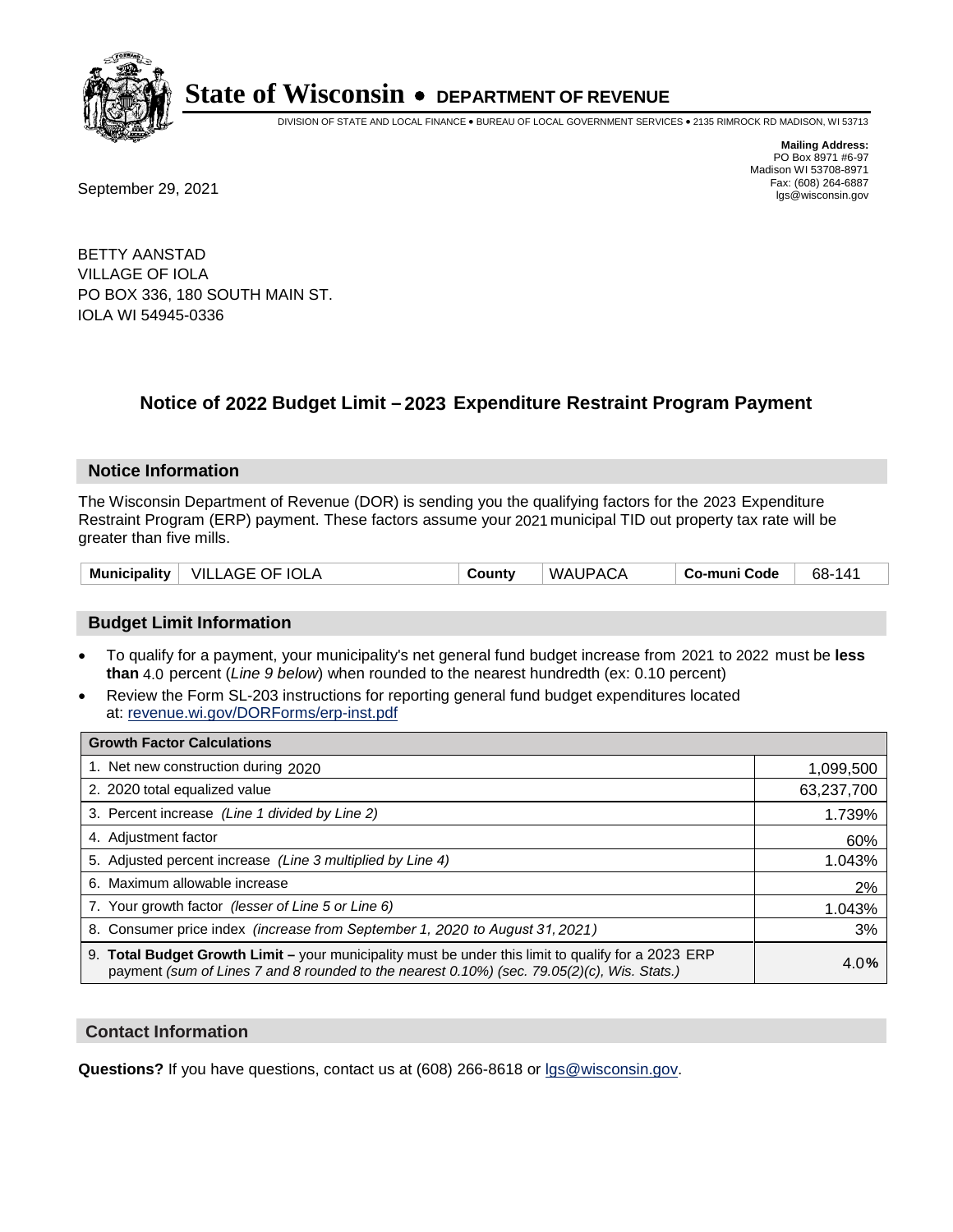

DIVISION OF STATE AND LOCAL FINANCE • BUREAU OF LOCAL GOVERNMENT SERVICES • 2135 RIMROCK RD MADISON, WI 53713

**Mailing Address:** PO Box 8971 #6-97 Madison WI 53708-8971<br>Fax: (608) 264-6887

Fax: (608) 264-6887<br>
September 29, 2021 and the state of the state of the state of the state of the state of the state of the state of the state of the state of the state of the state of the state of the state of the state

BETTY AANSTAD VILLAGE OF IOLA PO BOX 336, 180 SOUTH MAIN ST. IOLA WI 54945-0336

### **Notice of 2022 Budget Limit - 2023 Expenditure Restraint Program Payment**

#### **Notice Information**

The Wisconsin Department of Revenue (DOR) is sending you the qualifying factors for the 2023 Expenditure Restraint Program (ERP) payment. These factors assume your 2021 municipal TID out property tax rate will be greater than five mills.

| Municipality $\vert$ | ⊓ VILLAGE OF IOLA | County | WAUPACA | Co-muni Code | 68-141 |
|----------------------|-------------------|--------|---------|--------------|--------|
|----------------------|-------------------|--------|---------|--------------|--------|

#### **Budget Limit Information**

- To qualify for a payment, your municipality's net general fund budget increase from 2021 to 2022 must be less **than** 4.0 percent (*Line 9 below*) when rounded to the nearest hundredth (ex: 0.10 percent)
- Review the Form SL-203 instructions for reporting general fund budget expenditures located at: revenue.wi.gov/DORForms/erp-inst.pdf

| <b>Growth Factor Calculations</b>                                                                                                                                                                      |            |
|--------------------------------------------------------------------------------------------------------------------------------------------------------------------------------------------------------|------------|
| 1. Net new construction during 2020                                                                                                                                                                    | 1,099,500  |
| 2. 2020 total equalized value                                                                                                                                                                          | 63,237,700 |
| 3. Percent increase (Line 1 divided by Line 2)                                                                                                                                                         | 1.739%     |
| 4. Adjustment factor                                                                                                                                                                                   | 60%        |
| 5. Adjusted percent increase (Line 3 multiplied by Line 4)                                                                                                                                             | 1.043%     |
| 6. Maximum allowable increase                                                                                                                                                                          | 2%         |
| 7. Your growth factor (lesser of Line 5 or Line 6)                                                                                                                                                     | 1.043%     |
| 8. Consumer price index (increase from September 1, 2020 to August 31, 2021)                                                                                                                           | 3%         |
| 9. Total Budget Growth Limit - your municipality must be under this limit to qualify for a 2023 ERP<br>payment (sum of Lines 7 and 8 rounded to the nearest $0.10\%$ ) (sec. 79.05(2)(c), Wis. Stats.) | 4.0%       |

#### **Contact Information**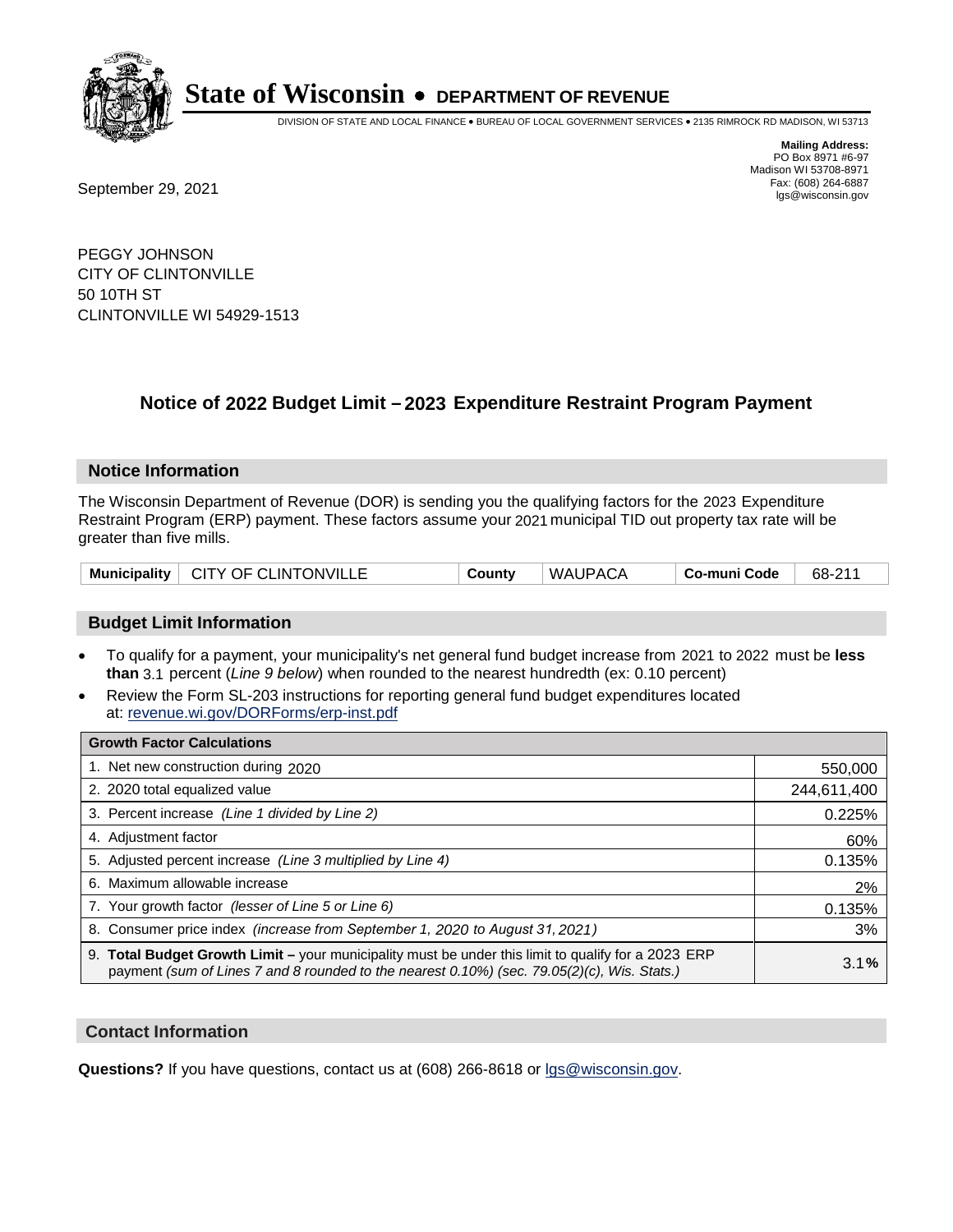

DIVISION OF STATE AND LOCAL FINANCE • BUREAU OF LOCAL GOVERNMENT SERVICES • 2135 RIMROCK RD MADISON, WI 53713

Fax: (608) 264-6887<br>
September 29, 2021 and the state of the state of the state of the state of the state of the state of the state of the state of the state of the state of the state of the state of the state of the state

**Mailing Address:** PO Box 8971 #6-97 Madison WI 53708-8971<br>Fax: (608) 264-6887

PEGGY JOHNSON CITY OF CLINTONVILLE 50 10TH ST CLINTONVILLE WI 54929-1513

### **Notice of 2022 Budget Limit - 2023 Expenditure Restraint Program Payment**

#### **Notice Information**

The Wisconsin Department of Revenue (DOR) is sending you the qualifying factors for the 2023 Expenditure Restraint Program (ERP) payment. These factors assume your 2021 municipal TID out property tax rate will be greater than five mills.

#### **Budget Limit Information**

- To qualify for a payment, your municipality's net general fund budget increase from 2021 to 2022 must be less **than** 3.1 percent (*Line 9 below*) when rounded to the nearest hundredth (ex: 0.10 percent)
- Review the Form SL-203 instructions for reporting general fund budget expenditures located at: revenue.wi.gov/DORForms/erp-inst.pdf

| <b>Growth Factor Calculations</b>                                                                                                                                                                  |             |
|----------------------------------------------------------------------------------------------------------------------------------------------------------------------------------------------------|-------------|
| 1. Net new construction during 2020                                                                                                                                                                | 550,000     |
| 2. 2020 total equalized value                                                                                                                                                                      | 244,611,400 |
| 3. Percent increase (Line 1 divided by Line 2)                                                                                                                                                     | 0.225%      |
| 4. Adjustment factor                                                                                                                                                                               | 60%         |
| 5. Adjusted percent increase (Line 3 multiplied by Line 4)                                                                                                                                         | 0.135%      |
| 6. Maximum allowable increase                                                                                                                                                                      | 2%          |
| 7. Your growth factor (lesser of Line 5 or Line 6)                                                                                                                                                 | 0.135%      |
| 8. Consumer price index (increase from September 1, 2020 to August 31, 2021)                                                                                                                       | 3%          |
| 9. Total Budget Growth Limit – your municipality must be under this limit to qualify for a 2023 ERP<br>payment (sum of Lines 7 and 8 rounded to the nearest 0.10%) (sec. 79.05(2)(c), Wis. Stats.) | 3.1%        |

#### **Contact Information**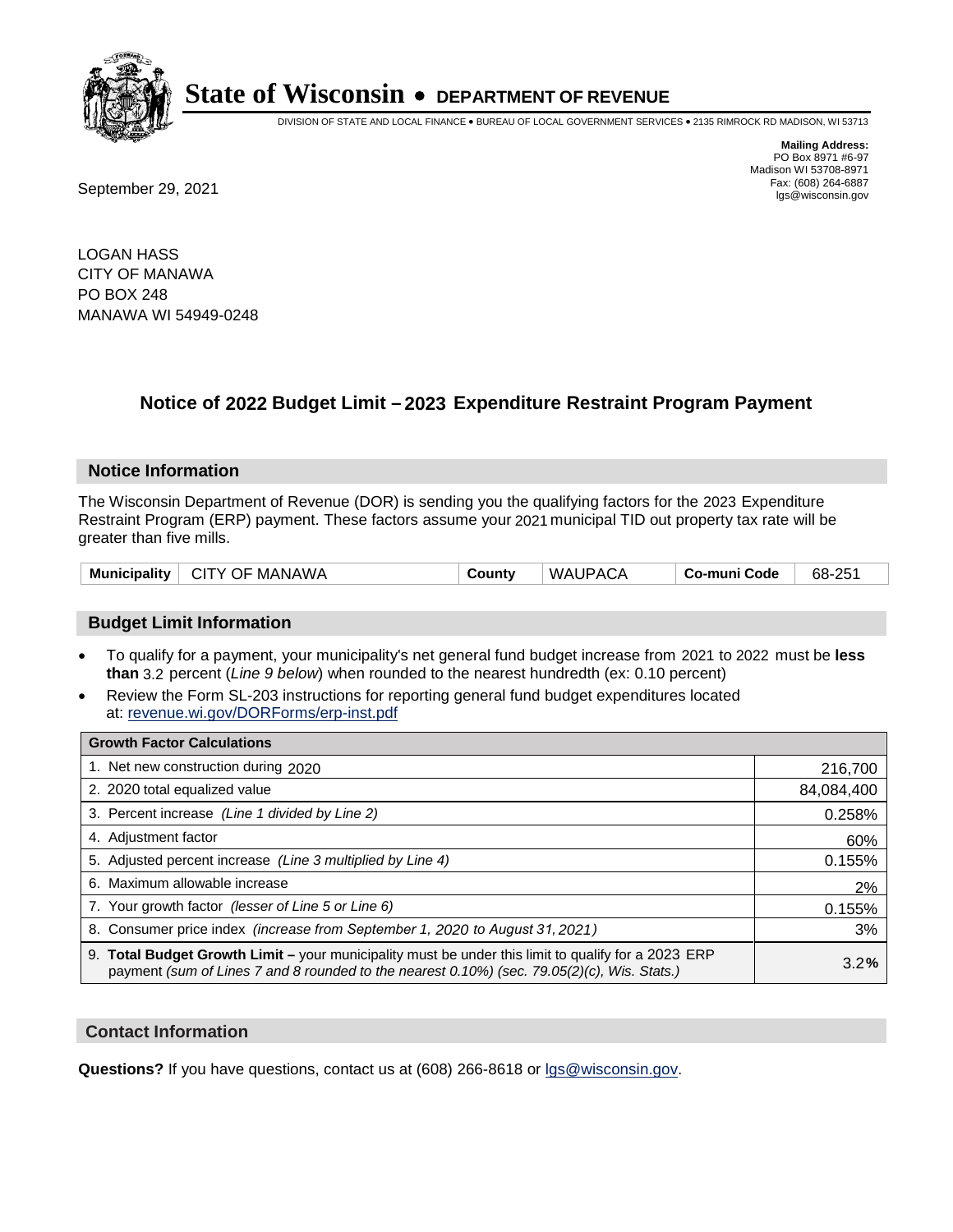

DIVISION OF STATE AND LOCAL FINANCE • BUREAU OF LOCAL GOVERNMENT SERVICES • 2135 RIMROCK RD MADISON, WI 53713

**Mailing Address:** PO Box 8971 #6-97 Madison WI 53708-8971<br>Fax: (608) 264-6887

Fax: (608) 264-6887<br>
September 29, 2021 and the state of the state of the state of the state of the state of the state of the state of the state of the state of the state of the state of the state of the state of the state

LOGAN HASS CITY OF MANAWA PO BOX 248 MANAWA WI 54949-0248

## **Notice of 2022 Budget Limit - 2023 Expenditure Restraint Program Payment**

#### **Notice Information**

The Wisconsin Department of Revenue (DOR) is sending you the qualifying factors for the 2023 Expenditure Restraint Program (ERP) payment. These factors assume your 2021 municipal TID out property tax rate will be greater than five mills.

| CITY OF MANAWA<br>Municipality | County | <b>WAUPACA</b> | . Co-muni Code | 68-251 |
|--------------------------------|--------|----------------|----------------|--------|
|--------------------------------|--------|----------------|----------------|--------|

#### **Budget Limit Information**

- To qualify for a payment, your municipality's net general fund budget increase from 2021 to 2022 must be less **than** 3.2 percent (*Line 9 below*) when rounded to the nearest hundredth (ex: 0.10 percent)
- Review the Form SL-203 instructions for reporting general fund budget expenditures located at: revenue.wi.gov/DORForms/erp-inst.pdf

| <b>Growth Factor Calculations</b>                                                                                                                                                                  |            |
|----------------------------------------------------------------------------------------------------------------------------------------------------------------------------------------------------|------------|
| 1. Net new construction during 2020                                                                                                                                                                | 216,700    |
| 2. 2020 total equalized value                                                                                                                                                                      | 84,084,400 |
| 3. Percent increase (Line 1 divided by Line 2)                                                                                                                                                     | 0.258%     |
| 4. Adjustment factor                                                                                                                                                                               | 60%        |
| 5. Adjusted percent increase (Line 3 multiplied by Line 4)                                                                                                                                         | 0.155%     |
| 6. Maximum allowable increase                                                                                                                                                                      | 2%         |
| 7. Your growth factor (lesser of Line 5 or Line 6)                                                                                                                                                 | 0.155%     |
| 8. Consumer price index (increase from September 1, 2020 to August 31, 2021)                                                                                                                       | 3%         |
| 9. Total Budget Growth Limit – your municipality must be under this limit to qualify for a 2023 ERP<br>payment (sum of Lines 7 and 8 rounded to the nearest 0.10%) (sec. 79.05(2)(c), Wis. Stats.) | 3.2%       |

#### **Contact Information**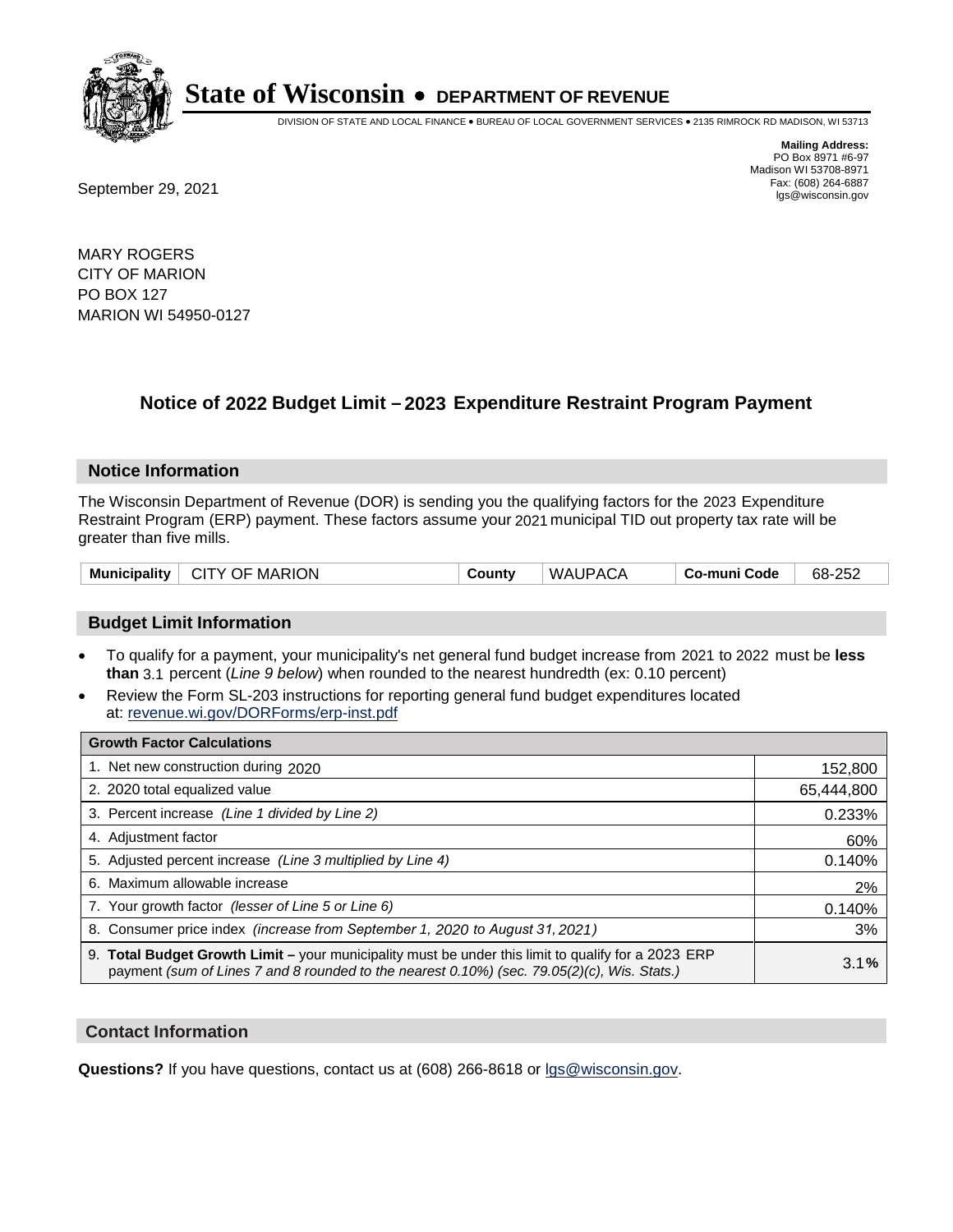

DIVISION OF STATE AND LOCAL FINANCE • BUREAU OF LOCAL GOVERNMENT SERVICES • 2135 RIMROCK RD MADISON, WI 53713

**Mailing Address:** PO Box 8971 #6-97 Madison WI 53708-8971<br>Fax: (608) 264-6887

Fax: (608) 264-6887<br>
September 29, 2021 and the state of the state of the state of the state of the state of the state of the state of the state of the state of the state of the state of the state of the state of the state

MARY ROGERS CITY OF MARION PO BOX 127 MARION WI 54950-0127

## **Notice of 2022 Budget Limit - 2023 Expenditure Restraint Program Payment**

#### **Notice Information**

The Wisconsin Department of Revenue (DOR) is sending you the qualifying factors for the 2023 Expenditure Restraint Program (ERP) payment. These factors assume your 2021 municipal TID out property tax rate will be greater than five mills.

| $\vdash$ CITY OF MARION<br><b>Municipality</b> | County | WAUPACA | Co-muni Code | 68-252 |
|------------------------------------------------|--------|---------|--------------|--------|
|------------------------------------------------|--------|---------|--------------|--------|

#### **Budget Limit Information**

- To qualify for a payment, your municipality's net general fund budget increase from 2021 to 2022 must be less **than** 3.1 percent (*Line 9 below*) when rounded to the nearest hundredth (ex: 0.10 percent)
- Review the Form SL-203 instructions for reporting general fund budget expenditures located at: revenue.wi.gov/DORForms/erp-inst.pdf

| <b>Growth Factor Calculations</b>                                                                                                                                                                  |            |
|----------------------------------------------------------------------------------------------------------------------------------------------------------------------------------------------------|------------|
| 1. Net new construction during 2020                                                                                                                                                                | 152,800    |
| 2. 2020 total equalized value                                                                                                                                                                      | 65,444,800 |
| 3. Percent increase (Line 1 divided by Line 2)                                                                                                                                                     | 0.233%     |
| 4. Adjustment factor                                                                                                                                                                               | 60%        |
| 5. Adjusted percent increase (Line 3 multiplied by Line 4)                                                                                                                                         | 0.140%     |
| 6. Maximum allowable increase                                                                                                                                                                      | 2%         |
| 7. Your growth factor (lesser of Line 5 or Line 6)                                                                                                                                                 | 0.140%     |
| 8. Consumer price index (increase from September 1, 2020 to August 31, 2021)                                                                                                                       | 3%         |
| 9. Total Budget Growth Limit - your municipality must be under this limit to qualify for a 2023 ERP<br>payment (sum of Lines 7 and 8 rounded to the nearest 0.10%) (sec. 79.05(2)(c), Wis. Stats.) | 3.1%       |

#### **Contact Information**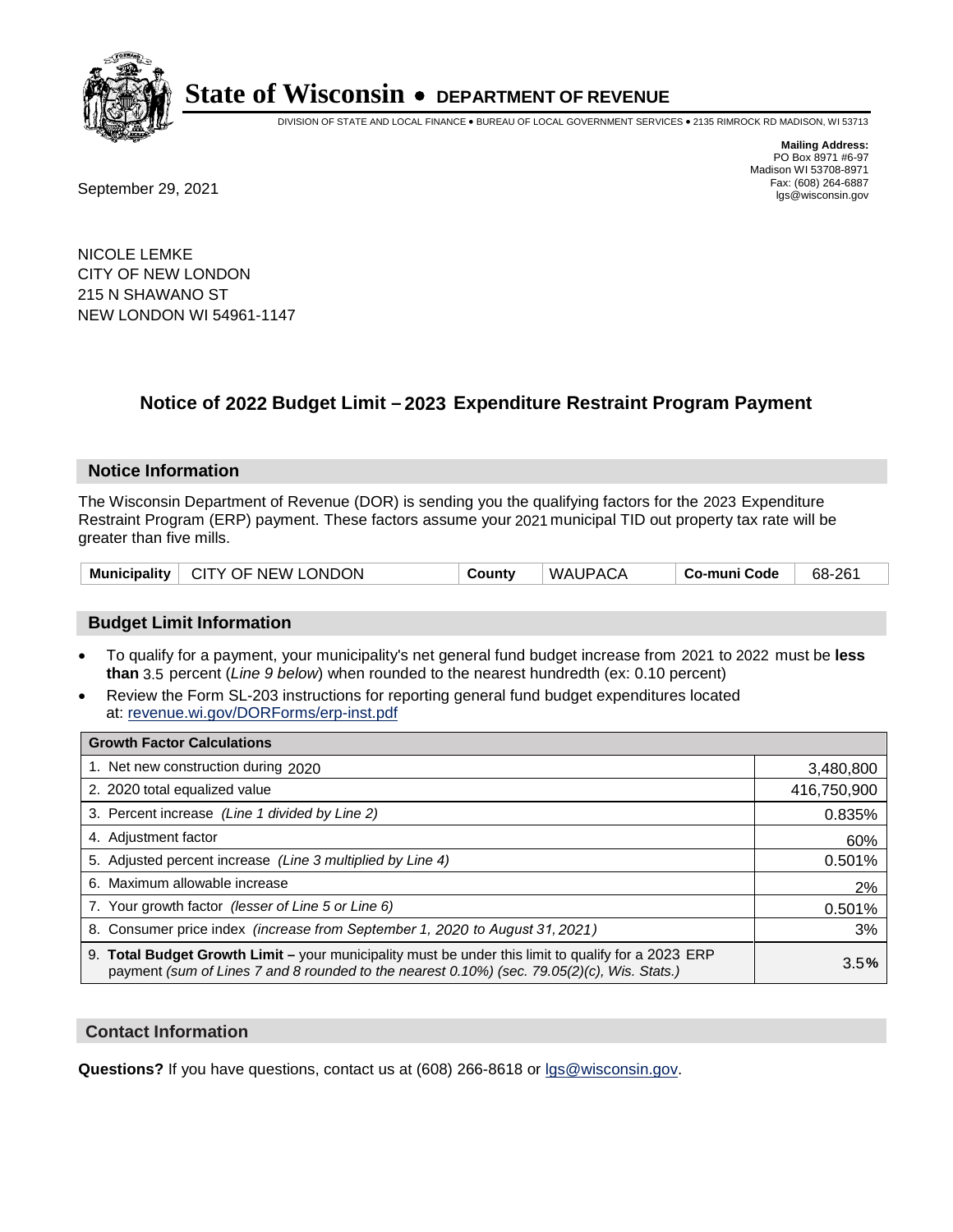

DIVISION OF STATE AND LOCAL FINANCE • BUREAU OF LOCAL GOVERNMENT SERVICES • 2135 RIMROCK RD MADISON, WI 53713

**Mailing Address:** PO Box 8971 #6-97 Madison WI 53708-8971<br>Fax: (608) 264-6887

Fax: (608) 264-6887<br>
September 29, 2021 and the state of the state of the state of the state of the state of the state of the state of the state of the state of the state of the state of the state of the state of the state

NICOLE LEMKE CITY OF NEW LONDON 215 N SHAWANO ST NEW LONDON WI 54961-1147

## **Notice of 2022 Budget Limit - 2023 Expenditure Restraint Program Payment**

#### **Notice Information**

The Wisconsin Department of Revenue (DOR) is sending you the qualifying factors for the 2023 Expenditure Restraint Program (ERP) payment. These factors assume your 2021 municipal TID out property tax rate will be greater than five mills.

| <b>Municipality</b> | $\vdash$ CITY OF NEW LONDON | County | WAUPACA | Co-muni Code | 68-261 |
|---------------------|-----------------------------|--------|---------|--------------|--------|
|---------------------|-----------------------------|--------|---------|--------------|--------|

#### **Budget Limit Information**

- To qualify for a payment, your municipality's net general fund budget increase from 2021 to 2022 must be less **than** 3.5 percent (*Line 9 below*) when rounded to the nearest hundredth (ex: 0.10 percent)
- Review the Form SL-203 instructions for reporting general fund budget expenditures located at: revenue.wi.gov/DORForms/erp-inst.pdf

| <b>Growth Factor Calculations</b>                                                                                                                                                                  |             |
|----------------------------------------------------------------------------------------------------------------------------------------------------------------------------------------------------|-------------|
| 1. Net new construction during 2020                                                                                                                                                                | 3,480,800   |
| 2. 2020 total equalized value                                                                                                                                                                      | 416,750,900 |
| 3. Percent increase (Line 1 divided by Line 2)                                                                                                                                                     | 0.835%      |
| 4. Adjustment factor                                                                                                                                                                               | 60%         |
| 5. Adjusted percent increase (Line 3 multiplied by Line 4)                                                                                                                                         | 0.501%      |
| 6. Maximum allowable increase                                                                                                                                                                      | 2%          |
| 7. Your growth factor (lesser of Line 5 or Line 6)                                                                                                                                                 | 0.501%      |
| 8. Consumer price index (increase from September 1, 2020 to August 31, 2021)                                                                                                                       | 3%          |
| 9. Total Budget Growth Limit - your municipality must be under this limit to qualify for a 2023 ERP<br>payment (sum of Lines 7 and 8 rounded to the nearest 0.10%) (sec. 79.05(2)(c), Wis. Stats.) | 3.5%        |

#### **Contact Information**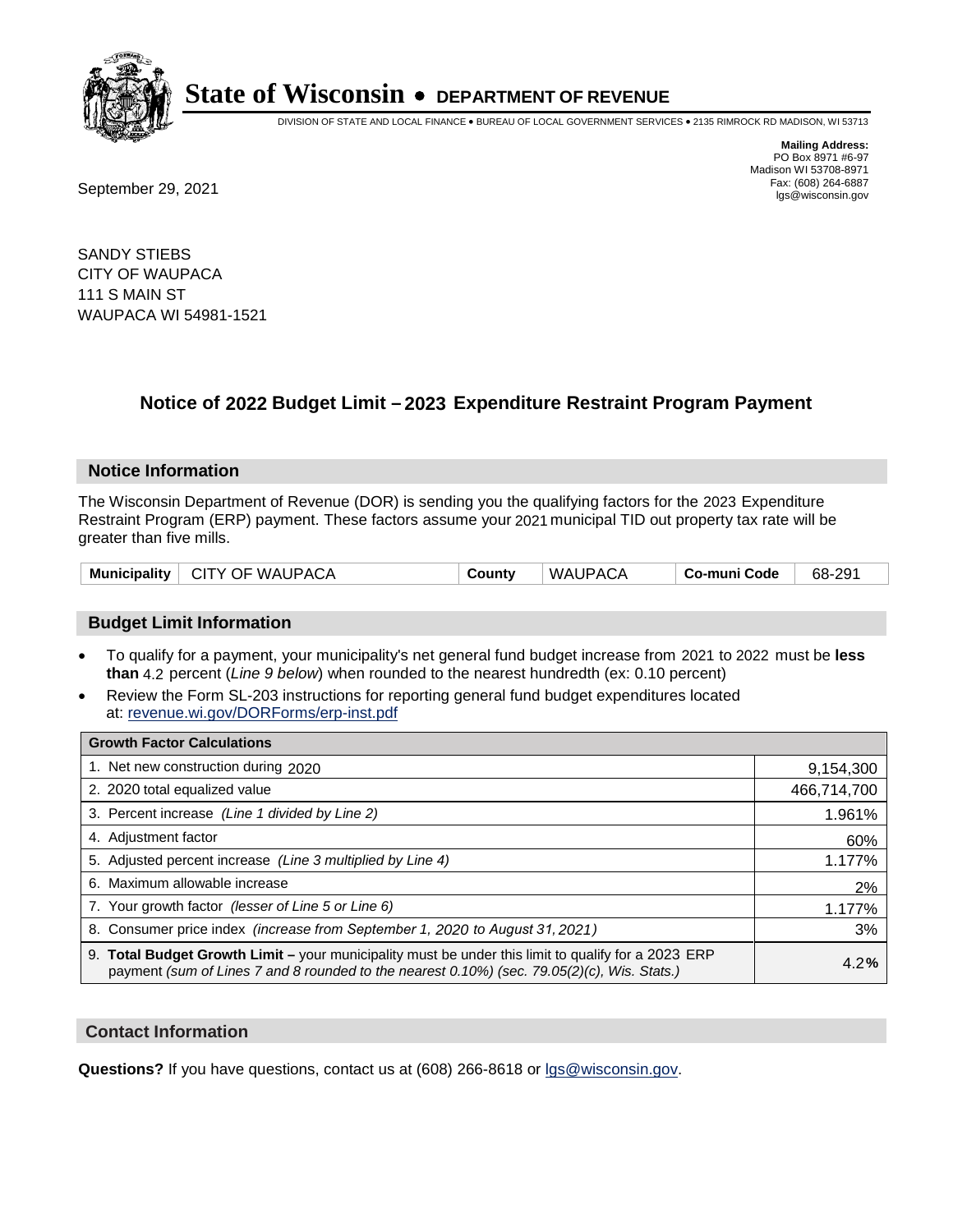

DIVISION OF STATE AND LOCAL FINANCE • BUREAU OF LOCAL GOVERNMENT SERVICES • 2135 RIMROCK RD MADISON, WI 53713

**Mailing Address:** PO Box 8971 #6-97 Madison WI 53708-8971<br>Fax: (608) 264-6887

Fax: (608) 264-6887<br>
September 29, 2021 and the state of the state of the state of the state of the state of the state of the state of the state of the state of the state of the state of the state of the state of the state

SANDY STIEBS CITY OF WAUPACA 111 S MAIN ST WAUPACA WI 54981-1521

### **Notice of 2022 Budget Limit - 2023 Expenditure Restraint Program Payment**

#### **Notice Information**

The Wisconsin Department of Revenue (DOR) is sending you the qualifying factors for the 2023 Expenditure Restraint Program (ERP) payment. These factors assume your 2021 municipal TID out property tax rate will be greater than five mills.

| Municipality   CITY OF WAUPACA | County | WAUPACA | . Co-muni Code | 68-291 |
|--------------------------------|--------|---------|----------------|--------|
|--------------------------------|--------|---------|----------------|--------|

#### **Budget Limit Information**

- To qualify for a payment, your municipality's net general fund budget increase from 2021 to 2022 must be less **than** 4.2 percent (*Line 9 below*) when rounded to the nearest hundredth (ex: 0.10 percent)
- Review the Form SL-203 instructions for reporting general fund budget expenditures located at: revenue.wi.gov/DORForms/erp-inst.pdf

| <b>Growth Factor Calculations</b>                                                                                                                                                                  |             |
|----------------------------------------------------------------------------------------------------------------------------------------------------------------------------------------------------|-------------|
| 1. Net new construction during 2020                                                                                                                                                                | 9,154,300   |
| 2. 2020 total equalized value                                                                                                                                                                      | 466,714,700 |
| 3. Percent increase (Line 1 divided by Line 2)                                                                                                                                                     | 1.961%      |
| 4. Adjustment factor                                                                                                                                                                               | 60%         |
| 5. Adjusted percent increase (Line 3 multiplied by Line 4)                                                                                                                                         | 1.177%      |
| 6. Maximum allowable increase                                                                                                                                                                      | 2%          |
| 7. Your growth factor (lesser of Line 5 or Line 6)                                                                                                                                                 | 1.177%      |
| 8. Consumer price index (increase from September 1, 2020 to August 31, 2021)                                                                                                                       | 3%          |
| 9. Total Budget Growth Limit - your municipality must be under this limit to qualify for a 2023 ERP<br>payment (sum of Lines 7 and 8 rounded to the nearest 0.10%) (sec. 79.05(2)(c), Wis. Stats.) | 4.2%        |

#### **Contact Information**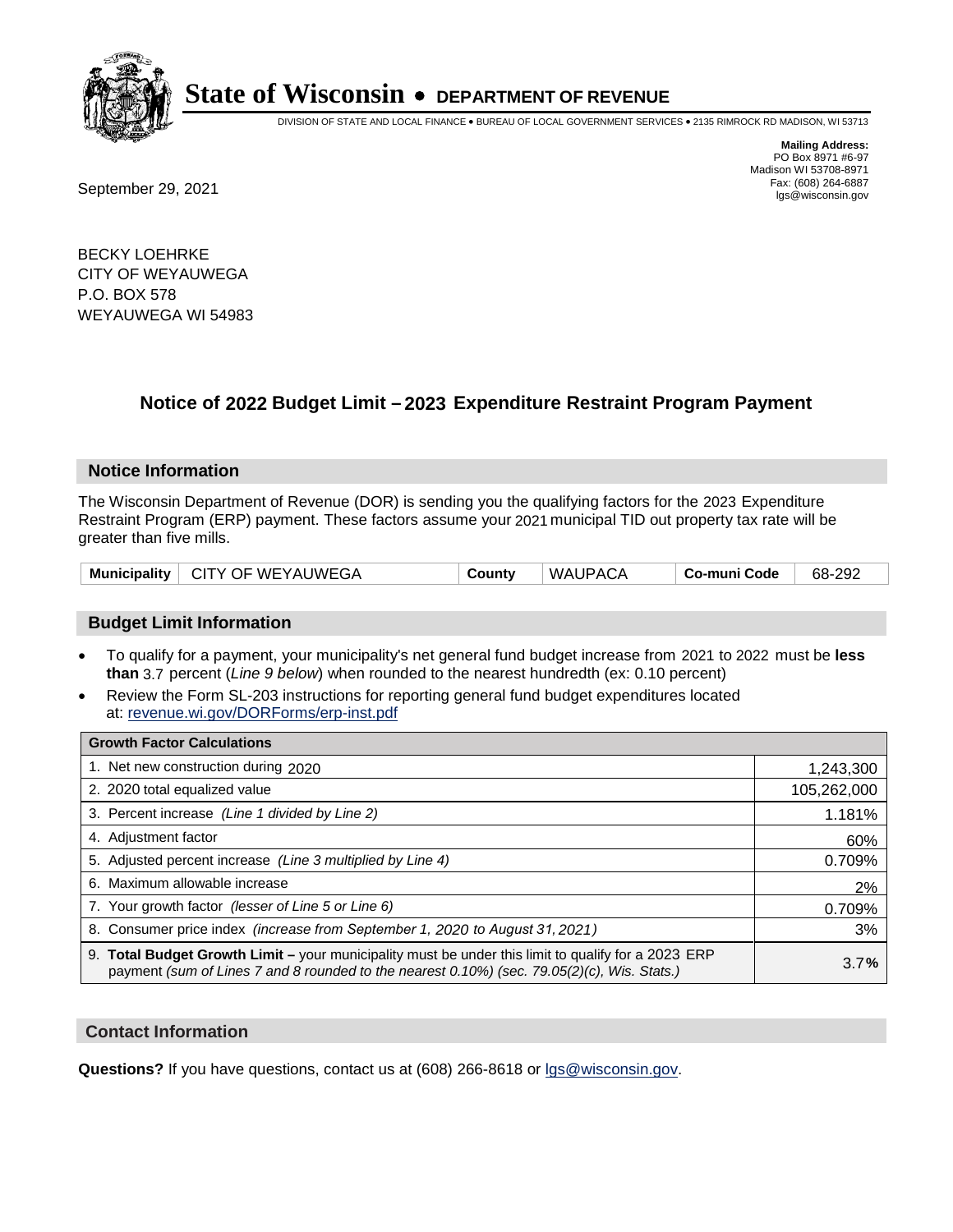

DIVISION OF STATE AND LOCAL FINANCE • BUREAU OF LOCAL GOVERNMENT SERVICES • 2135 RIMROCK RD MADISON, WI 53713

Fax: (608) 264-6887<br>
September 29, 2021 and the state of the state of the state of the state of the state of the state of the state of the state of the state of the state of the state of the state of the state of the state

**Mailing Address:** PO Box 8971 #6-97 Madison WI 53708-8971<br>Fax: (608) 264-6887

BECKY LOEHRKE CITY OF WEYAUWEGA P.O. BOX 578 WEYAUWEGA WI 54983

### **Notice of 2022 Budget Limit - 2023 Expenditure Restraint Program Payment**

#### **Notice Information**

The Wisconsin Department of Revenue (DOR) is sending you the qualifying factors for the 2023 Expenditure Restraint Program (ERP) payment. These factors assume your 2021 municipal TID out property tax rate will be greater than five mills.

|  | Municipality   CITY OF WEYAUWEGA | County | <b>WAUPACA</b> | Co-muni Code | 68-292 |
|--|----------------------------------|--------|----------------|--------------|--------|
|--|----------------------------------|--------|----------------|--------------|--------|

#### **Budget Limit Information**

- To qualify for a payment, your municipality's net general fund budget increase from 2021 to 2022 must be less **than** 3.7 percent (*Line 9 below*) when rounded to the nearest hundredth (ex: 0.10 percent)
- Review the Form SL-203 instructions for reporting general fund budget expenditures located at: revenue.wi.gov/DORForms/erp-inst.pdf

| <b>Growth Factor Calculations</b>                                                                                                                                                                  |             |
|----------------------------------------------------------------------------------------------------------------------------------------------------------------------------------------------------|-------------|
| 1. Net new construction during 2020                                                                                                                                                                | 1,243,300   |
| 2. 2020 total equalized value                                                                                                                                                                      | 105,262,000 |
| 3. Percent increase (Line 1 divided by Line 2)                                                                                                                                                     | 1.181%      |
| 4. Adjustment factor                                                                                                                                                                               | 60%         |
| 5. Adjusted percent increase (Line 3 multiplied by Line 4)                                                                                                                                         | 0.709%      |
| 6. Maximum allowable increase                                                                                                                                                                      | 2%          |
| 7. Your growth factor (lesser of Line 5 or Line 6)                                                                                                                                                 | 0.709%      |
| 8. Consumer price index (increase from September 1, 2020 to August 31, 2021)                                                                                                                       | 3%          |
| 9. Total Budget Growth Limit - your municipality must be under this limit to qualify for a 2023 ERP<br>payment (sum of Lines 7 and 8 rounded to the nearest 0.10%) (sec. 79.05(2)(c), Wis. Stats.) | 3.7%        |

#### **Contact Information**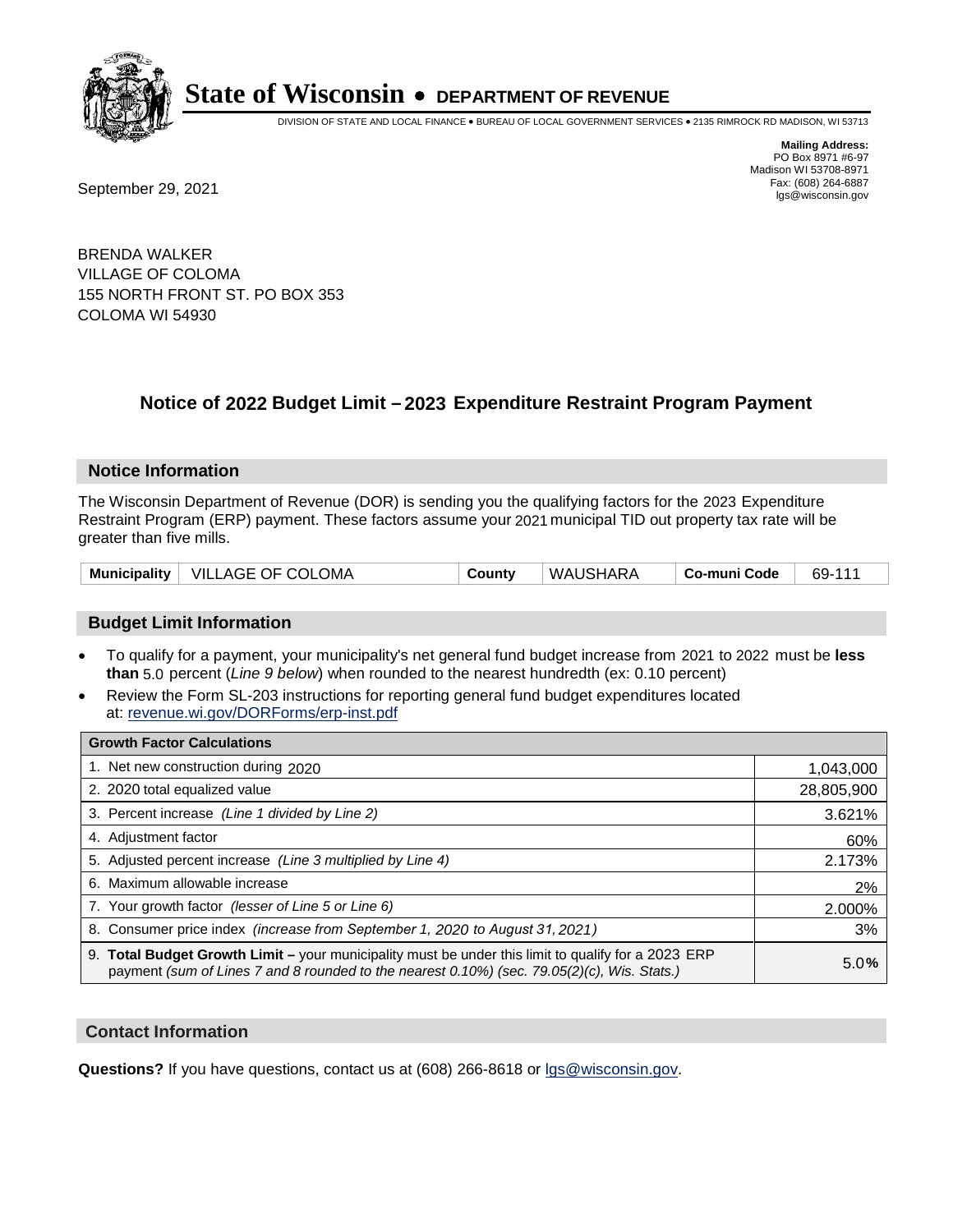

DIVISION OF STATE AND LOCAL FINANCE • BUREAU OF LOCAL GOVERNMENT SERVICES • 2135 RIMROCK RD MADISON, WI 53713

**Mailing Address:** PO Box 8971 #6-97 Madison WI 53708-8971<br>Fax: (608) 264-6887

Fax: (608) 264-6887<br>
September 29, 2021 and the state of the state of the state of the state of the state of the state of the state of the state of the state of the state of the state of the state of the state of the state

BRENDA WALKER VILLAGE OF COLOMA 155 NORTH FRONT ST. PO BOX 353 COLOMA WI 54930

### **Notice of 2022 Budget Limit - 2023 Expenditure Restraint Program Payment**

#### **Notice Information**

The Wisconsin Department of Revenue (DOR) is sending you the qualifying factors for the 2023 Expenditure Restraint Program (ERP) payment. These factors assume your 2021 municipal TID out property tax rate will be greater than five mills.

| Municipality   VILLAGE OF COLOMA | County | WAUSHARA | Co-muni Code | 69-111 |
|----------------------------------|--------|----------|--------------|--------|
|----------------------------------|--------|----------|--------------|--------|

#### **Budget Limit Information**

- To qualify for a payment, your municipality's net general fund budget increase from 2021 to 2022 must be less **than** 5.0 percent (*Line 9 below*) when rounded to the nearest hundredth (ex: 0.10 percent)
- Review the Form SL-203 instructions for reporting general fund budget expenditures located at: revenue.wi.gov/DORForms/erp-inst.pdf

| <b>Growth Factor Calculations</b>                                                                                                                                                                      |            |
|--------------------------------------------------------------------------------------------------------------------------------------------------------------------------------------------------------|------------|
| 1. Net new construction during 2020                                                                                                                                                                    | 1,043,000  |
| 2. 2020 total equalized value                                                                                                                                                                          | 28,805,900 |
| 3. Percent increase (Line 1 divided by Line 2)                                                                                                                                                         | 3.621%     |
| 4. Adjustment factor                                                                                                                                                                                   | 60%        |
| 5. Adjusted percent increase (Line 3 multiplied by Line 4)                                                                                                                                             | 2.173%     |
| 6. Maximum allowable increase                                                                                                                                                                          | 2%         |
| 7. Your growth factor (lesser of Line 5 or Line 6)                                                                                                                                                     | 2.000%     |
| 8. Consumer price index (increase from September 1, 2020 to August 31, 2021)                                                                                                                           | 3%         |
| 9. Total Budget Growth Limit - your municipality must be under this limit to qualify for a 2023 ERP<br>payment (sum of Lines 7 and 8 rounded to the nearest $0.10\%$ ) (sec. 79.05(2)(c), Wis. Stats.) | 5.0%       |

#### **Contact Information**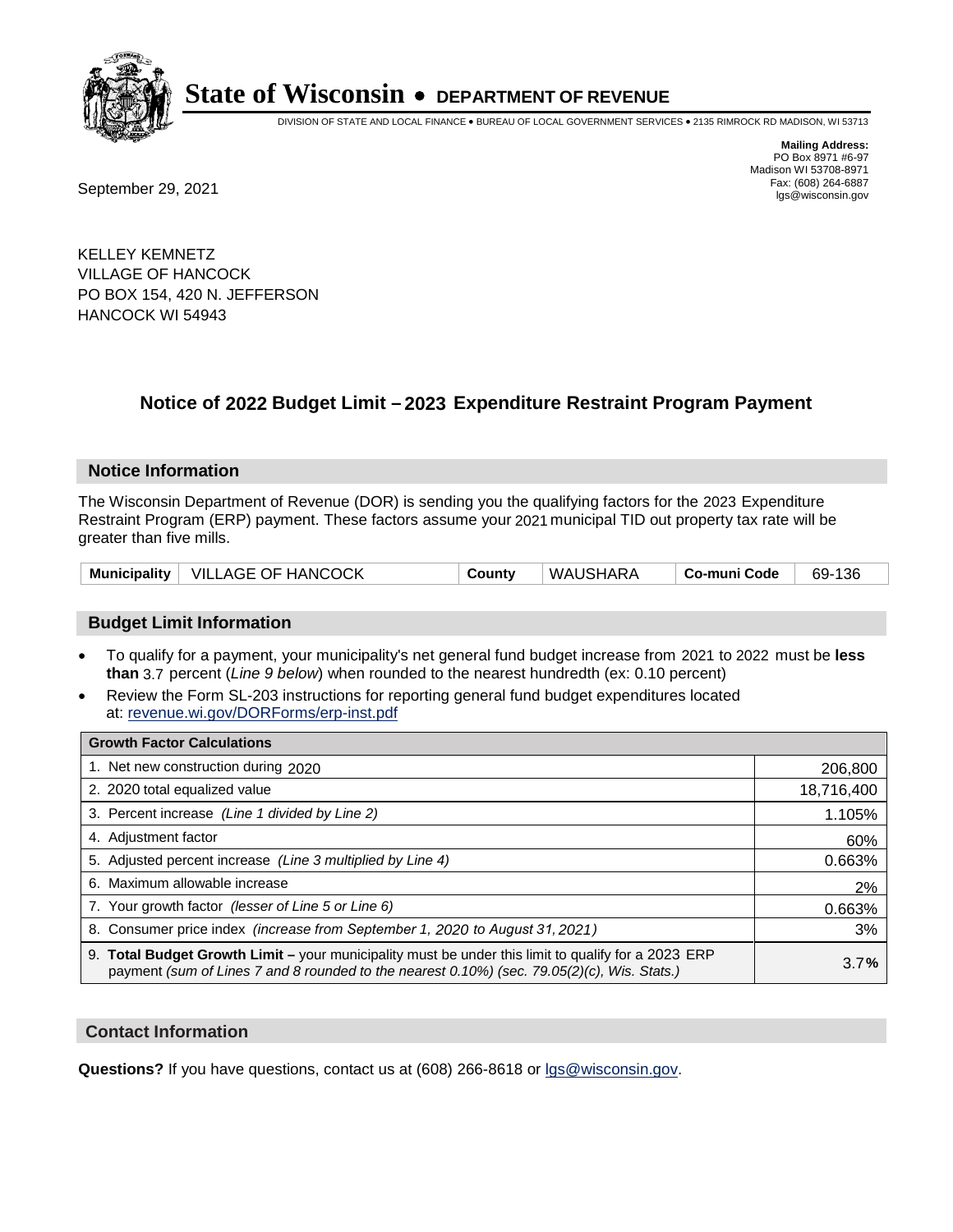

DIVISION OF STATE AND LOCAL FINANCE • BUREAU OF LOCAL GOVERNMENT SERVICES • 2135 RIMROCK RD MADISON, WI 53713

**Mailing Address:** PO Box 8971 #6-97 Madison WI 53708-8971<br>Fax: (608) 264-6887

Fax: (608) 264-6887<br>
September 29, 2021 and the state of the state of the state of the state of the state of the state of the state of the state of the state of the state of the state of the state of the state of the state

KELLEY KEMNETZ VILLAGE OF HANCOCK PO BOX 154, 420 N. JEFFERSON HANCOCK WI 54943

## **Notice of 2022 Budget Limit - 2023 Expenditure Restraint Program Payment**

## **Notice Information**

The Wisconsin Department of Revenue (DOR) is sending you the qualifying factors for the 2023 Expenditure Restraint Program (ERP) payment. These factors assume your 2021 municipal TID out property tax rate will be greater than five mills.

| Municipality   VILLAGE OF HANCOCK | County | WAUSHARA | ∣ Co-muni Code | 69-136 |
|-----------------------------------|--------|----------|----------------|--------|
|-----------------------------------|--------|----------|----------------|--------|

## **Budget Limit Information**

- To qualify for a payment, your municipality's net general fund budget increase from 2021 to 2022 must be less **than** 3.7 percent (*Line 9 below*) when rounded to the nearest hundredth (ex: 0.10 percent)
- Review the Form SL-203 instructions for reporting general fund budget expenditures located at: revenue.wi.gov/DORForms/erp-inst.pdf

| <b>Growth Factor Calculations</b>                                                                                                                                                                      |            |
|--------------------------------------------------------------------------------------------------------------------------------------------------------------------------------------------------------|------------|
| 1. Net new construction during 2020                                                                                                                                                                    | 206,800    |
| 2. 2020 total equalized value                                                                                                                                                                          | 18,716,400 |
| 3. Percent increase (Line 1 divided by Line 2)                                                                                                                                                         | 1.105%     |
| 4. Adjustment factor                                                                                                                                                                                   | 60%        |
| 5. Adjusted percent increase (Line 3 multiplied by Line 4)                                                                                                                                             | 0.663%     |
| 6. Maximum allowable increase                                                                                                                                                                          | 2%         |
| 7. Your growth factor (lesser of Line 5 or Line 6)                                                                                                                                                     | 0.663%     |
| 8. Consumer price index (increase from September 1, 2020 to August 31, 2021)                                                                                                                           | 3%         |
| 9. Total Budget Growth Limit - your municipality must be under this limit to qualify for a 2023 ERP<br>payment (sum of Lines 7 and 8 rounded to the nearest $0.10\%$ ) (sec. 79.05(2)(c), Wis. Stats.) | 3.7%       |

## **Contact Information**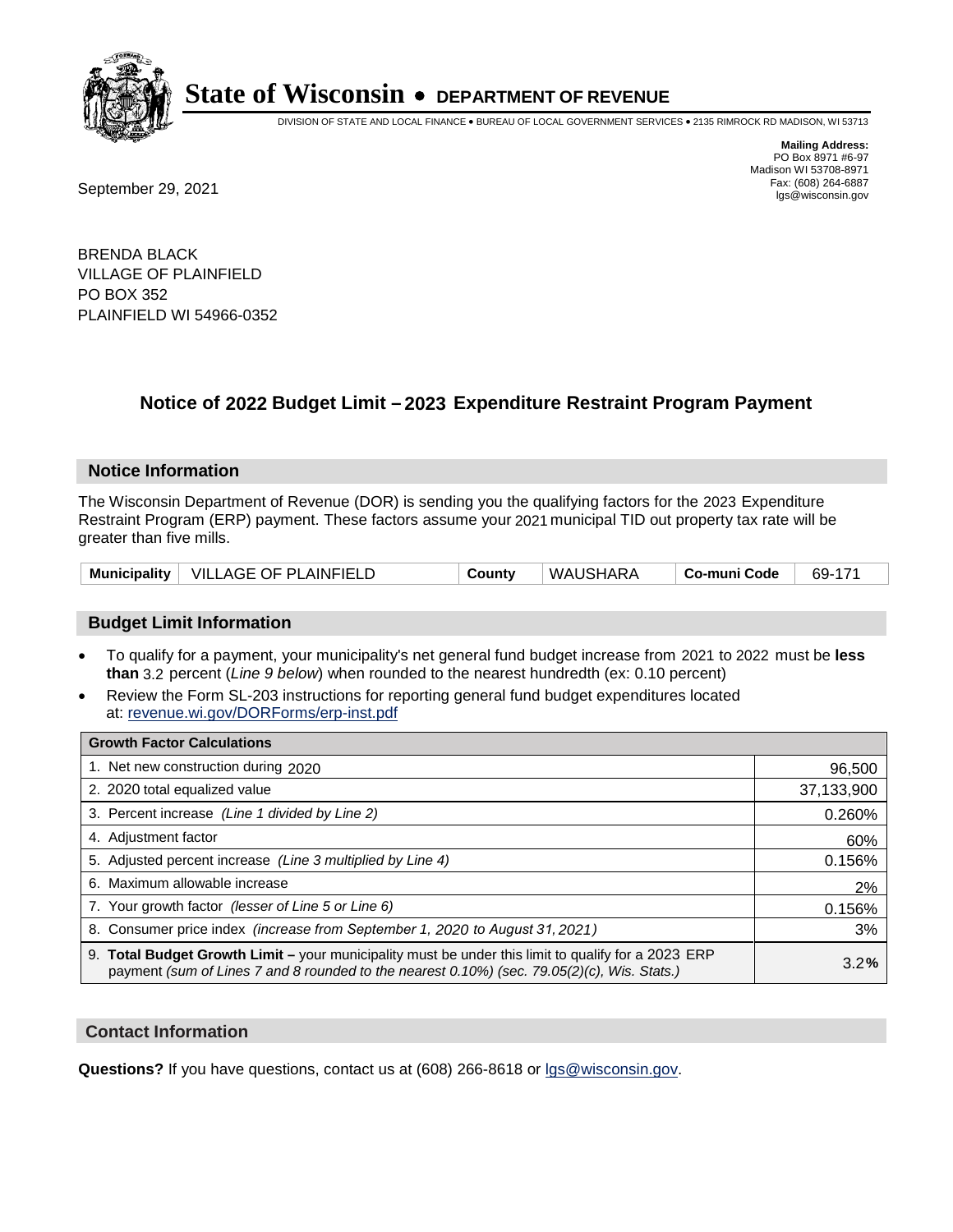

DIVISION OF STATE AND LOCAL FINANCE • BUREAU OF LOCAL GOVERNMENT SERVICES • 2135 RIMROCK RD MADISON, WI 53713

**Mailing Address:** PO Box 8971 #6-97 Madison WI 53708-8971<br>Fax: (608) 264-6887

Fax: (608) 264-6887<br>
September 29, 2021 and the state of the state of the state of the state of the state of the state of the state of the state of the state of the state of the state of the state of the state of the state

BRENDA BLACK VILLAGE OF PLAINFIELD PO BOX 352 PLAINFIELD WI 54966-0352

## **Notice of 2022 Budget Limit - 2023 Expenditure Restraint Program Payment**

## **Notice Information**

The Wisconsin Department of Revenue (DOR) is sending you the qualifying factors for the 2023 Expenditure Restraint Program (ERP) payment. These factors assume your 2021 municipal TID out property tax rate will be greater than five mills.

|  | Municipality   VILLAGE OF PLAINFIELD | County | WAUSHARA | Co-muni Code | 69-171 |
|--|--------------------------------------|--------|----------|--------------|--------|
|--|--------------------------------------|--------|----------|--------------|--------|

## **Budget Limit Information**

- To qualify for a payment, your municipality's net general fund budget increase from 2021 to 2022 must be less **than** 3.2 percent (*Line 9 below*) when rounded to the nearest hundredth (ex: 0.10 percent)
- Review the Form SL-203 instructions for reporting general fund budget expenditures located at: revenue.wi.gov/DORForms/erp-inst.pdf

| <b>Growth Factor Calculations</b>                                                                                                                                                                  |            |
|----------------------------------------------------------------------------------------------------------------------------------------------------------------------------------------------------|------------|
| 1. Net new construction during 2020                                                                                                                                                                | 96,500     |
| 2. 2020 total equalized value                                                                                                                                                                      | 37,133,900 |
| 3. Percent increase (Line 1 divided by Line 2)                                                                                                                                                     | 0.260%     |
| 4. Adjustment factor                                                                                                                                                                               | 60%        |
| 5. Adjusted percent increase (Line 3 multiplied by Line 4)                                                                                                                                         | 0.156%     |
| 6. Maximum allowable increase                                                                                                                                                                      | 2%         |
| 7. Your growth factor (lesser of Line 5 or Line 6)                                                                                                                                                 | 0.156%     |
| 8. Consumer price index (increase from September 1, 2020 to August 31, 2021)                                                                                                                       | 3%         |
| 9. Total Budget Growth Limit – your municipality must be under this limit to qualify for a 2023 ERP<br>payment (sum of Lines 7 and 8 rounded to the nearest 0.10%) (sec. 79.05(2)(c), Wis. Stats.) | 3.2%       |

## **Contact Information**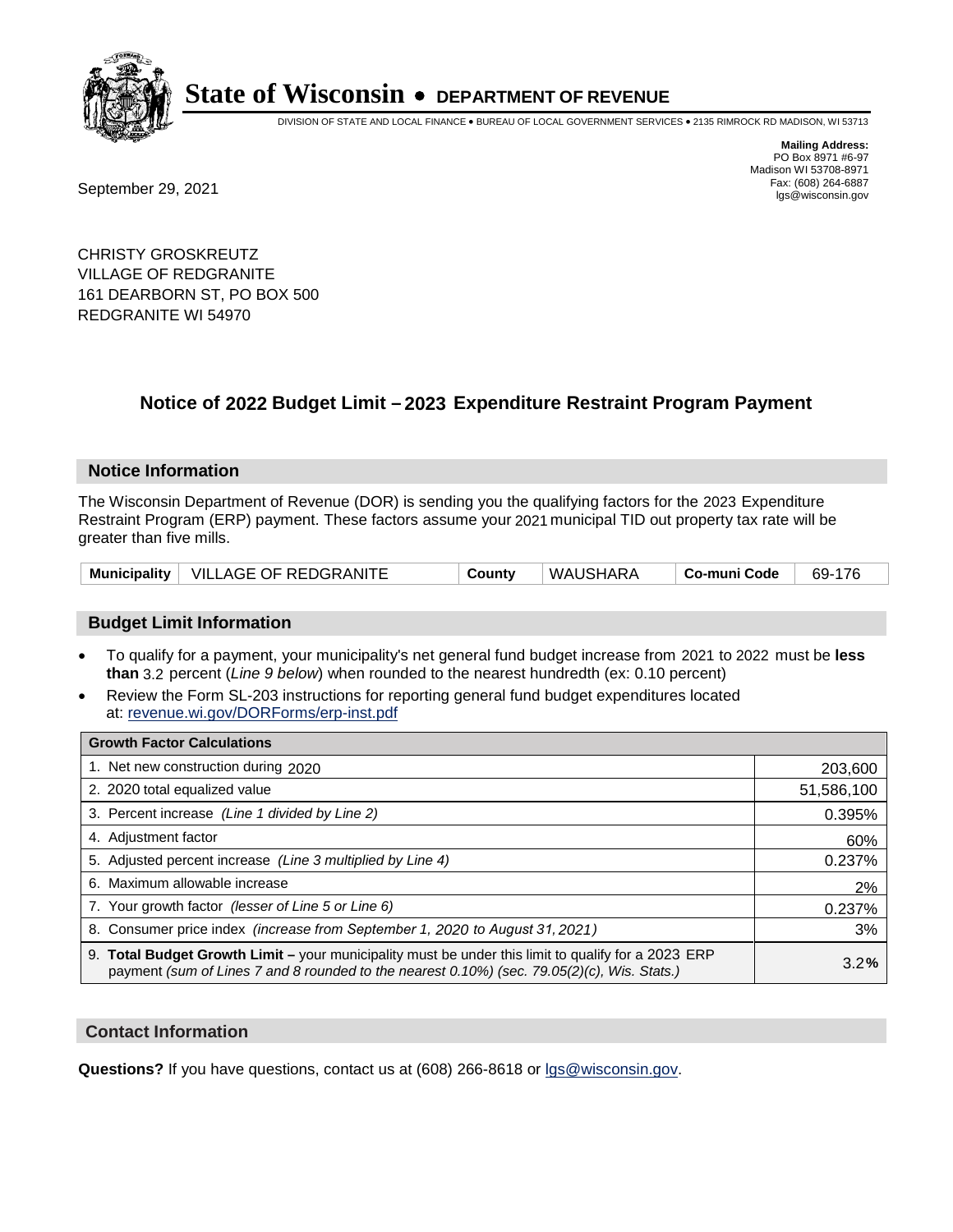

DIVISION OF STATE AND LOCAL FINANCE • BUREAU OF LOCAL GOVERNMENT SERVICES • 2135 RIMROCK RD MADISON, WI 53713

Fax: (608) 264-6887<br>
September 29, 2021 and the state of the state of the state of the state of the state of the state of the state of the state of the state of the state of the state of the state of the state of the state

**Mailing Address:** PO Box 8971 #6-97 Madison WI 53708-8971<br>Fax: (608) 264-6887

CHRISTY GROSKREUTZ VILLAGE OF REDGRANITE 161 DEARBORN ST, PO BOX 500 REDGRANITE WI 54970

## **Notice of 2022 Budget Limit - 2023 Expenditure Restraint Program Payment**

#### **Notice Information**

The Wisconsin Department of Revenue (DOR) is sending you the qualifying factors for the 2023 Expenditure Restraint Program (ERP) payment. These factors assume your 2021 municipal TID out property tax rate will be greater than five mills.

|  | Municipality   VILLAGE OF REDGRANITE | County | WAUSHARA | ˈ Co-muni Code | 69-176 |
|--|--------------------------------------|--------|----------|----------------|--------|
|--|--------------------------------------|--------|----------|----------------|--------|

## **Budget Limit Information**

- To qualify for a payment, your municipality's net general fund budget increase from 2021 to 2022 must be less **than** 3.2 percent (*Line 9 below*) when rounded to the nearest hundredth (ex: 0.10 percent)
- Review the Form SL-203 instructions for reporting general fund budget expenditures located at: revenue.wi.gov/DORForms/erp-inst.pdf

| <b>Growth Factor Calculations</b>                                                                                                                                                                  |            |
|----------------------------------------------------------------------------------------------------------------------------------------------------------------------------------------------------|------------|
| 1. Net new construction during 2020                                                                                                                                                                | 203,600    |
| 2. 2020 total equalized value                                                                                                                                                                      | 51,586,100 |
| 3. Percent increase (Line 1 divided by Line 2)                                                                                                                                                     | 0.395%     |
| 4. Adiustment factor                                                                                                                                                                               | 60%        |
| 5. Adjusted percent increase (Line 3 multiplied by Line 4)                                                                                                                                         | 0.237%     |
| 6. Maximum allowable increase                                                                                                                                                                      | 2%         |
| 7. Your growth factor (lesser of Line 5 or Line 6)                                                                                                                                                 | 0.237%     |
| 8. Consumer price index (increase from September 1, 2020 to August 31, 2021)                                                                                                                       | 3%         |
| 9. Total Budget Growth Limit - your municipality must be under this limit to qualify for a 2023 ERP<br>payment (sum of Lines 7 and 8 rounded to the nearest 0.10%) (sec. 79.05(2)(c), Wis. Stats.) | 3.2%       |

## **Contact Information**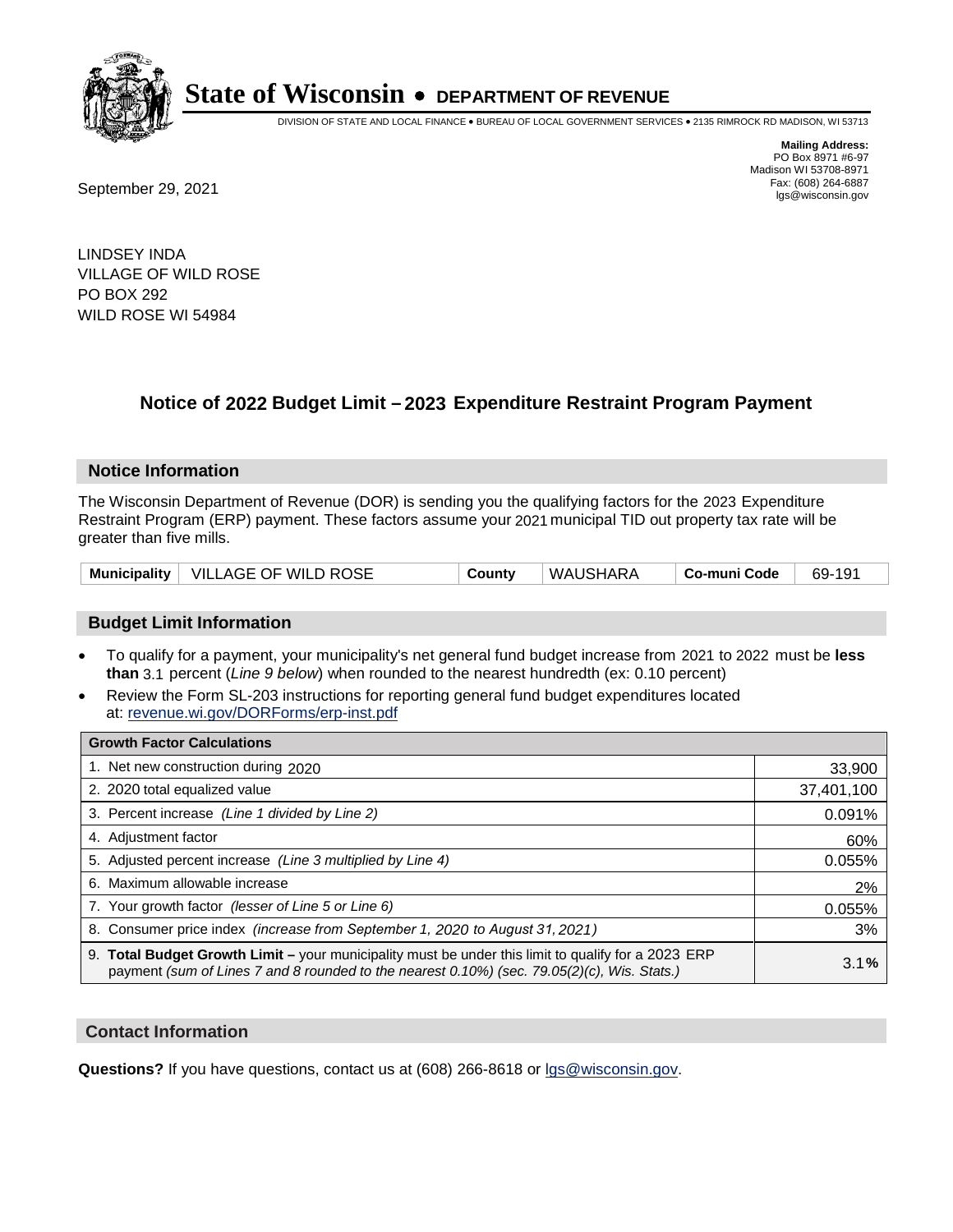

DIVISION OF STATE AND LOCAL FINANCE • BUREAU OF LOCAL GOVERNMENT SERVICES • 2135 RIMROCK RD MADISON, WI 53713

**Mailing Address:** PO Box 8971 #6-97 Madison WI 53708-8971<br>Fax: (608) 264-6887

Fax: (608) 264-6887<br>
September 29, 2021 and the state of the state of the state of the state of the state of the state of the state of the state of the state of the state of the state of the state of the state of the state

LINDSEY INDA VILLAGE OF WILD ROSE PO BOX 292 WILD ROSE WI 54984

## **Notice of 2022 Budget Limit - 2023 Expenditure Restraint Program Payment**

## **Notice Information**

The Wisconsin Department of Revenue (DOR) is sending you the qualifying factors for the 2023 Expenditure Restraint Program (ERP) payment. These factors assume your 2021 municipal TID out property tax rate will be greater than five mills.

|  | Municipality   VILLAGE OF WILD ROSE | County | WAUSHARA | Co-muni Code | 69-191 |
|--|-------------------------------------|--------|----------|--------------|--------|
|--|-------------------------------------|--------|----------|--------------|--------|

## **Budget Limit Information**

- To qualify for a payment, your municipality's net general fund budget increase from 2021 to 2022 must be less **than** 3.1 percent (*Line 9 below*) when rounded to the nearest hundredth (ex: 0.10 percent)
- Review the Form SL-203 instructions for reporting general fund budget expenditures located at: revenue.wi.gov/DORForms/erp-inst.pdf

| <b>Growth Factor Calculations</b>                                                                                                                                                                  |            |
|----------------------------------------------------------------------------------------------------------------------------------------------------------------------------------------------------|------------|
| 1. Net new construction during 2020                                                                                                                                                                | 33,900     |
| 2. 2020 total equalized value                                                                                                                                                                      | 37,401,100 |
| 3. Percent increase (Line 1 divided by Line 2)                                                                                                                                                     | 0.091%     |
| 4. Adiustment factor                                                                                                                                                                               | 60%        |
| 5. Adjusted percent increase (Line 3 multiplied by Line 4)                                                                                                                                         | 0.055%     |
| 6. Maximum allowable increase                                                                                                                                                                      | 2%         |
| 7. Your growth factor (lesser of Line 5 or Line 6)                                                                                                                                                 | 0.055%     |
| 8. Consumer price index (increase from September 1, 2020 to August 31, 2021)                                                                                                                       | 3%         |
| 9. Total Budget Growth Limit – your municipality must be under this limit to qualify for a 2023 ERP<br>payment (sum of Lines 7 and 8 rounded to the nearest 0.10%) (sec. 79.05(2)(c), Wis. Stats.) | 3.1%       |

## **Contact Information**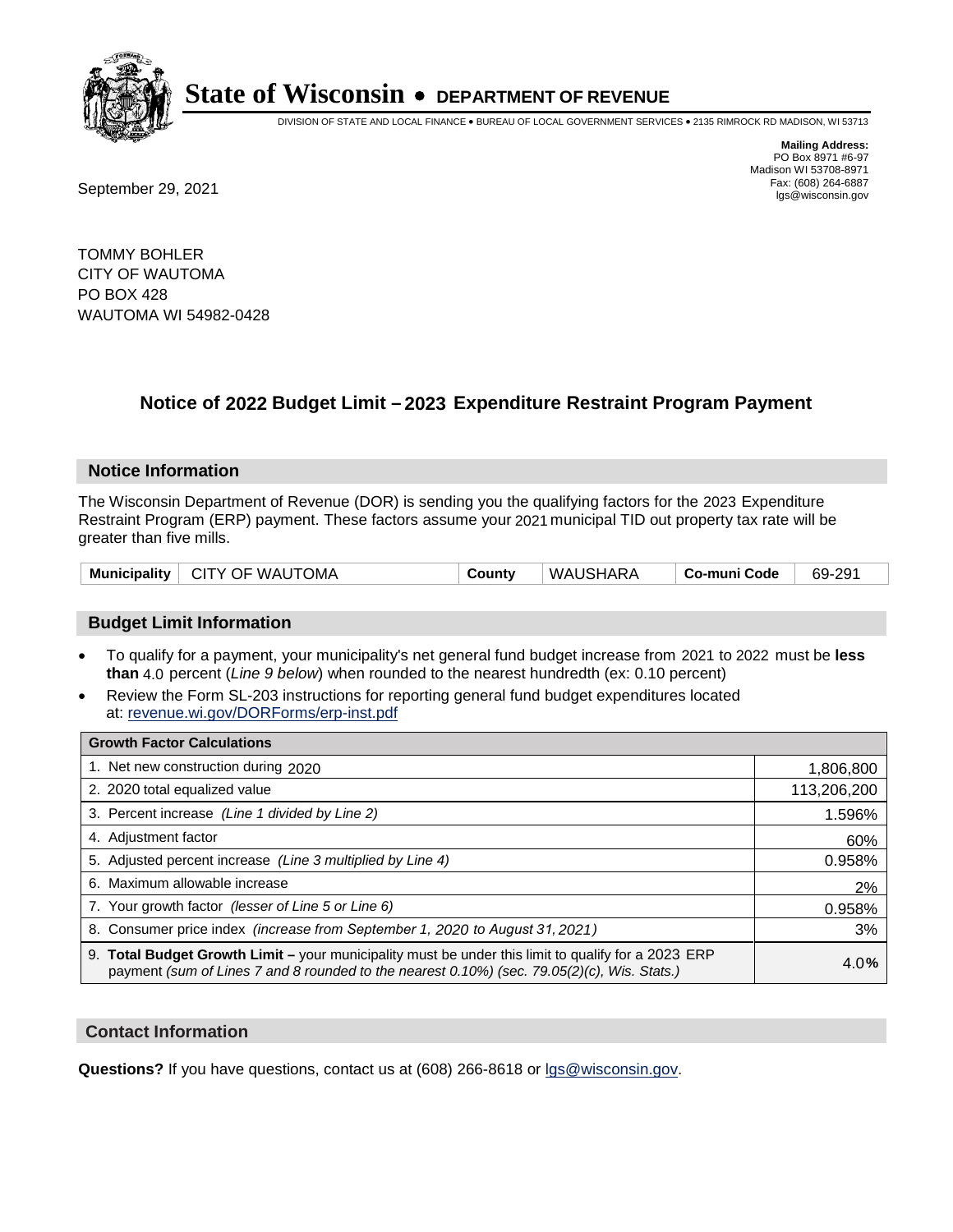

DIVISION OF STATE AND LOCAL FINANCE • BUREAU OF LOCAL GOVERNMENT SERVICES • 2135 RIMROCK RD MADISON, WI 53713

Fax: (608) 264-6887<br>
September 29, 2021 and the state of the state of the state of the state of the state of the state of the state of the state of the state of the state of the state of the state of the state of the state

**Mailing Address:** PO Box 8971 #6-97 Madison WI 53708-8971<br>Fax: (608) 264-6887

TOMMY BOHLER CITY OF WAUTOMA PO BOX 428 WAUTOMA WI 54982-0428

## **Notice of 2022 Budget Limit - 2023 Expenditure Restraint Program Payment**

## **Notice Information**

The Wisconsin Department of Revenue (DOR) is sending you the qualifying factors for the 2023 Expenditure Restraint Program (ERP) payment. These factors assume your 2021 municipal TID out property tax rate will be greater than five mills.

| Municipality   CITY OF WAUTOMA | County | WAUSHARA | ∣ Co-muni Code ∣ | 69-291 |
|--------------------------------|--------|----------|------------------|--------|
|--------------------------------|--------|----------|------------------|--------|

## **Budget Limit Information**

- To qualify for a payment, your municipality's net general fund budget increase from 2021 to 2022 must be less **than** 4.0 percent (*Line 9 below*) when rounded to the nearest hundredth (ex: 0.10 percent)
- Review the Form SL-203 instructions for reporting general fund budget expenditures located at: revenue.wi.gov/DORForms/erp-inst.pdf

| <b>Growth Factor Calculations</b>                                                                                                                                                                  |             |
|----------------------------------------------------------------------------------------------------------------------------------------------------------------------------------------------------|-------------|
| 1. Net new construction during 2020                                                                                                                                                                | 1,806,800   |
| 2. 2020 total equalized value                                                                                                                                                                      | 113,206,200 |
| 3. Percent increase (Line 1 divided by Line 2)                                                                                                                                                     | 1.596%      |
| 4. Adjustment factor                                                                                                                                                                               | 60%         |
| 5. Adjusted percent increase (Line 3 multiplied by Line 4)                                                                                                                                         | 0.958%      |
| 6. Maximum allowable increase                                                                                                                                                                      | 2%          |
| 7. Your growth factor (lesser of Line 5 or Line 6)                                                                                                                                                 | 0.958%      |
| 8. Consumer price index (increase from September 1, 2020 to August 31, 2021)                                                                                                                       | 3%          |
| 9. Total Budget Growth Limit - your municipality must be under this limit to qualify for a 2023 ERP<br>payment (sum of Lines 7 and 8 rounded to the nearest 0.10%) (sec. 79.05(2)(c), Wis. Stats.) | 4.0%        |

## **Contact Information**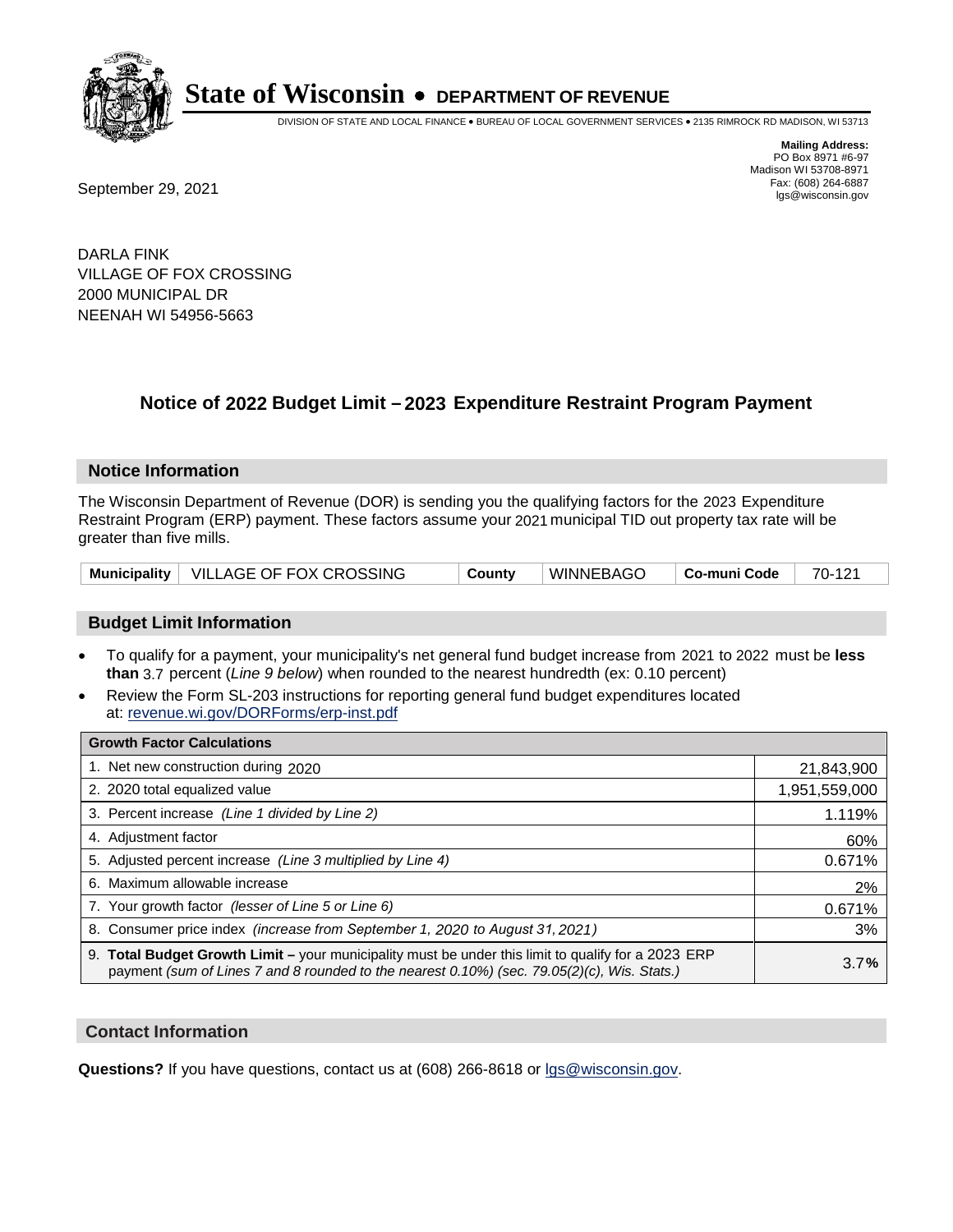

DIVISION OF STATE AND LOCAL FINANCE • BUREAU OF LOCAL GOVERNMENT SERVICES • 2135 RIMROCK RD MADISON, WI 53713

Fax: (608) 264-6887<br>
September 29, 2021 and the state of the state of the state of the state of the state of the state of the state of the state of the state of the state of the state of the state of the state of the state

**Mailing Address:** PO Box 8971 #6-97 Madison WI 53708-8971<br>Fax: (608) 264-6887

DARLA FINK VILLAGE OF FOX CROSSING 2000 MUNICIPAL DR NEENAH WI 54956-5663

## **Notice of 2022 Budget Limit - 2023 Expenditure Restraint Program Payment**

#### **Notice Information**

The Wisconsin Department of Revenue (DOR) is sending you the qualifying factors for the 2023 Expenditure Restraint Program (ERP) payment. These factors assume your 2021 municipal TID out property tax rate will be greater than five mills.

|  | Municipality   VILLAGE OF FOX CROSSING | County | ∣ WINNEBAGO | Co-muni Code | 70-121 |
|--|----------------------------------------|--------|-------------|--------------|--------|
|--|----------------------------------------|--------|-------------|--------------|--------|

## **Budget Limit Information**

- To qualify for a payment, your municipality's net general fund budget increase from 2021 to 2022 must be less **than** 3.7 percent (*Line 9 below*) when rounded to the nearest hundredth (ex: 0.10 percent)
- Review the Form SL-203 instructions for reporting general fund budget expenditures located at: revenue.wi.gov/DORForms/erp-inst.pdf

| <b>Growth Factor Calculations</b>                                                                                                                                                                      |               |
|--------------------------------------------------------------------------------------------------------------------------------------------------------------------------------------------------------|---------------|
| 1. Net new construction during 2020                                                                                                                                                                    | 21,843,900    |
| 2. 2020 total equalized value                                                                                                                                                                          | 1,951,559,000 |
| 3. Percent increase (Line 1 divided by Line 2)                                                                                                                                                         | 1.119%        |
| 4. Adjustment factor                                                                                                                                                                                   | 60%           |
| 5. Adjusted percent increase (Line 3 multiplied by Line 4)                                                                                                                                             | 0.671%        |
| 6. Maximum allowable increase                                                                                                                                                                          | 2%            |
| 7. Your growth factor (lesser of Line 5 or Line 6)                                                                                                                                                     | 0.671%        |
| 8. Consumer price index (increase from September 1, 2020 to August 31, 2021)                                                                                                                           | 3%            |
| 9. Total Budget Growth Limit - your municipality must be under this limit to qualify for a 2023 ERP<br>payment (sum of Lines 7 and 8 rounded to the nearest $0.10\%$ ) (sec. 79.05(2)(c), Wis. Stats.) | 3.7%          |

## **Contact Information**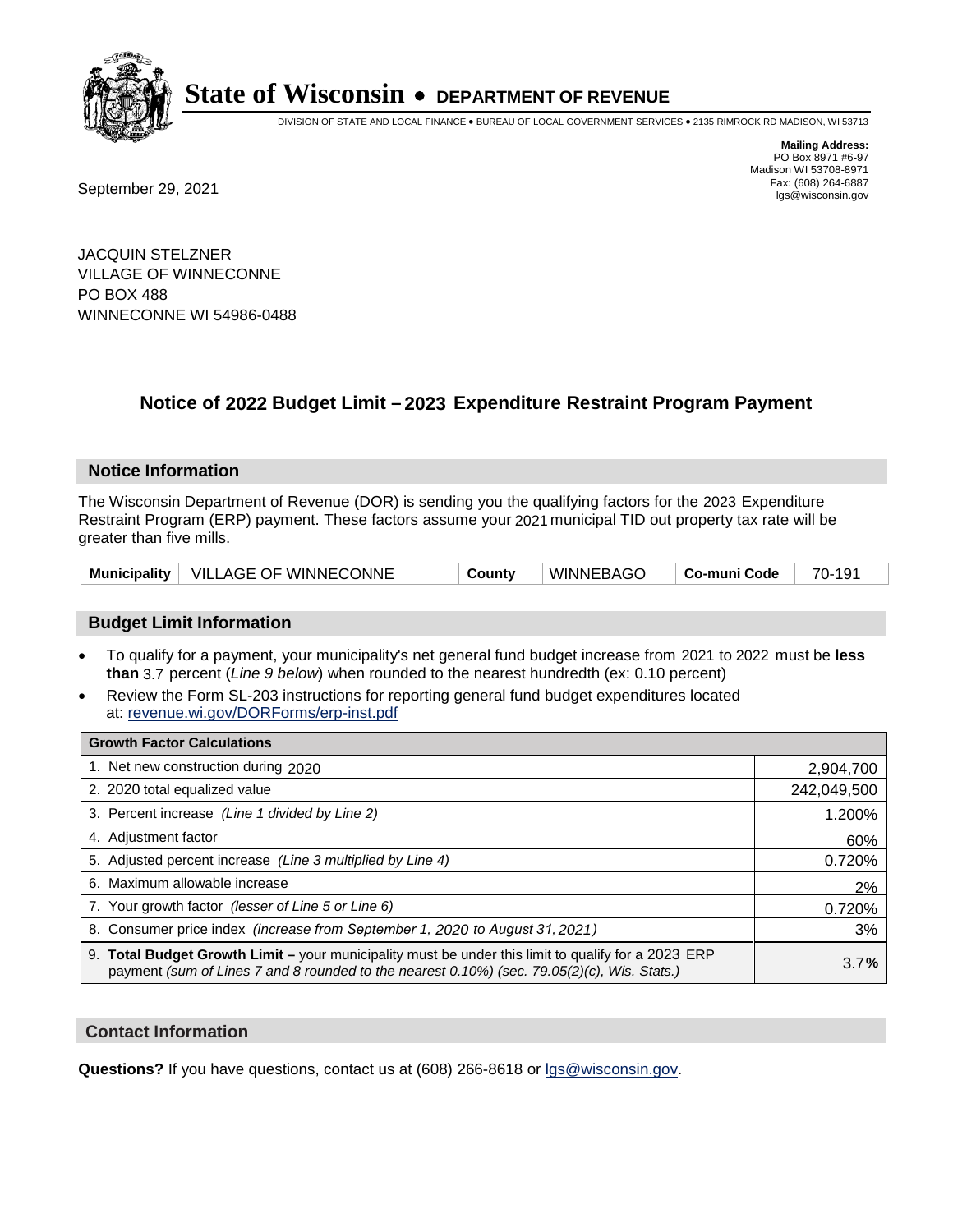

DIVISION OF STATE AND LOCAL FINANCE • BUREAU OF LOCAL GOVERNMENT SERVICES • 2135 RIMROCK RD MADISON, WI 53713

Fax: (608) 264-6887<br>
September 29, 2021 and the state of the state of the state of the state of the state of the state of the state of the state of the state of the state of the state of the state of the state of the state

**Mailing Address:** PO Box 8971 #6-97 Madison WI 53708-8971<br>Fax: (608) 264-6887

JACQUIN STELZNER VILLAGE OF WINNECONNE PO BOX 488 WINNECONNE WI 54986-0488

## **Notice of 2022 Budget Limit - 2023 Expenditure Restraint Program Payment**

#### **Notice Information**

The Wisconsin Department of Revenue (DOR) is sending you the qualifying factors for the 2023 Expenditure Restraint Program (ERP) payment. These factors assume your 2021 municipal TID out property tax rate will be greater than five mills.

|  | Municipality   VILLAGE OF WINNECONNE | County | WINNEBAGO | ∣ Co-muni Code ∣ | 70-191 |
|--|--------------------------------------|--------|-----------|------------------|--------|
|--|--------------------------------------|--------|-----------|------------------|--------|

## **Budget Limit Information**

- To qualify for a payment, your municipality's net general fund budget increase from 2021 to 2022 must be less **than** 3.7 percent (*Line 9 below*) when rounded to the nearest hundredth (ex: 0.10 percent)
- Review the Form SL-203 instructions for reporting general fund budget expenditures located at: revenue.wi.gov/DORForms/erp-inst.pdf

| <b>Growth Factor Calculations</b>                                                                                                                                                                  |             |
|----------------------------------------------------------------------------------------------------------------------------------------------------------------------------------------------------|-------------|
| 1. Net new construction during 2020                                                                                                                                                                | 2,904,700   |
| 2. 2020 total equalized value                                                                                                                                                                      | 242,049,500 |
| 3. Percent increase (Line 1 divided by Line 2)                                                                                                                                                     | 1.200%      |
| 4. Adiustment factor                                                                                                                                                                               | 60%         |
| 5. Adjusted percent increase (Line 3 multiplied by Line 4)                                                                                                                                         | 0.720%      |
| 6. Maximum allowable increase                                                                                                                                                                      | 2%          |
| 7. Your growth factor (lesser of Line 5 or Line 6)                                                                                                                                                 | 0.720%      |
| 8. Consumer price index (increase from September 1, 2020 to August 31, 2021)                                                                                                                       | 3%          |
| 9. Total Budget Growth Limit - your municipality must be under this limit to qualify for a 2023 ERP<br>payment (sum of Lines 7 and 8 rounded to the nearest 0.10%) (sec. 79.05(2)(c), Wis. Stats.) | 3.7%        |

## **Contact Information**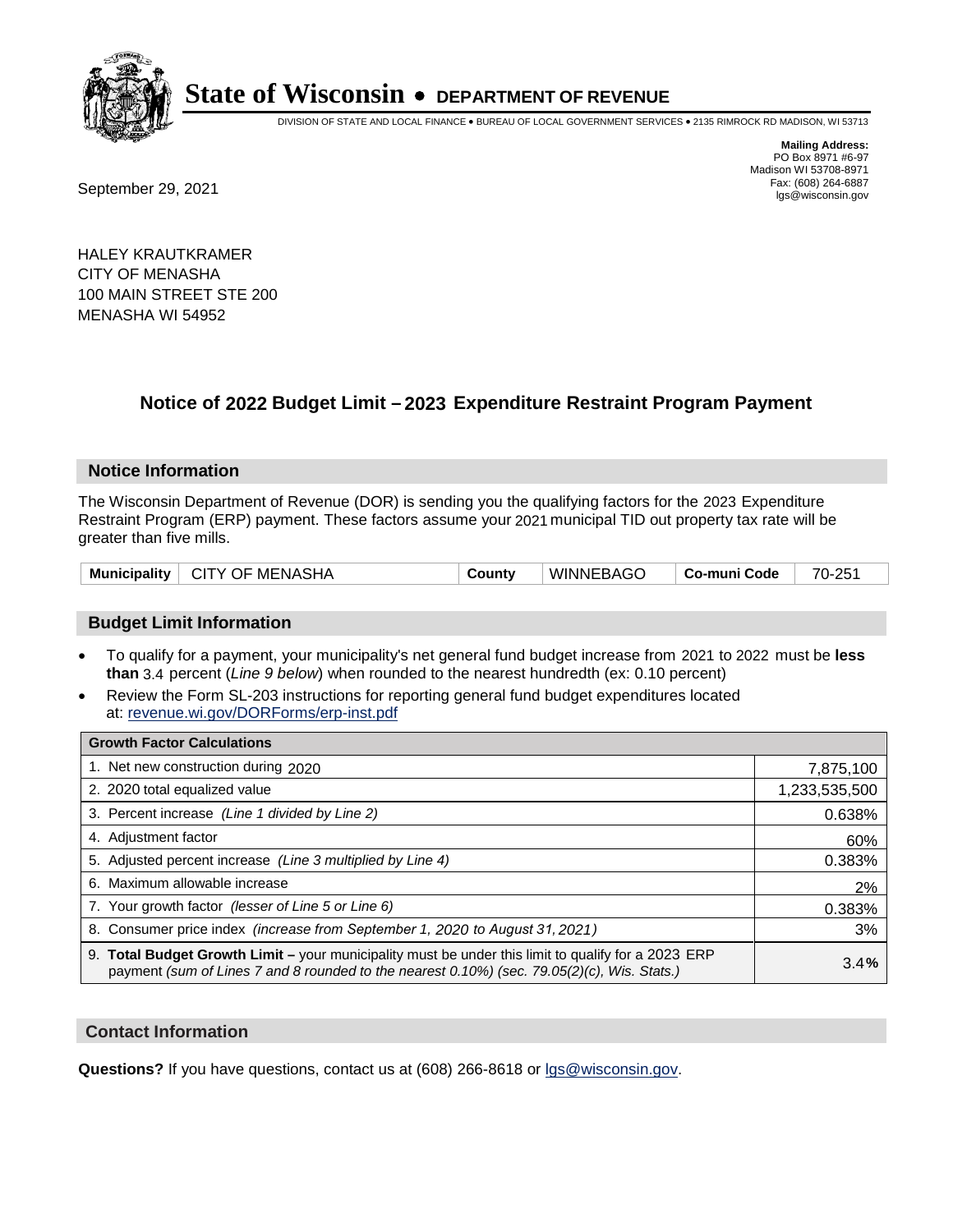

DIVISION OF STATE AND LOCAL FINANCE • BUREAU OF LOCAL GOVERNMENT SERVICES • 2135 RIMROCK RD MADISON, WI 53713

Fax: (608) 264-6887<br>
September 29, 2021 and the state of the state of the state of the state of the state of the state of the state of the state of the state of the state of the state of the state of the state of the state

**Mailing Address:** PO Box 8971 #6-97 Madison WI 53708-8971<br>Fax: (608) 264-6887

HALEY KRAUTKRAMER CITY OF MENASHA 100 MAIN STREET STE 200 MENASHA WI 54952

## **Notice of 2022 Budget Limit - 2023 Expenditure Restraint Program Payment**

#### **Notice Information**

The Wisconsin Department of Revenue (DOR) is sending you the qualifying factors for the 2023 Expenditure Restraint Program (ERP) payment. These factors assume your 2021 municipal TID out property tax rate will be greater than five mills.

|  | Municipality   CITY OF MENASHA | County | WINNEBAGO | ∣ Co-muni Code | 70-251 |
|--|--------------------------------|--------|-----------|----------------|--------|
|--|--------------------------------|--------|-----------|----------------|--------|

## **Budget Limit Information**

- To qualify for a payment, your municipality's net general fund budget increase from 2021 to 2022 must be less **than** 3.4 percent (*Line 9 below*) when rounded to the nearest hundredth (ex: 0.10 percent)
- Review the Form SL-203 instructions for reporting general fund budget expenditures located at: revenue.wi.gov/DORForms/erp-inst.pdf

| <b>Growth Factor Calculations</b>                                                                                                                                                                      |               |
|--------------------------------------------------------------------------------------------------------------------------------------------------------------------------------------------------------|---------------|
| 1. Net new construction during 2020                                                                                                                                                                    | 7,875,100     |
| 2. 2020 total equalized value                                                                                                                                                                          | 1,233,535,500 |
| 3. Percent increase (Line 1 divided by Line 2)                                                                                                                                                         | 0.638%        |
| 4. Adjustment factor                                                                                                                                                                                   | 60%           |
| 5. Adjusted percent increase (Line 3 multiplied by Line 4)                                                                                                                                             | 0.383%        |
| 6. Maximum allowable increase                                                                                                                                                                          | 2%            |
| 7. Your growth factor (lesser of Line 5 or Line 6)                                                                                                                                                     | 0.383%        |
| 8. Consumer price index (increase from September 1, 2020 to August 31, 2021)                                                                                                                           | 3%            |
| 9. Total Budget Growth Limit - your municipality must be under this limit to qualify for a 2023 ERP<br>payment (sum of Lines 7 and 8 rounded to the nearest $0.10\%$ ) (sec. 79.05(2)(c), Wis. Stats.) | 3.4%          |

## **Contact Information**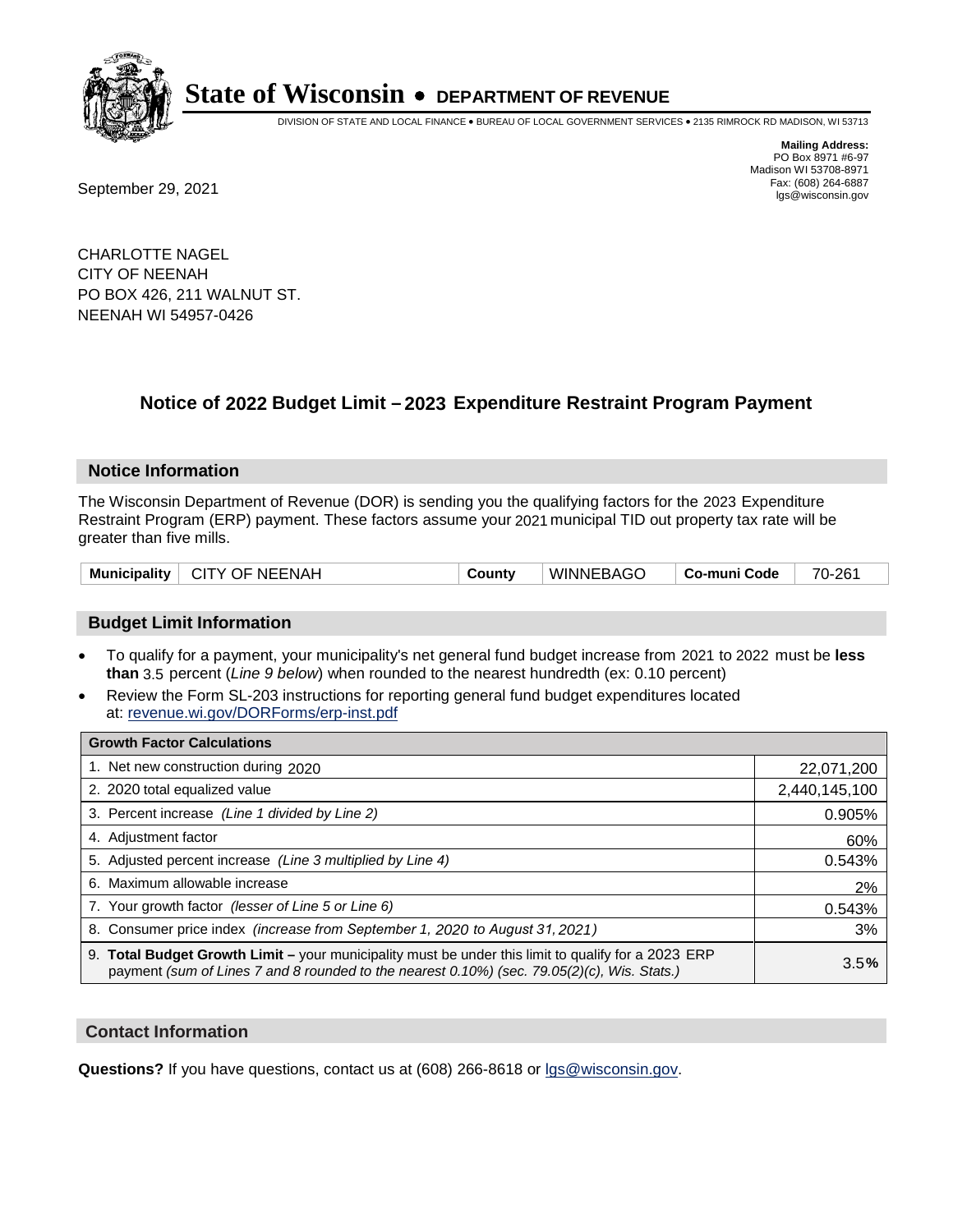

DIVISION OF STATE AND LOCAL FINANCE • BUREAU OF LOCAL GOVERNMENT SERVICES • 2135 RIMROCK RD MADISON, WI 53713

**Mailing Address:** PO Box 8971 #6-97 Madison WI 53708-8971<br>Fax: (608) 264-6887

Fax: (608) 264-6887<br>
September 29, 2021 and the state of the state of the state of the state of the state of the state of the state of the state of the state of the state of the state of the state of the state of the state

CHARLOTTE NAGEL CITY OF NEENAH PO BOX 426, 211 WALNUT ST. NEENAH WI 54957-0426

## **Notice of 2022 Budget Limit - 2023 Expenditure Restraint Program Payment**

#### **Notice Information**

The Wisconsin Department of Revenue (DOR) is sending you the qualifying factors for the 2023 Expenditure Restraint Program (ERP) payment. These factors assume your 2021 municipal TID out property tax rate will be greater than five mills.

| Municipality   CITY OF NEENAH | WINNEBAGO<br>County | 70-261<br>∣ Co-muni Code |
|-------------------------------|---------------------|--------------------------|
|-------------------------------|---------------------|--------------------------|

## **Budget Limit Information**

- To qualify for a payment, your municipality's net general fund budget increase from 2021 to 2022 must be less **than** 3.5 percent (*Line 9 below*) when rounded to the nearest hundredth (ex: 0.10 percent)
- Review the Form SL-203 instructions for reporting general fund budget expenditures located at: revenue.wi.gov/DORForms/erp-inst.pdf

| <b>Growth Factor Calculations</b>                                                                                                                                                                  |               |
|----------------------------------------------------------------------------------------------------------------------------------------------------------------------------------------------------|---------------|
| 1. Net new construction during 2020                                                                                                                                                                | 22,071,200    |
| 2. 2020 total equalized value                                                                                                                                                                      | 2,440,145,100 |
| 3. Percent increase (Line 1 divided by Line 2)                                                                                                                                                     | 0.905%        |
| 4. Adjustment factor                                                                                                                                                                               | 60%           |
| 5. Adjusted percent increase (Line 3 multiplied by Line 4)                                                                                                                                         | 0.543%        |
| Maximum allowable increase<br>6.                                                                                                                                                                   | 2%            |
| 7. Your growth factor (lesser of Line 5 or Line 6)                                                                                                                                                 | 0.543%        |
| 8. Consumer price index (increase from September 1, 2020 to August 31, 2021)                                                                                                                       | 3%            |
| 9. Total Budget Growth Limit - your municipality must be under this limit to qualify for a 2023 ERP<br>payment (sum of Lines 7 and 8 rounded to the nearest 0.10%) (sec. 79.05(2)(c), Wis. Stats.) | 3.5%          |

## **Contact Information**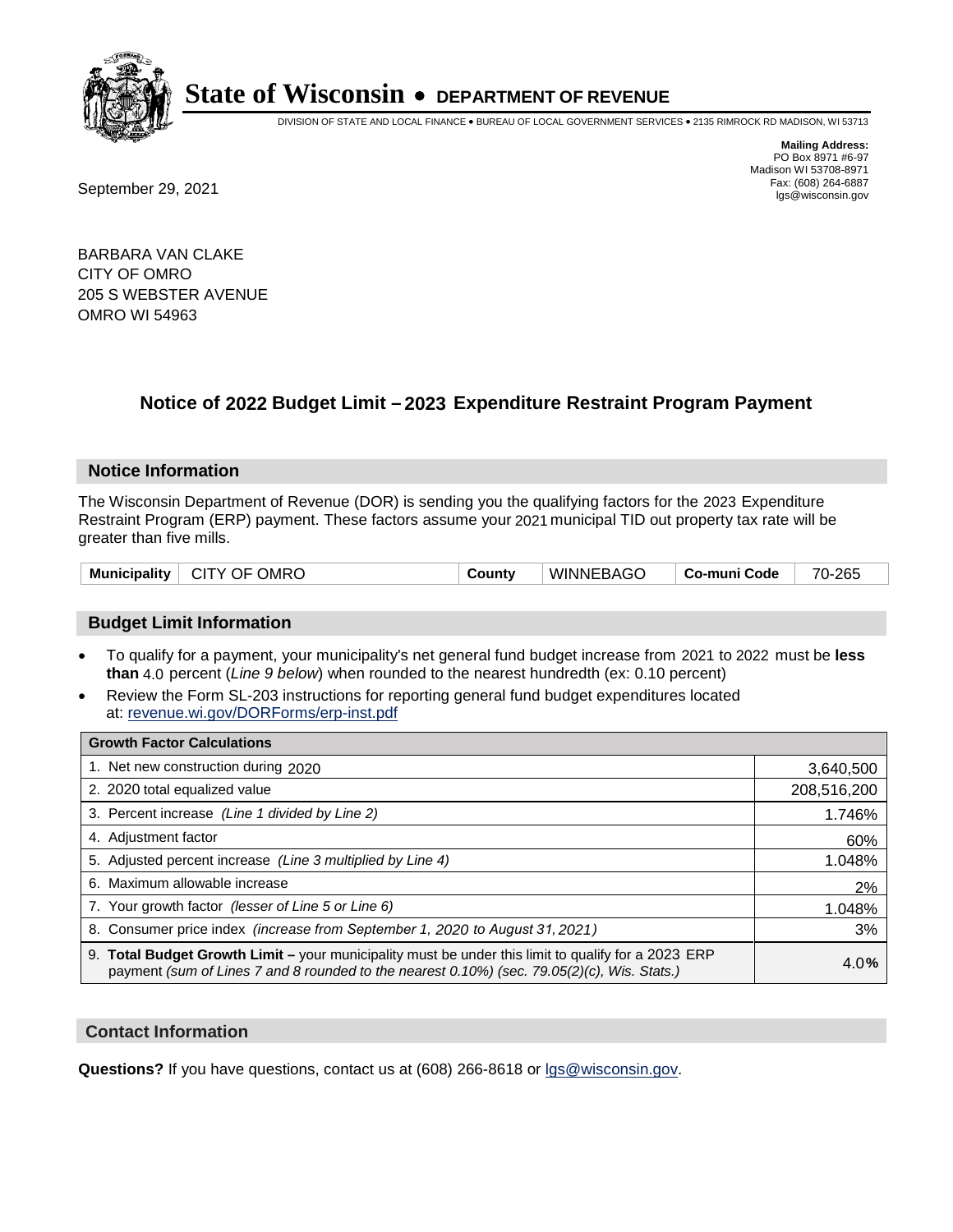

DIVISION OF STATE AND LOCAL FINANCE • BUREAU OF LOCAL GOVERNMENT SERVICES • 2135 RIMROCK RD MADISON, WI 53713

Fax: (608) 264-6887<br>
September 29, 2021 and the state of the state of the state of the state of the state of the state of the state of the state of the state of the state of the state of the state of the state of the state

**Mailing Address:** PO Box 8971 #6-97 Madison WI 53708-8971<br>Fax: (608) 264-6887

BARBARA VAN CLAKE CITY OF OMRO 205 S WEBSTER AVENUE OMRO WI 54963

## **Notice of 2022 Budget Limit - 2023 Expenditure Restraint Program Payment**

## **Notice Information**

The Wisconsin Department of Revenue (DOR) is sending you the qualifying factors for the 2023 Expenditure Restraint Program (ERP) payment. These factors assume your 2021 municipal TID out property tax rate will be greater than five mills.

| Municipality   CITY OF OMRO | County | WINNEBAGO | ∣ Co-muni Code ∣ | 70-265 |
|-----------------------------|--------|-----------|------------------|--------|
|-----------------------------|--------|-----------|------------------|--------|

## **Budget Limit Information**

- To qualify for a payment, your municipality's net general fund budget increase from 2021 to 2022 must be less **than** 4.0 percent (*Line 9 below*) when rounded to the nearest hundredth (ex: 0.10 percent)
- Review the Form SL-203 instructions for reporting general fund budget expenditures located at: revenue.wi.gov/DORForms/erp-inst.pdf

| <b>Growth Factor Calculations</b>                                                                                                                                                                  |             |
|----------------------------------------------------------------------------------------------------------------------------------------------------------------------------------------------------|-------------|
| 1. Net new construction during 2020                                                                                                                                                                | 3,640,500   |
| 2. 2020 total equalized value                                                                                                                                                                      | 208,516,200 |
| 3. Percent increase (Line 1 divided by Line 2)                                                                                                                                                     | 1.746%      |
| 4. Adjustment factor                                                                                                                                                                               | 60%         |
| 5. Adjusted percent increase (Line 3 multiplied by Line 4)                                                                                                                                         | 1.048%      |
| 6. Maximum allowable increase                                                                                                                                                                      | 2%          |
| 7. Your growth factor (lesser of Line 5 or Line 6)                                                                                                                                                 | 1.048%      |
| 8. Consumer price index (increase from September 1, 2020 to August 31, 2021)                                                                                                                       | 3%          |
| 9. Total Budget Growth Limit - your municipality must be under this limit to qualify for a 2023 ERP<br>payment (sum of Lines 7 and 8 rounded to the nearest 0.10%) (sec. 79.05(2)(c), Wis. Stats.) | 4.0%        |

## **Contact Information**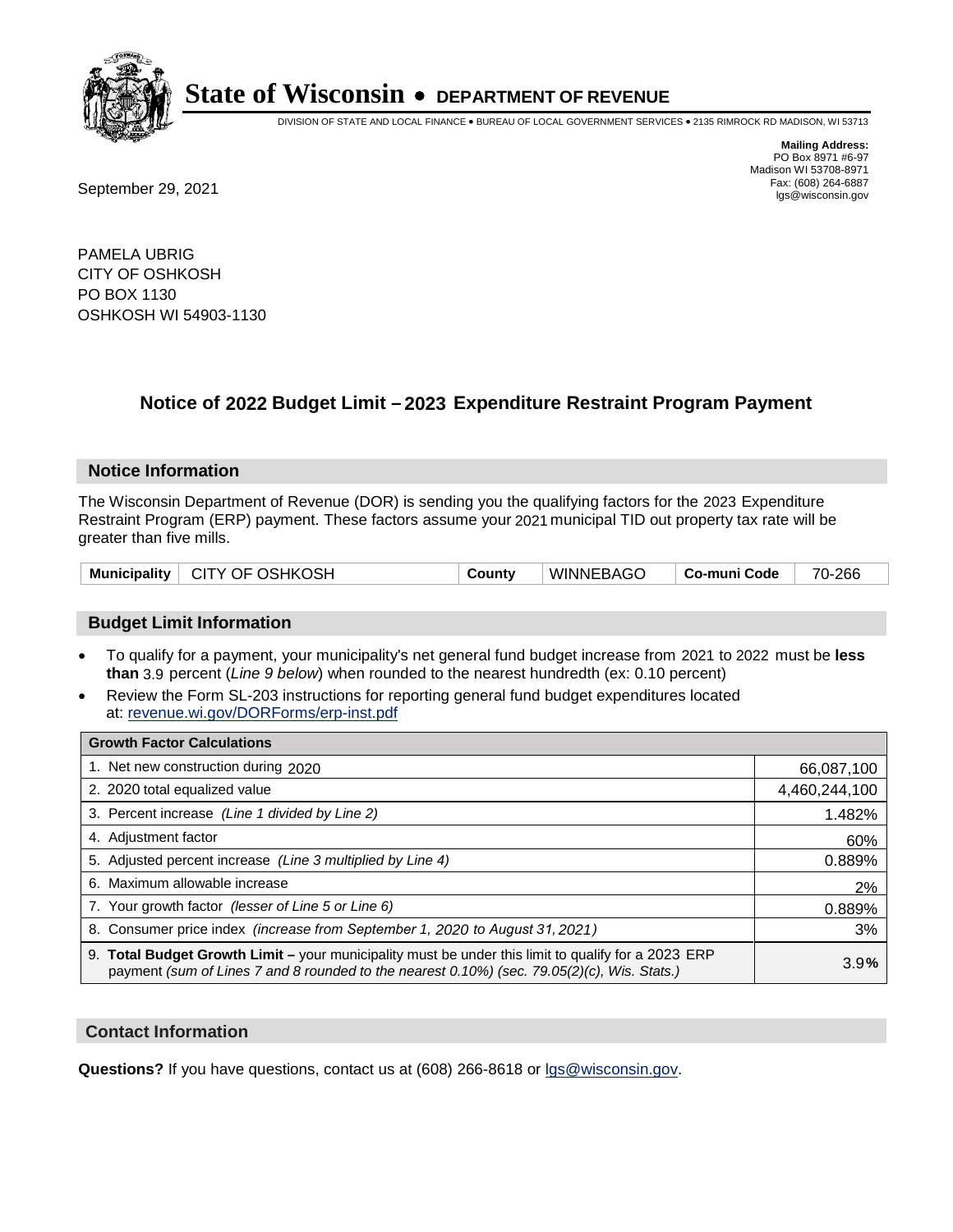

DIVISION OF STATE AND LOCAL FINANCE • BUREAU OF LOCAL GOVERNMENT SERVICES • 2135 RIMROCK RD MADISON, WI 53713

Fax: (608) 264-6887<br>
September 29, 2021 and the state of the state of the state of the state of the state of the state of the state of the state of the state of the state of the state of the state of the state of the state

**Mailing Address:** PO Box 8971 #6-97 Madison WI 53708-8971<br>Fax: (608) 264-6887

PAMELA UBRIG CITY OF OSHKOSH PO BOX 1130 OSHKOSH WI 54903-1130

## **Notice of 2022 Budget Limit - 2023 Expenditure Restraint Program Payment**

#### **Notice Information**

The Wisconsin Department of Revenue (DOR) is sending you the qualifying factors for the 2023 Expenditure Restraint Program (ERP) payment. These factors assume your 2021 municipal TID out property tax rate will be greater than five mills.

| Municipality   CITY OF OSHKOSH | County | WINNEBAGO | Co-muni Code | 70-266 |
|--------------------------------|--------|-----------|--------------|--------|
|--------------------------------|--------|-----------|--------------|--------|

## **Budget Limit Information**

- To qualify for a payment, your municipality's net general fund budget increase from 2021 to 2022 must be less **than** 3.9 percent (*Line 9 below*) when rounded to the nearest hundredth (ex: 0.10 percent)
- Review the Form SL-203 instructions for reporting general fund budget expenditures located at: revenue.wi.gov/DORForms/erp-inst.pdf

| <b>Growth Factor Calculations</b>                                                                                                                                                                      |               |
|--------------------------------------------------------------------------------------------------------------------------------------------------------------------------------------------------------|---------------|
| 1. Net new construction during 2020                                                                                                                                                                    | 66,087,100    |
| 2. 2020 total equalized value                                                                                                                                                                          | 4,460,244,100 |
| 3. Percent increase (Line 1 divided by Line 2)                                                                                                                                                         | 1.482%        |
| 4. Adjustment factor                                                                                                                                                                                   | 60%           |
| 5. Adjusted percent increase (Line 3 multiplied by Line 4)                                                                                                                                             | 0.889%        |
| 6. Maximum allowable increase                                                                                                                                                                          | 2%            |
| 7. Your growth factor (lesser of Line 5 or Line 6)                                                                                                                                                     | 0.889%        |
| 8. Consumer price index (increase from September 1, 2020 to August 31, 2021)                                                                                                                           | 3%            |
| 9. Total Budget Growth Limit - your municipality must be under this limit to qualify for a 2023 ERP<br>payment (sum of Lines 7 and 8 rounded to the nearest $0.10\%$ ) (sec. 79.05(2)(c), Wis. Stats.) | 3.9%          |

## **Contact Information**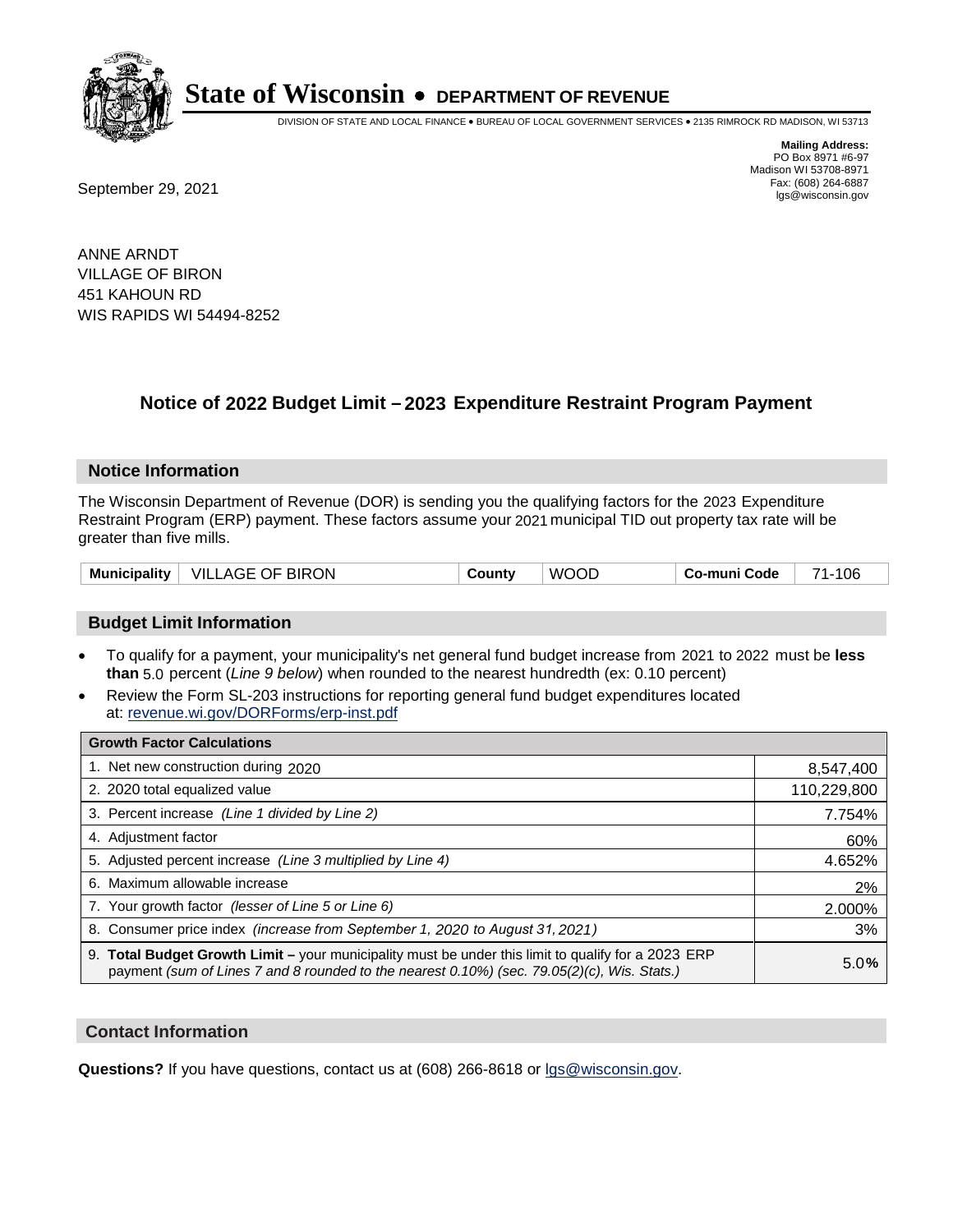

DIVISION OF STATE AND LOCAL FINANCE • BUREAU OF LOCAL GOVERNMENT SERVICES • 2135 RIMROCK RD MADISON, WI 53713

Fax: (608) 264-6887<br>
September 29, 2021 and the state of the state of the state of the state of the state of the state of the state of the state of the state of the state of the state of the state of the state of the state

**Mailing Address:** PO Box 8971 #6-97 Madison WI 53708-8971<br>Fax: (608) 264-6887

ANNE ARNDT VILLAGE OF BIRON 451 KAHOUN RD WIS RAPIDS WI 54494-8252

## **Notice of 2022 Budget Limit - 2023 Expenditure Restraint Program Payment**

#### **Notice Information**

The Wisconsin Department of Revenue (DOR) is sending you the qualifying factors for the 2023 Expenditure Restraint Program (ERP) payment. These factors assume your 2021 municipal TID out property tax rate will be greater than five mills.

| Municipality | VILLAGE OF BIRON | County | <b>WOOD</b> | <b>Co-muni Code</b> | 106<br>71. |
|--------------|------------------|--------|-------------|---------------------|------------|
|--------------|------------------|--------|-------------|---------------------|------------|

## **Budget Limit Information**

- To qualify for a payment, your municipality's net general fund budget increase from 2021 to 2022 must be less **than** 5.0 percent (*Line 9 below*) when rounded to the nearest hundredth (ex: 0.10 percent)
- Review the Form SL-203 instructions for reporting general fund budget expenditures located at: revenue.wi.gov/DORForms/erp-inst.pdf

| <b>Growth Factor Calculations</b>                                                                                                                                                                  |             |
|----------------------------------------------------------------------------------------------------------------------------------------------------------------------------------------------------|-------------|
| 1. Net new construction during 2020                                                                                                                                                                | 8,547,400   |
| 2. 2020 total equalized value                                                                                                                                                                      | 110,229,800 |
| 3. Percent increase (Line 1 divided by Line 2)                                                                                                                                                     | 7.754%      |
| 4. Adiustment factor                                                                                                                                                                               | 60%         |
| 5. Adjusted percent increase (Line 3 multiplied by Line 4)                                                                                                                                         | 4.652%      |
| 6. Maximum allowable increase                                                                                                                                                                      | 2%          |
| 7. Your growth factor (lesser of Line 5 or Line 6)                                                                                                                                                 | 2.000%      |
| 8. Consumer price index (increase from September 1, 2020 to August 31, 2021)                                                                                                                       | 3%          |
| 9. Total Budget Growth Limit - your municipality must be under this limit to qualify for a 2023 ERP<br>payment (sum of Lines 7 and 8 rounded to the nearest 0.10%) (sec. 79.05(2)(c), Wis. Stats.) | 5.0%        |

## **Contact Information**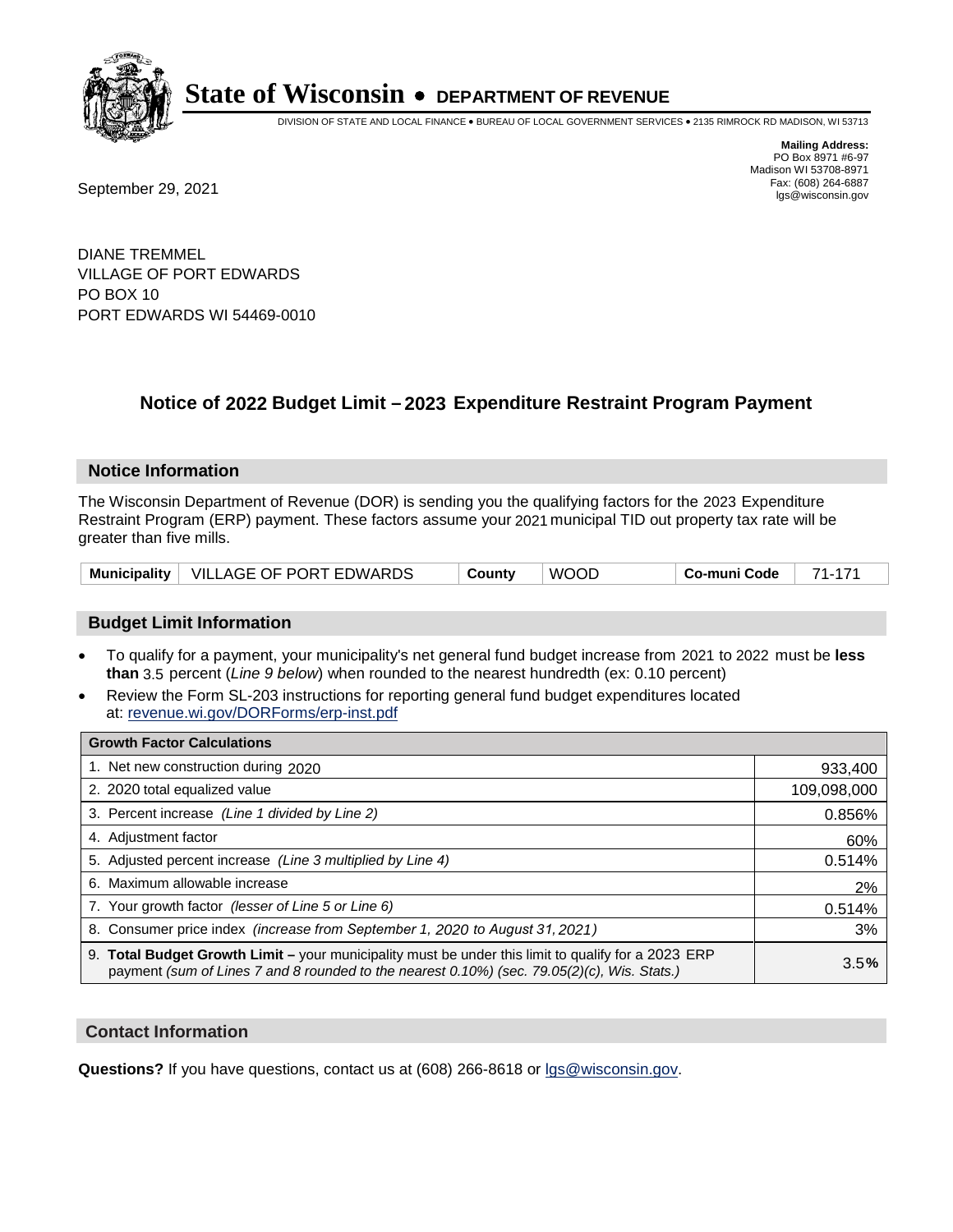

DIVISION OF STATE AND LOCAL FINANCE • BUREAU OF LOCAL GOVERNMENT SERVICES • 2135 RIMROCK RD MADISON, WI 53713

**Mailing Address:** PO Box 8971 #6-97 Madison WI 53708-8971<br>Fax: (608) 264-6887 Fax: (608) 264-6887<br>
September 29, 2021 and the state of the state of the state of the state of the state of the state of the state of the state of the state of the state of the state of the state of the state of the state

DIANE TREMMEL VILLAGE OF PORT EDWARDS PO BOX 10 PORT EDWARDS WI 54469-0010

## **Notice of 2022 Budget Limit - 2023 Expenditure Restraint Program Payment**

#### **Notice Information**

The Wisconsin Department of Revenue (DOR) is sending you the qualifying factors for the 2023 Expenditure Restraint Program (ERP) payment. These factors assume your 2021 municipal TID out property tax rate will be greater than five mills.

|  | Municipality   VILLAGE OF PORT EDWARDS | County | <b>WOOD</b> | Co-muni Code | 71-171 |
|--|----------------------------------------|--------|-------------|--------------|--------|
|--|----------------------------------------|--------|-------------|--------------|--------|

## **Budget Limit Information**

- To qualify for a payment, your municipality's net general fund budget increase from 2021 to 2022 must be less **than** 3.5 percent (*Line 9 below*) when rounded to the nearest hundredth (ex: 0.10 percent)
- Review the Form SL-203 instructions for reporting general fund budget expenditures located at: revenue.wi.gov/DORForms/erp-inst.pdf

| <b>Growth Factor Calculations</b>                                                                                                                                                                  |             |
|----------------------------------------------------------------------------------------------------------------------------------------------------------------------------------------------------|-------------|
| 1. Net new construction during 2020                                                                                                                                                                | 933,400     |
| 2. 2020 total equalized value                                                                                                                                                                      | 109,098,000 |
| 3. Percent increase (Line 1 divided by Line 2)                                                                                                                                                     | 0.856%      |
| 4. Adiustment factor                                                                                                                                                                               | 60%         |
| 5. Adjusted percent increase (Line 3 multiplied by Line 4)                                                                                                                                         | 0.514%      |
| 6. Maximum allowable increase                                                                                                                                                                      | 2%          |
| 7. Your growth factor (lesser of Line 5 or Line 6)                                                                                                                                                 | 0.514%      |
| 8. Consumer price index (increase from September 1, 2020 to August 31, 2021)                                                                                                                       | 3%          |
| 9. Total Budget Growth Limit - your municipality must be under this limit to qualify for a 2023 ERP<br>payment (sum of Lines 7 and 8 rounded to the nearest 0.10%) (sec. 79.05(2)(c), Wis. Stats.) | 3.5%        |

## **Contact Information**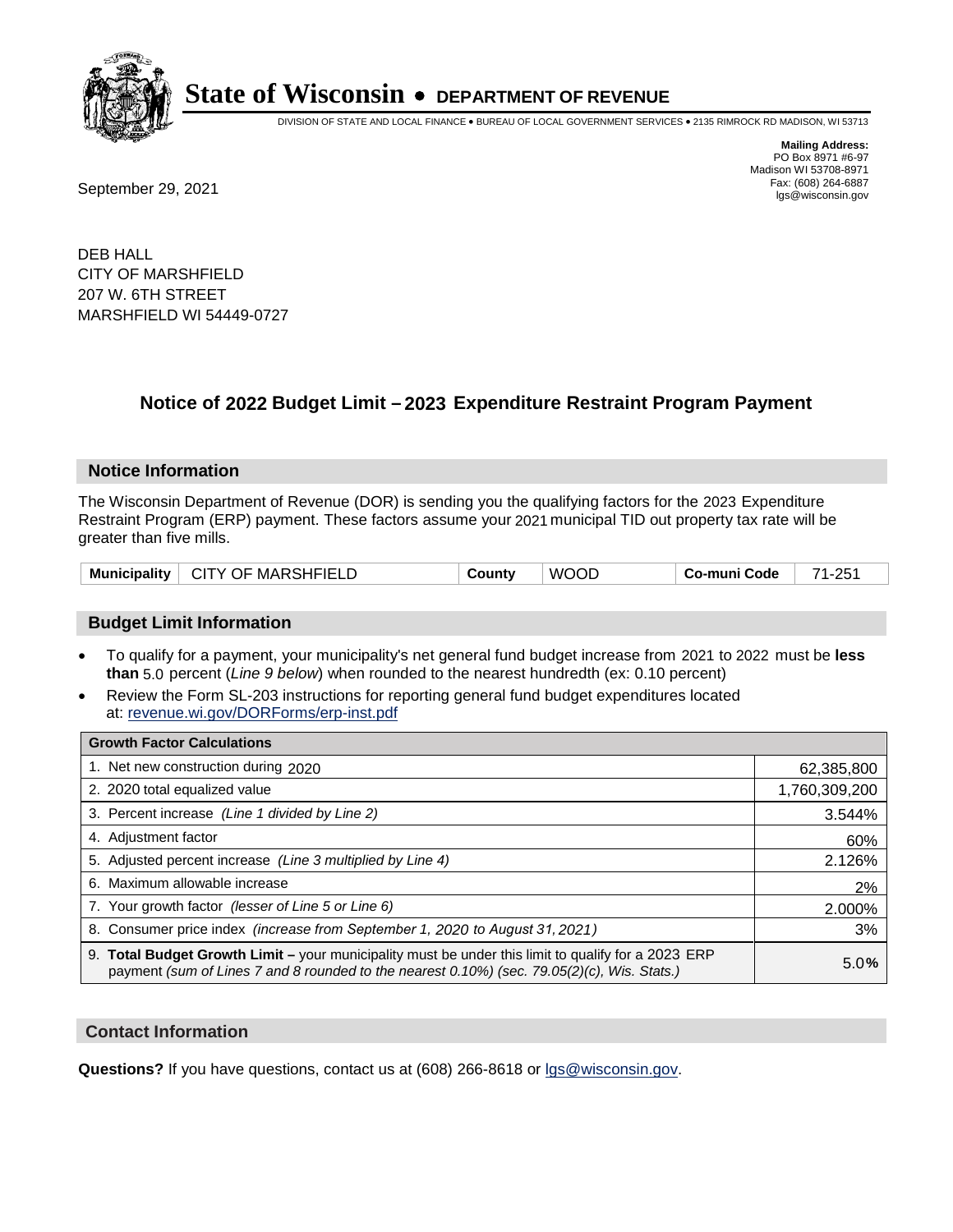

DIVISION OF STATE AND LOCAL FINANCE • BUREAU OF LOCAL GOVERNMENT SERVICES • 2135 RIMROCK RD MADISON, WI 53713

Fax: (608) 264-6887<br>
September 29, 2021 and the state of the state of the state of the state of the state of the state of the state of the state of the state of the state of the state of the state of the state of the state

**Mailing Address:** PO Box 8971 #6-97 Madison WI 53708-8971<br>Fax: (608) 264-6887

DEB HALL CITY OF MARSHFIELD 207 W. 6TH STREET MARSHFIELD WI 54449-0727

## **Notice of 2022 Budget Limit - 2023 Expenditure Restraint Program Payment**

#### **Notice Information**

The Wisconsin Department of Revenue (DOR) is sending you the qualifying factors for the 2023 Expenditure Restraint Program (ERP) payment. These factors assume your 2021 municipal TID out property tax rate will be greater than five mills.

| CITY OF MARSHFIELD<br><b>Municipality</b> | County | <b>WOOD</b> | Co-muni Code | 71-251 |
|-------------------------------------------|--------|-------------|--------------|--------|
|-------------------------------------------|--------|-------------|--------------|--------|

## **Budget Limit Information**

- To qualify for a payment, your municipality's net general fund budget increase from 2021 to 2022 must be less **than** 5.0 percent (*Line 9 below*) when rounded to the nearest hundredth (ex: 0.10 percent)
- Review the Form SL-203 instructions for reporting general fund budget expenditures located at: revenue.wi.gov/DORForms/erp-inst.pdf

| <b>Growth Factor Calculations</b>                                                                                                                                                                  |               |
|----------------------------------------------------------------------------------------------------------------------------------------------------------------------------------------------------|---------------|
| 1. Net new construction during 2020                                                                                                                                                                | 62,385,800    |
| 2. 2020 total equalized value                                                                                                                                                                      | 1,760,309,200 |
| 3. Percent increase (Line 1 divided by Line 2)                                                                                                                                                     | 3.544%        |
| 4. Adiustment factor                                                                                                                                                                               | 60%           |
| 5. Adjusted percent increase (Line 3 multiplied by Line 4)                                                                                                                                         | 2.126%        |
| 6. Maximum allowable increase                                                                                                                                                                      | 2%            |
| 7. Your growth factor (lesser of Line 5 or Line 6)                                                                                                                                                 | 2.000%        |
| 8. Consumer price index (increase from September 1, 2020 to August 31, 2021)                                                                                                                       | 3%            |
| 9. Total Budget Growth Limit - your municipality must be under this limit to qualify for a 2023 ERP<br>payment (sum of Lines 7 and 8 rounded to the nearest 0.10%) (sec. 79.05(2)(c), Wis. Stats.) | 5.0%          |

## **Contact Information**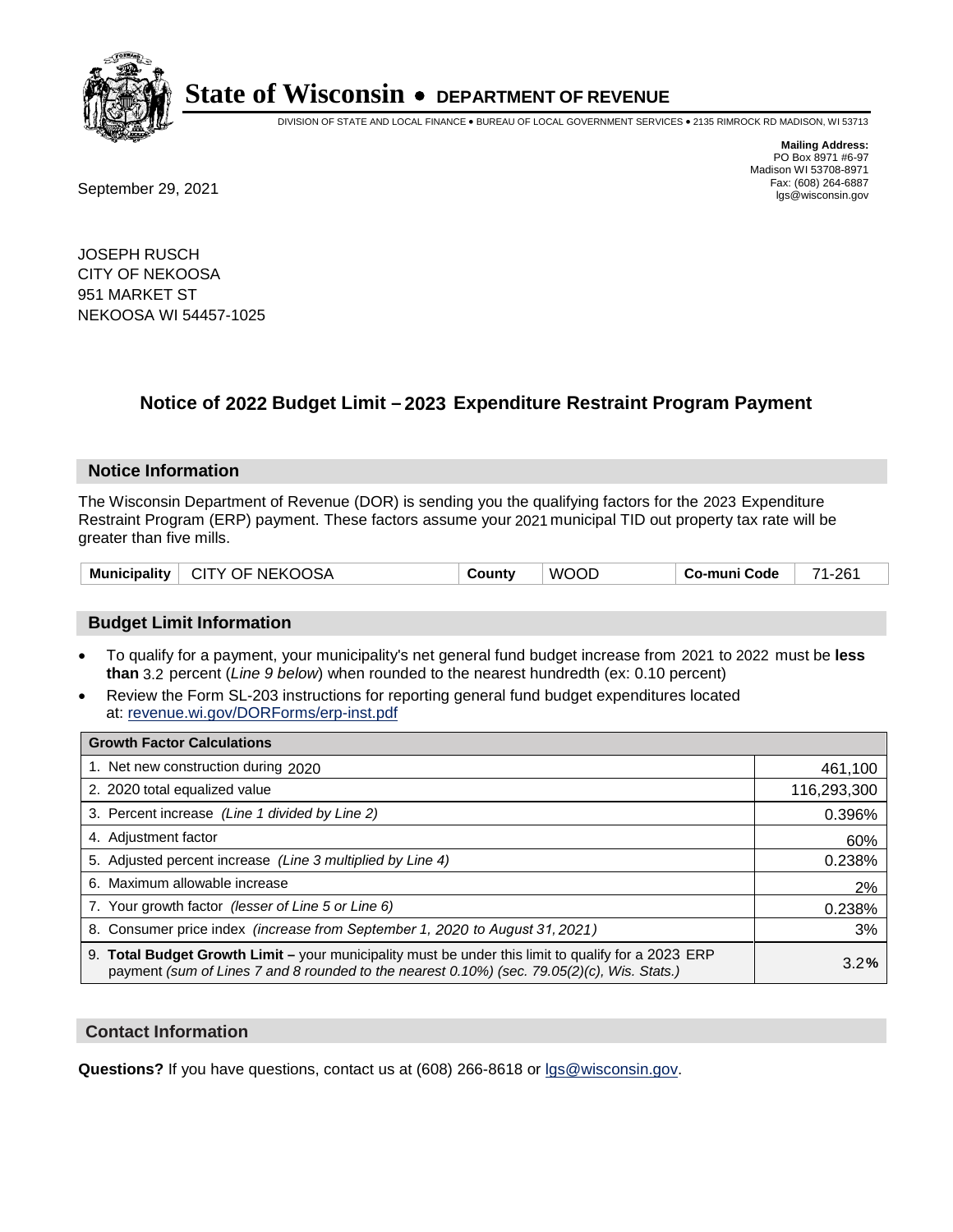

DIVISION OF STATE AND LOCAL FINANCE • BUREAU OF LOCAL GOVERNMENT SERVICES • 2135 RIMROCK RD MADISON, WI 53713

Fax: (608) 264-6887<br>
September 29, 2021 and the state of the state of the state of the state of the state of the state of the state of the state of the state of the state of the state of the state of the state of the state

**Mailing Address:** PO Box 8971 #6-97 Madison WI 53708-8971<br>Fax: (608) 264-6887

JOSEPH RUSCH CITY OF NEKOOSA 951 MARKET ST NEKOOSA WI 54457-1025

## **Notice of 2022 Budget Limit - 2023 Expenditure Restraint Program Payment**

## **Notice Information**

The Wisconsin Department of Revenue (DOR) is sending you the qualifying factors for the 2023 Expenditure Restraint Program (ERP) payment. These factors assume your 2021 municipal TID out property tax rate will be greater than five mills.

| Municipality   CITY OF NEKOOSA | County | <b>WOOD</b> | ⊟ Co-muni Code | 71-261 |
|--------------------------------|--------|-------------|----------------|--------|
|--------------------------------|--------|-------------|----------------|--------|

## **Budget Limit Information**

- To qualify for a payment, your municipality's net general fund budget increase from 2021 to 2022 must be less **than** 3.2 percent (*Line 9 below*) when rounded to the nearest hundredth (ex: 0.10 percent)
- Review the Form SL-203 instructions for reporting general fund budget expenditures located at: revenue.wi.gov/DORForms/erp-inst.pdf

| <b>Growth Factor Calculations</b>                                                                                                                                                                  |             |
|----------------------------------------------------------------------------------------------------------------------------------------------------------------------------------------------------|-------------|
| 1. Net new construction during 2020                                                                                                                                                                | 461,100     |
| 2. 2020 total equalized value                                                                                                                                                                      | 116,293,300 |
| 3. Percent increase (Line 1 divided by Line 2)                                                                                                                                                     | 0.396%      |
| 4. Adjustment factor                                                                                                                                                                               | 60%         |
| 5. Adjusted percent increase (Line 3 multiplied by Line 4)                                                                                                                                         | 0.238%      |
| 6. Maximum allowable increase                                                                                                                                                                      | 2%          |
| 7. Your growth factor (lesser of Line 5 or Line 6)                                                                                                                                                 | 0.238%      |
| 8. Consumer price index (increase from September 1, 2020 to August 31, 2021)                                                                                                                       | 3%          |
| 9. Total Budget Growth Limit – your municipality must be under this limit to qualify for a 2023 ERP<br>payment (sum of Lines 7 and 8 rounded to the nearest 0.10%) (sec. 79.05(2)(c), Wis. Stats.) | 3.2%        |

## **Contact Information**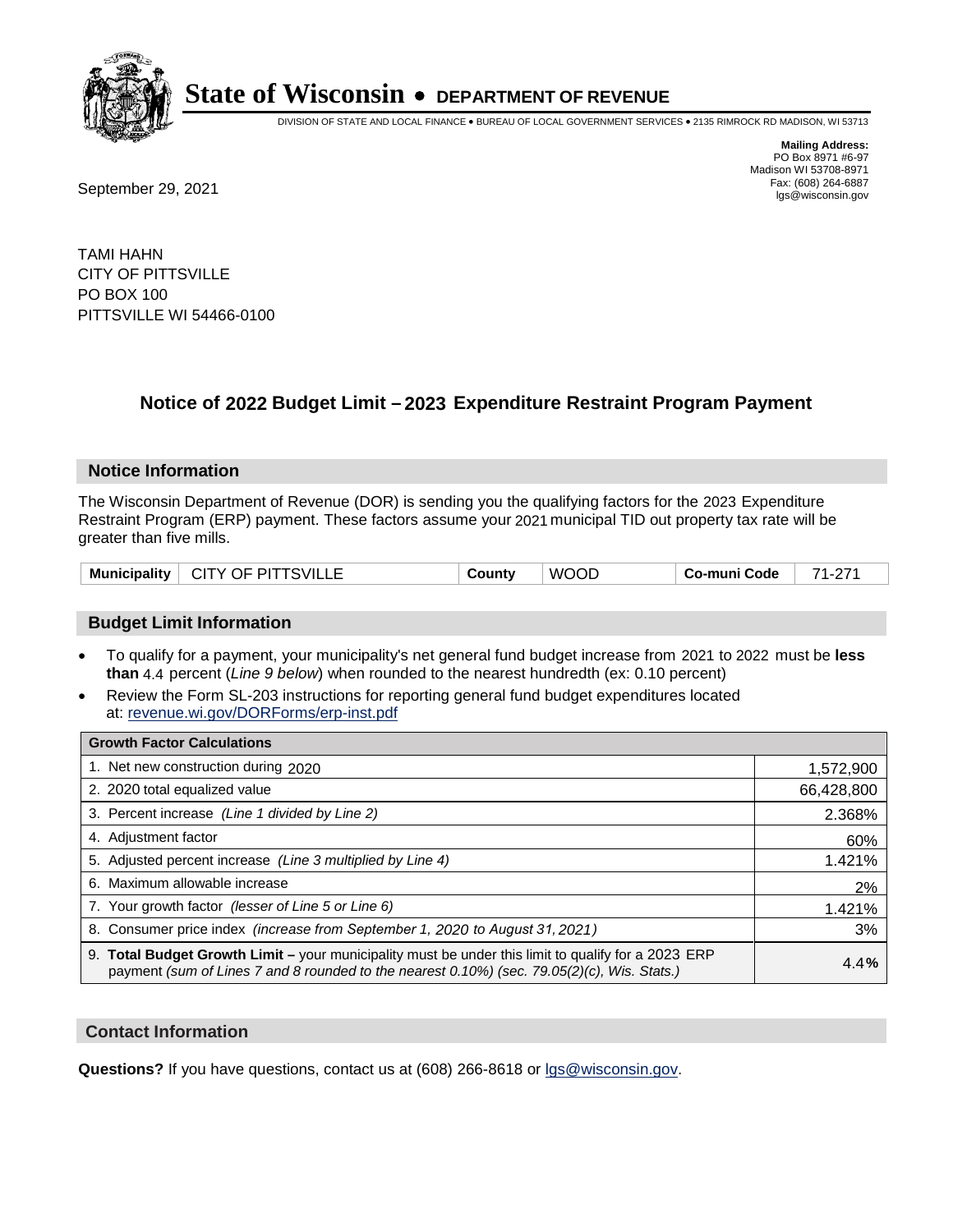

DIVISION OF STATE AND LOCAL FINANCE • BUREAU OF LOCAL GOVERNMENT SERVICES • 2135 RIMROCK RD MADISON, WI 53713

Fax: (608) 264-6887<br>
September 29, 2021 and the state of the state of the state of the state of the state of the state of the state of the state of the state of the state of the state of the state of the state of the state

**Mailing Address:** PO Box 8971 #6-97 Madison WI 53708-8971<br>Fax: (608) 264-6887

TAMI HAHN CITY OF PITTSVILLE PO BOX 100 PITTSVILLE WI 54466-0100

## **Notice of 2022 Budget Limit - 2023 Expenditure Restraint Program Payment**

## **Notice Information**

The Wisconsin Department of Revenue (DOR) is sending you the qualifying factors for the 2023 Expenditure Restraint Program (ERP) payment. These factors assume your 2021 municipal TID out property tax rate will be greater than five mills.

| <b>CITY OF PITTSVILLE</b><br>Municipality | شcunt∨ | <b>WOOD</b> | Co-muni Code | 74<br><u>.</u> |
|-------------------------------------------|--------|-------------|--------------|----------------|
|-------------------------------------------|--------|-------------|--------------|----------------|

## **Budget Limit Information**

- To qualify for a payment, your municipality's net general fund budget increase from 2021 to 2022 must be less **than** 4.4 percent (*Line 9 below*) when rounded to the nearest hundredth (ex: 0.10 percent)
- Review the Form SL-203 instructions for reporting general fund budget expenditures located at: revenue.wi.gov/DORForms/erp-inst.pdf

| <b>Growth Factor Calculations</b>                                                                                                                                                                  |            |
|----------------------------------------------------------------------------------------------------------------------------------------------------------------------------------------------------|------------|
| 1. Net new construction during 2020                                                                                                                                                                | 1,572,900  |
| 2. 2020 total equalized value                                                                                                                                                                      | 66,428,800 |
| 3. Percent increase (Line 1 divided by Line 2)                                                                                                                                                     | 2.368%     |
| 4. Adjustment factor                                                                                                                                                                               | 60%        |
| 5. Adjusted percent increase (Line 3 multiplied by Line 4)                                                                                                                                         | 1.421%     |
| 6. Maximum allowable increase                                                                                                                                                                      | 2%         |
| 7. Your growth factor (lesser of Line 5 or Line 6)                                                                                                                                                 | 1.421%     |
| 8. Consumer price index (increase from September 1, 2020 to August 31, 2021)                                                                                                                       | 3%         |
| 9. Total Budget Growth Limit – your municipality must be under this limit to qualify for a 2023 ERP<br>payment (sum of Lines 7 and 8 rounded to the nearest 0.10%) (sec. 79.05(2)(c), Wis. Stats.) | 4.4%       |

## **Contact Information**